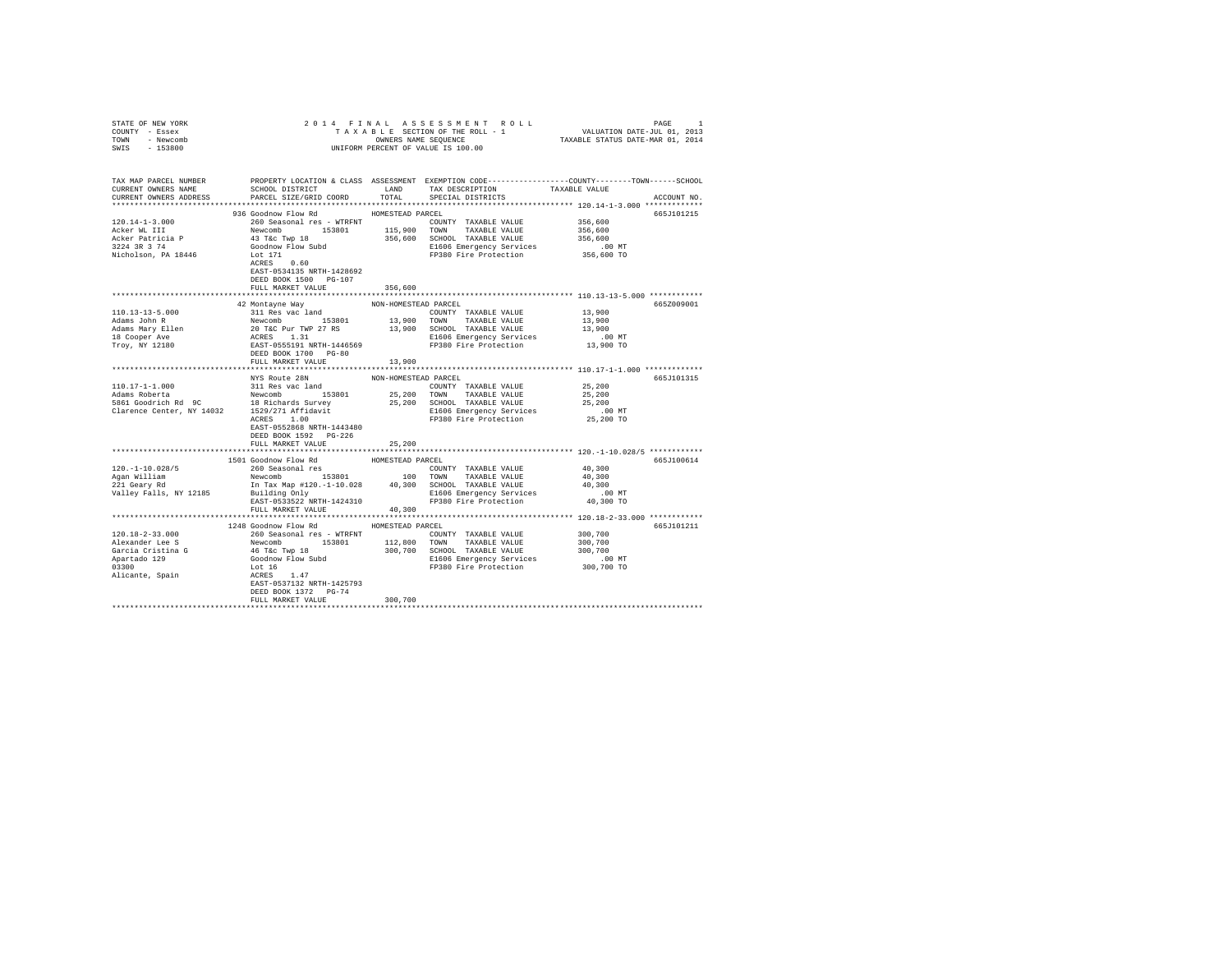| STATE OF NEW YORK                                                                                                                                                                                                                                        |                                                                                                                                                                                                                                                        |                      |                                                             |                      |             |
|----------------------------------------------------------------------------------------------------------------------------------------------------------------------------------------------------------------------------------------------------------|--------------------------------------------------------------------------------------------------------------------------------------------------------------------------------------------------------------------------------------------------------|----------------------|-------------------------------------------------------------|----------------------|-------------|
| COUNTY - Essex                                                                                                                                                                                                                                           |                                                                                                                                                                                                                                                        |                      |                                                             |                      |             |
| TOWN - Newcomb                                                                                                                                                                                                                                           |                                                                                                                                                                                                                                                        |                      |                                                             |                      |             |
| SWIS - 153800                                                                                                                                                                                                                                            |                                                                                                                                                                                                                                                        |                      |                                                             |                      |             |
|                                                                                                                                                                                                                                                          |                                                                                                                                                                                                                                                        |                      |                                                             |                      |             |
|                                                                                                                                                                                                                                                          |                                                                                                                                                                                                                                                        |                      |                                                             |                      |             |
| TAX MAP PARCEL NUMBER PROPERTY LOCATION & CLASS ASSESSMENT EXEMPTION CODE---------------COUNTY-------TOWN-----SCHOOL                                                                                                                                     |                                                                                                                                                                                                                                                        |                      |                                                             |                      |             |
| CURRENT OWNERS NAME                                                                                                                                                                                                                                      | SCHOOL DISTRICT                                                                                                                                                                                                                                        |                      | LAND TAX DESCRIPTION                                        | TAXABLE VALUE        |             |
| CURRENT OWNERS ADDRESS                                                                                                                                                                                                                                   | PARCEL SIZE/GRID COORD                                                                                                                                                                                                                                 | TOTAL                | SPECIAL DISTRICTS                                           |                      | ACCOUNT NO. |
|                                                                                                                                                                                                                                                          |                                                                                                                                                                                                                                                        |                      |                                                             |                      |             |
|                                                                                                                                                                                                                                                          | 936 Goodnow Flow Rd MOMESTEAD PARCEL                                                                                                                                                                                                                   |                      |                                                             |                      | 665J101215  |
| $120.14 - 1 - 3.000$                                                                                                                                                                                                                                     | 260 Seasonal res - WTRFNT                                                                                                                                                                                                                              |                      | COUNTY TAXABLE VALUE 356,600                                |                      |             |
| Acker WL III                                                                                                                                                                                                                                             |                                                                                                                                                                                                                                                        |                      |                                                             | 356,600              |             |
|                                                                                                                                                                                                                                                          |                                                                                                                                                                                                                                                        |                      |                                                             | 356,600              |             |
| Acker Patricia P<br>3224 3R 3 74                                                                                                                                                                                                                         |                                                                                                                                                                                                                                                        |                      |                                                             |                      |             |
| Nicholson, PA 18446                                                                                                                                                                                                                                      |                                                                                                                                                                                                                                                        |                      | E1606 Emergency Services<br>FP380 Fire Protection           | 00 MT.<br>356,600 TO |             |
|                                                                                                                                                                                                                                                          | Newcomb 153801 115,900 TOWN TAXABLE VALUE<br>43 Tac Twp 18 1866,600 SCHOOL TAXABLE VALUE<br>600dhow Flow Subdi<br>600dhow Flow Subdi<br>500dhow Flow Subdi<br>5000 E1606 Emergency Services<br>600dhow Flow Subdi<br>6000 FP380 Fire Protection<br>600 |                      |                                                             |                      |             |
|                                                                                                                                                                                                                                                          | EAST-0534135 NRTH-1428692                                                                                                                                                                                                                              |                      |                                                             |                      |             |
|                                                                                                                                                                                                                                                          |                                                                                                                                                                                                                                                        |                      |                                                             |                      |             |
|                                                                                                                                                                                                                                                          | DEED BOOK 1500 PG-107                                                                                                                                                                                                                                  |                      |                                                             |                      |             |
|                                                                                                                                                                                                                                                          | FULL MARKET VALUE                                                                                                                                                                                                                                      | 356,600              |                                                             |                      |             |
|                                                                                                                                                                                                                                                          |                                                                                                                                                                                                                                                        |                      |                                                             |                      |             |
|                                                                                                                                                                                                                                                          | 42 Montayne Way                                                                                                                                                                                                                                        | NON-HOMESTEAD PARCEL |                                                             |                      | 665Z009001  |
| 110.13-13-5.000                                                                                                                                                                                                                                          | 311 Res vac land                                                                                                                                                                                                                                       |                      | COUNTY TAXABLE VALUE                                        | 13,900               |             |
|                                                                                                                                                                                                                                                          |                                                                                                                                                                                                                                                        |                      |                                                             |                      |             |
|                                                                                                                                                                                                                                                          |                                                                                                                                                                                                                                                        |                      |                                                             |                      |             |
| Adams John R. (1990)<br>Adams May Blend (1990)<br>Adams May Blend (1990)<br>Adams May Blend (1990)<br>Adams May Blend (1990)<br>CHOD (1990)<br>CHOD EAST 131<br>2016<br>2017 - ACRES 131<br>2018<br>2018 - ACRES 131<br>2018<br>2018 - ACRES 131<br>2018 |                                                                                                                                                                                                                                                        |                      |                                                             |                      |             |
|                                                                                                                                                                                                                                                          |                                                                                                                                                                                                                                                        |                      |                                                             |                      |             |
|                                                                                                                                                                                                                                                          |                                                                                                                                                                                                                                                        |                      |                                                             |                      |             |
|                                                                                                                                                                                                                                                          | FULL MARKET VALUE                                                                                                                                                                                                                                      | 13,900               |                                                             |                      |             |
|                                                                                                                                                                                                                                                          |                                                                                                                                                                                                                                                        |                      |                                                             |                      |             |
|                                                                                                                                                                                                                                                          | NYS Route 28N                                                                                                                                                                                                                                          | NON-HOMESTEAD PARCEL |                                                             |                      | 665J101315  |
|                                                                                                                                                                                                                                                          |                                                                                                                                                                                                                                                        |                      | COUNTY TAXABLE VALUE 25,200                                 |                      |             |
|                                                                                                                                                                                                                                                          |                                                                                                                                                                                                                                                        |                      |                                                             | 25,200               |             |
|                                                                                                                                                                                                                                                          |                                                                                                                                                                                                                                                        |                      |                                                             | 25,200               |             |
|                                                                                                                                                                                                                                                          |                                                                                                                                                                                                                                                        |                      |                                                             | $.00$ MT             |             |
|                                                                                                                                                                                                                                                          |                                                                                                                                                                                                                                                        |                      |                                                             | 25,200 TO            |             |
|                                                                                                                                                                                                                                                          |                                                                                                                                                                                                                                                        |                      |                                                             |                      |             |
|                                                                                                                                                                                                                                                          |                                                                                                                                                                                                                                                        |                      |                                                             |                      |             |
|                                                                                                                                                                                                                                                          | FULL MARKET VALUE                                                                                                                                                                                                                                      | 25,200               |                                                             |                      |             |
|                                                                                                                                                                                                                                                          |                                                                                                                                                                                                                                                        |                      |                                                             |                      |             |
|                                                                                                                                                                                                                                                          | 1501 Goodnow Flow Rd                                                                                                                                                                                                                                   | HOMESTEAD PARCEL     |                                                             |                      | 665J100614  |
|                                                                                                                                                                                                                                                          |                                                                                                                                                                                                                                                        |                      |                                                             | 40,300               |             |
|                                                                                                                                                                                                                                                          |                                                                                                                                                                                                                                                        |                      |                                                             | 40,300               |             |
|                                                                                                                                                                                                                                                          |                                                                                                                                                                                                                                                        |                      |                                                             | 40,300               |             |
| Valley Falls, NY 12185                                                                                                                                                                                                                                   | In Tax map $#1400 = 1$<br>Building Only<br>$= 252222$ $+2424310$                                                                                                                                                                                       |                      |                                                             | $.00$ MT             |             |
|                                                                                                                                                                                                                                                          |                                                                                                                                                                                                                                                        |                      | E1606 Emergency Services<br>FP380 Fire Protection 40,300 TO |                      |             |
|                                                                                                                                                                                                                                                          | FULL MARKET VALUE 40,300                                                                                                                                                                                                                               |                      |                                                             |                      |             |
|                                                                                                                                                                                                                                                          |                                                                                                                                                                                                                                                        |                      |                                                             |                      |             |
|                                                                                                                                                                                                                                                          |                                                                                                                                                                                                                                                        |                      |                                                             |                      |             |
|                                                                                                                                                                                                                                                          | 1248 Goodnow Flow Rd MOMESTEAD PARCEL                                                                                                                                                                                                                  |                      |                                                             |                      | 665J101211  |
| $120.18 - 2 - 33.000$                                                                                                                                                                                                                                    | 260 Seasonal res - WTRFNT                                                                                                                                                                                                                              |                      | COUNTY TAXABLE VALUE                                        | 300,700              |             |
| Alexander Lee S<br>Alexander Lee S<br>Newcomb 153801 112,800 TOWN TAXABLE VALUE 300,700<br>García Cristina G<br>46 Tac Twp 18 300,700 SCHOOL TAXABLE VALUE 300,700<br>Apartado 129 1606 Emergency Services<br>Alicante, Spain ACRES<br>ALCES             |                                                                                                                                                                                                                                                        |                      |                                                             |                      |             |
|                                                                                                                                                                                                                                                          |                                                                                                                                                                                                                                                        |                      |                                                             |                      |             |
|                                                                                                                                                                                                                                                          |                                                                                                                                                                                                                                                        |                      |                                                             |                      |             |
|                                                                                                                                                                                                                                                          |                                                                                                                                                                                                                                                        |                      |                                                             |                      |             |
|                                                                                                                                                                                                                                                          |                                                                                                                                                                                                                                                        |                      |                                                             |                      |             |
|                                                                                                                                                                                                                                                          |                                                                                                                                                                                                                                                        |                      |                                                             |                      |             |
|                                                                                                                                                                                                                                                          | DEED BOOK 1372 PG-74                                                                                                                                                                                                                                   |                      |                                                             |                      |             |
|                                                                                                                                                                                                                                                          | FULL MARKET VALUE                                                                                                                                                                                                                                      | 300,700              |                                                             |                      |             |
|                                                                                                                                                                                                                                                          |                                                                                                                                                                                                                                                        |                      |                                                             |                      |             |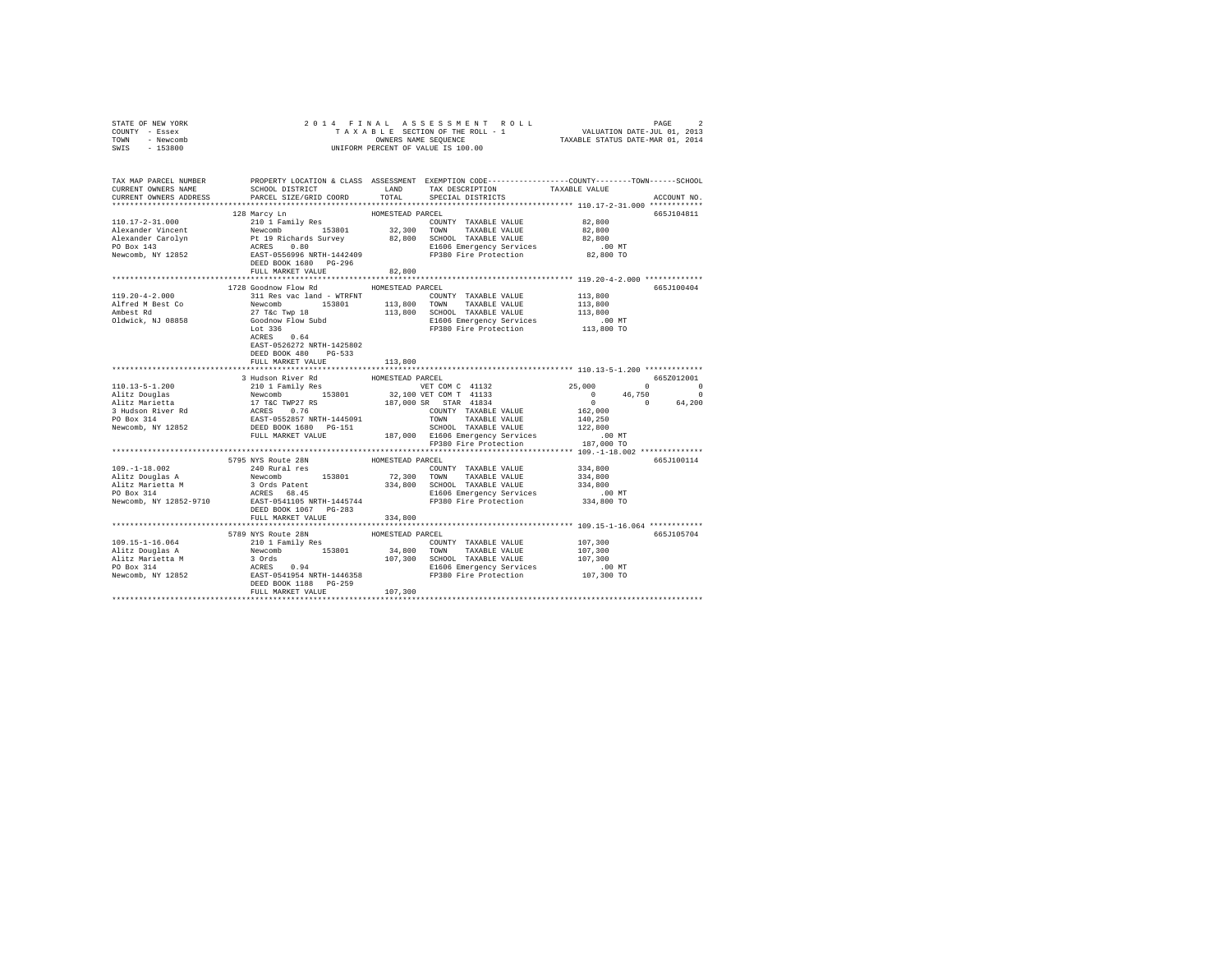| STATE OF NEW YORK<br>COUNTY - Essex<br>TOWN - Newcomb<br>SWIS - 153800 |                                                                                                                         |                                                                                                                                                                                                                                                                                                                                    |             |
|------------------------------------------------------------------------|-------------------------------------------------------------------------------------------------------------------------|------------------------------------------------------------------------------------------------------------------------------------------------------------------------------------------------------------------------------------------------------------------------------------------------------------------------------------|-------------|
| CURRENT OWNERS ADDRESS                                                 |                                                                                                                         | TAX MAP PARCEL NUMBER PROPERTY LOCATION & CLASS ASSESSMENT EXEMPTION CODE---------------COUNTY-------TOWN------SCHOOL<br>CURRENT OWNERS NAME SCHOOL DISTRICT LAND TAX DESCRIPTION TAXARLE VALUE<br>SCHOOL DISTRICT $\hfill$ LAND $\hfill$ TAX DESCRIPTION $\hfill$ TAXABLE VALUE<br>PARCEL SIZE/GRID COORD TOTAL SPECIAL DISTRICTS | ACCOUNT NO. |
|                                                                        |                                                                                                                         | 138 Marcy Line (10.17-2-31.<br>128 Marcy Line (10.17-2-31.<br>129 Marcy Line (10.17-2-31.<br>129 March Pt 19 Richards Survey (10.17-2-31.<br>219 March Newcomb 153801 32,300 TOWNT TAXABLE VALUE 82,800<br>22,800 Newcomb Pt 19 Richards                                                                                           | 665J104811  |
|                                                                        | 1728 Goodnow Flow Rd MOMESTEAD PARCEL<br>EAST-0526272 NRTH-1425802<br>DEED BOOK 480 PG-533<br>FULL MARKET VALUE 113,800 |                                                                                                                                                                                                                                                                                                                                    | 665J100404  |
|                                                                        |                                                                                                                         | $[10.13-5-1.200 \nonumber \begin{matrix} 110.13-5-1.200 \nonumber 110.13-5-1.200 \nonumber 110.13-5-1.200 \nonumber 110.13-5-1.200 \nonumber 110.13-5-1.200 \nonumber 110.13-5-1.200 \nonumber 110.13-5-1.200 \nonumber 110.13-5-1.200 \nonumber 110.13-5-1.200 \nonumber 110.13-5-1.200 \nonumber 110.13-5-1.200 \nonumber$       |             |
|                                                                        |                                                                                                                         |                                                                                                                                                                                                                                                                                                                                    | 665J100114  |
|                                                                        | FULL MARKET VALUE<br>5789 NYS Route 28N                                                                                 | 334,800<br>HOMESTEAD PARCEL                                                                                                                                                                                                                                                                                                        | 665J105704  |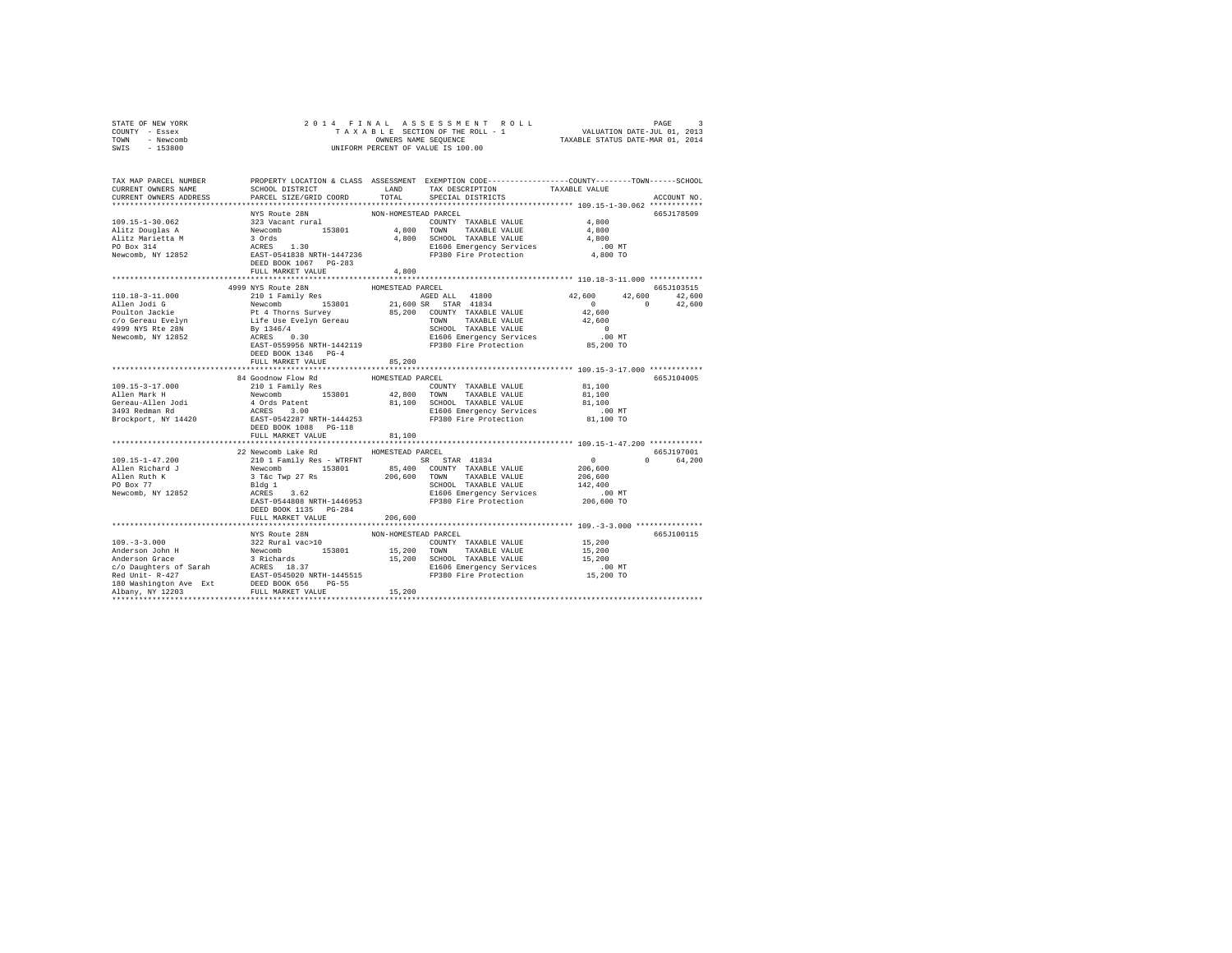| STATE OF NEW YORK<br>COUNTY - Essex<br>TOWN - Newcomb<br>SWIS - 153800                                                                                                                                                             | 4 FINAL ASSESSMENT ROLL TAXABLE SECTION OF THE ROLL TAXABLE SECTION OF THE ROLL - 1<br>TAXABLE SECTION OF THE ROLL - 1 VALUATION DATE-JUL 01, 2013<br>OWNERS NAME SEQUENCE  TAXABLE STATUS DATE-MAR 01, 2014<br>2014 FINAL<br>OWNERS NAME SEQUENCE<br>UNIFORM PERCENT OF VALUE IS 100.00 |                      |                                                                                                                        |                     |               |
|------------------------------------------------------------------------------------------------------------------------------------------------------------------------------------------------------------------------------------|------------------------------------------------------------------------------------------------------------------------------------------------------------------------------------------------------------------------------------------------------------------------------------------|----------------------|------------------------------------------------------------------------------------------------------------------------|---------------------|---------------|
| TAX MAP PARCEL NUMBER PROPERTY LOCATION & CLASS ASSESSMENT EXEMPTION CODE----------------COUNTY-------TOWN-----SCHOOL<br>CURRENT OWNERS NAME<br>CURRENT OWNERS ADDRESS                                                             | PARCEL SIZE/GRID COORD                                                                                                                                                                                                                                                                   | TOTAL                | SCHOOL DISTRICT                        LAND        TAX DESCRIPTION                  TAXABLE VALUE<br>SPECIAL DISTRICTS |                     | ACCOUNT NO.   |
|                                                                                                                                                                                                                                    | NYS Route 28N                                                                                                                                                                                                                                                                            | NON-HOMESTEAD PARCEL |                                                                                                                        |                     | 665J178509    |
|                                                                                                                                                                                                                                    |                                                                                                                                                                                                                                                                                          |                      |                                                                                                                        | 4,800               |               |
|                                                                                                                                                                                                                                    |                                                                                                                                                                                                                                                                                          |                      |                                                                                                                        | 4,800               |               |
|                                                                                                                                                                                                                                    |                                                                                                                                                                                                                                                                                          |                      |                                                                                                                        | 4,800               |               |
|                                                                                                                                                                                                                                    |                                                                                                                                                                                                                                                                                          |                      |                                                                                                                        | $.00$ MT            |               |
|                                                                                                                                                                                                                                    |                                                                                                                                                                                                                                                                                          |                      | FP380 Fire Protection                                                                                                  | 4,800 TO            |               |
|                                                                                                                                                                                                                                    |                                                                                                                                                                                                                                                                                          |                      |                                                                                                                        |                     |               |
|                                                                                                                                                                                                                                    | FULL MARKET VALUE                                                                                                                                                                                                                                                                        | 4,800                |                                                                                                                        |                     |               |
|                                                                                                                                                                                                                                    |                                                                                                                                                                                                                                                                                          |                      |                                                                                                                        |                     |               |
|                                                                                                                                                                                                                                    | 4999 NYS Route 28N                                                                                                                                                                                                                                                                       | HOMESTEAD PARCEL     |                                                                                                                        |                     | 665J103515    |
| 110.18-3-11.000                                                                                                                                                                                                                    |                                                                                                                                                                                                                                                                                          |                      |                                                                                                                        | 42,600              | 42,600 42,600 |
| Allen Jodi G                                                                                                                                                                                                                       |                                                                                                                                                                                                                                                                                          |                      |                                                                                                                        | $0 \t 42,600$       |               |
|                                                                                                                                                                                                                                    |                                                                                                                                                                                                                                                                                          |                      |                                                                                                                        | 42,600              |               |
|                                                                                                                                                                                                                                    |                                                                                                                                                                                                                                                                                          |                      |                                                                                                                        | 42,600              |               |
| Poulton Jackie<br>c/o Gereau Evelyn<br>4999 NYS Rte 28N<br>Newcomb, NY 12852                                                                                                                                                       |                                                                                                                                                                                                                                                                                          |                      | SCHOOL TAXABLE VALUE                                                                                                   | $\sim$ 0            |               |
|                                                                                                                                                                                                                                    |                                                                                                                                                                                                                                                                                          |                      | E1606 Emergency Services                                                                                               | 00 MT.<br>85,200 TO |               |
|                                                                                                                                                                                                                                    |                                                                                                                                                                                                                                                                                          |                      | FP380 Fire Protection                                                                                                  |                     |               |
|                                                                                                                                                                                                                                    | DEED BOOK 1346 PG-4                                                                                                                                                                                                                                                                      |                      |                                                                                                                        |                     |               |
|                                                                                                                                                                                                                                    | FULL MARKET VALUE                                                                                                                                                                                                                                                                        | 85,200               |                                                                                                                        |                     |               |
|                                                                                                                                                                                                                                    | 84 Goodnow Flow Rd                                                                                                                                                                                                                                                                       | HOMESTEAD PARCEL     |                                                                                                                        |                     | 665J104005    |
| $109.15 - 3 - 17.000$                                                                                                                                                                                                              | 210 1 Family Res                                                                                                                                                                                                                                                                         |                      | COUNTY TAXABLE VALUE                                                                                                   | 81,100              |               |
| 109.15-3-17.000<br>Allen Mark H                                                                                                                                                                                                    |                                                                                                                                                                                                                                                                                          |                      |                                                                                                                        |                     |               |
|                                                                                                                                                                                                                                    |                                                                                                                                                                                                                                                                                          |                      |                                                                                                                        |                     |               |
|                                                                                                                                                                                                                                    |                                                                                                                                                                                                                                                                                          |                      |                                                                                                                        |                     |               |
| 1991.1979-9-11.000 1031 104<br>2.101 12.000 1031 12.000 1031 12.000 1031 12.000 1031 12.000 1031 12.000 1031 12.000 1031 12.000 12.000 12.000<br>3.493 Redmann Rdi 4 Ords Packers 3.00 12.000 12.000 12.000 12.000 12.000 12.000 1 |                                                                                                                                                                                                                                                                                          |                      |                                                                                                                        |                     |               |
|                                                                                                                                                                                                                                    | DEED BOOK 1088    PG-118                                                                                                                                                                                                                                                                 |                      |                                                                                                                        |                     |               |
|                                                                                                                                                                                                                                    | FULL MARKET VALUE                                                                                                                                                                                                                                                                        | 81,100               |                                                                                                                        |                     |               |
|                                                                                                                                                                                                                                    |                                                                                                                                                                                                                                                                                          |                      |                                                                                                                        |                     |               |
|                                                                                                                                                                                                                                    | 22 Newcomb Lake Rd HOMESTEAD PARCEL                                                                                                                                                                                                                                                      |                      |                                                                                                                        |                     | 665J197001    |
| $109.15 - 1 - 47.200$                                                                                                                                                                                                              |                                                                                                                                                                                                                                                                                          |                      | 210 1 Family Res - WTRFNT SR STAR 41834                                                                                | $\overline{0}$      | 0 64.200      |
|                                                                                                                                                                                                                                    |                                                                                                                                                                                                                                                                                          |                      |                                                                                                                        |                     |               |
| Allen Richard J<br>Allen Ruth K<br>PO Box 77                                                                                                                                                                                       |                                                                                                                                                                                                                                                                                          |                      |                                                                                                                        |                     |               |
|                                                                                                                                                                                                                                    |                                                                                                                                                                                                                                                                                          |                      |                                                                                                                        |                     |               |
| Newcomb, NY 12852                                                                                                                                                                                                                  |                                                                                                                                                                                                                                                                                          |                      |                                                                                                                        |                     |               |
|                                                                                                                                                                                                                                    |                                                                                                                                                                                                                                                                                          |                      |                                                                                                                        |                     |               |
|                                                                                                                                                                                                                                    | DEED BOOK 1135 PG-284                                                                                                                                                                                                                                                                    |                      |                                                                                                                        |                     |               |
|                                                                                                                                                                                                                                    | FULL MARKET VALUE                                                                                                                                                                                                                                                                        | 206,600              |                                                                                                                        |                     |               |
|                                                                                                                                                                                                                                    |                                                                                                                                                                                                                                                                                          |                      |                                                                                                                        |                     |               |
|                                                                                                                                                                                                                                    | NYS Route 28N                                                                                                                                                                                                                                                                            | NON-HOMESTEAD PARCEL |                                                                                                                        |                     | 665J100115    |
|                                                                                                                                                                                                                                    |                                                                                                                                                                                                                                                                                          |                      | COUNTY TAXABLE VALUE 15,200                                                                                            |                     |               |
|                                                                                                                                                                                                                                    |                                                                                                                                                                                                                                                                                          |                      |                                                                                                                        | 15,200<br>15,200    |               |
|                                                                                                                                                                                                                                    |                                                                                                                                                                                                                                                                                          |                      |                                                                                                                        |                     |               |
|                                                                                                                                                                                                                                    |                                                                                                                                                                                                                                                                                          |                      |                                                                                                                        | 00 MT.<br>15,200 TO |               |
|                                                                                                                                                                                                                                    |                                                                                                                                                                                                                                                                                          |                      |                                                                                                                        |                     |               |
|                                                                                                                                                                                                                                    |                                                                                                                                                                                                                                                                                          |                      |                                                                                                                        |                     |               |
|                                                                                                                                                                                                                                    |                                                                                                                                                                                                                                                                                          |                      |                                                                                                                        |                     |               |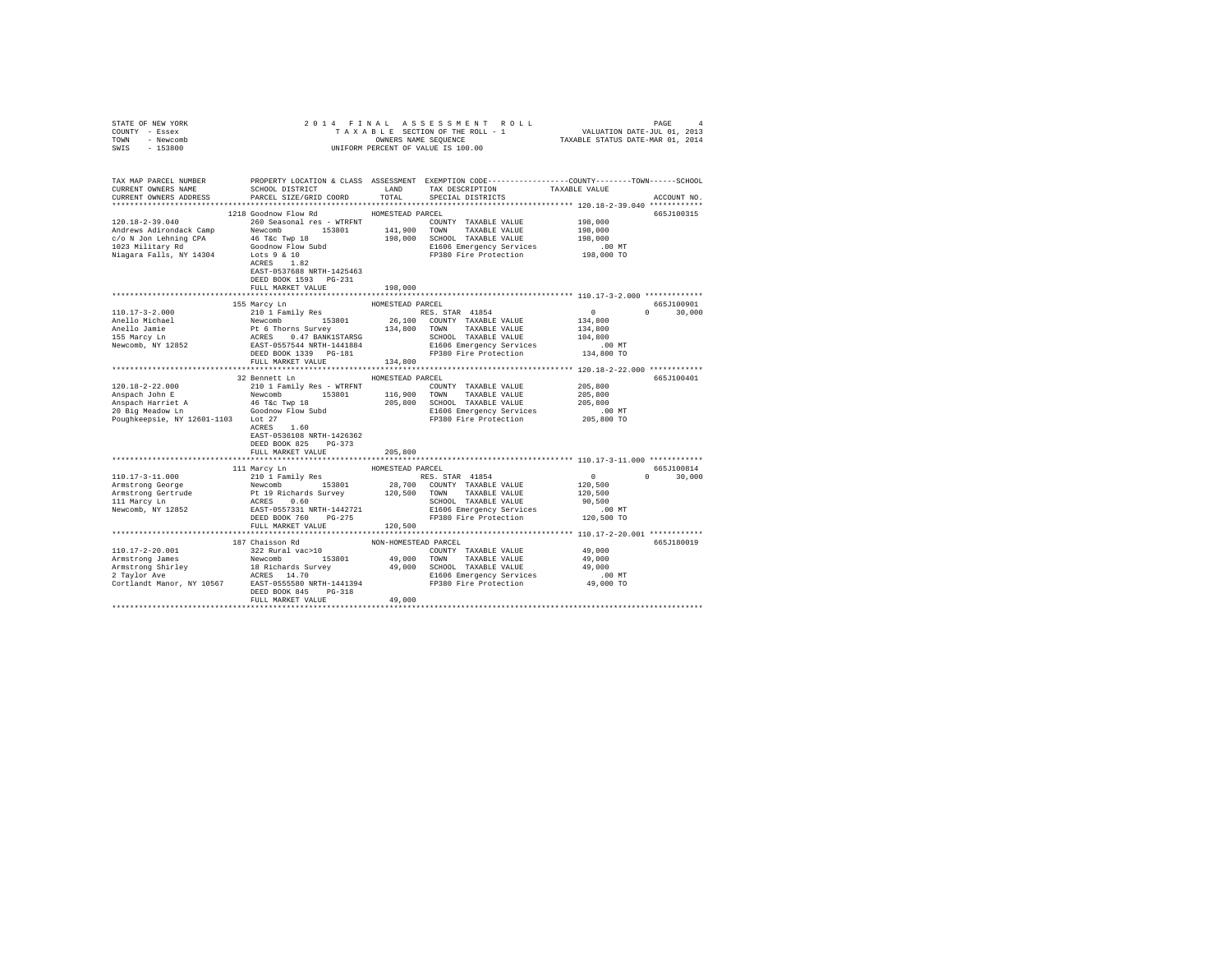| STATE OF NEW YORK                                                                                                                                                                                                                                                                                                                                                                                                                       |                                     |                      |                                                                      |            |               |
|-----------------------------------------------------------------------------------------------------------------------------------------------------------------------------------------------------------------------------------------------------------------------------------------------------------------------------------------------------------------------------------------------------------------------------------------|-------------------------------------|----------------------|----------------------------------------------------------------------|------------|---------------|
| COUNTY - Essex                                                                                                                                                                                                                                                                                                                                                                                                                          |                                     |                      |                                                                      |            |               |
| TOWN - Newcomb                                                                                                                                                                                                                                                                                                                                                                                                                          |                                     |                      |                                                                      |            |               |
| SWIS - 153800                                                                                                                                                                                                                                                                                                                                                                                                                           |                                     |                      |                                                                      |            |               |
|                                                                                                                                                                                                                                                                                                                                                                                                                                         |                                     |                      |                                                                      |            |               |
|                                                                                                                                                                                                                                                                                                                                                                                                                                         |                                     |                      |                                                                      |            |               |
| TAX MAP PARCEL NUMBER THE PROPERTY LOCATION & CLASS ASSESSMENT EXEMPTION CODE--------------COUNTY-------TOWN------SCHOOL                                                                                                                                                                                                                                                                                                                |                                     |                      |                                                                      |            |               |
| CURRENT OWNERS NAME                                                                                                                                                                                                                                                                                                                                                                                                                     | SCHOOL DISTRICT LAND                |                      | TAX DESCRIPTION TAXABLE VALUE                                        |            |               |
| CURRENT OWNERS ADDRESS                                                                                                                                                                                                                                                                                                                                                                                                                  | PARCEL SIZE/GRID COORD              | TOTAL                | SPECIAL DISTRICTS                                                    |            | ACCOUNT NO.   |
|                                                                                                                                                                                                                                                                                                                                                                                                                                         |                                     |                      |                                                                      |            |               |
|                                                                                                                                                                                                                                                                                                                                                                                                                                         | 1218 Goodnow Flow Rd                | HOMESTEAD PARCEL     |                                                                      |            | 665J100315    |
| 120.18-2-39.040 260 Seasonal res - WTRFNT                                                                                                                                                                                                                                                                                                                                                                                               |                                     |                      | COUNTY TAXABLE VALUE 198,000                                         |            |               |
|                                                                                                                                                                                                                                                                                                                                                                                                                                         |                                     |                      |                                                                      | 198,000    |               |
| Andrews Aditondack Camp Newcomb 153801 141,900 TOMN TAXABLE VALUE<br>CO N Jon Lehning CPA 46 Tax Twp 18 198,000 SCHOOL TAXABLE VALUE 1023 Military Rd<br>198,000 SCHOOL TAXABLE VALUE 1023 Military Rd<br>198,000 SCHOOL TAXABLE VA                                                                                                                                                                                                     |                                     |                      |                                                                      | 198,000    |               |
|                                                                                                                                                                                                                                                                                                                                                                                                                                         |                                     |                      |                                                                      |            |               |
|                                                                                                                                                                                                                                                                                                                                                                                                                                         |                                     |                      | E1606 Emergency Services .00 MT<br>FP380 Fire Protection 198,000 TO  |            |               |
|                                                                                                                                                                                                                                                                                                                                                                                                                                         |                                     |                      |                                                                      |            |               |
|                                                                                                                                                                                                                                                                                                                                                                                                                                         |                                     |                      |                                                                      |            |               |
|                                                                                                                                                                                                                                                                                                                                                                                                                                         | EAST-0537688 NRTH-1425463           |                      |                                                                      |            |               |
|                                                                                                                                                                                                                                                                                                                                                                                                                                         | DEED BOOK 1593 PG-231               |                      |                                                                      |            |               |
|                                                                                                                                                                                                                                                                                                                                                                                                                                         | FULL MARKET VALUE                   | 198,000              |                                                                      |            |               |
|                                                                                                                                                                                                                                                                                                                                                                                                                                         |                                     |                      |                                                                      |            |               |
|                                                                                                                                                                                                                                                                                                                                                                                                                                         | 155 Marcy Ln                        | HOMESTEAD PARCEL     |                                                                      |            | 665J100901    |
|                                                                                                                                                                                                                                                                                                                                                                                                                                         |                                     |                      |                                                                      | $\sim$ 0   | $0 \t 30,000$ |
|                                                                                                                                                                                                                                                                                                                                                                                                                                         |                                     |                      |                                                                      | 134,800    |               |
|                                                                                                                                                                                                                                                                                                                                                                                                                                         |                                     |                      |                                                                      | 134,800    |               |
|                                                                                                                                                                                                                                                                                                                                                                                                                                         |                                     |                      |                                                                      | 104,800    |               |
|                                                                                                                                                                                                                                                                                                                                                                                                                                         |                                     |                      |                                                                      | .00 MT     |               |
| $\begin{tabular}{l c c c c c} \hline 110.17-3-2.000 & \multicolumn{3}{c }{\mbox{\small $26$}} & \multicolumn{3}{c }{\mbox{\small $26$}} & \multicolumn{3}{c }{\mbox{\small $R\mbox{\small $26$}}$} & \multicolumn{3}{c }{\mbox{\small $R\mbox{\small $26$}}$} & \multicolumn{3}{c }{\mbox{\small $R\mbox{\small $R\mbox{\small $26$}}$}} & \multicolumn{3}{c }{\mbox{\small $R\mbox{\small $R\mbox{\small $26$}}$}} & \multicolumn{3}{$ |                                     |                      |                                                                      | 134,800 TO |               |
|                                                                                                                                                                                                                                                                                                                                                                                                                                         |                                     |                      |                                                                      |            |               |
|                                                                                                                                                                                                                                                                                                                                                                                                                                         |                                     |                      |                                                                      |            |               |
|                                                                                                                                                                                                                                                                                                                                                                                                                                         | 32 Bennett Ln HOMESTEAD PARCEL      |                      | RCEL<br>COUNTY TAXABLE VALUE 205,800<br>TREAS TRAINING VALUE 205,800 |            | 665J100401    |
| 120.18-2-22.000                                                                                                                                                                                                                                                                                                                                                                                                                         | 210 1 Family Res - WTRFNT           |                      |                                                                      |            |               |
|                                                                                                                                                                                                                                                                                                                                                                                                                                         |                                     |                      |                                                                      |            |               |
|                                                                                                                                                                                                                                                                                                                                                                                                                                         |                                     |                      |                                                                      |            |               |
|                                                                                                                                                                                                                                                                                                                                                                                                                                         |                                     |                      |                                                                      |            |               |
|                                                                                                                                                                                                                                                                                                                                                                                                                                         |                                     |                      |                                                                      |            |               |
|                                                                                                                                                                                                                                                                                                                                                                                                                                         |                                     |                      |                                                                      |            |               |
|                                                                                                                                                                                                                                                                                                                                                                                                                                         |                                     |                      |                                                                      |            |               |
|                                                                                                                                                                                                                                                                                                                                                                                                                                         | EAST-0536108 NRTH-1426362           |                      |                                                                      |            |               |
|                                                                                                                                                                                                                                                                                                                                                                                                                                         | DEED BOOK 825 PG-373                |                      |                                                                      |            |               |
|                                                                                                                                                                                                                                                                                                                                                                                                                                         | FULL MARKET VALUE                   | 205,800              |                                                                      |            |               |
|                                                                                                                                                                                                                                                                                                                                                                                                                                         |                                     |                      |                                                                      |            |               |
|                                                                                                                                                                                                                                                                                                                                                                                                                                         | 111 Marcy Ln                        | HOMESTEAD PARCEL     |                                                                      |            | 665J100814    |
|                                                                                                                                                                                                                                                                                                                                                                                                                                         | 210 1 Family Res                    |                      |                                                                      |            | $0 \t 30,000$ |
|                                                                                                                                                                                                                                                                                                                                                                                                                                         |                                     |                      |                                                                      |            |               |
|                                                                                                                                                                                                                                                                                                                                                                                                                                         |                                     |                      |                                                                      |            |               |
| $\begin{tabular}{l c c c c c} \hline 110.17-3-11.000 & 11\; \texttt{Baity Res} & \texttt{ROS.} & \texttt{ROS.} & \texttt{RAS.} & \texttt{STAR} & 41854 & 0 \\ \hline \texttt{Armstrong George} & \texttt{Newcomb} & 153801 & 28,700 & \texttt{COMNIT} & \texttt{TXABLE VALUE} & 120,500 \\ \texttt{Armstrong Gertrue} & \texttt{Newomb} & 153801 & 220,700 & \texttt{COMNT} & \texttt{TXABLE VALUE} & 120,50$                           |                                     |                      |                                                                      |            |               |
|                                                                                                                                                                                                                                                                                                                                                                                                                                         |                                     |                      |                                                                      |            |               |
|                                                                                                                                                                                                                                                                                                                                                                                                                                         |                                     |                      |                                                                      |            |               |
|                                                                                                                                                                                                                                                                                                                                                                                                                                         | FULL MARKET VALUE                   | 120,500              |                                                                      |            |               |
|                                                                                                                                                                                                                                                                                                                                                                                                                                         |                                     |                      |                                                                      |            |               |
|                                                                                                                                                                                                                                                                                                                                                                                                                                         |                                     | NON-HOMESTEAD PARCEL |                                                                      |            | 665J180019    |
| 110.17-2-20.001                                                                                                                                                                                                                                                                                                                                                                                                                         | 187 Chaisson Rd<br>322 Rural vac>10 |                      | COUNTY TAXABLE VALUE 49,000                                          |            |               |
|                                                                                                                                                                                                                                                                                                                                                                                                                                         |                                     |                      |                                                                      |            |               |
|                                                                                                                                                                                                                                                                                                                                                                                                                                         |                                     |                      |                                                                      |            |               |
|                                                                                                                                                                                                                                                                                                                                                                                                                                         |                                     |                      |                                                                      |            |               |
|                                                                                                                                                                                                                                                                                                                                                                                                                                         |                                     |                      |                                                                      |            |               |
| Armstrong Shirley Mewcomb 153801 49,000 TOWN TAXABLE VALUE 49,000<br>Armstrong Shirley 19,000 SCHOOL TAXABLE VALUE 49,000<br>2 Taylor Avec Mexican Shirley 49,000 SCHOOL TAXABLE VALUE 49,000<br>2 Taylor Avec MEXES 14.70 5000 ECRO                                                                                                                                                                                                    |                                     |                      |                                                                      |            |               |
|                                                                                                                                                                                                                                                                                                                                                                                                                                         |                                     |                      |                                                                      |            |               |
|                                                                                                                                                                                                                                                                                                                                                                                                                                         | FULL MARKET VALUE                   | 49,000               |                                                                      |            |               |
|                                                                                                                                                                                                                                                                                                                                                                                                                                         |                                     |                      |                                                                      |            |               |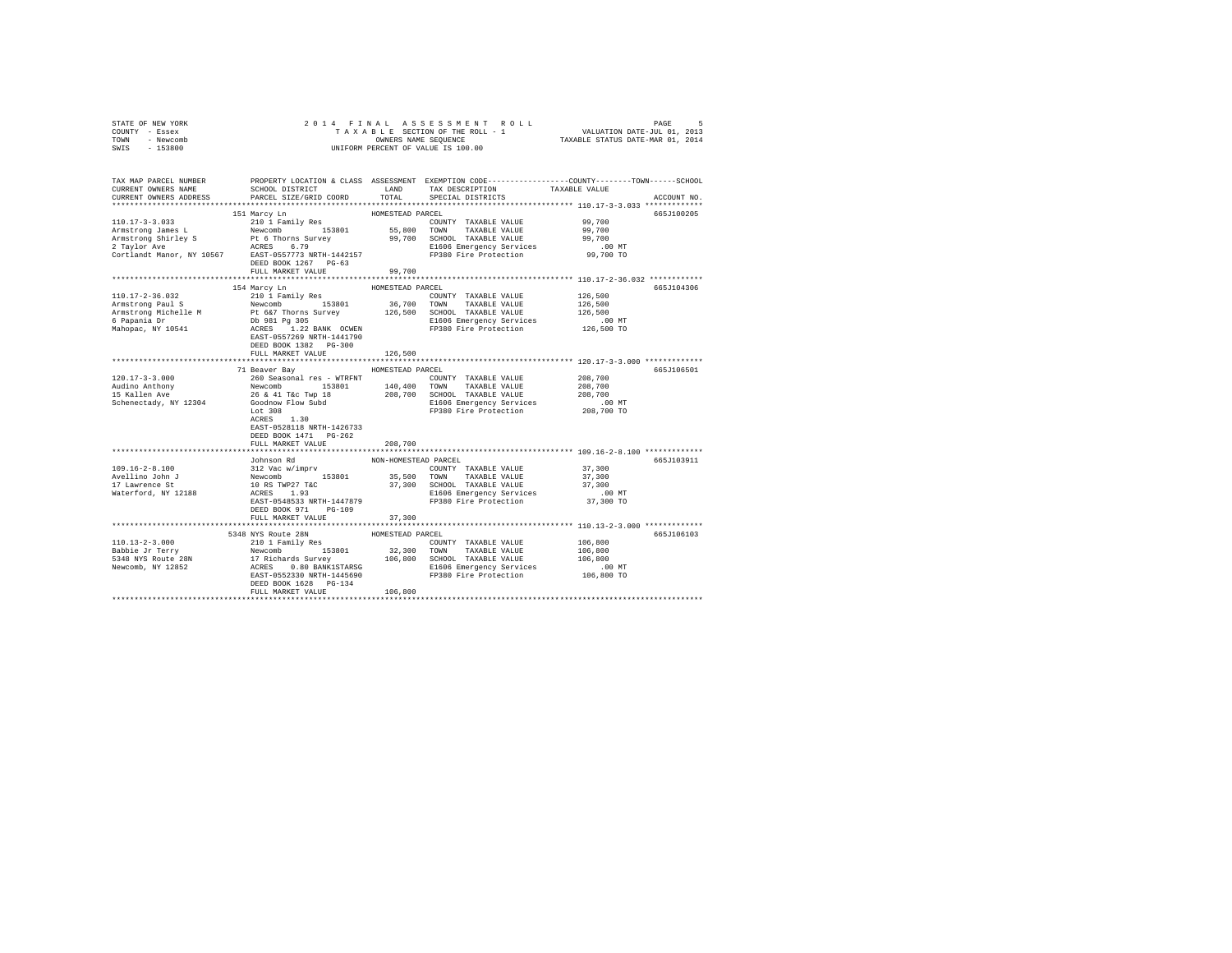| STATE OF NEW YORK<br>COUNTY - Essex<br>TOWN - Newcomb<br>SWIS - 153800                                                                                                                                                                                                                                                                                                                                                                | 4 FINAL ASSESSMENT ROLL TAXABLE SECTION OF THE ROLL TAXABLE SECTION OF THE ROLL - 1<br>TAXABLE SECTION OF THE ROLL - 1 VALUATION DATE-JUL 01:013<br>OWNERS NAME SEQUENCE  TAXABLE STATUS DATE-MAR 01, 2014<br>2014 FINAL<br>OWNERS NAME SEQUENCE<br>UNIFORM PERCENT OF VALUE IS 100.00 |                      |                                                                                                                                                                               |                                                                                                                                       |  |
|---------------------------------------------------------------------------------------------------------------------------------------------------------------------------------------------------------------------------------------------------------------------------------------------------------------------------------------------------------------------------------------------------------------------------------------|----------------------------------------------------------------------------------------------------------------------------------------------------------------------------------------------------------------------------------------------------------------------------------------|----------------------|-------------------------------------------------------------------------------------------------------------------------------------------------------------------------------|---------------------------------------------------------------------------------------------------------------------------------------|--|
|                                                                                                                                                                                                                                                                                                                                                                                                                                       |                                                                                                                                                                                                                                                                                        |                      |                                                                                                                                                                               |                                                                                                                                       |  |
| CURRENT OWNERS NAME                                                                                                                                                                                                                                                                                                                                                                                                                   | SCHOOL DISTRICT TAND TAX DESCRIPTION                                                                                                                                                                                                                                                   |                      |                                                                                                                                                                               | TAX MAP PARCEL NUMBER PROPERTY LOCATION & CLASS ASSESSMENT EXEMPTION CODE---------------COUNTY-------TOWN-----SCHOOL<br>TAXABLE VALUE |  |
| CURRENT OWNERS ADDRESS                                                                                                                                                                                                                                                                                                                                                                                                                | PARCEL SIZE/GRID COORD                                                                                                                                                                                                                                                                 | TOTAL                | SPECIAL DISTRICTS                                                                                                                                                             | ACCOUNT NO.                                                                                                                           |  |
|                                                                                                                                                                                                                                                                                                                                                                                                                                       |                                                                                                                                                                                                                                                                                        |                      |                                                                                                                                                                               |                                                                                                                                       |  |
|                                                                                                                                                                                                                                                                                                                                                                                                                                       | 151 Marcy Ln                                                                                                                                                                                                                                                                           | HOMESTEAD PARCEL     |                                                                                                                                                                               | 665J100205                                                                                                                            |  |
|                                                                                                                                                                                                                                                                                                                                                                                                                                       |                                                                                                                                                                                                                                                                                        |                      |                                                                                                                                                                               |                                                                                                                                       |  |
|                                                                                                                                                                                                                                                                                                                                                                                                                                       |                                                                                                                                                                                                                                                                                        |                      |                                                                                                                                                                               |                                                                                                                                       |  |
|                                                                                                                                                                                                                                                                                                                                                                                                                                       |                                                                                                                                                                                                                                                                                        |                      |                                                                                                                                                                               |                                                                                                                                       |  |
|                                                                                                                                                                                                                                                                                                                                                                                                                                       |                                                                                                                                                                                                                                                                                        |                      |                                                                                                                                                                               |                                                                                                                                       |  |
|                                                                                                                                                                                                                                                                                                                                                                                                                                       |                                                                                                                                                                                                                                                                                        |                      |                                                                                                                                                                               |                                                                                                                                       |  |
|                                                                                                                                                                                                                                                                                                                                                                                                                                       | FULL MARKET VALUE 99.700                                                                                                                                                                                                                                                               |                      |                                                                                                                                                                               |                                                                                                                                       |  |
|                                                                                                                                                                                                                                                                                                                                                                                                                                       |                                                                                                                                                                                                                                                                                        |                      |                                                                                                                                                                               |                                                                                                                                       |  |
|                                                                                                                                                                                                                                                                                                                                                                                                                                       | 154 Marcy Ln                                                                                                                                                                                                                                                                           | HOMESTEAD PARCEL     |                                                                                                                                                                               | 665J104306                                                                                                                            |  |
| 110.17-2-36.032                                                                                                                                                                                                                                                                                                                                                                                                                       | 210 1 Family Res                                                                                                                                                                                                                                                                       |                      | COUNTY TAXABLE VALUE                                                                                                                                                          | 126,500<br>126,500                                                                                                                    |  |
|                                                                                                                                                                                                                                                                                                                                                                                                                                       |                                                                                                                                                                                                                                                                                        |                      |                                                                                                                                                                               |                                                                                                                                       |  |
|                                                                                                                                                                                                                                                                                                                                                                                                                                       |                                                                                                                                                                                                                                                                                        |                      |                                                                                                                                                                               |                                                                                                                                       |  |
|                                                                                                                                                                                                                                                                                                                                                                                                                                       |                                                                                                                                                                                                                                                                                        |                      |                                                                                                                                                                               |                                                                                                                                       |  |
|                                                                                                                                                                                                                                                                                                                                                                                                                                       |                                                                                                                                                                                                                                                                                        |                      |                                                                                                                                                                               |                                                                                                                                       |  |
|                                                                                                                                                                                                                                                                                                                                                                                                                                       | EAST-0557269 NRTH-1441790                                                                                                                                                                                                                                                              |                      |                                                                                                                                                                               |                                                                                                                                       |  |
|                                                                                                                                                                                                                                                                                                                                                                                                                                       | DEED BOOK 1382 PG-300<br>FULL MARKET VALUE                                                                                                                                                                                                                                             | 126,500              |                                                                                                                                                                               |                                                                                                                                       |  |
|                                                                                                                                                                                                                                                                                                                                                                                                                                       |                                                                                                                                                                                                                                                                                        |                      |                                                                                                                                                                               |                                                                                                                                       |  |
|                                                                                                                                                                                                                                                                                                                                                                                                                                       | 71 Beaver Bay                                                                                                                                                                                                                                                                          | HOMESTEAD PARCEL     |                                                                                                                                                                               | 665J106501                                                                                                                            |  |
|                                                                                                                                                                                                                                                                                                                                                                                                                                       |                                                                                                                                                                                                                                                                                        |                      |                                                                                                                                                                               |                                                                                                                                       |  |
|                                                                                                                                                                                                                                                                                                                                                                                                                                       |                                                                                                                                                                                                                                                                                        |                      |                                                                                                                                                                               |                                                                                                                                       |  |
|                                                                                                                                                                                                                                                                                                                                                                                                                                       |                                                                                                                                                                                                                                                                                        |                      |                                                                                                                                                                               |                                                                                                                                       |  |
|                                                                                                                                                                                                                                                                                                                                                                                                                                       |                                                                                                                                                                                                                                                                                        |                      |                                                                                                                                                                               | .00 MT                                                                                                                                |  |
|                                                                                                                                                                                                                                                                                                                                                                                                                                       |                                                                                                                                                                                                                                                                                        |                      |                                                                                                                                                                               | 208,700 TO                                                                                                                            |  |
|                                                                                                                                                                                                                                                                                                                                                                                                                                       | $ACRES$ 1.30                                                                                                                                                                                                                                                                           |                      |                                                                                                                                                                               |                                                                                                                                       |  |
|                                                                                                                                                                                                                                                                                                                                                                                                                                       | EAST-0528118 NRTH-1426733                                                                                                                                                                                                                                                              |                      |                                                                                                                                                                               |                                                                                                                                       |  |
|                                                                                                                                                                                                                                                                                                                                                                                                                                       | DEED BOOK 1471 PG-262                                                                                                                                                                                                                                                                  |                      |                                                                                                                                                                               |                                                                                                                                       |  |
|                                                                                                                                                                                                                                                                                                                                                                                                                                       | FULL MARKET VALUE                                                                                                                                                                                                                                                                      | 208,700              |                                                                                                                                                                               |                                                                                                                                       |  |
|                                                                                                                                                                                                                                                                                                                                                                                                                                       | Johnson Rd                                                                                                                                                                                                                                                                             | NON-HOMESTEAD PARCEL |                                                                                                                                                                               | 665J103911                                                                                                                            |  |
| $109.16 - 2 - 8.100$                                                                                                                                                                                                                                                                                                                                                                                                                  | Johnson Rd<br>12 Vac Wimpry 153801 25,500 TOWNY TAXABLE VALUE 37,300<br>12 Vac Wimpry 153801 35,500 TOWN TAXABLE VALUE 37,300<br>10 RS TWP27 T&C 37,300 SCHOOL TAXABLE VALUE 37,300<br>27,300 SCHOOL TAXABLE VALUE 37,300<br>27,300 RCRE                                               |                      |                                                                                                                                                                               |                                                                                                                                       |  |
|                                                                                                                                                                                                                                                                                                                                                                                                                                       |                                                                                                                                                                                                                                                                                        |                      |                                                                                                                                                                               |                                                                                                                                       |  |
| Avellino John J<br>17 Lawrence St                                                                                                                                                                                                                                                                                                                                                                                                     |                                                                                                                                                                                                                                                                                        |                      |                                                                                                                                                                               |                                                                                                                                       |  |
| Waterford, NY 12188                                                                                                                                                                                                                                                                                                                                                                                                                   |                                                                                                                                                                                                                                                                                        |                      |                                                                                                                                                                               |                                                                                                                                       |  |
|                                                                                                                                                                                                                                                                                                                                                                                                                                       |                                                                                                                                                                                                                                                                                        |                      |                                                                                                                                                                               |                                                                                                                                       |  |
|                                                                                                                                                                                                                                                                                                                                                                                                                                       | DEED BOOK 971 PG-109                                                                                                                                                                                                                                                                   |                      |                                                                                                                                                                               |                                                                                                                                       |  |
|                                                                                                                                                                                                                                                                                                                                                                                                                                       | FULL MARKET VALUE                                                                                                                                                                                                                                                                      | 37,300               |                                                                                                                                                                               |                                                                                                                                       |  |
|                                                                                                                                                                                                                                                                                                                                                                                                                                       |                                                                                                                                                                                                                                                                                        |                      |                                                                                                                                                                               |                                                                                                                                       |  |
|                                                                                                                                                                                                                                                                                                                                                                                                                                       | 5348 NYS Route 28N                                                                                                                                                                                                                                                                     | HOMESTEAD PARCEL     |                                                                                                                                                                               | 665J106103                                                                                                                            |  |
|                                                                                                                                                                                                                                                                                                                                                                                                                                       |                                                                                                                                                                                                                                                                                        |                      | $\begin{tabular}{lllllll} \multicolumn{2}{l}{{\bf COUNTY}} & \multicolumn{2}{l}{\bf TAXABLE} & \multicolumn{2}{l}{\bf VALUE} & \multicolumn{2}{l}{\bf 106,800} \end{tabular}$ |                                                                                                                                       |  |
|                                                                                                                                                                                                                                                                                                                                                                                                                                       |                                                                                                                                                                                                                                                                                        |                      |                                                                                                                                                                               | 106,800                                                                                                                               |  |
|                                                                                                                                                                                                                                                                                                                                                                                                                                       |                                                                                                                                                                                                                                                                                        |                      |                                                                                                                                                                               | 106,800                                                                                                                               |  |
|                                                                                                                                                                                                                                                                                                                                                                                                                                       |                                                                                                                                                                                                                                                                                        |                      |                                                                                                                                                                               | 00 MT.<br>106,800 TO                                                                                                                  |  |
| $\begin{tabular}{l c c c c c} \multicolumn{1}{c}{\textbf{110}}{\textbf{13}-2-3.000} & \multicolumn{1}{c}{\textbf{5348} \textbf{NYS} \textbf{ ROLUE} & \multicolumn{1}{c}{\textbf{HOMESTEAD} \textbf{ PAKCEI}} \\ \multicolumn{1}{c}{\textbf{Table 3F} \textbf{ T} \textbf{ PATEI Y}} & \multicolumn{1}{c}{\textbf{110} \textbf{ F}\textbf{m1} \textbf{Y}} & \multicolumn{1}{c}{\textbf{180} \textbf{N}} & \multicolumn{1}{c}{\textbf$ | DEED BOOK 1628 PG-134                                                                                                                                                                                                                                                                  |                      |                                                                                                                                                                               |                                                                                                                                       |  |
|                                                                                                                                                                                                                                                                                                                                                                                                                                       | FULL MARKET VALUE                                                                                                                                                                                                                                                                      | 106,800              |                                                                                                                                                                               |                                                                                                                                       |  |
|                                                                                                                                                                                                                                                                                                                                                                                                                                       |                                                                                                                                                                                                                                                                                        |                      |                                                                                                                                                                               |                                                                                                                                       |  |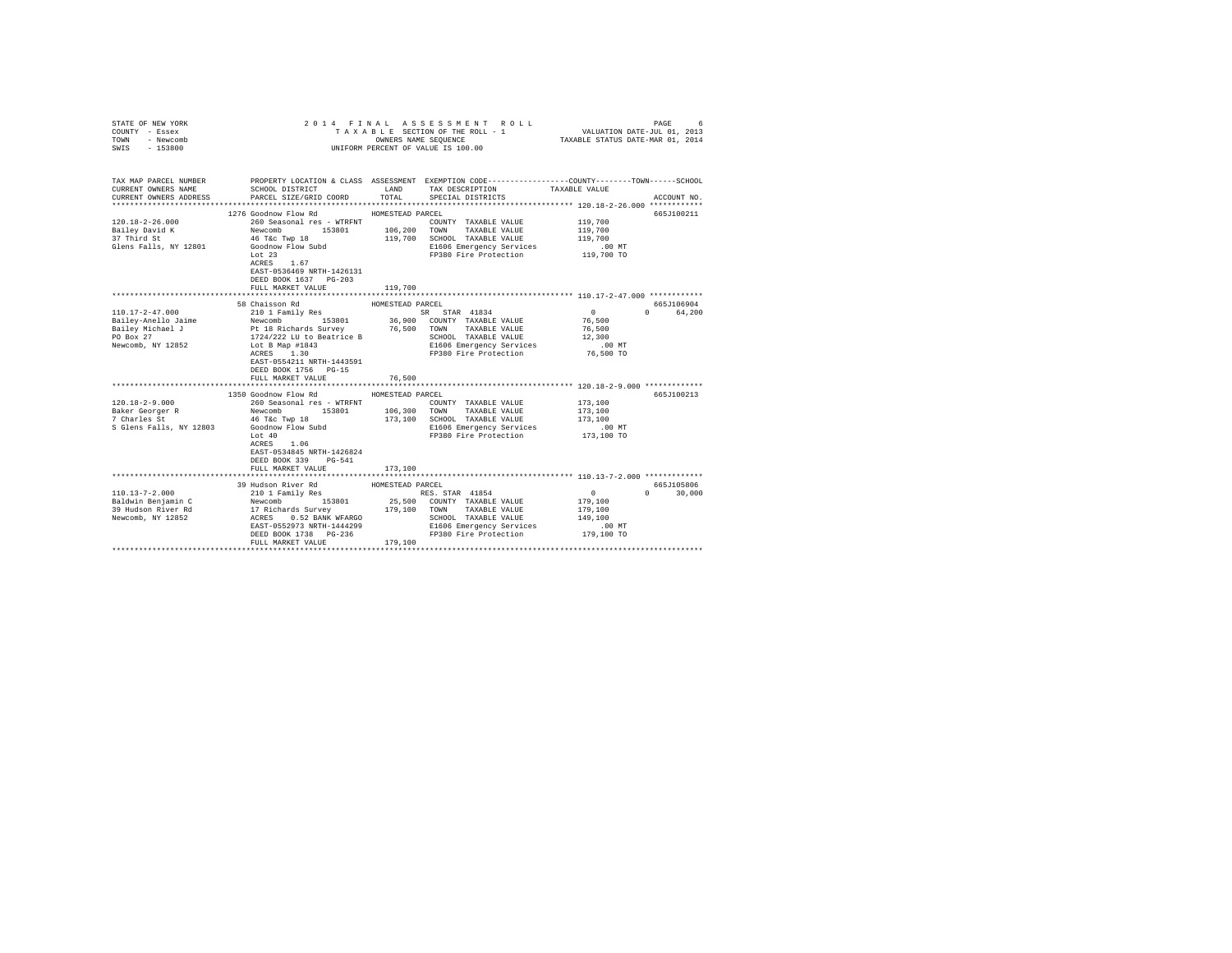| COUNTY - Essex<br>TOWN<br>- Newcomb<br>SWIS - 153800                                                                                                                                                                                                                                                                                                                            | UNIFORM PERCENT OF VALUE IS 100.00                                                                                                                                                                                                                               |                                            |                                                                                                                                                             |                                                                                                                          |                                               |
|---------------------------------------------------------------------------------------------------------------------------------------------------------------------------------------------------------------------------------------------------------------------------------------------------------------------------------------------------------------------------------|------------------------------------------------------------------------------------------------------------------------------------------------------------------------------------------------------------------------------------------------------------------|--------------------------------------------|-------------------------------------------------------------------------------------------------------------------------------------------------------------|--------------------------------------------------------------------------------------------------------------------------|-----------------------------------------------|
| TAX MAP PARCEL NUMBER<br>CURRENT OWNERS NAME<br>CURRENT OWNERS ADDRESS                                                                                                                                                                                                                                                                                                          | SCHOOL DISTRICT TAND TAX DESCRIPTION<br>PARCEL SIZE/GRID COORD                                                                                                                                                                                                   | TOTAL                                      | PROPERTY LOCATION & CLASS ASSESSMENT EXEMPTION CODE----------------COUNTY-------TOWN------SCHOOL<br>SPECIAL DISTRICTS                                       | TAXABLE VALUE                                                                                                            | ACCOUNT NO.                                   |
| $120.18 - 2 - 26.000$<br>Bailey David K<br>37 Third St<br>Glens Falls, NY 12801                                                                                                                                                                                                                                                                                                 | 1276 Goodnow Flow Rd MOMESTEAD PARCEL<br>EAST-0536469 NRTH-1426131<br>DEED BOOK 1637 PG-203<br>FULL MARKET VALUE                                                                                                                                                 | 119,700                                    | COUNTY TAXABLE VALUE<br>TAXABLE VALUE<br>119,700 SCHOOL TAXABLE VALUE<br>E1606 Emergency Services<br>FP380 Fire Protection 119,700 TO                       | 119,700<br>119,700<br>119,700<br>.00 MT                                                                                  | 665J100211                                    |
| $\begin{tabular}{l c c c c c} \multicolumn{1}{c}{\textbf{110.17--2-47.000}} & \multicolumn{1}{c}{\textbf{110.17--2-47.000}} & \multicolumn{1}{c}{\textbf{110.17--2-47.000}} & \multicolumn{1}{c}{\textbf{110.18--27.00}} & \multicolumn{1}{c}{\textbf{110.18--27.00}} & \multicolumn{1}{c}{\textbf{110.18--27.00}} & \multicolumn{1}{c}{\textbf{110.18--27.00}} & \multicolumn$ | 58 Chaisson Rd<br>EAST-0554211 NRTH-1443591<br>DEED BOOK 1756 PG-15<br>FULL MARKET VALUE<br>**************************                                                                                                                                           | HOMESTEAD PARCEL<br>76,500<br>************ | SR STAR 41834<br>SR STAR 41834<br>36,900 COUNTY TAXABLE VALUE<br>TAXABLE VALUE<br>SCHOOL TAXABLE VALUE<br>E1606 Emergency Services<br>FP380 Fire Protection | $\sim$ 0<br>76,500<br>76,500<br>12,300<br>$.00$ MT<br>76,500 TO<br>************************ 120.18-2-9.000 ************* | 665J106904<br>$\Omega$<br>64,200              |
| $120.18 - 2 - 9.000$<br>Baker Georger R<br>7 Charles St<br>S Glens Falls, NY 12803                                                                                                                                                                                                                                                                                              | 1350 Goodnow Flow Rd<br>260 Seasonal res - WTRFNT COUNTY TAXABLE VALUE<br>Newcomb 153801 106,300 TOWN TAXABLE VALUE<br>46 T&c Twp 18<br>Goodnow Flow Subd<br>Lot 40<br>ACRES 1.06<br>EAST-0534845 NRTH-1426824<br>DEED BOOK 339<br>$PG-541$<br>FULL MARKET VALUE | HOMESTEAD PARCEL<br>173,100                | COUNTY TAXABLE VALUE<br>173,100 SCHOOL TAXABLE VALUE<br>E1606 Emergency Services<br>FP380 Fire Protection                                                   | 173,100<br>173,100<br>173,100<br>.00 MT<br>173,100 TO                                                                    | 665J100213                                    |
|                                                                                                                                                                                                                                                                                                                                                                                 | 39 Hudson River Rd<br>DEED BOOK 1738 PG-236<br>FULL MARKET VALUE                                                                                                                                                                                                 | HOMESTEAD PARCEL<br>179,100                | FP380 Fire Protection 179,100 TO                                                                                                                            | $\sim$ 0<br>179,100<br>179,100<br>149,100<br>$.00$ MT                                                                    | 665J105806<br>30,000<br>$\Omega$ and $\Omega$ |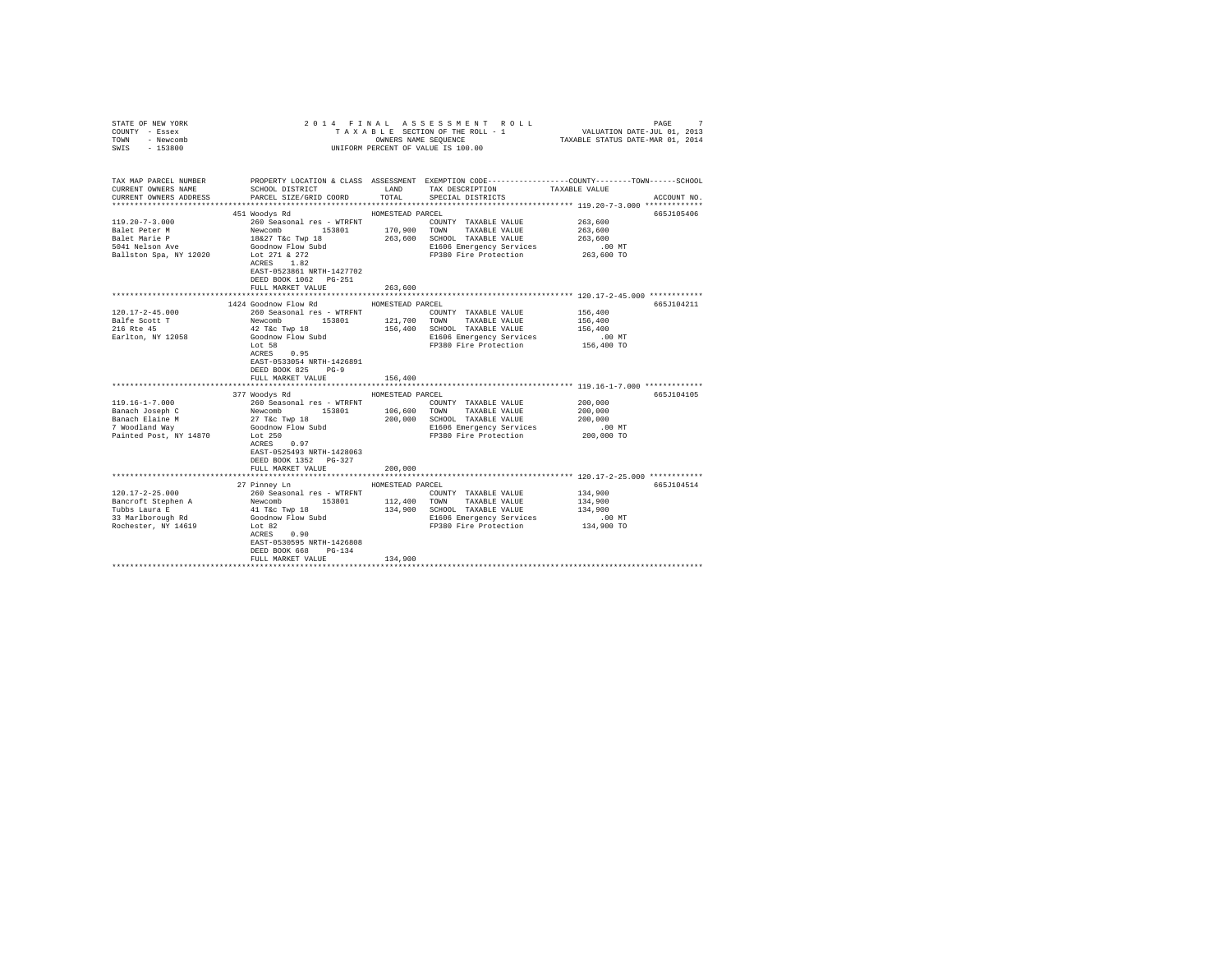| 2014 FINAL ASSESSMENT ROLL<br>STATE OF NEW YORK<br>VALUATION DATE-JUL 01, 2013<br>TAXABLE STATUS DATE-MAR 01, 2014<br>COUNTY - Essex<br>TAXABLE SECTION OF THE ROLL - 1<br>OWNERS NAME SEQUENCE<br>TOWN<br>- Newcomb<br>$-153800$<br>UNIFORM PERCENT OF VALUE IS 100.00<br>SWIS | 7<br>PAGE   |
|---------------------------------------------------------------------------------------------------------------------------------------------------------------------------------------------------------------------------------------------------------------------------------|-------------|
| PROPERTY LOCATION & CLASS ASSESSMENT EXEMPTION CODE---------------COUNTY-------TOWN------SCHOOL<br>TAX MAP PARCEL NUMBER                                                                                                                                                        |             |
| SCHOOL DISTRICT LAND<br>TAX DESCRIPTION TAXABLE VALUE<br>CURRENT OWNERS NAME                                                                                                                                                                                                    |             |
| TOTAL<br>CURRENT OWNERS ADDRESS<br>PARCEL SIZE/GRID COORD<br>SPECIAL DISTRICTS                                                                                                                                                                                                  | ACCOUNT NO. |
|                                                                                                                                                                                                                                                                                 |             |
| 451 Woodys Rd<br>HOMESTEAD PARCEL                                                                                                                                                                                                                                               | 665J105406  |
| $119.20 - 7 - 3.000$<br>260 Seasonal res - WTRFNT<br>263,600<br>COUNTY TAXABLE VALUE<br>153801<br>Balet Peter M<br>263,600                                                                                                                                                      |             |
| 170,900 TOWN TAXABLE VALUE<br>Newcomb 153<br>18&27 T&c Twp 18<br>263,600 SCHOOL TAXABLE VALUE<br>Balet Marie P<br>263,600                                                                                                                                                       |             |
| 5041 Nelson Ave<br>E1606 Emergency Services<br>$.00$ MT                                                                                                                                                                                                                         |             |
| Goodnow Flow Subd<br>Lot 271 & 272<br>263,600 TO<br>FP380 Fire Protection<br>Ballston Spa, NY 12020<br>Lot 271 & 272                                                                                                                                                            |             |
| ACRES 1.82                                                                                                                                                                                                                                                                      |             |
| EAST-0523861 NRTH-1427702                                                                                                                                                                                                                                                       |             |
| DEED BOOK 1062 PG-251                                                                                                                                                                                                                                                           |             |
| FULL MARKET VALUE<br>263,600                                                                                                                                                                                                                                                    |             |
|                                                                                                                                                                                                                                                                                 |             |
| 1424 Goodnow Flow Rd<br>HOMESTEAD PARCEL                                                                                                                                                                                                                                        | 665J104211  |
| $120.17 - 2 - 45.000$<br>260 Seasonal res - WTRFNT<br>COUNTY TAXABLE VALUE<br>156,400                                                                                                                                                                                           |             |
| Balfe Scott T<br>Newcomb 153801<br>42 T&c Twp 18<br>121,700<br>TOWN TAXABLE VALUE<br>156,400                                                                                                                                                                                    |             |
| 216 Rte 45<br>156,400 SCHOOL TAXABLE VALUE<br>156,400<br>$.00$ MT                                                                                                                                                                                                               |             |
| Goodnow Flow Subd<br>Earlton, NY 12058<br>E1606 Emergency Services<br>FP380 Fire Protection<br>156,400 TO<br>Lot 58                                                                                                                                                             |             |
| $ACRES$ 0.95                                                                                                                                                                                                                                                                    |             |
| EAST-0533054 NRTH-1426891                                                                                                                                                                                                                                                       |             |
| DEED BOOK 825 PG-9                                                                                                                                                                                                                                                              |             |
| 156,400<br>FULL MARKET VALUE                                                                                                                                                                                                                                                    |             |
|                                                                                                                                                                                                                                                                                 |             |
| 377 Woodys Rd<br>HOMESTEAD PARCEL                                                                                                                                                                                                                                               | 665J104105  |
| $119.16 - 1 - 7.000$<br>260 Seasonal res - WTRFNT<br>200,000<br>COUNTY TAXABLE VALUE                                                                                                                                                                                            |             |
| 106,600 TOWN TAXABLE VALUE<br>Banach Joseph C<br>Newcomb 153801<br>27 T&c Twp 18<br>200,000                                                                                                                                                                                     |             |
| 200,000 SCHOOL TAXABLE VALUE<br>Banach Elaine M<br>200,000                                                                                                                                                                                                                      |             |
| 7 Woodland Way<br>Goodnow Flow Subd<br>E1606 Emergency Services<br>$.00$ MT                                                                                                                                                                                                     |             |
| 200,000 TO<br>Painted Post, NY 14870<br>Lot 250<br>FP380 Fire Protection<br>ACRES 0.97                                                                                                                                                                                          |             |
| EAST-0525493 NRTH-1428063                                                                                                                                                                                                                                                       |             |
| DEED BOOK 1352 PG-327                                                                                                                                                                                                                                                           |             |
| FULL MARKET VALUE<br>200,000                                                                                                                                                                                                                                                    |             |
| ***************************** 120.17-2-25.000 ************                                                                                                                                                                                                                      |             |
| 27 Pinney Ln<br>HOMESTEAD PARCEL                                                                                                                                                                                                                                                | 665J104514  |
| $120.17 - 2 - 25.000$<br>134,900<br>260 Seasonal res - WTRFNT<br>COUNTY TAXABLE VALUE                                                                                                                                                                                           |             |
| 112,400 TOWN TAXABLE VALUE<br>Bancroft Stephen A<br>134,900                                                                                                                                                                                                                     |             |
| Newcomb 153801<br>41 T&c Twp 18<br>Tubbs Laura E<br>134,900 SCHOOL TAXABLE VALUE<br>134,900                                                                                                                                                                                     |             |
| Goodnow Flow Subd<br>33 Marlborough Rd<br>E1606 Emergency Services<br>$.00$ MT                                                                                                                                                                                                  |             |
| Lot 82<br>134,900 TO<br>FP380 Fire Protection<br>Rochester, NY 14619<br>$ACRES$ 0.90                                                                                                                                                                                            |             |
|                                                                                                                                                                                                                                                                                 |             |
| EAST-0530595 NRTH-1426808<br>DEED BOOK 668 PG-134                                                                                                                                                                                                                               |             |
| FULL MARKET VALUE<br>134,900                                                                                                                                                                                                                                                    |             |
|                                                                                                                                                                                                                                                                                 |             |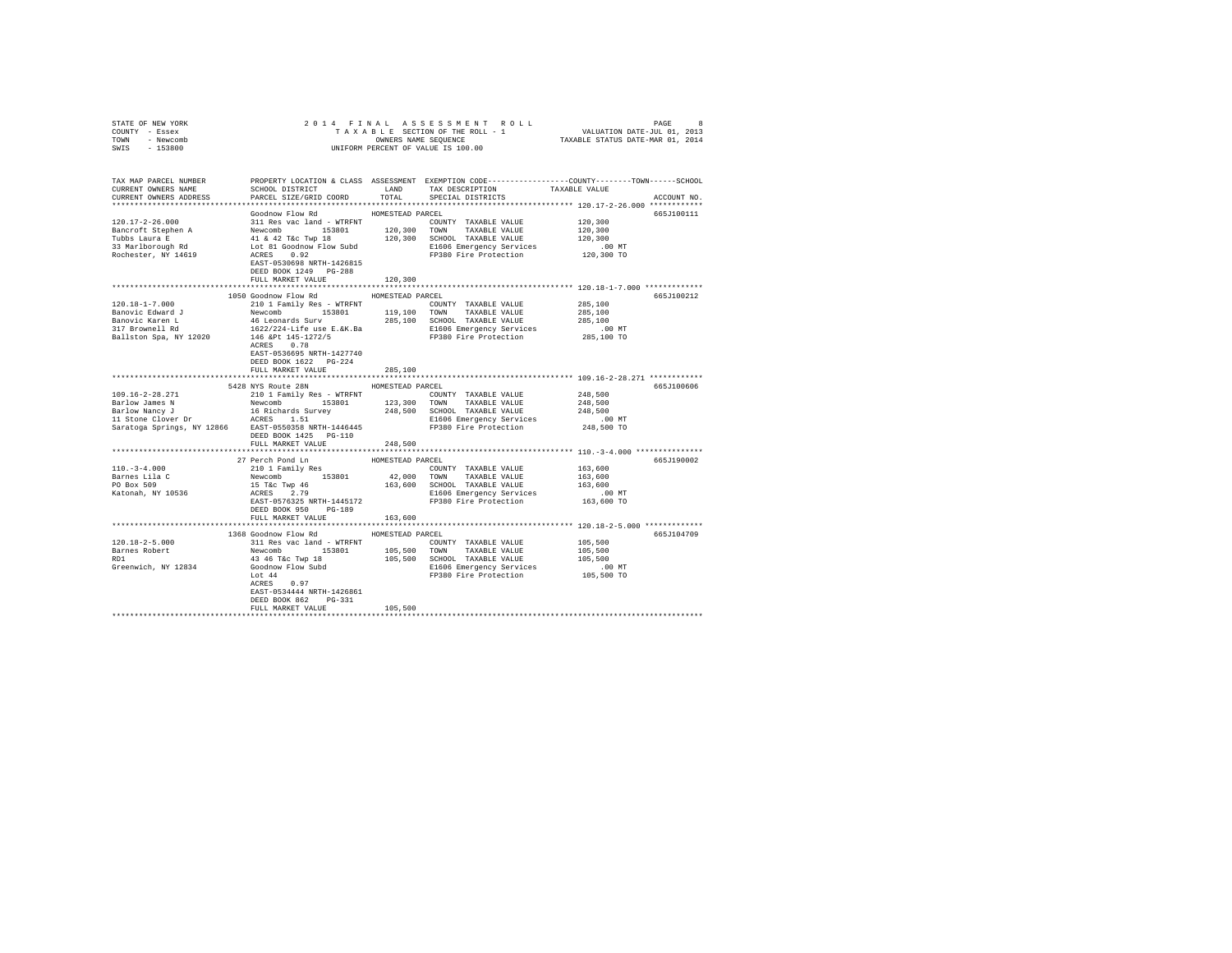| COUNTY - Essex<br>TOWN - Newcomb<br>SWIS - 153800                                                                                                                                                                                                                                                                                                                                               | UNIFORM PERCENT OF VALUE IS 100.00                                                             |                                      |                                                                                                                                                                                           |                                                                                                 |
|-------------------------------------------------------------------------------------------------------------------------------------------------------------------------------------------------------------------------------------------------------------------------------------------------------------------------------------------------------------------------------------------------|------------------------------------------------------------------------------------------------|--------------------------------------|-------------------------------------------------------------------------------------------------------------------------------------------------------------------------------------------|-------------------------------------------------------------------------------------------------|
|                                                                                                                                                                                                                                                                                                                                                                                                 |                                                                                                |                                      |                                                                                                                                                                                           |                                                                                                 |
| TAX MAP PARCEL NUMBER                                                                                                                                                                                                                                                                                                                                                                           |                                                                                                |                                      |                                                                                                                                                                                           | PROPERTY LOCATION & CLASS ASSESSMENT EXEMPTION CODE---------------COUNTY-------TOWN------SCHOOL |
| CURRENT OWNERS NAME                                                                                                                                                                                                                                                                                                                                                                             |                                                                                                |                                      |                                                                                                                                                                                           |                                                                                                 |
| CURRENT OWNERS ADDRESS                                                                                                                                                                                                                                                                                                                                                                          |                                                                                                |                                      |                                                                                                                                                                                           | ACCOUNT NO.                                                                                     |
|                                                                                                                                                                                                                                                                                                                                                                                                 | Goodnow Flow Rd                                                                                | HOMESTEAD PARCEL                     |                                                                                                                                                                                           | 665J100111                                                                                      |
|                                                                                                                                                                                                                                                                                                                                                                                                 |                                                                                                |                                      |                                                                                                                                                                                           |                                                                                                 |
|                                                                                                                                                                                                                                                                                                                                                                                                 |                                                                                                |                                      |                                                                                                                                                                                           | 120,300<br>120,300                                                                              |
|                                                                                                                                                                                                                                                                                                                                                                                                 |                                                                                                |                                      |                                                                                                                                                                                           | 120,300                                                                                         |
|                                                                                                                                                                                                                                                                                                                                                                                                 |                                                                                                |                                      |                                                                                                                                                                                           | $.00$ MT                                                                                        |
|                                                                                                                                                                                                                                                                                                                                                                                                 |                                                                                                |                                      |                                                                                                                                                                                           | 120,300 TO                                                                                      |
|                                                                                                                                                                                                                                                                                                                                                                                                 |                                                                                                |                                      |                                                                                                                                                                                           |                                                                                                 |
|                                                                                                                                                                                                                                                                                                                                                                                                 | DEED BOOK 1249 PG-288                                                                          |                                      |                                                                                                                                                                                           |                                                                                                 |
|                                                                                                                                                                                                                                                                                                                                                                                                 | FULL MARKET VALUE                                                                              | 120,300                              |                                                                                                                                                                                           | ************************* 120.18-1-7.000 *************                                          |
|                                                                                                                                                                                                                                                                                                                                                                                                 | 1050 Goodnow Flow Rd MOMESTEAD PARCEL                                                          |                                      |                                                                                                                                                                                           | 665J100212                                                                                      |
| 120.18-1-7.000                                                                                                                                                                                                                                                                                                                                                                                  | 210 1 Family Res - WTRFNT                                                                      |                                      | COUNTY TAXABLE VALUE                                                                                                                                                                      | 285,100                                                                                         |
|                                                                                                                                                                                                                                                                                                                                                                                                 |                                                                                                |                                      |                                                                                                                                                                                           |                                                                                                 |
|                                                                                                                                                                                                                                                                                                                                                                                                 |                                                                                                |                                      |                                                                                                                                                                                           |                                                                                                 |
|                                                                                                                                                                                                                                                                                                                                                                                                 |                                                                                                |                                      |                                                                                                                                                                                           |                                                                                                 |
|                                                                                                                                                                                                                                                                                                                                                                                                 |                                                                                                |                                      |                                                                                                                                                                                           |                                                                                                 |
| $\begin{tabular}{l c c c c c c c c} \multicolumn{1}{c c c c} \multicolumn{1}{c c c} \multicolumn{1}{c c c} \multicolumn{1}{c c c} \multicolumn{1}{c c c} \multicolumn{1}{c c c} \multicolumn{1}{c c c} \multicolumn{1}{c c c} \multicolumn{1}{c c c} \multicolumn{1}{c c c} \multicolumn{1}{c c c} \multicolumn{1}{c c c} \multicolumn{1}{c c c} \multicolumn{1}{c c c} \multicolumn{1}{c c c}$ |                                                                                                |                                      |                                                                                                                                                                                           |                                                                                                 |
|                                                                                                                                                                                                                                                                                                                                                                                                 | EAST-0536695 NRTH-1427740                                                                      |                                      |                                                                                                                                                                                           |                                                                                                 |
|                                                                                                                                                                                                                                                                                                                                                                                                 | DEED BOOK 1622 PG-224                                                                          |                                      |                                                                                                                                                                                           |                                                                                                 |
|                                                                                                                                                                                                                                                                                                                                                                                                 | FULL MARKET VALUE                                                                              | 285,100                              |                                                                                                                                                                                           |                                                                                                 |
|                                                                                                                                                                                                                                                                                                                                                                                                 | 5428 NYS Route 28N HOMESTEAD PARCEL                                                            |                                      |                                                                                                                                                                                           | 665J100606                                                                                      |
|                                                                                                                                                                                                                                                                                                                                                                                                 |                                                                                                |                                      | $\begin{tabular}{lllllll} \multicolumn{2}{l}{{\text{COUNTY}}} & \multicolumn{2}{l}{\text{TAXABLE}} & \multicolumn{2}{l}{\text{VALUE}} & \multicolumn{2}{l}{\text{248,500}} \end{tabular}$ |                                                                                                 |
|                                                                                                                                                                                                                                                                                                                                                                                                 |                                                                                                |                                      |                                                                                                                                                                                           | 248,500                                                                                         |
|                                                                                                                                                                                                                                                                                                                                                                                                 |                                                                                                |                                      |                                                                                                                                                                                           | 248,500                                                                                         |
|                                                                                                                                                                                                                                                                                                                                                                                                 |                                                                                                |                                      |                                                                                                                                                                                           | .00 MT                                                                                          |
|                                                                                                                                                                                                                                                                                                                                                                                                 |                                                                                                |                                      |                                                                                                                                                                                           | 248,500 TO                                                                                      |
|                                                                                                                                                                                                                                                                                                                                                                                                 | DEED BOOK 1425 PG-110                                                                          |                                      |                                                                                                                                                                                           |                                                                                                 |
|                                                                                                                                                                                                                                                                                                                                                                                                 | FULL MARKET VALUE                                                                              | 248,500                              |                                                                                                                                                                                           |                                                                                                 |
|                                                                                                                                                                                                                                                                                                                                                                                                 | 27 Perch Pond Ln                                                                               | ****************<br>HOMESTEAD PARCEL |                                                                                                                                                                                           | ********************************* 110.-3-4.000 ****************<br>665J190002                   |
| $110. - 3 - 4.000$                                                                                                                                                                                                                                                                                                                                                                              |                                                                                                |                                      | COUNTY TAXABLE VALUE                                                                                                                                                                      | 163,600                                                                                         |
|                                                                                                                                                                                                                                                                                                                                                                                                 |                                                                                                |                                      |                                                                                                                                                                                           |                                                                                                 |
| Barnes Lila C<br>PO Box 509                                                                                                                                                                                                                                                                                                                                                                     |                                                                                                |                                      | 42,000 TOWN TAXABLE VALUE<br>163,600 SCHOOL TAXABLE VALUE                                                                                                                                 |                                                                                                 |
| Katonah, NY 10536                                                                                                                                                                                                                                                                                                                                                                               |                                                                                                |                                      | E1606 Emergency Services                                                                                                                                                                  |                                                                                                 |
|                                                                                                                                                                                                                                                                                                                                                                                                 | 210 1 Family Res<br>Newcomb 153801<br>15 Tac Twp 46<br>ACRES 2.79<br>EAST-0576325 NRTH-1445172 |                                      | FP380 Fire Protection                                                                                                                                                                     | 163,600<br>163,600<br>00 MT<br>163,600 TO                                                       |
|                                                                                                                                                                                                                                                                                                                                                                                                 | DEED BOOK 950 PG-189                                                                           |                                      |                                                                                                                                                                                           |                                                                                                 |
|                                                                                                                                                                                                                                                                                                                                                                                                 | FULL MARKET VALUE 163.600                                                                      |                                      |                                                                                                                                                                                           |                                                                                                 |
|                                                                                                                                                                                                                                                                                                                                                                                                 |                                                                                                |                                      |                                                                                                                                                                                           |                                                                                                 |
|                                                                                                                                                                                                                                                                                                                                                                                                 | 1368 Goodnow Flow Rd HOMESTEAD PARCEL                                                          |                                      |                                                                                                                                                                                           | 665J104709                                                                                      |
|                                                                                                                                                                                                                                                                                                                                                                                                 |                                                                                                |                                      |                                                                                                                                                                                           |                                                                                                 |
|                                                                                                                                                                                                                                                                                                                                                                                                 |                                                                                                |                                      |                                                                                                                                                                                           |                                                                                                 |
|                                                                                                                                                                                                                                                                                                                                                                                                 |                                                                                                |                                      |                                                                                                                                                                                           |                                                                                                 |
|                                                                                                                                                                                                                                                                                                                                                                                                 |                                                                                                |                                      |                                                                                                                                                                                           |                                                                                                 |
|                                                                                                                                                                                                                                                                                                                                                                                                 | ACRES 0.97                                                                                     |                                      |                                                                                                                                                                                           |                                                                                                 |
|                                                                                                                                                                                                                                                                                                                                                                                                 | EAST-0534444 NRTH-1426861                                                                      |                                      |                                                                                                                                                                                           |                                                                                                 |
|                                                                                                                                                                                                                                                                                                                                                                                                 | DEED BOOK 862 PG-331                                                                           |                                      |                                                                                                                                                                                           |                                                                                                 |
|                                                                                                                                                                                                                                                                                                                                                                                                 | FULL MARKET VALUE                                                                              | 105,500                              |                                                                                                                                                                                           |                                                                                                 |
|                                                                                                                                                                                                                                                                                                                                                                                                 |                                                                                                |                                      |                                                                                                                                                                                           |                                                                                                 |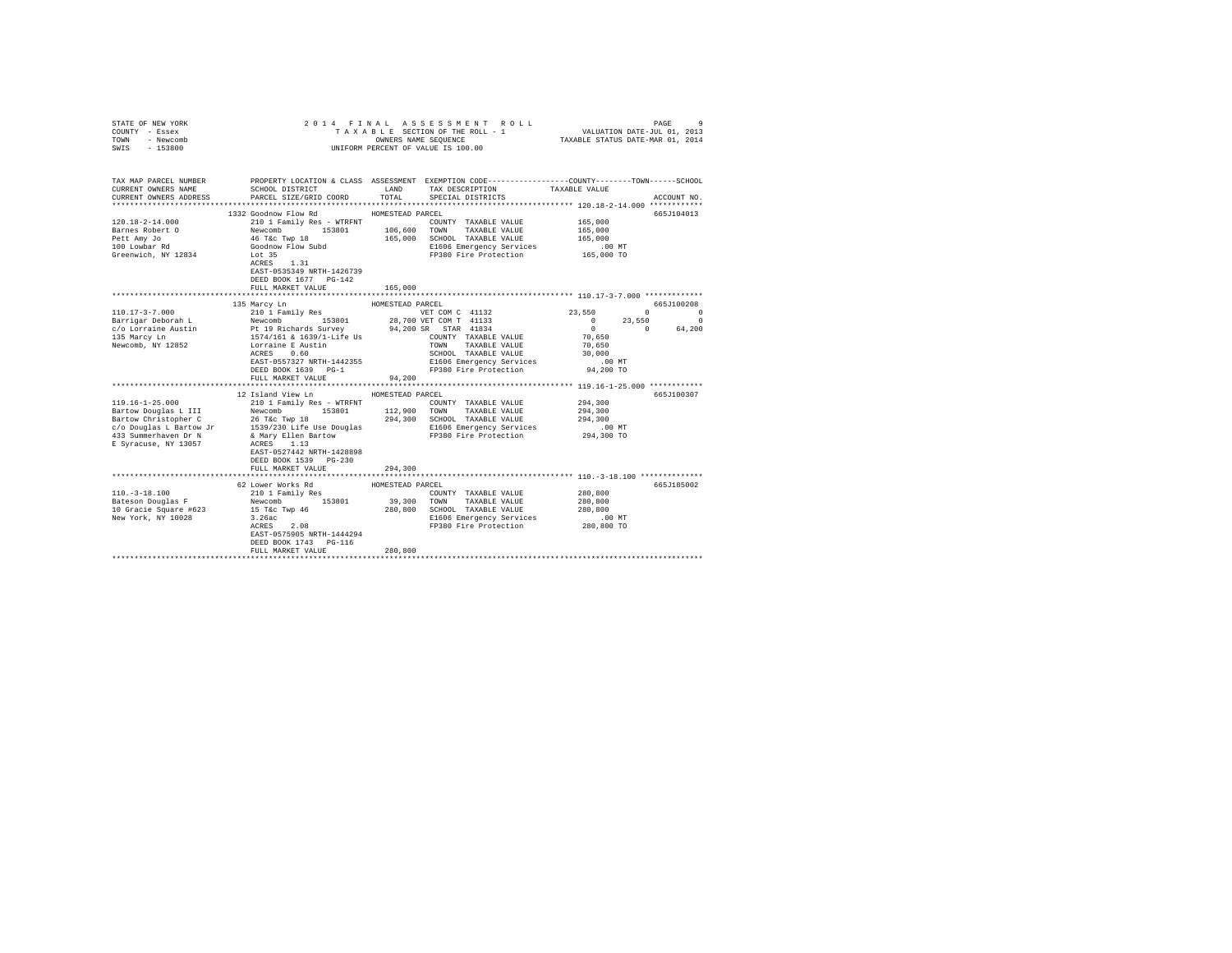| COUNTY - Essex<br>TOWN<br>- Newcomb<br>$-153800$<br>SWIS                                        | UNIFORM PERCENT OF VALUE IS 100.00                                                                                                                                                                                                                                                                                                                                                        |                                       |                                                                                                                                                                                                 |                                                                           |                                                                              |
|-------------------------------------------------------------------------------------------------|-------------------------------------------------------------------------------------------------------------------------------------------------------------------------------------------------------------------------------------------------------------------------------------------------------------------------------------------------------------------------------------------|---------------------------------------|-------------------------------------------------------------------------------------------------------------------------------------------------------------------------------------------------|---------------------------------------------------------------------------|------------------------------------------------------------------------------|
| TAX MAP PARCEL NUMBER<br>CURRENT OWNERS NAME<br>CURRENT OWNERS ADDRESS                          | PROPERTY LOCATION & CLASS ASSESSMENT EXEMPTION CODE----------------COUNTY-------TOWN------SCHOOL<br>SCHOOL DISTRICT<br>PARCEL SIZE/GRID COORD                                                                                                                                                                                                                                             | TOTAL                                 | LAND TAX DESCRIPTION<br>SPECIAL DISTRICTS                                                                                                                                                       | TAXABLE VALUE                                                             | ACCOUNT NO.                                                                  |
| $120.18 - 2 - 14.000$<br>Barnes Robert O<br>Pett Amy Jo<br>100 Lowbar Rd<br>Greenwich, NY 12834 | 1332 Goodnow Flow Rd<br>210 1 Family Res - WTRFNT COUNT Newcomb 153801 106,600 TOWN<br>Newcomb 153801<br>46 T&c Twp 18<br>Goodnow Flow Subd<br>Lot 35<br>ACRES 1.31<br>EAST-0535349 NRTH-1426739<br>DEED BOOK 1677 PG-142<br>FULL MARKET VALUE                                                                                                                                            | HOMESTEAD PARCEL<br>165,000           | COUNTY TAXABLE VALUE<br>TAXABLE VALUE<br>165,000 SCHOOL TAXABLE VALUE<br>E1606 Emergency Services<br>FP380 Fire Protection                                                                      | 165,000<br>165,000<br>165,000<br>.00 MT<br>165,000 TO                     | 665J104013                                                                   |
|                                                                                                 | 135 Marcy Ln<br>EAST-0557327 NRTH-1442355<br>DEED BOOK 1639 PG-1<br>FULL MARKET VALUE                                                                                                                                                                                                                                                                                                     | HOMESTEAD PARCEL<br>94,200            | VET COM C 41132<br>28,700 VET COM T 41133<br>94,200 SR STAR 41834<br>COUNTY TAXABLE VALUE<br>TOWN<br>TAXABLE VALUE<br>SCHOOL TAXABLE VALUE<br>E1606 Emergency Services<br>FP380 Fire Protection | 23,550<br>$\sim$ 0<br>70,650<br>70,650<br>30,000<br>$.00$ MT<br>94,200 TO | 665J100208<br>$\sim$ 0<br>$\sim$ 0<br>23,550<br>$\overline{0}$<br>0 $64,200$ |
| 119.16-1-25.000<br>Bartow Douglas L III                                                         | 12 Island View Ln<br>210 1 Family Res - WTRFNT<br>Newcomb 153801<br>Bartow Christopher C<br>Bartow Christopher C<br>C/O Douglas L Bartow Jr 1539/230 Life Use Douglas<br>El606 Emergency Services<br>294,300 204000 EL606 Emergency Services<br>294,300 EL606 Emergency Services<br>294,300 EL606 Emergency Se<br>EAST-0527442 NRTH-1428898<br>DEED BOOK 1539 PG-230<br>FULL MARKET VALUE | HOMESTEAD PARCEL<br>294,300           | COUNTY TAXABLE VALUE<br>112,900 TOWN TAXABLE VALUE<br>FP380 Fire Protection                                                                                                                     | 294,300<br>294,300<br>294,300<br>.00 MT<br>294,300 TO                     | 665J100307                                                                   |
| $110. - 3 - 18.100$<br>New York, NY 10028                                                       | 62 Lower Works Rd<br>210 1 Family Res<br>Pateson Douglas F<br>Bateson Douglas F<br>10 Gracie Square #623<br>15 T&c Twp 46<br>153801<br>$3.26ac$<br>ACRES 2.08<br>EAST-0575905 NRTH-1444294<br>DEED BOOK 1743 PG-116<br>FULL MARKET VALUE                                                                                                                                                  | HOMESTEAD PARCEL<br>39,300<br>280,800 | COUNTY TAXABLE VALUE<br>TOWN TAXABLE VALUE<br>280,800 SCHOOL TAXABLE VALUE<br>E1606 Emergency Services<br>FP380 Fire Protection                                                                 | 280,800<br>280,800<br>280,800<br>$.00$ MT<br>280,800 TO                   | 665J185002                                                                   |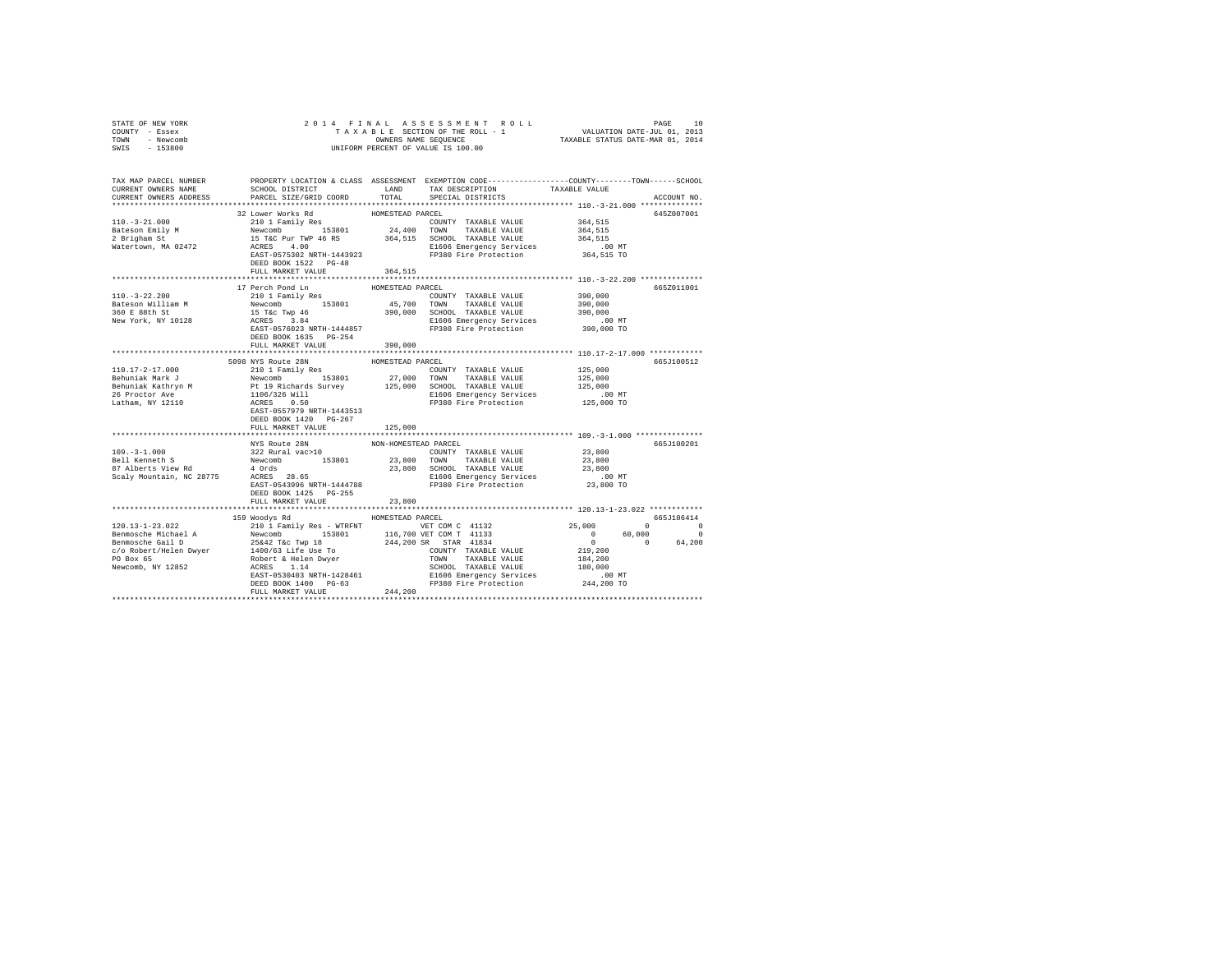| STATE OF NEW YORK<br>COUNTY - Essex<br>TOWN - Newcomb<br>SWIS - 153800                                                                                                                                                           | OWNERS NAME SEQUENCE<br>UNIFORM PERCENT OF VALUE IS 100.00 |                      |                                                                                                                                                                                                                                                                                                                                                                     |                    |             |
|----------------------------------------------------------------------------------------------------------------------------------------------------------------------------------------------------------------------------------|------------------------------------------------------------|----------------------|---------------------------------------------------------------------------------------------------------------------------------------------------------------------------------------------------------------------------------------------------------------------------------------------------------------------------------------------------------------------|--------------------|-------------|
|                                                                                                                                                                                                                                  |                                                            |                      |                                                                                                                                                                                                                                                                                                                                                                     |                    |             |
| TAX MAP PARCEL NUMBER PROPERTY LOCATION & CLASS ASSESSMENT EXEMPTION CODE--------------COUNTY--------TOWN-----SCHOOL<br>CURRENT OWNERS NAME                                                                                      | SCHOOL DISTRICT TAND TAX DESCRIPTION                       |                      |                                                                                                                                                                                                                                                                                                                                                                     | TAXABLE VALUE      |             |
| CURRENT OWNERS ADDRESS                                                                                                                                                                                                           | PARCEL SIZE/GRID COORD                                     | TOTAL                | SPECIAL DISTRICTS                                                                                                                                                                                                                                                                                                                                                   |                    | ACCOUNT NO. |
|                                                                                                                                                                                                                                  |                                                            |                      |                                                                                                                                                                                                                                                                                                                                                                     |                    |             |
|                                                                                                                                                                                                                                  |                                                            |                      |                                                                                                                                                                                                                                                                                                                                                                     |                    | 645Z007001  |
| $110.-3-21.000$                                                                                                                                                                                                                  |                                                            |                      |                                                                                                                                                                                                                                                                                                                                                                     | 364,515            |             |
|                                                                                                                                                                                                                                  |                                                            |                      |                                                                                                                                                                                                                                                                                                                                                                     | 364,515            |             |
| Bateson Emily M<br>2 Brigham St<br>Watertown, MA 02472                                                                                                                                                                           |                                                            |                      |                                                                                                                                                                                                                                                                                                                                                                     |                    |             |
|                                                                                                                                                                                                                                  |                                                            |                      | 32 Lower Works Rd<br>210 1 Family Res<br>Newcomb 153801 24,400 TOWNY TAXABLE VALUE<br>15 T&C Pur TWP 46 RS<br>15 T&C PUR 26,515 SCHOOL TAXABLE VALUE<br>15 T&C PUR 264,515 SCHOOL TAXABLE VALUE<br>REST-0575302 NRTH-1443923<br>FP380 Fire P                                                                                                                        |                    |             |
|                                                                                                                                                                                                                                  | DEED BOOK 1522 PG-48                                       |                      |                                                                                                                                                                                                                                                                                                                                                                     |                    |             |
|                                                                                                                                                                                                                                  | FULL MARKET VALUE                                          | 364.515              |                                                                                                                                                                                                                                                                                                                                                                     |                    |             |
|                                                                                                                                                                                                                                  |                                                            |                      |                                                                                                                                                                                                                                                                                                                                                                     |                    |             |
|                                                                                                                                                                                                                                  | 17 Perch Pond Ln                                           | HOMESTEAD PARCEL     |                                                                                                                                                                                                                                                                                                                                                                     |                    | 665Z011001  |
| $110.-3-22.200$                                                                                                                                                                                                                  | 210 1 Family Res                                           |                      | COUNTY TAXABLE VALUE                                                                                                                                                                                                                                                                                                                                                |                    |             |
|                                                                                                                                                                                                                                  |                                                            |                      |                                                                                                                                                                                                                                                                                                                                                                     | 390,000<br>390,000 |             |
| Bateson William M<br>360 E 88th St                                                                                                                                                                                               |                                                            |                      |                                                                                                                                                                                                                                                                                                                                                                     |                    |             |
| New York, NY 10128                                                                                                                                                                                                               |                                                            |                      |                                                                                                                                                                                                                                                                                                                                                                     |                    |             |
|                                                                                                                                                                                                                                  |                                                            |                      | $\begin{tabular}{l c c c c c} \multicolumn{1}{c}{\textbf{12.11} \quad \quad }} & \textbf{13.12} & \textbf{14.13} & \textbf{15.13} & \textbf{15.14} & \textbf{15.15} & \textbf{15.15} & \textbf{15.15} & \textbf{15.15} & \textbf{15.15} & \textbf{15.15} & \textbf{15.15} & \textbf{15.15} & \textbf{15.15} & \textbf{15.15} & \textbf{15.15} & \textbf{15.15} & \$ |                    |             |
|                                                                                                                                                                                                                                  |                                                            |                      |                                                                                                                                                                                                                                                                                                                                                                     |                    |             |
|                                                                                                                                                                                                                                  | FULL MARKET VALUE                                          | 390,000              |                                                                                                                                                                                                                                                                                                                                                                     |                    |             |
|                                                                                                                                                                                                                                  | 5098 NYS Route 28N                                         |                      |                                                                                                                                                                                                                                                                                                                                                                     |                    |             |
| 110.17-2-17.000                                                                                                                                                                                                                  | 210 1 Family Res                                           | HOMESTEAD PARCEL     |                                                                                                                                                                                                                                                                                                                                                                     | 125,000            | 665J100512  |
|                                                                                                                                                                                                                                  |                                                            |                      | COUNTY TAXABLE VALUE                                                                                                                                                                                                                                                                                                                                                |                    |             |
|                                                                                                                                                                                                                                  |                                                            |                      |                                                                                                                                                                                                                                                                                                                                                                     |                    |             |
|                                                                                                                                                                                                                                  |                                                            |                      |                                                                                                                                                                                                                                                                                                                                                                     |                    |             |
|                                                                                                                                                                                                                                  |                                                            |                      |                                                                                                                                                                                                                                                                                                                                                                     |                    |             |
| 1991 - All Mark J. Monte (1992)<br>The Mark School (1993) - 1992 - 1993 - 1994 - 1994 - 1994 - 1994 - 1994 - 1994 - 1994 - 1994 - 1994 - 1994 - 1994 - 1994 - 1994 - 1994 - 1994 - 1994 - 1994 - 1994 - 1994 - 1994 - 1994 - 199 |                                                            |                      |                                                                                                                                                                                                                                                                                                                                                                     |                    |             |
|                                                                                                                                                                                                                                  | DEED BOOK 1420 PG-267                                      |                      |                                                                                                                                                                                                                                                                                                                                                                     |                    |             |
|                                                                                                                                                                                                                                  | FULL MARKET VALUE                                          | 125,000              |                                                                                                                                                                                                                                                                                                                                                                     |                    |             |
|                                                                                                                                                                                                                                  |                                                            |                      |                                                                                                                                                                                                                                                                                                                                                                     |                    |             |
|                                                                                                                                                                                                                                  | NYS Route 28N                                              | NON-HOMESTEAD PARCEL |                                                                                                                                                                                                                                                                                                                                                                     |                    | 665J100201  |
|                                                                                                                                                                                                                                  |                                                            |                      |                                                                                                                                                                                                                                                                                                                                                                     |                    |             |
|                                                                                                                                                                                                                                  |                                                            |                      |                                                                                                                                                                                                                                                                                                                                                                     |                    |             |
|                                                                                                                                                                                                                                  |                                                            |                      |                                                                                                                                                                                                                                                                                                                                                                     |                    |             |
|                                                                                                                                                                                                                                  |                                                            |                      |                                                                                                                                                                                                                                                                                                                                                                     |                    |             |
|                                                                                                                                                                                                                                  | DEED BOOK 1425 PG-255                                      |                      |                                                                                                                                                                                                                                                                                                                                                                     |                    |             |
|                                                                                                                                                                                                                                  | FULL MARKET VALUE                                          | 23,800               |                                                                                                                                                                                                                                                                                                                                                                     |                    |             |
|                                                                                                                                                                                                                                  |                                                            |                      |                                                                                                                                                                                                                                                                                                                                                                     |                    |             |
|                                                                                                                                                                                                                                  | 159 Woodys Rd                                              | HOMESTEAD PARCEL     |                                                                                                                                                                                                                                                                                                                                                                     |                    | 665.7106414 |
|                                                                                                                                                                                                                                  |                                                            |                      |                                                                                                                                                                                                                                                                                                                                                                     |                    |             |
|                                                                                                                                                                                                                                  |                                                            |                      |                                                                                                                                                                                                                                                                                                                                                                     |                    |             |
|                                                                                                                                                                                                                                  |                                                            |                      |                                                                                                                                                                                                                                                                                                                                                                     |                    |             |
|                                                                                                                                                                                                                                  |                                                            |                      |                                                                                                                                                                                                                                                                                                                                                                     |                    |             |
|                                                                                                                                                                                                                                  |                                                            |                      |                                                                                                                                                                                                                                                                                                                                                                     |                    |             |
|                                                                                                                                                                                                                                  |                                                            |                      |                                                                                                                                                                                                                                                                                                                                                                     |                    |             |
|                                                                                                                                                                                                                                  |                                                            |                      |                                                                                                                                                                                                                                                                                                                                                                     |                    |             |
|                                                                                                                                                                                                                                  |                                                            |                      |                                                                                                                                                                                                                                                                                                                                                                     |                    |             |
|                                                                                                                                                                                                                                  |                                                            |                      |                                                                                                                                                                                                                                                                                                                                                                     |                    |             |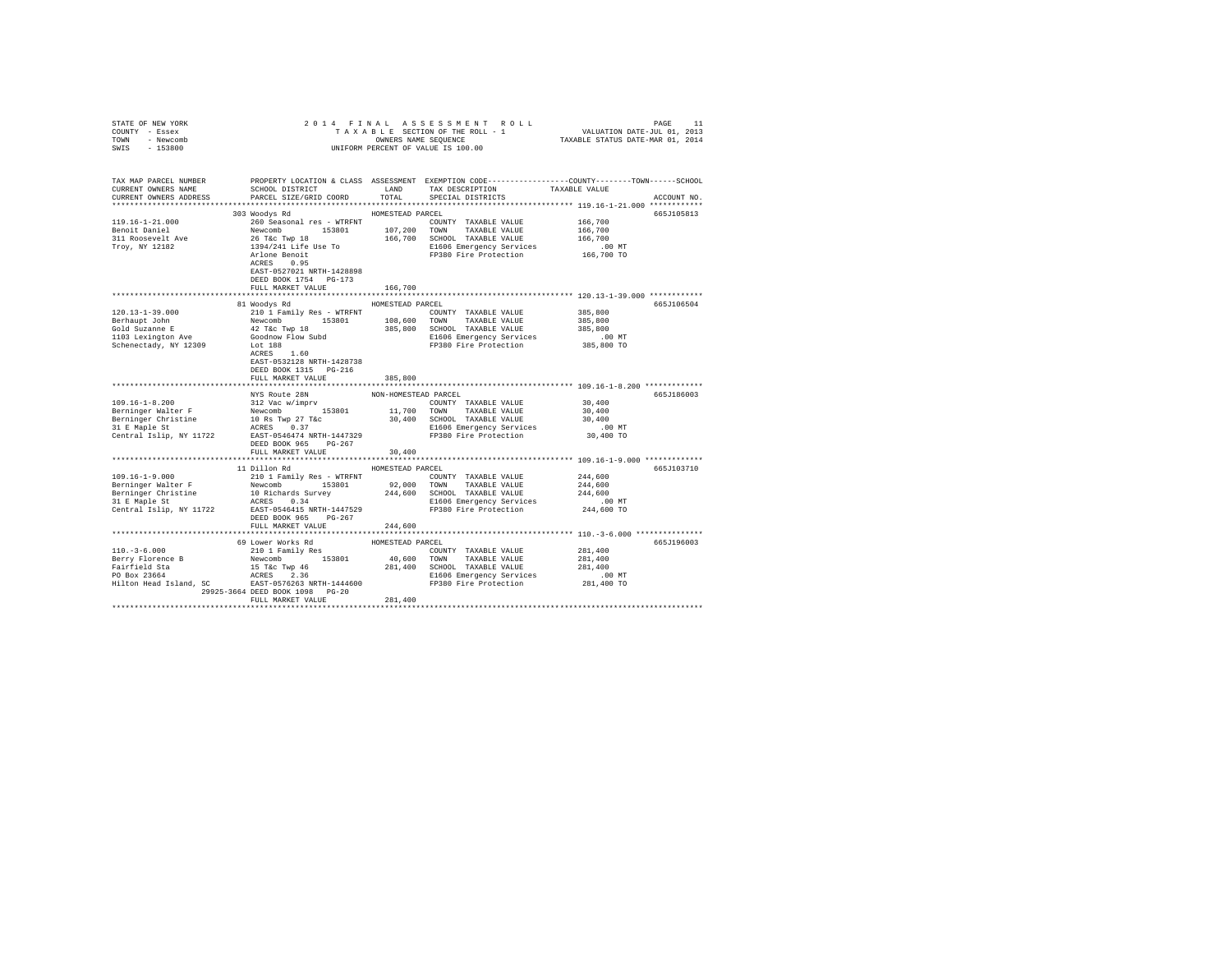| STATE OF NEW YORK                                                                                                                                                                                                                                                                          |                                       |                  |                                                                                                                                                              |                      |             |
|--------------------------------------------------------------------------------------------------------------------------------------------------------------------------------------------------------------------------------------------------------------------------------------------|---------------------------------------|------------------|--------------------------------------------------------------------------------------------------------------------------------------------------------------|----------------------|-------------|
| COUNTY - Essex                                                                                                                                                                                                                                                                             |                                       |                  | 2014 FINAL ASSESSMENT ROLL PACE 11<br>TAXABLE SECTION OF THE ROLL - 1 VALUATION DATE-JUL 01, 2013<br>OWNERS NAME SEQUENCE 1 TAXABLE STATUS DATE-MAR 01, 2014 |                      |             |
| TOWN - Newcomb                                                                                                                                                                                                                                                                             |                                       |                  |                                                                                                                                                              |                      |             |
| SWIS - 153800                                                                                                                                                                                                                                                                              |                                       |                  |                                                                                                                                                              |                      |             |
|                                                                                                                                                                                                                                                                                            |                                       |                  |                                                                                                                                                              |                      |             |
|                                                                                                                                                                                                                                                                                            |                                       |                  |                                                                                                                                                              |                      |             |
| TAX MAP PARCEL NUMBER                                                                                                                                                                                                                                                                      |                                       |                  | PROPERTY LOCATION & CLASS ASSESSMENT EXEMPTION CODE---------------COUNTY-------TOWN------SCHOOL                                                              |                      |             |
| CURRENT OWNERS NAME                                                                                                                                                                                                                                                                        | SCHOOL DISTRICT                       | LAND             | TAX DESCRIPTION                                                                                                                                              | TAXABLE VALUE        |             |
| CURRENT OWNERS ADDRESS                                                                                                                                                                                                                                                                     | PARCEL SIZE/GRID COORD                | TOTAL            | SPECIAL DISTRICTS                                                                                                                                            |                      | ACCOUNT NO. |
|                                                                                                                                                                                                                                                                                            |                                       |                  |                                                                                                                                                              |                      |             |
|                                                                                                                                                                                                                                                                                            | 303 Woodys Rd                         | HOMESTEAD PARCEL |                                                                                                                                                              |                      | 665J105813  |
|                                                                                                                                                                                                                                                                                            |                                       |                  | COUNTY TAXABLE VALUE 166,700                                                                                                                                 |                      |             |
|                                                                                                                                                                                                                                                                                            |                                       |                  |                                                                                                                                                              | 166,700              |             |
| $\begin{tabular}{l c c c c c} \hline 119.16-1-21.000 & 260\,\, & 260\,\, & 260\,\, & 260\,\, & 260\,\, & 260\,\, & 260\,\, & 260\,\, & 260\,\, & 260\,\, & 260\,\, & 260\,\, & 260\,\, & 260\,\, & 260\,\, & 260\,\, & 260\,\, & 260\,\, & 260\,\, & 260\,\, & 260\,\, & 260\,\, & 260\,\$ |                                       |                  |                                                                                                                                                              | 166,700              |             |
|                                                                                                                                                                                                                                                                                            |                                       |                  |                                                                                                                                                              |                      |             |
|                                                                                                                                                                                                                                                                                            |                                       |                  | E1606 Emergency Services 6.00 MT<br>FP380 Fire Protection 166,700 TO                                                                                         |                      |             |
|                                                                                                                                                                                                                                                                                            | ACRES 0.95                            |                  |                                                                                                                                                              |                      |             |
|                                                                                                                                                                                                                                                                                            |                                       |                  |                                                                                                                                                              |                      |             |
|                                                                                                                                                                                                                                                                                            | EAST-0527021 NRTH-1428898             |                  |                                                                                                                                                              |                      |             |
|                                                                                                                                                                                                                                                                                            | DEED BOOK 1754 PG-173                 |                  |                                                                                                                                                              |                      |             |
|                                                                                                                                                                                                                                                                                            | FULL MARKET VALUE                     | 166,700          |                                                                                                                                                              |                      |             |
|                                                                                                                                                                                                                                                                                            |                                       |                  |                                                                                                                                                              |                      |             |
|                                                                                                                                                                                                                                                                                            | 81 Woodys Rd                          | HOMESTEAD PARCEL |                                                                                                                                                              |                      | 665J106504  |
|                                                                                                                                                                                                                                                                                            |                                       |                  |                                                                                                                                                              |                      |             |
|                                                                                                                                                                                                                                                                                            |                                       |                  |                                                                                                                                                              |                      |             |
|                                                                                                                                                                                                                                                                                            |                                       |                  |                                                                                                                                                              |                      |             |
| $[100.13-1-39.000 \label{eq:1000} 120.13-1-39.000 \label{eq:1000} 120.13-1-39.000 \label{eq:1000} 120.13-1-39.000 \label{eq:1000} 120.12-1-39.000 \label{eq:1000} 120.12-1-39.000 \label{eq:1000} 120.12-1-39.000 \label{eq:1000} 120.12-1-39.000 \label{eq:1000} 120.12-1-39$             |                                       |                  |                                                                                                                                                              |                      |             |
|                                                                                                                                                                                                                                                                                            |                                       |                  |                                                                                                                                                              |                      |             |
|                                                                                                                                                                                                                                                                                            |                                       |                  |                                                                                                                                                              |                      |             |
|                                                                                                                                                                                                                                                                                            | EAST-0532128 NRTH-1428738             |                  |                                                                                                                                                              |                      |             |
|                                                                                                                                                                                                                                                                                            | DEED BOOK 1315 PG-216                 |                  |                                                                                                                                                              |                      |             |
|                                                                                                                                                                                                                                                                                            | FULL MARKET VALUE                     | 385,800          |                                                                                                                                                              |                      |             |
|                                                                                                                                                                                                                                                                                            |                                       |                  |                                                                                                                                                              |                      |             |
|                                                                                                                                                                                                                                                                                            | NYS Route 28N NON-HOMESTEAD PARCEL    |                  |                                                                                                                                                              |                      | 665J186003  |
|                                                                                                                                                                                                                                                                                            |                                       |                  |                                                                                                                                                              | 30,400               |             |
|                                                                                                                                                                                                                                                                                            |                                       |                  |                                                                                                                                                              | 30,400               |             |
| $[109.16-1-8.200$ $[109.16-1-8.200$ $[109.16-1-8.200$ $[109.16-1-8.200$ $[109.16-10.8 {\rm\thinspace Tw}]}$ $[109.16-1-8.200$ $[109.16-10.8 {\rm\thinspace Tw}]}$ $[109.16-1-8.200$ $[109.16-10.8 {\rm\thinspace Tw}]}$ $[109.16-1-8.200$ $[109.16-10.8 {\rm\thinspace Tw}]}$              |                                       |                  |                                                                                                                                                              | 30,400               |             |
|                                                                                                                                                                                                                                                                                            |                                       |                  |                                                                                                                                                              |                      |             |
|                                                                                                                                                                                                                                                                                            |                                       |                  |                                                                                                                                                              | $.00$ MT             |             |
|                                                                                                                                                                                                                                                                                            |                                       |                  |                                                                                                                                                              | 30,400 TO            |             |
|                                                                                                                                                                                                                                                                                            | DEED BOOK 965 PG-267                  |                  |                                                                                                                                                              |                      |             |
|                                                                                                                                                                                                                                                                                            | FULL MARKET VALUE                     | 30,400           |                                                                                                                                                              |                      |             |
|                                                                                                                                                                                                                                                                                            |                                       |                  |                                                                                                                                                              |                      |             |
|                                                                                                                                                                                                                                                                                            | 11 Dillon Rd                          | HOMESTEAD PARCEL |                                                                                                                                                              |                      | 665J103710  |
|                                                                                                                                                                                                                                                                                            |                                       |                  |                                                                                                                                                              |                      |             |
|                                                                                                                                                                                                                                                                                            |                                       |                  |                                                                                                                                                              |                      |             |
|                                                                                                                                                                                                                                                                                            |                                       |                  |                                                                                                                                                              |                      |             |
|                                                                                                                                                                                                                                                                                            |                                       |                  |                                                                                                                                                              |                      |             |
|                                                                                                                                                                                                                                                                                            |                                       |                  |                                                                                                                                                              |                      |             |
|                                                                                                                                                                                                                                                                                            | DEED BOOK 965 PG-267                  |                  |                                                                                                                                                              |                      |             |
|                                                                                                                                                                                                                                                                                            | FULL MARKET VALUE                     | 244,600          |                                                                                                                                                              |                      |             |
|                                                                                                                                                                                                                                                                                            |                                       |                  |                                                                                                                                                              |                      |             |
|                                                                                                                                                                                                                                                                                            |                                       | HOMESTEAD PARCEL |                                                                                                                                                              |                      | 665J196003  |
| $110 - 3 - 6.000$                                                                                                                                                                                                                                                                          | 69 Lower Works Rd<br>210 1 Family Res |                  |                                                                                                                                                              | 281,400              |             |
|                                                                                                                                                                                                                                                                                            |                                       |                  |                                                                                                                                                              | 281,400              |             |
|                                                                                                                                                                                                                                                                                            |                                       |                  |                                                                                                                                                              | 281,400              |             |
|                                                                                                                                                                                                                                                                                            |                                       |                  |                                                                                                                                                              |                      |             |
|                                                                                                                                                                                                                                                                                            |                                       |                  |                                                                                                                                                              | 00 MT.<br>281,400 TO |             |
|                                                                                                                                                                                                                                                                                            |                                       |                  |                                                                                                                                                              |                      |             |
|                                                                                                                                                                                                                                                                                            | 29925-3664 DEED BOOK 1098 PG-20       |                  |                                                                                                                                                              |                      |             |
|                                                                                                                                                                                                                                                                                            | FULL MARKET VALUE                     | 281,400          |                                                                                                                                                              |                      |             |
|                                                                                                                                                                                                                                                                                            |                                       |                  |                                                                                                                                                              |                      |             |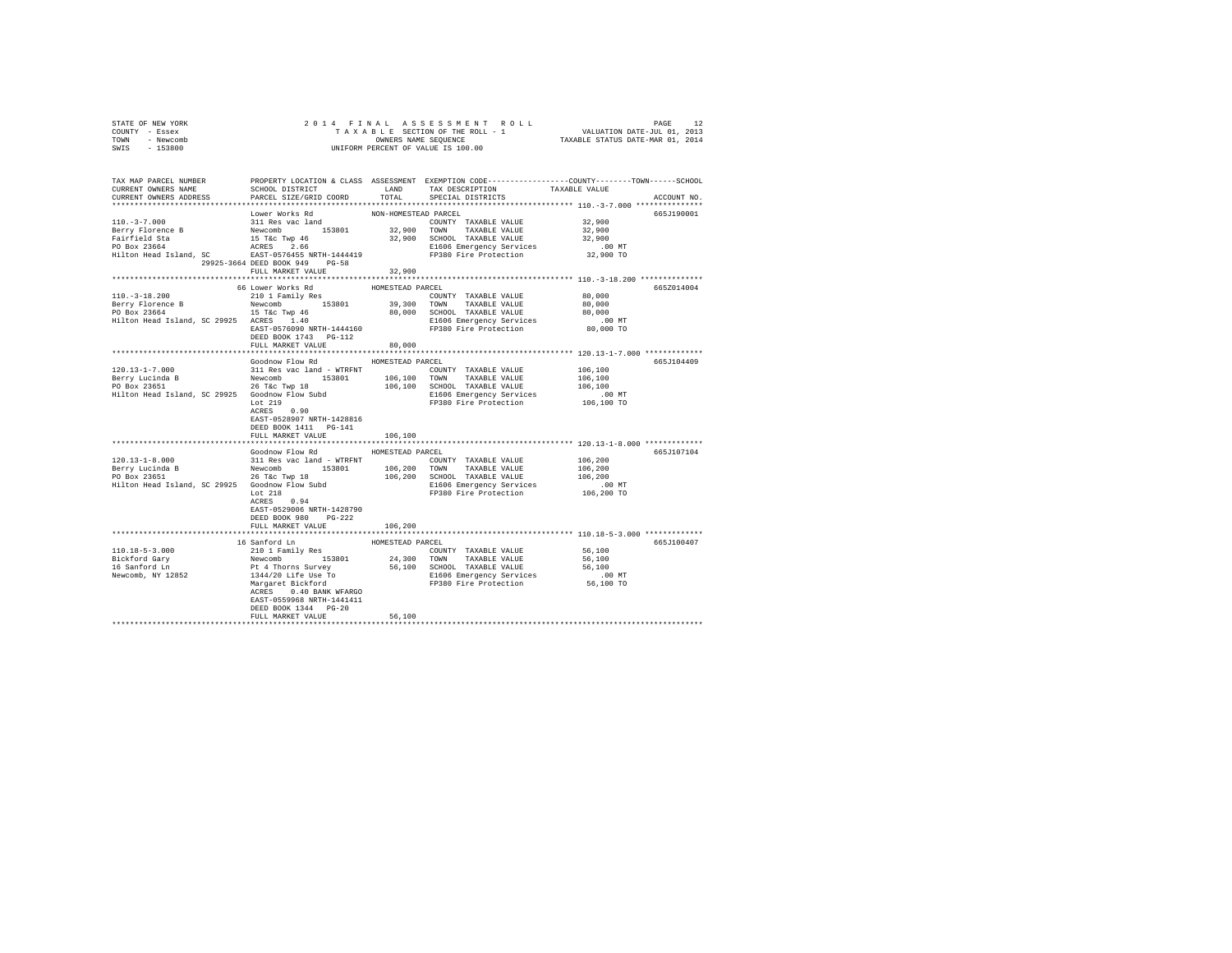| STATE OF NEW YORK<br>COUNTY - Essex                                                                                                                                                                                                                                                                           |                                         |                      |                       |                                                                                                                                                                                                 |  |
|---------------------------------------------------------------------------------------------------------------------------------------------------------------------------------------------------------------------------------------------------------------------------------------------------------------|-----------------------------------------|----------------------|-----------------------|-------------------------------------------------------------------------------------------------------------------------------------------------------------------------------------------------|--|
| TOWN - Newcomb                                                                                                                                                                                                                                                                                                |                                         |                      |                       |                                                                                                                                                                                                 |  |
| SWIS - 153800                                                                                                                                                                                                                                                                                                 |                                         |                      |                       |                                                                                                                                                                                                 |  |
|                                                                                                                                                                                                                                                                                                               |                                         |                      |                       |                                                                                                                                                                                                 |  |
|                                                                                                                                                                                                                                                                                                               |                                         |                      |                       | TAX MAP PARCEL NUMBER PROPERTY LOCATION & CLASS ASSESSMENT EXEMPTION CODE---------------COUNTY-------TOWN------SCHOOL<br>CURRENT OWNERS NAME SCHOOL DISTRICT LAND TAX DESCRIPTION TAXABLE VALUE |  |
|                                                                                                                                                                                                                                                                                                               |                                         |                      |                       |                                                                                                                                                                                                 |  |
| CURRENT OWNERS ADDRESS PARCEL SIZE/GRID COORD TOTAL SPECIAL DISTRICTS                                                                                                                                                                                                                                         |                                         |                      |                       | ACCOUNT NO.                                                                                                                                                                                     |  |
|                                                                                                                                                                                                                                                                                                               |                                         |                      |                       |                                                                                                                                                                                                 |  |
|                                                                                                                                                                                                                                                                                                               | Lower Works Rd<br>311 Res vac land      | NON-HOMESTEAD PARCEL |                       | 665J190001                                                                                                                                                                                      |  |
| $110. -3 - 7.000$                                                                                                                                                                                                                                                                                             |                                         |                      | COUNTY TAXABLE VALUE  | 32,900                                                                                                                                                                                          |  |
|                                                                                                                                                                                                                                                                                                               |                                         |                      |                       | 32,900                                                                                                                                                                                          |  |
|                                                                                                                                                                                                                                                                                                               |                                         |                      |                       | 32,900                                                                                                                                                                                          |  |
|                                                                                                                                                                                                                                                                                                               |                                         |                      |                       | $.00$ MT<br>32,900 TO                                                                                                                                                                           |  |
|                                                                                                                                                                                                                                                                                                               | 29925-3664 DEED BOOK 949 PG-58          |                      |                       |                                                                                                                                                                                                 |  |
|                                                                                                                                                                                                                                                                                                               | FULL MARKET VALUE 32,900                |                      |                       |                                                                                                                                                                                                 |  |
|                                                                                                                                                                                                                                                                                                               |                                         |                      |                       |                                                                                                                                                                                                 |  |
|                                                                                                                                                                                                                                                                                                               | 66 Lower Works Rd                       | HOMESTEAD PARCEL     |                       | 665Z014004                                                                                                                                                                                      |  |
| $110.-3-18.200$                                                                                                                                                                                                                                                                                               | 210 1 Family Res                        |                      | COUNTY TAXABLE VALUE  | 80,000                                                                                                                                                                                          |  |
|                                                                                                                                                                                                                                                                                                               |                                         |                      |                       | 80,000                                                                                                                                                                                          |  |
|                                                                                                                                                                                                                                                                                                               |                                         |                      |                       | 80,000                                                                                                                                                                                          |  |
|                                                                                                                                                                                                                                                                                                               |                                         |                      |                       | 00 MT.<br>80,000 TO                                                                                                                                                                             |  |
|                                                                                                                                                                                                                                                                                                               | ACRES 1.40<br>EAST-0576090 NRTH-1444160 |                      | FP380 Fire Protection |                                                                                                                                                                                                 |  |
|                                                                                                                                                                                                                                                                                                               | DEED BOOK 1743 PG-112                   |                      |                       |                                                                                                                                                                                                 |  |
|                                                                                                                                                                                                                                                                                                               | FULL MARKET VALUE 80,000                |                      |                       |                                                                                                                                                                                                 |  |
|                                                                                                                                                                                                                                                                                                               |                                         |                      |                       |                                                                                                                                                                                                 |  |
|                                                                                                                                                                                                                                                                                                               | Goodnow Flow Rd MOMESTEAD PARCEL        |                      |                       | 665J104409                                                                                                                                                                                      |  |
|                                                                                                                                                                                                                                                                                                               |                                         |                      |                       |                                                                                                                                                                                                 |  |
|                                                                                                                                                                                                                                                                                                               |                                         |                      |                       |                                                                                                                                                                                                 |  |
|                                                                                                                                                                                                                                                                                                               |                                         |                      |                       |                                                                                                                                                                                                 |  |
|                                                                                                                                                                                                                                                                                                               |                                         |                      |                       |                                                                                                                                                                                                 |  |
|                                                                                                                                                                                                                                                                                                               |                                         |                      |                       |                                                                                                                                                                                                 |  |
|                                                                                                                                                                                                                                                                                                               | EAST-0528907 NRTH-1428816               |                      |                       |                                                                                                                                                                                                 |  |
|                                                                                                                                                                                                                                                                                                               | DEED BOOK 1411    PG-141                |                      |                       |                                                                                                                                                                                                 |  |
|                                                                                                                                                                                                                                                                                                               | FULL MARKET VALUE                       | 106,100              |                       |                                                                                                                                                                                                 |  |
|                                                                                                                                                                                                                                                                                                               |                                         |                      |                       |                                                                                                                                                                                                 |  |
|                                                                                                                                                                                                                                                                                                               | Goodnow Flow Rd MOMESTEAD PARCEL        |                      |                       | 665J107104                                                                                                                                                                                      |  |
|                                                                                                                                                                                                                                                                                                               |                                         |                      |                       |                                                                                                                                                                                                 |  |
|                                                                                                                                                                                                                                                                                                               |                                         |                      |                       |                                                                                                                                                                                                 |  |
|                                                                                                                                                                                                                                                                                                               |                                         |                      |                       | 106,200<br>106,200<br>106,200                                                                                                                                                                   |  |
| ${\small \begin{tabular}{l cccccc} 120.13-1-8.000 & 311\mbox{Res}\xspace and 100.13-1-8.000 & 311\mbox{Res}\xspace and 100.13-1-8.000 & 311\mbox{Res}\xspace and 100.13-1-8.000 & 311\mbox{Res}\xspace and 100.13-1-8.0000 & 100.10000 & 100.10000 & 100.10000 & 100.10000 & 100.10000 & 100.10000 & 100.100$ |                                         |                      |                       | .00 MT                                                                                                                                                                                          |  |
|                                                                                                                                                                                                                                                                                                               |                                         |                      | FP380 Fire Protection | 106,200 TO                                                                                                                                                                                      |  |
|                                                                                                                                                                                                                                                                                                               | ACRES 0.94                              |                      |                       |                                                                                                                                                                                                 |  |
|                                                                                                                                                                                                                                                                                                               | EAST-0529006 NRTH-1428790               |                      |                       |                                                                                                                                                                                                 |  |
|                                                                                                                                                                                                                                                                                                               | DEED BOOK 980 PG-222                    |                      |                       |                                                                                                                                                                                                 |  |
|                                                                                                                                                                                                                                                                                                               | FULL MARKET VALUE                       | 106,200              |                       |                                                                                                                                                                                                 |  |
|                                                                                                                                                                                                                                                                                                               |                                         |                      |                       |                                                                                                                                                                                                 |  |
| 110.18-5-3.000                                                                                                                                                                                                                                                                                                | 16 Sanford Ln                           | HOMESTEAD PARCEL     |                       | 665J100407                                                                                                                                                                                      |  |
|                                                                                                                                                                                                                                                                                                               |                                         |                      |                       |                                                                                                                                                                                                 |  |
| Bickford Gary<br>16 Sanford Ln<br>Newcomb, NY 12852                                                                                                                                                                                                                                                           |                                         |                      |                       |                                                                                                                                                                                                 |  |
|                                                                                                                                                                                                                                                                                                               |                                         |                      |                       |                                                                                                                                                                                                 |  |
|                                                                                                                                                                                                                                                                                                               |                                         |                      |                       |                                                                                                                                                                                                 |  |
|                                                                                                                                                                                                                                                                                                               | ACRES 0.40 BANK WFARGO                  |                      |                       |                                                                                                                                                                                                 |  |
|                                                                                                                                                                                                                                                                                                               | EAST-0559968 NRTH-1441411               |                      |                       |                                                                                                                                                                                                 |  |
|                                                                                                                                                                                                                                                                                                               | DEED BOOK 1344 PG-20                    |                      |                       |                                                                                                                                                                                                 |  |
|                                                                                                                                                                                                                                                                                                               | FULL MARKET VALUE                       | 56,100               |                       |                                                                                                                                                                                                 |  |
|                                                                                                                                                                                                                                                                                                               |                                         |                      |                       |                                                                                                                                                                                                 |  |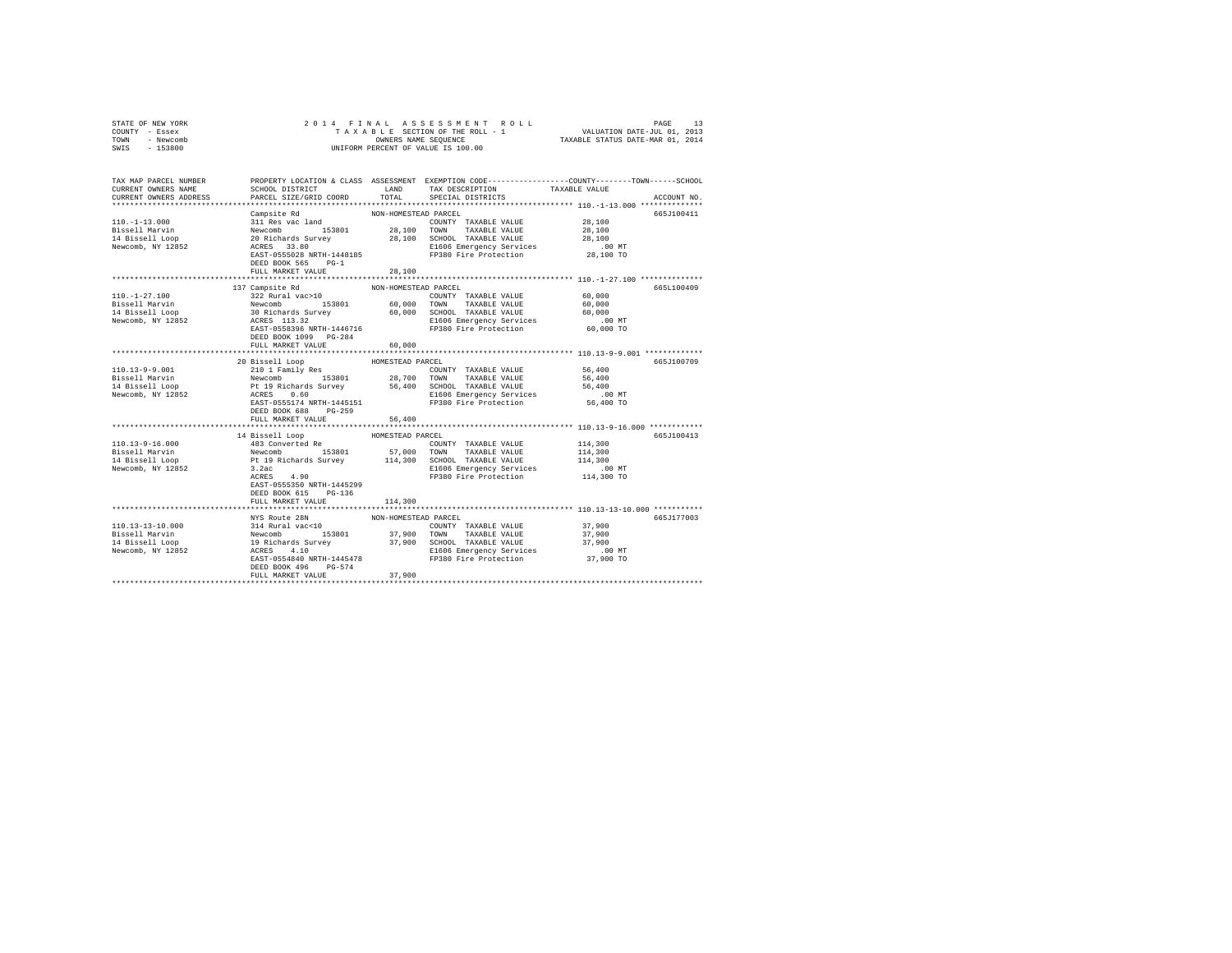| STATE OF NEW YORK<br>COUNTY - Essex<br>- Newcomb<br>TOWN<br>$-153800$<br>SWIS                                                                                                                                                                                                                             | 2014 FINAL                                                                                                                                                                                                 |                                                       | OWNERS NAME SEQUENCE<br>UNIFORM PERCENT OF VALUE IS 100.00                                                                             |                                                                                                                                 |
|-----------------------------------------------------------------------------------------------------------------------------------------------------------------------------------------------------------------------------------------------------------------------------------------------------------|------------------------------------------------------------------------------------------------------------------------------------------------------------------------------------------------------------|-------------------------------------------------------|----------------------------------------------------------------------------------------------------------------------------------------|---------------------------------------------------------------------------------------------------------------------------------|
| TAX MAP PARCEL NUMBER<br>CURRENT OWNERS NAME<br>CURRENT OWNERS ADDRESS                                                                                                                                                                                                                                    | SCHOOL DISTRICT<br>PARCEL SIZE/GRID COORD                                                                                                                                                                  | LAND<br>TOTAL                                         | TAX DESCRIPTION<br>SPECIAL DISTRICTS                                                                                                   | PROPERTY LOCATION & CLASS ASSESSMENT EXEMPTION CODE---------------COUNTY-------TOWN------SCHOOL<br>TAXABLE VALUE<br>ACCOUNT NO. |
| $110. - 1 - 13.000$<br>Bissell Marvin<br>14 Bissell Loop<br>Newcomb, NY 12852                                                                                                                                                                                                                             | Campsite Rd<br>311 Res vac land<br>Newcomb 153801<br>20 Richards Survey<br>ACRES 33.80<br>EAST-0555028 NRTH-1448185<br>DEED BOOK 565 PG-1                                                                  | NON-HOMESTEAD PARCEL<br>28,100 TOWN                   | COUNTY TAXABLE VALUE<br>TAXABLE VALUE<br>28,100 SCHOOL TAXABLE VALUE<br>E1606 Emergency Services<br>FP380 Fire Protection              | 665J100411<br>28,100<br>28,100<br>28,100<br>$.00$ MT<br>28,100 TO                                                               |
| $110. - 1 - 27.100$<br>Bissell Marvin<br>14 Bissell Loop<br>Newcomb, NY 12852                                                                                                                                                                                                                             | FULL MARKET VALUE<br>137 Campsite Rd<br>322 Rural vac>10<br>Newcomb<br>30 Richards Survey<br>30 Richards Survey<br>ACRES 113.32<br>EAST-0558396 NRTH-1446716<br>DEED BOOK 1099 PG-284<br>FULL MARKET VALUE | 28,100<br>NON-HOMESTEAD PARCEL<br>60,000<br>60,000    | COUNTY TAXABLE VALUE<br>TOWN<br>TAXABLE VALUE<br>60,000 SCHOOL TAXABLE VALUE<br>E1606 Emergency Services<br>FP380 Fire Protection      | 665L100409<br>60,000<br>60,000<br>60,000<br>$.00$ MT<br>60,000 TO                                                               |
| 110.13-9-9.001<br>Bissell Marvin<br>14 Bissell Loop<br>Newcomb, NY 12852                                                                                                                                                                                                                                  | 20 Bissell Loop<br>210 1 Family Res<br>Newcomb 153801<br>r-r-r-r-<br>Pt 19 Richards Survey 56,400<br>ACRES 0.60<br>EAST-0555174 NRTH-1445151<br>DEED BOOK 688 PG-259                                       | HOMESTEAD PARCEL                                      | COUNTY TAXABLE VALUE<br>28,700 TOWN TAXABLE VALUE<br>56,400 SCHOOL TAXABLE VALUE<br>E1606 Emergency Services<br>FP380 Fire Protection  | 665J100709<br>56,400<br>56,400<br>56,400<br>$.00$ MT<br>56,400 TO                                                               |
| 110.13-9-16.000<br>Bissell Marvin<br>14 Bissell Loop<br>Newcomb, NY 12852                                                                                                                                                                                                                                 | FULL MARKET VALUE<br>14 Bissell Loop<br>483 Converted Re<br>Newcomb 153801<br>Pt 19 Richards Survey<br>3.2ac<br>ACRES<br>4.90<br>EAST-0555350 NRTH-1445299<br>DEED BOOK 615 PG-136<br>FULL MARKET VALUE    | 56,400<br>************<br>HOMESTEAD PARCEL<br>114,300 | COUNTY TAXABLE VALUE<br>57,000 TOWN TAXABLE VALUE<br>114,300 SCHOOL TAXABLE VALUE<br>E1606 Emergency Services<br>FP380 Fire Protection | ***************** 110.13-9-16.000 ************<br>665J100413<br>114,300<br>114,300<br>114,300<br>$.00$ MT<br>114,300 TO         |
| $\begin{tabular}{lcccc} $110.13-13-10.000$ & $114$ Rural vac<10$ & $1008$ & $1008$ & $1008$ & $1008$ & $1008$ & $1008$ & $1008$ & $1008$ & $1008$ & $1008$ & $1008$ & $1008$ & $1008$ & $1008$ & $1008$ & $1008$ & $1008$ & $1008$ & $1008$ & $1008$ & $1008$ & $1008$ & $1008$ & $1008$ & $1008$ & $100$ | DEED BOOK 496 PG-574<br>FULL MARKET VALUE                                                                                                                                                                  | 37,900                                                | ACRES 4.10<br>ELEG 4.10 CRES 410<br>EAST-0554840 NRTH-1445478 FP380 Fire Protection                                                    | 665J177003<br>37,900<br>37,900<br>37,900<br>$.00$ MT<br>37,900 TO                                                               |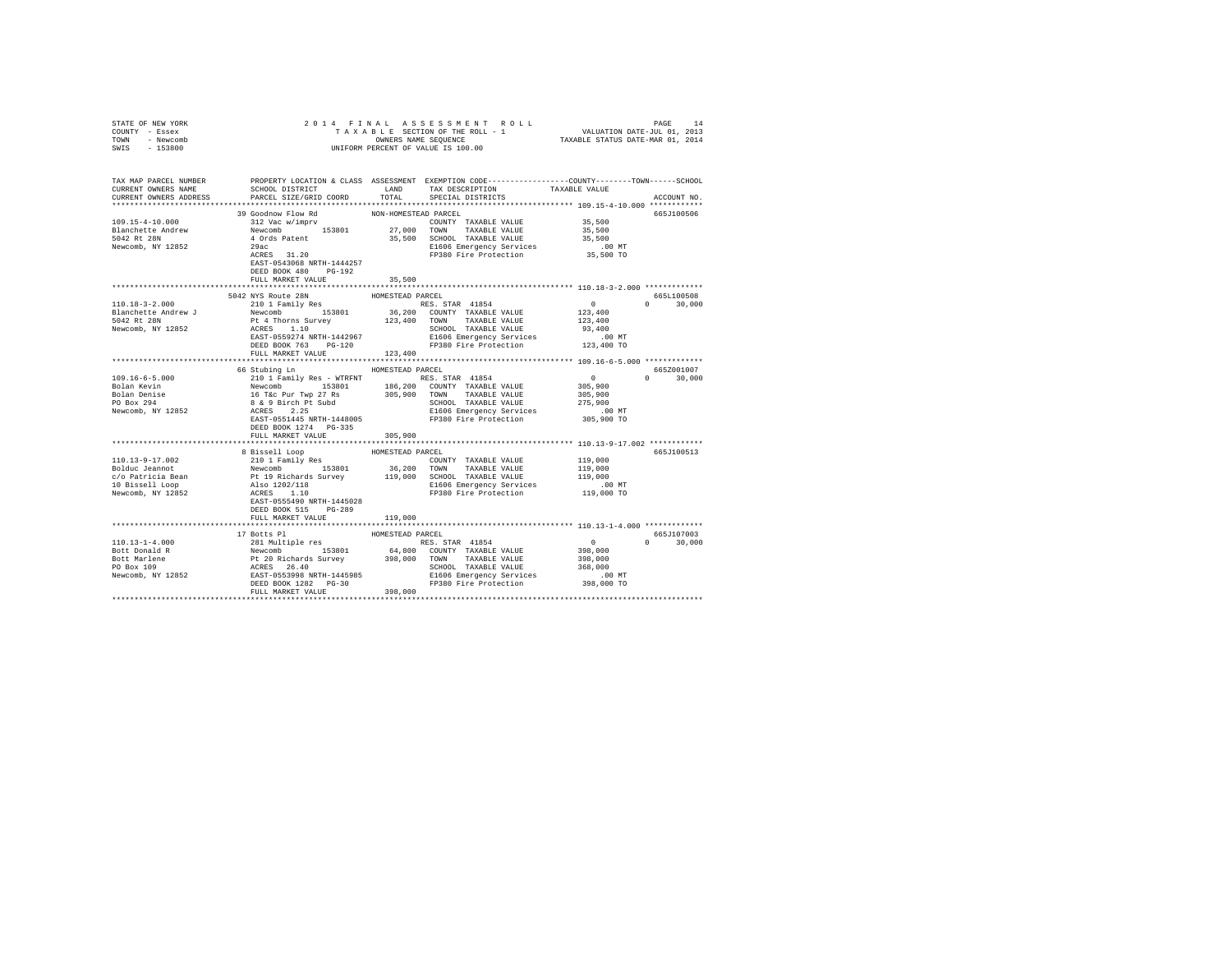| STATE OF NEW YORK                                                                                                                                                                                                                                                                                                                                                                                                   |                                                                                                                                                                                |                      |                       |                                                         |               |
|---------------------------------------------------------------------------------------------------------------------------------------------------------------------------------------------------------------------------------------------------------------------------------------------------------------------------------------------------------------------------------------------------------------------|--------------------------------------------------------------------------------------------------------------------------------------------------------------------------------|----------------------|-----------------------|---------------------------------------------------------|---------------|
| COUNTY - Essex                                                                                                                                                                                                                                                                                                                                                                                                      |                                                                                                                                                                                |                      |                       |                                                         |               |
| TOWN - Newcomb                                                                                                                                                                                                                                                                                                                                                                                                      |                                                                                                                                                                                |                      |                       |                                                         |               |
| SWIS - 153800                                                                                                                                                                                                                                                                                                                                                                                                       |                                                                                                                                                                                |                      |                       |                                                         |               |
|                                                                                                                                                                                                                                                                                                                                                                                                                     |                                                                                                                                                                                |                      |                       |                                                         |               |
|                                                                                                                                                                                                                                                                                                                                                                                                                     |                                                                                                                                                                                |                      |                       |                                                         |               |
|                                                                                                                                                                                                                                                                                                                                                                                                                     |                                                                                                                                                                                |                      |                       |                                                         |               |
| TAX MAP PARCEL NUMBER PROPERTY LOCATION & CLASS ASSESSMENT EXEMPTION CODE---------------COUNTY-------TOWN------SCHOOL<br>CURRENT OWNERS NAME SCHOOL DISTRICT LAND TAX DESCRIPTION TAXABLE VALUE                                                                                                                                                                                                                     |                                                                                                                                                                                |                      |                       |                                                         |               |
|                                                                                                                                                                                                                                                                                                                                                                                                                     |                                                                                                                                                                                |                      |                       |                                                         |               |
| CURRENT OWNERS ADDRESS                                                                                                                                                                                                                                                                                                                                                                                              | PARCEL SIZE/GRID COORD                                                                                                                                                         | TOTAL                | SPECIAL DISTRICTS     |                                                         | ACCOUNT NO.   |
|                                                                                                                                                                                                                                                                                                                                                                                                                     |                                                                                                                                                                                |                      |                       |                                                         |               |
|                                                                                                                                                                                                                                                                                                                                                                                                                     | 39 Goodnow Flow Rd                                                                                                                                                             | NON-HOMESTEAD PARCEL |                       |                                                         | 665J100506    |
|                                                                                                                                                                                                                                                                                                                                                                                                                     |                                                                                                                                                                                |                      |                       | 35,500                                                  |               |
|                                                                                                                                                                                                                                                                                                                                                                                                                     |                                                                                                                                                                                |                      |                       | 35,500                                                  |               |
|                                                                                                                                                                                                                                                                                                                                                                                                                     |                                                                                                                                                                                |                      |                       | 35,500                                                  |               |
|                                                                                                                                                                                                                                                                                                                                                                                                                     |                                                                                                                                                                                |                      |                       | 00 MT.<br>35,500 TO                                     |               |
|                                                                                                                                                                                                                                                                                                                                                                                                                     |                                                                                                                                                                                |                      | FP380 Fire Protection |                                                         |               |
|                                                                                                                                                                                                                                                                                                                                                                                                                     | EAST-0543068 NRTH-1444257                                                                                                                                                      |                      |                       |                                                         |               |
|                                                                                                                                                                                                                                                                                                                                                                                                                     | DEED BOOK 480 PG-192                                                                                                                                                           |                      |                       |                                                         |               |
|                                                                                                                                                                                                                                                                                                                                                                                                                     | FULL MARKET VALUE                                                                                                                                                              | 35,500               |                       |                                                         |               |
|                                                                                                                                                                                                                                                                                                                                                                                                                     |                                                                                                                                                                                |                      |                       |                                                         |               |
|                                                                                                                                                                                                                                                                                                                                                                                                                     |                                                                                                                                                                                |                      |                       |                                                         | 665L100508    |
| $110.18 - 3 - 2.000$                                                                                                                                                                                                                                                                                                                                                                                                | 1992 WYS ROME PRINCE PRINCE AND RESA STAR 41854 210 1 Family Res<br>28 210 1 Family Res RES. STAR 41854 210 1 Family Res<br>210 1 Family Res 153801 123,400 TOWN TAXABLE VALUE |                      | RES. STAR 41854       | $\begin{smallmatrix}&&0\\&&2\\123,400\end{smallmatrix}$ | $0 \t 30.000$ |
| Blanchette Andrew J<br>5042 Rt 28N<br>Newcomb, NY 12852                                                                                                                                                                                                                                                                                                                                                             |                                                                                                                                                                                |                      |                       |                                                         |               |
|                                                                                                                                                                                                                                                                                                                                                                                                                     |                                                                                                                                                                                |                      |                       |                                                         |               |
|                                                                                                                                                                                                                                                                                                                                                                                                                     |                                                                                                                                                                                |                      |                       |                                                         |               |
|                                                                                                                                                                                                                                                                                                                                                                                                                     |                                                                                                                                                                                |                      |                       |                                                         |               |
|                                                                                                                                                                                                                                                                                                                                                                                                                     |                                                                                                                                                                                |                      |                       |                                                         |               |
|                                                                                                                                                                                                                                                                                                                                                                                                                     | FULL MARKET VALUE 123,400                                                                                                                                                      |                      |                       |                                                         |               |
|                                                                                                                                                                                                                                                                                                                                                                                                                     |                                                                                                                                                                                |                      |                       |                                                         |               |
|                                                                                                                                                                                                                                                                                                                                                                                                                     | 66 Stubing Ln MOMESTEAD PARCEL                                                                                                                                                 |                      |                       |                                                         | 665Z001007    |
| 109.16-6-5.000<br>Bolan Kevin<br>Bolan Denise<br>PO Box 294                                                                                                                                                                                                                                                                                                                                                         |                                                                                                                                                                                |                      |                       |                                                         | $0 \t 30,000$ |
|                                                                                                                                                                                                                                                                                                                                                                                                                     |                                                                                                                                                                                |                      |                       |                                                         |               |
|                                                                                                                                                                                                                                                                                                                                                                                                                     |                                                                                                                                                                                |                      |                       |                                                         |               |
|                                                                                                                                                                                                                                                                                                                                                                                                                     |                                                                                                                                                                                |                      |                       |                                                         |               |
| Newcomb, NY 12852                                                                                                                                                                                                                                                                                                                                                                                                   |                                                                                                                                                                                |                      |                       |                                                         |               |
|                                                                                                                                                                                                                                                                                                                                                                                                                     |                                                                                                                                                                                |                      |                       |                                                         |               |
|                                                                                                                                                                                                                                                                                                                                                                                                                     | DEED BOOK 1274 PG-335                                                                                                                                                          |                      |                       |                                                         |               |
|                                                                                                                                                                                                                                                                                                                                                                                                                     | FULL MARKET VALUE                                                                                                                                                              | 305,900              |                       |                                                         |               |
|                                                                                                                                                                                                                                                                                                                                                                                                                     |                                                                                                                                                                                |                      |                       |                                                         |               |
|                                                                                                                                                                                                                                                                                                                                                                                                                     |                                                                                                                                                                                |                      |                       |                                                         | 665J100513    |
|                                                                                                                                                                                                                                                                                                                                                                                                                     |                                                                                                                                                                                |                      |                       |                                                         |               |
|                                                                                                                                                                                                                                                                                                                                                                                                                     |                                                                                                                                                                                |                      |                       |                                                         |               |
|                                                                                                                                                                                                                                                                                                                                                                                                                     |                                                                                                                                                                                |                      |                       |                                                         |               |
|                                                                                                                                                                                                                                                                                                                                                                                                                     |                                                                                                                                                                                |                      |                       |                                                         |               |
|                                                                                                                                                                                                                                                                                                                                                                                                                     |                                                                                                                                                                                |                      |                       |                                                         |               |
|                                                                                                                                                                                                                                                                                                                                                                                                                     |                                                                                                                                                                                |                      |                       |                                                         |               |
|                                                                                                                                                                                                                                                                                                                                                                                                                     | DEED BOOK 515 PG-289                                                                                                                                                           |                      |                       |                                                         |               |
|                                                                                                                                                                                                                                                                                                                                                                                                                     | FULL MARKET VALUE                                                                                                                                                              | 119,000              |                       |                                                         |               |
|                                                                                                                                                                                                                                                                                                                                                                                                                     |                                                                                                                                                                                |                      |                       |                                                         |               |
|                                                                                                                                                                                                                                                                                                                                                                                                                     | 17 Botts Pl                                                                                                                                                                    | HOMESTEAD PARCEL     |                       |                                                         | 665J107003    |
|                                                                                                                                                                                                                                                                                                                                                                                                                     |                                                                                                                                                                                |                      |                       |                                                         | $0 \t 30.000$ |
|                                                                                                                                                                                                                                                                                                                                                                                                                     |                                                                                                                                                                                |                      |                       | $\begin{smallmatrix}&&0\\&&298,000\end{smallmatrix}$    |               |
|                                                                                                                                                                                                                                                                                                                                                                                                                     |                                                                                                                                                                                |                      |                       | 398,000                                                 |               |
|                                                                                                                                                                                                                                                                                                                                                                                                                     |                                                                                                                                                                                |                      |                       |                                                         |               |
|                                                                                                                                                                                                                                                                                                                                                                                                                     |                                                                                                                                                                                |                      |                       | 368,000                                                 |               |
|                                                                                                                                                                                                                                                                                                                                                                                                                     |                                                                                                                                                                                |                      |                       | $00 \text{ MT}$<br>$00 \text{ cm}$                      |               |
|                                                                                                                                                                                                                                                                                                                                                                                                                     |                                                                                                                                                                                |                      |                       | 398,000 TO                                              |               |
| $\begin{tabular}{l c c c c c} \hline 110.13-1-4.000 & 17 \mbox{ Botst P1} & \mbox{HOMESTRAD RASES} & \mbox{ROSS} & \mbox{RCS S, STRA} & 41854 \\ \hline \multicolumn{3}{c}{\mbox{Bott Donald R}} & \mbox{Revolomb} & 153801 & 64,800 & \mbox{COMITY TAXABLE VALUE} \\ \hline \multicolumn{3}{c}{\mbox{Bott Marlene}} & \mbox{P1 20 Richards Survey} & 398,000 & \mbox{TAXABLE VALUE} \\ \hline \multicolumn{3}{c}{$ |                                                                                                                                                                                |                      |                       |                                                         |               |
|                                                                                                                                                                                                                                                                                                                                                                                                                     |                                                                                                                                                                                |                      |                       |                                                         |               |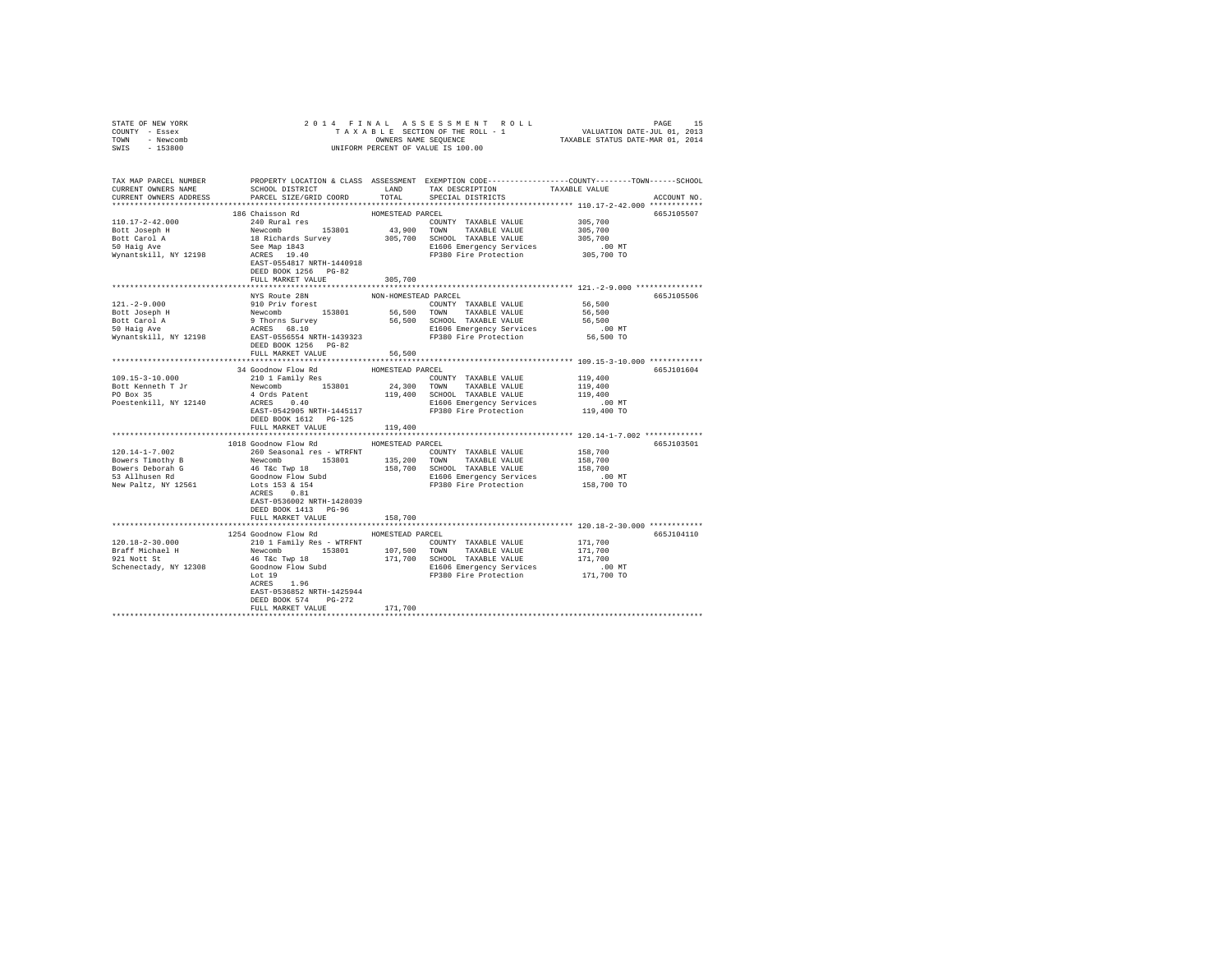| STATE OF NEW YORK                                                                                                                                                                                                                                                                                                                                                                                                                   |                                                |                       |                         |                                                |             |
|-------------------------------------------------------------------------------------------------------------------------------------------------------------------------------------------------------------------------------------------------------------------------------------------------------------------------------------------------------------------------------------------------------------------------------------|------------------------------------------------|-----------------------|-------------------------|------------------------------------------------|-------------|
| COUNTY - Essex                                                                                                                                                                                                                                                                                                                                                                                                                      |                                                |                       |                         |                                                |             |
| TOWN - Newcomb                                                                                                                                                                                                                                                                                                                                                                                                                      |                                                |                       |                         |                                                |             |
| SWIS - 153800                                                                                                                                                                                                                                                                                                                                                                                                                       |                                                |                       |                         |                                                |             |
|                                                                                                                                                                                                                                                                                                                                                                                                                                     |                                                |                       |                         |                                                |             |
|                                                                                                                                                                                                                                                                                                                                                                                                                                     |                                                |                       |                         |                                                |             |
|                                                                                                                                                                                                                                                                                                                                                                                                                                     |                                                |                       |                         |                                                |             |
|                                                                                                                                                                                                                                                                                                                                                                                                                                     |                                                |                       |                         |                                                |             |
| TAX MAP PARCEL NUMBER PROPERTY LOCATION & CLASS ASSESSMENT EXEMPTION CODE---------------COUNTY-------TOWN------SCHOOL<br>CURRENT OWNERS NAME SCHOOL DISTRICT LAND TAX DESCRIPTION TAXABLE VALUE                                                                                                                                                                                                                                     |                                                |                       |                         |                                                |             |
| CURRENT OWNERS ADDRESS                                                                                                                                                                                                                                                                                                                                                                                                              | PARCEL SIZE/GRID COORD                         |                       | TOTAL SPECIAL DISTRICTS |                                                | ACCOUNT NO. |
|                                                                                                                                                                                                                                                                                                                                                                                                                                     |                                                |                       |                         |                                                |             |
|                                                                                                                                                                                                                                                                                                                                                                                                                                     | 186 Chaisson Rd                                | HOMESTEAD PARCEL      |                         |                                                | 665J105507  |
| 110.17-2-42.000                                                                                                                                                                                                                                                                                                                                                                                                                     | 240 Rural res                                  |                       |                         | 305,700<br>305,700<br>305,700                  |             |
|                                                                                                                                                                                                                                                                                                                                                                                                                                     |                                                |                       | COUNTY TAXABLE VALUE    |                                                |             |
|                                                                                                                                                                                                                                                                                                                                                                                                                                     |                                                |                       |                         |                                                |             |
|                                                                                                                                                                                                                                                                                                                                                                                                                                     |                                                |                       |                         |                                                |             |
|                                                                                                                                                                                                                                                                                                                                                                                                                                     |                                                |                       |                         |                                                |             |
|                                                                                                                                                                                                                                                                                                                                                                                                                                     |                                                |                       |                         |                                                |             |
|                                                                                                                                                                                                                                                                                                                                                                                                                                     | EAST-0554817 NRTH-1440918                      |                       |                         |                                                |             |
|                                                                                                                                                                                                                                                                                                                                                                                                                                     | DEED BOOK 1256 PG-82                           |                       |                         |                                                |             |
|                                                                                                                                                                                                                                                                                                                                                                                                                                     | FULL MARKET VALUE                              | 305,700               |                         |                                                |             |
|                                                                                                                                                                                                                                                                                                                                                                                                                                     |                                                |                       |                         |                                                |             |
|                                                                                                                                                                                                                                                                                                                                                                                                                                     | NYS Route 28N                                  | NON-HOMESTEAD PARCEL  |                         |                                                | 665J105506  |
| $\begin{tabular}{l c c c c c c c c} \multicolumn{3}{c}{121. -2-9.000} & \multicolumn{3}{c}{MNS-HOMESTEDN} & \multicolumn{3}{c}{NON-HOMESTEDN} & \multicolumn{3}{c}{CONRTY} & \multicolumn{3}{c}{TAKABLE VALUE} & \multicolumn{3}{c}{56,500} \\ \multicolumn{3}{c}{Bott Joseph H} & \multicolumn{3}{c}{Newcomb} & \multicolumn{3}{c}{153801} & \multicolumn{3}{c}{56,500} & \multicolumn{3}{c}{CONRTY} & \multicolumn{3}{c}{TAKABLE$ |                                                |                       |                         |                                                |             |
|                                                                                                                                                                                                                                                                                                                                                                                                                                     |                                                |                       |                         |                                                |             |
|                                                                                                                                                                                                                                                                                                                                                                                                                                     |                                                |                       |                         |                                                |             |
|                                                                                                                                                                                                                                                                                                                                                                                                                                     |                                                |                       |                         |                                                |             |
|                                                                                                                                                                                                                                                                                                                                                                                                                                     |                                                |                       |                         |                                                |             |
|                                                                                                                                                                                                                                                                                                                                                                                                                                     |                                                |                       |                         |                                                |             |
|                                                                                                                                                                                                                                                                                                                                                                                                                                     | DEED BOOK 1256 PG-82<br>FULL MARKET VALUE      | 56,500                |                         |                                                |             |
|                                                                                                                                                                                                                                                                                                                                                                                                                                     |                                                |                       |                         |                                                |             |
|                                                                                                                                                                                                                                                                                                                                                                                                                                     |                                                |                       |                         |                                                |             |
|                                                                                                                                                                                                                                                                                                                                                                                                                                     |                                                |                       |                         |                                                | 665J101604  |
|                                                                                                                                                                                                                                                                                                                                                                                                                                     |                                                |                       |                         |                                                |             |
|                                                                                                                                                                                                                                                                                                                                                                                                                                     |                                                |                       |                         |                                                |             |
|                                                                                                                                                                                                                                                                                                                                                                                                                                     |                                                |                       |                         |                                                |             |
|                                                                                                                                                                                                                                                                                                                                                                                                                                     |                                                |                       |                         |                                                |             |
|                                                                                                                                                                                                                                                                                                                                                                                                                                     |                                                |                       |                         |                                                |             |
|                                                                                                                                                                                                                                                                                                                                                                                                                                     | DEED BOOK 1612    PG-125                       |                       |                         |                                                |             |
|                                                                                                                                                                                                                                                                                                                                                                                                                                     | FULL MARKET VALUE                              | 119,400               |                         |                                                |             |
|                                                                                                                                                                                                                                                                                                                                                                                                                                     |                                                | ********************* |                         | ***************** 120.14-1-7.002 ************* |             |
|                                                                                                                                                                                                                                                                                                                                                                                                                                     | 1018 Goodnow Flow Rd MOMESTEAD PARCEL          |                       |                         |                                                | 665J103501  |
| 120.14-1-7.002                                                                                                                                                                                                                                                                                                                                                                                                                      | 260 Seasonal res - WTRFNT COUNTY TAXABLE VALUE |                       |                         | 158,700                                        |             |
|                                                                                                                                                                                                                                                                                                                                                                                                                                     |                                                |                       |                         |                                                |             |
|                                                                                                                                                                                                                                                                                                                                                                                                                                     |                                                |                       |                         |                                                |             |
|                                                                                                                                                                                                                                                                                                                                                                                                                                     |                                                |                       |                         |                                                |             |
|                                                                                                                                                                                                                                                                                                                                                                                                                                     |                                                |                       |                         |                                                |             |
|                                                                                                                                                                                                                                                                                                                                                                                                                                     |                                                |                       |                         |                                                |             |
|                                                                                                                                                                                                                                                                                                                                                                                                                                     | EAST-0536002 NRTH-1428039                      |                       |                         |                                                |             |
|                                                                                                                                                                                                                                                                                                                                                                                                                                     | DEED BOOK 1413 PG-96                           |                       |                         |                                                |             |
|                                                                                                                                                                                                                                                                                                                                                                                                                                     |                                                |                       |                         |                                                |             |
|                                                                                                                                                                                                                                                                                                                                                                                                                                     | FULL MARKET VALUE                              | 158,700               |                         |                                                |             |
|                                                                                                                                                                                                                                                                                                                                                                                                                                     |                                                |                       |                         |                                                |             |
|                                                                                                                                                                                                                                                                                                                                                                                                                                     | 1254 Goodnow Flow Rd                           | HOMESTEAD PARCEL      |                         |                                                | 665J104110  |
|                                                                                                                                                                                                                                                                                                                                                                                                                                     |                                                |                       |                         |                                                |             |
|                                                                                                                                                                                                                                                                                                                                                                                                                                     |                                                |                       |                         |                                                |             |
|                                                                                                                                                                                                                                                                                                                                                                                                                                     |                                                |                       |                         |                                                |             |
|                                                                                                                                                                                                                                                                                                                                                                                                                                     |                                                |                       |                         |                                                |             |
|                                                                                                                                                                                                                                                                                                                                                                                                                                     |                                                |                       |                         |                                                |             |
|                                                                                                                                                                                                                                                                                                                                                                                                                                     | ACRES 1.96                                     |                       |                         |                                                |             |
|                                                                                                                                                                                                                                                                                                                                                                                                                                     | EAST-0536852 NRTH-1425944                      |                       |                         |                                                |             |
|                                                                                                                                                                                                                                                                                                                                                                                                                                     | DEED BOOK 574 PG-272                           |                       |                         |                                                |             |
|                                                                                                                                                                                                                                                                                                                                                                                                                                     | FULL MARKET VALUE                              | 171,700               |                         |                                                |             |
|                                                                                                                                                                                                                                                                                                                                                                                                                                     |                                                | ***************       |                         |                                                |             |
|                                                                                                                                                                                                                                                                                                                                                                                                                                     |                                                |                       |                         |                                                |             |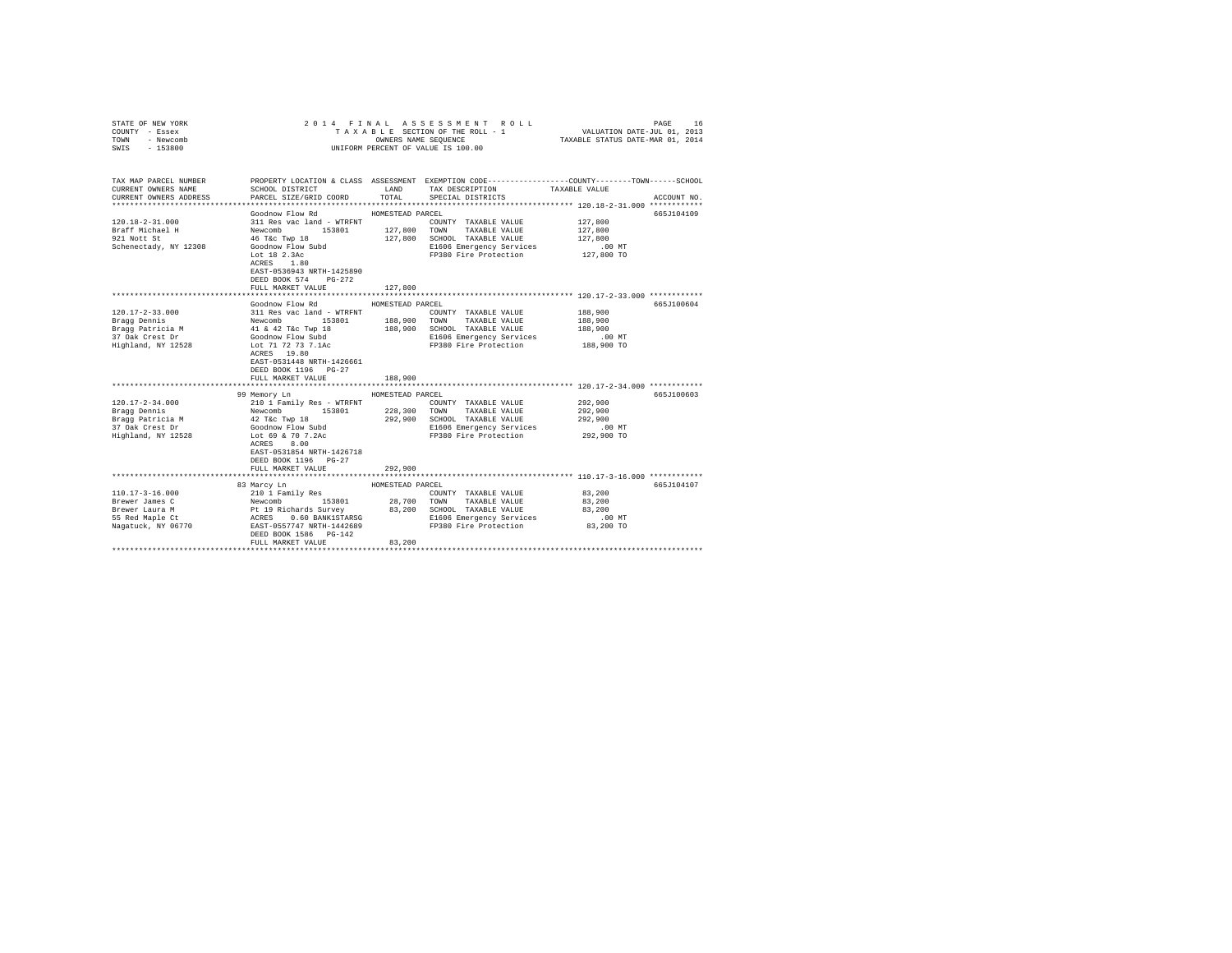| STATE OF NEW YORK<br>COUNTY - Essex |                                      |                  | 2014 FINAL ASSESSMENT ROLL<br>TAXABLE SECTION OF THE ROLL - 1                                   | VALUATION DATE-JUL 01, 2013      | PAGE<br>16  |
|-------------------------------------|--------------------------------------|------------------|-------------------------------------------------------------------------------------------------|----------------------------------|-------------|
| TOWN<br>- Newcomb                   |                                      |                  | OWNERS NAME SEQUENCE                                                                            | TAXABLE STATUS DATE-MAR 01, 2014 |             |
| $-153800$<br>SWIS                   |                                      |                  | UNIFORM PERCENT OF VALUE IS 100.00                                                              |                                  |             |
|                                     |                                      |                  |                                                                                                 |                                  |             |
|                                     |                                      |                  |                                                                                                 |                                  |             |
| TAX MAP PARCEL NUMBER               |                                      |                  | PROPERTY LOCATION & CLASS ASSESSMENT EXEMPTION CODE---------------COUNTY-------TOWN------SCHOOL |                                  |             |
| CURRENT OWNERS NAME                 | SCHOOL DISTRICT                      | LAND             | TAX DESCRIPTION                                                                                 | TAXABLE VALUE                    |             |
| CURRENT OWNERS ADDRESS              | PARCEL SIZE/GRID COORD               | TOTAL            | SPECIAL DISTRICTS                                                                               |                                  | ACCOUNT NO. |
|                                     |                                      |                  |                                                                                                 |                                  |             |
|                                     | Goodnow Flow Rd                      | HOMESTEAD PARCEL |                                                                                                 |                                  | 665J104109  |
| 120.18-2-31.000                     | 311 Res vac land - WTRFNT            |                  | COUNTY TAXABLE VALUE                                                                            | 127,800                          |             |
| Braff Michael H                     | Newcomb 153801                       |                  | 127,800 TOWN TAXABLE VALUE                                                                      | 127,800                          |             |
| 921 Nott St                         | 46 T&c Twp 18                        | 127,800          | SCHOOL TAXABLE VALUE                                                                            | 127,800                          |             |
| Schenectady, NY 12308               | Goodnow Flow Subd                    |                  | E1606 Emergency Services                                                                        | $.00$ MT                         |             |
|                                     | Lot 18 2.3Ac                         |                  | FP380 Fire Protection                                                                           | 127,800 TO                       |             |
|                                     | ACRES 1.80                           |                  |                                                                                                 |                                  |             |
|                                     | EAST-0536943 NRTH-1425890            |                  |                                                                                                 |                                  |             |
|                                     | DEED BOOK 574 PG-272                 |                  |                                                                                                 |                                  |             |
|                                     | FULL MARKET VALUE                    | 127,800          | **************************** 120.17-2-33.000 ************                                       |                                  |             |
|                                     | Goodnow Flow Rd                      | HOMESTEAD PARCEL |                                                                                                 |                                  | 665J100604  |
| $120.17 - 2 - 33.000$               | 311 Res vac land - WTRFNT            |                  | COUNTY TAXABLE VALUE                                                                            | 188,900                          |             |
|                                     |                                      |                  | 188,900 TOWN TAXABLE VALUE                                                                      | 188,900                          |             |
| Bragg Dennis<br>Bragg Patricia M    | Newcomb 153801<br>41 & 42 T&c Twp 18 | 188,900          | SCHOOL TAXABLE VALUE                                                                            | 188,900                          |             |
| 37 Oak Crest Dr                     | Goodnow Flow Subd                    |                  | E1606 Emergency Services                                                                        | $.00$ MT                         |             |
| Highland, NY 12528                  | Lot 71 72 73 7.1Ac                   |                  | FP380 Fire Protection                                                                           | 188,900 TO                       |             |
|                                     | ACRES 19.80                          |                  |                                                                                                 |                                  |             |
|                                     | EAST-0531448 NRTH-1426661            |                  |                                                                                                 |                                  |             |
|                                     | DEED BOOK 1196 PG-27                 |                  |                                                                                                 |                                  |             |
|                                     | FULL MARKET VALUE                    | 188,900          |                                                                                                 |                                  |             |
|                                     |                                      |                  |                                                                                                 |                                  |             |
|                                     | 99 Memory Ln                         | HOMESTEAD PARCEL |                                                                                                 |                                  | 665J100603  |
| $120.17 - 2 - 34.000$               | 210 1 Family Res - WTRFNT            |                  | COUNTY TAXABLE VALUE                                                                            | 292,900                          |             |
| Bragg Dennis                        | Newcomb 153801                       |                  | 228,300 TOWN TAXABLE VALUE                                                                      | 292,900                          |             |
| Bragg Patricia M                    | 42 T&c Twp 18                        | 292.900          | SCHOOL TAXABLE VALUE                                                                            | 292,900                          |             |
| 37 Oak Crest Dr                     | Goodnow Flow Subd                    |                  | E1606 Emergency Services                                                                        | $.00$ MT                         |             |
| Highland, NY 12528                  | Lot 69 & 70 7.2Ac                    |                  | FP380 Fire Protection                                                                           | 292,900 TO                       |             |
|                                     | ACRES 8.00                           |                  |                                                                                                 |                                  |             |
|                                     | EAST-0531854 NRTH-1426718            |                  |                                                                                                 |                                  |             |
|                                     | DEED BOOK 1196 PG-27                 |                  |                                                                                                 |                                  |             |
|                                     | FULL MARKET VALUE                    | 292,900          |                                                                                                 |                                  |             |
|                                     |                                      |                  |                                                                                                 |                                  |             |
|                                     | 83 Marcy Ln                          | HOMESTEAD PARCEL |                                                                                                 |                                  | 665J104107  |
| $110.17 - 3 - 16.000$               | 210 1 Family Res                     |                  | COUNTY TAXABLE VALUE                                                                            | 83,200                           |             |
| Brewer James C                      | Newcomb 153801                       |                  | 28,700 TOWN TAXABLE VALUE                                                                       | 83,200                           |             |
| Brewer Laura M                      |                                      |                  |                                                                                                 | 83,200                           |             |
| 55 Red Maple Ct                     |                                      |                  | E1606 Emergency Services                                                                        | $.00$ MT                         |             |
| Nagatuck, NY 06770                  | EAST-0557747 NRTH-1442689            |                  | FP380 Fire Protection                                                                           | 83,200 TO                        |             |
|                                     | DEED BOOK 1586 PG-142                |                  |                                                                                                 |                                  |             |
|                                     | FULL MARKET VALUE                    | 83,200           |                                                                                                 |                                  |             |
|                                     |                                      |                  |                                                                                                 |                                  |             |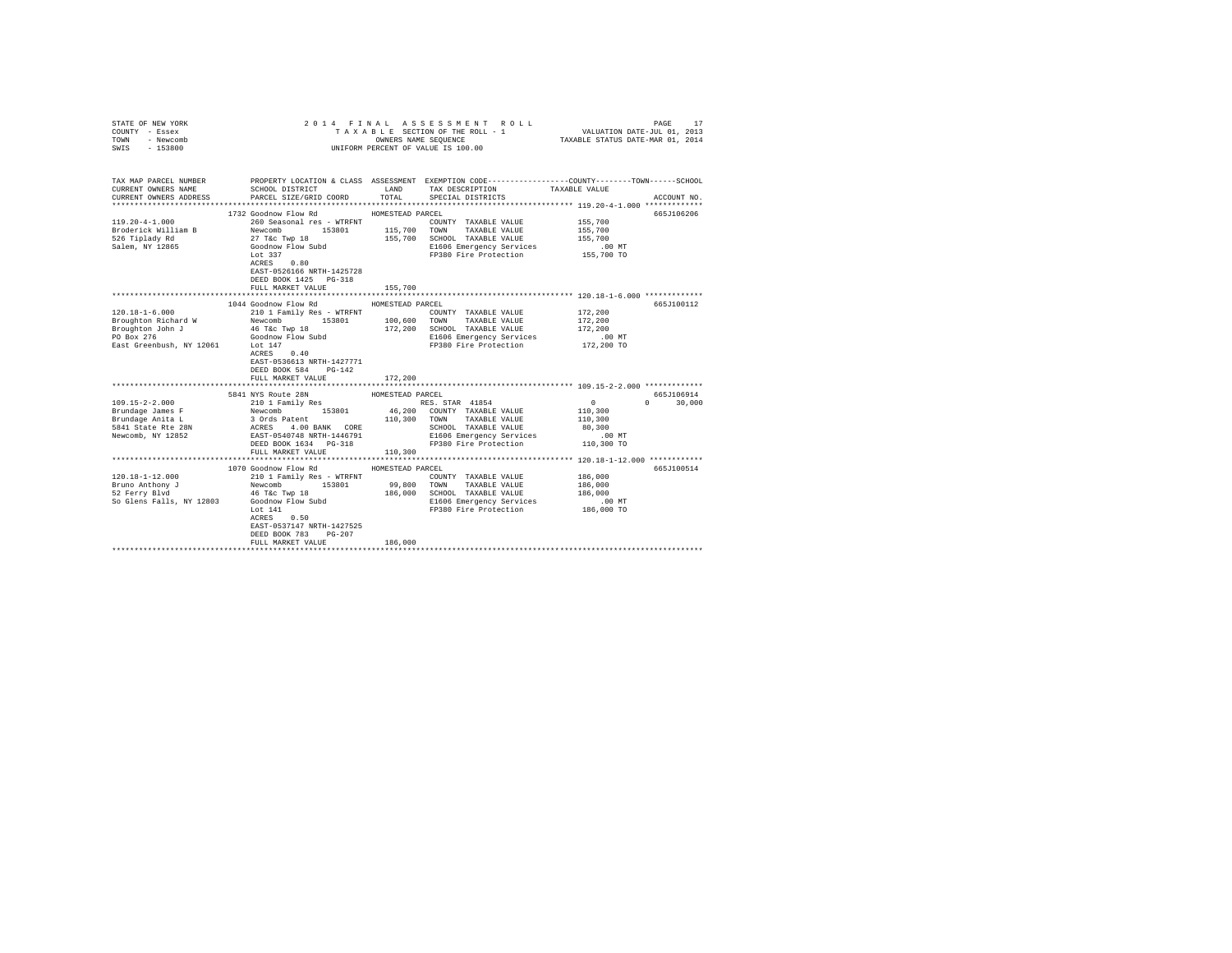| COUNTY - Essex<br>TOWN<br>- Newcomb<br>SWIS<br>$-153800$               |                                                                                                                                                                                                                                                    | OWNERS NAME SEQUENCE     | TAXABLE SECTION OF THE ROLL - 1<br>UNIFORM PERCENT OF VALUE IS 100.00 | VALUATION DATE-JUL 01, 2013<br>TAXABLE STATUS DATE-MAR 01, 2014 |               |
|------------------------------------------------------------------------|----------------------------------------------------------------------------------------------------------------------------------------------------------------------------------------------------------------------------------------------------|--------------------------|-----------------------------------------------------------------------|-----------------------------------------------------------------|---------------|
| TAX MAP PARCEL NUMBER<br>CURRENT OWNERS NAME<br>CURRENT OWNERS ADDRESS | PROPERTY LOCATION & CLASS ASSESSMENT EXEMPTION CODE---------------COUNTY-------TOWN-----SCHOOL<br>SCHOOL DISTRICT LAND<br>PARCEL SIZE/GRID COORD                                                                                                   | TOTAL                    | TAX DESCRIPTION<br>SPECIAL DISTRICTS                                  | TAXABLE VALUE                                                   | ACCOUNT NO.   |
|                                                                        |                                                                                                                                                                                                                                                    |                          |                                                                       |                                                                 |               |
|                                                                        | 1732 Goodnow Flow Rd MOMESTEAD PARCEL                                                                                                                                                                                                              |                          |                                                                       |                                                                 | 665J106206    |
| $119.20 - 4 - 1.000$                                                   | 260 Seasonal res - WTRFNT<br>260 Seasonal res - WTRFNT<br>Newcomb 153801<br>27 T&C Twp 18<br>Goodnow Flow Subd<br>227                                                                                                                              |                          | COUNTY TAXABLE VALUE                                                  | 155,700                                                         |               |
| Broderick William B<br>526 Tiplady Rd                                  | 153801 115,700 TOWN                                                                                                                                                                                                                                |                          | TAXABLE VALUE                                                         | 155,700                                                         |               |
|                                                                        |                                                                                                                                                                                                                                                    | 155,700                  | SCHOOL TAXABLE VALUE                                                  | 155,700                                                         |               |
| Salem, NY 12865                                                        |                                                                                                                                                                                                                                                    |                          | E1606 Emergency Services<br>FP380 Fire Protection 155,700 TO          | .00 MT                                                          |               |
|                                                                        | Lot 337<br>$ACRES$ 0.80                                                                                                                                                                                                                            |                          |                                                                       |                                                                 |               |
|                                                                        | EAST-0526166 NRTH-1425728                                                                                                                                                                                                                          |                          |                                                                       |                                                                 |               |
|                                                                        | DEED BOOK 1425 PG-318                                                                                                                                                                                                                              |                          |                                                                       |                                                                 |               |
|                                                                        | FULL MARKET VALUE                                                                                                                                                                                                                                  | 155,700                  |                                                                       |                                                                 |               |
|                                                                        |                                                                                                                                                                                                                                                    |                          |                                                                       |                                                                 |               |
|                                                                        | 1044 Goodnow Flow Rd                                                                                                                                                                                                                               | HOMESTEAD PARCEL         |                                                                       |                                                                 | 665J100112    |
| $120.18 - 1 - 6.000$                                                   | 210 1 Family Res - WTRFNT                                                                                                                                                                                                                          |                          | COUNTY TAXABLE VALUE                                                  | 172,200                                                         |               |
| Broughton Richard W                                                    | 210 1 Far<br>Newcomb                                                                                                                                                                                                                               |                          | 153801 100,600 TOWN TAXABLE VALUE                                     | 172,200                                                         |               |
| Broughton John J<br>PO Box 276                                         |                                                                                                                                                                                                                                                    |                          | 172,200 SCHOOL TAXABLE VALUE                                          | 172,200                                                         |               |
|                                                                        |                                                                                                                                                                                                                                                    |                          | E1606 Emergency Services                                              | .00 MT                                                          |               |
| East Greenbush, NY 12061 Lot 147                                       | 46 T&C Twp 18<br>Goodnow Flow Subd<br>Lot 147                                                                                                                                                                                                      |                          | FP380 Fire Protection 172,200 TO                                      |                                                                 |               |
|                                                                        | ACRES 0.40                                                                                                                                                                                                                                         |                          |                                                                       |                                                                 |               |
|                                                                        | EAST-0536613 NRTH-1427771                                                                                                                                                                                                                          |                          |                                                                       |                                                                 |               |
|                                                                        | DEED BOOK 584 PG-142                                                                                                                                                                                                                               |                          |                                                                       |                                                                 |               |
|                                                                        | FULL MARKET VALUE<br>**************************                                                                                                                                                                                                    | 172,200<br>************* |                                                                       | ******************************* 109.15-2-2.000 **************   |               |
|                                                                        |                                                                                                                                                                                                                                                    |                          |                                                                       |                                                                 | 665J106914    |
| $109.15 - 2 - 2.000$                                                   | 5841 NYS Route 28N                                                                                                                                                                                                                                 | HOMESTEAD PARCEL         |                                                                       | $\Omega$                                                        | $0 \t 30.000$ |
| Brundage James F                                                       |                                                                                                                                                                                                                                                    |                          |                                                                       | 110,300                                                         |               |
| Brundage Anita L                                                       |                                                                                                                                                                                                                                                    |                          |                                                                       | 110,300                                                         |               |
| Brundage Anita L<br>5841 State Rte 28N                                 |                                                                                                                                                                                                                                                    |                          |                                                                       | 80,300                                                          |               |
| Newcomb, NY 12852                                                      |                                                                                                                                                                                                                                                    |                          |                                                                       |                                                                 |               |
|                                                                        | 2011 Pamily Res<br>Newton RES. STAR 41854<br>NESS. STAR 41854<br>NESS. STAR 41854<br>NESS. STAR 41854<br>2010 Pamily Res<br>3 Ords Patter-1446791<br>RES. STAR TANABLE VALUE<br>RESS. STAR TANABLE VALUE<br>RESS. STAR TANABLE VALUE<br>RESS. STAR |                          |                                                                       |                                                                 |               |
|                                                                        | FULL MARKET VALUE                                                                                                                                                                                                                                  | 110,300                  |                                                                       |                                                                 |               |
|                                                                        |                                                                                                                                                                                                                                                    |                          |                                                                       |                                                                 |               |
|                                                                        | 1070 Goodnow Flow Rd                                                                                                                                                                                                                               | HOMESTEAD PARCEL         |                                                                       |                                                                 | 665J100514    |
| $120.18 - 1 - 12.000$                                                  | 210 1 Family Res - WTRFNT                                                                                                                                                                                                                          |                          | COUNTY TAXABLE VALUE                                                  | 186,000                                                         |               |
| Bruno Anthony J<br>52 Ferry Blvd                                       | Newcomb 153801                                                                                                                                                                                                                                     | 99,800                   | TOWN<br>TAXABLE VALUE                                                 | 186,000                                                         |               |
|                                                                        | 46 T&C Twp 18                                                                                                                                                                                                                                      | 186,000                  | SCHOOL TAXABLE VALUE                                                  | 186,000                                                         |               |
| So Glens Falls, NY 12803                                               | Goodnow Flow Subd                                                                                                                                                                                                                                  |                          | E1606 Emergency Services                                              | .00MT                                                           |               |
|                                                                        | Lot 141                                                                                                                                                                                                                                            |                          | FP380 Fire Protection                                                 | 186,000 TO                                                      |               |
|                                                                        | ACRES 0.50                                                                                                                                                                                                                                         |                          |                                                                       |                                                                 |               |
|                                                                        | EAST-0537147 NRTH-1427525                                                                                                                                                                                                                          |                          |                                                                       |                                                                 |               |
|                                                                        | DEED BOOK 783 PG-207                                                                                                                                                                                                                               |                          |                                                                       |                                                                 |               |
|                                                                        | FULL MARKET VALUE                                                                                                                                                                                                                                  | 186,000                  |                                                                       |                                                                 |               |
|                                                                        |                                                                                                                                                                                                                                                    |                          |                                                                       |                                                                 |               |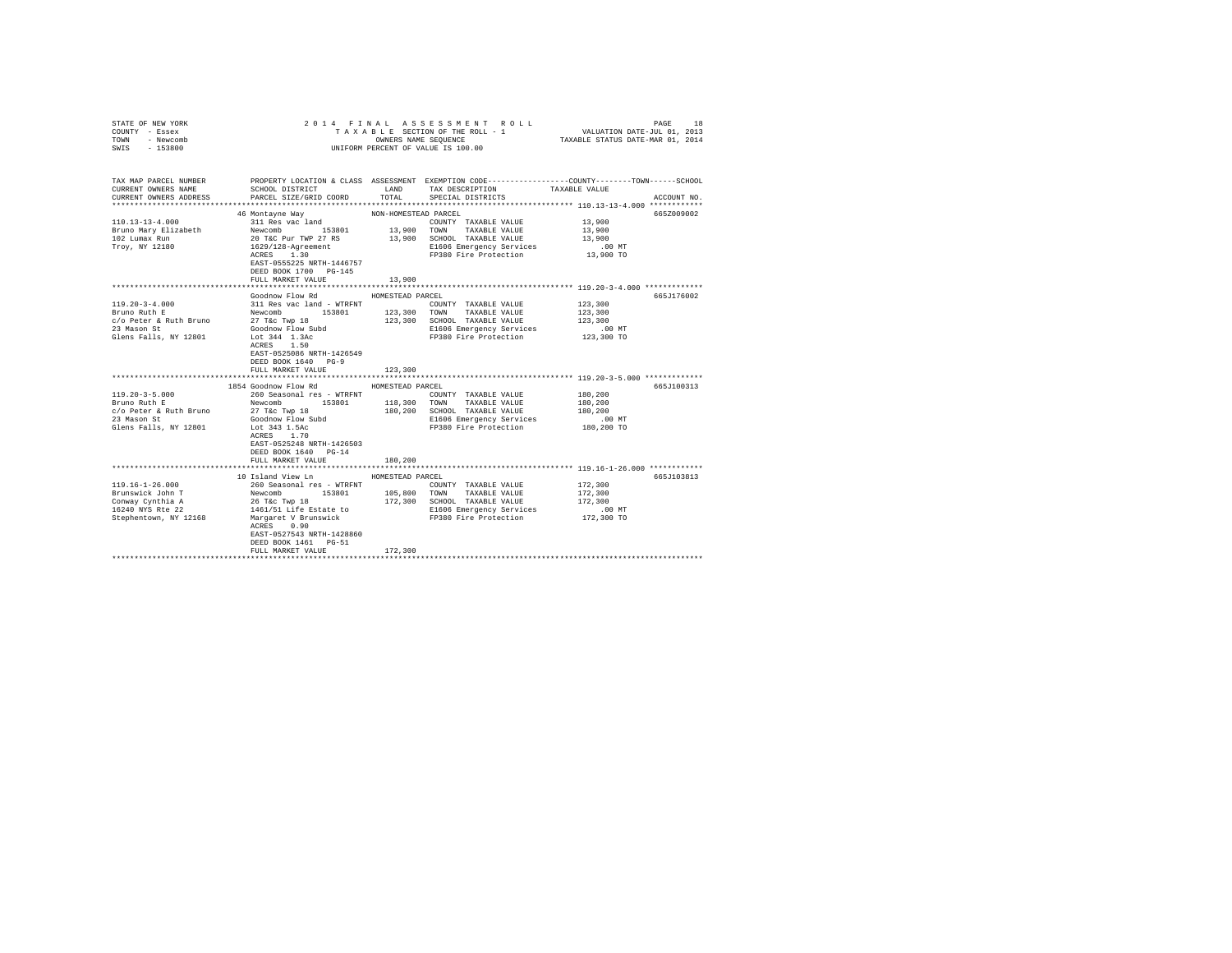| STATE OF NEW YORK<br>COUNTY - Essex                                                                                                                                                                                                                                                                                                                                                                                 |                                                                                                              |                      | 2014 FINAL ASSESSMENT ROLL<br>TAXABLE SECTION OF THE ROLL - 1                                   | VALUATION DATE-JUL 01, 2013      | PAGE<br>18  |
|---------------------------------------------------------------------------------------------------------------------------------------------------------------------------------------------------------------------------------------------------------------------------------------------------------------------------------------------------------------------------------------------------------------------|--------------------------------------------------------------------------------------------------------------|----------------------|-------------------------------------------------------------------------------------------------|----------------------------------|-------------|
| TOWN - Newcomb                                                                                                                                                                                                                                                                                                                                                                                                      |                                                                                                              |                      | OWNERS NAME SEQUENCE                                                                            | TAXABLE STATUS DATE-MAR 01, 2014 |             |
| SWIS - 153800                                                                                                                                                                                                                                                                                                                                                                                                       |                                                                                                              |                      | UNIFORM PERCENT OF VALUE IS 100.00                                                              |                                  |             |
|                                                                                                                                                                                                                                                                                                                                                                                                                     |                                                                                                              |                      |                                                                                                 |                                  |             |
|                                                                                                                                                                                                                                                                                                                                                                                                                     |                                                                                                              |                      |                                                                                                 |                                  |             |
| TAX MAP PARCEL NUMBER                                                                                                                                                                                                                                                                                                                                                                                               |                                                                                                              |                      | PROPERTY LOCATION & CLASS ASSESSMENT EXEMPTION CODE----------------COUNTY-------TOWN-----SCHOOL |                                  |             |
| CURRENT OWNERS NAME                                                                                                                                                                                                                                                                                                                                                                                                 | SCHOOL DISTRICT                                                                                              | LAND                 | TAX DESCRIPTION                                                                                 | TAXABLE VALUE                    |             |
| CURRENT OWNERS ADDRESS                                                                                                                                                                                                                                                                                                                                                                                              | PARCEL SIZE/GRID COORD                                                                                       | TOTAL                | SPECIAL DISTRICTS                                                                               |                                  | ACCOUNT NO. |
|                                                                                                                                                                                                                                                                                                                                                                                                                     |                                                                                                              |                      |                                                                                                 |                                  |             |
| $110.13 - 13 - 4.000$                                                                                                                                                                                                                                                                                                                                                                                               | 46 Montayne Way<br>311 Res vac land                                                                          | NON-HOMESTEAD PARCEL |                                                                                                 |                                  | 665Z009002  |
|                                                                                                                                                                                                                                                                                                                                                                                                                     | Newcomb 153801                                                                                               | 13,900 TOWN          | COUNTY TAXABLE VALUE<br>TAXABLE VALUE                                                           | 13,900<br>13,900                 |             |
| Bruno Mary Elizabeth<br>102 Lumax Run                                                                                                                                                                                                                                                                                                                                                                               |                                                                                                              |                      | 13,900 SCHOOL TAXABLE VALUE                                                                     | 13,900                           |             |
| Troy, NY 12180                                                                                                                                                                                                                                                                                                                                                                                                      |                                                                                                              |                      | E1606 Emergency Services                                                                        | $.00$ MT                         |             |
|                                                                                                                                                                                                                                                                                                                                                                                                                     | 20 T&C Pur TWP 27 RS<br>1629/128-Agreement<br>ACRES 1.30                                                     |                      | FP380 Fire Protection                                                                           | $13,900$ TO                      |             |
|                                                                                                                                                                                                                                                                                                                                                                                                                     | EAST-0555225 NRTH-1446757                                                                                    |                      |                                                                                                 |                                  |             |
|                                                                                                                                                                                                                                                                                                                                                                                                                     | DEED BOOK 1700 PG-145                                                                                        |                      |                                                                                                 |                                  |             |
|                                                                                                                                                                                                                                                                                                                                                                                                                     | FULL MARKET VALUE                                                                                            | 13,900               |                                                                                                 |                                  |             |
|                                                                                                                                                                                                                                                                                                                                                                                                                     |                                                                                                              |                      |                                                                                                 |                                  |             |
|                                                                                                                                                                                                                                                                                                                                                                                                                     | Goodnow Flow Rd                                                                                              | HOMESTEAD PARCEL     |                                                                                                 |                                  | 665J176002  |
| 119.20-3-4.000                                                                                                                                                                                                                                                                                                                                                                                                      | 311 Res vac land - WTRFNT                                                                                    |                      | COUNTY TAXABLE VALUE                                                                            | 123,300                          |             |
| Bruno Ruth E                                                                                                                                                                                                                                                                                                                                                                                                        | Newcomb 153801 123,300 TOWN TAXABLE-VALUE<br>27 T&c Twp 18 123,300 SCHOOL TAXABLE-VALUE<br>Goodnow Flow Subd |                      |                                                                                                 | 123,300                          |             |
| c/o Peter & Ruth Bruno                                                                                                                                                                                                                                                                                                                                                                                              |                                                                                                              |                      |                                                                                                 | 123,300                          |             |
| 23 Mason St                                                                                                                                                                                                                                                                                                                                                                                                         | Lot 344 1.3Ac                                                                                                |                      | E1606 Emergency Services<br>FP380 Fire Protection                                               | .00MT<br>123,300 TO              |             |
| Glens Falls, NY 12801                                                                                                                                                                                                                                                                                                                                                                                               | ACRES 1.50                                                                                                   |                      |                                                                                                 |                                  |             |
|                                                                                                                                                                                                                                                                                                                                                                                                                     | EAST-0525086 NRTH-1426549                                                                                    |                      |                                                                                                 |                                  |             |
|                                                                                                                                                                                                                                                                                                                                                                                                                     | DEED BOOK 1640 PG-9                                                                                          |                      |                                                                                                 |                                  |             |
|                                                                                                                                                                                                                                                                                                                                                                                                                     | FULL MARKET VALUE                                                                                            | 123,300              |                                                                                                 |                                  |             |
|                                                                                                                                                                                                                                                                                                                                                                                                                     |                                                                                                              |                      |                                                                                                 |                                  |             |
|                                                                                                                                                                                                                                                                                                                                                                                                                     | 1854 Goodnow Flow Rd                                                                                         | HOMESTEAD PARCEL     |                                                                                                 |                                  | 665J100313  |
| $119.20 - 3 - 5.000$                                                                                                                                                                                                                                                                                                                                                                                                | 260 Seasonal res - WTRFNT<br>Newcomb 153801 118,300                                                          |                      | COUNTY TAXABLE VALUE                                                                            | 180,200                          |             |
| Bruno Ruth E                                                                                                                                                                                                                                                                                                                                                                                                        |                                                                                                              |                      | 153801 118,300 TOWN TAXABLE VALUE                                                               | 180,200                          |             |
| c/o Peter & Ruth Bruno<br>23 Mason St Goodnow Flow Subd (2)                                                                                                                                                                                                                                                                                                                                                         |                                                                                                              |                      | 180,200 SCHOOL TAXABLE VALUE                                                                    | 180,200                          |             |
|                                                                                                                                                                                                                                                                                                                                                                                                                     |                                                                                                              |                      | E1606 Emergency Services                                                                        | .00 MT                           |             |
| Glens Falls, NY 12801                                                                                                                                                                                                                                                                                                                                                                                               | Lot 343 1.5Ac                                                                                                |                      | FP380 Fire Protection                                                                           | 180,200 TO                       |             |
|                                                                                                                                                                                                                                                                                                                                                                                                                     | ACRES 1.70<br>EAST-0525248 NRTH-1426503                                                                      |                      |                                                                                                 |                                  |             |
|                                                                                                                                                                                                                                                                                                                                                                                                                     | DEED BOOK 1640 PG-14                                                                                         |                      |                                                                                                 |                                  |             |
|                                                                                                                                                                                                                                                                                                                                                                                                                     | FULL MARKET VALUE                                                                                            | 180,200              |                                                                                                 |                                  |             |
|                                                                                                                                                                                                                                                                                                                                                                                                                     |                                                                                                              |                      |                                                                                                 |                                  |             |
|                                                                                                                                                                                                                                                                                                                                                                                                                     | 10 Island View Ln                                                                                            | HOMESTEAD PARCEL     |                                                                                                 |                                  | 665J103813  |
| $119.16 - 1 - 26.000$                                                                                                                                                                                                                                                                                                                                                                                               | 260 Seasonal res - WTRFNT                                                                                    |                      | COUNTY TAXABLE VALUE                                                                            | 172,300                          |             |
|                                                                                                                                                                                                                                                                                                                                                                                                                     |                                                                                                              | 105,800              | TOWN TAXABLE VALUE                                                                              | 172,300                          |             |
| $\begin{tabular}{l c c c c c} \multicolumn{1}{c}{\textbf{B}-\textbf{Y}=\textbf{Y}=\textbf{Y}-\textbf{Y}-\textbf{Y}-\textbf{Y}-\textbf{Y}-\textbf{Y}-\textbf{Y}-\textbf{Y}-\textbf{Y}-\textbf{Y}-\textbf{Y}-\textbf{Y}-\textbf{Y}-\textbf{Y}-\textbf{Y}-\textbf{Y}-\textbf{Y}-\textbf{Y}-\textbf{Y}-\textbf{Y}-\textbf{Y}-\textbf{Y}-\textbf{Y}-\textbf{Y}-\textbf{Y}-\textbf{Y}-\textbf{Y}-\textbf{Y}-\textbf{Y}-\$ |                                                                                                              |                      | 172,300 SCHOOL TAXABLE VALUE                                                                    | 172,300                          |             |
|                                                                                                                                                                                                                                                                                                                                                                                                                     |                                                                                                              |                      | E1606 Emergency Services                                                                        | $.00$ MT                         |             |
|                                                                                                                                                                                                                                                                                                                                                                                                                     |                                                                                                              |                      | FP380 Fire Protection 172,300 TO                                                                |                                  |             |
|                                                                                                                                                                                                                                                                                                                                                                                                                     | ACRES 0.90                                                                                                   |                      |                                                                                                 |                                  |             |
|                                                                                                                                                                                                                                                                                                                                                                                                                     | EAST-0527543 NRTH-1428860                                                                                    |                      |                                                                                                 |                                  |             |
|                                                                                                                                                                                                                                                                                                                                                                                                                     | DEED BOOK 1461 PG-51                                                                                         |                      |                                                                                                 |                                  |             |
|                                                                                                                                                                                                                                                                                                                                                                                                                     | FULL MARKET VALUE                                                                                            | 172,300              |                                                                                                 |                                  |             |
|                                                                                                                                                                                                                                                                                                                                                                                                                     |                                                                                                              |                      |                                                                                                 |                                  |             |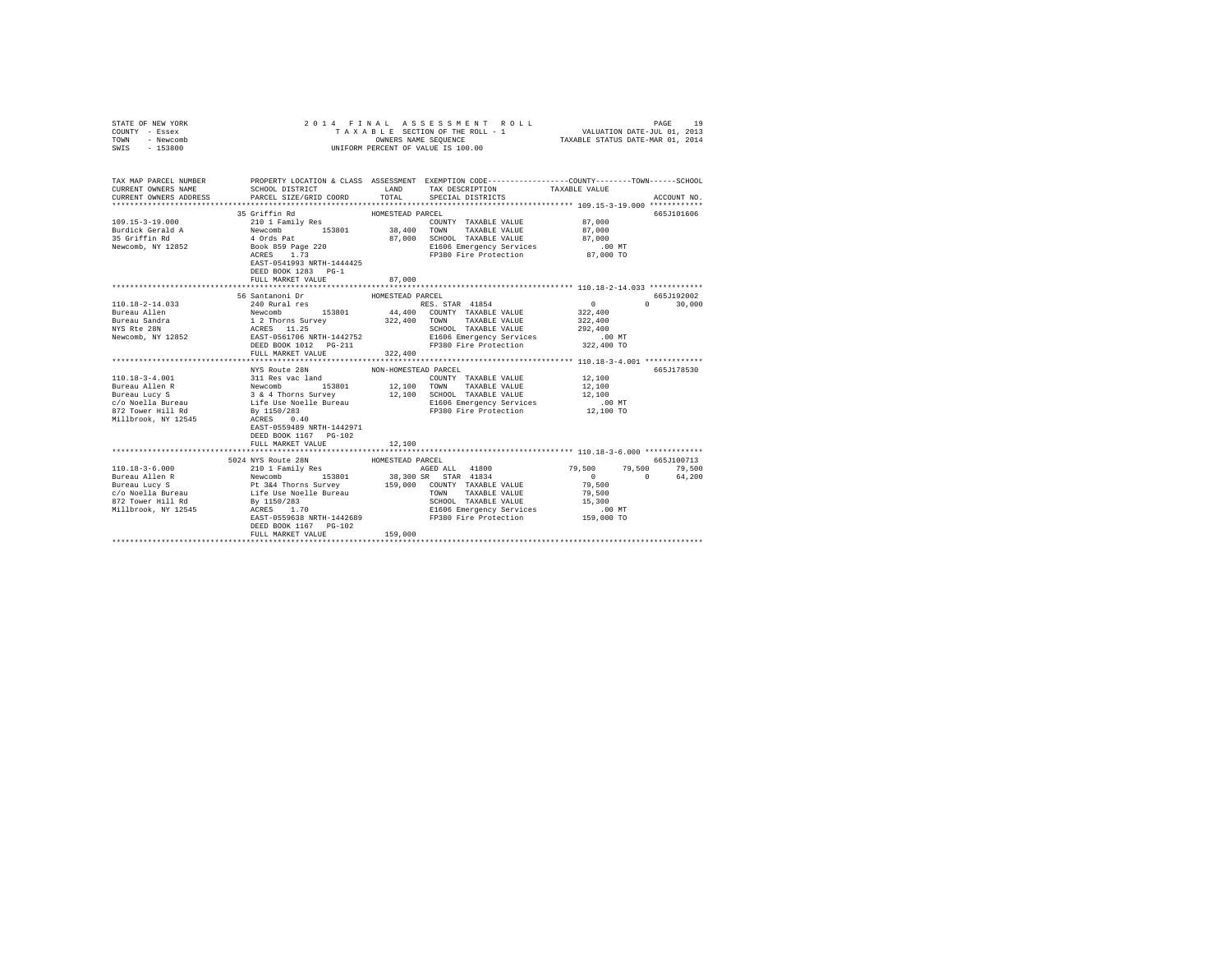| STATE OF NEW YORK<br>COUNTY - Essex<br>TOWN - Newcomb<br>SWIS - 153800 |                                                                                                                                                                                                                                                                                                                                                                                                                        |                      | 2014 FINAL ASSESSMENT ROLL<br>TAXABLE SECTION OF THE ROLL - 1 VALUATION DATE-JUL 01, 2013<br>OWNERS NAME SEQUENCE TAXABLE STATUS DATE-MAR 01, 2014<br>UNIFORM PERCENT OF VALUE IS 100.00                                                                                                                                                                                                                                                                                            |                                                     | PAGE<br>19                         |
|------------------------------------------------------------------------|------------------------------------------------------------------------------------------------------------------------------------------------------------------------------------------------------------------------------------------------------------------------------------------------------------------------------------------------------------------------------------------------------------------------|----------------------|-------------------------------------------------------------------------------------------------------------------------------------------------------------------------------------------------------------------------------------------------------------------------------------------------------------------------------------------------------------------------------------------------------------------------------------------------------------------------------------|-----------------------------------------------------|------------------------------------|
| CURRENT OWNERS NAME<br>CURRENT OWNERS ADDRESS                          | TAX MAP PARCEL NUMBER PROPERTY LOCATION & CLASS ASSESSMENT EXEMPTION CODE--------------COUNTY-------TOWN------SCHOOL<br>SCHOOL DISTRICT<br>PARCEL SIZE/GRID COORD                                                                                                                                                                                                                                                      |                      | LAND TAX DESCRIPTION<br>TOTAL SPECIAL DISTRICTS                                                                                                                                                                                                                                                                                                                                                                                                                                     | TAXABLE VALUE                                       | ACCOUNT NO.                        |
|                                                                        |                                                                                                                                                                                                                                                                                                                                                                                                                        |                      |                                                                                                                                                                                                                                                                                                                                                                                                                                                                                     |                                                     |                                    |
|                                                                        | 35 Griffin Rd                                                                                                                                                                                                                                                                                                                                                                                                          | HOMESTEAD PARCEL     |                                                                                                                                                                                                                                                                                                                                                                                                                                                                                     |                                                     | 665J101606                         |
|                                                                        |                                                                                                                                                                                                                                                                                                                                                                                                                        |                      |                                                                                                                                                                                                                                                                                                                                                                                                                                                                                     |                                                     |                                    |
|                                                                        |                                                                                                                                                                                                                                                                                                                                                                                                                        |                      |                                                                                                                                                                                                                                                                                                                                                                                                                                                                                     |                                                     |                                    |
|                                                                        |                                                                                                                                                                                                                                                                                                                                                                                                                        |                      |                                                                                                                                                                                                                                                                                                                                                                                                                                                                                     |                                                     |                                    |
|                                                                        |                                                                                                                                                                                                                                                                                                                                                                                                                        |                      |                                                                                                                                                                                                                                                                                                                                                                                                                                                                                     |                                                     |                                    |
|                                                                        | EAST-0541993 NRTH-1444425<br>DEED BOOK 1283 PG-1                                                                                                                                                                                                                                                                                                                                                                       |                      |                                                                                                                                                                                                                                                                                                                                                                                                                                                                                     |                                                     |                                    |
|                                                                        | FULL MARKET VALUE                                                                                                                                                                                                                                                                                                                                                                                                      | 87,000               |                                                                                                                                                                                                                                                                                                                                                                                                                                                                                     |                                                     |                                    |
|                                                                        |                                                                                                                                                                                                                                                                                                                                                                                                                        |                      |                                                                                                                                                                                                                                                                                                                                                                                                                                                                                     |                                                     |                                    |
|                                                                        | 56 Santanoni Dr                                                                                                                                                                                                                                                                                                                                                                                                        | HOMESTEAD PARCEL     |                                                                                                                                                                                                                                                                                                                                                                                                                                                                                     |                                                     | 665J192002                         |
|                                                                        |                                                                                                                                                                                                                                                                                                                                                                                                                        |                      |                                                                                                                                                                                                                                                                                                                                                                                                                                                                                     | $\begin{array}{c}0\\3\,2\,2\,,\,4\,0\,0\end{array}$ | $\Omega$<br>30,000                 |
|                                                                        |                                                                                                                                                                                                                                                                                                                                                                                                                        |                      |                                                                                                                                                                                                                                                                                                                                                                                                                                                                                     | 322,400                                             |                                    |
|                                                                        |                                                                                                                                                                                                                                                                                                                                                                                                                        |                      |                                                                                                                                                                                                                                                                                                                                                                                                                                                                                     | 292,400                                             |                                    |
|                                                                        |                                                                                                                                                                                                                                                                                                                                                                                                                        |                      |                                                                                                                                                                                                                                                                                                                                                                                                                                                                                     | .00 MT                                              |                                    |
|                                                                        | FULL MARKET VALUE                                                                                                                                                                                                                                                                                                                                                                                                      | 322,400              |                                                                                                                                                                                                                                                                                                                                                                                                                                                                                     | 322,400 TO                                          |                                    |
|                                                                        |                                                                                                                                                                                                                                                                                                                                                                                                                        |                      |                                                                                                                                                                                                                                                                                                                                                                                                                                                                                     |                                                     |                                    |
|                                                                        | NYS Route 28N                                                                                                                                                                                                                                                                                                                                                                                                          | NON-HOMESTEAD PARCEL |                                                                                                                                                                                                                                                                                                                                                                                                                                                                                     |                                                     | 665J178530                         |
|                                                                        |                                                                                                                                                                                                                                                                                                                                                                                                                        |                      | $\begin{tabular}{lllllll} \multicolumn{2}{l}{{\text{COUNTY}}} & \multicolumn{2}{l}{\text{TAXABLE VALUE}} & \multicolumn{2}{l}{\text{YALUE}} & \multicolumn{2}{l}{\text{12,100}}\\ \multicolumn{2}{l}{\text{COUNTY}} & \multicolumn{2}{l}{\text{TAXABLE VALUE}} & \multicolumn{2}{l}{\text{YALUE}} & \multicolumn{2}{l}{\text{13}}\\ \multicolumn{2}{l}{\text{14}} & \multicolumn{2}{l}{\text{15}} & \multicolumn{2}{l}{\text{16}} & \multicolumn{2}{l}{\text{17}}\\ \multicolumn{2$ |                                                     |                                    |
|                                                                        |                                                                                                                                                                                                                                                                                                                                                                                                                        |                      |                                                                                                                                                                                                                                                                                                                                                                                                                                                                                     | 12,100                                              |                                    |
|                                                                        |                                                                                                                                                                                                                                                                                                                                                                                                                        |                      |                                                                                                                                                                                                                                                                                                                                                                                                                                                                                     | 12,100                                              |                                    |
|                                                                        |                                                                                                                                                                                                                                                                                                                                                                                                                        |                      | E1606 Emergency Services<br>FP380 Fire Protection                                                                                                                                                                                                                                                                                                                                                                                                                                   | $.00$ MT                                            |                                    |
|                                                                        |                                                                                                                                                                                                                                                                                                                                                                                                                        |                      |                                                                                                                                                                                                                                                                                                                                                                                                                                                                                     | 12,100 TO                                           |                                    |
|                                                                        | $\begin{tabular}{l c c c c c} \hline 110.18-3-4.001 & 311\hspace{0.2cm}R was lower and 10M-HOMESTEAD ATABLE VALUEBurcau Allen R & Newcomb & 153801 & 12,100\hspace{0.2cm}TONM & TAXABLE VALUESurcau Lucy S & 3 & 4.0mms Survey & 12,100\hspace{0.2cm}TANABLE VALUECVO Noella Bureau & 14 & 1560\hspace{0.2cm}F07000 & TAXABLE VALUE872 Tower Hill Red & 15072/283 & 1606 Emergency Service87$<br>DEED BOOK 1167 PG-102 |                      |                                                                                                                                                                                                                                                                                                                                                                                                                                                                                     |                                                     |                                    |
|                                                                        | FULL MARKET VALUE                                                                                                                                                                                                                                                                                                                                                                                                      | 12,100               |                                                                                                                                                                                                                                                                                                                                                                                                                                                                                     |                                                     |                                    |
|                                                                        |                                                                                                                                                                                                                                                                                                                                                                                                                        |                      |                                                                                                                                                                                                                                                                                                                                                                                                                                                                                     |                                                     |                                    |
|                                                                        | 5024 NYS Route 28N                                                                                                                                                                                                                                                                                                                                                                                                     | HOMESTEAD PARCEL     |                                                                                                                                                                                                                                                                                                                                                                                                                                                                                     |                                                     | 665J100713                         |
|                                                                        |                                                                                                                                                                                                                                                                                                                                                                                                                        |                      |                                                                                                                                                                                                                                                                                                                                                                                                                                                                                     |                                                     | 79,500 79,500 79,500<br>0 0 64,200 |
|                                                                        |                                                                                                                                                                                                                                                                                                                                                                                                                        |                      |                                                                                                                                                                                                                                                                                                                                                                                                                                                                                     |                                                     |                                    |
|                                                                        |                                                                                                                                                                                                                                                                                                                                                                                                                        |                      |                                                                                                                                                                                                                                                                                                                                                                                                                                                                                     |                                                     |                                    |
|                                                                        |                                                                                                                                                                                                                                                                                                                                                                                                                        |                      |                                                                                                                                                                                                                                                                                                                                                                                                                                                                                     |                                                     |                                    |
|                                                                        |                                                                                                                                                                                                                                                                                                                                                                                                                        |                      |                                                                                                                                                                                                                                                                                                                                                                                                                                                                                     |                                                     |                                    |
|                                                                        | DEED BOOK 1167 PG-102                                                                                                                                                                                                                                                                                                                                                                                                  |                      |                                                                                                                                                                                                                                                                                                                                                                                                                                                                                     |                                                     |                                    |
|                                                                        | FULL MARKET VALUE                                                                                                                                                                                                                                                                                                                                                                                                      | 159,000              |                                                                                                                                                                                                                                                                                                                                                                                                                                                                                     |                                                     |                                    |
|                                                                        |                                                                                                                                                                                                                                                                                                                                                                                                                        |                      |                                                                                                                                                                                                                                                                                                                                                                                                                                                                                     |                                                     |                                    |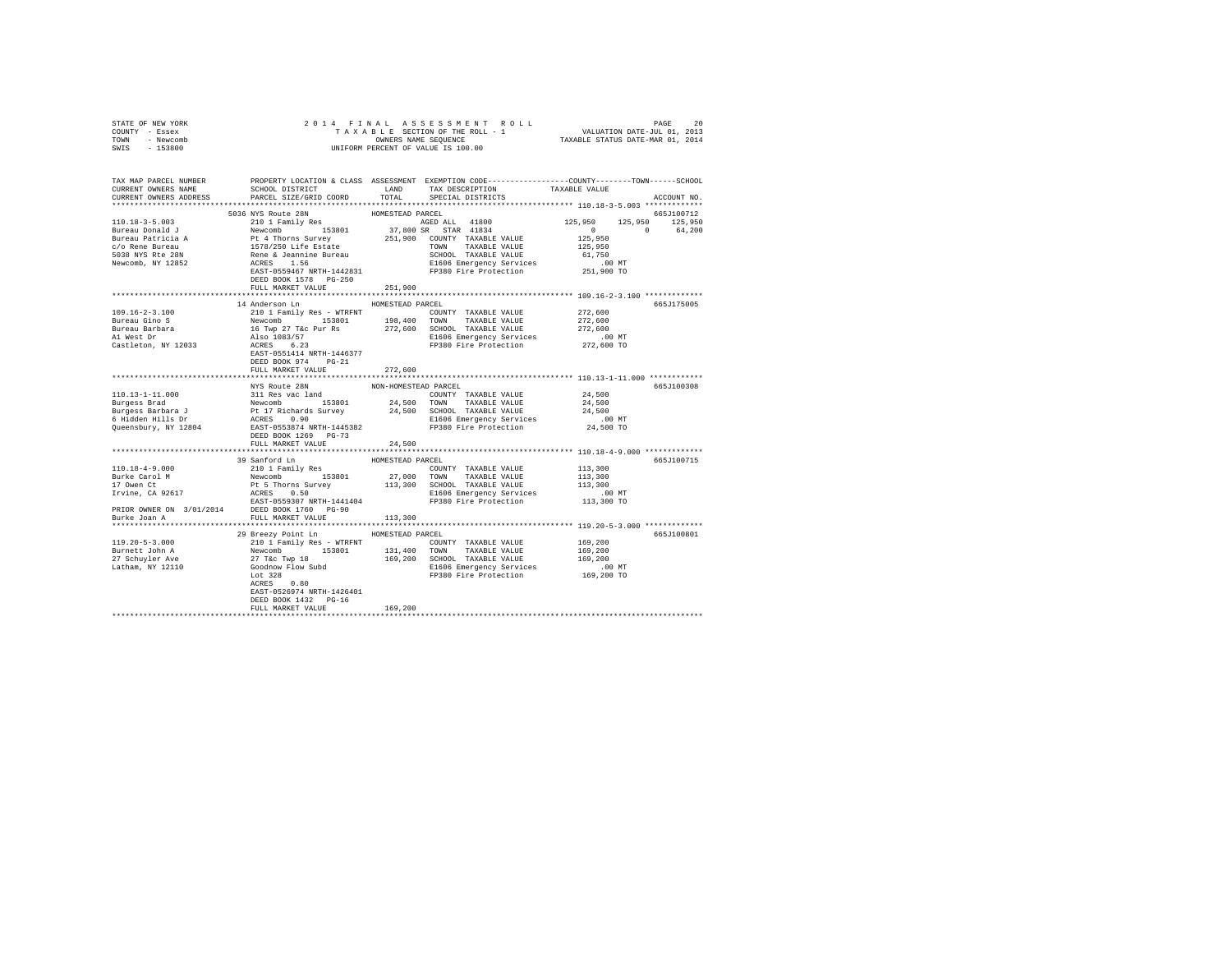| STATE OF NEW YORK                                                                                                                                                                                                                         |                                    |                  |                         |                    |             |
|-------------------------------------------------------------------------------------------------------------------------------------------------------------------------------------------------------------------------------------------|------------------------------------|------------------|-------------------------|--------------------|-------------|
| COUNTY - Essex                                                                                                                                                                                                                            |                                    |                  |                         |                    |             |
| TOWN - Newcomb                                                                                                                                                                                                                            |                                    |                  |                         |                    |             |
| SWIS - 153800                                                                                                                                                                                                                             |                                    |                  |                         |                    |             |
|                                                                                                                                                                                                                                           |                                    |                  |                         |                    |             |
|                                                                                                                                                                                                                                           |                                    |                  |                         |                    |             |
|                                                                                                                                                                                                                                           |                                    |                  |                         |                    |             |
|                                                                                                                                                                                                                                           |                                    |                  |                         |                    |             |
| CURRENT OWNERS ADDRESS                                                                                                                                                                                                                    | PARCEL SIZE/GRID COORD             |                  | TOTAL SPECIAL DISTRICTS |                    | ACCOUNT NO. |
|                                                                                                                                                                                                                                           |                                    |                  |                         |                    |             |
|                                                                                                                                                                                                                                           |                                    |                  |                         |                    |             |
|                                                                                                                                                                                                                                           |                                    |                  |                         |                    |             |
|                                                                                                                                                                                                                                           |                                    |                  |                         |                    |             |
|                                                                                                                                                                                                                                           |                                    |                  |                         |                    |             |
|                                                                                                                                                                                                                                           |                                    |                  |                         |                    |             |
|                                                                                                                                                                                                                                           |                                    |                  |                         |                    |             |
|                                                                                                                                                                                                                                           |                                    |                  |                         |                    |             |
|                                                                                                                                                                                                                                           |                                    |                  |                         |                    |             |
|                                                                                                                                                                                                                                           |                                    |                  |                         |                    |             |
|                                                                                                                                                                                                                                           |                                    |                  |                         |                    |             |
|                                                                                                                                                                                                                                           |                                    |                  |                         |                    |             |
|                                                                                                                                                                                                                                           | 14 Anderson Ln HOMESTEAD PARCEL    |                  |                         |                    | 665J175005  |
| $109.16 - 2 - 3.100$                                                                                                                                                                                                                      | 210 1 Family Res - WTRFNT          |                  | COUNTY TAXABLE VALUE    | 272,600<br>272,600 |             |
| Bureau Gino S                                                                                                                                                                                                                             |                                    |                  |                         |                    |             |
| Bureau Barbara<br>Al West Dr                                                                                                                                                                                                              |                                    |                  |                         |                    |             |
|                                                                                                                                                                                                                                           |                                    |                  |                         |                    |             |
| Castleton, NY 12033                                                                                                                                                                                                                       |                                    |                  |                         |                    |             |
|                                                                                                                                                                                                                                           |                                    |                  |                         |                    |             |
|                                                                                                                                                                                                                                           | DEED BOOK 974 PG-21                |                  |                         |                    |             |
|                                                                                                                                                                                                                                           |                                    |                  |                         |                    |             |
|                                                                                                                                                                                                                                           |                                    |                  |                         |                    |             |
|                                                                                                                                                                                                                                           | FULL MARKET VALUE                  | 272,600          |                         |                    |             |
|                                                                                                                                                                                                                                           |                                    |                  |                         |                    |             |
|                                                                                                                                                                                                                                           | NYS Route 28N NON-HOMESTEAD PARCEL |                  |                         |                    | 665J100308  |
|                                                                                                                                                                                                                                           |                                    |                  |                         |                    |             |
|                                                                                                                                                                                                                                           |                                    |                  |                         |                    |             |
|                                                                                                                                                                                                                                           |                                    |                  |                         |                    |             |
|                                                                                                                                                                                                                                           |                                    |                  |                         | .00 MT             |             |
|                                                                                                                                                                                                                                           |                                    |                  |                         | 24,500 TO          |             |
|                                                                                                                                                                                                                                           | DEED BOOK 1269 PG-73               |                  |                         |                    |             |
|                                                                                                                                                                                                                                           | FULL MARKET VALUE                  | 24,500           |                         |                    |             |
|                                                                                                                                                                                                                                           |                                    |                  |                         |                    |             |
|                                                                                                                                                                                                                                           |                                    |                  |                         |                    | 665J100715  |
|                                                                                                                                                                                                                                           |                                    |                  |                         |                    |             |
|                                                                                                                                                                                                                                           |                                    |                  |                         |                    |             |
|                                                                                                                                                                                                                                           |                                    |                  |                         |                    |             |
|                                                                                                                                                                                                                                           |                                    |                  |                         |                    |             |
|                                                                                                                                                                                                                                           |                                    |                  |                         |                    |             |
|                                                                                                                                                                                                                                           |                                    |                  |                         |                    |             |
| Burke Joan A                                                                                                                                                                                                                              | FULL MARKET VALUE                  | 113,300          |                         |                    |             |
|                                                                                                                                                                                                                                           |                                    |                  |                         |                    |             |
|                                                                                                                                                                                                                                           | 29 Breezy Point Ln                 | HOMESTEAD PARCEL |                         |                    | 665J100801  |
|                                                                                                                                                                                                                                           |                                    |                  |                         |                    |             |
|                                                                                                                                                                                                                                           |                                    |                  |                         |                    |             |
|                                                                                                                                                                                                                                           |                                    |                  |                         |                    |             |
|                                                                                                                                                                                                                                           |                                    |                  |                         |                    |             |
|                                                                                                                                                                                                                                           |                                    |                  |                         |                    |             |
|                                                                                                                                                                                                                                           |                                    |                  |                         |                    |             |
| 119.20-5-3.000<br>2010 1 Pamily Res - WTRFNT<br>Burnett John 2010 1 Pamily Res - WTRFNT<br>2010 133,400 TOWNTY TAXABLE VALUE<br>27 Schuyler Ave 27 Tec Twp 18<br>27 Schuyler Ave 2010 169,200 SCHOOL TAXABLE VALUE<br>27 Schuyler Ave 201 | EAST-0526974 NRTH-1426401          |                  |                         |                    |             |
|                                                                                                                                                                                                                                           | DEED BOOK 1432 PG-16               |                  |                         |                    |             |
|                                                                                                                                                                                                                                           | FULL MARKET VALUE                  | 169,200          |                         |                    |             |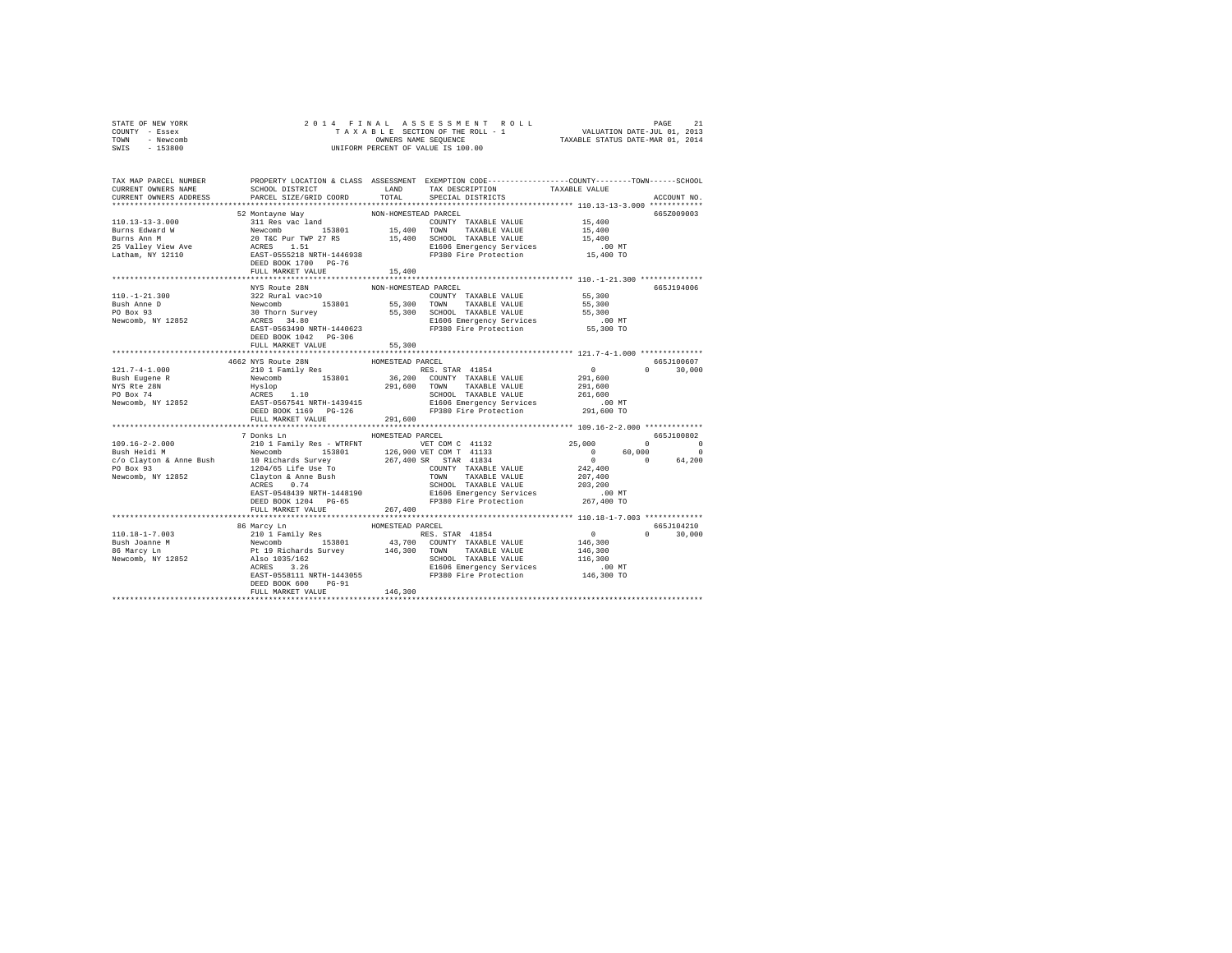| OWNERS NAME SEQUENCE<br>UNIFORM PERCENT OF VALUE IS 100.00<br>TOWN - Newcomb<br>SWIS - 153800                                                                                                                                                                                                                                                                                                            |  |
|----------------------------------------------------------------------------------------------------------------------------------------------------------------------------------------------------------------------------------------------------------------------------------------------------------------------------------------------------------------------------------------------------------|--|
|                                                                                                                                                                                                                                                                                                                                                                                                          |  |
| TAX MAP PARCEL NUMBER PROPERTY LOCATION & CLASS ASSESSMENT EXEMPTION CODE--------------COUNTY-------TOWN------SCHOOL                                                                                                                                                                                                                                                                                     |  |
| CURRENT OWNERS NAME<br>PARCEL SIZE/GRID COORD<br>TOTAL SPECIAL DISTRICTS<br>ACCOUNT NO.                                                                                                                                                                                                                                                                                                                  |  |
|                                                                                                                                                                                                                                                                                                                                                                                                          |  |
| 665Z009003                                                                                                                                                                                                                                                                                                                                                                                               |  |
|                                                                                                                                                                                                                                                                                                                                                                                                          |  |
|                                                                                                                                                                                                                                                                                                                                                                                                          |  |
|                                                                                                                                                                                                                                                                                                                                                                                                          |  |
|                                                                                                                                                                                                                                                                                                                                                                                                          |  |
| $\begin{tabular}{c c c c} \multicolumn{4}{c c c} \multicolumn{4}{c c c} \multicolumn{4}{c c c} \multicolumn{4}{c c c} \multicolumn{4}{c c c} \multicolumn{4}{c c c} \multicolumn{4}{c c c} \multicolumn{4}{c c c} \multicolumn{4}{c c c} \multicolumn{4}{c c c} \multicolumn{4}{c c c} \multicolumn{4}{c c c} \multicolumn{4}{c c c} \multicolumn{4}{c c c} \multicolumn{4}{c c c} \multicolumn{4}{c c $ |  |
|                                                                                                                                                                                                                                                                                                                                                                                                          |  |
| NON-HOMESTEAD PARCEL<br>NYS Route 28N<br>665J194006                                                                                                                                                                                                                                                                                                                                                      |  |
|                                                                                                                                                                                                                                                                                                                                                                                                          |  |
|                                                                                                                                                                                                                                                                                                                                                                                                          |  |
|                                                                                                                                                                                                                                                                                                                                                                                                          |  |
|                                                                                                                                                                                                                                                                                                                                                                                                          |  |
| DEED BOOK 1042 PG-306                                                                                                                                                                                                                                                                                                                                                                                    |  |
| FULL MARKET VALUE<br>55,300                                                                                                                                                                                                                                                                                                                                                                              |  |
|                                                                                                                                                                                                                                                                                                                                                                                                          |  |
| 121.7-4-1.000<br>1662 NYS Route 28N<br>121.7-4-1.000<br>1662 NYS Route 28N<br>210 1 Family Res<br>NYS Reper R Newcomb<br>NYS Reference CONSTRAD PARCEL<br>NYS Reference CONSTRATE VALUE<br>NYS Reference CONSTRATE VALUE<br>NYS RES. STRR 41854<br><br>665J100607                                                                                                                                        |  |
| $0 \t 30,000$                                                                                                                                                                                                                                                                                                                                                                                            |  |
|                                                                                                                                                                                                                                                                                                                                                                                                          |  |
|                                                                                                                                                                                                                                                                                                                                                                                                          |  |
|                                                                                                                                                                                                                                                                                                                                                                                                          |  |
|                                                                                                                                                                                                                                                                                                                                                                                                          |  |
| FULL MARKET VALUE 291,600                                                                                                                                                                                                                                                                                                                                                                                |  |
|                                                                                                                                                                                                                                                                                                                                                                                                          |  |
| 7 Donks Ln MOMESTEAD PARCEL<br>665J100802                                                                                                                                                                                                                                                                                                                                                                |  |
|                                                                                                                                                                                                                                                                                                                                                                                                          |  |
|                                                                                                                                                                                                                                                                                                                                                                                                          |  |
|                                                                                                                                                                                                                                                                                                                                                                                                          |  |
|                                                                                                                                                                                                                                                                                                                                                                                                          |  |
|                                                                                                                                                                                                                                                                                                                                                                                                          |  |
|                                                                                                                                                                                                                                                                                                                                                                                                          |  |
|                                                                                                                                                                                                                                                                                                                                                                                                          |  |
| $\begin{tabular}{cccccc} 109.16-2-2.000 & 20013001 & 200185\text{ m} & \text{HOMESTEAD MATE} & \text{KOMC} & 41132 & 25,000 & 0 & 00001001 \\ \text{BuaH field} & \text{Meuchm} & \text{HOMC} & 153801 & 126,900 \text{ VFT COM C} & 41133 & 25,000 & 0 \\ \text{BuaH field} & \text{Rewcomb} & 15301 & 126,900 \text{ VFT COM T} & 41334 & 0 & 60,0$<br>FULL MARKET VALUE 267,400                       |  |
|                                                                                                                                                                                                                                                                                                                                                                                                          |  |
| 665J104210                                                                                                                                                                                                                                                                                                                                                                                               |  |
| $0 \t 30.000$                                                                                                                                                                                                                                                                                                                                                                                            |  |
|                                                                                                                                                                                                                                                                                                                                                                                                          |  |
|                                                                                                                                                                                                                                                                                                                                                                                                          |  |
|                                                                                                                                                                                                                                                                                                                                                                                                          |  |
|                                                                                                                                                                                                                                                                                                                                                                                                          |  |
|                                                                                                                                                                                                                                                                                                                                                                                                          |  |
| DEED BOOK 600 PG-91<br>146,300<br>FULL MARKET VALUE                                                                                                                                                                                                                                                                                                                                                      |  |
|                                                                                                                                                                                                                                                                                                                                                                                                          |  |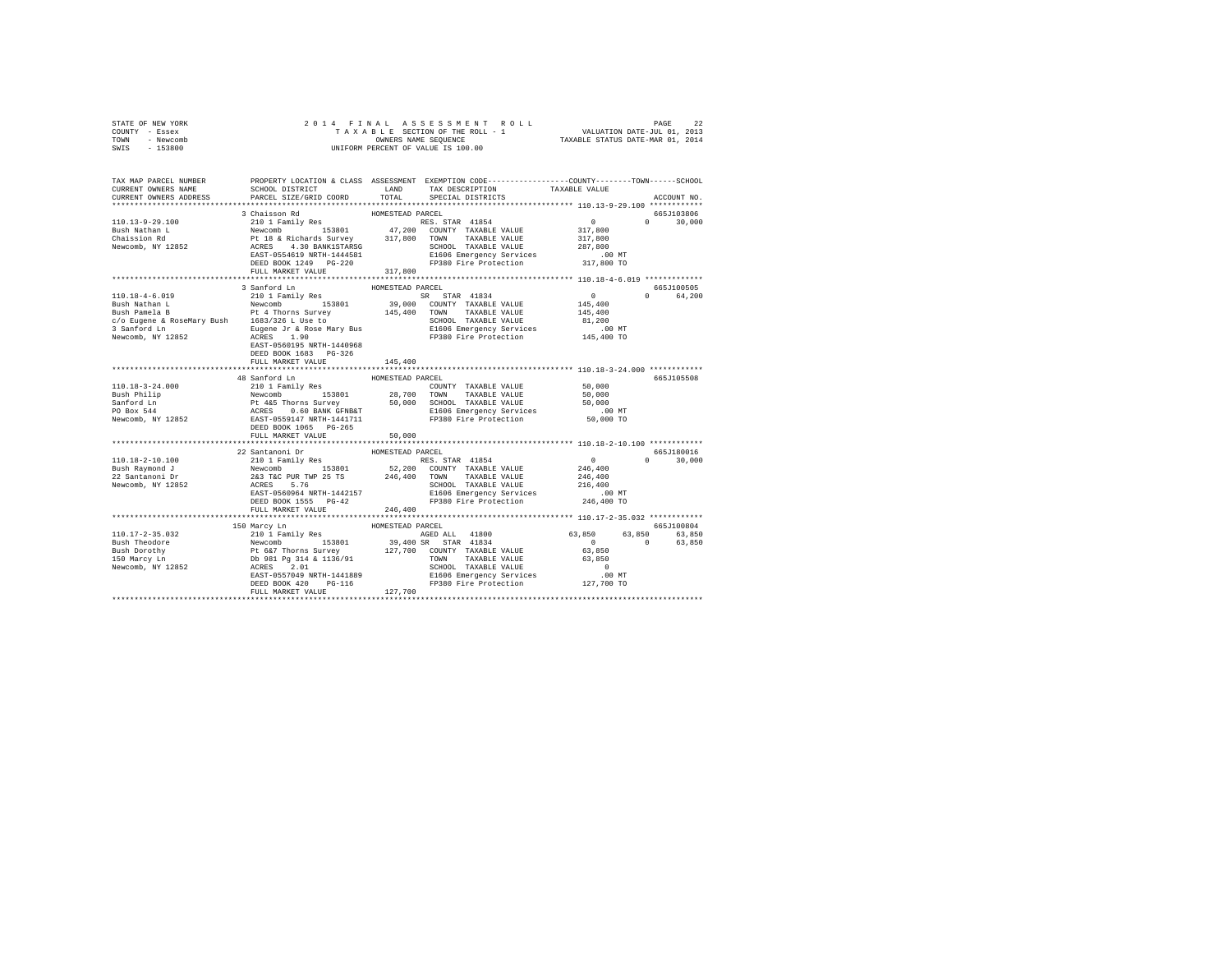| STATE OF NEW YORK | 2014 FINAL ASSESSMENT ROLL         | 22<br>PAGE                       |
|-------------------|------------------------------------|----------------------------------|
| COUNTY - Essex    | TAXABLE SECTION OF THE ROLL - 1    | VALUATION DATE-JUL 01, 2013      |
| TOWN<br>- Newcomb | OWNERS NAME SEOUENCE               | TAXABLE STATUS DATE-MAR 01, 2014 |
| - 153800<br>SWIS  | UNIFORM PERCENT OF VALUE IS 100.00 |                                  |

| TAX MAP PARCEL NUMBER<br>CURRENT OWNERS NAME<br>CURRENT OWNERS ADDRESS                                                                                                                                                                                                                                                                                     | SCHOOL DISTRICT<br>PARCEL SIZE/GRID COORD                                                                                                                                                                                                                                                                                                | LAND<br>TOTAL    | PROPERTY LOCATION & CLASS ASSESSMENT EXEMPTION CODE----------------COUNTY-------TOWN------SCHOOL<br>TAX DESCRIPTION<br>SPECIAL DISTRICTS | TAXABLE VALUE                    | ACCOUNT NO.   |
|------------------------------------------------------------------------------------------------------------------------------------------------------------------------------------------------------------------------------------------------------------------------------------------------------------------------------------------------------------|------------------------------------------------------------------------------------------------------------------------------------------------------------------------------------------------------------------------------------------------------------------------------------------------------------------------------------------|------------------|------------------------------------------------------------------------------------------------------------------------------------------|----------------------------------|---------------|
|                                                                                                                                                                                                                                                                                                                                                            |                                                                                                                                                                                                                                                                                                                                          |                  |                                                                                                                                          |                                  |               |
|                                                                                                                                                                                                                                                                                                                                                            | 3 Chaisson Rd                                                                                                                                                                                                                                                                                                                            | HOMESTEAD PARCEL |                                                                                                                                          |                                  | 665J103806    |
| 110.13-9-29.100                                                                                                                                                                                                                                                                                                                                            |                                                                                                                                                                                                                                                                                                                                          |                  |                                                                                                                                          | $\Omega$                         | 30,000        |
| Bush Nathan L                                                                                                                                                                                                                                                                                                                                              |                                                                                                                                                                                                                                                                                                                                          |                  |                                                                                                                                          |                                  |               |
|                                                                                                                                                                                                                                                                                                                                                            |                                                                                                                                                                                                                                                                                                                                          |                  |                                                                                                                                          |                                  |               |
| Chaission Rd<br>Newcomb, NY 12852                                                                                                                                                                                                                                                                                                                          |                                                                                                                                                                                                                                                                                                                                          |                  |                                                                                                                                          |                                  |               |
|                                                                                                                                                                                                                                                                                                                                                            |                                                                                                                                                                                                                                                                                                                                          |                  |                                                                                                                                          |                                  |               |
|                                                                                                                                                                                                                                                                                                                                                            | 3 CHAISSON RAID RAID RANGALLA PARKS STAR 41854<br>NES. STAR 41854<br>Newcomb 153801 47,200 COUNTY TAXABLE VALUE 317,800<br>Pt 18 & Richards Survey 317,800 TOWN TAXABLE VALUE 287,800<br>RCRES 4.30 BANK1STARSG SCHOOL TAXABLE VALUE 2                                                                                                   |                  |                                                                                                                                          |                                  |               |
|                                                                                                                                                                                                                                                                                                                                                            | FULL MARKET VALUE                                                                                                                                                                                                                                                                                                                        | 317,800          |                                                                                                                                          |                                  |               |
|                                                                                                                                                                                                                                                                                                                                                            |                                                                                                                                                                                                                                                                                                                                          |                  |                                                                                                                                          |                                  |               |
|                                                                                                                                                                                                                                                                                                                                                            | 3 Sanford Ln                                                                                                                                                                                                                                                                                                                             | HOMESTEAD PARCEL |                                                                                                                                          |                                  | 665J100505    |
|                                                                                                                                                                                                                                                                                                                                                            |                                                                                                                                                                                                                                                                                                                                          |                  |                                                                                                                                          |                                  | 0 64,200      |
|                                                                                                                                                                                                                                                                                                                                                            |                                                                                                                                                                                                                                                                                                                                          |                  |                                                                                                                                          |                                  |               |
|                                                                                                                                                                                                                                                                                                                                                            |                                                                                                                                                                                                                                                                                                                                          |                  |                                                                                                                                          |                                  |               |
|                                                                                                                                                                                                                                                                                                                                                            |                                                                                                                                                                                                                                                                                                                                          |                  |                                                                                                                                          |                                  |               |
|                                                                                                                                                                                                                                                                                                                                                            |                                                                                                                                                                                                                                                                                                                                          |                  |                                                                                                                                          |                                  |               |
|                                                                                                                                                                                                                                                                                                                                                            |                                                                                                                                                                                                                                                                                                                                          |                  |                                                                                                                                          |                                  |               |
|                                                                                                                                                                                                                                                                                                                                                            | EAST-0560195 NRTH-1440968                                                                                                                                                                                                                                                                                                                |                  |                                                                                                                                          |                                  |               |
|                                                                                                                                                                                                                                                                                                                                                            | DEED BOOK 1683 PG-326                                                                                                                                                                                                                                                                                                                    |                  |                                                                                                                                          |                                  |               |
|                                                                                                                                                                                                                                                                                                                                                            | FULL MARKET VALUE                                                                                                                                                                                                                                                                                                                        | 145,400          |                                                                                                                                          |                                  |               |
|                                                                                                                                                                                                                                                                                                                                                            |                                                                                                                                                                                                                                                                                                                                          |                  |                                                                                                                                          |                                  |               |
|                                                                                                                                                                                                                                                                                                                                                            | 48 Sanford Ln                                                                                                                                                                                                                                                                                                                            | HOMESTEAD PARCEL |                                                                                                                                          |                                  | 665J105508    |
|                                                                                                                                                                                                                                                                                                                                                            |                                                                                                                                                                                                                                                                                                                                          |                  |                                                                                                                                          |                                  |               |
|                                                                                                                                                                                                                                                                                                                                                            |                                                                                                                                                                                                                                                                                                                                          |                  |                                                                                                                                          |                                  |               |
|                                                                                                                                                                                                                                                                                                                                                            |                                                                                                                                                                                                                                                                                                                                          |                  |                                                                                                                                          |                                  |               |
|                                                                                                                                                                                                                                                                                                                                                            |                                                                                                                                                                                                                                                                                                                                          |                  |                                                                                                                                          |                                  |               |
|                                                                                                                                                                                                                                                                                                                                                            |                                                                                                                                                                                                                                                                                                                                          |                  |                                                                                                                                          |                                  |               |
|                                                                                                                                                                                                                                                                                                                                                            |                                                                                                                                                                                                                                                                                                                                          |                  |                                                                                                                                          |                                  |               |
|                                                                                                                                                                                                                                                                                                                                                            | FULL MARKET VALUE                                                                                                                                                                                                                                                                                                                        | 50,000           |                                                                                                                                          |                                  |               |
|                                                                                                                                                                                                                                                                                                                                                            |                                                                                                                                                                                                                                                                                                                                          |                  |                                                                                                                                          |                                  |               |
|                                                                                                                                                                                                                                                                                                                                                            | 22 Santanoni Dr                                                                                                                                                                                                                                                                                                                          | HOMESTEAD PARCEL |                                                                                                                                          |                                  | 665J180016    |
|                                                                                                                                                                                                                                                                                                                                                            |                                                                                                                                                                                                                                                                                                                                          |                  |                                                                                                                                          | $\sim$ 0                         | $0 \t 30,000$ |
|                                                                                                                                                                                                                                                                                                                                                            |                                                                                                                                                                                                                                                                                                                                          |                  |                                                                                                                                          |                                  |               |
|                                                                                                                                                                                                                                                                                                                                                            |                                                                                                                                                                                                                                                                                                                                          |                  |                                                                                                                                          |                                  |               |
| 110.18-2-10.100<br>2101 Pamily Res (1980)<br>2201 Pamily Res (1980)<br>223 Santanond J Newcomb (1980)<br>223 Santanoni Dr (243 TaC PUR TWP 25 TS 246,400 TOWN TAXABLE VALUE 246,400<br>223 Santanoni Dr (243 TaC PUR TWP 25 TS 246,400                                                                                                                     |                                                                                                                                                                                                                                                                                                                                          |                  |                                                                                                                                          |                                  |               |
|                                                                                                                                                                                                                                                                                                                                                            |                                                                                                                                                                                                                                                                                                                                          |                  |                                                                                                                                          |                                  |               |
|                                                                                                                                                                                                                                                                                                                                                            |                                                                                                                                                                                                                                                                                                                                          |                  |                                                                                                                                          |                                  |               |
|                                                                                                                                                                                                                                                                                                                                                            | FULL MARKET VALUE                                                                                                                                                                                                                                                                                                                        | 246,400          |                                                                                                                                          |                                  |               |
|                                                                                                                                                                                                                                                                                                                                                            |                                                                                                                                                                                                                                                                                                                                          |                  |                                                                                                                                          |                                  |               |
|                                                                                                                                                                                                                                                                                                                                                            |                                                                                                                                                                                                                                                                                                                                          |                  |                                                                                                                                          |                                  | 665J100804    |
|                                                                                                                                                                                                                                                                                                                                                            |                                                                                                                                                                                                                                                                                                                                          |                  |                                                                                                                                          | 63,850 63,850 63,850             |               |
|                                                                                                                                                                                                                                                                                                                                                            |                                                                                                                                                                                                                                                                                                                                          |                  |                                                                                                                                          | $0$<br>63,850<br>$\sim$ 0 $\sim$ | 63,850        |
| $\begin{tabular}{l c c c c c} \hline 110.17-2-35.032 & 150\hspace{0.05cm}Marcy In & \textsc{HOMRT} & \textsc{HOMSTERD RREEL} \\ \hline 210.17-2-35.032 & 120.1\hspace{0.05cm} FaGBL & 183601 & 39,400\hspace{0.05cm} RaFEL & 41800\\ \textsc{Bush}~\textsc{Theoder} & \textsc{Newcomb} & \textsc{St} & 39,400\hspace{0.05cm} SRAR & 41834\\ \textsc{Bush}$ |                                                                                                                                                                                                                                                                                                                                          |                  |                                                                                                                                          |                                  |               |
|                                                                                                                                                                                                                                                                                                                                                            |                                                                                                                                                                                                                                                                                                                                          |                  |                                                                                                                                          |                                  |               |
|                                                                                                                                                                                                                                                                                                                                                            |                                                                                                                                                                                                                                                                                                                                          |                  |                                                                                                                                          |                                  |               |
|                                                                                                                                                                                                                                                                                                                                                            |                                                                                                                                                                                                                                                                                                                                          |                  |                                                                                                                                          |                                  |               |
|                                                                                                                                                                                                                                                                                                                                                            |                                                                                                                                                                                                                                                                                                                                          |                  |                                                                                                                                          |                                  |               |
|                                                                                                                                                                                                                                                                                                                                                            | $\begin{tabular}{lllllllllll} $\begin{array}{l} \text{} & \text{} & \text{} & \text{} & \text{} & \text{} & \text{} & \text{} & \text{} & \text{} & \text{} & \text{} & \text{} \\ \text{ACRES} & 2.01 & 2.01 & 2.01 & 2.01 & 2.01 & 2.01 & 2.01 & 2.01 & 2.01 & 2.01 & 2.01 & 2.01 & 2.01 & 2.01 & 2.01 & 2.01 & 2.01 & 2.01 & 2.01 & $ |                  |                                                                                                                                          |                                  |               |
|                                                                                                                                                                                                                                                                                                                                                            |                                                                                                                                                                                                                                                                                                                                          |                  |                                                                                                                                          |                                  |               |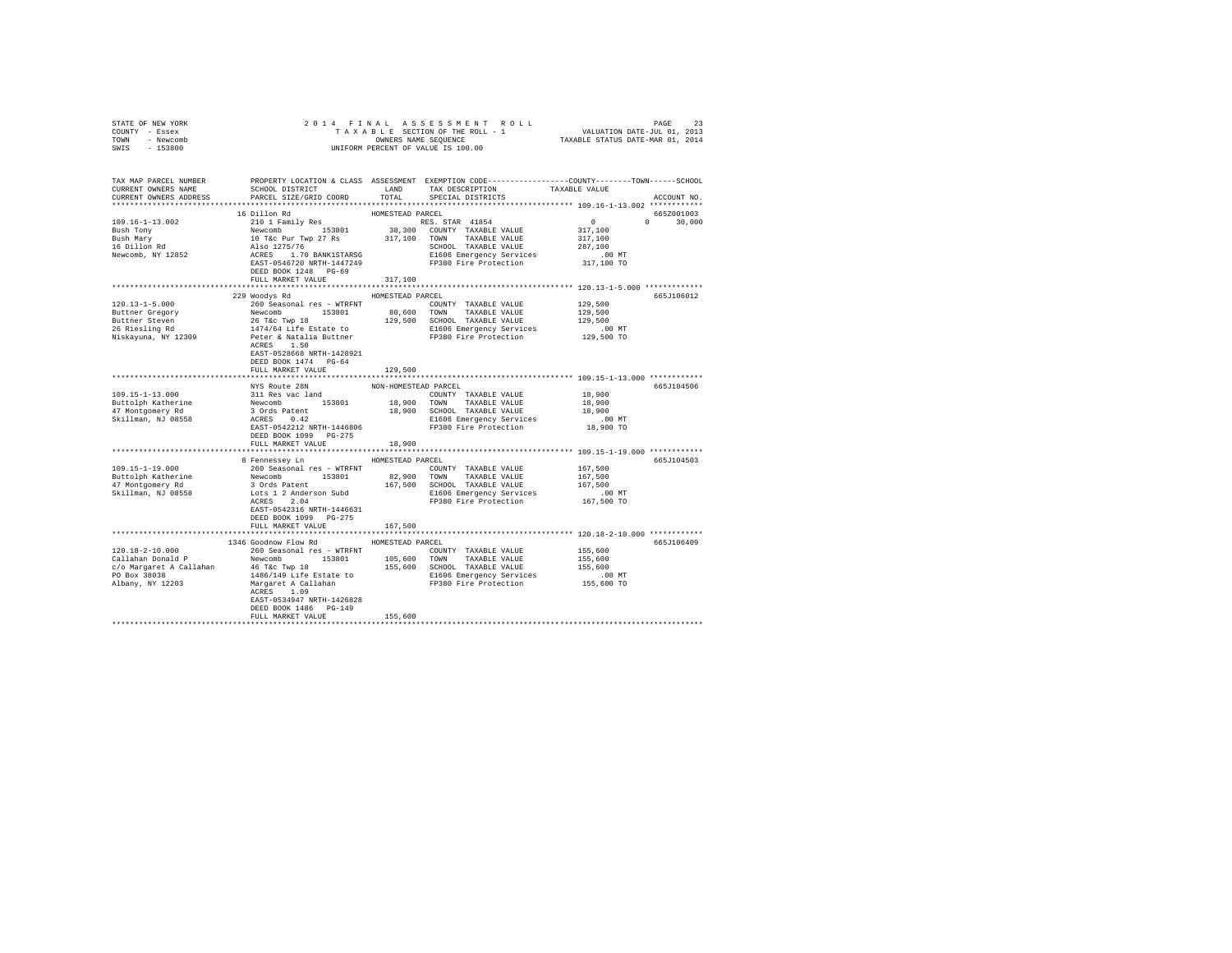| COUNTY - Essex                                                                                                                                                                                                                      |                                                   |                  |                                    |                                                                                                 |  |
|-------------------------------------------------------------------------------------------------------------------------------------------------------------------------------------------------------------------------------------|---------------------------------------------------|------------------|------------------------------------|-------------------------------------------------------------------------------------------------|--|
| TOWN - Newcomb                                                                                                                                                                                                                      |                                                   |                  |                                    |                                                                                                 |  |
| SWIS - 153800                                                                                                                                                                                                                       |                                                   |                  | UNIFORM PERCENT OF VALUE IS 100.00 |                                                                                                 |  |
|                                                                                                                                                                                                                                     |                                                   |                  |                                    |                                                                                                 |  |
|                                                                                                                                                                                                                                     |                                                   |                  |                                    |                                                                                                 |  |
| TAX MAP PARCEL NUMBER                                                                                                                                                                                                               |                                                   |                  |                                    | PROPERTY LOCATION & CLASS ASSESSMENT EXEMPTION CODE----------------COUNTY-------TOWN-----SCHOOL |  |
|                                                                                                                                                                                                                                     |                                                   |                  |                                    |                                                                                                 |  |
|                                                                                                                                                                                                                                     |                                                   |                  |                                    | ACCOUNT NO.                                                                                     |  |
|                                                                                                                                                                                                                                     |                                                   |                  |                                    |                                                                                                 |  |
|                                                                                                                                                                                                                                     |                                                   |                  |                                    | 665Z001003                                                                                      |  |
|                                                                                                                                                                                                                                     |                                                   |                  |                                    | $0 \t 30,000$                                                                                   |  |
|                                                                                                                                                                                                                                     |                                                   |                  |                                    |                                                                                                 |  |
|                                                                                                                                                                                                                                     |                                                   |                  |                                    |                                                                                                 |  |
|                                                                                                                                                                                                                                     |                                                   |                  |                                    |                                                                                                 |  |
|                                                                                                                                                                                                                                     |                                                   |                  |                                    |                                                                                                 |  |
|                                                                                                                                                                                                                                     |                                                   |                  |                                    |                                                                                                 |  |
|                                                                                                                                                                                                                                     |                                                   |                  |                                    |                                                                                                 |  |
|                                                                                                                                                                                                                                     | FULL MARKET VALUE 317,100                         |                  |                                    |                                                                                                 |  |
|                                                                                                                                                                                                                                     |                                                   |                  |                                    |                                                                                                 |  |
|                                                                                                                                                                                                                                     | 229 Woodys Rd MOMESTEAD PARCEL                    |                  |                                    | 665J106012                                                                                      |  |
|                                                                                                                                                                                                                                     |                                                   |                  |                                    |                                                                                                 |  |
|                                                                                                                                                                                                                                     |                                                   |                  |                                    |                                                                                                 |  |
|                                                                                                                                                                                                                                     |                                                   |                  |                                    |                                                                                                 |  |
|                                                                                                                                                                                                                                     |                                                   |                  |                                    |                                                                                                 |  |
|                                                                                                                                                                                                                                     |                                                   |                  |                                    |                                                                                                 |  |
|                                                                                                                                                                                                                                     |                                                   |                  |                                    |                                                                                                 |  |
|                                                                                                                                                                                                                                     | EAST-0528668 NRTH-1428921                         |                  |                                    |                                                                                                 |  |
|                                                                                                                                                                                                                                     | DEED BOOK 1474 PG-64                              |                  |                                    |                                                                                                 |  |
|                                                                                                                                                                                                                                     | FULL MARKET VALUE                                 | 129,500          |                                    |                                                                                                 |  |
|                                                                                                                                                                                                                                     |                                                   |                  |                                    |                                                                                                 |  |
|                                                                                                                                                                                                                                     |                                                   |                  |                                    | 665J104506                                                                                      |  |
|                                                                                                                                                                                                                                     |                                                   |                  |                                    |                                                                                                 |  |
|                                                                                                                                                                                                                                     |                                                   |                  |                                    |                                                                                                 |  |
|                                                                                                                                                                                                                                     |                                                   |                  |                                    |                                                                                                 |  |
|                                                                                                                                                                                                                                     |                                                   |                  |                                    |                                                                                                 |  |
|                                                                                                                                                                                                                                     |                                                   |                  |                                    |                                                                                                 |  |
|                                                                                                                                                                                                                                     |                                                   |                  |                                    |                                                                                                 |  |
|                                                                                                                                                                                                                                     | DEED BOOK 1099 PG-275<br>FULL MARKET VALUE 18,900 |                  |                                    |                                                                                                 |  |
|                                                                                                                                                                                                                                     |                                                   |                  |                                    |                                                                                                 |  |
|                                                                                                                                                                                                                                     | 8 Fennessey Ln MOMESTEAD PARCEL                   |                  |                                    |                                                                                                 |  |
|                                                                                                                                                                                                                                     |                                                   |                  |                                    | 665J104503                                                                                      |  |
|                                                                                                                                                                                                                                     |                                                   |                  |                                    |                                                                                                 |  |
|                                                                                                                                                                                                                                     |                                                   |                  |                                    |                                                                                                 |  |
|                                                                                                                                                                                                                                     |                                                   |                  |                                    |                                                                                                 |  |
|                                                                                                                                                                                                                                     |                                                   |                  |                                    |                                                                                                 |  |
|                                                                                                                                                                                                                                     |                                                   |                  |                                    |                                                                                                 |  |
|                                                                                                                                                                                                                                     | EAST-0542316 NRTH-1446631                         |                  |                                    |                                                                                                 |  |
|                                                                                                                                                                                                                                     | DEED BOOK 1099 PG-275                             |                  |                                    |                                                                                                 |  |
|                                                                                                                                                                                                                                     | FULL MARKET VALUE                                 | 167,500          |                                    |                                                                                                 |  |
|                                                                                                                                                                                                                                     |                                                   |                  |                                    |                                                                                                 |  |
|                                                                                                                                                                                                                                     | 1346 Goodnow Flow Rd                              | HOMESTEAD PARCEL |                                    | 665J106409                                                                                      |  |
|                                                                                                                                                                                                                                     |                                                   |                  |                                    |                                                                                                 |  |
| 120.18-2-10.000<br>260 Geasonal res – WTRFNT COUNTY TAXABLE VALUE 155,600<br>Callahan Donald P Newcomb 153801<br>260 Geasonal res – WTRFNT COUNTY TAXABLE VALUE 155,600<br>260 Geasonal res – WTRFNT 165,600 TOWN TAXABLE VALUE 155 |                                                   |                  |                                    |                                                                                                 |  |
|                                                                                                                                                                                                                                     |                                                   |                  |                                    |                                                                                                 |  |
|                                                                                                                                                                                                                                     |                                                   |                  |                                    |                                                                                                 |  |
|                                                                                                                                                                                                                                     |                                                   |                  |                                    |                                                                                                 |  |
|                                                                                                                                                                                                                                     |                                                   |                  |                                    |                                                                                                 |  |
|                                                                                                                                                                                                                                     |                                                   |                  |                                    |                                                                                                 |  |
|                                                                                                                                                                                                                                     | DEED BOOK 1486 PG-149                             |                  |                                    |                                                                                                 |  |
|                                                                                                                                                                                                                                     | FULL MARKET VALUE                                 | 155,600          |                                    |                                                                                                 |  |
|                                                                                                                                                                                                                                     |                                                   |                  |                                    |                                                                                                 |  |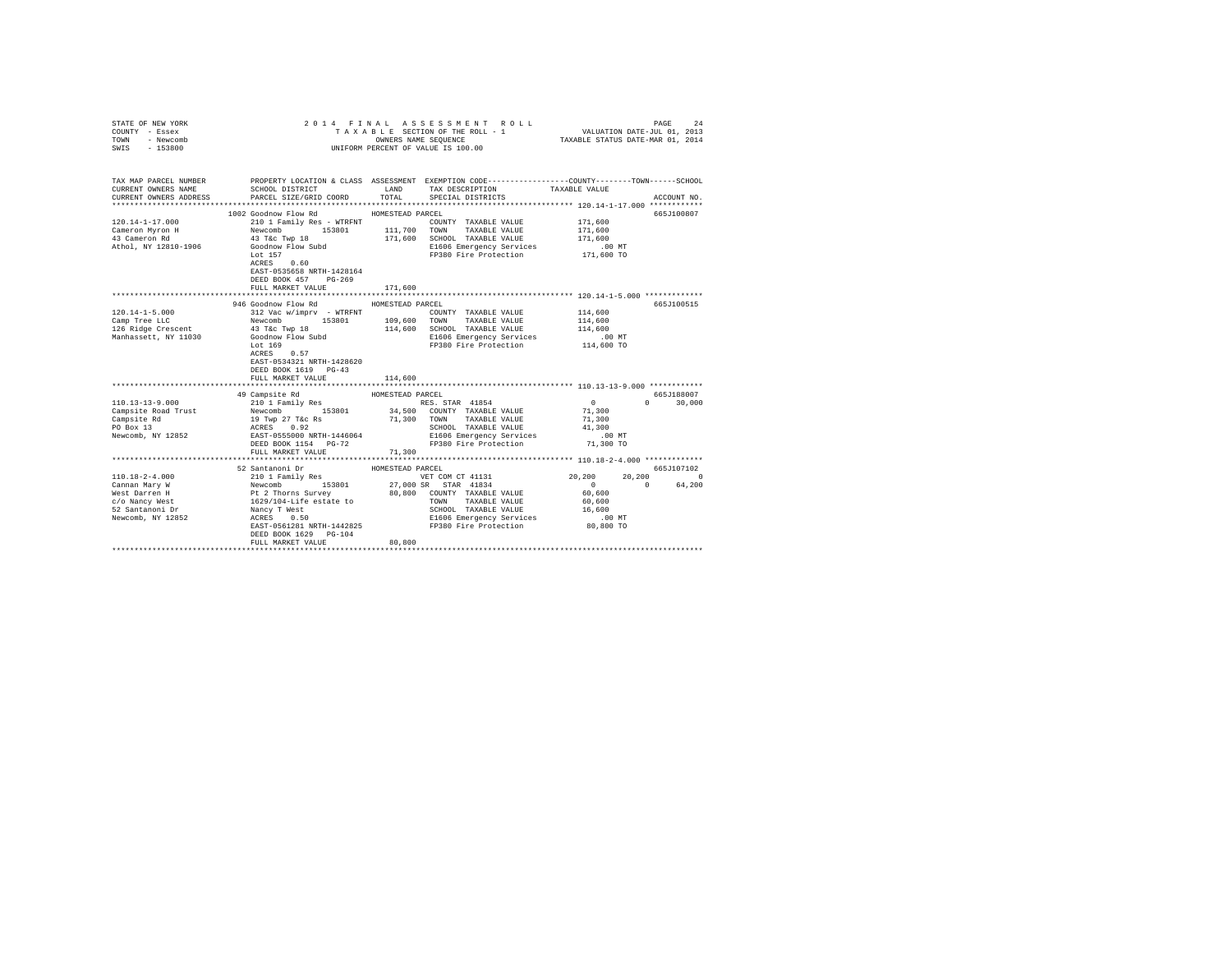| STATE OF NEW YORK<br>COUNTY - Essex<br>TOWN<br>- Newcomb<br>$-153800$<br>SWIS |                                                                                                                                                                                                                                              |                  | 2014 FINAL ASSESSMENT ROLL<br>TAXABLE SECTION OF THE ROLL - 1<br>OWNERS NAME SEQUENCE<br>UNIFORM PERCENT OF VALUE IS 100.00 | VALUATION DATE-JUL 01, 2013<br>TAXABLE STATUS DATE-MAR 01, 2014 | PAGE<br>24    |
|-------------------------------------------------------------------------------|----------------------------------------------------------------------------------------------------------------------------------------------------------------------------------------------------------------------------------------------|------------------|-----------------------------------------------------------------------------------------------------------------------------|-----------------------------------------------------------------|---------------|
|                                                                               |                                                                                                                                                                                                                                              |                  |                                                                                                                             |                                                                 |               |
| CURRENT OWNERS NAME                                                           | TAX MAP PARCEL NUMBER PROPERTY LOCATION & CLASS ASSESSMENT EXEMPTION CODE--------------COUNTY-------TOWN------SCHOOL<br>SCHOOL DISTRICT LAND                                                                                                 |                  | TAX DESCRIPTION                                                                                                             | TAXABLE VALUE                                                   |               |
| CURRENT OWNERS ADDRESS                                                        | PARCEL SIZE/GRID COORD TOTAL                                                                                                                                                                                                                 |                  | SPECIAL DISTRICTS                                                                                                           |                                                                 | ACCOUNT NO.   |
|                                                                               | 1002 Goodnow Flow Rd                                                                                                                                                                                                                         | HOMESTEAD PARCEL |                                                                                                                             |                                                                 | 665J100807    |
| 120.14-1-17.000                                                               | 210 1 Family Res - WTRFNT                                                                                                                                                                                                                    |                  | COUNTY TAXABLE VALUE                                                                                                        | 171,600                                                         |               |
|                                                                               | Newcomb 153801 111,700 TOWN                                                                                                                                                                                                                  |                  | TAXABLE VALUE                                                                                                               | 171,600                                                         |               |
| Cameron Myron H<br>43 Cameron Rd                                              | 43 T&C Twp 18                                                                                                                                                                                                                                | 171,600          | SCHOOL TAXABLE VALUE                                                                                                        | 171,600                                                         |               |
| Athol, NY 12810-1906                                                          | Goodnow Flow Subd                                                                                                                                                                                                                            |                  | E1606 Emergency Services                                                                                                    | $.00$ MT                                                        |               |
|                                                                               | Lot 157                                                                                                                                                                                                                                      |                  | FP380 Fire Protection 171,600 TO                                                                                            |                                                                 |               |
|                                                                               | ACRES 0.60                                                                                                                                                                                                                                   |                  |                                                                                                                             |                                                                 |               |
|                                                                               | EAST-0535658 NRTH-1428164                                                                                                                                                                                                                    |                  |                                                                                                                             |                                                                 |               |
|                                                                               | DEED BOOK 457 PG-269                                                                                                                                                                                                                         |                  |                                                                                                                             |                                                                 |               |
|                                                                               | FULL MARKET VALUE                                                                                                                                                                                                                            | 171,600          |                                                                                                                             |                                                                 |               |
|                                                                               | ********************************                                                                                                                                                                                                             | **************** | ****************************** 120.14-1-5.000 *************                                                                 |                                                                 |               |
|                                                                               | 946 Goodnow Flow Rd                                                                                                                                                                                                                          | HOMESTEAD PARCEL |                                                                                                                             |                                                                 | 665J100515    |
| $120.14 - 1 - 5.000$                                                          | 312 Vac w/imprv - WTRFNT                                                                                                                                                                                                                     |                  | COUNTY TAXABLE VALUE                                                                                                        | 114,600                                                         |               |
| Camp Tree LLC                                                                 | Newcomb 153801                                                                                                                                                                                                                               | 109,600 TOWN     | TAXABLE VALUE                                                                                                               | 114,600                                                         |               |
| 126 Ridge Crescent                                                            | 43 T&C Twp 18<br>Goodnow Flow Subd                                                                                                                                                                                                           | 114,600          | SCHOOL TAXABLE VALUE                                                                                                        | 114,600                                                         |               |
| Manhassett, NY 11030                                                          | Lot 169                                                                                                                                                                                                                                      |                  | E1606 Emergency Services<br>FP380 Fire Protection                                                                           | $.00$ MT<br>114,600 TO                                          |               |
|                                                                               | ACRES 0.57                                                                                                                                                                                                                                   |                  |                                                                                                                             |                                                                 |               |
|                                                                               | EAST-0534321 NRTH-1428620                                                                                                                                                                                                                    |                  |                                                                                                                             |                                                                 |               |
|                                                                               | DEED BOOK 1619 PG-43                                                                                                                                                                                                                         |                  |                                                                                                                             |                                                                 |               |
|                                                                               | FULL MARKET VALUE                                                                                                                                                                                                                            | 114,600          |                                                                                                                             |                                                                 |               |
|                                                                               |                                                                                                                                                                                                                                              |                  |                                                                                                                             |                                                                 |               |
|                                                                               |                                                                                                                                                                                                                                              | HOMESTEAD PARCEL |                                                                                                                             |                                                                 | 665J188007    |
| $110.13 - 13 - 9.000$                                                         | 49 Campsite Rd<br>210 1 Family Res                                                                                                                                                                                                           |                  | RES. STAR 41854                                                                                                             | $\sim$ 0                                                        | $0 \t 30,000$ |
| Campsite Road Trust                                                           | Newcomb 153801                                                                                                                                                                                                                               |                  | 34,500 COUNTY TAXABLE VALUE                                                                                                 | 71,300                                                          |               |
| Campsite Rd                                                                   |                                                                                                                                                                                                                                              |                  | 71,300 TOWN TAXABLE VALUE                                                                                                   | 71,300                                                          |               |
| PO Box 13                                                                     | 19 Twp 27 T&C Rs<br>ACRES 0.92                                                                                                                                                                                                               |                  | SCHOOL TAXABLE VALUE                                                                                                        | 41,300                                                          |               |
| Newcomb, NY 12852                                                             | EAST-0555000 NRTH-1446064                                                                                                                                                                                                                    |                  | E1606 Emergency Services                                                                                                    | $.00$ MT                                                        |               |
|                                                                               | DEED BOOK 1154 PG-72                                                                                                                                                                                                                         |                  | FP380 Fire Protection                                                                                                       | 71,300 TO                                                       |               |
|                                                                               | FULL MARKET VALUE                                                                                                                                                                                                                            | 71,300           |                                                                                                                             |                                                                 |               |
|                                                                               |                                                                                                                                                                                                                                              |                  |                                                                                                                             |                                                                 |               |
|                                                                               | 52 Santanoni Dr                                                                                                                                                                                                                              | HOMESTEAD PARCEL |                                                                                                                             |                                                                 | 665J107102    |
| $110.18 - 2 - 4.000$                                                          | 210 1 Family Res                                                                                                                                                                                                                             |                  | VET COM CT 41131                                                                                                            | 20,200<br>20,200                                                | $\sim$ 0      |
| Cannan Mary W                                                                 | Newcomb<br>Newcomb<br>PE 2 Thorns Suvey by the 1994<br>PE 2 Thorns Suvey BO, 800, 800 NOWITY TAXABLE VALUE<br>Nancy Twest BO, 800 NOWITY TAXABLE VALUE<br>Nancy Twest Constants SCHOOL TAXABLE VALUE<br>Nancy O.50 SCHOOL TAXABLE VALUE<br>N |                  |                                                                                                                             | $\sim$ 0<br>$\sim$ 0                                            | 64,200        |
| West Darren H                                                                 |                                                                                                                                                                                                                                              |                  |                                                                                                                             | 60,600                                                          |               |
| c/o Nancy West                                                                |                                                                                                                                                                                                                                              |                  |                                                                                                                             | 60,600                                                          |               |
| 52 Santanoni Dr                                                               |                                                                                                                                                                                                                                              |                  | SCHOOL TAXABLE VALUE                                                                                                        | 16,600                                                          |               |
| Newcomb, NY 12852                                                             |                                                                                                                                                                                                                                              |                  | E1606 Emergency Services<br>FP380 Fire Protection                                                                           | $.00$ MT                                                        |               |
|                                                                               | EAST-0561281 NRTH-1442825                                                                                                                                                                                                                    |                  |                                                                                                                             | 80,800 TO                                                       |               |
|                                                                               | DEED BOOK 1629 PG-104                                                                                                                                                                                                                        |                  |                                                                                                                             |                                                                 |               |
|                                                                               | FULL MARKET VALUE                                                                                                                                                                                                                            | 80,800           |                                                                                                                             |                                                                 |               |
|                                                                               |                                                                                                                                                                                                                                              |                  |                                                                                                                             |                                                                 |               |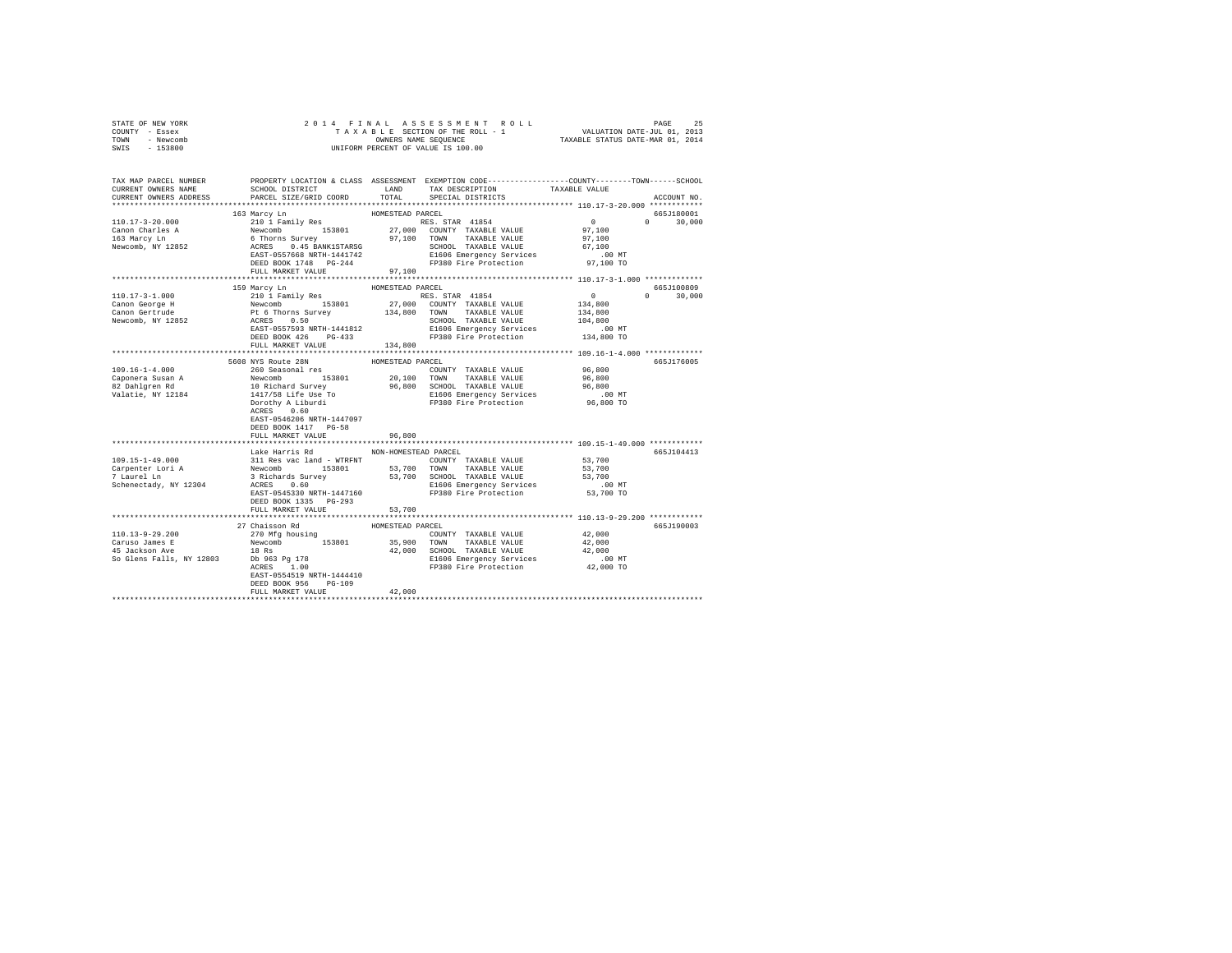| STATE OF NEW YORK                                                                                                    | 2014 FINAL                                                                                                                                                                                                |                      |                                                                                                                      |               |               |
|----------------------------------------------------------------------------------------------------------------------|-----------------------------------------------------------------------------------------------------------------------------------------------------------------------------------------------------------|----------------------|----------------------------------------------------------------------------------------------------------------------|---------------|---------------|
| COUNTY - Essex                                                                                                       |                                                                                                                                                                                                           |                      |                                                                                                                      |               |               |
| TOWN - Newcomb                                                                                                       | OWNERS NAME SEQUENCE                                                                                                                                                                                      |                      |                                                                                                                      |               |               |
| $-153800$<br>SWIS                                                                                                    |                                                                                                                                                                                                           |                      | UNIFORM PERCENT OF VALUE IS 100.00                                                                                   |               |               |
|                                                                                                                      |                                                                                                                                                                                                           |                      |                                                                                                                      |               |               |
|                                                                                                                      |                                                                                                                                                                                                           |                      |                                                                                                                      |               |               |
|                                                                                                                      |                                                                                                                                                                                                           |                      |                                                                                                                      |               |               |
| TAX MAP PARCEL NUMBER PROPERTY LOCATION & CLASS ASSESSMENT EXEMPTION CODE---------------COUNTY-------TOWN-----SCHOOL | SCHOOL DISTRICT LAND                                                                                                                                                                                      |                      | TAX DESCRIPTION                                                                                                      | TAXABLE VALUE |               |
| CURRENT OWNERS NAME                                                                                                  | PARCEL SIZE/GRID COORD                                                                                                                                                                                    | TOTAL                |                                                                                                                      |               |               |
| CURRENT OWNERS ADDRESS                                                                                               |                                                                                                                                                                                                           |                      | SPECIAL DISTRICTS                                                                                                    |               | ACCOUNT NO.   |
|                                                                                                                      |                                                                                                                                                                                                           |                      |                                                                                                                      |               |               |
|                                                                                                                      | 163 Marcy Ln                                                                                                                                                                                              | HOMESTEAD PARCEL     |                                                                                                                      |               | 665J180001    |
| 110.17-3-20.000                                                                                                      |                                                                                                                                                                                                           |                      |                                                                                                                      | $\sim$ 0      | $0 \t 30,000$ |
| Canon Charles A                                                                                                      |                                                                                                                                                                                                           |                      |                                                                                                                      | 97,100        |               |
| 163 Marcy Ln                                                                                                         |                                                                                                                                                                                                           |                      |                                                                                                                      | 97,100        |               |
| Newcomb, NY 12852                                                                                                    | 210 1 Family Res<br>210 1 Family Res<br>Newcomb 153801 27,000 COUNTY TAXABLE VALUE<br>6 Thorns Survey 97,100 TOWN TAXABLE VALUE<br>ACRES  0.445 BANKISTARSG<br>21606 TAXABLE VALUE<br>21606 TAXABLE VALUE |                      |                                                                                                                      | 67,100        |               |
|                                                                                                                      | EAST-0557668 NRTH-1441742                                                                                                                                                                                 |                      | E1606 Emergency Services                                                                                             | $.00$ MT      |               |
|                                                                                                                      | DEED BOOK 1748 PG-244                                                                                                                                                                                     |                      | FP380 Fire Protection                                                                                                | 97,100 TO     |               |
|                                                                                                                      | FULL MARKET VALUE                                                                                                                                                                                         | 97.100               |                                                                                                                      |               |               |
|                                                                                                                      |                                                                                                                                                                                                           |                      |                                                                                                                      |               |               |
|                                                                                                                      | 159 Marcy Ln                                                                                                                                                                                              | HOMESTEAD PARCEL     |                                                                                                                      |               | 665J100809    |
| $110.17 - 3 - 1.000$                                                                                                 | 210 1 Family Res                                                                                                                                                                                          |                      | RES. STAR 41854                                                                                                      | $\sim$ 0      | $0 \t 30,000$ |
| Canon George H                                                                                                       | Newcomb 153801 27,000 COUNTY TAXABLE VALUE<br>Pt 6 Thorns Survey 134,800 TOWN TAXABLE VALUE<br>ACRES 0.50 SURVEY SCHOOL TAXABLE VALUE                                                                     |                      |                                                                                                                      | 134,800       |               |
| Canon Gertrude                                                                                                       |                                                                                                                                                                                                           |                      |                                                                                                                      | 134,800       |               |
| Newcomb, NY 12852                                                                                                    | ACRES 0.50                                                                                                                                                                                                |                      |                                                                                                                      | 104,800       |               |
|                                                                                                                      |                                                                                                                                                                                                           |                      |                                                                                                                      | .00 MT        |               |
|                                                                                                                      |                                                                                                                                                                                                           |                      | ACRES 0.50<br>EAST-0557593 NRTH-1441812 - E1606 Emergency Services<br>DEED BOOK 426 - PG-433 - FP380 Fire Protection | 134,800 TO    |               |
|                                                                                                                      | FULL MARKET VALUE                                                                                                                                                                                         | 134,800              |                                                                                                                      |               |               |
|                                                                                                                      |                                                                                                                                                                                                           |                      |                                                                                                                      |               |               |
|                                                                                                                      |                                                                                                                                                                                                           | HOMESTEAD PARCEL     |                                                                                                                      |               | 665J176005    |
| $109.16 - 1 - 4.000$                                                                                                 | 5608 NYS Route 28N<br>260 Seasonal res                                                                                                                                                                    |                      |                                                                                                                      | 96,800        |               |
|                                                                                                                      |                                                                                                                                                                                                           |                      | COUNTY TAXABLE VALUE<br>20,100 TOWN TAXABLE VALUE                                                                    | 96,800        |               |
| Caponera Susan A<br>82 Dahlgren Rd<br>Valatie, NY 12184                                                              |                                                                                                                                                                                                           |                      |                                                                                                                      | 96,800        |               |
|                                                                                                                      |                                                                                                                                                                                                           |                      | 96,800 SCHOOL TAXABLE VALUE<br>E1606 Emergency Services                                                              |               |               |
|                                                                                                                      |                                                                                                                                                                                                           |                      |                                                                                                                      | .00MT         |               |
|                                                                                                                      | Newcomb<br>153801<br>10 Richard Survey<br>1417/58 Liburdi<br>Dorothy A Liburdi<br>ACRES 0.60                                                                                                              |                      | FP380 Fire Protection                                                                                                | 96,800 TO     |               |
|                                                                                                                      |                                                                                                                                                                                                           |                      |                                                                                                                      |               |               |
|                                                                                                                      | EAST-0546206 NRTH-1447097                                                                                                                                                                                 |                      |                                                                                                                      |               |               |
|                                                                                                                      | DEED BOOK 1417 PG-58                                                                                                                                                                                      |                      |                                                                                                                      |               |               |
|                                                                                                                      | FULL MARKET VALUE                                                                                                                                                                                         | 96,800               |                                                                                                                      |               |               |
|                                                                                                                      |                                                                                                                                                                                                           |                      |                                                                                                                      |               |               |
|                                                                                                                      | Lake Harris Rd                                                                                                                                                                                            | NON-HOMESTEAD PARCEL |                                                                                                                      |               | 665J104413    |
| $109.15 - 1 - 49.000$                                                                                                | 311 Res vac land - WTRFNT                                                                                                                                                                                 |                      | COUNTY TAXABLE VALUE                                                                                                 | 53,700        |               |
| Carpenter Lori A<br>7 Laurel Ln                                                                                      | Newcomb 153801<br>3 Richards Survey<br>ACRES 0.60                                                                                                                                                         |                      | 53,700 TOWN TAXABLE VALUE                                                                                            | 53,700        |               |
|                                                                                                                      |                                                                                                                                                                                                           |                      |                                                                                                                      | 53,700        |               |
| Schenectady, NY 12304                                                                                                | ACRES 0.60                                                                                                                                                                                                |                      | 53,700 SCHOOL TAXABLE VALUE<br>E1606 Emergency Services                                                              | $.00$ MT      |               |
|                                                                                                                      | EAST-0545330 NRTH-1447160                                                                                                                                                                                 |                      | FP380 Fire Protection                                                                                                | 53,700 TO     |               |
|                                                                                                                      | DEED BOOK 1335 PG-293                                                                                                                                                                                     |                      |                                                                                                                      |               |               |
|                                                                                                                      | FULL MARKET VALUE                                                                                                                                                                                         | 53,700               |                                                                                                                      |               |               |
|                                                                                                                      |                                                                                                                                                                                                           |                      |                                                                                                                      |               |               |
|                                                                                                                      | 27 Chaisson Rd                                                                                                                                                                                            | HOMESTEAD PARCEL     |                                                                                                                      |               | 665J190003    |
| 110.13-9-29.200                                                                                                      |                                                                                                                                                                                                           |                      | COUNTY TAXABLE VALUE                                                                                                 | 42,000        |               |
| Caruso James E                                                                                                       | 270 Mfg housing<br>Newcomb 153801 35,900 TOWN TAXABLE VALUE                                                                                                                                               |                      |                                                                                                                      | 42,000        |               |
|                                                                                                                      |                                                                                                                                                                                                           |                      | 42,000 SCHOOL TAXABLE VALUE                                                                                          | 42,000        |               |
|                                                                                                                      |                                                                                                                                                                                                           |                      |                                                                                                                      | $.00$ MT      |               |
|                                                                                                                      |                                                                                                                                                                                                           |                      | E1606 Emergency Services<br>FP380 Fire Protection                                                                    | 42,000 TO     |               |
|                                                                                                                      | EAST-0554519 NRTH-1444410                                                                                                                                                                                 |                      |                                                                                                                      |               |               |
|                                                                                                                      | DEED BOOK 956 PG-109                                                                                                                                                                                      |                      |                                                                                                                      |               |               |
|                                                                                                                      | FULL MARKET VALUE                                                                                                                                                                                         | 42,000               |                                                                                                                      |               |               |
|                                                                                                                      |                                                                                                                                                                                                           |                      |                                                                                                                      |               |               |
|                                                                                                                      |                                                                                                                                                                                                           |                      |                                                                                                                      |               |               |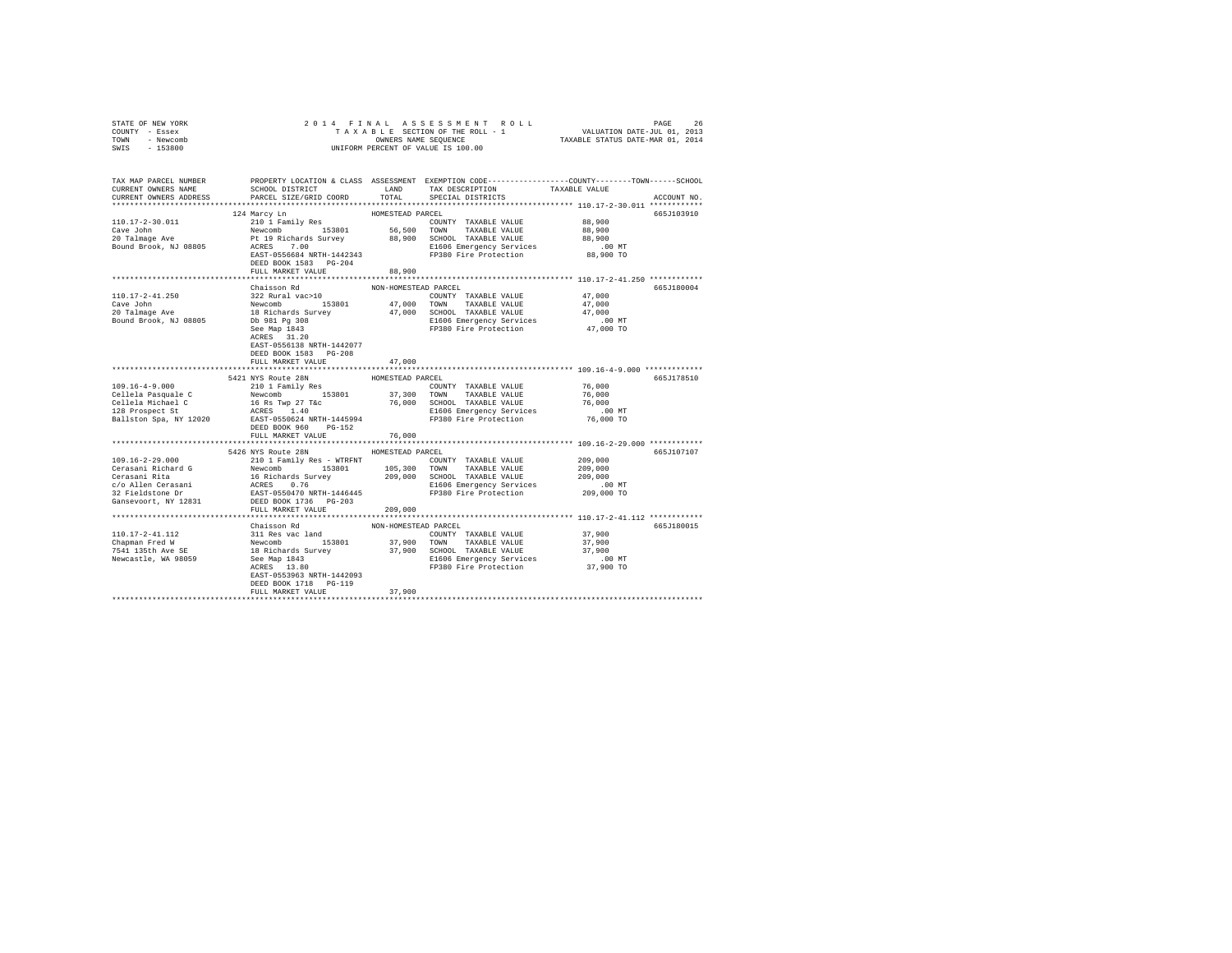| STATE OF NEW YORK<br>COUNTY - Essex                                                                                  | 2014 FINAL                                                                                                                                                                                                                                                                        |                      |                                                                                                                                               |               |             |
|----------------------------------------------------------------------------------------------------------------------|-----------------------------------------------------------------------------------------------------------------------------------------------------------------------------------------------------------------------------------------------------------------------------------|----------------------|-----------------------------------------------------------------------------------------------------------------------------------------------|---------------|-------------|
| TOWN - Newcomb                                                                                                       |                                                                                                                                                                                                                                                                                   |                      | OWNERS NAME SEQUENCE                                                                                                                          |               |             |
| SWIS - 153800                                                                                                        |                                                                                                                                                                                                                                                                                   |                      | UNIFORM PERCENT OF VALUE IS 100.00                                                                                                            |               |             |
|                                                                                                                      |                                                                                                                                                                                                                                                                                   |                      |                                                                                                                                               |               |             |
| TAX MAP PARCEL NUMBER PROPERTY LOCATION & CLASS ASSESSMENT EXEMPTION CODE--------------COUNTY-------TOWN------SCHOOL |                                                                                                                                                                                                                                                                                   |                      |                                                                                                                                               |               |             |
| CURRENT OWNERS NAME                                                                                                  | SCHOOL DISTRICT LAND                                                                                                                                                                                                                                                              |                      | TAX DESCRIPTION                                                                                                                               | TAXABLE VALUE |             |
| CURRENT OWNERS ADDRESS                                                                                               | PARCEL SIZE/GRID COORD                                                                                                                                                                                                                                                            | TOTAL                | SPECIAL DISTRICTS                                                                                                                             |               | ACCOUNT NO. |
|                                                                                                                      |                                                                                                                                                                                                                                                                                   |                      |                                                                                                                                               |               |             |
|                                                                                                                      | 124 Marcy Ln                                                                                                                                                                                                                                                                      | HOMESTEAD PARCEL     |                                                                                                                                               |               | 665J103910  |
| 110.17-2-30.011                                                                                                      | 210 1 Family Res                                                                                                                                                                                                                                                                  |                      | COUNTY TAXABLE VALUE                                                                                                                          | 88,900        |             |
| Cave John                                                                                                            |                                                                                                                                                                                                                                                                                   |                      | Newcomb - 153801 56,500 TOWN TAXABLE VALUE<br>Pt 19 Richards Survey - 88,900 SCHOOL TAXABLE VALUE<br>ACRES 7.00 - 88,900 SCHOOL TAXABLE VALUE | 88,900        |             |
| 20 Talmage Ave                                                                                                       |                                                                                                                                                                                                                                                                                   |                      |                                                                                                                                               | 88,900        |             |
| Bound Brook, NJ 08805                                                                                                |                                                                                                                                                                                                                                                                                   |                      | E1606 Emergency Services                                                                                                                      | $.00$ MT      |             |
|                                                                                                                      | EAST-0556684 NRTH-1442343                                                                                                                                                                                                                                                         |                      | FP380 Fire Protection                                                                                                                         | 88,900 TO     |             |
|                                                                                                                      | DEED BOOK 1583 PG-204                                                                                                                                                                                                                                                             |                      |                                                                                                                                               |               |             |
|                                                                                                                      | FULL MARKET VALUE                                                                                                                                                                                                                                                                 | 88,900               |                                                                                                                                               |               |             |
|                                                                                                                      |                                                                                                                                                                                                                                                                                   |                      |                                                                                                                                               |               |             |
|                                                                                                                      | Chaisson Rd                                                                                                                                                                                                                                                                       | NON-HOMESTEAD PARCEL |                                                                                                                                               |               | 665J180004  |
| 110.17-2-41.250                                                                                                      | 322 Rural vac>10                                                                                                                                                                                                                                                                  |                      | COUNTY TAXABLE VALUE                                                                                                                          | 47.000        |             |
| Cave John                                                                                                            | $\begin{tabular}{lcccccc} {\bf Newcomb} & & 153801 & & 47,000 & TOWN & TAXABLE VALUE \\ 18 {\bf Richards} Survey & & 47,000 & SCHOOL & TAXABLE VALUE \end{tabular}$                                                                                                               |                      |                                                                                                                                               | 47,000        |             |
| 20 Talmage Ave                                                                                                       |                                                                                                                                                                                                                                                                                   |                      |                                                                                                                                               | 47,000        |             |
| Bound Brook, NJ 08805                                                                                                | Db 981 Pg 308                                                                                                                                                                                                                                                                     |                      | E1606 Emergency Services                                                                                                                      | $.00$ MT      |             |
|                                                                                                                      | See Map 1843                                                                                                                                                                                                                                                                      |                      | FP380 Fire Protection 47,000 TO                                                                                                               |               |             |
|                                                                                                                      | ACRES 31.20                                                                                                                                                                                                                                                                       |                      |                                                                                                                                               |               |             |
|                                                                                                                      | EAST-0556138 NRTH-1442077                                                                                                                                                                                                                                                         |                      |                                                                                                                                               |               |             |
|                                                                                                                      | DEED BOOK 1583 PG-208<br>FULL MARKET VALUE                                                                                                                                                                                                                                        | 47,000               |                                                                                                                                               |               |             |
|                                                                                                                      |                                                                                                                                                                                                                                                                                   |                      |                                                                                                                                               |               |             |
|                                                                                                                      | 5421 NYS Route 28N                                                                                                                                                                                                                                                                | HOMESTEAD PARCEL     |                                                                                                                                               |               | 665J178510  |
| $109.16 - 4 - 9.000$                                                                                                 | 210 1 Family Res                                                                                                                                                                                                                                                                  |                      | COUNTY TAXABLE VALUE                                                                                                                          | 76,000        |             |
| Cellela Pasquale C                                                                                                   | Newcomb 153801 37,300 TOWN TAXABLE VALUE                                                                                                                                                                                                                                          |                      |                                                                                                                                               | 76,000        |             |
| Cellela Michael C                                                                                                    | 16 Rs Twp 27 T&c                                                                                                                                                                                                                                                                  |                      | 76,000 SCHOOL TAXABLE VALUE                                                                                                                   | 76,000        |             |
| 128 Prospect St                                                                                                      | ACRES 1.40                                                                                                                                                                                                                                                                        |                      | E1606 Emergency Services                                                                                                                      | $.00$ MT      |             |
| Ballston Spa, NY 12020 BAST-0550624 NRTH-1445994 FP380 Fire Protection                                               |                                                                                                                                                                                                                                                                                   |                      |                                                                                                                                               | 76,000 TO     |             |
|                                                                                                                      | DEED BOOK 960 PG-152                                                                                                                                                                                                                                                              |                      |                                                                                                                                               |               |             |
|                                                                                                                      | FULL MARKET VALUE                                                                                                                                                                                                                                                                 | 76,000               |                                                                                                                                               |               |             |
|                                                                                                                      |                                                                                                                                                                                                                                                                                   |                      |                                                                                                                                               |               |             |
|                                                                                                                      | 5426 NYS Route 28N HOMESTEAD PARCEL                                                                                                                                                                                                                                               |                      |                                                                                                                                               |               | 665J107107  |
|                                                                                                                      |                                                                                                                                                                                                                                                                                   |                      |                                                                                                                                               | 209,000       |             |
|                                                                                                                      |                                                                                                                                                                                                                                                                                   |                      |                                                                                                                                               | 209,000       |             |
|                                                                                                                      |                                                                                                                                                                                                                                                                                   |                      |                                                                                                                                               | 209,000       |             |
|                                                                                                                      |                                                                                                                                                                                                                                                                                   |                      |                                                                                                                                               | .00 MT        |             |
|                                                                                                                      |                                                                                                                                                                                                                                                                                   |                      |                                                                                                                                               | 209,000 TO    |             |
|                                                                                                                      |                                                                                                                                                                                                                                                                                   |                      |                                                                                                                                               |               |             |
|                                                                                                                      |                                                                                                                                                                                                                                                                                   |                      |                                                                                                                                               |               |             |
|                                                                                                                      | Chaisson Rd                                                                                                                                                                                                                                                                       |                      |                                                                                                                                               |               | 665J180015  |
| 110.17-2-41.112                                                                                                      |                                                                                                                                                                                                                                                                                   | NON-HOMESTEAD PARCEL |                                                                                                                                               | 37,900        |             |
| Chapman Fred W<br>7541 135th Ave SE                                                                                  | $\begin{tabular}{lllllllll} \texttt{Chassen}\ \texttt{nu} & \texttt{mu} & \texttt{sum} \\ 311\ \texttt{Rev} & \texttt{nu} & 153801 & 37,900 \\ 18\ \texttt{Richard} & \texttt{Sturvey} & 37,900 \\ 28\ \texttt{Sep}\ 1943 & & & \\ 37,900 & & & \\ 37,900 & & & \\ \end{tabular}$ |                      | COUNTY TAXABLE VALUE<br>37,900 TOWN TAXABLE VALUE                                                                                             | 37,900        |             |
|                                                                                                                      |                                                                                                                                                                                                                                                                                   |                      | 37,900 SCHOOL TAXABLE VALUE                                                                                                                   | 37,900        |             |
| Newcastle, WA 98059                                                                                                  |                                                                                                                                                                                                                                                                                   |                      |                                                                                                                                               | $.00$ MT      |             |
|                                                                                                                      |                                                                                                                                                                                                                                                                                   |                      | E1606 Emergency Services<br>FP380 Fire Protection                                                                                             | 37,900 TO     |             |
|                                                                                                                      | EAST-0553963 NRTH-1442093                                                                                                                                                                                                                                                         |                      |                                                                                                                                               |               |             |
|                                                                                                                      | DEED BOOK 1718 PG-119                                                                                                                                                                                                                                                             |                      |                                                                                                                                               |               |             |
|                                                                                                                      | FULL MARKET VALUE                                                                                                                                                                                                                                                                 | 37,900               |                                                                                                                                               |               |             |
|                                                                                                                      |                                                                                                                                                                                                                                                                                   |                      |                                                                                                                                               |               |             |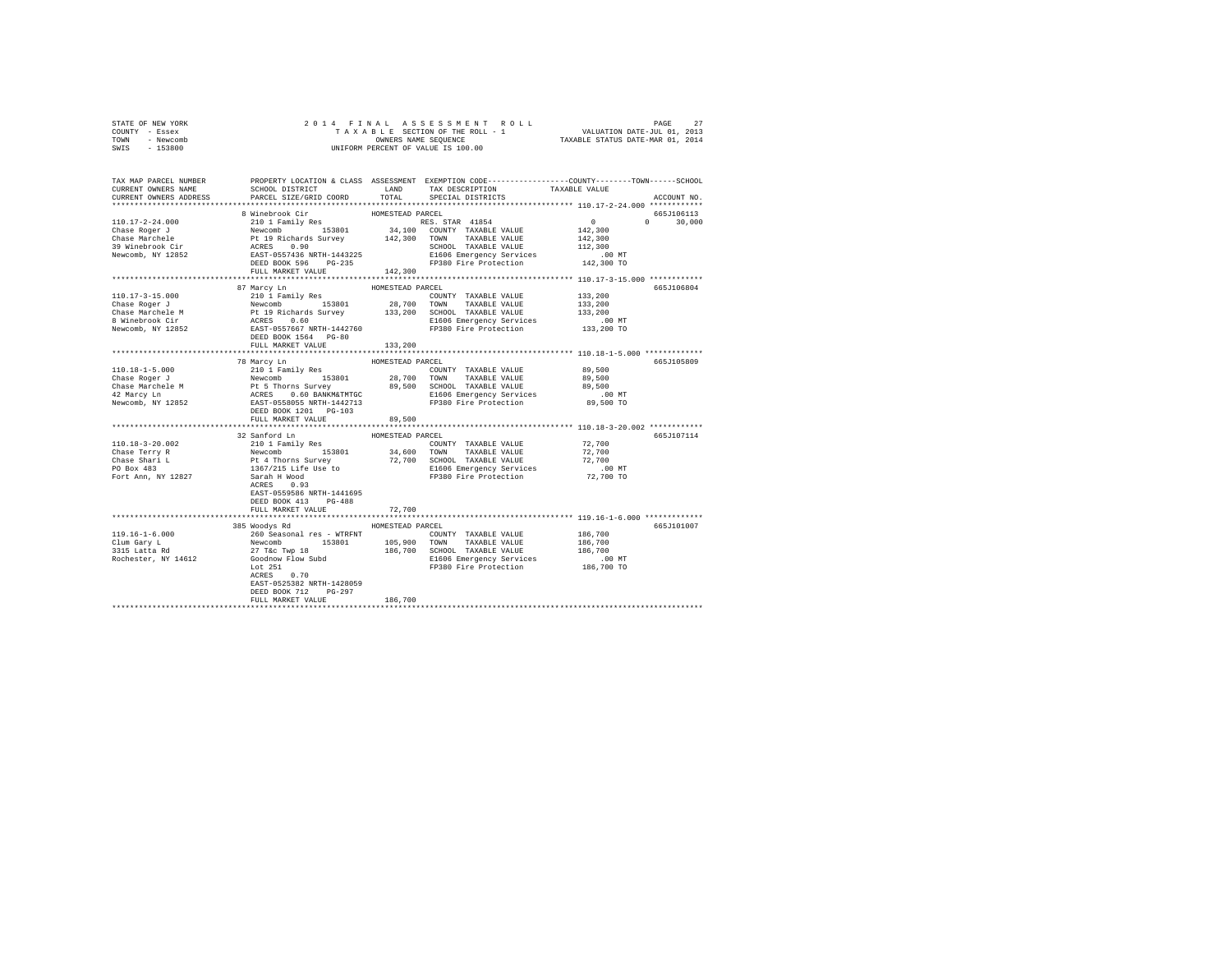| STATE OF NEW YORK      |                                                                                                                                                                                                                                                                                                                                                                                                                                                                               |                  |                   |               |
|------------------------|-------------------------------------------------------------------------------------------------------------------------------------------------------------------------------------------------------------------------------------------------------------------------------------------------------------------------------------------------------------------------------------------------------------------------------------------------------------------------------|------------------|-------------------|---------------|
| COUNTY - Essex         |                                                                                                                                                                                                                                                                                                                                                                                                                                                                               |                  |                   |               |
| TOWN - Newcomb         |                                                                                                                                                                                                                                                                                                                                                                                                                                                                               |                  |                   |               |
| SWIS - 153800          |                                                                                                                                                                                                                                                                                                                                                                                                                                                                               |                  |                   |               |
|                        |                                                                                                                                                                                                                                                                                                                                                                                                                                                                               |                  |                   |               |
|                        |                                                                                                                                                                                                                                                                                                                                                                                                                                                                               |                  |                   |               |
|                        | TAX MAP PARCEL NUMBER     PROPERTY LOCATION & CLASS ASSESSMENT EXEMPTION CODE--------------COUNTY-------TOWN------SCHOOL DISTRICT     LAND   TAX DESCRIPTION     TAXABLE VALUE                                                                                                                                                                                                                                                                                                |                  |                   |               |
|                        |                                                                                                                                                                                                                                                                                                                                                                                                                                                                               |                  |                   |               |
| CURRENT OWNERS ADDRESS | PARCEL SIZE/GRID COORD                                                                                                                                                                                                                                                                                                                                                                                                                                                        | TOTAL            | SPECIAL DISTRICTS | ACCOUNT NO.   |
|                        |                                                                                                                                                                                                                                                                                                                                                                                                                                                                               |                  |                   |               |
|                        | $\begin{tabular}{l c c c c c} \hline 110.17-2-24.000 & 8 \text{ Minehrook Cir} & \text{HOMESTEAD PARECEL} \\ \hline \multicolumn{3}{c}{\text{Chase Roger J}} & 2101~\text{Family Res} & 153801 & 34,100~\text{COMNT T RAMBLE VALUE} & 0 \\ \hline \multicolumn{3}{c}{\text{Chase Marchele}} & \text{Newcomb} & 153801 & 34,100~\text{COMNT T RAMBLE VALUE} & 142,300 \\ \hline \multicolumn{3}{c}{\text{Chase Marchche}} & \$                                                 |                  |                   | 665J106113    |
|                        |                                                                                                                                                                                                                                                                                                                                                                                                                                                                               |                  |                   | $0 \t 30.000$ |
|                        |                                                                                                                                                                                                                                                                                                                                                                                                                                                                               |                  |                   |               |
|                        |                                                                                                                                                                                                                                                                                                                                                                                                                                                                               |                  |                   |               |
|                        |                                                                                                                                                                                                                                                                                                                                                                                                                                                                               |                  |                   |               |
|                        |                                                                                                                                                                                                                                                                                                                                                                                                                                                                               |                  |                   |               |
|                        |                                                                                                                                                                                                                                                                                                                                                                                                                                                                               |                  |                   |               |
|                        | FULL MARKET VALUE 142,300                                                                                                                                                                                                                                                                                                                                                                                                                                                     |                  |                   |               |
|                        |                                                                                                                                                                                                                                                                                                                                                                                                                                                                               |                  |                   |               |
|                        | 87 Marcy Ln                                                                                                                                                                                                                                                                                                                                                                                                                                                                   | HOMESTEAD PARCEL |                   | 665J106804    |
|                        |                                                                                                                                                                                                                                                                                                                                                                                                                                                                               |                  |                   |               |
|                        |                                                                                                                                                                                                                                                                                                                                                                                                                                                                               |                  |                   |               |
|                        |                                                                                                                                                                                                                                                                                                                                                                                                                                                                               |                  |                   |               |
|                        | $\begin{tabular}{l c c c c c} \hline 110.17-3-15.000 & \textbf{57.201} & \textbf{28.201} & \textbf{29.201} & \textbf{20.201} & \textbf{21.201} & \textbf{22.201} & \textbf{23.202} & \textbf{24.201} & \textbf{25.202} & \textbf{26.201} & \textbf{27.201} & \textbf{28.202} & \textbf{29.201} & \textbf{29.201} & \textbf{20.201} & \text$                                                                                                                                   |                  |                   |               |
|                        |                                                                                                                                                                                                                                                                                                                                                                                                                                                                               |                  |                   |               |
|                        |                                                                                                                                                                                                                                                                                                                                                                                                                                                                               |                  |                   |               |
|                        | DEED BOOK 1564 PG-80                                                                                                                                                                                                                                                                                                                                                                                                                                                          |                  |                   |               |
|                        | FULL MARKET VALUE                                                                                                                                                                                                                                                                                                                                                                                                                                                             | 133,200          |                   |               |
|                        |                                                                                                                                                                                                                                                                                                                                                                                                                                                                               |                  |                   |               |
|                        | 78 Marcy Ln<br>$\begin{tabular}{l c c c c c} \hline 110.18-1-5.000 & $\times$ markeroy Ln & \multicolumn{3}{c}{HOMESTEAD PAREE} & \multicolumn{3}{c}{HOMESTEAD PAREE} & \multicolumn{3}{c}{\multicolumn{3}{c}{\multicolumn{3}{c}{\multicolumn{3}{c}{\multicolumn{3}{c}{\multicolumn{3}{c}{\multicolumn{3}{c}{\multicolumn{3}{c}{\multicolumn{3}{c}{\multicolumn{3}{c}{\multicolumn{3}{c}{\multicolumn{3}{c}{\multicolumn{3}{c}{\multicolumn{3}{c}{\multicolumn{3}{c}{\multic$ |                  |                   | 665J105809    |
|                        |                                                                                                                                                                                                                                                                                                                                                                                                                                                                               |                  |                   |               |
|                        |                                                                                                                                                                                                                                                                                                                                                                                                                                                                               |                  |                   |               |
|                        |                                                                                                                                                                                                                                                                                                                                                                                                                                                                               |                  |                   |               |
|                        |                                                                                                                                                                                                                                                                                                                                                                                                                                                                               |                  |                   |               |
|                        |                                                                                                                                                                                                                                                                                                                                                                                                                                                                               |                  |                   |               |
|                        |                                                                                                                                                                                                                                                                                                                                                                                                                                                                               |                  |                   |               |
|                        | FULL MARKET VALUE                                                                                                                                                                                                                                                                                                                                                                                                                                                             | 89,500           |                   |               |
|                        |                                                                                                                                                                                                                                                                                                                                                                                                                                                                               |                  |                   |               |
|                        | 32 Sanford Ln                                                                                                                                                                                                                                                                                                                                                                                                                                                                 | HOMESTEAD PARCEL |                   | 665J107114    |
|                        |                                                                                                                                                                                                                                                                                                                                                                                                                                                                               |                  |                   |               |
|                        |                                                                                                                                                                                                                                                                                                                                                                                                                                                                               |                  |                   |               |
|                        |                                                                                                                                                                                                                                                                                                                                                                                                                                                                               |                  |                   |               |
|                        |                                                                                                                                                                                                                                                                                                                                                                                                                                                                               |                  |                   |               |
|                        |                                                                                                                                                                                                                                                                                                                                                                                                                                                                               |                  |                   |               |
|                        |                                                                                                                                                                                                                                                                                                                                                                                                                                                                               |                  |                   |               |
|                        | EAST-0559586 NRTH-1441695                                                                                                                                                                                                                                                                                                                                                                                                                                                     |                  |                   |               |
|                        | DEED BOOK 413 PG-488                                                                                                                                                                                                                                                                                                                                                                                                                                                          |                  |                   |               |
|                        | FULL MARKET VALUE                                                                                                                                                                                                                                                                                                                                                                                                                                                             | 72,700           |                   |               |
|                        |                                                                                                                                                                                                                                                                                                                                                                                                                                                                               |                  |                   |               |
|                        |                                                                                                                                                                                                                                                                                                                                                                                                                                                                               |                  |                   |               |
|                        | 385 Woodys Rd MOMESTEAD PARCEL                                                                                                                                                                                                                                                                                                                                                                                                                                                |                  |                   | 665J101007    |
|                        |                                                                                                                                                                                                                                                                                                                                                                                                                                                                               |                  |                   |               |
|                        | $R = 0.00 \times 10^{-10} \times 10^{-10} \times 10^{-10} \times 10^{-10} \times 10^{-10} \times 10^{-10} \times 10^{-10} \times 10^{-10} \times 10^{-10} \times 10^{-10} \times 10^{-10} \times 10^{-10} \times 10^{-10} \times 10^{-10} \times 10^{-10} \times 10^{-10} \times 10^{-10} \times 10^{-10} \times 10^{-10} \times 10^{-10} \times 10^{-10} \times 10^{-10} \times 10^{-10} \times 10^{-$                                                                       |                  |                   |               |
|                        |                                                                                                                                                                                                                                                                                                                                                                                                                                                                               |                  |                   |               |
|                        |                                                                                                                                                                                                                                                                                                                                                                                                                                                                               |                  |                   |               |
|                        |                                                                                                                                                                                                                                                                                                                                                                                                                                                                               |                  |                   |               |
|                        | ACRES 0.70                                                                                                                                                                                                                                                                                                                                                                                                                                                                    |                  |                   |               |
|                        | EAST-0525382 NRTH-1428059                                                                                                                                                                                                                                                                                                                                                                                                                                                     |                  |                   |               |
|                        | DEED BOOK 712 PG-297                                                                                                                                                                                                                                                                                                                                                                                                                                                          |                  |                   |               |
|                        | FULL MARKET VALUE                                                                                                                                                                                                                                                                                                                                                                                                                                                             | 186,700          |                   |               |
|                        |                                                                                                                                                                                                                                                                                                                                                                                                                                                                               |                  |                   |               |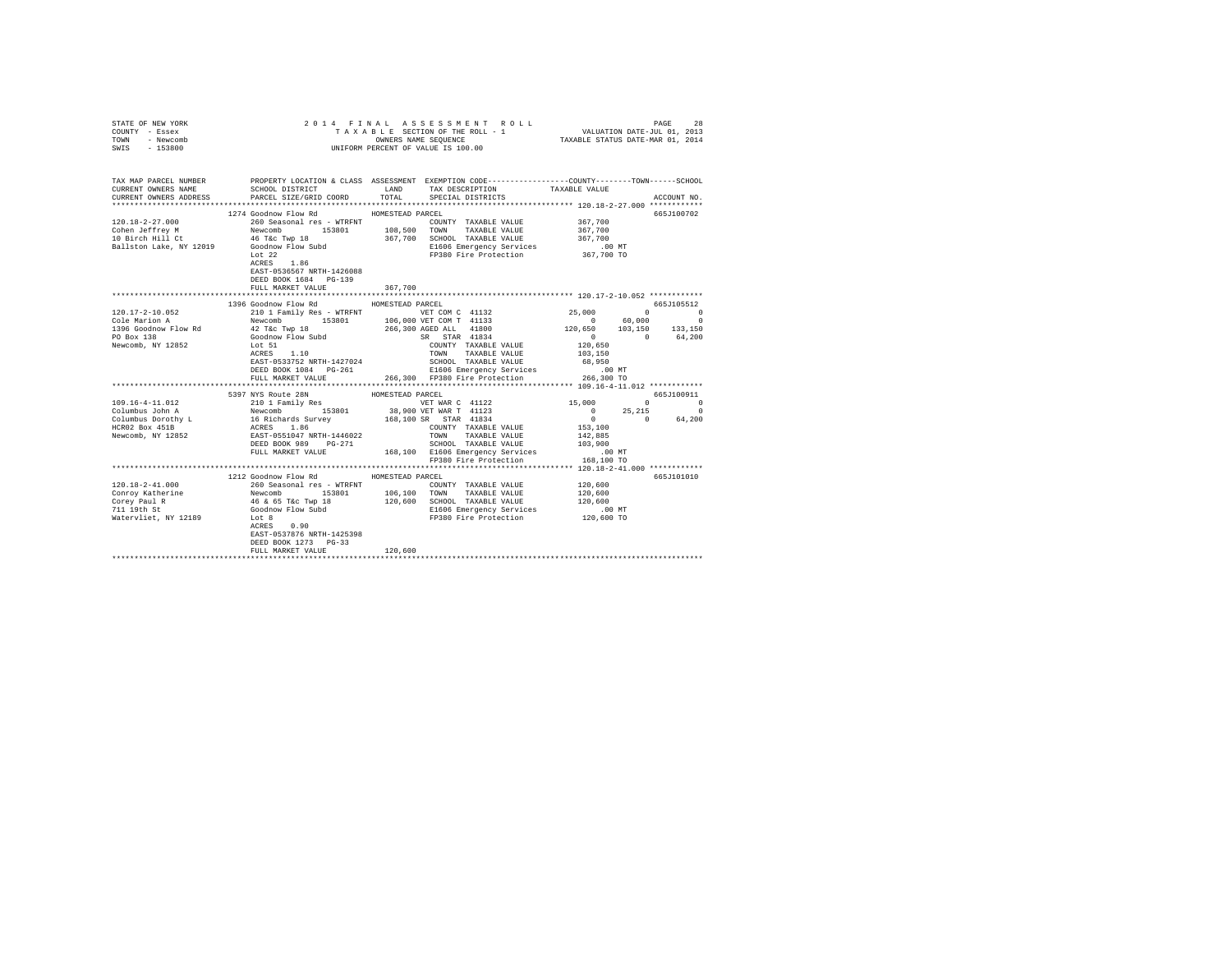| STATE OF NEW YORK<br>COUNTY - Essex<br>TOWN - Newcomb |                                                                                                                                                             |                  |                                                                                            |                      |             |
|-------------------------------------------------------|-------------------------------------------------------------------------------------------------------------------------------------------------------------|------------------|--------------------------------------------------------------------------------------------|----------------------|-------------|
| SWIS - 153800                                         |                                                                                                                                                             |                  |                                                                                            |                      |             |
|                                                       |                                                                                                                                                             |                  |                                                                                            |                      |             |
| CURRENT OWNERS ADDRESS                                | PARCEL SIZE/GRID COORD                                                                                                                                      | TOTAL            | SPECIAL DISTRICTS                                                                          |                      | ACCOUNT NO. |
|                                                       | 1274 Goodnow Flow Rd MOMESTEAD PARCEL                                                                                                                       |                  |                                                                                            |                      | 665J100702  |
|                                                       |                                                                                                                                                             |                  |                                                                                            |                      |             |
|                                                       |                                                                                                                                                             |                  | COUNTY TAXABLE VALUE 367,700<br>TOWN TAXABLE VALUE 367,700<br>SCHOOL TAXABLE VALUE 367,700 |                      |             |
|                                                       |                                                                                                                                                             |                  |                                                                                            |                      |             |
|                                                       |                                                                                                                                                             |                  |                                                                                            |                      |             |
|                                                       |                                                                                                                                                             |                  | E1606 Emergency Services<br>FP380 Fire Protection                                          | 00 MT.<br>367,700 TO |             |
|                                                       |                                                                                                                                                             |                  |                                                                                            |                      |             |
|                                                       | EAST-0536567 NRTH-1426088                                                                                                                                   |                  |                                                                                            |                      |             |
|                                                       | DEED BOOK 1684 PG-139                                                                                                                                       |                  |                                                                                            |                      |             |
|                                                       | FULL MARKET VALUE                                                                                                                                           | 367,700          |                                                                                            |                      |             |
|                                                       |                                                                                                                                                             |                  |                                                                                            |                      |             |
|                                                       | 1396 Goodnow Flow Rd                                                                                                                                        | HOMESTEAD PARCEL |                                                                                            |                      | 665J105512  |
|                                                       |                                                                                                                                                             |                  |                                                                                            |                      |             |
|                                                       |                                                                                                                                                             |                  |                                                                                            |                      |             |
|                                                       |                                                                                                                                                             |                  |                                                                                            |                      |             |
|                                                       |                                                                                                                                                             |                  |                                                                                            |                      |             |
|                                                       |                                                                                                                                                             |                  |                                                                                            |                      |             |
|                                                       |                                                                                                                                                             |                  |                                                                                            |                      |             |
|                                                       |                                                                                                                                                             |                  |                                                                                            |                      |             |
|                                                       |                                                                                                                                                             |                  |                                                                                            |                      |             |
|                                                       |                                                                                                                                                             |                  |                                                                                            |                      |             |
|                                                       |                                                                                                                                                             |                  |                                                                                            |                      |             |
|                                                       |                                                                                                                                                             |                  |                                                                                            |                      |             |
|                                                       |                                                                                                                                                             |                  |                                                                                            |                      |             |
|                                                       |                                                                                                                                                             |                  |                                                                                            |                      |             |
|                                                       |                                                                                                                                                             |                  |                                                                                            |                      |             |
|                                                       |                                                                                                                                                             |                  |                                                                                            |                      |             |
|                                                       |                                                                                                                                                             |                  |                                                                                            |                      |             |
|                                                       |                                                                                                                                                             |                  |                                                                                            | $.00$ MT             |             |
|                                                       | ERD BOOK 989 PG-271<br>PEED BOOK 989 PG-271 168,100 E1606 Emergency Services<br>PULL MARKET VALUE 168,100 E1606 Emergency Services<br>PE380 Fire Protection |                  |                                                                                            | 168,100 TO           |             |
|                                                       |                                                                                                                                                             |                  |                                                                                            |                      |             |
|                                                       | 1212 Goodnow Flow Rd MOMESTEAD PARCEL                                                                                                                       |                  |                                                                                            |                      | 665J101010  |
|                                                       |                                                                                                                                                             |                  |                                                                                            |                      |             |
|                                                       |                                                                                                                                                             |                  |                                                                                            |                      |             |
|                                                       |                                                                                                                                                             |                  |                                                                                            |                      |             |
|                                                       |                                                                                                                                                             |                  |                                                                                            |                      |             |
|                                                       |                                                                                                                                                             |                  |                                                                                            |                      |             |
|                                                       | EAST-0537876 NRTH-1425398                                                                                                                                   |                  |                                                                                            |                      |             |
|                                                       | DEED BOOK 1273 PG-33                                                                                                                                        |                  |                                                                                            |                      |             |
|                                                       | FULL MARKET VALUE                                                                                                                                           | 120,600          |                                                                                            |                      |             |
|                                                       |                                                                                                                                                             |                  |                                                                                            |                      |             |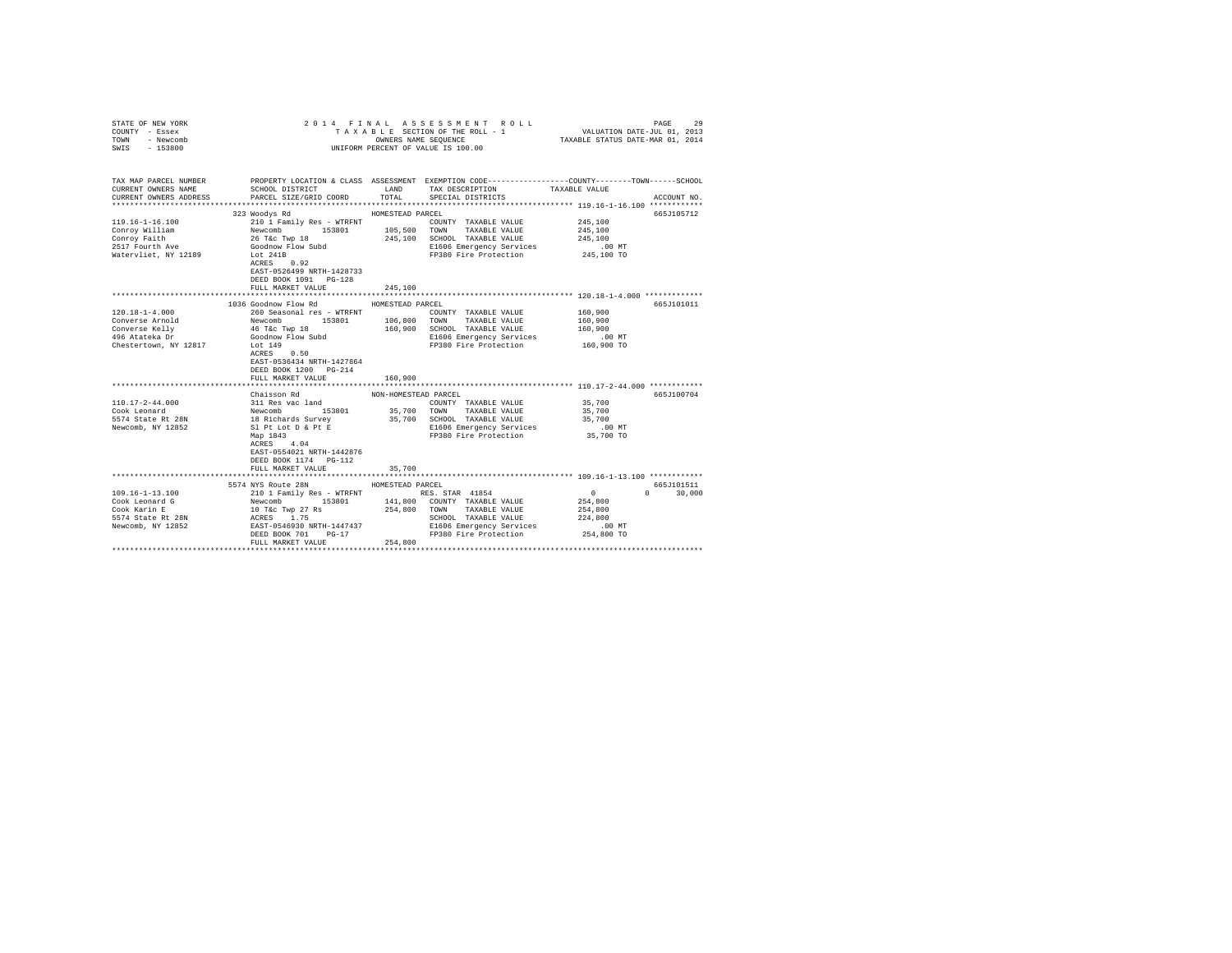| STATE OF NEW YORK<br>COUNTY - Essex<br>TOWN<br>- Newcomb<br>$-153800$<br>SWIS |                                                                                                                                         |                      | 2014 FINAL ASSESSMENT ROLL<br>TAXABLE SECTION OF THE ROLL - 1<br>OWNERS NAME SEQUENCE<br>UNIFORM PERCENT OF VALUE IS 100.00 | PAGE<br>VALUATION DATE-JUL 01, 2013<br>TAXABLE STATUS DATE-MAR 01, 2014                                          | 29 |
|-------------------------------------------------------------------------------|-----------------------------------------------------------------------------------------------------------------------------------------|----------------------|-----------------------------------------------------------------------------------------------------------------------------|------------------------------------------------------------------------------------------------------------------|----|
|                                                                               |                                                                                                                                         |                      |                                                                                                                             |                                                                                                                  |    |
| TAX MAP PARCEL NUMBER<br>CURRENT OWNERS NAME                                  | SCHOOL DISTRICT LAND                                                                                                                    |                      | TAX DESCRIPTION                                                                                                             | PROPERTY LOCATION & CLASS ASSESSMENT EXEMPTION CODE---------------COUNTY-------TOWN------SCHOOL<br>TAXABLE VALUE |    |
| CURRENT OWNERS ADDRESS                                                        | PARCEL SIZE/GRID COORD                                                                                                                  | TOTAL                | SPECIAL DISTRICTS                                                                                                           | ACCOUNT NO.                                                                                                      |    |
|                                                                               | 323 Woodys Rd                                                                                                                           | HOMESTEAD PARCEL     |                                                                                                                             | 665J105712                                                                                                       |    |
| 119.16-1-16.100                                                               | 210 1 Family Res - WTRFNT                                                                                                               |                      | COUNTY TAXABLE VALUE                                                                                                        | 245,100                                                                                                          |    |
| Conroy William                                                                | Newcomb 153801                                                                                                                          | 105,500 TOWN         | TAXABLE VALUE                                                                                                               | 245,100                                                                                                          |    |
| Conroy Faith                                                                  | 26 T&C Twp 18<br>Goodnow Flow Subd                                                                                                      | 245,100              | SCHOOL TAXABLE VALUE                                                                                                        | 245,100                                                                                                          |    |
| 2517 Fourth Ave                                                               |                                                                                                                                         |                      | E1606 Emergency Services                                                                                                    | $.00$ MT                                                                                                         |    |
| Watervliet, NY 12189                                                          | Lot 241B                                                                                                                                |                      | FP380 Fire Protection 245,100 TO                                                                                            |                                                                                                                  |    |
|                                                                               | ACRES 0.92                                                                                                                              |                      |                                                                                                                             |                                                                                                                  |    |
|                                                                               | EAST-0526499 NRTH-1428733                                                                                                               |                      |                                                                                                                             |                                                                                                                  |    |
|                                                                               | DEED BOOK 1091 PG-128                                                                                                                   |                      |                                                                                                                             |                                                                                                                  |    |
|                                                                               | FULL MARKET VALUE                                                                                                                       | 245,100              |                                                                                                                             |                                                                                                                  |    |
|                                                                               |                                                                                                                                         |                      |                                                                                                                             | ***************************** 120.18-1-4.000 *************                                                       |    |
|                                                                               | 1036 Goodnow Flow Rd                                                                                                                    | HOMESTEAD PARCEL     |                                                                                                                             | 665J101011                                                                                                       |    |
| $120.18 - 1 - 4.000$                                                          | 260 Seasonal res - WTRFNT                                                                                                               |                      | COUNTY TAXABLE VALUE                                                                                                        | 160,900                                                                                                          |    |
| Converse Arnold                                                               | Newcomb 153801                                                                                                                          |                      | 106,800 TOWN TAXABLE VALUE                                                                                                  | 160,900                                                                                                          |    |
| Converse Kelly<br>496 Atateka Dr                                              | 46 T&c Twp 18                                                                                                                           |                      | 160,900 SCHOOL TAXABLE VALUE                                                                                                | 160,900                                                                                                          |    |
| Chestertown, NY 12817                                                         | Goodnow Flow Subd<br>Lot 149                                                                                                            |                      | E1606 Emergency Services<br>FP380 Fire Protection                                                                           | $.00$ MT<br>160,900 TO                                                                                           |    |
|                                                                               | ACRES 0.50                                                                                                                              |                      |                                                                                                                             |                                                                                                                  |    |
|                                                                               | EAST-0536434 NRTH-1427864                                                                                                               |                      |                                                                                                                             |                                                                                                                  |    |
|                                                                               | DEED BOOK 1200 PG-214                                                                                                                   |                      |                                                                                                                             |                                                                                                                  |    |
|                                                                               | FULL MARKET VALUE                                                                                                                       | 160,900              |                                                                                                                             |                                                                                                                  |    |
|                                                                               |                                                                                                                                         |                      |                                                                                                                             |                                                                                                                  |    |
|                                                                               | Chaisson Rd                                                                                                                             | NON-HOMESTEAD PARCEL |                                                                                                                             | 665J100704                                                                                                       |    |
| $110.17 - 2 - 44.000$                                                         | 311 Res vac land                                                                                                                        |                      | COUNTY TAXABLE VALUE                                                                                                        | 35,700                                                                                                           |    |
| Cook Leonard                                                                  |                                                                                                                                         |                      | 35,700 TOWN TAXABLE VALUE                                                                                                   | 35,700                                                                                                           |    |
| 5574 State Rt 28N                                                             |                                                                                                                                         |                      | 35,700 SCHOOL TAXABLE VALUE                                                                                                 | 35,700                                                                                                           |    |
| Newcomb, NY 12852                                                             |                                                                                                                                         |                      | E1606 Emergency Services                                                                                                    | $.00$ MT                                                                                                         |    |
|                                                                               | Newcomb<br>153801<br>18 Richards Survey<br>Sl Pt Lot D & Pt E<br>Map 1843<br>-----                                                      |                      | FP380 Fire Protection                                                                                                       | 35,700 TO                                                                                                        |    |
|                                                                               | ACRES 4.04                                                                                                                              |                      |                                                                                                                             |                                                                                                                  |    |
|                                                                               | EAST-0554021 NRTH-1442876                                                                                                               |                      |                                                                                                                             |                                                                                                                  |    |
|                                                                               | DEED BOOK 1174   PG-112                                                                                                                 |                      |                                                                                                                             |                                                                                                                  |    |
|                                                                               | FULL MARKET VALUE                                                                                                                       | 35,700               |                                                                                                                             |                                                                                                                  |    |
|                                                                               |                                                                                                                                         |                      |                                                                                                                             |                                                                                                                  |    |
| $109.16 - 1 - 13.100$                                                         | 5574 NYS Route 28N                                                                                                                      | HOMESTEAD PARCEL     |                                                                                                                             | 665J101511<br>$\sim$ 0<br>30,000<br>$\mathbf{r}$                                                                 |    |
| Cook Leonard G                                                                | 210 1 Family Res - WTRFNT<br>Newcomb 153801<br>10 Tec Twp 27 Rs<br>ACRES 1.75<br>EAST-0546930 NRTH-1447437<br>NBFN DO46930 NRTH-1447437 |                      | RES. STAR 41854<br>141,800 COUNTY TAXABLE VALUE                                                                             | 254,800                                                                                                          |    |
| Cook Karin E                                                                  |                                                                                                                                         | 254,800 TOWN         | TAXABLE VALUE                                                                                                               | 254,800                                                                                                          |    |
| 5574 State Rt 28N                                                             |                                                                                                                                         |                      | SCHOOL TAXABLE VALUE                                                                                                        | 224,800                                                                                                          |    |
| Newcomb, NY 12852                                                             |                                                                                                                                         |                      | E1606 Emergency Services                                                                                                    | $.00$ MT                                                                                                         |    |
|                                                                               | DEED BOOK 701<br>$PG-17$                                                                                                                |                      | FP380 Fire Protection                                                                                                       | 254,800 TO                                                                                                       |    |
|                                                                               | FULL MARKET VALUE                                                                                                                       | 254,800              |                                                                                                                             |                                                                                                                  |    |
|                                                                               |                                                                                                                                         |                      |                                                                                                                             |                                                                                                                  |    |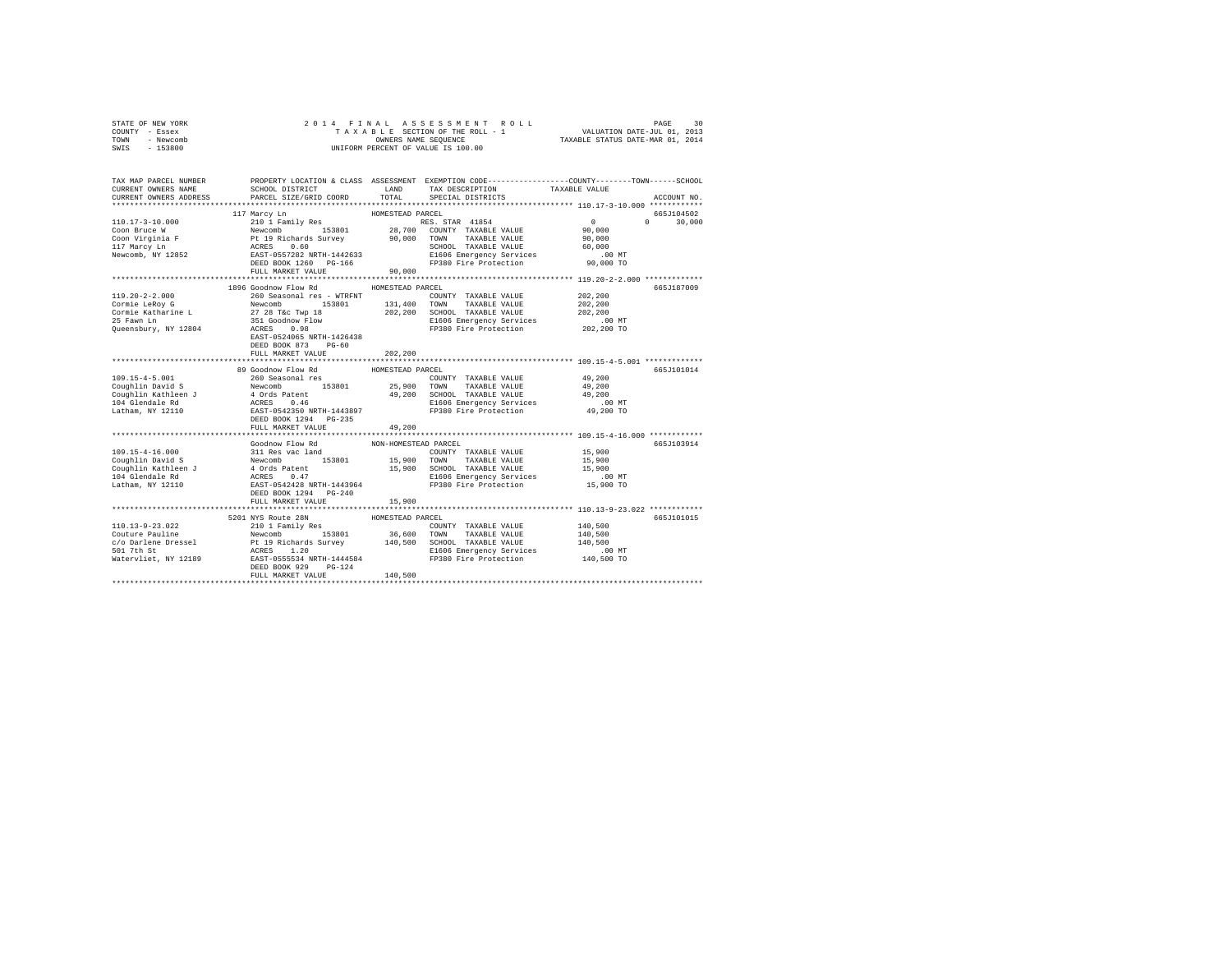| STATE OF NEW YORK | 2014 FINAL ASSESSMENT ROLL         | 30<br>PAGE                       |
|-------------------|------------------------------------|----------------------------------|
| COUNTY - Essex    | TAXABLE SECTION OF THE ROLL - 1    | VALUATION DATE-JUL 01, 2013      |
| TOWN<br>- Newcomb | OWNERS NAME SEOUENCE               | TAXABLE STATUS DATE-MAR 01, 2014 |
| - 153800<br>SWIS  | UNIFORM PERCENT OF VALUE IS 100.00 |                                  |

| TAX MAP PARCEL NUMBER<br>CURRENT OWNERS NAME                                                                                                                                                                                                    | SCHOOL DISTRICT LAND      |                      | TAX DESCRIPTION                                              | PROPERTY LOCATION & CLASS ASSESSMENT EXEMPTION CODE---------------COUNTY-------TOWN-----SCHOOL<br>TAXABLE VALUE |  |
|-------------------------------------------------------------------------------------------------------------------------------------------------------------------------------------------------------------------------------------------------|---------------------------|----------------------|--------------------------------------------------------------|-----------------------------------------------------------------------------------------------------------------|--|
| CURRENT OWNERS ADDRESS                                                                                                                                                                                                                          | PARCEL SIZE/GRID COORD    | TOTAL                | SPECIAL DISTRICTS                                            | ACCOUNT NO.                                                                                                     |  |
|                                                                                                                                                                                                                                                 |                           |                      |                                                              | 665J104502                                                                                                      |  |
|                                                                                                                                                                                                                                                 |                           |                      |                                                              | $0 \t 30.000$                                                                                                   |  |
|                                                                                                                                                                                                                                                 |                           |                      |                                                              |                                                                                                                 |  |
|                                                                                                                                                                                                                                                 |                           |                      |                                                              |                                                                                                                 |  |
|                                                                                                                                                                                                                                                 |                           |                      |                                                              |                                                                                                                 |  |
|                                                                                                                                                                                                                                                 |                           |                      |                                                              |                                                                                                                 |  |
|                                                                                                                                                                                                                                                 |                           |                      |                                                              |                                                                                                                 |  |
|                                                                                                                                                                                                                                                 | FULL MARKET VALUE 90,000  |                      |                                                              |                                                                                                                 |  |
|                                                                                                                                                                                                                                                 |                           |                      |                                                              |                                                                                                                 |  |
|                                                                                                                                                                                                                                                 | 1896 Goodnow Flow Rd      | HOMESTEAD PARCEL     |                                                              | 665J187009                                                                                                      |  |
|                                                                                                                                                                                                                                                 | 260 Seasonal res - WTRFNT |                      | COUNTY TAXABLE VALUE                                         | 202.200                                                                                                         |  |
|                                                                                                                                                                                                                                                 |                           |                      | 153801 131,400 TOWN TAXABLE VALUE                            | 202,200                                                                                                         |  |
|                                                                                                                                                                                                                                                 |                           |                      | 202,200 SCHOOL TAXABLE VALUE 202<br>E1606 Emergency Services | 202,200                                                                                                         |  |
|                                                                                                                                                                                                                                                 |                           |                      |                                                              | $.00$ MT                                                                                                        |  |
|                                                                                                                                                                                                                                                 |                           |                      | FP380 Fire Protection                                        | 202,200 TO                                                                                                      |  |
|                                                                                                                                                                                                                                                 |                           |                      |                                                              |                                                                                                                 |  |
|                                                                                                                                                                                                                                                 | DEED BOOK 873 PG-60       |                      |                                                              |                                                                                                                 |  |
|                                                                                                                                                                                                                                                 | FULL MARKET VALUE         | 202,200              |                                                              |                                                                                                                 |  |
|                                                                                                                                                                                                                                                 | 89 Goodnow Flow Rd        | HOMESTEAD PARCEL     |                                                              | 665J101014                                                                                                      |  |
| 109.15-4-5.001                                                                                                                                                                                                                                  | 260 Seasonal res          |                      | COUNTY TAXABLE VALUE                                         | 49,200                                                                                                          |  |
|                                                                                                                                                                                                                                                 |                           |                      |                                                              |                                                                                                                 |  |
|                                                                                                                                                                                                                                                 |                           |                      |                                                              |                                                                                                                 |  |
|                                                                                                                                                                                                                                                 |                           |                      |                                                              |                                                                                                                 |  |
|                                                                                                                                                                                                                                                 |                           |                      | E1606 Emergency Services<br>FP380 Fire Protection 49,200 TO  |                                                                                                                 |  |
|                                                                                                                                                                                                                                                 |                           |                      |                                                              |                                                                                                                 |  |
|                                                                                                                                                                                                                                                 | FULL MARKET VALUE         | 49,200               |                                                              |                                                                                                                 |  |
|                                                                                                                                                                                                                                                 |                           |                      |                                                              |                                                                                                                 |  |
|                                                                                                                                                                                                                                                 | Goodnow Flow Rd           | NON-HOMESTEAD PARCEL |                                                              | 665J103914                                                                                                      |  |
|                                                                                                                                                                                                                                                 |                           |                      |                                                              |                                                                                                                 |  |
|                                                                                                                                                                                                                                                 |                           |                      |                                                              |                                                                                                                 |  |
|                                                                                                                                                                                                                                                 |                           |                      |                                                              |                                                                                                                 |  |
|                                                                                                                                                                                                                                                 |                           |                      |                                                              |                                                                                                                 |  |
|                                                                                                                                                                                                                                                 |                           |                      |                                                              |                                                                                                                 |  |
|                                                                                                                                                                                                                                                 |                           |                      |                                                              |                                                                                                                 |  |
|                                                                                                                                                                                                                                                 | FULL MARKET VALUE         | 15,900               |                                                              |                                                                                                                 |  |
|                                                                                                                                                                                                                                                 |                           |                      |                                                              |                                                                                                                 |  |
|                                                                                                                                                                                                                                                 | 5201 NYS Route 28N        | HOMESTEAD PARCEL     |                                                              | 665J101015                                                                                                      |  |
|                                                                                                                                                                                                                                                 |                           |                      |                                                              | 140,500                                                                                                         |  |
|                                                                                                                                                                                                                                                 |                           |                      |                                                              | 140,500                                                                                                         |  |
|                                                                                                                                                                                                                                                 |                           |                      |                                                              | 140,500                                                                                                         |  |
| 110.13-9-23.022<br>COURTIVE Pauline Pauline 210 1 Family Res<br>CouRTY TAXABLE VALUE<br>CouRTY TAXABLE VALUE<br>COURT TAXABLE VALUE<br>COURTY TAXABLE VALUE<br>COURTY TAXABLE VALUE<br>COURTY TAXABLE VALUE<br>COURTY TAXABLE VALUE<br>COURTY T |                           |                      |                                                              |                                                                                                                 |  |
|                                                                                                                                                                                                                                                 |                           |                      |                                                              |                                                                                                                 |  |
|                                                                                                                                                                                                                                                 | FULL MARKET VALUE         | 140,500              |                                                              |                                                                                                                 |  |
|                                                                                                                                                                                                                                                 |                           |                      |                                                              |                                                                                                                 |  |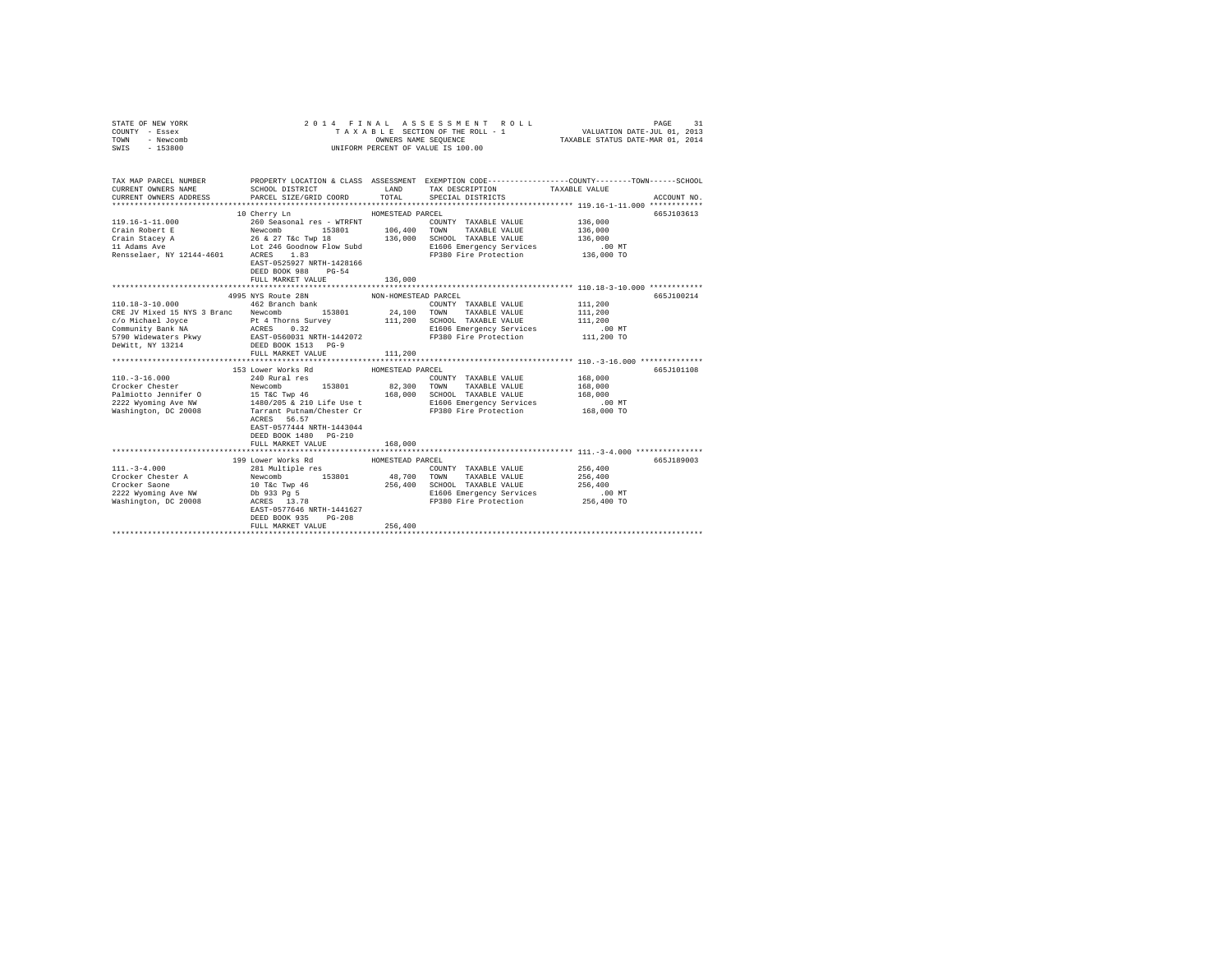| STATE OF NEW YORK<br>COUNTY - Essex<br>TOWN<br>- Newcomb<br>SWIS - 153800                                                                                                                                                | 2014 FINAL                                                                             | OWNERS NAME SEQUENCE | ASSESSMENT ROLL<br>TAXABLE SECTION OF THE ROLL - 1<br>UNIFORM PERCENT OF VALUE IS 100.00 | PAGE<br>VALUATION DATE-JUL 01, 2013<br>TAXABLE STATUS DATE-MAR 01, 2014                                                               | 31 |
|--------------------------------------------------------------------------------------------------------------------------------------------------------------------------------------------------------------------------|----------------------------------------------------------------------------------------|----------------------|------------------------------------------------------------------------------------------|---------------------------------------------------------------------------------------------------------------------------------------|----|
| CURRENT OWNERS NAME                                                                                                                                                                                                      | SCHOOL DISTRICT                                                                        | LAND                 | TAX DESCRIPTION                                                                          | TAX MAP PARCEL NUMBER PROPERTY LOCATION & CLASS ASSESSMENT EXEMPTION CODE--------------COUNTY-------TOWN------SCHOOL<br>TAXABLE VALUE |    |
| CURRENT OWNERS ADDRESS                                                                                                                                                                                                   | PARCEL SIZE/GRID COORD                                                                 | TOTAL                | SPECIAL DISTRICTS                                                                        | ACCOUNT NO.                                                                                                                           |    |
|                                                                                                                                                                                                                          |                                                                                        |                      |                                                                                          |                                                                                                                                       |    |
|                                                                                                                                                                                                                          | 10 Cherry Ln                                                                           | HOMESTEAD PARCEL     |                                                                                          | 665J103613                                                                                                                            |    |
|                                                                                                                                                                                                                          |                                                                                        |                      | COUNTY TAXABLE VALUE<br>106,400 TOWN TAXABLE VALUE                                       | 136,000                                                                                                                               |    |
|                                                                                                                                                                                                                          |                                                                                        |                      |                                                                                          | 136,000                                                                                                                               |    |
|                                                                                                                                                                                                                          |                                                                                        | 136,000              | SCHOOL TAXABLE VALUE<br>E1606 Emergency Services                                         | 136,000<br>.00 MT                                                                                                                     |    |
|                                                                                                                                                                                                                          |                                                                                        |                      | FP380 Fire Protection                                                                    | 136,000 TO                                                                                                                            |    |
|                                                                                                                                                                                                                          | EAST-0525927 NRTH-1428166<br>DEED BOOK 988 PG-54<br>FULL MARKET VALUE                  | 136,000              |                                                                                          |                                                                                                                                       |    |
|                                                                                                                                                                                                                          |                                                                                        |                      |                                                                                          |                                                                                                                                       |    |
|                                                                                                                                                                                                                          | 4995 NYS Route 28N                                                                     | NON-HOMESTEAD PARCEL |                                                                                          | 665J100214                                                                                                                            |    |
| $110.18 - 3 - 10.000$                                                                                                                                                                                                    | 462 Branch bank                                                                        |                      | COUNTY TAXABLE VALUE                                                                     | 111,200                                                                                                                               |    |
| CRE JV Mixed 15 NYS 3 Branc Newcomb 153801 24,100                                                                                                                                                                        |                                                                                        |                      | TAXABLE VALUE<br>TOWN                                                                    | 111,200                                                                                                                               |    |
|                                                                                                                                                                                                                          |                                                                                        | 111,200              | SCHOOL TAXABLE VALUE                                                                     | 111,200                                                                                                                               |    |
|                                                                                                                                                                                                                          |                                                                                        |                      | E1606 Emergency Services                                                                 | .00 MT                                                                                                                                |    |
|                                                                                                                                                                                                                          |                                                                                        |                      | FP380 Fire Protection                                                                    | 111,200 TO                                                                                                                            |    |
| COMichael Joyce<br>Pt 4 Thorns Survey<br>2007 - Et 4 Thorns Survey<br>2008 - Access<br>2009 Midewaters Pkwy<br>2009 - Et 4 Thorns Survey<br>20091 NRTH-1442072<br>2009 - PEED BOOK 1513<br>2009 - PEED BOOK 1513<br>2009 |                                                                                        |                      |                                                                                          |                                                                                                                                       |    |
|                                                                                                                                                                                                                          | FULL MARKET VALUE                                                                      | 111,200              |                                                                                          |                                                                                                                                       |    |
|                                                                                                                                                                                                                          | *******************************                                                        | *************        |                                                                                          | **************************** 110.-3-16.000 **************                                                                             |    |
|                                                                                                                                                                                                                          | 153 Lower Works Rd                                                                     | HOMESTEAD PARCEL     |                                                                                          | 665J101108                                                                                                                            |    |
| $110. - 3 - 16.000$<br>Crocker Chester                                                                                                                                                                                   | 240 Rural res<br>Newcomb<br>153801                                                     | 82,300               | COUNTY TAXABLE VALUE                                                                     | 168,000                                                                                                                               |    |
|                                                                                                                                                                                                                          |                                                                                        |                      | TOWN<br>TAXABLE VALUE                                                                    | 168,000                                                                                                                               |    |
| Palmiotto Jennifer 0 15 T&C Twp 46 168,000 SCHOOL TAXABLE VALUE<br>2222 Wyoming Ave NW 1480/205 & 210 Life Use t E1606 Emergency Services                                                                                |                                                                                        |                      |                                                                                          | 168,000<br>.00 MT                                                                                                                     |    |
| Washington, DC 20008                                                                                                                                                                                                     | Tarrant Putnam/Chester Cr                                                              |                      | FP380 Fire Protection                                                                    | 168,000 TO                                                                                                                            |    |
|                                                                                                                                                                                                                          | ACRES 56.57<br>EAST-0577444 NRTH-1443044<br>DEED BOOK 1480 PG-210<br>FULL MARKET VALUE | 168,000              |                                                                                          |                                                                                                                                       |    |
|                                                                                                                                                                                                                          |                                                                                        |                      |                                                                                          |                                                                                                                                       |    |
|                                                                                                                                                                                                                          | 199 Lower Works Rd                                                                     | HOMESTEAD PARCEL     |                                                                                          | 665J189003                                                                                                                            |    |
| $111. - 3 - 4.000$                                                                                                                                                                                                       | 281 Multiple res<br>Newcomb 153801<br>10 T&c Twp 46<br>Db 933 Pg 5                     |                      | COUNTY TAXABLE VALUE                                                                     | 256,400                                                                                                                               |    |
| Crocker Chester A                                                                                                                                                                                                        |                                                                                        | 48,700               | TOWN<br>TAXABLE VALUE                                                                    | 256,400                                                                                                                               |    |
| Crocker Saone                                                                                                                                                                                                            |                                                                                        | 256,400              | SCHOOL TAXABLE VALUE                                                                     | 256,400                                                                                                                               |    |
| 2222 Wyoming Ave NW                                                                                                                                                                                                      |                                                                                        |                      | E1606 Emergency Services                                                                 | $.00$ MT                                                                                                                              |    |
| Washington, DC 20008                                                                                                                                                                                                     | ACRES 13.78                                                                            |                      | FP380 Fire Protection 256,400 TO                                                         |                                                                                                                                       |    |
|                                                                                                                                                                                                                          | EAST-0577646 NRTH-1441627                                                              |                      |                                                                                          |                                                                                                                                       |    |
|                                                                                                                                                                                                                          | DEED BOOK 935<br>$PG-208$                                                              |                      |                                                                                          |                                                                                                                                       |    |
|                                                                                                                                                                                                                          | FULL MARKET VALUE                                                                      | 256,400              |                                                                                          |                                                                                                                                       |    |
|                                                                                                                                                                                                                          |                                                                                        |                      |                                                                                          |                                                                                                                                       |    |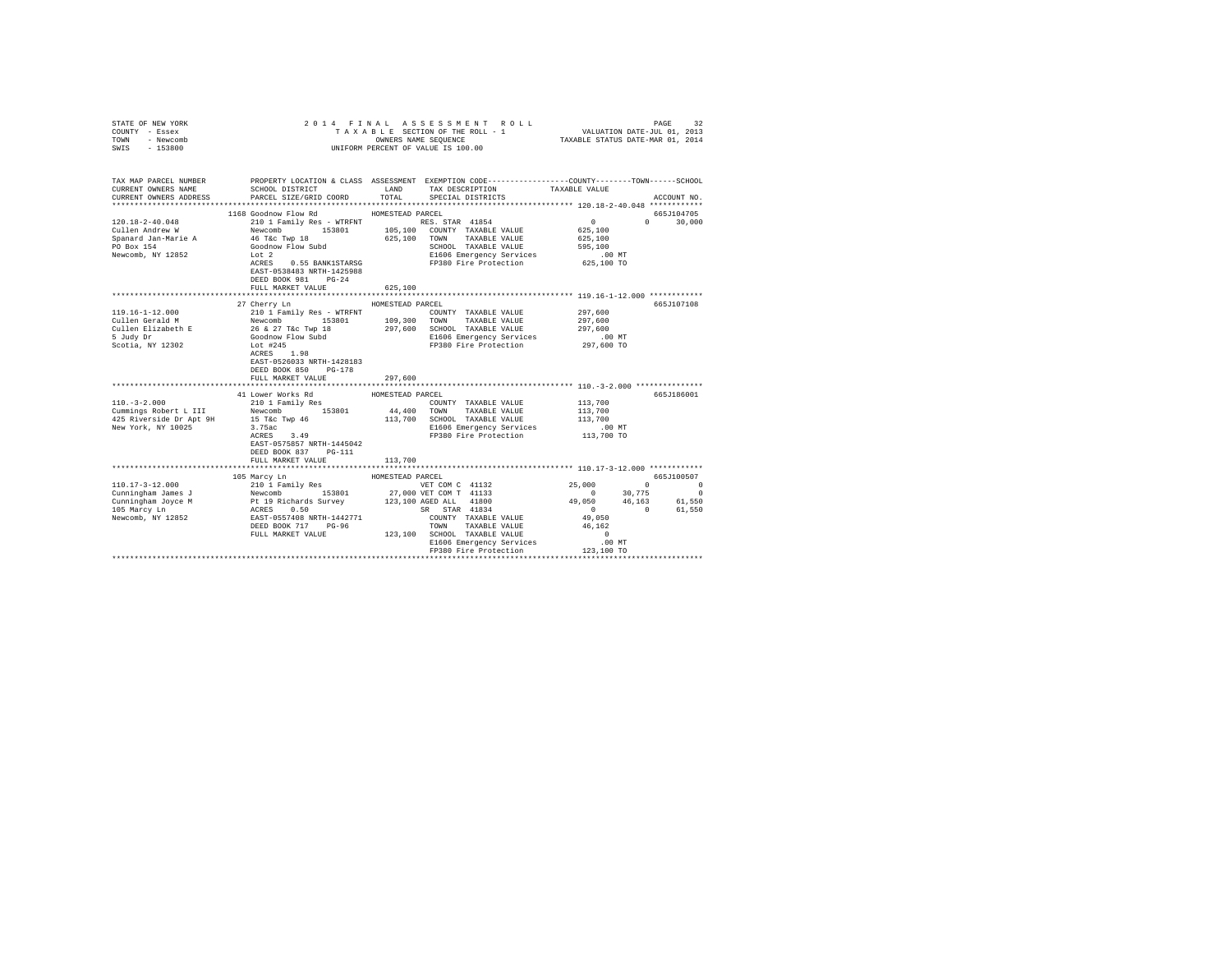| STATE OF NEW YORK<br>COUNTY - Essex<br>TOWN - Newcomb<br>SWIS - 153800                       |                                                                                                                                          |                                                                                                                                                                                                                                                                                                                                                                                                                                                                                                                                                                                |                                                                                                                                                                                                       |
|----------------------------------------------------------------------------------------------|------------------------------------------------------------------------------------------------------------------------------------------|--------------------------------------------------------------------------------------------------------------------------------------------------------------------------------------------------------------------------------------------------------------------------------------------------------------------------------------------------------------------------------------------------------------------------------------------------------------------------------------------------------------------------------------------------------------------------------|-------------------------------------------------------------------------------------------------------------------------------------------------------------------------------------------------------|
| TAX MAP PARCEL NUMBER<br>CURRENT OWNERS NAME<br>CURRENT OWNERS ADDRESS                       | SCHOOL DISTRICT<br>PARCEL SIZE/GRID COORD                                                                                                | PROPERTY LOCATION & CLASS ASSESSMENT EXEMPTION CODE---------------COUNTY-------TOWN-----SCHOOL<br>LAND TAX DESCRIPTION TAXABLE VALUE<br>TOTAL SPECIAL DISTRICTS                                                                                                                                                                                                                                                                                                                                                                                                                | ACCOUNT NO.                                                                                                                                                                                           |
| 120.18-2-40.048<br>Cullen Andrew W<br>Spanard Jan-Marie A<br>PO Box 154<br>Newcomb, NY 12852 | 1168 Goodnow Flow Rd MOMESTEAD PARCEL<br>ACRES 0.55 BANK1STARSG<br>EAST-0538483 NRTH-1425988<br>DEED BOOK 981 PG-24<br>FULL MARKET VALUE | 210 1 Family Res - WTRFNT<br>NES. STAR 41854<br>Newcomb 153801 105,100 COUNTY TAXABLE VALUE<br>46 Tac Twp 18 625,100 TOWN TAXABLE VALUE<br>GOODLOW FLOW Subd<br>1616 E1606 Emergency Services<br>21606 Energency Services<br>21606 Energency<br>SCHOOL TAXABLE VALUE 595,100<br>E1606 Emergency Services 505,100<br>FP380 Fire Protection 625,100 TO<br>625,100                                                                                                                                                                                                                | 665J104705<br>$\begin{array}{c} 0 \\ 625,100 \end{array}$<br>$0 \t 30,000$<br>625,100                                                                                                                 |
|                                                                                              | 27 Cherry Ln                                                                                                                             | HOMESTEAD PARCEL<br>119.16-1-12.000<br>COUNTY TAXABLE VALUE<br>COUNTY TAXABLE VALUE<br>COUNTY TAXABLE VALUE<br>COUNTY TAXABLE VALUE<br>COUNTY TAXABLE VALUE<br>SUIDE BIZZABEL NAUE NEWS NOT DUM NOT TAXABLE VALUE<br>SUIDE BIZZABLE VALUE<br>SUIDE SUIDE SUIDE SU<br>COUNTY TAXABLE VALUE 297,600                                                                                                                                                                                                                                                                              | 665J107108<br>297,600<br>297.600<br>.00MT                                                                                                                                                             |
|                                                                                              | EAST-0526033 NRTH-1428183<br>DEED BOOK 850 PG-178<br>FULL MARKET VALUE                                                                   | 297,600                                                                                                                                                                                                                                                                                                                                                                                                                                                                                                                                                                        | 297,600 TO                                                                                                                                                                                            |
| $110. -3 - 2.000$                                                                            | 41 Lower Works Rd<br>EAST-0575857 NRTH-1445042<br>DEED BOOK 837 PG-111<br>FULL MARKET VALUE 113,700                                      | HOMESTEAD PARCEL<br>COUNTY TAXABLE VALUE 113,700<br>Communication of the communication of the communication of the communication of the communication of the communication of the communication of the communication of the communication of the communication of the communicatio<br>E1606 Emergency Services .00 MT<br>FP380 Fire Protection .013,700 TO                                                                                                                                                                                                                     | 665J186001<br>113,700<br>113,700                                                                                                                                                                      |
|                                                                                              |                                                                                                                                          |                                                                                                                                                                                                                                                                                                                                                                                                                                                                                                                                                                                |                                                                                                                                                                                                       |
|                                                                                              | 105 Marcy Ln                                                                                                                             | HOMESTEAD PARCEL<br>$(10.17-3-12.000 \nonumber \\ \mbox{Cumindingham\omega~mes~J}~~\mbox{2101 Finally Res}~~\mbox{WESTEAD}~~\mbox{VET COM C}~41132 \nonumber \\ \mbox{Cumindingham\omega~mes~J}~~\mbox{Newcomb}~~\mbox{153801}~~27,000 VET COM C}~41132 \nonumber \\ \mbox{Cumindingham\omega~mes~J}~~\mbox{Newcomb}~~\mbox{153801}~~27,000 VET COM T}~41133 \nonumber \\ \mbox{105 Mary Im}~~\mbox{106 MSP}~\mbox{M}~~\$<br>COUNTY TAXABLE VALUE<br>TOWN TAXABLE VALUE 46,162<br>123,100 SCHOOL TAXABLE VALUE<br>E1606 Emergency Services<br>FP380 Fire Protection 123,100 TO | 665J100507<br>VET COM C 41132<br>VET COM C 41133<br>1 0 20 20,775<br>25,000 0 30,775<br>26 30 20,775<br>3R STAR 41834<br>29,050 46,153<br>3R STAR 41834<br>20 0 61,550<br>49,050<br>$\sim$ 0<br>.00MT |
|                                                                                              |                                                                                                                                          |                                                                                                                                                                                                                                                                                                                                                                                                                                                                                                                                                                                |                                                                                                                                                                                                       |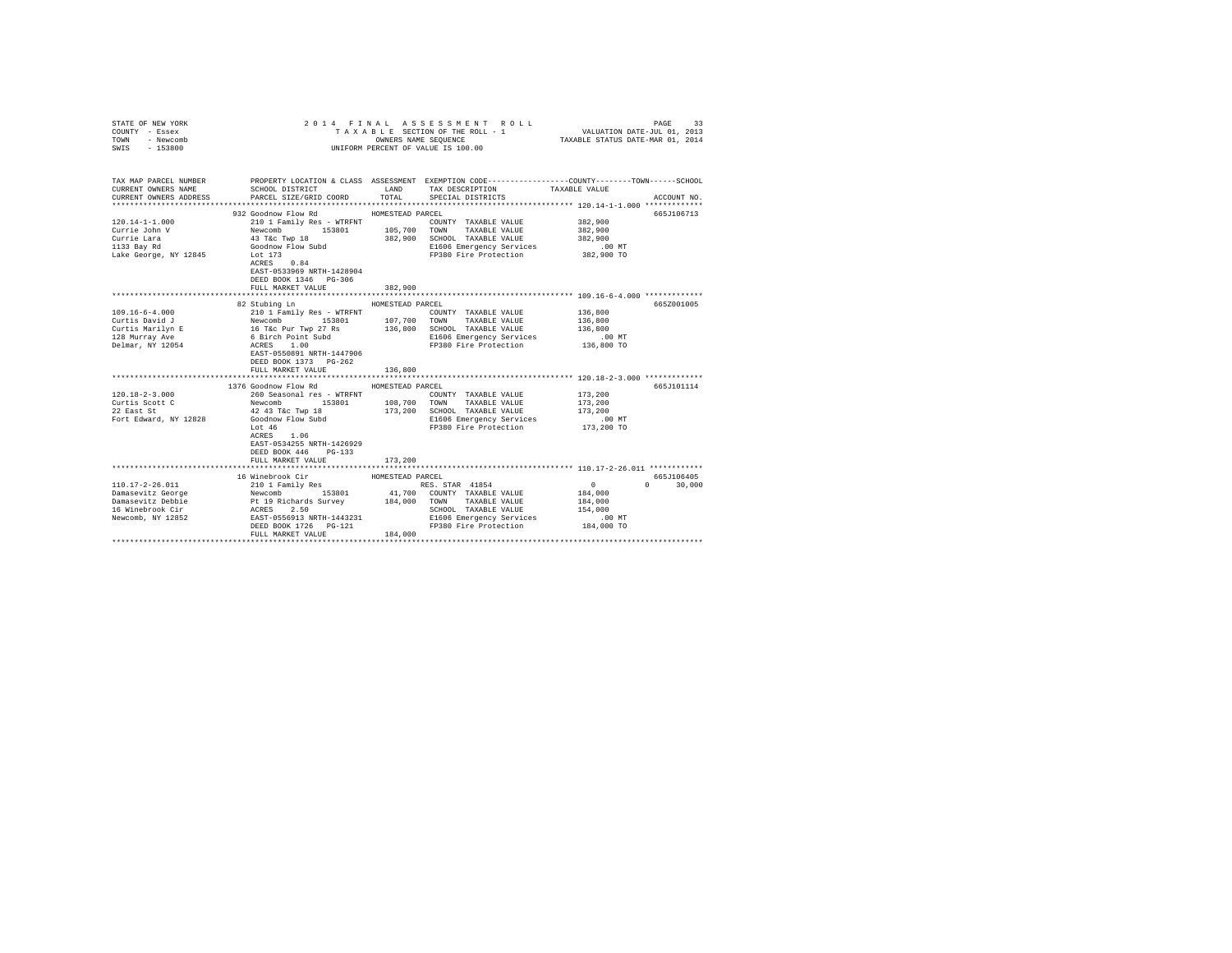| STATE OF NEW YORK<br>COUNTY - Essex<br>TOWN - Newcomb<br>SWIS - 153800                                                                                                                                                                                                                                                                                                                   |                                                                                           | 2014 FINAL ASSESSMENT ROLL<br>VALUATION DATE-JUL 01, 2013<br>TAXABLE STATUS DATE-MAR 01, 2014<br>TAXABLE SECTION OF THE ROLL - 1<br>OWNERS NAME SEQUENCE<br>UNIFORM PERCENT OF VALUE IS 100.00 |                                                                                                                                                                                                                                                                                                                                                                                                                                                                                                         |                                                         |               |  |
|------------------------------------------------------------------------------------------------------------------------------------------------------------------------------------------------------------------------------------------------------------------------------------------------------------------------------------------------------------------------------------------|-------------------------------------------------------------------------------------------|------------------------------------------------------------------------------------------------------------------------------------------------------------------------------------------------|---------------------------------------------------------------------------------------------------------------------------------------------------------------------------------------------------------------------------------------------------------------------------------------------------------------------------------------------------------------------------------------------------------------------------------------------------------------------------------------------------------|---------------------------------------------------------|---------------|--|
| TAX MAP PARCEL NUMBER PROPERTY LOCATION & CLASS ASSESSMENT EXEMPTION CODE---------------COUNTY-------TOWN------SCHOOL<br>CURRENT OWNERS NAME                                                                                                                                                                                                                                             | SCHOOL DISTRICT                                                                           | LAND                                                                                                                                                                                           | TAX DESCRIPTION                                                                                                                                                                                                                                                                                                                                                                                                                                                                                         | TAXABLE VALUE                                           |               |  |
| CURRENT OWNERS ADDRESS PARCEL SIZE/GRID COORD                                                                                                                                                                                                                                                                                                                                            |                                                                                           | TOTAL                                                                                                                                                                                          | SPECIAL DISTRICTS                                                                                                                                                                                                                                                                                                                                                                                                                                                                                       |                                                         | ACCOUNT NO.   |  |
|                                                                                                                                                                                                                                                                                                                                                                                          |                                                                                           |                                                                                                                                                                                                |                                                                                                                                                                                                                                                                                                                                                                                                                                                                                                         |                                                         |               |  |
|                                                                                                                                                                                                                                                                                                                                                                                          |                                                                                           |                                                                                                                                                                                                |                                                                                                                                                                                                                                                                                                                                                                                                                                                                                                         |                                                         | 665J106713    |  |
| $120.14 - 1 - 1.000$                                                                                                                                                                                                                                                                                                                                                                     |                                                                                           |                                                                                                                                                                                                |                                                                                                                                                                                                                                                                                                                                                                                                                                                                                                         | 382,900                                                 |               |  |
| Currie John V                                                                                                                                                                                                                                                                                                                                                                            |                                                                                           |                                                                                                                                                                                                |                                                                                                                                                                                                                                                                                                                                                                                                                                                                                                         | 382,900                                                 |               |  |
| Currie Lara                                                                                                                                                                                                                                                                                                                                                                              |                                                                                           |                                                                                                                                                                                                |                                                                                                                                                                                                                                                                                                                                                                                                                                                                                                         | 382,900                                                 |               |  |
| 1133 Bay Rd                                                                                                                                                                                                                                                                                                                                                                              |                                                                                           |                                                                                                                                                                                                | $\begin{tabular}{c c c c c} \multicolumn{1}{c}{\textbf{3.1}} & \multicolumn{1}{c}{\textbf{5.2}} & \multicolumn{1}{c}{\textbf{5.3}} & \multicolumn{1}{c}{\textbf{5.3}} & \multicolumn{1}{c}{\textbf{5.3}} & \multicolumn{1}{c}{\textbf{5.3}} & \multicolumn{1}{c}{\textbf{5.3}} & \multicolumn{1}{c}{\textbf{5.3}} & \multicolumn{1}{c}{\textbf{5.3}} & \multicolumn{1}{c}{\textbf{5.3}} & \multicolumn{1}{c}{\textbf{5.3}} & \multicolumn{1}{c}{\$<br>E1606 Emergency Services<br>FP380 Fire Protection | $.00$ MT                                                |               |  |
| Lake George, NY 12845                                                                                                                                                                                                                                                                                                                                                                    | Lot 173<br>ACRES 0.84<br>EAST-0533969 NRTH-1428904<br>DEED BOOK 1346 PG-306               |                                                                                                                                                                                                |                                                                                                                                                                                                                                                                                                                                                                                                                                                                                                         | 382,900 TO                                              |               |  |
|                                                                                                                                                                                                                                                                                                                                                                                          | FULL MARKET VALUE                                                                         | 382,900                                                                                                                                                                                        |                                                                                                                                                                                                                                                                                                                                                                                                                                                                                                         |                                                         |               |  |
|                                                                                                                                                                                                                                                                                                                                                                                          | 82 Stubing Ln                                                                             | HOMESTEAD PARCEL                                                                                                                                                                               |                                                                                                                                                                                                                                                                                                                                                                                                                                                                                                         |                                                         | 665Z001005    |  |
|                                                                                                                                                                                                                                                                                                                                                                                          |                                                                                           |                                                                                                                                                                                                |                                                                                                                                                                                                                                                                                                                                                                                                                                                                                                         | 136,800                                                 |               |  |
|                                                                                                                                                                                                                                                                                                                                                                                          |                                                                                           |                                                                                                                                                                                                |                                                                                                                                                                                                                                                                                                                                                                                                                                                                                                         | 136,800                                                 |               |  |
|                                                                                                                                                                                                                                                                                                                                                                                          |                                                                                           |                                                                                                                                                                                                |                                                                                                                                                                                                                                                                                                                                                                                                                                                                                                         | 136,800                                                 |               |  |
|                                                                                                                                                                                                                                                                                                                                                                                          |                                                                                           |                                                                                                                                                                                                |                                                                                                                                                                                                                                                                                                                                                                                                                                                                                                         | $.00$ MT                                                |               |  |
|                                                                                                                                                                                                                                                                                                                                                                                          | DEED BOOK 1373 PG-262<br>FULL MARKET VALUE                                                | 136,800                                                                                                                                                                                        |                                                                                                                                                                                                                                                                                                                                                                                                                                                                                                         | 136,800 TO                                              |               |  |
|                                                                                                                                                                                                                                                                                                                                                                                          |                                                                                           |                                                                                                                                                                                                |                                                                                                                                                                                                                                                                                                                                                                                                                                                                                                         | ************************** 120.18-2-3.000 ************* |               |  |
|                                                                                                                                                                                                                                                                                                                                                                                          | 1376 Goodnow Flow Rd                                                                      | HOMESTEAD PARCEL                                                                                                                                                                               |                                                                                                                                                                                                                                                                                                                                                                                                                                                                                                         |                                                         | 665J101114    |  |
|                                                                                                                                                                                                                                                                                                                                                                                          |                                                                                           |                                                                                                                                                                                                | COUNTY TAXABLE VALUE                                                                                                                                                                                                                                                                                                                                                                                                                                                                                    | 173,200                                                 |               |  |
|                                                                                                                                                                                                                                                                                                                                                                                          |                                                                                           |                                                                                                                                                                                                |                                                                                                                                                                                                                                                                                                                                                                                                                                                                                                         | 173,200                                                 |               |  |
|                                                                                                                                                                                                                                                                                                                                                                                          |                                                                                           |                                                                                                                                                                                                | 173,200 SCHOOL TAXABLE VALUE                                                                                                                                                                                                                                                                                                                                                                                                                                                                            | 173,200                                                 |               |  |
|                                                                                                                                                                                                                                                                                                                                                                                          |                                                                                           |                                                                                                                                                                                                | E1606 Emergency Services                                                                                                                                                                                                                                                                                                                                                                                                                                                                                | .00 MT                                                  |               |  |
|                                                                                                                                                                                                                                                                                                                                                                                          | ACRES 1.06<br>EAST-0534255 NRTH-1426929<br>DEED BOOK 446<br>$PG-133$<br>FULL MARKET VALUE | 173,200                                                                                                                                                                                        | FP380 Fire Protection                                                                                                                                                                                                                                                                                                                                                                                                                                                                                   | 173,200 TO                                              |               |  |
|                                                                                                                                                                                                                                                                                                                                                                                          |                                                                                           |                                                                                                                                                                                                |                                                                                                                                                                                                                                                                                                                                                                                                                                                                                                         |                                                         |               |  |
|                                                                                                                                                                                                                                                                                                                                                                                          | 16 Winebrook Cir                                                                          | HOMESTEAD PARCEL                                                                                                                                                                               |                                                                                                                                                                                                                                                                                                                                                                                                                                                                                                         |                                                         | 665J106405    |  |
| $\begin{tabular}{l c c c c c c c c} \hline 110.17-2-26.011 & \multicolumn{3}{c c c c} \multicolumn{3}{c c c} \multicolumn{3}{c c c} \multicolumn{3}{c c c} \multicolumn{3}{c c c} \multicolumn{3}{c c c} \multicolumn{3}{c c c} \multicolumn{3}{c c c} \multicolumn{3}{c c c} \multicolumn{3}{c c c} \multicolumn{3}{c c c} \multicolumn{3}{c c c} \multicolumn{3}{c c c} \multicolumn{$ |                                                                                           |                                                                                                                                                                                                |                                                                                                                                                                                                                                                                                                                                                                                                                                                                                                         |                                                         | $0 \t 30.000$ |  |
|                                                                                                                                                                                                                                                                                                                                                                                          |                                                                                           |                                                                                                                                                                                                |                                                                                                                                                                                                                                                                                                                                                                                                                                                                                                         |                                                         |               |  |
|                                                                                                                                                                                                                                                                                                                                                                                          |                                                                                           |                                                                                                                                                                                                |                                                                                                                                                                                                                                                                                                                                                                                                                                                                                                         |                                                         |               |  |
|                                                                                                                                                                                                                                                                                                                                                                                          |                                                                                           |                                                                                                                                                                                                |                                                                                                                                                                                                                                                                                                                                                                                                                                                                                                         |                                                         |               |  |
|                                                                                                                                                                                                                                                                                                                                                                                          |                                                                                           |                                                                                                                                                                                                |                                                                                                                                                                                                                                                                                                                                                                                                                                                                                                         |                                                         |               |  |
|                                                                                                                                                                                                                                                                                                                                                                                          | FULL MARKET VALUE                                                                         | 184,000                                                                                                                                                                                        |                                                                                                                                                                                                                                                                                                                                                                                                                                                                                                         |                                                         |               |  |
|                                                                                                                                                                                                                                                                                                                                                                                          |                                                                                           |                                                                                                                                                                                                |                                                                                                                                                                                                                                                                                                                                                                                                                                                                                                         |                                                         |               |  |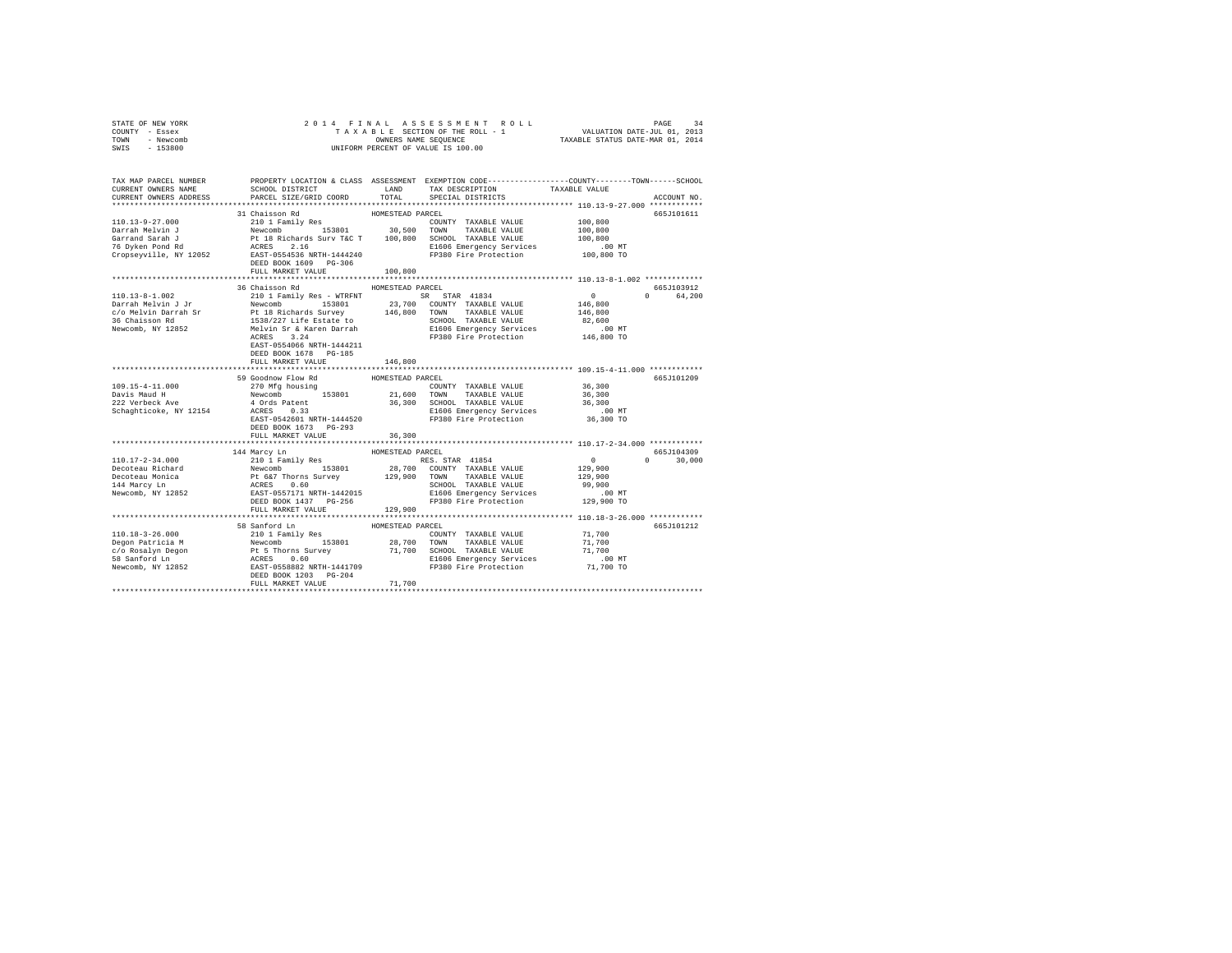| STATE OF NEW YORK                                                                                                                                                                                                                                                                                                                                                                                                                               |                                                                                                                                                                                                                                        |                  |                                                                                                    |               |               |
|-------------------------------------------------------------------------------------------------------------------------------------------------------------------------------------------------------------------------------------------------------------------------------------------------------------------------------------------------------------------------------------------------------------------------------------------------|----------------------------------------------------------------------------------------------------------------------------------------------------------------------------------------------------------------------------------------|------------------|----------------------------------------------------------------------------------------------------|---------------|---------------|
| COUNTY - Essex                                                                                                                                                                                                                                                                                                                                                                                                                                  |                                                                                                                                                                                                                                        |                  |                                                                                                    |               |               |
| TOWN - Newcomb<br>SWIS - 153800                                                                                                                                                                                                                                                                                                                                                                                                                 |                                                                                                                                                                                                                                        |                  |                                                                                                    |               |               |
|                                                                                                                                                                                                                                                                                                                                                                                                                                                 |                                                                                                                                                                                                                                        |                  |                                                                                                    |               |               |
|                                                                                                                                                                                                                                                                                                                                                                                                                                                 |                                                                                                                                                                                                                                        |                  |                                                                                                    |               |               |
|                                                                                                                                                                                                                                                                                                                                                                                                                                                 |                                                                                                                                                                                                                                        |                  |                                                                                                    |               |               |
| TAX MAP PARCEL NUMBER THE PROPERTY LOCATION & CLASS ASSESSMENT EXEMPTION CODE--------------COUNTY-------TOWN------SCHOOL                                                                                                                                                                                                                                                                                                                        |                                                                                                                                                                                                                                        |                  |                                                                                                    |               |               |
| CURRENT OWNERS NAME                                                                                                                                                                                                                                                                                                                                                                                                                             | SCHOOL DISTRICT TAND TAX DESCRIPTION                                                                                                                                                                                                   | TOTAL            | SPECIAL DISTRICTS                                                                                  | TAXABLE VALUE | ACCOUNT NO.   |
| CURRENT OWNERS ADDRESS                                                                                                                                                                                                                                                                                                                                                                                                                          | PARCEL SIZE/GRID COORD                                                                                                                                                                                                                 |                  |                                                                                                    |               |               |
|                                                                                                                                                                                                                                                                                                                                                                                                                                                 | 31 Chaisson Rd                                                                                                                                                                                                                         | HOMESTEAD PARCEL |                                                                                                    |               | 665J101611    |
|                                                                                                                                                                                                                                                                                                                                                                                                                                                 |                                                                                                                                                                                                                                        |                  |                                                                                                    |               |               |
|                                                                                                                                                                                                                                                                                                                                                                                                                                                 |                                                                                                                                                                                                                                        |                  |                                                                                                    |               |               |
|                                                                                                                                                                                                                                                                                                                                                                                                                                                 |                                                                                                                                                                                                                                        |                  |                                                                                                    |               |               |
|                                                                                                                                                                                                                                                                                                                                                                                                                                                 |                                                                                                                                                                                                                                        |                  |                                                                                                    |               |               |
|                                                                                                                                                                                                                                                                                                                                                                                                                                                 |                                                                                                                                                                                                                                        |                  |                                                                                                    |               |               |
|                                                                                                                                                                                                                                                                                                                                                                                                                                                 | DEED BOOK 1609 PG-306                                                                                                                                                                                                                  |                  |                                                                                                    |               |               |
|                                                                                                                                                                                                                                                                                                                                                                                                                                                 | FULL MARKET VALUE                                                                                                                                                                                                                      | 100,800          |                                                                                                    |               |               |
|                                                                                                                                                                                                                                                                                                                                                                                                                                                 |                                                                                                                                                                                                                                        |                  |                                                                                                    |               |               |
|                                                                                                                                                                                                                                                                                                                                                                                                                                                 | 36 Chaisson Rd MOMESTEAD PARCEL                                                                                                                                                                                                        |                  |                                                                                                    |               | 665J103912    |
| 110.13-8-1.002                                                                                                                                                                                                                                                                                                                                                                                                                                  | 210 1 Family Res - WTRFNT SR STAR 41834                                                                                                                                                                                                |                  |                                                                                                    | $\sim$ 0      | 0 64.200      |
|                                                                                                                                                                                                                                                                                                                                                                                                                                                 |                                                                                                                                                                                                                                        |                  |                                                                                                    | 146,800       |               |
|                                                                                                                                                                                                                                                                                                                                                                                                                                                 |                                                                                                                                                                                                                                        |                  |                                                                                                    | 146,800       |               |
| $\begin{tabular}{l c c c c c c c} \hline \texttt{Darrah Melvin J Jr} & \texttt{Newcomb} & \texttt{153801} & \texttt{23,700} & \texttt{COMNT} & \texttt{TAXABLE VALUE} \\ \hline \texttt{c/O Melvin Darrah Sr} & \texttt{N} & \texttt{18.7} & \texttt{23,700} & \texttt{COMNT} & \texttt{TAXABLE VALUE} \\ \hline \texttt{36} & \texttt{Chaisson Rd} & \texttt{1538/227 Life Each} & \texttt{146,800} & \texttt{TONMT} & \texttt{TAXABLE VALUE}$ |                                                                                                                                                                                                                                        |                  | SCHOOL TAXABLE VALUE 82,600<br>E1606 Emergency Services .00 MT<br>FP380 Fire Protection 146,800 TO |               |               |
|                                                                                                                                                                                                                                                                                                                                                                                                                                                 |                                                                                                                                                                                                                                        |                  |                                                                                                    |               |               |
|                                                                                                                                                                                                                                                                                                                                                                                                                                                 | ACRES 3.24                                                                                                                                                                                                                             |                  |                                                                                                    |               |               |
|                                                                                                                                                                                                                                                                                                                                                                                                                                                 | EAST-0554066 NRTH-1444211                                                                                                                                                                                                              |                  |                                                                                                    |               |               |
|                                                                                                                                                                                                                                                                                                                                                                                                                                                 | DEED BOOK 1678 PG-185                                                                                                                                                                                                                  |                  |                                                                                                    |               |               |
|                                                                                                                                                                                                                                                                                                                                                                                                                                                 | FULL MARKET VALUE                                                                                                                                                                                                                      | 146,800          |                                                                                                    |               |               |
|                                                                                                                                                                                                                                                                                                                                                                                                                                                 |                                                                                                                                                                                                                                        | **************   | ***************************** 109.15-4-11.000 ************                                         |               |               |
|                                                                                                                                                                                                                                                                                                                                                                                                                                                 | 59 Goodnow Flow Rd                                                                                                                                                                                                                     | HOMESTEAD PARCEL |                                                                                                    |               | 665J101209    |
| 109.15-4-11.000                                                                                                                                                                                                                                                                                                                                                                                                                                 | 270 Mfg housing                                                                                                                                                                                                                        |                  | COUNTY TAXABLE VALUE                                                                               | 36,300        |               |
| Davis Maud H<br>222 Verbeck Ave                                                                                                                                                                                                                                                                                                                                                                                                                 |                                                                                                                                                                                                                                        |                  |                                                                                                    |               |               |
|                                                                                                                                                                                                                                                                                                                                                                                                                                                 | X/0 May unusury 153801 21,600 TOWN TAXABLE VALUE 26,300<br>4 Ords Patent 36,300 SCHOOL TAXABLE VALUE 36,300<br>4 Ords Patent 36,300 SCHOOL TAXABLE VALUE 36,300<br>ACRES 0.33 B1606 Emergency Services<br>EAST-0542601 NRTH-14445520 F |                  |                                                                                                    |               |               |
| Schaghticoke, NY 12154                                                                                                                                                                                                                                                                                                                                                                                                                          |                                                                                                                                                                                                                                        |                  |                                                                                                    |               |               |
|                                                                                                                                                                                                                                                                                                                                                                                                                                                 |                                                                                                                                                                                                                                        |                  |                                                                                                    |               |               |
|                                                                                                                                                                                                                                                                                                                                                                                                                                                 | DEED BOOK 1673 PG-293                                                                                                                                                                                                                  |                  |                                                                                                    |               |               |
|                                                                                                                                                                                                                                                                                                                                                                                                                                                 | FULL MARKET VALUE                                                                                                                                                                                                                      | 36,300           |                                                                                                    |               |               |
|                                                                                                                                                                                                                                                                                                                                                                                                                                                 |                                                                                                                                                                                                                                        |                  |                                                                                                    |               |               |
|                                                                                                                                                                                                                                                                                                                                                                                                                                                 |                                                                                                                                                                                                                                        |                  |                                                                                                    |               | 665J104309    |
| $110.17 - 2 - 34.000$                                                                                                                                                                                                                                                                                                                                                                                                                           |                                                                                                                                                                                                                                        |                  |                                                                                                    |               | $0 \t 30,000$ |
|                                                                                                                                                                                                                                                                                                                                                                                                                                                 |                                                                                                                                                                                                                                        |                  |                                                                                                    |               |               |
|                                                                                                                                                                                                                                                                                                                                                                                                                                                 |                                                                                                                                                                                                                                        |                  |                                                                                                    |               |               |
|                                                                                                                                                                                                                                                                                                                                                                                                                                                 |                                                                                                                                                                                                                                        |                  |                                                                                                    |               |               |
| necoteau Richard<br>Decoteau Monica<br>144 Marcy Ln<br>Newcomb, NY 12852                                                                                                                                                                                                                                                                                                                                                                        |                                                                                                                                                                                                                                        |                  |                                                                                                    |               |               |
|                                                                                                                                                                                                                                                                                                                                                                                                                                                 |                                                                                                                                                                                                                                        |                  |                                                                                                    |               |               |
|                                                                                                                                                                                                                                                                                                                                                                                                                                                 |                                                                                                                                                                                                                                        |                  |                                                                                                    |               |               |
|                                                                                                                                                                                                                                                                                                                                                                                                                                                 | 58 Sanford Ln                                                                                                                                                                                                                          | HOMESTEAD PARCEL |                                                                                                    |               | 665J101212    |
|                                                                                                                                                                                                                                                                                                                                                                                                                                                 |                                                                                                                                                                                                                                        |                  |                                                                                                    |               |               |
|                                                                                                                                                                                                                                                                                                                                                                                                                                                 |                                                                                                                                                                                                                                        |                  |                                                                                                    |               |               |
|                                                                                                                                                                                                                                                                                                                                                                                                                                                 |                                                                                                                                                                                                                                        |                  |                                                                                                    |               |               |
|                                                                                                                                                                                                                                                                                                                                                                                                                                                 |                                                                                                                                                                                                                                        |                  |                                                                                                    |               |               |
| $\texttt{110.18-3-26.000} \texttt{30.001} \texttt{31.01} \texttt{21.00} \texttt{52.001} \texttt{22.01} \texttt{23.01} \texttt{24.01} \texttt{35.01} \texttt{36.01} \texttt{37.01} \texttt{38.01} \texttt{48.01} \texttt{59.01} \texttt{50.01} \texttt{51.01} \texttt{62.01} \texttt{52.01} \texttt{62.01} \texttt{53.01} \texttt{62.0$                                                                                                          |                                                                                                                                                                                                                                        |                  |                                                                                                    |               |               |
|                                                                                                                                                                                                                                                                                                                                                                                                                                                 | DEED BOOK 1203 PG-204                                                                                                                                                                                                                  |                  |                                                                                                    |               |               |
|                                                                                                                                                                                                                                                                                                                                                                                                                                                 | FULL MARKET VALUE                                                                                                                                                                                                                      | 71,700           |                                                                                                    |               |               |
|                                                                                                                                                                                                                                                                                                                                                                                                                                                 |                                                                                                                                                                                                                                        |                  |                                                                                                    |               |               |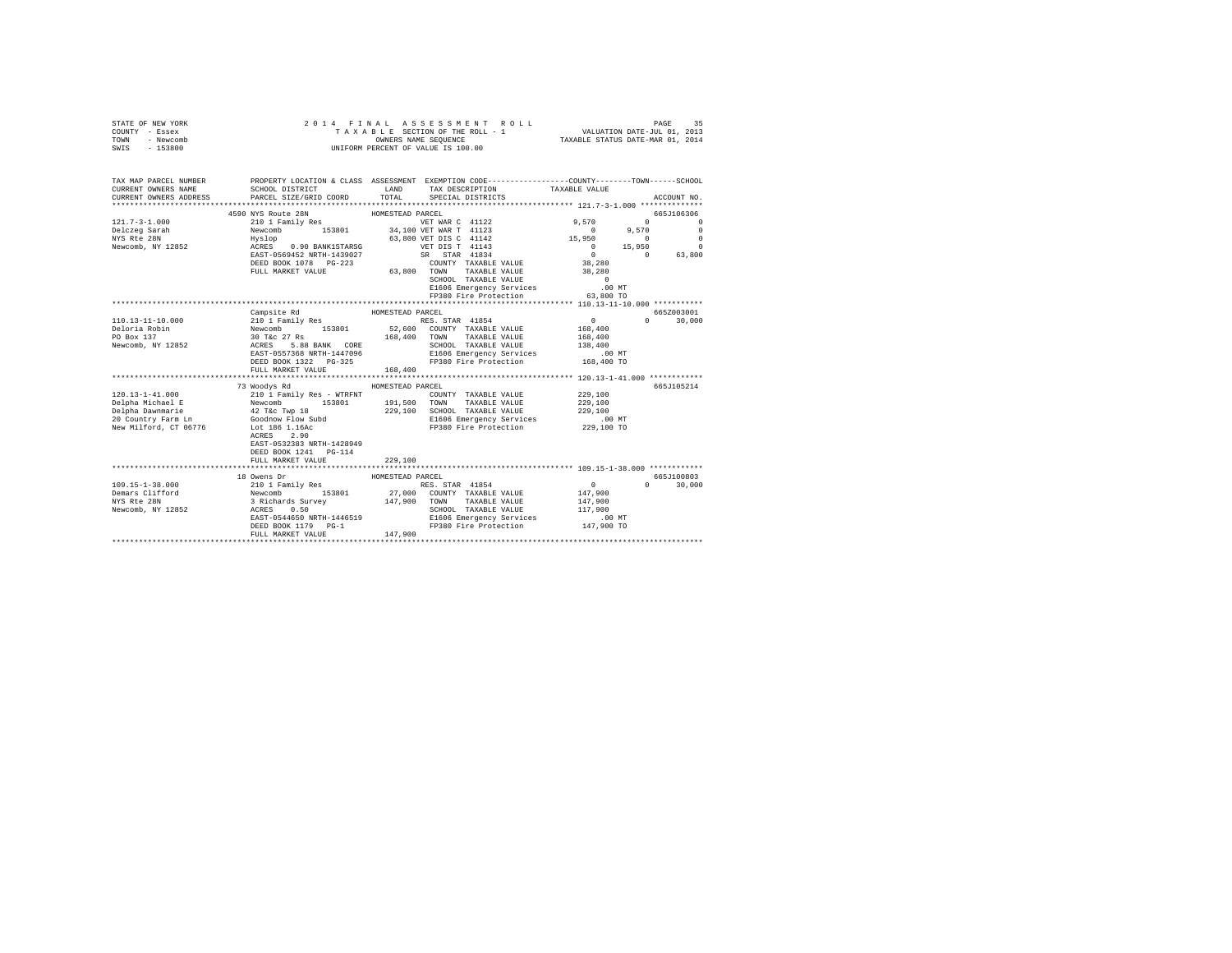| STATE OF NEW YORK<br>COUNTY - Essex<br>TOWN - Newcomb<br>SWIS - 153800                                                                      | 2014 FINAL ASSESSMENT R<br>TAXABLE SECTION OF THE ROLL - 1<br>ONNERS NAME SEQUENCE<br>UNIFORM PERCENT OF VALUE IS 100.00<br>2014 FINAL ASSESSMENT ROLL                                                                                     |                  | 4 FINAL ASSESSMENT ROLL TAXABLE PAGE 35<br>TAXABLE SECTION OF THE ROLL - 1 VALUATION DATE-JUL 01, 2013<br>OWNERS NAME SEQUENCE  TAXABLE STATUS DATE-MAR 01, 2014 |                                                                                   |                                                                                                                                                                                                                                                                                                           |
|---------------------------------------------------------------------------------------------------------------------------------------------|--------------------------------------------------------------------------------------------------------------------------------------------------------------------------------------------------------------------------------------------|------------------|------------------------------------------------------------------------------------------------------------------------------------------------------------------|-----------------------------------------------------------------------------------|-----------------------------------------------------------------------------------------------------------------------------------------------------------------------------------------------------------------------------------------------------------------------------------------------------------|
| TAX MAP PARCEL NUMBER PROPERTY LOCATION & CLASS ASSESSMENT EXEMPTION CODE--------------COUNTY-------TOWN------SCHOOL<br>CURRENT OWNERS NAME | SCHOOL DISTRICT                                                                                                                                                                                                                            |                  | LAND TAX DESCRIPTION                                                                                                                                             | TAXABLE VALUE                                                                     |                                                                                                                                                                                                                                                                                                           |
| CURRENT OWNERS ADDRESS PARCEL SIZE/GRID COORD                                                                                               |                                                                                                                                                                                                                                            |                  | TOTAL SPECIAL DISTRICTS                                                                                                                                          |                                                                                   | ACCOUNT NO.                                                                                                                                                                                                                                                                                               |
|                                                                                                                                             |                                                                                                                                                                                                                                            |                  |                                                                                                                                                                  |                                                                                   |                                                                                                                                                                                                                                                                                                           |
|                                                                                                                                             | 4590 NYS Route 28N                                                                                                                                                                                                                         | HOMESTEAD PARCEL |                                                                                                                                                                  |                                                                                   | 665J106306                                                                                                                                                                                                                                                                                                |
|                                                                                                                                             |                                                                                                                                                                                                                                            |                  |                                                                                                                                                                  | 9,570                                                                             | $\sim$ 0 $\sim$ 0 $\sim$ 0 $\sim$ 0 $\sim$ 0 $\sim$ 0 $\sim$ 0 $\sim$ 0 $\sim$ 0 $\sim$ 0 $\sim$ 0 $\sim$ 0 $\sim$ 0 $\sim$ 0 $\sim$ 0 $\sim$ 0 $\sim$ 0 $\sim$ 0 $\sim$ 0 $\sim$ 0 $\sim$ 0 $\sim$ 0 $\sim$ 0 $\sim$ 0 $\sim$ 0 $\sim$ 0 $\sim$ 0 $\sim$ 0 $\sim$ 0 $\sim$ 0 $\sim$ 0 $\sim$<br>$\Omega$ |
|                                                                                                                                             |                                                                                                                                                                                                                                            |                  |                                                                                                                                                                  | $0 \t 9,570 \t 0$<br>$15,950$<br>$0$<br>$0$<br>$15,950$<br>$0$<br>$0$<br>$63,800$ |                                                                                                                                                                                                                                                                                                           |
|                                                                                                                                             |                                                                                                                                                                                                                                            |                  |                                                                                                                                                                  |                                                                                   |                                                                                                                                                                                                                                                                                                           |
|                                                                                                                                             |                                                                                                                                                                                                                                            |                  |                                                                                                                                                                  |                                                                                   |                                                                                                                                                                                                                                                                                                           |
|                                                                                                                                             |                                                                                                                                                                                                                                            |                  | SCHOOL TAXABLE VALUE 0<br>E1606 Emergency Services 0<br>FP380 Fire Protection 63,800 TO                                                                          | 38,280<br>38,280                                                                  |                                                                                                                                                                                                                                                                                                           |
|                                                                                                                                             |                                                                                                                                                                                                                                            |                  | FP380 Fire Protection                                                                                                                                            |                                                                                   |                                                                                                                                                                                                                                                                                                           |
|                                                                                                                                             |                                                                                                                                                                                                                                            |                  |                                                                                                                                                                  |                                                                                   |                                                                                                                                                                                                                                                                                                           |
|                                                                                                                                             | Campsite Rd                                                                                                                                                                                                                                | HOMESTEAD PARCEL |                                                                                                                                                                  |                                                                                   | 665Z003001                                                                                                                                                                                                                                                                                                |
| 110.13-11-10.000                                                                                                                            | Cangrad Capacity (RES. STAR 41854<br>Newcomb 153801 53801 545600 COUNTY TAXABLE VALUE<br>30 T&c 27 Rs 163901 56,400 COUNTY TAXABLE VALUE<br>ACRES 5.88 BANK CORE 5000 SCHOOL TAXABLE VALUE<br>EAST-0557368 NRTH-1447096 51606 Emergency Se |                  |                                                                                                                                                                  | $\begin{array}{c} 0 \\ 168,400 \end{array}$                                       | $0 \t 30,000$                                                                                                                                                                                                                                                                                             |
| Deloria Robin<br>PO Box 137                                                                                                                 |                                                                                                                                                                                                                                            |                  |                                                                                                                                                                  |                                                                                   |                                                                                                                                                                                                                                                                                                           |
| Newcomb, NY 12852                                                                                                                           |                                                                                                                                                                                                                                            |                  |                                                                                                                                                                  | 168,400<br>138,400                                                                |                                                                                                                                                                                                                                                                                                           |
|                                                                                                                                             |                                                                                                                                                                                                                                            |                  |                                                                                                                                                                  | .00 MT                                                                            |                                                                                                                                                                                                                                                                                                           |
|                                                                                                                                             | DEED BOOK 1322 PG-325 PC PP380 Fire Protection 168,400 TO<br>FULL MARKET VALUE                                                                                                                                                             | 168,400          |                                                                                                                                                                  |                                                                                   |                                                                                                                                                                                                                                                                                                           |
|                                                                                                                                             |                                                                                                                                                                                                                                            |                  |                                                                                                                                                                  |                                                                                   |                                                                                                                                                                                                                                                                                                           |
|                                                                                                                                             | 73 Woodys Rd                                                                                                                                                                                                                               | HOMESTEAD PARCEL |                                                                                                                                                                  |                                                                                   | 665J105214                                                                                                                                                                                                                                                                                                |
|                                                                                                                                             |                                                                                                                                                                                                                                            |                  | COUNTY TAXABLE VALUE                                                                                                                                             | 229,100<br>229,100                                                                |                                                                                                                                                                                                                                                                                                           |
|                                                                                                                                             |                                                                                                                                                                                                                                            |                  |                                                                                                                                                                  |                                                                                   |                                                                                                                                                                                                                                                                                                           |
|                                                                                                                                             |                                                                                                                                                                                                                                            |                  | 229,100 SCHOOL TAXABLE VALUE                                                                                                                                     | 229,100                                                                           |                                                                                                                                                                                                                                                                                                           |
|                                                                                                                                             |                                                                                                                                                                                                                                            |                  | E1606 Emergency Services<br>FP380 Fire Protection                                                                                                                | .00 MT<br>229,100 TO                                                              |                                                                                                                                                                                                                                                                                                           |
|                                                                                                                                             | ACRES 2.90<br>EAST-0532383 NRTH-1428949<br>DEED BOOK 1241    PG-114<br>FULL MARKET VALUE                                                                                                                                                   | 229,100          |                                                                                                                                                                  |                                                                                   |                                                                                                                                                                                                                                                                                                           |
|                                                                                                                                             |                                                                                                                                                                                                                                            |                  |                                                                                                                                                                  |                                                                                   |                                                                                                                                                                                                                                                                                                           |
|                                                                                                                                             |                                                                                                                                                                                                                                            |                  |                                                                                                                                                                  |                                                                                   | 665J100803                                                                                                                                                                                                                                                                                                |
|                                                                                                                                             |                                                                                                                                                                                                                                            |                  |                                                                                                                                                                  | $\sim$ 0                                                                          | $0 \t 30.000$                                                                                                                                                                                                                                                                                             |
|                                                                                                                                             |                                                                                                                                                                                                                                            |                  |                                                                                                                                                                  | 147,900                                                                           |                                                                                                                                                                                                                                                                                                           |
|                                                                                                                                             |                                                                                                                                                                                                                                            |                  |                                                                                                                                                                  | 147,900                                                                           |                                                                                                                                                                                                                                                                                                           |
|                                                                                                                                             | EAST-0544650 NRTH-1446519                                                                                                                                                                                                                  |                  |                                                                                                                                                                  |                                                                                   |                                                                                                                                                                                                                                                                                                           |
|                                                                                                                                             | DEED BOOK 1179 PG-1                                                                                                                                                                                                                        |                  | SCHOOL TAXABLE VALUE 117,900<br>E1606 Emergency Services .00 MT<br>FP380 Fire Protection 147,900 TO                                                              |                                                                                   |                                                                                                                                                                                                                                                                                                           |
|                                                                                                                                             | FULL MARKET VALUE                                                                                                                                                                                                                          | 147,900          |                                                                                                                                                                  |                                                                                   |                                                                                                                                                                                                                                                                                                           |
|                                                                                                                                             |                                                                                                                                                                                                                                            |                  |                                                                                                                                                                  |                                                                                   |                                                                                                                                                                                                                                                                                                           |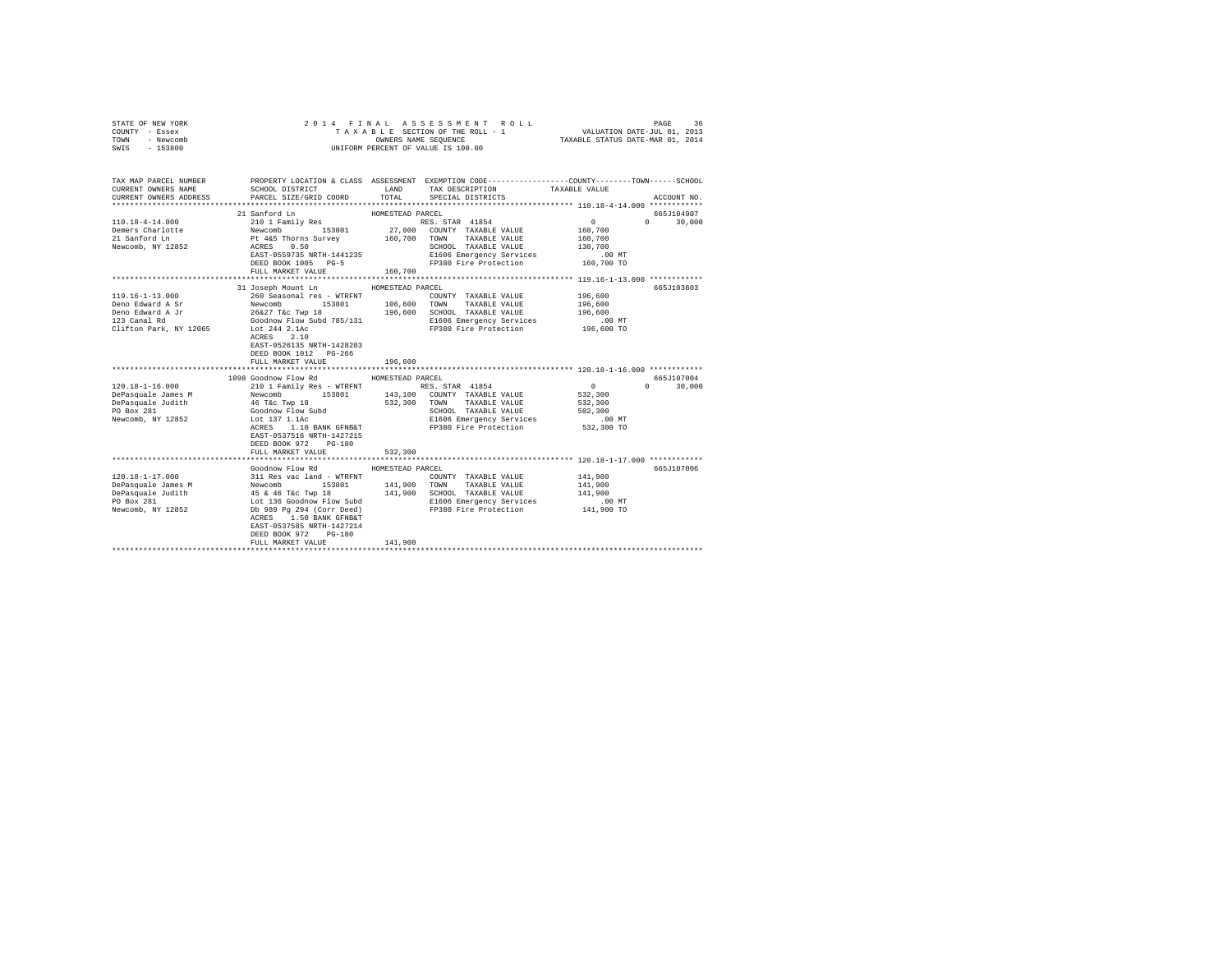| STATE OF NEW YORK<br>COUNTY - Essex<br>TOWN<br>- Newcomb<br>$-153800$<br>SWIS                                                                                          |                                                                                                                                                                                                                                                                                                                                                      |                                        | 2014 FINAL ASSESSMENT ROLL<br>TAXABLE SECTION OF THE ROLL - 1<br>OWNERS NAME SEQUENCE<br>UNIFORM PERCENT OF VALUE IS 100.00             | VALUATION DATE-JUL 01, 2013<br>TAXABLE STATUS DATE-MAR 01, 2014                 | PAGE<br>36                  |
|------------------------------------------------------------------------------------------------------------------------------------------------------------------------|------------------------------------------------------------------------------------------------------------------------------------------------------------------------------------------------------------------------------------------------------------------------------------------------------------------------------------------------------|----------------------------------------|-----------------------------------------------------------------------------------------------------------------------------------------|---------------------------------------------------------------------------------|-----------------------------|
| TAX MAP PARCEL NUMBER PROPERTY LOCATION & CLASS ASSESSMENT EXEMPTION CODE---------------COUNTY-------TOWN------SCHOOL<br>CURRENT OWNERS NAME<br>CURRENT OWNERS ADDRESS | SCHOOL DISTRICT TAND TAX DESCRIPTION<br>PARCEL SIZE/GRID COORD TOTAL SPECIAL DISTRICTS                                                                                                                                                                                                                                                               |                                        |                                                                                                                                         | TAXABLE VALUE                                                                   | ACCOUNT NO.                 |
| 110.18-4-14.000<br>Demers Charlotte<br>21 Sanford Ln<br>Newcomb, NY 12852                                                                                              | 21 Sanford Ln<br>41 Sanford Ln<br>210 1 Family Res<br>Newcomb 153801 27,000 COUNTY TAXABLE VALUE<br>Pt 465 Thorns Survey 160,700 TOWN TAXABLE VALUE<br>ACRES 0.50 SCHOOL TAXABLE VALUE<br>EAST-0559735 NRTH-1441235<br>DEED BOOK 1005 PG-5<br>FULL MARKET VALUE                                                                                      | HOMESTEAD PARCEL<br>160,700            | RES. STAR 41854<br>E1606 Emergency Services<br>FP380 Fire Protection                                                                    | $\mathbf{0}$<br>160,700<br>160,700<br>130,700<br>$.00 \text{ MT}$<br>160,700 TO | 665J104907<br>$0 \t 30,000$ |
| 119.16-1-13.000<br>Deno Edward A Sr<br>Deno Edward A Jr<br>123 Canal Rd<br>Clifton Park, NY 12065                                                                      | 31 Joseph Mount Ln<br>260 Seasonal res - WTRFNT<br>Newcomb 153801<br>26&27 T&c Twp 18<br>Goodnow Flow Subd 785/131<br>Lot 244 2.1Ac<br>ACRES 2.10<br>EAST-0526135 NRTH-1428203<br>DEED BOOK 1012 PG-266<br>FULL MARKET VALUE                                                                                                                         | HOMESTEAD PARCEL<br>196,600            | COUNTY TAXABLE VALUE<br>106,600 TOWN TAXABLE VALUE<br>196,600 SCHOOL TAXABLE VALUE<br>E1606 Emergency Services<br>FP380 Fire Protection | 196,600<br>196,600<br>196,600<br>$.00$ MT<br>196,600 TO                         | 665J103803                  |
| $120.18 - 1 - 16.000$                                                                                                                                                  | 1098 Goodnow Flow Rd<br>210 1 Family Res - WTRFNT RES. STAR 41854<br>ACRES 1.10 BANK GFNB&T<br>EAST-0537516 NRTH-1427215<br>DEED BOOK 972 PG-180<br>FULL MARKET VALUE                                                                                                                                                                                | HOMESTEAD PARCEL<br>532,300            | SCHOOL TAXABLE VALUE<br>E1606 Emergency Services<br>FP380 Fire Protection                                                               | $\sim$ 0<br>532,300<br>532,300<br>502,300<br>$.00$ MT<br>532,300 TO             | 665J107004<br>$0 \t 30.000$ |
| $120.18 - 1 - 17.000$<br>DePasquale James M<br>DePasquale Judith<br>PO Box 281<br>Newcomb, NY 12852                                                                    | Goodnow Flow Rd<br>311 Res vac land - WTRFNT<br>Newcomb 153801<br>AS & 46 T&C TWD 18<br>LAG AGOOD TAXABLE VALUE ION CHOOL TAXABLE VALUE<br>Db 989 Pg 294 (Corr Deed) B1606 Energency Services<br>Db 989 Pg 294 (Corr Deed) FP380 Fire Protection<br>ACRES 1.50 BANK GFNB&T<br>EAST-0537585 NRTH-1427214<br>DEED BOOK 972 PG-180<br>FULL MARKET VALUE | HOMESTEAD PARCEL<br>141,900<br>141,900 | COUNTY TAXABLE VALUE<br>TOWN<br>TAXABLE VALUE<br>E1606 Emergency Services<br>FP380 Fire Protection<br>FP380 Fire Protection 141,900 TO  | 141,900<br>141,900<br>141,900<br>$.00$ MT                                       | 665J107006                  |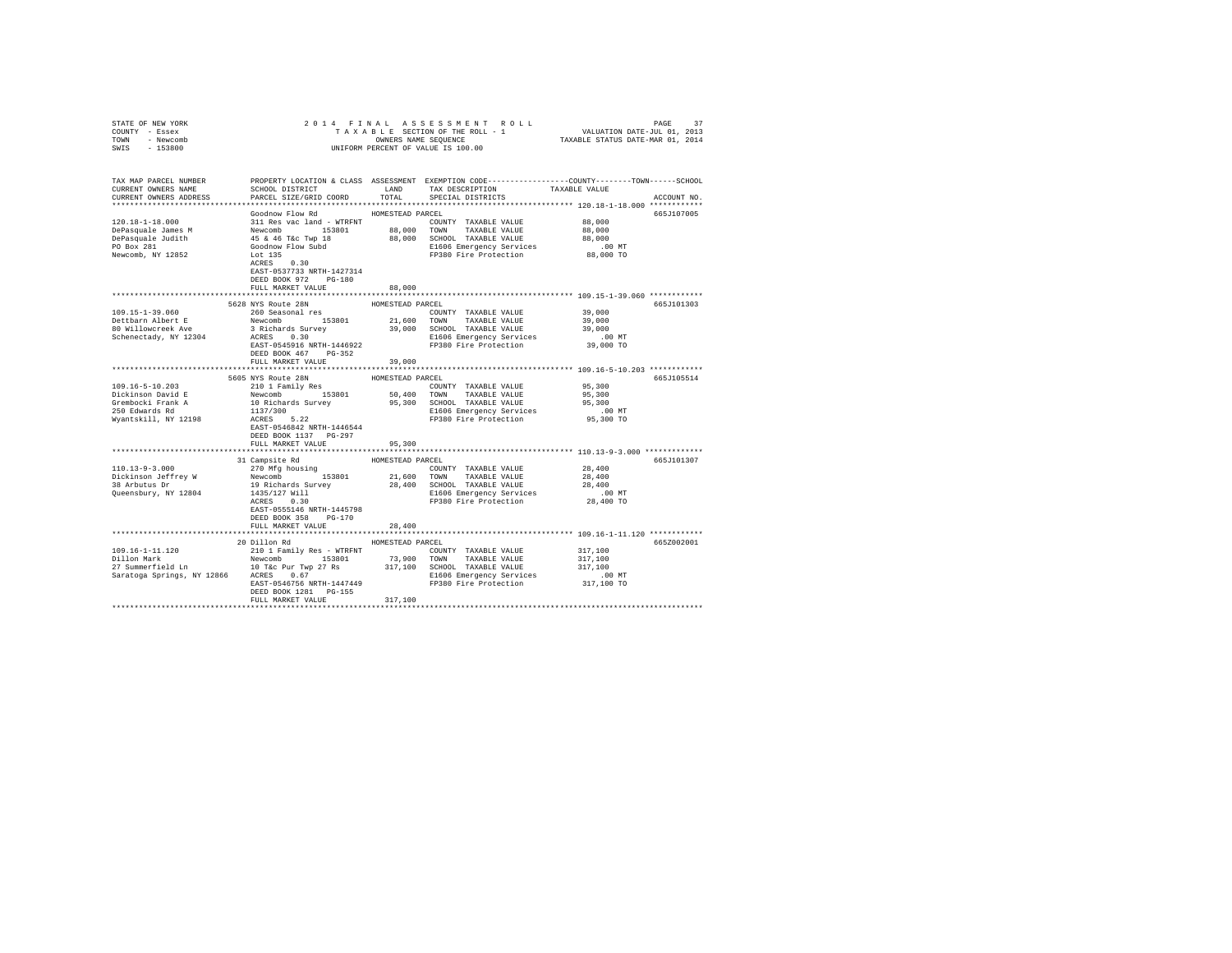| COUNTY - Essex<br>TOWN - Newcomb                                                                                                                                                                                                                                                                                                                                                         |                                      |                  |                                                                                                                                                                                                                                                |                      |             |
|------------------------------------------------------------------------------------------------------------------------------------------------------------------------------------------------------------------------------------------------------------------------------------------------------------------------------------------------------------------------------------------|--------------------------------------|------------------|------------------------------------------------------------------------------------------------------------------------------------------------------------------------------------------------------------------------------------------------|----------------------|-------------|
| SWIS - 153800                                                                                                                                                                                                                                                                                                                                                                            |                                      |                  | UNIFORM PERCENT OF VALUE IS 100.00                                                                                                                                                                                                             |                      |             |
|                                                                                                                                                                                                                                                                                                                                                                                          |                                      |                  |                                                                                                                                                                                                                                                |                      |             |
|                                                                                                                                                                                                                                                                                                                                                                                          |                                      |                  |                                                                                                                                                                                                                                                |                      |             |
| TAX MAP PARCEL NUMBER                                                                                                                                                                                                                                                                                                                                                                    |                                      |                  | PROPERTY LOCATION & CLASS ASSESSMENT EXEMPTION CODE---------------COUNTY-------TOWN------SCHOOL                                                                                                                                                |                      |             |
| CURRENT OWNERS NAME                                                                                                                                                                                                                                                                                                                                                                      |                                      |                  | TAX DESCRIPTION TAXABLE VALUE                                                                                                                                                                                                                  |                      |             |
| CURRENT OWNERS ADDRESS                                                                                                                                                                                                                                                                                                                                                                   |                                      | TOTAL            | SPECIAL DISTRICTS                                                                                                                                                                                                                              |                      | ACCOUNT NO. |
|                                                                                                                                                                                                                                                                                                                                                                                          |                                      |                  |                                                                                                                                                                                                                                                |                      |             |
|                                                                                                                                                                                                                                                                                                                                                                                          | Goodnow Flow Rd                      | HOMESTEAD PARCEL | COUNTY TAXABLE VALUE 88,000                                                                                                                                                                                                                    |                      | 665J107005  |
|                                                                                                                                                                                                                                                                                                                                                                                          |                                      |                  |                                                                                                                                                                                                                                                | 88,000               |             |
|                                                                                                                                                                                                                                                                                                                                                                                          |                                      |                  |                                                                                                                                                                                                                                                | 88,000               |             |
|                                                                                                                                                                                                                                                                                                                                                                                          |                                      |                  |                                                                                                                                                                                                                                                | .00 MT               |             |
| $\begin{tabular}{l c c c c c c c c} \hline 120.18-1-18.000 & 111\, \text{Res}\xspace\ & 111\, \text{Res}\xspace\ & 111\, \text{Res}\xspace\ & 111\, \text{Res}\xspace\ & 111\, \text{Res}\xspace\ & 111\, \text{Res}\xspace\ & 111\, \text{Res}\xspace\ & 111\, \text{Res}\xspace\ & 111\, \text{Res}\xspace\ & 111\, \text{Res}\xspace\ & 111\, \text{Res}\xspace\ & 111\, \text{Res}\$ |                                      |                  | E1606 Emergency Services<br>FP380 Fire Protection                                                                                                                                                                                              | 88,000 TO            |             |
|                                                                                                                                                                                                                                                                                                                                                                                          | $ACRES$ 0.30                         |                  |                                                                                                                                                                                                                                                |                      |             |
|                                                                                                                                                                                                                                                                                                                                                                                          | EAST-0537733 NRTH-1427314            |                  |                                                                                                                                                                                                                                                |                      |             |
|                                                                                                                                                                                                                                                                                                                                                                                          | DEED BOOK 972 PG-180                 |                  |                                                                                                                                                                                                                                                |                      |             |
|                                                                                                                                                                                                                                                                                                                                                                                          | FULL MARKET VALUE                    | 88,000           |                                                                                                                                                                                                                                                |                      |             |
|                                                                                                                                                                                                                                                                                                                                                                                          | 5628 NYS Route 28N                   |                  |                                                                                                                                                                                                                                                |                      |             |
| 109.15-1-39.060                                                                                                                                                                                                                                                                                                                                                                          | 260 Seasonal res                     | HOMESTEAD PARCEL |                                                                                                                                                                                                                                                | 39,000               | 665J101303  |
|                                                                                                                                                                                                                                                                                                                                                                                          | Newcomb 153801                       |                  | COUNTY TAXABLE VALUE<br>21,600 TOWN TAXABLE VALUE                                                                                                                                                                                              | 39,000               |             |
| Dettbarn Albert E<br>80 Willowcreek Ave                                                                                                                                                                                                                                                                                                                                                  |                                      |                  |                                                                                                                                                                                                                                                | 39,000               |             |
|                                                                                                                                                                                                                                                                                                                                                                                          |                                      |                  | E1606 Emergency Services                                                                                                                                                                                                                       | $.00$ MT             |             |
|                                                                                                                                                                                                                                                                                                                                                                                          | EAST-0545916 NRTH-1446922            |                  | FP380 Fire Protection                                                                                                                                                                                                                          | 39,000 TO            |             |
|                                                                                                                                                                                                                                                                                                                                                                                          | DEED BOOK 467 PG-352                 |                  |                                                                                                                                                                                                                                                |                      |             |
|                                                                                                                                                                                                                                                                                                                                                                                          | FULL MARKET VALUE                    | 39,000           |                                                                                                                                                                                                                                                |                      |             |
|                                                                                                                                                                                                                                                                                                                                                                                          |                                      |                  |                                                                                                                                                                                                                                                |                      |             |
|                                                                                                                                                                                                                                                                                                                                                                                          | 5605 NYS Route 28N                   | HOMESTEAD PARCEL |                                                                                                                                                                                                                                                |                      | 665J105514  |
| 109.16-5-10.203                                                                                                                                                                                                                                                                                                                                                                          | 210 1 Family Res                     |                  | COUNTY TAXABLE VALUE                                                                                                                                                                                                                           | 95,300               |             |
| Dickinson David E<br>Grembocki Frank A                                                                                                                                                                                                                                                                                                                                                   |                                      |                  |                                                                                                                                                                                                                                                | 95,300<br>95,300     |             |
| 250 Edwards Rd                                                                                                                                                                                                                                                                                                                                                                           |                                      |                  | E1606 Emergency Services                                                                                                                                                                                                                       | $.00$ MT             |             |
| Wyantskill, NY 12198                                                                                                                                                                                                                                                                                                                                                                     |                                      |                  | Newcomb 153801 50,400 TOWN TAXABLE VALUE<br>10 Richards Survey 95,300 SCHOOL TAXABLE VALUE<br>10 Richards Survey 95,300 SCHOOL TAXABLE VALUE<br>1137/300 FI606 Emergency Services<br>RCRES 5.22 FP380 Fire Protection<br>FP380 Fire Protection | 95,300 TO            |             |
|                                                                                                                                                                                                                                                                                                                                                                                          | EAST-0546842 NRTH-1446544            |                  |                                                                                                                                                                                                                                                |                      |             |
|                                                                                                                                                                                                                                                                                                                                                                                          | DEED BOOK 1137 PG-297                |                  |                                                                                                                                                                                                                                                |                      |             |
|                                                                                                                                                                                                                                                                                                                                                                                          | FULL MARKET VALUE                    | 95,300           |                                                                                                                                                                                                                                                |                      |             |
|                                                                                                                                                                                                                                                                                                                                                                                          |                                      |                  |                                                                                                                                                                                                                                                |                      |             |
|                                                                                                                                                                                                                                                                                                                                                                                          | 31 Campsite Rd                       | HOMESTEAD PARCEL |                                                                                                                                                                                                                                                |                      | 665J101307  |
| $110.13 - 9 - 3.000$                                                                                                                                                                                                                                                                                                                                                                     | 270 Mfg housing                      |                  | COUNTY TAXABLE VALUE                                                                                                                                                                                                                           | 28,400               |             |
| Dickinson Jeffrey W<br>38 Arbutus Dr                                                                                                                                                                                                                                                                                                                                                     | Newcomb 153801<br>19 Richards Survey | 21,600 TOWN      | TAXABLE VALUE                                                                                                                                                                                                                                  | 28,400<br>28,400     |             |
| Queensbury, NY 12804                                                                                                                                                                                                                                                                                                                                                                     |                                      |                  | 28,400 SCHOOL TAXABLE VALUE<br>E1606 Emergency Services                                                                                                                                                                                        | $.00$ MT             |             |
|                                                                                                                                                                                                                                                                                                                                                                                          | 1435/127 Will<br>ACRES 0.30          |                  | FP380 Fire Protection                                                                                                                                                                                                                          | 28,400 TO            |             |
|                                                                                                                                                                                                                                                                                                                                                                                          | EAST-0555146 NRTH-1445798            |                  |                                                                                                                                                                                                                                                |                      |             |
|                                                                                                                                                                                                                                                                                                                                                                                          | DEED BOOK 358 PG-170                 |                  |                                                                                                                                                                                                                                                |                      |             |
|                                                                                                                                                                                                                                                                                                                                                                                          | FULL MARKET VALUE                    | 28,400           |                                                                                                                                                                                                                                                |                      |             |
|                                                                                                                                                                                                                                                                                                                                                                                          |                                      |                  |                                                                                                                                                                                                                                                |                      |             |
|                                                                                                                                                                                                                                                                                                                                                                                          | 20 Dillon Rd                         | HOMESTEAD PARCEL |                                                                                                                                                                                                                                                |                      | 665Z002001  |
| 109.16-1-11.120                                                                                                                                                                                                                                                                                                                                                                          | 210 1 Family Res - WTRFNT            |                  | COUNTY TAXABLE VALUE                                                                                                                                                                                                                           | 317,100              |             |
|                                                                                                                                                                                                                                                                                                                                                                                          |                                      |                  |                                                                                                                                                                                                                                                | 317,100              |             |
|                                                                                                                                                                                                                                                                                                                                                                                          |                                      |                  |                                                                                                                                                                                                                                                | 317,100              |             |
|                                                                                                                                                                                                                                                                                                                                                                                          |                                      |                  |                                                                                                                                                                                                                                                | .00 MT<br>317,100 TO |             |
|                                                                                                                                                                                                                                                                                                                                                                                          | DEED BOOK 1281 PG-155                |                  |                                                                                                                                                                                                                                                |                      |             |
|                                                                                                                                                                                                                                                                                                                                                                                          | FULL MARKET VALUE                    | 317,100          |                                                                                                                                                                                                                                                |                      |             |
|                                                                                                                                                                                                                                                                                                                                                                                          |                                      |                  |                                                                                                                                                                                                                                                |                      |             |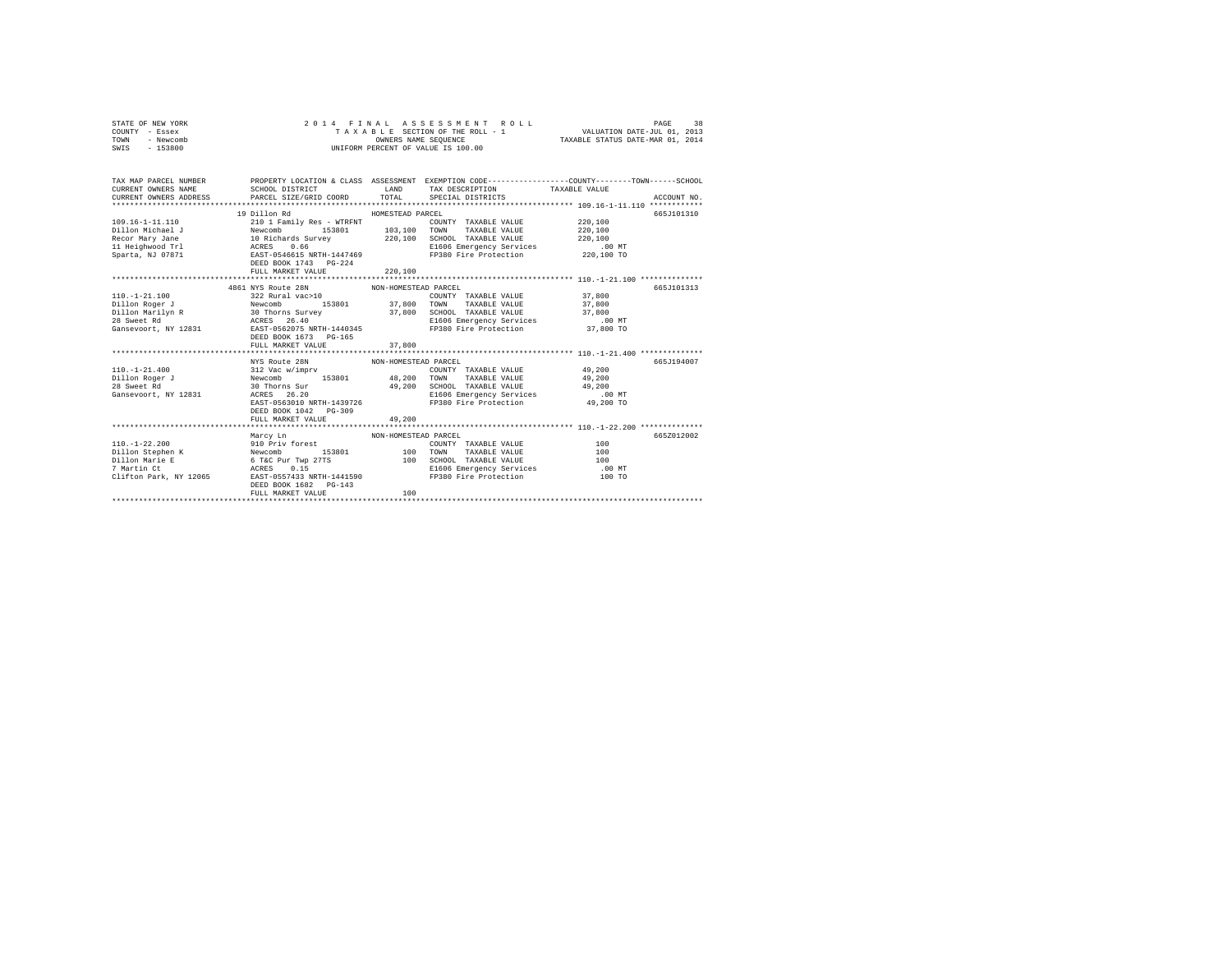| STATE OF NEW YORK<br>COUNTY - Essex                                                                                                                                                                                                                                                                                                                                                                                    | $\begin{array}{c} 2 & 0 & 1 \end{array}$ |                      |                                    |                                                                                                  |
|------------------------------------------------------------------------------------------------------------------------------------------------------------------------------------------------------------------------------------------------------------------------------------------------------------------------------------------------------------------------------------------------------------------------|------------------------------------------|----------------------|------------------------------------|--------------------------------------------------------------------------------------------------|
| TOWN - Newcomb                                                                                                                                                                                                                                                                                                                                                                                                         |                                          |                      |                                    |                                                                                                  |
| SWIS - 153800                                                                                                                                                                                                                                                                                                                                                                                                          |                                          |                      | UNIFORM PERCENT OF VALUE IS 100.00 |                                                                                                  |
|                                                                                                                                                                                                                                                                                                                                                                                                                        |                                          |                      |                                    |                                                                                                  |
|                                                                                                                                                                                                                                                                                                                                                                                                                        |                                          |                      |                                    |                                                                                                  |
|                                                                                                                                                                                                                                                                                                                                                                                                                        |                                          |                      |                                    |                                                                                                  |
| TAX MAP PARCEL NUMBER                                                                                                                                                                                                                                                                                                                                                                                                  |                                          |                      |                                    | PROPERTY LOCATION & CLASS ASSESSMENT EXEMPTION CODE-----------------COUNTY-------TOWN-----SCHOOL |
|                                                                                                                                                                                                                                                                                                                                                                                                                        |                                          |                      |                                    |                                                                                                  |
| CURRENT OWNERS ADDRESS PARCEL SIZE/GRID COORD TOTAL SPECIAL DISTRICTS                                                                                                                                                                                                                                                                                                                                                  |                                          |                      |                                    | ACCOUNT NO.                                                                                      |
|                                                                                                                                                                                                                                                                                                                                                                                                                        |                                          |                      |                                    |                                                                                                  |
|                                                                                                                                                                                                                                                                                                                                                                                                                        | 19 Dillon Rd                             | HOMESTEAD PARCEL     |                                    | 665J101310                                                                                       |
|                                                                                                                                                                                                                                                                                                                                                                                                                        |                                          |                      |                                    |                                                                                                  |
|                                                                                                                                                                                                                                                                                                                                                                                                                        |                                          |                      |                                    |                                                                                                  |
|                                                                                                                                                                                                                                                                                                                                                                                                                        |                                          |                      |                                    |                                                                                                  |
|                                                                                                                                                                                                                                                                                                                                                                                                                        |                                          |                      |                                    |                                                                                                  |
|                                                                                                                                                                                                                                                                                                                                                                                                                        |                                          |                      |                                    |                                                                                                  |
|                                                                                                                                                                                                                                                                                                                                                                                                                        | DEED BOOK 1743 PG-224                    |                      |                                    |                                                                                                  |
|                                                                                                                                                                                                                                                                                                                                                                                                                        | FULL MARKET VALUE 220,100                |                      |                                    |                                                                                                  |
|                                                                                                                                                                                                                                                                                                                                                                                                                        | 4861 NYS Route 28N                       | NON-HOMESTEAD PARCEL |                                    | 665J101313                                                                                       |
|                                                                                                                                                                                                                                                                                                                                                                                                                        |                                          |                      |                                    |                                                                                                  |
|                                                                                                                                                                                                                                                                                                                                                                                                                        |                                          |                      |                                    |                                                                                                  |
|                                                                                                                                                                                                                                                                                                                                                                                                                        |                                          |                      |                                    |                                                                                                  |
|                                                                                                                                                                                                                                                                                                                                                                                                                        |                                          |                      |                                    |                                                                                                  |
|                                                                                                                                                                                                                                                                                                                                                                                                                        |                                          |                      |                                    |                                                                                                  |
|                                                                                                                                                                                                                                                                                                                                                                                                                        |                                          |                      |                                    |                                                                                                  |
|                                                                                                                                                                                                                                                                                                                                                                                                                        | FULL MARKET VALUE                        | 37,800               |                                    |                                                                                                  |
|                                                                                                                                                                                                                                                                                                                                                                                                                        |                                          |                      |                                    |                                                                                                  |
| $\begin{tabular}{l c c c c c c c c} \hline 110.1-21.400 & \text{NYS Route 28N} & \text{NON-HOMESTRAD PARCEL} & \text{PRACT} & \text{LST} & \text{LST} \\ \hline 110.1-21.400 & 312 & \text{Vac w/my} & \text{COMD} & \text{COMD} & \text{TXABLE VALUE} & 49,200 \\ \hline 28 \text{ Sweet Rd} & 30 \text{ Thomas } \text{Sur} & 49,200 & \text{SCHOL TAXABLE VALUE} & 49,200 \\ \hline \text{Gansevoort, NY 12$        |                                          |                      |                                    | 665J194007                                                                                       |
|                                                                                                                                                                                                                                                                                                                                                                                                                        |                                          |                      |                                    |                                                                                                  |
|                                                                                                                                                                                                                                                                                                                                                                                                                        |                                          |                      |                                    |                                                                                                  |
|                                                                                                                                                                                                                                                                                                                                                                                                                        |                                          |                      |                                    |                                                                                                  |
|                                                                                                                                                                                                                                                                                                                                                                                                                        |                                          |                      |                                    |                                                                                                  |
|                                                                                                                                                                                                                                                                                                                                                                                                                        |                                          |                      |                                    |                                                                                                  |
|                                                                                                                                                                                                                                                                                                                                                                                                                        | DEED BOOK 1042    PG-309                 |                      |                                    |                                                                                                  |
|                                                                                                                                                                                                                                                                                                                                                                                                                        | FULL MARKET VALUE                        | 49,200               |                                    |                                                                                                  |
|                                                                                                                                                                                                                                                                                                                                                                                                                        |                                          |                      |                                    |                                                                                                  |
|                                                                                                                                                                                                                                                                                                                                                                                                                        |                                          |                      |                                    | 665Z012002                                                                                       |
|                                                                                                                                                                                                                                                                                                                                                                                                                        |                                          |                      |                                    |                                                                                                  |
|                                                                                                                                                                                                                                                                                                                                                                                                                        |                                          |                      |                                    |                                                                                                  |
| $[100,-1-22.200 \label{eq:2.200} \begin{tabular}{l c c c c c c} \hline & \multicolumn{3}{c c }{\textbf{MAP:}} & \multicolumn{3}{c }{\textbf{MAP:}} & \multicolumn{3}{c }{\textbf{MAP:}} & \multicolumn{3}{c }{\textbf{MAP:}} & \multicolumn{3}{c }{\textbf{MAP:}} & \multicolumn{3}{c }{\textbf{MAP:}} & \multicolumn{3}{c }{\textbf{MAP:}} & \multicolumn{3}{c }{\textbf{MAP:}} & \multicolumn{3}{c }{\textbf{MAP:}}$ |                                          |                      |                                    |                                                                                                  |
|                                                                                                                                                                                                                                                                                                                                                                                                                        |                                          |                      |                                    |                                                                                                  |
|                                                                                                                                                                                                                                                                                                                                                                                                                        |                                          |                      |                                    |                                                                                                  |
|                                                                                                                                                                                                                                                                                                                                                                                                                        | DEED BOOK 1682    PG-143                 |                      |                                    |                                                                                                  |
|                                                                                                                                                                                                                                                                                                                                                                                                                        | FULL MARKET VALUE                        | 100                  |                                    |                                                                                                  |
|                                                                                                                                                                                                                                                                                                                                                                                                                        |                                          |                      |                                    |                                                                                                  |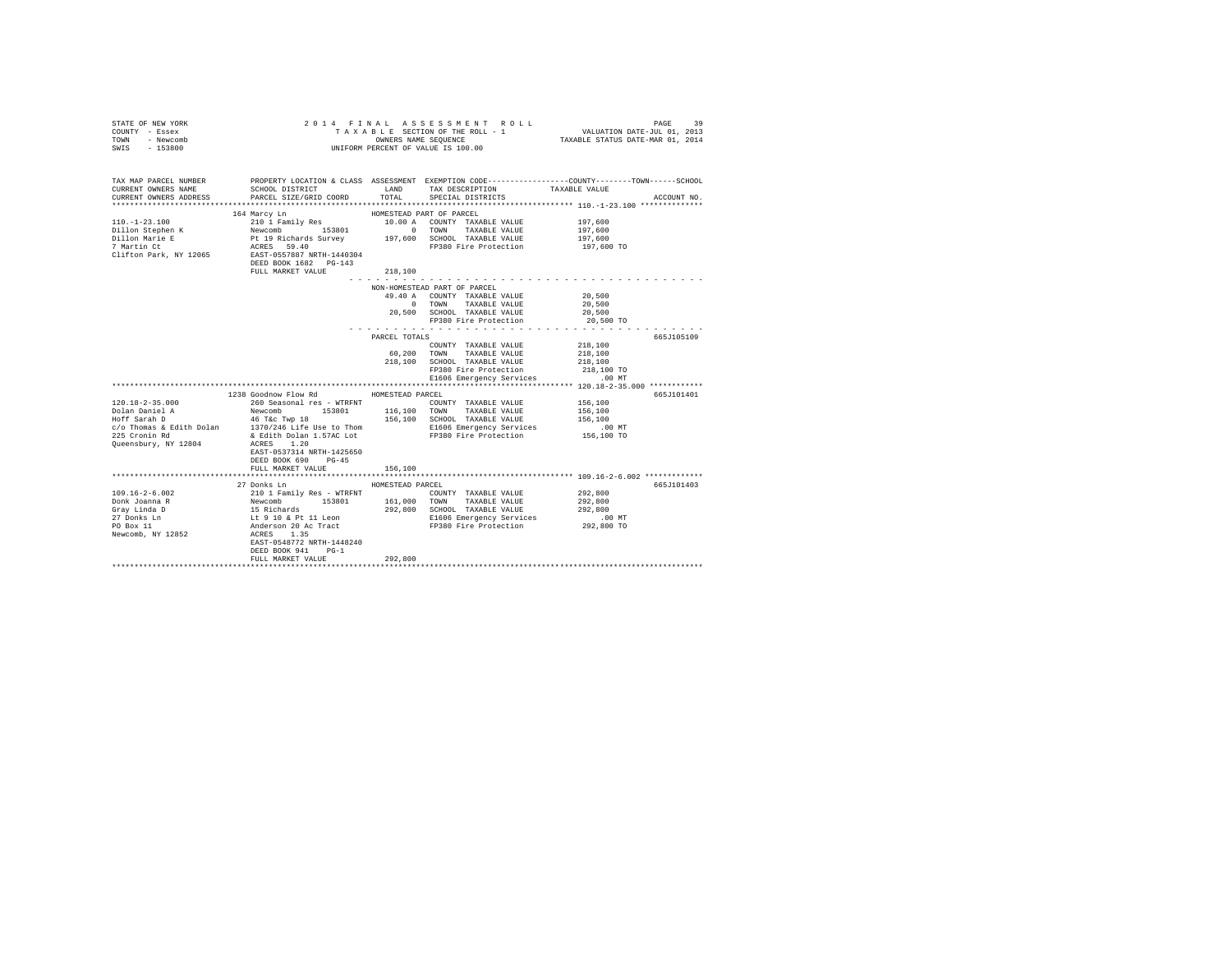| STATE OF NEW YORK<br>COUNTY - Essex<br>TOWN - Newcomb<br>SWIS - 153800                                                                                                                    |                                                                                                                                                                                                                                                                                                                                                                                                                                                                         | OWNERS NAME SEQUENCE<br>UNIFORM PERCENT OF VALUE IS 100.00 |                 | 2014 FINAL ASSESSMENT ROLL                                                                                                             | TAXABLE SECTION OF THE ROLL - 1 WALUATION DATE-JUL 01, 2013<br>TAXABLE STATUS DATE-MAR 01, 2014 | PAGE        | 39 |
|-------------------------------------------------------------------------------------------------------------------------------------------------------------------------------------------|-------------------------------------------------------------------------------------------------------------------------------------------------------------------------------------------------------------------------------------------------------------------------------------------------------------------------------------------------------------------------------------------------------------------------------------------------------------------------|------------------------------------------------------------|-----------------|----------------------------------------------------------------------------------------------------------------------------------------|-------------------------------------------------------------------------------------------------|-------------|----|
| TAX MAP PARCEL NUMBER<br>CURRENT OWNERS NAME<br>CURRENT OWNERS ADDRESS<br>*************************                                                                                       | PROPERTY LOCATION & CLASS ASSESSMENT EXEMPTION CODE---------------COUNTY-------TOWN------SCHOOL<br>SCHOOL DISTRICT<br>PARCEL SIZE/GRID COORD                                                                                                                                                                                                                                                                                                                            | LAND<br>TOTAL.                                             | TAX DESCRIPTION | SPECIAL DISTRICTS                                                                                                                      | TAXABLE VALUE                                                                                   | ACCOUNT NO. |    |
|                                                                                                                                                                                           | 164 Marcy Ln                                                                                                                                                                                                                                                                                                                                                                                                                                                            | HOMESTEAD PART OF PARCEL                                   |                 |                                                                                                                                        |                                                                                                 |             |    |
| $110. - 1 - 23.100$<br>Dillon Stephen K<br>Dillon Marie E<br>7 Martin Ct<br>Clifton Park, NY 12065                                                                                        | 2010 Family Res<br>Newcomb 153801 197,600 A COUNTY TAXABLE VALUE<br>2010 197,600 2COUNTY TAXABLE VALUE<br>21 Pt 198 Survey 197,600 SCROOL TAXABLE VALUE<br>2010 SCRES<br>259.40 2CRES<br>EAST-0557887 NRTH-1440304<br>DEED BOOK 1682 PG-143<br>FULL MARKET VALUE                                                                                                                                                                                                        | 218,100                                                    |                 |                                                                                                                                        | 197,600<br>197,600<br>197,600<br>197,600 TO                                                     |             |    |
|                                                                                                                                                                                           |                                                                                                                                                                                                                                                                                                                                                                                                                                                                         |                                                            |                 |                                                                                                                                        |                                                                                                 |             |    |
|                                                                                                                                                                                           |                                                                                                                                                                                                                                                                                                                                                                                                                                                                         | NON-HOMESTEAD PART OF PARCEL                               |                 | 49.40 A COUNTY TAXABLE VALUE<br>0 TOWN TAXABLE VALUE<br>20,500 SCHOOL TAXABLE VALUE<br>FP380 Fire Protection                           | 20,500<br>20,500<br>20,500<br>20,500 TO                                                         |             |    |
|                                                                                                                                                                                           |                                                                                                                                                                                                                                                                                                                                                                                                                                                                         |                                                            |                 | .                                                                                                                                      |                                                                                                 |             |    |
|                                                                                                                                                                                           |                                                                                                                                                                                                                                                                                                                                                                                                                                                                         | PARCEL TOTALS                                              |                 |                                                                                                                                        |                                                                                                 | 665J105109  |    |
|                                                                                                                                                                                           |                                                                                                                                                                                                                                                                                                                                                                                                                                                                         |                                                            |                 | COUNTY TAXABLE VALUE<br>60.200 TOWN TAXABLE VALUE<br>218,100 SCHOOL TAXABLE VALUE<br>FP380 Fire Protection<br>E1606 Emergency Services | 218,100<br>218,100<br>218,100<br>218,100 TO<br>.00 MT                                           |             |    |
|                                                                                                                                                                                           |                                                                                                                                                                                                                                                                                                                                                                                                                                                                         |                                                            |                 |                                                                                                                                        |                                                                                                 |             |    |
| $120.18 - 2 - 35.000$<br>Dolan Daniel A<br>Hoff Sarah D<br>c/o Thomas & Edith Dolan 1370/246 Life Use to Thom 1390/100 CONTINUES ELECT CONTINUES<br>225 Cronin Rd<br>Queensbury, NY 12804 | 1238 Goodnow Flow Rd<br>260 Seasonal res - WTRFNT<br>Newcomb 153801 116,100 TOWN TAXABLE VALUE<br>46 T&C Twp 18<br>& Edith Dolan 1.57AC Lot<br>ACRES 1.20<br>EAST-0537314 NRTH-1425650<br>DEED BOOK 690 PG-45<br>FULL MARKET VALUE                                                                                                                                                                                                                                      | HOMESTEAD PARCEL<br>156,100                                |                 | COUNTY TAXABLE VALUE 156.100<br>156,100 SCHOOL TAXABLE VALUE<br>FP380 Fire Protection                                                  | 156,100<br>156,100<br>$.00$ MT<br>156,100 TO                                                    | 665J101401  |    |
|                                                                                                                                                                                           |                                                                                                                                                                                                                                                                                                                                                                                                                                                                         |                                                            |                 |                                                                                                                                        |                                                                                                 |             |    |
|                                                                                                                                                                                           | 27 Donks Ln                                                                                                                                                                                                                                                                                                                                                                                                                                                             | HOMESTEAD PARCEL                                           |                 |                                                                                                                                        |                                                                                                 | 665J101403  |    |
| $109.16 - 2 - 6.002$<br>Donk Joanna R<br>Grav Linda D<br>27 Donks Ln<br>PO Box 11<br>Newcomb, NY 12852                                                                                    | $\begin{tabular}{ c   c   c   c} \hline 2101 & Fami1y Res & \textbf{WTRFT} & \textbf{15301} & \textbf{15301} & \textbf{2101} & \textbf{2101} & \textbf{1510} & \textbf{2101} & \textbf{2101} & \textbf{2101} & \textbf{2101} & \textbf{2101} & \textbf{2101} & \textbf{2101} & \textbf{2101} & \textbf{2101} & \textbf{2101} & \textbf{2101} & \textbf{2101} & \textbf{2101} & \$<br>ACRES 1.35<br>EAST-0548772 NRTH-1448240<br>DEED BOOK 941 PG-1<br>FULL MARKET VALUE | 292,800                                                    |                 | E1606 Emergency Services<br>FP380 Fire Protection                                                                                      | 292,800<br>292,800<br>292,800<br>.00 MT<br>292,800 TO                                           |             |    |
| **********************                                                                                                                                                                    |                                                                                                                                                                                                                                                                                                                                                                                                                                                                         |                                                            |                 |                                                                                                                                        |                                                                                                 |             |    |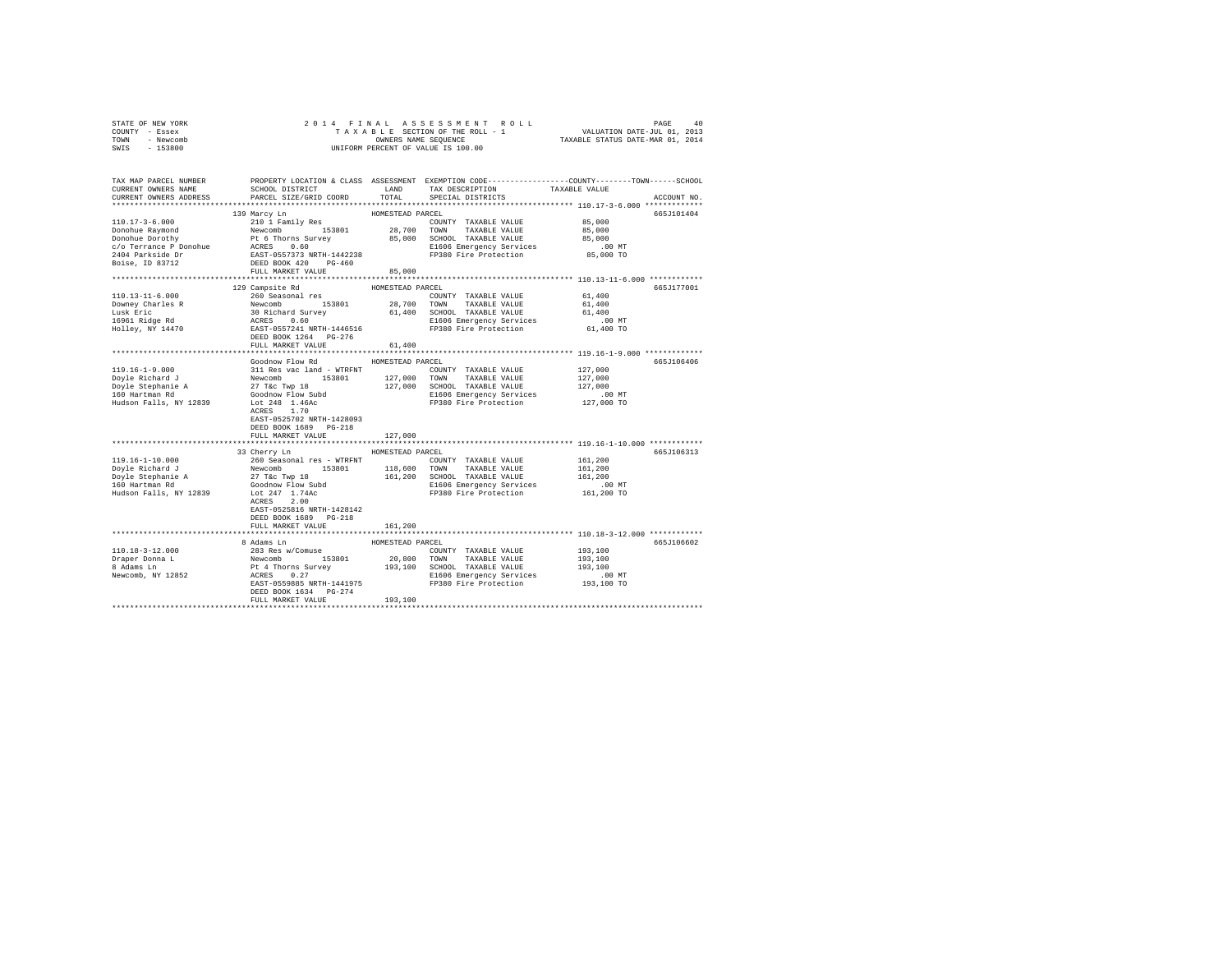| STATE OF NEW YORK                                      |                                                                                                                                                                                                                                       |                  |                                                            |                      |             |
|--------------------------------------------------------|---------------------------------------------------------------------------------------------------------------------------------------------------------------------------------------------------------------------------------------|------------------|------------------------------------------------------------|----------------------|-------------|
| COUNTY - Essex                                         |                                                                                                                                                                                                                                       |                  |                                                            |                      |             |
| TOWN - Newcomb                                         |                                                                                                                                                                                                                                       |                  |                                                            |                      |             |
| SWIS - 153800                                          |                                                                                                                                                                                                                                       |                  |                                                            |                      |             |
|                                                        |                                                                                                                                                                                                                                       |                  |                                                            |                      |             |
|                                                        |                                                                                                                                                                                                                                       |                  |                                                            |                      |             |
|                                                        | TAX MAP PARCEL NUMBER THE PROPERTY LOCATION & CLASS ASSESSMENT EXEMPTION CODE--------------COUNTY-------TOWN------SCHOOL                                                                                                              |                  |                                                            |                      |             |
| CURRENT OWNERS NAME                                    | SCHOOL DISTRICT                                                                                                                                                                                                                       | LAND             | TAX DESCRIPTION TAXABLE VALUE                              |                      |             |
| CURRENT OWNERS ADDRESS                                 | PARCEL SIZE/GRID COORD                                                                                                                                                                                                                | TOTAL            | SPECIAL DISTRICTS                                          |                      | ACCOUNT NO. |
|                                                        |                                                                                                                                                                                                                                       |                  |                                                            |                      |             |
|                                                        | 139 Marcy Ln                                                                                                                                                                                                                          | HOMESTEAD PARCEL |                                                            |                      | 665J101404  |
|                                                        |                                                                                                                                                                                                                                       |                  | COUNTY TAXABLE VALUE 85,000                                |                      |             |
|                                                        |                                                                                                                                                                                                                                       |                  |                                                            | 85,000               |             |
|                                                        |                                                                                                                                                                                                                                       |                  |                                                            | 85,000               |             |
|                                                        |                                                                                                                                                                                                                                       |                  |                                                            | 00 MT.<br>85,000 TO  |             |
|                                                        |                                                                                                                                                                                                                                       |                  |                                                            |                      |             |
|                                                        |                                                                                                                                                                                                                                       |                  |                                                            |                      |             |
|                                                        |                                                                                                                                                                                                                                       |                  |                                                            |                      |             |
|                                                        |                                                                                                                                                                                                                                       |                  |                                                            |                      |             |
|                                                        | 129 Campsite Rd                                                                                                                                                                                                                       | HOMESTEAD PARCEL |                                                            |                      | 665J177001  |
|                                                        |                                                                                                                                                                                                                                       |                  |                                                            | 61,400               |             |
|                                                        |                                                                                                                                                                                                                                       |                  |                                                            | 61,400               |             |
|                                                        |                                                                                                                                                                                                                                       |                  |                                                            | 61,400               |             |
|                                                        |                                                                                                                                                                                                                                       |                  |                                                            | .00 MT               |             |
|                                                        |                                                                                                                                                                                                                                       |                  |                                                            | 61,400 TO            |             |
|                                                        |                                                                                                                                                                                                                                       |                  |                                                            |                      |             |
|                                                        | FULL MARKET VALUE                                                                                                                                                                                                                     | 61,400           |                                                            |                      |             |
|                                                        |                                                                                                                                                                                                                                       |                  |                                                            |                      |             |
|                                                        | Goodnow Flow Rd                                                                                                                                                                                                                       | HOMESTEAD PARCEL |                                                            |                      | 665J106406  |
|                                                        |                                                                                                                                                                                                                                       |                  |                                                            |                      |             |
|                                                        |                                                                                                                                                                                                                                       |                  |                                                            |                      |             |
|                                                        |                                                                                                                                                                                                                                       |                  |                                                            |                      |             |
|                                                        |                                                                                                                                                                                                                                       |                  |                                                            |                      |             |
|                                                        |                                                                                                                                                                                                                                       |                  |                                                            |                      |             |
|                                                        | ACRES 1.70                                                                                                                                                                                                                            |                  |                                                            |                      |             |
|                                                        | EAST-0525702 NRTH-1428093                                                                                                                                                                                                             |                  |                                                            |                      |             |
|                                                        | DEED BOOK 1689 PG-218                                                                                                                                                                                                                 |                  |                                                            |                      |             |
|                                                        | FULL MARKET VALUE                                                                                                                                                                                                                     | 127,000          |                                                            |                      |             |
|                                                        |                                                                                                                                                                                                                                       |                  | ***************************** 119.16-1-10.000 ************ |                      |             |
|                                                        | 33 Cherry Ln                                                                                                                                                                                                                          | HOMESTEAD PARCEL |                                                            |                      | 665J106313  |
| 119.16-1-10.000                                        |                                                                                                                                                                                                                                       |                  |                                                            | 161,200              |             |
|                                                        |                                                                                                                                                                                                                                       |                  |                                                            | 161,200              |             |
|                                                        |                                                                                                                                                                                                                                       |                  |                                                            | 161,200              |             |
| Doyle Richard J<br>Doyle Stephanie A<br>160 Hartman Rd |                                                                                                                                                                                                                                       |                  |                                                            | .00 MT               |             |
| Hudson Falls, NY 12839                                 |                                                                                                                                                                                                                                       |                  |                                                            | 161,200 TO           |             |
|                                                        | ACRES 2.00                                                                                                                                                                                                                            |                  |                                                            |                      |             |
|                                                        | EAST-0525816 NRTH-1428142                                                                                                                                                                                                             |                  |                                                            |                      |             |
|                                                        | DEED BOOK 1689 PG-218                                                                                                                                                                                                                 |                  |                                                            |                      |             |
|                                                        | FULL MARKET VALUE                                                                                                                                                                                                                     | 161,200          |                                                            |                      |             |
|                                                        |                                                                                                                                                                                                                                       |                  |                                                            |                      |             |
|                                                        | 8 Adams Ln                                                                                                                                                                                                                            | HOMESTEAD PARCEL |                                                            |                      | 665J106602  |
| 110.18-3-12.000                                        | 8 Adms In HOMESTEAD PARCEL COUNTY TAXABLE VALUE<br>18 Res w/Comuse 153801 20,800 TOWN TAXABLE VALUE<br>Pt 4 Thorns Survey 193,100 SCROD TAXABLE VALUE<br>RCRES 0.27 2010 SCROD TAXABLE VALUE<br>RCRES 0.27 2010 FIRE PROPERTY SETTING |                  |                                                            | 193,100              |             |
|                                                        |                                                                                                                                                                                                                                       |                  |                                                            | 193,100              |             |
| Draper Donna L<br>8 Adams Ln                           |                                                                                                                                                                                                                                       |                  |                                                            | 193,100              |             |
| Newcomb, NY 12852                                      |                                                                                                                                                                                                                                       |                  |                                                            |                      |             |
|                                                        |                                                                                                                                                                                                                                       |                  |                                                            | 00 MT.<br>193,100 TO |             |
|                                                        | DEED BOOK 1634 PG-274                                                                                                                                                                                                                 |                  |                                                            |                      |             |
|                                                        | FULL MARKET VALUE                                                                                                                                                                                                                     | 193,100          |                                                            |                      |             |
|                                                        |                                                                                                                                                                                                                                       |                  |                                                            |                      |             |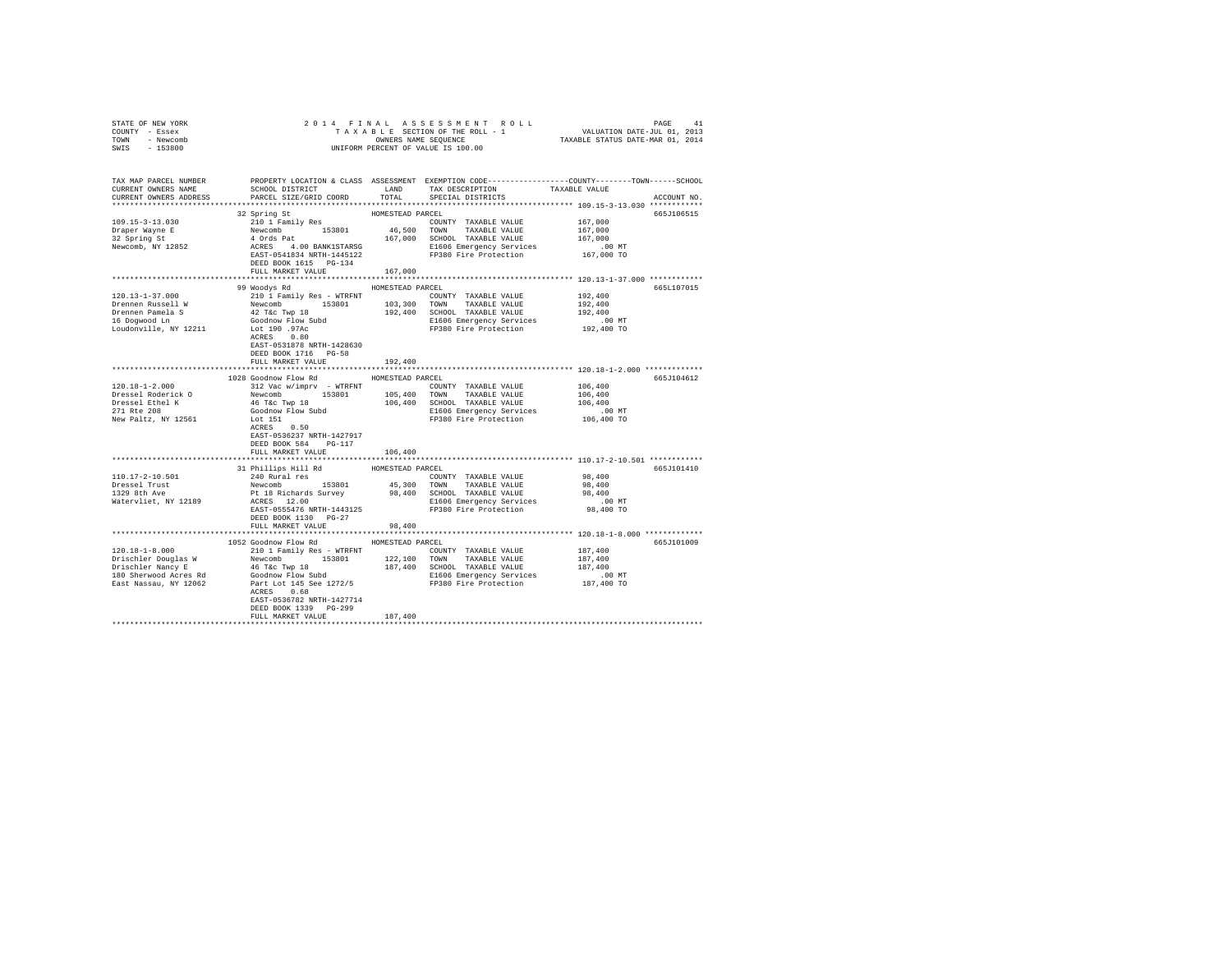| STATE OF NEW YORK<br>COUNTY - Essex<br>TOWN - Newcomb<br>SWIS - 153800                                                                                                                                                                                                                            |                                                                                                                                                                                                                                                                                                                                                                                      |                  |                         |               |             |
|---------------------------------------------------------------------------------------------------------------------------------------------------------------------------------------------------------------------------------------------------------------------------------------------------|--------------------------------------------------------------------------------------------------------------------------------------------------------------------------------------------------------------------------------------------------------------------------------------------------------------------------------------------------------------------------------------|------------------|-------------------------|---------------|-------------|
|                                                                                                                                                                                                                                                                                                   |                                                                                                                                                                                                                                                                                                                                                                                      |                  |                         |               |             |
| TAX MAP PARCEL NUMBER PROPERTY LOCATION & CLASS ASSESSMENT EXEMPTION CODE----------------COUNTY-------TOWN-----SCHOOL<br>CURRENT OWNERS NAME                                                                                                                                                      | SCHOOL DISTRICT                                                                                                                                                                                                                                                                                                                                                                      |                  | LAND TAX DESCRIPTION    | TAXABLE VALUE |             |
| CURRENT OWNERS ADDRESS                                                                                                                                                                                                                                                                            | PARCEL SIZE/GRID COORD                                                                                                                                                                                                                                                                                                                                                               |                  | TOTAL SPECIAL DISTRICTS |               | ACCOUNT NO. |
|                                                                                                                                                                                                                                                                                                   | 32 Spring St                                                                                                                                                                                                                                                                                                                                                                         | HOMESTEAD PARCEL |                         |               | 665J106515  |
| 109.15-3-13.030                                                                                                                                                                                                                                                                                   |                                                                                                                                                                                                                                                                                                                                                                                      |                  |                         | 167,000       |             |
|                                                                                                                                                                                                                                                                                                   |                                                                                                                                                                                                                                                                                                                                                                                      |                  |                         | 167,000       |             |
|                                                                                                                                                                                                                                                                                                   |                                                                                                                                                                                                                                                                                                                                                                                      |                  |                         | 167,000       |             |
| Draper Wayne E<br>32 Spring St<br>Newcomb, NY 12852                                                                                                                                                                                                                                               |                                                                                                                                                                                                                                                                                                                                                                                      |                  |                         | .00 MT        |             |
|                                                                                                                                                                                                                                                                                                   |                                                                                                                                                                                                                                                                                                                                                                                      |                  |                         | 167,000 TO    |             |
|                                                                                                                                                                                                                                                                                                   |                                                                                                                                                                                                                                                                                                                                                                                      |                  |                         |               |             |
|                                                                                                                                                                                                                                                                                                   |                                                                                                                                                                                                                                                                                                                                                                                      |                  |                         |               |             |
|                                                                                                                                                                                                                                                                                                   | 99 Woodys Rd HOMESTEAD PARCEL                                                                                                                                                                                                                                                                                                                                                        |                  |                         |               |             |
| 120.13-1-37.000                                                                                                                                                                                                                                                                                   |                                                                                                                                                                                                                                                                                                                                                                                      |                  |                         | 192,400       | 665L107015  |
| Drennen Russell W                                                                                                                                                                                                                                                                                 |                                                                                                                                                                                                                                                                                                                                                                                      |                  |                         | 192,400       |             |
|                                                                                                                                                                                                                                                                                                   |                                                                                                                                                                                                                                                                                                                                                                                      |                  |                         | 192,400       |             |
| Drennen Pamela S<br>16 Dogwood Ln                                                                                                                                                                                                                                                                 |                                                                                                                                                                                                                                                                                                                                                                                      |                  |                         | .00MT         |             |
| Loudonville, NY 12211                                                                                                                                                                                                                                                                             |                                                                                                                                                                                                                                                                                                                                                                                      |                  |                         | 192,400 TO    |             |
|                                                                                                                                                                                                                                                                                                   | ACRES 0.80                                                                                                                                                                                                                                                                                                                                                                           |                  |                         |               |             |
|                                                                                                                                                                                                                                                                                                   | EAST-0531878 NRTH-1428630                                                                                                                                                                                                                                                                                                                                                            |                  |                         |               |             |
|                                                                                                                                                                                                                                                                                                   | DEED BOOK 1716 PG-58                                                                                                                                                                                                                                                                                                                                                                 |                  |                         |               |             |
|                                                                                                                                                                                                                                                                                                   | FULL MARKET VALUE                                                                                                                                                                                                                                                                                                                                                                    | 192,400          |                         |               |             |
|                                                                                                                                                                                                                                                                                                   | 1028 Goodnow Flow Rd                                                                                                                                                                                                                                                                                                                                                                 | HOMESTEAD PARCEL |                         |               | 665J104612  |
| $120.18 - 1 - 2.000$                                                                                                                                                                                                                                                                              |                                                                                                                                                                                                                                                                                                                                                                                      |                  |                         |               |             |
| Dressel Roderick O                                                                                                                                                                                                                                                                                |                                                                                                                                                                                                                                                                                                                                                                                      |                  |                         |               |             |
| Dressel Ethel K                                                                                                                                                                                                                                                                                   |                                                                                                                                                                                                                                                                                                                                                                                      |                  |                         |               |             |
| 271 Rte 208                                                                                                                                                                                                                                                                                       |                                                                                                                                                                                                                                                                                                                                                                                      |                  |                         |               |             |
| New Paltz, NY 12561                                                                                                                                                                                                                                                                               | $\begin{tabular}{lcccccc} 1028\t 9000 \text{m} & 1000 \text{m} & 1000 \text{m} & 1000 \text{m} & 1000 \text{m} & 1000 \text{m} \\ 312\t 320\t 100\t 153801 & 105,400 & T0NN & TAXABLE VALUE & 106,400 \text{N} \\ 46\t 76\t 760\t 760\t 153801 & 106,400 & 5000 \text{m} & 106,400 \text{N} \\ 46\t 76\t 760\t 760\t 76$                                                             |                  |                         |               |             |
|                                                                                                                                                                                                                                                                                                   | ACRES 0.50                                                                                                                                                                                                                                                                                                                                                                           |                  |                         |               |             |
|                                                                                                                                                                                                                                                                                                   | EAST-0536237 NRTH-1427917                                                                                                                                                                                                                                                                                                                                                            |                  |                         |               |             |
|                                                                                                                                                                                                                                                                                                   | DEED BOOK 584 PG-117                                                                                                                                                                                                                                                                                                                                                                 |                  |                         |               |             |
|                                                                                                                                                                                                                                                                                                   | FULL MARKET VALUE                                                                                                                                                                                                                                                                                                                                                                    | 106,400          |                         |               |             |
|                                                                                                                                                                                                                                                                                                   | 31 Phillips Hill Rd                                                                                                                                                                                                                                                                                                                                                                  | HOMESTEAD PARCEL |                         |               | 665J101410  |
| 110.17-2-10.501                                                                                                                                                                                                                                                                                   |                                                                                                                                                                                                                                                                                                                                                                                      |                  |                         |               |             |
|                                                                                                                                                                                                                                                                                                   |                                                                                                                                                                                                                                                                                                                                                                                      |                  |                         |               |             |
| Dressel Trust<br>1329 8th Ave                                                                                                                                                                                                                                                                     |                                                                                                                                                                                                                                                                                                                                                                                      |                  |                         |               |             |
| Watervliet, NY 12189                                                                                                                                                                                                                                                                              |                                                                                                                                                                                                                                                                                                                                                                                      |                  |                         |               |             |
|                                                                                                                                                                                                                                                                                                   | $\begin{tabular}{lcccccc} 31 P1111p9 & \texttt{min} & \texttt{0.00INT} & \texttt{YAKABLB} & \texttt{value} & \texttt{0.000} \\ 240 Rural res & 153801 & 45,300 & \texttt{TONN} & \texttt{TXAABLE} & \texttt{VALUE} & 98,400 \\ 15200 & 153801 & 45,300 & \texttt{SCHODL} & \texttt{TXAABLE} & \texttt{VALUE} & 98,400 \\ 2410 & \texttt{P1 B} & \texttt{Richards Survey} & 98,400 &$ |                  |                         |               |             |
|                                                                                                                                                                                                                                                                                                   |                                                                                                                                                                                                                                                                                                                                                                                      |                  |                         |               |             |
|                                                                                                                                                                                                                                                                                                   | FULL MARKET VALUE                                                                                                                                                                                                                                                                                                                                                                    | 98,400           |                         |               |             |
|                                                                                                                                                                                                                                                                                                   |                                                                                                                                                                                                                                                                                                                                                                                      |                  |                         |               | 665J101009  |
|                                                                                                                                                                                                                                                                                                   | 1052 Goodnow Flow Rd MOMESTEAD PARCEL                                                                                                                                                                                                                                                                                                                                                |                  |                         |               |             |
| $\begin{tabular}{l c c c c c} \hline 120.18-1-8.000 & 20000mm & 2000mm & 2000mm & 2000mm & 2000mm & 2000mm & 2000mm & 2000mm & 2000mm & 2000mm & 2000mm & 2000mm & 2000mm & 2000mm & 2000mm & 2000mm & 2000mm & 2000mm & 2000mm & 2000mm & 2000mm & 2000mm & 2000mm & 2000mm & 2000mm & 2000mm &$ |                                                                                                                                                                                                                                                                                                                                                                                      |                  |                         |               |             |
|                                                                                                                                                                                                                                                                                                   |                                                                                                                                                                                                                                                                                                                                                                                      |                  |                         |               |             |
|                                                                                                                                                                                                                                                                                                   |                                                                                                                                                                                                                                                                                                                                                                                      |                  |                         |               |             |
|                                                                                                                                                                                                                                                                                                   |                                                                                                                                                                                                                                                                                                                                                                                      |                  |                         |               |             |
|                                                                                                                                                                                                                                                                                                   | ACRES 0.68                                                                                                                                                                                                                                                                                                                                                                           |                  |                         |               |             |
|                                                                                                                                                                                                                                                                                                   | EAST-0536782 NRTH-1427714                                                                                                                                                                                                                                                                                                                                                            |                  |                         |               |             |
|                                                                                                                                                                                                                                                                                                   | DEED BOOK 1339 PG-299                                                                                                                                                                                                                                                                                                                                                                |                  |                         |               |             |
|                                                                                                                                                                                                                                                                                                   | FULL MARKET VALUE                                                                                                                                                                                                                                                                                                                                                                    | 187,400          |                         |               |             |
|                                                                                                                                                                                                                                                                                                   |                                                                                                                                                                                                                                                                                                                                                                                      |                  |                         |               |             |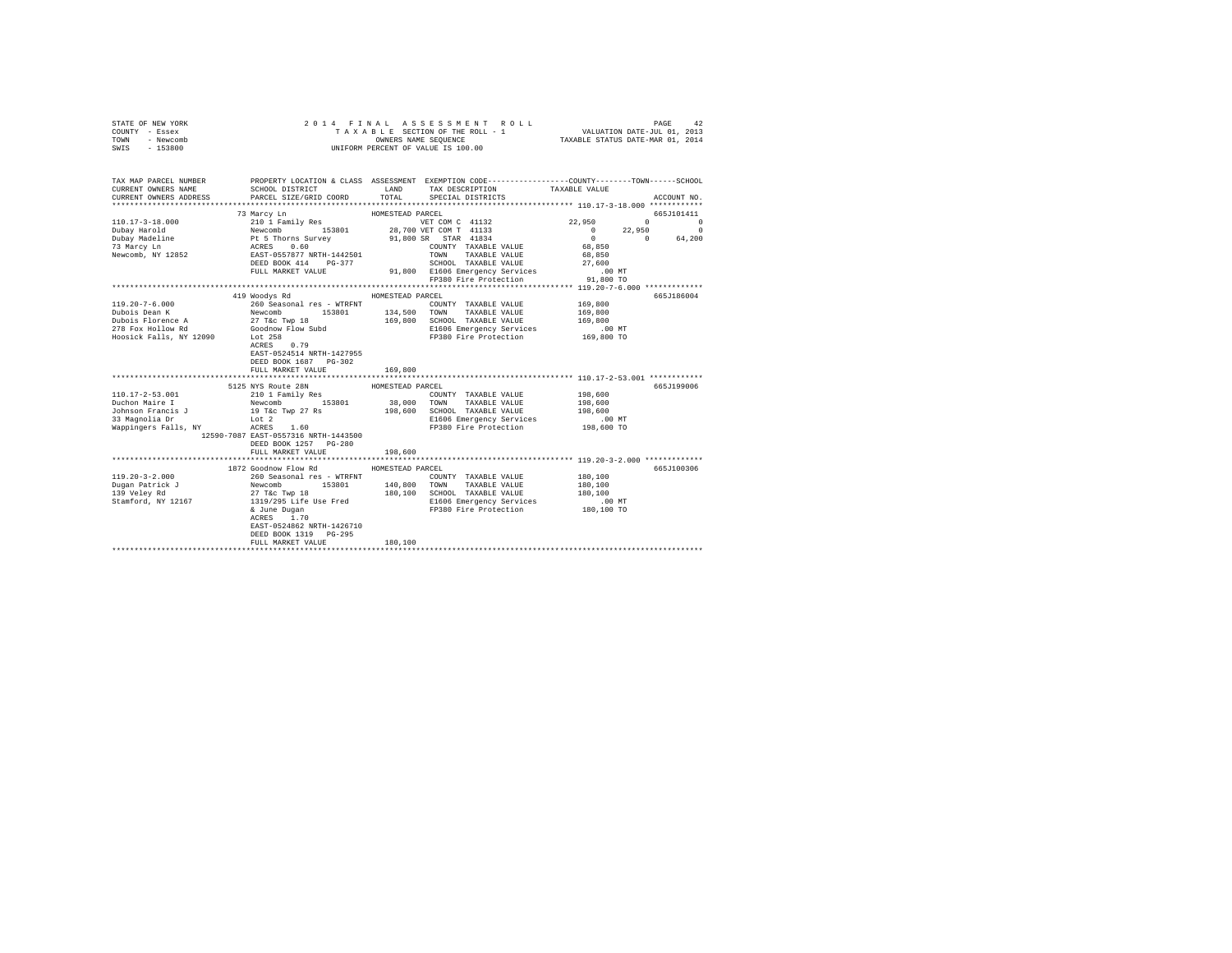| STATE OF NEW YORK<br>COUNTY - Essex<br>TOWN<br>- Newcomb<br>$-153800$<br>SWIS                                                                                                                                                                                                                                                                                                                                                                          |                                                                                              |                  | 2014 FINAL ASSESSMENT ROLL<br>TAXABLE SECTION OF THE ROLL - 1<br>OWNERS NAME SEQUENCE<br>UNIFORM PERCENT OF VALUE IS 100.00 | VALUATION DATE-JUL 01, 2013<br>TAXABLE STATUS DATE-MAR 01, 2014 | PAGE<br>42             |
|--------------------------------------------------------------------------------------------------------------------------------------------------------------------------------------------------------------------------------------------------------------------------------------------------------------------------------------------------------------------------------------------------------------------------------------------------------|----------------------------------------------------------------------------------------------|------------------|-----------------------------------------------------------------------------------------------------------------------------|-----------------------------------------------------------------|------------------------|
| TAX MAP PARCEL NUMBER<br>CURRENT OWNERS NAME<br>CURRENT OWNERS ADDRESS                                                                                                                                                                                                                                                                                                                                                                                 | SCHOOL DISTRICT TAND TAX DESCRIPTION<br>PARCEL SIZE/GRID COORD TOTAL SPECIAL DISTRICTS       |                  | PROPERTY LOCATION & CLASS ASSESSMENT EXEMPTION CODE-----------------COUNTY-------TOWN-----SCHOOL                            | TAXABLE VALUE                                                   | ACCOUNT NO.            |
| $\begin{tabular}{c c c c} \multicolumn{1}{c}{\textbf{110.17-3--18.000}} & \multicolumn{1}{c}{\textbf{210.1 ramily Res}} & \multicolumn{1}{c}{\textbf{HOMESTEAD PACE}} & \multicolumn{1}{c}{\textbf{210.1 ramily Res}} & \multicolumn{1}{c}{\textbf{WOMC}} & \multicolumn{1}{c}{\textbf{WCM C 41132}} \\ \textbf{Dubay Harold} & \multicolumn{1}{c}{\textbf{Newcomb}} & \multicolumn{1}{c}{\textbf{210.1 ramily Res}} & \multicolumn{1}{c}{\textbf{WOM$ | 73 Marcy Ln                                                                                  | HOMESTEAD PARCEL | VET COM C 41132 22,950                                                                                                      | $\Omega$                                                        | 665J101411             |
|                                                                                                                                                                                                                                                                                                                                                                                                                                                        |                                                                                              |                  |                                                                                                                             | 22,950<br>$\sim$ 0                                              | $\Omega$<br>$^{\circ}$ |
|                                                                                                                                                                                                                                                                                                                                                                                                                                                        |                                                                                              |                  |                                                                                                                             | $\overline{0}$ $\overline{0}$ $\overline{0}$                    | 64,200                 |
|                                                                                                                                                                                                                                                                                                                                                                                                                                                        |                                                                                              |                  | COUNTY TAXABLE VALUE                                                                                                        | 68,850                                                          |                        |
|                                                                                                                                                                                                                                                                                                                                                                                                                                                        |                                                                                              |                  | TAXABLE VALUE                                                                                                               | 68,850                                                          |                        |
|                                                                                                                                                                                                                                                                                                                                                                                                                                                        |                                                                                              |                  | SCHOOL TAXABLE VALUE                                                                                                        | 27,600                                                          |                        |
|                                                                                                                                                                                                                                                                                                                                                                                                                                                        | FULL MARKET VALUE                                                                            |                  | 91,800 E1606 Emergency Services<br>FP380 Fire Protection                                                                    | .00 MT<br><br>91,800 то                                         |                        |
|                                                                                                                                                                                                                                                                                                                                                                                                                                                        |                                                                                              |                  |                                                                                                                             |                                                                 |                        |
|                                                                                                                                                                                                                                                                                                                                                                                                                                                        | 419 Woodys Rd                                                                                | HOMESTEAD PARCEL |                                                                                                                             |                                                                 | 665J186004             |
| $119.20 - 7 - 6.000$                                                                                                                                                                                                                                                                                                                                                                                                                                   |                                                                                              |                  | COUNTY TAXABLE VALUE                                                                                                        | 169,800                                                         |                        |
| Dubois Dean K<br>Dubois Florence A                                                                                                                                                                                                                                                                                                                                                                                                                     |                                                                                              | 134,500          | TOWN<br>TAXABLE VALUE                                                                                                       | 169,800                                                         |                        |
| 278 Fox Hollow Rd                                                                                                                                                                                                                                                                                                                                                                                                                                      |                                                                                              |                  | 169,800 SCHOOL TAXABLE VALUE                                                                                                | 169,800                                                         |                        |
| Hoosick Falls, NY 12090 Lot 258                                                                                                                                                                                                                                                                                                                                                                                                                        | 260 Seasonal res - WTRFNT<br>Newcomb 153801<br>27 T&c Twp 18<br>Goodnow Flow Subd<br>Lot 258 |                  | E1606 Emergency Services .00 MT<br>FP380 Fire Protection .09,800 TO                                                         |                                                                 |                        |
|                                                                                                                                                                                                                                                                                                                                                                                                                                                        | $ACRES$ 0.79<br>EAST-0524514 NRTH-1427955<br>DEED BOOK 1687 PG-302                           |                  |                                                                                                                             |                                                                 |                        |
|                                                                                                                                                                                                                                                                                                                                                                                                                                                        | FULL MARKET VALUE                                                                            | 169,800          |                                                                                                                             |                                                                 |                        |
|                                                                                                                                                                                                                                                                                                                                                                                                                                                        |                                                                                              |                  |                                                                                                                             |                                                                 |                        |
|                                                                                                                                                                                                                                                                                                                                                                                                                                                        | 5125 NYS Route 28N                                                                           | HOMESTEAD PARCEL |                                                                                                                             |                                                                 | 665J199006             |
| $110.17 - 2 - 53.001$                                                                                                                                                                                                                                                                                                                                                                                                                                  | 210 1 Family Res<br>Newcomb 153801                                                           |                  | COUNTY TAXABLE VALUE<br>38,000 TOWN TAXABLE VALUE                                                                           | 198,600<br>198,600                                              |                        |
| Duchon Maire 1<br>Johnson Francis J                                                                                                                                                                                                                                                                                                                                                                                                                    | 19 T&c Twp 27 Rs                                                                             | 198,600          | SCHOOL TAXABLE VALUE                                                                                                        | 198,600                                                         |                        |
|                                                                                                                                                                                                                                                                                                                                                                                                                                                        | $_{\text{Lot}}$ 2                                                                            |                  | E1606 Emergency Services                                                                                                    | $.00$ MT                                                        |                        |
|                                                                                                                                                                                                                                                                                                                                                                                                                                                        |                                                                                              |                  | FP380 Fire Protection                                                                                                       | 198,600 TO                                                      |                        |
|                                                                                                                                                                                                                                                                                                                                                                                                                                                        | 12590-7087 EAST-0557316 NRTH-1443500<br>DEED BOOK 1257 PG-280<br>FULL MARKET VALUE           | 198,600          |                                                                                                                             |                                                                 |                        |
|                                                                                                                                                                                                                                                                                                                                                                                                                                                        |                                                                                              |                  |                                                                                                                             |                                                                 |                        |
|                                                                                                                                                                                                                                                                                                                                                                                                                                                        | 1872 Goodnow Flow Rd                                                                         | HOMESTEAD PARCEL |                                                                                                                             |                                                                 | 665J100306             |
| $119.20 - 3 - 2.000$                                                                                                                                                                                                                                                                                                                                                                                                                                   |                                                                                              |                  | COUNTY TAXABLE VALUE                                                                                                        | 180,100                                                         |                        |
| Dugan Patrick J<br>139 Veley Rd                                                                                                                                                                                                                                                                                                                                                                                                                        | 260 Seasonal res - WTRFNT<br>Newcomb 153801<br>27 T&c Twp 18<br>1319/295 Life Use Fred       | 140,800          | TOWN TAXABLE VALUE<br>180.100 SCHOOL TAXABLE VALUE                                                                          | 180,100<br>180,100                                              |                        |
| Stamford, NY 12167                                                                                                                                                                                                                                                                                                                                                                                                                                     |                                                                                              |                  | E1606 Emergency Services                                                                                                    | $.00$ MT                                                        |                        |
|                                                                                                                                                                                                                                                                                                                                                                                                                                                        | & June Dugan<br>ACRES 1.70<br>EAST-0524862 NRTH-1426710                                      |                  | FP380 Fire Protection 180,100 TO                                                                                            |                                                                 |                        |
|                                                                                                                                                                                                                                                                                                                                                                                                                                                        | DEED BOOK 1319 PG-295                                                                        |                  |                                                                                                                             |                                                                 |                        |
|                                                                                                                                                                                                                                                                                                                                                                                                                                                        | FULL MARKET VALUE                                                                            | 180,100          |                                                                                                                             |                                                                 |                        |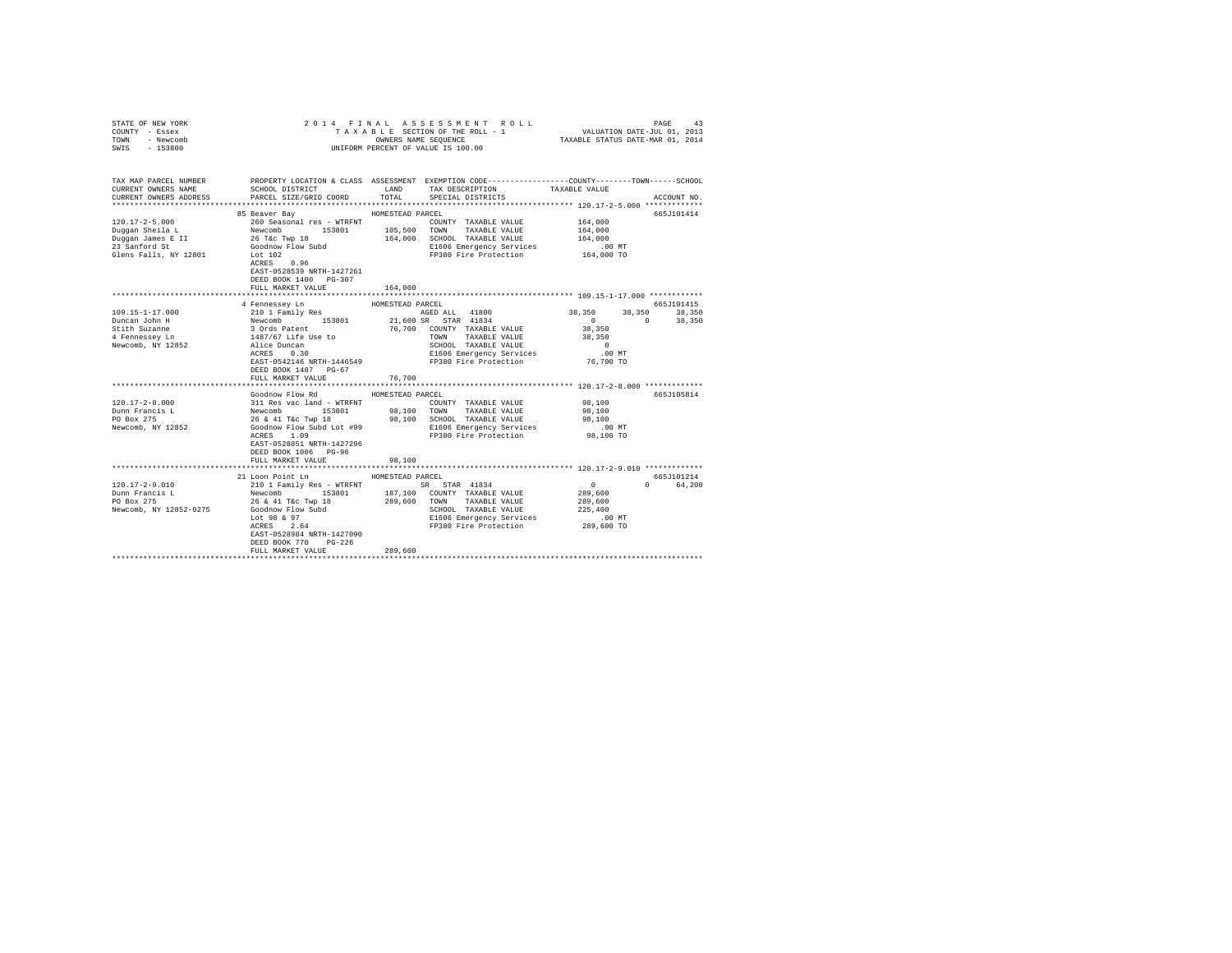| STATE OF NEW YORK<br>COUNTY - Essex<br>TOWN - Newcomb<br>SWIS - 153800                                                                                                        |                                                                                                                                                                                                    |                  | UNIFORM PERCENT OF VALUE IS 100.00                                                                                                                                                                                            |                                         |             |
|-------------------------------------------------------------------------------------------------------------------------------------------------------------------------------|----------------------------------------------------------------------------------------------------------------------------------------------------------------------------------------------------|------------------|-------------------------------------------------------------------------------------------------------------------------------------------------------------------------------------------------------------------------------|-----------------------------------------|-------------|
| TAX MAP PARCEL NUMBER<br>CURRENT OWNERS NAME<br>CURRENT OWNERS ADDRESS                                                                                                        | SCHOOL DISTRICT<br>PARCEL SIZE/GRID COORD                                                                                                                                                          | LAND<br>TOTAL    | PROPERTY LOCATION & CLASS ASSESSMENT EXEMPTION CODE---------------COUNTY-------TOWN------SCHOOL<br>TAX DESCRIPTION<br>SPECIAL DISTRICTS                                                                                       | TAXABLE VALUE                           | ACCOUNT NO. |
|                                                                                                                                                                               |                                                                                                                                                                                                    |                  |                                                                                                                                                                                                                               |                                         |             |
|                                                                                                                                                                               | 85 Beaver Bay                                                                                                                                                                                      | HOMESTEAD PARCEL |                                                                                                                                                                                                                               |                                         | 665J101414  |
| 120.17-2-5.000<br>Duqqan Sheila L<br>Duggan James E II<br>23 Sanford St<br>23 Sanford St                                                                                      | 260 Seasonal res - WTRFNT<br>Newcomb 153801 105,500 TOWN TAXABLE VALUE<br>26 Tic Twp 18 164,000 SCHOOL TAXABLE VALUE<br>Goodnow Flow Subd 164,000 SCHOOL TAXABLE VALUE<br>El606 Emergency Services |                  | COUNTY TAXABLE VALUE<br>164,000 SCHOOL TAXABLE VALUE<br>E1606 Emergency Services                                                                                                                                              | 164,000<br>164,000<br>164,000<br>.00 MT |             |
| Glens Falls, NY 12801                                                                                                                                                         | Let 102<br>ACRES 0.96<br>EAST-0528539 NRTH-1427261<br>DEED BOOK 1400 PG-307<br>FULL MARKET VALUE                                                                                                   | 164,000          | FP380 Fire Protection                                                                                                                                                                                                         | 164,000 TO                              |             |
|                                                                                                                                                                               |                                                                                                                                                                                                    |                  |                                                                                                                                                                                                                               |                                         |             |
|                                                                                                                                                                               | 4 Fennessey Ln                                                                                                                                                                                     | HOMESTEAD PARCEL |                                                                                                                                                                                                                               |                                         | 665J101415  |
| 109.15-1-17.000<br>2010 1 Family Res<br>2010 1 Family Res<br>30rds Patent 30rds Patent<br>4 Fennessey Ln 1487/67 Life Use to<br>Newcomb, NV 12857<br>2021 1487/67 Life Use to |                                                                                                                                                                                                    |                  | AGED ALL 41800 38,350 38,350 38,350                                                                                                                                                                                           |                                         |             |
|                                                                                                                                                                               |                                                                                                                                                                                                    |                  | 21,600 SR STAR 41834                                                                                                                                                                                                          | 0 0 38,350                              |             |
|                                                                                                                                                                               |                                                                                                                                                                                                    |                  | 76,700 COUNTY TAXABLE VALUE                                                                                                                                                                                                   | 38,350                                  |             |
|                                                                                                                                                                               |                                                                                                                                                                                                    |                  | TOWN TAXABLE VALUE                                                                                                                                                                                                            | 38,350                                  |             |
| Newcomb, NY 12852                                                                                                                                                             | Alice Duncan<br>ACRES 0.30                                                                                                                                                                         |                  | SCHOOL TAXABLE VALUE<br>E1606 Emergency Services                                                                                                                                                                              | $\sim$ 0<br>.00 MT                      |             |
|                                                                                                                                                                               | EAST-0542146 NRTH-1446549                                                                                                                                                                          |                  | FP380 Fire Protection                                                                                                                                                                                                         | 76,700 TO                               |             |
|                                                                                                                                                                               | DEED BOOK 1487 PG-67                                                                                                                                                                               |                  |                                                                                                                                                                                                                               |                                         |             |
|                                                                                                                                                                               | FULL MARKET VALUE                                                                                                                                                                                  | 76,700           |                                                                                                                                                                                                                               |                                         |             |
|                                                                                                                                                                               |                                                                                                                                                                                                    |                  |                                                                                                                                                                                                                               |                                         |             |
|                                                                                                                                                                               | Goodnow Flow Rd                                                                                                                                                                                    | HOMESTEAD PARCEL |                                                                                                                                                                                                                               |                                         | 665J105814  |
| $120.17 - 2 - 8.000$                                                                                                                                                          |                                                                                                                                                                                                    |                  |                                                                                                                                                                                                                               | 98,100                                  |             |
| Dunn Francis L                                                                                                                                                                |                                                                                                                                                                                                    |                  |                                                                                                                                                                                                                               | 98,100                                  |             |
| PO Box 275                                                                                                                                                                    |                                                                                                                                                                                                    |                  |                                                                                                                                                                                                                               | 98,100                                  |             |
| Newcomb, NY 12852                                                                                                                                                             |                                                                                                                                                                                                    |                  | SOURCE THE SALE AND THE SALE OF THE SALE AND MANUS IN THE SALE OF THE SALE OF THE SALE OF THE SALE OF THE SALE OF THE SALE OF THE SALE OF THE SALE OF THE SALE OF THE SALE OF THE SALE OF THE SALE OF THE SALE OF THE SALE OF | $.00$ MT                                |             |
|                                                                                                                                                                               | EAST-0528851 NRTH-1427296<br>DEED BOOK 1006 PG-96                                                                                                                                                  |                  |                                                                                                                                                                                                                               | 98,100 TO                               |             |
|                                                                                                                                                                               | FULL MARKET VALUE                                                                                                                                                                                  | 98,100           |                                                                                                                                                                                                                               |                                         |             |
|                                                                                                                                                                               | 21 Loon Point Ln                                                                                                                                                                                   | HOMESTEAD PARCEL |                                                                                                                                                                                                                               |                                         | 665J101214  |
| $120.17 - 2 - 9.010$                                                                                                                                                          | 210 1 Family Res - WTRFNT SR STAR 41834                                                                                                                                                            |                  |                                                                                                                                                                                                                               | $\sim$ 0                                | 0 64,200    |
| Dunn Francis L<br>PO Box 275                                                                                                                                                  | Newcomb 153801 187,100 COUNTY TAXABLE VALUE<br>26 & 41 T&C Twp 18 289,600 TOWN TAXABLE VALUE                                                                                                       |                  |                                                                                                                                                                                                                               | 289,600                                 |             |
|                                                                                                                                                                               |                                                                                                                                                                                                    |                  |                                                                                                                                                                                                                               | 289,600                                 |             |
| Newcomb, NY 12852-0275                                                                                                                                                        | Goodnow Flow Subd<br>Lot 98 & 97<br>ACRES 2.64                                                                                                                                                     |                  | SCHOOL TAXABLE VALUE<br>E1606 Emergency Services                                                                                                                                                                              | 225,400                                 |             |
|                                                                                                                                                                               |                                                                                                                                                                                                    |                  | E1606 Emergency Services                                                                                                                                                                                                      | 00 MT.<br>289,600 TO                    |             |
|                                                                                                                                                                               |                                                                                                                                                                                                    |                  | FP380 Fire Protection                                                                                                                                                                                                         |                                         |             |
|                                                                                                                                                                               | EAST-0528984 NRTH-1427090                                                                                                                                                                          |                  |                                                                                                                                                                                                                               |                                         |             |
|                                                                                                                                                                               | DEED BOOK 770 PG-226<br>FULL MARKET VALUE                                                                                                                                                          | 289,600          |                                                                                                                                                                                                                               |                                         |             |
|                                                                                                                                                                               |                                                                                                                                                                                                    |                  |                                                                                                                                                                                                                               |                                         |             |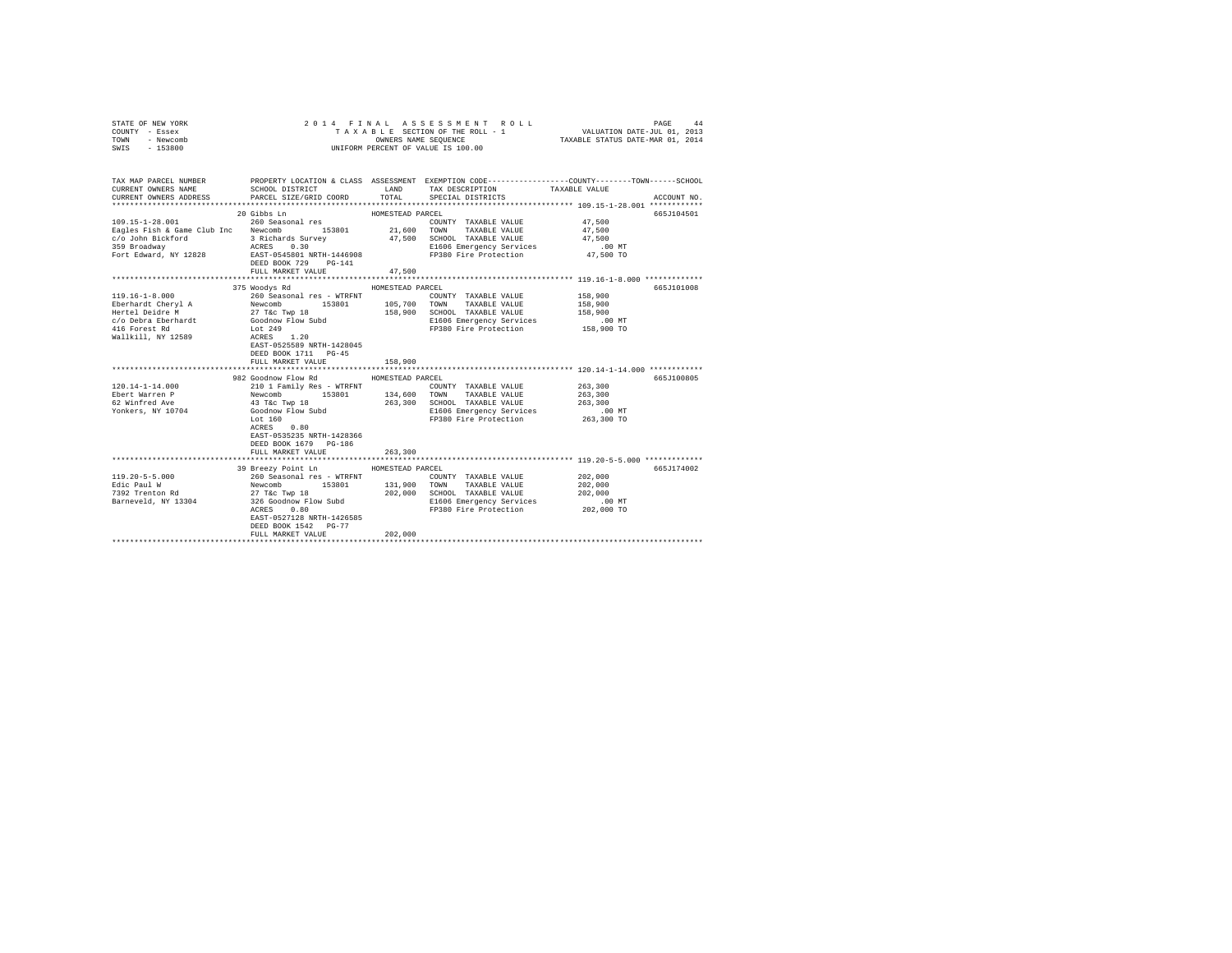| STATE OF NEW YORK<br>COUNTY - Essex<br>TOWN<br>- Newcomb<br>$-153800$<br>SWIS                                               |                                                                                                                                                                                                   | OWNERS NAME SEOUENCE                          | 2014 FINAL ASSESSMENT ROLL<br>TAXABLE SECTION OF THE ROLL - 1<br>UNIFORM PERCENT OF VALUE IS 100.00                                     | VALUATION DATE-JUL 01, 2013<br>TAXABLE STATUS DATE-MAR 01, 2014 | 44<br>PAGE  |
|-----------------------------------------------------------------------------------------------------------------------------|---------------------------------------------------------------------------------------------------------------------------------------------------------------------------------------------------|-----------------------------------------------|-----------------------------------------------------------------------------------------------------------------------------------------|-----------------------------------------------------------------|-------------|
| TAX MAP PARCEL NUMBER<br>CURRENT OWNERS NAME<br>CURRENT OWNERS ADDRESS                                                      | SCHOOL DISTRICT<br>PARCEL SIZE/GRID COORD                                                                                                                                                         | LAND<br>TOTAL                                 | PROPERTY LOCATION & CLASS ASSESSMENT EXEMPTION CODE---------------COUNTY-------TOWN------SCHOOL<br>TAX DESCRIPTION<br>SPECIAL DISTRICTS | TAXABLE VALUE                                                   | ACCOUNT NO. |
|                                                                                                                             |                                                                                                                                                                                                   |                                               |                                                                                                                                         |                                                                 |             |
| 109.15-1-28.001<br>Eagles Fish & Game Club Inc Newcomb 153801<br>c/o John Bickford<br>359 Broadway<br>Fort Edward, NY 12828 | 20 Gibbs Ln<br>260 Seasonal res<br>3 Richards Survey<br>ACRES 0.30<br>EAST-0545801 NRTH-1446908<br>DEED BOOK 729 PG-141                                                                           | HOMESTEAD PARCEL<br>21,600                    | COUNTY TAXABLE VALUE<br>TOWN<br>TAXABLE VALUE<br>47,500 SCHOOL TAXABLE VALUE<br>E1606 Emergency Services<br>FP380 Fire Protection       | 47.500<br>47.500<br>47.500<br>$.00$ MT<br>47,500 TO             | 665J104501  |
|                                                                                                                             | FULL MARKET VALUE                                                                                                                                                                                 | 47,500                                        |                                                                                                                                         |                                                                 |             |
| $119.16 - 1 - 8.000$<br>Eberhardt Cheryl A<br>Hertel Deidre M<br>c/o Debra Eberhardt<br>416 Forest Rd<br>Wallkill, NY 12589 | 375 Woodys Rd<br>260 Seasonal res - WTRFNT<br>Newcomb<br>153801<br>27 T&c Twp 18<br>Goodnow Flow Subd<br>Lot 249<br>ACRES 1.20<br>EAST-0525589 NRTH-1428045<br>DEED BOOK 1711 PG-45               | HOMESTEAD PARCEL<br>105,700<br>158,900        | COUNTY TAXABLE VALUE<br>TOWN<br>TAXABLE VALUE<br>SCHOOL TAXABLE VALUE<br>E1606 Emergency Services<br>FP380 Fire Protection              | 158,900<br>158,900<br>158,900<br>$.00$ MT<br>158,900 TO         | 665J101008  |
|                                                                                                                             | FULL MARKET VALUE                                                                                                                                                                                 | 158,900                                       |                                                                                                                                         |                                                                 |             |
| 120.14-1-14.000<br>Ebert Warren P<br>62 Winfred Ave<br>Yonkers, NY 10704                                                    | 982 Goodnow Flow Rd<br>210 1 Family Res - WTRFNT<br>Newcomb<br>153801<br>43 T&c Twp 18<br>Goodnow Flow Subd<br>Lot $160$<br>ACRES 0.80                                                            | HOMESTEAD PARCEL<br>134,600<br>263,300        | COUNTY TAXABLE VALUE<br>TOWN<br>TAXABLE VALUE<br>SCHOOL TAXABLE VALUE<br>E1606 Emergency Services<br>FP380 Fire Protection              | 263,300<br>263,300<br>263,300<br>$.00$ MT<br>263,300 TO         | 665J100805  |
|                                                                                                                             | EAST-0535235 NRTH-1428366<br>DEED BOOK 1679 PG-186<br>FULL MARKET VALUE<br>*************************<br>39 Breezy Point Ln                                                                        | 263,300<br>**************<br>HOMESTEAD PARCEL | ************************************ 119.20-5-5.000 *************                                                                       |                                                                 | 665J174002  |
| $119.20 - 5 - 5.000$<br>Edic Paul W<br>7392 Trenton Rd<br>Barneveld, NY 13304                                               | 260 Seasonal res - WTRFNT<br>Newcomb<br>153801<br>27 T&C Twp 18<br>326 Goodnow Flow Subd<br>ACRES 0.80<br>ACRES<br>0.80<br>EAST-0527128 NRTH-1426585<br>DEED BOOK 1542 PG-77<br>FULL MARKET VALUE | 131,900<br>202,000<br>202,000                 | COUNTY TAXABLE VALUE<br>TOWN<br>TAXABLE VALUE<br>SCHOOL TAXABLE VALUE<br>E1606 Emergency Services<br>FP380 Fire Protection              | 202,000<br>202,000<br>202,000<br>$.00$ MT<br>202,000 TO         |             |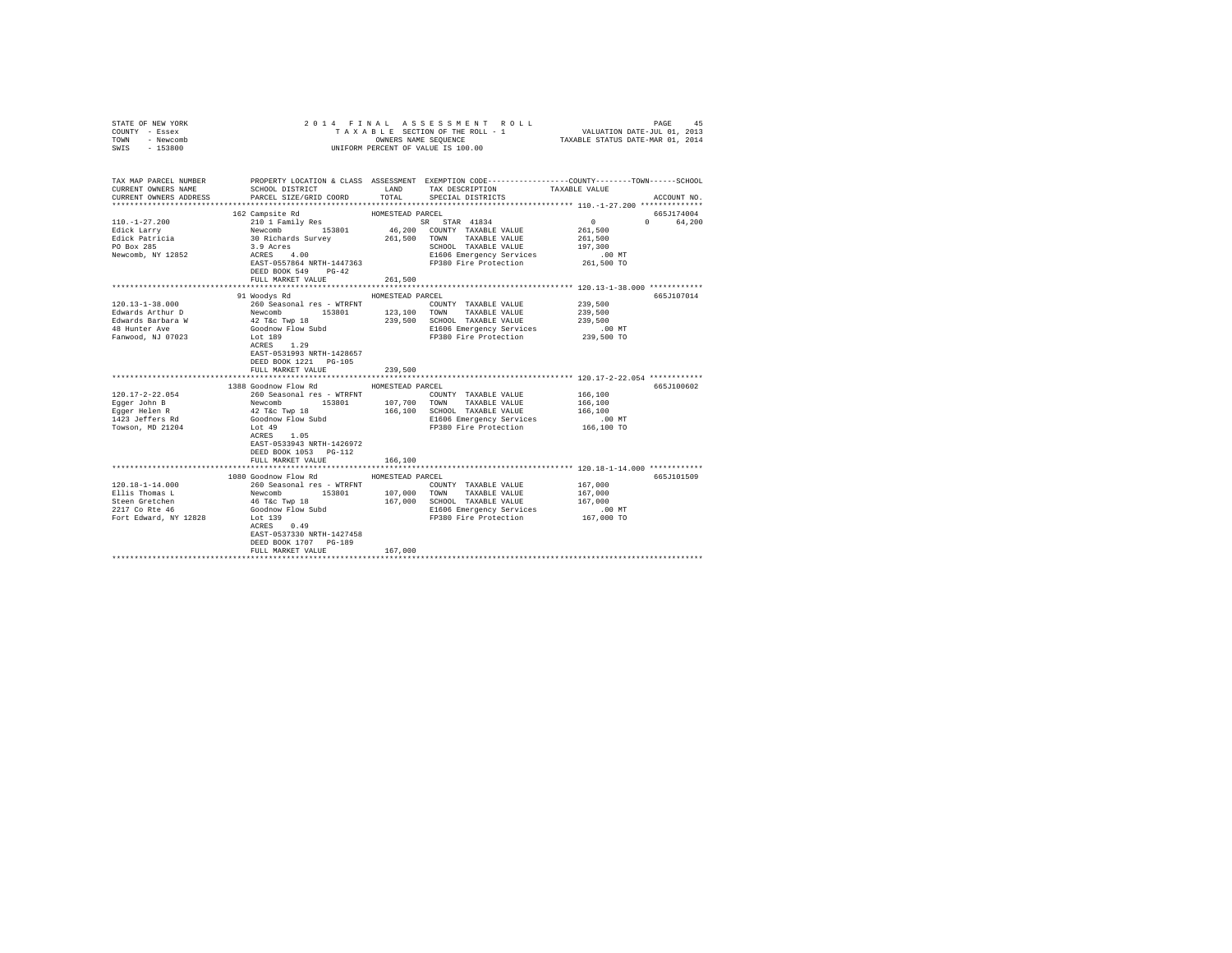| STATE OF NEW YORK<br>COUNTY - Essex<br>TOWN - Newcomb<br>SWIS - 153800                                                                                                                                | 2014 FINAL ASSESSMENT ROLL<br>PAGE<br>TAXABLE SECTION OF THE ROLL - 1<br>OWNERS NAME SEQUENCE TAXABLE STATUS DATE-JUL 01, 2013<br>UNIFORM PERCENT OF VALUE IS 100.00                                                                                                                                                                                                              |                                                                 |                                                                                                                                                                                                                                                                       |                                                                                                                    |                          |
|-------------------------------------------------------------------------------------------------------------------------------------------------------------------------------------------------------|-----------------------------------------------------------------------------------------------------------------------------------------------------------------------------------------------------------------------------------------------------------------------------------------------------------------------------------------------------------------------------------|-----------------------------------------------------------------|-----------------------------------------------------------------------------------------------------------------------------------------------------------------------------------------------------------------------------------------------------------------------|--------------------------------------------------------------------------------------------------------------------|--------------------------|
| TAX MAP PARCEL NUMBER<br>CURRENT OWNERS NAME<br>CURRENT OWNERS ADDRESS                                                                                                                                | SCHOOL DISTRICT<br>PARCEL SIZE/GRID COORD                                                                                                                                                                                                                                                                                                                                         | LAND<br>TOTAL                                                   | PROPERTY LOCATION & CLASS ASSESSMENT EXEMPTION CODE---------------COUNTY-------TOWN------SCHOOL<br>TAX DESCRIPTION<br>SPECIAL DISTRICTS                                                                                                                               | TAXABLE VALUE                                                                                                      | ACCOUNT NO.              |
|                                                                                                                                                                                                       | 162 Campsite Rd                                                                                                                                                                                                                                                                                                                                                                   | HOMESTEAD PARCEL                                                |                                                                                                                                                                                                                                                                       |                                                                                                                    | 665.7174004              |
| $110. - 1 - 27.200$<br>Edick Larry<br>Edick Patricia<br>PO Box 285<br>Newcomb, NY 12852                                                                                                               | 210 1 Family Res<br>210 1 Family Res<br>Newcomb 153801<br>30 Richards Survey<br>3.9 Acres<br>ACRES 4.00<br>EAST-0557864 NRTH-1447363<br>DEED BOOK 549 PG-42                                                                                                                                                                                                                       |                                                                 | SR STAR 41834<br>46,200 COUNTY TAXABLE VALUE<br>261,500 TOWN TAXABLE VALUE<br>SCHOOL TAXABLE VALUE<br>E1606 Emergency Services<br>FP380 Fire Protection                                                                                                               | $\sim$ 0<br>261,500<br>261,500<br>197,300<br>.00MT<br>261,500 TO                                                   | 0 64.200                 |
|                                                                                                                                                                                                       | FULL MARKET VALUE                                                                                                                                                                                                                                                                                                                                                                 | 261,500                                                         |                                                                                                                                                                                                                                                                       |                                                                                                                    |                          |
|                                                                                                                                                                                                       |                                                                                                                                                                                                                                                                                                                                                                                   |                                                                 |                                                                                                                                                                                                                                                                       |                                                                                                                    |                          |
| $120.13 - 1 - 38.000$<br>Edwards Arthur D<br>Edwards Barbara W<br>48 Hunter Ave<br>Fanwood, NJ 07023<br>$120.17 - 2 - 22.054$<br>Eqqer John B<br>Egger Helen R<br>1423 Jeffers Rd<br>Towson, MD 21204 | 91 Woodys Rd<br>260 Seasonal res - WTRFNT<br>Newcomb 153801<br>42 T&c Twp 18<br>Goodnow Flow Subd<br>Lot 189<br>ACRES 1.29<br>EAST-0531993 NRTH-1428657<br>DEED BOOK 1221 PG-105<br>FULL MARKET VALUE<br>1388 Goodnow Flow Rd<br>260 Seasonal res - WTRFNT<br>Newcomb 153801<br>42 T&c Twp 18<br>Goodnow Flow Subd<br>Lot 49<br>Lot 49<br>ACRES 1.05<br>EAST-0533943 NRTH-1426972 | HOMESTEAD PARCEL<br>239,500<br>HOMESTEAD PARCEL<br>107,700 TOWN | COUNTY TAXABLE VALUE<br>123,100 TOWN TAXABLE VALUE<br>239,500 SCHOOL TAXABLE VALUE<br>E1606 Emergency Services<br>FP380 Fire Protection<br>COUNTY TAXABLE VALUE<br>TAXABLE VALUE<br>166,100 SCHOOL TAXABLE VALUE<br>E1606 Emergency Services<br>FP380 Fire Protection | 239,500<br>239,500<br>239,500<br>$.00$ MT<br>239,500 TO<br>166,100<br>166,100<br>166,100<br>$.00$ MT<br>166,100 TO | 665J107014<br>665J100602 |
|                                                                                                                                                                                                       | DEED BOOK 1053 PG-112<br>FULL MARKET VALUE                                                                                                                                                                                                                                                                                                                                        | 166,100                                                         |                                                                                                                                                                                                                                                                       |                                                                                                                    |                          |
|                                                                                                                                                                                                       |                                                                                                                                                                                                                                                                                                                                                                                   |                                                                 |                                                                                                                                                                                                                                                                       |                                                                                                                    |                          |
| $120.18 - 1 - 14.000$<br>Ellis Thomas L<br>Steen Gretchen<br>2217 Co Rte 46<br>Fort Edward, NY 12828                                                                                                  | 1080 Goodnow Flow Rd<br>260 Seasonal res - WTRFNT<br>Lot 139<br>EAST-0537330 NRTH-1427458<br>DEED BOOK 1707 PG-189                                                                                                                                                                                                                                                                | HOMESTEAD PARCEL                                                | COUNTY TAXABLE VALUE<br>TOWN TAXABLE VALUE<br>167,000 SCHOOL TAXABLE VALUE<br>E1606 Emergency Services<br>FP380 Fire Protection                                                                                                                                       | 167,000<br>167,000<br>167,000<br>$.00$ MT<br>167,000 TO                                                            | 665-7101509              |
|                                                                                                                                                                                                       | FULL MARKET VALUE                                                                                                                                                                                                                                                                                                                                                                 | 167,000                                                         |                                                                                                                                                                                                                                                                       |                                                                                                                    |                          |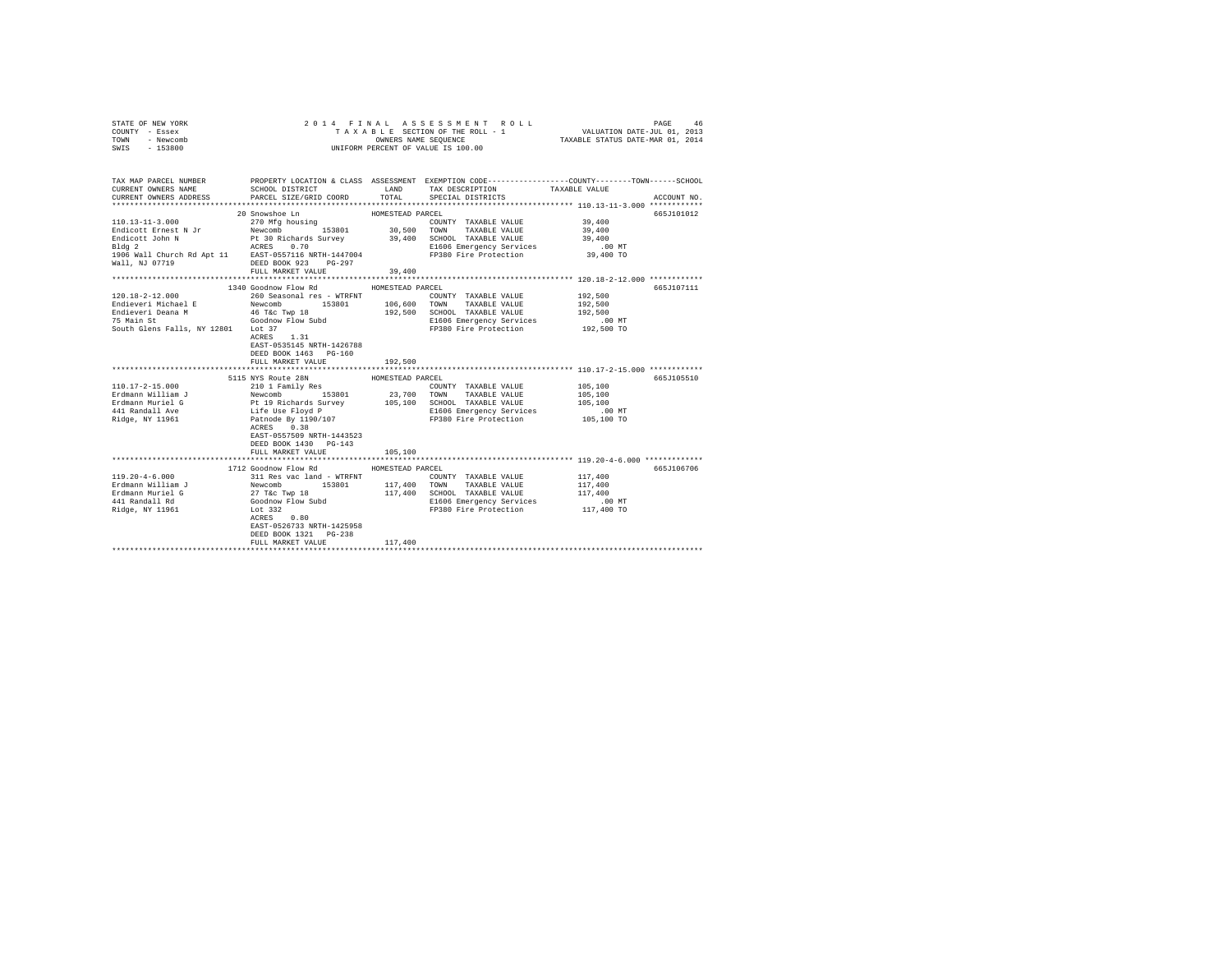| STATE OF NEW YORK | 2014 FINAL ASSESSMENT ROLL         | 46<br>PAGE                       |
|-------------------|------------------------------------|----------------------------------|
| COUNTY - Essex    | TAXABLE SECTION OF THE ROLL - 1    | VALUATION DATE-JUL 01, 2013      |
| TOWN<br>- Newcomb | OWNERS NAME SEOUENCE               | TAXABLE STATUS DATE-MAR 01, 2014 |
| $-153800$<br>SWIS | UNIFORM PERCENT OF VALUE IS 100.00 |                                  |

| TAX MAP PARCEL NUMBER<br>CURRENT OWNERS NAME<br>CURRENT OWNERS ADDRESS PARCEL SIZE/GRID COORD                                                                     | SCHOOL DISTRICT                                             | LAND             | TAX DESCRIPTION TAXABLE VALUE SPECIAL DISTRICTS<br>TOTAL SPECIAL DISTRICTS                             | PROPERTY LOCATION & CLASS ASSESSMENT EXEMPTION CODE---------------COUNTY-------TOWN------SCHOOL<br>ACCOUNT NO. |
|-------------------------------------------------------------------------------------------------------------------------------------------------------------------|-------------------------------------------------------------|------------------|--------------------------------------------------------------------------------------------------------|----------------------------------------------------------------------------------------------------------------|
|                                                                                                                                                                   |                                                             |                  |                                                                                                        |                                                                                                                |
|                                                                                                                                                                   | 20 Snowshoe Ln                                              | HOMESTEAD PARCEL |                                                                                                        | 665J101012                                                                                                     |
| $110.13 - 11 - 3.000$                                                                                                                                             | 270 Mfg housing                                             |                  | COUNTY TAXABLE VALUE 39,400                                                                            |                                                                                                                |
|                                                                                                                                                                   |                                                             |                  |                                                                                                        | $39\,, 400$                                                                                                    |
|                                                                                                                                                                   |                                                             |                  |                                                                                                        | 39,400                                                                                                         |
|                                                                                                                                                                   |                                                             |                  | E1606 Emergency Services .00 MT<br>F1606 Emergency Services .00 MT<br>FP380 Fire Protection  39,400 TO |                                                                                                                |
|                                                                                                                                                                   |                                                             |                  |                                                                                                        |                                                                                                                |
|                                                                                                                                                                   |                                                             |                  |                                                                                                        |                                                                                                                |
|                                                                                                                                                                   | 1340 Goodnow Flow Rd                                        | HOMESTEAD PARCEL |                                                                                                        | 665J107111                                                                                                     |
|                                                                                                                                                                   |                                                             |                  |                                                                                                        | 192,500                                                                                                        |
| $120.18-2-12.000 \hspace{3.2cm} 192,500 \hspace{3.2cm} 194.500 \hspace{3.2cm} 260 \hspace{3.2cm} 508.80$ Findieveri Michael E $$192,500$ TRAINER VALUE $$192,500$ |                                                             |                  |                                                                                                        |                                                                                                                |
|                                                                                                                                                                   |                                                             |                  |                                                                                                        |                                                                                                                |
|                                                                                                                                                                   |                                                             |                  |                                                                                                        |                                                                                                                |
|                                                                                                                                                                   |                                                             |                  |                                                                                                        |                                                                                                                |
|                                                                                                                                                                   | ACRES 1.31                                                  |                  |                                                                                                        |                                                                                                                |
|                                                                                                                                                                   | EAST-0535145 NRTH-1426788                                   |                  |                                                                                                        |                                                                                                                |
|                                                                                                                                                                   | DEED BOOK 1463 PG-160                                       |                  |                                                                                                        |                                                                                                                |
|                                                                                                                                                                   | FULL MARKET VALUE                                           | 192,500          |                                                                                                        |                                                                                                                |
|                                                                                                                                                                   | 5115 NYS Route 28N                                          | HOMESTEAD PARCEL |                                                                                                        | 665J105510                                                                                                     |
| $110.17 - 2 - 15.000$                                                                                                                                             |                                                             |                  | COUNTY TAXABLE VALUE 105.100                                                                           |                                                                                                                |
|                                                                                                                                                                   |                                                             |                  |                                                                                                        |                                                                                                                |
|                                                                                                                                                                   |                                                             |                  |                                                                                                        |                                                                                                                |
|                                                                                                                                                                   |                                                             |                  |                                                                                                        |                                                                                                                |
| Ridge, NY 11961 Patnode By 1190/107                                                                                                                               |                                                             |                  | FP380 Fire Protection 105.100 TO                                                                       |                                                                                                                |
|                                                                                                                                                                   | ACRES 0.38                                                  |                  |                                                                                                        |                                                                                                                |
|                                                                                                                                                                   | EAST-0557509 NRTH-1443523                                   |                  |                                                                                                        |                                                                                                                |
|                                                                                                                                                                   | DEED BOOK 1430 PG-143                                       |                  |                                                                                                        |                                                                                                                |
|                                                                                                                                                                   | FULL MARKET VALUE                                           | 105,100          |                                                                                                        |                                                                                                                |
|                                                                                                                                                                   |                                                             |                  |                                                                                                        |                                                                                                                |
|                                                                                                                                                                   | 1712 Goodnow Flow Rd                                        | HOMESTEAD PARCEL |                                                                                                        | 665J106706                                                                                                     |
| $119.20 - 4 - 6.000$                                                                                                                                              | 311 Res vac land - WTRFNT COUNT Newcomb 153801 117,400 TOWN |                  | COUNTY TAXABLE VALUE 117,400                                                                           |                                                                                                                |
| 153801<br>Erdmann William J<br>Erdmann Muriel G<br>441 Randall Rd<br>441 Randall Rd<br>Goodnow Flow Subd                                                          |                                                             |                  | TAXABLE VALUE                                                                                          | 117,400                                                                                                        |
|                                                                                                                                                                   |                                                             |                  | 117,400 SCHOOL TAXABLE VALUE                                                                           | 117,400                                                                                                        |
|                                                                                                                                                                   | Lot 332                                                     |                  | E1606 Emergency Services .00 MT                                                                        |                                                                                                                |
| Ridge, NY 11961                                                                                                                                                   |                                                             |                  | FP380 Fire Protection                                                                                  | 117,400 TO                                                                                                     |
|                                                                                                                                                                   |                                                             |                  |                                                                                                        |                                                                                                                |
|                                                                                                                                                                   | 0.80<br>ACRES                                               |                  |                                                                                                        |                                                                                                                |
|                                                                                                                                                                   | EAST-0526733 NRTH-1425958                                   |                  |                                                                                                        |                                                                                                                |
|                                                                                                                                                                   | DEED BOOK 1321    PG-238<br>FULL MARKET VALUE               | 117,400          |                                                                                                        |                                                                                                                |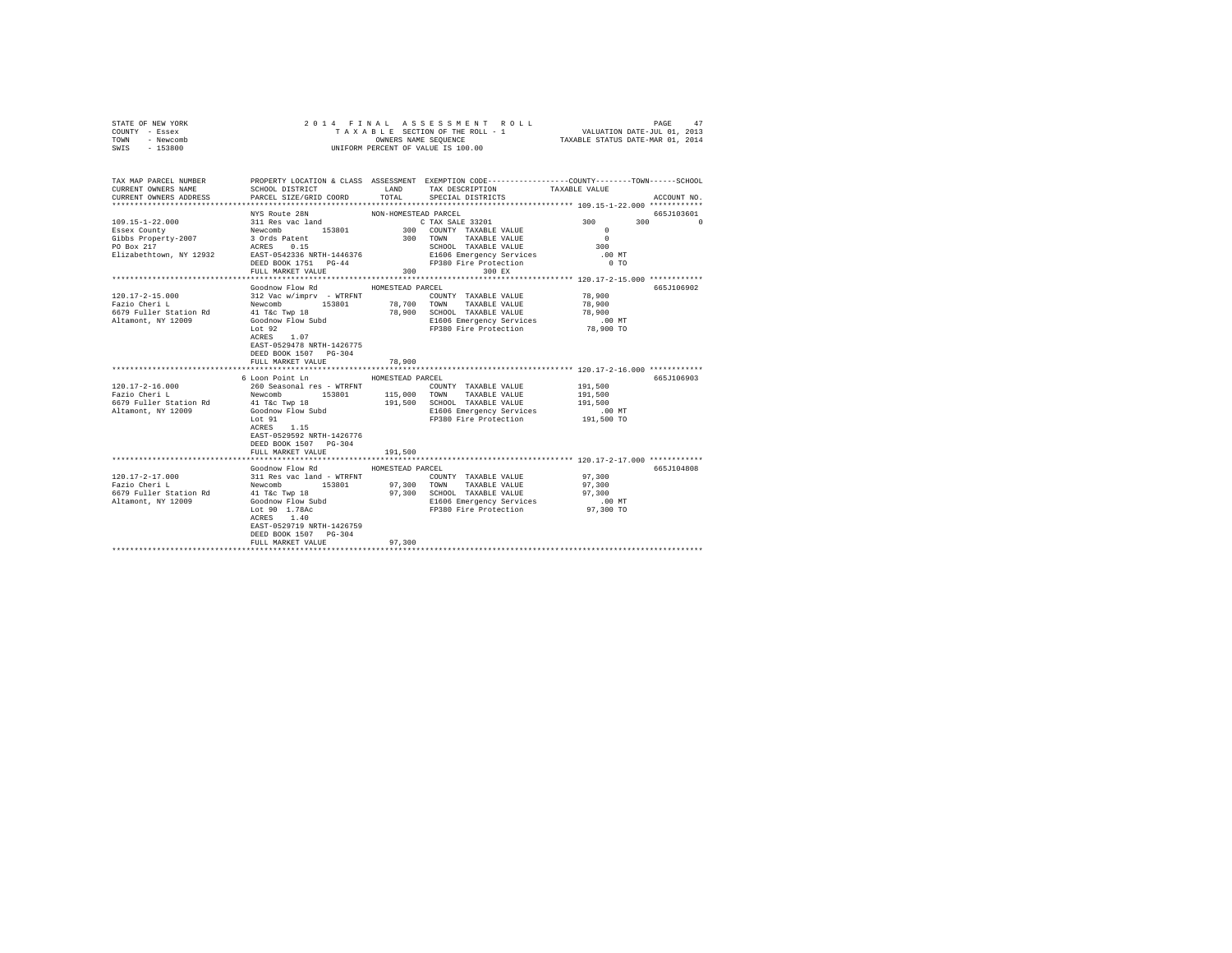| STATE OF NEW YORK<br>COUNTY - Essex<br>TOWN<br>- Newcomb<br>$-153800$<br>SWIS                                                                                         |                                                                                                                                                           |                      | 2014 FINAL ASSESSMENT ROLL<br>TAXABLE SECTION OF THE ROLL - 1<br>OWNERS NAME SEQUENCE<br>UNIFORM PERCENT OF VALUE IS 100.00 | VALUATION DATE-JUL 01, 2013<br>TAXABLE STATUS DATE-MAR 01, 2014 | 47<br>PAGE            |
|-----------------------------------------------------------------------------------------------------------------------------------------------------------------------|-----------------------------------------------------------------------------------------------------------------------------------------------------------|----------------------|-----------------------------------------------------------------------------------------------------------------------------|-----------------------------------------------------------------|-----------------------|
| TAX MAP PARCEL NUMBER PROPERTY LOCATION & CLASS ASSESSMENT EXEMPTION CODE---------------COUNTY-------TOWN-----SCHOOL<br>CURRENT OWNERS NAME<br>CURRENT OWNERS ADDRESS | SCHOOL DISTRICT LAND<br>PARCEL SIZE/GRID COORD TOTAL                                                                                                      |                      | TAX DESCRIPTION<br>SPECIAL DISTRICTS                                                                                        | TAXABLE VALUE                                                   | ACCOUNT NO.           |
|                                                                                                                                                                       |                                                                                                                                                           |                      |                                                                                                                             |                                                                 |                       |
| $109.15 - 1 - 22.000$                                                                                                                                                 | NYS Route 28N<br>$311$ Res vac land                                                                                                                       | NON-HOMESTEAD PARCEL | C TAX SALE 33201                                                                                                            | 300                                                             | 665J103601<br>$300$ 0 |
| Essex County                                                                                                                                                          |                                                                                                                                                           |                      | 300 COUNTY TAXABLE VALUE                                                                                                    | $\mathbf{r}$                                                    |                       |
| Gibbs Property-2007                                                                                                                                                   | Newcomb 153801<br>3 Ords Patent<br>ACRES 0.15                                                                                                             |                      | 300 TOWN TAXABLE VALUE                                                                                                      | $\sim$ 0                                                        |                       |
| PO Box 217                                                                                                                                                            |                                                                                                                                                           |                      | SCHOOL TAXABLE VALUE                                                                                                        | 300                                                             |                       |
| Elizabethtown, NY 12932 EAST-0542336 NRTH-1446376                                                                                                                     |                                                                                                                                                           |                      | E1606 Emergency Services                                                                                                    | .00 MT                                                          |                       |
|                                                                                                                                                                       | DEED BOOK 1751 PG-44                                                                                                                                      |                      | FP380 Fire Protection                                                                                                       | $0$ TO                                                          |                       |
|                                                                                                                                                                       | FULL MARKET VALUE                                                                                                                                         | 300                  | 300 EX                                                                                                                      |                                                                 |                       |
|                                                                                                                                                                       | Goodnow Flow Rd                                                                                                                                           | HOMESTEAD PARCEL     |                                                                                                                             |                                                                 | 665J106902            |
| 120.17-2-15.000                                                                                                                                                       |                                                                                                                                                           |                      | COUNTY TAXABLE VALUE                                                                                                        | 78,900                                                          |                       |
| Fazio Cheri L                                                                                                                                                         |                                                                                                                                                           |                      |                                                                                                                             | 78,900                                                          |                       |
| 6679 Fuller Station Rd                                                                                                                                                |                                                                                                                                                           |                      | 78,900 SCHOOL TAXABLE VALUE                                                                                                 | 78,900                                                          |                       |
| Altamont, NY 12009                                                                                                                                                    | 41 T&c Twp 18<br>Goodnow Flow Subd                                                                                                                        |                      | E1606 Emergency Services                                                                                                    | $.00$ MT                                                        |                       |
|                                                                                                                                                                       | Lot 92<br>ACRES 1.07<br>EAST-0529478 NRTH-1426775<br>DEED BOOK 1507 PG-304<br>FULL MARKET VALUE                                                           | 78,900               | FP380 Fire Protection                                                                                                       | 78,900 TO                                                       |                       |
|                                                                                                                                                                       |                                                                                                                                                           |                      |                                                                                                                             |                                                                 |                       |
|                                                                                                                                                                       | 6 Loon Point Ln                                                                                                                                           | HOMESTEAD PARCEL     |                                                                                                                             |                                                                 | 665J106903            |
| $120.17 - 2 - 16.000$<br>Fazio Cheri L                                                                                                                                | 260 Seasonal res - WTRFNT<br>Newcomb 153801                                                                                                               |                      | COUNTY TAXABLE VALUE                                                                                                        | 191,500<br>191,500                                              |                       |
| 6679 Fuller Station Rd                                                                                                                                                |                                                                                                                                                           |                      | 115,000 TOWN TAXABLE VALUE<br>191,500 SCHOOL TAXABLE VALUE                                                                  | 191,500                                                         |                       |
| Altamont, NY 12009                                                                                                                                                    | 41 T&C Twp 18<br>Goodnow Flow Subd                                                                                                                        |                      | E1606 Emergency Services                                                                                                    | $.00$ MT                                                        |                       |
|                                                                                                                                                                       | Lot 91<br>ACRES 1.15<br>EAST-0529592 NRTH-1426776                                                                                                         |                      | FP380 Fire Protection                                                                                                       | 191,500 TO                                                      |                       |
|                                                                                                                                                                       | DEED BOOK 1507 PG-304                                                                                                                                     |                      |                                                                                                                             |                                                                 |                       |
|                                                                                                                                                                       | FULL MARKET VALUE                                                                                                                                         | 191,500              |                                                                                                                             |                                                                 |                       |
|                                                                                                                                                                       | Goodnow Flow Rd                                                                                                                                           | HOMESTEAD PARCEL     |                                                                                                                             |                                                                 | 665J104808            |
| 120.17-2-17.000                                                                                                                                                       |                                                                                                                                                           |                      | COUNTY TAXABLE VALUE                                                                                                        | 97,300                                                          |                       |
| Fazio Cheri L                                                                                                                                                         | 311 Res vac land - WTRFNT<br>Newcomb 153801                                                                                                               | 97,300               | TOWN TAXABLE VALUE                                                                                                          | 97,300                                                          |                       |
| 6679 Fuller Station Rd                                                                                                                                                |                                                                                                                                                           |                      | 97.300 SCHOOL TAXABLE VALUE                                                                                                 | 97,300                                                          |                       |
| Altamont, NY 12009                                                                                                                                                    |                                                                                                                                                           |                      | E1606 Emergency Services                                                                                                    | $.00$ MT                                                        |                       |
|                                                                                                                                                                       | 41 T&C Twp 18<br>Goodnow Flow Subd<br>Lot 90 1.78Ac<br>aCFES 140<br>ACRES 1.40<br>EAST-0529719 NRTH-1426759<br>DEED BOOK 1507 PG-304<br>FULL MARKET VALUE | 97,300               | FP380 Fire Protection                                                                                                       | 97,300 TO                                                       |                       |
|                                                                                                                                                                       |                                                                                                                                                           |                      |                                                                                                                             |                                                                 |                       |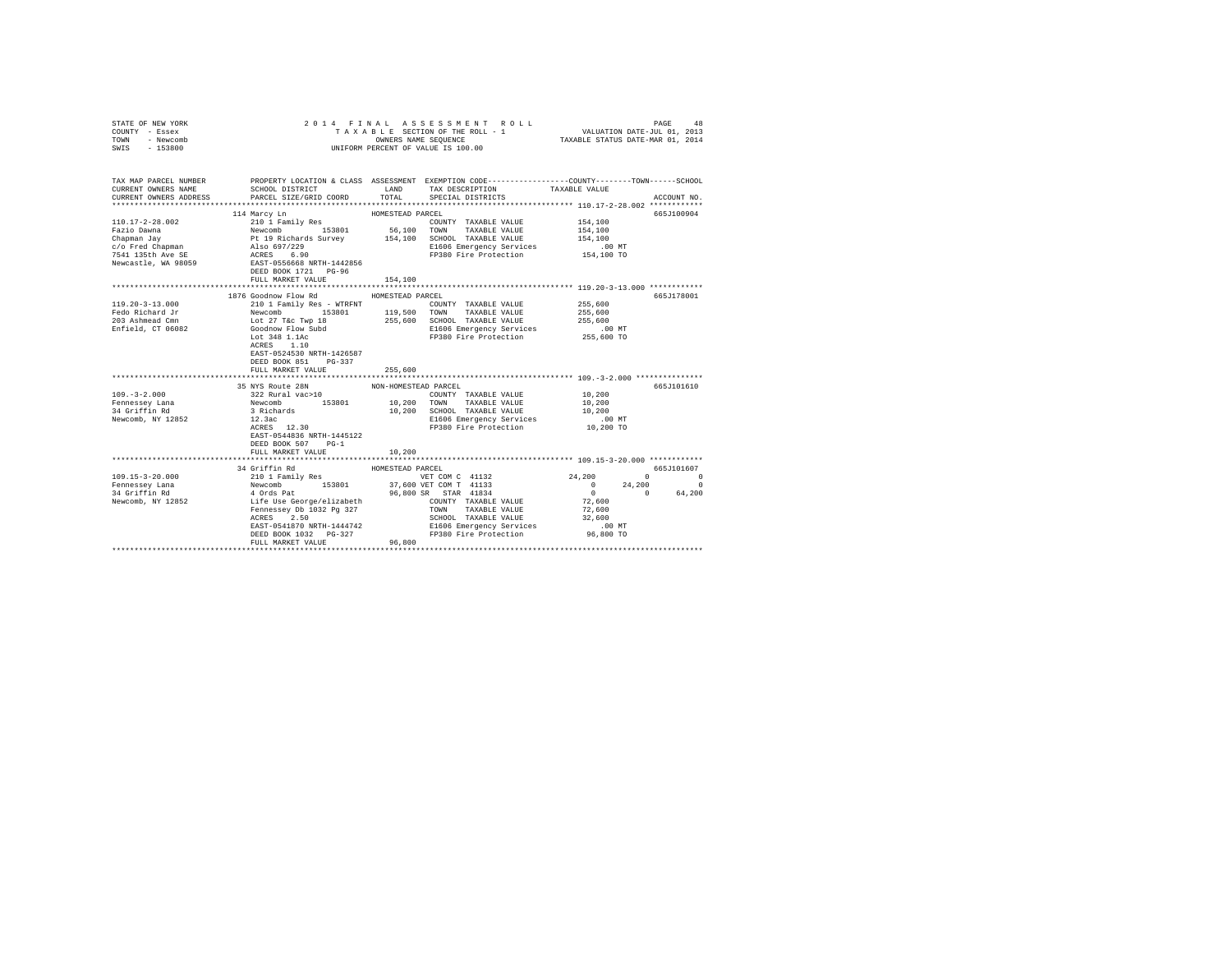| STATE OF NEW YORK<br>COUNTY - Essex<br>TOWN - Newcomb<br>SWIS - 153800                                                                                                   |                                                                                                                                                                                                                                                                                                                   | UNIFORM PERCENT OF VALUE IS 100.00 | 2014 FINAL ASSESSMENT ROLL<br>TAXABLE SECTION OF THE ROLL - 1 VALUATION DATE-JUL 01, 2013<br>OWNERS NAME SEQUENCE TAXABLE STATUS DATE-MAR 01. 2014 |                                                                                                                                         | PAGE<br>48                                    |
|--------------------------------------------------------------------------------------------------------------------------------------------------------------------------|-------------------------------------------------------------------------------------------------------------------------------------------------------------------------------------------------------------------------------------------------------------------------------------------------------------------|------------------------------------|----------------------------------------------------------------------------------------------------------------------------------------------------|-----------------------------------------------------------------------------------------------------------------------------------------|-----------------------------------------------|
| TAX MAP PARCEL NUMBER THE PROPERTY LOCATION & CLASS ASSESSMENT EXEMPTION CODE-------------COUNTY-------TOWN------SCHOOL<br>CURRENT OWNERS NAME<br>CURRENT OWNERS ADDRESS | SCHOOL DISTRICT<br>PARCEL SIZE/GRID COORD                                                                                                                                                                                                                                                                         | TOTAL                              | LAND TAX DESCRIPTION<br>SPECIAL DISTRICTS                                                                                                          | TAXABLE VALUE                                                                                                                           | ACCOUNT NO.                                   |
| $110.17 - 2 - 28.002$<br>Fazio Dawna<br>Chapman Jay<br>$c$ / $c$ Fred Chapman<br>7541 135th Ave SE<br>Newcastle, WA 98059                                                | 114 Marcy Ln<br>210 1 Family Res<br>Newcomb<br>Pt 19 Richards Survey<br>Also 697/229<br>ACRES 6.90<br>EAST-0556668 NRTH-1442856<br>DEED BOOK 1721 PG-96<br>FULL MARKET VALUE                                                                                                                                      | HOMESTEAD PARCEL<br>154,100        | COUNTY TAXABLE VALUE<br>56,100 TOWN TAXABLE VALUE<br>154,100 SCHOOL TAXABLE VALUE<br>E1606 Emergency Services<br>FP380 Fire Protection             | 154,100<br>154,100<br>154,100<br>$.00$ MT<br>154,100 TO                                                                                 | 665-7100904                                   |
| 119.20-3-13.000<br>Fedo Richard Jr<br>203 Ashmead Cmn<br>Enfield, CT 06082                                                                                               | 1876 Goodnow Flow Rd<br>210 1 Family Res - WTRFNT COUNTY TAXABLE VALUE<br>Newcomb 153801 119,500 TOWN TAXABLE VALUE<br>Lot 27 T&c Twp 18 255,600 SCHOOL TAXABLE VALUE<br>Goodnow Flow Subd<br>Lot 348 1.1Ac<br>ACRES 1.10<br>ACRES 1.10<br>EAST-0524530 NRTH-1426587<br>DEED BOOK 851 PG-337<br>FULL MARKET VALUE | HOMESTEAD PARCEL<br>255,600        | COUNTY TAXABLE VALUE<br>E1606 Emergency Services<br>FP380 Fire Protection                                                                          | 255,600<br>255,600<br>255,600<br>$.00$ MT<br>255,600 TO                                                                                 | 665J178001                                    |
| $109. - 3 - 2.000$<br>Fennessey Lana<br>34 Griffin Rd<br>Newcomb, NY 12852                                                                                               | 35 NYS Route 28N<br>322 Rural vac>10<br>Newcomb 153801<br>3 Richards<br>$12.3ac$<br>$ACRES$ $12.30$<br>EAST-0544836 NRTH-1445122<br>DEED BOOK 507<br>$PG-1$<br>FULL MARKET VALUE                                                                                                                                  | NON-HOMESTEAD PARCEL<br>10,200     | COUNTY TAXABLE VALUE<br>10,200 TOWN TAXABLE VALUE<br>10,200 SCHOOL TAXABLE VALUE<br>E1606 Emergency Services<br>FP380 Fire Protection              | 10,200<br>10,200<br>10,200<br>$.00$ MT<br>10,200 TO                                                                                     | 665J101610                                    |
| $109.15 - 3 - 20.000$<br>Fennessey Lana<br>34 Griffin Rd<br>Newcomb, NY 12852                                                                                            | 34 Griffin Rd<br>ACRES 2.50<br>EAST-0541870 NRTH-1444742<br>DEED BOOK 1032 PG-327<br>FULL MARKET VALUE                                                                                                                                                                                                            | HOMESTEAD PARCEL<br>96,800         | VET COM C 41132<br>SCHOOL TAXABLE VALUE<br>E1606 Emergency Services<br>FP380 Fire Protection                                                       | 24,200<br>$\Omega$<br>$\begin{array}{ccc} 0 && 24 \,, 200 \\ 0 && 0 \end{array}$<br>72,600<br>72,600<br>32,600<br>$.00$ MT<br>96,800 TO | 665.T101607<br>$\sim$ 0<br>$\Omega$<br>64,200 |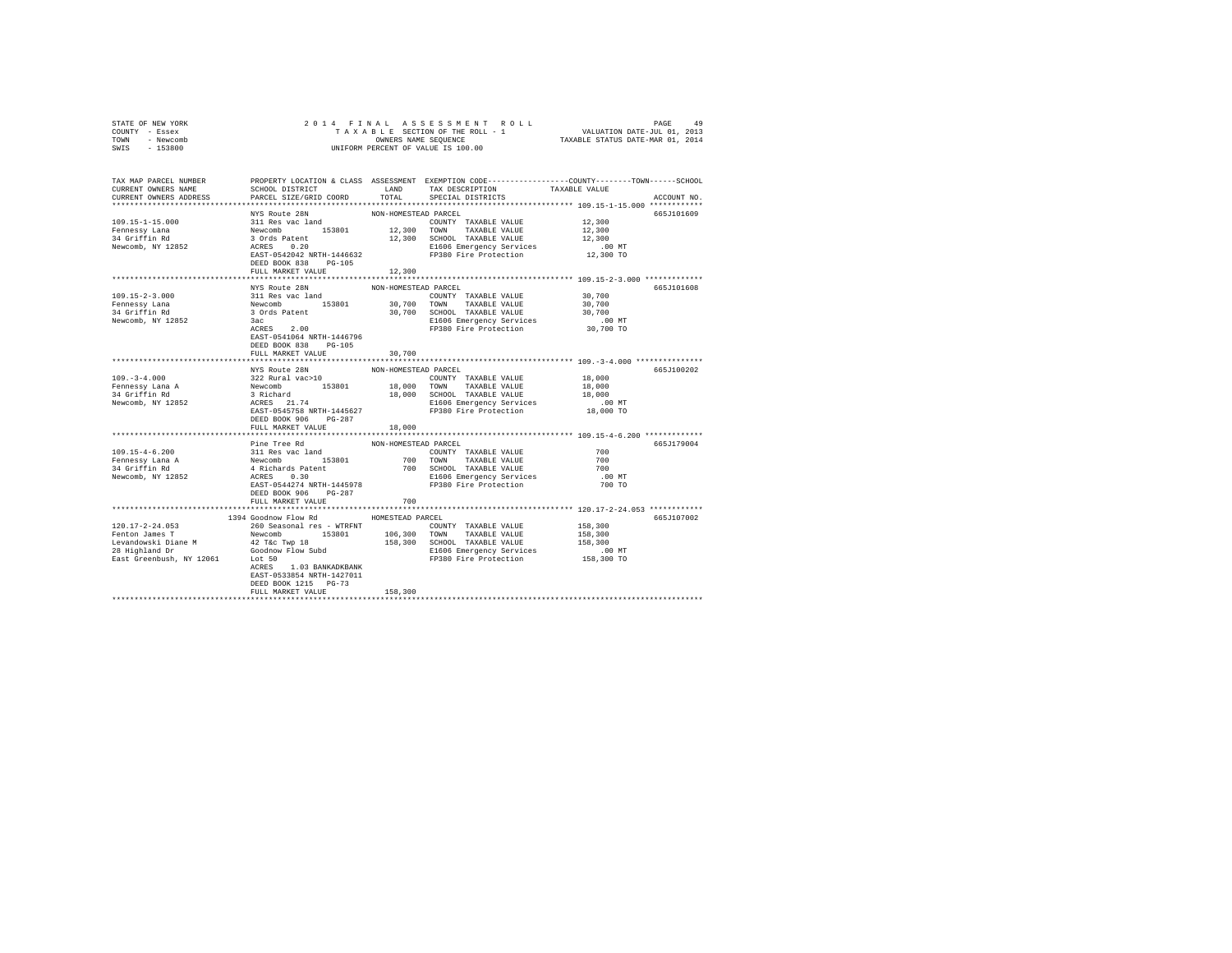| STATE OF NEW YORK<br>COUNTY - Essex<br>TOWN - Newcomb<br>SWIS - 153800                                                                                                                                                                                       |                                                                             |                      | OWNERS NAME SEQUENCE<br>UNIFORM PERCENT OF VALUE IS 100.00                                                                                                                                                                               |                               |             |
|--------------------------------------------------------------------------------------------------------------------------------------------------------------------------------------------------------------------------------------------------------------|-----------------------------------------------------------------------------|----------------------|------------------------------------------------------------------------------------------------------------------------------------------------------------------------------------------------------------------------------------------|-------------------------------|-------------|
| TAX MAP PARCEL NUMBER PROPERTY LOCATION & CLASS ASSESSMENT EXEMPTION CODE--------------COUNTY-------TOWN------SCHOOL<br>CURRENT OWNERS NAME<br>CURRENT OWNERS ADDRESS                                                                                        | SCHOOL DISTRICT TAND TAX DESCRIPTION<br>PARCEL SIZE/GRID COORD              | TOTAL                | SPECIAL DISTRICTS                                                                                                                                                                                                                        | TAXABLE VALUE                 | ACCOUNT NO. |
| $109.15 - 1 - 15.000$                                                                                                                                                                                                                                        | NYS Route 28N                                                               | NON-HOMESTEAD PARCEL |                                                                                                                                                                                                                                          | 12,300                        | 665J101609  |
|                                                                                                                                                                                                                                                              |                                                                             |                      |                                                                                                                                                                                                                                          | 12,300                        |             |
| Fennessy Lana<br>34 Griffin Rd<br>Newcomb, NY 12852                                                                                                                                                                                                          | DEED BOOK 838 PG-105                                                        |                      | FP380 Fire Protection                                                                                                                                                                                                                    | 12,300<br>00 MT.<br>12,300 TO |             |
|                                                                                                                                                                                                                                                              | FULL MARKET VALUE                                                           | 12,300               |                                                                                                                                                                                                                                          |                               |             |
|                                                                                                                                                                                                                                                              | NYS Route 28N                                                               | NON-HOMESTEAD PARCEL |                                                                                                                                                                                                                                          |                               | 665J101608  |
| $109.15 - 2 - 3.000$<br>Fennessy Jona – Sir Rew James – 153801 – 20,700 COWN TAXABLE VALUE<br>30,700 COWN TAXABLE VALUE 30,700 COWN TAXABLE VALUE 34 Griffin Rd – 30,700 SCM TAXABLE VALUE<br>Newcomb, NY 12852 – 3 Grd Patent – 153801 – 1606 Emergency Ser | 311 Res vac land                                                            |                      | COUNTY TAXABLE VALUE                                                                                                                                                                                                                     | 30,700<br>30,700<br>30,700    |             |
|                                                                                                                                                                                                                                                              | ACRES 2.00<br>EAST-0541064 NRTH-1446796<br>DEED BOOK 838 PG-105             |                      | E1606 Emergency Services .00 MT<br>FP380 Fire Protection 30,700 TO                                                                                                                                                                       |                               |             |
|                                                                                                                                                                                                                                                              | FULL MARKET VALUE                                                           | 30,700               |                                                                                                                                                                                                                                          |                               |             |
|                                                                                                                                                                                                                                                              | NYS Route 28N                                                               | NON-HOMESTEAD PARCEL |                                                                                                                                                                                                                                          |                               | 665J100202  |
| $109. - 3 - 4.000$                                                                                                                                                                                                                                           |                                                                             |                      |                                                                                                                                                                                                                                          | 18,000                        |             |
| Fennessy Lana A<br>34 Griffin Rd                                                                                                                                                                                                                             |                                                                             |                      | NET A CONTY TAXABLE VALUE<br>Newcomb 153801 18,000 TONTY TAXABLE VALUE<br>3 Richard 18,000 TONTY TAXABLE VALUE<br>3 Richard 18,000 SCHOOL TAXABLE VALUE<br>ACRES 21.74<br>RESE 21.74<br>RESE 2010 EL606 Emergency Services               | 18,000<br>18,000              |             |
| Newcomb, NY 12852                                                                                                                                                                                                                                            |                                                                             |                      |                                                                                                                                                                                                                                          |                               |             |
|                                                                                                                                                                                                                                                              | EAST-0545758 NRTH-1445627<br>DEED BOOK 906 PG-287<br>FULL MARKET VALUE      | 18,000               | E1606 Emergency Services .00 MT<br>FP380 Fire Protection  18,000 TO                                                                                                                                                                      |                               |             |
|                                                                                                                                                                                                                                                              |                                                                             |                      |                                                                                                                                                                                                                                          |                               |             |
|                                                                                                                                                                                                                                                              | Pine Tree Rd                                                                | NON-HOMESTEAD PARCEL |                                                                                                                                                                                                                                          |                               | 665J179004  |
| $109.15 - 4 - 6.200$                                                                                                                                                                                                                                         |                                                                             |                      | COUNTY TAXABLE VALUE 700                                                                                                                                                                                                                 | 700                           |             |
|                                                                                                                                                                                                                                                              |                                                                             |                      |                                                                                                                                                                                                                                          | 700                           |             |
| Fennessy Lana A<br>34 Griffin Rd<br>Newcomb, NY 12852                                                                                                                                                                                                        | DEED BOOK 906 PG-287                                                        |                      | First First And Monteview CONTY TAXABLE VALUE<br>Newcomb 153801 700 TORN TAXABLE VALUE<br>4 Richards Patent 700 SCHOOL TAXABLE VALUE<br>ACRES 0.30<br>ACRES 0.30 E1606 Energency Services<br>EAST-0544274 NRTH-1445978 FP380 Fire Protec | .00 MT<br>700 TO              |             |
|                                                                                                                                                                                                                                                              | FULL MARKET VALUE                                                           | 700                  |                                                                                                                                                                                                                                          |                               |             |
|                                                                                                                                                                                                                                                              | 1394 Goodnow Flow Rd MOMESTEAD PARCEL                                       |                      |                                                                                                                                                                                                                                          |                               | 665J107002  |
| $120.17 - 2 - 24.053$                                                                                                                                                                                                                                        | 260 Seasonal res - WTRFNT                                                   |                      | COUNTY TAXABLE VALUE                                                                                                                                                                                                                     | 158,300                       |             |
| Fenton James T<br>Fenton James T<br>28 Highland Dr Mewcomb 198801 198801 198800 10000 TAXABLE VALUE 158,300<br>28 Highland Dr Mewcomb Plow Subd 29 Highland Dr Matter (1988)<br>28 Highland Dr Matter Cooler Company Subduce 20 Highla                       |                                                                             |                      |                                                                                                                                                                                                                                          |                               |             |
|                                                                                                                                                                                                                                                              |                                                                             |                      |                                                                                                                                                                                                                                          | .00 MT                        |             |
| 28 Highland Dr Goodnow Flow Subd<br>East Greenbush, NY 12061 Lot 50                                                                                                                                                                                          | ACRES 1.03 BANKADKBANK<br>EAST-0533854 NRTH-1427011<br>DEED BOOK 1215 PG-73 |                      | FP380 Fire Protection 158,300 TO                                                                                                                                                                                                         |                               |             |
|                                                                                                                                                                                                                                                              | FULL MARKET VALUE                                                           | 158,300              |                                                                                                                                                                                                                                          |                               |             |
|                                                                                                                                                                                                                                                              |                                                                             |                      |                                                                                                                                                                                                                                          |                               |             |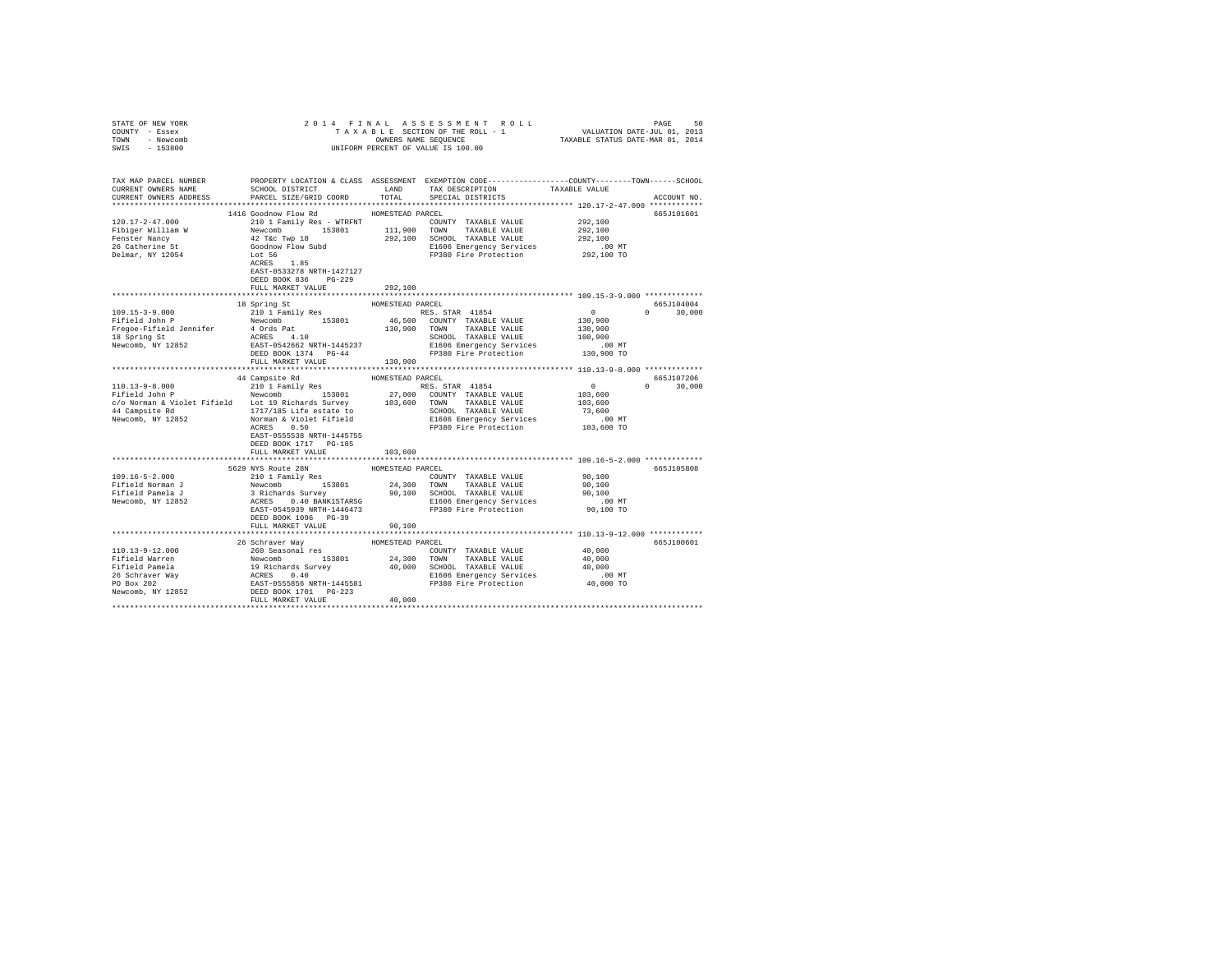| STATE OF NEW YORK                                                                                                                                                                                                                                                                                                                                                                                                      |                           |                  |                                                                      |                                                         |               |
|------------------------------------------------------------------------------------------------------------------------------------------------------------------------------------------------------------------------------------------------------------------------------------------------------------------------------------------------------------------------------------------------------------------------|---------------------------|------------------|----------------------------------------------------------------------|---------------------------------------------------------|---------------|
| COUNTY - Essex                                                                                                                                                                                                                                                                                                                                                                                                         |                           |                  |                                                                      |                                                         |               |
| TOWN - Newcomb                                                                                                                                                                                                                                                                                                                                                                                                         |                           |                  |                                                                      |                                                         |               |
| SWIS - 153800                                                                                                                                                                                                                                                                                                                                                                                                          |                           |                  |                                                                      |                                                         |               |
|                                                                                                                                                                                                                                                                                                                                                                                                                        |                           |                  |                                                                      |                                                         |               |
|                                                                                                                                                                                                                                                                                                                                                                                                                        |                           |                  |                                                                      |                                                         |               |
| TAX MAP PARCEL NUMBER THE PROPERTY LOCATION & CLASS ASSESSMENT EXEMPTION CODE--------------COUNTY-------TOWN------SCHOOL                                                                                                                                                                                                                                                                                               |                           |                  |                                                                      |                                                         |               |
| CURRENT OWNERS NAME                                                                                                                                                                                                                                                                                                                                                                                                    | SCHOOL DISTRICT           | LAND             | TAX DESCRIPTION                                                      | TAXABLE VALUE                                           |               |
| CURRENT OWNERS ADDRESS                                                                                                                                                                                                                                                                                                                                                                                                 | PARCEL SIZE/GRID COORD    | TOTAL            | SPECIAL DISTRICTS                                                    |                                                         | ACCOUNT NO.   |
|                                                                                                                                                                                                                                                                                                                                                                                                                        |                           |                  |                                                                      |                                                         |               |
|                                                                                                                                                                                                                                                                                                                                                                                                                        | 1416 Goodnow Flow Rd      | HOMESTEAD PARCEL |                                                                      |                                                         | 665J101601    |
|                                                                                                                                                                                                                                                                                                                                                                                                                        |                           |                  | COUNTY TAXABLE VALUE 292,100                                         |                                                         |               |
|                                                                                                                                                                                                                                                                                                                                                                                                                        |                           |                  |                                                                      | 292,100                                                 |               |
|                                                                                                                                                                                                                                                                                                                                                                                                                        |                           |                  |                                                                      | 292,100                                                 |               |
|                                                                                                                                                                                                                                                                                                                                                                                                                        |                           |                  |                                                                      |                                                         |               |
|                                                                                                                                                                                                                                                                                                                                                                                                                        |                           |                  | E1606 Emergency Services 6.00 MT<br>FP380 Fire Protection 292,100 TO |                                                         |               |
|                                                                                                                                                                                                                                                                                                                                                                                                                        |                           |                  |                                                                      |                                                         |               |
|                                                                                                                                                                                                                                                                                                                                                                                                                        |                           |                  |                                                                      |                                                         |               |
|                                                                                                                                                                                                                                                                                                                                                                                                                        | DEED BOOK 836 PG-229      |                  |                                                                      |                                                         |               |
|                                                                                                                                                                                                                                                                                                                                                                                                                        | FULL MARKET VALUE         | 292,100          |                                                                      |                                                         |               |
|                                                                                                                                                                                                                                                                                                                                                                                                                        |                           |                  |                                                                      |                                                         |               |
|                                                                                                                                                                                                                                                                                                                                                                                                                        |                           |                  |                                                                      |                                                         | 665J104004    |
|                                                                                                                                                                                                                                                                                                                                                                                                                        | 18 Spring St              | HOMESTEAD PARCEL |                                                                      |                                                         |               |
| $\begin{tabular}{l c c c c c} \hline 109.15-3-9.000 & 210.11~\texttt{Family}~\texttt{Res} & \texttt{noms.com}~\texttt{RES. STAR} & 41854\\ \hline \texttt{Pfifeld John P} & \texttt{Newcomb} & 153801 & 4853\\ \hline \texttt{Pfifeld John P} & \texttt{Newcomb} & 153801 & 46,500 & \texttt{COMNT} & \texttt{TXAABLE VALUE}\\ \hline \texttt{IP} & \texttt{A} & \texttt{A} & 4 & 10 & 130,9$                          |                           |                  |                                                                      | $\sim$ 0<br>$130,900$<br>$130,900$                      | $0 \t 30,000$ |
|                                                                                                                                                                                                                                                                                                                                                                                                                        |                           |                  |                                                                      |                                                         |               |
|                                                                                                                                                                                                                                                                                                                                                                                                                        |                           |                  |                                                                      |                                                         |               |
|                                                                                                                                                                                                                                                                                                                                                                                                                        |                           |                  |                                                                      | 100,900                                                 |               |
|                                                                                                                                                                                                                                                                                                                                                                                                                        |                           |                  |                                                                      | .00 MT                                                  |               |
|                                                                                                                                                                                                                                                                                                                                                                                                                        |                           |                  |                                                                      | 130,900 TO                                              |               |
|                                                                                                                                                                                                                                                                                                                                                                                                                        |                           |                  |                                                                      |                                                         |               |
|                                                                                                                                                                                                                                                                                                                                                                                                                        |                           |                  |                                                                      |                                                         |               |
| $\begin{tabular}{l c c c c c} \hline 110.13-9-8.000 & 44 \texttt{\it Cambridge Rd} & \texttt{\it HOMESTED PARCH} & \texttt{\it HMSISTED PARCH} & \texttt{\it R1851} & \texttt{\it HMSISTED PARCH} & \texttt{\it R1851} & \texttt{\it H1861} & \texttt{\it H1861} & \texttt{\it H1861} & \texttt{\it H1861} & \texttt{\it H1861} & \texttt{\it H1861} & \texttt{\it H1861} & \texttt{\it H1861} & \texttt{\it H1861} &$ |                           |                  |                                                                      |                                                         | 665J107206    |
|                                                                                                                                                                                                                                                                                                                                                                                                                        |                           |                  |                                                                      | $\begin{smallmatrix}&&0\\&&0\\103,600\end{smallmatrix}$ | $0 \t 30.000$ |
|                                                                                                                                                                                                                                                                                                                                                                                                                        |                           |                  |                                                                      |                                                         |               |
|                                                                                                                                                                                                                                                                                                                                                                                                                        |                           |                  |                                                                      | 103,600                                                 |               |
|                                                                                                                                                                                                                                                                                                                                                                                                                        |                           |                  |                                                                      | 73,600                                                  |               |
|                                                                                                                                                                                                                                                                                                                                                                                                                        |                           |                  |                                                                      | .00MT                                                   |               |
|                                                                                                                                                                                                                                                                                                                                                                                                                        | ACRES 0.50                |                  | FP380 Fire Protection                                                | 103,600 TO                                              |               |
|                                                                                                                                                                                                                                                                                                                                                                                                                        | EAST-0555538 NRTH-1445755 |                  |                                                                      |                                                         |               |
|                                                                                                                                                                                                                                                                                                                                                                                                                        | DEED BOOK 1717    PG-185  |                  |                                                                      |                                                         |               |
|                                                                                                                                                                                                                                                                                                                                                                                                                        | FULL MARKET VALUE         | 103,600          |                                                                      |                                                         |               |
|                                                                                                                                                                                                                                                                                                                                                                                                                        |                           |                  |                                                                      |                                                         |               |
|                                                                                                                                                                                                                                                                                                                                                                                                                        | 5629 NYS Route 28N        | HOMESTEAD PARCEL |                                                                      |                                                         | 665J105808    |
| 109.16-5-2.000                                                                                                                                                                                                                                                                                                                                                                                                         | 210 1 Family Res          |                  |                                                                      |                                                         |               |
| Fifield Norman J                                                                                                                                                                                                                                                                                                                                                                                                       |                           |                  |                                                                      |                                                         |               |
|                                                                                                                                                                                                                                                                                                                                                                                                                        |                           |                  |                                                                      |                                                         |               |
| Fifield Pamela J<br>Newcomb, NY 12852                                                                                                                                                                                                                                                                                                                                                                                  |                           |                  |                                                                      |                                                         |               |
|                                                                                                                                                                                                                                                                                                                                                                                                                        |                           |                  |                                                                      |                                                         |               |
|                                                                                                                                                                                                                                                                                                                                                                                                                        |                           |                  |                                                                      |                                                         |               |
|                                                                                                                                                                                                                                                                                                                                                                                                                        | DEED BOOK 1096 PG-39      |                  |                                                                      |                                                         |               |
|                                                                                                                                                                                                                                                                                                                                                                                                                        | FULL MARKET VALUE         | 90,100           |                                                                      |                                                         |               |
|                                                                                                                                                                                                                                                                                                                                                                                                                        |                           |                  |                                                                      |                                                         |               |
|                                                                                                                                                                                                                                                                                                                                                                                                                        |                           |                  |                                                                      |                                                         | 665J100601    |
|                                                                                                                                                                                                                                                                                                                                                                                                                        |                           |                  |                                                                      |                                                         |               |
|                                                                                                                                                                                                                                                                                                                                                                                                                        |                           |                  |                                                                      |                                                         |               |
|                                                                                                                                                                                                                                                                                                                                                                                                                        |                           |                  |                                                                      |                                                         |               |
|                                                                                                                                                                                                                                                                                                                                                                                                                        |                           |                  |                                                                      |                                                         |               |
|                                                                                                                                                                                                                                                                                                                                                                                                                        |                           |                  |                                                                      |                                                         |               |
|                                                                                                                                                                                                                                                                                                                                                                                                                        |                           |                  |                                                                      |                                                         |               |
|                                                                                                                                                                                                                                                                                                                                                                                                                        |                           |                  |                                                                      |                                                         |               |
|                                                                                                                                                                                                                                                                                                                                                                                                                        |                           |                  |                                                                      |                                                         |               |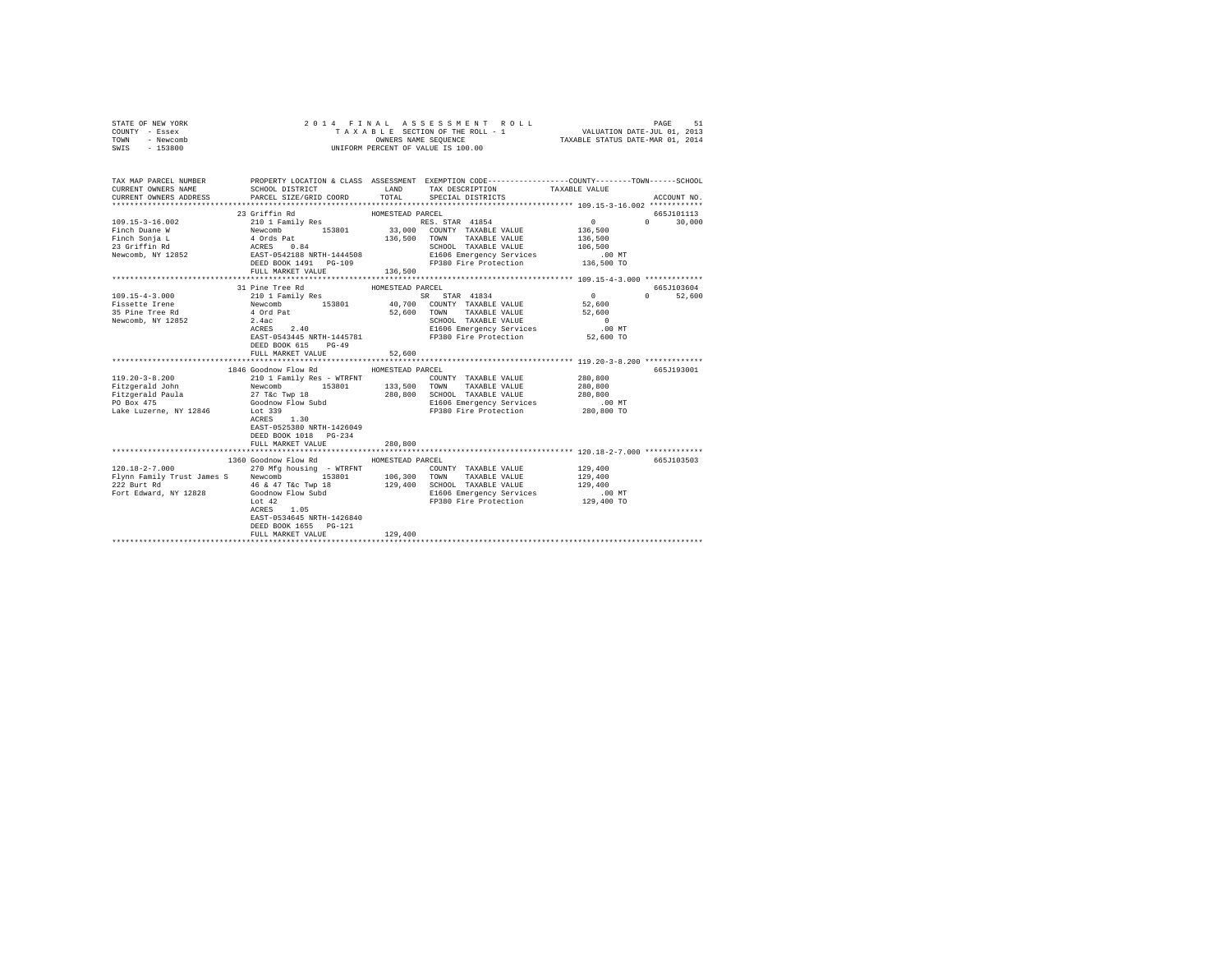| STATE OF NEW YORK<br>COUNTY - Essex<br>TOWN<br>- Newcomb<br>SWIS - 153800 | 2014 FINAL ASSESSMENT ROLL<br>UNIFORM PERCENT OF VALUE IS 100.00                                                                                                                                                                         | PAGE<br>51<br>TAXABLE SECTION OF THE ROLL - 1 VALUATION DATE-JUL 01, 2013<br>OWNERS NAME SEQUENCE TAXABLE STATUS DATE-MAR 01, 2014 |                                                                                   |                    |               |
|---------------------------------------------------------------------------|------------------------------------------------------------------------------------------------------------------------------------------------------------------------------------------------------------------------------------------|------------------------------------------------------------------------------------------------------------------------------------|-----------------------------------------------------------------------------------|--------------------|---------------|
| CURRENT OWNERS NAME<br>CURRENT OWNERS ADDRESS                             | TAX MAP PARCEL NUMBER PROPERTY LOCATION & CLASS ASSESSMENT EXEMPTION CODE---------------COUNTY-------TOWN------SCHOOL<br>SCHOOL DISTRICT<br>PARCEL SIZE/GRID COORD                                                                       |                                                                                                                                    | LAND TAX DESCRIPTION<br>TOTAL SPECIAL DISTRICTS                                   | TAXABLE VALUE      | ACCOUNT NO.   |
|                                                                           |                                                                                                                                                                                                                                          |                                                                                                                                    |                                                                                   |                    |               |
|                                                                           | 23 Griffin Rd                                                                                                                                                                                                                            | HOMESTEAD PARCEL                                                                                                                   |                                                                                   |                    | 665J101113    |
| $109.15 - 3 - 16.002$                                                     | 21011 Family Res 153801 1882. STAR 41854<br>Newcomb 153801 136,500 COUNTY TAXABLE VALUE<br>4 Ords Pat 136,500 TOWN TAXABLE VALUE<br>ACRES 0.84 SCHOOL TAXABLE VALUE<br>REST-0542188 RETH-1444508 EL606 Emergency Services<br>DEED BOOK 1 |                                                                                                                                    | RES. STAR 41854                                                                   | $\sim$ 0           | $0 \t 30,000$ |
| Finch Duane W                                                             |                                                                                                                                                                                                                                          |                                                                                                                                    |                                                                                   | 136,500            |               |
| Finch Sonja L<br>Finch Sonja L<br>23 Griffin Rd<br>Newcomb, NY 12852      |                                                                                                                                                                                                                                          |                                                                                                                                    |                                                                                   | 136,500<br>106,500 |               |
|                                                                           |                                                                                                                                                                                                                                          |                                                                                                                                    | SCHOOL TAXABLE VALUE<br>E1606 Emergency Services                                  | $.00$ MT           |               |
|                                                                           |                                                                                                                                                                                                                                          |                                                                                                                                    | FP380 Fire Protection 136,500 TO                                                  |                    |               |
|                                                                           | FULL MARKET VALUE                                                                                                                                                                                                                        | 136,500                                                                                                                            |                                                                                   |                    |               |
|                                                                           |                                                                                                                                                                                                                                          |                                                                                                                                    |                                                                                   |                    |               |
|                                                                           | 31 Pine Tree Rd                                                                                                                                                                                                                          | HOMESTEAD PARCEL                                                                                                                   |                                                                                   |                    | 665J103604    |
| $109.15 - 4 - 3.000$                                                      | 210 1 Family Res                                                                                                                                                                                                                         |                                                                                                                                    | SR STAR 41834 0                                                                   |                    | 0 52,600      |
|                                                                           |                                                                                                                                                                                                                                          |                                                                                                                                    |                                                                                   | 52,600             |               |
|                                                                           | Fissette Tree Rd (and Textonia)<br>Fissette Tree Rd (and Textonia)<br>2.40 (and Textonia)<br>2.40 (and Textonia)<br>2.42 (accused ACRES 2.40 E1606 Emergency Services                                                                    |                                                                                                                                    |                                                                                   | 52,600             |               |
|                                                                           |                                                                                                                                                                                                                                          |                                                                                                                                    |                                                                                   | $\sim$ 0           |               |
|                                                                           |                                                                                                                                                                                                                                          |                                                                                                                                    | SCHOOL TAXABLE VALUE<br>E1606 Emergency Services                                  | $.00$ MT           |               |
|                                                                           |                                                                                                                                                                                                                                          |                                                                                                                                    | EAST-0543445 NRTH-1445781 FP380 Fire Protection 52,600 TO                         |                    |               |
|                                                                           | DEED BOOK 615 PG-49                                                                                                                                                                                                                      |                                                                                                                                    |                                                                                   |                    |               |
|                                                                           | FULL MARKET VALUE                                                                                                                                                                                                                        | 52,600                                                                                                                             |                                                                                   |                    |               |
|                                                                           |                                                                                                                                                                                                                                          |                                                                                                                                    |                                                                                   |                    |               |
|                                                                           | 1846 Goodnow Flow Rd MOMESTEAD PARCEL                                                                                                                                                                                                    |                                                                                                                                    |                                                                                   |                    | 665J193001    |
| 119.20-3-8.200                                                            |                                                                                                                                                                                                                                          |                                                                                                                                    | COUNTY TAXABLE VALUE                                                              | 280,800            |               |
| Fitzgerald John                                                           |                                                                                                                                                                                                                                          |                                                                                                                                    |                                                                                   | 280,800            |               |
| $Fitzgerald$ Paula                                                        | 27 T&c Twp 18<br>Goodnow Flow Subd<br>Iot 339                                                                                                                                                                                            |                                                                                                                                    | 280,800 SCHOOL TAXABLE VALUE<br>E1606 Emergency Services<br>FP380 Fire Protection | 280,800            |               |
| PO Box 475                                                                |                                                                                                                                                                                                                                          |                                                                                                                                    |                                                                                   | .00 MT             |               |
| Lake Luzerne, NY 12846                                                    | Lot 339                                                                                                                                                                                                                                  |                                                                                                                                    | FP380 Fire Protection 280,800 TO                                                  |                    |               |
|                                                                           | ACRES 1.30                                                                                                                                                                                                                               |                                                                                                                                    |                                                                                   |                    |               |
|                                                                           | EAST-0525380 NRTH-1426049                                                                                                                                                                                                                |                                                                                                                                    |                                                                                   |                    |               |
|                                                                           | DEED BOOK 1018 PG-234                                                                                                                                                                                                                    |                                                                                                                                    |                                                                                   |                    |               |
|                                                                           | FULL MARKET VALUE                                                                                                                                                                                                                        | 280,800                                                                                                                            |                                                                                   |                    |               |
|                                                                           | 1360 Goodnow Flow Rd MOMESTEAD PARCEL                                                                                                                                                                                                    |                                                                                                                                    |                                                                                   |                    | 665J103503    |
| $120.18 - 2 - 7.000$                                                      | 270 Mfg housing - WTRFNT                                                                                                                                                                                                                 |                                                                                                                                    | COUNTY TAXABLE VALUE                                                              | 129,400            |               |
|                                                                           |                                                                                                                                                                                                                                          |                                                                                                                                    |                                                                                   | 129,400            |               |
|                                                                           |                                                                                                                                                                                                                                          |                                                                                                                                    |                                                                                   | 129,400            |               |
|                                                                           |                                                                                                                                                                                                                                          |                                                                                                                                    |                                                                                   | .00 MT             |               |
|                                                                           | Lot 42                                                                                                                                                                                                                                   |                                                                                                                                    | E1606 Emergency Services<br>EP380 Fire Protection<br>FP380 Fire Protection        | 129,400 TO         |               |
|                                                                           | ACRES 1.05                                                                                                                                                                                                                               |                                                                                                                                    |                                                                                   |                    |               |
|                                                                           | EAST-0534645 NRTH-1426840                                                                                                                                                                                                                |                                                                                                                                    |                                                                                   |                    |               |
|                                                                           | DEED BOOK 1655 PG-121                                                                                                                                                                                                                    |                                                                                                                                    |                                                                                   |                    |               |
|                                                                           | FULL MARKET VALUE                                                                                                                                                                                                                        | 129,400                                                                                                                            |                                                                                   |                    |               |
|                                                                           |                                                                                                                                                                                                                                          |                                                                                                                                    |                                                                                   |                    |               |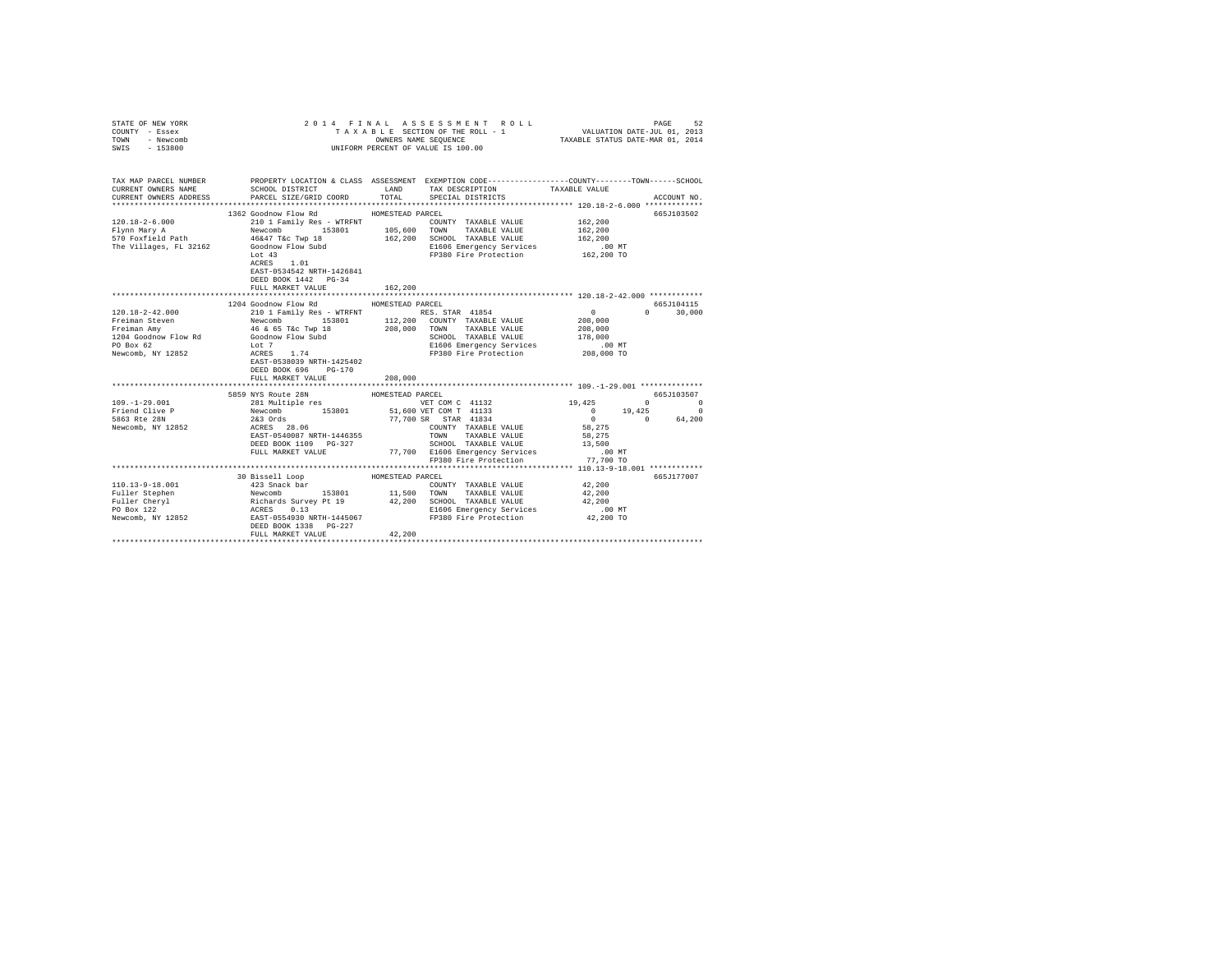| COUNTY - Essex<br>TOWN<br>- Newcomb<br>SWIS<br>$-153800$ | OWNERS NAME SEQUENCE<br>UNIFORM PERCENT OF VALUE IS 100.00                                                                                 |                                                                                                                                                                                                                                                                                                                                                                                                                                                                                                                                                      |                                                                                     |
|----------------------------------------------------------|--------------------------------------------------------------------------------------------------------------------------------------------|------------------------------------------------------------------------------------------------------------------------------------------------------------------------------------------------------------------------------------------------------------------------------------------------------------------------------------------------------------------------------------------------------------------------------------------------------------------------------------------------------------------------------------------------------|-------------------------------------------------------------------------------------|
| CURRENT OWNERS NAME<br>CURRENT OWNERS ADDRESS            | PARCEL SIZE/GRID COORD                                                                                                                     | TAX MAP PARCEL NUMBER PROPERTY LOCATION & CLASS ASSESSMENT EXEMPTION CODE---------------COUNTY-------TOWN------SCHOOL<br>SCHOOL DISTRICT TAND TAX DESCRIPTION<br>TOTAL<br>SPECIAL DISTRICTS                                                                                                                                                                                                                                                                                                                                                          | TAXABLE VALUE<br>ACCOUNT NO.                                                        |
|                                                          | 1362 Goodnow Flow Rd<br>Lot $43$<br>$\verb ACRES  = \verb 1.01 $<br>EAST-0534542 NRTH-1426841<br>DEED BOOK 1442 PG-34<br>FULL MARKET VALUE | HOMESTEAD PARCEL<br>COUNTY TAXABLE VALUE 162,200<br>120.18-2-6.000<br>$\begin{array}{l} \texttt{210.18-2-6.000} & \texttt{210.18} \texttt{ family Res - WTRRNT} & \texttt{100.000} \\ \texttt{F1ynn Mary A1} & \texttt{Newcomb} & \texttt{15301} & \texttt{105,600} \texttt{ TONN} & \texttt{TAXABLE} \texttt{ VALUE} \\ \texttt{570 Poxfileid Path} & \texttt{Newcomb} & \texttt{15301} & \texttt{162,200} \texttt{ SCHOL} & \texttt{TAXABLE} \texttt{VALUE} \\ \$<br>TAXABLE VALUE<br>E1606 Emergency Services<br>FP380 Fire Protection<br>162,200 | 665J103502<br>162,200<br>162,200<br>.00 MT<br>162,200 TO                            |
|                                                          |                                                                                                                                            |                                                                                                                                                                                                                                                                                                                                                                                                                                                                                                                                                      |                                                                                     |
|                                                          | 1204 Goodnow Flow Rd MOMESTEAD PARCEL<br>DEED BOOK 696 PG-170<br>FULL MARKET VALUE                                                         | $\begin{tabular}{lllllllllll} \textsc{TONN} & \textsc{TAXABLE VALUE} & & & & & & \\ & \textsc{SCHOOL} & \textsc{TAXABLE VALUE} & & & 178,000 \\ & & \textsc{``````S\'evvi'res} & & & .00 MT \\ \end{tabular}$<br>FP380 Fire Protection 208,000 TO<br>208,000                                                                                                                                                                                                                                                                                         | 665J104115<br>$0 \t30,000$                                                          |
|                                                          | 5859 NYS Route 28N                                                                                                                         | HOMESTEAD PARCEL                                                                                                                                                                                                                                                                                                                                                                                                                                                                                                                                     | 665J103507                                                                          |
|                                                          |                                                                                                                                            |                                                                                                                                                                                                                                                                                                                                                                                                                                                                                                                                                      |                                                                                     |
|                                                          |                                                                                                                                            | COUNTY TAXABLE VALUE 58,275<br>TAXABLE VALUE<br>EXERCISE DESIGNATION AND TRANSPORTED MANUS AND DESIGN OF THE MANUS PELID ON THE MANUS PULL MARKET VALUE TO A SCHOOL TRANSPORT ON A SCHOOL TRANSPORT ON A SCHOOL TRANSPORT ON A SCHOOL TRANSPORT ON A SCHOOL TRANSPORT ON A SCH                                                                                                                                                                                                                                                                       | $19,425$ 0 0<br>0 19,425 0<br>$0 \t 0 \t 64,200$<br>58,275<br>$.00$ MT<br>77,700 TO |
|                                                          |                                                                                                                                            |                                                                                                                                                                                                                                                                                                                                                                                                                                                                                                                                                      |                                                                                     |
|                                                          | 30 Bissell Loop MOMESTEAD PARCEL<br>FULL MARKET VALUE                                                                                      | 42,200                                                                                                                                                                                                                                                                                                                                                                                                                                                                                                                                               | 665J177007                                                                          |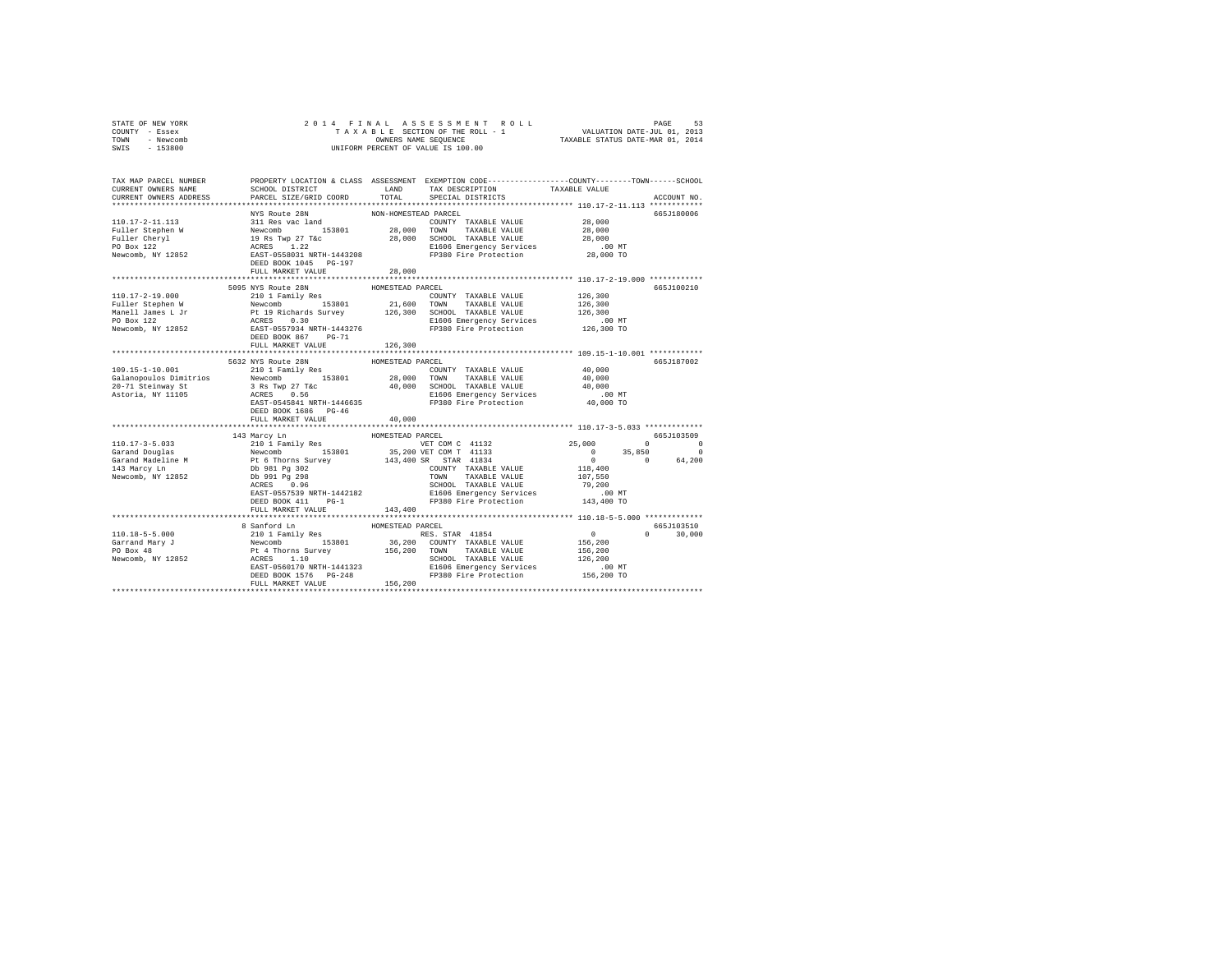| TOWN<br>- Newcomb<br>SWIS<br>$-153800$                                 | UNIFORM PERCENT OF VALUE IS 100.00     | TAXABLE STATUS DATE-MAR 01, 2014 |                                                                                                                         |                                               |               |
|------------------------------------------------------------------------|----------------------------------------|----------------------------------|-------------------------------------------------------------------------------------------------------------------------|-----------------------------------------------|---------------|
|                                                                        |                                        |                                  |                                                                                                                         |                                               |               |
| TAX MAP PARCEL NUMBER<br>CURRENT OWNERS NAME                           | SCHOOL DISTRICT                        |                                  | PROPERTY LOCATION & CLASS ASSESSMENT EXEMPTION CODE---------------COUNTY-------TOWN------SCHOOL<br>LAND TAX DESCRIPTION | TAXABLE VALUE                                 |               |
| CURRENT OWNERS ADDRESS                                                 | PARCEL SIZE/GRID COORD                 |                                  | TOTAL SPECIAL DISTRICTS                                                                                                 |                                               | ACCOUNT NO.   |
|                                                                        |                                        |                                  |                                                                                                                         |                                               |               |
|                                                                        | NYS Route 28N                          | NON-HOMESTEAD PARCEL             |                                                                                                                         |                                               | 665J180006    |
|                                                                        |                                        |                                  |                                                                                                                         |                                               |               |
|                                                                        |                                        |                                  |                                                                                                                         |                                               |               |
|                                                                        |                                        |                                  |                                                                                                                         |                                               |               |
|                                                                        |                                        |                                  |                                                                                                                         |                                               |               |
|                                                                        |                                        |                                  |                                                                                                                         |                                               |               |
|                                                                        |                                        |                                  |                                                                                                                         |                                               |               |
|                                                                        | FULL MARKET VALUE                      | 28,000<br>************           |                                                                                                                         | **************** 110.17-2-19.000 ************ |               |
|                                                                        | 5095 NYS Route 28N                     | HOMESTEAD PARCEL                 |                                                                                                                         |                                               | 665J100210    |
|                                                                        |                                        |                                  | COUNTY TAXABLE VALUE                                                                                                    | 126,300                                       |               |
|                                                                        |                                        |                                  |                                                                                                                         |                                               |               |
|                                                                        |                                        |                                  | 21,600 TOWN TAXABLE VALUE<br>126,300 SCHOOL TAXABLE VALUE                                                               | 126,300<br>126,300                            |               |
|                                                                        |                                        |                                  |                                                                                                                         |                                               |               |
|                                                                        |                                        |                                  | 00 000000 126,300<br>E1606 Emergency Services 126,300 MT<br>FP380 Fire Protection 126,300 TO                            |                                               |               |
|                                                                        |                                        |                                  |                                                                                                                         |                                               |               |
|                                                                        | FULL MARKET VALUE                      | 126,300                          |                                                                                                                         |                                               |               |
|                                                                        |                                        |                                  |                                                                                                                         |                                               |               |
| 109.15-1-10.001                                                        | 5632 NYS Route 28N<br>210 1 Family Res | HOMESTEAD PARCEL                 |                                                                                                                         | 40,000                                        | 665J187002    |
| Galanopoulos Dimitrios Newcomb 153801 28,000 TOWN TAXABLE VALUE 40,000 |                                        |                                  | COUNTY TAXABLE VALUE                                                                                                    |                                               |               |
|                                                                        |                                        |                                  |                                                                                                                         |                                               |               |
| 20-71 Steinway St<br>Astoria, NY 11105                                 |                                        |                                  |                                                                                                                         |                                               |               |
|                                                                        |                                        |                                  |                                                                                                                         |                                               |               |
|                                                                        | DEED BOOK 1686 PG-46                   |                                  |                                                                                                                         |                                               |               |
|                                                                        | FULL MARKET VALUE                      | 40,000                           |                                                                                                                         |                                               |               |
|                                                                        |                                        |                                  |                                                                                                                         |                                               |               |
|                                                                        |                                        |                                  |                                                                                                                         |                                               | 665J103509    |
|                                                                        |                                        |                                  |                                                                                                                         |                                               |               |
|                                                                        |                                        |                                  |                                                                                                                         |                                               |               |
|                                                                        |                                        |                                  |                                                                                                                         |                                               |               |
|                                                                        |                                        |                                  |                                                                                                                         |                                               |               |
|                                                                        |                                        |                                  |                                                                                                                         |                                               |               |
|                                                                        |                                        |                                  |                                                                                                                         |                                               |               |
|                                                                        |                                        |                                  |                                                                                                                         |                                               |               |
|                                                                        |                                        |                                  |                                                                                                                         |                                               |               |
|                                                                        |                                        |                                  |                                                                                                                         |                                               |               |
|                                                                        | 8 Sanford Ln                           | HOMESTEAD PARCEL                 |                                                                                                                         |                                               | 665J103510    |
|                                                                        |                                        |                                  |                                                                                                                         | $0$<br>156,200<br>156,200                     | $0 \t 30,000$ |
|                                                                        |                                        |                                  |                                                                                                                         |                                               |               |
|                                                                        |                                        |                                  |                                                                                                                         | 126,200                                       |               |
|                                                                        |                                        |                                  |                                                                                                                         | .00 MT                                        |               |
|                                                                        |                                        |                                  |                                                                                                                         | 156,200 TO                                    |               |
|                                                                        |                                        |                                  |                                                                                                                         |                                               |               |
|                                                                        |                                        |                                  |                                                                                                                         |                                               |               |

STATE OF NEW YORK 2 0 1 4 F I N A L A S S E S S M E N T R O L L PAGE 53 COUNTY - Essex T A X A B L E SECTION OF THE ROLL - 1 VALUATION DATE-JUL 01, 2013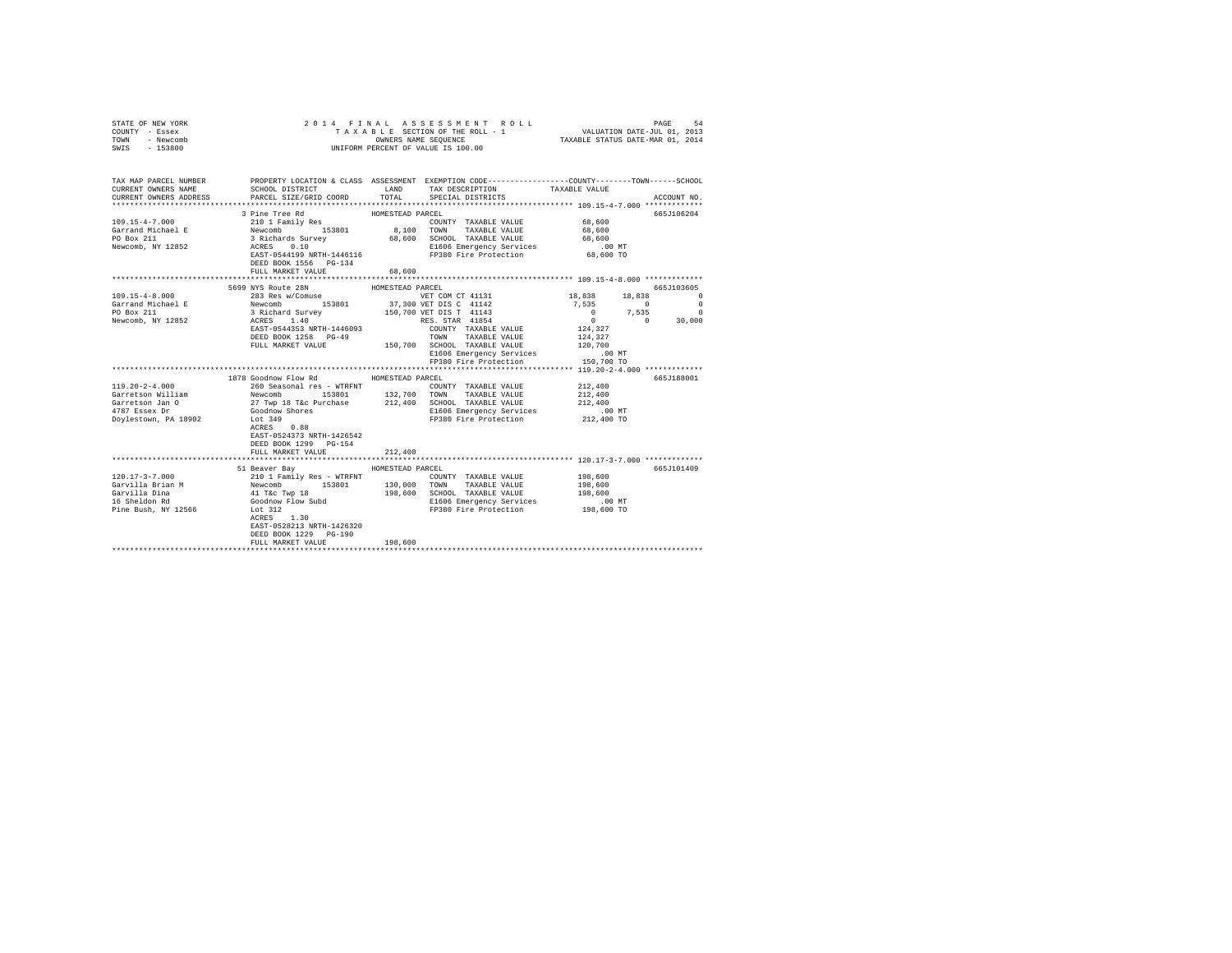| STATE OF NEW YORK<br>COUNTY - Essex<br>TOWN - Newcomb<br>SWIS - 153800                                                                                                                                              |                                                                                                                                                                                                                                                                                                                                                                                                                                                                                                                                                                                                                                                                                                                                                 |                             | 2014 FINAL ASSESSMENT ROLL<br>TAXABLE SECTION OF THE ROLL - 1 VALUATION DATE-JUL 01, 2013<br>OWNERS NAME SEQUENCE TAXABLE STATUS DATE-MAR 01, 2014<br>UNIFORM PERCENT OF VALUE IS 100.00 |                                                                                                                                                                                                                                                               | PAGE<br>54                                                       |
|---------------------------------------------------------------------------------------------------------------------------------------------------------------------------------------------------------------------|-------------------------------------------------------------------------------------------------------------------------------------------------------------------------------------------------------------------------------------------------------------------------------------------------------------------------------------------------------------------------------------------------------------------------------------------------------------------------------------------------------------------------------------------------------------------------------------------------------------------------------------------------------------------------------------------------------------------------------------------------|-----------------------------|------------------------------------------------------------------------------------------------------------------------------------------------------------------------------------------|---------------------------------------------------------------------------------------------------------------------------------------------------------------------------------------------------------------------------------------------------------------|------------------------------------------------------------------|
| TAX MAP PARCEL NUMBER PROPERTY LOCATION & CLASS ASSESSMENT EXEMPTION CODE--------------COUNTY-------TOWN-----SCHOOL<br>CURRENT OWNERS NAME<br>CURRENT OWNERS ADDRESS PARCEL SIZE/GRID COORD TOTAL SPECIAL DISTRICTS | SCHOOL DISTRICT TAND TAX DESCRIPTION                                                                                                                                                                                                                                                                                                                                                                                                                                                                                                                                                                                                                                                                                                            |                             |                                                                                                                                                                                          | TAXABLE VALUE                                                                                                                                                                                                                                                 | ACCOUNT NO.                                                      |
| $109.15 - 4 - 7.000$<br>Garrand Michael E<br>PO Box 211<br>Newcomb, NY 12852                                                                                                                                        | 3 Pine Tree Rd<br>210 1 Family Res<br>Newcomb 153801 8,100 TOWN TAXABLE VALUE<br>3 Richards Survey 68,600 SCHOOL TAXABLE VALUE<br>3 RICHARDS SURVEY 68,600 SCHOOL TAXABLE VALUE<br>EAST-0544199 NRTH-1446116<br>DEED BOOK 1556 PG-134<br>FULL MARKET VALUE                                                                                                                                                                                                                                                                                                                                                                                                                                                                                      | HOMESTEAD PARCEL<br>68,600  | COUNTY TAXABLE VALUE 68,600<br>E1606 Emergency Services 68,600 MT<br>FP380 Fire Protection 68,600 TO                                                                                     | 68,600<br>68,600                                                                                                                                                                                                                                              | 665J106204                                                       |
|                                                                                                                                                                                                                     |                                                                                                                                                                                                                                                                                                                                                                                                                                                                                                                                                                                                                                                                                                                                                 |                             |                                                                                                                                                                                          |                                                                                                                                                                                                                                                               |                                                                  |
| 109.15-4-8.000<br>Garrand Michael E<br>PO Box 211<br>Newcomb, NY 12852<br>$119.20 - 2 - 4.000$<br>Garretson William<br>Garretson Jan O<br>4787 Essex Dr<br>Doylestown, PA 18902                                     | 5699 NYS Route 28N<br>283 Res W/Comuse<br>283 Res W/Comuse<br>283 Res W/Comuse<br>153801 37,300 VET DIS C 41142<br>3 Richard Survey<br>263 Res 1144<br>26 RES STAR 41854<br>26 RES STAR 41854<br>26 RES STAR 41854<br>EAST-0544353 NRTH-1446093<br>CONSISTENT CONSISTENT MANAGEMENT PROPERTY NAMELE VALUE FULL MARKET VALUE $\texttt{FULL} \texttt{MARKET} \texttt{VALUE} \begin{minipage}{0.5cm} \texttt{TANABLE} \texttt{VALUE} \end{minipage}$<br>1878 Goodnow Flow Rd HOMESTEAD PARCEL<br>260 Seasonal res - WTRFNT<br>Newcomb 193801 1330, 132,700 TOUNTY TAXABLE VALUE<br>27 Twp 18 T&c Furchase 212,400 SCHOOL TAXABLE VALUE<br>Goodnow Shores<br>Lot 349<br>ACRES 0.88<br>Lot 349<br>EAST-0524373 NRTH-1426542<br>DEED BOOK 1299 PG-154 | HOMESTEAD PARCEL            | COUNTY TAXABLE VALUE<br>TOWN TAXABLE VALUE<br>E1606 Emergency Services<br>FP380 Fire Protection<br>E1606 Emergency Services<br>FP380 Fire Protection                                     | 18,838 18,838<br>7.535<br>$\sim$ 0 $\sim$<br>$\begin{array}{cccc} 0 & 7 \, , & 535 & 0 \\ 0 & 0 & 30 \, , & 000 \\ 124 \, , & 327 & & \end{array}$<br>124,327<br>120,700<br>$.00$ MT<br>150,700 TO<br>212,400<br>212,400<br>212,400<br>$.00$ MT<br>212,400 TO | 665J103605<br>$\Omega$<br>$\overline{\phantom{0}}$<br>665J188001 |
|                                                                                                                                                                                                                     | FULL MARKET VALUE                                                                                                                                                                                                                                                                                                                                                                                                                                                                                                                                                                                                                                                                                                                               | 212,400                     |                                                                                                                                                                                          |                                                                                                                                                                                                                                                               |                                                                  |
| $120.17 - 3 - 7.000$<br>Garvilla Brian M<br>Garvilla Dina<br>16 Sheldon Rd<br>Pine Bush, NY 12566                                                                                                                   | 51 Beaver Bay<br>41 T&C Twp 18<br>Goodnow Flow Subd<br>Lot 212<br>Lot 312<br>$ACRES$ 1.30<br>EAST-0528213 NRTH-1426320<br>DEED BOOK 1229 PG-190<br>FULL MARKET VALUE<br>***************************                                                                                                                                                                                                                                                                                                                                                                                                                                                                                                                                             | HOMESTEAD PARCEL<br>198,600 | COUNTY TAXABLE VALUE 198,600<br>198,600 SCHOOL TAXABLE VALUE<br>E1606 Emergency Services<br>FP380 Fire Protection 198,600 TO                                                             | 198,600<br>198,600<br>$.00$ MT                                                                                                                                                                                                                                | 665J101409                                                       |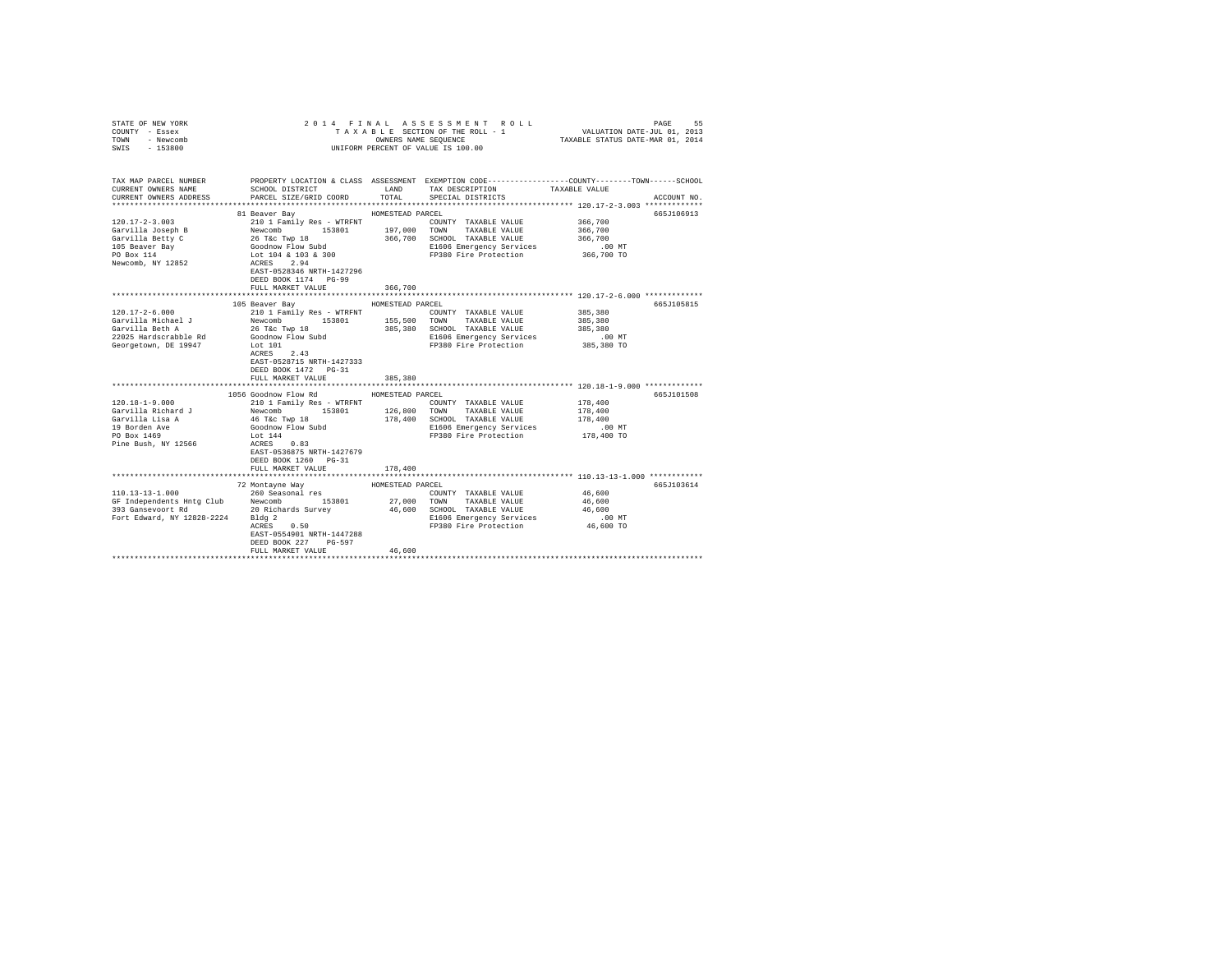| STATE OF NEW YORK<br>COUNTY - Essex<br>TOWN - Newcomb<br>SWIS - 153800                             |                                                      |                  | 2014 FINAL ASSESSMENT ROLL<br>TAXABLE SECTION OF THE ROLL - 1<br>OWNERS NAME SEQUENCE<br>UNIFORM PERCENT OF VALUE IS 100.00 | VALUATION DATE-JUL 01, 2013<br>TAXABLE STATUS DATE-MAR 01, 2014 | PAGE<br>55  |
|----------------------------------------------------------------------------------------------------|------------------------------------------------------|------------------|-----------------------------------------------------------------------------------------------------------------------------|-----------------------------------------------------------------|-------------|
| TAX MAP PARCEL NUMBER                                                                              |                                                      |                  | PROPERTY LOCATION & CLASS ASSESSMENT EXEMPTION CODE---------------COUNTY-------TOWN------SCHOOL                             |                                                                 |             |
| CURRENT OWNERS NAME                                                                                | SCHOOL DISTRICT                                      | LAND             | TAX DESCRIPTION                                                                                                             | TAXABLE VALUE                                                   |             |
| CURRENT OWNERS ADDRESS                                                                             | PARCEL SIZE/GRID COORD                               | TOTAL            | SPECIAL DISTRICTS                                                                                                           |                                                                 | ACCOUNT NO. |
|                                                                                                    |                                                      |                  |                                                                                                                             |                                                                 |             |
|                                                                                                    | 81 Beaver Bay                                        | HOMESTEAD PARCEL |                                                                                                                             |                                                                 | 665J106913  |
| $120.17 - 2 - 3.003$                                                                               | 210 1 Family Res - WTRFNT                            |                  | COUNTY TAXABLE VALUE                                                                                                        | 366,700                                                         |             |
| Garvilla Joseph B                                                                                  |                                                      |                  | TAXABLE VALUE                                                                                                               | 366,700                                                         |             |
| Garvilla Betty C                                                                                   |                                                      |                  | 366,700 SCHOOL TAXABLE VALUE                                                                                                | 366,700                                                         |             |
| 105 Beaver Bay<br>PO Box 114                                                                       |                                                      |                  | E1606 Emergency Services<br>FP380 Fire Protection                                                                           | .00 MT<br>366,700 TO                                            |             |
| Newcomb, NY 12852                                                                                  | ACRES 2.94                                           |                  |                                                                                                                             |                                                                 |             |
|                                                                                                    | EAST-0528346 NRTH-1427296                            |                  |                                                                                                                             |                                                                 |             |
|                                                                                                    | DEED BOOK 1174 PG-99                                 |                  |                                                                                                                             |                                                                 |             |
|                                                                                                    | FULL MARKET VALUE                                    | 366,700          |                                                                                                                             |                                                                 |             |
|                                                                                                    |                                                      |                  |                                                                                                                             |                                                                 |             |
|                                                                                                    | 105 Beaver Bay                                       | HOMESTEAD PARCEL |                                                                                                                             |                                                                 | 665J105815  |
| $120.17 - 2 - 6.000$                                                                               | 210 1 Family Res - WTRFNT                            |                  | COUNTY TAXABLE VALUE                                                                                                        | 385,380                                                         |             |
| Garvilla Michael J                                                                                 |                                                      |                  | 153801 155,500 TOWN TAXABLE VALUE                                                                                           | 385,380                                                         |             |
| Garvilla Beth A                                                                                    | Newcomb 153801<br>26 T&c Twp 18<br>Goodnow Flow Subd |                  | 385,380 SCHOOL TAXABLE VALUE<br>E1606 Emergency Services                                                                    | 385,380                                                         |             |
| 22025 Hardscrabble Rd<br>Georgetown, DE 19947                                                      | Lot 101                                              |                  | FP380 Fire Protection                                                                                                       | .00 MT<br>385,380 TO                                            |             |
|                                                                                                    | ACRES 2.43                                           |                  |                                                                                                                             |                                                                 |             |
|                                                                                                    | EAST-0528715 NRTH-1427333                            |                  |                                                                                                                             |                                                                 |             |
|                                                                                                    | DEED BOOK 1472 PG-31                                 |                  |                                                                                                                             |                                                                 |             |
|                                                                                                    | FULL MARKET VALUE                                    | 385,380          |                                                                                                                             |                                                                 |             |
|                                                                                                    |                                                      |                  |                                                                                                                             |                                                                 |             |
|                                                                                                    | 1056 Goodnow Flow Rd                                 | HOMESTEAD PARCEL |                                                                                                                             |                                                                 | 665J101508  |
| $120.18 - 1 - 9.000$                                                                               | 210 1 Family Res - WTRFNT                            |                  | COUNTY TAXABLE VALUE                                                                                                        | 178,400                                                         |             |
| Garvilla Richard J                                                                                 | Newcomb 153801 126,800 TOWN TAXABLE VALUE            |                  |                                                                                                                             | 178,400                                                         |             |
| Garvilla Lisa A                                                                                    | 46 T&C Twp 18                                        |                  | 178,400 SCHOOL TAXABLE VALUE                                                                                                | 178,400                                                         |             |
| 19 Borden Ave<br>PO Box 1469                                                                       | Goodnow Flow Subd                                    |                  | E1606 Emergency Services<br>FP380 Fire Protection 178,400 TO                                                                | $.00$ MT                                                        |             |
| Pine Bush, NY 12566                                                                                | Lot 144<br>ACRES 0.83                                |                  |                                                                                                                             |                                                                 |             |
|                                                                                                    | EAST-0536875 NRTH-1427679                            |                  |                                                                                                                             |                                                                 |             |
|                                                                                                    | DEED BOOK 1260 PG-31                                 |                  |                                                                                                                             |                                                                 |             |
|                                                                                                    | FULL MARKET VALUE                                    | 178,400          |                                                                                                                             |                                                                 |             |
|                                                                                                    |                                                      |                  | ***************************** 110.13-13-1.000 ************                                                                  |                                                                 |             |
|                                                                                                    | 72 Montayne Way                                      | HOMESTEAD PARCEL |                                                                                                                             |                                                                 | 665J103614  |
| $110.13 - 13 - 1.000$                                                                              | 260 Seasonal res                                     |                  | COUNTY TAXABLE VALUE                                                                                                        | 46,600                                                          |             |
| 110.15-15.1000<br>GF Independents Hntg Club Newcomb 153801<br>393 Gansevoort Rd 20 Richards Survey |                                                      |                  | 153801  27,000 TOWN TAXABLE VALUE                                                                                           | 46,600                                                          |             |
|                                                                                                    |                                                      |                  | 46,600 SCHOOL TAXABLE VALUE                                                                                                 | 46,600                                                          |             |
| Fort Edward, NY 12828-2224 Bldg 2                                                                  | Bldg 2<br>ACRES 0.50                                 |                  | E1606 Emergency Services                                                                                                    | $.00$ MT                                                        |             |
|                                                                                                    | EAST-0554901 NRTH-1447288                            |                  | FP380 Fire Protection                                                                                                       | $46,600$ TO                                                     |             |
|                                                                                                    | DEED BOOK 227 PG-597                                 |                  |                                                                                                                             |                                                                 |             |
|                                                                                                    | FULL MARKET VALUE                                    | 46,600           |                                                                                                                             |                                                                 |             |
|                                                                                                    |                                                      |                  |                                                                                                                             |                                                                 |             |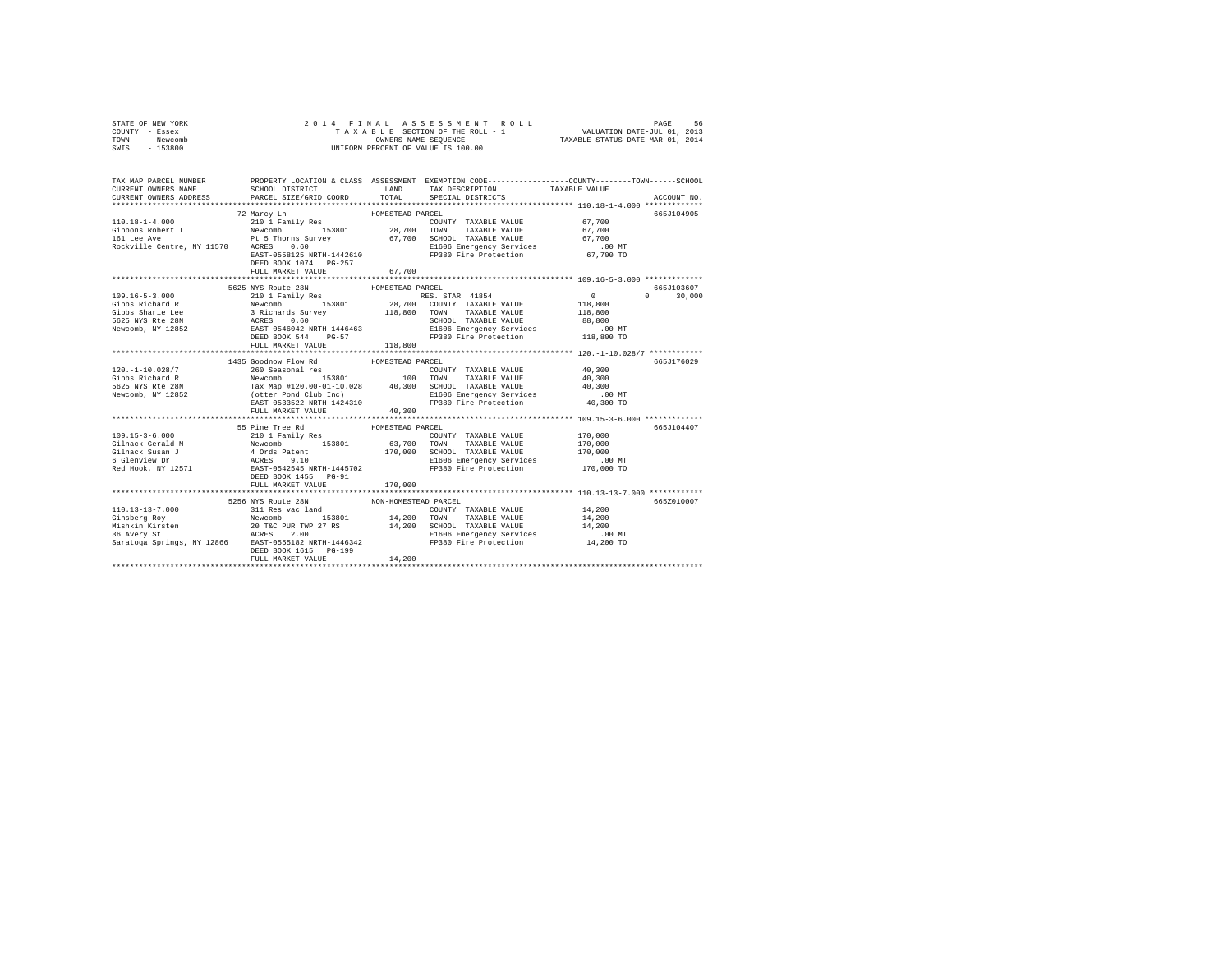| STATE OF NEW YORK | 2014 FINAL ASSESSMENT ROLL         | 56<br>PAGE                       |
|-------------------|------------------------------------|----------------------------------|
| COUNTY - Essex    | TAXABLE SECTION OF THE ROLL - 1    | VALUATION DATE-JUL 01, 2013      |
| TOWN<br>- Newcomb | OWNERS NAME SEOUENCE               | TAXABLE STATUS DATE-MAR 01, 2014 |
| $-153800$<br>SWIS | UNIFORM PERCENT OF VALUE IS 100.00 |                                  |

| TAX MAP PARCEL NUMBER<br>CURRENT OWNERS NAME<br>CURRENT OWNERS ADDRESS                                                                                                                                                                                                   | SCHOOL DISTRICT LAND<br>PARCEL SIZE/GRID COORD                                                              | TOTAL                       | TAX DESCRIPTION TAXABLE VALUE<br>SPECIAL DISTRICTS                                                                                         | PROPERTY LOCATION & CLASS ASSESSMENT EXEMPTION CODE----------------COUNTY-------TOWN------SCHOOL | ACCOUNT NO.          |
|--------------------------------------------------------------------------------------------------------------------------------------------------------------------------------------------------------------------------------------------------------------------------|-------------------------------------------------------------------------------------------------------------|-----------------------------|--------------------------------------------------------------------------------------------------------------------------------------------|--------------------------------------------------------------------------------------------------|----------------------|
| 11.18-1-4.000<br>12.101.18-7.700<br>12.101.18-7.700<br>22.101.18-7.700<br>22.101.18-7.700<br>22.101.18-7.100<br>22.101<br>22.100<br>22.700<br>22.700<br>22.700<br>22.700<br>22.700<br>22.700<br>22.700<br>22.700<br>22.700<br>22.700<br>22.700<br>22.700<br>22.700<br>22 | DEED BOOK 1074 PG-257<br>FULL MARKET VALUE                                                                  | 67,700                      |                                                                                                                                            |                                                                                                  | 665J104905           |
|                                                                                                                                                                                                                                                                          | 5625 NYS Route 28N<br>FULL MARKET VALUE                                                                     | HOMESTEAD PARCEL<br>118,800 |                                                                                                                                            | $\Omega$ and $\Omega$                                                                            | 665J103607<br>30,000 |
| $120. - 1 - 10.028/7$                                                                                                                                                                                                                                                    | 1435 Goodnow Flow Rd MOMESTEAD PARCEL<br>260 Seasonal res                                                   |                             |                                                                                                                                            | 40,300                                                                                           | 665J176029           |
|                                                                                                                                                                                                                                                                          | 55 Pine Tree Rd MOMESTEAD PARCEL<br>DEED BOOK 1455 PG-91<br>FULL MARKET VALUE                               | 170,000                     |                                                                                                                                            |                                                                                                  | 665J104407           |
|                                                                                                                                                                                                                                                                          | 5256 NYS Route 28N NON-HOMESTEAD PARCEL<br>153801 14,200 TOWN<br>DEED BOOK 1615 PG-199<br>FULL MARKET VALUE | 14,200                      | COUNTY TAXABLE VALUE 14,200<br>TAXABLE VALUE<br>SCHOOL TAXABLE VALUE<br>E1606 Emergency Services 14,200<br>FP380 Fire Protection 14,200 TO | 14,200                                                                                           | 665Z010007           |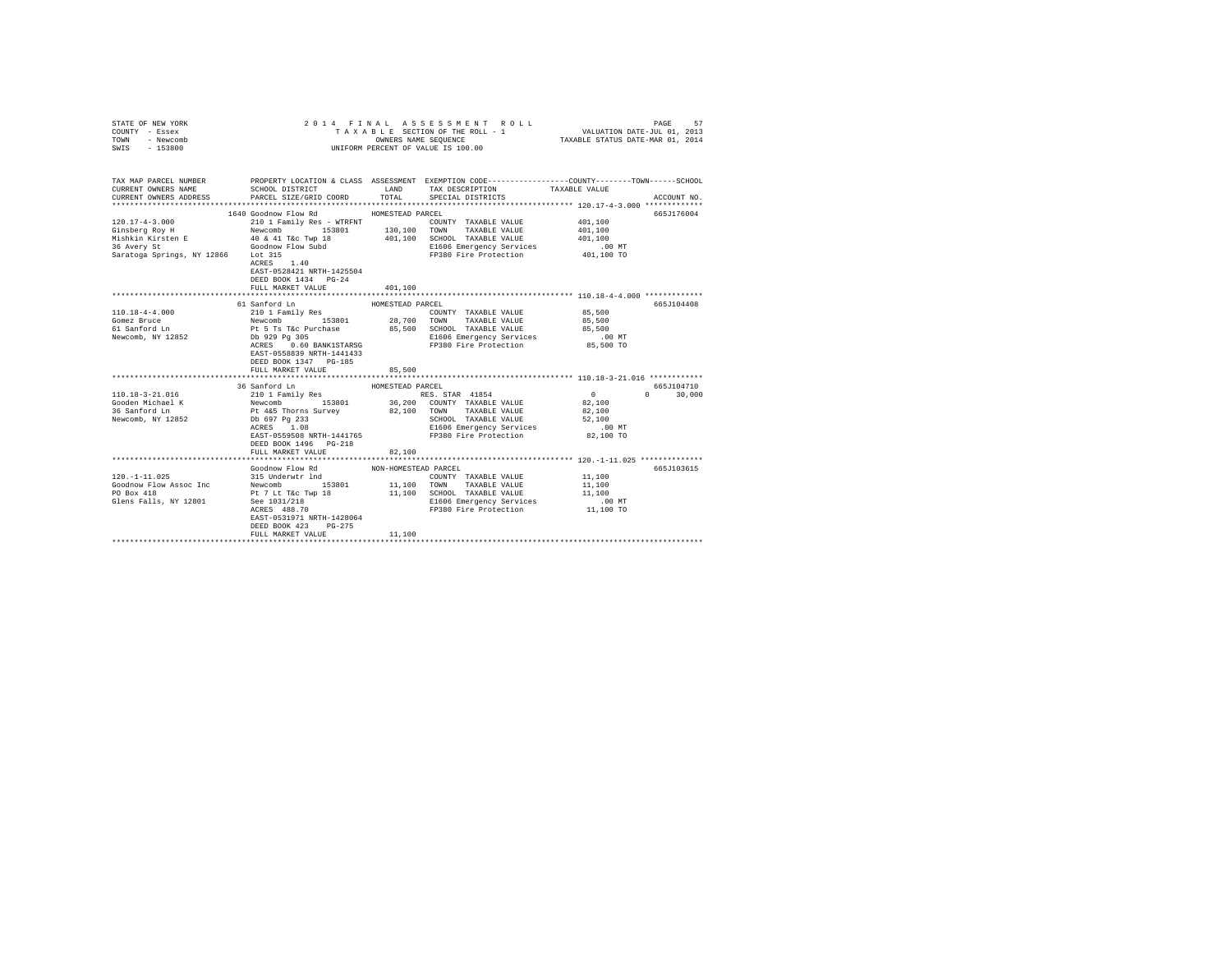| STATE OF NEW YORK<br>COUNTY - Essex<br>TOWN - Newcomb<br>SWIS - 153800                                                                                                                                                         | 2014 FINAL ASSESSMENT ROLL<br>TAXABLE SECTION OF THE ROLL - 1<br>UNIFORM PERCENT OF VALUE IS 100.00 | PAGE<br>57<br>VALUATION DATE-JUL 01, 2013<br>TAXABLE STATUS DATE-MAR 01, 2014 |                                                         |                                                       |               |
|--------------------------------------------------------------------------------------------------------------------------------------------------------------------------------------------------------------------------------|-----------------------------------------------------------------------------------------------------|-------------------------------------------------------------------------------|---------------------------------------------------------|-------------------------------------------------------|---------------|
|                                                                                                                                                                                                                                |                                                                                                     |                                                                               |                                                         |                                                       |               |
| TAX MAP PARCEL NUMBER PROPERTY LOCATION & CLASS ASSESSMENT EXEMPTION CODE---------------COUNTY-------TOWN-----SCHOOL<br>CURRENT OWNERS NAME                                                                                    | SCHOOL DISTRICT                                                                                     | LAND                                                                          | TAX DESCRIPTION                                         | TAXABLE VALUE                                         |               |
| CURRENT OWNERS ADDRESS PARCEL SIZE/GRID COORD                                                                                                                                                                                  |                                                                                                     | TOTAL                                                                         | SPECIAL DISTRICTS                                       |                                                       | ACCOUNT NO.   |
|                                                                                                                                                                                                                                |                                                                                                     |                                                                               |                                                         |                                                       |               |
|                                                                                                                                                                                                                                | 1640 Goodnow Flow Rd                                                                                | HOMESTEAD PARCEL                                                              |                                                         |                                                       | 665J176004    |
| $120.17 - 4 - 3.000$                                                                                                                                                                                                           | 210 1 Family Res - WTRFNT                                                                           |                                                                               | COUNTY TAXABLE VALUE                                    | 401,100                                               |               |
|                                                                                                                                                                                                                                |                                                                                                     |                                                                               |                                                         | 401,100                                               |               |
| CONSIDER THE METHOD NEW COMBATION OF THE METHOD CONSIDER THE METHOD SCHOOL SOLUTION NEWSLAP AND SCHOOL THANGER VALUE MASHER VALUE AS A very St and the Solution of the Solution of the Solution of the Solution of the Solutio |                                                                                                     |                                                                               |                                                         | 401,100                                               |               |
|                                                                                                                                                                                                                                |                                                                                                     |                                                                               | E1606 Emergency Services<br>FP380 Fire Protection       | $.00$ MT                                              |               |
|                                                                                                                                                                                                                                | Lot 315<br>ACRES 1.40                                                                               |                                                                               |                                                         | 401,100 TO                                            |               |
|                                                                                                                                                                                                                                |                                                                                                     |                                                                               |                                                         |                                                       |               |
|                                                                                                                                                                                                                                | EAST-0528421 NRTH-1425504                                                                           |                                                                               |                                                         |                                                       |               |
|                                                                                                                                                                                                                                | DEED BOOK 1434 PG-24<br>FULL MARKET VALUE                                                           | 401,100                                                                       |                                                         |                                                       |               |
|                                                                                                                                                                                                                                |                                                                                                     |                                                                               |                                                         | *********************** 110.18-4-4.000 ************** |               |
|                                                                                                                                                                                                                                | 61 Sanford Ln                                                                                       | HOMESTEAD PARCEL                                                              |                                                         |                                                       | 665J104408    |
|                                                                                                                                                                                                                                |                                                                                                     |                                                                               |                                                         | 85,500                                                |               |
|                                                                                                                                                                                                                                |                                                                                                     |                                                                               |                                                         | 85,500                                                |               |
| 110.18-4-4.000<br>Gomez Bruce<br>61 Sanford Ln                                                                                                                                                                                 |                                                                                                     |                                                                               |                                                         | 85,500                                                |               |
| Newcomb, NY 12852                                                                                                                                                                                                              |                                                                                                     |                                                                               | E1606 Emergency Services<br>FP380 Fire Protection       | $.00$ MT                                              |               |
|                                                                                                                                                                                                                                |                                                                                                     |                                                                               |                                                         | 85,500 TO                                             |               |
|                                                                                                                                                                                                                                | EAST-0558839 NRTH-1441433                                                                           |                                                                               |                                                         |                                                       |               |
|                                                                                                                                                                                                                                | DEED BOOK 1347 PG-185                                                                               |                                                                               |                                                         |                                                       |               |
|                                                                                                                                                                                                                                | FULL MARKET VALUE                                                                                   | 85,500                                                                        |                                                         |                                                       |               |
|                                                                                                                                                                                                                                | 36 Sanford Ln                                                                                       | HOMESTEAD PARCEL                                                              |                                                         |                                                       | 665.T104710   |
| 110.18-3-21.016                                                                                                                                                                                                                |                                                                                                     |                                                                               | RES. STAR 41854                                         | $\sim$ 0                                              | $0 \t 30,000$ |
| Gooden Michael K                                                                                                                                                                                                               | 210 1 Family Res<br>Newcomb 153801<br>Pt 4&5 Thorns Survey<br>Db 697 Pg 233                         |                                                                               | 36,200 COUNTY TAXABLE VALUE                             | 82,100                                                |               |
| 36 Sanford Ln                                                                                                                                                                                                                  |                                                                                                     |                                                                               | 82,100 TOWN TAXABLE VALUE                               | 82,100                                                |               |
| Newcomb, NY 12852                                                                                                                                                                                                              |                                                                                                     |                                                                               | SCHOOL TAXABLE VALUE                                    | 52,100                                                |               |
|                                                                                                                                                                                                                                | Db 697 Pg 233<br>ACRES 1.08                                                                         |                                                                               | E1606 Emergency Services                                | $.00$ MT                                              |               |
|                                                                                                                                                                                                                                | EAST-0559508 NRTH-1441765                                                                           |                                                                               | FP380 Fire Protection                                   | 82,100 TO                                             |               |
|                                                                                                                                                                                                                                | DEED BOOK 1496    PG-218                                                                            |                                                                               |                                                         |                                                       |               |
|                                                                                                                                                                                                                                | FULL MARKET VALUE                                                                                   | 82,100                                                                        |                                                         |                                                       |               |
|                                                                                                                                                                                                                                |                                                                                                     |                                                                               |                                                         |                                                       |               |
|                                                                                                                                                                                                                                | Goodnow Flow Rd<br>315 Underwtr lnd                                                                 | NON-HOMESTEAD PARCEL                                                          |                                                         |                                                       | 665J103615    |
| $120. -1 - 11.025$                                                                                                                                                                                                             |                                                                                                     |                                                                               | COUNTY TAXABLE VALUE 11,100                             |                                                       |               |
| Goodnow Flow Assoc Inc<br>PO Box 418                                                                                                                                                                                           |                                                                                                     |                                                                               | 11,100 TOWN TAXABLE VALUE                               | 11,100                                                |               |
| Glens Falls, NY 12801                                                                                                                                                                                                          | Newcomb<br>Pt 7 Lt T&c Twp 18<br>See 1031/218<br>ACRES 488.70                                       |                                                                               | 11,100 SCHOOL TAXABLE VALUE<br>E1606 Emergency Services | 11,100<br>$.00$ MT                                    |               |
|                                                                                                                                                                                                                                |                                                                                                     |                                                                               | FP380 Fire Protection 11,100 TO                         |                                                       |               |
|                                                                                                                                                                                                                                | EAST-0531971 NRTH-1428064                                                                           |                                                                               |                                                         |                                                       |               |
|                                                                                                                                                                                                                                | DEED BOOK 423<br>$PG-275$                                                                           |                                                                               |                                                         |                                                       |               |
|                                                                                                                                                                                                                                | FULL MARKET VALUE                                                                                   | 11,100                                                                        |                                                         |                                                       |               |
|                                                                                                                                                                                                                                |                                                                                                     |                                                                               |                                                         |                                                       |               |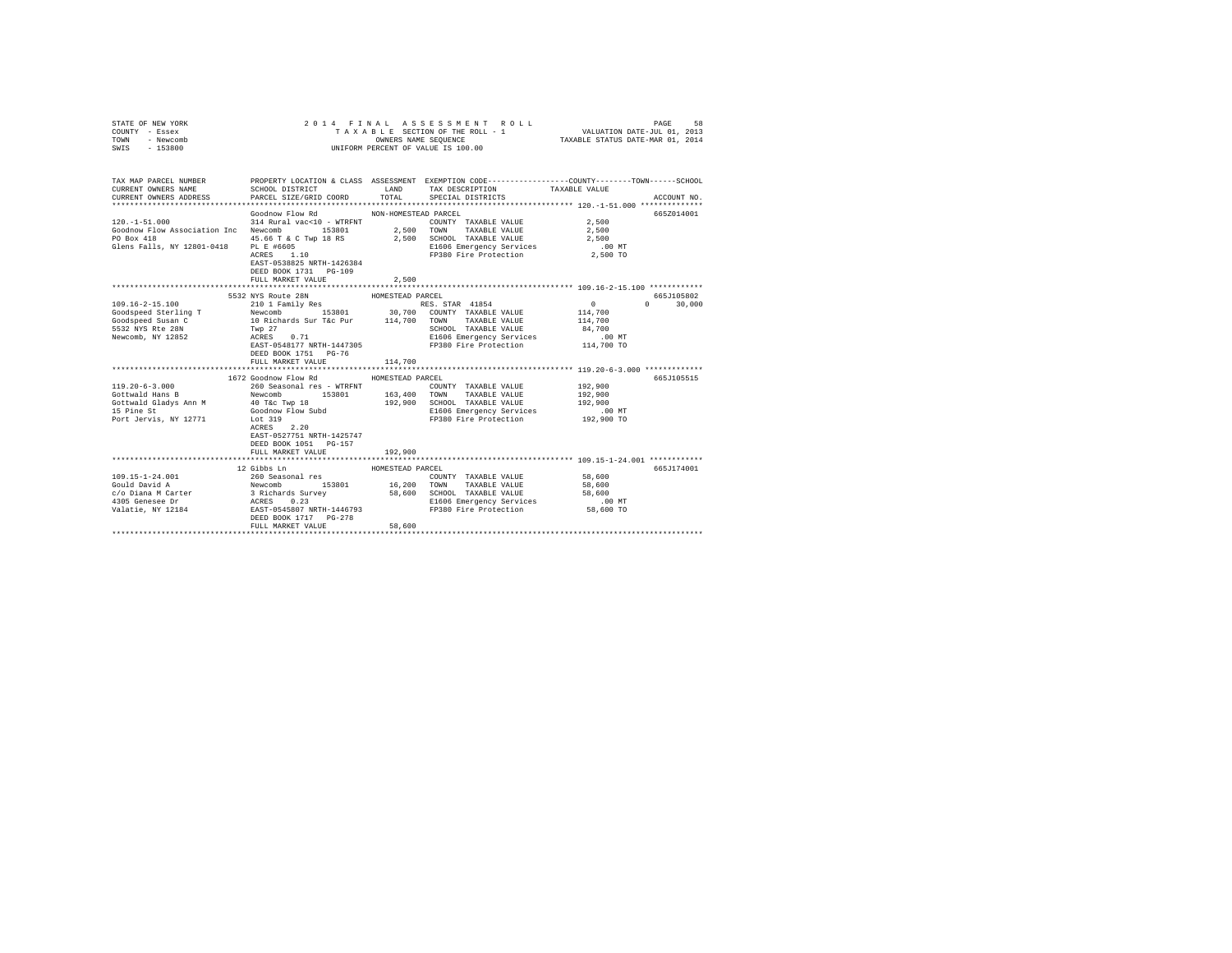| STATE OF NEW YORK<br>COUNTY - Essex<br>TOWN<br>- Newcomb<br>SWIS - 153800                                                                                                                                                                                                |                                                |                  | 2014 FINAL ASSESSMENT ROLL<br>UNIFORM PERCENT OF VALUE IS 100.00                               |                 |                             |
|--------------------------------------------------------------------------------------------------------------------------------------------------------------------------------------------------------------------------------------------------------------------------|------------------------------------------------|------------------|------------------------------------------------------------------------------------------------|-----------------|-----------------------------|
| TAX MAP PARCEL NUMBER PROPERTY LOCATION & CLASS ASSESSMENT EXEMPTION CODE--------------COUNTY-------TOWN------SCHOOL<br>CURRENT OWNERS NAME                                                                                                                              |                                                |                  | SCHOOL DISTRICT                    LAND        TAX DESCRIPTION                   TAXABLE VALUE |                 |                             |
| CURRENT OWNERS ADDRESS                                                                                                                                                                                                                                                   | PARCEL SIZE/GRID COORD TOTAL SPECIAL DISTRICTS |                  |                                                                                                |                 | ACCOUNT NO.                 |
|                                                                                                                                                                                                                                                                          |                                                |                  |                                                                                                |                 | 6657014001                  |
|                                                                                                                                                                                                                                                                          | Goodnow Flow Rd MON-HOMESTEAD PARCEL           |                  | COUNTY TAXABLE VALUE                                                                           | 2,500           |                             |
| $120.-1-51.000~~314~{\rm Rural~vac}{\small \sim}10~{\rm~w}$<br>COUNTY TAXABLE VALUE Goodnow Flow Association Inc Newcomb<br>$153801~~2,500~~{\rm TOWN}~~{\rm TAXABLE~VALUE}$                                                                                             |                                                |                  |                                                                                                | 2,500           |                             |
| PO Box 418                                                                                                                                                                                                                                                               |                                                |                  | 45.66 T & C Twp 18 RS 2,500 SCHOOL TAXABLE VALUE                                               | 2,500           |                             |
| Glens Falls, NY 12801-0418 PL E #6605                                                                                                                                                                                                                                    |                                                |                  | E1606 Emergency Services                                                                       | 2,500<br>.00 MT |                             |
|                                                                                                                                                                                                                                                                          | PL E #6605<br>ACRES 1.10                       |                  | FP380 Fire Protection 2,500 TO                                                                 |                 |                             |
|                                                                                                                                                                                                                                                                          | EAST-0538825 NRTH-1426384                      |                  |                                                                                                |                 |                             |
|                                                                                                                                                                                                                                                                          | DEED BOOK 1731 PG-109                          |                  |                                                                                                |                 |                             |
|                                                                                                                                                                                                                                                                          | FULL MARKET VALUE                              | 2,500            |                                                                                                |                 |                             |
|                                                                                                                                                                                                                                                                          |                                                |                  |                                                                                                |                 |                             |
| $109.16 - 2 - 15.100$                                                                                                                                                                                                                                                    | 5532 NYS Route 28N                             | HOMESTEAD PARCEL | RES. STAR 41854                                                                                | $\sim$ 0 $\sim$ | 665-7105802<br>$0 \t30,000$ |
|                                                                                                                                                                                                                                                                          | 210 1 Family Res                               |                  |                                                                                                |                 |                             |
|                                                                                                                                                                                                                                                                          |                                                |                  |                                                                                                |                 |                             |
|                                                                                                                                                                                                                                                                          |                                                |                  |                                                                                                |                 |                             |
|                                                                                                                                                                                                                                                                          |                                                |                  |                                                                                                |                 |                             |
| Coolor (1991)<br>Coolor (1992)<br>Solor (1992)<br>Solor (1992)<br>State and Coolor (1992)<br>State 28 (1992)<br>State 28 (1992)<br>State 28 (1992)<br>State 28 (1992)<br>State 28 (1992)<br>State 28 (1992)<br>State 28 (1992)<br>State 28 (1992)<br>State 28 (1992)<br> |                                                |                  |                                                                                                |                 |                             |
|                                                                                                                                                                                                                                                                          | DEED BOOK 1751 PG-76                           |                  |                                                                                                |                 |                             |
|                                                                                                                                                                                                                                                                          | FULL MARKET VALUE                              | 114,700          |                                                                                                |                 |                             |
|                                                                                                                                                                                                                                                                          |                                                |                  |                                                                                                |                 |                             |
|                                                                                                                                                                                                                                                                          | 1672 Goodnow Flow Rd                           | HOMESTEAD PARCEL |                                                                                                |                 | 665J105515                  |
|                                                                                                                                                                                                                                                                          |                                                |                  | COUNTY TAXABLE VALUE                                                                           | 192,900         |                             |
|                                                                                                                                                                                                                                                                          |                                                |                  | UNALLES TANK 153801<br>153801 163,400 TOWN TAXABLE VALUE<br>192,900 SCHOOL TAXABLE VALUE       | 192,900         |                             |
|                                                                                                                                                                                                                                                                          |                                                |                  |                                                                                                | 192,900         |                             |
|                                                                                                                                                                                                                                                                          |                                                |                  | E1606 Emergency Services<br>FP380 Fire Protection                                              | $.00$ MT        |                             |
|                                                                                                                                                                                                                                                                          |                                                |                  |                                                                                                | 192,900 TO      |                             |
|                                                                                                                                                                                                                                                                          | EAST-0527751 NRTH-1425747                      |                  |                                                                                                |                 |                             |
|                                                                                                                                                                                                                                                                          | DEED BOOK 1051 PG-157                          |                  |                                                                                                |                 |                             |
|                                                                                                                                                                                                                                                                          | FULL MARKET VALUE                              | 192,900          |                                                                                                |                 |                             |
|                                                                                                                                                                                                                                                                          |                                                |                  |                                                                                                |                 |                             |
|                                                                                                                                                                                                                                                                          | 12 Gibbs Ln                                    | HOMESTEAD PARCEL |                                                                                                |                 | 665J174001                  |
| 109.15-1-24.001                                                                                                                                                                                                                                                          | 260 Seasonal res                               |                  | COUNTY TAXABLE VALUE                                                                           | 58,600          |                             |
| COLLECTION NEW COMMUNISION NEW UNITED AND MELTICAL SUITS (SUITS AND TOWN TAXABLE VALUE<br>C/O Diana M Carter 3 Acheards Survey 58,600 SCHOOL TAXABLE VALUE<br>4305 Genese Dr ACRES 0.23 MINITED ACRES 10166 Emergency Services<br>Va                                     |                                                |                  |                                                                                                | 58,600          |                             |
|                                                                                                                                                                                                                                                                          |                                                |                  |                                                                                                | 58,600          |                             |
|                                                                                                                                                                                                                                                                          |                                                |                  | E1606 Emergency Services .00 MT                                                                |                 |                             |
|                                                                                                                                                                                                                                                                          |                                                |                  | FP380 Fire Protection                                                                          | 58,600 TO       |                             |
|                                                                                                                                                                                                                                                                          | DEED BOOK 1717 PG-278                          |                  |                                                                                                |                 |                             |
|                                                                                                                                                                                                                                                                          | FULL MARKET VALUE                              | 58,600           |                                                                                                |                 |                             |
|                                                                                                                                                                                                                                                                          |                                                |                  |                                                                                                |                 |                             |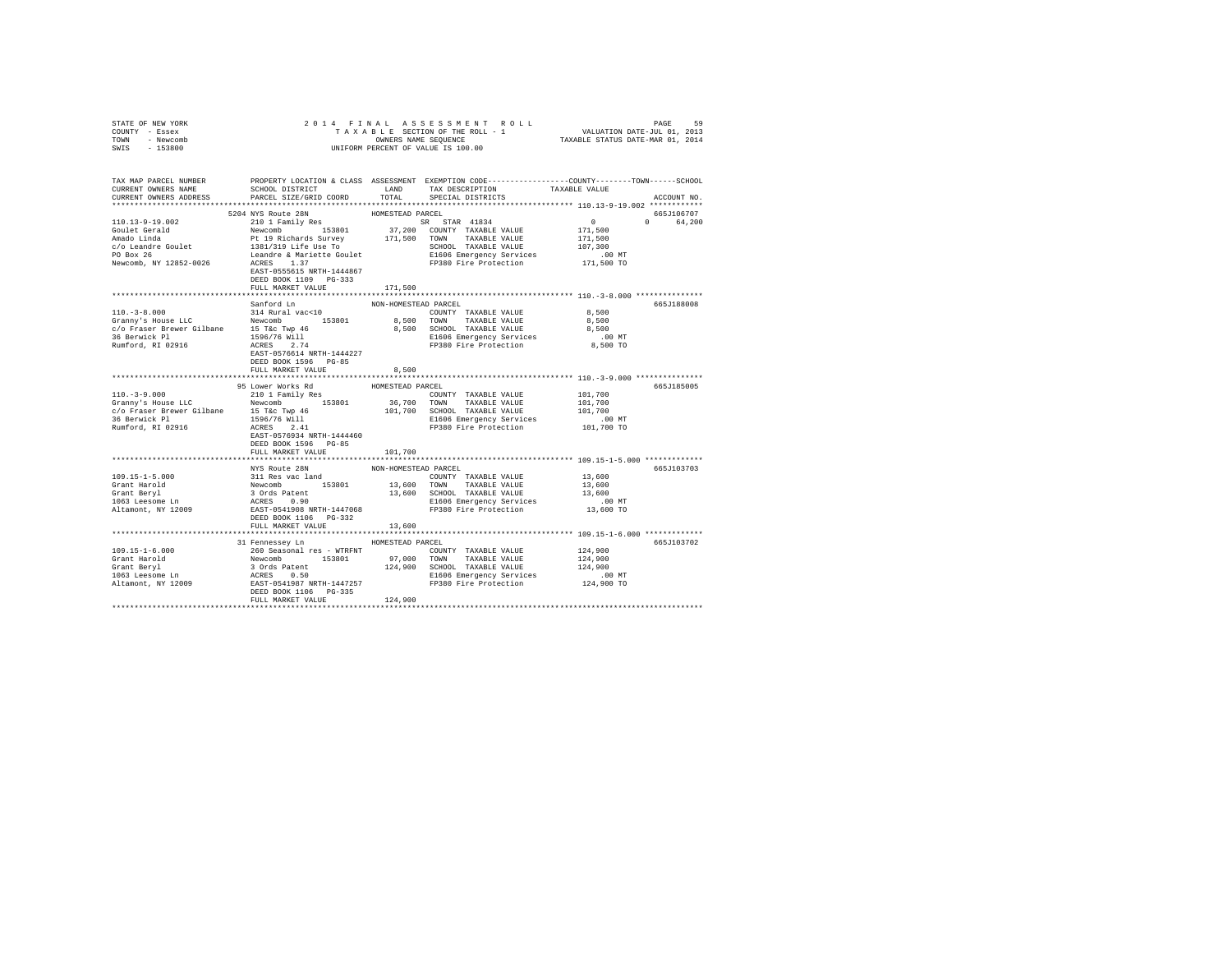| STATE OF NEW YORK                                                                                                                                                                                                                                                                                                                                                                                                                                                  |                                  |                      |                                                                                                       |                                              |             |
|--------------------------------------------------------------------------------------------------------------------------------------------------------------------------------------------------------------------------------------------------------------------------------------------------------------------------------------------------------------------------------------------------------------------------------------------------------------------|----------------------------------|----------------------|-------------------------------------------------------------------------------------------------------|----------------------------------------------|-------------|
| COUNTY - Essex                                                                                                                                                                                                                                                                                                                                                                                                                                                     |                                  |                      |                                                                                                       |                                              |             |
| TOWN - Newcomb                                                                                                                                                                                                                                                                                                                                                                                                                                                     |                                  |                      |                                                                                                       |                                              |             |
| SWIS - 153800                                                                                                                                                                                                                                                                                                                                                                                                                                                      |                                  |                      |                                                                                                       |                                              |             |
|                                                                                                                                                                                                                                                                                                                                                                                                                                                                    |                                  |                      |                                                                                                       |                                              |             |
|                                                                                                                                                                                                                                                                                                                                                                                                                                                                    |                                  |                      |                                                                                                       |                                              |             |
|                                                                                                                                                                                                                                                                                                                                                                                                                                                                    |                                  |                      |                                                                                                       |                                              |             |
|                                                                                                                                                                                                                                                                                                                                                                                                                                                                    |                                  |                      |                                                                                                       |                                              |             |
| CURRENT OWNERS ADDRESS                                                                                                                                                                                                                                                                                                                                                                                                                                             | PARCEL SIZE/GRID COORD           | TOTAL                | SPECIAL DISTRICTS                                                                                     |                                              | ACCOUNT NO. |
| $\begin{tabular}{l c c c c c} \hline & \multicolumn{3}{c}{\textbf{1}} & \multicolumn{3}{c}{\textbf{1}} & \multicolumn{3}{c}{\textbf{1}} & \multicolumn{3}{c}{\textbf{1}} & \multicolumn{3}{c}{\textbf{1}} & \multicolumn{3}{c}{\textbf{1}} & \multicolumn{3}{c}{\textbf{1}} & \multicolumn{3}{c}{\textbf{1}} & \multicolumn{3}{c}{\textbf{1}} & \multicolumn{3}{c}{\textbf{1}} & \multicolumn{3}{c}{\textbf{1}} & \multicolumn{3}{c}{\textbf{1}} & \multicolumn{3$ |                                  |                      |                                                                                                       |                                              |             |
|                                                                                                                                                                                                                                                                                                                                                                                                                                                                    |                                  |                      |                                                                                                       | $0$ $0$ $0$ $64,200$<br>171,500 $0$ $64,200$ | 665J106707  |
|                                                                                                                                                                                                                                                                                                                                                                                                                                                                    |                                  |                      |                                                                                                       |                                              |             |
|                                                                                                                                                                                                                                                                                                                                                                                                                                                                    |                                  |                      |                                                                                                       |                                              |             |
|                                                                                                                                                                                                                                                                                                                                                                                                                                                                    |                                  |                      |                                                                                                       |                                              |             |
|                                                                                                                                                                                                                                                                                                                                                                                                                                                                    |                                  |                      |                                                                                                       |                                              |             |
|                                                                                                                                                                                                                                                                                                                                                                                                                                                                    |                                  |                      |                                                                                                       |                                              |             |
|                                                                                                                                                                                                                                                                                                                                                                                                                                                                    |                                  |                      |                                                                                                       |                                              |             |
|                                                                                                                                                                                                                                                                                                                                                                                                                                                                    |                                  |                      |                                                                                                       |                                              |             |
|                                                                                                                                                                                                                                                                                                                                                                                                                                                                    | DEED BOOK 1109 PG-333            |                      |                                                                                                       |                                              |             |
|                                                                                                                                                                                                                                                                                                                                                                                                                                                                    | FULL MARKET VALUE                | 171,500              |                                                                                                       |                                              |             |
|                                                                                                                                                                                                                                                                                                                                                                                                                                                                    |                                  |                      |                                                                                                       |                                              |             |
|                                                                                                                                                                                                                                                                                                                                                                                                                                                                    | Sanford Ln                       | NON-HOMESTEAD PARCEL |                                                                                                       |                                              | 665J188008  |
|                                                                                                                                                                                                                                                                                                                                                                                                                                                                    |                                  |                      | COUNTY TAXABLE VALUE $8,500$                                                                          |                                              |             |
|                                                                                                                                                                                                                                                                                                                                                                                                                                                                    |                                  |                      | 8,500 TOWN TAXABLE VALUE                                                                              | 8,500                                        |             |
|                                                                                                                                                                                                                                                                                                                                                                                                                                                                    |                                  |                      |                                                                                                       |                                              |             |
| 110.-3-8.000<br>Granny's House LLC Mexican Mexican 153801<br>Sammy's House LLC Mexican 15 Tkc Twp 46<br>36 Berwick P1 1586/76 Will 1596/76 Will<br>26 Berwick P1 1596/76 Will 1596/76 Will 1596/76 Will Rumford, RI 02916                                                                                                                                                                                                                                          |                                  |                      | 8,500 SCHOOL TAXABLE VALUE 8,500<br>E1606 Emergency Services .00 MT<br>FP380 Fire Protection 8,500 TO |                                              |             |
|                                                                                                                                                                                                                                                                                                                                                                                                                                                                    |                                  |                      |                                                                                                       |                                              |             |
|                                                                                                                                                                                                                                                                                                                                                                                                                                                                    | EAST-0576614 NRTH-1444227        |                      |                                                                                                       |                                              |             |
|                                                                                                                                                                                                                                                                                                                                                                                                                                                                    | DEED BOOK 1596 PG-85             |                      |                                                                                                       |                                              |             |
|                                                                                                                                                                                                                                                                                                                                                                                                                                                                    | FULL MARKET VALUE                | 8,500                |                                                                                                       |                                              |             |
|                                                                                                                                                                                                                                                                                                                                                                                                                                                                    |                                  | ***************      |                                                                                                       | ************* 110.-3-9.000 ****************  |             |
|                                                                                                                                                                                                                                                                                                                                                                                                                                                                    | 95 Lower Works Rd                | HOMESTEAD PARCEL     |                                                                                                       |                                              | 665J185005  |
| $110 - -3 - 9.000$                                                                                                                                                                                                                                                                                                                                                                                                                                                 |                                  |                      | COUNTY TAXABLE VALUE                                                                                  | 101,700                                      |             |
| 110.-3-9.000<br>CP 101 Pamily Res 2010 I Family Res<br>C/O Fraser Brewer Gilbane<br>C/O Fraser Brewer Gilbane<br>15 T&c Twp 46<br>36 Berwick P1<br>Rumford, RI 02916<br>RES 2.41<br>REST-0576934 NRTH-1444460<br>DEED BOOK 1596 PG-85<br>PLIL MAR                                                                                                                                                                                                                  |                                  |                      |                                                                                                       |                                              |             |
|                                                                                                                                                                                                                                                                                                                                                                                                                                                                    |                                  |                      | 36,700 TOWN TAXABLE VALUE<br>101,700 SCHOOL TAXABLE VALUE                                             | 101,700<br>101,700<br>00 MT                  |             |
|                                                                                                                                                                                                                                                                                                                                                                                                                                                                    |                                  |                      |                                                                                                       |                                              |             |
|                                                                                                                                                                                                                                                                                                                                                                                                                                                                    |                                  |                      | E1606 Emergency Services                                                                              |                                              |             |
|                                                                                                                                                                                                                                                                                                                                                                                                                                                                    |                                  |                      | FP380 Fire Protection                                                                                 | 101,700 TO                                   |             |
|                                                                                                                                                                                                                                                                                                                                                                                                                                                                    |                                  |                      |                                                                                                       |                                              |             |
|                                                                                                                                                                                                                                                                                                                                                                                                                                                                    |                                  |                      |                                                                                                       |                                              |             |
|                                                                                                                                                                                                                                                                                                                                                                                                                                                                    | FULL MARKET VALUE                | 101,700              |                                                                                                       |                                              |             |
|                                                                                                                                                                                                                                                                                                                                                                                                                                                                    |                                  |                      |                                                                                                       |                                              |             |
|                                                                                                                                                                                                                                                                                                                                                                                                                                                                    | NYS Route 28N                    | NON-HOMESTEAD PARCEL |                                                                                                       |                                              | 665J103703  |
|                                                                                                                                                                                                                                                                                                                                                                                                                                                                    |                                  |                      |                                                                                                       |                                              |             |
|                                                                                                                                                                                                                                                                                                                                                                                                                                                                    |                                  |                      |                                                                                                       |                                              |             |
|                                                                                                                                                                                                                                                                                                                                                                                                                                                                    |                                  |                      |                                                                                                       |                                              |             |
|                                                                                                                                                                                                                                                                                                                                                                                                                                                                    |                                  |                      |                                                                                                       |                                              |             |
|                                                                                                                                                                                                                                                                                                                                                                                                                                                                    |                                  |                      |                                                                                                       |                                              |             |
|                                                                                                                                                                                                                                                                                                                                                                                                                                                                    |                                  |                      |                                                                                                       |                                              |             |
|                                                                                                                                                                                                                                                                                                                                                                                                                                                                    | FULL MARKET VALUE                | 13,600               |                                                                                                       |                                              |             |
|                                                                                                                                                                                                                                                                                                                                                                                                                                                                    |                                  |                      |                                                                                                       |                                              |             |
|                                                                                                                                                                                                                                                                                                                                                                                                                                                                    | 31 Fennessey Ln MOMESTEAD PARCEL |                      |                                                                                                       |                                              | 665J103702  |
| $109.15 - 1 - 6.000$                                                                                                                                                                                                                                                                                                                                                                                                                                               |                                  |                      |                                                                                                       |                                              |             |
|                                                                                                                                                                                                                                                                                                                                                                                                                                                                    |                                  |                      |                                                                                                       |                                              |             |
|                                                                                                                                                                                                                                                                                                                                                                                                                                                                    |                                  |                      |                                                                                                       |                                              |             |
|                                                                                                                                                                                                                                                                                                                                                                                                                                                                    |                                  |                      |                                                                                                       |                                              |             |
|                                                                                                                                                                                                                                                                                                                                                                                                                                                                    |                                  |                      |                                                                                                       | .00 MT.<br>124,900 TO                        |             |
|                                                                                                                                                                                                                                                                                                                                                                                                                                                                    |                                  |                      |                                                                                                       |                                              |             |
| Form Harold<br>Grant Harold<br>Grant Beryl<br>1063 Leesome Ln<br>Altamont, NY 12009                                                                                                                                                                                                                                                                                                                                                                                |                                  |                      |                                                                                                       |                                              |             |
|                                                                                                                                                                                                                                                                                                                                                                                                                                                                    | FULL MARKET VALUE                | 124,900              |                                                                                                       |                                              |             |
|                                                                                                                                                                                                                                                                                                                                                                                                                                                                    |                                  |                      |                                                                                                       |                                              |             |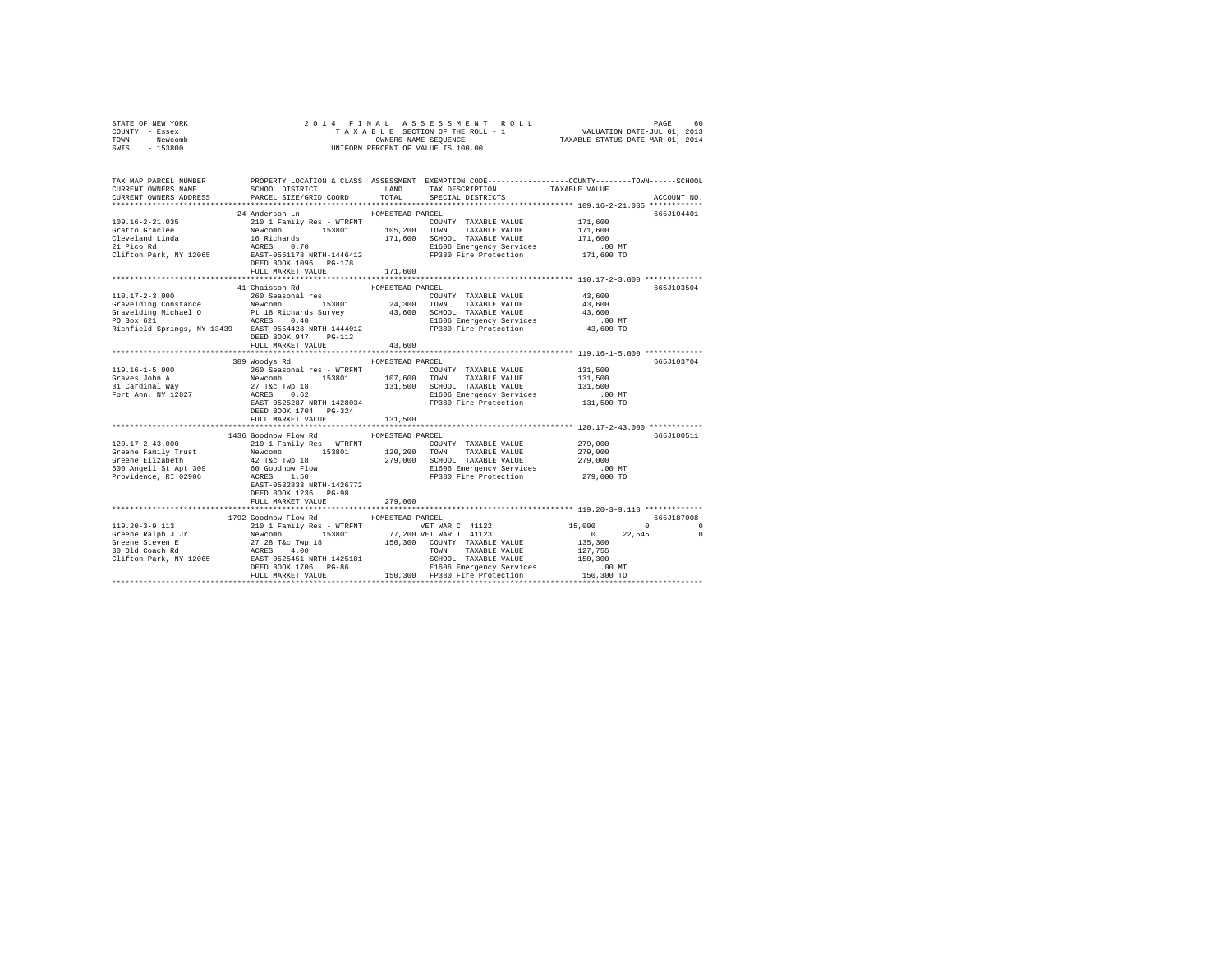| STATE OF NEW YORK<br>COUNTY - Essex<br>TOWN<br>- Newcomb<br>SWIS<br>$-153800$                    |                                                                                        |                  |                                                                                                                                                                                                                                                                                                                                                                                                                                          |                                                  |                      |
|--------------------------------------------------------------------------------------------------|----------------------------------------------------------------------------------------|------------------|------------------------------------------------------------------------------------------------------------------------------------------------------------------------------------------------------------------------------------------------------------------------------------------------------------------------------------------------------------------------------------------------------------------------------------------|--------------------------------------------------|----------------------|
| TAX MAP PARCEL NUMBER<br>CURRENT OWNERS NAME<br>CURRENT OWNERS ADDRESS                           | SCHOOL DISTRICT TAND TAX DESCRIPTION<br>PARCEL SIZE/GRID COORD TOTAL SPECIAL DISTRICTS |                  | PROPERTY LOCATION & CLASS ASSESSMENT EXEMPTION CODE----------------COUNTY-------TOWN-----SCHOOL                                                                                                                                                                                                                                                                                                                                          | TAXABLE VALUE                                    | ACCOUNT NO.          |
|                                                                                                  | 24 Anderson Ln                                                                         | HOMESTEAD PARCEL |                                                                                                                                                                                                                                                                                                                                                                                                                                          |                                                  | 665J104401           |
|                                                                                                  |                                                                                        |                  | COUNTY TAXABLE VALUE                                                                                                                                                                                                                                                                                                                                                                                                                     |                                                  |                      |
|                                                                                                  |                                                                                        |                  |                                                                                                                                                                                                                                                                                                                                                                                                                                          | 171,600<br>171,600                               |                      |
|                                                                                                  |                                                                                        |                  |                                                                                                                                                                                                                                                                                                                                                                                                                                          | 171,600                                          |                      |
|                                                                                                  |                                                                                        |                  | E1606 Emergency Services                                                                                                                                                                                                                                                                                                                                                                                                                 | .00 MT                                           |                      |
|                                                                                                  |                                                                                        |                  |                                                                                                                                                                                                                                                                                                                                                                                                                                          | 171,600 TO                                       |                      |
|                                                                                                  |                                                                                        |                  |                                                                                                                                                                                                                                                                                                                                                                                                                                          |                                                  |                      |
|                                                                                                  | FULL MARKET VALUE                                                                      | 171,600          |                                                                                                                                                                                                                                                                                                                                                                                                                                          |                                                  |                      |
|                                                                                                  |                                                                                        |                  |                                                                                                                                                                                                                                                                                                                                                                                                                                          |                                                  |                      |
|                                                                                                  | 41 Chaisson Rd                                                                         | HOMESTEAD PARCEL |                                                                                                                                                                                                                                                                                                                                                                                                                                          |                                                  | 665J103504           |
| 110.17-2-3.000 260 Seasonal res<br>Gravelding Constance Mewcomb 153801 24,300 TOWN TAXABLE VALUE |                                                                                        |                  |                                                                                                                                                                                                                                                                                                                                                                                                                                          | 43,600                                           |                      |
|                                                                                                  |                                                                                        |                  |                                                                                                                                                                                                                                                                                                                                                                                                                                          | 43,600                                           |                      |
|                                                                                                  |                                                                                        |                  |                                                                                                                                                                                                                                                                                                                                                                                                                                          | 43,600<br>$.00$ MT                               |                      |
|                                                                                                  |                                                                                        |                  |                                                                                                                                                                                                                                                                                                                                                                                                                                          | 43,600 TO                                        |                      |
|                                                                                                  | DEED BOOK 947 PG-112                                                                   |                  |                                                                                                                                                                                                                                                                                                                                                                                                                                          |                                                  |                      |
|                                                                                                  | FULL MARKET VALUE                                                                      | 43,600           |                                                                                                                                                                                                                                                                                                                                                                                                                                          |                                                  |                      |
|                                                                                                  |                                                                                        |                  |                                                                                                                                                                                                                                                                                                                                                                                                                                          |                                                  |                      |
|                                                                                                  | 389 Woodys Rd                                                                          | HOMESTEAD PARCEL |                                                                                                                                                                                                                                                                                                                                                                                                                                          |                                                  | 665J103704           |
| 119.16-1-5.000                                                                                   |                                                                                        |                  |                                                                                                                                                                                                                                                                                                                                                                                                                                          |                                                  |                      |
| Graves John A<br>31 Cardinal Way                                                                 |                                                                                        |                  |                                                                                                                                                                                                                                                                                                                                                                                                                                          |                                                  |                      |
|                                                                                                  |                                                                                        |                  |                                                                                                                                                                                                                                                                                                                                                                                                                                          |                                                  |                      |
| Fort Ann, NY 12827                                                                               |                                                                                        |                  |                                                                                                                                                                                                                                                                                                                                                                                                                                          |                                                  |                      |
|                                                                                                  | DEED BOOK 1704 PG-324                                                                  |                  | $\begin{tabular}{l c c c c c} \multicolumn{1}{c}{\textbf{260\_Seasonal}}\hline {\textbf{260\_Seasonal}}\hline \multicolumn{1}{c}{\textbf{260\_Seasonal}}\hline \multicolumn{1}{c}{\textbf{260\_Seasonal}}\hline \multicolumn{1}{c}{\textbf{260\_MeV}}\hline \multicolumn{1}{c}{\textbf{27\_MeV}}\hline \multicolumn{1}{c}{\textbf{28\_MeV}}\hline \multicolumn{1}{c}{\textbf{28\_MeV}}\hline \multicolumn{1}{c}{\textbf{29\_MeV}}\hline$ |                                                  |                      |
|                                                                                                  | FULL MARKET VALUE                                                                      | 131,500          |                                                                                                                                                                                                                                                                                                                                                                                                                                          |                                                  |                      |
|                                                                                                  |                                                                                        |                  |                                                                                                                                                                                                                                                                                                                                                                                                                                          | ******************* 120.17-2-43.000 ************ |                      |
|                                                                                                  | 1436 Goodnow Flow Rd                                                                   | HOMESTEAD PARCEL |                                                                                                                                                                                                                                                                                                                                                                                                                                          |                                                  | 665J100511           |
|                                                                                                  |                                                                                        |                  |                                                                                                                                                                                                                                                                                                                                                                                                                                          |                                                  |                      |
|                                                                                                  |                                                                                        |                  |                                                                                                                                                                                                                                                                                                                                                                                                                                          |                                                  |                      |
|                                                                                                  |                                                                                        |                  |                                                                                                                                                                                                                                                                                                                                                                                                                                          |                                                  |                      |
|                                                                                                  |                                                                                        |                  |                                                                                                                                                                                                                                                                                                                                                                                                                                          |                                                  |                      |
|                                                                                                  |                                                                                        |                  |                                                                                                                                                                                                                                                                                                                                                                                                                                          |                                                  |                      |
|                                                                                                  | DEED BOOK 1236 PG-98                                                                   |                  |                                                                                                                                                                                                                                                                                                                                                                                                                                          |                                                  |                      |
|                                                                                                  | FULL MARKET VALUE                                                                      | 279,000          |                                                                                                                                                                                                                                                                                                                                                                                                                                          |                                                  |                      |
|                                                                                                  |                                                                                        |                  |                                                                                                                                                                                                                                                                                                                                                                                                                                          |                                                  |                      |
|                                                                                                  | 1792 Goodnow Flow Rd HOMESTEAD PARCEL                                                  |                  |                                                                                                                                                                                                                                                                                                                                                                                                                                          |                                                  | 665J187008           |
|                                                                                                  |                                                                                        |                  |                                                                                                                                                                                                                                                                                                                                                                                                                                          |                                                  | $\sim$ 0<br>$\Omega$ |
|                                                                                                  |                                                                                        |                  |                                                                                                                                                                                                                                                                                                                                                                                                                                          |                                                  | 22.545<br>$\Omega$   |
|                                                                                                  |                                                                                        |                  |                                                                                                                                                                                                                                                                                                                                                                                                                                          |                                                  |                      |
|                                                                                                  |                                                                                        |                  |                                                                                                                                                                                                                                                                                                                                                                                                                                          |                                                  |                      |
|                                                                                                  |                                                                                        |                  |                                                                                                                                                                                                                                                                                                                                                                                                                                          |                                                  |                      |
|                                                                                                  |                                                                                        |                  |                                                                                                                                                                                                                                                                                                                                                                                                                                          |                                                  |                      |
|                                                                                                  |                                                                                        |                  |                                                                                                                                                                                                                                                                                                                                                                                                                                          |                                                  |                      |
|                                                                                                  |                                                                                        |                  |                                                                                                                                                                                                                                                                                                                                                                                                                                          |                                                  |                      |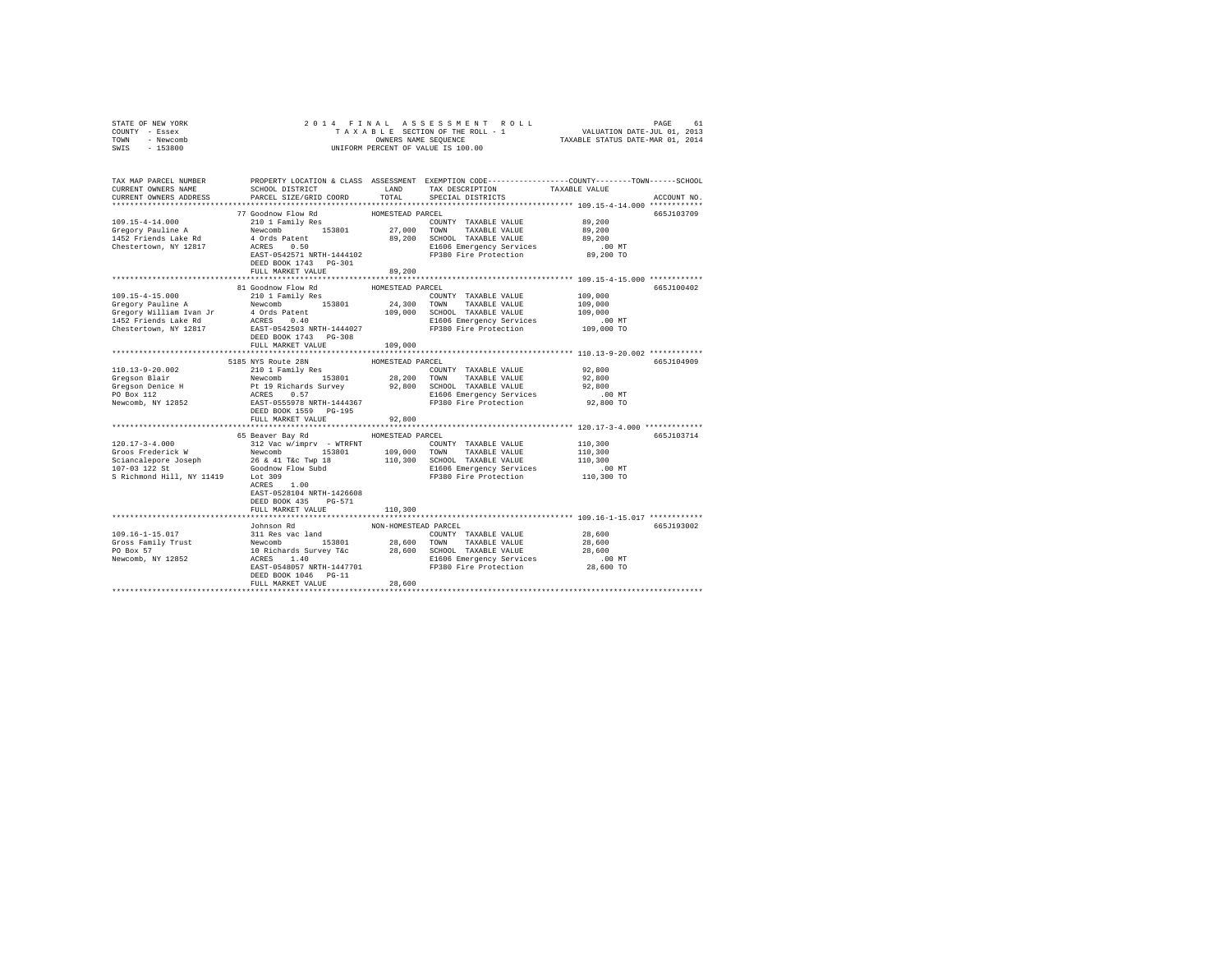| COUNTY - Essex<br>TOWN - Newcomb<br>SWIS - 153800                                                                                                                                                                                                               |                                                                                                                                                                                                                                                                                                                                |                                | UNIFORM PERCENT OF VALUE IS 100.00                                                                              |                                                       |             |
|-----------------------------------------------------------------------------------------------------------------------------------------------------------------------------------------------------------------------------------------------------------------|--------------------------------------------------------------------------------------------------------------------------------------------------------------------------------------------------------------------------------------------------------------------------------------------------------------------------------|--------------------------------|-----------------------------------------------------------------------------------------------------------------|-------------------------------------------------------|-------------|
| TAX MAP PARCEL NUMBER PROPERTY LOCATION & CLASS ASSESSMENT EXEMPTION CODE---------------COUNTY-------TOWN------SCHOOL<br>CURRENT OWNERS NAME<br>CURRENT OWNERS ADDRESS                                                                                          | PARCEL SIZE/GRID COORD                                                                                                                                                                                                                                                                                                         | TOTAL                          | SCHOOL DISTRICT                   LAND       TAX DESCRIPTION                 TAXABLE VALUE<br>SPECIAL DISTRICTS |                                                       | ACCOUNT NO. |
| 109.15-4-14.000<br>Gregory Pauline A<br>1452 Friends Lake Rd<br>Chestertown, NY 12817                                                                                                                                                                           | 77 Goodnow Flow Rd<br>210 1 Family Res<br>Xay 1 Paul 1 Paul 27,000 COWN TAXABLE VALUE 39,200<br>4 Ords Patent 153801 39,200 SCHOOL TAXABLE VALUE 39,200<br>4 Ords Patent 1444102 E1606 Emergency Services<br>RAST-0542571 NRTH-1444102 FP380 Fire Protection 39,200 TO<br>FRAST-<br>DEED BOOK 1743 PG-301<br>FULL MARKET VALUE | HOMESTEAD PARCEL<br>89,200     | COUNTY TAXABLE VALUE                                                                                            | 89,200                                                | 665J103709  |
|                                                                                                                                                                                                                                                                 |                                                                                                                                                                                                                                                                                                                                |                                |                                                                                                                 |                                                       |             |
| 109.15-4-15.000<br>Cregory Pauline A<br>Mewcomb 153801 24,300 TOWN TAXABLE VALUE 109,000<br>19,000 CHOM IN TAXABLE VALUE 109,000<br>19,000 CHOM IN TAXABLE VALUE 109,000<br>19,000 CHOM IN TAXABLE VALUE 109,000<br>19,000 MT<br>2606 Emergency Services<br>20, | 81 Goodnow Flow Rd<br>210 1 Family Res<br>DEED BOOK 1743 PG-308<br>FULL MARKET VALUE                                                                                                                                                                                                                                           | HOMESTEAD PARCEL<br>109,000    | COUNTY TAXABLE VALUE                                                                                            | 109,000                                               | 665J100402  |
|                                                                                                                                                                                                                                                                 |                                                                                                                                                                                                                                                                                                                                |                                |                                                                                                                 |                                                       |             |
| 110.13-9-20.002                                                                                                                                                                                                                                                 | 5185 NYS Route 28N HOMESTEAD PARCEL<br>210 1 Family Res COUN<br>DEED BOOK 1559 PG-195                                                                                                                                                                                                                                          |                                | COUNTY TAXABLE VALUE                                                                                            | 92,800<br>92,800<br>92,800<br>$.00$ MT<br>92,800 TO   | 665J104909  |
|                                                                                                                                                                                                                                                                 | FULL MARKET VALUE                                                                                                                                                                                                                                                                                                              | 92,800                         |                                                                                                                 |                                                       |             |
| $120.17 - 3 - 4.000$                                                                                                                                                                                                                                            | 65 Beaver Bay Rd MOMESTEAD PARCEL<br>312 Vac w/imprv - WTRFNT<br>EAST-0528104 NRTH-1426608<br>DEED BOOK 435 PG-571                                                                                                                                                                                                             |                                | COUNTY TAXABLE VALUE                                                                                            | 110,300<br>110,300<br>110,300<br>.00 MT<br>110,300 TO | 665J103714  |
|                                                                                                                                                                                                                                                                 | FULL MARKET VALUE                                                                                                                                                                                                                                                                                                              | 110,300                        |                                                                                                                 |                                                       |             |
|                                                                                                                                                                                                                                                                 |                                                                                                                                                                                                                                                                                                                                |                                |                                                                                                                 |                                                       |             |
|                                                                                                                                                                                                                                                                 | Johnson Rd<br>DEED BOOK 1046 PG-11<br>FULL MARKET VALUE                                                                                                                                                                                                                                                                        | NON-HOMESTEAD PARCEL<br>28,600 |                                                                                                                 |                                                       | 665J193002  |
|                                                                                                                                                                                                                                                                 |                                                                                                                                                                                                                                                                                                                                |                                |                                                                                                                 |                                                       |             |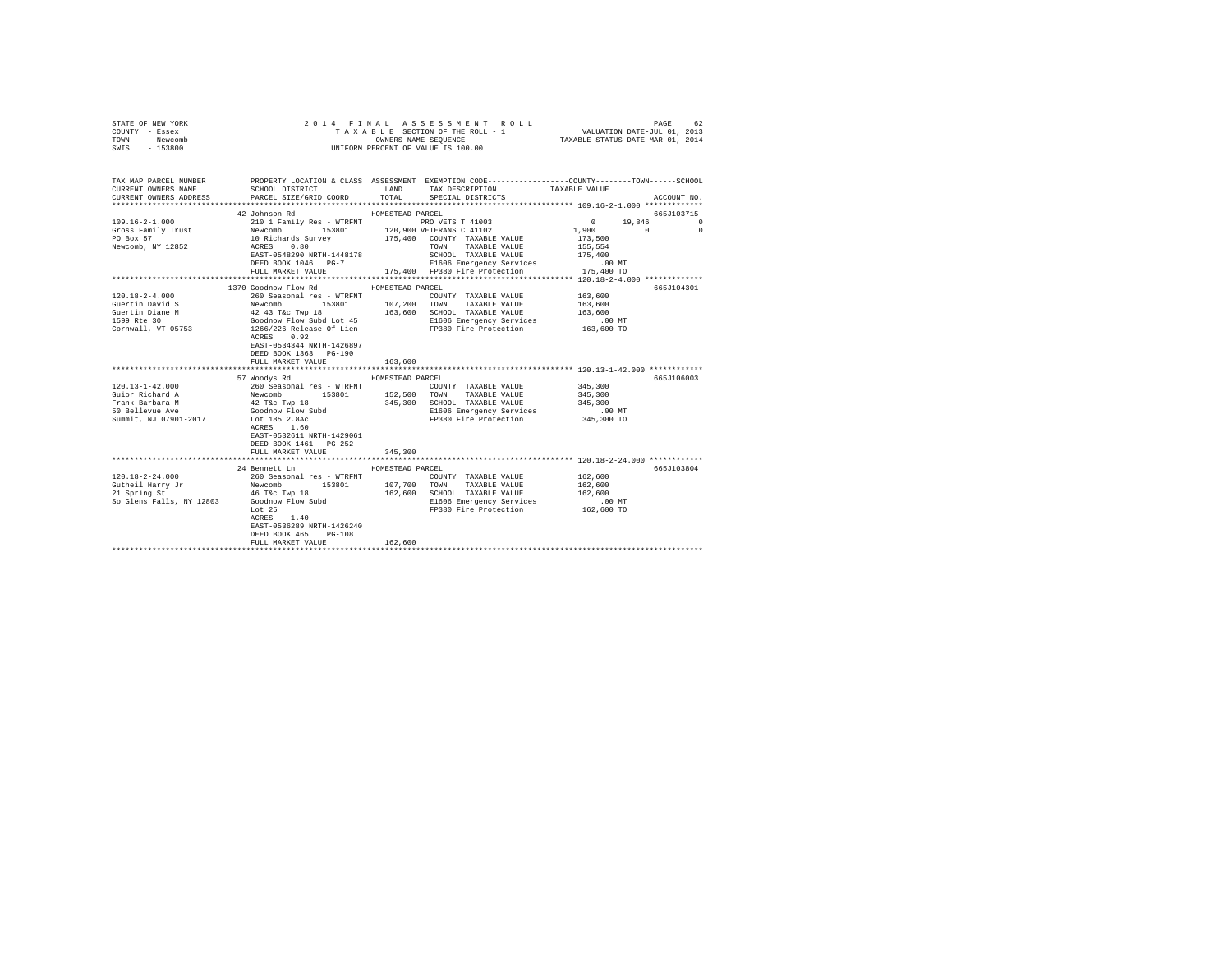| STATE OF NEW YORK<br>COUNTY - Essex<br>TOWN - Newcomb<br>SWIS - 153800                                  |                                                                                                                       | 2014 FINAL ASSESSMENT ROLL<br>B L E SECTION OF THE ROLL - 1<br>ONNERS NAME SEQUENCE<br>TAXABLE STATUS DATE-MAR 01, 2013<br>TAXABLE SECTION OF THE ROLL - 1<br>UNIFORM PERCENT OF VALUE IS 100.00                                                                                                                  | PAGE<br>62                                                                      |
|---------------------------------------------------------------------------------------------------------|-----------------------------------------------------------------------------------------------------------------------|-------------------------------------------------------------------------------------------------------------------------------------------------------------------------------------------------------------------------------------------------------------------------------------------------------------------|---------------------------------------------------------------------------------|
| CURRENT OWNERS NAME<br>CURRENT OWNERS ADDRESS                                                           |                                                                                                                       | TAX MAP PARCEL NUMBER PROPERTY LOCATION & CLASS ASSESSMENT EXEMPTION CODE---------------COUNTY-------TOWN-----SCHOOL<br>SCHOOL DISTRICT TAND TAX DESCRIPTION<br>PARCEL SIZE/GRID COORD TOTAL SPECIAL DISTRICTS                                                                                                    | TAXABLE VALUE<br>ACCOUNT NO.                                                    |
|                                                                                                         | 42 Johnson Rd                                                                                                         | HOMESTEAD PARCEL                                                                                                                                                                                                                                                                                                  | 665J103715                                                                      |
| $109.16 - 2 - 1.000$<br>Gross Family Trust<br>PO Box 57<br>Newcomb, NY 12852                            | EAST-0548290 NRTH-1448178                                                                                             | 210 1 Family Res - WTRFNT PRO VETS T 41003<br>Newcomb 153601 120,900 VETERANS C 41102<br>16 Nethards Survey 175,400 COUNTY TAXABLE VALUE<br>20 NETHARDS SURVEY 175,400 TOWN TAXABLE VALUE<br>SCHOOL TAXABLE VALUE                                                                                                 | 0<br>19,846<br>$\Omega$<br>1,900 0<br>$\Omega$<br>173,500<br>155,554<br>175,400 |
|                                                                                                         | DEED BOOK 1046 PG-7<br>FULL MARKET VALUE                                                                              | E1606 Emergency Services<br>175,400 FP380 Fire Protection 175,400 TO                                                                                                                                                                                                                                              | .00MT                                                                           |
|                                                                                                         |                                                                                                                       |                                                                                                                                                                                                                                                                                                                   |                                                                                 |
| 120.18-2-4.000<br>Guertin David S<br>Guertin Diane M<br>1599 Rte 30<br>Cornwall, VT 05753               | 1370 Goodnow Flow Rd MOMESTEAD PARCEL<br>ACRES 0.92<br>EAST-0534344 NRTH-1426897<br>DEED BOOK 1363 PG-190             | 260 Seasonal res - WTRFNT<br>260 Seasonal res - WTRFNT<br>Newcomb 153801 107,200 TOWN TAXABLE VALUE<br>42 43 T&C Twp 18<br>460 SCHOOL TAXABLE VALUE<br>4600drow Flow Subd Lot 45 1606 Energency Services<br>1266/226 Release Of Lien<br>FP38                                                                      | 665J104301<br>163,600<br>163,600<br>163,600<br>$.00$ MT<br>163,600 TO           |
|                                                                                                         | FULL MARKET VALUE                                                                                                     | 163,600                                                                                                                                                                                                                                                                                                           |                                                                                 |
| $120.13 - 1 - 42.000$<br>Guior Richard A<br>Frank Barbara M<br>50 Bellevue Ave<br>Summit, NJ 07901-2017 | 57 Woodys Rd<br>EAST-0532611 NRTH-1429061<br>DEED BOOK 1461   PG-252                                                  | HOMESTEAD PARCEL<br>260 Seasonal res - WTRFNT<br>Noors AGO Seasonal res - WTRFNT<br>Newcomb 153801 152,500 TOWNY TAXABLE VALUE<br>42 T&c Twp 18 345,300 SCHOOL TAXABLE VALUE<br>42 T&c Twp 18 2160 EI606 Emergency Services<br>Lot 185 2.8Ac FP380 Fire Prot<br>E1606 Emergency Services<br>FP380 Fire Protection | 665J106003<br>345,300<br>345,300<br>345,300<br>$.00$ MT<br>345,300 TO           |
|                                                                                                         | FULL MARKET VALUE                                                                                                     | 345,300                                                                                                                                                                                                                                                                                                           |                                                                                 |
|                                                                                                         | 24 Bennett Ln                                                                                                         | HOMESTEAD PARCEL                                                                                                                                                                                                                                                                                                  | 665J103804                                                                      |
|                                                                                                         | $ACRES$ 1.40<br>EAST-0536289 NRTH-1426240<br>DEED BOOK 465 PG-108<br>FULL MARKET VALUE<br>*************************** | COUNTY TAXABLE VALUE<br>162,600 SCHOOL TAXABLE VALUE 162,600<br>El606 Emergency Services 100 MT<br>FP380 Fire Protection 162,600 TO<br>162,600                                                                                                                                                                    | 162,600<br>162,600                                                              |
|                                                                                                         |                                                                                                                       |                                                                                                                                                                                                                                                                                                                   |                                                                                 |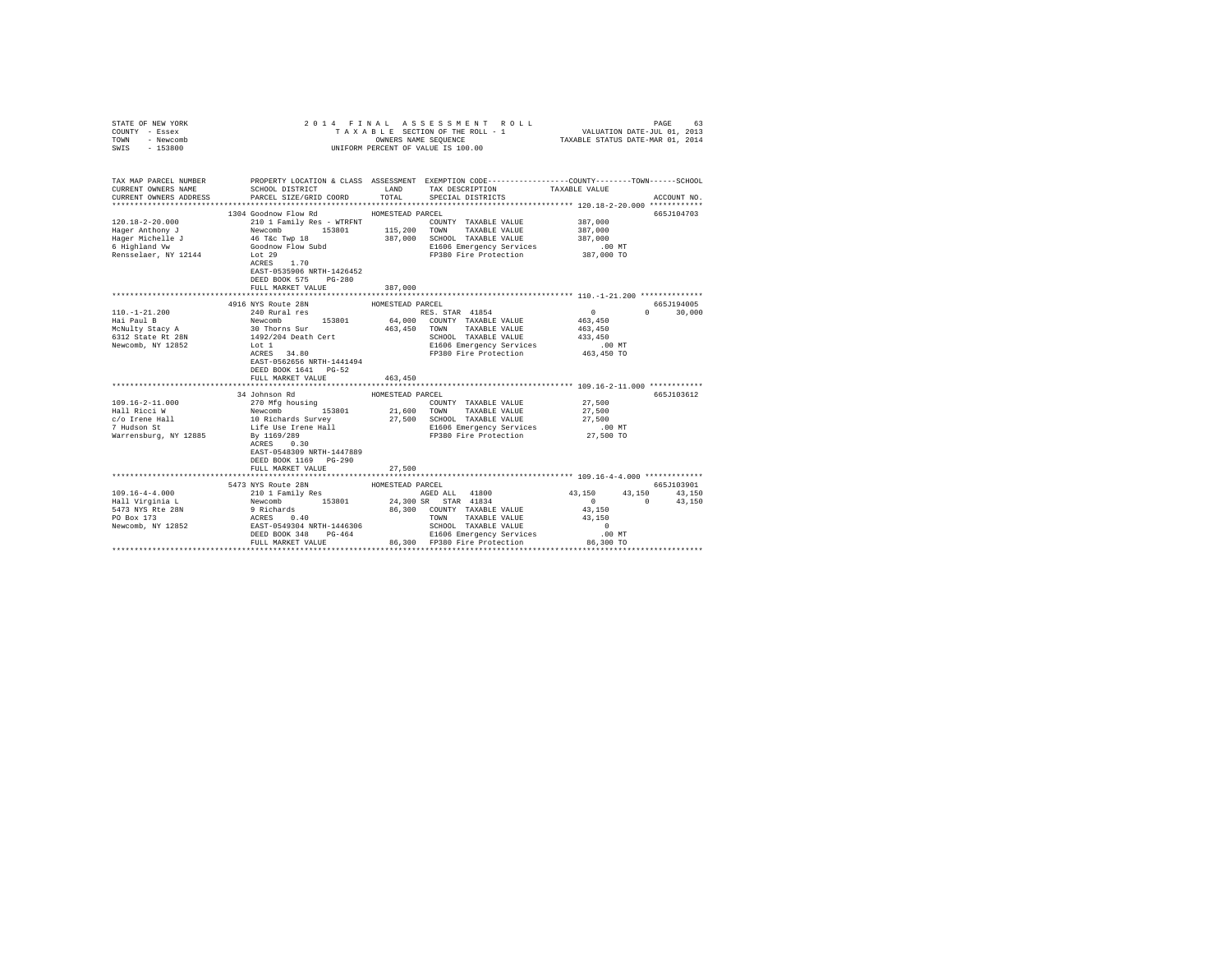| COUNTY - Essex<br>TOWN<br>- Newcomb<br>SWIS - 153800 |                                                                                                                                                                                                                                                                                                                                                                                                |                          | UNIFORM PERCENT OF VALUE IS 100.00                       |                                                           |               |
|------------------------------------------------------|------------------------------------------------------------------------------------------------------------------------------------------------------------------------------------------------------------------------------------------------------------------------------------------------------------------------------------------------------------------------------------------------|--------------------------|----------------------------------------------------------|-----------------------------------------------------------|---------------|
| CURRENT OWNERS NAME<br>CURRENT OWNERS ADDRESS        | TAX MAP PARCEL NUMBER PROPERTY LOCATION & CLASS ASSESSMENT EXEMPTION CODE---------------COUNTY-------TOWN------SCHOOL<br>SCHOOL DISTRICT TAND TAX DESCRIPTION<br>PARCEL SIZE/GRID COORD                                                                                                                                                                                                        | TOTAL                    | SPECIAL DISTRICTS                                        | TAXABLE VALUE                                             | ACCOUNT NO.   |
|                                                      |                                                                                                                                                                                                                                                                                                                                                                                                |                          |                                                          |                                                           |               |
|                                                      | 1304 Goodnow Flow Rd MOMESTEAD PARCEL                                                                                                                                                                                                                                                                                                                                                          |                          |                                                          |                                                           | 665J104703    |
|                                                      |                                                                                                                                                                                                                                                                                                                                                                                                |                          | COUNTY TAXABLE VALUE 387,000                             |                                                           |               |
|                                                      |                                                                                                                                                                                                                                                                                                                                                                                                |                          |                                                          | 387,000                                                   |               |
|                                                      |                                                                                                                                                                                                                                                                                                                                                                                                |                          |                                                          |                                                           |               |
|                                                      |                                                                                                                                                                                                                                                                                                                                                                                                |                          | 387,000 SCHOOL TAXABLE VALUE<br>E1606 Emergency Services | 387,000<br>.00 MT                                         |               |
|                                                      |                                                                                                                                                                                                                                                                                                                                                                                                |                          | FP380 Fire Protection 387,000 TO                         |                                                           |               |
|                                                      |                                                                                                                                                                                                                                                                                                                                                                                                |                          |                                                          |                                                           |               |
|                                                      | EAST-0535906 NRTH-1426452                                                                                                                                                                                                                                                                                                                                                                      |                          |                                                          |                                                           |               |
|                                                      | DEED BOOK 575 PG-280                                                                                                                                                                                                                                                                                                                                                                           |                          |                                                          |                                                           |               |
|                                                      | FULL MARKET VALUE                                                                                                                                                                                                                                                                                                                                                                              | 387,000                  |                                                          |                                                           |               |
|                                                      |                                                                                                                                                                                                                                                                                                                                                                                                |                          |                                                          |                                                           |               |
|                                                      |                                                                                                                                                                                                                                                                                                                                                                                                | HOMESTEAD PARCEL         |                                                          |                                                           | 665J194005    |
|                                                      |                                                                                                                                                                                                                                                                                                                                                                                                |                          | RES. STAR 41854<br>64,000 COUNTY TAXABLE VALUE           | $0$<br>463,450                                            | $0 \t 30,000$ |
|                                                      |                                                                                                                                                                                                                                                                                                                                                                                                |                          |                                                          |                                                           |               |
|                                                      |                                                                                                                                                                                                                                                                                                                                                                                                |                          | 463,450 TOWN TAXABLE VALUE                               | 463,450                                                   |               |
|                                                      |                                                                                                                                                                                                                                                                                                                                                                                                |                          | SCHOOL TAXABLE VALUE                                     | 433,450                                                   |               |
|                                                      |                                                                                                                                                                                                                                                                                                                                                                                                |                          | E1606 Emergency Services<br>FP380 Fire Protection        | $.00$ MT                                                  |               |
|                                                      |                                                                                                                                                                                                                                                                                                                                                                                                |                          |                                                          | 463,450 TO                                                |               |
|                                                      | EAST-0562656 NRTH-1441494                                                                                                                                                                                                                                                                                                                                                                      |                          |                                                          |                                                           |               |
|                                                      | DEED BOOK 1641 PG-52<br>FULL MARKET VALUE                                                                                                                                                                                                                                                                                                                                                      |                          |                                                          |                                                           |               |
|                                                      | *************************                                                                                                                                                                                                                                                                                                                                                                      | 463,450<br>************* |                                                          | **************************** 109.16-2-11.000 ************ |               |
|                                                      | 34 Johnson Rd                                                                                                                                                                                                                                                                                                                                                                                  | HOMESTEAD PARCEL         |                                                          |                                                           | 665J103612    |
| $109.16 - 2 - 11.000$                                |                                                                                                                                                                                                                                                                                                                                                                                                |                          |                                                          |                                                           |               |
| Hall Ricci W                                         |                                                                                                                                                                                                                                                                                                                                                                                                |                          |                                                          |                                                           |               |
|                                                      |                                                                                                                                                                                                                                                                                                                                                                                                |                          |                                                          |                                                           |               |
| c/o Irene Hall<br>7 Hudson St                        | 27,500<br>270 Mfg housing 27,500<br>Newcomb 193801 21,600 TOWN TAXABLE VALUE 27,500<br>10 Richards Survey 27,500 SCHOOL TAXABLE VALUE 27,500<br>10 Richards Survey 27,500 SCHOOL TAXABLE VALUE<br>27,500 SCHOOL TAXABLE VALUE<br>27,500 SC                                                                                                                                                     |                          |                                                          |                                                           |               |
| Warrensburg, NY 12885                                | By 1169/289                                                                                                                                                                                                                                                                                                                                                                                    |                          | FP380 Fire Protection                                    | 27,500 TO                                                 |               |
|                                                      | ACRES 0.30                                                                                                                                                                                                                                                                                                                                                                                     |                          |                                                          |                                                           |               |
|                                                      | EAST-0548309 NRTH-1447889                                                                                                                                                                                                                                                                                                                                                                      |                          |                                                          |                                                           |               |
|                                                      | DEED BOOK 1169 PG-290                                                                                                                                                                                                                                                                                                                                                                          |                          |                                                          |                                                           |               |
|                                                      | FULL MARKET VALUE                                                                                                                                                                                                                                                                                                                                                                              | 27,500                   |                                                          |                                                           |               |
|                                                      |                                                                                                                                                                                                                                                                                                                                                                                                |                          |                                                          |                                                           |               |
|                                                      |                                                                                                                                                                                                                                                                                                                                                                                                |                          |                                                          |                                                           | 665J103901    |
|                                                      |                                                                                                                                                                                                                                                                                                                                                                                                |                          |                                                          | 43,150 43,150 43,150                                      |               |
|                                                      | $\begin{tabular}{l c c c c c c c c} \multicolumn{4}{c c c c} \multicolumn{4}{c c c} \multicolumn{4}{c c c} \multicolumn{4}{c c c} \multicolumn{4}{c c c} \multicolumn{4}{c c c} \multicolumn{4}{c c c} \multicolumn{4}{c c c} \multicolumn{4}{c c c} \multicolumn{4}{c c c} \multicolumn{4}{c c c} \multicolumn{4}{c c c} \multicolumn{4}{c c c} \multicolumn{4}{c c c} \multicolumn{4}{c c c$ |                          |                                                          |                                                           | $0 \t 43.150$ |
|                                                      |                                                                                                                                                                                                                                                                                                                                                                                                |                          |                                                          |                                                           |               |
|                                                      |                                                                                                                                                                                                                                                                                                                                                                                                |                          |                                                          |                                                           |               |
|                                                      |                                                                                                                                                                                                                                                                                                                                                                                                |                          |                                                          |                                                           |               |
|                                                      |                                                                                                                                                                                                                                                                                                                                                                                                |                          |                                                          |                                                           |               |
|                                                      |                                                                                                                                                                                                                                                                                                                                                                                                |                          |                                                          |                                                           |               |
|                                                      |                                                                                                                                                                                                                                                                                                                                                                                                |                          |                                                          |                                                           |               |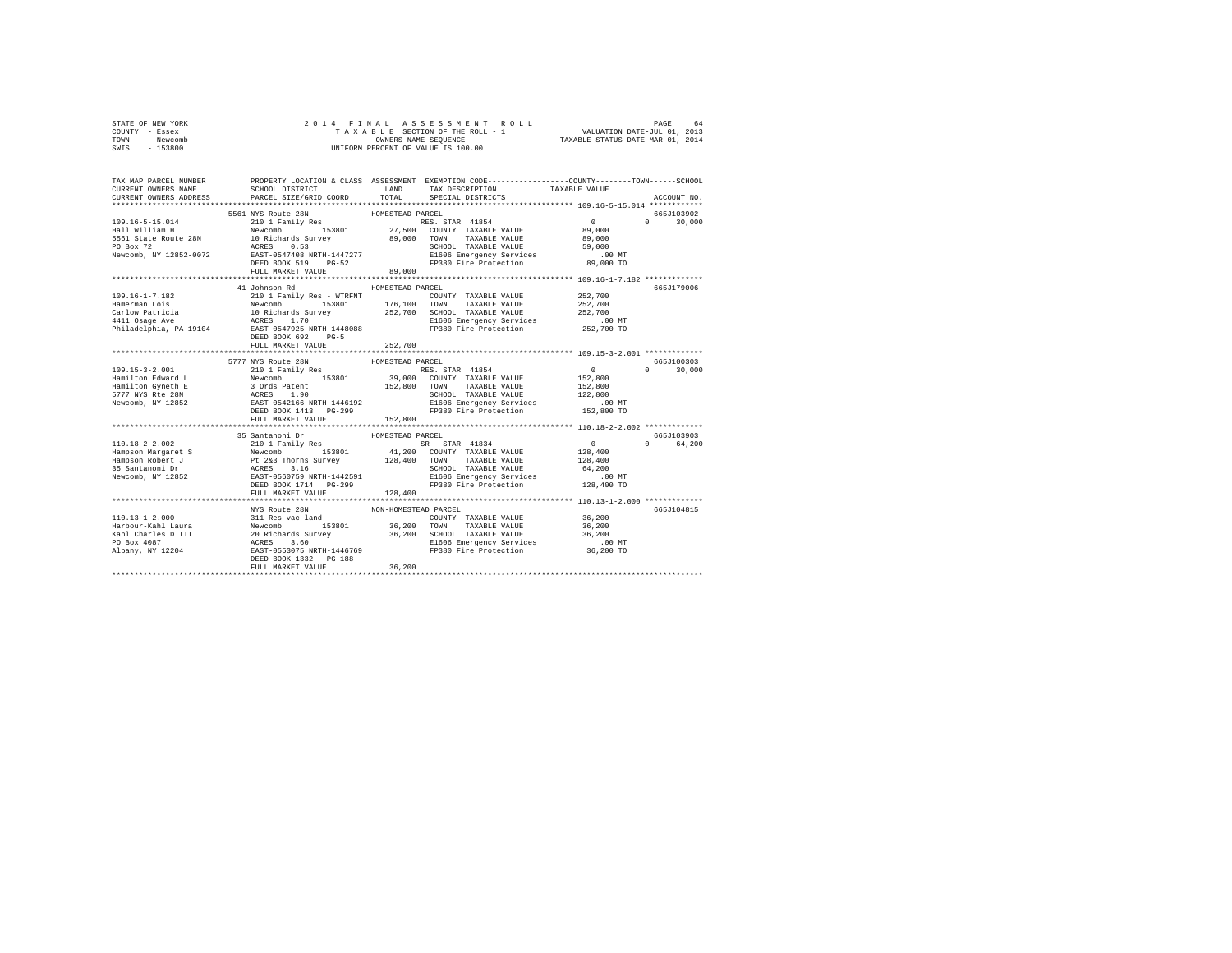| COUNTY - Essex                                                                                                                                                                                                                                                                              |                                            |         |                                                                                                 |               |
|---------------------------------------------------------------------------------------------------------------------------------------------------------------------------------------------------------------------------------------------------------------------------------------------|--------------------------------------------|---------|-------------------------------------------------------------------------------------------------|---------------|
| TOWN - Newcomb                                                                                                                                                                                                                                                                              |                                            |         |                                                                                                 |               |
| SWIS - 153800                                                                                                                                                                                                                                                                               |                                            |         |                                                                                                 |               |
|                                                                                                                                                                                                                                                                                             |                                            |         |                                                                                                 |               |
|                                                                                                                                                                                                                                                                                             |                                            |         |                                                                                                 |               |
| TAX MAP PARCEL NUMBER                                                                                                                                                                                                                                                                       |                                            |         | PROPERTY LOCATION & CLASS ASSESSMENT EXEMPTION CODE---------------COUNTY-------TOWN------SCHOOL |               |
| CURRENT OWNERS NAME                                                                                                                                                                                                                                                                         |                                            |         |                                                                                                 |               |
| CURRENT OWNERS ADDRESS                                                                                                                                                                                                                                                                      |                                            |         |                                                                                                 | ACCOUNT NO.   |
|                                                                                                                                                                                                                                                                                             |                                            |         |                                                                                                 |               |
|                                                                                                                                                                                                                                                                                             |                                            |         |                                                                                                 | 665J103902    |
|                                                                                                                                                                                                                                                                                             |                                            |         |                                                                                                 | $0 \t 30.000$ |
|                                                                                                                                                                                                                                                                                             |                                            |         |                                                                                                 |               |
|                                                                                                                                                                                                                                                                                             |                                            |         |                                                                                                 |               |
|                                                                                                                                                                                                                                                                                             |                                            |         |                                                                                                 |               |
|                                                                                                                                                                                                                                                                                             |                                            |         |                                                                                                 |               |
|                                                                                                                                                                                                                                                                                             |                                            |         |                                                                                                 |               |
|                                                                                                                                                                                                                                                                                             |                                            |         |                                                                                                 |               |
|                                                                                                                                                                                                                                                                                             | 41 Johnson Rd MOMESTEAD PARCEL             |         |                                                                                                 | 665J179006    |
| 109.16-1-7.182                                                                                                                                                                                                                                                                              | 210 1 Family Res - WTRFNT                  |         | CEL<br>COUNTY TAXABLE VALUE 252,700<br>הואט סווגר האמרי האורח ביותר 252,700                     |               |
|                                                                                                                                                                                                                                                                                             |                                            |         |                                                                                                 |               |
|                                                                                                                                                                                                                                                                                             |                                            |         |                                                                                                 |               |
|                                                                                                                                                                                                                                                                                             |                                            |         |                                                                                                 |               |
| Hamerman Lois and Mewcomb 153801 176,100 TOWN TAXABLE VALUE 252,700<br>Carlow Patricia 10 Richards Survey 252,700 CCHOL TAXABLE VALUE 252,700<br>10 TOWN PATRICLE VALUE 252,700<br>252,700 Philadelphia, PA 19104 BAST-0547925 NRT                                                          |                                            |         |                                                                                                 |               |
|                                                                                                                                                                                                                                                                                             | DEED BOOK 692 PG-5                         |         |                                                                                                 |               |
|                                                                                                                                                                                                                                                                                             | FULL MARKET VALUE 252,700                  |         |                                                                                                 |               |
|                                                                                                                                                                                                                                                                                             |                                            |         |                                                                                                 |               |
|                                                                                                                                                                                                                                                                                             |                                            |         |                                                                                                 |               |
|                                                                                                                                                                                                                                                                                             |                                            |         |                                                                                                 | 665J100303    |
|                                                                                                                                                                                                                                                                                             |                                            |         |                                                                                                 | $0 \t 30.000$ |
|                                                                                                                                                                                                                                                                                             |                                            |         |                                                                                                 |               |
|                                                                                                                                                                                                                                                                                             |                                            |         |                                                                                                 |               |
|                                                                                                                                                                                                                                                                                             |                                            |         |                                                                                                 |               |
|                                                                                                                                                                                                                                                                                             |                                            |         |                                                                                                 |               |
|                                                                                                                                                                                                                                                                                             |                                            |         |                                                                                                 |               |
|                                                                                                                                                                                                                                                                                             | FULL MARKET VALUE                          | 152,800 |                                                                                                 |               |
|                                                                                                                                                                                                                                                                                             |                                            |         |                                                                                                 |               |
|                                                                                                                                                                                                                                                                                             |                                            |         |                                                                                                 | 665.7103903   |
|                                                                                                                                                                                                                                                                                             |                                            |         |                                                                                                 | 0 64,200      |
|                                                                                                                                                                                                                                                                                             |                                            |         |                                                                                                 |               |
|                                                                                                                                                                                                                                                                                             |                                            |         |                                                                                                 |               |
|                                                                                                                                                                                                                                                                                             |                                            |         |                                                                                                 |               |
|                                                                                                                                                                                                                                                                                             |                                            |         |                                                                                                 |               |
|                                                                                                                                                                                                                                                                                             |                                            |         |                                                                                                 |               |
|                                                                                                                                                                                                                                                                                             | FULL MARKET VALUE                          | 128,400 |                                                                                                 |               |
|                                                                                                                                                                                                                                                                                             |                                            |         |                                                                                                 |               |
|                                                                                                                                                                                                                                                                                             | NYS Route 28N NON-HOMESTEAD PARCEL         |         |                                                                                                 | 665J104815    |
|                                                                                                                                                                                                                                                                                             |                                            |         |                                                                                                 |               |
|                                                                                                                                                                                                                                                                                             |                                            |         |                                                                                                 |               |
|                                                                                                                                                                                                                                                                                             |                                            |         |                                                                                                 |               |
|                                                                                                                                                                                                                                                                                             |                                            |         |                                                                                                 |               |
|                                                                                                                                                                                                                                                                                             |                                            |         |                                                                                                 |               |
| $\begin{tabular}{l c c c c c c c} \hline 110.13-1-2.000 & 311\mbox{Re } 900\mbox{N} & 1000\mbox{N} & 1000\mbox{N} & 1000\mbox{N} & 1000\mbox{N} & 1000\mbox{N} & 1000\mbox{N} & 1000\mbox{N} & 1000\mbox{N} & 1000\mbox{N} & 1000\mbox{N} & 1000\mbox{N} & 1000\mbox{N} & 1000\mbox{N} & 1$ | DEED BOOK 1332 PG-188<br>FULL MARKET VALUE | 36,200  |                                                                                                 |               |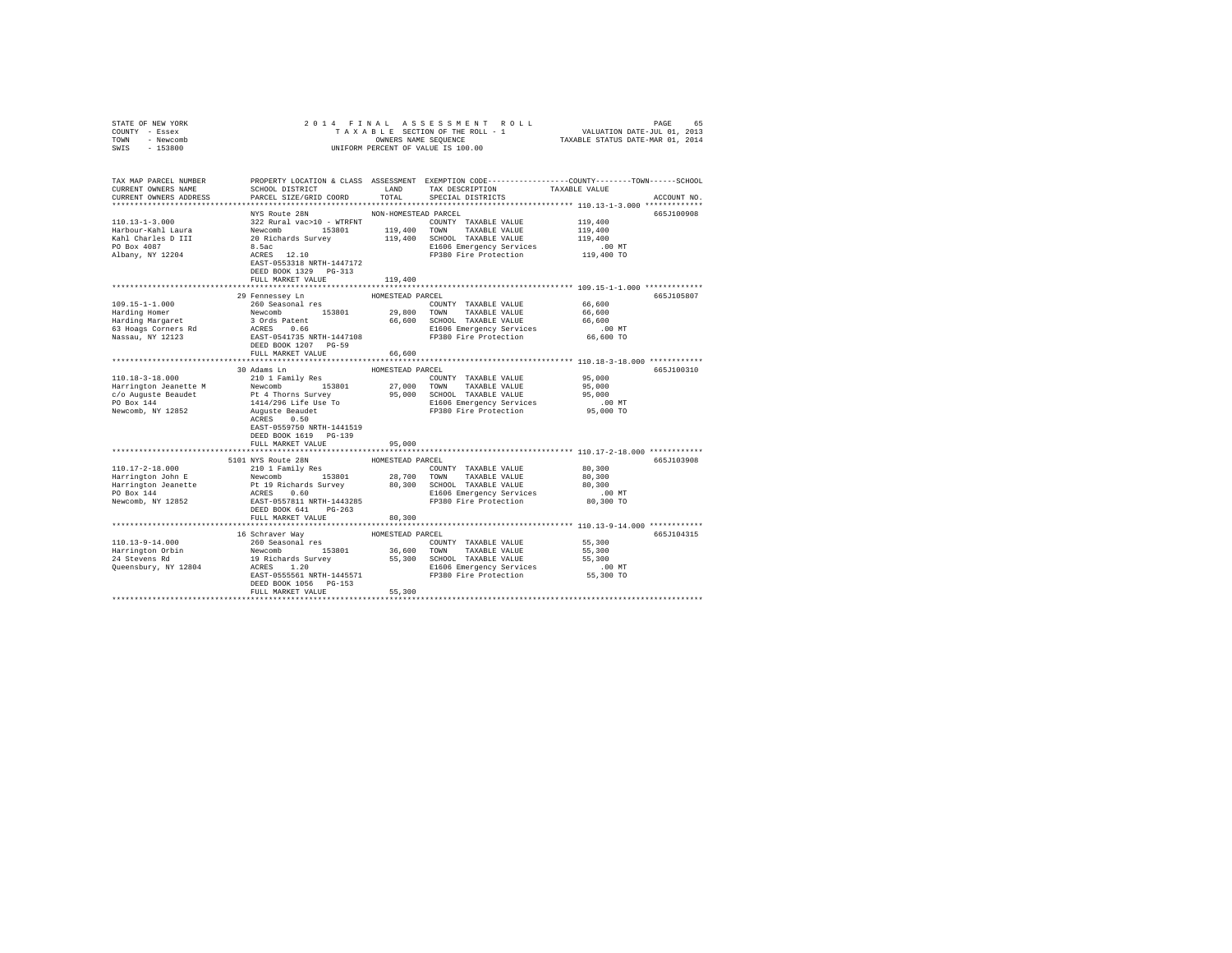| STATE OF NEW YORK<br>COUNTY - Essex<br>TOWN - Newcomb<br>$-153800$<br>SWIS | 2014 FINAL                                                                         |                      | OWNERS NAME SEQUENCE<br>UNIFORM PERCENT OF VALUE IS 100.00                                                                                                                                                                    |                       |             |
|----------------------------------------------------------------------------|------------------------------------------------------------------------------------|----------------------|-------------------------------------------------------------------------------------------------------------------------------------------------------------------------------------------------------------------------------|-----------------------|-------------|
|                                                                            |                                                                                    |                      |                                                                                                                                                                                                                               |                       |             |
| TAX MAP PARCEL NUMBER<br>CURRENT OWNERS NAME                               | SCHOOL DISTRICT                                                                    | LAND                 | PROPERTY LOCATION & CLASS ASSESSMENT EXEMPTION CODE---------------COUNTY-------TOWN------SCHOOL<br>TAX DESCRIPTION                                                                                                            | TAXABLE VALUE         |             |
| CURRENT OWNERS ADDRESS                                                     | PARCEL SIZE/GRID COORD                                                             | TOTAL                | SPECIAL DISTRICTS                                                                                                                                                                                                             |                       | ACCOUNT NO. |
|                                                                            |                                                                                    |                      |                                                                                                                                                                                                                               |                       |             |
| $110.13 - 1 - 3.000$                                                       | NYS Route 28N<br>322 Rural vac>10 - WTRFNT                                         | NON-HOMESTEAD PARCEL | COUNTY TAXABLE VALUE                                                                                                                                                                                                          | 119,400               | 665J100908  |
| Harbour-Kahl Laura                                                         |                                                                                    |                      |                                                                                                                                                                                                                               | 119,400               |             |
| Kahl Charles D III                                                         |                                                                                    |                      |                                                                                                                                                                                                                               | 119,400               |             |
| PO Box 4087                                                                |                                                                                    |                      | E1606 Emergency Services                                                                                                                                                                                                      | .00 MT                |             |
| Albany, NY 12204                                                           |                                                                                    |                      | Newcomb 153801 119,400 TOWN TAXABLE VALUE<br>20 Richards Survey 119,400 TOWN TAXABLE VALUE<br>20 Richards Survey 119,400 ECHOOL TAXABLE VALUE<br>8.5ac<br>8CRES 12.10 EP380 Fire Protection<br>FP380 Fire Protection          | 119,400 TO            |             |
|                                                                            | EAST-0553318 NRTH-1447172                                                          |                      |                                                                                                                                                                                                                               |                       |             |
|                                                                            | DEED BOOK 1329 PG-313<br>FULL MARKET VALUE                                         | 119,400              |                                                                                                                                                                                                                               |                       |             |
|                                                                            |                                                                                    |                      |                                                                                                                                                                                                                               |                       |             |
|                                                                            | 29 Fennessey Ln                                                                    | HOMESTEAD PARCEL     |                                                                                                                                                                                                                               |                       | 665J105807  |
| $109.15 - 1 - 1.000$                                                       | 260 Seasonal res                                                                   |                      | COUNTY TAXABLE VALUE                                                                                                                                                                                                          | 66,600                |             |
| Harding Homer                                                              | Newcomb 153801<br>3 Ords Patent<br>ACRES 0.66                                      |                      | 29,800 TOWN TAXABLE VALUE                                                                                                                                                                                                     | 66,600                |             |
| Harding Homer<br>Harding Margaret<br>63 Hoags Corners Rd                   |                                                                                    |                      | 66,600 SCHOOL TAXABLE VALUE                                                                                                                                                                                                   | 66,600                |             |
| Nassau, NY 12123                                                           | EAST-0541735 NRTH-1447108                                                          |                      | E1606 Emergency Services<br>FP380 Fire Protection                                                                                                                                                                             | $.00$ MT<br>66,600 TO |             |
|                                                                            | DEED BOOK 1207 PG-59                                                               |                      |                                                                                                                                                                                                                               |                       |             |
|                                                                            | FULL MARKET VALUE                                                                  | 66,600               |                                                                                                                                                                                                                               |                       |             |
|                                                                            |                                                                                    |                      |                                                                                                                                                                                                                               |                       |             |
|                                                                            | 30 Adams Ln                                                                        | HOMESTEAD PARCEL     |                                                                                                                                                                                                                               |                       | 665J100310  |
| 110.18-3-18.000                                                            | 210 1 Family Res                                                                   |                      | COUNTY TAXABLE VALUE                                                                                                                                                                                                          | 95,000                |             |
| Harrington Jeanette M                                                      |                                                                                    |                      | 27,000 TOWN TAXABLE VALUE<br>95,000 SCHOOL TAXABLE VALUE                                                                                                                                                                      | 95,000<br>95,000      |             |
| c/o Auguste Beaudet<br>PO Box 144                                          |                                                                                    |                      |                                                                                                                                                                                                                               | $.00$ MT              |             |
| Newcomb, NY 12852                                                          | Newcomb<br>153801<br>Pt 4 Thorns Survey<br>1414/296 Life Use To<br>Auguste Beaudet |                      | E1606 Emergency Services<br>FP380 Fire Protection<br>FP380 Fire Protection                                                                                                                                                    | 95,000 TO             |             |
|                                                                            | ACRES 0.50                                                                         |                      |                                                                                                                                                                                                                               |                       |             |
|                                                                            | EAST-0559750 NRTH-1441519                                                          |                      |                                                                                                                                                                                                                               |                       |             |
|                                                                            | DEED BOOK 1619 PG-139                                                              |                      |                                                                                                                                                                                                                               |                       |             |
|                                                                            | FULL MARKET VALUE                                                                  | 95,000               |                                                                                                                                                                                                                               |                       |             |
|                                                                            | 5101 NYS Route 28N                                                                 | HOMESTEAD PARCEL     |                                                                                                                                                                                                                               |                       | 665J103908  |
| 110.17-2-18.000                                                            | 210 1 Family Res                                                                   |                      | COUNTY TAXABLE VALUE                                                                                                                                                                                                          | 80,300                |             |
| Harrington John E<br>Harrington Jeanette                                   |                                                                                    |                      | Newcomb<br>Newcomb 153801 28,700 TOWN<br>Pt 19 Richards Survey 80,300 SCHOOL TAXABLE VAUE<br>RCRES 0.60 SCHOOL RATA-143285<br>RCRES 0.60 SCHOOL RESPONSE 200 PT 280 PTP SECTION<br>DEED BOOK 641 PG-263 PP380 Pire Protection | 80,300                |             |
|                                                                            |                                                                                    |                      |                                                                                                                                                                                                                               | 80,300                |             |
| PO Box 144<br>Newcomb, NY 12852                                            |                                                                                    |                      | E1606 Emergency Services<br>FP380 Fire Protection                                                                                                                                                                             | $.00$ MT              |             |
|                                                                            |                                                                                    |                      |                                                                                                                                                                                                                               | 80,300 TO             |             |
|                                                                            | FULL MARKET VALUE                                                                  | 80,300               |                                                                                                                                                                                                                               |                       |             |
|                                                                            |                                                                                    |                      |                                                                                                                                                                                                                               |                       |             |
|                                                                            | 16 Schraver Way                                                                    | HOMESTEAD PARCEL     |                                                                                                                                                                                                                               |                       | 665J104315  |
| $110.13 - 9 - 14.000$                                                      | 260 Seasonal res                                                                   |                      | COUNTY TAXABLE VALUE                                                                                                                                                                                                          | 55,300                |             |
| Harrington Orbin<br>24 Stevens Rd                                          |                                                                                    |                      |                                                                                                                                                                                                                               | 55,300                |             |
| Queensbury, NY 12804                                                       |                                                                                    |                      |                                                                                                                                                                                                                               | 55,300<br>$.00$ MT    |             |
|                                                                            |                                                                                    |                      | ACRES 1.20 E1606 Emergency Services<br>EAST-0555561 NRTH-1445571 FP380 Fire Protection                                                                                                                                        | 55,300 TO             |             |
|                                                                            | DEED BOOK 1056 PG-153                                                              |                      |                                                                                                                                                                                                                               |                       |             |
|                                                                            | FULL MARKET VALUE                                                                  | 55,300               |                                                                                                                                                                                                                               |                       |             |
|                                                                            |                                                                                    |                      |                                                                                                                                                                                                                               |                       |             |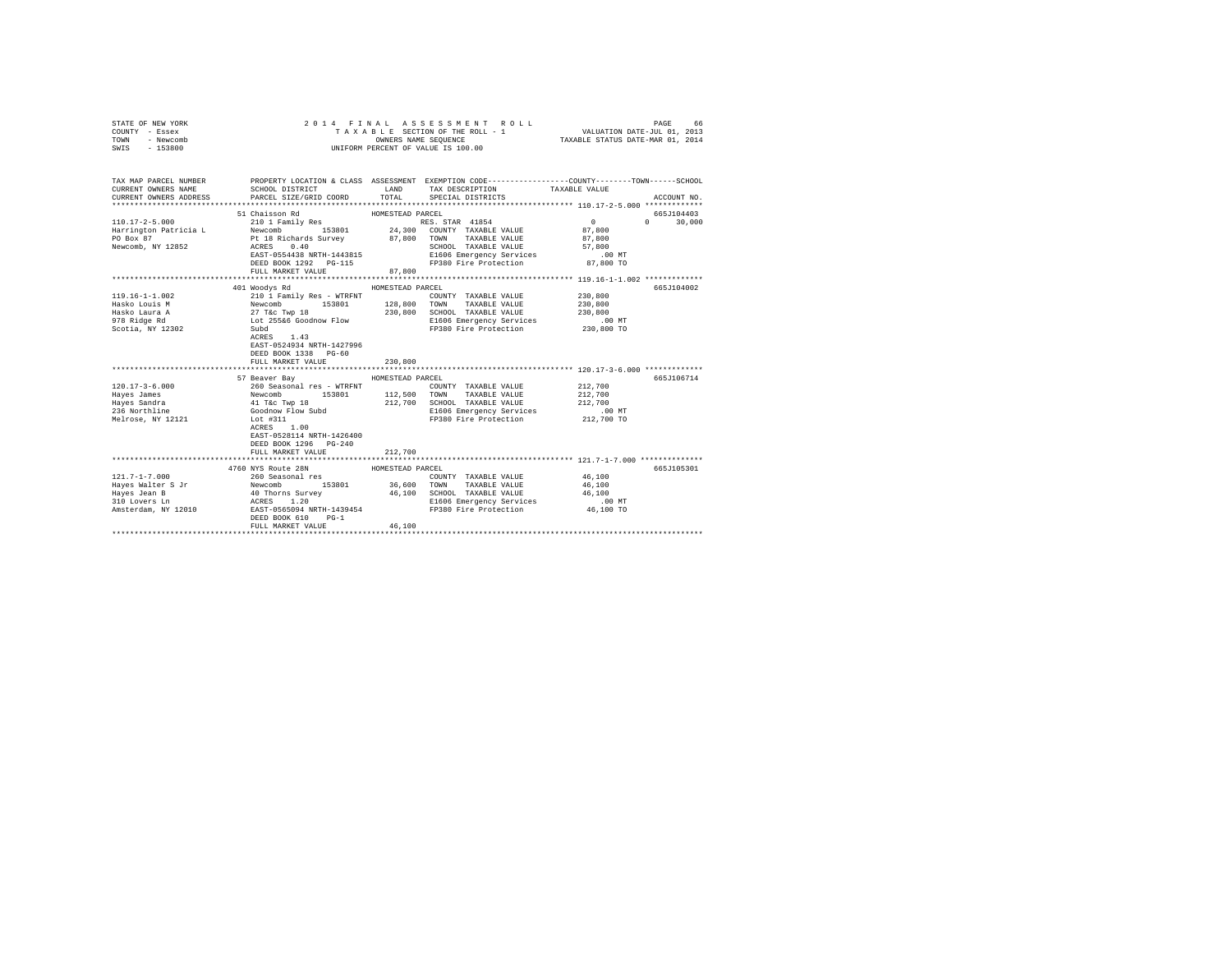| STATE OF NEW YORK<br>COUNTY - Essex<br>TOWN<br>- Newcomb<br>SWIS - 153800                                                                                             | 2014 FINAL                                                                                                                                                                                                                                                                                                        |                            | ASSESSMENT ROLL<br>T A X A B L E SECTION OF THE ROLL - 1<br>OWNERS NAME SEQUENCE<br>UNIFORM PERCENT OF VALUE IS 100.00 | VALUATION DATE-JUL 01, 2013<br>TAXABLE STATUS DATE-MAR 01, 2014 | PAGE<br>66         |
|-----------------------------------------------------------------------------------------------------------------------------------------------------------------------|-------------------------------------------------------------------------------------------------------------------------------------------------------------------------------------------------------------------------------------------------------------------------------------------------------------------|----------------------------|------------------------------------------------------------------------------------------------------------------------|-----------------------------------------------------------------|--------------------|
| TAX MAP PARCEL NUMBER PROPERTY LOCATION & CLASS ASSESSMENT EXEMPTION CODE--------------COUNTY-------TOWN------SCHOOL<br>CURRENT OWNERS NAME<br>CURRENT OWNERS ADDRESS | SCHOOL DISTRICT<br>PARCEL SIZE/GRID COORD                                                                                                                                                                                                                                                                         | LAND<br>TOTAL              | TAX DESCRIPTION TAXABLE VALUE<br>SPECIAL DISTRICTS                                                                     |                                                                 | ACCOUNT NO.        |
|                                                                                                                                                                       | 51 Chaisson Rd                                                                                                                                                                                                                                                                                                    | HOMESTEAD PARCEL           |                                                                                                                        |                                                                 | 665J104403         |
| $110.17 - 2 - 5.000$<br>Harrington Patricia L<br>PO Box 87<br>Newcomb, NY 12852                                                                                       | Pt 18 Richards Survey 67,800 TOWN TAXABLE VALUE<br>ACRES 0.40<br>FULL MARKET VALUE                                                                                                                                                                                                                                | 87,800                     | RES. STAR 41854<br>SCHOOL TAXABLE VALUE                                                                                | $\sim$ 0<br>87,800<br>87,800<br>57,800<br>$.00$ MT<br>87,800 TO | $\Omega$<br>30,000 |
|                                                                                                                                                                       | 401 Woodys Rd                                                                                                                                                                                                                                                                                                     | HOMESTEAD PARCEL           |                                                                                                                        |                                                                 | 665J104002         |
| $119.16 - 1 - 1.002$<br>Hasko Louis M<br>Hasko Laura A<br>978 Ridge Rd<br>Scotia, NY 12302                                                                            | 210 1 Family Res - WTRFNT<br>210 I Family Res – WIKENT (2000 MY TAXABLE VALUE 27 T&C TWP 18<br>27 T&C TWP 18 2300 2000 SCHOOL TAXABLE VALUE<br>27 T&C TWP 18 230,800 SCHOOL TAXABLE VALUE<br>2016 EL66 Goodnow Flow E166 Emergency Services<br>ACRES 1.43<br>EAST-0524934 NRTH-1427996<br>DEED BOOK 1338 PG-60    |                            | COUNTY TAXABLE VALUE<br>SCHOOL TAXABLE VALUE<br>E1606 Emergency Services .00 MT<br>FP380 Fire Protection 230,800 TO    | 230,800<br>230,800<br>230,800                                   |                    |
|                                                                                                                                                                       | FULL MARKET VALUE                                                                                                                                                                                                                                                                                                 | 230,800                    |                                                                                                                        |                                                                 |                    |
| $120.17 - 3 - 6.000$<br>Hayes James<br>Hayes Sandra<br>236 Northline<br>Melrose, NY 12121                                                                             | 57 Beaver Bay<br>260 Seasonal res - WTRFNT<br>MONOTHY TAXABLE VALUE<br>Newcomb 153801 112,500 TOWN TAXABLE VALUE<br>41 T&C Twp 18 212,700 SCHOOL TAXABLE VALUE<br>4000000 Flow Subd 212,700 SCHOOL TAXABLE VALUE<br>1606 Emergency Services<br>1606 Emergen<br>EAST-0528114 NRTH-1426400<br>DEED BOOK 1296 PG-240 | HOMESTEAD PARCEL           | COUNTY TAXABLE VALUE<br>E1606 Emergency Services<br>FP380 Fire Protection                                              | 212,700<br>212,700<br>212,700<br>$.00$ MT<br>212,700 TO         | 665J106714         |
|                                                                                                                                                                       | FULL MARKET VALUE                                                                                                                                                                                                                                                                                                 | 212,700                    |                                                                                                                        |                                                                 |                    |
| $121.7 - 1 - 7.000$<br>Hayes Walter S Jr<br>Hayes Jean B<br>310 Lovers Ln<br>Amsterdam, NY 12010                                                                      | 4760 NYS Route 28N<br>260 Seasonal res<br>Newcomb 153801 36,600 TOWN TAXABLE VALUE<br>40 Thorns Survey 46,100 SCHOOL TAXABLE VALUE<br>ACRES 1.200 E1606 Emergency Services<br>EAST-0565094 NRTH-1439454 FP380 Fire Protection<br>DEED BOOK 610<br>$PG-1$<br>FULL MARKET VALUE                                     | HOMESTEAD PARCEL<br>46,100 | COUNTY TAXABLE VALUE<br>E1606 Emergency Services<br>FP380 Fire Protection                                              | 46,100<br>46,100<br>46,100<br>.00 MT<br>46,100 TO               | 665J105301         |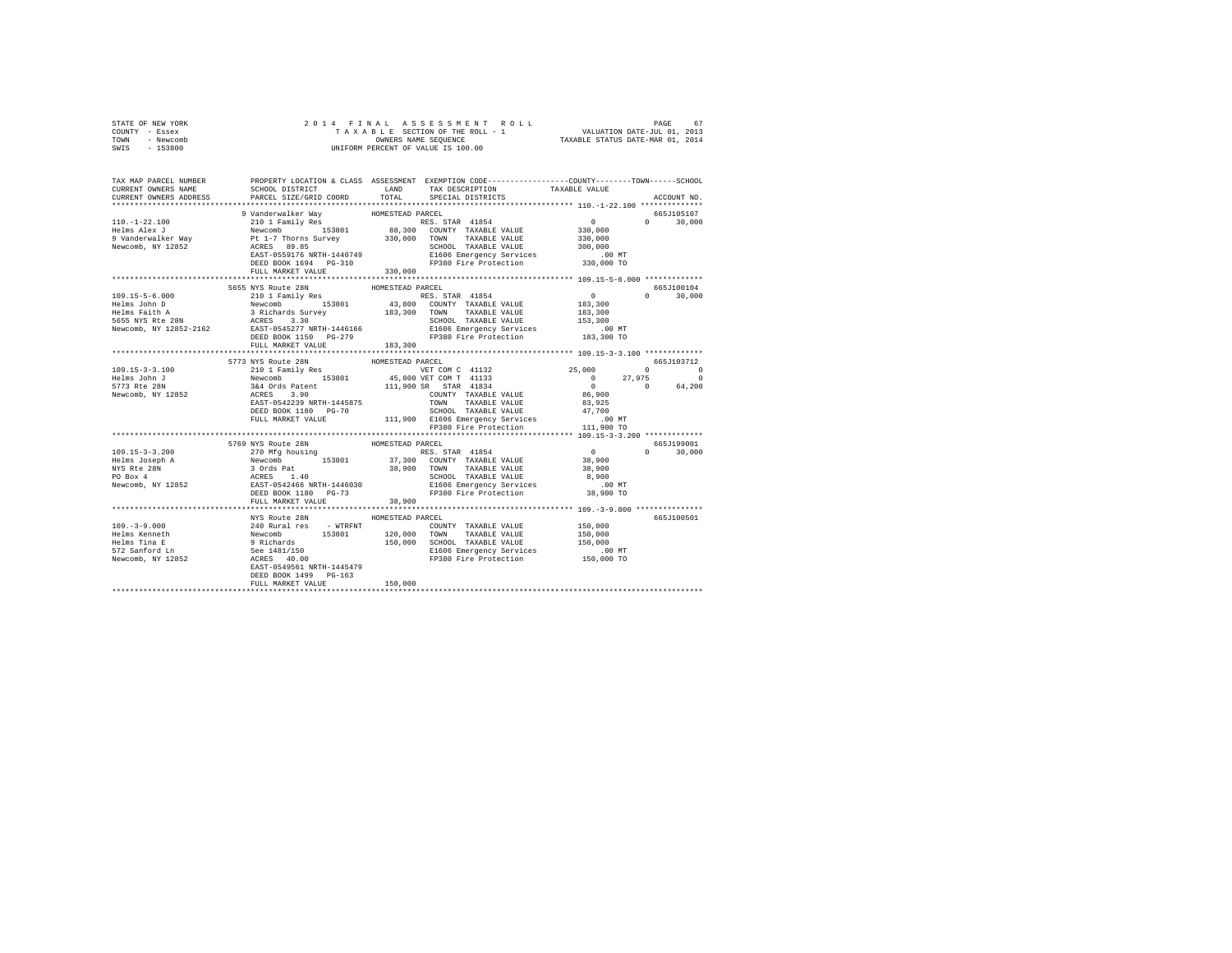|                | STATE OF NEW YORK |  | 2014 FINAL ASSESSMENT ROLL         | PAGE                             | 67 |
|----------------|-------------------|--|------------------------------------|----------------------------------|----|
| COUNTY - Essex |                   |  | TAXABLE SECTION OF THE ROLL - 1    | VALUATION DATE-JUL 01, 2013      |    |
| TOWN           | - Newcomb         |  | OWNERS NAME SEOUENCE               | TAXABLE STATUS DATE-MAR 01, 2014 |    |
| SWIS           | - 153800          |  | UNIFORM PERCENT OF VALUE IS 100.00 |                                  |    |

| TAX MAP PARCEL NUMBER<br>CURRENT OWNERS NAME<br>CURRENT OWNERS ADDRESS | SCHOOL DISTRICT LAND<br>PARCEL SIZE/GRID COORD TOTAL | PROPERTY LOCATION & CLASS ASSESSMENT EXEMPTION CODE---------------COUNTY-------TOWN------SCHOOL<br>TAX DESCRIPTION<br>SPECIAL DISTRICTS                                                                                                                                                                                                                                                                    | TAXABLE VALUE<br>ACCOUNT NO |
|------------------------------------------------------------------------|------------------------------------------------------|------------------------------------------------------------------------------------------------------------------------------------------------------------------------------------------------------------------------------------------------------------------------------------------------------------------------------------------------------------------------------------------------------------|-----------------------------|
|                                                                        |                                                      |                                                                                                                                                                                                                                                                                                                                                                                                            |                             |
|                                                                        |                                                      | 9 Vanderwalker Way HOMESTEAD PARCEL<br>110.-1-22.100 210 210 1 Family Res 100MESTEAD PARCEL<br>Helms Alex J<br>9 Vanderwalker May Newcomb 153801 88,300 COUNTY TAXABLE VALUE 330,000<br>9 Vanderwalker Way PU 1-7 Thorns Survey 330,00                                                                                                                                                                     | 665J105107                  |
|                                                                        |                                                      |                                                                                                                                                                                                                                                                                                                                                                                                            | $0 \t 30,000$               |
|                                                                        |                                                      |                                                                                                                                                                                                                                                                                                                                                                                                            |                             |
|                                                                        |                                                      |                                                                                                                                                                                                                                                                                                                                                                                                            |                             |
|                                                                        |                                                      |                                                                                                                                                                                                                                                                                                                                                                                                            |                             |
|                                                                        |                                                      |                                                                                                                                                                                                                                                                                                                                                                                                            |                             |
|                                                                        |                                                      |                                                                                                                                                                                                                                                                                                                                                                                                            |                             |
|                                                                        | FULL MARKET VALUE 330,000                            |                                                                                                                                                                                                                                                                                                                                                                                                            |                             |
|                                                                        |                                                      |                                                                                                                                                                                                                                                                                                                                                                                                            |                             |
|                                                                        | 5655 NYS Route 28N                                   | HOMESTEAD PARCEL                                                                                                                                                                                                                                                                                                                                                                                           | 665J100104                  |
|                                                                        |                                                      |                                                                                                                                                                                                                                                                                                                                                                                                            | $0 \t 30.000$               |
|                                                                        |                                                      |                                                                                                                                                                                                                                                                                                                                                                                                            |                             |
|                                                                        |                                                      |                                                                                                                                                                                                                                                                                                                                                                                                            |                             |
|                                                                        |                                                      |                                                                                                                                                                                                                                                                                                                                                                                                            |                             |
|                                                                        |                                                      |                                                                                                                                                                                                                                                                                                                                                                                                            |                             |
|                                                                        | FULL MARKET VALUE 183,300                            |                                                                                                                                                                                                                                                                                                                                                                                                            |                             |
|                                                                        |                                                      |                                                                                                                                                                                                                                                                                                                                                                                                            |                             |
|                                                                        |                                                      |                                                                                                                                                                                                                                                                                                                                                                                                            |                             |
|                                                                        |                                                      |                                                                                                                                                                                                                                                                                                                                                                                                            |                             |
|                                                                        |                                                      |                                                                                                                                                                                                                                                                                                                                                                                                            |                             |
|                                                                        |                                                      |                                                                                                                                                                                                                                                                                                                                                                                                            |                             |
|                                                                        |                                                      |                                                                                                                                                                                                                                                                                                                                                                                                            |                             |
|                                                                        |                                                      |                                                                                                                                                                                                                                                                                                                                                                                                            |                             |
|                                                                        |                                                      |                                                                                                                                                                                                                                                                                                                                                                                                            |                             |
|                                                                        |                                                      |                                                                                                                                                                                                                                                                                                                                                                                                            |                             |
|                                                                        |                                                      |                                                                                                                                                                                                                                                                                                                                                                                                            |                             |
|                                                                        |                                                      |                                                                                                                                                                                                                                                                                                                                                                                                            |                             |
|                                                                        |                                                      |                                                                                                                                                                                                                                                                                                                                                                                                            | 665J199001                  |
|                                                                        |                                                      |                                                                                                                                                                                                                                                                                                                                                                                                            | $0 \t 30,000$               |
|                                                                        |                                                      |                                                                                                                                                                                                                                                                                                                                                                                                            |                             |
|                                                                        |                                                      |                                                                                                                                                                                                                                                                                                                                                                                                            |                             |
|                                                                        |                                                      |                                                                                                                                                                                                                                                                                                                                                                                                            |                             |
|                                                                        |                                                      |                                                                                                                                                                                                                                                                                                                                                                                                            |                             |
|                                                                        |                                                      |                                                                                                                                                                                                                                                                                                                                                                                                            |                             |
|                                                                        | FULL MARKET VALUE                                    | 38,900                                                                                                                                                                                                                                                                                                                                                                                                     |                             |
|                                                                        |                                                      |                                                                                                                                                                                                                                                                                                                                                                                                            |                             |
|                                                                        | NYS Route 28N                                        | HOMESTEAD PARCEL                                                                                                                                                                                                                                                                                                                                                                                           | 665J100501                  |
|                                                                        |                                                      |                                                                                                                                                                                                                                                                                                                                                                                                            |                             |
|                                                                        |                                                      | $57.8 \text{ L100} \times 109 - 3 - 9.000 \times 109 \times 109 \times 109 \times 109 \times 109 \times 109 \times 109 \times 109 \times 109 \times 109 \times 109 \times 109 \times 109 \times 109 \times 109 \times 109 \times 109 \times 109 \times 109 \times 109 \times 109 \times 109 \times 109 \times 109 \times 109 \times 109 \times 109 \times 109 \times 109 \times 109 \times 109 \times 109$ |                             |
|                                                                        |                                                      |                                                                                                                                                                                                                                                                                                                                                                                                            |                             |
|                                                                        |                                                      |                                                                                                                                                                                                                                                                                                                                                                                                            |                             |
|                                                                        | EAST-0549561 NRTH-1445479                            |                                                                                                                                                                                                                                                                                                                                                                                                            |                             |
|                                                                        | DEED BOOK 1499 PG-163                                |                                                                                                                                                                                                                                                                                                                                                                                                            |                             |
|                                                                        | FULL MARKET VALUE                                    | 150,000                                                                                                                                                                                                                                                                                                                                                                                                    |                             |
|                                                                        |                                                      |                                                                                                                                                                                                                                                                                                                                                                                                            |                             |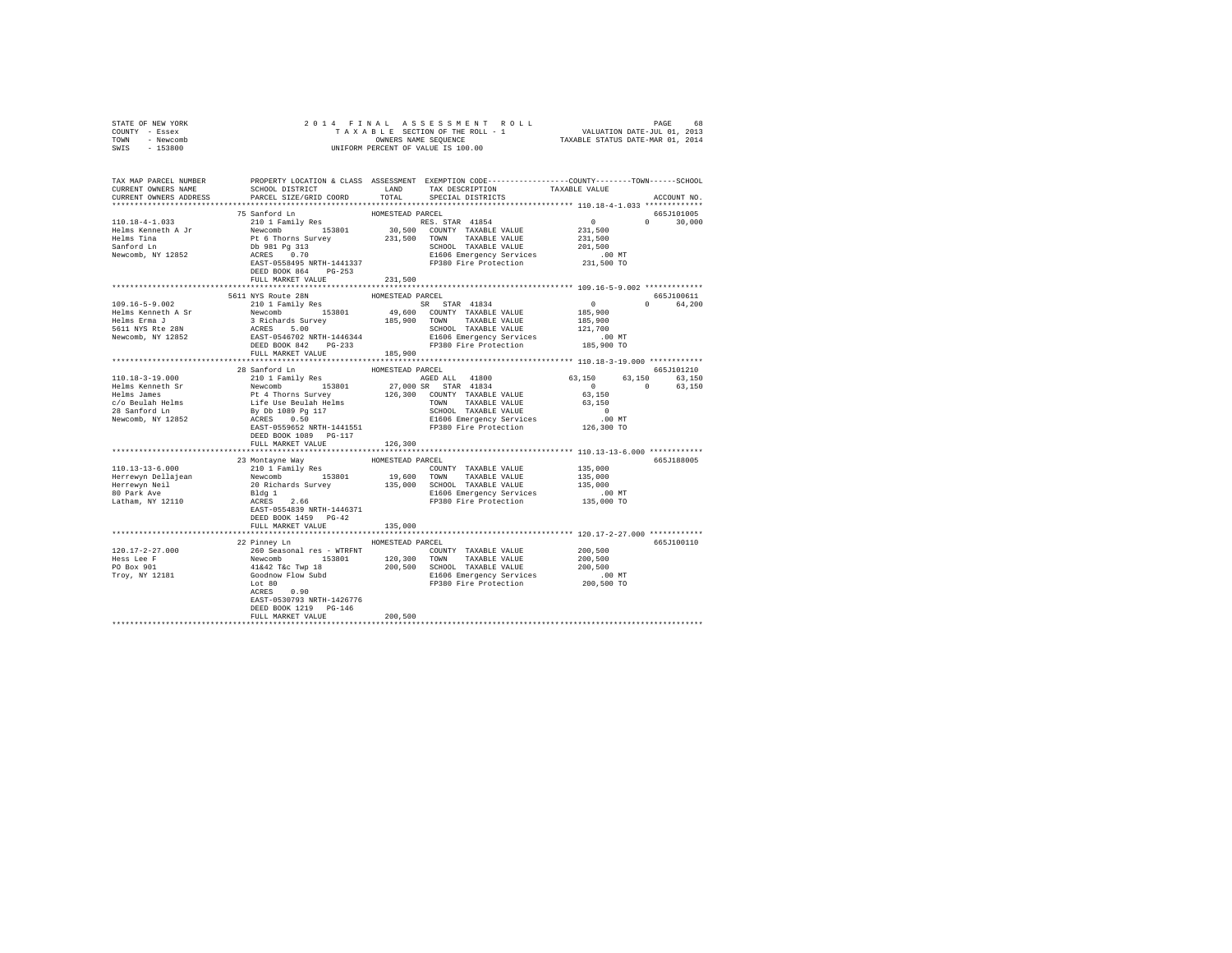| STATE OF NEW YORK<br>COUNTY - Essex                                                                                                                                                                                            |                                                    |         |  |               |
|--------------------------------------------------------------------------------------------------------------------------------------------------------------------------------------------------------------------------------|----------------------------------------------------|---------|--|---------------|
| TOWN - Newcomb                                                                                                                                                                                                                 |                                                    |         |  |               |
| SWIS - 153800                                                                                                                                                                                                                  |                                                    |         |  |               |
|                                                                                                                                                                                                                                |                                                    |         |  |               |
|                                                                                                                                                                                                                                |                                                    |         |  |               |
| TAX MAP PARCEL NUMBER PROPERTY LOCATION & CLASS ASSESSMENT EXEMPTION CODE---------------COUNTY-------TOWN------SCHOOL<br>CURRENT OWNERS NAME SCHOOL DISTRICT LAND TAX DESCRIPTION TAXABLE VALUE                                |                                                    |         |  |               |
|                                                                                                                                                                                                                                |                                                    |         |  |               |
| CURRENT OWNERS ADDRESS BORCEL SIZE/GRID COORD IN LA LESS DECIAL DISTRICTS CURRENT OWNERS ADDRESS                                                                                                                               |                                                    |         |  | ACCOUNT NO.   |
|                                                                                                                                                                                                                                |                                                    |         |  |               |
|                                                                                                                                                                                                                                |                                                    |         |  | 665J101005    |
|                                                                                                                                                                                                                                |                                                    |         |  | $0 \t 30,000$ |
|                                                                                                                                                                                                                                |                                                    |         |  |               |
|                                                                                                                                                                                                                                |                                                    |         |  |               |
|                                                                                                                                                                                                                                |                                                    |         |  |               |
|                                                                                                                                                                                                                                |                                                    |         |  |               |
|                                                                                                                                                                                                                                |                                                    |         |  |               |
|                                                                                                                                                                                                                                |                                                    |         |  |               |
|                                                                                                                                                                                                                                | FULL MARKET VALUE 231,500                          |         |  |               |
|                                                                                                                                                                                                                                |                                                    |         |  |               |
|                                                                                                                                                                                                                                |                                                    |         |  | 665J100611    |
|                                                                                                                                                                                                                                |                                                    |         |  | 0 64,200      |
|                                                                                                                                                                                                                                |                                                    |         |  |               |
|                                                                                                                                                                                                                                |                                                    |         |  |               |
|                                                                                                                                                                                                                                |                                                    |         |  |               |
|                                                                                                                                                                                                                                |                                                    |         |  |               |
|                                                                                                                                                                                                                                |                                                    |         |  |               |
|                                                                                                                                                                                                                                |                                                    |         |  |               |
|                                                                                                                                                                                                                                |                                                    |         |  |               |
|                                                                                                                                                                                                                                |                                                    |         |  |               |
|                                                                                                                                                                                                                                |                                                    |         |  |               |
|                                                                                                                                                                                                                                |                                                    |         |  |               |
|                                                                                                                                                                                                                                |                                                    |         |  |               |
|                                                                                                                                                                                                                                |                                                    |         |  |               |
|                                                                                                                                                                                                                                |                                                    |         |  |               |
|                                                                                                                                                                                                                                |                                                    |         |  |               |
|                                                                                                                                                                                                                                |                                                    |         |  |               |
|                                                                                                                                                                                                                                |                                                    |         |  |               |
|                                                                                                                                                                                                                                | FULL MARKET VALUE                                  | 126,300 |  |               |
|                                                                                                                                                                                                                                |                                                    |         |  |               |
|                                                                                                                                                                                                                                |                                                    |         |  | 665J188005    |
|                                                                                                                                                                                                                                |                                                    |         |  |               |
|                                                                                                                                                                                                                                |                                                    |         |  |               |
|                                                                                                                                                                                                                                |                                                    |         |  |               |
|                                                                                                                                                                                                                                |                                                    |         |  |               |
|                                                                                                                                                                                                                                |                                                    |         |  |               |
|                                                                                                                                                                                                                                |                                                    |         |  |               |
|                                                                                                                                                                                                                                | DEED BOOK 1459 PG-42                               |         |  |               |
|                                                                                                                                                                                                                                | FULL MARKET VALUE                                  | 135,000 |  |               |
|                                                                                                                                                                                                                                |                                                    |         |  |               |
|                                                                                                                                                                                                                                | 22 Pinney Ln HOMESTEAD PARCEL                      |         |  | 665J100110    |
| $[120.17-2-27.000$ $[120.17-2-27.000$ $[120.17-2-27.000$ $[120.17-2-27.000$ $[120.17-2-27.000$ $[120.17-2-27.000$ $[120.17-2-27.000$ $[120.17-2-27.000$ $[120.17-2-27.000$ $[120.17-2-27.000$ $[120.17-2-27.000$ $[120.17-2-2$ |                                                    |         |  |               |
|                                                                                                                                                                                                                                |                                                    |         |  |               |
|                                                                                                                                                                                                                                |                                                    |         |  |               |
|                                                                                                                                                                                                                                |                                                    |         |  |               |
|                                                                                                                                                                                                                                |                                                    |         |  |               |
|                                                                                                                                                                                                                                |                                                    |         |  |               |
|                                                                                                                                                                                                                                | EAST-0530793 NRTH-1426776                          |         |  |               |
|                                                                                                                                                                                                                                | DEED BOOK 1219 PG-146<br>FULL MARKET VALUE 200,500 |         |  |               |
|                                                                                                                                                                                                                                |                                                    |         |  |               |
|                                                                                                                                                                                                                                |                                                    |         |  |               |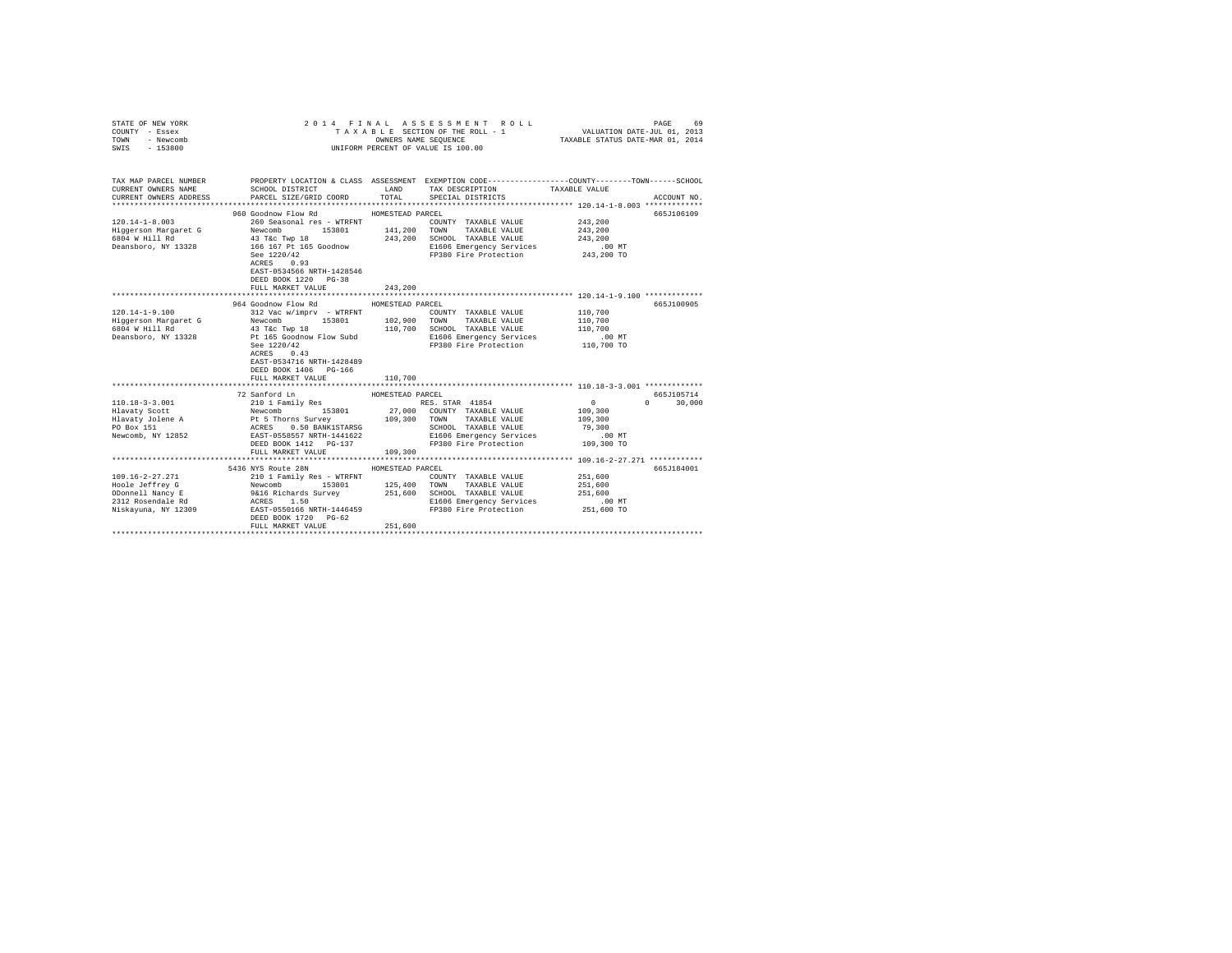| COUNTY - Essex<br>TOWN<br>- Newcomb<br>SWIS<br>$-153800$                                                                                                                 |                                                                                                                                                                                                                         | OWNERS NAME SEQUENCE                                       | TAXABLE SECTION OF THE ROLL - 1 VALUATION DATE-JUL 01, 2013<br>UNIFORM PERCENT OF VALUE IS 100.00                                                                                                                     | TAXABLE STATUS DATE-MAR 01, 2014                                              |                                                |
|--------------------------------------------------------------------------------------------------------------------------------------------------------------------------|-------------------------------------------------------------------------------------------------------------------------------------------------------------------------------------------------------------------------|------------------------------------------------------------|-----------------------------------------------------------------------------------------------------------------------------------------------------------------------------------------------------------------------|-------------------------------------------------------------------------------|------------------------------------------------|
| TAX MAP PARCEL NUMBER THE PROPERTY LOCATION & CLASS ASSESSMENT EXEMPTION CODE-------------COUNTY-------TOWN------SCHOOL<br>CURRENT OWNERS NAME<br>CURRENT OWNERS ADDRESS | SCHOOL DISTRICT<br>PARCEL SIZE/GRID COORD                                                                                                                                                                               | LAND<br>TOTAL                                              | TAX DESCRIPTION TAXABLE VALUE<br>SPECIAL DISTRICTS                                                                                                                                                                    |                                                                               | ACCOUNT NO.                                    |
| $120.14 - 1 - 8.003$<br>Higgerson Margaret G<br>6804 W Hill Rd<br>Deansboro, NY 13328                                                                                    | 960 Goodnow Flow Rd<br>260 Seasonal res - WTRFNT<br>Newcomb<br>153801<br>43 T&c Twp 18<br>166 167 Pt 165 Goodnow<br>See 1220/42<br>ACRES 0.93<br>EAST-0534566 NRTH-1428546<br>DEED BOOK 1220 PG-38<br>FULL MARKET VALUE | HOMESTEAD PARCEL<br>141,200 TOWN<br>243,200<br>243,200     | COUNTY TAXABLE VALUE<br>TAXABLE VALUE<br>SCHOOL TAXABLE VALUE<br>E1606 Emergency Services<br>FP380 Fire Protection 243,200 TO                                                                                         | 243,200<br>243,200<br>243,200<br>.00 MT                                       | 665J106109                                     |
|                                                                                                                                                                          |                                                                                                                                                                                                                         |                                                            |                                                                                                                                                                                                                       |                                                                               |                                                |
| $120.14 - 1 - 9.100$<br>Deansboro, NY 13328                                                                                                                              | 964 Goodnow Flow Rd<br>312 Vac w/imprv - WTRFNT<br>153801 102,900 TOWN<br>ACRES 0.43<br>EAST-0534716 NRTH-1428489<br>DEED BOOK 1406 PG-166<br>FULL MARKET VALUE<br>72 Sanford Ln                                        | HOMESTEAD PARCEL<br>110,700<br>110,700<br>HOMESTEAD PARCEL | COUNTY TAXABLE VALUE<br>TAXABLE VALUE<br>SCHOOL TAXABLE VALUE<br>Pt 165 Goodnow Flow Subd B1606 Emergency Services 1220/42 (00 MT Research 200 MT Research 200 MT Research 200 MT<br>FP380 Fire Protection 110,700 TO | 110,700<br>110,700<br>110,700<br>$\mathbf{0}$<br>109,300<br>109,300<br>79,300 | 665J100905<br>665J105714<br>$\Omega$<br>30,000 |
|                                                                                                                                                                          | FULL MARKET VALUE                                                                                                                                                                                                       | 109,300                                                    | SCHOOL TAXABLE VALUE<br>E1606 Emergency Services<br>FP380 Fire Protection                                                                                                                                             | 00 MT.<br>109,300 TO                                                          |                                                |
|                                                                                                                                                                          | 5436 NYS Route 28N<br>DEED BOOK 1720 PG-62<br>FULL MARKET VALUE                                                                                                                                                         | HOMESTEAD PARCEL<br>251,600                                |                                                                                                                                                                                                                       | 251,600<br>251,600<br>251,600<br>$.00$ MT<br>251,600 TO                       | 665J184001                                     |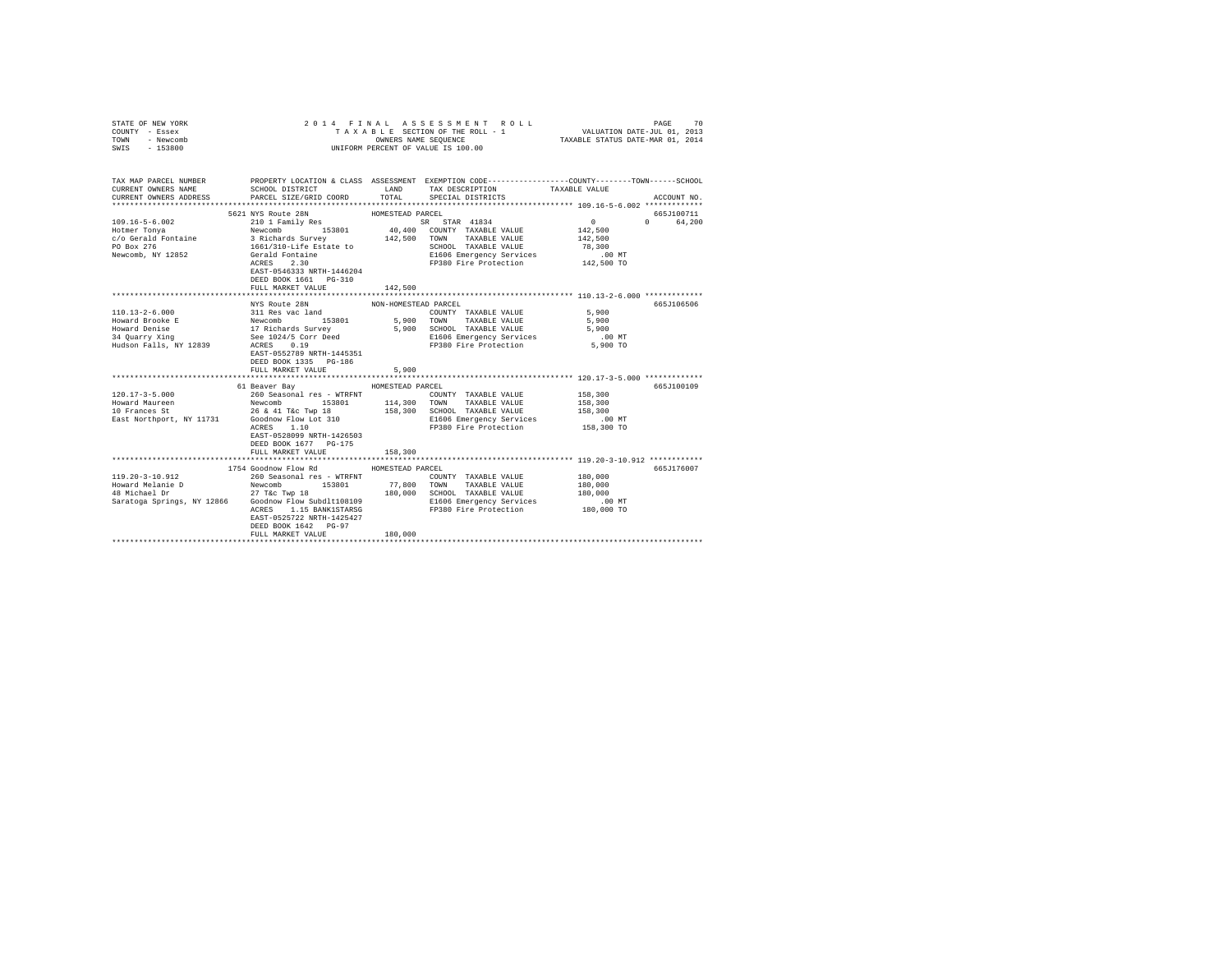| COUNTY - Essex<br>TOWN<br>- Newcomb<br>SWIS<br>$-153800$                                                                                                                                                                                                                                                                                                                                            |                                                                                                                                             | OWNERS NAME SEQUENCE | UNIFORM PERCENT OF VALUE IS 100.00                     | TAXABLE SECTION OF THE ROLL - 1 VALUATION DATE-JUL 01, 2013<br>TAXABLE STATUS DATE-MAR 01, 2014 |             |
|-----------------------------------------------------------------------------------------------------------------------------------------------------------------------------------------------------------------------------------------------------------------------------------------------------------------------------------------------------------------------------------------------------|---------------------------------------------------------------------------------------------------------------------------------------------|----------------------|--------------------------------------------------------|-------------------------------------------------------------------------------------------------|-------------|
| TAX MAP PARCEL NUMBER PROPERTY LOCATION & CLASS ASSESSMENT EXEMPTION CODE---------------COUNTY-------TOWN-----SCHOOL<br>CURRENT OWNERS NAME<br>CURRENT OWNERS ADDRESS                                                                                                                                                                                                                               | SCHOOL DISTRICT<br>PARCEL SIZE/GRID COORD                                                                                                   | LAND<br>TOTAL        | TAX DESCRIPTION<br>SPECIAL DISTRICTS                   | TAXABLE VALUE                                                                                   | ACCOUNT NO. |
|                                                                                                                                                                                                                                                                                                                                                                                                     | 5621 NYS Route 28N                                                                                                                          | HOMESTEAD PARCEL     |                                                        |                                                                                                 | 665J100711  |
| $109.16 - 5 - 6.002$                                                                                                                                                                                                                                                                                                                                                                                | 9921 and Nuclear<br>210 1 Family Res<br>Newcomb<br>3 Richards Survey<br>1661/310-Life Estate to<br>Gerald Fontaine<br>ACRES<br>2.30<br>2.00 |                      | EXTREMELTING STAR 41834<br>40,400 COUNTY TAXABLE VALUE | $\sim$ 0 $\sim$                                                                                 | 0 64,200    |
|                                                                                                                                                                                                                                                                                                                                                                                                     |                                                                                                                                             |                      |                                                        | 142,500                                                                                         |             |
| Hotmer Tonya<br>c/o Gerald Fontaine                                                                                                                                                                                                                                                                                                                                                                 |                                                                                                                                             | 142.500 TOWN         | TAXABLE VALUE                                          | 142,500                                                                                         |             |
| PO Box 276                                                                                                                                                                                                                                                                                                                                                                                          |                                                                                                                                             |                      | SCHOOL TAXABLE VALUE<br>E1606 Emergency Services       | 78,300                                                                                          |             |
| Newcomb, NY 12852                                                                                                                                                                                                                                                                                                                                                                                   |                                                                                                                                             |                      |                                                        | $.00$ MT                                                                                        |             |
|                                                                                                                                                                                                                                                                                                                                                                                                     | EAST-0546333 NRTH-1446204<br>DEED BOOK 1661 PG-310<br>FULL MARKET VALUE                                                                     | 142,500              | FP380 Fire Protection 142,500 TO                       |                                                                                                 |             |
|                                                                                                                                                                                                                                                                                                                                                                                                     |                                                                                                                                             |                      |                                                        |                                                                                                 |             |
|                                                                                                                                                                                                                                                                                                                                                                                                     | NYS Route 28N                                                                                                                               | NON-HOMESTEAD PARCEL |                                                        |                                                                                                 | 665J106506  |
| ${\small \begin{tabular}{lllllllllll} \textbf{110.13--2-6.000} & \textbf{311 Res vac Land} & \textbf{100.13--2-6.000} \\ \textbf{Howward Brooke E} & \textbf{Newcomb} & \textbf{53801} & \textbf{5,90} \\ \textbf{Howward Broake B} & \textbf{17.14} & \textbf{28.10} & \textbf{53801} & \textbf{5,90} \\ \textbf{34.007-TX 119} & \textbf{38.007} & \textbf{58.007} & \textbf{68.000} & \textbf{6$ |                                                                                                                                             |                      | COUNTY TAXABLE VALUE                                   | 5,900                                                                                           |             |
|                                                                                                                                                                                                                                                                                                                                                                                                     | 153801 5,900                                                                                                                                |                      | TAXABLE VALUE 5,900<br>TOWN                            |                                                                                                 |             |
|                                                                                                                                                                                                                                                                                                                                                                                                     |                                                                                                                                             | 5,900                | SCHOOL TAXABLE VALUE                                   | 5,900                                                                                           |             |
|                                                                                                                                                                                                                                                                                                                                                                                                     |                                                                                                                                             |                      | E1606 Emergency Services<br>FP380 Fire Protection      | $.00$ MT<br>5,900 TO                                                                            |             |
|                                                                                                                                                                                                                                                                                                                                                                                                     | EAST-0552789 NRTH-1445351<br>DEED BOOK 1335 PG-186<br>FULL MARKET VALUE                                                                     | 5,900                |                                                        |                                                                                                 |             |
|                                                                                                                                                                                                                                                                                                                                                                                                     |                                                                                                                                             |                      |                                                        |                                                                                                 |             |
|                                                                                                                                                                                                                                                                                                                                                                                                     | 61 Beaver Bay                                                                                                                               | HOMESTEAD PARCEL     |                                                        |                                                                                                 | 665J100109  |
|                                                                                                                                                                                                                                                                                                                                                                                                     |                                                                                                                                             |                      | COUNTY TAXABLE VALUE                                   | 158,300                                                                                         |             |
|                                                                                                                                                                                                                                                                                                                                                                                                     |                                                                                                                                             |                      | TAXABLE VALUE                                          | 158,300                                                                                         |             |
|                                                                                                                                                                                                                                                                                                                                                                                                     |                                                                                                                                             |                      | SCHOOL TAXABLE VALUE                                   | 158,300                                                                                         |             |
| East Northport, NY 11731 Goodnow Flow Lot 310 B1606 Emergency Services<br>ACRES 1.10 FP380 Fire Protection                                                                                                                                                                                                                                                                                          |                                                                                                                                             |                      |                                                        | $.00$ MT                                                                                        |             |
|                                                                                                                                                                                                                                                                                                                                                                                                     | EAST-0528099 NRTH-1426503<br>DEED BOOK 1677 PG-175<br>FULL MARKET VALUE                                                                     | 158,300              |                                                        | 158,300 TO                                                                                      |             |
|                                                                                                                                                                                                                                                                                                                                                                                                     |                                                                                                                                             |                      |                                                        |                                                                                                 |             |
|                                                                                                                                                                                                                                                                                                                                                                                                     | 1754 Goodnow Flow Rd                                                                                                                        | HOMESTEAD PARCEL     |                                                        |                                                                                                 | 665.T176007 |
|                                                                                                                                                                                                                                                                                                                                                                                                     |                                                                                                                                             |                      | COUNTY TAXABLE VALUE                                   | 180,000                                                                                         |             |
|                                                                                                                                                                                                                                                                                                                                                                                                     |                                                                                                                                             |                      | TOWN<br>TAXABLE VALUE                                  | 180,000                                                                                         |             |
|                                                                                                                                                                                                                                                                                                                                                                                                     |                                                                                                                                             |                      | SCHOOL TAXABLE VALUE                                   | 180,000                                                                                         |             |
|                                                                                                                                                                                                                                                                                                                                                                                                     |                                                                                                                                             |                      | E1606 Emergency Services                               | $.00$ MT                                                                                        |             |
|                                                                                                                                                                                                                                                                                                                                                                                                     | ACRES 1.15 BANK1STARSG<br>EAST-0525722 NRTH-1425427<br>DEED BOOK 1642 PG-97<br>FULL MARKET VALUE                                            | 180,000              | FP380 Fire Protection 180,000 TO                       |                                                                                                 |             |
|                                                                                                                                                                                                                                                                                                                                                                                                     |                                                                                                                                             |                      |                                                        |                                                                                                 |             |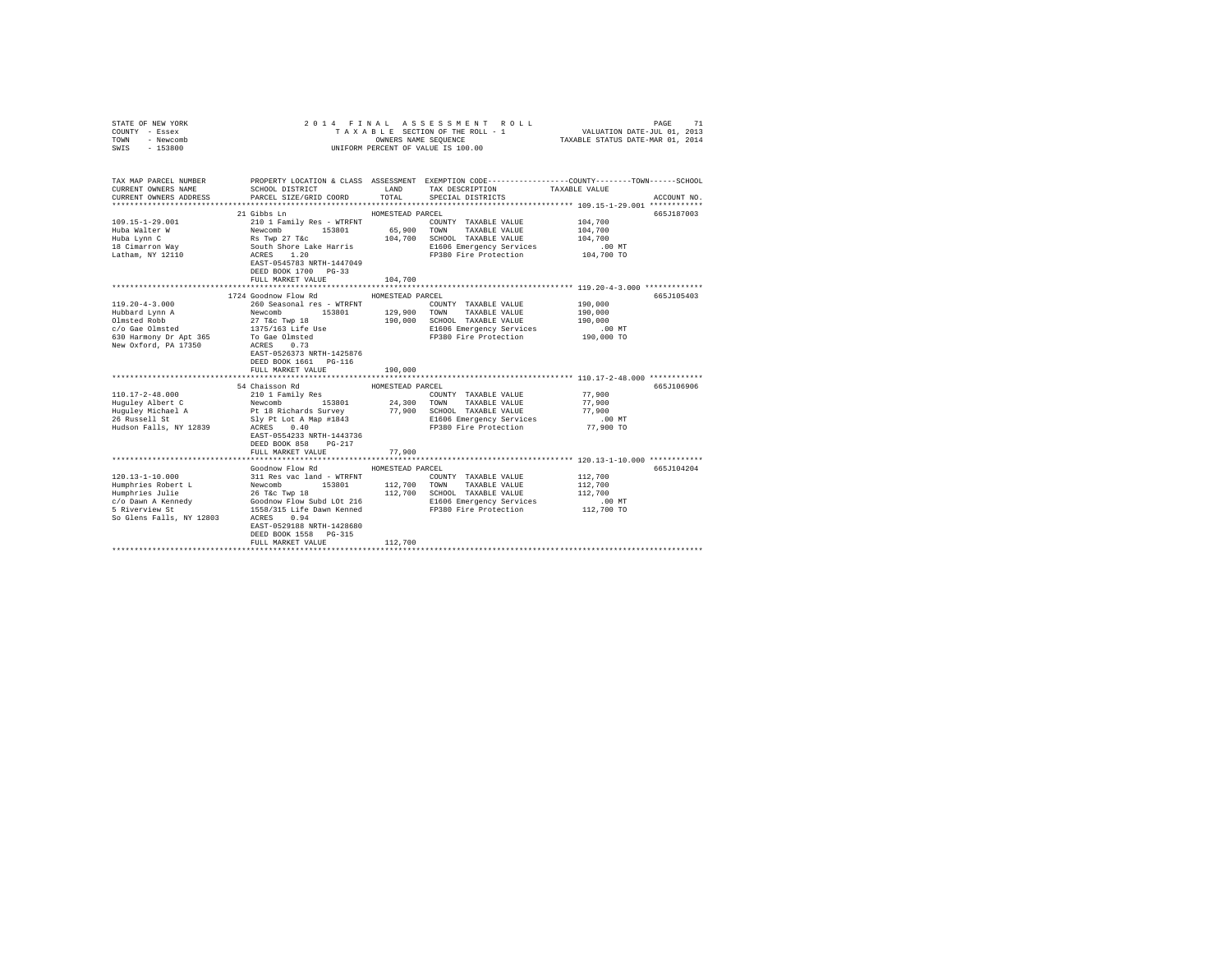| STATE OF NEW YORK<br>COUNTY - Essex<br>TOWN - Newcomb<br>SWIS - 153800                                                             | 2014 FINAL ASSESSMENT ROLL<br>PAGE<br>71<br>UNIFORM PERCENT OF VALUE IS 100.00                                                                                                                                                                                                                                                              |                             |                                                                                                                                                                                                                                                                                                              |                                                         |             |  |
|------------------------------------------------------------------------------------------------------------------------------------|---------------------------------------------------------------------------------------------------------------------------------------------------------------------------------------------------------------------------------------------------------------------------------------------------------------------------------------------|-----------------------------|--------------------------------------------------------------------------------------------------------------------------------------------------------------------------------------------------------------------------------------------------------------------------------------------------------------|---------------------------------------------------------|-------------|--|
| TAX MAP PARCEL NUMBER<br>CURRENT OWNERS NAME<br>CURRENT OWNERS ADDRESS                                                             | SCHOOL DISTRICT<br>PARCEL SIZE/GRID COORD                                                                                                                                                                                                                                                                                                   | LAND<br>TOTAL               | PROPERTY LOCATION & CLASS ASSESSMENT EXEMPTION CODE---------------COUNTY-------TOWN------SCHOOL<br>TAX DESCRIPTION<br>SPECIAL DISTRICTS                                                                                                                                                                      | TAXABLE VALUE                                           | ACCOUNT NO. |  |
| $109.15 - 1 - 29.001$<br>Huba Walter W<br>Huba Lynn C<br>18 Cimarron Way<br>Latham, NY 12110                                       | 21 Gibbs Ln<br>2101 Family Res - WTRFNT<br>Newcomb 153801 COUNTY TAXABLE VALUE<br>Newcomb 153801 65,900 TOWN TAXABLE VALUE<br>RS Twp 27 Tac<br>South Shore Lake Harris<br>2001 Family Res 104,700 SCHOOL TAXABLE VALUE<br>2016 RESS 1.20<br>2016 RESS 1.20<br>EAST-0545783 NRTH-1447049<br>DEED BOOK 1700 PG-33<br>FULL MARKET VALUE        | HOMESTEAD PARCEL<br>104,700 | COUNTY TAXABLE VALUE<br>104,700 SCHOOL TAXABLE VALUE<br>E1606 Emergency Services<br>FP380 Fire Protection                                                                                                                                                                                                    | 104,700<br>104,700<br>104,700<br>.00 MT<br>104,700 TO   | 665.T187003 |  |
|                                                                                                                                    |                                                                                                                                                                                                                                                                                                                                             |                             |                                                                                                                                                                                                                                                                                                              |                                                         |             |  |
| $119.20 - 4 - 3.000$<br>Hubbard Lynn A<br>Olmsted Robb<br>c/o Gae Olmsted<br>630 Harmony Dr Apt 365<br>New Oxford, PA 17350        | 1724 Goodnow Flow Rd<br>260 Seasonal res - WTRFNT<br>200 Seasonal Fes - With M. 29,900 COWNT TAXABLE VALUE<br>27 Tic Twp 18 153801 129,900 TOWN TAXABLE VALUE<br>27 Tic Twp 18 190,000 SCHOOL TAXABLE VALUE<br>1375/163 Life Use<br>To Gae Olmsted<br>ACRES 0.73<br>EAST-0526373 NRTH-1425876<br>DEED BOOK 1661 PG-116<br>FULL MARKET VALUE | HOMESTEAD PARCEL<br>190,000 | COUNTY TAXABLE VALUE<br>190,000 SCHOOL TAXABLE VALUE<br>E1606 Emergency Services<br>FP380 Fire Protection                                                                                                                                                                                                    | 190,000<br>190,000<br>190,000<br>$.00$ MT<br>190,000 TO | 665J105403  |  |
| 26 Russell St<br>Hudson Falls, NY 12839                                                                                            | 54 Chaisson Rd<br>ACRES 0.40<br>EAST-0554233 NRTH-1443736<br>DEED BOOK 858 PG-217<br>FULL MARKET VALUE                                                                                                                                                                                                                                      | HOMESTEAD PARCEL<br>77,900  | Sly Pt Lot A Map #1843 E1606 Emergency Services<br>hopes 0.40<br>FP380 Fire Protection                                                                                                                                                                                                                       | 77,900<br>77,900<br>77,900<br>$.00$ MT<br>77,900 TO     | 665-1106906 |  |
| $120.13 - 1 - 10.000$<br>Humphries Robert L<br>Humphries Julie<br>c/o Dawn A Kennedy<br>5 Riverview St<br>So Glens Falls, NY 12803 | Goodnow Flow Rd<br>ACRES 0.94<br>EAST-0529188 NRTH-1428680<br>DEED BOOK 1558 PG-315<br>FULL MARKET VALUE                                                                                                                                                                                                                                    | HOMESTEAD PARCEL<br>112,700 | 311 Res vac land - WTRFNT<br>Newcomb 153801 112,700 TOWNY TAXABLE VALUE<br>26 T&C TWP 18<br>26 T&C TWP 18<br>26 T&C TWP 18<br>312,700 SCHOOL TAXABLE VALUE<br>3000000 FINARBLE VALUE<br>312,700 SCHOOL TAXABLE VALUE<br>31606 Emergency Servic<br>1558/315 Life Dawn Kenned FP380 Fire Protection 112,700 TO | 112,700<br>112,700<br>112,700<br>.00 MT                 | 665.T104204 |  |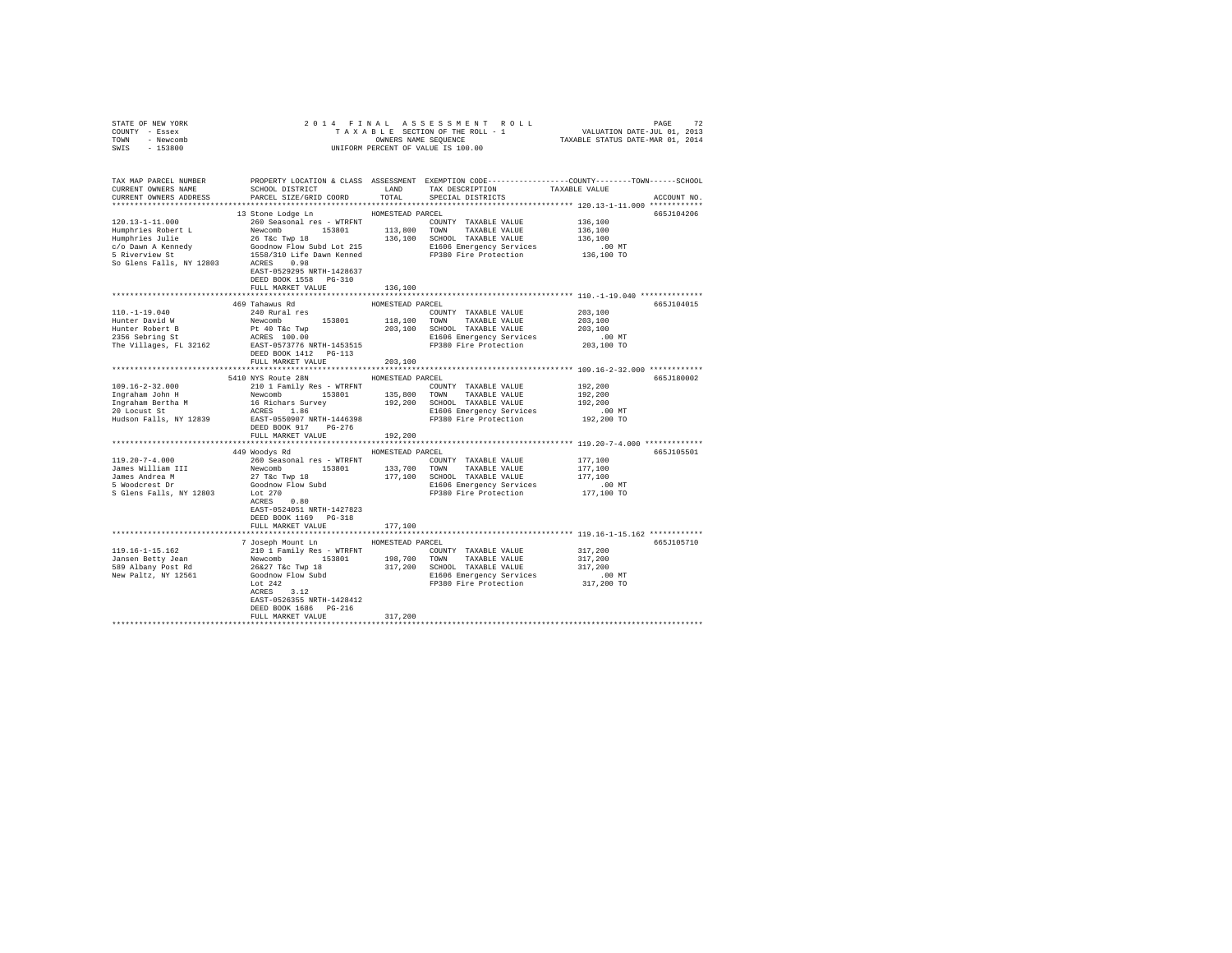| COUNTY - Essex<br>TOWN - Newcomb                      |                                                |                   |                                                                                                                                                                                                                                                                                                                                                                                                                                       |                                                                                                  |  |  |
|-------------------------------------------------------|------------------------------------------------|-------------------|---------------------------------------------------------------------------------------------------------------------------------------------------------------------------------------------------------------------------------------------------------------------------------------------------------------------------------------------------------------------------------------------------------------------------------------|--------------------------------------------------------------------------------------------------|--|--|
| SWIS - 153800                                         |                                                |                   | UNIFORM PERCENT OF VALUE IS 100.00                                                                                                                                                                                                                                                                                                                                                                                                    |                                                                                                  |  |  |
|                                                       |                                                |                   |                                                                                                                                                                                                                                                                                                                                                                                                                                       |                                                                                                  |  |  |
|                                                       |                                                |                   |                                                                                                                                                                                                                                                                                                                                                                                                                                       |                                                                                                  |  |  |
| TAX MAP PARCEL NUMBER                                 |                                                |                   |                                                                                                                                                                                                                                                                                                                                                                                                                                       | PROPERTY LOCATION & CLASS ASSESSMENT EXEMPTION CODE----------------COUNTY-------TOWN------SCHOOL |  |  |
| CURRENT OWNERS NAME                                   |                                                |                   | ${\tt SCH OOL\ DISTRICT} \hspace{2.5cm} {\tt LAND} \hspace{1.5cm} {\tt TAX\ DESCRIPTION} \hspace{2.5cm} {\tt TAXABLE\ VALUE}$                                                                                                                                                                                                                                                                                                         |                                                                                                  |  |  |
| CURRENT OWNERS ADDRESS                                | PARCEL SIZE/GRID COORD TOTAL SPECIAL DISTRICTS |                   |                                                                                                                                                                                                                                                                                                                                                                                                                                       | ACCOUNT NO.                                                                                      |  |  |
|                                                       |                                                |                   |                                                                                                                                                                                                                                                                                                                                                                                                                                       |                                                                                                  |  |  |
|                                                       |                                                |                   |                                                                                                                                                                                                                                                                                                                                                                                                                                       | 665J104206                                                                                       |  |  |
|                                                       |                                                |                   |                                                                                                                                                                                                                                                                                                                                                                                                                                       |                                                                                                  |  |  |
|                                                       |                                                |                   |                                                                                                                                                                                                                                                                                                                                                                                                                                       |                                                                                                  |  |  |
|                                                       |                                                |                   |                                                                                                                                                                                                                                                                                                                                                                                                                                       |                                                                                                  |  |  |
|                                                       |                                                |                   |                                                                                                                                                                                                                                                                                                                                                                                                                                       |                                                                                                  |  |  |
|                                                       |                                                |                   |                                                                                                                                                                                                                                                                                                                                                                                                                                       |                                                                                                  |  |  |
|                                                       |                                                |                   |                                                                                                                                                                                                                                                                                                                                                                                                                                       |                                                                                                  |  |  |
|                                                       |                                                |                   |                                                                                                                                                                                                                                                                                                                                                                                                                                       |                                                                                                  |  |  |
|                                                       | DEED BOOK 1558 PG-310                          |                   |                                                                                                                                                                                                                                                                                                                                                                                                                                       |                                                                                                  |  |  |
|                                                       | FULL MARKET VALUE                              | 136,100           |                                                                                                                                                                                                                                                                                                                                                                                                                                       |                                                                                                  |  |  |
|                                                       |                                                |                   |                                                                                                                                                                                                                                                                                                                                                                                                                                       |                                                                                                  |  |  |
|                                                       | 469 Tahawus Rd                                 | HOMESTEAD PARCEL  |                                                                                                                                                                                                                                                                                                                                                                                                                                       | 665J104015                                                                                       |  |  |
|                                                       |                                                |                   |                                                                                                                                                                                                                                                                                                                                                                                                                                       | 203,100                                                                                          |  |  |
|                                                       |                                                |                   |                                                                                                                                                                                                                                                                                                                                                                                                                                       | 203,100                                                                                          |  |  |
|                                                       |                                                |                   |                                                                                                                                                                                                                                                                                                                                                                                                                                       | 203,100                                                                                          |  |  |
|                                                       |                                                |                   |                                                                                                                                                                                                                                                                                                                                                                                                                                       | 00 MT.<br>203,100 TO                                                                             |  |  |
|                                                       |                                                |                   |                                                                                                                                                                                                                                                                                                                                                                                                                                       |                                                                                                  |  |  |
|                                                       | DEED BOOK 1412    PG-113                       |                   |                                                                                                                                                                                                                                                                                                                                                                                                                                       |                                                                                                  |  |  |
|                                                       | FULL MARKET VALUE                              | 203,100           |                                                                                                                                                                                                                                                                                                                                                                                                                                       |                                                                                                  |  |  |
|                                                       | 5410 NYS Route 28N HOMESTEAD PARCEL            |                   |                                                                                                                                                                                                                                                                                                                                                                                                                                       |                                                                                                  |  |  |
|                                                       |                                                |                   |                                                                                                                                                                                                                                                                                                                                                                                                                                       | 665J180002<br>192,200                                                                            |  |  |
|                                                       |                                                |                   |                                                                                                                                                                                                                                                                                                                                                                                                                                       | 192,200                                                                                          |  |  |
|                                                       |                                                |                   |                                                                                                                                                                                                                                                                                                                                                                                                                                       | 192,200                                                                                          |  |  |
|                                                       |                                                |                   |                                                                                                                                                                                                                                                                                                                                                                                                                                       | .00 MT                                                                                           |  |  |
|                                                       |                                                |                   |                                                                                                                                                                                                                                                                                                                                                                                                                                       | 192,200 TO                                                                                       |  |  |
|                                                       | DEED BOOK 917 PG-276                           |                   |                                                                                                                                                                                                                                                                                                                                                                                                                                       |                                                                                                  |  |  |
|                                                       | FULL MARKET VALUE                              | 192,200           |                                                                                                                                                                                                                                                                                                                                                                                                                                       |                                                                                                  |  |  |
|                                                       |                                                | ***************** |                                                                                                                                                                                                                                                                                                                                                                                                                                       | ******************** 119.20-7-4.000 *************                                                |  |  |
|                                                       | 449 Woodys Rd MOMESTEAD PARCEL                 |                   |                                                                                                                                                                                                                                                                                                                                                                                                                                       | 665J105501                                                                                       |  |  |
| 119.20-7-4.000                                        |                                                |                   |                                                                                                                                                                                                                                                                                                                                                                                                                                       | 177,100                                                                                          |  |  |
|                                                       |                                                |                   |                                                                                                                                                                                                                                                                                                                                                                                                                                       | 177,100                                                                                          |  |  |
|                                                       |                                                |                   |                                                                                                                                                                                                                                                                                                                                                                                                                                       | 177,100                                                                                          |  |  |
| James William III<br>James Andrea M<br>5 Woodcrest Dr |                                                |                   | $\begin{tabular}{l l l l} \bf 449\;\; \text{\small{Wooqys} to} \\ \bf 260\;\; \text{Seasonal} \;\; \text{res - \texttt{WFRNT}} & \texttt{1537,700} & \texttt{TOUNITY} & \texttt{TAXABLE VALUE} \\ \bf 260\;\; \text{Seasonal} \;\; \text{153801} & \texttt{133,700} & \texttt{TONNY} & \texttt{TAXABLE VALUE} \\ \bf 27\;\; \text{Ke O} & \texttt{TP} & \texttt{18} & \texttt{177,100} & \texttt{SCIOOL} & \texttt{TAXABLE VALUE} \\$ | $177,100$ MT                                                                                     |  |  |
| S Glens Falls, NY 12803                               |                                                |                   |                                                                                                                                                                                                                                                                                                                                                                                                                                       |                                                                                                  |  |  |
|                                                       | ACRES 0.80                                     |                   |                                                                                                                                                                                                                                                                                                                                                                                                                                       |                                                                                                  |  |  |
|                                                       | EAST-0524051 NRTH-1427823                      |                   |                                                                                                                                                                                                                                                                                                                                                                                                                                       |                                                                                                  |  |  |
|                                                       | DEED BOOK 1169    PG-318                       |                   |                                                                                                                                                                                                                                                                                                                                                                                                                                       |                                                                                                  |  |  |
|                                                       | FULL MARKET VALUE                              | 177,100           |                                                                                                                                                                                                                                                                                                                                                                                                                                       |                                                                                                  |  |  |
|                                                       |                                                |                   |                                                                                                                                                                                                                                                                                                                                                                                                                                       |                                                                                                  |  |  |
|                                                       | 7 Joseph Mount Ln MOMESTEAD PARCEL             |                   |                                                                                                                                                                                                                                                                                                                                                                                                                                       | 665J105710                                                                                       |  |  |
|                                                       |                                                |                   |                                                                                                                                                                                                                                                                                                                                                                                                                                       | 317, 200<br>317, 200<br>317, 200                                                                 |  |  |
|                                                       |                                                |                   |                                                                                                                                                                                                                                                                                                                                                                                                                                       |                                                                                                  |  |  |
|                                                       |                                                |                   |                                                                                                                                                                                                                                                                                                                                                                                                                                       |                                                                                                  |  |  |
|                                                       |                                                |                   |                                                                                                                                                                                                                                                                                                                                                                                                                                       |                                                                                                  |  |  |
|                                                       |                                                |                   |                                                                                                                                                                                                                                                                                                                                                                                                                                       |                                                                                                  |  |  |
|                                                       |                                                |                   |                                                                                                                                                                                                                                                                                                                                                                                                                                       |                                                                                                  |  |  |
|                                                       | EAST-0526355 NRTH-1428412                      |                   |                                                                                                                                                                                                                                                                                                                                                                                                                                       |                                                                                                  |  |  |
|                                                       | DEED BOOK 1686 PG-216<br>FULL MARKET VALUE     | 317,200           |                                                                                                                                                                                                                                                                                                                                                                                                                                       |                                                                                                  |  |  |
|                                                       |                                                |                   |                                                                                                                                                                                                                                                                                                                                                                                                                                       |                                                                                                  |  |  |
|                                                       |                                                |                   |                                                                                                                                                                                                                                                                                                                                                                                                                                       |                                                                                                  |  |  |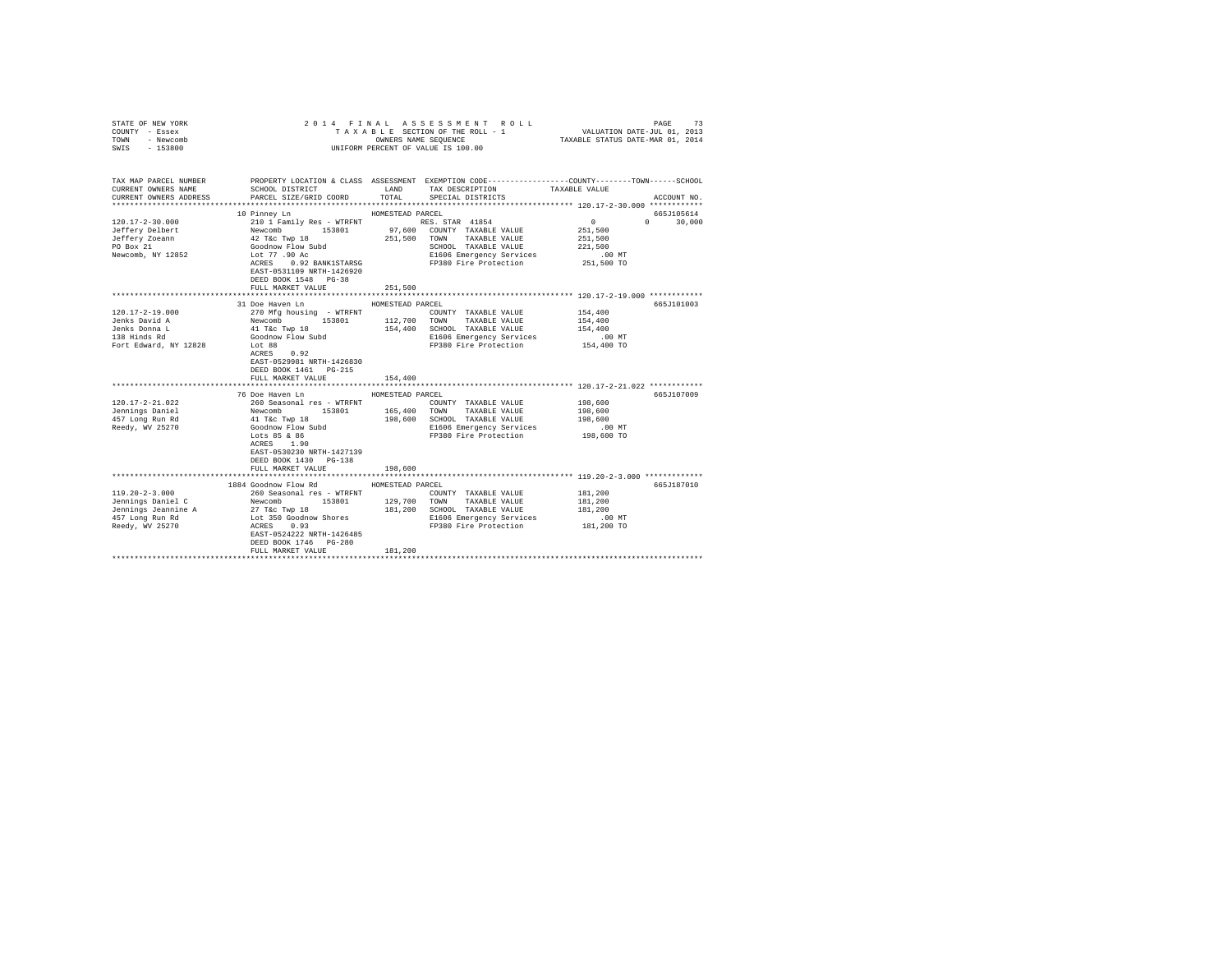| STATE OF NEW YORK                                                                                                                                                                           |                                                                                                                                                                                                                                                                                                                                                                                                                                       |                  |                                                                                                 |                       |               |
|---------------------------------------------------------------------------------------------------------------------------------------------------------------------------------------------|---------------------------------------------------------------------------------------------------------------------------------------------------------------------------------------------------------------------------------------------------------------------------------------------------------------------------------------------------------------------------------------------------------------------------------------|------------------|-------------------------------------------------------------------------------------------------|-----------------------|---------------|
| COUNTY - Essex                                                                                                                                                                              |                                                                                                                                                                                                                                                                                                                                                                                                                                       |                  |                                                                                                 |                       |               |
| - Newcomb<br>TOWN                                                                                                                                                                           |                                                                                                                                                                                                                                                                                                                                                                                                                                       |                  |                                                                                                 |                       |               |
| SWIS - 153800                                                                                                                                                                               |                                                                                                                                                                                                                                                                                                                                                                                                                                       |                  | UNIFORM PERCENT OF VALUE IS 100.00                                                              |                       |               |
|                                                                                                                                                                                             |                                                                                                                                                                                                                                                                                                                                                                                                                                       |                  |                                                                                                 |                       |               |
|                                                                                                                                                                                             |                                                                                                                                                                                                                                                                                                                                                                                                                                       |                  |                                                                                                 |                       |               |
|                                                                                                                                                                                             |                                                                                                                                                                                                                                                                                                                                                                                                                                       |                  |                                                                                                 |                       |               |
| TAX MAP PARCEL NUMBER                                                                                                                                                                       |                                                                                                                                                                                                                                                                                                                                                                                                                                       |                  | PROPERTY LOCATION & CLASS ASSESSMENT EXEMPTION CODE----------------COUNTY-------TOWN-----SCHOOL |                       |               |
| CURRENT OWNERS NAME                                                                                                                                                                         | SCHOOL DISTRICT                                                                                                                                                                                                                                                                                                                                                                                                                       | LAND             | TAX DESCRIPTION TAXABLE VALUE                                                                   |                       |               |
| CURRENT OWNERS ADDRESS                                                                                                                                                                      | PARCEL SIZE/GRID COORD                                                                                                                                                                                                                                                                                                                                                                                                                | TOTAL            | SPECIAL DISTRICTS                                                                               |                       | ACCOUNT NO.   |
|                                                                                                                                                                                             |                                                                                                                                                                                                                                                                                                                                                                                                                                       |                  |                                                                                                 |                       |               |
|                                                                                                                                                                                             | 10 Pinney Ln                                                                                                                                                                                                                                                                                                                                                                                                                          | HOMESTEAD PARCEL |                                                                                                 |                       | 665J105614    |
| $120.17 - 2 - 30.000$                                                                                                                                                                       |                                                                                                                                                                                                                                                                                                                                                                                                                                       |                  |                                                                                                 | $\sim$ 0 $\sim$       | $0 \t 30,000$ |
| Jeffery Delbert                                                                                                                                                                             |                                                                                                                                                                                                                                                                                                                                                                                                                                       |                  |                                                                                                 | 251,500               |               |
| Jeffery Zoeann                                                                                                                                                                              |                                                                                                                                                                                                                                                                                                                                                                                                                                       |                  |                                                                                                 | 251,500               |               |
| PO Box 21                                                                                                                                                                                   |                                                                                                                                                                                                                                                                                                                                                                                                                                       |                  | SCHOOL TAXABLE VALUE                                                                            | 221,500               |               |
| Newcomb, NY 12852                                                                                                                                                                           | $\begin{tabular}{c c c} \multicolumn{1}{c}{\textbf{210}1 Fami1y Res = WTRINT} \multicolumn{1}{c}{\textbf{210}1 Fami1y Res = WTRINT} \multicolumn{1}{c}{\textbf{210}1 Fami1y Res = WTRINT} \multicolumn{1}{c}{\textbf{210}1 Fami2xABLE VALUE} \multicolumn{1}{c}{\textbf{Newcomb}} \multicolumn{1}{c}{\textbf{210}1 Fami2xABLE VALUE} \multicolumn{1}{c}{\textbf{210}1 Fini2xABLE VALUE} \multicolumn{1}{c}{\textbf{42} 7 4c 7 we sub$ |                  | SCHOOL Income<br>E1606 Emergency Services                                                       | . 00 MT               |               |
|                                                                                                                                                                                             | ACRES 0.92 BANK1STARSG                                                                                                                                                                                                                                                                                                                                                                                                                |                  | FP380 Fire Protection 251,500 TO                                                                |                       |               |
|                                                                                                                                                                                             | EAST-0531109 NRTH-1426920                                                                                                                                                                                                                                                                                                                                                                                                             |                  |                                                                                                 |                       |               |
|                                                                                                                                                                                             | DEED BOOK 1548 PG-38                                                                                                                                                                                                                                                                                                                                                                                                                  |                  |                                                                                                 |                       |               |
|                                                                                                                                                                                             | FULL MARKET VALUE                                                                                                                                                                                                                                                                                                                                                                                                                     | 251,500          |                                                                                                 |                       |               |
|                                                                                                                                                                                             |                                                                                                                                                                                                                                                                                                                                                                                                                                       |                  |                                                                                                 |                       |               |
|                                                                                                                                                                                             | 31 Doe Haven Ln                                                                                                                                                                                                                                                                                                                                                                                                                       | HOMESTEAD PARCEL |                                                                                                 |                       | 665J101003    |
| 120.17-2-19.000                                                                                                                                                                             | 270 Mfg housing - WTRFNT                                                                                                                                                                                                                                                                                                                                                                                                              |                  | COUNTY TAXABLE VALUE                                                                            | 154,400               |               |
| Jenks David A                                                                                                                                                                               |                                                                                                                                                                                                                                                                                                                                                                                                                                       |                  |                                                                                                 | 154,400               |               |
|                                                                                                                                                                                             | Newcomb 153801 112,700 TOWN TAXABLE VALUE<br>41 T&c Twp 18 154,400 SCHOOL TAXABLE VALUE<br>Goodnow Flow Subd                                                                                                                                                                                                                                                                                                                          |                  | 154,400 SCHOOL TAXABLE VALUE                                                                    | 154,400               |               |
| Jenks Donna L<br>138 Hinds Rd                                                                                                                                                               |                                                                                                                                                                                                                                                                                                                                                                                                                                       |                  | E166 Emergency Services<br>E166 Emergency Services<br>And The Benefaction                       | $.00$ MT              |               |
| Fort Edward, NY 12828                                                                                                                                                                       | Lot 88                                                                                                                                                                                                                                                                                                                                                                                                                                |                  | FP380 Fire Protection 154,400 TO                                                                |                       |               |
|                                                                                                                                                                                             | ACRES 0.92                                                                                                                                                                                                                                                                                                                                                                                                                            |                  |                                                                                                 |                       |               |
|                                                                                                                                                                                             | EAST-0529981 NRTH-1426830                                                                                                                                                                                                                                                                                                                                                                                                             |                  |                                                                                                 |                       |               |
|                                                                                                                                                                                             | DEED BOOK 1461 PG-215                                                                                                                                                                                                                                                                                                                                                                                                                 |                  |                                                                                                 |                       |               |
|                                                                                                                                                                                             | FULL MARKET VALUE                                                                                                                                                                                                                                                                                                                                                                                                                     | 154,400          |                                                                                                 |                       |               |
|                                                                                                                                                                                             |                                                                                                                                                                                                                                                                                                                                                                                                                                       |                  |                                                                                                 |                       |               |
|                                                                                                                                                                                             | 76 Doe Haven Ln                                                                                                                                                                                                                                                                                                                                                                                                                       | HOMESTEAD PARCEL |                                                                                                 |                       | 665J107009    |
| $120.17 - 2 - 21.022$                                                                                                                                                                       |                                                                                                                                                                                                                                                                                                                                                                                                                                       |                  |                                                                                                 | 198,600               |               |
| Jennings Daniel                                                                                                                                                                             |                                                                                                                                                                                                                                                                                                                                                                                                                                       |                  |                                                                                                 | 198,600               |               |
| 457 Long Run Rd                                                                                                                                                                             |                                                                                                                                                                                                                                                                                                                                                                                                                                       |                  |                                                                                                 | 198,600               |               |
| Reedy, WV 25270                                                                                                                                                                             |                                                                                                                                                                                                                                                                                                                                                                                                                                       |                  |                                                                                                 |                       |               |
|                                                                                                                                                                                             | 260 Seasonal res - WTRFNT<br>Mewcomb 153801 165,400 TONNY TAXABLE VALUE<br>Mewcomb 153801 165,400 TONNY TAXABLE VALUE<br>41 T&C Twp 18 198,600 SCHOOL TAXABLE VALUE<br>40 COMNY Flow Subd<br>198,600 SCHOOL TAXABLE VALUE<br>2006100 Flow                                                                                                                                                                                             |                  |                                                                                                 |                       |               |
|                                                                                                                                                                                             | ACRES 1.90                                                                                                                                                                                                                                                                                                                                                                                                                            |                  |                                                                                                 |                       |               |
|                                                                                                                                                                                             | EAST-0530230 NRTH-1427139                                                                                                                                                                                                                                                                                                                                                                                                             |                  |                                                                                                 |                       |               |
|                                                                                                                                                                                             | DEED BOOK 1430 PG-138                                                                                                                                                                                                                                                                                                                                                                                                                 |                  |                                                                                                 |                       |               |
|                                                                                                                                                                                             | FULL MARKET VALUE                                                                                                                                                                                                                                                                                                                                                                                                                     | 198,600          |                                                                                                 |                       |               |
|                                                                                                                                                                                             |                                                                                                                                                                                                                                                                                                                                                                                                                                       |                  | ********************************** 119.20-2-3.000 **************                                |                       |               |
|                                                                                                                                                                                             | 1884 Goodnow Flow Rd MOMESTEAD PARCEL                                                                                                                                                                                                                                                                                                                                                                                                 |                  |                                                                                                 |                       | 665J187010    |
| $119.20 - 2 - 3.000$                                                                                                                                                                        | 260 Seasonal res - WTRFNT                                                                                                                                                                                                                                                                                                                                                                                                             |                  | COUNTY TAXABLE VALUE                                                                            | 181,200               |               |
| 119.20-2-3.000<br>19.20 Johnnings Daniel C<br>20 Johnnings Daniel C<br>Jennings Jennings Daniel C<br>27 Téc Twp 18 129,700 TOWN TAXABLE VALUE (Paramings Jennings Jennings And Lot 3500<br> |                                                                                                                                                                                                                                                                                                                                                                                                                                       |                  |                                                                                                 | 181,200               |               |
|                                                                                                                                                                                             |                                                                                                                                                                                                                                                                                                                                                                                                                                       |                  |                                                                                                 | 181,200               |               |
|                                                                                                                                                                                             |                                                                                                                                                                                                                                                                                                                                                                                                                                       |                  |                                                                                                 |                       |               |
|                                                                                                                                                                                             |                                                                                                                                                                                                                                                                                                                                                                                                                                       |                  | E1606 Emergency Services<br>FP380 Fire Protection                                               | .00 MT.<br>181,200 TO |               |
|                                                                                                                                                                                             |                                                                                                                                                                                                                                                                                                                                                                                                                                       |                  |                                                                                                 |                       |               |
|                                                                                                                                                                                             | DEED BOOK 1746 PG-280                                                                                                                                                                                                                                                                                                                                                                                                                 |                  |                                                                                                 |                       |               |
|                                                                                                                                                                                             | FULL MARKET VALUE                                                                                                                                                                                                                                                                                                                                                                                                                     | 181,200          |                                                                                                 |                       |               |
|                                                                                                                                                                                             |                                                                                                                                                                                                                                                                                                                                                                                                                                       |                  |                                                                                                 |                       |               |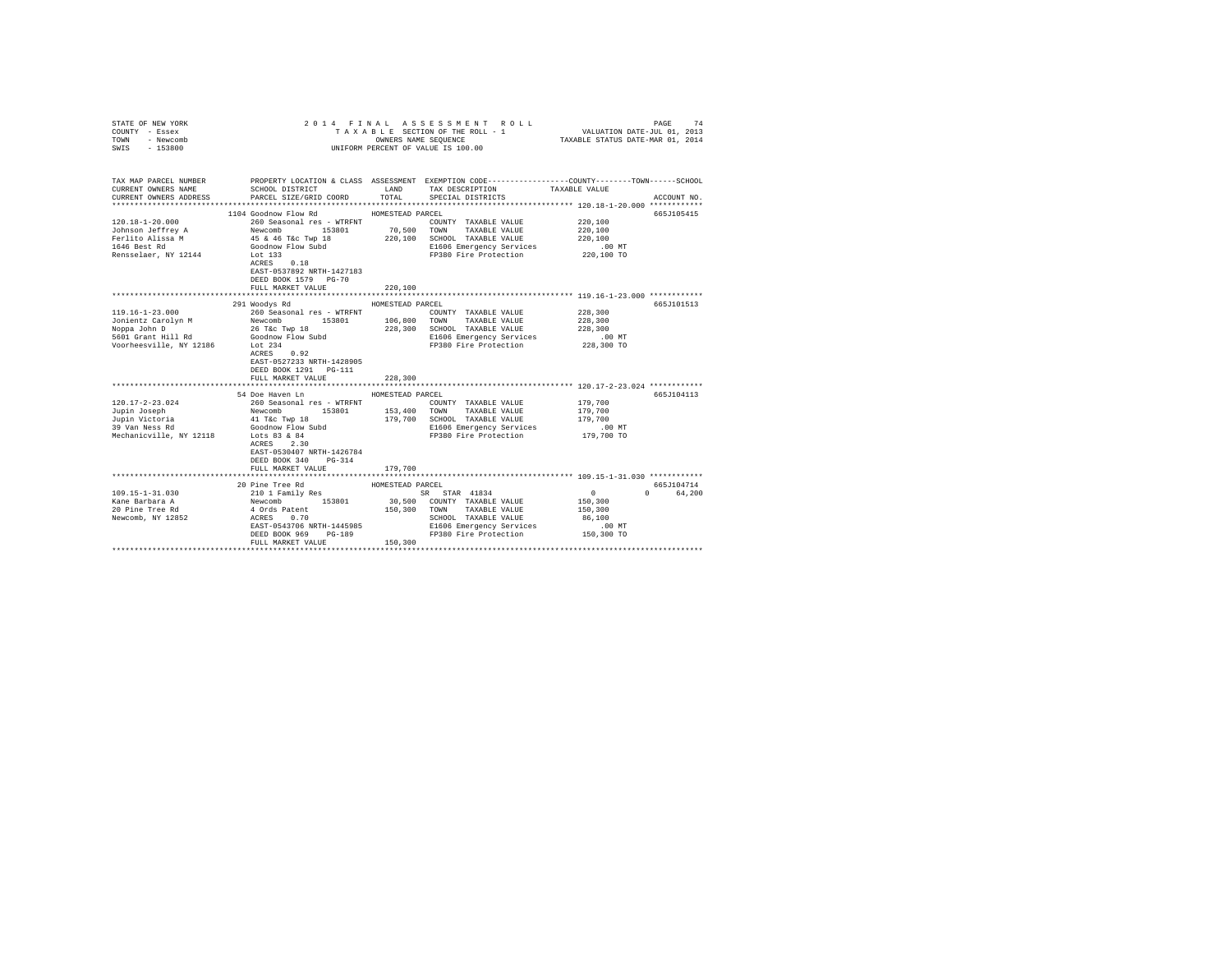| COUNTY - Essex<br>TOWN<br>- Newcomb<br>SWIS - 153800 | OWNERS NAME SEQUENCE<br>UNIFORM PERCENT OF VALUE IS 100.00                                                                                                                                          |                           |                                                                                                                                                       |                                                         |             |
|------------------------------------------------------|-----------------------------------------------------------------------------------------------------------------------------------------------------------------------------------------------------|---------------------------|-------------------------------------------------------------------------------------------------------------------------------------------------------|---------------------------------------------------------|-------------|
| CURRENT OWNERS NAME<br>CURRENT OWNERS ADDRESS        | TAX MAP PARCEL NUMBER PROPERTY LOCATION & CLASS ASSESSMENT EXEMPTION CODE--------------COUNTY-------TOWN------SCHOOL<br>SCHOOL DISTRICT TAND TAX DESCRIPTION<br>PARCEL SIZE/GRID COORD              | TOTAL                     | SPECIAL DISTRICTS                                                                                                                                     | TAXABLE VALUE                                           | ACCOUNT NO. |
|                                                      | 1104 Goodnow Flow Rd MOMESTEAD PARCEL                                                                                                                                                               |                           |                                                                                                                                                       |                                                         | 665J105415  |
|                                                      |                                                                                                                                                                                                     |                           |                                                                                                                                                       | 220,100                                                 |             |
|                                                      |                                                                                                                                                                                                     |                           |                                                                                                                                                       | 220,100                                                 |             |
|                                                      |                                                                                                                                                                                                     |                           |                                                                                                                                                       | 220,100                                                 |             |
|                                                      |                                                                                                                                                                                                     |                           |                                                                                                                                                       | .00 MT                                                  |             |
|                                                      | EAST-0537892 NRTH-1427183                                                                                                                                                                           |                           | FP380 Fire Protection 220,100 TO                                                                                                                      |                                                         |             |
|                                                      | DEED BOOK 1579 PG-70                                                                                                                                                                                |                           |                                                                                                                                                       |                                                         |             |
|                                                      | FULL MARKET VALUE                                                                                                                                                                                   | 220,100                   |                                                                                                                                                       |                                                         |             |
|                                                      |                                                                                                                                                                                                     |                           |                                                                                                                                                       |                                                         |             |
|                                                      | 291 Woodys Rd                                                                                                                                                                                       | HOMESTEAD PARCEL          |                                                                                                                                                       |                                                         | 665J101513  |
|                                                      |                                                                                                                                                                                                     |                           | COUNTY TAXABLE VALUE<br>106,800 TOWN TAXABLE VALUE                                                                                                    | 228,300                                                 |             |
|                                                      |                                                                                                                                                                                                     |                           |                                                                                                                                                       | 228,300                                                 |             |
|                                                      |                                                                                                                                                                                                     |                           | 228,300 SCHOOL TAXABLE VALUE<br>E1606 Emergency Services                                                                                              | 228,300                                                 |             |
|                                                      |                                                                                                                                                                                                     |                           | FP380 Fire Protection 228,300 TO                                                                                                                      | $.00$ MT                                                |             |
|                                                      | EAST-0527233 NRTH-1428905<br>DEED BOOK 1291   PG-111                                                                                                                                                |                           |                                                                                                                                                       |                                                         |             |
|                                                      | FULL MARKET VALUE<br>**************************                                                                                                                                                     | 228,300<br>************** |                                                                                                                                                       | ************************** 120.17-2-23.024 ************ |             |
|                                                      | 54 Doe Haven Ln                                                                                                                                                                                     | HOMESTEAD PARCEL          |                                                                                                                                                       |                                                         | 665J104113  |
| $120.17 - 2 - 23.024$                                |                                                                                                                                                                                                     |                           | COUNTY TAXABLE VALUE                                                                                                                                  | 179,700                                                 |             |
| Jupin Joseph                                         |                                                                                                                                                                                                     |                           |                                                                                                                                                       | 179,700                                                 |             |
|                                                      | 260 Seasonal res - WTRFNT<br>Newcomb 153801 153,400 TOWNY TAXABLE VALUE<br>41 T&C TWP 18 199,700 SCHOOL TAXABLE VALUE<br>Goodnow Flow Subd 179,700 SCHOOL TAXABLE VALUE<br>El606 Emergency Services |                           | 179,700 SCHOOL TAXABLE VALUE                                                                                                                          | 179,700                                                 |             |
| Jupin Victoria<br>39 Van Ness Rd                     |                                                                                                                                                                                                     |                           | E1606 Emergency Services                                                                                                                              | . 00 MT                                                 |             |
| Mechanicville, NY 12118                              | Lots 83 & 84<br>ACRES 2.30<br>EAST-0530407 NRTH-1426784<br>DEED BOOK 340<br>$PG-314$<br>FULL MARKET VALUE                                                                                           | 179,700                   | FP380 Fire Protection                                                                                                                                 | 179,700 TO                                              |             |
|                                                      |                                                                                                                                                                                                     |                           |                                                                                                                                                       |                                                         |             |
|                                                      | 20 Pine Tree Rd                                                                                                                                                                                     | HOMESTEAD PARCEL          |                                                                                                                                                       |                                                         | 665J104714  |
|                                                      |                                                                                                                                                                                                     |                           |                                                                                                                                                       | $\sim$ 0                                                | 0 64.200    |
|                                                      |                                                                                                                                                                                                     |                           |                                                                                                                                                       | 150,300                                                 |             |
|                                                      |                                                                                                                                                                                                     |                           |                                                                                                                                                       | 150,300                                                 |             |
|                                                      |                                                                                                                                                                                                     |                           | SCHOOL TAXABLE VALUE                                                                                                                                  | 86,100                                                  |             |
|                                                      | EAST-0543706 NRTH-1445985                                                                                                                                                                           |                           | CONTROL CONTROL CONTROL CONTROL CONTROL CONTROL CONTROL CONTROL CONTROL CONTROL CONTROL CONTROL CONTROL CONTRO<br>E1606 Emergency Services 150,300 TO |                                                         |             |
|                                                      | DEED BOOK 969 PG-189                                                                                                                                                                                |                           |                                                                                                                                                       |                                                         |             |
|                                                      | FULL MARKET VALUE                                                                                                                                                                                   | 150,300                   |                                                                                                                                                       |                                                         |             |
|                                                      |                                                                                                                                                                                                     |                           |                                                                                                                                                       |                                                         |             |

STATE OF NEW YORK 2014 FINAL ASSESSMENT ROLL PAGE 74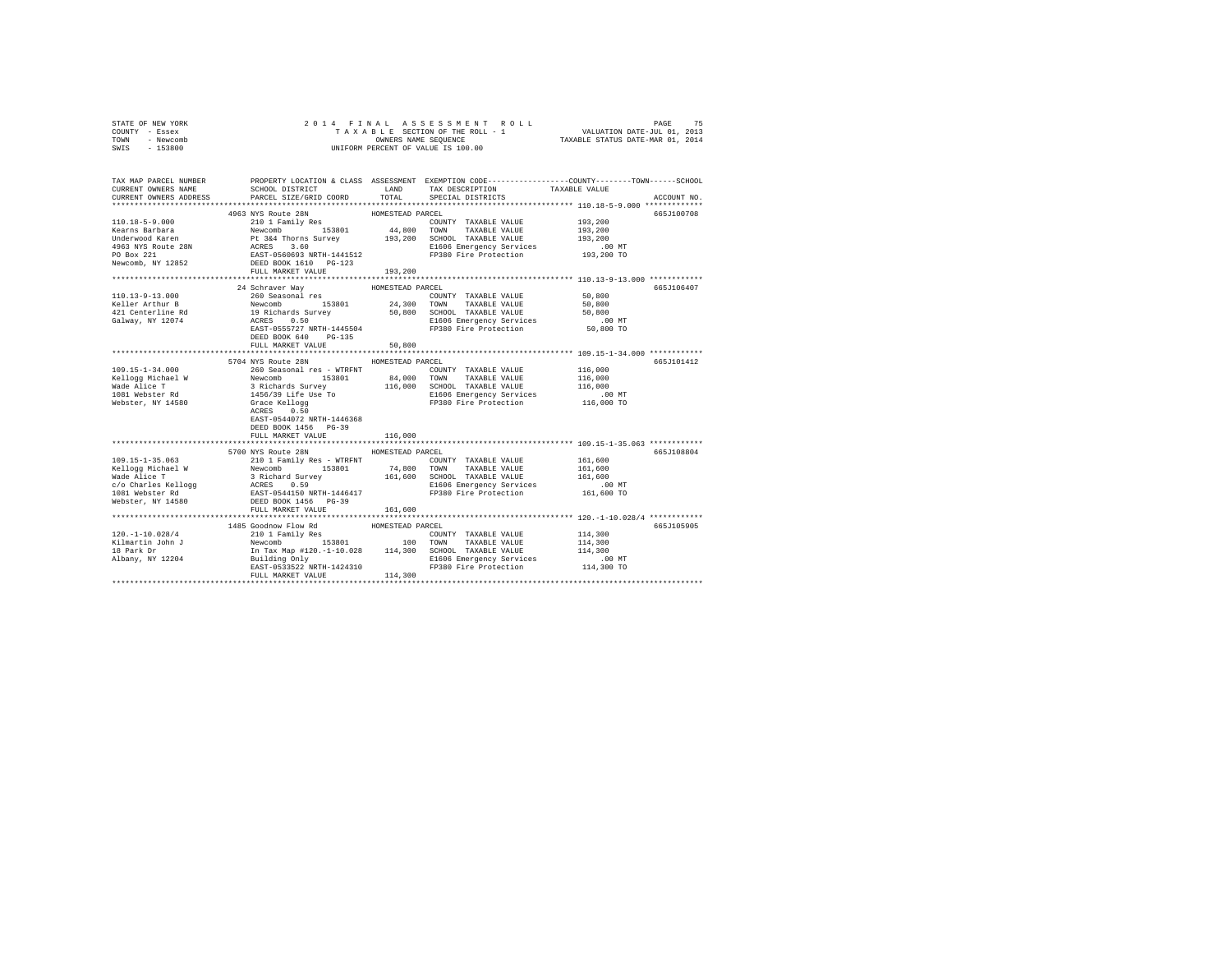| STATE OF NEW YORK                                                                                                                                                                                                              | 2014 FINAL                                                                                                                                                                                                                                   |                  |                                                                                                |               |             |
|--------------------------------------------------------------------------------------------------------------------------------------------------------------------------------------------------------------------------------|----------------------------------------------------------------------------------------------------------------------------------------------------------------------------------------------------------------------------------------------|------------------|------------------------------------------------------------------------------------------------|---------------|-------------|
| COUNTY - Essex                                                                                                                                                                                                                 |                                                                                                                                                                                                                                              |                  |                                                                                                |               |             |
| TOWN - Newcomb                                                                                                                                                                                                                 |                                                                                                                                                                                                                                              |                  | OWNERS NAME SEQUENCE<br>UNIFORM PERCENT OF VALUE IS 100.00                                     |               |             |
| SWIS<br>$-153800$                                                                                                                                                                                                              |                                                                                                                                                                                                                                              |                  |                                                                                                |               |             |
|                                                                                                                                                                                                                                |                                                                                                                                                                                                                                              |                  |                                                                                                |               |             |
|                                                                                                                                                                                                                                |                                                                                                                                                                                                                                              |                  |                                                                                                |               |             |
| TAX MAP PARCEL NUMBER                                                                                                                                                                                                          |                                                                                                                                                                                                                                              |                  | PROPERTY LOCATION & CLASS ASSESSMENT EXEMPTION CODE---------------COUNTY-------TOWN-----SCHOOL |               |             |
| CURRENT OWNERS NAME                                                                                                                                                                                                            | SCHOOL DISTRICT LAND                                                                                                                                                                                                                         |                  | TAX DESCRIPTION                                                                                | TAXABLE VALUE |             |
| CURRENT OWNERS ADDRESS                                                                                                                                                                                                         | PARCEL SIZE/GRID COORD TOTAL                                                                                                                                                                                                                 |                  | SPECIAL DISTRICTS                                                                              |               | ACCOUNT NO. |
|                                                                                                                                                                                                                                |                                                                                                                                                                                                                                              |                  |                                                                                                |               |             |
|                                                                                                                                                                                                                                | 4963 NYS Route 28N                                                                                                                                                                                                                           | HOMESTEAD PARCEL |                                                                                                |               | 665J100708  |
|                                                                                                                                                                                                                                |                                                                                                                                                                                                                                              |                  |                                                                                                | 193,200       |             |
|                                                                                                                                                                                                                                |                                                                                                                                                                                                                                              |                  |                                                                                                | 193,200       |             |
|                                                                                                                                                                                                                                |                                                                                                                                                                                                                                              |                  |                                                                                                | 193,200       |             |
|                                                                                                                                                                                                                                |                                                                                                                                                                                                                                              |                  | E1606 Emergency Services                                                                       | $.00$ MT      |             |
|                                                                                                                                                                                                                                |                                                                                                                                                                                                                                              |                  |                                                                                                | 193,200 TO    |             |
|                                                                                                                                                                                                                                |                                                                                                                                                                                                                                              |                  |                                                                                                |               |             |
|                                                                                                                                                                                                                                | FULL MARKET VALUE                                                                                                                                                                                                                            | 193,200          |                                                                                                |               |             |
|                                                                                                                                                                                                                                |                                                                                                                                                                                                                                              |                  |                                                                                                |               |             |
|                                                                                                                                                                                                                                | 24 Schraver Wav                                                                                                                                                                                                                              | HOMESTEAD PARCEL |                                                                                                |               | 665J106407  |
| 110.13-9-13.000                                                                                                                                                                                                                |                                                                                                                                                                                                                                              |                  |                                                                                                | 50,800        |             |
| Keller Arthur B                                                                                                                                                                                                                |                                                                                                                                                                                                                                              |                  |                                                                                                | 50,800        |             |
| 421 Centerline Rd<br>Galway, NY 12074                                                                                                                                                                                          |                                                                                                                                                                                                                                              |                  |                                                                                                | 50,800        |             |
|                                                                                                                                                                                                                                | 24 SUITRE VALUE<br>260 Seasonal res<br>Newcomb 153801 24,300 TONNY TAXABLE VALUE<br>19 Richards Survey 50,800 SCHOOL TAXABLE VALUE<br>ACRES 0.50 SCHOOL TAXABLE VALUE<br>ACRES 0.50 SCHOOL TAXABLE VALUE<br>RES<br>EAST-0555727 NRTH-1445554 |                  | E1606 Emergency Services<br>FP380 Fire Protection                                              | $.00$ MT      |             |
|                                                                                                                                                                                                                                | DEED BOOK 640 PG-135                                                                                                                                                                                                                         |                  |                                                                                                | 50,800 TO     |             |
|                                                                                                                                                                                                                                | FULL MARKET VALUE                                                                                                                                                                                                                            | 50,800           |                                                                                                |               |             |
|                                                                                                                                                                                                                                |                                                                                                                                                                                                                                              |                  |                                                                                                |               |             |
|                                                                                                                                                                                                                                | 5704 NYS Route 28N                                                                                                                                                                                                                           | HOMESTEAD PARCEL |                                                                                                |               | 665J101412  |
|                                                                                                                                                                                                                                |                                                                                                                                                                                                                                              |                  |                                                                                                |               |             |
|                                                                                                                                                                                                                                |                                                                                                                                                                                                                                              |                  |                                                                                                |               |             |
|                                                                                                                                                                                                                                |                                                                                                                                                                                                                                              |                  |                                                                                                |               |             |
|                                                                                                                                                                                                                                |                                                                                                                                                                                                                                              |                  |                                                                                                |               |             |
|                                                                                                                                                                                                                                |                                                                                                                                                                                                                                              |                  |                                                                                                |               |             |
|                                                                                                                                                                                                                                |                                                                                                                                                                                                                                              |                  |                                                                                                |               |             |
|                                                                                                                                                                                                                                | EAST-0544072 NRTH-1446368                                                                                                                                                                                                                    |                  |                                                                                                |               |             |
|                                                                                                                                                                                                                                | DEED BOOK 1456 PG-39                                                                                                                                                                                                                         |                  |                                                                                                |               |             |
|                                                                                                                                                                                                                                | FULL MARKET VALUE                                                                                                                                                                                                                            | 116,000          |                                                                                                |               |             |
|                                                                                                                                                                                                                                |                                                                                                                                                                                                                                              |                  |                                                                                                |               |             |
|                                                                                                                                                                                                                                | 5700 NYS Route 28N                                                                                                                                                                                                                           | HOMESTEAD PARCEL |                                                                                                |               | 665J108804  |
| 109.15-1-35.063                                                                                                                                                                                                                | 210 1 Family Res - WTRFNT                                                                                                                                                                                                                    |                  | COUNTY TAXABLE VALUE                                                                           | 161,600       |             |
|                                                                                                                                                                                                                                |                                                                                                                                                                                                                                              |                  |                                                                                                | 161,600       |             |
|                                                                                                                                                                                                                                |                                                                                                                                                                                                                                              |                  |                                                                                                | 161,600       |             |
|                                                                                                                                                                                                                                |                                                                                                                                                                                                                                              |                  |                                                                                                | .00 MT        |             |
| Example of the state of the state of the state of the state of the state of the state of the state of the state of the state of the state of the state of the state of the state of the state of the state of the state of the |                                                                                                                                                                                                                                              |                  |                                                                                                | 161,600 TO    |             |
|                                                                                                                                                                                                                                |                                                                                                                                                                                                                                              |                  |                                                                                                |               |             |
|                                                                                                                                                                                                                                | FULL MARKET VALUE                                                                                                                                                                                                                            | 161,600          |                                                                                                |               |             |
|                                                                                                                                                                                                                                |                                                                                                                                                                                                                                              |                  |                                                                                                |               |             |
|                                                                                                                                                                                                                                |                                                                                                                                                                                                                                              |                  |                                                                                                |               | 665J105905  |
|                                                                                                                                                                                                                                |                                                                                                                                                                                                                                              |                  |                                                                                                | 114,300       |             |
|                                                                                                                                                                                                                                |                                                                                                                                                                                                                                              |                  |                                                                                                | 114,300       |             |
|                                                                                                                                                                                                                                |                                                                                                                                                                                                                                              |                  |                                                                                                | 114,300       |             |
|                                                                                                                                                                                                                                | EAST-0533522 NRTH-1424310                                                                                                                                                                                                                    |                  | E1606 Emergency Services<br>FP380 Fire Protection                                              | .00 MT        |             |
|                                                                                                                                                                                                                                | FULL MARKET VALUE                                                                                                                                                                                                                            | 114,300          |                                                                                                | 114,300 TO    |             |
|                                                                                                                                                                                                                                |                                                                                                                                                                                                                                              |                  |                                                                                                |               |             |
|                                                                                                                                                                                                                                |                                                                                                                                                                                                                                              |                  |                                                                                                |               |             |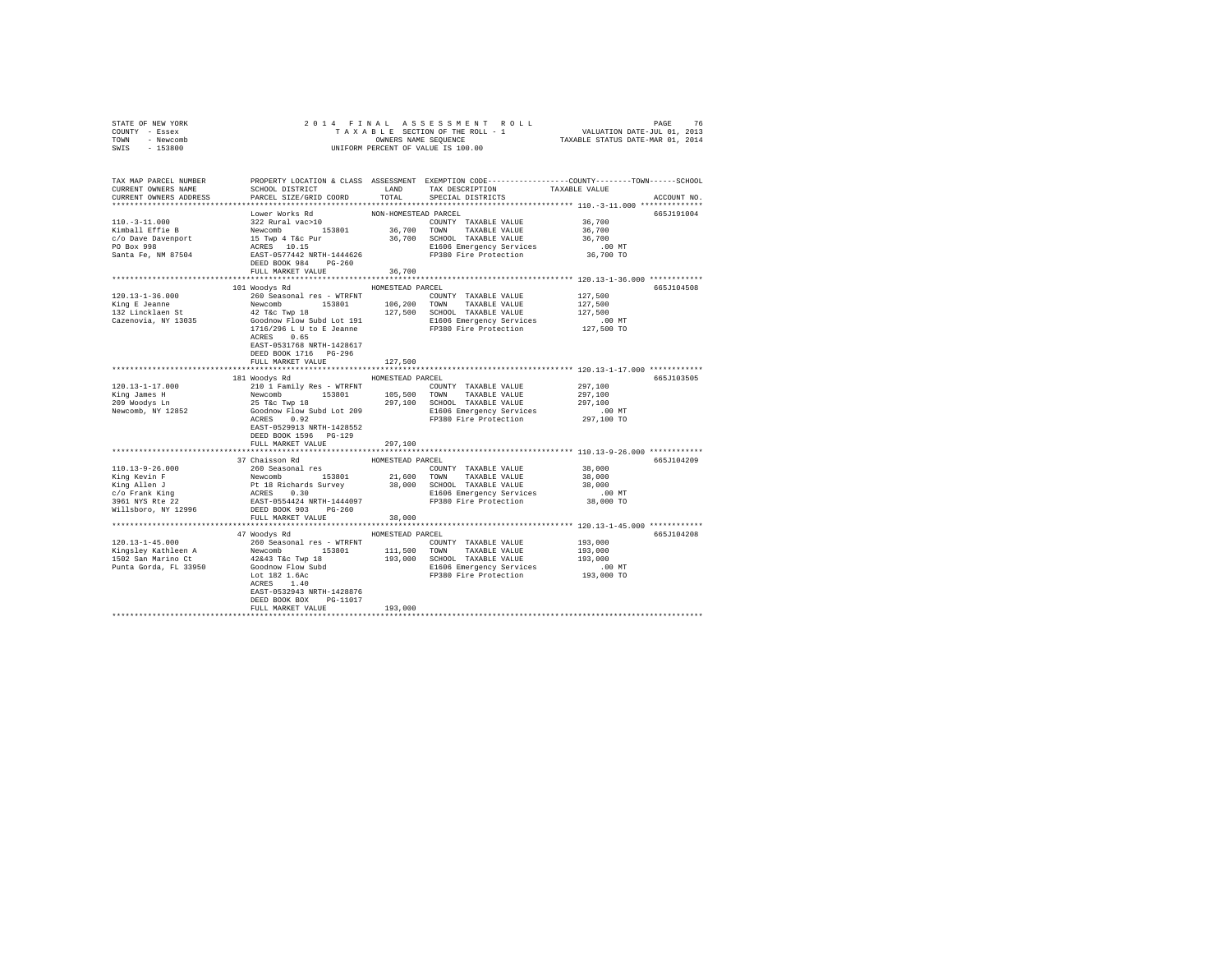| STATE OF NEW YORK                                                                                                                                                                                                                                                                                            |                                                                                                                                                                                                                                                                            |                      |                       |            |             |
|--------------------------------------------------------------------------------------------------------------------------------------------------------------------------------------------------------------------------------------------------------------------------------------------------------------|----------------------------------------------------------------------------------------------------------------------------------------------------------------------------------------------------------------------------------------------------------------------------|----------------------|-----------------------|------------|-------------|
| COUNTY - Essex                                                                                                                                                                                                                                                                                               |                                                                                                                                                                                                                                                                            |                      |                       |            |             |
| TOWN - Newcomb                                                                                                                                                                                                                                                                                               |                                                                                                                                                                                                                                                                            |                      |                       |            |             |
| SWIS - 153800                                                                                                                                                                                                                                                                                                |                                                                                                                                                                                                                                                                            |                      |                       |            |             |
|                                                                                                                                                                                                                                                                                                              |                                                                                                                                                                                                                                                                            |                      |                       |            |             |
|                                                                                                                                                                                                                                                                                                              |                                                                                                                                                                                                                                                                            |                      |                       |            |             |
| TAX MAP PARCEL NUMBER     PROPERTY LOCATION & CLASS ASSESSMENT EXEMPTION CODE---------------COUNTY-------TOWN------SCHOOL DISTRICT     LAND   TAX DESCRIPTION     TAXABLE VALUE                                                                                                                              |                                                                                                                                                                                                                                                                            |                      |                       |            |             |
|                                                                                                                                                                                                                                                                                                              |                                                                                                                                                                                                                                                                            |                      |                       |            |             |
| CURRENT OWNERS ADDRESS                                                                                                                                                                                                                                                                                       | PARCEL SIZE/GRID COORD                                                                                                                                                                                                                                                     | TOTAL                | SPECIAL DISTRICTS     |            | ACCOUNT NO. |
|                                                                                                                                                                                                                                                                                                              |                                                                                                                                                                                                                                                                            |                      |                       |            |             |
|                                                                                                                                                                                                                                                                                                              | Lower Works Rd                                                                                                                                                                                                                                                             | NON-HOMESTEAD PARCEL |                       |            | 665J191004  |
|                                                                                                                                                                                                                                                                                                              |                                                                                                                                                                                                                                                                            |                      |                       |            |             |
|                                                                                                                                                                                                                                                                                                              |                                                                                                                                                                                                                                                                            |                      |                       |            |             |
|                                                                                                                                                                                                                                                                                                              |                                                                                                                                                                                                                                                                            |                      |                       |            |             |
|                                                                                                                                                                                                                                                                                                              |                                                                                                                                                                                                                                                                            |                      |                       |            |             |
|                                                                                                                                                                                                                                                                                                              |                                                                                                                                                                                                                                                                            |                      |                       |            |             |
|                                                                                                                                                                                                                                                                                                              |                                                                                                                                                                                                                                                                            |                      |                       |            |             |
|                                                                                                                                                                                                                                                                                                              |                                                                                                                                                                                                                                                                            |                      |                       |            |             |
|                                                                                                                                                                                                                                                                                                              |                                                                                                                                                                                                                                                                            |                      |                       |            |             |
|                                                                                                                                                                                                                                                                                                              | 101 Woodys Rd MOMESTEAD PARCEL                                                                                                                                                                                                                                             |                      |                       |            | 665J104508  |
|                                                                                                                                                                                                                                                                                                              |                                                                                                                                                                                                                                                                            |                      |                       |            |             |
|                                                                                                                                                                                                                                                                                                              |                                                                                                                                                                                                                                                                            |                      |                       |            |             |
|                                                                                                                                                                                                                                                                                                              |                                                                                                                                                                                                                                                                            |                      |                       |            |             |
|                                                                                                                                                                                                                                                                                                              |                                                                                                                                                                                                                                                                            |                      |                       |            |             |
|                                                                                                                                                                                                                                                                                                              |                                                                                                                                                                                                                                                                            |                      |                       |            |             |
|                                                                                                                                                                                                                                                                                                              | ACRES 0.65                                                                                                                                                                                                                                                                 |                      |                       |            |             |
|                                                                                                                                                                                                                                                                                                              | EAST-0531768 NRTH-1428617                                                                                                                                                                                                                                                  |                      |                       |            |             |
|                                                                                                                                                                                                                                                                                                              | DEED BOOK 1716    PG-296                                                                                                                                                                                                                                                   |                      |                       |            |             |
|                                                                                                                                                                                                                                                                                                              | FULL MARKET VALUE                                                                                                                                                                                                                                                          | 127,500              |                       |            |             |
|                                                                                                                                                                                                                                                                                                              |                                                                                                                                                                                                                                                                            |                      |                       |            |             |
|                                                                                                                                                                                                                                                                                                              | 181 Woodys Rd MOMESTEAD PARCEL                                                                                                                                                                                                                                             |                      |                       |            | 665J103505  |
| 120.13-1-17.000                                                                                                                                                                                                                                                                                              | 2010 I Family Res - WTRFNT<br>2010 I Family Res - WTRFNT<br>297,100<br>297,100<br>297,100<br>297,100<br>297,100<br>297,100<br>297,100<br>297,100<br>297,100<br>297,100<br>297,100<br>297,100<br>297,100<br>297,100<br>297,100<br>2081<br>2081<br>2081<br>2091<br>2001<br>2 |                      |                       | 297,100    |             |
|                                                                                                                                                                                                                                                                                                              |                                                                                                                                                                                                                                                                            |                      |                       |            |             |
|                                                                                                                                                                                                                                                                                                              |                                                                                                                                                                                                                                                                            |                      |                       |            |             |
| King James H<br>209 Woodys Ln<br>Newcomb, NY 12852                                                                                                                                                                                                                                                           |                                                                                                                                                                                                                                                                            |                      |                       |            |             |
|                                                                                                                                                                                                                                                                                                              | ACRES 0.92                                                                                                                                                                                                                                                                 |                      | FP380 Fire Protection | 297,100 TO |             |
|                                                                                                                                                                                                                                                                                                              | EAST-0529913 NRTH-1428552                                                                                                                                                                                                                                                  |                      |                       |            |             |
|                                                                                                                                                                                                                                                                                                              | DEED BOOK 1596 PG-129                                                                                                                                                                                                                                                      |                      |                       |            |             |
|                                                                                                                                                                                                                                                                                                              | FULL MARKET VALUE                                                                                                                                                                                                                                                          | 297,100              |                       |            |             |
|                                                                                                                                                                                                                                                                                                              |                                                                                                                                                                                                                                                                            |                      |                       |            |             |
|                                                                                                                                                                                                                                                                                                              | 37 Chaisson Rd                                                                                                                                                                                                                                                             | HOMESTEAD PARCEL     |                       |            | 665J104209  |
|                                                                                                                                                                                                                                                                                                              |                                                                                                                                                                                                                                                                            |                      |                       |            |             |
|                                                                                                                                                                                                                                                                                                              |                                                                                                                                                                                                                                                                            |                      |                       |            |             |
|                                                                                                                                                                                                                                                                                                              |                                                                                                                                                                                                                                                                            |                      |                       |            |             |
|                                                                                                                                                                                                                                                                                                              |                                                                                                                                                                                                                                                                            |                      |                       |            |             |
|                                                                                                                                                                                                                                                                                                              |                                                                                                                                                                                                                                                                            |                      |                       |            |             |
|                                                                                                                                                                                                                                                                                                              |                                                                                                                                                                                                                                                                            |                      |                       |            |             |
|                                                                                                                                                                                                                                                                                                              | FULL MARKET VALUE                                                                                                                                                                                                                                                          | 38,000               |                       |            |             |
|                                                                                                                                                                                                                                                                                                              |                                                                                                                                                                                                                                                                            |                      |                       |            |             |
|                                                                                                                                                                                                                                                                                                              | 47 Woodys Rd HOMESTEAD PARCEL                                                                                                                                                                                                                                              |                      |                       |            | 665J104208  |
|                                                                                                                                                                                                                                                                                                              |                                                                                                                                                                                                                                                                            |                      |                       |            |             |
| $\begin{tabular}{l c c c c c c c c} \hline 120.13-1-45.000 & {\bf 193.000~cm} & {\bf 194.000~cm} & {\bf 195.000~cm} & {\bf 196.000~cm} & {\bf 197.000~cm} & {\bf 198.000~cm} & {\bf 199.000~cm} & {\bf 199.000~cm} & {\bf 199.000~cm} & {\bf 199.000~cm} & {\bf 199.000~cm} & {\bf 199.000~cm} & {\bf 199.0$ |                                                                                                                                                                                                                                                                            |                      |                       |            |             |
|                                                                                                                                                                                                                                                                                                              |                                                                                                                                                                                                                                                                            |                      |                       |            |             |
|                                                                                                                                                                                                                                                                                                              |                                                                                                                                                                                                                                                                            |                      |                       |            |             |
|                                                                                                                                                                                                                                                                                                              |                                                                                                                                                                                                                                                                            |                      |                       |            |             |
|                                                                                                                                                                                                                                                                                                              | ACRES 1.40                                                                                                                                                                                                                                                                 |                      |                       |            |             |
|                                                                                                                                                                                                                                                                                                              | EAST-0532943 NRTH-1428876                                                                                                                                                                                                                                                  |                      |                       |            |             |
|                                                                                                                                                                                                                                                                                                              | DEED BOOK BOX PG-11017                                                                                                                                                                                                                                                     |                      |                       |            |             |
|                                                                                                                                                                                                                                                                                                              | FULL MARKET VALUE                                                                                                                                                                                                                                                          | 193,000              |                       |            |             |
|                                                                                                                                                                                                                                                                                                              |                                                                                                                                                                                                                                                                            |                      |                       |            |             |
|                                                                                                                                                                                                                                                                                                              |                                                                                                                                                                                                                                                                            |                      |                       |            |             |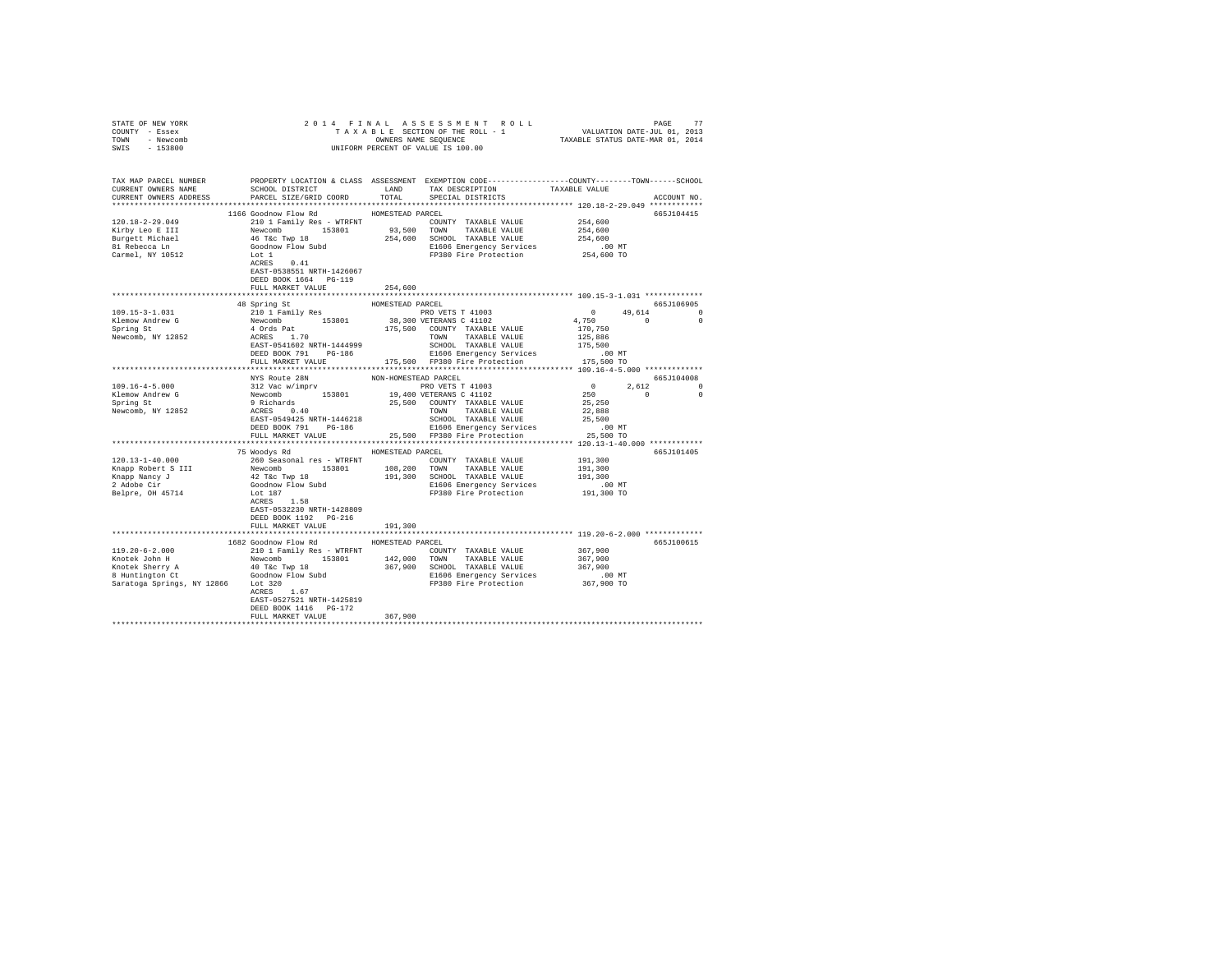| STATE OF NEW YORK                                                                                                                                                                                                                     |                                                |                      |                                                                                                                                                                                                                                        |                    |             |
|---------------------------------------------------------------------------------------------------------------------------------------------------------------------------------------------------------------------------------------|------------------------------------------------|----------------------|----------------------------------------------------------------------------------------------------------------------------------------------------------------------------------------------------------------------------------------|--------------------|-------------|
| COUNTY - Essex                                                                                                                                                                                                                        |                                                |                      |                                                                                                                                                                                                                                        |                    |             |
| TOWN - Newcomb                                                                                                                                                                                                                        |                                                |                      |                                                                                                                                                                                                                                        |                    |             |
| SWIS - 153800                                                                                                                                                                                                                         |                                                |                      |                                                                                                                                                                                                                                        |                    |             |
|                                                                                                                                                                                                                                       |                                                |                      |                                                                                                                                                                                                                                        |                    |             |
|                                                                                                                                                                                                                                       |                                                |                      |                                                                                                                                                                                                                                        |                    |             |
| TAX MAP PARCEL NUMBER PROPERTY LOCATION & CLASS ASSESSMENT EXEMPTION CODE---------------COUNTY-------TOWN------SCHOOL<br>CURRENT OWNERS NAME SCHOOL DISTRICT LAND TAX DESCRIPTION TAXABLE VALUE                                       |                                                |                      |                                                                                                                                                                                                                                        |                    |             |
|                                                                                                                                                                                                                                       |                                                |                      |                                                                                                                                                                                                                                        |                    |             |
| CURRENT OWNERS ADDRESS PARCEL SIZE/GRID COORD TOTAL SPECIAL DISTRICTS                                                                                                                                                                 |                                                |                      |                                                                                                                                                                                                                                        |                    | ACCOUNT NO. |
|                                                                                                                                                                                                                                       |                                                |                      |                                                                                                                                                                                                                                        |                    |             |
|                                                                                                                                                                                                                                       | 1166 Goodnow Flow Rd                           | HOMESTEAD PARCEL     |                                                                                                                                                                                                                                        |                    | 665J104415  |
| 120.18-2-29.049                                                                                                                                                                                                                       | 210 1 Family Res - WTRFNT COUNTY TAXABLE VALUE |                      |                                                                                                                                                                                                                                        |                    |             |
|                                                                                                                                                                                                                                       |                                                |                      |                                                                                                                                                                                                                                        | 254,600<br>254,600 |             |
|                                                                                                                                                                                                                                       |                                                |                      |                                                                                                                                                                                                                                        |                    |             |
|                                                                                                                                                                                                                                       |                                                |                      |                                                                                                                                                                                                                                        |                    |             |
|                                                                                                                                                                                                                                       |                                                |                      |                                                                                                                                                                                                                                        |                    |             |
| xiry Leo E III 294,600<br>Newcomb 153801 93,500 TOWN TAXABLE VALUE 254,600<br>Newcomb 153801 93,500 TOWN TAXABLE VALUE 254,600<br>Burgett Michael 46 T&c Twp 18 254,600 SCHOOL TAXABLE VALUE 254,600<br>81 Rebecca Ln Goodnow Flow Su |                                                |                      |                                                                                                                                                                                                                                        |                    |             |
|                                                                                                                                                                                                                                       |                                                |                      |                                                                                                                                                                                                                                        |                    |             |
|                                                                                                                                                                                                                                       | EAST-0538551 NRTH-1426067                      |                      |                                                                                                                                                                                                                                        |                    |             |
|                                                                                                                                                                                                                                       | DEED BOOK 1664 PG-119                          |                      |                                                                                                                                                                                                                                        |                    |             |
|                                                                                                                                                                                                                                       | FULL MARKET VALUE                              | 254,600              |                                                                                                                                                                                                                                        |                    |             |
|                                                                                                                                                                                                                                       |                                                |                      |                                                                                                                                                                                                                                        |                    |             |
|                                                                                                                                                                                                                                       | 48 Spring St                                   | HOMESTEAD PARCEL     |                                                                                                                                                                                                                                        | 665J106905         |             |
| $109.15 - 3 - 1.031$                                                                                                                                                                                                                  |                                                |                      |                                                                                                                                                                                                                                        |                    |             |
|                                                                                                                                                                                                                                       |                                                |                      |                                                                                                                                                                                                                                        |                    |             |
| Klemow Andrew G<br>Spring St                                                                                                                                                                                                          |                                                |                      |                                                                                                                                                                                                                                        |                    |             |
| Newcomb, NY 12852                                                                                                                                                                                                                     |                                                |                      |                                                                                                                                                                                                                                        |                    |             |
|                                                                                                                                                                                                                                       |                                                |                      |                                                                                                                                                                                                                                        |                    |             |
|                                                                                                                                                                                                                                       |                                                |                      |                                                                                                                                                                                                                                        |                    |             |
|                                                                                                                                                                                                                                       |                                                |                      |                                                                                                                                                                                                                                        |                    |             |
|                                                                                                                                                                                                                                       |                                                |                      |                                                                                                                                                                                                                                        |                    |             |
|                                                                                                                                                                                                                                       | NYS Route 28N                                  | NON-HOMESTEAD PARCEL |                                                                                                                                                                                                                                        | 665J104008         |             |
|                                                                                                                                                                                                                                       |                                                |                      |                                                                                                                                                                                                                                        |                    |             |
|                                                                                                                                                                                                                                       |                                                |                      |                                                                                                                                                                                                                                        |                    |             |
|                                                                                                                                                                                                                                       |                                                |                      |                                                                                                                                                                                                                                        |                    |             |
|                                                                                                                                                                                                                                       |                                                |                      |                                                                                                                                                                                                                                        |                    |             |
|                                                                                                                                                                                                                                       |                                                |                      |                                                                                                                                                                                                                                        |                    |             |
|                                                                                                                                                                                                                                       |                                                |                      |                                                                                                                                                                                                                                        |                    |             |
|                                                                                                                                                                                                                                       |                                                |                      |                                                                                                                                                                                                                                        |                    |             |
|                                                                                                                                                                                                                                       |                                                |                      |                                                                                                                                                                                                                                        |                    |             |
|                                                                                                                                                                                                                                       | 75 Woodys Rd MOMESTEAD PARCEL                  |                      |                                                                                                                                                                                                                                        | 665J101405         |             |
| $120.13 - 1 - 40.000$                                                                                                                                                                                                                 |                                                |                      | Novelope Represent Transport COUNTY TAXABLE VALUE 191,300<br>Newcomb 153801 108,200 TOWN TAXABLE VALUE 191,300<br>1926 The Two 183801 108,200 TOWN TAXABLE VALUE 191,300<br>19.300 SCHOOL TAXABLE VALUE 191,300<br>Coodnow Flow Subd 1 |                    |             |
|                                                                                                                                                                                                                                       |                                                |                      |                                                                                                                                                                                                                                        |                    |             |
|                                                                                                                                                                                                                                       |                                                |                      |                                                                                                                                                                                                                                        |                    |             |
| Enapp Robert S III<br>Knapp Robert S III<br>2 Adobe Cir<br>Belpre, OH 45714                                                                                                                                                           |                                                |                      |                                                                                                                                                                                                                                        |                    |             |
|                                                                                                                                                                                                                                       |                                                |                      |                                                                                                                                                                                                                                        |                    |             |
|                                                                                                                                                                                                                                       |                                                |                      |                                                                                                                                                                                                                                        |                    |             |
|                                                                                                                                                                                                                                       |                                                |                      |                                                                                                                                                                                                                                        |                    |             |
|                                                                                                                                                                                                                                       | EAST-0532230 NRTH-1428809                      |                      |                                                                                                                                                                                                                                        |                    |             |
|                                                                                                                                                                                                                                       |                                                |                      |                                                                                                                                                                                                                                        |                    |             |
|                                                                                                                                                                                                                                       | FULL MARKET VALUE                              | 191,300              |                                                                                                                                                                                                                                        |                    |             |
|                                                                                                                                                                                                                                       |                                                |                      |                                                                                                                                                                                                                                        |                    |             |
|                                                                                                                                                                                                                                       | 1682 Goodnow Flow Rd HOMESTEAD PARCEL          |                      |                                                                                                                                                                                                                                        |                    | 665J100615  |
|                                                                                                                                                                                                                                       |                                                |                      |                                                                                                                                                                                                                                        |                    |             |
|                                                                                                                                                                                                                                       |                                                |                      |                                                                                                                                                                                                                                        |                    |             |
|                                                                                                                                                                                                                                       |                                                |                      |                                                                                                                                                                                                                                        |                    |             |
|                                                                                                                                                                                                                                       |                                                |                      |                                                                                                                                                                                                                                        |                    |             |
|                                                                                                                                                                                                                                       |                                                |                      |                                                                                                                                                                                                                                        |                    |             |
|                                                                                                                                                                                                                                       |                                                |                      |                                                                                                                                                                                                                                        |                    |             |
|                                                                                                                                                                                                                                       | EAST-0527521 NRTH-1425819                      |                      |                                                                                                                                                                                                                                        |                    |             |
|                                                                                                                                                                                                                                       | DEED BOOK 1416 PG-172                          |                      |                                                                                                                                                                                                                                        |                    |             |
|                                                                                                                                                                                                                                       | FULL MARKET VALUE                              | 367,900              |                                                                                                                                                                                                                                        |                    |             |
|                                                                                                                                                                                                                                       |                                                |                      |                                                                                                                                                                                                                                        |                    |             |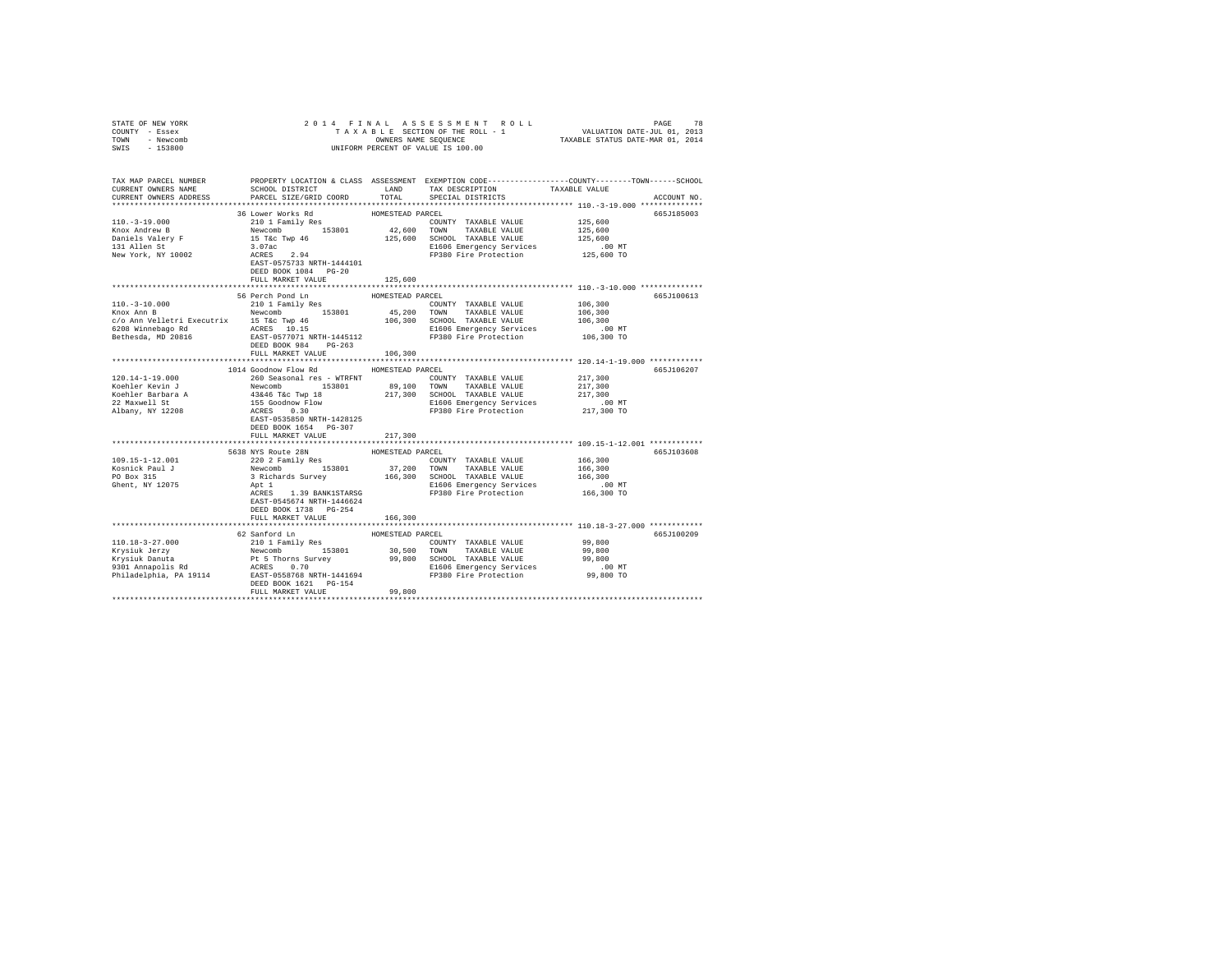| STATE OF NEW YORK                                                                                                                                                                                                                                                                                                                                                                                                                                         |                           |                  |                                                                                                                                                                                                                                |                                                                                                                                                                                                                   |  |
|-----------------------------------------------------------------------------------------------------------------------------------------------------------------------------------------------------------------------------------------------------------------------------------------------------------------------------------------------------------------------------------------------------------------------------------------------------------|---------------------------|------------------|--------------------------------------------------------------------------------------------------------------------------------------------------------------------------------------------------------------------------------|-------------------------------------------------------------------------------------------------------------------------------------------------------------------------------------------------------------------|--|
| COUNTY - Essex                                                                                                                                                                                                                                                                                                                                                                                                                                            |                           |                  |                                                                                                                                                                                                                                |                                                                                                                                                                                                                   |  |
| TOWN - Newcomb                                                                                                                                                                                                                                                                                                                                                                                                                                            |                           |                  |                                                                                                                                                                                                                                |                                                                                                                                                                                                                   |  |
| SWIS - 153800                                                                                                                                                                                                                                                                                                                                                                                                                                             |                           |                  | OWNERS NAME SEQUENCE<br>UNIFORM PERCENT OF VALUE IS 100.00                                                                                                                                                                     |                                                                                                                                                                                                                   |  |
|                                                                                                                                                                                                                                                                                                                                                                                                                                                           |                           |                  |                                                                                                                                                                                                                                |                                                                                                                                                                                                                   |  |
|                                                                                                                                                                                                                                                                                                                                                                                                                                                           |                           |                  |                                                                                                                                                                                                                                |                                                                                                                                                                                                                   |  |
|                                                                                                                                                                                                                                                                                                                                                                                                                                                           |                           |                  |                                                                                                                                                                                                                                |                                                                                                                                                                                                                   |  |
|                                                                                                                                                                                                                                                                                                                                                                                                                                                           |                           |                  |                                                                                                                                                                                                                                | TAX MAP PARCEL NUMBER     PROPERTY LOCATION & CLASS ASSESSMENT EXEMPTION CODE---------------COUNTY-------TOWN------SCHOOL<br>CURRENT OWNERS NAME     SCHOOL DISTRICT     LAND   TAX DESCRIPTION     TAXABLE VALUE |  |
|                                                                                                                                                                                                                                                                                                                                                                                                                                                           |                           |                  | TAX DESCRIPTION                                                                                                                                                                                                                |                                                                                                                                                                                                                   |  |
| CURRENT OWNERS ADDRESS                                                                                                                                                                                                                                                                                                                                                                                                                                    | PARCEL SIZE/GRID COORD    | TOTAL            | SPECIAL DISTRICTS                                                                                                                                                                                                              | ACCOUNT NO.                                                                                                                                                                                                       |  |
|                                                                                                                                                                                                                                                                                                                                                                                                                                                           |                           |                  |                                                                                                                                                                                                                                |                                                                                                                                                                                                                   |  |
|                                                                                                                                                                                                                                                                                                                                                                                                                                                           | 36 Lower Works Rd         | HOMESTEAD PARCEL |                                                                                                                                                                                                                                | 665J185003                                                                                                                                                                                                        |  |
| $110. - 3 - 19.000$                                                                                                                                                                                                                                                                                                                                                                                                                                       |                           |                  |                                                                                                                                                                                                                                |                                                                                                                                                                                                                   |  |
|                                                                                                                                                                                                                                                                                                                                                                                                                                                           |                           |                  |                                                                                                                                                                                                                                | 125,600                                                                                                                                                                                                           |  |
| Knox Andrew B                                                                                                                                                                                                                                                                                                                                                                                                                                             |                           |                  |                                                                                                                                                                                                                                | 125,600                                                                                                                                                                                                           |  |
| Daniels Valery F<br>131 Allen St                                                                                                                                                                                                                                                                                                                                                                                                                          |                           |                  |                                                                                                                                                                                                                                | 125,600                                                                                                                                                                                                           |  |
|                                                                                                                                                                                                                                                                                                                                                                                                                                                           |                           |                  | The main wave of the construction of the construction of the second to the second to the second the second of the second the second second the second second the second second the second second the second second second seco | .00 MT                                                                                                                                                                                                            |  |
| New York, NY 10002                                                                                                                                                                                                                                                                                                                                                                                                                                        |                           |                  | FP380 Fire Protection                                                                                                                                                                                                          | 125,600 TO                                                                                                                                                                                                        |  |
|                                                                                                                                                                                                                                                                                                                                                                                                                                                           | EAST-0575733 NRTH-1444101 |                  |                                                                                                                                                                                                                                |                                                                                                                                                                                                                   |  |
|                                                                                                                                                                                                                                                                                                                                                                                                                                                           | DEED BOOK 1084 PG-20      |                  |                                                                                                                                                                                                                                |                                                                                                                                                                                                                   |  |
|                                                                                                                                                                                                                                                                                                                                                                                                                                                           | FULL MARKET VALUE         | 125,600          |                                                                                                                                                                                                                                |                                                                                                                                                                                                                   |  |
|                                                                                                                                                                                                                                                                                                                                                                                                                                                           |                           |                  |                                                                                                                                                                                                                                |                                                                                                                                                                                                                   |  |
|                                                                                                                                                                                                                                                                                                                                                                                                                                                           | 56 Perch Pond Ln          | HOMESTEAD PARCEL |                                                                                                                                                                                                                                | 665J100613                                                                                                                                                                                                        |  |
| $110.-3-10.000$<br>Knox Ann B                                                                                                                                                                                                                                                                                                                                                                                                                             | 210 1 Family Res          |                  | COUNTY TAXABLE VALUE                                                                                                                                                                                                           | 106,300                                                                                                                                                                                                           |  |
|                                                                                                                                                                                                                                                                                                                                                                                                                                                           | Newcomb 153801            |                  | 45,200 TOWN TAXABLE VALUE                                                                                                                                                                                                      | 106,300                                                                                                                                                                                                           |  |
|                                                                                                                                                                                                                                                                                                                                                                                                                                                           |                           |                  |                                                                                                                                                                                                                                |                                                                                                                                                                                                                   |  |
|                                                                                                                                                                                                                                                                                                                                                                                                                                                           |                           |                  |                                                                                                                                                                                                                                | 106,300                                                                                                                                                                                                           |  |
| $\begin{tabular}{l c c c c c c} \hline $\color{red}c/\color{black}o$ Ann Velletri Executor1$ & $\color{red}15$ TeC Type & 46 & $106,300$ & SCROOL TRAMBLE VALUE \\ \hline $6208 {\text{Winne}} {\text{bag}} $\text{Rd}$ & $\color{red}2 \text{CRES}$ & $10.15 & $106,300$ & SCROOL TRABLE VALUE \\ \hline $\color{red}84$ & $\color{red}84$ & $\color{red}84$ & $10.15 & $1060$ & $10600$ & TRABLE VALUE \\ \hline \multicolumn{3}{c}{\text{Betheada}} &$ |                           |                  |                                                                                                                                                                                                                                | .00 MT                                                                                                                                                                                                            |  |
|                                                                                                                                                                                                                                                                                                                                                                                                                                                           |                           |                  |                                                                                                                                                                                                                                | 106,300 TO                                                                                                                                                                                                        |  |
|                                                                                                                                                                                                                                                                                                                                                                                                                                                           |                           |                  |                                                                                                                                                                                                                                |                                                                                                                                                                                                                   |  |
|                                                                                                                                                                                                                                                                                                                                                                                                                                                           | FULL MARKET VALUE         | 106,300          |                                                                                                                                                                                                                                |                                                                                                                                                                                                                   |  |
|                                                                                                                                                                                                                                                                                                                                                                                                                                                           |                           |                  |                                                                                                                                                                                                                                |                                                                                                                                                                                                                   |  |
|                                                                                                                                                                                                                                                                                                                                                                                                                                                           | 1014 Goodnow Flow Rd      | HOMESTEAD PARCEL |                                                                                                                                                                                                                                | 665J106207                                                                                                                                                                                                        |  |
| $120.14 - 1 - 19.000$                                                                                                                                                                                                                                                                                                                                                                                                                                     | 260 Seasonal res - WTRFNT |                  | COUNTY TAXABLE VALUE                                                                                                                                                                                                           | 217,300                                                                                                                                                                                                           |  |
|                                                                                                                                                                                                                                                                                                                                                                                                                                                           |                           |                  |                                                                                                                                                                                                                                |                                                                                                                                                                                                                   |  |
|                                                                                                                                                                                                                                                                                                                                                                                                                                                           |                           |                  |                                                                                                                                                                                                                                |                                                                                                                                                                                                                   |  |
|                                                                                                                                                                                                                                                                                                                                                                                                                                                           |                           |                  |                                                                                                                                                                                                                                |                                                                                                                                                                                                                   |  |
|                                                                                                                                                                                                                                                                                                                                                                                                                                                           |                           |                  |                                                                                                                                                                                                                                | 217,300<br>217,300                                                                                                                                                                                                |  |
| Koehler Kevin J<br>Koehler Barbara A<br>22 Maxwell St                                                                                                                                                                                                                                                                                                                                                                                                     |                           |                  |                                                                                                                                                                                                                                | .00 MT                                                                                                                                                                                                            |  |
| 22 Maxweir St<br>Albany, NY 12208                                                                                                                                                                                                                                                                                                                                                                                                                         |                           |                  |                                                                                                                                                                                                                                | 217,300 TO                                                                                                                                                                                                        |  |
|                                                                                                                                                                                                                                                                                                                                                                                                                                                           |                           |                  |                                                                                                                                                                                                                                |                                                                                                                                                                                                                   |  |
|                                                                                                                                                                                                                                                                                                                                                                                                                                                           | DEED BOOK 1654 PG-307     |                  |                                                                                                                                                                                                                                |                                                                                                                                                                                                                   |  |
|                                                                                                                                                                                                                                                                                                                                                                                                                                                           | FULL MARKET VALUE         | 217,300          |                                                                                                                                                                                                                                |                                                                                                                                                                                                                   |  |
|                                                                                                                                                                                                                                                                                                                                                                                                                                                           |                           |                  |                                                                                                                                                                                                                                |                                                                                                                                                                                                                   |  |
|                                                                                                                                                                                                                                                                                                                                                                                                                                                           | 5638 NYS Route 28N        | HOMESTEAD PARCEL |                                                                                                                                                                                                                                | 665J103608                                                                                                                                                                                                        |  |
| 109.15-1-12.001                                                                                                                                                                                                                                                                                                                                                                                                                                           |                           |                  |                                                                                                                                                                                                                                | 166,300                                                                                                                                                                                                           |  |
|                                                                                                                                                                                                                                                                                                                                                                                                                                                           |                           |                  |                                                                                                                                                                                                                                | 166,300                                                                                                                                                                                                           |  |
| Kosnick Paul J<br>PO Box 315                                                                                                                                                                                                                                                                                                                                                                                                                              |                           |                  |                                                                                                                                                                                                                                | 166,300                                                                                                                                                                                                           |  |
|                                                                                                                                                                                                                                                                                                                                                                                                                                                           |                           |                  |                                                                                                                                                                                                                                |                                                                                                                                                                                                                   |  |
| Ghent, NY 12075                                                                                                                                                                                                                                                                                                                                                                                                                                           |                           |                  |                                                                                                                                                                                                                                | .00MT                                                                                                                                                                                                             |  |
|                                                                                                                                                                                                                                                                                                                                                                                                                                                           |                           |                  | 5638 NYS ROUE 2010 RESOURCE 2020 2 Family Res<br>Newcomb 153801 37,200 TOWN TAXABLE VALUE<br>3 Richards Survey 166,300 SCHOOL TAXABLE VALUE<br>Apt 1<br>Apt 1<br>Apt 1<br>APTES 1.39 BANKISTARSG FP380 Fire Protection         | 166,300 TO                                                                                                                                                                                                        |  |
|                                                                                                                                                                                                                                                                                                                                                                                                                                                           | EAST-0545674 NRTH-1446624 |                  |                                                                                                                                                                                                                                |                                                                                                                                                                                                                   |  |
|                                                                                                                                                                                                                                                                                                                                                                                                                                                           | DEED BOOK 1738 PG-254     |                  |                                                                                                                                                                                                                                |                                                                                                                                                                                                                   |  |
|                                                                                                                                                                                                                                                                                                                                                                                                                                                           | FULL MARKET VALUE         | 166,300          |                                                                                                                                                                                                                                |                                                                                                                                                                                                                   |  |
|                                                                                                                                                                                                                                                                                                                                                                                                                                                           |                           |                  |                                                                                                                                                                                                                                |                                                                                                                                                                                                                   |  |
|                                                                                                                                                                                                                                                                                                                                                                                                                                                           | 62 Sanford Ln             | HOMESTEAD PARCEL |                                                                                                                                                                                                                                | 665J100209                                                                                                                                                                                                        |  |
|                                                                                                                                                                                                                                                                                                                                                                                                                                                           |                           |                  |                                                                                                                                                                                                                                |                                                                                                                                                                                                                   |  |
|                                                                                                                                                                                                                                                                                                                                                                                                                                                           |                           |                  |                                                                                                                                                                                                                                |                                                                                                                                                                                                                   |  |
|                                                                                                                                                                                                                                                                                                                                                                                                                                                           |                           |                  |                                                                                                                                                                                                                                |                                                                                                                                                                                                                   |  |
|                                                                                                                                                                                                                                                                                                                                                                                                                                                           |                           |                  |                                                                                                                                                                                                                                |                                                                                                                                                                                                                   |  |
|                                                                                                                                                                                                                                                                                                                                                                                                                                                           |                           |                  |                                                                                                                                                                                                                                |                                                                                                                                                                                                                   |  |
|                                                                                                                                                                                                                                                                                                                                                                                                                                                           | DEED BOOK 1621    PG-154  |                  |                                                                                                                                                                                                                                |                                                                                                                                                                                                                   |  |
|                                                                                                                                                                                                                                                                                                                                                                                                                                                           | FULL MARKET VALUE         | 99,800           |                                                                                                                                                                                                                                |                                                                                                                                                                                                                   |  |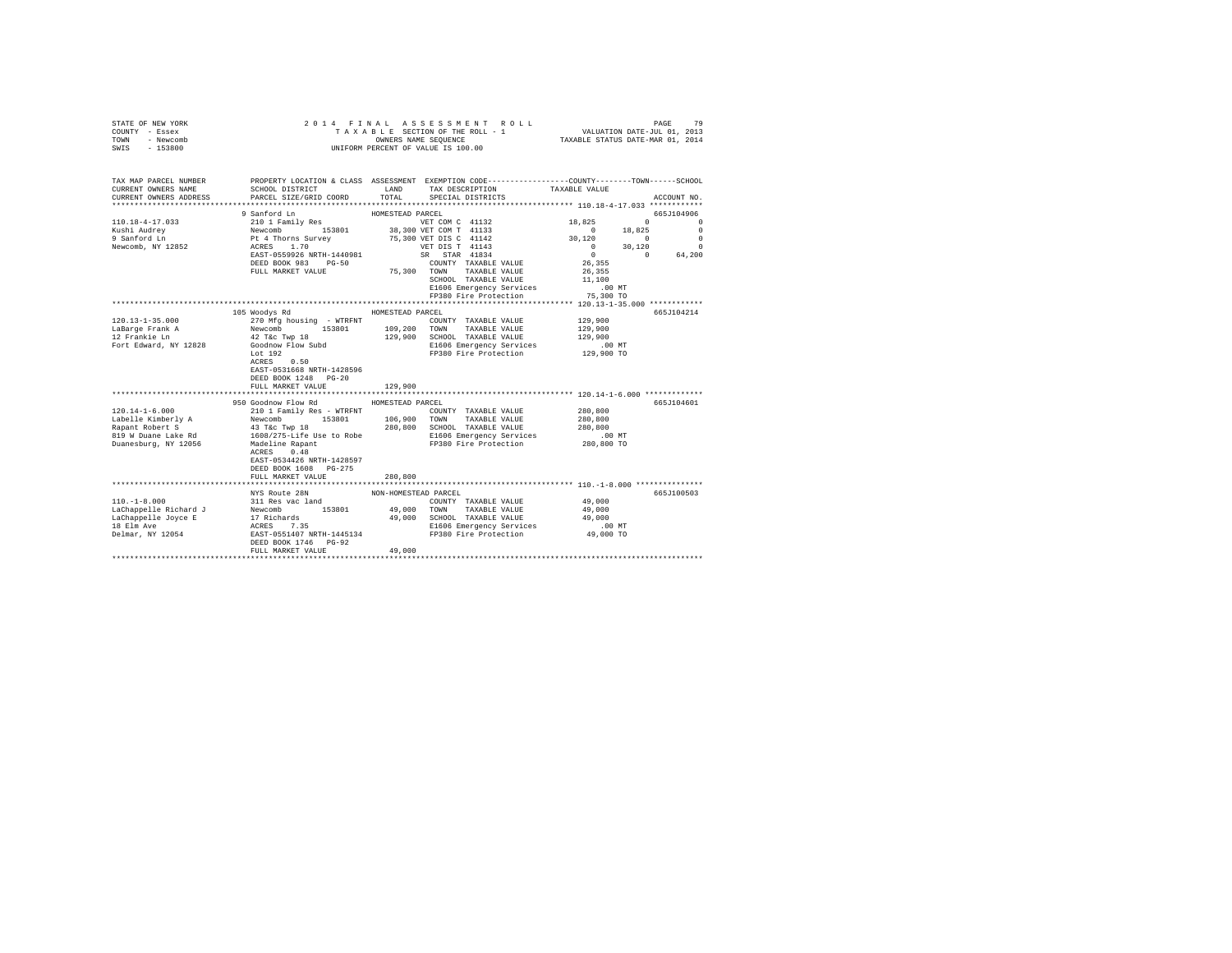| STATE OF NEW YORK<br>COUNTY - Essex<br>- Newcomb<br>TOWN<br>$-153800$<br>SWIS |                                                                                                                                              |                      |                                                                                                                                    |                    |                                                                                                                                                                                                                                                                                                           |
|-------------------------------------------------------------------------------|----------------------------------------------------------------------------------------------------------------------------------------------|----------------------|------------------------------------------------------------------------------------------------------------------------------------|--------------------|-----------------------------------------------------------------------------------------------------------------------------------------------------------------------------------------------------------------------------------------------------------------------------------------------------------|
| TAX MAP PARCEL NUMBER<br>CURRENT OWNERS NAME<br>CURRENT OWNERS ADDRESS        | PROPERTY LOCATION & CLASS ASSESSMENT EXEMPTION CODE----------------COUNTY-------TOWN-----SCHOOL<br>SCHOOL DISTRICT<br>PARCEL SIZE/GRID COORD | LAND<br>TOTAL        | TAX DESCRIPTION<br>SPECIAL DISTRICTS                                                                                               | TAXABLE VALUE      | ACCOUNT NO.                                                                                                                                                                                                                                                                                               |
|                                                                               | 9 Sanford Ln                                                                                                                                 | HOMESTEAD PARCEL     |                                                                                                                                    |                    | 665J104906                                                                                                                                                                                                                                                                                                |
| $110.18 - 4 - 17.033$                                                         | 210 1 Family Res<br>Newcomb<br>Pt 4 Thorns Survey<br>ACRES 1.70<br>EAST-0559926 NRTH-1440981                                                 |                      | VET COM C 41132                                                                                                                    | 18,825             | $\sim$ 0 $\sim$ 0 $\sim$ 0 $\sim$ 0 $\sim$ 0 $\sim$ 0 $\sim$ 0 $\sim$ 0 $\sim$ 0 $\sim$ 0 $\sim$ 0 $\sim$ 0 $\sim$ 0 $\sim$ 0 $\sim$ 0 $\sim$ 0 $\sim$ 0 $\sim$ 0 $\sim$ 0 $\sim$ 0 $\sim$ 0 $\sim$ 0 $\sim$ 0 $\sim$ 0 $\sim$ 0 $\sim$ 0 $\sim$ 0 $\sim$ 0 $\sim$ 0 $\sim$ 0 $\sim$ 0 $\sim$<br>$\Omega$ |
|                                                                               |                                                                                                                                              |                      | 38,300 VET COM T 41133                                                                                                             | $0 \t 18,825$      | $\overline{\phantom{0}}$                                                                                                                                                                                                                                                                                  |
| Kushi Audrey<br>9 Sanford Ln                                                  |                                                                                                                                              |                      | 75,300 VET DIS C 41142                                                                                                             | 30,120             | $\sim$ 0<br>$\Omega$                                                                                                                                                                                                                                                                                      |
| Newcomb, NY 12852                                                             |                                                                                                                                              |                      | VET DIS T 41143<br>SR STAR 41834                                                                                                   | $\sim$ 0           | $\begin{matrix} 0 && 30\,, 120 && 0\\ 0 && 0 && 64\,, 200 \end{matrix}$                                                                                                                                                                                                                                   |
|                                                                               |                                                                                                                                              |                      | COUNTY TAXABLE VALUE                                                                                                               |                    |                                                                                                                                                                                                                                                                                                           |
|                                                                               | DEED BOOK 983 PG-50<br>FULL MARKET VALUE                                                                                                     |                      | 75,300 TOWN TAXABLE VALUE                                                                                                          | 26,355<br>26,355   |                                                                                                                                                                                                                                                                                                           |
|                                                                               |                                                                                                                                              |                      | SCHOOL TAXABLE VALUE                                                                                                               | 11,100             |                                                                                                                                                                                                                                                                                                           |
|                                                                               |                                                                                                                                              |                      |                                                                                                                                    |                    |                                                                                                                                                                                                                                                                                                           |
|                                                                               |                                                                                                                                              |                      | FP380 Fire Protection                                                                                                              | 75,300 TO          |                                                                                                                                                                                                                                                                                                           |
|                                                                               |                                                                                                                                              |                      |                                                                                                                                    |                    |                                                                                                                                                                                                                                                                                                           |
|                                                                               | 105 Woodys Rd                                                                                                                                | HOMESTEAD PARCEL     |                                                                                                                                    |                    | 665J104214                                                                                                                                                                                                                                                                                                |
| 120.13-1-35.000                                                               | 270 Mfg housing - WTRFNT                                                                                                                     |                      | COUNTY TAXABLE VALUE                                                                                                               | 129,900            |                                                                                                                                                                                                                                                                                                           |
| LaBarge Frank A<br>12 Frankie Ln                                              | Newcomb 153801 109,200                                                                                                                       |                      | TOWN TAXABLE VALUE<br>129,900 SCHOOL TAXABLE VALUE                                                                                 | 129,900<br>129,900 |                                                                                                                                                                                                                                                                                                           |
| Fort Edward, NY 12828                                                         | 42 T&C Twp 18<br>Goodnow Flow Subd                                                                                                           |                      |                                                                                                                                    | .00 MT             |                                                                                                                                                                                                                                                                                                           |
|                                                                               | Lot $192$<br>ACRES 0.50                                                                                                                      |                      | E1606 Emergency Services<br>FP380 Fire Protection                                                                                  | 129,900 TO         |                                                                                                                                                                                                                                                                                                           |
|                                                                               | EAST-0531668 NRTH-1428596<br>DEED BOOK 1248 PG-20<br>FULL MARKET VALUE                                                                       | 129,900              |                                                                                                                                    |                    |                                                                                                                                                                                                                                                                                                           |
|                                                                               |                                                                                                                                              |                      |                                                                                                                                    |                    |                                                                                                                                                                                                                                                                                                           |
|                                                                               | 950 Goodnow Flow Rd MOMESTEAD PARCEL                                                                                                         |                      |                                                                                                                                    |                    | 665J104601                                                                                                                                                                                                                                                                                                |
| $120.14 - 1 - 6.000$                                                          | 210 1 Family Res - WTRFNT                                                                                                                    |                      | COUNTY TAXABLE VALUE                                                                                                               | 280,800            |                                                                                                                                                                                                                                                                                                           |
|                                                                               |                                                                                                                                              |                      |                                                                                                                                    | 280,800<br>280,800 |                                                                                                                                                                                                                                                                                                           |
|                                                                               |                                                                                                                                              |                      | E1606 Emergency Services                                                                                                           | .00MT              |                                                                                                                                                                                                                                                                                                           |
|                                                                               |                                                                                                                                              |                      | FP380 Fire Protection                                                                                                              | 280,800 TO         |                                                                                                                                                                                                                                                                                                           |
|                                                                               | EAST-0534426 NRTH-1428597<br>DEED BOOK 1608 PG-275                                                                                           |                      |                                                                                                                                    |                    |                                                                                                                                                                                                                                                                                                           |
|                                                                               | FULL MARKET VALUE                                                                                                                            | 280,800              |                                                                                                                                    |                    |                                                                                                                                                                                                                                                                                                           |
|                                                                               |                                                                                                                                              |                      |                                                                                                                                    |                    |                                                                                                                                                                                                                                                                                                           |
|                                                                               | NYS Route 28N                                                                                                                                | NON-HOMESTEAD PARCEL | $\begin{tabular}{lllllll} \multicolumn{2}{c}{\textbf{COUNTY}} & \textbf{TAXABLE} & \textbf{VALUE} & \textbf{49,000} \end{tabular}$ |                    | 665J100503                                                                                                                                                                                                                                                                                                |
|                                                                               |                                                                                                                                              |                      |                                                                                                                                    | 49,000             |                                                                                                                                                                                                                                                                                                           |
|                                                                               |                                                                                                                                              |                      |                                                                                                                                    | 49,000             |                                                                                                                                                                                                                                                                                                           |
|                                                                               |                                                                                                                                              |                      |                                                                                                                                    | $.00$ MT           |                                                                                                                                                                                                                                                                                                           |
|                                                                               | FULL MARKET VALUE                                                                                                                            | 49,000               |                                                                                                                                    | 49,000 TO          |                                                                                                                                                                                                                                                                                                           |
|                                                                               |                                                                                                                                              |                      |                                                                                                                                    |                    |                                                                                                                                                                                                                                                                                                           |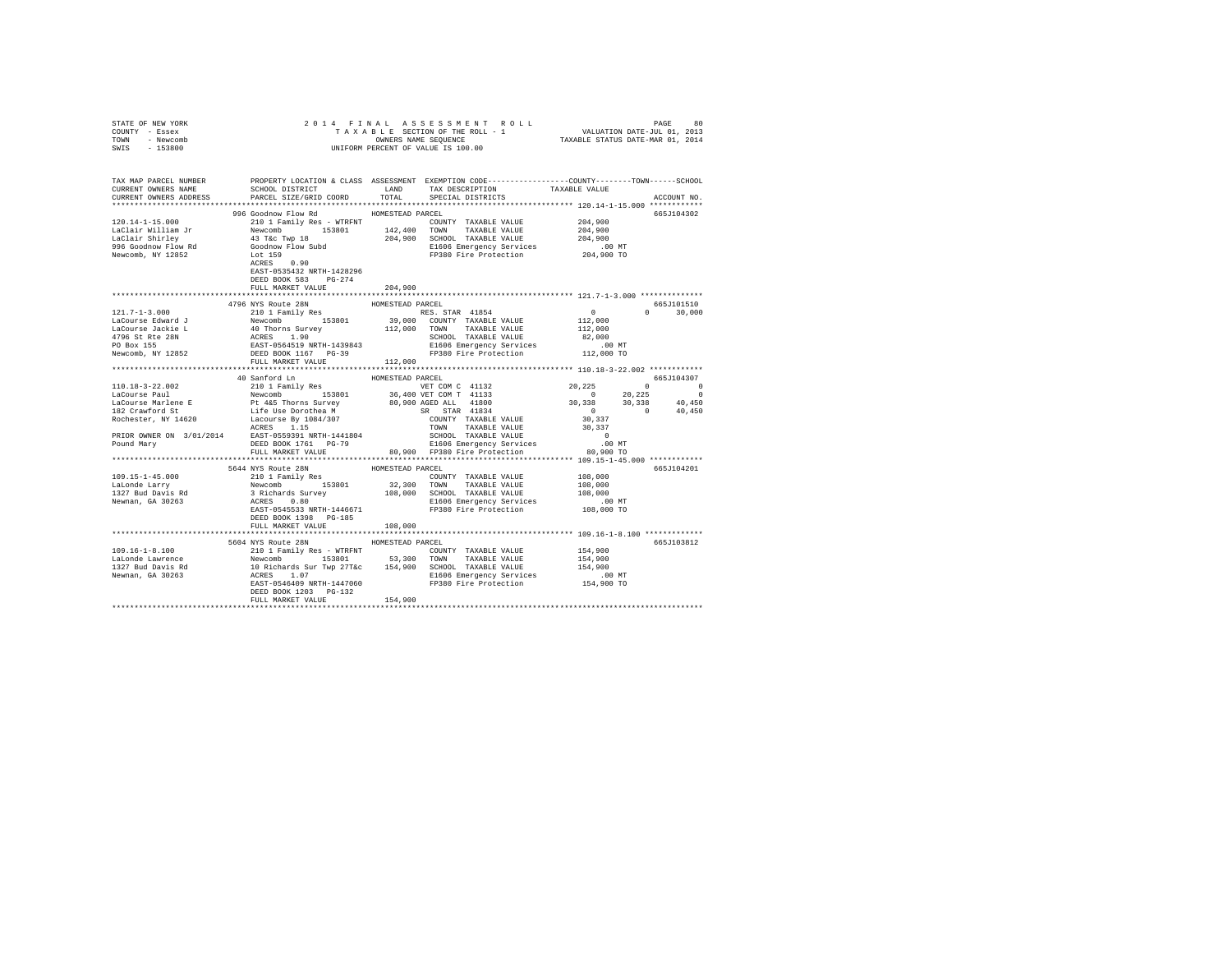| STATE OF NEW YORK                                                                                                                                                                                                                                                                                                                                                                                        |                                     |                  |  |             |
|----------------------------------------------------------------------------------------------------------------------------------------------------------------------------------------------------------------------------------------------------------------------------------------------------------------------------------------------------------------------------------------------------------|-------------------------------------|------------------|--|-------------|
| COUNTY - Essex                                                                                                                                                                                                                                                                                                                                                                                           |                                     |                  |  |             |
| TOWN - Newcomb                                                                                                                                                                                                                                                                                                                                                                                           |                                     |                  |  |             |
| SWIS - 153800                                                                                                                                                                                                                                                                                                                                                                                            |                                     |                  |  |             |
|                                                                                                                                                                                                                                                                                                                                                                                                          |                                     |                  |  |             |
|                                                                                                                                                                                                                                                                                                                                                                                                          |                                     |                  |  |             |
|                                                                                                                                                                                                                                                                                                                                                                                                          |                                     |                  |  |             |
| TAX MAP PARCEL NUMBER     PROPERTY LOCATION & CLASS ASSESSMENT EXEMPTION CODE---------------COUNTY-------TOWN------SCHOOL DISTRICT     LAND   TAX DESCRIPTION   TAXABLE VALUE                                                                                                                                                                                                                            |                                     |                  |  |             |
|                                                                                                                                                                                                                                                                                                                                                                                                          |                                     |                  |  |             |
| CURRENT OWNERS ADDRESS                                                                                                                                                                                                                                                                                                                                                                                   |                                     |                  |  | ACCOUNT NO. |
|                                                                                                                                                                                                                                                                                                                                                                                                          |                                     |                  |  |             |
|                                                                                                                                                                                                                                                                                                                                                                                                          | 996 Goodnow Flow Rd                 | HOMESTEAD PARCEL |  | 665J104302  |
|                                                                                                                                                                                                                                                                                                                                                                                                          |                                     |                  |  |             |
|                                                                                                                                                                                                                                                                                                                                                                                                          |                                     |                  |  |             |
|                                                                                                                                                                                                                                                                                                                                                                                                          |                                     |                  |  |             |
|                                                                                                                                                                                                                                                                                                                                                                                                          |                                     |                  |  |             |
| 120.14-1-15.000<br>120.14-1-15.000<br>120.14-1-15.000<br>120.14-1-15.000<br>120.14-2010<br>142,400 TOWN TAXABLE VALUE<br>142,400 TOWN TAXABLE VALUE 204,900<br>142,400 TOWN TAXABLE VALUE 204,900<br>204,900<br>204,900<br>204,900<br>204,                                                                                                                                                               |                                     |                  |  |             |
|                                                                                                                                                                                                                                                                                                                                                                                                          |                                     |                  |  |             |
|                                                                                                                                                                                                                                                                                                                                                                                                          |                                     |                  |  |             |
|                                                                                                                                                                                                                                                                                                                                                                                                          | DEED BOOK 583 PG-274                |                  |  |             |
|                                                                                                                                                                                                                                                                                                                                                                                                          | FULL MARKET VALUE 204,900           |                  |  |             |
|                                                                                                                                                                                                                                                                                                                                                                                                          |                                     |                  |  |             |
|                                                                                                                                                                                                                                                                                                                                                                                                          | 4796 NYS Route 28N                  | HOMESTEAD PARCEL |  | 665J101510  |
| $121.7-1-3.000$ $121.7-1-3.000$ $121.7-1-3.000$ $121.7-1-3.000$ $121.7-1-3.000$ $121.7-1-3.000$ $121.7-1-3.000$ $121.7-1-3.000$ $121.7-1-3.000$ $121.7-1-3.000$ $121.7-1-3.000$ $121.7-1-3.000$ $121.7-1-3.000$ $121.7-1-3.00$                                                                                                                                                                           |                                     |                  |  |             |
|                                                                                                                                                                                                                                                                                                                                                                                                          |                                     |                  |  |             |
|                                                                                                                                                                                                                                                                                                                                                                                                          |                                     |                  |  |             |
|                                                                                                                                                                                                                                                                                                                                                                                                          |                                     |                  |  |             |
|                                                                                                                                                                                                                                                                                                                                                                                                          |                                     |                  |  |             |
|                                                                                                                                                                                                                                                                                                                                                                                                          |                                     |                  |  |             |
|                                                                                                                                                                                                                                                                                                                                                                                                          |                                     |                  |  |             |
|                                                                                                                                                                                                                                                                                                                                                                                                          |                                     |                  |  |             |
| $\begin{tabular}{cccccccc} \textbf{10.18}-3-22.002 & 40 & \textbf{Sanford In} & \textbf{EONESTAD PACE.} & \textbf{20.25} & 6655104307 \\ \textbf{10.10} & 40 & \textbf{Sanford In} & \textbf{EONESTAD PACE.} & \textbf{20.225} & 6655104307 \\ \textbf{1a.Coure Paul} & 210 & \textbf{I family Res} & \textbf{VET COM T} & 41132 & 20,225 & 0 \\ \textbf{La.Coure Paul} & 210 & \textbf{I family Res} &$ |                                     |                  |  |             |
|                                                                                                                                                                                                                                                                                                                                                                                                          |                                     |                  |  |             |
|                                                                                                                                                                                                                                                                                                                                                                                                          |                                     |                  |  |             |
|                                                                                                                                                                                                                                                                                                                                                                                                          |                                     |                  |  |             |
|                                                                                                                                                                                                                                                                                                                                                                                                          |                                     |                  |  |             |
|                                                                                                                                                                                                                                                                                                                                                                                                          |                                     |                  |  |             |
|                                                                                                                                                                                                                                                                                                                                                                                                          |                                     |                  |  |             |
|                                                                                                                                                                                                                                                                                                                                                                                                          |                                     |                  |  |             |
|                                                                                                                                                                                                                                                                                                                                                                                                          |                                     |                  |  |             |
|                                                                                                                                                                                                                                                                                                                                                                                                          |                                     |                  |  |             |
|                                                                                                                                                                                                                                                                                                                                                                                                          |                                     |                  |  |             |
|                                                                                                                                                                                                                                                                                                                                                                                                          |                                     |                  |  |             |
| $\begin{tabular}{l c c c c c} \hline 109.15-1-45.000 & 5644 NYS \; \text{ROL} & \text{HOMESTEAD PAMCEL} & \text{HOMESTEAD PAMCEL} & \text{VALUE} & 108,000 \\ \hline \text{LaLonde Larry} & 210 117 \text{ amily Res} & 1083801 & 32,300 & 700 \text{N} & \text{TAXABLE VALUE} & 108,000 \\ \text{LaLonde Larry} & 84 \text{ Wewcomb} & 153801 & 32,300 & 700 \text{N} & \text$                          | 5644 NYS Route 28N                  | HOMESTEAD PARCEL |  | 665J104201  |
|                                                                                                                                                                                                                                                                                                                                                                                                          |                                     |                  |  |             |
|                                                                                                                                                                                                                                                                                                                                                                                                          |                                     |                  |  |             |
|                                                                                                                                                                                                                                                                                                                                                                                                          |                                     |                  |  |             |
|                                                                                                                                                                                                                                                                                                                                                                                                          |                                     |                  |  |             |
|                                                                                                                                                                                                                                                                                                                                                                                                          |                                     |                  |  |             |
|                                                                                                                                                                                                                                                                                                                                                                                                          | DEED BOOK 1398 PG-185               |                  |  |             |
|                                                                                                                                                                                                                                                                                                                                                                                                          | FULL MARKET VALUE                   | 108,000          |  |             |
|                                                                                                                                                                                                                                                                                                                                                                                                          |                                     |                  |  |             |
|                                                                                                                                                                                                                                                                                                                                                                                                          | 5604 NYS Route 28N HOMESTEAD PARCEL |                  |  | 665J103812  |
|                                                                                                                                                                                                                                                                                                                                                                                                          |                                     |                  |  |             |
|                                                                                                                                                                                                                                                                                                                                                                                                          |                                     |                  |  |             |
|                                                                                                                                                                                                                                                                                                                                                                                                          |                                     |                  |  |             |
|                                                                                                                                                                                                                                                                                                                                                                                                          |                                     |                  |  |             |
|                                                                                                                                                                                                                                                                                                                                                                                                          |                                     |                  |  |             |
|                                                                                                                                                                                                                                                                                                                                                                                                          |                                     |                  |  |             |
|                                                                                                                                                                                                                                                                                                                                                                                                          | FULL MARKET VALUE 154.900           |                  |  |             |
|                                                                                                                                                                                                                                                                                                                                                                                                          |                                     |                  |  |             |
|                                                                                                                                                                                                                                                                                                                                                                                                          |                                     |                  |  |             |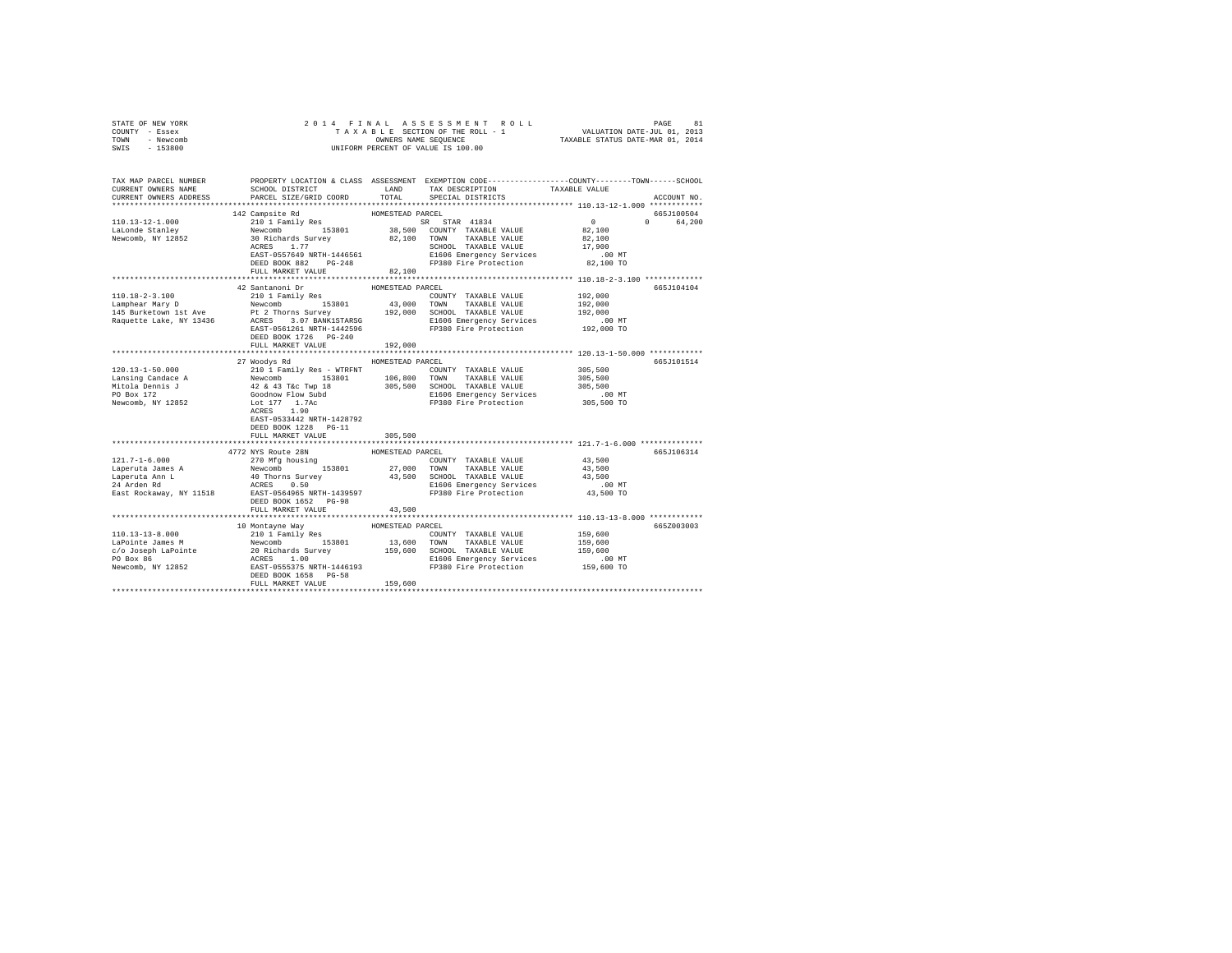| COUNTY - Essex<br>TOWN<br>- Newcomb<br>$-153800$<br>SWIS                 | UNIFORM PERCENT OF VALUE IS 100.00                                                                                                                                                                                                                                                                                         |                             |                                                          |                                                   |                        |
|--------------------------------------------------------------------------|----------------------------------------------------------------------------------------------------------------------------------------------------------------------------------------------------------------------------------------------------------------------------------------------------------------------------|-----------------------------|----------------------------------------------------------|---------------------------------------------------|------------------------|
| CURRENT OWNERS NAME<br>CURRENT OWNERS ADDRESS                            | TAX MAP PARCEL NUMBER PROPERTY LOCATION & CLASS ASSESSMENT EXEMPTION CODE--------------COUNTY-------TOWN------SCHOOL<br>SCHOOL DISTRICT<br>PARCEL SIZE/GRID COORD                                                                                                                                                          | TOTAL                       | LAND TAX DESCRIPTION TAXABLE VALUE<br>SPECIAL DISTRICTS  |                                                   | ACCOUNT NO.            |
| 110.13-12-1.000                                                          | 142 Campsite Rd<br>210 1 Family Res                                                                                                                                                                                                                                                                                        | HOMESTEAD PARCEL            | SR STAR 41834                                            | $\sim$ 0 $\sim$ 0                                 | 665J100504<br>0 64,200 |
|                                                                          | LaLonde Stanley Mewcomb 153801<br>Newcomb, NY 12852 30 Richards Survey<br>ACRES 1.77<br>ACRES 1.77                                                                                                                                                                                                                         |                             | 38,500 COUNTY TAXABLE VALUE<br>82,100 TOWN TAXABLE VALUE | 82,100<br>82,100<br>17,900<br>00 MT.<br>82,100 TO |                        |
|                                                                          | FULL MARKET VALUE                                                                                                                                                                                                                                                                                                          | 82,100                      |                                                          |                                                   |                        |
| 110.18-2-3.100                                                           | 42 Santanoni Dr<br>210 1 Family Res<br>192,000<br>192,000<br>192,000<br>192,000<br>192,000<br>192,000<br>192,000<br>Requette Lake, NY 13436<br>Requette Lake, NY 13436<br>202,000<br>202,000<br>202,000<br>202,000<br>202,000<br>202,000<br>202,000<br>202,000<br>202,000<br>202,000<br>202,000<br>202,000<br>2            | HOMESTEAD PARCEL            | COUNTY TAXABLE VALUE                                     | 192,000                                           | 665J104104             |
|                                                                          | DEED BOOK 1726 PG-240<br>FULL MARKET VALUE                                                                                                                                                                                                                                                                                 | 192,000                     |                                                          |                                                   |                        |
|                                                                          | 27 Woodys Rd HOMESTEAD PARCEL                                                                                                                                                                                                                                                                                              |                             |                                                          |                                                   | 665J101514             |
| 120.13-1-50.000                                                          | 210 1 Family Res - WTRFNT<br>1990 - 1990 - 1990 - 1990 - 1990 - 1990 - 1990 - 1990 - 1990 - 1990 - 1990 - 1990 - 1990 - 1990 - 1990 - 1990 - 1990 - 1990 - 1990 - 1990 - 1990 - 1990 - 1990 - 1990 - 1990 - 1990 - 1990 - 1990 - 1990 - 1990 - 1990 - 1990<br>EAST-0533442 NRTH-1428792<br>DEED BOOK 1228 PG-11            |                             | COUNTY TAXABLE VALUE                                     | 305,500<br>00 MT.<br>305,500 TO                   |                        |
|                                                                          | FULL MARKET VALUE                                                                                                                                                                                                                                                                                                          | 305,500                     |                                                          |                                                   |                        |
| $121.7 - 1 - 6.000$<br>Laperuta James A<br>Laperuta Ann L<br>24 Arden Rd | 4772 NYS Route 28N<br>270 Mfg housing<br>Newcomb 153801 27,000 TOWN TAXABLE VALUE<br>40 Thorns Survey 43,500 SCHOOL TAXABLE VALUE<br>ACRES 0.50 2000 ECHOOL TAXABLE VALUE<br>DEED BOOK 1652 PG-98<br>FULL MARKET VALUE                                                                                                     | HOMESTEAD PARCEL<br>43,500  | COUNTY TAXABLE VALUE                                     | 43,500<br>43,500<br>43,500                        | 665J106314             |
|                                                                          |                                                                                                                                                                                                                                                                                                                            |                             |                                                          |                                                   |                        |
| $110.13 - 13 - 8.000$                                                    | 10 Montayne Way<br>210 1 Family Res<br>110.13-13-5.000<br>13.600 TOWNY TAXABLE VALUE 159,600<br>20 Richards Survey 159,600 SCHOOL TAXABLE VALUE 159,600<br>20 Richards Survey 159,600 SCHOOL TAXABLE VALUE 159,600<br>20 Box 86 20 Richards Survey 159,600 ECIOOL TAXABLE VAL<br>DEED BOOK 1658 PG-58<br>FULL MARKET VALUE | HOMESTEAD PARCEL<br>159,600 | COUNTY TAXABLE VALUE                                     | 159,600                                           | 665Z003003             |
|                                                                          |                                                                                                                                                                                                                                                                                                                            |                             |                                                          |                                                   |                        |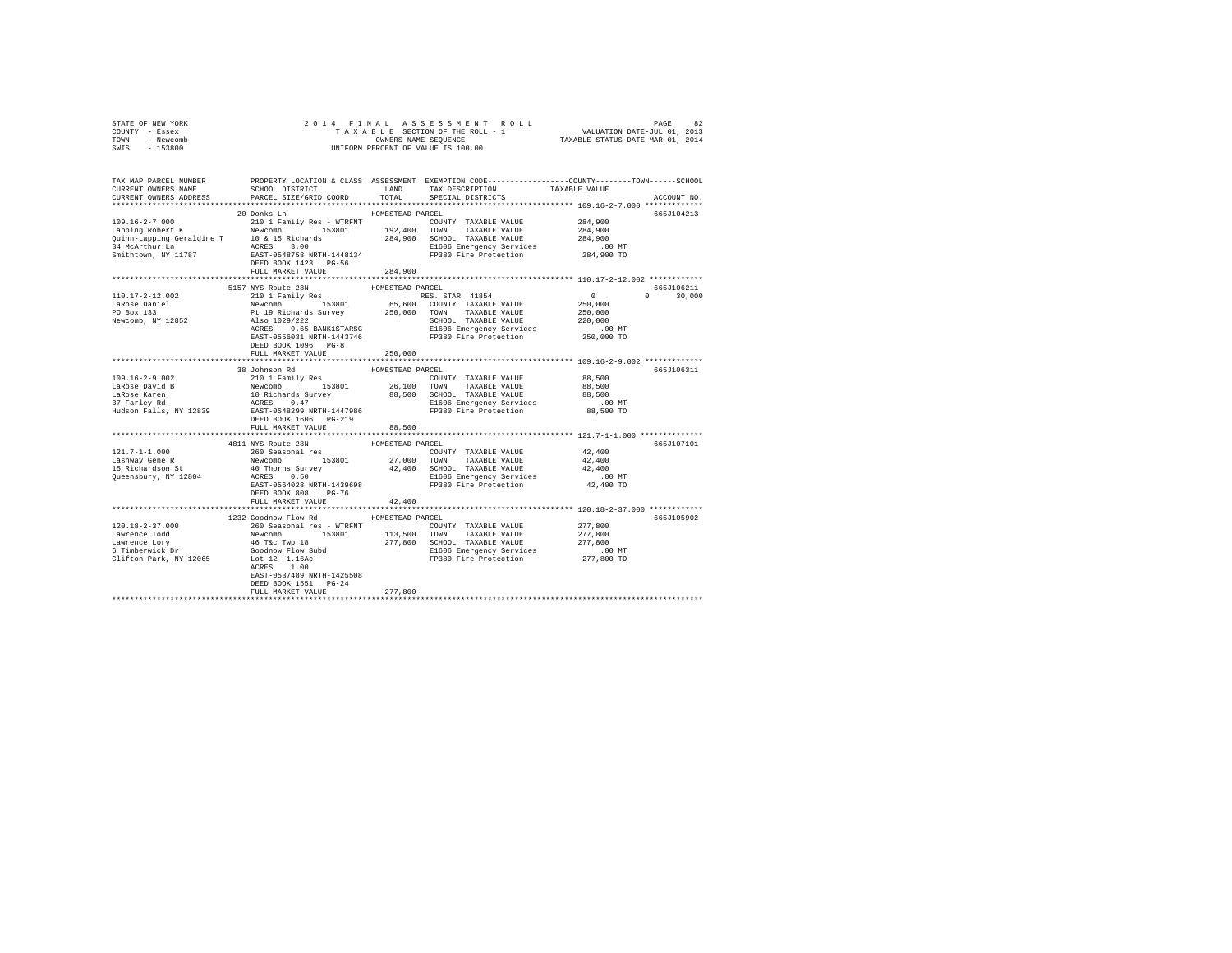| STATE OF NEW YORK<br>COUNTY - Essex                 |                                                                                                                                                                                                                                |                   |                                                                                                                   |                                                      |               |
|-----------------------------------------------------|--------------------------------------------------------------------------------------------------------------------------------------------------------------------------------------------------------------------------------|-------------------|-------------------------------------------------------------------------------------------------------------------|------------------------------------------------------|---------------|
| TOWN - Newcomb                                      |                                                                                                                                                                                                                                |                   |                                                                                                                   |                                                      |               |
| SWIS - 153800                                       |                                                                                                                                                                                                                                |                   |                                                                                                                   |                                                      |               |
|                                                     |                                                                                                                                                                                                                                |                   |                                                                                                                   |                                                      |               |
|                                                     |                                                                                                                                                                                                                                |                   |                                                                                                                   |                                                      |               |
|                                                     | TAX MAP PARCEL NUMBER PROPERTY LOCATION & CLASS ASSESSMENT EXEMPTION CODE--------------COUNTY-------TOWN------SCHOOL<br>CURRENT OWNERS NAME SCHOOL DISTRICT LAND TAX DESCRIPTION TAXARLE VALUE                                 |                   |                                                                                                                   |                                                      |               |
|                                                     |                                                                                                                                                                                                                                |                   |                                                                                                                   |                                                      |               |
| CURRENT OWNERS ADDRESS                              | PARCEL SIZE/GRID COORD                                                                                                                                                                                                         | TOTAL             | SPECIAL DISTRICTS                                                                                                 |                                                      | ACCOUNT NO.   |
|                                                     |                                                                                                                                                                                                                                |                   |                                                                                                                   |                                                      |               |
|                                                     |                                                                                                                                                                                                                                |                   |                                                                                                                   |                                                      | 665J104213    |
|                                                     |                                                                                                                                                                                                                                |                   |                                                                                                                   |                                                      |               |
|                                                     |                                                                                                                                                                                                                                |                   |                                                                                                                   |                                                      |               |
|                                                     |                                                                                                                                                                                                                                |                   |                                                                                                                   |                                                      |               |
|                                                     |                                                                                                                                                                                                                                |                   |                                                                                                                   |                                                      |               |
|                                                     |                                                                                                                                                                                                                                |                   |                                                                                                                   |                                                      |               |
|                                                     |                                                                                                                                                                                                                                |                   |                                                                                                                   |                                                      |               |
|                                                     |                                                                                                                                                                                                                                |                   |                                                                                                                   |                                                      |               |
|                                                     | 5157 NYS Route 28N HOMESTEAD PARCEL                                                                                                                                                                                            |                   |                                                                                                                   |                                                      | 665J106211    |
| 110.17-2-12.002                                     |                                                                                                                                                                                                                                |                   |                                                                                                                   | $\sim$ 0                                             | $0 \t 30,000$ |
| LaRose Daniel<br>PO Box 133                         | 1157 NYS ROUE 28N 1157 NAMESTEAD RACEL AND RES. STAR 41854 2010 1 Family Res RES. STAR 41854 2010 1 Family Res RES. STAR 41854 2010 209/000 1153801 65,600 COUNTY TAXABLE VALUE 250,000 Pt 19 Richards Survey 250,000 TOWN TAX |                   |                                                                                                                   |                                                      |               |
|                                                     |                                                                                                                                                                                                                                |                   |                                                                                                                   |                                                      |               |
| Newcomb, NY 12852                                   |                                                                                                                                                                                                                                |                   |                                                                                                                   |                                                      |               |
|                                                     |                                                                                                                                                                                                                                |                   |                                                                                                                   | .00 MT                                               |               |
|                                                     |                                                                                                                                                                                                                                |                   |                                                                                                                   | 250,000 TO                                           |               |
|                                                     | DEED BOOK 1096 PG-8                                                                                                                                                                                                            |                   |                                                                                                                   |                                                      |               |
|                                                     | FULL MARKET VALUE                                                                                                                                                                                                              | 250,000           |                                                                                                                   |                                                      |               |
|                                                     |                                                                                                                                                                                                                                |                   |                                                                                                                   |                                                      |               |
|                                                     | 38 Johnson Rd                                                                                                                                                                                                                  | HOMESTEAD PARCEL  |                                                                                                                   |                                                      | 665J106311    |
|                                                     |                                                                                                                                                                                                                                |                   |                                                                                                                   |                                                      |               |
|                                                     |                                                                                                                                                                                                                                |                   |                                                                                                                   |                                                      |               |
|                                                     |                                                                                                                                                                                                                                |                   |                                                                                                                   |                                                      |               |
|                                                     |                                                                                                                                                                                                                                |                   |                                                                                                                   |                                                      |               |
|                                                     | DEED BOOK 1606 PG-219                                                                                                                                                                                                          |                   |                                                                                                                   |                                                      |               |
|                                                     | FULL MARKET VALUE                                                                                                                                                                                                              | 88,500            |                                                                                                                   |                                                      |               |
|                                                     |                                                                                                                                                                                                                                |                   |                                                                                                                   |                                                      |               |
|                                                     | 4811 NYS Route 28N                                                                                                                                                                                                             | HOMESTEAD PARCEL  |                                                                                                                   |                                                      | 665J107101    |
|                                                     | 260 Seasonal res                                                                                                                                                                                                               |                   | $\begin{tabular}{lllllll} \textbf{COUNTY} & \textbf{TAXABLE} & \textbf{VALUE} & \textbf{42,400} \\ \end{tabular}$ |                                                      |               |
| 121.7-1-1.000<br>Lashway Gene R<br>15 Richardson St |                                                                                                                                                                                                                                |                   |                                                                                                                   |                                                      |               |
|                                                     |                                                                                                                                                                                                                                |                   |                                                                                                                   |                                                      |               |
|                                                     |                                                                                                                                                                                                                                |                   |                                                                                                                   |                                                      |               |
|                                                     |                                                                                                                                                                                                                                |                   |                                                                                                                   |                                                      |               |
|                                                     | DEED BOOK 808 PG-76<br>FULL MARKET VALUE                                                                                                                                                                                       | 42,400            |                                                                                                                   |                                                      |               |
|                                                     |                                                                                                                                                                                                                                | ***************** |                                                                                                                   | *********************** 120.18-2-37.000 ************ |               |
|                                                     | 1232 Goodnow Flow Rd MOMESTEAD PARCEL                                                                                                                                                                                          |                   |                                                                                                                   |                                                      | 665J105902    |
| $120.18 - 2 - 37.000$                               | 260 Seasonal res - WTRFNT                                                                                                                                                                                                      |                   | COUNTY TAXABLE VALUE                                                                                              | 277,800                                              |               |
|                                                     |                                                                                                                                                                                                                                |                   |                                                                                                                   |                                                      |               |
|                                                     |                                                                                                                                                                                                                                |                   |                                                                                                                   |                                                      |               |
|                                                     |                                                                                                                                                                                                                                |                   |                                                                                                                   |                                                      |               |
|                                                     |                                                                                                                                                                                                                                |                   |                                                                                                                   |                                                      |               |
|                                                     | ACRES 1.00                                                                                                                                                                                                                     |                   |                                                                                                                   |                                                      |               |
|                                                     | EAST-0537489 NRTH-1425508                                                                                                                                                                                                      |                   |                                                                                                                   |                                                      |               |
|                                                     | DEED BOOK 1551 PG-24                                                                                                                                                                                                           |                   |                                                                                                                   |                                                      |               |
|                                                     | FULL MARKET VALUE                                                                                                                                                                                                              | 277,800           |                                                                                                                   |                                                      |               |
|                                                     |                                                                                                                                                                                                                                |                   |                                                                                                                   |                                                      |               |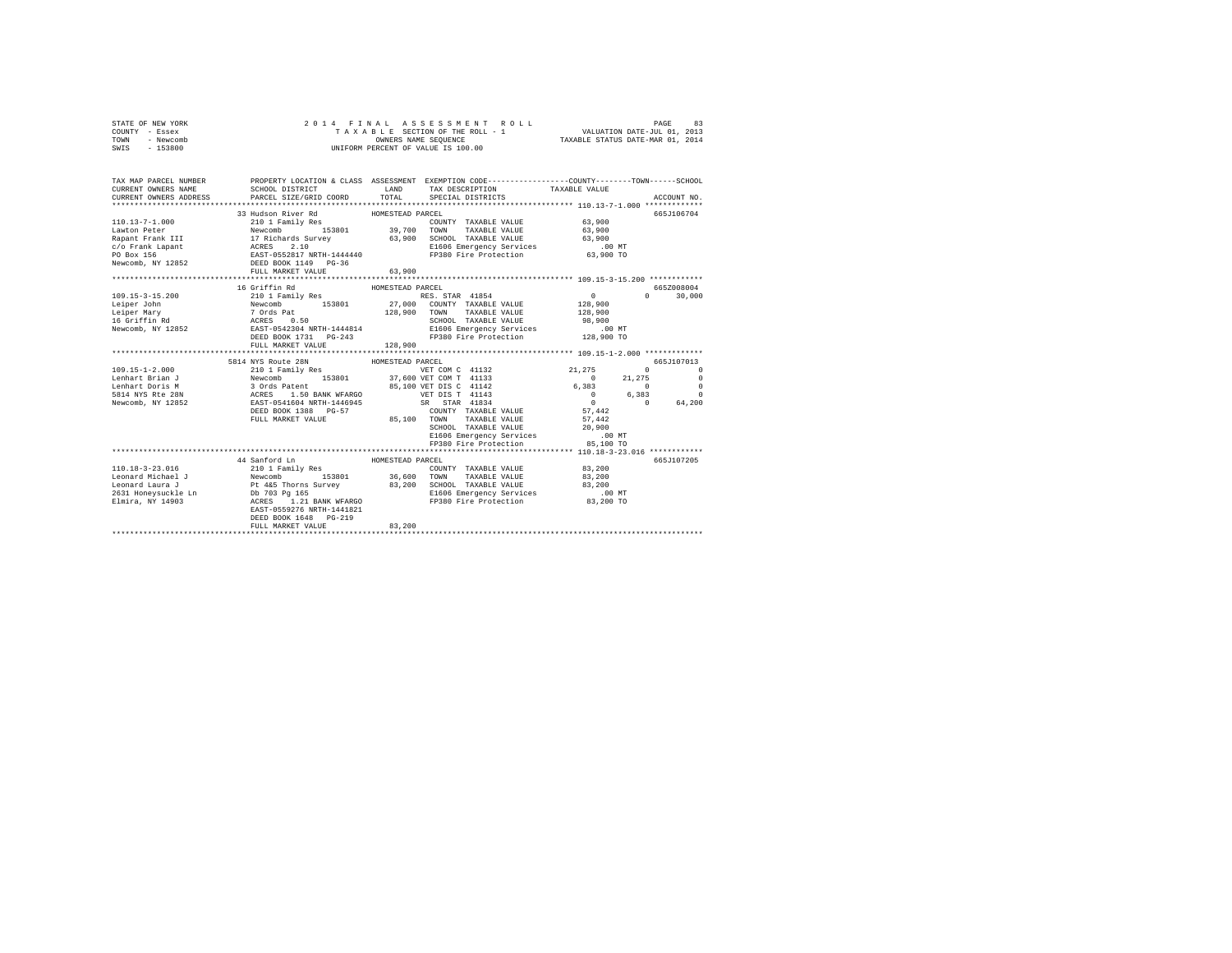| STATE OF NEW YORK<br>COUNTY - Essex<br>TOWN - Newcomb<br>SWIS - 153800                                                                                                                                                                                                                                                                                                                                                             | 4 FINAL ASSESSMENT ROLL (1975)<br>TAXABLE SECTION OF THE ROLL - 1 VALUATION DATE-JUL 01, 2013<br>OWNERS NAME SEQUENCE  TAXABLE STATUS DATE-MAR 01, 2014<br>2014 FINAL ASSESSMENT ROLL<br>UNIFORM PERCENT OF VALUE IS 100.00 |                  |  |  |                                                                                                    |               |
|------------------------------------------------------------------------------------------------------------------------------------------------------------------------------------------------------------------------------------------------------------------------------------------------------------------------------------------------------------------------------------------------------------------------------------|-----------------------------------------------------------------------------------------------------------------------------------------------------------------------------------------------------------------------------|------------------|--|--|----------------------------------------------------------------------------------------------------|---------------|
| TAX MAP PARCEL NUMBER PROPERTY LOCATION & CLASS ASSESSMENT EXEMPTION CODE---------------COUNTY-------TOWN-----SCHOOL<br>CURRENT OWNERS NAME                                                                                                                                                                                                                                                                                        | SCHOOL DISTRICT TAND TAX DESCRIPTION TAXABLE VALUE                                                                                                                                                                          |                  |  |  |                                                                                                    |               |
| CURRENT OWNERS ADDRESS                                                                                                                                                                                                                                                                                                                                                                                                             | PARCEL SIZE/GRID COORD TOTAL SPECIAL DISTRICTS                                                                                                                                                                              |                  |  |  |                                                                                                    | ACCOUNT NO.   |
|                                                                                                                                                                                                                                                                                                                                                                                                                                    |                                                                                                                                                                                                                             |                  |  |  |                                                                                                    |               |
| $\begin{tabular}{l c c c c c} \hline 110.13-7-1.000 & \multicolumn{3}{c}{\mbox{\small{200$ U Fani1y Res}} & \multicolumn{3}{c}{\mbox{\small{200$ U Fani1y Res}} & \multicolumn{3}{c}{\mbox{\small{200$ U Fani1y Res}} & \multicolumn{3}{c}{\mbox{\small{200$ U Fani1y Res}} & \multicolumn{3}{c}{\mbox{\small{200$ U Fani1y Res}} & \multicolumn{3}{c}{\mbox{\small{200$ U Fani2xRes}} & \multicolumn{3}{c}{\mbox{\small{200$ U F$ | 33 Hudson River Rd                                                                                                                                                                                                          | HOMESTEAD PARCEL |  |  |                                                                                                    | 665.7106704   |
|                                                                                                                                                                                                                                                                                                                                                                                                                                    |                                                                                                                                                                                                                             |                  |  |  |                                                                                                    |               |
|                                                                                                                                                                                                                                                                                                                                                                                                                                    |                                                                                                                                                                                                                             |                  |  |  |                                                                                                    |               |
|                                                                                                                                                                                                                                                                                                                                                                                                                                    |                                                                                                                                                                                                                             |                  |  |  |                                                                                                    |               |
|                                                                                                                                                                                                                                                                                                                                                                                                                                    |                                                                                                                                                                                                                             |                  |  |  |                                                                                                    |               |
|                                                                                                                                                                                                                                                                                                                                                                                                                                    |                                                                                                                                                                                                                             |                  |  |  |                                                                                                    |               |
|                                                                                                                                                                                                                                                                                                                                                                                                                                    |                                                                                                                                                                                                                             | 63,900           |  |  |                                                                                                    |               |
|                                                                                                                                                                                                                                                                                                                                                                                                                                    | FULL MARKET VALUE                                                                                                                                                                                                           |                  |  |  |                                                                                                    |               |
|                                                                                                                                                                                                                                                                                                                                                                                                                                    | 16 Griffin Rd                                                                                                                                                                                                               | HOMESTEAD PARCEL |  |  |                                                                                                    | 665Z008004    |
|                                                                                                                                                                                                                                                                                                                                                                                                                                    |                                                                                                                                                                                                                             |                  |  |  |                                                                                                    | $0 \t 30.000$ |
|                                                                                                                                                                                                                                                                                                                                                                                                                                    |                                                                                                                                                                                                                             |                  |  |  |                                                                                                    |               |
|                                                                                                                                                                                                                                                                                                                                                                                                                                    |                                                                                                                                                                                                                             |                  |  |  |                                                                                                    |               |
|                                                                                                                                                                                                                                                                                                                                                                                                                                    |                                                                                                                                                                                                                             |                  |  |  |                                                                                                    |               |
|                                                                                                                                                                                                                                                                                                                                                                                                                                    |                                                                                                                                                                                                                             |                  |  |  |                                                                                                    |               |
| $\begin{tabular}{cccc} 109.15-3-15.200 & 1071111 nM & HOMESISAD PAKEL PALDE & 0 \\ \hline Leiper John \\ Leiper Mary & Newomb \\ Leifer Mary & Newomb \\ 16.4011 nM & Newomb \\ 16.5111 nM & XCRES & 0.50 \\ 17.4011 nM & XCRES & 0.50 \\ 18.5111 nM & XCRES & 0.50 \\ 19.5111 nM & XCRES & 0.50 \\ 10.5111 nM & XCRES & 0.50 \\ 11.511 nM & XCRES & 0.50 \\ 12.511$                                                               |                                                                                                                                                                                                                             |                  |  |  |                                                                                                    |               |
|                                                                                                                                                                                                                                                                                                                                                                                                                                    | FULL MARKET VALUE                                                                                                                                                                                                           | 128,900          |  |  |                                                                                                    |               |
|                                                                                                                                                                                                                                                                                                                                                                                                                                    |                                                                                                                                                                                                                             |                  |  |  |                                                                                                    |               |
| 109.15-1-2.000<br>199.1 - 2000 11 Family Res HOMESTEAD PARCEL 109.1<br>199.16-1-2.000 12 - 2011 Family Res 1000 12 - 2012 1275 0<br>199.1 - 2014 NYS Route 199.1 12 - 2014 12 - 21.275 0<br>199.1 - 21.275 0<br>199.1 - 21.275 0<br>199.1                                                                                                                                                                                          |                                                                                                                                                                                                                             |                  |  |  |                                                                                                    |               |
|                                                                                                                                                                                                                                                                                                                                                                                                                                    |                                                                                                                                                                                                                             |                  |  |  |                                                                                                    |               |
|                                                                                                                                                                                                                                                                                                                                                                                                                                    |                                                                                                                                                                                                                             |                  |  |  |                                                                                                    |               |
|                                                                                                                                                                                                                                                                                                                                                                                                                                    |                                                                                                                                                                                                                             |                  |  |  |                                                                                                    |               |
|                                                                                                                                                                                                                                                                                                                                                                                                                                    |                                                                                                                                                                                                                             |                  |  |  |                                                                                                    |               |
|                                                                                                                                                                                                                                                                                                                                                                                                                                    |                                                                                                                                                                                                                             |                  |  |  |                                                                                                    |               |
|                                                                                                                                                                                                                                                                                                                                                                                                                                    |                                                                                                                                                                                                                             |                  |  |  |                                                                                                    |               |
|                                                                                                                                                                                                                                                                                                                                                                                                                                    |                                                                                                                                                                                                                             |                  |  |  |                                                                                                    |               |
|                                                                                                                                                                                                                                                                                                                                                                                                                                    |                                                                                                                                                                                                                             |                  |  |  | SCHOOL TAXABLE VALUE $20,900$<br>E1606 Emergency Services 00 MT<br>FP380 Fire Protection 85,100 TO |               |
|                                                                                                                                                                                                                                                                                                                                                                                                                                    |                                                                                                                                                                                                                             |                  |  |  |                                                                                                    |               |
|                                                                                                                                                                                                                                                                                                                                                                                                                                    |                                                                                                                                                                                                                             |                  |  |  |                                                                                                    |               |
|                                                                                                                                                                                                                                                                                                                                                                                                                                    | 44 Sanford Ln                                                                                                                                                                                                               | HOMESTEAD PARCEL |  |  |                                                                                                    | 665J107205    |
|                                                                                                                                                                                                                                                                                                                                                                                                                                    |                                                                                                                                                                                                                             |                  |  |  |                                                                                                    |               |
|                                                                                                                                                                                                                                                                                                                                                                                                                                    |                                                                                                                                                                                                                             |                  |  |  |                                                                                                    |               |
|                                                                                                                                                                                                                                                                                                                                                                                                                                    |                                                                                                                                                                                                                             |                  |  |  |                                                                                                    |               |
|                                                                                                                                                                                                                                                                                                                                                                                                                                    |                                                                                                                                                                                                                             |                  |  |  |                                                                                                    |               |
|                                                                                                                                                                                                                                                                                                                                                                                                                                    |                                                                                                                                                                                                                             |                  |  |  |                                                                                                    |               |
|                                                                                                                                                                                                                                                                                                                                                                                                                                    |                                                                                                                                                                                                                             |                  |  |  |                                                                                                    |               |
|                                                                                                                                                                                                                                                                                                                                                                                                                                    | DEED BOOK 1648 PG-219                                                                                                                                                                                                       |                  |  |  |                                                                                                    |               |
|                                                                                                                                                                                                                                                                                                                                                                                                                                    | FULL MARKET VALUE                                                                                                                                                                                                           | 83,200           |  |  |                                                                                                    |               |
|                                                                                                                                                                                                                                                                                                                                                                                                                                    |                                                                                                                                                                                                                             |                  |  |  |                                                                                                    |               |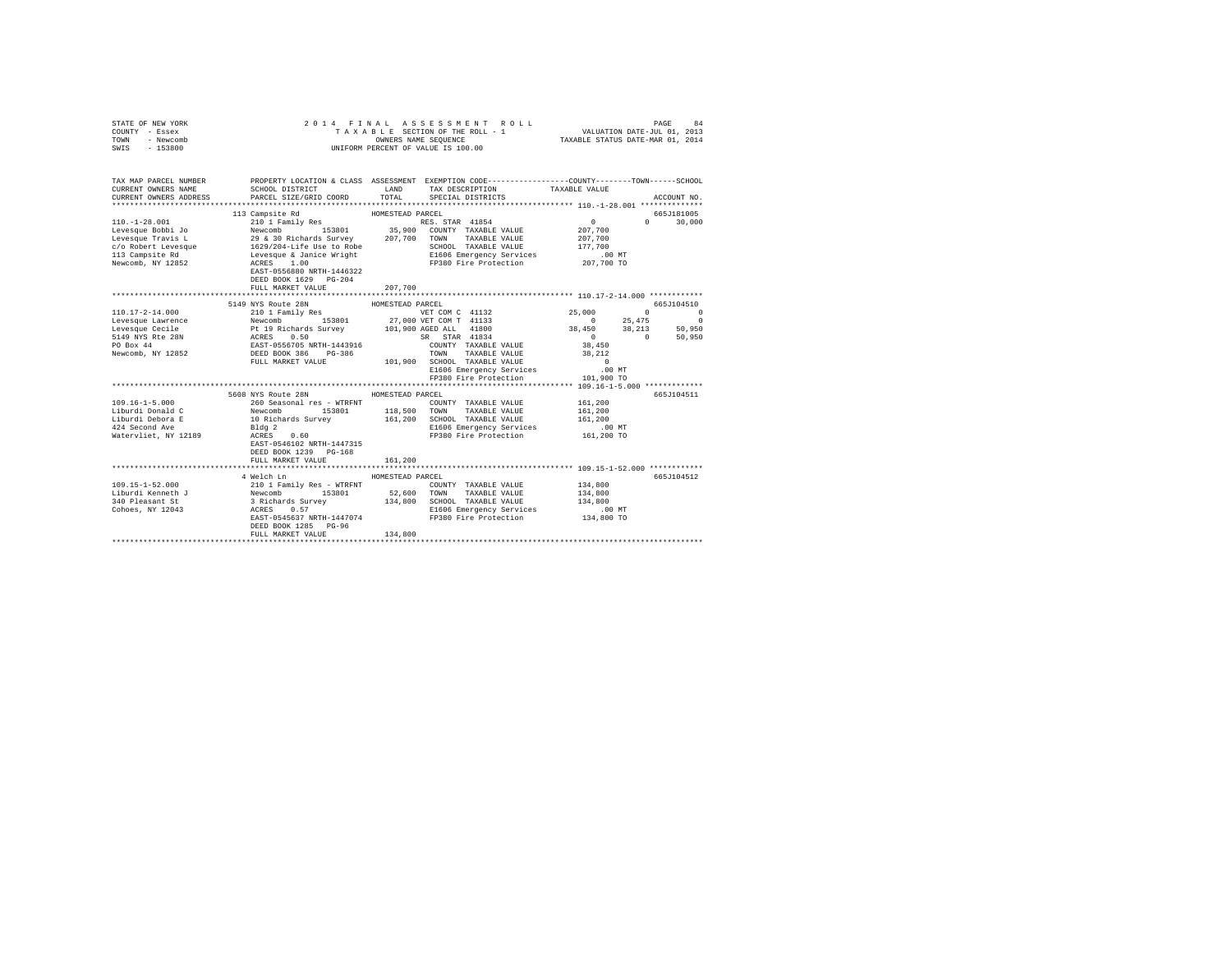| STATE OF NEW YORK<br>COUNTY - Essex<br>TOWN - Newcomb<br>SWIS - 153800                                                                                                                                                                                                                                                                                                                                                                                    | 2014 FINAL ASSESSMENT ROLL<br>UNIFORM PERCENT OF VALUE IS 100.00 |                  |                                                          |                      |                                                                                                                       |
|-----------------------------------------------------------------------------------------------------------------------------------------------------------------------------------------------------------------------------------------------------------------------------------------------------------------------------------------------------------------------------------------------------------------------------------------------------------|------------------------------------------------------------------|------------------|----------------------------------------------------------|----------------------|-----------------------------------------------------------------------------------------------------------------------|
| TAX MAP PARCEL NUMBER PROPERTY LOCATION & CLASS ASSESSMENT EXEMPTION CODE--------------COUNTY-------TOWN------SCHOOL<br>CURRENT OWNERS NAME                                                                                                                                                                                                                                                                                                               | SCHOOL DISTRICT                                                  | LAND             | TAX DESCRIPTION                                          | TAXABLE VALUE        |                                                                                                                       |
| CURRENT OWNERS ADDRESS PARCEL SIZE/GRID COORD TOTAL                                                                                                                                                                                                                                                                                                                                                                                                       |                                                                  |                  | SPECIAL DISTRICTS                                        |                      | ACCOUNT NO.                                                                                                           |
|                                                                                                                                                                                                                                                                                                                                                                                                                                                           |                                                                  |                  |                                                          |                      |                                                                                                                       |
|                                                                                                                                                                                                                                                                                                                                                                                                                                                           |                                                                  |                  |                                                          |                      | 665J181005                                                                                                            |
|                                                                                                                                                                                                                                                                                                                                                                                                                                                           |                                                                  |                  |                                                          | $\sim$ 0             | $0 \t 30,000$                                                                                                         |
|                                                                                                                                                                                                                                                                                                                                                                                                                                                           |                                                                  |                  |                                                          | 207,700<br>207,700   |                                                                                                                       |
|                                                                                                                                                                                                                                                                                                                                                                                                                                                           |                                                                  |                  |                                                          |                      |                                                                                                                       |
|                                                                                                                                                                                                                                                                                                                                                                                                                                                           |                                                                  |                  |                                                          | 177,700<br>.00 MT    |                                                                                                                       |
|                                                                                                                                                                                                                                                                                                                                                                                                                                                           |                                                                  |                  | FP380 Fire Protection 207,700 TO                         |                      |                                                                                                                       |
| $\begin{tabular}{l c c c c c} \hline \multicolumn{3}{c}{\textbf{Levesque Bobbi Jo}} & 210 & 1\text{ Family Res} & \multicolumn{3}{c}{\textbf{HUNESTED PARCEL}} & \multicolumn{3}{c}{\textbf{Levesque} & 153801} & 25,900 & \multicolumn{3}{c}{\textbf{COUNTY} } & 7 \text{AXABLE VALUE} \\ \hline \multicolumn{3}{c}{\textbf{Levesque} } & 29 & 30 & \text{Richards Survey} & 207,700 & 70 \text{WN} & 7 \text{AXABLE VALUE} \\ \hline \multicolumn{3}{c$ |                                                                  |                  |                                                          |                      |                                                                                                                       |
|                                                                                                                                                                                                                                                                                                                                                                                                                                                           |                                                                  |                  |                                                          |                      |                                                                                                                       |
|                                                                                                                                                                                                                                                                                                                                                                                                                                                           | FULL MARKET VALUE                                                | 207,700          |                                                          |                      |                                                                                                                       |
|                                                                                                                                                                                                                                                                                                                                                                                                                                                           |                                                                  |                  |                                                          |                      |                                                                                                                       |
|                                                                                                                                                                                                                                                                                                                                                                                                                                                           | 5149 NYS Route 28N                                               | HOMESTEAD PARCEL |                                                          |                      | 665J104510                                                                                                            |
|                                                                                                                                                                                                                                                                                                                                                                                                                                                           |                                                                  |                  |                                                          | 25,000               | $\Omega$ and $\Omega$                                                                                                 |
|                                                                                                                                                                                                                                                                                                                                                                                                                                                           |                                                                  |                  |                                                          |                      |                                                                                                                       |
|                                                                                                                                                                                                                                                                                                                                                                                                                                                           |                                                                  |                  |                                                          |                      |                                                                                                                       |
|                                                                                                                                                                                                                                                                                                                                                                                                                                                           |                                                                  |                  |                                                          |                      | $\begin{array}{cccc} 0 & 25,475 & 0 \\ 38,450 & 38,213 & 50,950 \\ 0 & 0 & 50,950 \\ 38,450 & 0 & 50,950 \end{array}$ |
| $[100.17-2-14.000$ 2010 1989 NX ROUND BORD ISSUE AND MONDRON UNIT COM C 41132<br>Levesque Carlie Part 1988 Survey 2010 27,000 VET COM C 41132<br>Levesque Carlie Part 143916<br>27,000 VET COM C 41130<br>27,000 VET COM C 41130<br>27,                                                                                                                                                                                                                   |                                                                  |                  |                                                          | 38,212               |                                                                                                                       |
|                                                                                                                                                                                                                                                                                                                                                                                                                                                           |                                                                  |                  |                                                          | $\sim$ 0             |                                                                                                                       |
|                                                                                                                                                                                                                                                                                                                                                                                                                                                           |                                                                  |                  | E1606 Emergency Services                                 | .00MT                |                                                                                                                       |
|                                                                                                                                                                                                                                                                                                                                                                                                                                                           |                                                                  |                  | FP380 Fire Protection                                    | 101,900 TO           |                                                                                                                       |
|                                                                                                                                                                                                                                                                                                                                                                                                                                                           |                                                                  |                  |                                                          |                      |                                                                                                                       |
|                                                                                                                                                                                                                                                                                                                                                                                                                                                           | 5608 NYS Route 28N HOMESTEAD PARCEL                              |                  |                                                          |                      | 665J104511                                                                                                            |
| $109.16 - 1 - 5.000$                                                                                                                                                                                                                                                                                                                                                                                                                                      |                                                                  |                  | COUNTY TAXABLE VALUE 161,200                             |                      |                                                                                                                       |
| Liburdi Donald C                                                                                                                                                                                                                                                                                                                                                                                                                                          |                                                                  |                  |                                                          | 161,200              |                                                                                                                       |
| Liburdi Debora E                                                                                                                                                                                                                                                                                                                                                                                                                                          |                                                                  |                  |                                                          | 161,200              |                                                                                                                       |
|                                                                                                                                                                                                                                                                                                                                                                                                                                                           |                                                                  |                  |                                                          |                      |                                                                                                                       |
|                                                                                                                                                                                                                                                                                                                                                                                                                                                           | EAST-0546102 NRTH-1447315                                        |                  |                                                          |                      |                                                                                                                       |
|                                                                                                                                                                                                                                                                                                                                                                                                                                                           | DEED BOOK 1239 PG-168                                            |                  |                                                          |                      |                                                                                                                       |
|                                                                                                                                                                                                                                                                                                                                                                                                                                                           | FULL MARKET VALUE                                                | 161,200          |                                                          |                      |                                                                                                                       |
|                                                                                                                                                                                                                                                                                                                                                                                                                                                           |                                                                  |                  |                                                          |                      |                                                                                                                       |
|                                                                                                                                                                                                                                                                                                                                                                                                                                                           | 4 Welch Ln                                                       | HOMESTEAD PARCEL |                                                          |                      | 665J104512                                                                                                            |
|                                                                                                                                                                                                                                                                                                                                                                                                                                                           |                                                                  |                  |                                                          | 134,800              |                                                                                                                       |
|                                                                                                                                                                                                                                                                                                                                                                                                                                                           |                                                                  |                  |                                                          | 134,800              |                                                                                                                       |
|                                                                                                                                                                                                                                                                                                                                                                                                                                                           |                                                                  |                  | 134,800 SCHOOL TAXABLE VALUE<br>E1606 Emergency Services | 134,800              |                                                                                                                       |
|                                                                                                                                                                                                                                                                                                                                                                                                                                                           | EAST-0545637 NRTH-1447074                                        |                  | FP380 Fire Protection                                    | .00 MT<br>134,800 TO |                                                                                                                       |
|                                                                                                                                                                                                                                                                                                                                                                                                                                                           | DEED BOOK 1285 PG-96                                             |                  |                                                          |                      |                                                                                                                       |
|                                                                                                                                                                                                                                                                                                                                                                                                                                                           | FULL MARKET VALUE                                                | 134,800          |                                                          |                      |                                                                                                                       |
|                                                                                                                                                                                                                                                                                                                                                                                                                                                           |                                                                  |                  |                                                          |                      |                                                                                                                       |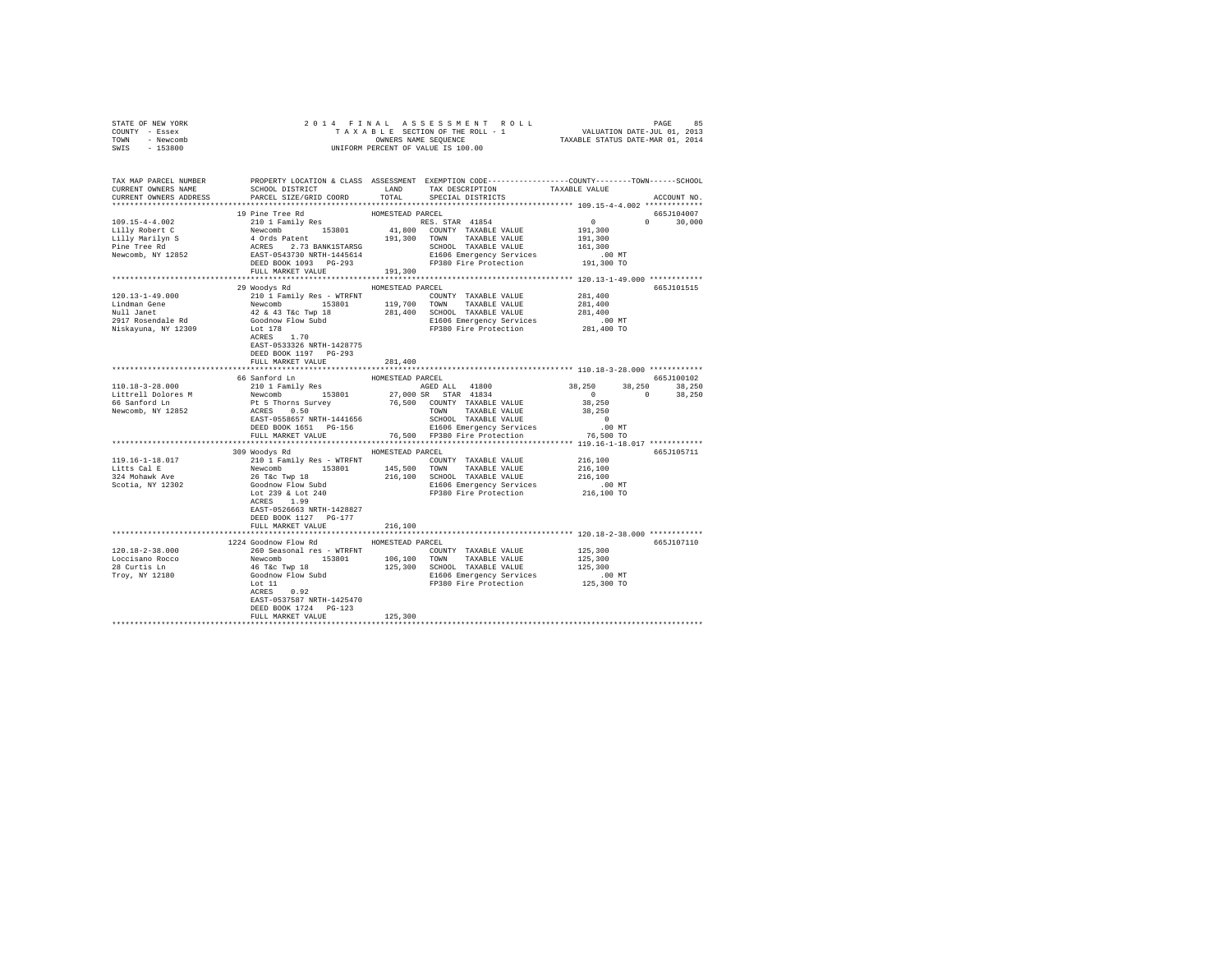| TOWN - Newcomb<br>SWIS - 153800                                                                                                                                                                                                                                                                                                                                                                                                                         | OWNERS NAME SEQUENCE (TAXABLE STATUS DATE-MAR 01, 2014)<br>UNIFORM PERCENT OF VALUE IS 100.00  |         |                                                                                                  |  |               |
|---------------------------------------------------------------------------------------------------------------------------------------------------------------------------------------------------------------------------------------------------------------------------------------------------------------------------------------------------------------------------------------------------------------------------------------------------------|------------------------------------------------------------------------------------------------|---------|--------------------------------------------------------------------------------------------------|--|---------------|
|                                                                                                                                                                                                                                                                                                                                                                                                                                                         | PROPERTY LOCATION & CLASS ASSESSMENT EXEMPTION CODE---------------COUNTY-------TOWN-----SCHOOL |         |                                                                                                  |  |               |
| TAX MAP PARCEL NUMBER<br>CURRENT OWNERS NAME<br>CURRENT OWNERS ADDRESS PARCEL SIZE/GRID COORD TOTAL SPECIAL DISTRICTS                                                                                                                                                                                                                                                                                                                                   |                                                                                                |         | SCHOOL DISTRICT                        LAND        TAX DESCRIPTION                 TAXABLE VALUE |  | ACCOUNT NO.   |
| $\begin{tabular}{c c c c} \multicolumn{2}{c}{\textbf{31:}}\begin{tabular}{c}{\textbf{51:}}\begin{tabular}{c}{\textbf{51:}}\begin{tabular}{c}{\textbf{51:}}\begin{tabular}{c}{\textbf{51:}}\begin{tabular}{c}{\textbf{51:}}\begin{tabular}{c}{\textbf{51:}}\begin{tabular}{c}{\textbf{51:}}\begin{tabular}{c}{\textbf{51:}}\begin{tabular}{c}{\textbf{51:}}\begin{tabular}{c}{\textbf{51:}}\begin{tabular}{c}{\textbf{51:}}\begin{tabular}{c}{\textbf{5$ |                                                                                                |         |                                                                                                  |  | 665J104007    |
|                                                                                                                                                                                                                                                                                                                                                                                                                                                         |                                                                                                |         |                                                                                                  |  | $0 \t 30.000$ |
|                                                                                                                                                                                                                                                                                                                                                                                                                                                         |                                                                                                |         |                                                                                                  |  |               |
|                                                                                                                                                                                                                                                                                                                                                                                                                                                         |                                                                                                |         |                                                                                                  |  |               |
|                                                                                                                                                                                                                                                                                                                                                                                                                                                         |                                                                                                |         |                                                                                                  |  |               |
|                                                                                                                                                                                                                                                                                                                                                                                                                                                         |                                                                                                |         |                                                                                                  |  |               |
|                                                                                                                                                                                                                                                                                                                                                                                                                                                         |                                                                                                |         |                                                                                                  |  |               |
|                                                                                                                                                                                                                                                                                                                                                                                                                                                         |                                                                                                |         |                                                                                                  |  |               |
|                                                                                                                                                                                                                                                                                                                                                                                                                                                         | 29 Woodys Rd MOMESTEAD PARCEL                                                                  |         |                                                                                                  |  | 665J101515    |
|                                                                                                                                                                                                                                                                                                                                                                                                                                                         |                                                                                                |         |                                                                                                  |  |               |
|                                                                                                                                                                                                                                                                                                                                                                                                                                                         |                                                                                                |         |                                                                                                  |  |               |
| $\begin{tabular}{l c c c c c c c c} \hline 120.13-1-49.000 & \multicolumn{3}{c}{201} I Fami 1y Res - WTRFNT & \multicolumn{3}{c}{COUTY} TAXABLE VALUE & 281,400 \\ \hline Lindman Gene & Newcomb & 153801 & 119,700 T0NN & TAXABLE VALUE & 281,400 \\ \hline Null Jante & 42 & 43 Tec Type & 18 & 281,400 T0XABLE VALUE & 281,400 \\ \hline 2917 Rosendale Rd & 42 & 43 V@ SCH0N & 281,$                                                                |                                                                                                |         |                                                                                                  |  |               |
|                                                                                                                                                                                                                                                                                                                                                                                                                                                         |                                                                                                |         |                                                                                                  |  |               |
|                                                                                                                                                                                                                                                                                                                                                                                                                                                         |                                                                                                |         |                                                                                                  |  |               |
|                                                                                                                                                                                                                                                                                                                                                                                                                                                         | ACRES 1.70                                                                                     |         |                                                                                                  |  |               |
|                                                                                                                                                                                                                                                                                                                                                                                                                                                         | EAST-0533326 NRTH-1428775                                                                      |         |                                                                                                  |  |               |
|                                                                                                                                                                                                                                                                                                                                                                                                                                                         | DEED BOOK 1197 PG-293<br>FULL MARKET VALUE                                                     | 281,400 |                                                                                                  |  |               |
|                                                                                                                                                                                                                                                                                                                                                                                                                                                         |                                                                                                |         |                                                                                                  |  |               |
|                                                                                                                                                                                                                                                                                                                                                                                                                                                         |                                                                                                |         |                                                                                                  |  |               |
|                                                                                                                                                                                                                                                                                                                                                                                                                                                         |                                                                                                |         |                                                                                                  |  |               |
|                                                                                                                                                                                                                                                                                                                                                                                                                                                         |                                                                                                |         |                                                                                                  |  |               |
|                                                                                                                                                                                                                                                                                                                                                                                                                                                         |                                                                                                |         |                                                                                                  |  |               |
|                                                                                                                                                                                                                                                                                                                                                                                                                                                         |                                                                                                |         |                                                                                                  |  |               |
|                                                                                                                                                                                                                                                                                                                                                                                                                                                         |                                                                                                |         |                                                                                                  |  |               |
| $\begin{tabular}{l cccccccc} \textbf{1111} & \textbf{1121} & \textbf{1211} & \textbf{1311} & \textbf{1311} & \textbf{1311} & \textbf{1311} & \textbf{1311} & \textbf{1311} & \textbf{1311} & \textbf{1311} & \textbf{1311} & \textbf{1311} & \textbf{1311} & \textbf{1311} & \textbf{1311} & \textbf{1311} & \textbf{1311} & \textbf{1311} & \textbf{1311} & \textbf{1311}$                                                                             |                                                                                                |         |                                                                                                  |  |               |
|                                                                                                                                                                                                                                                                                                                                                                                                                                                         |                                                                                                |         |                                                                                                  |  |               |
|                                                                                                                                                                                                                                                                                                                                                                                                                                                         | 309 Woodys Rd MOMESTEAD PARCEL                                                                 |         |                                                                                                  |  | 665J105711    |
|                                                                                                                                                                                                                                                                                                                                                                                                                                                         |                                                                                                |         |                                                                                                  |  |               |
|                                                                                                                                                                                                                                                                                                                                                                                                                                                         |                                                                                                |         |                                                                                                  |  |               |
|                                                                                                                                                                                                                                                                                                                                                                                                                                                         |                                                                                                |         |                                                                                                  |  |               |
|                                                                                                                                                                                                                                                                                                                                                                                                                                                         |                                                                                                |         |                                                                                                  |  |               |
| $\begin{tabular}{l c c c c c c c c} \hline 119.16-1-18.017 & \multicolumn{3}{c}{\mbox{\small\tt 119.16--1-18.017}} & \multicolumn{3}{c}{\mbox{\small\tt 119.16--1-18.017}} & \multicolumn{3}{c}{\mbox{\small\tt 119.16--1-18.017}} & \multicolumn{3}{c}{\mbox{\small\tt 119.16--1-18.017}} & \multicolumn{3}{c}{\mbox{\small\tt 119.16--1-18.017}} & \multicolumn{3$                                                                                    | ACRES 1.99                                                                                     |         |                                                                                                  |  |               |
|                                                                                                                                                                                                                                                                                                                                                                                                                                                         | EAST-0526663 NRTH-1428827                                                                      |         |                                                                                                  |  |               |
|                                                                                                                                                                                                                                                                                                                                                                                                                                                         | DEED BOOK 1127 PG-177                                                                          |         |                                                                                                  |  |               |
|                                                                                                                                                                                                                                                                                                                                                                                                                                                         | FULL MARKET VALUE                                                                              | 216,100 |                                                                                                  |  |               |
|                                                                                                                                                                                                                                                                                                                                                                                                                                                         |                                                                                                |         |                                                                                                  |  |               |
|                                                                                                                                                                                                                                                                                                                                                                                                                                                         | 1224 Goodnow Flow Rd MOMESTEAD PARCEL                                                          |         |                                                                                                  |  | 665J107110    |
|                                                                                                                                                                                                                                                                                                                                                                                                                                                         |                                                                                                |         |                                                                                                  |  |               |
|                                                                                                                                                                                                                                                                                                                                                                                                                                                         |                                                                                                |         |                                                                                                  |  |               |
|                                                                                                                                                                                                                                                                                                                                                                                                                                                         |                                                                                                |         |                                                                                                  |  |               |
|                                                                                                                                                                                                                                                                                                                                                                                                                                                         |                                                                                                |         |                                                                                                  |  |               |
|                                                                                                                                                                                                                                                                                                                                                                                                                                                         |                                                                                                |         |                                                                                                  |  |               |
|                                                                                                                                                                                                                                                                                                                                                                                                                                                         |                                                                                                |         |                                                                                                  |  |               |
|                                                                                                                                                                                                                                                                                                                                                                                                                                                         | DEED BOOK 1724 PG-123<br>FULL MARKET VALUE                                                     | 125,300 |                                                                                                  |  |               |
|                                                                                                                                                                                                                                                                                                                                                                                                                                                         |                                                                                                |         |                                                                                                  |  |               |
|                                                                                                                                                                                                                                                                                                                                                                                                                                                         |                                                                                                |         |                                                                                                  |  |               |

STATE OF NEW YORK 2 0 1 4 F I N A L A S S E S S M E N T R O L L PAGE 85 COUNTY - Essex T A X A B L E SECTION OF THE ROLL - 1 VALUATION DATE-JUL 01, 2013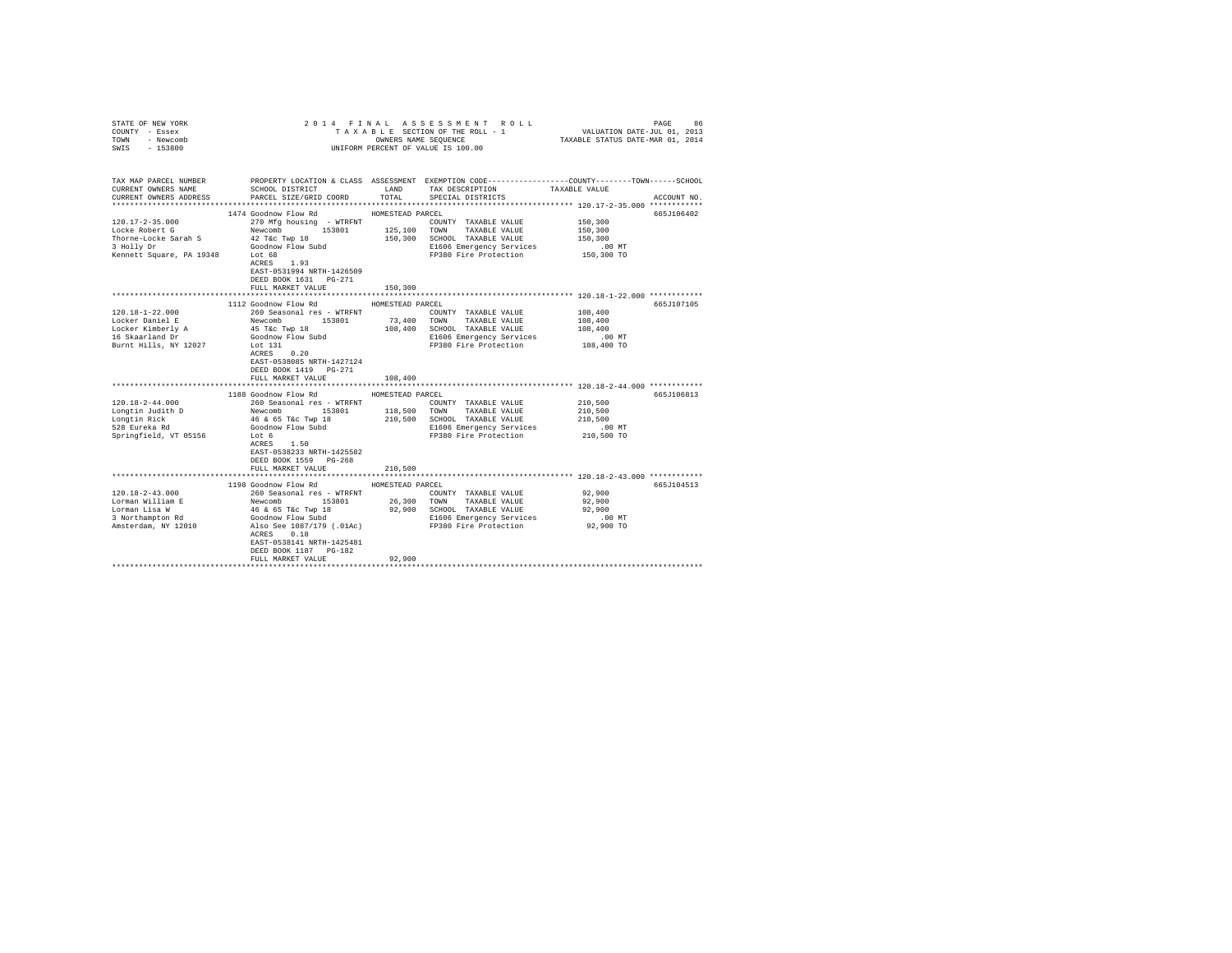| COUNTY - Essex<br>TOWN - Newcomb<br>SWIS<br>$-153800$                                                                                       | UNIFORM PERCENT OF VALUE IS 100.00                                                      |                  |                                                                                                                                                                                                                                                                                                                                                                     |                      |             |
|---------------------------------------------------------------------------------------------------------------------------------------------|-----------------------------------------------------------------------------------------|------------------|---------------------------------------------------------------------------------------------------------------------------------------------------------------------------------------------------------------------------------------------------------------------------------------------------------------------------------------------------------------------|----------------------|-------------|
|                                                                                                                                             |                                                                                         |                  |                                                                                                                                                                                                                                                                                                                                                                     |                      |             |
| TAX MAP PARCEL NUMBER PROPERTY LOCATION & CLASS ASSESSMENT EXEMPTION CODE---------------COUNTY-------TOWN-----SCHOOL<br>CURRENT OWNERS NAME | SCHOOL DISTRICT                                                                         |                  | LAND TAX DESCRIPTION                                                                                                                                                                                                                                                                                                                                                | TAXABLE VALUE        |             |
| CURRENT OWNERS ADDRESS                                                                                                                      | PARCEL SIZE/GRID COORD                                                                  |                  | TOTAL SPECIAL DISTRICTS                                                                                                                                                                                                                                                                                                                                             |                      | ACCOUNT NO. |
|                                                                                                                                             |                                                                                         |                  |                                                                                                                                                                                                                                                                                                                                                                     |                      |             |
|                                                                                                                                             | 1474 Goodnow Flow Rd                                                                    | HOMESTEAD PARCEL |                                                                                                                                                                                                                                                                                                                                                                     |                      | 665J106402  |
| $120.17 - 2 - 35.000$                                                                                                                       | 270 Mfg housing - WTRFNT                                                                |                  | COUNTY TAXABLE VALUE                                                                                                                                                                                                                                                                                                                                                | 150,300              |             |
| Locke Robert G                                                                                                                              |                                                                                         |                  | TOWN TAXABLE VALUE                                                                                                                                                                                                                                                                                                                                                  | 150,300              |             |
| Thorne-Locke Sarah S                                                                                                                        | Newcomb 153801 125,100 TOWN TAXABLE VALUE<br>42 T&c Twp 18 150,300 SCHOOL TAXABLE VALUE |                  |                                                                                                                                                                                                                                                                                                                                                                     | 150,300              |             |
| 3 Holly Dr                                                                                                                                  | Goodnow Flow Subd                                                                       |                  | E1606 Emergency Services                                                                                                                                                                                                                                                                                                                                            | $.00$ MT             |             |
| Extended by The Tennett Square, PA 19348 Lot 68                                                                                             |                                                                                         |                  | FP380 Fire Protection                                                                                                                                                                                                                                                                                                                                               | 150,300 TO           |             |
|                                                                                                                                             | ACRES 1.93                                                                              |                  |                                                                                                                                                                                                                                                                                                                                                                     |                      |             |
|                                                                                                                                             | EAST-0531994 NRTH-1426509                                                               |                  |                                                                                                                                                                                                                                                                                                                                                                     |                      |             |
|                                                                                                                                             | DEED BOOK 1631    PG-271                                                                |                  |                                                                                                                                                                                                                                                                                                                                                                     |                      |             |
|                                                                                                                                             | FULL MARKET VALUE                                                                       | 150,300          |                                                                                                                                                                                                                                                                                                                                                                     |                      |             |
|                                                                                                                                             |                                                                                         |                  | ********************************* 120.18-1-22.000 *************                                                                                                                                                                                                                                                                                                     |                      |             |
|                                                                                                                                             | 1112 Goodnow Flow Rd                                                                    | HOMESTEAD PARCEL |                                                                                                                                                                                                                                                                                                                                                                     |                      | 665J107105  |
| $120.18 - 1 - 22.000$                                                                                                                       | 260 Seasonal res - WTRFNT                                                               |                  | COUNTY TAXABLE VALUE                                                                                                                                                                                                                                                                                                                                                | 108,400              |             |
| Locker Daniel E                                                                                                                             | Newcomb 153801<br>45 T&c Twp 18                                                         |                  | 73,400 TOWN TAXABLE VALUE<br>108,400 SCHOOL TAXABLE VALUE                                                                                                                                                                                                                                                                                                           | 108,400<br>108,400   |             |
| Locker Kimberly A<br>16 Skaarland Dr                                                                                                        | Goodnow Flow Subd                                                                       |                  | E1606 Emergency Services                                                                                                                                                                                                                                                                                                                                            | .00 MT               |             |
| Burnt Hills, NY 12027                                                                                                                       | Lot 131                                                                                 |                  | FP380 Fire Protection                                                                                                                                                                                                                                                                                                                                               | 108,400 TO           |             |
|                                                                                                                                             | ACRES 0.20                                                                              |                  |                                                                                                                                                                                                                                                                                                                                                                     |                      |             |
|                                                                                                                                             | EAST-0538085 NRTH-1427124                                                               |                  |                                                                                                                                                                                                                                                                                                                                                                     |                      |             |
|                                                                                                                                             | DEED BOOK 1419 PG-271                                                                   |                  |                                                                                                                                                                                                                                                                                                                                                                     |                      |             |
|                                                                                                                                             | FULL MARKET VALUE                                                                       | 108,400          |                                                                                                                                                                                                                                                                                                                                                                     |                      |             |
|                                                                                                                                             |                                                                                         |                  |                                                                                                                                                                                                                                                                                                                                                                     |                      |             |
|                                                                                                                                             | 1188 Goodnow Flow Rd                                                                    | HOMESTEAD PARCEL |                                                                                                                                                                                                                                                                                                                                                                     |                      | 665J106813  |
| $120.18 - 2 - 44.000$                                                                                                                       |                                                                                         |                  |                                                                                                                                                                                                                                                                                                                                                                     | 210,500              |             |
|                                                                                                                                             |                                                                                         |                  |                                                                                                                                                                                                                                                                                                                                                                     | 210,500              |             |
| Longtin Judith D<br>Longtin Rick<br>528 Eureka Rd                                                                                           |                                                                                         |                  | 260 Seasonal res - WTRFNT<br>Newcomb 153801 118,500 TOWN TAXABLE VALUE<br>46 & 65 TEC Twp 18 210,500 SCHOOL TAXABLE VALUE<br>Goodnow Flow Subd 81606 Emergency Services                                                                                                                                                                                             | 210,500              |             |
|                                                                                                                                             |                                                                                         |                  |                                                                                                                                                                                                                                                                                                                                                                     | .00 MT<br>210,500 TO |             |
| Springfield, VT 05156                                                                                                                       | Lot 6<br>ACRES 1.50                                                                     |                  | FP380 Fire Protection                                                                                                                                                                                                                                                                                                                                               |                      |             |
|                                                                                                                                             | EAST-0538233 NRTH-1425582                                                               |                  |                                                                                                                                                                                                                                                                                                                                                                     |                      |             |
|                                                                                                                                             | DEED BOOK 1559 PG-268                                                                   |                  |                                                                                                                                                                                                                                                                                                                                                                     |                      |             |
|                                                                                                                                             | FULL MARKET VALUE                                                                       | 210,500          |                                                                                                                                                                                                                                                                                                                                                                     |                      |             |
|                                                                                                                                             |                                                                                         |                  |                                                                                                                                                                                                                                                                                                                                                                     |                      |             |
|                                                                                                                                             | 1198 Goodnow Flow Rd MOMESTEAD PARCEL                                                   |                  |                                                                                                                                                                                                                                                                                                                                                                     |                      | 665J104513  |
| $120.18 - 2 - 43.000$                                                                                                                       | 260 Seasonal res - WTRFNT                                                               |                  | COUNTY TAXABLE VALUE                                                                                                                                                                                                                                                                                                                                                | 92,900               |             |
| Lorman William E                                                                                                                            |                                                                                         |                  |                                                                                                                                                                                                                                                                                                                                                                     |                      |             |
| Lorman Lisa W                                                                                                                               |                                                                                         |                  |                                                                                                                                                                                                                                                                                                                                                                     |                      |             |
| 3 Northampton Rd                                                                                                                            |                                                                                         |                  |                                                                                                                                                                                                                                                                                                                                                                     |                      |             |
| Amsterdam, NY 12010                                                                                                                         |                                                                                         |                  | $\begin{tabular}{lcccc} Newton & 153801 & 26,300 & TOMN & TAXABLE VALUE & 92,900 \\ 46 & 65 Tac True&18 & 92,900 & SCHOOL & TAXABLE VALUE & 92,900 \\ Gooddown Flow & 918 & 92,900 & SCHOOL & TAXABLE VALUE & 92,900 \\ Gooddown Flow & 1636 & 92,900 & FDA. & 92,900 & FDA. \\ Also See 1087/179 (.01Ac) & & & F9380 Fire Protection & 92,900 TO \\ \end{tabular}$ |                      |             |
|                                                                                                                                             | ACRES 0.18                                                                              |                  |                                                                                                                                                                                                                                                                                                                                                                     |                      |             |
|                                                                                                                                             | EAST-0538141 NRTH-1425481                                                               |                  |                                                                                                                                                                                                                                                                                                                                                                     |                      |             |
|                                                                                                                                             | DEED BOOK 1187 PG-182<br>FULL MARKET VALUE                                              | 92,900           |                                                                                                                                                                                                                                                                                                                                                                     |                      |             |
|                                                                                                                                             |                                                                                         |                  |                                                                                                                                                                                                                                                                                                                                                                     |                      |             |
|                                                                                                                                             |                                                                                         |                  |                                                                                                                                                                                                                                                                                                                                                                     |                      |             |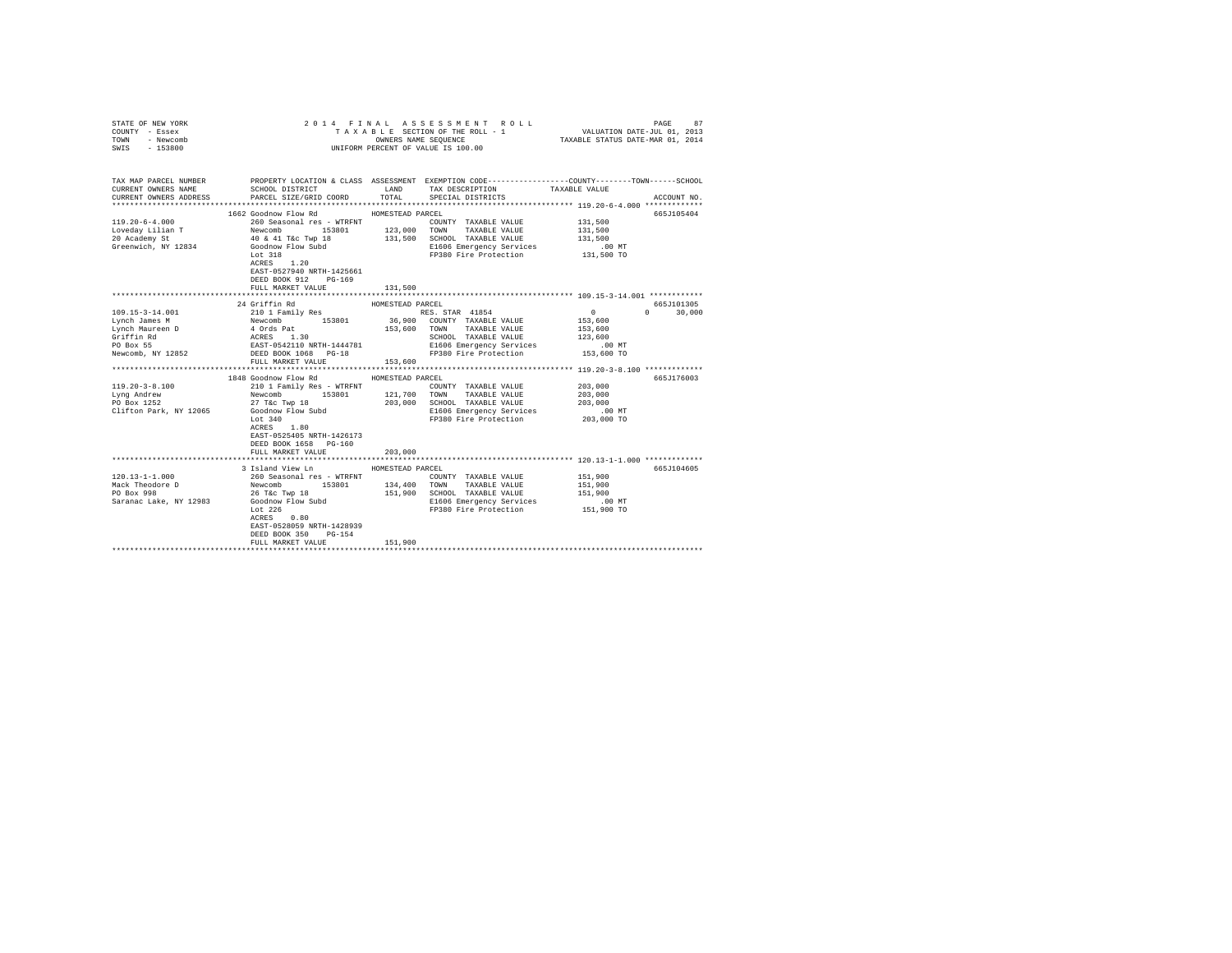| COUNTY - Essex<br>TOWN<br>- Newcomb<br>SWIS<br>$-153800$                                                                                                              | OWNERS NAME SEQUENCE<br>UNIFORM PERCENT OF VALUE IS 100.00                              |                  |                                                                                                                                                                                                         |                    |                    |
|-----------------------------------------------------------------------------------------------------------------------------------------------------------------------|-----------------------------------------------------------------------------------------|------------------|---------------------------------------------------------------------------------------------------------------------------------------------------------------------------------------------------------|--------------------|--------------------|
| TAX MAP PARCEL NUMBER PROPERTY LOCATION & CLASS ASSESSMENT EXEMPTION CODE---------------COUNTY-------TOWN-----SCHOOL<br>CURRENT OWNERS NAME<br>CURRENT OWNERS ADDRESS | SCHOOL DISTRICT TAND TAX DESCRIPTION<br>PARCEL SIZE/GRID COORD                          | TOTAL            | SPECIAL DISTRICTS                                                                                                                                                                                       | TAXABLE VALUE      | ACCOUNT NO.        |
|                                                                                                                                                                       | 1662 Goodnow Flow Rd MOMESTEAD PARCEL                                                   |                  |                                                                                                                                                                                                         |                    | 665J105404         |
| $119.20 - 6 - 4.000$                                                                                                                                                  |                                                                                         |                  | 260 Seasonal res - WTRFNT<br>Newcomb 153801 123,000 TOWN TAXABLE VALUE<br>40 & 41 T&c Twp 18 131,500 SCHOOL TAXABLE VALUE<br>Goodnow Flow Subd E1606 Emergency Services<br>COUNTY TAXABLE VALUE 131,500 |                    |                    |
|                                                                                                                                                                       |                                                                                         |                  |                                                                                                                                                                                                         | 131,500            |                    |
| Loveday Lilian T<br>20 Academy St                                                                                                                                     |                                                                                         |                  |                                                                                                                                                                                                         | 131,500            |                    |
| Greenwich, NY 12834                                                                                                                                                   |                                                                                         |                  |                                                                                                                                                                                                         | .00 MT             |                    |
|                                                                                                                                                                       | Lot $318$<br>ACRES $1.20$<br>Lot 318                                                    |                  | FP380 Fire Protection 131,500 TO                                                                                                                                                                        |                    |                    |
|                                                                                                                                                                       | EAST-0527940 NRTH-1425661<br>DEED BOOK 912 PG-169<br>FULL MARKET VALUE                  | 131,500          |                                                                                                                                                                                                         |                    |                    |
|                                                                                                                                                                       |                                                                                         |                  |                                                                                                                                                                                                         |                    |                    |
|                                                                                                                                                                       | 24 Griffin Rd                                                                           | HOMESTEAD PARCEL |                                                                                                                                                                                                         |                    | 665J101305         |
|                                                                                                                                                                       |                                                                                         |                  |                                                                                                                                                                                                         |                    | $\Omega$<br>30,000 |
|                                                                                                                                                                       |                                                                                         |                  |                                                                                                                                                                                                         |                    |                    |
|                                                                                                                                                                       |                                                                                         |                  |                                                                                                                                                                                                         |                    |                    |
|                                                                                                                                                                       |                                                                                         |                  |                                                                                                                                                                                                         |                    |                    |
|                                                                                                                                                                       |                                                                                         |                  |                                                                                                                                                                                                         |                    |                    |
|                                                                                                                                                                       |                                                                                         |                  |                                                                                                                                                                                                         |                    |                    |
|                                                                                                                                                                       | FULL MARKET VALUE                                                                       | 153,600          |                                                                                                                                                                                                         |                    |                    |
|                                                                                                                                                                       | 1848 Goodnow Flow Rd MOMESTEAD PARCEL                                                   |                  |                                                                                                                                                                                                         |                    | 665J176003         |
| 119.20-3-8.100                                                                                                                                                        |                                                                                         |                  | COUNTY TAXABLE VALUE                                                                                                                                                                                    | 203,000            |                    |
| Lyng Andrew                                                                                                                                                           |                                                                                         |                  |                                                                                                                                                                                                         | 203,000            |                    |
| PO Box 1252                                                                                                                                                           |                                                                                         | 203,000          | SCHOOL TAXABLE VALUE                                                                                                                                                                                    | 203,000            |                    |
| Clifton Park, NY 12065                                                                                                                                                | 27 T&C Twp 18<br>Goodnow Flow Subd                                                      |                  | E1606 Emergency Services                                                                                                                                                                                | $.00$ MT           |                    |
|                                                                                                                                                                       | Lot $340$                                                                               |                  | FP380 Fire Protection 203,000 TO                                                                                                                                                                        |                    |                    |
|                                                                                                                                                                       | $ACRES$ 1.80<br>EAST-0525405 NRTH-1426173<br>DEED BOOK 1658 PG-160<br>FULL MARKET VALUE | 203,000          |                                                                                                                                                                                                         |                    |                    |
|                                                                                                                                                                       |                                                                                         |                  | *********************************** 120.13-1-1.000 *************                                                                                                                                        |                    |                    |
|                                                                                                                                                                       | 3 Island View Ln MOMESTEAD PARCEL                                                       |                  |                                                                                                                                                                                                         |                    | 665J104605         |
| $120.13 - 1 - 1.000$                                                                                                                                                  |                                                                                         |                  | COUNTY TAXABLE VALUE                                                                                                                                                                                    | 151,900            |                    |
| 120.13-1-1.000<br>Mack Theodore D<br>PO Box 998                                                                                                                       | 26 T&C Twp 18                                                                           | 151,900          | SCHOOL TAXABLE VALUE                                                                                                                                                                                    | 151,900<br>151,900 |                    |
| Saranac Lake, NY 12983                                                                                                                                                | Goodnow Flow Subd                                                                       |                  | E1606 Emergency Services                                                                                                                                                                                | .00 MT             |                    |
|                                                                                                                                                                       | Lot $226$                                                                               |                  | FP380 Fire Protection                                                                                                                                                                                   | 151,900 TO         |                    |
|                                                                                                                                                                       | ACRES 0.80                                                                              |                  |                                                                                                                                                                                                         |                    |                    |
|                                                                                                                                                                       | EAST-0528059 NRTH-1428939                                                               |                  |                                                                                                                                                                                                         |                    |                    |
|                                                                                                                                                                       | DEED BOOK 350<br>PG-154                                                                 |                  |                                                                                                                                                                                                         |                    |                    |
|                                                                                                                                                                       | FULL MARKET VALUE                                                                       | 151,900          |                                                                                                                                                                                                         |                    |                    |
|                                                                                                                                                                       |                                                                                         |                  |                                                                                                                                                                                                         |                    |                    |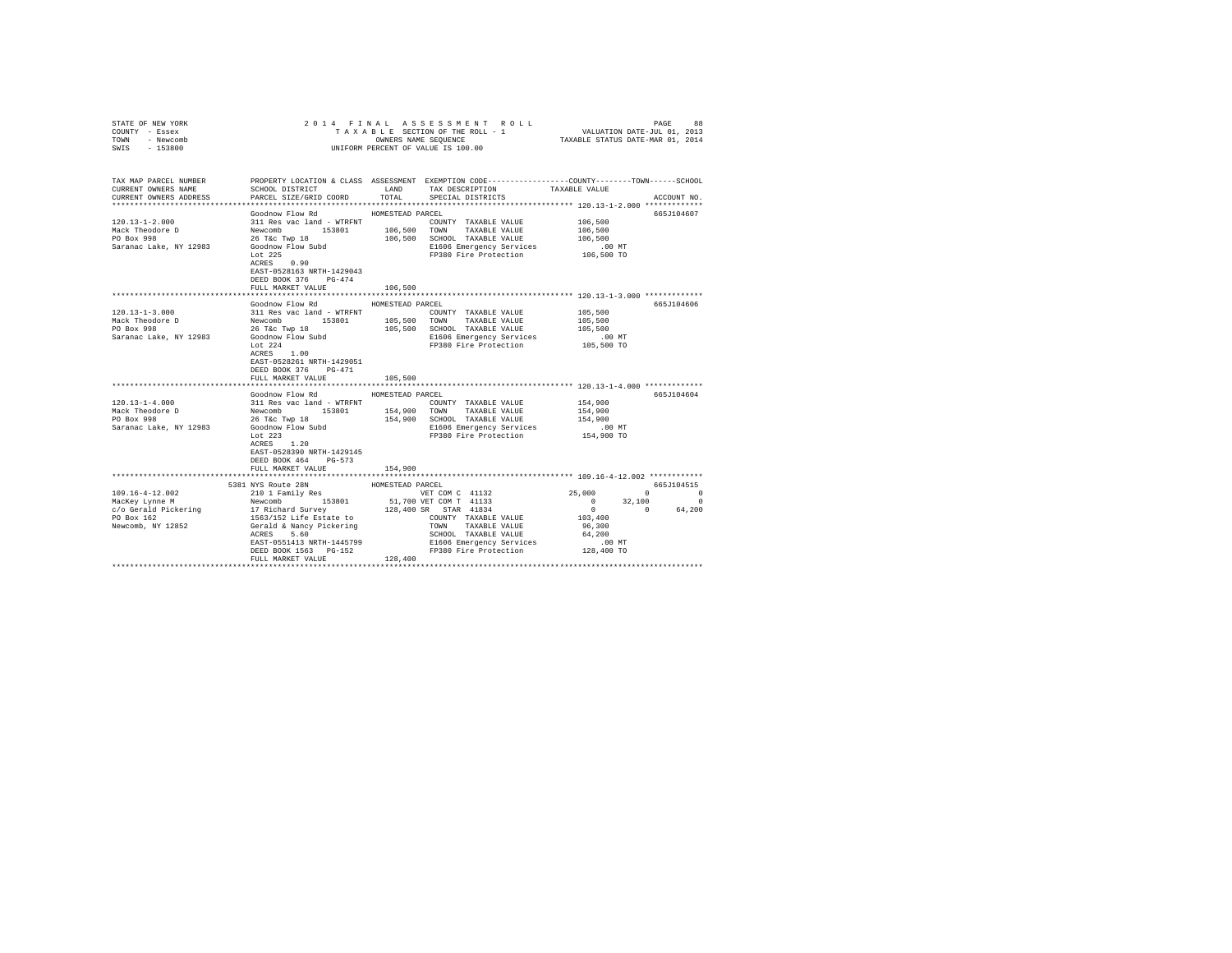| STATE OF NEW YORK<br>COUNTY - Essex           |                                                                                                           | 9 2014 FINAL ASSESSMENT ROLL PAGE 88<br>TAXABLE SECTION OF THE ROLL - 1 VALUATION DATE-JUL 01, 2013<br>OWNERS NAME SEQUENCE TAXABLE STATUS DATE-MAR 01, 2014 |                                                                                      |
|-----------------------------------------------|-----------------------------------------------------------------------------------------------------------|--------------------------------------------------------------------------------------------------------------------------------------------------------------|--------------------------------------------------------------------------------------|
| TOWN - Newcomb                                |                                                                                                           |                                                                                                                                                              |                                                                                      |
| $-153800$<br>SWIS                             |                                                                                                           | UNIFORM PERCENT OF VALUE IS 100.00                                                                                                                           |                                                                                      |
|                                               |                                                                                                           |                                                                                                                                                              |                                                                                      |
|                                               |                                                                                                           |                                                                                                                                                              |                                                                                      |
|                                               |                                                                                                           |                                                                                                                                                              |                                                                                      |
| TAX MAP PARCEL NUMBER                         | SCHOOL DISTRICT LAND                                                                                      | PROPERTY LOCATION & CLASS ASSESSMENT EXEMPTION CODE---------------COUNTY-------TOWN------SCHOOL<br>TAX DESCRIPTION TAXABLE VALUE                             |                                                                                      |
| CURRENT OWNERS NAME<br>CURRENT OWNERS ADDRESS | PARCEL SIZE/GRID COORD                                                                                    | TOTAL<br>SPECIAL DISTRICTS                                                                                                                                   | ACCOUNT NO.                                                                          |
|                                               |                                                                                                           |                                                                                                                                                              |                                                                                      |
|                                               | Goodnow Flow Rd                                                                                           | HOMESTEAD PARCEL                                                                                                                                             | 665J104607                                                                           |
| $120.13 - 1 - 2.000$                          | 311 Res vac land - WTRFNT                                                                                 | COUNTY TAXABLE VALUE                                                                                                                                         | 106,500                                                                              |
|                                               |                                                                                                           | TAXABLE VALUE                                                                                                                                                | 106,500                                                                              |
| Mack Theodore D<br>PO Box 998                 | Newcomb 153801 106,500 TOWN<br>26 T&c Twp 18 106,500 SCHOOL                                               | 106,500 SCHOOL TAXABLE VALUE                                                                                                                                 | 106,500                                                                              |
| Saranac Lake, NY 12983                        | Goodnow Flow Subd                                                                                         | E1606 Emergency Services                                                                                                                                     | $.00$ MT                                                                             |
|                                               |                                                                                                           | FP380 Fire Protection 106,500 TO                                                                                                                             |                                                                                      |
|                                               | Lot $225$<br>ACRES 0.90                                                                                   |                                                                                                                                                              |                                                                                      |
|                                               | EAST-0528163 NRTH-1429043                                                                                 |                                                                                                                                                              |                                                                                      |
|                                               | DEED BOOK 376 PG-474                                                                                      |                                                                                                                                                              |                                                                                      |
|                                               | FULL MARKET VALUE                                                                                         | 106,500                                                                                                                                                      |                                                                                      |
|                                               |                                                                                                           |                                                                                                                                                              |                                                                                      |
|                                               | Goodnow Flow Rd                                                                                           | HOMESTEAD PARCEL                                                                                                                                             | 665J104606                                                                           |
| $120.13 - 1 - 3.000$                          |                                                                                                           | COUNTY TAXABLE VALUE                                                                                                                                         | 105,500                                                                              |
|                                               | 311 Res vac land - WTRFNT<br>Newcomb 153801 105,500                                                       | TOWN TAXABLE VALUE                                                                                                                                           | 105,500                                                                              |
| Mack Theodore D<br>PO Box 998                 |                                                                                                           | 105,500 SCHOOL TAXABLE VALUE                                                                                                                                 | 105,500                                                                              |
| Saranac Lake, NY 12983                        | 26 T&C Twp 18<br>Goodnow Flow Subd<br>Let 224                                                             | E1606 Emergency Services                                                                                                                                     | $.00$ MT                                                                             |
|                                               | Lot $224$                                                                                                 | FP380 Fire Protection                                                                                                                                        | 105,500 TO                                                                           |
|                                               | $ACRES$ 1.00                                                                                              |                                                                                                                                                              |                                                                                      |
|                                               | EAST-0528261 NRTH-1429051                                                                                 |                                                                                                                                                              |                                                                                      |
|                                               | DEED BOOK 376 PG-471                                                                                      |                                                                                                                                                              |                                                                                      |
|                                               | FULL MARKET VALUE                                                                                         | 105,500                                                                                                                                                      |                                                                                      |
|                                               |                                                                                                           |                                                                                                                                                              |                                                                                      |
|                                               | Goodnow Flow Rd                                                                                           | HOMESTEAD PARCEL                                                                                                                                             | 665J104604                                                                           |
| $120.13 - 1 - 4.000$                          | 311 Res vac land - WTRFNT                                                                                 | COUNTY TAXABLE VALUE                                                                                                                                         | 154,900                                                                              |
| Mack Theodore D<br>PO Box 998                 | Newcomb 153801<br>26 T&c Twp 18                                                                           | 154,900 TOWN TAXABLE VALUE                                                                                                                                   | 154,900                                                                              |
|                                               |                                                                                                           | 154,900 SCHOOL TAXABLE VALUE                                                                                                                                 | 154,900                                                                              |
| Saranac Lake, NY 12983                        | Goodnow Flow Subd<br>Lot 223                                                                              | E1606 Emergency Services                                                                                                                                     | $.00$ MT                                                                             |
|                                               |                                                                                                           | FP380 Fire Protection                                                                                                                                        | 154,900 TO                                                                           |
|                                               | ACRES 1.20                                                                                                |                                                                                                                                                              |                                                                                      |
|                                               | EAST-0528390 NRTH-1429145                                                                                 |                                                                                                                                                              |                                                                                      |
|                                               | DEED BOOK 464 PG-573                                                                                      |                                                                                                                                                              |                                                                                      |
|                                               | FULL MARKET VALUE                                                                                         | 154,900<br>************                                                                                                                                      |                                                                                      |
|                                               | ****************************                                                                              |                                                                                                                                                              | *************************** 109.16-4-12.002 ************                             |
| 109.16-4-12.002                               | 5381 NYS Route 28N                                                                                        | HOMESTEAD PARCEL                                                                                                                                             | 665J104515<br>25,000<br>$\sim$ 0<br>$\sim$ 0                                         |
| MacKey Lynne M                                | 210 1 Family Res                                                                                          | VET COM C 41132                                                                                                                                              |                                                                                      |
| macкey Lynne m<br>c/o Gerald Pickering        | Newcomb 153801 51,701<br>17 Richard Survey 128,401<br>1563/152 Life Estate to<br>Gerald & Nancy Pickering | 51,700 VET COM T 41133<br>128,400 SR STAR 41834                                                                                                              | $\begin{array}{cccc} 0 & & 32\,, 100 & & & 0 \\ 0 & & & 0 & & 64\,, 200 \end{array}$ |
| PO Box 162                                    |                                                                                                           | COUNTY TAXABLE VALUE                                                                                                                                         | 103,400                                                                              |
| Newcomb, NY 12852                             |                                                                                                           | TOWN TAXABLE VALUE                                                                                                                                           | 96,300                                                                               |
|                                               | ACRES 5.60                                                                                                | SCHOOL TAXABLE VALUE                                                                                                                                         | 64,200                                                                               |
|                                               | EAST-0551413 NRTH-1445799                                                                                 |                                                                                                                                                              | $.00$ MT                                                                             |
|                                               | DEED BOOK 1563 PG-152                                                                                     | E1606 Emergency Services<br>E1606 Emergency Services<br>FP380 Fire Protection                                                                                | 128,400 TO                                                                           |
|                                               | FULL MARKET VALUE                                                                                         | 128,400                                                                                                                                                      |                                                                                      |
|                                               |                                                                                                           |                                                                                                                                                              |                                                                                      |
|                                               |                                                                                                           |                                                                                                                                                              |                                                                                      |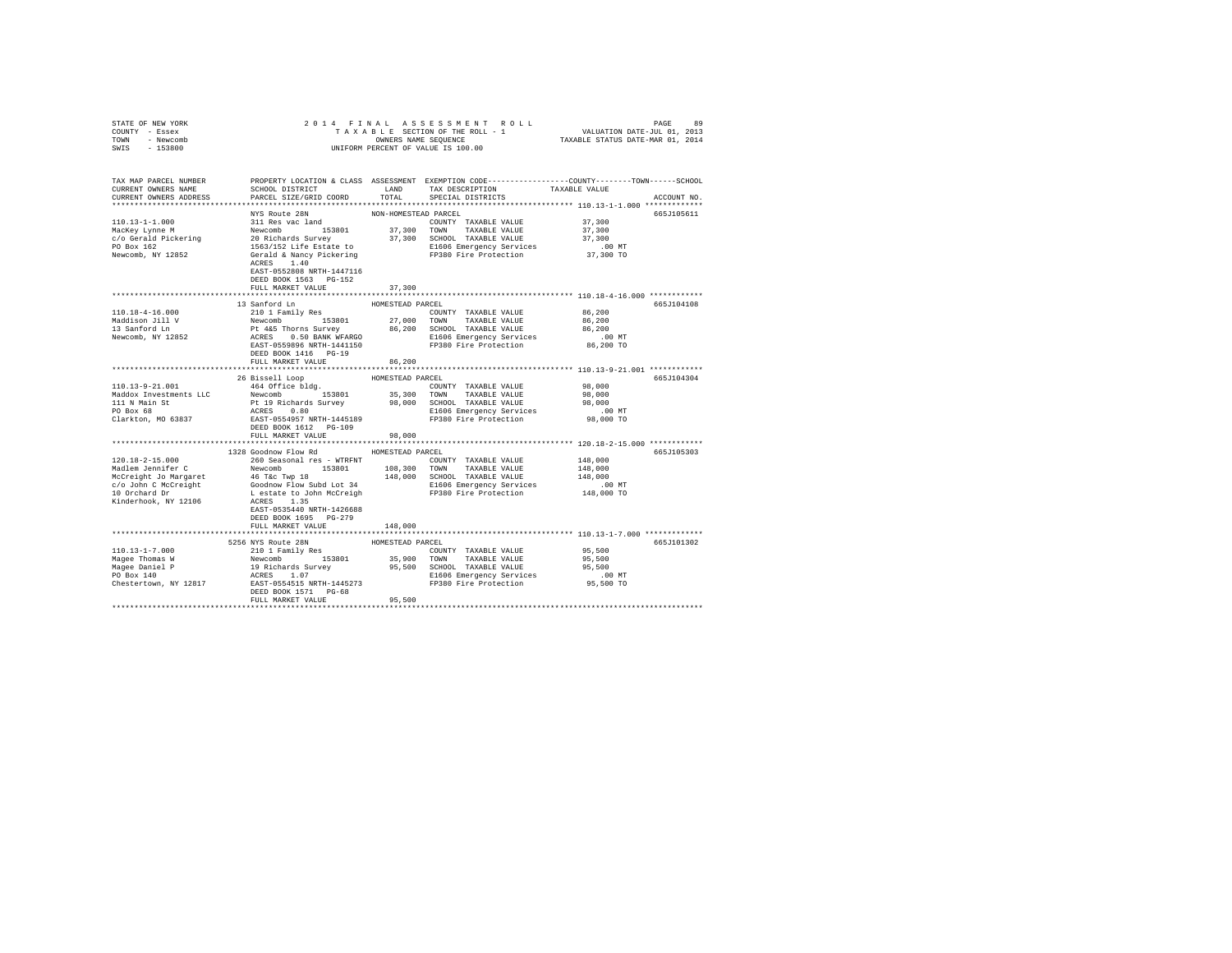| STATE OF NEW YORK                                                                                                    |                                                                                                                                                                                                                                                                                                                                                                                                                                                |                      |                                                            |                     |             |
|----------------------------------------------------------------------------------------------------------------------|------------------------------------------------------------------------------------------------------------------------------------------------------------------------------------------------------------------------------------------------------------------------------------------------------------------------------------------------------------------------------------------------------------------------------------------------|----------------------|------------------------------------------------------------|---------------------|-------------|
| COUNTY - Essex                                                                                                       |                                                                                                                                                                                                                                                                                                                                                                                                                                                |                      |                                                            |                     |             |
| TOWN - Newcomb                                                                                                       |                                                                                                                                                                                                                                                                                                                                                                                                                                                |                      |                                                            |                     |             |
| SWIS - 153800                                                                                                        |                                                                                                                                                                                                                                                                                                                                                                                                                                                |                      | UNIFORM PERCENT OF VALUE IS 100.00                         |                     |             |
|                                                                                                                      |                                                                                                                                                                                                                                                                                                                                                                                                                                                |                      |                                                            |                     |             |
|                                                                                                                      |                                                                                                                                                                                                                                                                                                                                                                                                                                                |                      |                                                            |                     |             |
| TAX MAP PARCEL NUMBER PROPERTY LOCATION & CLASS ASSESSMENT EXEMPTION CODE---------------COUNTY-------TOWN-----SCHOOL |                                                                                                                                                                                                                                                                                                                                                                                                                                                |                      |                                                            |                     |             |
| CURRENT OWNERS NAME                                                                                                  | SCHOOL DISTRICT                                                                                                                                                                                                                                                                                                                                                                                                                                | LAND                 | TAX DESCRIPTION                                            | TAXABLE VALUE       |             |
| CURRENT OWNERS ADDRESS                                                                                               | PARCEL SIZE/GRID COORD                                                                                                                                                                                                                                                                                                                                                                                                                         | TOTAL                | SPECIAL DISTRICTS                                          |                     | ACCOUNT NO. |
|                                                                                                                      |                                                                                                                                                                                                                                                                                                                                                                                                                                                |                      |                                                            |                     |             |
|                                                                                                                      | NYS Route 28N                                                                                                                                                                                                                                                                                                                                                                                                                                  | NON-HOMESTEAD PARCEL |                                                            |                     | 665J105611  |
|                                                                                                                      |                                                                                                                                                                                                                                                                                                                                                                                                                                                |                      |                                                            |                     |             |
|                                                                                                                      |                                                                                                                                                                                                                                                                                                                                                                                                                                                |                      |                                                            |                     |             |
| $[10.13-1-1.000$ MacKey Lynne M<br>$c$ /o Gerald Pickering<br>PO Box 162<br>Newcomb, NY 12852                        |                                                                                                                                                                                                                                                                                                                                                                                                                                                |                      |                                                            |                     |             |
|                                                                                                                      |                                                                                                                                                                                                                                                                                                                                                                                                                                                |                      |                                                            |                     |             |
|                                                                                                                      |                                                                                                                                                                                                                                                                                                                                                                                                                                                |                      |                                                            |                     |             |
|                                                                                                                      | $\begin{tabular}{l c c c c} \hline NNS\text{ Route 28N} & \multicolumn{3}{c}{\text{NON-HOMESTERAD PARCH}} \\ \hline 311\text{ Res}\text{ vac}\text{ land} & 37,300\text{ COUNTY} & \text{TAXABLE VALUE} & 37,300\\ \hline \text{Newton} & 153801 & 37,300\text{ TQWINT} & \text{TAXABLE VALUE} & 37,300\\ \hline \text{20 Richards Survey} & 37,300\text{ SCHOMABLE} & \text{VALUE} & 37,300\\ \hline \text{1563/152 Life \text$<br>ACRES 1.40 |                      |                                                            |                     |             |
|                                                                                                                      | EAST-0552808 NRTH-1447116                                                                                                                                                                                                                                                                                                                                                                                                                      |                      |                                                            |                     |             |
|                                                                                                                      |                                                                                                                                                                                                                                                                                                                                                                                                                                                |                      |                                                            |                     |             |
|                                                                                                                      | DEED BOOK 1563 PG-152                                                                                                                                                                                                                                                                                                                                                                                                                          |                      |                                                            |                     |             |
|                                                                                                                      | FULL MARKET VALUE                                                                                                                                                                                                                                                                                                                                                                                                                              | 37,300               |                                                            |                     |             |
|                                                                                                                      |                                                                                                                                                                                                                                                                                                                                                                                                                                                |                      |                                                            |                     |             |
|                                                                                                                      | 13 Sanford Ln                                                                                                                                                                                                                                                                                                                                                                                                                                  | HOMESTEAD PARCEL     |                                                            |                     | 665J104108  |
|                                                                                                                      | 210 1 Family Res                                                                                                                                                                                                                                                                                                                                                                                                                               |                      | COUNTY TAXABLE VALUE                                       | 86,200              |             |
|                                                                                                                      |                                                                                                                                                                                                                                                                                                                                                                                                                                                |                      |                                                            |                     |             |
|                                                                                                                      |                                                                                                                                                                                                                                                                                                                                                                                                                                                |                      |                                                            |                     |             |
| 110.18-4-16.000<br>Maddison Jill V<br>13 Sanford Ln<br>Newcomb, NY 12852                                             | ${\small \begin{tabular}{lcccc} 210 & I ram11y ke8 & 153801 & 27,000 & TOWN & TAXABLE VALUE & 56,200\\ P & 465 Thorns Survey & 86,200 & 5000 & TAXABLE VALUE & 86,200\\ P & 465 Thorns Survey & 86,200 & SCHOOD & TAXABLE VALUE & 86,200\\ RRES & 0.50 BANK WRARGO & 86,200 & SCHOOD & TAXABLE VACUE & 86,200\\ RRES & 0.50 BANTs-1441150 & 37380 Fire Protection & 86,200 TO\\ RST-055989$                                                    |                      |                                                            |                     |             |
|                                                                                                                      |                                                                                                                                                                                                                                                                                                                                                                                                                                                |                      |                                                            |                     |             |
|                                                                                                                      | DEED BOOK 1416 PG-19                                                                                                                                                                                                                                                                                                                                                                                                                           |                      |                                                            |                     |             |
|                                                                                                                      | FULL MARKET VALUE                                                                                                                                                                                                                                                                                                                                                                                                                              | 86,200               |                                                            |                     |             |
|                                                                                                                      |                                                                                                                                                                                                                                                                                                                                                                                                                                                |                      |                                                            |                     |             |
|                                                                                                                      | 26 Bissell Loop                                                                                                                                                                                                                                                                                                                                                                                                                                | HOMESTEAD PARCEL     |                                                            |                     | 665J104304  |
| $110.13 - 9 - 21.001$                                                                                                | 464 Office bldg.                                                                                                                                                                                                                                                                                                                                                                                                                               |                      | COUNTY TAXABLE VALUE 98,000                                |                     |             |
|                                                                                                                      |                                                                                                                                                                                                                                                                                                                                                                                                                                                |                      |                                                            | 98,000              |             |
|                                                                                                                      |                                                                                                                                                                                                                                                                                                                                                                                                                                                |                      |                                                            | 98,000              |             |
|                                                                                                                      |                                                                                                                                                                                                                                                                                                                                                                                                                                                |                      |                                                            | $.00$ MT            |             |
|                                                                                                                      |                                                                                                                                                                                                                                                                                                                                                                                                                                                |                      |                                                            | 98,000 TO           |             |
|                                                                                                                      |                                                                                                                                                                                                                                                                                                                                                                                                                                                |                      |                                                            |                     |             |
|                                                                                                                      | FULL MARKET VALUE                                                                                                                                                                                                                                                                                                                                                                                                                              | 98,000               |                                                            |                     |             |
|                                                                                                                      |                                                                                                                                                                                                                                                                                                                                                                                                                                                | **************       | ***************************** 120.18-2-15.000 ************ |                     |             |
|                                                                                                                      | 1328 Goodnow Flow Rd                                                                                                                                                                                                                                                                                                                                                                                                                           | HOMESTEAD PARCEL     |                                                            |                     | 665J105303  |
| $120.18 - 2 - 15.000$                                                                                                | 260 Seasonal res - WTRFNT                                                                                                                                                                                                                                                                                                                                                                                                                      |                      | COUNTY TAXABLE VALUE                                       | 148,000             |             |
|                                                                                                                      |                                                                                                                                                                                                                                                                                                                                                                                                                                                |                      |                                                            |                     |             |
|                                                                                                                      |                                                                                                                                                                                                                                                                                                                                                                                                                                                |                      |                                                            | 148,000             |             |
|                                                                                                                      |                                                                                                                                                                                                                                                                                                                                                                                                                                                |                      |                                                            | 148,000             |             |
|                                                                                                                      |                                                                                                                                                                                                                                                                                                                                                                                                                                                |                      |                                                            | .00 MT              |             |
|                                                                                                                      |                                                                                                                                                                                                                                                                                                                                                                                                                                                |                      |                                                            | 148,000 TO          |             |
|                                                                                                                      |                                                                                                                                                                                                                                                                                                                                                                                                                                                |                      |                                                            |                     |             |
|                                                                                                                      | EAST-0535440 NRTH-1426688                                                                                                                                                                                                                                                                                                                                                                                                                      |                      |                                                            |                     |             |
|                                                                                                                      | DEED BOOK 1695 PG-279                                                                                                                                                                                                                                                                                                                                                                                                                          |                      |                                                            |                     |             |
|                                                                                                                      | FULL MARKET VALUE                                                                                                                                                                                                                                                                                                                                                                                                                              | 148,000              |                                                            |                     |             |
|                                                                                                                      |                                                                                                                                                                                                                                                                                                                                                                                                                                                |                      |                                                            |                     |             |
|                                                                                                                      |                                                                                                                                                                                                                                                                                                                                                                                                                                                |                      |                                                            |                     | 665J101302  |
|                                                                                                                      |                                                                                                                                                                                                                                                                                                                                                                                                                                                |                      |                                                            | 95,500              |             |
|                                                                                                                      |                                                                                                                                                                                                                                                                                                                                                                                                                                                |                      |                                                            | 95,500              |             |
|                                                                                                                      |                                                                                                                                                                                                                                                                                                                                                                                                                                                |                      |                                                            | 95,500              |             |
|                                                                                                                      |                                                                                                                                                                                                                                                                                                                                                                                                                                                |                      |                                                            |                     |             |
|                                                                                                                      |                                                                                                                                                                                                                                                                                                                                                                                                                                                |                      |                                                            | 00 MT.<br>95,500 TO |             |
|                                                                                                                      | DEED BOOK 1571 PG-68                                                                                                                                                                                                                                                                                                                                                                                                                           |                      |                                                            |                     |             |
|                                                                                                                      | FULL MARKET VALUE                                                                                                                                                                                                                                                                                                                                                                                                                              | 95,500               |                                                            |                     |             |
|                                                                                                                      |                                                                                                                                                                                                                                                                                                                                                                                                                                                |                      |                                                            |                     |             |
|                                                                                                                      |                                                                                                                                                                                                                                                                                                                                                                                                                                                |                      |                                                            |                     |             |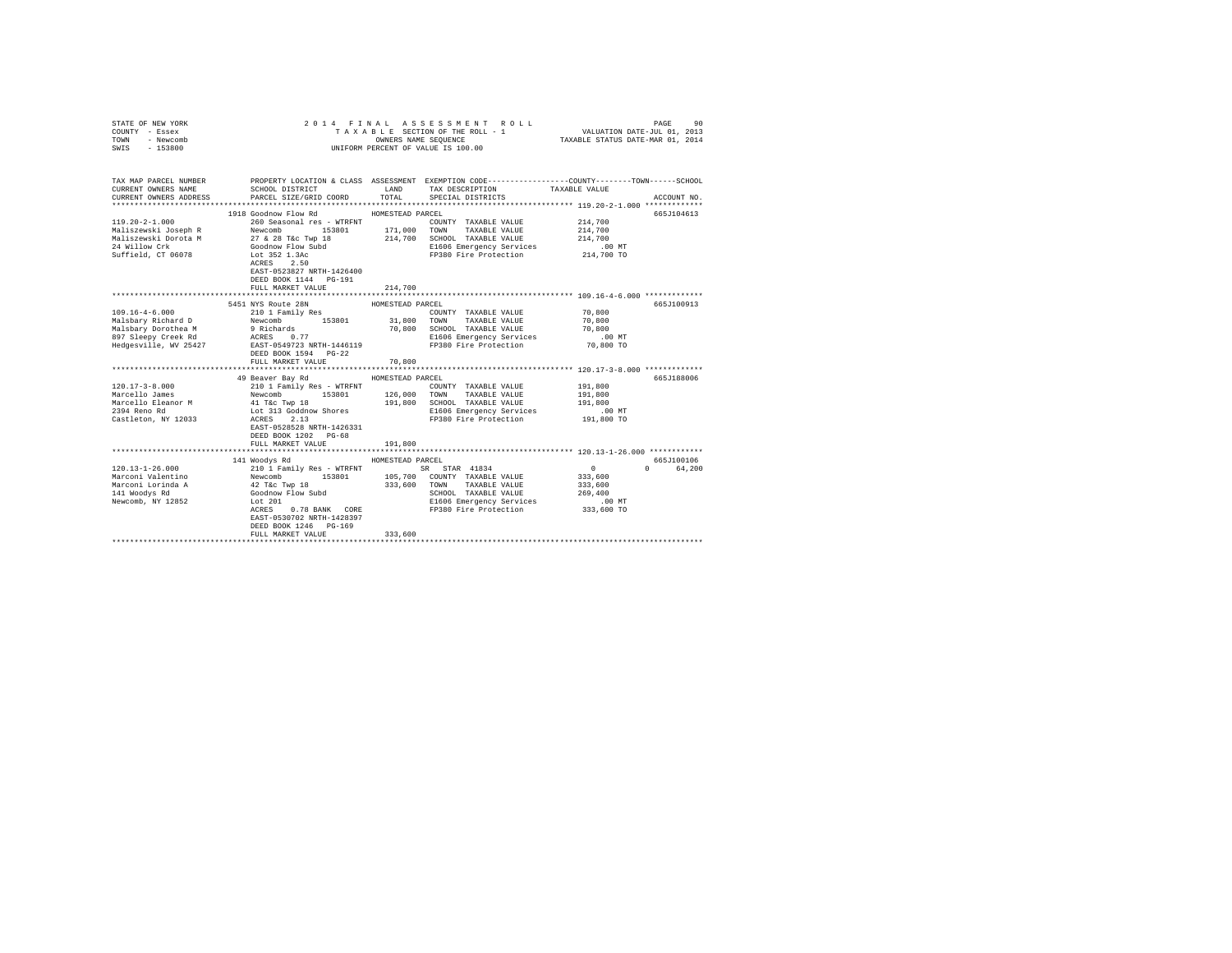| STATE OF NEW YORK<br>COUNTY - Essex<br>TOWN - Newcomb<br>SWIS - 153800                              |                                                                                                                                                                                                                                                                                                                                                                                                                                                                  |                                       | 2014 FINAL ASSESSMENT ROLL<br>UNIFORM PERCENT OF VALUE IS 100.00                            | PAGE<br>TAXABLE SECTION OF THE ROLL - 1 VALUATION DATE-JUL 01, 2013<br>OWNERS NAME SEQUENCE TAXABLE STATUS DATE-MAR 01, 2014        | 90 |
|-----------------------------------------------------------------------------------------------------|------------------------------------------------------------------------------------------------------------------------------------------------------------------------------------------------------------------------------------------------------------------------------------------------------------------------------------------------------------------------------------------------------------------------------------------------------------------|---------------------------------------|---------------------------------------------------------------------------------------------|-------------------------------------------------------------------------------------------------------------------------------------|----|
| CURRENT OWNERS NAME<br>CURRENT OWNERS ADDRESS                                                       | SCHOOL DISTRICT LAND<br>PARCEL SIZE/GRID COORD                                                                                                                                                                                                                                                                                                                                                                                                                   | TOTAL                                 | TAX DESCRIPTION TAXABLE VALUE<br>SPECIAL DISTRICTS<br>SPECIAL DISTRICTS                     | TAX MAP PARCEL NUMBER PROPERTY LOCATION & CLASS ASSESSMENT EXEMPTION CODE--------------COUNTY-------TOWN------SCHOOL<br>ACCOUNT NO. |    |
|                                                                                                     | 1918 Goodnow Flow Rd MOMESTEAD PARCEL<br>EAST-0523827 NRTH-1426400<br>DEED BOOK 1144 PG-191<br>FULL MARKET VALUE                                                                                                                                                                                                                                                                                                                                                 | 214,700                               |                                                                                             | 665J104613                                                                                                                          |    |
|                                                                                                     |                                                                                                                                                                                                                                                                                                                                                                                                                                                                  |                                       |                                                                                             |                                                                                                                                     |    |
| $120.17 - 3 - 8.000$<br>Marcello James<br>Marcello Eleanor M<br>2394 Reno Rd<br>Castleton, NY 12033 | 5451 NYS Route 28N<br>DEED BOOK 1594 PG-22<br>FULL MARKET VALUE<br>49 Beaver Bay Rd MOMESTEAD PARCEL<br>210 1 Family Res - WTRFNT<br>210 I Family Res - WIKENT<br>Newcomb 153801 126,000 TOWN TAXABLE VALUE<br>41 T&C TWP 18 191,800 SCHOOL TAXABLE VALUE<br>Lot 313 Goddnow Shores ELG06 Emergency Services<br>ELG06 Energency Services<br>ECEES 2.13<br>EAST-0528528 NRTH-1426331<br>DEED BOOK 1202 PG-68<br>FULL MARKET VALUE                                 | HOMESTEAD PARCEL<br>70,800<br>191,800 | COUNTY TAXABLE VALUE<br>E1606 Emergency Services .00 MT<br>FP380 Fire Protection 191,800 TO | 665J100913<br>********************************** 120.17-3-8.000 *************<br>665J188006<br>191,800<br>191,800<br>191,800        |    |
|                                                                                                     |                                                                                                                                                                                                                                                                                                                                                                                                                                                                  |                                       |                                                                                             |                                                                                                                                     |    |
|                                                                                                     | 141 Woodys Rd<br>$\begin{tabular}{l c c c c c c c c} \multicolumn{1}{c}{\textbf{120.13--1-26.000}} & \multicolumn{1}{c}{\textbf{120.13--26.000}} & \multicolumn{1}{c}{\textbf{120.13--26.000}} & \multicolumn{1}{c}{\textbf{120.13--26.000}} & \multicolumn{1}{c}{\textbf{120.13--26.000}} & \multicolumn{1}{c}{\textbf{120.13--26.000}} & \multicolumn{1}{c}{\textbf{120.13--26.000$<br>EAST-0530702 NRTH-1428397<br>DEED BOOK 1246 PG-169<br>FULL MARKET VALUE | HOMESTEAD PARCEL<br>333,600           | Lot 201<br>ACRES 0.78 BANK CORE PP380 Fire Protection 333,600 TO                            | 665J100106<br>$\sim$ 0<br>0 64.200<br>333,600<br>333,600<br>269,400                                                                 |    |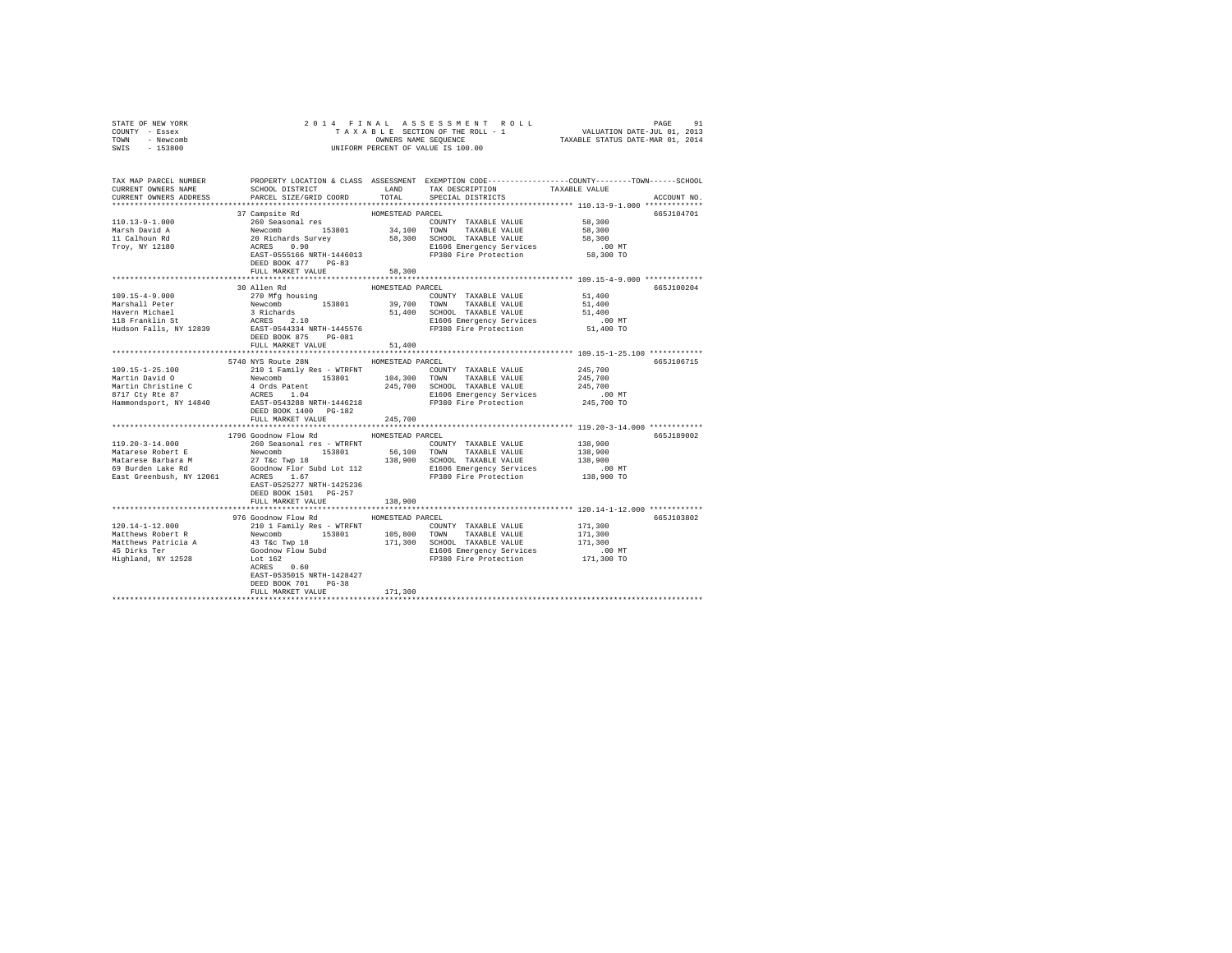| COUNTY - Essex<br>TOWN - Newcomb<br>SWIS - 153800 | UNIFORM PERCENT OF VALUE IS 100.00                                                                                                                                                                                                                                                                                                                                                                                                                                                     |                  |                                                                                                                                                       |                                                      |             |
|---------------------------------------------------|----------------------------------------------------------------------------------------------------------------------------------------------------------------------------------------------------------------------------------------------------------------------------------------------------------------------------------------------------------------------------------------------------------------------------------------------------------------------------------------|------------------|-------------------------------------------------------------------------------------------------------------------------------------------------------|------------------------------------------------------|-------------|
|                                                   |                                                                                                                                                                                                                                                                                                                                                                                                                                                                                        |                  |                                                                                                                                                       |                                                      |             |
| CURRENT OWNERS ADDRESS                            | TAX MAP PARCEL NUMBER     PROPERTY LOCATION & CLASS ASSESSMENT EXEMPTION CODE---------------COUNTY-------TOWN------SCHOOL DISTRICT     LAND   TAX DESCRIPTION     TAXABLE VALUE<br>PARCEL SIZE/GRID COORD                                                                                                                                                                                                                                                                              |                  | ${\tt LAND} \hspace{20pt} {\tt TAX} \hspace{20pt} {\tt PESCRIPTION} \hspace{20pt} {\tt TAXABLE} \hspace{20pt} {\tt VALUE}$<br>TOTAL SPECIAL DISTRICTS |                                                      | ACCOUNT NO. |
|                                                   |                                                                                                                                                                                                                                                                                                                                                                                                                                                                                        |                  |                                                                                                                                                       |                                                      |             |
|                                                   | $\begin{tabular}{l c c c c} \multicolumn{4}{c}{\textbf{37} Campite et} & \multicolumn{4}{c}{\textbf{HOMESTRAD PARCH}} \\ \multicolumn{4}{c}{\textbf{37} Campite et} & \multicolumn{4}{c}{\textbf{HOMESTRAD PARCH}} & \multicolumn{4}{c}{\textbf{HOMESTRAD P ARCH} & \multicolumn{4}{c}{\textbf{HOMIST} RANABLE VALUE} \\ \multicolumn{4}{c}{\textbf{MaxBLE VALUE} } & \multicolumn{4}{c}{\textbf{MaxBLE VALUE} } \\ \multicolumn{4}{c}{\textbf{MaxBLE VALUE} } & \multicolumn{4}{c}{\$ |                  |                                                                                                                                                       |                                                      | 665J104701  |
|                                                   |                                                                                                                                                                                                                                                                                                                                                                                                                                                                                        |                  | COUNTY TAXABLE VALUE 58,300                                                                                                                           |                                                      |             |
|                                                   |                                                                                                                                                                                                                                                                                                                                                                                                                                                                                        |                  |                                                                                                                                                       | 58,300                                               |             |
|                                                   |                                                                                                                                                                                                                                                                                                                                                                                                                                                                                        |                  |                                                                                                                                                       | 58,300                                               |             |
|                                                   |                                                                                                                                                                                                                                                                                                                                                                                                                                                                                        |                  |                                                                                                                                                       | $.00$ MT<br>58,300 TO                                |             |
|                                                   | DEED BOOK 477 PG-83                                                                                                                                                                                                                                                                                                                                                                                                                                                                    |                  |                                                                                                                                                       |                                                      |             |
|                                                   | FULL MARKET VALUE                                                                                                                                                                                                                                                                                                                                                                                                                                                                      | 58,300           |                                                                                                                                                       |                                                      |             |
|                                                   |                                                                                                                                                                                                                                                                                                                                                                                                                                                                                        |                  |                                                                                                                                                       | *********************** 109.15-4-9.000 ************* |             |
|                                                   | 30 Allen Rd                                                                                                                                                                                                                                                                                                                                                                                                                                                                            | HOMESTEAD PARCEL |                                                                                                                                                       |                                                      | 665J100204  |
|                                                   |                                                                                                                                                                                                                                                                                                                                                                                                                                                                                        |                  |                                                                                                                                                       |                                                      |             |
|                                                   |                                                                                                                                                                                                                                                                                                                                                                                                                                                                                        |                  |                                                                                                                                                       |                                                      |             |
|                                                   |                                                                                                                                                                                                                                                                                                                                                                                                                                                                                        |                  |                                                                                                                                                       |                                                      |             |
|                                                   |                                                                                                                                                                                                                                                                                                                                                                                                                                                                                        |                  |                                                                                                                                                       |                                                      |             |
|                                                   |                                                                                                                                                                                                                                                                                                                                                                                                                                                                                        |                  |                                                                                                                                                       |                                                      |             |
|                                                   |                                                                                                                                                                                                                                                                                                                                                                                                                                                                                        |                  |                                                                                                                                                       |                                                      |             |
|                                                   | FULL MARKET VALUE                                                                                                                                                                                                                                                                                                                                                                                                                                                                      | 51,400           |                                                                                                                                                       |                                                      |             |
|                                                   |                                                                                                                                                                                                                                                                                                                                                                                                                                                                                        |                  |                                                                                                                                                       |                                                      |             |
|                                                   | 5740 NYS Route 28N                                                                                                                                                                                                                                                                                                                                                                                                                                                                     | HOMESTEAD PARCEL |                                                                                                                                                       |                                                      | 665J106715  |
|                                                   |                                                                                                                                                                                                                                                                                                                                                                                                                                                                                        |                  |                                                                                                                                                       |                                                      |             |
|                                                   |                                                                                                                                                                                                                                                                                                                                                                                                                                                                                        |                  |                                                                                                                                                       |                                                      |             |
|                                                   |                                                                                                                                                                                                                                                                                                                                                                                                                                                                                        |                  |                                                                                                                                                       |                                                      |             |
|                                                   |                                                                                                                                                                                                                                                                                                                                                                                                                                                                                        |                  |                                                                                                                                                       |                                                      |             |
|                                                   | DEED BOOK 1400 PG-182                                                                                                                                                                                                                                                                                                                                                                                                                                                                  |                  |                                                                                                                                                       |                                                      |             |
|                                                   | FULL MARKET VALUE                                                                                                                                                                                                                                                                                                                                                                                                                                                                      | 245,700          |                                                                                                                                                       |                                                      |             |
|                                                   |                                                                                                                                                                                                                                                                                                                                                                                                                                                                                        |                  |                                                                                                                                                       |                                                      |             |
|                                                   | 1796 Goodnow Flow Rd MOMESTEAD PARCEL                                                                                                                                                                                                                                                                                                                                                                                                                                                  |                  |                                                                                                                                                       |                                                      | 665J189002  |
| $119.20 - 3 - 14.000$                             | 260 Seasonal res - WTRFNT                                                                                                                                                                                                                                                                                                                                                                                                                                                              |                  | COUNTY TAXABLE VALUE                                                                                                                                  | 138,900                                              |             |
|                                                   |                                                                                                                                                                                                                                                                                                                                                                                                                                                                                        |                  |                                                                                                                                                       | 138,900                                              |             |
|                                                   |                                                                                                                                                                                                                                                                                                                                                                                                                                                                                        |                  |                                                                                                                                                       |                                                      |             |
|                                                   |                                                                                                                                                                                                                                                                                                                                                                                                                                                                                        |                  |                                                                                                                                                       | 138,900<br>138,900<br>00 MT.                         |             |
|                                                   | $\begin{tabular}{l c c c c c} \hline \texttt{Mattarees} & \texttt{Robert} & \texttt{Newton} & \texttt{Mattane} & \texttt{Mattane} & \texttt{Mattane} & \texttt{Mattane} & \texttt{Mattane} & \texttt{Mattane} & \texttt{Mattane} & \texttt{Mattane} & \texttt{Mattane} & \texttt{Mattane} & \texttt{Mattane} & \texttt{Mattane} & \texttt{Mattane} & \texttt{Mattane} & \texttt{Mattane} & \texttt{Mattane} & \texttt{Mattane} & \texttt{Mattane} & \texttt{Mattane} & \texttt{M$      |                  |                                                                                                                                                       | 138,900 TO                                           |             |
|                                                   |                                                                                                                                                                                                                                                                                                                                                                                                                                                                                        |                  |                                                                                                                                                       |                                                      |             |
|                                                   | DEED BOOK 1501 PG-257                                                                                                                                                                                                                                                                                                                                                                                                                                                                  |                  |                                                                                                                                                       |                                                      |             |
|                                                   | FULL MARKET VALUE                                                                                                                                                                                                                                                                                                                                                                                                                                                                      | 138,900          |                                                                                                                                                       |                                                      |             |
|                                                   |                                                                                                                                                                                                                                                                                                                                                                                                                                                                                        |                  |                                                                                                                                                       |                                                      |             |
|                                                   | 976 Goodnow Flow Rd MOMESTEAD PARCEL                                                                                                                                                                                                                                                                                                                                                                                                                                                   |                  |                                                                                                                                                       |                                                      | 665J103802  |
|                                                   |                                                                                                                                                                                                                                                                                                                                                                                                                                                                                        |                  | COUNTY TAXABLE VALUE 171,300                                                                                                                          |                                                      |             |
|                                                   |                                                                                                                                                                                                                                                                                                                                                                                                                                                                                        |                  |                                                                                                                                                       |                                                      |             |
|                                                   |                                                                                                                                                                                                                                                                                                                                                                                                                                                                                        |                  |                                                                                                                                                       |                                                      |             |
|                                                   |                                                                                                                                                                                                                                                                                                                                                                                                                                                                                        |                  |                                                                                                                                                       |                                                      |             |
|                                                   |                                                                                                                                                                                                                                                                                                                                                                                                                                                                                        |                  |                                                                                                                                                       |                                                      |             |
|                                                   | EAST-0535015 NRTH-1428427                                                                                                                                                                                                                                                                                                                                                                                                                                                              |                  |                                                                                                                                                       |                                                      |             |
|                                                   | DEED BOOK 701 PG-38                                                                                                                                                                                                                                                                                                                                                                                                                                                                    |                  |                                                                                                                                                       |                                                      |             |
|                                                   | FULL MARKET VALUE                                                                                                                                                                                                                                                                                                                                                                                                                                                                      | 171,300          |                                                                                                                                                       |                                                      |             |
|                                                   |                                                                                                                                                                                                                                                                                                                                                                                                                                                                                        |                  |                                                                                                                                                       |                                                      |             |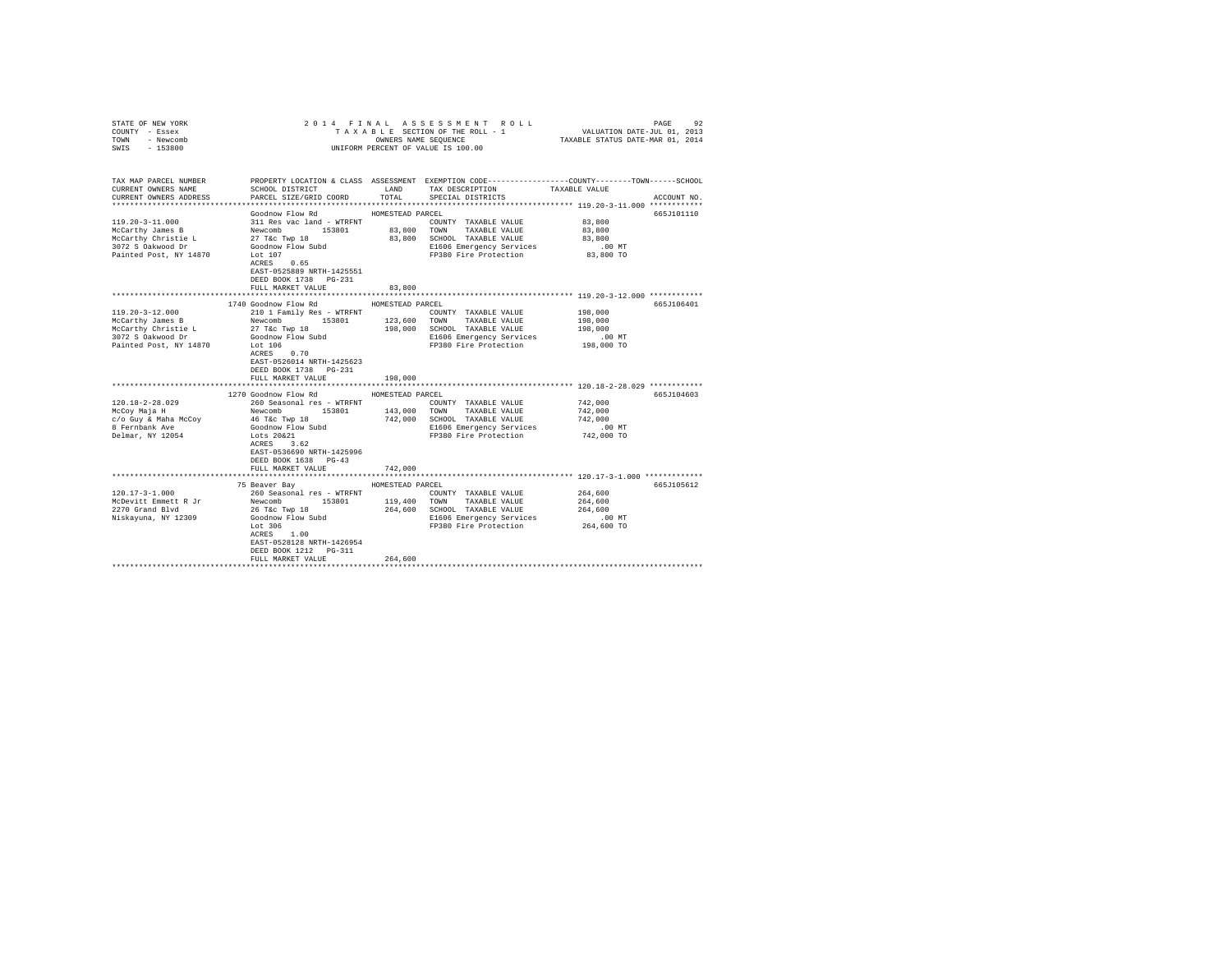| STATE OF NEW YORK<br>COUNTY - Essex<br>TOWN - Newcomb<br>SWIS - 153800 | 2014 FINAL ASSESSMENT ROLL<br>PAGE<br>92<br>UNIFORM PERCENT OF VALUE IS 100.00 |                  |                                                                                                                                          |                    |             |
|------------------------------------------------------------------------|--------------------------------------------------------------------------------|------------------|------------------------------------------------------------------------------------------------------------------------------------------|--------------------|-------------|
| TAX MAP PARCEL NUMBER<br>CURRENT OWNERS NAME<br>CURRENT OWNERS ADDRESS | SCHOOL DISTRICT<br>PARCEL SIZE/GRID COORD                                      | LAND<br>TOTAL    | PROPERTY LOCATION & CLASS ASSESSMENT EXEMPTION CODE----------------COUNTY-------TOWN------SCHOOL<br>TAX DESCRIPTION<br>SPECIAL DISTRICTS | TAXABLE VALUE      | ACCOUNT NO. |
|                                                                        |                                                                                |                  |                                                                                                                                          |                    |             |
| $119.20 - 3 - 11.000$<br>McCarthy James B                              | Goodnow Flow Rd<br>311 Res vac land - WTRFNT<br>Newcomb 153801                 | HOMESTEAD PARCEL | COUNTY TAXABLE VALUE<br>83,800 TOWN TAXABLE VALUE                                                                                        | 83,800<br>83,800   | 665J101110  |
| McCarthy Christie L<br>3072 S Oakwood Dr                               | 27 T&c Twp 18<br>Goodnow Flow Subd                                             |                  | 83,800 SCHOOL TAXABLE VALUE<br>E1606 Emergency Services                                                                                  | 83,800<br>$.00$ MT |             |
| Painted Post, NY 14870                                                 | Lot 107<br>ACRES 0.65<br>EAST-0525889 NRTH-1425551<br>DEED BOOK 1738    PG-231 |                  | FP380 Fire Protection                                                                                                                    | 83,800 TO          |             |
|                                                                        | FULL MARKET VALUE                                                              | 83,800           |                                                                                                                                          |                    |             |
|                                                                        |                                                                                |                  |                                                                                                                                          |                    |             |
|                                                                        | 1740 Goodnow Flow Rd                                                           | HOMESTEAD PARCEL |                                                                                                                                          |                    | 665J106401  |
| $119.20 - 3 - 12.000$                                                  | 210 1 Family Res - WTRFNT                                                      |                  | COUNTY TAXABLE VALUE                                                                                                                     | 198,000            |             |
| McCarthy James B                                                       | Newcomb<br>153801                                                              | 123,600          | TOWN TAXABLE VALUE                                                                                                                       | 198,000            |             |
| McCarthy Christie L                                                    | 27 T&c Twp 18                                                                  |                  | 198,000 SCHOOL TAXABLE VALUE                                                                                                             | 198,000            |             |
| 3072 S Oakwood Dr                                                      | Goodnow Flow Subd                                                              |                  | E1606 Emergency Services                                                                                                                 | $.00$ MT           |             |
| Painted Post, NY 14870                                                 | Lot 106<br>ACRES 0.70<br>EAST-0526014 NRTH-1425623<br>DEED BOOK 1738 PG-231    |                  | FP380 Fire Protection                                                                                                                    | 198,000 TO         |             |
|                                                                        | FULL MARKET VALUE                                                              | 198,000          |                                                                                                                                          |                    |             |
|                                                                        |                                                                                |                  |                                                                                                                                          |                    |             |
|                                                                        | 1270 Goodnow Flow Rd                                                           | HOMESTEAD PARCEL |                                                                                                                                          |                    | 665J104603  |
| $120.18 - 2 - 28.029$                                                  | 260 Seasonal res - WTRFNT                                                      |                  | COUNTY TAXABLE VALUE                                                                                                                     | 742,000            |             |
| McCoy Maja H                                                           | Newcomb 153801                                                                 |                  | 143,000 TOWN TAXABLE VALUE                                                                                                               | 742,000            |             |
| c/o Guy & Maha McCoy                                                   | 46 T&c Twp 18                                                                  |                  | 742,000 SCHOOL TAXABLE VALUE                                                                                                             | 742,000            |             |
| 8 Fernbank Ave                                                         | Goodnow Flow Subd                                                              |                  | E1606 Emergency Services                                                                                                                 | .00 MT             |             |
| Delmar, NY 12054                                                       | Lots 20&21<br>ACRES 3.62<br>EAST-0536690 NRTH-1425996<br>DEED BOOK 1638 PG-43  |                  | FP380 Fire Protection                                                                                                                    | 742,000 TO         |             |
|                                                                        | FULL MARKET VALUE                                                              | 742,000          |                                                                                                                                          |                    |             |
|                                                                        |                                                                                |                  |                                                                                                                                          |                    |             |
|                                                                        | 75 Beaver Bay                                                                  | HOMESTEAD PARCEL |                                                                                                                                          |                    | 665J105612  |
| $120.17 - 3 - 1.000$                                                   | 260 Seasonal res - WTRFNT                                                      |                  | COUNTY TAXABLE VALUE                                                                                                                     | 264,600            |             |
| McDevitt Emmett R Jr                                                   | Newcomb 153801                                                                 |                  | 119,400 TOWN TAXABLE VALUE                                                                                                               | 264,600            |             |
| 2270 Grand Blvd                                                        |                                                                                |                  | 264,600 SCHOOL TAXABLE VALUE                                                                                                             | 264,600            |             |
| Niskayuna, NY 12309                                                    | 26 T&C Twp 18<br>Goodnow Flow Subd                                             |                  | E1606 Emergency Services                                                                                                                 | $.00$ MT           |             |
|                                                                        | Lot $306$<br>ACRES 1.00<br>EAST-0528128 NRTH-1426954<br>DEED BOOK 1212 PG-311  |                  | FP380 Fire Protection                                                                                                                    | 264,600 TO         |             |
|                                                                        | FULL MARKET VALUE                                                              | 264,600          |                                                                                                                                          |                    |             |
|                                                                        |                                                                                |                  |                                                                                                                                          |                    |             |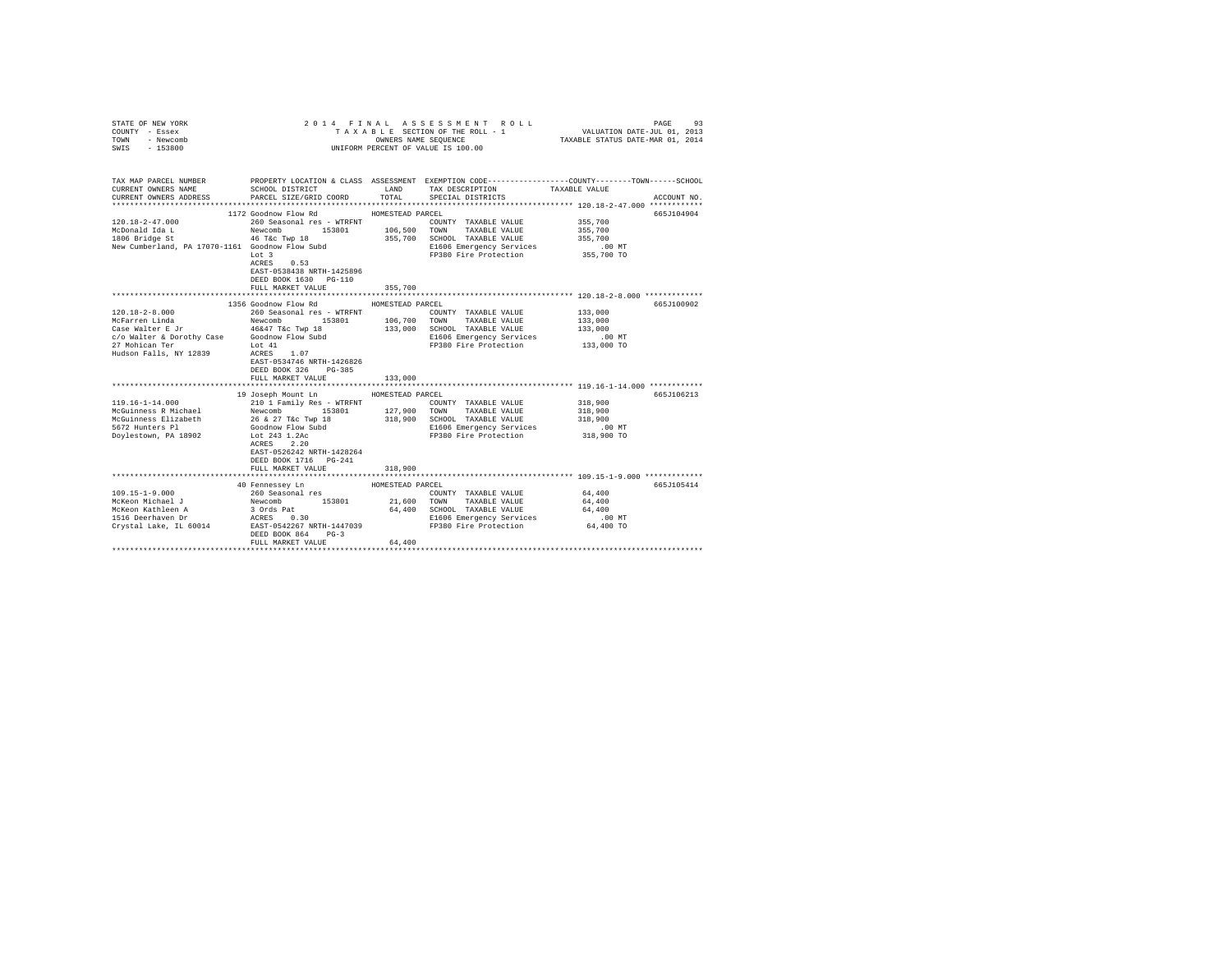| STATE OF NEW YORK                                               |                                     |                  | 2014 FINAL ASSESSMENT ROLL                        | PAGE<br>93                                                                                                                            |
|-----------------------------------------------------------------|-------------------------------------|------------------|---------------------------------------------------|---------------------------------------------------------------------------------------------------------------------------------------|
| COUNTY - Essex                                                  |                                     |                  | TAXABLE SECTION OF THE ROLL - 1                   | VALUATION DATE-JUL 01, 2013                                                                                                           |
| TOWN<br>- Newcomb                                               |                                     |                  | OWNERS NAME SEQUENCE                              | TAXABLE STATUS DATE-MAR 01, 2014                                                                                                      |
| $-153800$<br>SWIS                                               |                                     |                  | UNIFORM PERCENT OF VALUE IS 100.00                |                                                                                                                                       |
|                                                                 |                                     |                  |                                                   |                                                                                                                                       |
|                                                                 |                                     |                  |                                                   |                                                                                                                                       |
| CURRENT OWNERS NAME                                             | SCHOOL DISTRICT                     | LAND             | TAX DESCRIPTION                                   | TAX MAP PARCEL NUMBER PROPERTY LOCATION & CLASS ASSESSMENT EXEMPTION CODE--------------COUNTY-------TOWN------SCHOOL<br>TAXABLE VALUE |
| CURRENT OWNERS ADDRESS                                          | PARCEL SIZE/GRID COORD              | TOTAL            | SPECIAL DISTRICTS                                 | ACCOUNT NO.                                                                                                                           |
|                                                                 |                                     |                  |                                                   |                                                                                                                                       |
|                                                                 | 1172 Goodnow Flow Rd                | HOMESTEAD PARCEL |                                                   | 665J104904                                                                                                                            |
| $120.18 - 2 - 47.000$                                           | 260 Seasonal res - WTRFNT           |                  | COUNTY TAXABLE VALUE                              | 355,700                                                                                                                               |
| McDonald Ida L                                                  | Newcomb 153801                      |                  | 106,500 TOWN TAXABLE VALUE                        | 355,700                                                                                                                               |
| 1806 Bridge St                                                  | 46 T&C Twp 18                       |                  | 355,700 SCHOOL TAXABLE VALUE                      | 355,700                                                                                                                               |
| New Cumberland, PA 17070-1161 Goodnow Flow Subd                 |                                     |                  | E1606 Emergency Services                          | $.00$ MT                                                                                                                              |
|                                                                 | Lot 3                               |                  | FP380 Fire Protection 355,700 TO                  |                                                                                                                                       |
|                                                                 | ACRES 0.53                          |                  |                                                   |                                                                                                                                       |
|                                                                 | EAST-0538438 NRTH-1425896           |                  |                                                   |                                                                                                                                       |
|                                                                 | DEED BOOK 1630 PG-110               |                  |                                                   |                                                                                                                                       |
|                                                                 | FULL MARKET VALUE                   | 355,700          |                                                   |                                                                                                                                       |
|                                                                 |                                     |                  |                                                   |                                                                                                                                       |
|                                                                 | 1356 Goodnow Flow Rd                | HOMESTEAD PARCEL |                                                   | 665J100902                                                                                                                            |
| $120.18 - 2 - 8.000$                                            | 260 Seasonal res - WTRFNT           |                  | COUNTY TAXABLE VALUE                              | 133,000                                                                                                                               |
| McFarren Linda                                                  | Newcomb 153801                      |                  | 106,700 TOWN TAXABLE VALUE                        | 133,000                                                                                                                               |
| Case Walter E Jr<br>c/o Walter & Dorothy Case Goodnow Flow Subd | 46&47 T&c Twp 18                    |                  | 133,000 SCHOOL TAXABLE VALUE                      | 133,000<br>.00 MT                                                                                                                     |
| 27 Mohican Ter                                                  | Lot 41                              |                  | E1606 Emergency Services<br>FP380 Fire Protection | 133,000 TO                                                                                                                            |
| Hudson Falls, NY 12839                                          | ACRES 1.07                          |                  |                                                   |                                                                                                                                       |
|                                                                 | EAST-0534746 NRTH-1426826           |                  |                                                   |                                                                                                                                       |
|                                                                 | DEED BOOK 326 PG-385                |                  |                                                   |                                                                                                                                       |
|                                                                 | FULL MARKET VALUE                   | 133,000          |                                                   |                                                                                                                                       |
|                                                                 |                                     |                  |                                                   |                                                                                                                                       |
|                                                                 | 19 Joseph Mount Ln HOMESTEAD PARCEL |                  |                                                   | 665J106213                                                                                                                            |
| 119.16-1-14.000                                                 | 210 1 Family Res - WTRFNT           |                  | COUNTY TAXABLE VALUE                              | 318,900                                                                                                                               |
| McGuinness R Michael                                            | Newcomb 153801                      | 127,900          | TOWN TAXABLE VALUE                                | 318,900                                                                                                                               |
| McGuinness Elizabeth                                            | 26 & 27 T&c Twp 18                  | 318,900          | SCHOOL TAXABLE VALUE                              | 318,900                                                                                                                               |
| 5672 Hunters Pl                                                 | Goodnow Flow Subd                   |                  | E1606 Emergency Services                          | $.00$ MT                                                                                                                              |
| Doylestown, PA 18902                                            | Lot 243 1.2Ac                       |                  | FP380 Fire Protection                             | 318,900 TO                                                                                                                            |
|                                                                 | ACRES 2.20                          |                  |                                                   |                                                                                                                                       |
|                                                                 | EAST-0526242 NRTH-1428264           |                  |                                                   |                                                                                                                                       |
|                                                                 | DEED BOOK 1716 PG-241               |                  |                                                   |                                                                                                                                       |
|                                                                 | FULL MARKET VALUE                   | 318,900          |                                                   |                                                                                                                                       |
|                                                                 |                                     |                  |                                                   |                                                                                                                                       |
|                                                                 | 40 Fennessey Ln                     | HOMESTEAD PARCEL |                                                   | 665J105414                                                                                                                            |
| $109.15 - 1 - 9.000$                                            | 260 Seasonal res<br>Newcomb 153801  |                  | COUNTY TAXABLE VALUE                              | 64,400                                                                                                                                |
| McKeon Michael J                                                |                                     |                  | 21,600 TOWN TAXABLE VALUE                         | 64,400                                                                                                                                |
| McKeon Kathleen A<br>1516 Deerhaven Dr                          | 3 Ords Pat<br>ACRES 0.30            |                  | 64,400 SCHOOL TAXABLE VALUE                       | 64,400                                                                                                                                |
|                                                                 |                                     |                  | E1606 Emergency Services                          | $.00$ MT                                                                                                                              |
| Crystal Lake, IL 60014                                          | EAST-0542267 NRTH-1447039           |                  | FP380 Fire Protection                             | 64,400 TO                                                                                                                             |
|                                                                 | DEED BOOK 864<br>$PG-3$             |                  |                                                   |                                                                                                                                       |
|                                                                 | FULL MARKET VALUE                   | 64,400           |                                                   |                                                                                                                                       |
|                                                                 |                                     |                  |                                                   |                                                                                                                                       |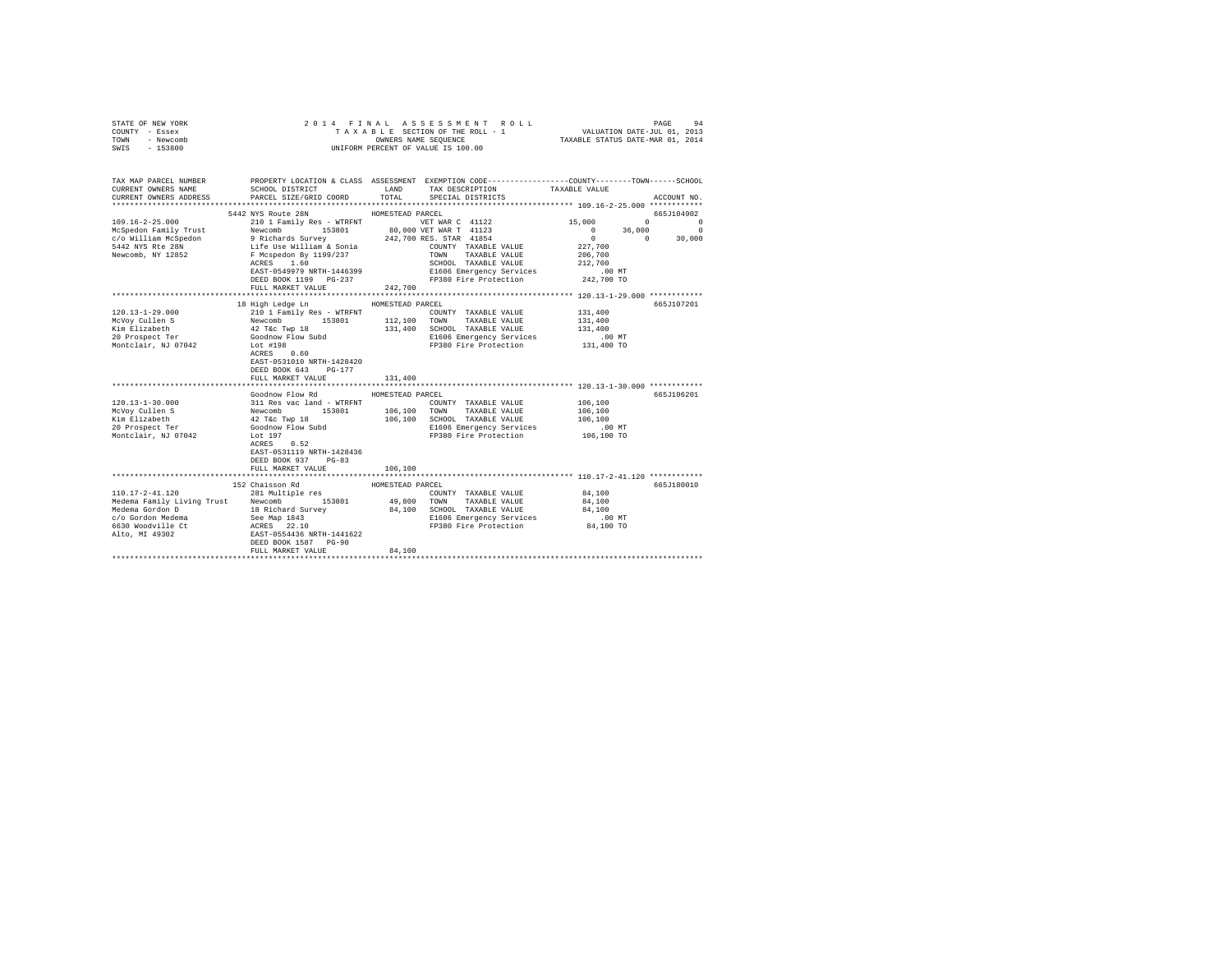| STATE OF NEW YORK<br>COUNTY - Essex<br>TOWN - Newcomb<br>SWIS - 153800 |                                                                                                                                                                                                                                                                                                                                                                                                                               |                  | UNIFORM PERCENT OF VALUE IS 100.00                                           |                                                                                                  |             |
|------------------------------------------------------------------------|-------------------------------------------------------------------------------------------------------------------------------------------------------------------------------------------------------------------------------------------------------------------------------------------------------------------------------------------------------------------------------------------------------------------------------|------------------|------------------------------------------------------------------------------|--------------------------------------------------------------------------------------------------|-------------|
| TAX MAP PARCEL NUMBER<br>CURRENT OWNERS NAME<br>CURRENT OWNERS ADDRESS | PROPERTY LOCATION & CLASS ASSESSMENT EXEMPTION CODE---------------COUNTY-------TOWN------SCHOOL<br>SCHOOL DISTRICT<br>PARCEL SIZE/GRID COORD                                                                                                                                                                                                                                                                                  | LAND<br>TOTAL    | TAX DESCRIPTION TAXABLE VALUE<br>SPECIAL DISTRICTS                           |                                                                                                  | ACCOUNT NO. |
|                                                                        |                                                                                                                                                                                                                                                                                                                                                                                                                               |                  |                                                                              |                                                                                                  |             |
|                                                                        | 5442 NYS Route 28N HOMESTEAD PARCEL                                                                                                                                                                                                                                                                                                                                                                                           |                  |                                                                              |                                                                                                  | 665J104902  |
|                                                                        |                                                                                                                                                                                                                                                                                                                                                                                                                               |                  |                                                                              | $\begin{array}{cccc} 15 \, , & 000 & & & 0 & & 0 \\ & & 0 & & 36 \, , & 000 & & & 0 \end{array}$ |             |
|                                                                        |                                                                                                                                                                                                                                                                                                                                                                                                                               |                  |                                                                              | $0 \t 0 \t 30,000$                                                                               |             |
|                                                                        |                                                                                                                                                                                                                                                                                                                                                                                                                               |                  |                                                                              | 227,700                                                                                          |             |
|                                                                        |                                                                                                                                                                                                                                                                                                                                                                                                                               |                  |                                                                              | 206,700                                                                                          |             |
|                                                                        |                                                                                                                                                                                                                                                                                                                                                                                                                               |                  | SCHOOL TAXABLE VALUE                                                         |                                                                                                  |             |
|                                                                        | EAST-0549979 NRTH-1446399                                                                                                                                                                                                                                                                                                                                                                                                     |                  | E1606 Emergency Services                                                     | 212,700<br>.00 MT                                                                                |             |
|                                                                        | DEED BOOK 1199 PG-237                                                                                                                                                                                                                                                                                                                                                                                                         |                  | FP380 Fire Protection 242,700 TO                                             |                                                                                                  |             |
|                                                                        | FULL MARKET VALUE                                                                                                                                                                                                                                                                                                                                                                                                             | 242,700          |                                                                              |                                                                                                  |             |
|                                                                        |                                                                                                                                                                                                                                                                                                                                                                                                                               |                  |                                                                              |                                                                                                  |             |
|                                                                        | 18 High Ledge Ln                                                                                                                                                                                                                                                                                                                                                                                                              | HOMESTEAD PARCEL |                                                                              |                                                                                                  | 665J107201  |
| $120.13 - 1 - 29.000$                                                  |                                                                                                                                                                                                                                                                                                                                                                                                                               |                  | COUNTY TAXABLE VALUE 131,400                                                 |                                                                                                  |             |
| McVoy Cullen S                                                         |                                                                                                                                                                                                                                                                                                                                                                                                                               |                  |                                                                              | 131,400                                                                                          |             |
| Kim Elizabeth<br>20 Prospect Ter                                       |                                                                                                                                                                                                                                                                                                                                                                                                                               |                  | 131,400 SCHOOL TAXABLE VALUE 131,400<br>131,400 E1606 Emergency Services .00 |                                                                                                  |             |
|                                                                        | $\begin{tabular}{c cccc} 210 1\texttt{Family Res - WTRINT} & \texttt{153801} & \texttt{160} & \texttt{COMNT} & \texttt{TAXABLE} & \texttt{VALUE} \\ \hline \texttt{Newcomb} & 153801 & 112,100 & \texttt{TONNN} & \texttt{TAXABLE} & \texttt{VALUE} \\ 42 \texttt{TE}-\texttt{Type 18} & 131,400 & \texttt{SCROI} & \texttt{TAXABLE} & \texttt{VALUE} \\ \texttt{Goodrow Flow Subd} & 131,400 & \texttt{SCROI} & \texttt{TAX$ |                  |                                                                              | $.00$ MT                                                                                         |             |
| Montclair. NJ 07042                                                    | ACRES 0.60<br>EAST-0531010 NRTH-1428420<br>DEED BOOK 643 PG-177                                                                                                                                                                                                                                                                                                                                                               |                  | FP380 Fire Protection 131,400 TO                                             |                                                                                                  |             |
|                                                                        | FULL MARKET VALUE                                                                                                                                                                                                                                                                                                                                                                                                             | 131,400          |                                                                              |                                                                                                  |             |
|                                                                        |                                                                                                                                                                                                                                                                                                                                                                                                                               |                  |                                                                              |                                                                                                  |             |
|                                                                        | Goodnow Flow Rd                                                                                                                                                                                                                                                                                                                                                                                                               | HOMESTEAD PARCEL |                                                                              |                                                                                                  | 665J106201  |
| $120.13 - 1 - 30.000$                                                  |                                                                                                                                                                                                                                                                                                                                                                                                                               |                  |                                                                              | 106,100                                                                                          |             |
| McVoy Cullen S                                                         |                                                                                                                                                                                                                                                                                                                                                                                                                               |                  |                                                                              | 106,100                                                                                          |             |
| Kim Elizabeth                                                          |                                                                                                                                                                                                                                                                                                                                                                                                                               |                  |                                                                              | 106,100                                                                                          |             |
| 20 Prospect Ter                                                        |                                                                                                                                                                                                                                                                                                                                                                                                                               |                  | E1606 Emergency Services .00 MT<br>FP380 Fire Protection .00 TO 106,100 TO   |                                                                                                  |             |
| Montclair, NJ 07042                                                    | SOLUTION FIGURES 100 106 100 CUNTY TAXABLE VALUE<br>NEWCOMB 153801 106,100 TOWN TAXABLE VALUE<br>42 Tec Twp 18 106,100 SCHOOL TAXABLE VALUE<br>42 Tec Twp 18 106,100 SCHOOL TAXABLE VALUE<br>106,100 SCHOOL TAXABLE VALUE<br>106,100 SCH<br>EAST-0531119 NRTH-1428436<br>DEED BOOK 937 PG-83                                                                                                                                  |                  |                                                                              |                                                                                                  |             |
|                                                                        | FULL MARKET VALUE                                                                                                                                                                                                                                                                                                                                                                                                             | 106,100          | ********************************** 110.17-2-41.120 ************              |                                                                                                  |             |
|                                                                        |                                                                                                                                                                                                                                                                                                                                                                                                                               |                  |                                                                              |                                                                                                  |             |
| $110.17 - 2 - 41.120$                                                  | 152 Chaisson Rd<br>281 Multiple res                                                                                                                                                                                                                                                                                                                                                                                           | HOMESTEAD PARCEL | COUNTY TAXABLE VALUE                                                         | 84,100                                                                                           | 665J180010  |
|                                                                        |                                                                                                                                                                                                                                                                                                                                                                                                                               |                  | 153801 49,800 TOWN TAXABLE VALUE                                             | 84,100                                                                                           |             |
|                                                                        |                                                                                                                                                                                                                                                                                                                                                                                                                               |                  | 84,100 SCHOOL TAXABLE VALUE                                                  | 84,100                                                                                           |             |
|                                                                        |                                                                                                                                                                                                                                                                                                                                                                                                                               |                  |                                                                              |                                                                                                  |             |
|                                                                        |                                                                                                                                                                                                                                                                                                                                                                                                                               |                  | E1606 Emergency Services<br>FP380 Fire Protection                            | .00 MT.<br>84,100 TO                                                                             |             |
|                                                                        | FULL MARKET VALUE                                                                                                                                                                                                                                                                                                                                                                                                             | 84,100           |                                                                              |                                                                                                  |             |
|                                                                        |                                                                                                                                                                                                                                                                                                                                                                                                                               |                  |                                                                              |                                                                                                  |             |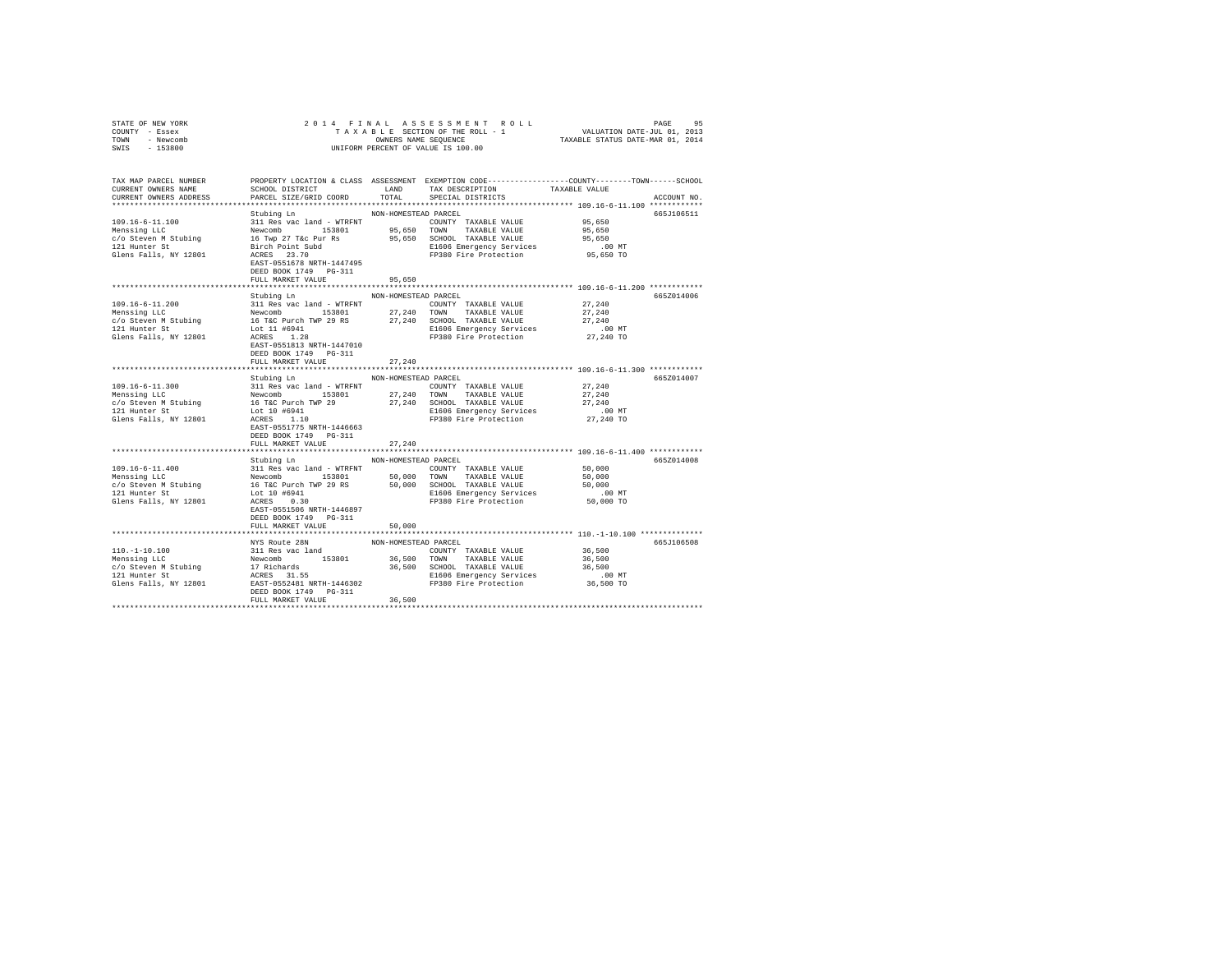| STATE OF NEW YORK<br>COUNTY - Essex |                                                                                                                                                                                                                                                                                                                                 |                      |                                                                      |                       |             |
|-------------------------------------|---------------------------------------------------------------------------------------------------------------------------------------------------------------------------------------------------------------------------------------------------------------------------------------------------------------------------------|----------------------|----------------------------------------------------------------------|-----------------------|-------------|
| TOWN - Newcomb                      |                                                                                                                                                                                                                                                                                                                                 |                      |                                                                      |                       |             |
| SWIS - 153800                       |                                                                                                                                                                                                                                                                                                                                 |                      |                                                                      |                       |             |
|                                     |                                                                                                                                                                                                                                                                                                                                 |                      |                                                                      |                       |             |
| TAX MAP PARCEL NUMBER               | PROPERTY LOCATION & CLASS ASSESSMENT EXEMPTION CODE----------------COUNTY-------TOWN------SCHOOL                                                                                                                                                                                                                                |                      |                                                                      |                       |             |
| CURRENT OWNERS NAME                 |                                                                                                                                                                                                                                                                                                                                 |                      | SCHOOL DISTRICT $\hfill$ LAND TAX DESCRIPTION $\hfill$ TAXABLE VALUE |                       |             |
| CURRENT OWNERS ADDRESS              | PARCEL SIZE/GRID COORD                                                                                                                                                                                                                                                                                                          |                      | TOTAL SPECIAL DISTRICTS                                              |                       | ACCOUNT NO. |
|                                     | Stubing Ln                                                                                                                                                                                                                                                                                                                      | NON-HOMESTEAD PARCEL |                                                                      |                       | 665J106511  |
|                                     |                                                                                                                                                                                                                                                                                                                                 |                      |                                                                      |                       |             |
| 109.16-6-11.100<br>Menssing LLC     |                                                                                                                                                                                                                                                                                                                                 |                      |                                                                      |                       |             |
| c/o Steven M Stubing                |                                                                                                                                                                                                                                                                                                                                 |                      |                                                                      |                       |             |
| 121 Hunter St                       |                                                                                                                                                                                                                                                                                                                                 |                      |                                                                      |                       |             |
| Glens Falls, NY 12801               | Birch Point Subd<br>ACRES 23.70                                                                                                                                                                                                                                                                                                 |                      | E1606 Emergency Services .00 MT<br>FP380 Fire Protection  95,650 TO  |                       |             |
|                                     | EAST-0551678 NRTH-1447495                                                                                                                                                                                                                                                                                                       |                      |                                                                      |                       |             |
|                                     | DEED BOOK 1749 PG-311                                                                                                                                                                                                                                                                                                           |                      |                                                                      |                       |             |
|                                     | FULL MARKET VALUE                                                                                                                                                                                                                                                                                                               | 95,650               |                                                                      |                       |             |
|                                     | Stubing Ln NON-HOMESTEAD PARCEL                                                                                                                                                                                                                                                                                                 |                      |                                                                      |                       | 6657014006  |
|                                     |                                                                                                                                                                                                                                                                                                                                 |                      |                                                                      | 27,240                |             |
|                                     |                                                                                                                                                                                                                                                                                                                                 |                      |                                                                      | 27,240                |             |
|                                     |                                                                                                                                                                                                                                                                                                                                 |                      |                                                                      | 27,240                |             |
|                                     |                                                                                                                                                                                                                                                                                                                                 |                      | E1606 Emergency Services                                             | $.00$ MT              |             |
|                                     | 121 Hunter St<br>Glens Falls, NY 12801 $\frac{1.2855}{1.285}$<br>$\frac{1.28}{1.285}$<br>$\frac{1.28}{1.285}$                                                                                                                                                                                                                   |                      | FP380 Fire Protection                                                | 27,240 TO             |             |
|                                     | EAST-0551813 NRTH-1447010                                                                                                                                                                                                                                                                                                       |                      |                                                                      |                       |             |
|                                     | DEED BOOK 1749 PG-311                                                                                                                                                                                                                                                                                                           |                      |                                                                      |                       |             |
|                                     | FULL MARKET VALUE                                                                                                                                                                                                                                                                                                               | 27,240               |                                                                      |                       |             |
|                                     |                                                                                                                                                                                                                                                                                                                                 |                      |                                                                      |                       |             |
|                                     | Stubing Ln NON-HOMESTEAD PARCEL                                                                                                                                                                                                                                                                                                 |                      |                                                                      |                       | 665Z014007  |
|                                     | 311 Res vac land - WTRFNT COUNTY TAXABLE VALUE 27,240                                                                                                                                                                                                                                                                           |                      |                                                                      |                       |             |
|                                     |                                                                                                                                                                                                                                                                                                                                 |                      |                                                                      | 27,240                |             |
|                                     |                                                                                                                                                                                                                                                                                                                                 |                      |                                                                      | 27,240                |             |
|                                     |                                                                                                                                                                                                                                                                                                                                 |                      |                                                                      | $.00$ MT<br>27,240 TO |             |
|                                     |                                                                                                                                                                                                                                                                                                                                 |                      |                                                                      |                       |             |
|                                     |                                                                                                                                                                                                                                                                                                                                 |                      |                                                                      |                       |             |
|                                     | FULL MARKET VALUE                                                                                                                                                                                                                                                                                                               | 27,240               |                                                                      |                       |             |
|                                     |                                                                                                                                                                                                                                                                                                                                 |                      |                                                                      |                       |             |
|                                     | Stubing Ln NON-HOMESTEAD PARCEL                                                                                                                                                                                                                                                                                                 |                      |                                                                      |                       | 665Z014008  |
|                                     |                                                                                                                                                                                                                                                                                                                                 |                      |                                                                      | 50,000                |             |
|                                     | $\begin{array}{cccccccc} 109.16-6-11.400 & 311\,\, {\rm Re}s\,\,{\rm vac\,\,1and} \,\, -\,\,{\rm WRENT} & 50.000\,\,{\rm SCINTY} & 153.001 & 153.001 & 50.000\,\,{\rm SCNOT} & 50.000 & 50.001 & 50.000\,\,{\rm SCNOT} & 50.000 & 50.000\,\,{\rm SCNOT} & 50.000 & 50.000\,\,{\rm SCNOT} & 50.000 & 50.000\,\,{\rm SCNOT} & 50$ |                      |                                                                      |                       |             |
|                                     |                                                                                                                                                                                                                                                                                                                                 |                      |                                                                      |                       |             |
| 121 Hunter St                       | Lot 10 #6941<br>ACRES 0.30                                                                                                                                                                                                                                                                                                      |                      | E1606 Emergency Services<br>FP380 Fire Protection                    | $.00$ MT              |             |
| Glens Falls, NY 12801               |                                                                                                                                                                                                                                                                                                                                 |                      |                                                                      | 50,000 TO             |             |
|                                     | EAST-0551506 NRTH-1446897                                                                                                                                                                                                                                                                                                       |                      |                                                                      |                       |             |
|                                     | DEED BOOK 1749 PG-311                                                                                                                                                                                                                                                                                                           |                      |                                                                      |                       |             |
|                                     | FULL MARKET VALUE                                                                                                                                                                                                                                                                                                               | 50,000               |                                                                      |                       |             |
|                                     |                                                                                                                                                                                                                                                                                                                                 |                      |                                                                      |                       | 665J106508  |
|                                     |                                                                                                                                                                                                                                                                                                                                 |                      |                                                                      |                       |             |
|                                     |                                                                                                                                                                                                                                                                                                                                 |                      |                                                                      |                       |             |
|                                     |                                                                                                                                                                                                                                                                                                                                 |                      |                                                                      |                       |             |
|                                     |                                                                                                                                                                                                                                                                                                                                 |                      |                                                                      |                       |             |
| Glens Falls, NY 12801               |                                                                                                                                                                                                                                                                                                                                 |                      |                                                                      | 00 MT.<br>36,500 TO   |             |
|                                     | DEED BOOK 1749 PG-311                                                                                                                                                                                                                                                                                                           |                      |                                                                      |                       |             |
|                                     | FULL MARKET VALUE                                                                                                                                                                                                                                                                                                               | 36,500               |                                                                      |                       |             |
|                                     |                                                                                                                                                                                                                                                                                                                                 |                      |                                                                      |                       |             |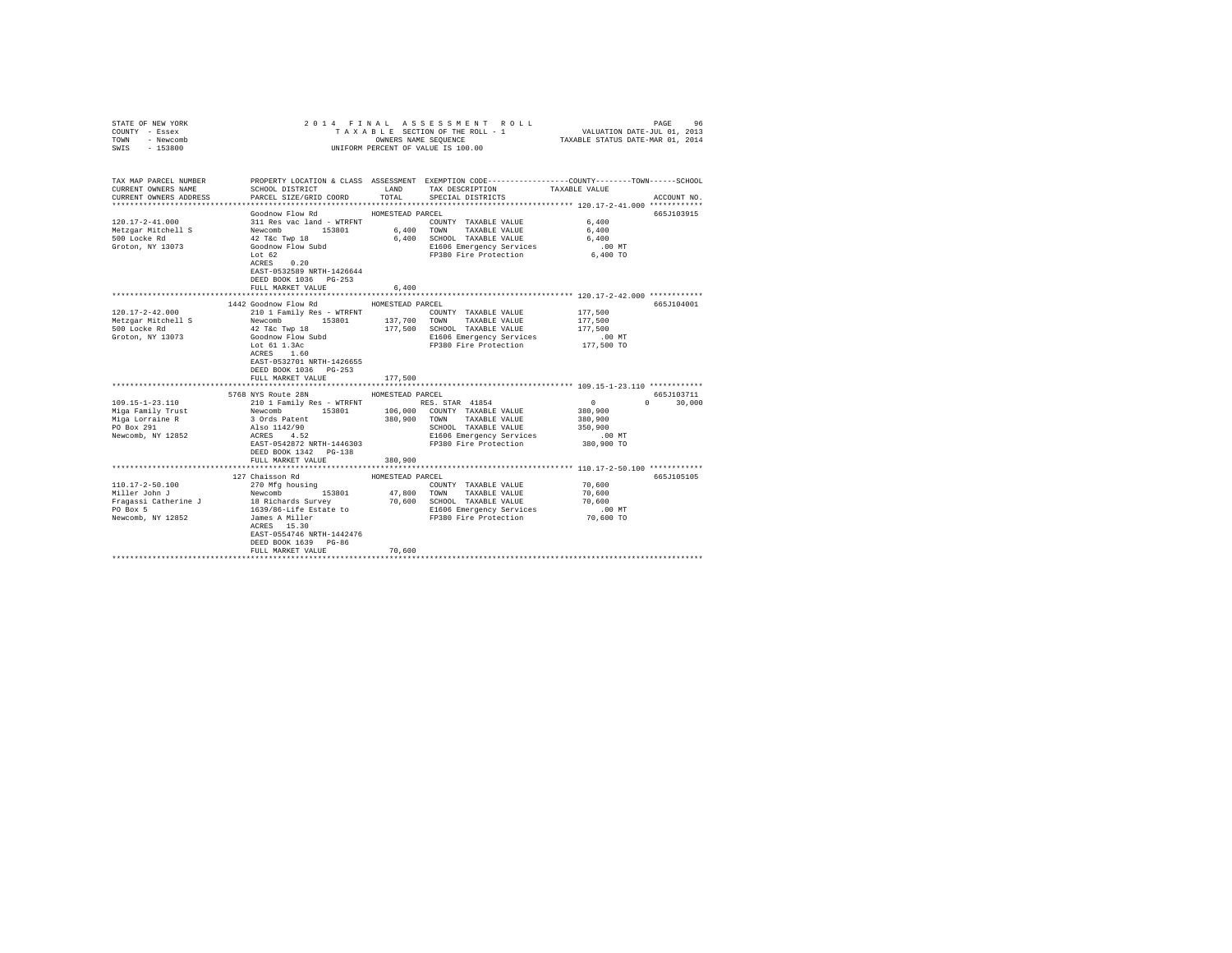| COUNTY - Essex<br>TOWN<br>- Newcomb<br>SWIS - 153800                                                                                     |                                                                                         |                  | UNIFORM PERCENT OF VALUE IS 100.00                                                                                                            |                    |               |
|------------------------------------------------------------------------------------------------------------------------------------------|-----------------------------------------------------------------------------------------|------------------|-----------------------------------------------------------------------------------------------------------------------------------------------|--------------------|---------------|
| TAX MAP PARCEL NUMBER<br>CURRENT OWNERS NAME<br>CURRENT OWNERS ADDRESS                                                                   | SCHOOL DISTRICT<br>PARCEL SIZE/GRID COORD                                               | LAND             | PROPERTY LOCATION & CLASS ASSESSMENT EXEMPTION CODE---------------COUNTY-------TOWN------SCHOOL<br>TAX DESCRIPTION<br>TOTAL SPECIAL DISTRICTS | TAXABLE VALUE      | ACCOUNT NO.   |
|                                                                                                                                          |                                                                                         |                  |                                                                                                                                               |                    |               |
|                                                                                                                                          | Goodnow Flow Rd MOMESTEAD PARCEL                                                        |                  |                                                                                                                                               |                    | 665J103915    |
| $120.17 - 2 - 41.000$                                                                                                                    |                                                                                         |                  | COUNTY TAXABLE VALUE                                                                                                                          | 6,400              |               |
| Metzgar Mitchell S                                                                                                                       |                                                                                         | 6,400 TOWN       | TAXABLE VALUE                                                                                                                                 | 6,400              |               |
| 500 Locke Rd<br>Groton, NY 13073                                                                                                         |                                                                                         |                  | 6,400 SCHOOL TAXABLE VALUE<br>E1606 Emergency Services                                                                                        | 6,400<br>$.00$ MT  |               |
|                                                                                                                                          | Lot 62                                                                                  |                  | FP380 Fire Protection                                                                                                                         | 6,400 TO           |               |
|                                                                                                                                          | ACRES<br>0.20                                                                           |                  |                                                                                                                                               |                    |               |
|                                                                                                                                          | EAST-0532589 NRTH-1426644                                                               |                  |                                                                                                                                               |                    |               |
|                                                                                                                                          | DEED BOOK 1036 PG-253                                                                   |                  |                                                                                                                                               |                    |               |
|                                                                                                                                          | FULL MARKET VALUE                                                                       | 6,400            |                                                                                                                                               |                    |               |
|                                                                                                                                          | 1442 Goodnow Flow Rd                                                                    | HOMESTEAD PARCEL |                                                                                                                                               |                    | 665J104001    |
| $120.17 - 2 - 42.000$                                                                                                                    | 210 1 Family Res - WTRFNT                                                               |                  | COUNTY TAXABLE VALUE                                                                                                                          | 177.500            |               |
| Metzgar Mitchell S                                                                                                                       |                                                                                         |                  |                                                                                                                                               | 177,500            |               |
| 500 Locke Rd                                                                                                                             | Newcomb 153801 137,700 TOWN TAXABLE VALUE<br>42 T&C TWP 18 177,500 SCHOOL TAXABLE VALUE |                  |                                                                                                                                               | 177.500            |               |
| Groton, NY 13073                                                                                                                         |                                                                                         |                  | E1606 Emergency Services                                                                                                                      | $.00$ MT           |               |
|                                                                                                                                          | Goodnow Flow Subd<br>Lot 61 1.3Ac<br>ACRES 1.60                                         |                  | FP380 Fire Protection                                                                                                                         | 177,500 TO         |               |
|                                                                                                                                          | ACRES 1.60<br>EAST-0532701 NRTH-1426655                                                 |                  |                                                                                                                                               |                    |               |
|                                                                                                                                          | DEED BOOK 1036 PG-253                                                                   |                  |                                                                                                                                               |                    |               |
|                                                                                                                                          | FULL MARKET VALUE                                                                       | 177,500          |                                                                                                                                               |                    |               |
|                                                                                                                                          |                                                                                         |                  |                                                                                                                                               |                    |               |
|                                                                                                                                          | 5768 NYS Route 28N HOMESTEAD PARCEL                                                     |                  |                                                                                                                                               |                    | 665J103711    |
| $109.15 - 1 - 23.110$                                                                                                                    |                                                                                         |                  |                                                                                                                                               | $\sim$ 0           | $0 \t 30.000$ |
| Miga Family Trust                                                                                                                        |                                                                                         |                  |                                                                                                                                               | 380,900            |               |
| Miga Lorraine R<br>PO Box 291                                                                                                            | 3 Ords Patent<br>Also 1142/90<br>ACRES 4.52                                             |                  | 380,900 TOWN TAXABLE VALUE<br>SCHOOL TAXABLE VALUE                                                                                            | 380,900<br>350,900 |               |
| Newcomb, NY 12852                                                                                                                        |                                                                                         |                  | E1606 Emergency Services                                                                                                                      | $.00$ MT           |               |
|                                                                                                                                          | EAST-0542872 NRTH-1446303                                                               |                  | FP380 Fire Protection                                                                                                                         | 380,900 TO         |               |
|                                                                                                                                          | DEED BOOK 1342 PG-138                                                                   |                  |                                                                                                                                               |                    |               |
|                                                                                                                                          | FULL MARKET VALUE                                                                       | 380,900          |                                                                                                                                               |                    |               |
|                                                                                                                                          | 127 Chaisson Rd                                                                         | HOMESTEAD PARCEL |                                                                                                                                               |                    | 665J105105    |
| $110.17 - 2 - 50.100$                                                                                                                    | 270 Mfg housing                                                                         |                  | COUNTY TAXABLE VALUE                                                                                                                          | 70,600             |               |
| Miller John J                                                                                                                            | Newcomb 153801                                                                          | 47,800           | TOWN TAXABLE VALUE                                                                                                                            | 70,600             |               |
| Fragassi Catherine J<br>Fragassi Catherine J<br>To Box 5<br>1639/86-Life Estate to<br>1639/86-Life Estate to<br>E1606 Emergency Services |                                                                                         |                  |                                                                                                                                               | 70,600             |               |
|                                                                                                                                          |                                                                                         |                  | E1606 Emergency Services                                                                                                                      | $.00$ MT           |               |
| Newcomb, NY 12852                                                                                                                        | James A Miller<br>ACRES 15.30                                                           |                  | FP380 Fire Protection 70,600 TO                                                                                                               |                    |               |
|                                                                                                                                          |                                                                                         |                  |                                                                                                                                               |                    |               |
|                                                                                                                                          | EAST-0554746 NRTH-1442476<br>DEED BOOK 1639 PG-86                                       |                  |                                                                                                                                               |                    |               |
|                                                                                                                                          | FULL MARKET VALUE                                                                       | 70,600           |                                                                                                                                               |                    |               |
|                                                                                                                                          |                                                                                         |                  |                                                                                                                                               |                    |               |

STATE OF NEW YORK 2014 FINAL ASSESSMENT ROLL PAGE 96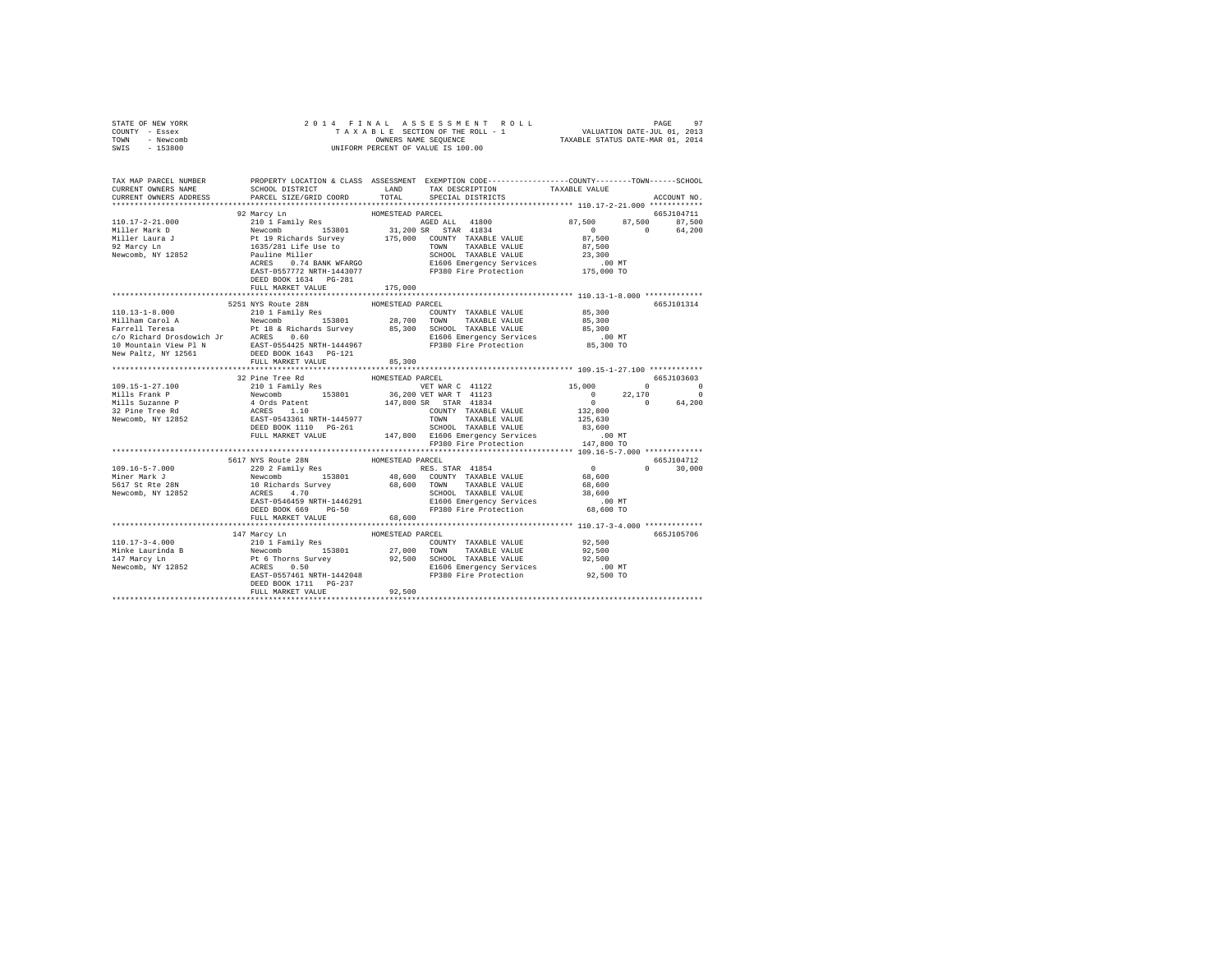| STATE OF NEW YORK                                                                                                                                                                                                                                                                                                                                                                 |                                                                                                                                                                                                                                                                                                                                                                                                         |                  |  |               |  |
|-----------------------------------------------------------------------------------------------------------------------------------------------------------------------------------------------------------------------------------------------------------------------------------------------------------------------------------------------------------------------------------|---------------------------------------------------------------------------------------------------------------------------------------------------------------------------------------------------------------------------------------------------------------------------------------------------------------------------------------------------------------------------------------------------------|------------------|--|---------------|--|
| COUNTY - Essex                                                                                                                                                                                                                                                                                                                                                                    |                                                                                                                                                                                                                                                                                                                                                                                                         |                  |  |               |  |
| TOWN - Newcomb                                                                                                                                                                                                                                                                                                                                                                    |                                                                                                                                                                                                                                                                                                                                                                                                         |                  |  |               |  |
| SWIS - 153800                                                                                                                                                                                                                                                                                                                                                                     |                                                                                                                                                                                                                                                                                                                                                                                                         |                  |  |               |  |
|                                                                                                                                                                                                                                                                                                                                                                                   |                                                                                                                                                                                                                                                                                                                                                                                                         |                  |  |               |  |
|                                                                                                                                                                                                                                                                                                                                                                                   |                                                                                                                                                                                                                                                                                                                                                                                                         |                  |  |               |  |
|                                                                                                                                                                                                                                                                                                                                                                                   |                                                                                                                                                                                                                                                                                                                                                                                                         |                  |  |               |  |
| TAX MAP PARCEL NUMBER PROPERTY LOCATION & CLASS ASSESSMENT EXEMPTION CODE---------------COUNTY-------TOWN------SCHOOL<br>CURRENT OWNERS NAME SCHOOL DISTRICT LAND TAX DESCRIPTION TAVAREE VALUE                                                                                                                                                                                   |                                                                                                                                                                                                                                                                                                                                                                                                         |                  |  |               |  |
|                                                                                                                                                                                                                                                                                                                                                                                   | SCHOOL DISTRICT                       LAND         TAX DESCRIPTION                   TAXABLE VALUE                                                                                                                                                                                                                                                                                                      |                  |  |               |  |
| CURRENT OWNERS ADDRESS 6 PARCEL SIZE/GRID COORD TOTAL SPECIAL DISTRICTS                                                                                                                                                                                                                                                                                                           |                                                                                                                                                                                                                                                                                                                                                                                                         |                  |  | ACCOUNT NO.   |  |
|                                                                                                                                                                                                                                                                                                                                                                                   |                                                                                                                                                                                                                                                                                                                                                                                                         |                  |  |               |  |
| 110.17-2-21.000 92 Marcy Lm 2010 Family Res HOMESTEAD PARCEL AND FIGHT AND 2010 Family Res HOMESTEAD AGED ALL 41800 87,500 87,500 87,500 87,500 87,500 92 Marcy Lm 210 1 Family Res 1000 31,200 SR STAT 41834 1894 Miller Laur                                                                                                                                                    |                                                                                                                                                                                                                                                                                                                                                                                                         |                  |  |               |  |
|                                                                                                                                                                                                                                                                                                                                                                                   |                                                                                                                                                                                                                                                                                                                                                                                                         |                  |  |               |  |
|                                                                                                                                                                                                                                                                                                                                                                                   |                                                                                                                                                                                                                                                                                                                                                                                                         |                  |  |               |  |
|                                                                                                                                                                                                                                                                                                                                                                                   |                                                                                                                                                                                                                                                                                                                                                                                                         |                  |  |               |  |
|                                                                                                                                                                                                                                                                                                                                                                                   |                                                                                                                                                                                                                                                                                                                                                                                                         |                  |  |               |  |
|                                                                                                                                                                                                                                                                                                                                                                                   |                                                                                                                                                                                                                                                                                                                                                                                                         |                  |  |               |  |
|                                                                                                                                                                                                                                                                                                                                                                                   |                                                                                                                                                                                                                                                                                                                                                                                                         |                  |  |               |  |
|                                                                                                                                                                                                                                                                                                                                                                                   |                                                                                                                                                                                                                                                                                                                                                                                                         |                  |  |               |  |
|                                                                                                                                                                                                                                                                                                                                                                                   |                                                                                                                                                                                                                                                                                                                                                                                                         |                  |  |               |  |
|                                                                                                                                                                                                                                                                                                                                                                                   | DEED BOOK 1634    PG-281                                                                                                                                                                                                                                                                                                                                                                                |                  |  |               |  |
|                                                                                                                                                                                                                                                                                                                                                                                   | FULL MARKET VALUE                                                                                                                                                                                                                                                                                                                                                                                       | 175,000          |  |               |  |
|                                                                                                                                                                                                                                                                                                                                                                                   |                                                                                                                                                                                                                                                                                                                                                                                                         |                  |  |               |  |
|                                                                                                                                                                                                                                                                                                                                                                                   | 5251 NYS Route 28N                                                                                                                                                                                                                                                                                                                                                                                      | HOMESTEAD PARCEL |  | 665J101314    |  |
|                                                                                                                                                                                                                                                                                                                                                                                   |                                                                                                                                                                                                                                                                                                                                                                                                         |                  |  |               |  |
|                                                                                                                                                                                                                                                                                                                                                                                   |                                                                                                                                                                                                                                                                                                                                                                                                         |                  |  |               |  |
|                                                                                                                                                                                                                                                                                                                                                                                   |                                                                                                                                                                                                                                                                                                                                                                                                         |                  |  |               |  |
|                                                                                                                                                                                                                                                                                                                                                                                   |                                                                                                                                                                                                                                                                                                                                                                                                         |                  |  |               |  |
|                                                                                                                                                                                                                                                                                                                                                                                   |                                                                                                                                                                                                                                                                                                                                                                                                         |                  |  |               |  |
|                                                                                                                                                                                                                                                                                                                                                                                   |                                                                                                                                                                                                                                                                                                                                                                                                         |                  |  |               |  |
|                                                                                                                                                                                                                                                                                                                                                                                   |                                                                                                                                                                                                                                                                                                                                                                                                         |                  |  |               |  |
|                                                                                                                                                                                                                                                                                                                                                                                   |                                                                                                                                                                                                                                                                                                                                                                                                         |                  |  |               |  |
|                                                                                                                                                                                                                                                                                                                                                                                   | FULL MARKET VALUE 85,300                                                                                                                                                                                                                                                                                                                                                                                |                  |  |               |  |
|                                                                                                                                                                                                                                                                                                                                                                                   |                                                                                                                                                                                                                                                                                                                                                                                                         |                  |  |               |  |
|                                                                                                                                                                                                                                                                                                                                                                                   | 32 Pine Tree Rd MOMESTEAD PARCEL                                                                                                                                                                                                                                                                                                                                                                        |                  |  | 665J103603    |  |
|                                                                                                                                                                                                                                                                                                                                                                                   |                                                                                                                                                                                                                                                                                                                                                                                                         |                  |  |               |  |
|                                                                                                                                                                                                                                                                                                                                                                                   |                                                                                                                                                                                                                                                                                                                                                                                                         |                  |  |               |  |
|                                                                                                                                                                                                                                                                                                                                                                                   |                                                                                                                                                                                                                                                                                                                                                                                                         |                  |  |               |  |
|                                                                                                                                                                                                                                                                                                                                                                                   |                                                                                                                                                                                                                                                                                                                                                                                                         |                  |  |               |  |
|                                                                                                                                                                                                                                                                                                                                                                                   |                                                                                                                                                                                                                                                                                                                                                                                                         |                  |  |               |  |
|                                                                                                                                                                                                                                                                                                                                                                                   |                                                                                                                                                                                                                                                                                                                                                                                                         |                  |  |               |  |
|                                                                                                                                                                                                                                                                                                                                                                                   |                                                                                                                                                                                                                                                                                                                                                                                                         |                  |  |               |  |
|                                                                                                                                                                                                                                                                                                                                                                                   |                                                                                                                                                                                                                                                                                                                                                                                                         |                  |  |               |  |
|                                                                                                                                                                                                                                                                                                                                                                                   |                                                                                                                                                                                                                                                                                                                                                                                                         |                  |  |               |  |
|                                                                                                                                                                                                                                                                                                                                                                                   |                                                                                                                                                                                                                                                                                                                                                                                                         |                  |  |               |  |
|                                                                                                                                                                                                                                                                                                                                                                                   |                                                                                                                                                                                                                                                                                                                                                                                                         |                  |  |               |  |
|                                                                                                                                                                                                                                                                                                                                                                                   |                                                                                                                                                                                                                                                                                                                                                                                                         |                  |  | $0 \t 30.000$ |  |
|                                                                                                                                                                                                                                                                                                                                                                                   |                                                                                                                                                                                                                                                                                                                                                                                                         |                  |  |               |  |
|                                                                                                                                                                                                                                                                                                                                                                                   |                                                                                                                                                                                                                                                                                                                                                                                                         |                  |  |               |  |
| 109.16-5-7.000<br>Miner Mark J<br>5617 St Rte 28N                                                                                                                                                                                                                                                                                                                                 |                                                                                                                                                                                                                                                                                                                                                                                                         |                  |  |               |  |
| Newcomb, NY 12852                                                                                                                                                                                                                                                                                                                                                                 |                                                                                                                                                                                                                                                                                                                                                                                                         |                  |  |               |  |
|                                                                                                                                                                                                                                                                                                                                                                                   |                                                                                                                                                                                                                                                                                                                                                                                                         |                  |  |               |  |
|                                                                                                                                                                                                                                                                                                                                                                                   |                                                                                                                                                                                                                                                                                                                                                                                                         |                  |  |               |  |
|                                                                                                                                                                                                                                                                                                                                                                                   | $\begin{tabular}{c cccc} \textbf{5517} & \textbf{NYS} & \textbf{ROLIC} & \textbf{5651104712} \\ \textbf{5617} & \textbf{NYS} & \textbf{ROLIC} & \textbf{ROLIC} & \textbf{5651104712} \\ \textbf{5717} & \textbf{NYS} & \textbf{ROLIC} & \textbf{RIS} & \textbf{SIS} & \textbf{SIS} \\ \textbf{581811} & \textbf{RIS} & \textbf{SIS} & \textbf{SIS} & \textbf{SIS} & \textbf{SIS} \\ \textbf{58191} & \$ |                  |  |               |  |
|                                                                                                                                                                                                                                                                                                                                                                                   |                                                                                                                                                                                                                                                                                                                                                                                                         |                  |  |               |  |
|                                                                                                                                                                                                                                                                                                                                                                                   |                                                                                                                                                                                                                                                                                                                                                                                                         |                  |  | 665J105706    |  |
|                                                                                                                                                                                                                                                                                                                                                                                   |                                                                                                                                                                                                                                                                                                                                                                                                         |                  |  |               |  |
|                                                                                                                                                                                                                                                                                                                                                                                   |                                                                                                                                                                                                                                                                                                                                                                                                         |                  |  |               |  |
|                                                                                                                                                                                                                                                                                                                                                                                   |                                                                                                                                                                                                                                                                                                                                                                                                         |                  |  |               |  |
|                                                                                                                                                                                                                                                                                                                                                                                   |                                                                                                                                                                                                                                                                                                                                                                                                         |                  |  |               |  |
|                                                                                                                                                                                                                                                                                                                                                                                   |                                                                                                                                                                                                                                                                                                                                                                                                         |                  |  |               |  |
|                                                                                                                                                                                                                                                                                                                                                                                   |                                                                                                                                                                                                                                                                                                                                                                                                         |                  |  |               |  |
| $\begin{tabular}{l c c c c c c} \hline 110.17-3-4.000 & 147~\text{Marcy Ln} & \text{HOMESTEAD PARECEL} & \text{FOLTEAD PARECEL} & \text{FOLTEL} & \text{FOLTEL} & \text{FOLTEL} & \text{FOLTEL} \\ \hline & 210~\text{I Family Res} & 20.500 & 10.17~\text{Fanily Res} & 27,000 & 100000 & 174 \text{NABLE VALUE} & 92,500 \\ \hline \text{Mine Laurinda B} & \text{Newecmb} & \$ | FULL MARKET VALUE 92,500                                                                                                                                                                                                                                                                                                                                                                                |                  |  |               |  |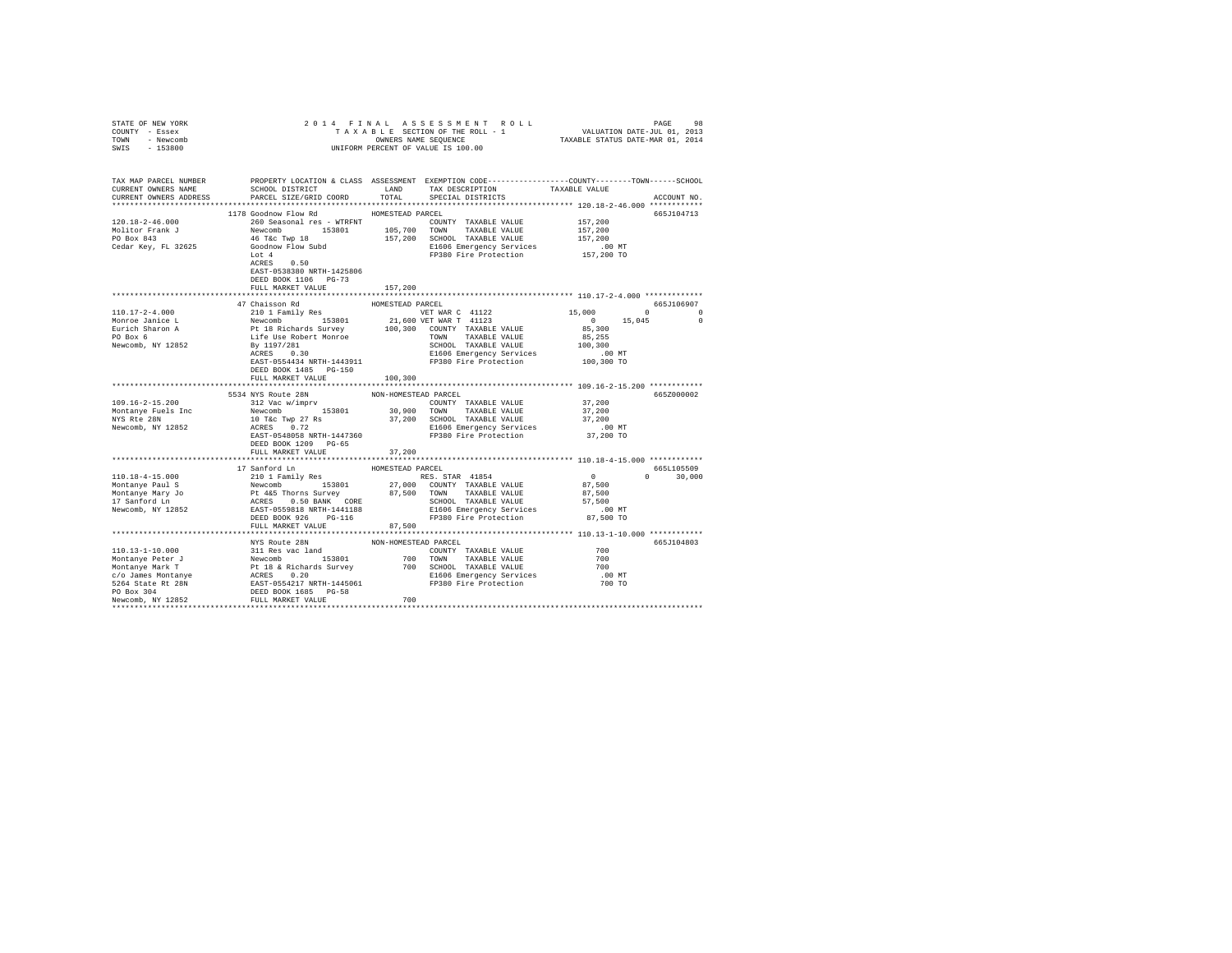| STATE OF NEW YORK                                                                                                                                                                                                                                                                                                                                                                                        |                                                                                   |                  |                                                              |                                      |                    |
|----------------------------------------------------------------------------------------------------------------------------------------------------------------------------------------------------------------------------------------------------------------------------------------------------------------------------------------------------------------------------------------------------------|-----------------------------------------------------------------------------------|------------------|--------------------------------------------------------------|--------------------------------------|--------------------|
| COUNTY - Essex                                                                                                                                                                                                                                                                                                                                                                                           |                                                                                   |                  |                                                              |                                      |                    |
| TOWN - Newcomb                                                                                                                                                                                                                                                                                                                                                                                           |                                                                                   |                  |                                                              |                                      |                    |
| SWIS - 153800                                                                                                                                                                                                                                                                                                                                                                                            |                                                                                   |                  |                                                              |                                      |                    |
|                                                                                                                                                                                                                                                                                                                                                                                                          |                                                                                   |                  |                                                              |                                      |                    |
|                                                                                                                                                                                                                                                                                                                                                                                                          |                                                                                   |                  |                                                              |                                      |                    |
| TAX MAP PARCEL NUMBER PROPERTY LOCATION & CLASS ASSESSMENT EXEMPTION CORE--------------COUNT-------SCHOOL DER<br>CURRENT OWNERS NAME SCHOOL DISTRICT CONTENTS LAND TAX DESCRIPTION TAXABLE VALUE VALUE                                                                                                                                                                                                   | $\begin{minipage}{.4\linewidth} \textbf{SCHOOL} \textbf{ DISTRTC} \end{minipage}$ |                  |                                                              |                                      |                    |
| CURRENT OWNERS ADDRESS                                                                                                                                                                                                                                                                                                                                                                                   | PARCEL SIZE/GRID COORD                                                            | TOTAL            | SPECIAL DISTRICTS                                            |                                      | ACCOUNT NO.        |
|                                                                                                                                                                                                                                                                                                                                                                                                          |                                                                                   |                  |                                                              |                                      |                    |
|                                                                                                                                                                                                                                                                                                                                                                                                          | 1178 Goodnow Flow Rd                                                              | HOMESTEAD PARCEL |                                                              |                                      | 665J104713         |
| $120.18 - 2 - 46.000$                                                                                                                                                                                                                                                                                                                                                                                    | 260 Seasonal res - WTRFNT                                                         |                  | COUNTY TAXABLE VALUE 157,200                                 |                                      |                    |
|                                                                                                                                                                                                                                                                                                                                                                                                          |                                                                                   |                  |                                                              | 157,200                              |                    |
|                                                                                                                                                                                                                                                                                                                                                                                                          |                                                                                   |                  |                                                              | 157,200                              |                    |
|                                                                                                                                                                                                                                                                                                                                                                                                          |                                                                                   |                  |                                                              |                                      |                    |
|                                                                                                                                                                                                                                                                                                                                                                                                          |                                                                                   |                  | E1606 Emergency Services<br>FP380 Fire Protection 157,200 TO |                                      |                    |
|                                                                                                                                                                                                                                                                                                                                                                                                          |                                                                                   |                  |                                                              |                                      |                    |
|                                                                                                                                                                                                                                                                                                                                                                                                          |                                                                                   |                  |                                                              |                                      |                    |
|                                                                                                                                                                                                                                                                                                                                                                                                          | EAST-0538380 NRTH-1425806                                                         |                  |                                                              |                                      |                    |
|                                                                                                                                                                                                                                                                                                                                                                                                          | DEED BOOK 1106 PG-73                                                              |                  |                                                              |                                      |                    |
|                                                                                                                                                                                                                                                                                                                                                                                                          | FULL MARKET VALUE                                                                 | 157,200          |                                                              |                                      |                    |
|                                                                                                                                                                                                                                                                                                                                                                                                          |                                                                                   |                  |                                                              |                                      |                    |
|                                                                                                                                                                                                                                                                                                                                                                                                          | 47 Chaisson Rd                                                                    | HOMESTEAD PARCEL |                                                              |                                      | 665J106907         |
|                                                                                                                                                                                                                                                                                                                                                                                                          |                                                                                   |                  |                                                              | $15,000$ 0<br>0 0<br>85,300 15,045 0 |                    |
|                                                                                                                                                                                                                                                                                                                                                                                                          |                                                                                   |                  |                                                              |                                      |                    |
|                                                                                                                                                                                                                                                                                                                                                                                                          |                                                                                   |                  |                                                              |                                      |                    |
|                                                                                                                                                                                                                                                                                                                                                                                                          |                                                                                   |                  |                                                              |                                      |                    |
|                                                                                                                                                                                                                                                                                                                                                                                                          |                                                                                   |                  |                                                              |                                      |                    |
|                                                                                                                                                                                                                                                                                                                                                                                                          |                                                                                   |                  |                                                              |                                      |                    |
|                                                                                                                                                                                                                                                                                                                                                                                                          |                                                                                   |                  |                                                              |                                      |                    |
|                                                                                                                                                                                                                                                                                                                                                                                                          | DEED BOOK 1485 PG-150                                                             |                  |                                                              |                                      |                    |
|                                                                                                                                                                                                                                                                                                                                                                                                          | FULL MARKET VALUE 100,300                                                         |                  |                                                              |                                      |                    |
|                                                                                                                                                                                                                                                                                                                                                                                                          |                                                                                   |                  |                                                              |                                      |                    |
|                                                                                                                                                                                                                                                                                                                                                                                                          | 5534 NYS Route 28N NON-HOMESTEAD PARCEL                                           |                  |                                                              |                                      | 665Z000002         |
|                                                                                                                                                                                                                                                                                                                                                                                                          |                                                                                   |                  |                                                              |                                      |                    |
|                                                                                                                                                                                                                                                                                                                                                                                                          |                                                                                   |                  |                                                              |                                      |                    |
|                                                                                                                                                                                                                                                                                                                                                                                                          |                                                                                   |                  |                                                              |                                      |                    |
|                                                                                                                                                                                                                                                                                                                                                                                                          |                                                                                   |                  |                                                              |                                      |                    |
|                                                                                                                                                                                                                                                                                                                                                                                                          |                                                                                   |                  |                                                              |                                      |                    |
|                                                                                                                                                                                                                                                                                                                                                                                                          |                                                                                   |                  |                                                              |                                      |                    |
|                                                                                                                                                                                                                                                                                                                                                                                                          |                                                                                   |                  |                                                              |                                      |                    |
|                                                                                                                                                                                                                                                                                                                                                                                                          | FULL MARKET VALUE                                                                 | 37,200           |                                                              |                                      |                    |
|                                                                                                                                                                                                                                                                                                                                                                                                          |                                                                                   |                  |                                                              |                                      |                    |
|                                                                                                                                                                                                                                                                                                                                                                                                          | 17 Sanford Ln                                                                     | HOMESTEAD PARCEL |                                                              |                                      | 665L105509         |
|                                                                                                                                                                                                                                                                                                                                                                                                          |                                                                                   |                  |                                                              |                                      | $0 \t 0 \t 30,000$ |
|                                                                                                                                                                                                                                                                                                                                                                                                          |                                                                                   |                  |                                                              |                                      |                    |
|                                                                                                                                                                                                                                                                                                                                                                                                          |                                                                                   |                  |                                                              |                                      |                    |
| $\begin{tabular}{l c c c c c} \hline 110.18-4-15.000 & 17\, {\rm amford\,~In}\quad & \hline 10000 & 17\, {\rm amford\,~In}\quad & \hline 10000 & 210\,1~Fam11y~\,Res & 5000~\,RSS.~STAR & 41854 & 0\\ \hline Montanye Paul 18 & Newcomb & 153801 & 27,000~\,COMTY & TAXABLE VALUE & 87,500\\ \hline Montanye Paul 3 & Newcomb & 87,500~\,SURONY & TAXABLE VALUE & 87$                                    |                                                                                   |                  |                                                              |                                      |                    |
|                                                                                                                                                                                                                                                                                                                                                                                                          |                                                                                   |                  |                                                              |                                      |                    |
|                                                                                                                                                                                                                                                                                                                                                                                                          |                                                                                   |                  |                                                              |                                      |                    |
|                                                                                                                                                                                                                                                                                                                                                                                                          | FULL MARKET VALUE                                                                 | 87,500           |                                                              |                                      |                    |
|                                                                                                                                                                                                                                                                                                                                                                                                          |                                                                                   |                  |                                                              |                                      |                    |
|                                                                                                                                                                                                                                                                                                                                                                                                          |                                                                                   |                  |                                                              |                                      | 665J104803         |
|                                                                                                                                                                                                                                                                                                                                                                                                          |                                                                                   |                  |                                                              | 700                                  |                    |
|                                                                                                                                                                                                                                                                                                                                                                                                          |                                                                                   |                  |                                                              | 700                                  |                    |
|                                                                                                                                                                                                                                                                                                                                                                                                          |                                                                                   |                  |                                                              | 700                                  |                    |
|                                                                                                                                                                                                                                                                                                                                                                                                          |                                                                                   |                  |                                                              |                                      |                    |
|                                                                                                                                                                                                                                                                                                                                                                                                          |                                                                                   |                  |                                                              | .00 MT<br>700 TO                     |                    |
|                                                                                                                                                                                                                                                                                                                                                                                                          |                                                                                   |                  |                                                              |                                      |                    |
| $\begin{tabular}{l c c c c} \hline 110.13-1-10.000 & \text{MYS Route 2BN} & \text{NON-HOMESTEAD PAREEL} & \text{MON-HOMESTEAD PAREEL} & \text{111.03} & \text{111.03} & \text{111.04} & \text{111.05} & \text{111.05} & \text{111.06} \\ \hline \text{Montanye Peter J} & \text{Newcomb} & \text{153801} & \text{700 TONN TAXABLE VALUE} & \text{YALUE} & \text{YALUE} & \text{YALUE} \\ \hline \text{S$ |                                                                                   |                  |                                                              |                                      |                    |
|                                                                                                                                                                                                                                                                                                                                                                                                          |                                                                                   |                  |                                                              |                                      |                    |
|                                                                                                                                                                                                                                                                                                                                                                                                          |                                                                                   |                  |                                                              |                                      |                    |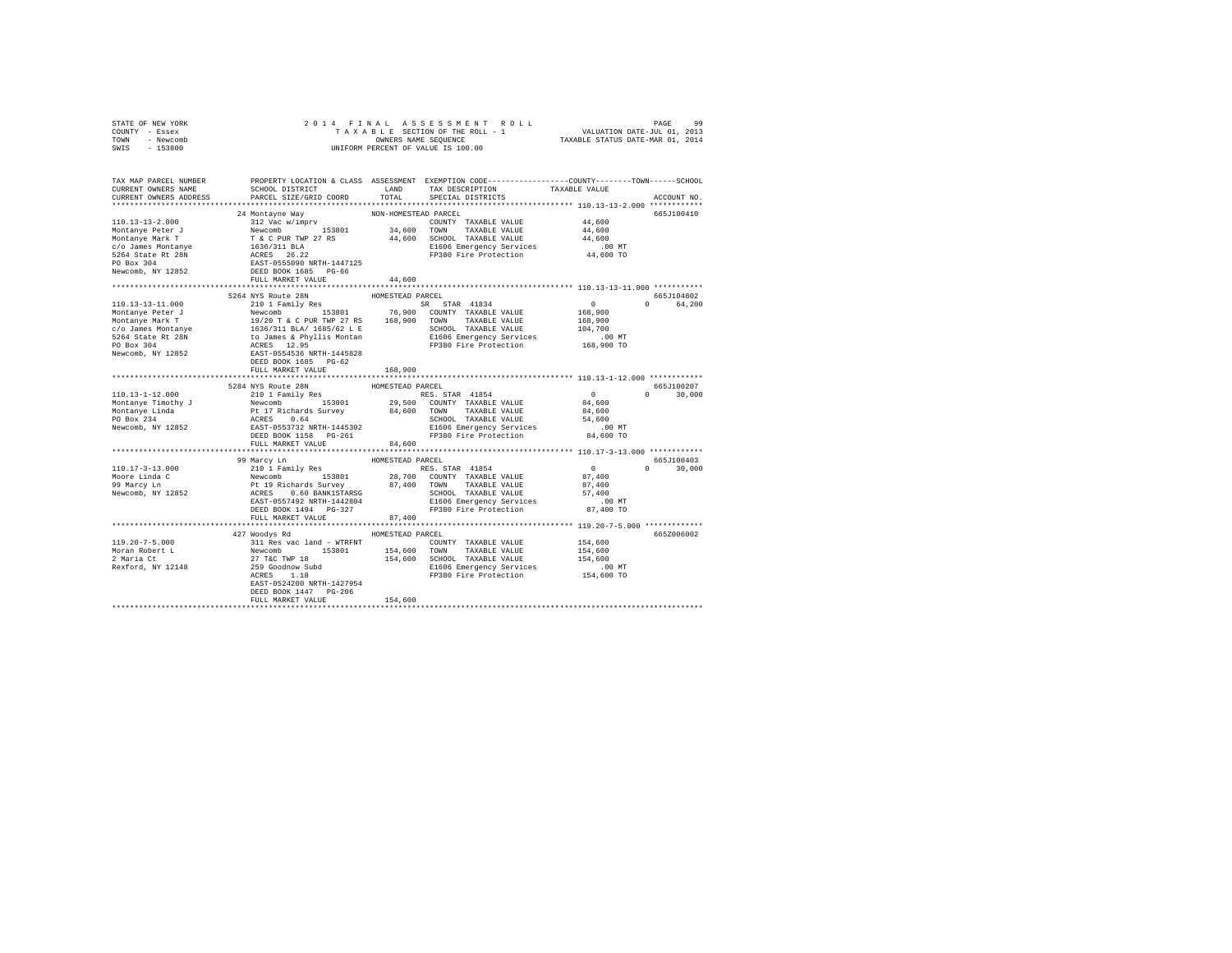| STATE OF NEW YORK      |                                                                                                                                                                                                                                                                                                                                                                                                |                  |                                                                                                                               |                                                   |               |
|------------------------|------------------------------------------------------------------------------------------------------------------------------------------------------------------------------------------------------------------------------------------------------------------------------------------------------------------------------------------------------------------------------------------------|------------------|-------------------------------------------------------------------------------------------------------------------------------|---------------------------------------------------|---------------|
| COUNTY - Essex         |                                                                                                                                                                                                                                                                                                                                                                                                |                  |                                                                                                                               |                                                   |               |
| TOWN - Newcomb         |                                                                                                                                                                                                                                                                                                                                                                                                |                  |                                                                                                                               |                                                   |               |
| SWIS - 153800          |                                                                                                                                                                                                                                                                                                                                                                                                |                  |                                                                                                                               |                                                   |               |
|                        |                                                                                                                                                                                                                                                                                                                                                                                                |                  |                                                                                                                               |                                                   |               |
|                        |                                                                                                                                                                                                                                                                                                                                                                                                |                  |                                                                                                                               |                                                   |               |
|                        |                                                                                                                                                                                                                                                                                                                                                                                                |                  | ${\tt SCH OOL\ DISTRICT} \hspace{2.5cm} {\tt LAND} \hspace{2.5cm} {\tt TAX\ DESCRIPTION} \hspace{2.5cm} {\tt TAXABLE\ VALUE}$ |                                                   |               |
| CURRENT OWNERS ADDRESS | PARCEL SIZE/GRID COORD                                                                                                                                                                                                                                                                                                                                                                         |                  | TOTAL SPECIAL DISTRICTS                                                                                                       |                                                   | ACCOUNT NO.   |
|                        |                                                                                                                                                                                                                                                                                                                                                                                                |                  |                                                                                                                               |                                                   |               |
|                        | $\begin{tabular}{l cccc} 110.13-13-2.000 & 24 Montaque Way & NON-HOMESTED PARCHZ & 110.13-13-2.000 & 24 Montaque Way & 200N-HOMESTED PARCHZ & 110.13-13-2.000 & 24 Montaque Way & 200N-HOMESTED PARCHZ & 44,600Montanye Peter J & 153801 & 34,600 TOMN TAKABLE VALUE & 44,600Montanye Mark T & T & C PUR TWP 27 RS & 44,600 SCHOOL TAXABLE VALUE & 44,60025264 State RE 28N &$                 |                  |                                                                                                                               |                                                   | 665J100410    |
|                        |                                                                                                                                                                                                                                                                                                                                                                                                |                  |                                                                                                                               |                                                   |               |
|                        |                                                                                                                                                                                                                                                                                                                                                                                                |                  |                                                                                                                               |                                                   |               |
|                        |                                                                                                                                                                                                                                                                                                                                                                                                |                  |                                                                                                                               |                                                   |               |
|                        |                                                                                                                                                                                                                                                                                                                                                                                                |                  |                                                                                                                               |                                                   |               |
|                        |                                                                                                                                                                                                                                                                                                                                                                                                |                  |                                                                                                                               |                                                   |               |
|                        |                                                                                                                                                                                                                                                                                                                                                                                                |                  |                                                                                                                               |                                                   |               |
|                        |                                                                                                                                                                                                                                                                                                                                                                                                |                  |                                                                                                                               |                                                   |               |
|                        |                                                                                                                                                                                                                                                                                                                                                                                                |                  |                                                                                                                               |                                                   |               |
|                        |                                                                                                                                                                                                                                                                                                                                                                                                |                  |                                                                                                                               |                                                   |               |
|                        |                                                                                                                                                                                                                                                                                                                                                                                                |                  |                                                                                                                               |                                                   |               |
|                        | 5264 NYS Route 28N                                                                                                                                                                                                                                                                                                                                                                             |                  |                                                                                                                               |                                                   | 665.7104802   |
|                        |                                                                                                                                                                                                                                                                                                                                                                                                |                  |                                                                                                                               |                                                   | 0 64,200      |
|                        |                                                                                                                                                                                                                                                                                                                                                                                                |                  |                                                                                                                               |                                                   |               |
|                        |                                                                                                                                                                                                                                                                                                                                                                                                |                  |                                                                                                                               |                                                   |               |
|                        |                                                                                                                                                                                                                                                                                                                                                                                                |                  |                                                                                                                               |                                                   |               |
|                        |                                                                                                                                                                                                                                                                                                                                                                                                |                  |                                                                                                                               |                                                   |               |
|                        |                                                                                                                                                                                                                                                                                                                                                                                                |                  |                                                                                                                               |                                                   |               |
|                        |                                                                                                                                                                                                                                                                                                                                                                                                |                  |                                                                                                                               |                                                   |               |
|                        |                                                                                                                                                                                                                                                                                                                                                                                                |                  |                                                                                                                               |                                                   |               |
|                        |                                                                                                                                                                                                                                                                                                                                                                                                |                  |                                                                                                                               |                                                   |               |
|                        |                                                                                                                                                                                                                                                                                                                                                                                                |                  | ****************************                                                                                                  | ******************** 110.13-1-12.000 ************ |               |
|                        | 5284 NYS Route 28N                                                                                                                                                                                                                                                                                                                                                                             | HOMESTEAD PARCEL |                                                                                                                               |                                                   |               |
|                        |                                                                                                                                                                                                                                                                                                                                                                                                |                  |                                                                                                                               | 665J100207                                        | $0 \t 30.000$ |
|                        |                                                                                                                                                                                                                                                                                                                                                                                                |                  |                                                                                                                               |                                                   |               |
|                        |                                                                                                                                                                                                                                                                                                                                                                                                |                  |                                                                                                                               |                                                   |               |
|                        |                                                                                                                                                                                                                                                                                                                                                                                                |                  |                                                                                                                               |                                                   |               |
|                        |                                                                                                                                                                                                                                                                                                                                                                                                |                  |                                                                                                                               |                                                   |               |
|                        |                                                                                                                                                                                                                                                                                                                                                                                                |                  |                                                                                                                               |                                                   |               |
|                        |                                                                                                                                                                                                                                                                                                                                                                                                |                  |                                                                                                                               |                                                   |               |
|                        | FULL MARKET VALUE 84.600                                                                                                                                                                                                                                                                                                                                                                       |                  |                                                                                                                               |                                                   |               |
|                        |                                                                                                                                                                                                                                                                                                                                                                                                |                  |                                                                                                                               |                                                   |               |
|                        |                                                                                                                                                                                                                                                                                                                                                                                                |                  |                                                                                                                               |                                                   | 665J100403    |
|                        |                                                                                                                                                                                                                                                                                                                                                                                                |                  |                                                                                                                               |                                                   | $0 \t 30,000$ |
|                        |                                                                                                                                                                                                                                                                                                                                                                                                |                  |                                                                                                                               |                                                   |               |
|                        |                                                                                                                                                                                                                                                                                                                                                                                                |                  |                                                                                                                               |                                                   |               |
|                        |                                                                                                                                                                                                                                                                                                                                                                                                |                  |                                                                                                                               |                                                   |               |
|                        |                                                                                                                                                                                                                                                                                                                                                                                                |                  |                                                                                                                               |                                                   |               |
|                        |                                                                                                                                                                                                                                                                                                                                                                                                |                  |                                                                                                                               |                                                   |               |
|                        |                                                                                                                                                                                                                                                                                                                                                                                                |                  |                                                                                                                               |                                                   |               |
|                        |                                                                                                                                                                                                                                                                                                                                                                                                |                  |                                                                                                                               |                                                   |               |
|                        | 427 Woodys Rd MOMESTEAD PARCEL                                                                                                                                                                                                                                                                                                                                                                 |                  |                                                                                                                               |                                                   | 665Z006002    |
|                        |                                                                                                                                                                                                                                                                                                                                                                                                |                  |                                                                                                                               |                                                   |               |
|                        | $\begin{tabular}{c c c c c} \hline 119.20-7-5.000 & \hline \multicolumn{3}{c}{\mbox{\small 118}}\, 20-7-5.000 & \hline \multicolumn{3}{c}{\mbox{\small 118}}\, 8.00 & \hline \multicolumn{3}{c}{\mbox{\small 118}}\, 8.00 & \hline \multicolumn{3}{c}{\mbox{\small 138}}\, 8.01 & \hline \multicolumn{3}{c}{\mbox{\small 154}}\, 600 & \hline \multicolumn{3}{c}{\mbox{\small 154}}\, 600 & \$ |                  |                                                                                                                               |                                                   |               |
|                        |                                                                                                                                                                                                                                                                                                                                                                                                |                  |                                                                                                                               |                                                   |               |
|                        |                                                                                                                                                                                                                                                                                                                                                                                                |                  |                                                                                                                               |                                                   |               |
|                        |                                                                                                                                                                                                                                                                                                                                                                                                |                  |                                                                                                                               |                                                   |               |
|                        | EAST-0524200 NRTH-1427954                                                                                                                                                                                                                                                                                                                                                                      |                  |                                                                                                                               |                                                   |               |
|                        | DEED BOOK 1447 PG-206                                                                                                                                                                                                                                                                                                                                                                          |                  |                                                                                                                               |                                                   |               |
|                        | FULL MARKET VALUE                                                                                                                                                                                                                                                                                                                                                                              | 154,600          |                                                                                                                               |                                                   |               |
|                        |                                                                                                                                                                                                                                                                                                                                                                                                |                  |                                                                                                                               |                                                   |               |
|                        |                                                                                                                                                                                                                                                                                                                                                                                                |                  |                                                                                                                               |                                                   |               |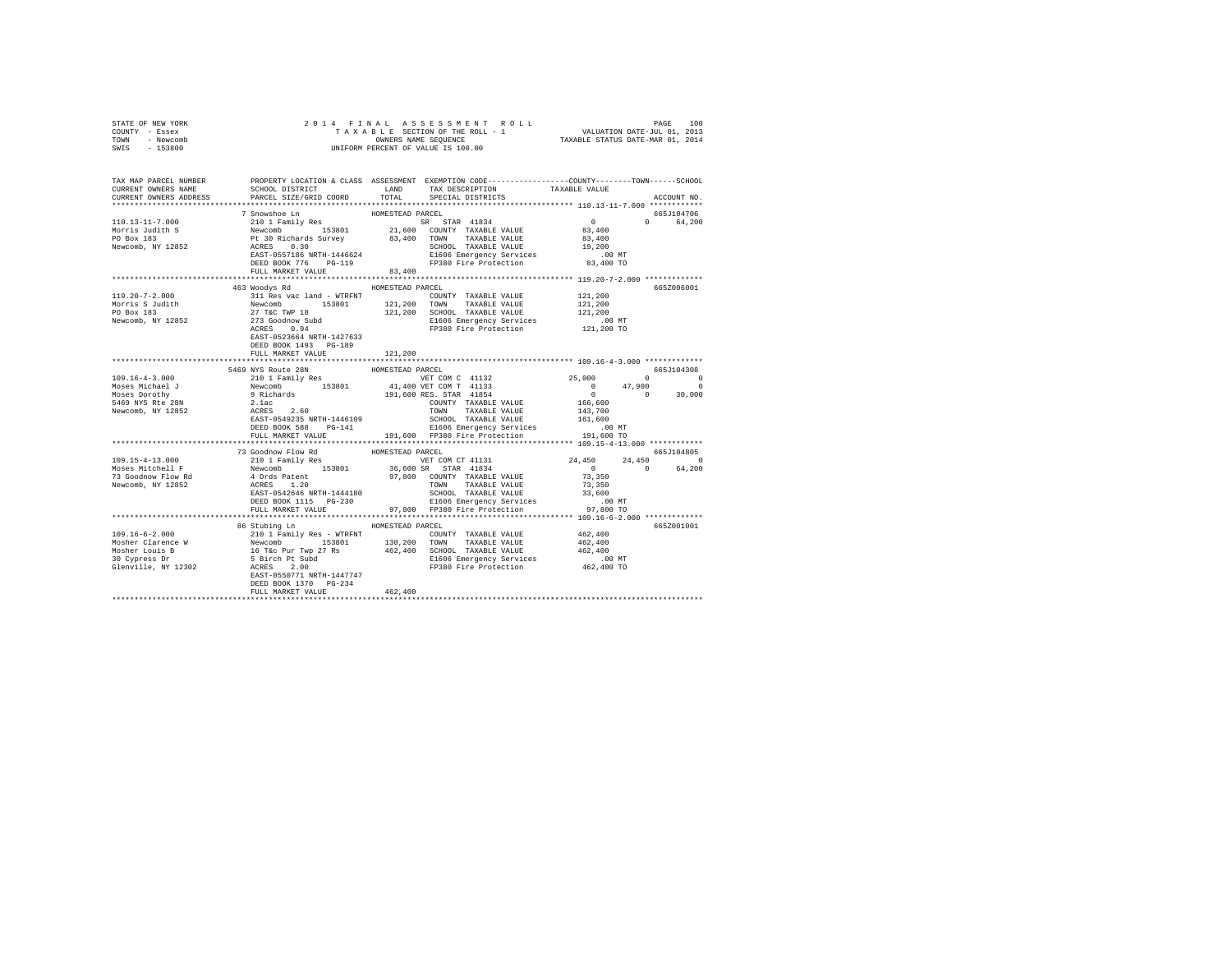| STATE OF NEW YORK | 2014 FINAL ASSESSMENT ROLL         | 100<br>PAGE                      |
|-------------------|------------------------------------|----------------------------------|
| COUNTY - Essex    | TAXABLE SECTION OF THE ROLL - 1    | VALUATION DATE-JUL 01, 2013      |
| TOWN<br>- Newcomb | OWNERS NAME SEOUENCE               | TAXABLE STATUS DATE-MAR 01, 2014 |
| $-153800$<br>SWIS | UNIFORM PERCENT OF VALUE IS 100.00 |                                  |

| CURRENT OWNERS ADDRESS FARCEL SIZE/GRID COORD TOTAL SPECIAL DISTRICTS<br>ACCOUNT NO.<br>7 Snowshoe Ln<br>HOMESTEAD PARCEL<br>665J104706<br>$\sim$ 0<br>$\mathbf{r}$<br>64,200<br>83,400<br>FULL MARKET VALUE<br>463 Woodys Rd<br>HOMESTEAD PARCEL<br>665Z006001<br>121,200<br>311 Res vac land - WTRFNT<br>COUNTY TAXABLE VALUE<br>121,200<br>Morris 5 Judith Mewcomb Newcomb 153801<br>Morris 5 Judith Newcomb 153801<br>27 TaC TWP 18 121,200 SCHOOL TAXABLE VALUE 121,200<br>Newcomb, NY 12852 273 Goodhow Subd 221,200 SCHOOL TAXABLE VALUE 121,200<br>Newcomb, NY 1285<br>EAST-0523664 NRTH-1427633<br>DEED BOOK 1493 PG-189<br>FULL MARKET VALUE<br>121,200<br>HOMESTEAD PARCEL<br>5469 NYS Route 28N<br>665.T104308<br>9199 AUGUST 10 1 Family Res 1999 AUGUST 10 1 Family Res 1999 11, 600 KB<br>10 1 Family Res 1990 1 41,400 VET COM C 41133<br>9 Richards 191,600 RES. STAR 41854<br>2.1ac COUNTY TAXABLE VALUE<br>RAST-0549235 NRTH-1446109 TOWN TAXABLE VAL<br>VET COM C 41132<br>VET COM T 41133 (00 47,900 0<br>RES. STAR 41854 (0 0 30,000<br>$109.16 - 4 - 3.000$<br>Moses Michael J<br>Moses Dorothy<br>5469 NYS Rte 28N<br>COUNTY TAXABLE VALUE 166,600<br>Newcomb, NY 12852<br>143,700<br>161,600<br>665J104805<br>73 Goodnow Flow Rd<br>HOMESTEAD PARCEL<br>24,450<br>24,450 0<br>$\sim$ 0<br>64,200<br>$\begin{array}{c}0\\73,350\end{array}$<br>TOWN TAXABLE VALUE (1999)<br>SCHOOL TAXABLE VALUE 33,600<br>CLOC Thermanny Services (1999)<br>DEED BOOK 1115 PG-230 E1606 Emergency Services .00 MT FULL MARKET VALUE 97,800 FP380 Fire Protection 97,800 TO<br>86 Stubing Ln<br>HOMESTEAD PARCEL<br>665Z001001<br>E1606 Emergency Services .00 MT<br>FP380 Fire Protection .00 462,400 TO<br>DEED BOOK 1370 PG-234<br>462,400<br>FULL MARKET VALUE | TAX MAP PARCEL NUMBER<br>CURRENT OWNERS NAME | SCHOOL DISTRICT | LAND | PROPERTY LOCATION & CLASS ASSESSMENT EXEMPTION CODE---------------COUNTY-------TOWN------SCHOOL<br>TAX DESCRIPTION TAXABLE VALUE |  |
|----------------------------------------------------------------------------------------------------------------------------------------------------------------------------------------------------------------------------------------------------------------------------------------------------------------------------------------------------------------------------------------------------------------------------------------------------------------------------------------------------------------------------------------------------------------------------------------------------------------------------------------------------------------------------------------------------------------------------------------------------------------------------------------------------------------------------------------------------------------------------------------------------------------------------------------------------------------------------------------------------------------------------------------------------------------------------------------------------------------------------------------------------------------------------------------------------------------------------------------------------------------------------------------------------------------------------------------------------------------------------------------------------------------------------------------------------------------------------------------------------------------------------------------------------------------------------------------------------------------------------------------------------------------------------------------------------------------------------------------------------------------------------|----------------------------------------------|-----------------|------|----------------------------------------------------------------------------------------------------------------------------------|--|
|                                                                                                                                                                                                                                                                                                                                                                                                                                                                                                                                                                                                                                                                                                                                                                                                                                                                                                                                                                                                                                                                                                                                                                                                                                                                                                                                                                                                                                                                                                                                                                                                                                                                                                                                                                            |                                              |                 |      |                                                                                                                                  |  |
|                                                                                                                                                                                                                                                                                                                                                                                                                                                                                                                                                                                                                                                                                                                                                                                                                                                                                                                                                                                                                                                                                                                                                                                                                                                                                                                                                                                                                                                                                                                                                                                                                                                                                                                                                                            |                                              |                 |      |                                                                                                                                  |  |
|                                                                                                                                                                                                                                                                                                                                                                                                                                                                                                                                                                                                                                                                                                                                                                                                                                                                                                                                                                                                                                                                                                                                                                                                                                                                                                                                                                                                                                                                                                                                                                                                                                                                                                                                                                            |                                              |                 |      |                                                                                                                                  |  |
|                                                                                                                                                                                                                                                                                                                                                                                                                                                                                                                                                                                                                                                                                                                                                                                                                                                                                                                                                                                                                                                                                                                                                                                                                                                                                                                                                                                                                                                                                                                                                                                                                                                                                                                                                                            |                                              |                 |      |                                                                                                                                  |  |
|                                                                                                                                                                                                                                                                                                                                                                                                                                                                                                                                                                                                                                                                                                                                                                                                                                                                                                                                                                                                                                                                                                                                                                                                                                                                                                                                                                                                                                                                                                                                                                                                                                                                                                                                                                            |                                              |                 |      |                                                                                                                                  |  |
|                                                                                                                                                                                                                                                                                                                                                                                                                                                                                                                                                                                                                                                                                                                                                                                                                                                                                                                                                                                                                                                                                                                                                                                                                                                                                                                                                                                                                                                                                                                                                                                                                                                                                                                                                                            |                                              |                 |      |                                                                                                                                  |  |
|                                                                                                                                                                                                                                                                                                                                                                                                                                                                                                                                                                                                                                                                                                                                                                                                                                                                                                                                                                                                                                                                                                                                                                                                                                                                                                                                                                                                                                                                                                                                                                                                                                                                                                                                                                            |                                              |                 |      |                                                                                                                                  |  |
|                                                                                                                                                                                                                                                                                                                                                                                                                                                                                                                                                                                                                                                                                                                                                                                                                                                                                                                                                                                                                                                                                                                                                                                                                                                                                                                                                                                                                                                                                                                                                                                                                                                                                                                                                                            |                                              |                 |      |                                                                                                                                  |  |
|                                                                                                                                                                                                                                                                                                                                                                                                                                                                                                                                                                                                                                                                                                                                                                                                                                                                                                                                                                                                                                                                                                                                                                                                                                                                                                                                                                                                                                                                                                                                                                                                                                                                                                                                                                            |                                              |                 |      |                                                                                                                                  |  |
|                                                                                                                                                                                                                                                                                                                                                                                                                                                                                                                                                                                                                                                                                                                                                                                                                                                                                                                                                                                                                                                                                                                                                                                                                                                                                                                                                                                                                                                                                                                                                                                                                                                                                                                                                                            |                                              |                 |      |                                                                                                                                  |  |
|                                                                                                                                                                                                                                                                                                                                                                                                                                                                                                                                                                                                                                                                                                                                                                                                                                                                                                                                                                                                                                                                                                                                                                                                                                                                                                                                                                                                                                                                                                                                                                                                                                                                                                                                                                            |                                              |                 |      |                                                                                                                                  |  |
|                                                                                                                                                                                                                                                                                                                                                                                                                                                                                                                                                                                                                                                                                                                                                                                                                                                                                                                                                                                                                                                                                                                                                                                                                                                                                                                                                                                                                                                                                                                                                                                                                                                                                                                                                                            | $119.20 - 7 - 2.000$                         |                 |      |                                                                                                                                  |  |
|                                                                                                                                                                                                                                                                                                                                                                                                                                                                                                                                                                                                                                                                                                                                                                                                                                                                                                                                                                                                                                                                                                                                                                                                                                                                                                                                                                                                                                                                                                                                                                                                                                                                                                                                                                            |                                              |                 |      |                                                                                                                                  |  |
|                                                                                                                                                                                                                                                                                                                                                                                                                                                                                                                                                                                                                                                                                                                                                                                                                                                                                                                                                                                                                                                                                                                                                                                                                                                                                                                                                                                                                                                                                                                                                                                                                                                                                                                                                                            |                                              |                 |      |                                                                                                                                  |  |
|                                                                                                                                                                                                                                                                                                                                                                                                                                                                                                                                                                                                                                                                                                                                                                                                                                                                                                                                                                                                                                                                                                                                                                                                                                                                                                                                                                                                                                                                                                                                                                                                                                                                                                                                                                            |                                              |                 |      |                                                                                                                                  |  |
|                                                                                                                                                                                                                                                                                                                                                                                                                                                                                                                                                                                                                                                                                                                                                                                                                                                                                                                                                                                                                                                                                                                                                                                                                                                                                                                                                                                                                                                                                                                                                                                                                                                                                                                                                                            |                                              |                 |      |                                                                                                                                  |  |
|                                                                                                                                                                                                                                                                                                                                                                                                                                                                                                                                                                                                                                                                                                                                                                                                                                                                                                                                                                                                                                                                                                                                                                                                                                                                                                                                                                                                                                                                                                                                                                                                                                                                                                                                                                            |                                              |                 |      |                                                                                                                                  |  |
|                                                                                                                                                                                                                                                                                                                                                                                                                                                                                                                                                                                                                                                                                                                                                                                                                                                                                                                                                                                                                                                                                                                                                                                                                                                                                                                                                                                                                                                                                                                                                                                                                                                                                                                                                                            |                                              |                 |      |                                                                                                                                  |  |
|                                                                                                                                                                                                                                                                                                                                                                                                                                                                                                                                                                                                                                                                                                                                                                                                                                                                                                                                                                                                                                                                                                                                                                                                                                                                                                                                                                                                                                                                                                                                                                                                                                                                                                                                                                            |                                              |                 |      |                                                                                                                                  |  |
|                                                                                                                                                                                                                                                                                                                                                                                                                                                                                                                                                                                                                                                                                                                                                                                                                                                                                                                                                                                                                                                                                                                                                                                                                                                                                                                                                                                                                                                                                                                                                                                                                                                                                                                                                                            |                                              |                 |      |                                                                                                                                  |  |
|                                                                                                                                                                                                                                                                                                                                                                                                                                                                                                                                                                                                                                                                                                                                                                                                                                                                                                                                                                                                                                                                                                                                                                                                                                                                                                                                                                                                                                                                                                                                                                                                                                                                                                                                                                            |                                              |                 |      |                                                                                                                                  |  |
|                                                                                                                                                                                                                                                                                                                                                                                                                                                                                                                                                                                                                                                                                                                                                                                                                                                                                                                                                                                                                                                                                                                                                                                                                                                                                                                                                                                                                                                                                                                                                                                                                                                                                                                                                                            |                                              |                 |      |                                                                                                                                  |  |
|                                                                                                                                                                                                                                                                                                                                                                                                                                                                                                                                                                                                                                                                                                                                                                                                                                                                                                                                                                                                                                                                                                                                                                                                                                                                                                                                                                                                                                                                                                                                                                                                                                                                                                                                                                            |                                              |                 |      |                                                                                                                                  |  |
|                                                                                                                                                                                                                                                                                                                                                                                                                                                                                                                                                                                                                                                                                                                                                                                                                                                                                                                                                                                                                                                                                                                                                                                                                                                                                                                                                                                                                                                                                                                                                                                                                                                                                                                                                                            |                                              |                 |      |                                                                                                                                  |  |
|                                                                                                                                                                                                                                                                                                                                                                                                                                                                                                                                                                                                                                                                                                                                                                                                                                                                                                                                                                                                                                                                                                                                                                                                                                                                                                                                                                                                                                                                                                                                                                                                                                                                                                                                                                            |                                              |                 |      |                                                                                                                                  |  |
|                                                                                                                                                                                                                                                                                                                                                                                                                                                                                                                                                                                                                                                                                                                                                                                                                                                                                                                                                                                                                                                                                                                                                                                                                                                                                                                                                                                                                                                                                                                                                                                                                                                                                                                                                                            |                                              |                 |      |                                                                                                                                  |  |
|                                                                                                                                                                                                                                                                                                                                                                                                                                                                                                                                                                                                                                                                                                                                                                                                                                                                                                                                                                                                                                                                                                                                                                                                                                                                                                                                                                                                                                                                                                                                                                                                                                                                                                                                                                            |                                              |                 |      |                                                                                                                                  |  |
|                                                                                                                                                                                                                                                                                                                                                                                                                                                                                                                                                                                                                                                                                                                                                                                                                                                                                                                                                                                                                                                                                                                                                                                                                                                                                                                                                                                                                                                                                                                                                                                                                                                                                                                                                                            |                                              |                 |      |                                                                                                                                  |  |
|                                                                                                                                                                                                                                                                                                                                                                                                                                                                                                                                                                                                                                                                                                                                                                                                                                                                                                                                                                                                                                                                                                                                                                                                                                                                                                                                                                                                                                                                                                                                                                                                                                                                                                                                                                            |                                              |                 |      |                                                                                                                                  |  |
|                                                                                                                                                                                                                                                                                                                                                                                                                                                                                                                                                                                                                                                                                                                                                                                                                                                                                                                                                                                                                                                                                                                                                                                                                                                                                                                                                                                                                                                                                                                                                                                                                                                                                                                                                                            |                                              |                 |      |                                                                                                                                  |  |
|                                                                                                                                                                                                                                                                                                                                                                                                                                                                                                                                                                                                                                                                                                                                                                                                                                                                                                                                                                                                                                                                                                                                                                                                                                                                                                                                                                                                                                                                                                                                                                                                                                                                                                                                                                            |                                              |                 |      |                                                                                                                                  |  |
|                                                                                                                                                                                                                                                                                                                                                                                                                                                                                                                                                                                                                                                                                                                                                                                                                                                                                                                                                                                                                                                                                                                                                                                                                                                                                                                                                                                                                                                                                                                                                                                                                                                                                                                                                                            |                                              |                 |      |                                                                                                                                  |  |
|                                                                                                                                                                                                                                                                                                                                                                                                                                                                                                                                                                                                                                                                                                                                                                                                                                                                                                                                                                                                                                                                                                                                                                                                                                                                                                                                                                                                                                                                                                                                                                                                                                                                                                                                                                            |                                              |                 |      |                                                                                                                                  |  |
|                                                                                                                                                                                                                                                                                                                                                                                                                                                                                                                                                                                                                                                                                                                                                                                                                                                                                                                                                                                                                                                                                                                                                                                                                                                                                                                                                                                                                                                                                                                                                                                                                                                                                                                                                                            |                                              |                 |      |                                                                                                                                  |  |
|                                                                                                                                                                                                                                                                                                                                                                                                                                                                                                                                                                                                                                                                                                                                                                                                                                                                                                                                                                                                                                                                                                                                                                                                                                                                                                                                                                                                                                                                                                                                                                                                                                                                                                                                                                            |                                              |                 |      |                                                                                                                                  |  |
|                                                                                                                                                                                                                                                                                                                                                                                                                                                                                                                                                                                                                                                                                                                                                                                                                                                                                                                                                                                                                                                                                                                                                                                                                                                                                                                                                                                                                                                                                                                                                                                                                                                                                                                                                                            |                                              |                 |      |                                                                                                                                  |  |
|                                                                                                                                                                                                                                                                                                                                                                                                                                                                                                                                                                                                                                                                                                                                                                                                                                                                                                                                                                                                                                                                                                                                                                                                                                                                                                                                                                                                                                                                                                                                                                                                                                                                                                                                                                            |                                              |                 |      |                                                                                                                                  |  |
|                                                                                                                                                                                                                                                                                                                                                                                                                                                                                                                                                                                                                                                                                                                                                                                                                                                                                                                                                                                                                                                                                                                                                                                                                                                                                                                                                                                                                                                                                                                                                                                                                                                                                                                                                                            |                                              |                 |      |                                                                                                                                  |  |
|                                                                                                                                                                                                                                                                                                                                                                                                                                                                                                                                                                                                                                                                                                                                                                                                                                                                                                                                                                                                                                                                                                                                                                                                                                                                                                                                                                                                                                                                                                                                                                                                                                                                                                                                                                            |                                              |                 |      |                                                                                                                                  |  |
|                                                                                                                                                                                                                                                                                                                                                                                                                                                                                                                                                                                                                                                                                                                                                                                                                                                                                                                                                                                                                                                                                                                                                                                                                                                                                                                                                                                                                                                                                                                                                                                                                                                                                                                                                                            |                                              |                 |      |                                                                                                                                  |  |
|                                                                                                                                                                                                                                                                                                                                                                                                                                                                                                                                                                                                                                                                                                                                                                                                                                                                                                                                                                                                                                                                                                                                                                                                                                                                                                                                                                                                                                                                                                                                                                                                                                                                                                                                                                            |                                              |                 |      |                                                                                                                                  |  |
|                                                                                                                                                                                                                                                                                                                                                                                                                                                                                                                                                                                                                                                                                                                                                                                                                                                                                                                                                                                                                                                                                                                                                                                                                                                                                                                                                                                                                                                                                                                                                                                                                                                                                                                                                                            |                                              |                 |      |                                                                                                                                  |  |
|                                                                                                                                                                                                                                                                                                                                                                                                                                                                                                                                                                                                                                                                                                                                                                                                                                                                                                                                                                                                                                                                                                                                                                                                                                                                                                                                                                                                                                                                                                                                                                                                                                                                                                                                                                            |                                              |                 |      |                                                                                                                                  |  |
|                                                                                                                                                                                                                                                                                                                                                                                                                                                                                                                                                                                                                                                                                                                                                                                                                                                                                                                                                                                                                                                                                                                                                                                                                                                                                                                                                                                                                                                                                                                                                                                                                                                                                                                                                                            |                                              |                 |      |                                                                                                                                  |  |
|                                                                                                                                                                                                                                                                                                                                                                                                                                                                                                                                                                                                                                                                                                                                                                                                                                                                                                                                                                                                                                                                                                                                                                                                                                                                                                                                                                                                                                                                                                                                                                                                                                                                                                                                                                            |                                              |                 |      |                                                                                                                                  |  |
|                                                                                                                                                                                                                                                                                                                                                                                                                                                                                                                                                                                                                                                                                                                                                                                                                                                                                                                                                                                                                                                                                                                                                                                                                                                                                                                                                                                                                                                                                                                                                                                                                                                                                                                                                                            |                                              |                 |      |                                                                                                                                  |  |
|                                                                                                                                                                                                                                                                                                                                                                                                                                                                                                                                                                                                                                                                                                                                                                                                                                                                                                                                                                                                                                                                                                                                                                                                                                                                                                                                                                                                                                                                                                                                                                                                                                                                                                                                                                            |                                              |                 |      |                                                                                                                                  |  |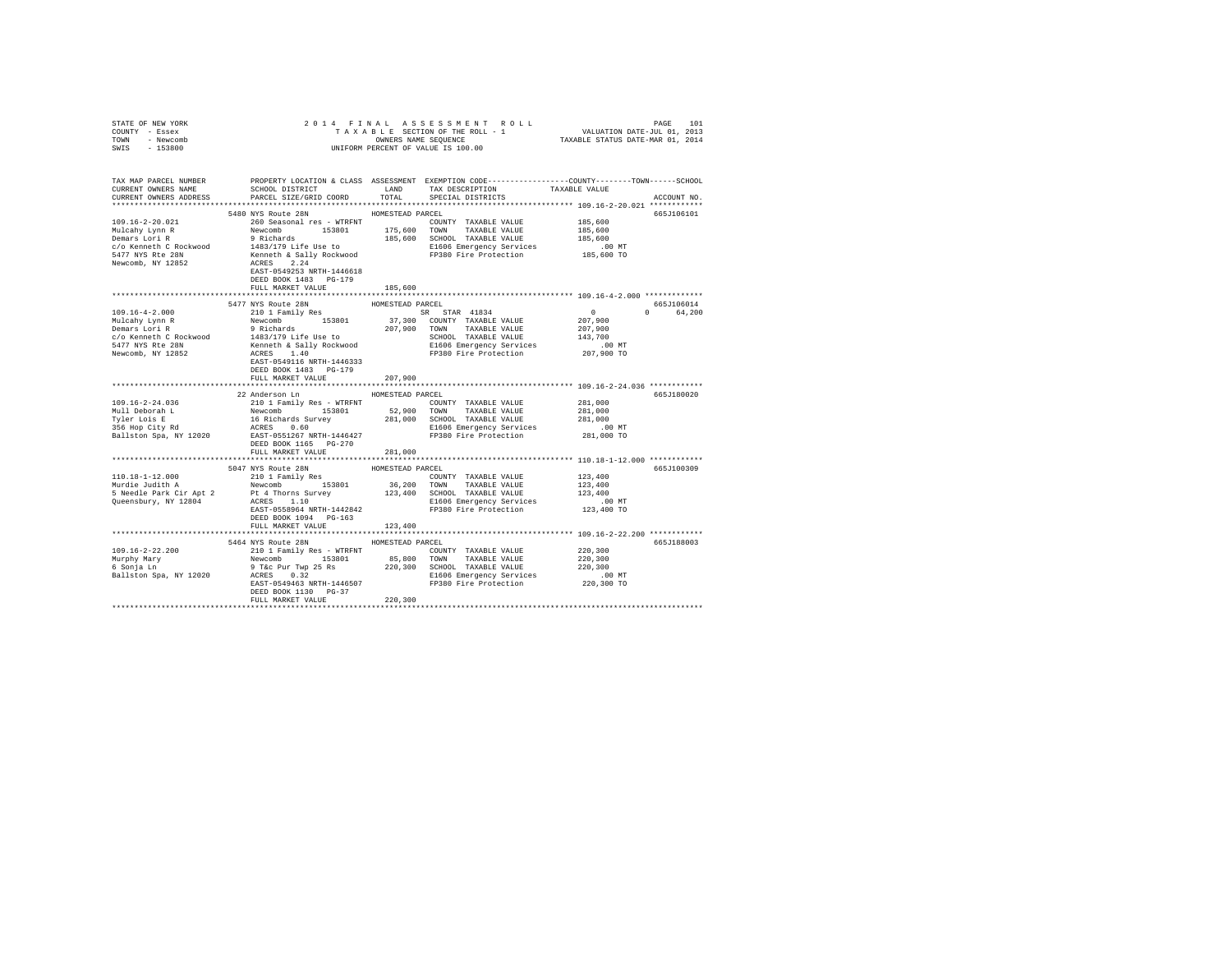| STATE OF NEW YORK      |                                                                                                                                                                                                                                                                                                                                                                |                  |                              |             |
|------------------------|----------------------------------------------------------------------------------------------------------------------------------------------------------------------------------------------------------------------------------------------------------------------------------------------------------------------------------------------------------------|------------------|------------------------------|-------------|
| COUNTY - Essex         |                                                                                                                                                                                                                                                                                                                                                                |                  |                              |             |
| TOWN - Newcomb         |                                                                                                                                                                                                                                                                                                                                                                |                  |                              |             |
| SWIS - 153800          |                                                                                                                                                                                                                                                                                                                                                                |                  |                              |             |
|                        |                                                                                                                                                                                                                                                                                                                                                                |                  |                              |             |
|                        |                                                                                                                                                                                                                                                                                                                                                                |                  |                              |             |
|                        | TAX MAP PARCEL NUMBER PROPERTY LOCATION & CLASS ASSESSMENT EXEMPTION CORE--------------COUNT-------SCHOOL DER<br>CURRENT OWNERS NAME SCHOOL DISTRICT CONTENTS LAND TAX DESCRIPTION TAXABLE VALUE VALUE<br>SCHOOL DISTRICT LAND                                                                                                                                 |                  |                              |             |
| CURRENT OWNERS ADDRESS | PARCEL SIZE/GRID COORD                                                                                                                                                                                                                                                                                                                                         | TOTAL            | SPECIAL DISTRICTS            | ACCOUNT NO. |
|                        |                                                                                                                                                                                                                                                                                                                                                                |                  |                              |             |
|                        |                                                                                                                                                                                                                                                                                                                                                                |                  |                              |             |
|                        | 5480 NYS Route 28N                                                                                                                                                                                                                                                                                                                                             | HOMESTEAD PARCEL |                              | 665J106101  |
| 109.16-2-20.021        | 260 Seasonal res - WTRFNT                                                                                                                                                                                                                                                                                                                                      |                  | COUNTY TAXABLE VALUE 185,600 |             |
|                        |                                                                                                                                                                                                                                                                                                                                                                |                  |                              |             |
|                        |                                                                                                                                                                                                                                                                                                                                                                |                  |                              |             |
|                        |                                                                                                                                                                                                                                                                                                                                                                |                  |                              |             |
|                        |                                                                                                                                                                                                                                                                                                                                                                |                  |                              |             |
|                        | Nuclearly Lynn R<br>Nuclearly Lynn R<br>Nuclearly Lynn R<br>2001 - 19 Richards 19801 - 175,600 TOWN TAXABLE VALUE 185,600<br>2001 - 185,600 - 185,600 - 185,600 - 185,600 - 185,600 - 185,600 - 185,600 - 185,600 - 185,600 - 185,600                                                                                                                          |                  |                              |             |
|                        |                                                                                                                                                                                                                                                                                                                                                                |                  |                              |             |
|                        | DEED BOOK 1483 PG-179                                                                                                                                                                                                                                                                                                                                          |                  |                              |             |
|                        | FULL MARKET VALUE                                                                                                                                                                                                                                                                                                                                              | 185,600          |                              |             |
|                        |                                                                                                                                                                                                                                                                                                                                                                |                  |                              |             |
|                        | 5477 NYS Route 28N                                                                                                                                                                                                                                                                                                                                             | HOMESTEAD PARCEL |                              | 665J106014  |
|                        |                                                                                                                                                                                                                                                                                                                                                                |                  |                              | 0 64,200    |
|                        |                                                                                                                                                                                                                                                                                                                                                                |                  |                              |             |
|                        |                                                                                                                                                                                                                                                                                                                                                                |                  |                              |             |
|                        |                                                                                                                                                                                                                                                                                                                                                                |                  |                              |             |
|                        |                                                                                                                                                                                                                                                                                                                                                                |                  |                              |             |
|                        |                                                                                                                                                                                                                                                                                                                                                                |                  |                              |             |
|                        |                                                                                                                                                                                                                                                                                                                                                                |                  |                              |             |
|                        |                                                                                                                                                                                                                                                                                                                                                                |                  |                              |             |
|                        | FULL MARKET VALUE 207.900                                                                                                                                                                                                                                                                                                                                      |                  |                              |             |
|                        |                                                                                                                                                                                                                                                                                                                                                                |                  |                              |             |
|                        | 22 Anderson Ln HOMESTEAD PARCEL                                                                                                                                                                                                                                                                                                                                |                  |                              | 665J180020  |
|                        |                                                                                                                                                                                                                                                                                                                                                                |                  |                              |             |
|                        |                                                                                                                                                                                                                                                                                                                                                                |                  |                              |             |
|                        |                                                                                                                                                                                                                                                                                                                                                                |                  |                              |             |
|                        |                                                                                                                                                                                                                                                                                                                                                                |                  |                              |             |
|                        |                                                                                                                                                                                                                                                                                                                                                                |                  |                              |             |
|                        |                                                                                                                                                                                                                                                                                                                                                                |                  |                              |             |
|                        |                                                                                                                                                                                                                                                                                                                                                                |                  |                              |             |
|                        | FULL MARKET VALUE                                                                                                                                                                                                                                                                                                                                              | 281,000          |                              |             |
|                        |                                                                                                                                                                                                                                                                                                                                                                |                  |                              |             |
|                        |                                                                                                                                                                                                                                                                                                                                                                |                  |                              | 665J100309  |
|                        |                                                                                                                                                                                                                                                                                                                                                                |                  |                              |             |
|                        | $\begin{tabular}{l c c c c c} \hline & & $5047$ WYS  \hline & & $5046$ WUSTRAD PAKCEL \\[.05cm] \hline & 110.18-1-12.000 & 5047 WYS  \hline & 2101 Fami1y Res & 1090887EAD PAKCEL \\[.05cm] \hline & 2101 Fami & 123,400 & 153801 & 36,200 TWM & TAXABLE VALUE & 123,400 \\[.05cm] \hline & 5 Needle Park Cir Apt 2 & Pt 4 Thorms Survey & 123,400 SCHOMD TAX$ |                  |                              |             |
|                        |                                                                                                                                                                                                                                                                                                                                                                |                  |                              |             |
|                        |                                                                                                                                                                                                                                                                                                                                                                |                  |                              |             |
|                        |                                                                                                                                                                                                                                                                                                                                                                |                  |                              |             |
|                        | DEED BOOK 1094 PG-163                                                                                                                                                                                                                                                                                                                                          |                  |                              |             |
|                        | FULL MARKET VALUE                                                                                                                                                                                                                                                                                                                                              | 123,400          |                              |             |
|                        |                                                                                                                                                                                                                                                                                                                                                                |                  |                              |             |
|                        | 5464 NYS Route 28N HOMESTEAD PARCEL                                                                                                                                                                                                                                                                                                                            |                  |                              | 665J188003  |
|                        |                                                                                                                                                                                                                                                                                                                                                                |                  |                              |             |
|                        |                                                                                                                                                                                                                                                                                                                                                                |                  |                              |             |
|                        |                                                                                                                                                                                                                                                                                                                                                                |                  |                              |             |
|                        |                                                                                                                                                                                                                                                                                                                                                                |                  |                              |             |
|                        |                                                                                                                                                                                                                                                                                                                                                                |                  |                              |             |
|                        |                                                                                                                                                                                                                                                                                                                                                                |                  |                              |             |
|                        | DEED BOOK 1130 PG-37<br>FULL MARKET VALUE 220,300                                                                                                                                                                                                                                                                                                              |                  |                              |             |
|                        |                                                                                                                                                                                                                                                                                                                                                                |                  |                              |             |
|                        |                                                                                                                                                                                                                                                                                                                                                                |                  |                              |             |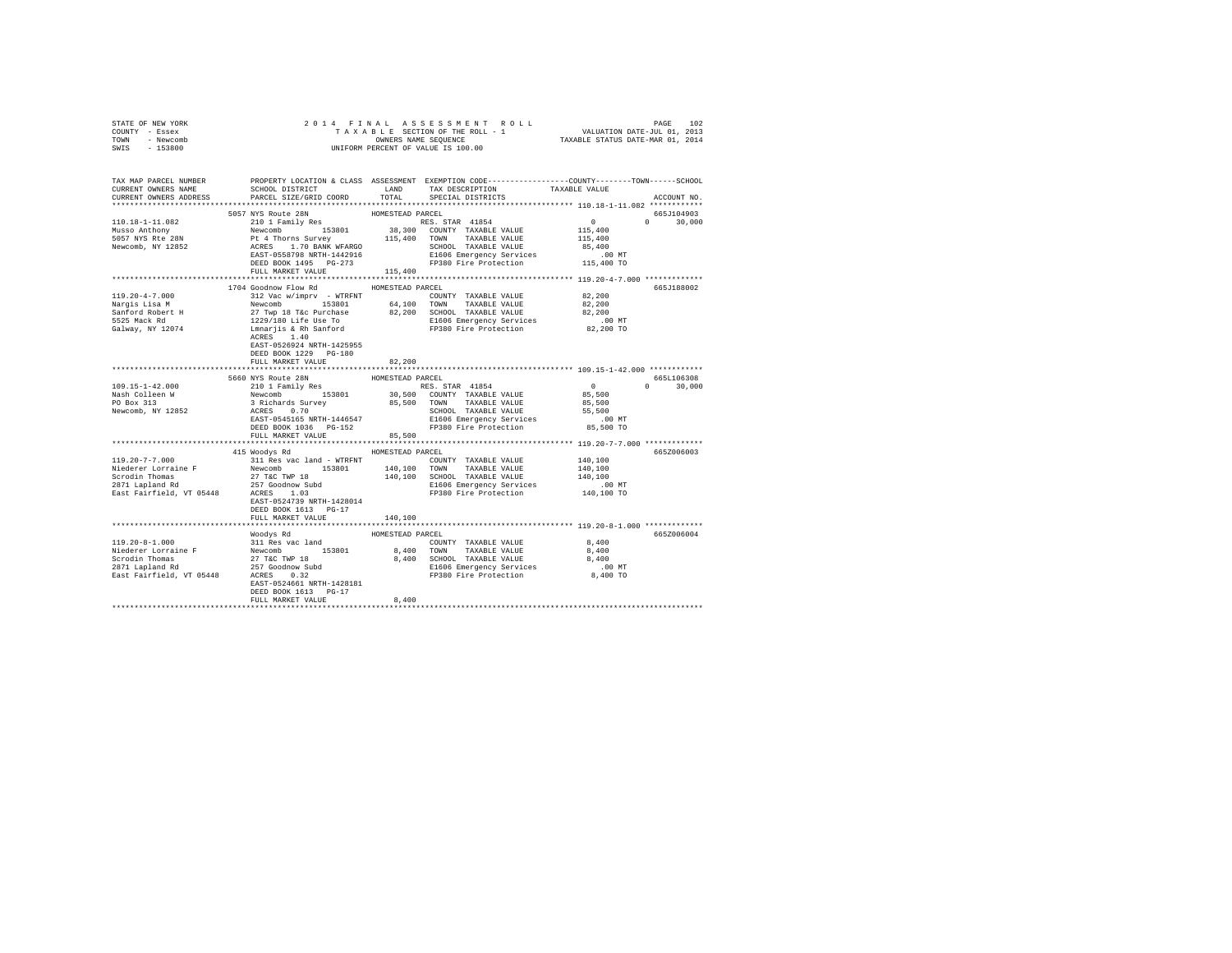| STATE OF NEW YORK            |                                                                                                                                                                                                                                                                                                                                                                                                                       |                  |                                    |                                                    |               |
|------------------------------|-----------------------------------------------------------------------------------------------------------------------------------------------------------------------------------------------------------------------------------------------------------------------------------------------------------------------------------------------------------------------------------------------------------------------|------------------|------------------------------------|----------------------------------------------------|---------------|
| COUNTY - Essex               |                                                                                                                                                                                                                                                                                                                                                                                                                       |                  |                                    |                                                    |               |
| TOWN - Newcomb               |                                                                                                                                                                                                                                                                                                                                                                                                                       |                  |                                    |                                                    |               |
| SWIS - 153800                |                                                                                                                                                                                                                                                                                                                                                                                                                       |                  |                                    |                                                    |               |
|                              |                                                                                                                                                                                                                                                                                                                                                                                                                       |                  |                                    |                                                    |               |
|                              |                                                                                                                                                                                                                                                                                                                                                                                                                       |                  |                                    |                                                    |               |
|                              | TAX MAP PARCEL NUMBER THE PROPERTY LOCATION & CLASS ASSESSMENT EXEMPTION CODE--------------COUNTY-------TOWN------SCHOOL                                                                                                                                                                                                                                                                                              |                  |                                    |                                                    |               |
| CURRENT OWNERS NAME          | SCHOOL DISTRICT                                                                                                                                                                                                                                                                                                                                                                                                       |                  | LAND TAX DESCRIPTION TAXABLE VALUE |                                                    |               |
| CURRENT OWNERS ADDRESS       | PARCEL SIZE/GRID COORD                                                                                                                                                                                                                                                                                                                                                                                                | TOTAL            | SPECIAL DISTRICTS                  |                                                    | ACCOUNT NO.   |
|                              |                                                                                                                                                                                                                                                                                                                                                                                                                       |                  |                                    |                                                    |               |
|                              | 5057 NYS Route 28N<br>210 1 Family Res                                                                                                                                                                                                                                                                                                                                                                                | HOMESTEAD PARCEL |                                    |                                                    | 665J104903    |
|                              |                                                                                                                                                                                                                                                                                                                                                                                                                       |                  |                                    | $\begin{smallmatrix}&&0\0115,400\end{smallmatrix}$ | $0 \t 30.000$ |
|                              |                                                                                                                                                                                                                                                                                                                                                                                                                       |                  |                                    |                                                    |               |
|                              |                                                                                                                                                                                                                                                                                                                                                                                                                       |                  |                                    | 115,400                                            |               |
|                              |                                                                                                                                                                                                                                                                                                                                                                                                                       |                  |                                    | 85,400                                             |               |
|                              |                                                                                                                                                                                                                                                                                                                                                                                                                       |                  |                                    | .00 MT                                             |               |
|                              |                                                                                                                                                                                                                                                                                                                                                                                                                       |                  |                                    | 115,400 TO                                         |               |
|                              | FULL MARKET VALUE 115,400                                                                                                                                                                                                                                                                                                                                                                                             |                  |                                    |                                                    |               |
|                              |                                                                                                                                                                                                                                                                                                                                                                                                                       |                  |                                    |                                                    |               |
|                              | 1704 Goodnow Flow Rd MOMESTEAD PARCEL                                                                                                                                                                                                                                                                                                                                                                                 |                  |                                    |                                                    | 665J188002    |
| $119.20 - 4 - 7.000$         | 312 Vac w/imprv - WTRFNT                                                                                                                                                                                                                                                                                                                                                                                              |                  | COUNTY TAXABLE VALUE               | 82,200                                             |               |
| Nargis Lisa M                | Newcomb 153801 64,100 TOWN TAXABLE VALUE                                                                                                                                                                                                                                                                                                                                                                              |                  |                                    | 82,200                                             |               |
|                              |                                                                                                                                                                                                                                                                                                                                                                                                                       |                  |                                    | 82,200                                             |               |
|                              |                                                                                                                                                                                                                                                                                                                                                                                                                       |                  |                                    | 00 MT.<br>82,200 TO                                |               |
|                              | Mary San Ford Robert H 27 Twp 18 Tac Purchase 82,200 SCHOOL TAXABLE VALUE<br>San Ford Robert H 27 Twp 18 Tac Purchase 82,200 SCHOOL TAXABLE VALUE<br>5525 Mack Rd 1229/180 Life Use To E1606 Emergency Services<br>Galway, NY 12074                                                                                                                                                                                   |                  |                                    |                                                    |               |
|                              |                                                                                                                                                                                                                                                                                                                                                                                                                       |                  |                                    |                                                    |               |
|                              | EAST-0526924 NRTH-1425955                                                                                                                                                                                                                                                                                                                                                                                             |                  |                                    |                                                    |               |
|                              | DEED BOOK 1229 PG-180                                                                                                                                                                                                                                                                                                                                                                                                 |                  |                                    |                                                    |               |
|                              | FULL MARKET VALUE                                                                                                                                                                                                                                                                                                                                                                                                     | 82,200           |                                    |                                                    |               |
|                              |                                                                                                                                                                                                                                                                                                                                                                                                                       |                  |                                    |                                                    |               |
|                              | $\begin{tabular}{c c c c c c c c} \texttt{5660} \texttt{MYS} \texttt{ Route 28N} & \texttt{HOMESTEAD PARCEL} & \texttt{BARCEL} \\ \texttt{210} 1 & \texttt{220} 1 & \texttt{230} 0 & \texttt{CODNTY} & \texttt{TAXABLE} \texttt{VALUE} \\ \texttt{34} & \texttt{Newcomb} & \texttt{153801} & \texttt{30,500} & \texttt{CODNTY} & \texttt{TAXABLE} \texttt{VALUE} \\ \texttt{3 RICEARIS} \texttt{SLDRE} & \texttt{0.7$ |                  |                                    |                                                    | 665L106308    |
| 109.15-1-42.000              |                                                                                                                                                                                                                                                                                                                                                                                                                       |                  |                                    | $0$<br>85,500<br>85,500                            | $0 \t 30.000$ |
|                              |                                                                                                                                                                                                                                                                                                                                                                                                                       |                  |                                    |                                                    |               |
| Nash Colleen W<br>PO Box 313 |                                                                                                                                                                                                                                                                                                                                                                                                                       |                  |                                    |                                                    |               |
| Newcomb, NY 12852            |                                                                                                                                                                                                                                                                                                                                                                                                                       |                  | SCHOOL TAXABLE VALUE               | 55,500                                             |               |
|                              |                                                                                                                                                                                                                                                                                                                                                                                                                       |                  |                                    | .00 MT                                             |               |
|                              |                                                                                                                                                                                                                                                                                                                                                                                                                       |                  |                                    | 85,500 TO                                          |               |
|                              | FULL MARKET VALUE                                                                                                                                                                                                                                                                                                                                                                                                     | 85,500           |                                    |                                                    |               |
|                              |                                                                                                                                                                                                                                                                                                                                                                                                                       |                  |                                    |                                                    |               |
|                              | 415 Woodys Rd                                                                                                                                                                                                                                                                                                                                                                                                         | HOMESTEAD PARCEL |                                    |                                                    | 665Z006003    |
|                              |                                                                                                                                                                                                                                                                                                                                                                                                                       |                  |                                    | 140,100                                            |               |
|                              |                                                                                                                                                                                                                                                                                                                                                                                                                       |                  |                                    | 140,100                                            |               |
|                              |                                                                                                                                                                                                                                                                                                                                                                                                                       |                  |                                    | 140,100                                            |               |
|                              |                                                                                                                                                                                                                                                                                                                                                                                                                       |                  |                                    |                                                    |               |
|                              |                                                                                                                                                                                                                                                                                                                                                                                                                       |                  |                                    | .00 MT.<br>140,100 TO                              |               |
|                              | EAST-0524739 NRTH-1428014                                                                                                                                                                                                                                                                                                                                                                                             |                  |                                    |                                                    |               |
|                              | DEED BOOK 1613 PG-17                                                                                                                                                                                                                                                                                                                                                                                                  |                  |                                    |                                                    |               |
|                              | FULL MARKET VALUE                                                                                                                                                                                                                                                                                                                                                                                                     | 140,100          |                                    |                                                    |               |
|                              |                                                                                                                                                                                                                                                                                                                                                                                                                       |                  |                                    |                                                    |               |
|                              |                                                                                                                                                                                                                                                                                                                                                                                                                       |                  |                                    |                                                    |               |
|                              |                                                                                                                                                                                                                                                                                                                                                                                                                       |                  |                                    |                                                    |               |
|                              | Woodys Rd                                                                                                                                                                                                                                                                                                                                                                                                             | HOMESTEAD PARCEL |                                    |                                                    | 665Z006004    |
|                              |                                                                                                                                                                                                                                                                                                                                                                                                                       |                  |                                    |                                                    |               |
|                              |                                                                                                                                                                                                                                                                                                                                                                                                                       |                  |                                    |                                                    |               |
|                              |                                                                                                                                                                                                                                                                                                                                                                                                                       |                  |                                    |                                                    |               |
|                              |                                                                                                                                                                                                                                                                                                                                                                                                                       |                  |                                    |                                                    |               |
|                              |                                                                                                                                                                                                                                                                                                                                                                                                                       |                  |                                    |                                                    |               |
|                              |                                                                                                                                                                                                                                                                                                                                                                                                                       |                  |                                    |                                                    |               |
|                              | DEED BOOK 1613 PG-17                                                                                                                                                                                                                                                                                                                                                                                                  |                  |                                    |                                                    |               |
|                              | FULL MARKET VALUE                                                                                                                                                                                                                                                                                                                                                                                                     | 8,400            |                                    |                                                    |               |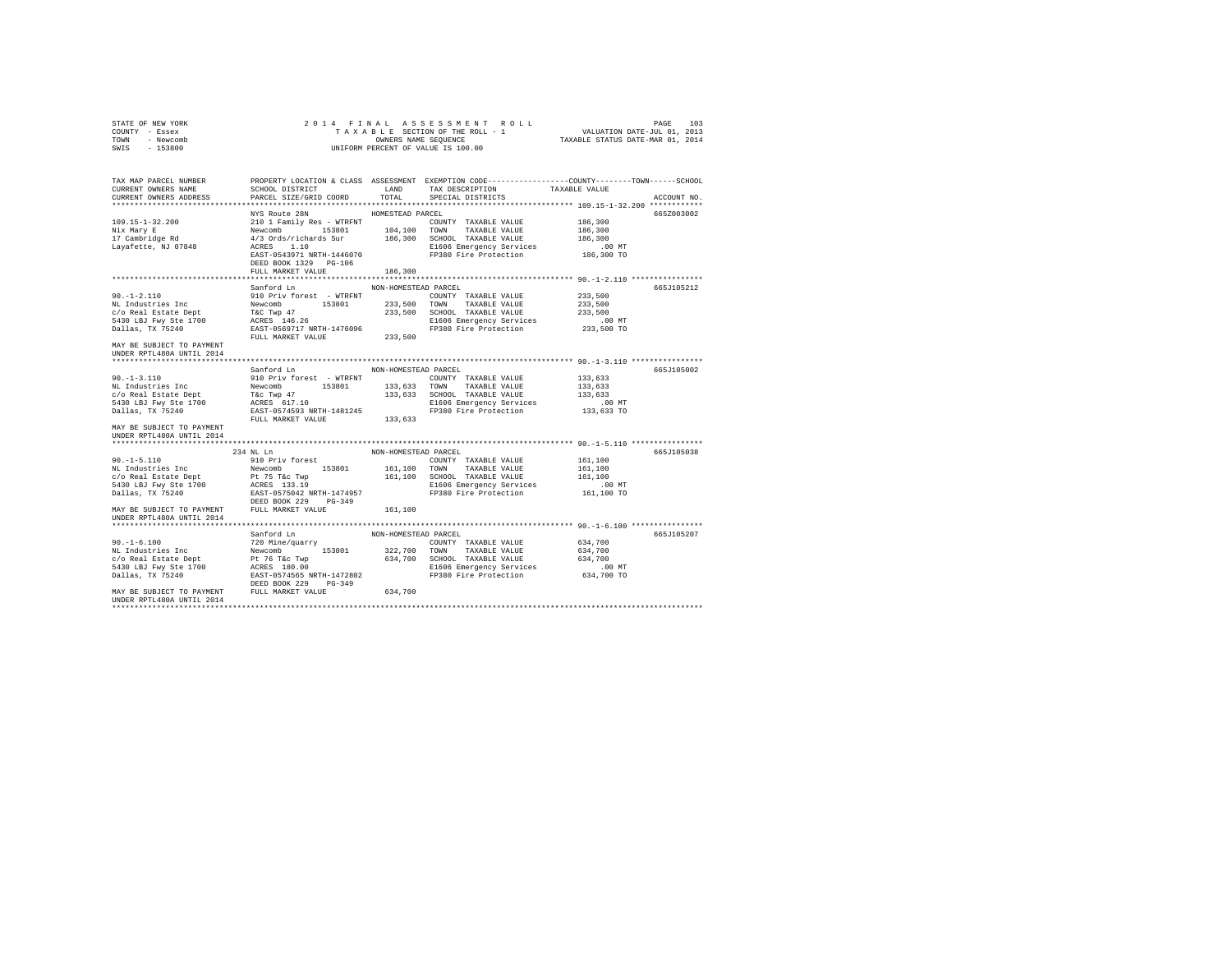| STATE OF NEW YORK<br>COUNTY - Essex<br>TOWN - Newcomb<br>SWIS - 153800                                                                                                                                                                                                                           |                                                             |                             | 2014 FINAL ASSESSMENT ROLL<br>UNIFORM PERCENT OF VALUE IS 100.00                                                                                                                                                                                                         | TAXABLE SECTION OF THE ROLL TRANSPORTED TAXABLE TAXABLE SECTION OF THE ROLL - 1<br>TAXABLE SECTION OF THE ROLL - 1<br>TAXABLE STATUS DATE-MAR 01, 2014 |  |
|--------------------------------------------------------------------------------------------------------------------------------------------------------------------------------------------------------------------------------------------------------------------------------------------------|-------------------------------------------------------------|-----------------------------|--------------------------------------------------------------------------------------------------------------------------------------------------------------------------------------------------------------------------------------------------------------------------|--------------------------------------------------------------------------------------------------------------------------------------------------------|--|
| TAX MAP PARCEL NUMBER<br>CURRENT OWNERS NAME<br>CURRENT OWNERS ADDRESS                                                                                                                                                                                                                           |                                                             |                             |                                                                                                                                                                                                                                                                          | PROPERTY LOCATION & CLASS ASSESSMENT EXEMPTION CODE---------------COUNTY-------TOWN------SCHOOL<br>ACCOUNT NO.                                         |  |
| 109.15-1-32.200<br>Nix Mary E<br>17 Cambridge Rd<br>Layafette, NJ 07848                                                                                                                                                                                                                          | NYS Route 28N<br>DEED BOOK 1329 PG-106<br>FULL MARKET VALUE | HOMESTEAD PARCEL<br>186,300 | AND ANNE CONTY TAXABLE VALUE 186,300<br>210 1 Family Res - WTRFNT 104,100 TOWNT TAXABLE VALUE 186,300<br>4/3 Ords/richards Sur 186,300 SCHOOL TAXABLE VALUE 186,300<br>4/3 Ords/richards Sur 186,300 SCHOOL TAXABLE VALUE 186,300<br>A                                   | 6657003002                                                                                                                                             |  |
|                                                                                                                                                                                                                                                                                                  |                                                             |                             |                                                                                                                                                                                                                                                                          |                                                                                                                                                        |  |
| 90.-1-2.110<br>NL Industries Inc<br>c/o Real Estate Dept<br>c/o Real Estate Dept<br>5430 LBJ Fwy Ste 1700<br>Dallas, TX 75240<br>Dallas, TX 75240<br>MAY BE SUBJECT TO PAYMENT<br>UNDER RPTL480A UNTIL 2014                                                                                      | Sanford Ln<br>910 Priv forest - WTRFNT                      | NON-HOMESTEAD PARCEL        | COUNTY TAXABLE VALUE 233,500<br>910 PTN TOTES<br>Newcomb 153801 233,500 TOWN TAXABLE VALUE 233,500<br>Newcomb 153801 233,500 TOWN TAXABLE VALUE 233,500<br>T&C Twp 47 233,500 SCHOOL TAXABLE VALUE 233,500<br>ACRES 146.26 B1606 Emergency Services .00 NT<br>EAST-05697 | 665J105212                                                                                                                                             |  |
| 90.-1-3.110<br>90.-1-3.110<br>NE Industries The SUD Priv forest - WTRFNT<br>NE IN COUNTY TAXABLE VALUE<br>NEW 153801<br>133,633 SCHOOL TAXABLE VALUE<br>FAC TWP 47<br>133,633 SCHOOL TAXABLE VALUE<br>133,633 SCHOOL TAXABLE VALUE<br><br>MAY BE SUBJECT TO PAYMENT<br>UNDER RPTL480A UNTIL 2014 | Sanford Ln                                                  | NON-HOMESTEAD PARCEL        |                                                                                                                                                                                                                                                                          | 665J105002<br>133,633<br>133,633<br>133,633<br>.00 MT.<br>133,633 TO                                                                                   |  |
|                                                                                                                                                                                                                                                                                                  |                                                             |                             |                                                                                                                                                                                                                                                                          |                                                                                                                                                        |  |
| $90. -1 - 5.110$                                                                                                                                                                                                                                                                                 | 234 NL Ln<br>910 Priv forest                                | NON-HOMESTEAD PARCEL        | COUNTY TAXABLE VALUE<br>E1606 Emergency Services<br>FP380 Fire Protection                                                                                                                                                                                                | 665J105038<br>161,100<br>161,100<br>161,100<br>.00 MT<br>161,100 TO                                                                                    |  |
| UNDER RPTL480A UNTIL 2014                                                                                                                                                                                                                                                                        |                                                             |                             |                                                                                                                                                                                                                                                                          |                                                                                                                                                        |  |
|                                                                                                                                                                                                                                                                                                  | Sanford Ln                                                  | NON-HOMESTEAD PARCEL        |                                                                                                                                                                                                                                                                          | 665J105207                                                                                                                                             |  |
|                                                                                                                                                                                                                                                                                                  |                                                             |                             |                                                                                                                                                                                                                                                                          |                                                                                                                                                        |  |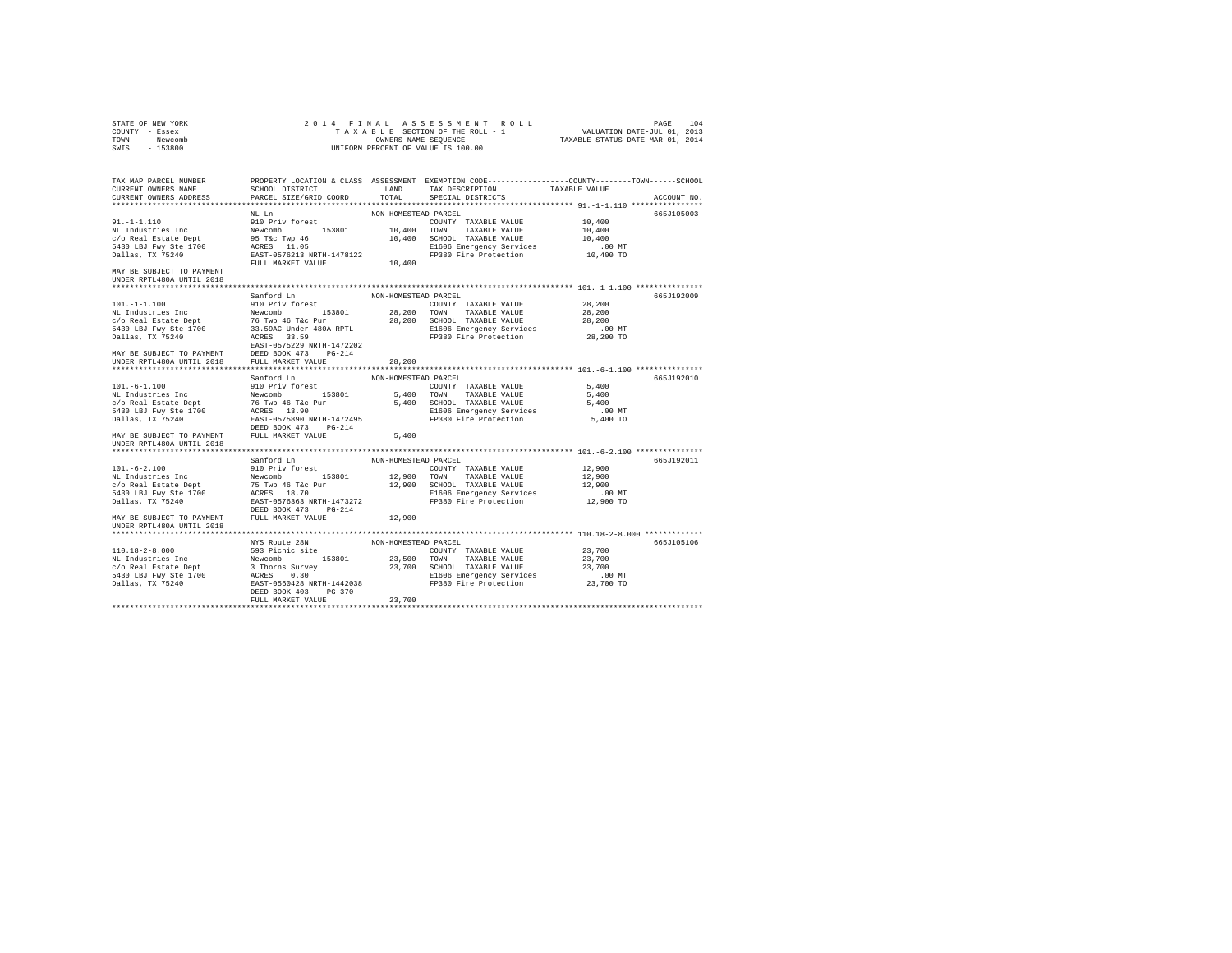| STATE OF NEW YORK<br>COUNTY - Essex<br>TOWN - Newcomb<br>SWIS - 153800                                                                                                                                                                                                                                                                                                                                                                                                                                       |                      |                      |                                                                                                |           |             |
|--------------------------------------------------------------------------------------------------------------------------------------------------------------------------------------------------------------------------------------------------------------------------------------------------------------------------------------------------------------------------------------------------------------------------------------------------------------------------------------------------------------|----------------------|----------------------|------------------------------------------------------------------------------------------------|-----------|-------------|
| TAX MAP PARCEL NUMBER                                                                                                                                                                                                                                                                                                                                                                                                                                                                                        |                      |                      | PROPERTY LOCATION & CLASS ASSESSMENT EXEMPTION CODE---------------COUNTY-------TOWN-----SCHOOL |           | ACCOUNT NO. |
|                                                                                                                                                                                                                                                                                                                                                                                                                                                                                                              |                      |                      |                                                                                                |           | 665J105003  |
|                                                                                                                                                                                                                                                                                                                                                                                                                                                                                                              |                      |                      |                                                                                                |           |             |
|                                                                                                                                                                                                                                                                                                                                                                                                                                                                                                              |                      |                      |                                                                                                |           |             |
|                                                                                                                                                                                                                                                                                                                                                                                                                                                                                                              |                      |                      |                                                                                                |           |             |
|                                                                                                                                                                                                                                                                                                                                                                                                                                                                                                              |                      |                      |                                                                                                |           |             |
|                                                                                                                                                                                                                                                                                                                                                                                                                                                                                                              |                      |                      |                                                                                                |           |             |
|                                                                                                                                                                                                                                                                                                                                                                                                                                                                                                              |                      |                      |                                                                                                |           |             |
| MAY BE SUBJECT TO PAYMENT<br>UNDER RPTL480A UNTIL 2018                                                                                                                                                                                                                                                                                                                                                                                                                                                       |                      |                      |                                                                                                |           |             |
| 101.-1-1.100<br>101.-1-1.100<br>101.-1-1.100<br>28,200<br>NAY BE SURFER PARCEL<br>NON-HOMESTERD PARCEL<br>28,200<br>28,200<br>28,200<br>28,200<br>28,200<br>28,200<br>28,200<br>28,200<br>28,200<br>28,200<br>28,200<br>28,200<br>28,200<br>28,200<br>28,200<br>28,200<br>                                                                                                                                                                                                                                   |                      |                      |                                                                                                |           | 665J192009  |
|                                                                                                                                                                                                                                                                                                                                                                                                                                                                                                              |                      |                      |                                                                                                |           |             |
|                                                                                                                                                                                                                                                                                                                                                                                                                                                                                                              |                      |                      |                                                                                                |           |             |
|                                                                                                                                                                                                                                                                                                                                                                                                                                                                                                              |                      |                      |                                                                                                |           |             |
|                                                                                                                                                                                                                                                                                                                                                                                                                                                                                                              |                      |                      |                                                                                                | $.00$ MT  |             |
|                                                                                                                                                                                                                                                                                                                                                                                                                                                                                                              |                      |                      |                                                                                                | 28,200 TO |             |
|                                                                                                                                                                                                                                                                                                                                                                                                                                                                                                              |                      |                      |                                                                                                |           |             |
|                                                                                                                                                                                                                                                                                                                                                                                                                                                                                                              |                      |                      |                                                                                                |           |             |
|                                                                                                                                                                                                                                                                                                                                                                                                                                                                                                              |                      |                      |                                                                                                |           |             |
|                                                                                                                                                                                                                                                                                                                                                                                                                                                                                                              |                      |                      |                                                                                                |           | 665J192010  |
|                                                                                                                                                                                                                                                                                                                                                                                                                                                                                                              |                      |                      |                                                                                                |           |             |
|                                                                                                                                                                                                                                                                                                                                                                                                                                                                                                              |                      |                      |                                                                                                |           |             |
|                                                                                                                                                                                                                                                                                                                                                                                                                                                                                                              |                      |                      |                                                                                                |           |             |
|                                                                                                                                                                                                                                                                                                                                                                                                                                                                                                              |                      |                      |                                                                                                | $.00$ MT  |             |
|                                                                                                                                                                                                                                                                                                                                                                                                                                                                                                              |                      |                      |                                                                                                | 5,400 TO  |             |
|                                                                                                                                                                                                                                                                                                                                                                                                                                                                                                              |                      |                      |                                                                                                |           |             |
| $\begin{tabular}{l c c c c c} \multicolumn{1}{c}{\text{\small\bf{MIMF}}}\begin{tabular}{1.5cm}\multicolumn{1}{c}{\text{\small\bf{MIMF}}}\begin{tabular}{1.5cm}\multicolumn{1}{c}{\text{\small\bf{MOMF}}}\begin{tabular}{1.5cm}\multicolumn{1}{c}{\text{\small\bf{MOMF}}}\begin{tabular}{1.5cm}\multicolumn{1}{c}{\text{\small\bf{MOMF}}}\begin{tabular}{1.5cm}\multicolumn{1}{c}{\text{\small\bf{MOMF}}}\begin{tabular}{1.5cm}\multicolumn{1}{c}{\text{\small\bf{MOMF}}}\begin$<br>UNDER RPTL480A UNTIL 2018 |                      |                      |                                                                                                |           |             |
|                                                                                                                                                                                                                                                                                                                                                                                                                                                                                                              |                      |                      |                                                                                                |           |             |
|                                                                                                                                                                                                                                                                                                                                                                                                                                                                                                              | Sanford Ln           | NON-HOMESTEAD PARCEL |                                                                                                |           | 665J192011  |
|                                                                                                                                                                                                                                                                                                                                                                                                                                                                                                              |                      |                      |                                                                                                |           |             |
| $\begin{tabular}{l c c c c c} \hline 101.-6-2.100 & 910 & Fritv forrest & 12,900 \\ & 910 & Fritv forrest & 153801 & 12,900 & TOMN & TAXABLE VALUE & 12,900 \\ & 153801 & 12,900 & TOMN & TAXABLE VALUE & 12,900 \\ & 641 & 75 & Type 46 T & 12,900 & 12,900 & TOMN & TAXABLE VALUE & 12,900 \\ & 641 & 75 & Type 46 T & 12,900 & 12,900 & TAXABLE VALUE & 1$                                                                                                                                                |                      |                      |                                                                                                |           |             |
|                                                                                                                                                                                                                                                                                                                                                                                                                                                                                                              |                      |                      |                                                                                                |           |             |
|                                                                                                                                                                                                                                                                                                                                                                                                                                                                                                              |                      |                      |                                                                                                |           |             |
|                                                                                                                                                                                                                                                                                                                                                                                                                                                                                                              | DEED BOOK 473 PG-214 |                      |                                                                                                |           |             |
| MAY BE SUBJECT TO PAYMENT FULL MARKET VALUE                                                                                                                                                                                                                                                                                                                                                                                                                                                                  |                      | 12,900               |                                                                                                |           |             |
| UNDER RPTL480A UNTIL 2018                                                                                                                                                                                                                                                                                                                                                                                                                                                                                    |                      |                      |                                                                                                |           |             |
|                                                                                                                                                                                                                                                                                                                                                                                                                                                                                                              |                      |                      |                                                                                                |           |             |
| MYS ROLE 2BN NON-HOMESTEAD PARCEL<br>110.18-2-8.000<br>MYS Route 28N NON-HOMESTEAD PARCEL<br>ML Industries The S93 Picinic site<br>ML Industries The S93 Picinic site<br>C/O Real Estate Pept 3 Thorns Survey 23,700<br>CHOL 23,700 CORENT                                                                                                                                                                                                                                                                   |                      |                      |                                                                                                |           | 665J105106  |
|                                                                                                                                                                                                                                                                                                                                                                                                                                                                                                              |                      |                      |                                                                                                |           |             |
|                                                                                                                                                                                                                                                                                                                                                                                                                                                                                                              |                      |                      |                                                                                                |           |             |
|                                                                                                                                                                                                                                                                                                                                                                                                                                                                                                              |                      |                      |                                                                                                |           |             |
|                                                                                                                                                                                                                                                                                                                                                                                                                                                                                                              |                      |                      |                                                                                                |           |             |
|                                                                                                                                                                                                                                                                                                                                                                                                                                                                                                              |                      |                      |                                                                                                |           |             |
|                                                                                                                                                                                                                                                                                                                                                                                                                                                                                                              | DEED BOOK 403 PG-370 | 23,700               |                                                                                                |           |             |
|                                                                                                                                                                                                                                                                                                                                                                                                                                                                                                              | FULL MARKET VALUE    |                      |                                                                                                |           |             |
|                                                                                                                                                                                                                                                                                                                                                                                                                                                                                                              |                      |                      |                                                                                                |           |             |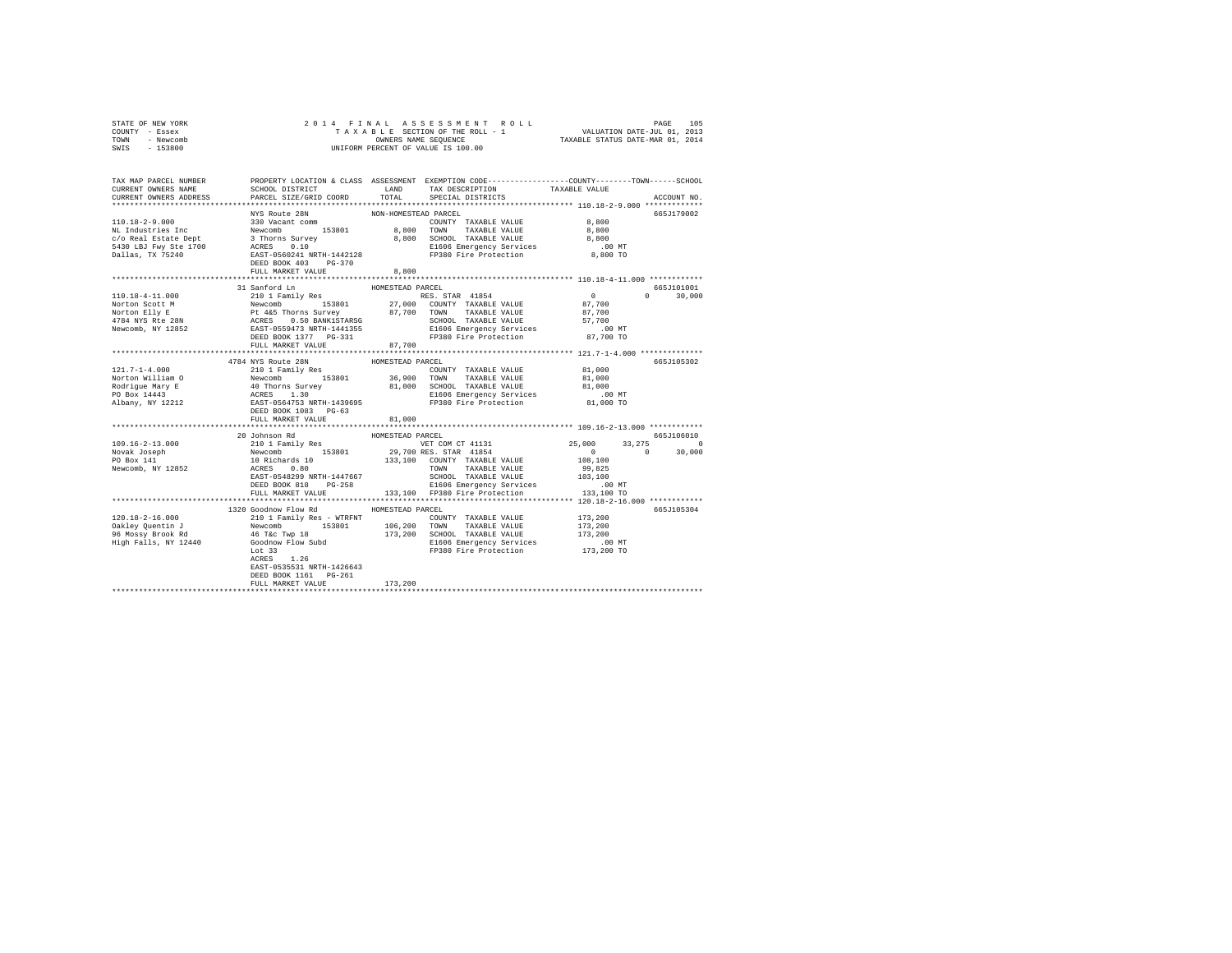| STATE OF NEW YORK<br>COUNTY - Essex<br>TOWN - Newcomb<br>SWIS - 153800                                                                                                                                                                                                                                                                                                                                                   |                                                   |                  |                                                                                                                                                          |                                                |               |
|--------------------------------------------------------------------------------------------------------------------------------------------------------------------------------------------------------------------------------------------------------------------------------------------------------------------------------------------------------------------------------------------------------------------------|---------------------------------------------------|------------------|----------------------------------------------------------------------------------------------------------------------------------------------------------|------------------------------------------------|---------------|
|                                                                                                                                                                                                                                                                                                                                                                                                                          |                                                   |                  |                                                                                                                                                          |                                                |               |
| TAX MAP PARCEL NUMBER PROPERTY LOCATION & CLASS ASSESSMENT EXEMPTION CODE---------------COUNTY-------TOWN-----SCHOOL                                                                                                                                                                                                                                                                                                     |                                                   |                  |                                                                                                                                                          |                                                |               |
| CURRENT OWNERS NAME                                                                                                                                                                                                                                                                                                                                                                                                      |                                                   |                  | ${\tt SCH OOL\ DISTRICT}\qquad \qquad {\tt LAND}\qquad \qquad {\tt TAX\ DESCRIPTION}\qquad \qquad {\tt TAXABLE\ VALUE}$                                  |                                                |               |
| CURRENT OWNERS ADDRESS                                                                                                                                                                                                                                                                                                                                                                                                   | PARCEL SIZE/GRID COORD TOTAL                      |                  | SPECIAL DISTRICTS                                                                                                                                        |                                                | ACCOUNT NO.   |
|                                                                                                                                                                                                                                                                                                                                                                                                                          |                                                   |                  |                                                                                                                                                          |                                                | 665J179002    |
|                                                                                                                                                                                                                                                                                                                                                                                                                          |                                                   |                  |                                                                                                                                                          |                                                |               |
|                                                                                                                                                                                                                                                                                                                                                                                                                          |                                                   |                  |                                                                                                                                                          |                                                |               |
|                                                                                                                                                                                                                                                                                                                                                                                                                          |                                                   |                  |                                                                                                                                                          |                                                |               |
|                                                                                                                                                                                                                                                                                                                                                                                                                          |                                                   |                  |                                                                                                                                                          |                                                |               |
|                                                                                                                                                                                                                                                                                                                                                                                                                          |                                                   |                  |                                                                                                                                                          |                                                |               |
|                                                                                                                                                                                                                                                                                                                                                                                                                          |                                                   |                  |                                                                                                                                                          |                                                |               |
|                                                                                                                                                                                                                                                                                                                                                                                                                          |                                                   |                  |                                                                                                                                                          |                                                |               |
|                                                                                                                                                                                                                                                                                                                                                                                                                          |                                                   |                  |                                                                                                                                                          |                                                |               |
|                                                                                                                                                                                                                                                                                                                                                                                                                          |                                                   |                  |                                                                                                                                                          |                                                | 665J101001    |
|                                                                                                                                                                                                                                                                                                                                                                                                                          |                                                   |                  |                                                                                                                                                          |                                                | $0 \t 30.000$ |
|                                                                                                                                                                                                                                                                                                                                                                                                                          |                                                   |                  |                                                                                                                                                          |                                                |               |
|                                                                                                                                                                                                                                                                                                                                                                                                                          |                                                   |                  |                                                                                                                                                          |                                                |               |
|                                                                                                                                                                                                                                                                                                                                                                                                                          |                                                   |                  |                                                                                                                                                          |                                                |               |
|                                                                                                                                                                                                                                                                                                                                                                                                                          |                                                   |                  |                                                                                                                                                          |                                                |               |
|                                                                                                                                                                                                                                                                                                                                                                                                                          | DEED BOOK 1377 PG-331<br>FULL MARKET VALUE 87,700 |                  |                                                                                                                                                          |                                                |               |
|                                                                                                                                                                                                                                                                                                                                                                                                                          |                                                   |                  |                                                                                                                                                          |                                                |               |
|                                                                                                                                                                                                                                                                                                                                                                                                                          | 4784 NYS Route 28N                                | HOMESTEAD PARCEL |                                                                                                                                                          |                                                | 665J105302    |
| $121.7 - 1 - 4.000$                                                                                                                                                                                                                                                                                                                                                                                                      | 210 1 Family Res                                  |                  | $\begin{array}{cccc}\n\text{COUNTY} & \text{TAXABLE VALUE} & 81,000 \\ \text{TOVY} & \text{mVUNIY} & \text{mVUNIY} & \text{mVUNIY} & 0.000\n\end{array}$ |                                                |               |
|                                                                                                                                                                                                                                                                                                                                                                                                                          |                                                   |                  |                                                                                                                                                          |                                                |               |
|                                                                                                                                                                                                                                                                                                                                                                                                                          |                                                   |                  |                                                                                                                                                          |                                                |               |
|                                                                                                                                                                                                                                                                                                                                                                                                                          |                                                   |                  |                                                                                                                                                          |                                                |               |
| $\begin{tabular}{lcccc} $121.7-1-4.000$ & $210$1 Family Res & \textbf{COMNTY} & \textbf{TAXABLE VALUE} & $4.1,000$ \\ \textbf{Notron William O} & $169.000$ & $153801$ & $36,900$ & TANABLE VALUE & $1,000$ \\ \textbf{Rodrigue Mary E} & 40\text{ Thorms Survey} & 130 & $15301$ & $36,900$ & TANABLE VALUE & $1,000$ \\ \textbf{Polingue Mary E} & 40\text{ Thorms Survey} & 130 & $1000$ & \textbf{SCHODL} & TANABLE$ |                                                   |                  |                                                                                                                                                          |                                                |               |
|                                                                                                                                                                                                                                                                                                                                                                                                                          | FULL MARKET VALUE                                 | 81,000           |                                                                                                                                                          |                                                |               |
|                                                                                                                                                                                                                                                                                                                                                                                                                          |                                                   |                  |                                                                                                                                                          |                                                |               |
|                                                                                                                                                                                                                                                                                                                                                                                                                          |                                                   |                  |                                                                                                                                                          |                                                | 665J106010    |
|                                                                                                                                                                                                                                                                                                                                                                                                                          |                                                   |                  |                                                                                                                                                          |                                                |               |
|                                                                                                                                                                                                                                                                                                                                                                                                                          |                                                   |                  |                                                                                                                                                          | $25,000$ $33,275$ 0<br>0<br>108,100<br>108,100 |               |
| $\begin{tabular}{c c c c} \multicolumn{1}{c c c} \multicolumn{1}{c c c} \multicolumn{1}{c c c} \multicolumn{1}{c c c} \multicolumn{1}{c c c} \multicolumn{1}{c c c} \multicolumn{1}{c c c} \multicolumn{1}{c c c} \multicolumn{1}{c c c} \multicolumn{1}{c c c} \multicolumn{1}{c c c} \multicolumn{1}{c c c} \multicolumn{1}{c c c} \multicolumn{1}{c c c} \multicolumn{1}{c c c} \multicolumn{1}{c c $                 |                                                   |                  |                                                                                                                                                          |                                                |               |
|                                                                                                                                                                                                                                                                                                                                                                                                                          |                                                   |                  |                                                                                                                                                          |                                                |               |
|                                                                                                                                                                                                                                                                                                                                                                                                                          |                                                   |                  |                                                                                                                                                          |                                                |               |
|                                                                                                                                                                                                                                                                                                                                                                                                                          |                                                   |                  |                                                                                                                                                          |                                                |               |
|                                                                                                                                                                                                                                                                                                                                                                                                                          |                                                   |                  |                                                                                                                                                          |                                                |               |
|                                                                                                                                                                                                                                                                                                                                                                                                                          | 1320 Goodnow Flow Rd MOMESTEAD PARCEL             |                  |                                                                                                                                                          |                                                | 665J105304    |
|                                                                                                                                                                                                                                                                                                                                                                                                                          |                                                   |                  |                                                                                                                                                          |                                                |               |
|                                                                                                                                                                                                                                                                                                                                                                                                                          |                                                   |                  |                                                                                                                                                          |                                                |               |
|                                                                                                                                                                                                                                                                                                                                                                                                                          |                                                   |                  |                                                                                                                                                          |                                                |               |
|                                                                                                                                                                                                                                                                                                                                                                                                                          |                                                   |                  |                                                                                                                                                          |                                                |               |
| $\begin{tabular}{l c c c c c c c c} \hline 120.18-2-16.000 & \rule{0pt}{0pt} & \rule{0pt}{0pt} & \rule{0pt}{0pt} & \rule{0pt}{0pt} & \rule{0pt}{0pt} & \rule{0pt}{0pt} & \rule{0pt}{0pt} & \rule{0pt}{0pt} & \rule{0pt}{0pt} & \rule{0pt}{0pt} & \rule{0pt}{0pt} & \rule{0pt}{0pt} & \rule{0pt}{0pt} & \rule{0pt}{0pt} & \rule{0pt}{0pt} & \rule{0pt}{0pt} & \rule{0pt}{0pt} & \rule{0pt}{$                              |                                                   |                  |                                                                                                                                                          |                                                |               |
|                                                                                                                                                                                                                                                                                                                                                                                                                          | EAST-0535531 NRTH-1426643                         |                  |                                                                                                                                                          |                                                |               |
|                                                                                                                                                                                                                                                                                                                                                                                                                          | DEED BOOK 1161    PG-261                          |                  |                                                                                                                                                          |                                                |               |
|                                                                                                                                                                                                                                                                                                                                                                                                                          | FULL MARKET VALUE                                 | 173,200          |                                                                                                                                                          |                                                |               |
|                                                                                                                                                                                                                                                                                                                                                                                                                          |                                                   |                  |                                                                                                                                                          |                                                |               |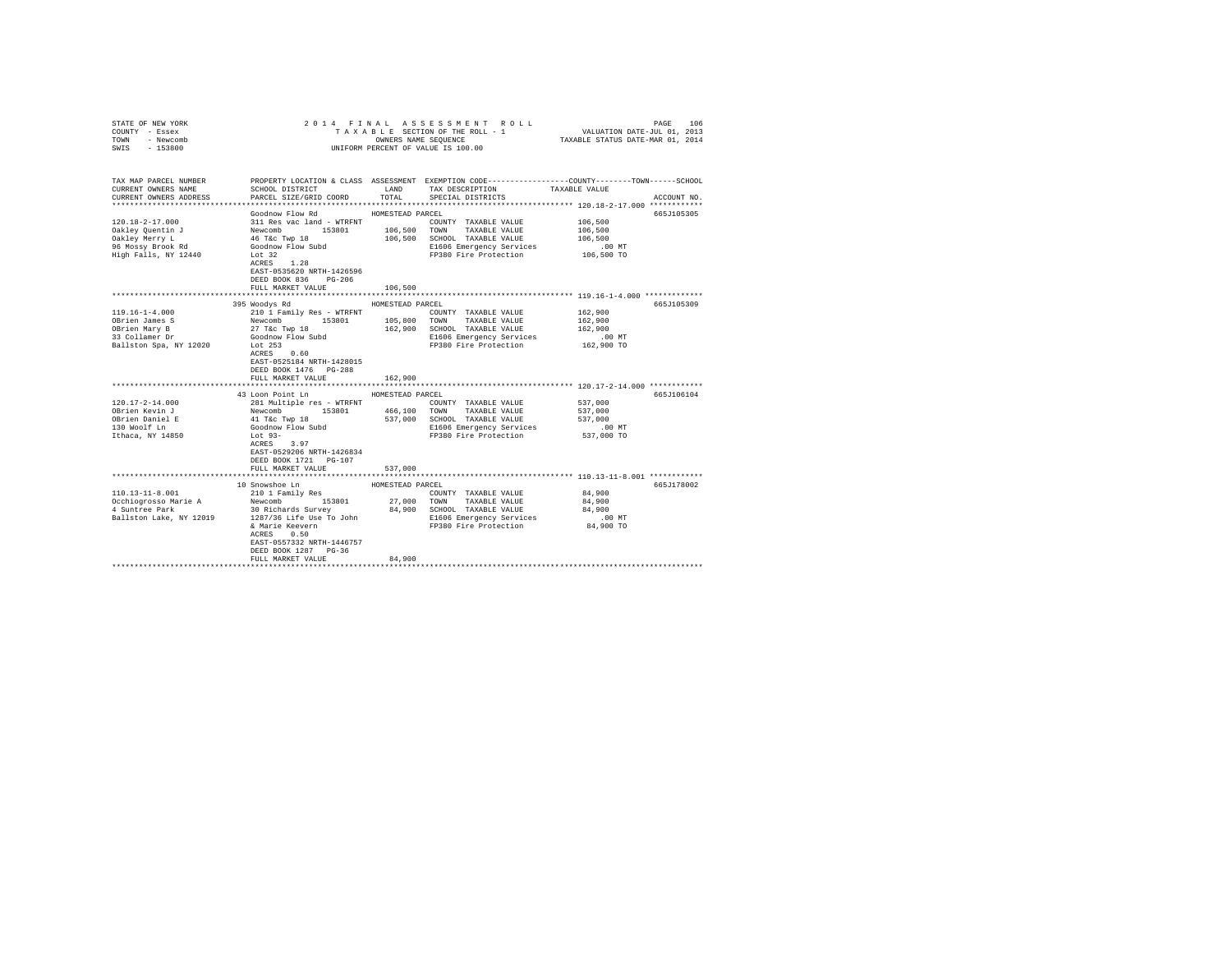| COUNTY - Essex<br>TOWN<br>- Newcomb<br>SWIS<br>$-153800$ | UNIFORM PERCENT OF VALUE IS 100.00                           |                  |                                                                                                                          |                     |             |
|----------------------------------------------------------|--------------------------------------------------------------|------------------|--------------------------------------------------------------------------------------------------------------------------|---------------------|-------------|
| TAX MAP PARCEL NUMBER                                    |                                                              |                  | PROPERTY LOCATION & CLASS ASSESSMENT EXEMPTION CODE----------------COUNTY-------TOWN------SCHOOL<br>LAND TAX DESCRIPTION |                     |             |
| CURRENT OWNERS NAME<br>CURRENT OWNERS ADDRESS            | SCHOOL DISTRICT<br>PARCEL SIZE/GRID COORD                    | TOTAL            | SPECIAL DISTRICTS                                                                                                        | TAXABLE VALUE       | ACCOUNT NO. |
|                                                          |                                                              |                  |                                                                                                                          |                     |             |
|                                                          | Goodnow Flow Rd                                              | HOMESTEAD PARCEL |                                                                                                                          |                     | 665J105305  |
| $120.18 - 2 - 17.000$                                    |                                                              |                  | COUNTY TAXABLE VALUE                                                                                                     | 106,500             |             |
| Oakley Quentin J                                         |                                                              | 106,500          | TOWN TAXABLE VALUE                                                                                                       | 106,500             |             |
| Oakley Merry L                                           | 311 Res vac land - WTRFNT<br>Newcomb 153801<br>46 T&c Twp 18 |                  | 106,500 SCHOOL TAXABLE VALUE                                                                                             | 106,500             |             |
| 96 Mossy Brook Rd                                        | Goodnow Flow Subd                                            |                  | E1606 Emergency Services                                                                                                 | $.00$ MT            |             |
| High Falls, NY 12440                                     | Lot 32                                                       |                  | FP380 Fire Protection                                                                                                    | 106,500 TO          |             |
|                                                          | $ACRES$ 1.28                                                 |                  |                                                                                                                          |                     |             |
|                                                          | EAST-0535620 NRTH-1426596                                    |                  |                                                                                                                          |                     |             |
|                                                          | DEED BOOK 836 PG-206                                         |                  |                                                                                                                          |                     |             |
|                                                          | FULL MARKET VALUE                                            | 106,500          |                                                                                                                          |                     |             |
|                                                          |                                                              |                  | ********************************* 119.16-1-4.000 **************                                                          |                     |             |
|                                                          | 395 Woodys Rd                                                | HOMESTEAD PARCEL |                                                                                                                          |                     | 665J105309  |
| $119.16 - 1 - 4.000$<br>OBrien James S                   | 210 1 Family Res - WTRFNT                                    |                  | COUNTY TAXABLE VALUE<br>105,800 TOWN TAXABLE VALUE                                                                       | 162,900<br>162,900  |             |
| OBrien Mary B                                            | Newcomb 153801<br>27 T&C Twp 18                              |                  | 162,900 SCHOOL TAXABLE VALUE                                                                                             | 162,900             |             |
| 33 Collamer Dr                                           | Goodnow Flow Subd                                            |                  | E1606 Emergency Services                                                                                                 | $.00$ MT            |             |
| Ballston Spa, NY 12020                                   | Lot 253                                                      |                  | FP380 Fire Protection                                                                                                    | 162,900 TO          |             |
|                                                          | ACRES 0.60                                                   |                  |                                                                                                                          |                     |             |
|                                                          | EAST-0525184 NRTH-1428015                                    |                  |                                                                                                                          |                     |             |
|                                                          | DEED BOOK 1476 PG-288                                        |                  |                                                                                                                          |                     |             |
|                                                          | FULL MARKET VALUE                                            | 162,900          |                                                                                                                          |                     |             |
|                                                          |                                                              |                  |                                                                                                                          |                     |             |
|                                                          | 43 Loon Point Ln                                             | HOMESTEAD PARCEL |                                                                                                                          |                     | 665.T106104 |
| 120.17-2-14.000                                          | 281 Multiple res - WTRFNT                                    |                  | COUNTY TAXABLE VALUE                                                                                                     | 537,000             |             |
| OBrien Kevin J                                           | Newcomb 153801                                               |                  | 466.100 TOWN TAXABLE VALUE                                                                                               | 537,000             |             |
| OBrien Daniel E<br>130 Woolf Ln                          | 41 T&c Twp 18<br>Goodnow Flow Subd                           |                  | 537,000 SCHOOL TAXABLE VALUE<br>E1606 Emergency Services                                                                 | 537,000<br>$.00$ MT |             |
| Ithaca, NY 14850                                         | $Lot 93-$                                                    |                  | FP380 Fire Protection                                                                                                    | 537,000 TO          |             |
|                                                          | ACRES 3.97                                                   |                  |                                                                                                                          |                     |             |
|                                                          | EAST-0529206 NRTH-1426834                                    |                  |                                                                                                                          |                     |             |
|                                                          | DEED BOOK 1721 PG-107                                        |                  |                                                                                                                          |                     |             |
|                                                          | FULL MARKET VALUE                                            | 537,000          |                                                                                                                          |                     |             |
|                                                          |                                                              |                  |                                                                                                                          |                     |             |
|                                                          | 10 Snowshoe Ln                                               | HOMESTEAD PARCEL |                                                                                                                          |                     | 665J178002  |
| $110.13 - 11 - 8.001$                                    | 210 1 Family Res                                             |                  | COUNTY TAXABLE VALUE                                                                                                     | 84,900              |             |
| Occhiogrosso Marie A                                     | $Newtonb$ 153801                                             |                  | 27,000 TOWN TAXABLE VALUE                                                                                                | 84,900              |             |
| 4 Suntree Park                                           | 30 Richards Survey                                           |                  | 84,900 SCHOOL TAXABLE VALUE                                                                                              | 84,900              |             |
| Ballston Lake, NY 12019                                  | 1287/36 Life Use To John                                     |                  | E1606 Emergency Services                                                                                                 | $.00$ MT            |             |
|                                                          | & Marie Keevern<br>ACRES 0.50                                |                  | FP380 Fire Protection                                                                                                    | 84,900 TO           |             |
|                                                          | EAST-0557332 NRTH-1446757                                    |                  |                                                                                                                          |                     |             |
|                                                          | DEED BOOK 1287 PG-36                                         |                  |                                                                                                                          |                     |             |
|                                                          | FULL MARKET VALUE                                            | 84,900           |                                                                                                                          |                     |             |
|                                                          |                                                              |                  |                                                                                                                          |                     |             |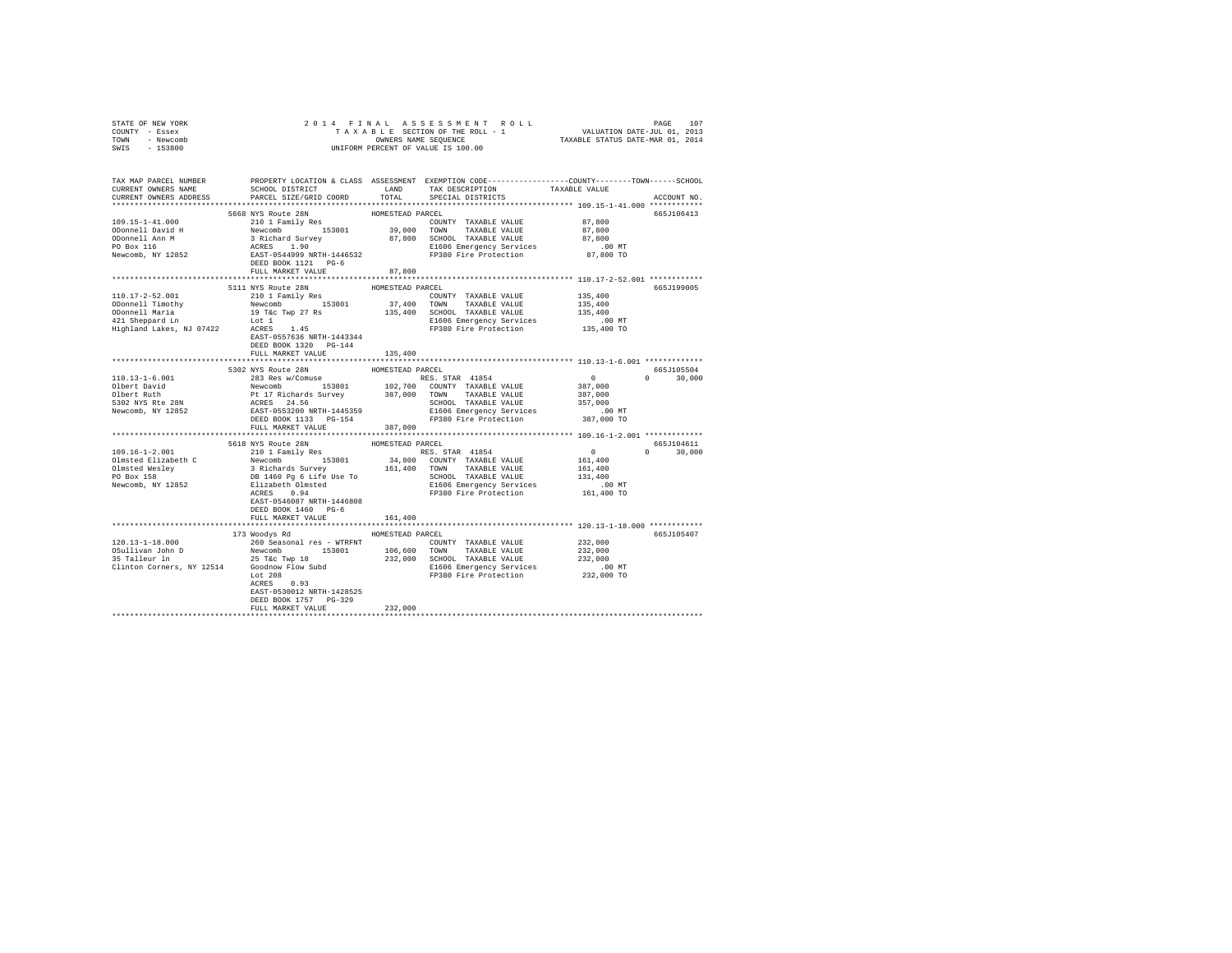| COUNTY - Essex<br>TOWN - Newcomb<br>SWIS - 153800 |                                                                                                           |                  | UNIFORM PERCENT OF VALUE IS 100.00                                                    | T A X A B L E SECTION OF THE ROLL - 1 VALUATION DATE-JUL 01, 2013<br>OWNERS NAME SEQUENCE TAXABLE STATUS DATE-MAR 01, 2014                                                                                                                          |
|---------------------------------------------------|-----------------------------------------------------------------------------------------------------------|------------------|---------------------------------------------------------------------------------------|-----------------------------------------------------------------------------------------------------------------------------------------------------------------------------------------------------------------------------------------------------|
|                                                   |                                                                                                           |                  |                                                                                       | TAX MAP PARCEL NUMBER PROPERTY LOCATION & CLASS ASSESSMENT EXEMPTION CODE--------------COUNTY-------TOWN-----SCHOOL<br>ACCOUNT NO.                                                                                                                  |
|                                                   | DEED BOOK 1121 PG-6<br>FULL MARKET VALUE                                                                  | 87,800           |                                                                                       | 665J106413                                                                                                                                                                                                                                          |
|                                                   | 5111 NYS Route 28N<br>DEED BOOK 1320 PG-144                                                               | HOMESTEAD PARCEL | HUMESTEAD PARCEL<br>COUNTY TAXABLE VALUE 135,400<br>37,400 TOWN TAXABLE VALUE 135,400 | 665J199005                                                                                                                                                                                                                                          |
|                                                   | FULL MARKET VALUE 135,400                                                                                 |                  |                                                                                       |                                                                                                                                                                                                                                                     |
|                                                   |                                                                                                           |                  |                                                                                       | 665J105504<br>$0 \t 30.000$                                                                                                                                                                                                                         |
|                                                   |                                                                                                           |                  |                                                                                       |                                                                                                                                                                                                                                                     |
|                                                   |                                                                                                           |                  |                                                                                       |                                                                                                                                                                                                                                                     |
|                                                   | EAST-0546087 NRTH-1446808<br>DEED BOOK 1460 PG-6                                                          |                  |                                                                                       | 109.16-1-2.001<br>199.16-1-2.001<br>199.16-1-2.001<br>199.16-1-2.001<br>2018 MXS Route 28N<br>2018 MXS Route 28N<br>2018 MXS Route 28N<br>2018 MXS Route 28N<br>2018 MXS Route 28N<br>2018 MXS Route 28N<br>2018 MX PO BOX 153801<br>2018 MX PO BOX |
|                                                   | FULL MARKET VALUE 161.400                                                                                 |                  |                                                                                       |                                                                                                                                                                                                                                                     |
|                                                   | 173 Woodys Rd MOMESTEAD PARCEL<br>EAST-0530012 NRTH-1428525<br>DEED BOOK 1757 PG-329<br>FULL MARKET VALUE | 232,000          |                                                                                       | 665J105407                                                                                                                                                                                                                                          |

STATE OF NEW YORK 2014 FINAL ASSESSMENT ROLL PAGE 107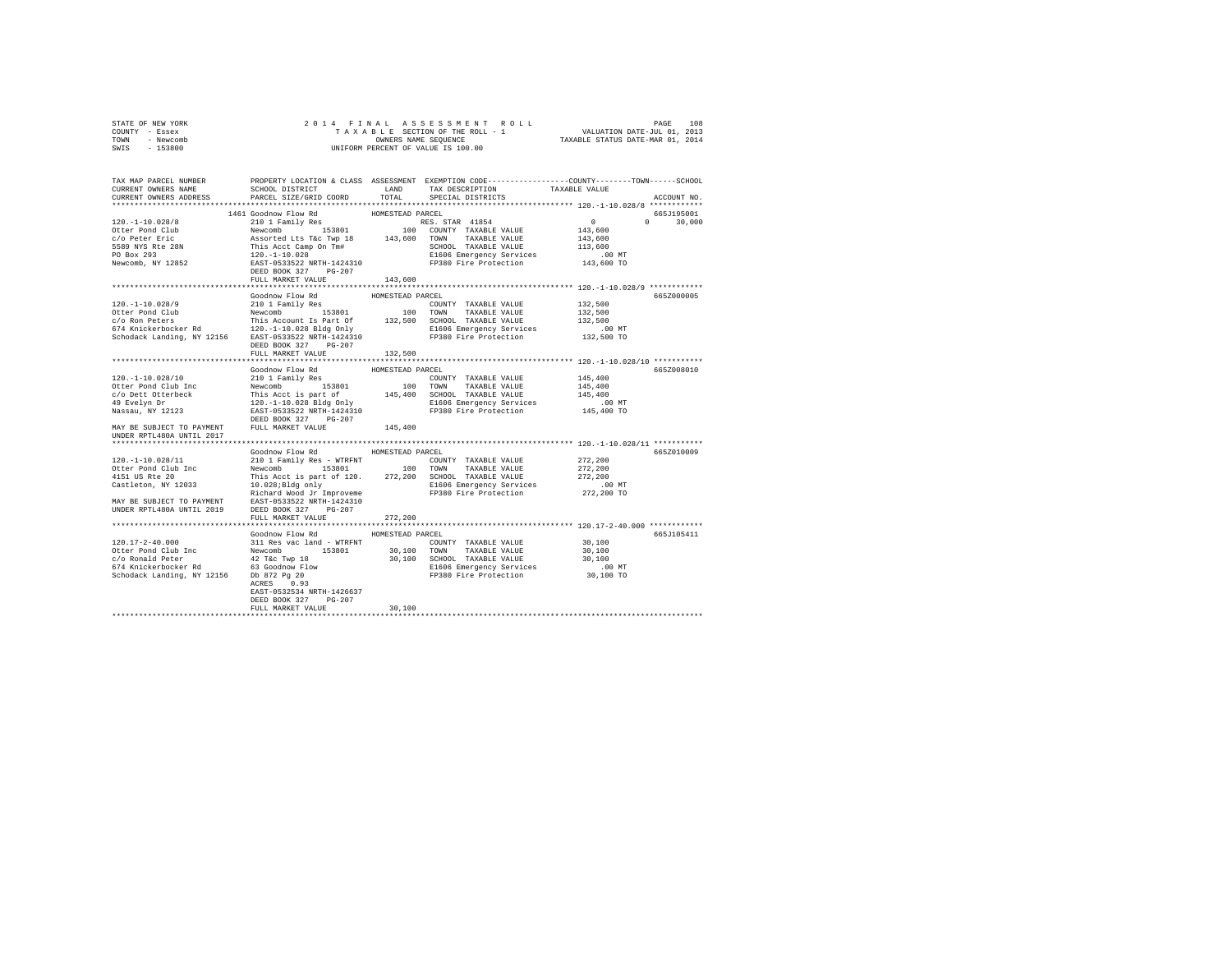| STATE OF NEW YORK                                                                                                                                                                                                                                                                                          |                                                        |                  |                              |                      |               |
|------------------------------------------------------------------------------------------------------------------------------------------------------------------------------------------------------------------------------------------------------------------------------------------------------------|--------------------------------------------------------|------------------|------------------------------|----------------------|---------------|
| COUNTY - Essex                                                                                                                                                                                                                                                                                             |                                                        |                  |                              |                      |               |
| TOWN - Newcomb                                                                                                                                                                                                                                                                                             |                                                        |                  |                              |                      |               |
| SWIS - 153800                                                                                                                                                                                                                                                                                              |                                                        |                  |                              |                      |               |
|                                                                                                                                                                                                                                                                                                            |                                                        |                  |                              |                      |               |
|                                                                                                                                                                                                                                                                                                            |                                                        |                  |                              |                      |               |
|                                                                                                                                                                                                                                                                                                            |                                                        |                  |                              |                      |               |
|                                                                                                                                                                                                                                                                                                            |                                                        |                  |                              |                      |               |
| TAX MAP PARCEL NUMBER PROPERTY LOCATION & CLASS ASSESSMENT EXEMPTION CODE---------------COUNTY-------TOWN------SCHOOL<br>CURRENT OWNERS NAME SCHOOL DISTRICT LAND TAX DESCRIPTION TAXABLE VALUE                                                                                                            |                                                        |                  |                              |                      |               |
| CURRENT OWNERS ADDRESS PARCEL SIZE/GRID COORD                                                                                                                                                                                                                                                              |                                                        |                  | TOTAL SPECIAL DISTRICTS      |                      |               |
|                                                                                                                                                                                                                                                                                                            |                                                        |                  |                              |                      | ACCOUNT NO.   |
|                                                                                                                                                                                                                                                                                                            |                                                        |                  |                              |                      |               |
|                                                                                                                                                                                                                                                                                                            | 1461 Goodnow Flow Rd                                   | HOMESTEAD PARCEL |                              |                      | 665J195001    |
|                                                                                                                                                                                                                                                                                                            |                                                        |                  |                              |                      | $0 \t 30,000$ |
|                                                                                                                                                                                                                                                                                                            |                                                        |                  |                              |                      |               |
|                                                                                                                                                                                                                                                                                                            |                                                        |                  |                              |                      |               |
|                                                                                                                                                                                                                                                                                                            |                                                        |                  |                              |                      |               |
|                                                                                                                                                                                                                                                                                                            |                                                        |                  |                              |                      |               |
|                                                                                                                                                                                                                                                                                                            |                                                        |                  |                              |                      |               |
|                                                                                                                                                                                                                                                                                                            | DEED BOOK 327 PG-207                                   |                  |                              |                      |               |
|                                                                                                                                                                                                                                                                                                            | FULL MARKET VALUE                                      | 143,600          |                              |                      |               |
|                                                                                                                                                                                                                                                                                                            |                                                        |                  |                              |                      |               |
|                                                                                                                                                                                                                                                                                                            |                                                        |                  |                              |                      |               |
|                                                                                                                                                                                                                                                                                                            | Goodnow Flow Rd<br>3000000 Flow RG<br>210 1 Family Res | HOMESTEAD PARCEL |                              |                      | 665Z000005    |
|                                                                                                                                                                                                                                                                                                            |                                                        |                  | COUNTY TAXABLE VALUE 132,500 |                      |               |
|                                                                                                                                                                                                                                                                                                            |                                                        |                  |                              | 132,500              |               |
|                                                                                                                                                                                                                                                                                                            |                                                        |                  |                              | 132,500              |               |
|                                                                                                                                                                                                                                                                                                            |                                                        |                  |                              |                      |               |
|                                                                                                                                                                                                                                                                                                            |                                                        |                  |                              | .00 MT<br>132,500 TO |               |
|                                                                                                                                                                                                                                                                                                            | DEED BOOK 327 PG-207                                   |                  |                              |                      |               |
|                                                                                                                                                                                                                                                                                                            | FULL MARKET VALUE                                      | 132,500          |                              |                      |               |
|                                                                                                                                                                                                                                                                                                            |                                                        |                  |                              |                      |               |
|                                                                                                                                                                                                                                                                                                            |                                                        |                  |                              |                      | 665Z008010    |
|                                                                                                                                                                                                                                                                                                            |                                                        |                  |                              |                      |               |
|                                                                                                                                                                                                                                                                                                            |                                                        |                  |                              |                      |               |
|                                                                                                                                                                                                                                                                                                            |                                                        |                  |                              |                      |               |
|                                                                                                                                                                                                                                                                                                            |                                                        |                  |                              |                      |               |
|                                                                                                                                                                                                                                                                                                            |                                                        |                  |                              |                      |               |
|                                                                                                                                                                                                                                                                                                            |                                                        |                  |                              |                      |               |
|                                                                                                                                                                                                                                                                                                            | DEED BOOK 327 PG-207                                   |                  |                              |                      |               |
| MAY BE SUBJECT TO PAYMENT                                                                                                                                                                                                                                                                                  | FULL MARKET VALUE                                      | 145,400          |                              |                      |               |
| UNDER RPTL480A UNTIL 2017                                                                                                                                                                                                                                                                                  |                                                        |                  |                              |                      |               |
|                                                                                                                                                                                                                                                                                                            |                                                        |                  |                              |                      |               |
|                                                                                                                                                                                                                                                                                                            | Goodnow Flow Rd MOMESTEAD PARCEL                       |                  |                              |                      | 665Z010009    |
| $\begin{tabular}{l c c c c c c c c} \hline 120.1-10.028/11 & 2000mm & 2100~\text{I Family Res - WTRFNT} & 1000551EM & 1500mm & 1000mm & 1000mm & 1000mm & 1000mm & 1000mm & 1000mm & 1000mm & 1000mm & 1000mm & 1000mm & 1000mm & 1000mm & 1000mm & 1000mm & 1000mm & 1000mm & 1000mm & 1000mm & 1000mm &$ |                                                        |                  |                              |                      |               |
|                                                                                                                                                                                                                                                                                                            |                                                        |                  |                              |                      |               |
|                                                                                                                                                                                                                                                                                                            |                                                        |                  |                              |                      |               |
|                                                                                                                                                                                                                                                                                                            |                                                        |                  |                              |                      |               |
|                                                                                                                                                                                                                                                                                                            |                                                        |                  |                              | .00MT                |               |
|                                                                                                                                                                                                                                                                                                            |                                                        |                  |                              | 272,200 TO           |               |
|                                                                                                                                                                                                                                                                                                            |                                                        |                  |                              |                      |               |
|                                                                                                                                                                                                                                                                                                            |                                                        |                  |                              |                      |               |
|                                                                                                                                                                                                                                                                                                            | FULL MARKET VALUE                                      | 272,200          |                              |                      |               |
|                                                                                                                                                                                                                                                                                                            |                                                        |                  |                              |                      |               |
|                                                                                                                                                                                                                                                                                                            | Goodnow Flow Rd                                        | HOMESTEAD PARCEL |                              |                      | 665J105411    |
|                                                                                                                                                                                                                                                                                                            |                                                        |                  |                              |                      |               |
|                                                                                                                                                                                                                                                                                                            |                                                        |                  |                              |                      |               |
|                                                                                                                                                                                                                                                                                                            |                                                        |                  |                              |                      |               |
|                                                                                                                                                                                                                                                                                                            |                                                        |                  |                              |                      |               |
|                                                                                                                                                                                                                                                                                                            |                                                        |                  |                              |                      |               |
|                                                                                                                                                                                                                                                                                                            |                                                        |                  |                              |                      |               |
|                                                                                                                                                                                                                                                                                                            |                                                        |                  |                              |                      |               |
|                                                                                                                                                                                                                                                                                                            | EAST-0532534 NRTH-1426637                              |                  |                              |                      |               |
|                                                                                                                                                                                                                                                                                                            | DEED BOOK 327 PG-207                                   |                  |                              |                      |               |
|                                                                                                                                                                                                                                                                                                            | FULL MARKET VALUE                                      | 30,100           |                              |                      |               |
|                                                                                                                                                                                                                                                                                                            |                                                        |                  |                              |                      |               |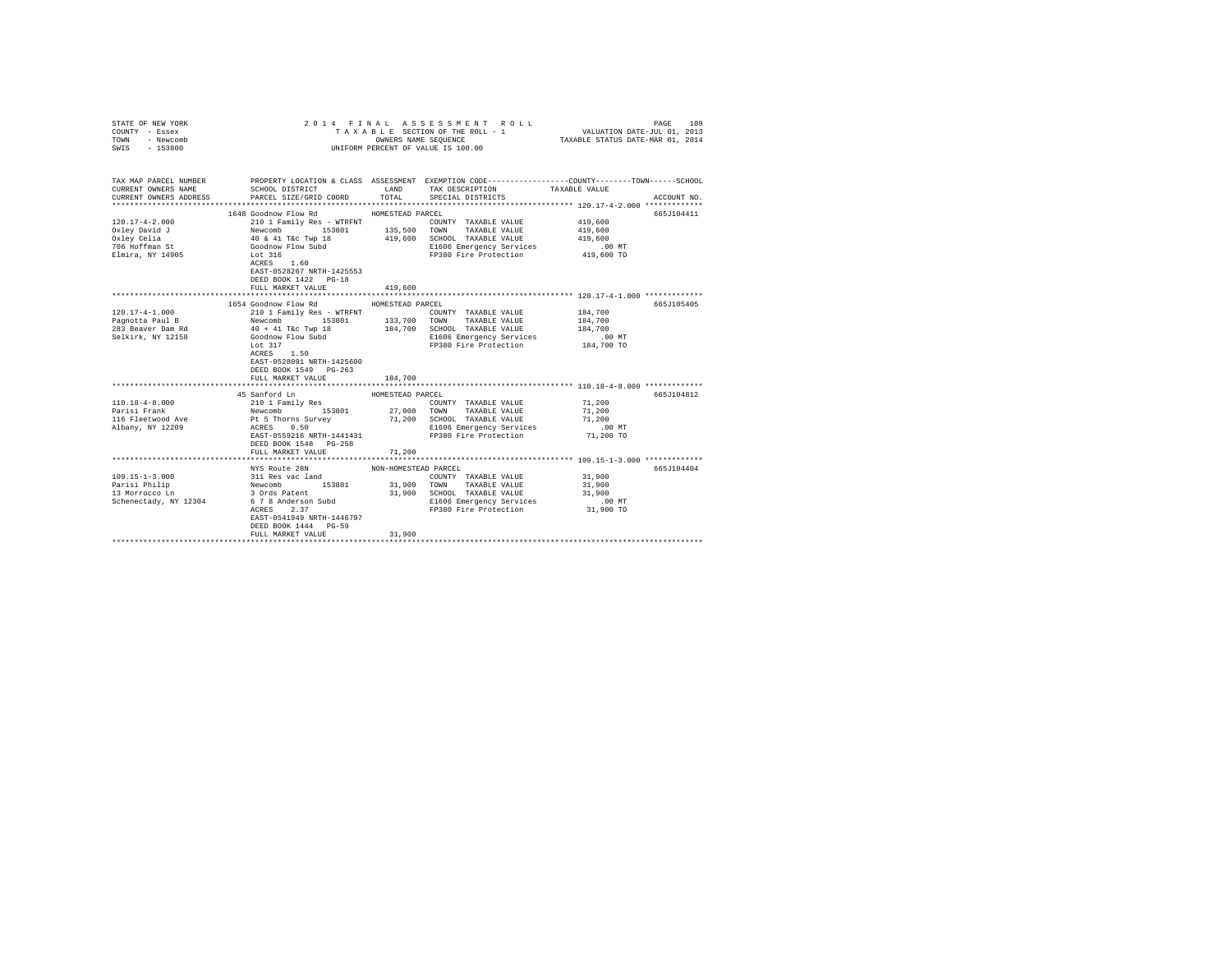| STATE OF NEW YORK<br>COUNTY - Essex<br>TOWN - Newcomb<br>SWIS - 153800                                                                                                                                                                                                                                                                                                           |                                                                                                                                               |                      | 2014 FINAL ASSESSMENT ROLL<br>TAXABLE SECTION OF THE ROLL - 1<br>OWNERS NAME SEQUENCE<br>UNIFORM PERCENT OF VALUE IS 100.00                                                   | VALUATION DATE-JUL 01, 2013<br>TAXABLE STATUS DATE-MAR 01, 2014 | 109<br>PAGE |
|----------------------------------------------------------------------------------------------------------------------------------------------------------------------------------------------------------------------------------------------------------------------------------------------------------------------------------------------------------------------------------|-----------------------------------------------------------------------------------------------------------------------------------------------|----------------------|-------------------------------------------------------------------------------------------------------------------------------------------------------------------------------|-----------------------------------------------------------------|-------------|
| TAX MAP PARCEL NUMBER PROPERTY LOCATION & CLASS ASSESSMENT EXEMPTION CODE---------------COUNTY-------TOWN-----SCHOOL<br>CURRENT OWNERS NAME                                                                                                                                                                                                                                      | SCHOOL DISTRICT                                                                                                                               | LAND                 | TAX DESCRIPTION                                                                                                                                                               | TAXABLE VALUE                                                   |             |
| CURRENT OWNERS ADDRESS                                                                                                                                                                                                                                                                                                                                                           | PARCEL SIZE/GRID COORD                                                                                                                        | TOTAL                | SPECIAL DISTRICTS                                                                                                                                                             |                                                                 | ACCOUNT NO. |
|                                                                                                                                                                                                                                                                                                                                                                                  | 1648 Goodnow Flow Rd                                                                                                                          | HOMESTEAD PARCEL     |                                                                                                                                                                               |                                                                 | 665J104411  |
| $120.17 - 4 - 2.000$<br>Oxley David J<br>Oxley Celia<br>706 Hoffman St<br>Elmira, NY 14905                                                                                                                                                                                                                                                                                       | 210 1 Family Res - WTRFNT                                                                                                                     |                      | COUNTY TAXABLE VALUE<br>E1606 Emergency Services<br>FP380 Fire Protection                                                                                                     | 419,600<br>419,600<br>419,600<br>$.00$ MT                       |             |
|                                                                                                                                                                                                                                                                                                                                                                                  | ACRES 1.60<br>EAST-0528267 NRTH-1425553<br>DEED BOOK 1422 PG-18<br>FULL MARKET VALUE                                                          | 419,600              |                                                                                                                                                                               | 419,600 TO                                                      |             |
|                                                                                                                                                                                                                                                                                                                                                                                  |                                                                                                                                               |                      |                                                                                                                                                                               |                                                                 |             |
|                                                                                                                                                                                                                                                                                                                                                                                  | 1654 Goodnow Flow Rd                                                                                                                          | HOMESTEAD PARCEL     |                                                                                                                                                                               |                                                                 | 665J105405  |
| $120.17 - 4 - 1.000$<br>$\begin{tabular}{lcccccc} \texttt{Pagnotta Paul B} & & \texttt{Newcomb} & & \texttt{153801} & & \texttt{133,700} & \texttt{TOMN} & \texttt{TXADLE} & \texttt{PALUE} \\ \texttt{283} \texttt{Beaver Dam Rd} & & \texttt{40 + 41 T6c Twp 18} & & \texttt{184,700} & \texttt{SCHOOL} & \texttt{TXABLE} & \texttt{VALUE} \end{tabular}$<br>Selkirk, NY 12158 | 210 1 Family Res - WTRFNT<br>Goodnow Flow Subd<br>Lot 317<br>Lot 317<br>$ACRES$ 1.50<br>EAST-0528091 NRTH-1425600                             |                      | COUNTY TAXABLE VALUE<br>E1606 Emergency Services 30 0 MT<br>FP380 Fire Protection 184,700 TO                                                                                  | 184,700<br>184,700<br>184,700                                   |             |
|                                                                                                                                                                                                                                                                                                                                                                                  | DEED BOOK 1549 PG-263                                                                                                                         |                      |                                                                                                                                                                               |                                                                 |             |
|                                                                                                                                                                                                                                                                                                                                                                                  | FULL MARKET VALUE                                                                                                                             | 184,700              |                                                                                                                                                                               |                                                                 |             |
|                                                                                                                                                                                                                                                                                                                                                                                  | 45 Sanford Ln                                                                                                                                 | HOMESTEAD PARCEL     |                                                                                                                                                                               |                                                                 | 665J104812  |
| $110.18 - 4 - 8.000$<br>Parisi Frank<br>116 Fleetwood Ave<br>Albany, NY 12209                                                                                                                                                                                                                                                                                                    | DEED BOOK 1548 PG-258                                                                                                                         |                      | COUNTY TAXABLE VALUE<br>Pt 5 Thorns Survey 71,200 SCHOOL TAXABLE VALUE<br>ACRES 0.50<br>EAST-0559216 NRTH-1441431 F1506 Energency Services<br>FP380 Fire Protection 71,200 TO | 71,200<br>71,200<br>71,200<br>.00 MT                            |             |
|                                                                                                                                                                                                                                                                                                                                                                                  | FULL MARKET VALUE                                                                                                                             | 71,200               |                                                                                                                                                                               |                                                                 |             |
|                                                                                                                                                                                                                                                                                                                                                                                  | NYS Route 28N                                                                                                                                 | NON-HOMESTEAD PARCEL |                                                                                                                                                                               |                                                                 | 665J104404  |
| $109.15 - 1 - 3.000$<br>Parisi Philip<br>13 Morrocco Ln<br>Schenectady, NY 12304                                                                                                                                                                                                                                                                                                 | Also Route 26N<br>311 Res vac land<br>3 Ords Patent<br>5 7 8 Anderson Subd<br>ACRES 2.37<br>EAST-0541949 NRTH-1446797<br>DEED BOOK 1444 PG-59 |                      | COUNTY TAXABLE VALUE<br>31,900 TOWN TAXABLE VALUE<br>31,900 SCHOOL TAXABLE VALUE<br>E1606 Emergency Services<br>FP380 Fire Protection                                         | 31,900<br>31,900<br>31,900<br>$.00$ MT<br>31,900 TO             |             |
|                                                                                                                                                                                                                                                                                                                                                                                  | FULL MARKET VALUE                                                                                                                             | 31,900               |                                                                                                                                                                               |                                                                 |             |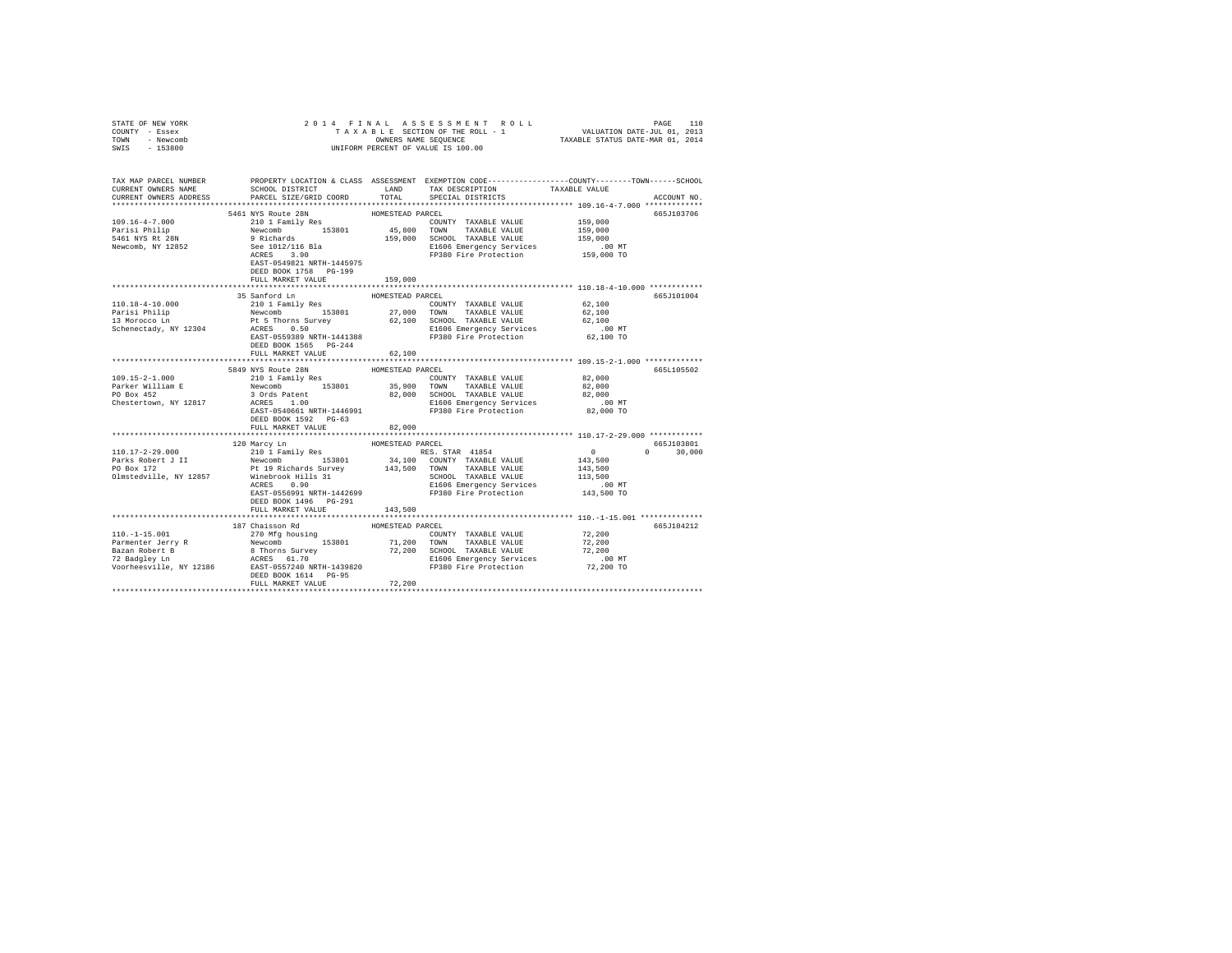| STATE OF NEW YORK<br>COUNTY - Essex<br>TOWN - Newcomb<br>SWIS - 153800                                                                                                                                                                                                                           |                                                                                                            |                            |                                                                                                                                                                                                                                   |                                                                                                                                                       |  |
|--------------------------------------------------------------------------------------------------------------------------------------------------------------------------------------------------------------------------------------------------------------------------------------------------|------------------------------------------------------------------------------------------------------------|----------------------------|-----------------------------------------------------------------------------------------------------------------------------------------------------------------------------------------------------------------------------------|-------------------------------------------------------------------------------------------------------------------------------------------------------|--|
| CURRENT OWNERS NAME<br>CURRENT OWNERS ADDRESS                                                                                                                                                                                                                                                    | SCHOOL DISTRICT LAND<br>PARCEL SIZE/GRID COORD                                                             | TOTAL                      | TAX DESCRIPTION<br>SPECIAL DISTRICTS                                                                                                                                                                                              | TAX MAP PARCEL NUMBER PROPERTY LOCATION & CLASS ASSESSMENT EXEMPTION CODE---------------COUNTY-------TOWN------SCHOOL<br>TAXABLE VALUE<br>ACCOUNT NO. |  |
|                                                                                                                                                                                                                                                                                                  |                                                                                                            |                            |                                                                                                                                                                                                                                   |                                                                                                                                                       |  |
| $109.16 - 4 - 7.000$<br>Parisi Philip<br>5461 NYS Rt 28N<br>Newcomb, NY 12852                                                                                                                                                                                                                    | 5461 NYS Route 28N<br>EAST-0549821 NRTH-1445975                                                            | HOMESTEAD PARCEL           | 5461 NYS ROUNE 28N HOMESTRAD PARCEL<br>210 1 Family Res 153801 45,800 TOWNY TAXABLE VALUE 159,000<br>9 Richards 159,000 59 159,000 159,000 5 2000 159,000 169,000 159,000 169,000 169,000 159,000 159,000 159,000 159,000 159,000 | 665J103706                                                                                                                                            |  |
|                                                                                                                                                                                                                                                                                                  | DEED BOOK 1758 PG-199<br>FULL MARKET VALUE                                                                 | 159,000                    |                                                                                                                                                                                                                                   |                                                                                                                                                       |  |
| 110.18-4-10.000<br>Parisi Philip Mewcomb 153801 27,000 TOWN TAXABLE VALUE 62,100<br>13 Morocco Ln 27,000 TOWN TAXABLE VALUE 62,100<br>13 Morocco Ln 2 PL 5 Thorns Survey 62,100 SCHOOL TAXABLE VALUE 62,100<br>Schenectady, NY 12304 RCRES 0.50 E1506 E                                          | 35 Sanford Ln<br>210 1 Family Res                                                                          | HOMESTEAD PARCEL           | COUNTY TAXABLE VALUE                                                                                                                                                                                                              | 665J101004<br>62,100                                                                                                                                  |  |
|                                                                                                                                                                                                                                                                                                  | DEED BOOK 1565 PG-244<br>FULL MARKET VALUE                                                                 | 62,100                     |                                                                                                                                                                                                                                   |                                                                                                                                                       |  |
| $109.15 - 2 - 1.000$<br>Parker William E<br>PO Box 452<br>29.000 MM NEWS ACROSS 1.000 MM NAMBLE VALUE 2010<br>PO Box 452 1.000 MM NAMBLE VALUE 20100 MM NAMBLE VALUE 20100<br>Chestertown, NY 12817 ACRES 1.000 MM NAMBLE VALUE 20100 MM NAMBLE VALUE 20100 MM<br>EXST-0540661 NRTH-1446991 FP38 | 5849 NYS Route 28N<br>210 1 Family Res<br>Newcomb 153801 35,900 TOWN TAXABLE VALUE<br>DEED BOOK 1592 PG-63 | HOMESTEAD PARCEL           | COUNTY TAXABLE VALUE 82,000                                                                                                                                                                                                       | 665L105502<br>82,000                                                                                                                                  |  |
|                                                                                                                                                                                                                                                                                                  | FULL MARKET VALUE                                                                                          | 82,000                     |                                                                                                                                                                                                                                   |                                                                                                                                                       |  |
|                                                                                                                                                                                                                                                                                                  |                                                                                                            |                            |                                                                                                                                                                                                                                   |                                                                                                                                                       |  |
|                                                                                                                                                                                                                                                                                                  | 120 Marcy Ln<br>DEED BOOK 1496 PG-291<br>FULL MARKET VALUE 143,500                                         | HOMESTEAD PARCEL           |                                                                                                                                                                                                                                   | 665.T103801<br>$\sim$ 0<br>$\sim$ 0<br>30,000<br>$\begin{array}{c}0\\143,500\end{array}$<br>143,500<br>113,500<br>.00 MT<br>143,500 TO                |  |
|                                                                                                                                                                                                                                                                                                  |                                                                                                            |                            |                                                                                                                                                                                                                                   |                                                                                                                                                       |  |
|                                                                                                                                                                                                                                                                                                  | 187 Chaisson Rd<br>DEED BOOK 1614 PG-95<br>FULL MARKET VALUE                                               | HOMESTEAD PARCEL<br>72,200 |                                                                                                                                                                                                                                   | 665J104212                                                                                                                                            |  |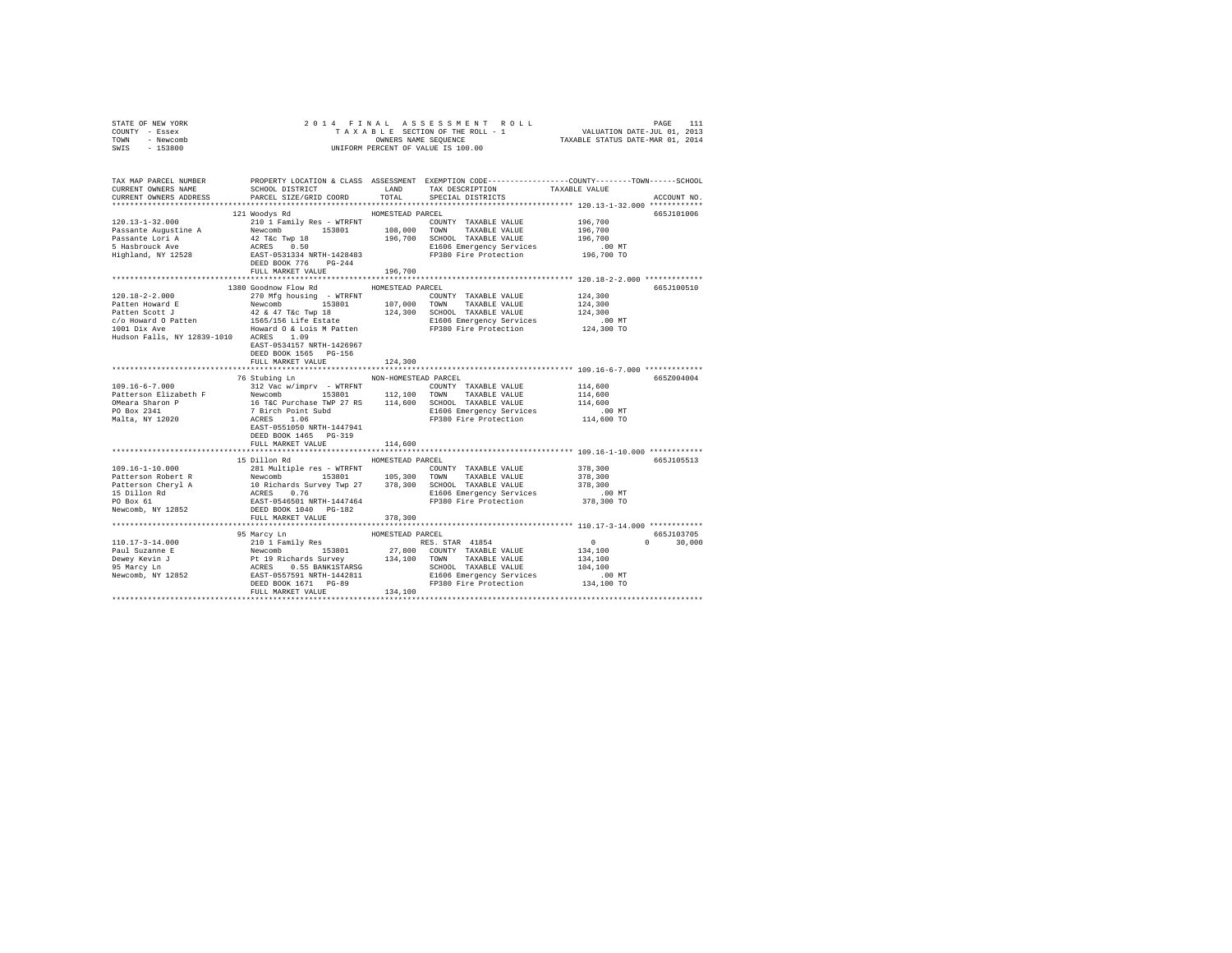| STATE OF NEW YORK<br>COUNTY - Essex<br>TOWN - Newcomb<br>SWIS - 153800                                                                                                                                                                                                                                                                                                                                                 |                           |                      | OWNERS NAME SEQUENCE<br>UNIFORM PERCENT OF VALUE IS 100.00 |                                                              |               |
|------------------------------------------------------------------------------------------------------------------------------------------------------------------------------------------------------------------------------------------------------------------------------------------------------------------------------------------------------------------------------------------------------------------------|---------------------------|----------------------|------------------------------------------------------------|--------------------------------------------------------------|---------------|
|                                                                                                                                                                                                                                                                                                                                                                                                                        |                           |                      |                                                            |                                                              |               |
| TAX MAP PARCEL NUMBER     PROPERTY LOCATION & CLASS ASSESSMENT EXEMPTION CODE---------------COUNTY-------TOWN------SCHOOL<br>CURRENT OWNERS NAME     SCHOOL DISTRICT     LAND   TAX DESCRIPTION     TAXABLE VALUE                                                                                                                                                                                                      |                           |                      | TAX DESCRIPTION TAXABLE VALUE                              |                                                              |               |
| CURRENT OWNERS ADDRESS                                                                                                                                                                                                                                                                                                                                                                                                 | PARCEL SIZE/GRID COORD    | TOTAL                | SPECIAL DISTRICTS                                          |                                                              | ACCOUNT NO.   |
| $[120.13-1-32.000 \newline \verb!Passante Augustine A \texttt{Newcomb} \texttt{Newcomb} \texttt{Newcomb} \texttt{120.13} \texttt{120.13} \texttt{120.13} \texttt{120.13} \texttt{120.13} \texttt{120.13} \texttt{120.13} \texttt{120.13} \texttt{120.13} \texttt{120.13} \texttt{120.13} \texttt{120.13} \texttt{120.13} \texttt{120.13} \texttt{120.13} \texttt{120.$                                                 |                           |                      |                                                            |                                                              |               |
|                                                                                                                                                                                                                                                                                                                                                                                                                        |                           |                      |                                                            |                                                              | 665J101006    |
|                                                                                                                                                                                                                                                                                                                                                                                                                        |                           |                      |                                                            |                                                              |               |
|                                                                                                                                                                                                                                                                                                                                                                                                                        |                           |                      |                                                            |                                                              |               |
|                                                                                                                                                                                                                                                                                                                                                                                                                        |                           |                      |                                                            |                                                              |               |
|                                                                                                                                                                                                                                                                                                                                                                                                                        |                           |                      |                                                            |                                                              |               |
|                                                                                                                                                                                                                                                                                                                                                                                                                        |                           |                      |                                                            |                                                              |               |
|                                                                                                                                                                                                                                                                                                                                                                                                                        |                           |                      |                                                            |                                                              |               |
|                                                                                                                                                                                                                                                                                                                                                                                                                        |                           |                      |                                                            |                                                              |               |
|                                                                                                                                                                                                                                                                                                                                                                                                                        | 1380 Goodnow Flow Rd      | HOMESTEAD PARCEL     |                                                            |                                                              | 665J100510    |
|                                                                                                                                                                                                                                                                                                                                                                                                                        |                           |                      |                                                            |                                                              |               |
|                                                                                                                                                                                                                                                                                                                                                                                                                        |                           |                      |                                                            |                                                              |               |
|                                                                                                                                                                                                                                                                                                                                                                                                                        |                           |                      |                                                            |                                                              |               |
|                                                                                                                                                                                                                                                                                                                                                                                                                        |                           |                      |                                                            |                                                              |               |
|                                                                                                                                                                                                                                                                                                                                                                                                                        |                           |                      |                                                            |                                                              |               |
|                                                                                                                                                                                                                                                                                                                                                                                                                        | EAST-0534157 NRTH-1426967 |                      |                                                            |                                                              |               |
|                                                                                                                                                                                                                                                                                                                                                                                                                        | DEED BOOK 1565 PG-156     |                      |                                                            |                                                              |               |
|                                                                                                                                                                                                                                                                                                                                                                                                                        | FULL MARKET VALUE         | 124,300              |                                                            |                                                              |               |
|                                                                                                                                                                                                                                                                                                                                                                                                                        |                           |                      |                                                            |                                                              |               |
|                                                                                                                                                                                                                                                                                                                                                                                                                        | 76 Stubing Ln             | NON-HOMESTEAD PARCEL |                                                            |                                                              | 665Z004004    |
|                                                                                                                                                                                                                                                                                                                                                                                                                        |                           |                      |                                                            |                                                              |               |
|                                                                                                                                                                                                                                                                                                                                                                                                                        |                           |                      |                                                            |                                                              |               |
|                                                                                                                                                                                                                                                                                                                                                                                                                        |                           |                      |                                                            |                                                              |               |
|                                                                                                                                                                                                                                                                                                                                                                                                                        |                           |                      |                                                            |                                                              |               |
|                                                                                                                                                                                                                                                                                                                                                                                                                        | EAST-0551050 NRTH-1447941 |                      |                                                            |                                                              |               |
|                                                                                                                                                                                                                                                                                                                                                                                                                        | DEED BOOK 1465 PG-319     |                      |                                                            |                                                              |               |
|                                                                                                                                                                                                                                                                                                                                                                                                                        | FULL MARKET VALUE         | 114,600              |                                                            |                                                              |               |
|                                                                                                                                                                                                                                                                                                                                                                                                                        |                           |                      |                                                            |                                                              |               |
|                                                                                                                                                                                                                                                                                                                                                                                                                        |                           |                      |                                                            |                                                              | 665J105513    |
|                                                                                                                                                                                                                                                                                                                                                                                                                        |                           |                      |                                                            |                                                              |               |
|                                                                                                                                                                                                                                                                                                                                                                                                                        |                           |                      |                                                            |                                                              |               |
|                                                                                                                                                                                                                                                                                                                                                                                                                        |                           |                      |                                                            |                                                              |               |
|                                                                                                                                                                                                                                                                                                                                                                                                                        |                           |                      |                                                            |                                                              |               |
| $[199.16-1-10.000 \nonumber \\ \hline \texttt{Pattern} \texttt{R} \texttt{P} \texttt{P} \texttt{R} \texttt{P} \texttt{P} \texttt{P} \texttt{P} \texttt{P} \texttt{P} \texttt{P} \texttt{P} \texttt{P} \texttt{P} \texttt{P} \texttt{P} \texttt{P} \texttt{P} \texttt{P} \texttt{P} \texttt{P} \texttt{P} \texttt{P} \texttt{P} \texttt{P} \texttt{P} \texttt{P} \texttt{P} \texttt{P} \texttt{P} \texttt{P} \texttt{P$ |                           |                      |                                                            |                                                              |               |
|                                                                                                                                                                                                                                                                                                                                                                                                                        | FULL MARKET VALUE         | 378,300              |                                                            |                                                              |               |
|                                                                                                                                                                                                                                                                                                                                                                                                                        |                           |                      |                                                            |                                                              |               |
|                                                                                                                                                                                                                                                                                                                                                                                                                        | 95 Marcy Ln               | HOMESTEAD PARCEL     |                                                            |                                                              | 665J103705    |
|                                                                                                                                                                                                                                                                                                                                                                                                                        |                           |                      |                                                            | $\begin{smallmatrix}&&0\\&&2\\1&3&4&,1&0&0\end{smallmatrix}$ | $0 \t 30.000$ |
|                                                                                                                                                                                                                                                                                                                                                                                                                        |                           |                      |                                                            | 134,100                                                      |               |
|                                                                                                                                                                                                                                                                                                                                                                                                                        |                           |                      |                                                            | 104,100                                                      |               |
|                                                                                                                                                                                                                                                                                                                                                                                                                        |                           |                      |                                                            | .00 MT                                                       |               |
|                                                                                                                                                                                                                                                                                                                                                                                                                        |                           |                      |                                                            | 134,100 TO                                                   |               |
|                                                                                                                                                                                                                                                                                                                                                                                                                        |                           |                      |                                                            |                                                              |               |
|                                                                                                                                                                                                                                                                                                                                                                                                                        |                           |                      |                                                            |                                                              |               |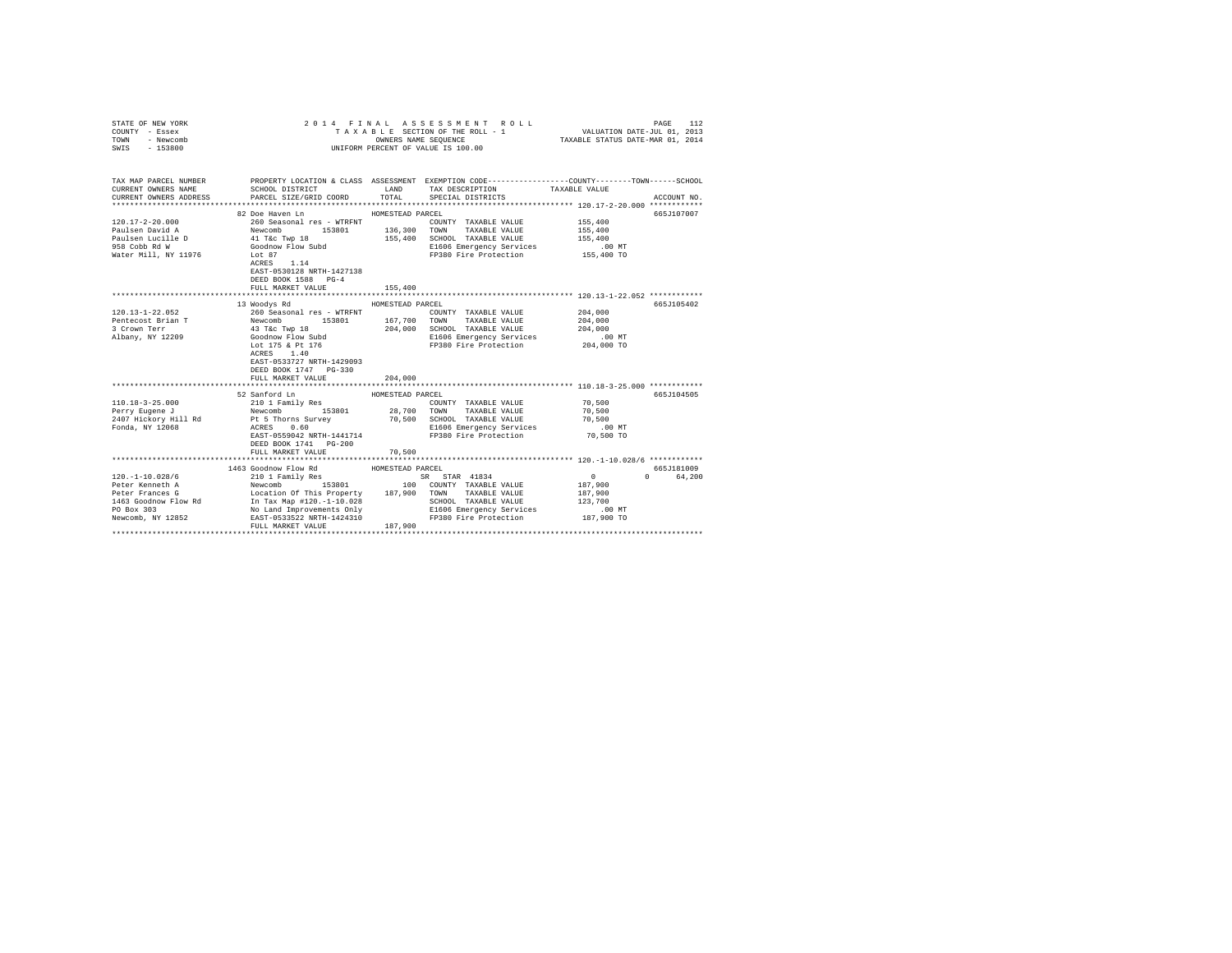| STATE OF NEW YORK<br>COUNTY - Essex<br>TOWN - Newcomb<br>SWIS - 153800                                                                                                                                                                                                                                                       | 2014 FINAL                                                                                                                                                                                                                                                                                                                                              | OWNERS NAME SEQUENCE        | ASSESSMENT ROLL<br>TAXABLE SECTION OF THE ROLL - 1<br>UNIFORM PERCENT OF VALUE IS 100.00                                                                  | VALUATION DATE-JUL 01, 2013<br>TAXABLE STATUS DATE-MAR 01, 2014 | 112<br>PAGE            |
|------------------------------------------------------------------------------------------------------------------------------------------------------------------------------------------------------------------------------------------------------------------------------------------------------------------------------|---------------------------------------------------------------------------------------------------------------------------------------------------------------------------------------------------------------------------------------------------------------------------------------------------------------------------------------------------------|-----------------------------|-----------------------------------------------------------------------------------------------------------------------------------------------------------|-----------------------------------------------------------------|------------------------|
| TAX MAP PARCEL NUMBER THE PROPERTY LOCATION & CLASS ASSESSMENT EXEMPTION CODE--------------COUNTY-------TOWN------SCHOOL<br>CURRENT OWNERS NAME<br>CURRENT OWNERS ADDRESS                                                                                                                                                    | SCHOOL DISTRICT<br>PARCEL SIZE/GRID COORD                                                                                                                                                                                                                                                                                                               | LAND<br>TOTAL               | TAX DESCRIPTION<br>SPECIAL DISTRICTS                                                                                                                      | TAXABLE VALUE                                                   | ACCOUNT NO.            |
| $120.17 - 2 - 20.000$<br>Paulsen David A<br>Paulsen Lucille D<br>958 Cobb Rd W<br>Water Mill, NY 11976                                                                                                                                                                                                                       | 82 Doe Haven Ln<br>Lot 87<br>$ACRES$ 1.14<br>EAST-0530128 NRTH-1427138<br>DEED BOOK 1588 PG-4<br>FULL MARKET VALUE                                                                                                                                                                                                                                      | HOMESTEAD PARCEL<br>155,400 | COUNTY TAXABLE VALUE<br>155,400 SCHOOL TAXABLE VALUE<br>E1606 Emergency Services<br>FP380 Fire Protection 155,400 TO                                      | 155,400<br>155,400<br>155,400<br>.00 MT                         | 665J107007             |
|                                                                                                                                                                                                                                                                                                                              |                                                                                                                                                                                                                                                                                                                                                         |                             |                                                                                                                                                           |                                                                 |                        |
| 120.13-1-22.052<br>Pentecost Brian T<br>3 Crown Terr<br>Albany, NY 12209                                                                                                                                                                                                                                                     | 13 Woodys Rd<br>$\begin{tabular}{lllllllll} 260 \textbf{Seasonal res} & - \textbf{WTRFNT} \\ {\small \texttt{Newcomb}} & 153801 & 167,700 \\ {\small \texttt{43 Tkc Twp 18}} & 204,000 \\ \texttt{Goodnow Flow Subd} & & \\ \end{tabular}$<br>Lot 175 & Pt 176<br>ACRES 1.40<br>EAST-0533727 NRTH-1429093<br>DEED BOOK 1747 PG-330<br>FULL MARKET VALUE | HOMESTEAD PARCEL<br>204,000 | COUNTY TAXABLE VALUE<br>153801 167,700 TOWN TAXABLE VALUE<br>204,000 SCHOOL TAXABLE VALUE<br>E1606 Emergency Services<br>FP380 Fire Protection 204,000 TO | 204,000<br>204,000<br>204,000<br>$.00$ MT                       | 665J105402             |
| $110.18 - 3 - 25.000$<br>Perry Eugene J<br>2407 Hickory Hill Rd<br>Fonda, NY 12068                                                                                                                                                                                                                                           | 52 Sanford Ln<br>210 1 Family Res<br>Newcomb 153801<br>Pt 5 Thorns Survey<br>ACRES 0.60<br>EAST-0559042 NRTH-1441714<br>DEED BOOK 1741 PG-200                                                                                                                                                                                                           | HOMESTEAD PARCEL            | COUNTY TAXABLE VALUE<br>28,700 TOWN TAXABLE VALUE<br>70,500 SCHOOL TAXABLE VALUE<br>E1606 Emergency Services<br>FP380 Fire Protection                     | 70,500<br>70,500<br>70,500<br>$.00$ MT<br>70,500 TO             | 665J104505             |
|                                                                                                                                                                                                                                                                                                                              | FULL MARKET VALUE                                                                                                                                                                                                                                                                                                                                       | 70,500                      |                                                                                                                                                           |                                                                 |                        |
| $\begin{tabular}{l c c c c c} \hline 120. -1-10.028/6 & 210.1 Fami1y Res & 12001 & 12001 & 12001 & 12001 & 12001 & 12001 & 12001 & 12001 & 12001 & 12001 & 12001 & 12001 & 12001 & 12001 & 12001 & 12001 & 12001 & 12001 & 12001 & 12001 & 12001 & 12001 & 12001 & 12001 & 1$<br>Newcomb, NY 12852 6AST-0533522 NRTH-1424310 | 1463 Goodnow Flow Rd<br>FULL MARKET VALUE                                                                                                                                                                                                                                                                                                               | HOMESTEAD PARCEL<br>187,900 | FP380 Fire Protection 187,900 TO                                                                                                                          | $\sim$ 0<br>187,900<br>187,900<br>123,700<br>$.00$ MT           | 665J181009<br>0 64,200 |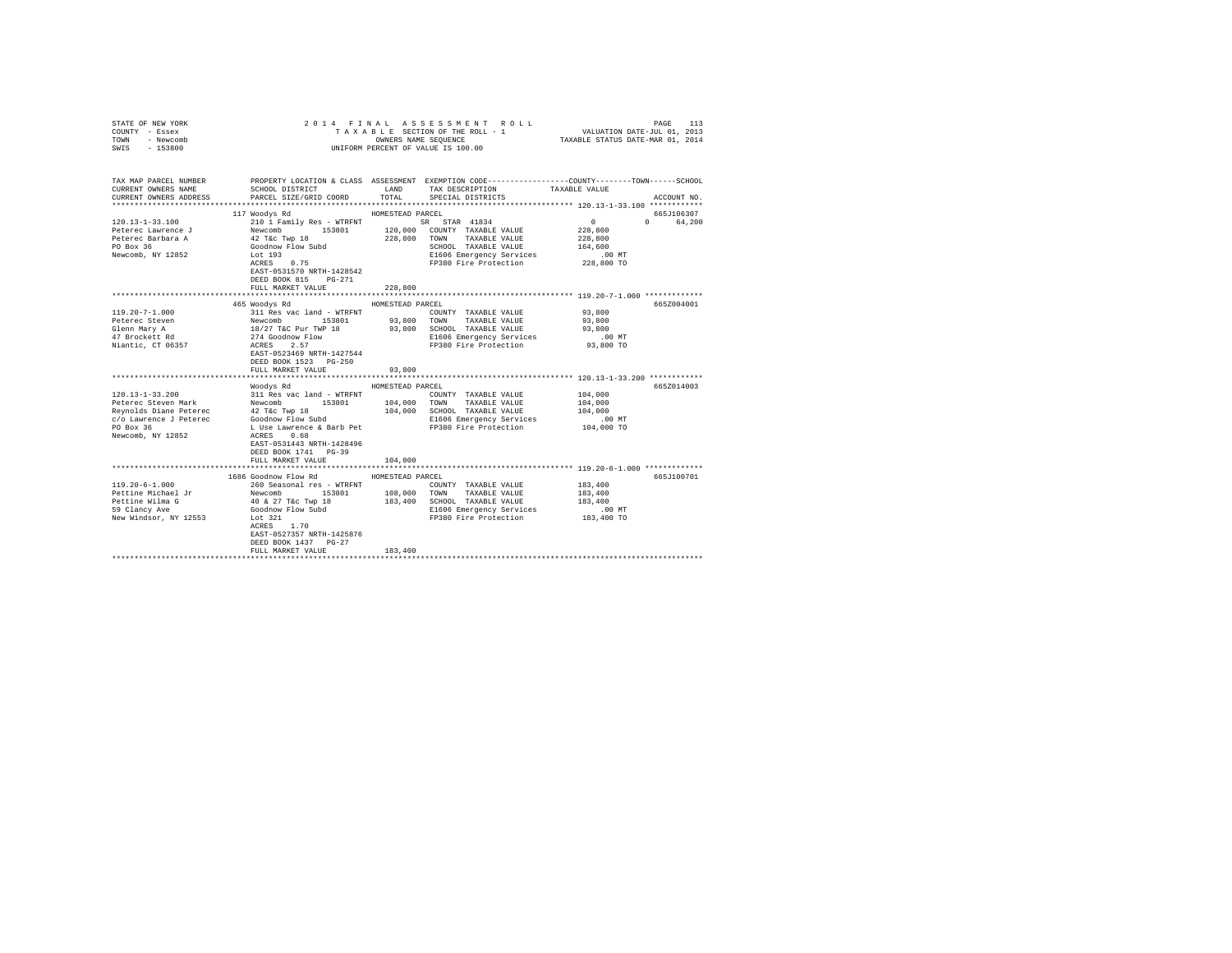| COUNTY - Essex<br>TOWN - Newcomb<br>SWIS - 153800 |                                                   | TAXABLE SECTION OF THE ROLL - 1 VALUATION DATE-JUL 01, 2013<br>OWNERS NAME SEQUENCE<br>UNIFORM PERCENT OF VALUE IS 100.00                                                                                                                                                                                                                                                                                                   | TAXABLE STATUS DATE-MAR 01, 2014 |
|---------------------------------------------------|---------------------------------------------------|-----------------------------------------------------------------------------------------------------------------------------------------------------------------------------------------------------------------------------------------------------------------------------------------------------------------------------------------------------------------------------------------------------------------------------|----------------------------------|
|                                                   |                                                   | TAX MAP PARCEL NUMBER THE PROPERTY LOCATION & CLASS ASSESSMENT EXEMPTION CODE--------------COUNTY-------TOWN-----SCHOOL                                                                                                                                                                                                                                                                                                     |                                  |
| CURRENT OWNERS NAME                               | SCHOOL DISTRICT                                   | LAND TAX DESCRIPTION TAXABLE VALUE                                                                                                                                                                                                                                                                                                                                                                                          |                                  |
| CURRENT OWNERS ADDRESS                            | PARCEL SIZE/GRID COORD                            | TOTAL SPECIAL DISTRICTS                                                                                                                                                                                                                                                                                                                                                                                                     | ACCOUNT NO.                      |
|                                                   | 117 Woodys Rd                                     | HOMESTEAD PARCEL                                                                                                                                                                                                                                                                                                                                                                                                            | 665J106307                       |
| $120.13 - 1 - 33.100$                             |                                                   | $\begin{tabular}{l c c c c c} \hline \multicolumn{4}{c}{\textbf{2101}}\ \textbf{Family Res - WTRENT} & \multicolumn{4}{c}{\textbf{3182}}\ \textbf{1834} & \multicolumn{4}{c}{\textbf{3183}}\ \textbf{Newomb} & \multicolumn{4}{c}{\textbf{3183}}\ \textbf{Newb} & \multicolumn{4}{c}{\textbf{3183}}\ \textbf{Newb} & \multicolumn{4}{c}{\textbf{3183}}\ \textbf{Newb} & \multicolumn{4}{c}{\textbf{3183}}\ \textbf{1201} &$ | $\sim$ 0<br>0 64,200             |
| Peterec Lawrence J                                |                                                   |                                                                                                                                                                                                                                                                                                                                                                                                                             | 228,800                          |
| Peterec Barbara A                                 |                                                   |                                                                                                                                                                                                                                                                                                                                                                                                                             | 228,800                          |
| PO Box 36                                         |                                                   |                                                                                                                                                                                                                                                                                                                                                                                                                             |                                  |
| Newcomb, NY 12852                                 | $ACRES$ 0.75                                      |                                                                                                                                                                                                                                                                                                                                                                                                                             |                                  |
|                                                   | EAST-0531570 NRTH-1428542<br>DEED BOOK 815 PG-271 | SCHOOL TAXABLE VILLET<br>EL606 Emergency Services (UP NO TO<br>FP380 Fire Protection (228,800 TO                                                                                                                                                                                                                                                                                                                            |                                  |
|                                                   | FULL MARKET VALUE                                 | 228,800                                                                                                                                                                                                                                                                                                                                                                                                                     |                                  |
|                                                   |                                                   |                                                                                                                                                                                                                                                                                                                                                                                                                             | 665Z004001                       |
|                                                   | 465 Woodys Rd                                     | HOMESTEAD PARCEL                                                                                                                                                                                                                                                                                                                                                                                                            | 93,800                           |
|                                                   |                                                   |                                                                                                                                                                                                                                                                                                                                                                                                                             |                                  |
|                                                   |                                                   |                                                                                                                                                                                                                                                                                                                                                                                                                             |                                  |
|                                                   |                                                   |                                                                                                                                                                                                                                                                                                                                                                                                                             |                                  |
|                                                   | DEED BOOK 1523 PG-250<br>FULL MARKET VALUE        | $\begin{tabular}{l c c c c c} \hline 119.20-7-1.000 & 111 Res vac land - WTRFNT & 0.000NTY TAXABLE VALUE & 93,800\nPeere of seven\nGlenn Mary A & Newcomb & 153801 & 93,800 TOMM TAXABLE VALUE & 93,800\nGlenn Mary A & 18/27 Tac Pur TWP 18 & 93,800 TOMM TAXABLE VALUE & 93,800\nGlenn Mary A & 18/27 Tac Pur TWP 18 & 93,800 SCHOOL TAXABLE VALUE & 93,800\n70001 TAXABLE VALUE$<br>93,800                               |                                  |
|                                                   |                                                   |                                                                                                                                                                                                                                                                                                                                                                                                                             |                                  |
|                                                   | Woodys Rd                                         | HOMESTEAD PARCEL                                                                                                                                                                                                                                                                                                                                                                                                            | 665Z014003                       |
|                                                   |                                                   |                                                                                                                                                                                                                                                                                                                                                                                                                             | 104,000                          |
|                                                   |                                                   |                                                                                                                                                                                                                                                                                                                                                                                                                             | 104,000                          |
|                                                   |                                                   |                                                                                                                                                                                                                                                                                                                                                                                                                             | 104,000                          |
|                                                   |                                                   |                                                                                                                                                                                                                                                                                                                                                                                                                             | $.00$ MT                         |
|                                                   | DEED BOOK 1741 PG-39<br>FULL MARKET VALUE         | 104,000                                                                                                                                                                                                                                                                                                                                                                                                                     | 104,000 TO                       |
|                                                   |                                                   |                                                                                                                                                                                                                                                                                                                                                                                                                             |                                  |
|                                                   | 1686 Goodnow Flow Rd MOMESTEAD PARCEL             |                                                                                                                                                                                                                                                                                                                                                                                                                             | 665J100701                       |
|                                                   |                                                   | COUNTY TAXABLE VALUE 183,400                                                                                                                                                                                                                                                                                                                                                                                                | 183,400                          |
|                                                   |                                                   |                                                                                                                                                                                                                                                                                                                                                                                                                             | 183,400                          |
|                                                   |                                                   |                                                                                                                                                                                                                                                                                                                                                                                                                             |                                  |
|                                                   | EAST-0527357 NRTH-1425876<br>DEED BOOK 1437 PG-27 | E1606 Emergency Services .00 MT<br>FP380 Fire Protection 183,400 TO                                                                                                                                                                                                                                                                                                                                                         |                                  |
|                                                   | FULL MARKET VALUE<br>*************************    | 183,400                                                                                                                                                                                                                                                                                                                                                                                                                     |                                  |
|                                                   |                                                   |                                                                                                                                                                                                                                                                                                                                                                                                                             |                                  |

STATE OF NEW YORK 2014 FINAL ASSESSMENT ROLL PAGE 113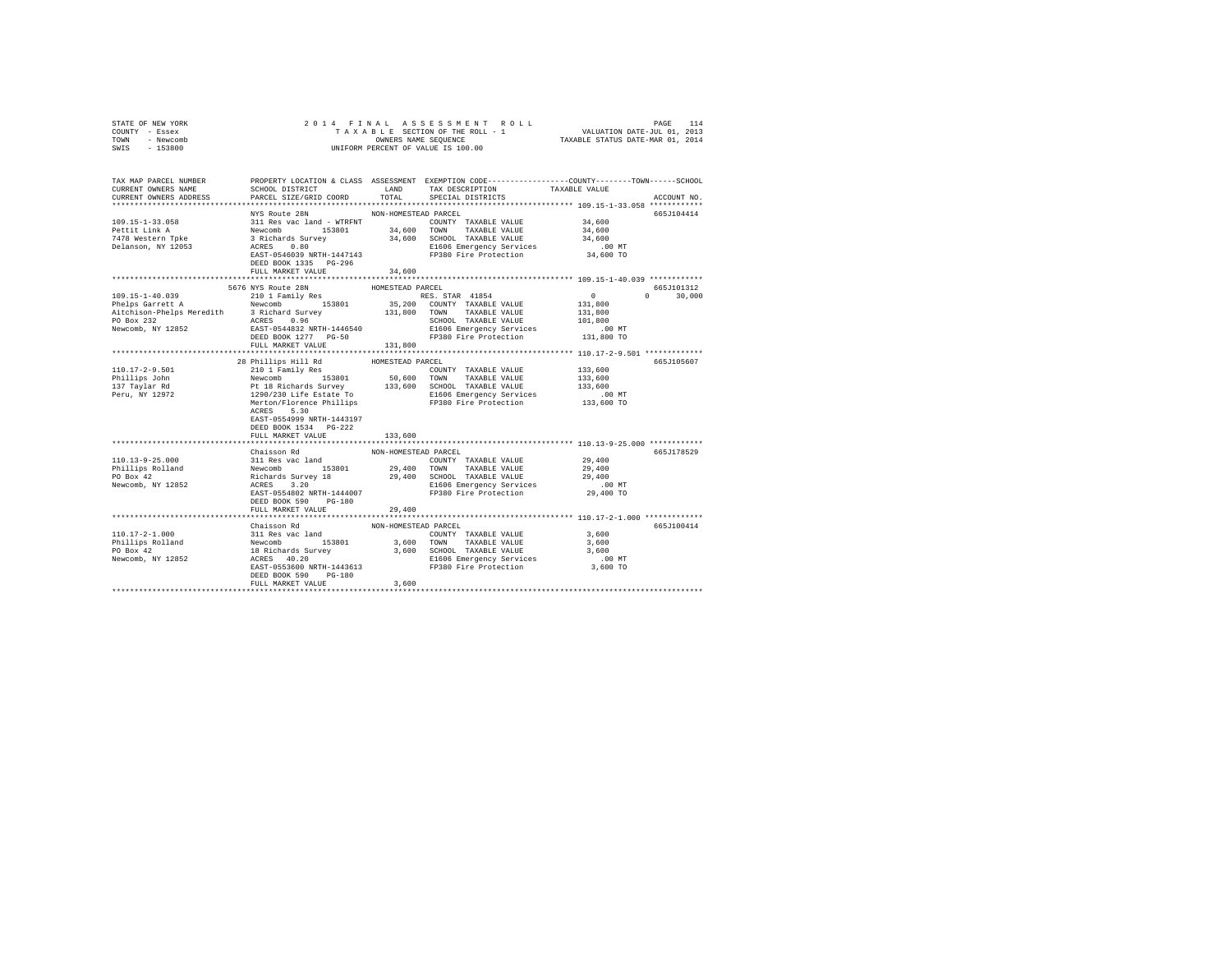| TOWN<br>- Newcomb<br>$-153800$<br>SWIS | OWNERS NAME SEQUENCE<br>UNIFORM PERCENT OF VALUE IS 100.00 |                      |                                                                                                                                                                                                                                              | TAXABLE STATUS DATE-MAR 01, 2014                    |               |
|----------------------------------------|------------------------------------------------------------|----------------------|----------------------------------------------------------------------------------------------------------------------------------------------------------------------------------------------------------------------------------------------|-----------------------------------------------------|---------------|
| TAX MAP PARCEL NUMBER                  |                                                            |                      | PROPERTY LOCATION & CLASS ASSESSMENT EXEMPTION CODE---------------COUNTY-------TOWN------SCHOOL                                                                                                                                              |                                                     |               |
| CURRENT OWNERS NAME                    | SCHOOL DISTRICT LAND TAX DESCRIPTION                       |                      |                                                                                                                                                                                                                                              | TAXABLE VALUE                                       |               |
| CURRENT OWNERS ADDRESS                 | PARCEL SIZE/GRID COORD                                     | TOTAL                | SPECIAL DISTRICTS                                                                                                                                                                                                                            |                                                     | ACCOUNT NO.   |
|                                        |                                                            |                      |                                                                                                                                                                                                                                              |                                                     |               |
|                                        | NYS Route 28N                                              | NON-HOMESTEAD PARCEL |                                                                                                                                                                                                                                              |                                                     | 665J104414    |
| 109.15-1-33.058                        |                                                            |                      |                                                                                                                                                                                                                                              | 34,600                                              |               |
| Pettit Link A<br>7478 Western Tpke     |                                                            |                      |                                                                                                                                                                                                                                              | 34,600<br>34,600                                    |               |
| Delanson, NY 12053                     |                                                            |                      |                                                                                                                                                                                                                                              | $.00$ MT                                            |               |
|                                        |                                                            |                      | E1606 Emergency Services<br>FP380 Fire Protection                                                                                                                                                                                            | 34,600 TO                                           |               |
|                                        |                                                            |                      | NIS ROUGE 26N<br>311 Res vac land - WTRFNT<br>Newcomb 153801 34,600 TOMNY TAXABLE VALUE<br>Reveromb 153801 34,600 SCHOOL TAXABLE VALUE<br>2 Richards Survey 34,600 SCHOOL TAXABLE VALUE<br>ACRES 0.80<br>REST-0546039 NRTH-1447143<br>DEED B |                                                     |               |
|                                        | FULL MARKET VALUE                                          | 34,600               |                                                                                                                                                                                                                                              |                                                     |               |
|                                        | *************************                                  | *************        |                                                                                                                                                                                                                                              | ****************** 109.15-1-40.039 ************     |               |
|                                        | 5676 NYS Route 28N                                         | HOMESTEAD PARCEL     |                                                                                                                                                                                                                                              |                                                     | 665J101312    |
|                                        |                                                            |                      | RES. STAR 41854                                                                                                                                                                                                                              | $\sim$ 0                                            | $0 \t 30,000$ |
|                                        |                                                            |                      |                                                                                                                                                                                                                                              | 131,800                                             |               |
|                                        |                                                            |                      |                                                                                                                                                                                                                                              | 131,800<br>101,800                                  |               |
|                                        |                                                            |                      |                                                                                                                                                                                                                                              | .00MT                                               |               |
|                                        |                                                            |                      |                                                                                                                                                                                                                                              | 131,800 TO                                          |               |
|                                        | FULL MARKET VALUE                                          | 131,800              |                                                                                                                                                                                                                                              |                                                     |               |
|                                        |                                                            |                      |                                                                                                                                                                                                                                              |                                                     |               |
|                                        | 28 Phillips Hill Rd                                        | HOMESTEAD PARCEL     |                                                                                                                                                                                                                                              |                                                     | 665J105607    |
| $110.17 - 2 - 9.501$                   | 210 1 Family Res                                           |                      | COUNTY TAXABLE VALUE                                                                                                                                                                                                                         | 133,600                                             |               |
| Phillips John                          |                                                            | $50,600$ TOWN        |                                                                                                                                                                                                                                              |                                                     |               |
| 137 Taylar Rd<br>Peru, NY 12972        |                                                            |                      | Newcomb 153801 50,600 TOWN TAXABLE VALUE 133,600<br>Pt 18 Richards Survey 133,600 SCHOOL TAXABLE VALUE 123,600<br>1290/230 Life Estate To S1606 Emergency Services<br>Merton/Florence Phillips FP380 Fire Protection 133,600 TO<br>Mer       |                                                     |               |
|                                        |                                                            |                      |                                                                                                                                                                                                                                              |                                                     |               |
|                                        | ACRES 5.30                                                 |                      |                                                                                                                                                                                                                                              |                                                     |               |
|                                        | EAST-0554999 NRTH-1443197                                  |                      |                                                                                                                                                                                                                                              |                                                     |               |
|                                        | DEED BOOK 1534 PG-222                                      |                      |                                                                                                                                                                                                                                              |                                                     |               |
|                                        | FULL MARKET VALUE                                          | 133,600              |                                                                                                                                                                                                                                              |                                                     |               |
|                                        |                                                            |                      |                                                                                                                                                                                                                                              |                                                     |               |
|                                        | Chaisson Rd                                                | NON-HOMESTEAD PARCEL |                                                                                                                                                                                                                                              |                                                     | 665J178529    |
|                                        |                                                            |                      |                                                                                                                                                                                                                                              | 29,400<br>29,400                                    |               |
|                                        |                                                            |                      |                                                                                                                                                                                                                                              | 29,400                                              |               |
|                                        |                                                            |                      |                                                                                                                                                                                                                                              | .00 MT                                              |               |
|                                        |                                                            |                      |                                                                                                                                                                                                                                              | 29,400 TO                                           |               |
|                                        | DEED BOOK 590 PG-180                                       |                      |                                                                                                                                                                                                                                              |                                                     |               |
|                                        | FULL MARKET VALUE                                          | 29,400               |                                                                                                                                                                                                                                              |                                                     |               |
|                                        |                                                            |                      |                                                                                                                                                                                                                                              | ********************** 110.17-2-1.000 ************* |               |
|                                        | Chaisson Rd                                                | NON-HOMESTEAD PARCEL |                                                                                                                                                                                                                                              |                                                     | 665J100414    |
| 110.17-2-1.000                         |                                                            |                      | VIET AND TRANSPORTED AND TRANSPORTED AS A SURFAMELY AND MANUS (1990)<br>131 Res vac land 153801 3,600 TOWN TRANSLE VALUE 3,600<br>18 Richards Survey 3,600 SCHOOL TRANSLE VALUE 3,600<br>18 RES 40.20 NRTH-1443613 E1606 Emergency S         |                                                     |               |
| Phillips Rolland<br>PO Box 42          |                                                            |                      |                                                                                                                                                                                                                                              |                                                     |               |
| Newcomb, NY 12852                      |                                                            |                      |                                                                                                                                                                                                                                              |                                                     |               |
|                                        |                                                            |                      |                                                                                                                                                                                                                                              |                                                     |               |
|                                        | DEED BOOK 590 PG-180                                       |                      |                                                                                                                                                                                                                                              |                                                     |               |
|                                        | FIILL MARKET VALUE                                         | 3,600                |                                                                                                                                                                                                                                              |                                                     |               |
|                                        |                                                            |                      |                                                                                                                                                                                                                                              |                                                     |               |

STATE OF NEW YORK 2 0 1 4 F I N A L A S S E S S M E N T R O L L PAGE 114 COUNTY - Essex T A X A B L E SECTION OF THE ROLL - 1 VALUATION DATE-JUL 01, 2013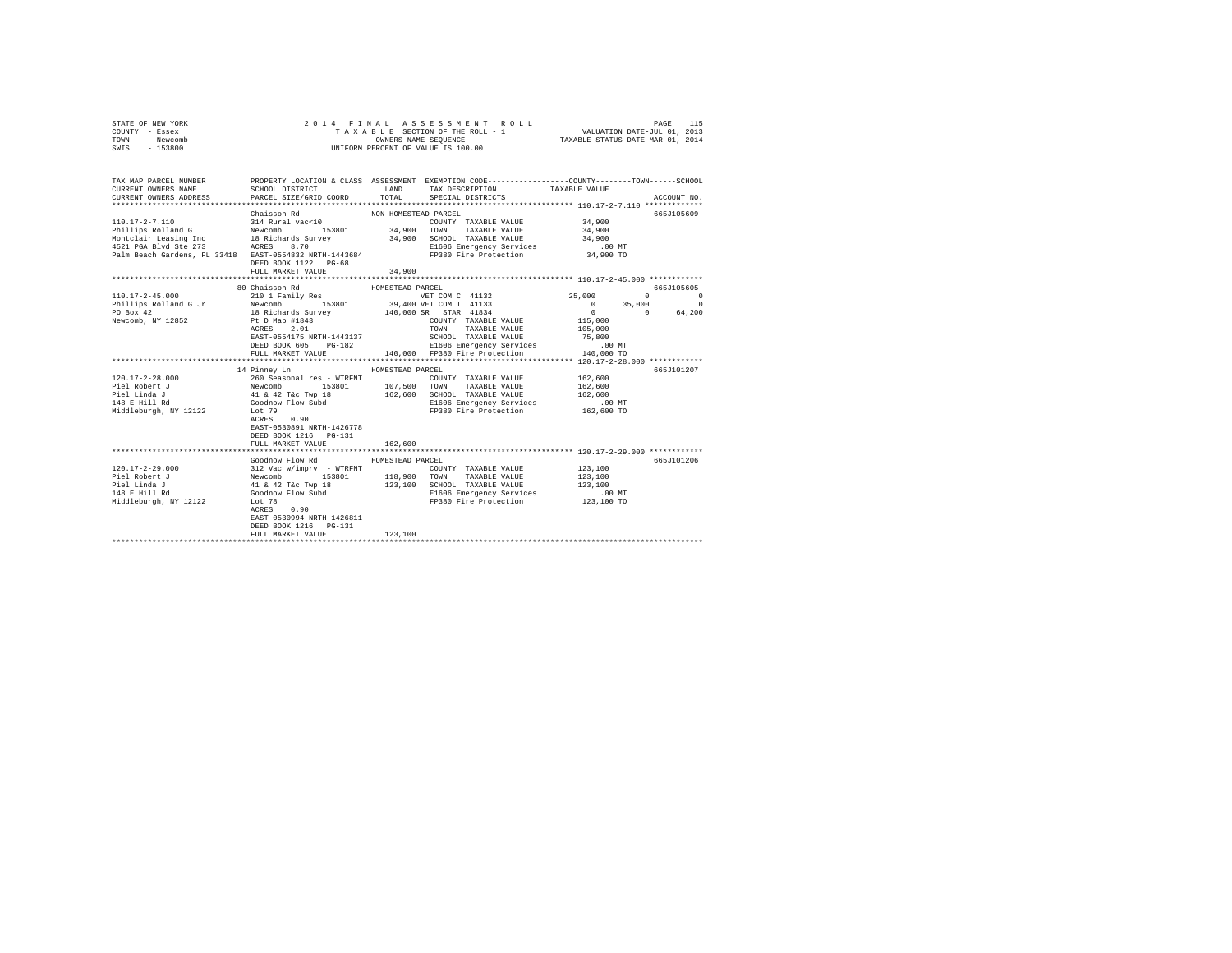| STATE OF NEW YORK<br>COUNTY - Essex<br>TOWN - Newcomb<br>SWIS - 153800                           |                                                                                                                                                                              |                                | 2014 FINAL ASSESSMENT ROLL<br>UNIFORM PERCENT OF VALUE IS 100.00                                                                                               |                                                        |                                                            |
|--------------------------------------------------------------------------------------------------|------------------------------------------------------------------------------------------------------------------------------------------------------------------------------|--------------------------------|----------------------------------------------------------------------------------------------------------------------------------------------------------------|--------------------------------------------------------|------------------------------------------------------------|
| TAX MAP PARCEL NUMBER<br>CURRENT OWNERS NAME<br>CURRENT OWNERS ADDRESS                           | SCHOOL DISTRICT<br>PARCEL SIZE/GRID COORD                                                                                                                                    | TOTAL                          | PROPERTY LOCATION & CLASS ASSESSMENT EXEMPTION CODE---------------COUNTY-------TOWN------SCHOOL<br>LAND TAX DESCRIPTION<br>SPECIAL DISTRICTS                   | TAXABLE VALUE                                          | ACCOUNT NO.                                                |
| 110.17-2-7.110                                                                                   | Chaisson Rd<br>314 Rural vac<10<br>DEED BOOK 1122 PG-68<br>FULL MARKET VALUE                                                                                                 | NON-HOMESTEAD PARCEL<br>34,900 | COUNTY TAXABLE VALUE<br>E1606 Emergency Services                                                                                                               | 34,900<br>34,900<br>34,900<br>$.00$ MT<br>34,900 TO    | 665J105609                                                 |
|                                                                                                  |                                                                                                                                                                              |                                |                                                                                                                                                                |                                                        |                                                            |
| $110.17 - 2 - 45.000$                                                                            | 80 Chaisson Rd<br>210 1 Family Res                                                                                                                                           | HOMESTEAD PARCEL               | VET COM C 41132                                                                                                                                                | 25,000                                                 | 665J105605<br>$\begin{array}{ccc}\n0 & & & 0\n\end{array}$ |
| Phillips Rolland G Jr Newcomb                                                                    | 153801                                                                                                                                                                       |                                | 39,400 VET COM T 41133                                                                                                                                         | $0 \t 35,000$                                          | $\sim$ 0                                                   |
| PO Box 42                                                                                        | 18 Richards Survey                                                                                                                                                           |                                | 140,000 SR STAR 41834                                                                                                                                          |                                                        | 64,200                                                     |
| Newcomb, NY 12852                                                                                | Pt D Map #1843<br>ACRES 2.01<br>EAST-0554175 NRTH-1443137<br>DEED BOOK 605 PG-182<br>FULL MARKET VALUE                                                                       |                                | COUNTY TAXABLE VALUE<br><b>TOWN</b><br>TAXABLE VALUE<br>FUTH MANAGE VALUE<br>SCHOOL TAXABLE VALUE<br>E1606 Emergency Services<br>140,000 FP380 Fire Protection | 115,000<br>105,000<br>75,800<br>$.00$ MT<br>140,000 TO |                                                            |
|                                                                                                  |                                                                                                                                                                              |                                |                                                                                                                                                                |                                                        |                                                            |
| $120.17 - 2 - 28.000$<br>Piel Robert J<br>Piel Linda J<br>148 E Hill Rd<br>Middleburgh, NY 12122 | 14 Pinney Ln<br>41 & 42 T&c Twp 18 162,600 SCHOOL TAXABLE VALUE<br>Goodnow Flow Subd<br>Lot 79<br>Lot 79<br>ACRES 0.90<br>EAST-0530891 NRTH-1426778<br>DEED BOOK 1216 PG-131 | HOMESTEAD PARCEL               | COUNTY TAXABLE VALUE 162,600<br>TAXABLE VALUE<br>E1606 Emergency Services<br>FP380 Fire Protection                                                             | 162,600<br>162,600<br>.00 MT<br>162,600 TO             | 665J101207                                                 |
|                                                                                                  | FULL MARKET VALUE                                                                                                                                                            | 162,600                        |                                                                                                                                                                |                                                        |                                                            |
| 120.17-2-29.000                                                                                  | Goodnow Flow Rd MOMESTEAD PARCEL<br>$\begin{tabular}{lllllllllll} 312\text{ Vac } \text{w/imprv} & - \text{WTRENT} \\ \text{Newcomb} & 153801 & 110.000 \end{tabular}$       |                                | COUNTY TAXABLE VALUE                                                                                                                                           | 123, 100                                               | 665J101206                                                 |
| Piel Robert J<br>Piel Linda J<br>148 E Hill Rd<br>Middleburgh, NY 12122                          | 41 & 42 T&C Twp 18<br>Goodnow Flow Subd<br>Lot 78<br>Lot 78<br>ACRES<br>0.90<br>EAST-0530994 NRTH-1426811<br>DEED BOOK 1216 PG-131<br>FULL MARKET VALUE                      | 123,100                        | 153801 118,900 TOWN TAXABLE VALUE<br>123,100 SCHOOL TAXABLE VALUE<br>E1606 Emergency Services<br>FP380 Fire Protection<br>FP380 Fire Protection                | 123,100<br>123,100<br>.00 MT<br>123,100 TO             |                                                            |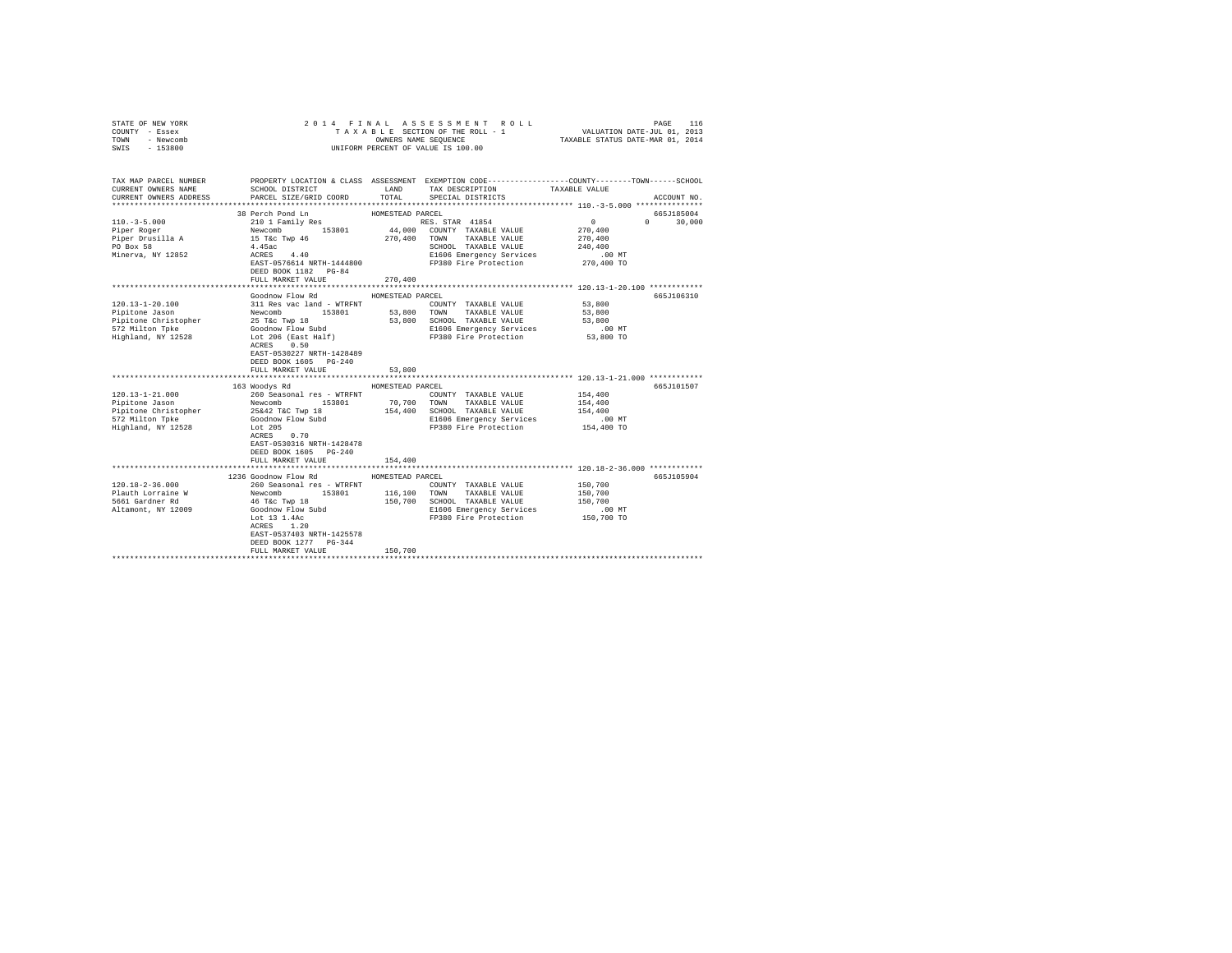| COUNTY - Essex<br>TOWN<br>- Newcomb<br>$-153800$<br>SWIS                                                 |                                                                                                                                                                                                                                                                                                                                            |                             | UNIFORM PERCENT OF VALUE IS 100.00                                                                                                            |                                                       |               |
|----------------------------------------------------------------------------------------------------------|--------------------------------------------------------------------------------------------------------------------------------------------------------------------------------------------------------------------------------------------------------------------------------------------------------------------------------------------|-----------------------------|-----------------------------------------------------------------------------------------------------------------------------------------------|-------------------------------------------------------|---------------|
| TAX MAP PARCEL NUMBER<br>CURRENT OWNERS NAME<br>CURRENT OWNERS ADDRESS                                   | PROPERTY LOCATION & CLASS ASSESSMENT EXEMPTION CODE----------------COUNTY-------TOWN------SCHOOL<br>SCHOOL DISTRICT<br>PARCEL SIZE/GRID COORD                                                                                                                                                                                              | TOTAL                       | LAND TAX DESCRIPTION<br>SPECIAL DISTRICTS                                                                                                     | TAXABLE VALUE                                         | ACCOUNT NO.   |
|                                                                                                          | 38 Perch Pond Ln                                                                                                                                                                                                                                                                                                                           | HOMESTEAD PARCEL            |                                                                                                                                               |                                                       | 665J185004    |
| $110. -3 - 5.000$<br>Piper Roger<br>Piper Drusilla A<br>PO Box 58<br>Minerva, NY 12852                   | 2010 1 Pamily Res 153801<br>162801 1992 101 1994<br>163801 164,000 COUNTY TAXABLE VALUE<br>164,000 COUNTY TAXABLE VALUE<br>164,5ac<br>164.5ac<br>270,400 TOWN TAXABLE VALUE<br>270,400 TOWN TAXABLE VALUE<br>2825T-0576614 NRTH-1444800 21606<br>DEED BOOK 1182 PG-84                                                                      |                             | SCHOOL TAXABLE VALUE<br>E1606 Emergency Services .00 MT<br>FP380 Fire Protection 270,400 TO                                                   | 0<br>270,400<br>270,400<br>240,400                    | $0 \t 30,000$ |
|                                                                                                          | FULL MARKET VALUE                                                                                                                                                                                                                                                                                                                          | 270,400                     |                                                                                                                                               |                                                       |               |
| 120.13-1-20.100<br>Pipitone Jason<br>Pipitone Christopher<br>572 Milton Toke<br>Highland, NY 12528       | Goodnow Flow Rd<br>25 T&c Twp 18<br>Goodnow Flow Subd<br>Lot 206 (East Half)<br>ACRES 0.50<br>EAST-0530227 NRTH-1428489<br>DEED BOOK 1605 PG-240<br>FULL MARKET VALUE                                                                                                                                                                      | HOMESTEAD PARCEL<br>53,800  | COUNTY TAXABLE VALUE<br>53,800 SCHOOL TAXABLE VALUE<br>E1606 Emergency Services<br>FP380 Fire Protection                                      | 53,800<br>53,800<br>53,800<br>.00 MT<br>53,800 TO     | 665J106310    |
|                                                                                                          | 163 Woodys Rd                                                                                                                                                                                                                                                                                                                              | HOMESTEAD PARCEL            |                                                                                                                                               |                                                       | 665J101507    |
| $120.13 - 1 - 21.000$<br>Pipitone Jason<br>Pipitone Christopher<br>572 Milton Tpke<br>Highland, NY 12528 | $\begin{tabular}{lllllllll} 260\text{ Seasonal res} & - \text{WTRFNT} \\ \text{Newcomb} & 153801 & 70,700 \\ 25\text{e}42 \text{ T}\text{sC Twp} & 18 & 154,400 \\ \end{tabular}$<br>Goodnow Flow Subd<br>Lot 205<br>$\frac{\text{Lot} 205}{\text{ACRES}}$ 0.70<br>EAST-0530316 NRTH-1428478<br>DEED BOOK 1605 PG-240<br>FULL MARKET VALUE | 154,400                     | COUNTY TAXABLE VALUE<br>TOWN TAXABLE VALUE<br>154,400 SCHOOL TAXABLE VALUE<br>E1606 Emergency Services<br>FP380 Fire Protection               | 154,400<br>154,400<br>154,400<br>.00 MT<br>154,400 TO |               |
|                                                                                                          |                                                                                                                                                                                                                                                                                                                                            |                             |                                                                                                                                               |                                                       |               |
| $120.18 - 2 - 36.000$<br>Plauth Lorraine W<br>5661 Gardner Rd<br>Altamont, NY 12009                      | 1236 Goodnow Flow Rd<br>260 Seasonal res - WTRFNT<br>Newcomb 153801 116,100<br>46 T&c Twp 18<br>Goodnow Flow Subd<br>Lot 13 1.4Ac<br>ACRES 1.20<br>EAST-0537403 NRTH-1425578<br>DEED BOOK 1277 PG-344<br>FULL MARKET VALUE                                                                                                                 | HOMESTEAD PARCEL<br>150,700 | COUNTY TAXABLE VALUE<br>TOWN<br>TAXABLE VALUE<br>150,700 SCHOOL TAXABLE VALUE<br>E1606 Emergency Services<br>FP380 Fire Protection 150,700 TO | 150,700<br>150,700<br>150,700<br>$.00$ MT             | 665J105904    |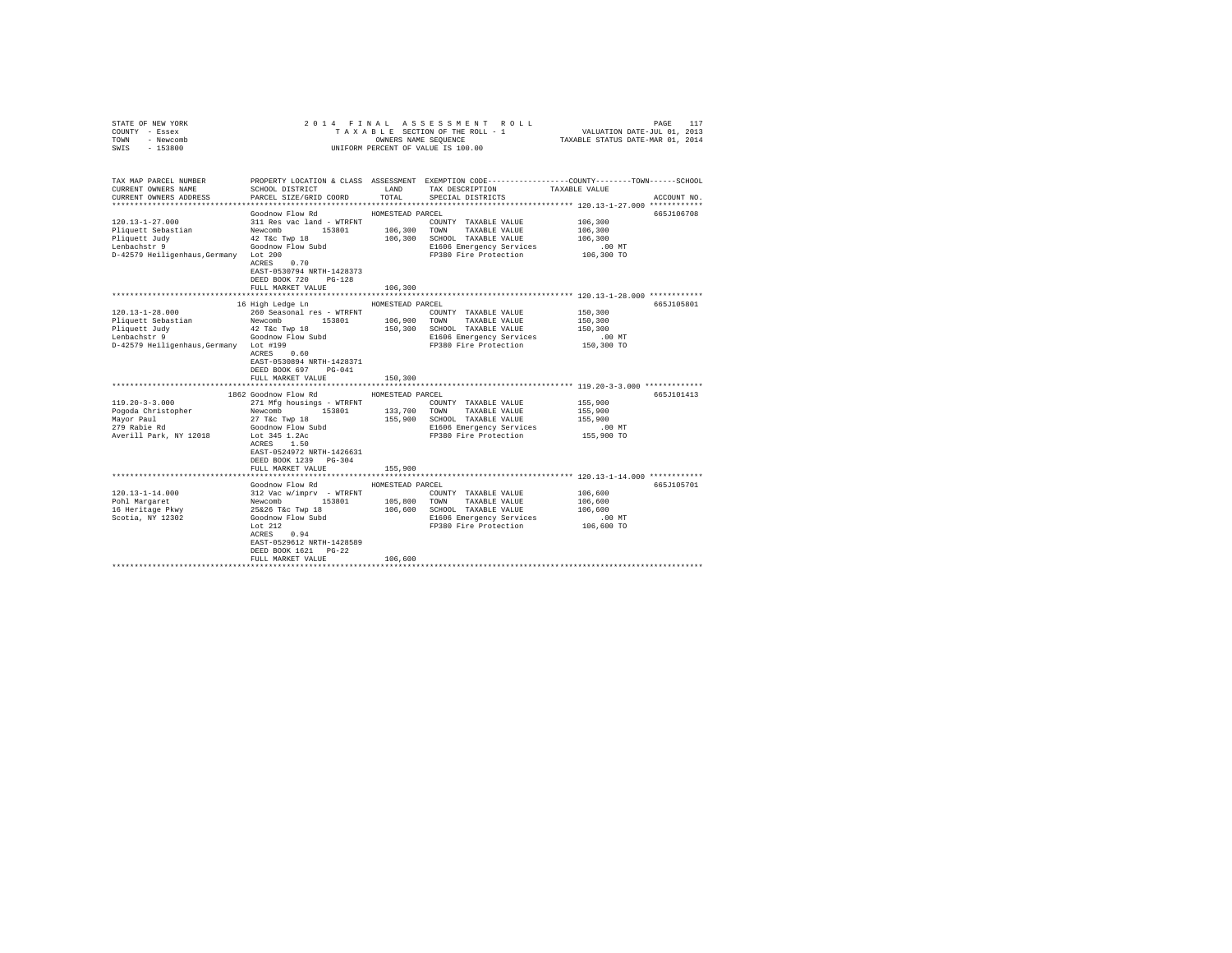| COUNTY - Essex<br>TOWN<br>- Newcomb                   |                                                                | OWNERS NAME SEQUENCE | TAXABLE SECTION OF THE ROLL - 1                                                                 | VALUATION DATE-JUL 01, 2013<br>TAXABLE STATUS DATE-MAR 01, 2014 |             |
|-------------------------------------------------------|----------------------------------------------------------------|----------------------|-------------------------------------------------------------------------------------------------|-----------------------------------------------------------------|-------------|
| SWIS<br>$-153800$                                     |                                                                |                      | UNIFORM PERCENT OF VALUE IS 100.00                                                              |                                                                 |             |
|                                                       |                                                                |                      |                                                                                                 |                                                                 |             |
| TAX MAP PARCEL NUMBER                                 |                                                                |                      | PROPERTY LOCATION & CLASS ASSESSMENT EXEMPTION CODE---------------COUNTY-------TOWN------SCHOOL |                                                                 |             |
| CURRENT OWNERS NAME                                   | SCHOOL DISTRICT                                                |                      | LAND TAX DESCRIPTION                                                                            | TAXABLE VALUE                                                   |             |
| CURRENT OWNERS ADDRESS                                | PARCEL SIZE/GRID COORD                                         | TOTAL                | SPECIAL DISTRICTS                                                                               |                                                                 | ACCOUNT NO. |
|                                                       |                                                                |                      |                                                                                                 |                                                                 |             |
|                                                       | Goodnow Flow Rd                                                | HOMESTEAD PARCEL     |                                                                                                 |                                                                 | 665J106708  |
| $120.13 - 1 - 27.000$                                 | 311 Res vac land - WTRFNT                                      |                      | COUNTY TAXABLE VALUE                                                                            | 106,300                                                         |             |
| Pliquett Sebastian                                    | Newcomb 153801                                                 | 106,300              | TOWN TAXABLE VALUE                                                                              | 106,300                                                         |             |
| Pliquett Judy                                         | 42 T&C Twp 18                                                  |                      | 106,300 SCHOOL TAXABLE VALUE                                                                    | 106,300                                                         |             |
| Lenbachstr 9<br>D-42579 Heiligenhaus, Germany Lot 200 | Goodnow Flow Subd                                              |                      | E1606 Emergency Services<br>FP380 Fire Protection                                               | $.00$ MT<br>106,300 TO                                          |             |
|                                                       | $ACRES$ 0.70                                                   |                      |                                                                                                 |                                                                 |             |
|                                                       | EAST-0530794 NRTH-1428373                                      |                      |                                                                                                 |                                                                 |             |
|                                                       | DEED BOOK 720 PG-128                                           |                      |                                                                                                 |                                                                 |             |
|                                                       | FULL MARKET VALUE                                              | 106,300              |                                                                                                 |                                                                 |             |
|                                                       |                                                                |                      | ********************************* 120.13-1-28.000 ************                                  |                                                                 |             |
|                                                       | 16 High Ledge Ln                                               | HOMESTEAD PARCEL     |                                                                                                 |                                                                 | 665J105801  |
| $120.13 - 1 - 28.000$                                 | 260 Seasonal res - WTRFNT                                      |                      | COUNTY TAXABLE VALUE                                                                            | 150,300                                                         |             |
| Pliquett Sebastian                                    | Newcomb 153801                                                 |                      | 106,900 TOWN TAXABLE VALUE                                                                      | 150,300                                                         |             |
| Pliquett Judy                                         | 42 T&c Twp 18                                                  |                      | 150,300 SCHOOL TAXABLE VALUE                                                                    | 150,300                                                         |             |
| Lenbachstr 9                                          | Goodnow Flow Subd                                              |                      | E1606 Emergency Services                                                                        | $.00$ MT                                                        |             |
| D-42579 Heiligenhaus, Germany Lot #199                |                                                                |                      | FP380 Fire Protection                                                                           | 150,300 TO                                                      |             |
|                                                       | ACRES 0.60                                                     |                      |                                                                                                 |                                                                 |             |
|                                                       | EAST-0530894 NRTH-1428371                                      |                      |                                                                                                 |                                                                 |             |
|                                                       | DEED BOOK 697 PG-041                                           | 150,300              |                                                                                                 |                                                                 |             |
|                                                       | FULL MARKET VALUE                                              |                      |                                                                                                 |                                                                 |             |
|                                                       | 1862 Goodnow Flow Rd                                           | HOMESTEAD PARCEL     |                                                                                                 |                                                                 | 665J101413  |
| $119.20 - 3 - 3.000$                                  | 271 Mfg housings - WTRFNT                                      |                      | COUNTY TAXABLE VALUE                                                                            | 155,900                                                         |             |
| Pogoda Christopher                                    | Newcomb<br>153801                                              |                      | 133,700 TOWN TAXABLE VALUE                                                                      | 155,900                                                         |             |
|                                                       | 27 T&c Twp 18                                                  |                      | 155,900 SCHOOL TAXABLE VALUE                                                                    | 155,900                                                         |             |
| Mayor Paul<br>279 Rabie Rd                            | Goodnow Flow Subd                                              |                      | E1606 Emergency Services                                                                        | .00 MT                                                          |             |
| Averill Park, NY 12018                                | Lot 345 1.2Ac                                                  |                      | FP380 Fire Protection                                                                           | 155,900 TO                                                      |             |
|                                                       | ACRES 1.50                                                     |                      |                                                                                                 |                                                                 |             |
|                                                       | EAST-0524972 NRTH-1426631                                      |                      |                                                                                                 |                                                                 |             |
|                                                       | DEED BOOK 1239 PG-304                                          |                      |                                                                                                 |                                                                 |             |
|                                                       | FULL MARKET VALUE                                              | 155,900              |                                                                                                 |                                                                 |             |
|                                                       |                                                                |                      |                                                                                                 |                                                                 |             |
|                                                       | Goodnow Flow Rd                                                | HOMESTEAD PARCEL     |                                                                                                 |                                                                 | 665J105701  |
| $120.13 - 1 - 14.000$                                 |                                                                |                      | COUNTY TAXABLE VALUE<br>105,800 TOWN TAXABLE VALUE                                              | 106,600                                                         |             |
| Pohl Margaret<br>16 Heritage Pkwy                     | 312 Vac w/imprv - WTRFNT<br>Newcomb 153801<br>25&26 T&c Twp 18 |                      | 106,600 SCHOOL TAXABLE VALUE                                                                    | 106,600<br>106,600                                              |             |
| Scotia, NY 12302                                      |                                                                |                      | E1606 Emergency Services                                                                        | $.00$ MT                                                        |             |
|                                                       | Goodnow Flow Subd                                              |                      | FP380 Fire Protection                                                                           | 106,600 TO                                                      |             |
|                                                       | $ACRES$ 0.94                                                   |                      |                                                                                                 |                                                                 |             |
|                                                       | EAST-0529612 NRTH-1428589                                      |                      |                                                                                                 |                                                                 |             |
|                                                       | DEED BOOK 1621 PG-22                                           |                      |                                                                                                 |                                                                 |             |
|                                                       | FULL MARKET VALUE                                              | 106,600              |                                                                                                 |                                                                 |             |
|                                                       |                                                                |                      |                                                                                                 |                                                                 |             |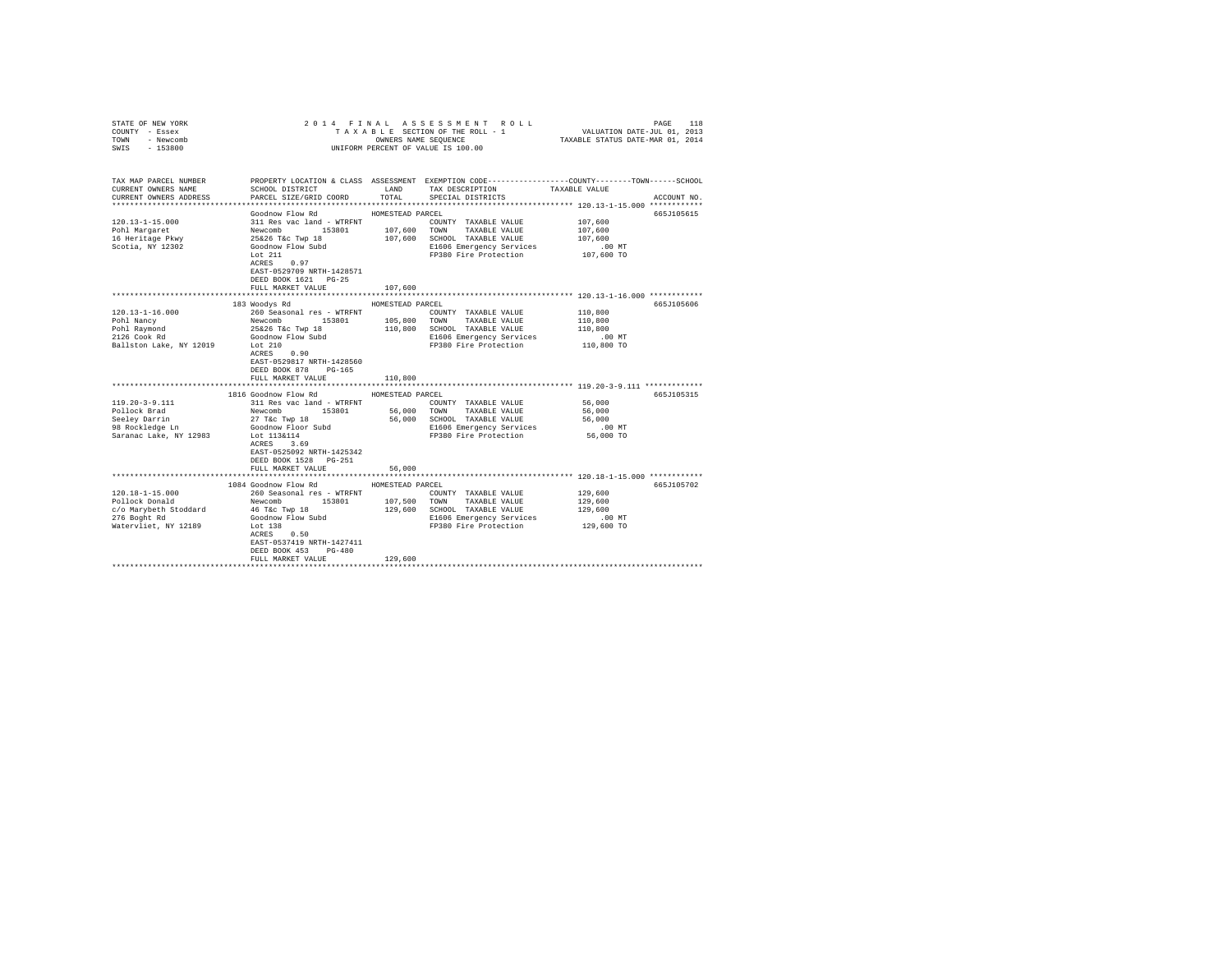| COUNTY - Essex<br>- Newcomb<br>TOWN<br>SWIS - 153800                                                                                                    |                                                                                                                                                                                                                                                                                                  |                             | UNIFORM PERCENT OF VALUE IS 100.00                                                                                                                                                                                          |                                                                                     |                          |
|---------------------------------------------------------------------------------------------------------------------------------------------------------|--------------------------------------------------------------------------------------------------------------------------------------------------------------------------------------------------------------------------------------------------------------------------------------------------|-----------------------------|-----------------------------------------------------------------------------------------------------------------------------------------------------------------------------------------------------------------------------|-------------------------------------------------------------------------------------|--------------------------|
| TAX MAP PARCEL NUMBER<br>CURRENT OWNERS NAME<br>CURRENT OWNERS ADDRESS                                                                                  | SCHOOL DISTRICT<br>PARCEL SIZE/GRID COORD                                                                                                                                                                                                                                                        | TOTAL                       | PROPERTY LOCATION & CLASS ASSESSMENT EXEMPTION CODE----------------COUNTY-------TOWN------SCHOOL<br>LAND TAX DESCRIPTION<br>SPECIAL DISTRICTS                                                                               | TAXABLE VALUE                                                                       | ACCOUNT NO.              |
| $120.13 - 1 - 15.000$<br>Pohl Margaret<br>16 Heritage Pkwy<br>Scotia, NY 12302                                                                          | Goodnow Flow Rd MOMESTEAD PARCEL<br>Goodnow Flow Subd<br>Lot $211$<br>ACRES 0.97<br>EAST-0529709 NRTH-1428571<br>DEED BOOK 1621 PG-25<br>FULL MARKET VALUE                                                                                                                                       | 107,600                     | E1606 Emergency Services<br>FP380 Fire Protection                                                                                                                                                                           | 107,600<br>107,600<br>107,600<br>$.00$ MT<br>107,600 TO                             | 665J105615               |
|                                                                                                                                                         |                                                                                                                                                                                                                                                                                                  |                             | ********************************** 120.13-1-16.000 ************                                                                                                                                                             |                                                                                     |                          |
| $120.13 - 1 - 16.000$<br>Pohl Nancy<br>Pohl Raymond<br>2126 Cook Rd<br>Ballston Lake, NY 12019<br>$119.20 - 3 - 9.111$<br>Pollock Brad<br>Seeley Darrin | 183 Woodys Rd<br>260 Seasonal res - WTRFNT<br>Newcomb 153801<br>25&26 T&c Twp 18<br>Goodnow Flow Subd<br>Lot 210<br>ACRES 0.90<br>EAST-0529817 NRTH-1428560<br>DEED BOOK 878 PG-165<br>FULL MARKET VALUE<br>1816 Goodnow Flow Rd MOMESTEAD PARCEL<br>311 Res vac land - WTRFNT<br>Newcomb 153801 | HOMESTEAD PARCEL<br>110,800 | COUNTY TAXABLE VALUE<br>105,800 TOWN TAXABLE VALUE<br>110,800 SCHOOL TAXABLE VALUE<br>E1606 Emergency Services<br>FP380 Fire Protection<br>COUNTY TAXABLE VALUE<br>56,000 TOWN TAXABLE VALUE<br>56,000 SCHOOL TAXABLE VALUE | 110,800<br>110,800<br>110,800<br>.00 MT<br>110,800 TO<br>56,000<br>56,000<br>56,000 | 665J105606<br>665J105315 |
| <b>Deter Darrin</b><br>98 Rockledge Ln<br>Saranac Lake, NY 12983                                                                                        | 27 T&c Twp 18<br>Goodnow Floor Subd<br>Lot 113&114<br>ACRES 3.69<br>EAST-0525092 NRTH-1425342<br>DEED BOOK 1528 PG-251<br>FULL MARKET VALUE                                                                                                                                                      | 56,000                      | E1606 Emergency Services<br>FP380 Fire Protection                                                                                                                                                                           | $.00$ MT<br>56,000 TO                                                               |                          |
|                                                                                                                                                         |                                                                                                                                                                                                                                                                                                  |                             |                                                                                                                                                                                                                             |                                                                                     |                          |
| $120.18 - 1 - 15.000$<br>Pollock Donald<br>c/o Marybeth Stoddard<br>276 Boght Rd<br>Watervliet, NY 12189                                                | 1084 Goodnow Flow Rd<br>260 Seasonal res - WTRFNT<br>Newcomb 153801<br>46 T&C Twp 18<br>Goodnow Flow Subd<br>Lot 138<br>ACRES 0.50<br>Lot 138<br>EAST-0537419 NRTH-1427411<br>DEED BOOK 453 PG-480<br>FULL MARKET VALUE                                                                          | HOMESTEAD PARCEL<br>129,600 | COUNTY TAXABLE VALUE<br>107,500 TOWN TAXABLE VALUE<br>129,600 SCHOOL TAXABLE VALUE<br>E1606 Emergency Services<br>FP380 Fire Protection 129,600 TO                                                                          | 129,600<br>129,600<br>129,600<br>.00 MT                                             | 665J105702               |
|                                                                                                                                                         |                                                                                                                                                                                                                                                                                                  |                             |                                                                                                                                                                                                                             |                                                                                     |                          |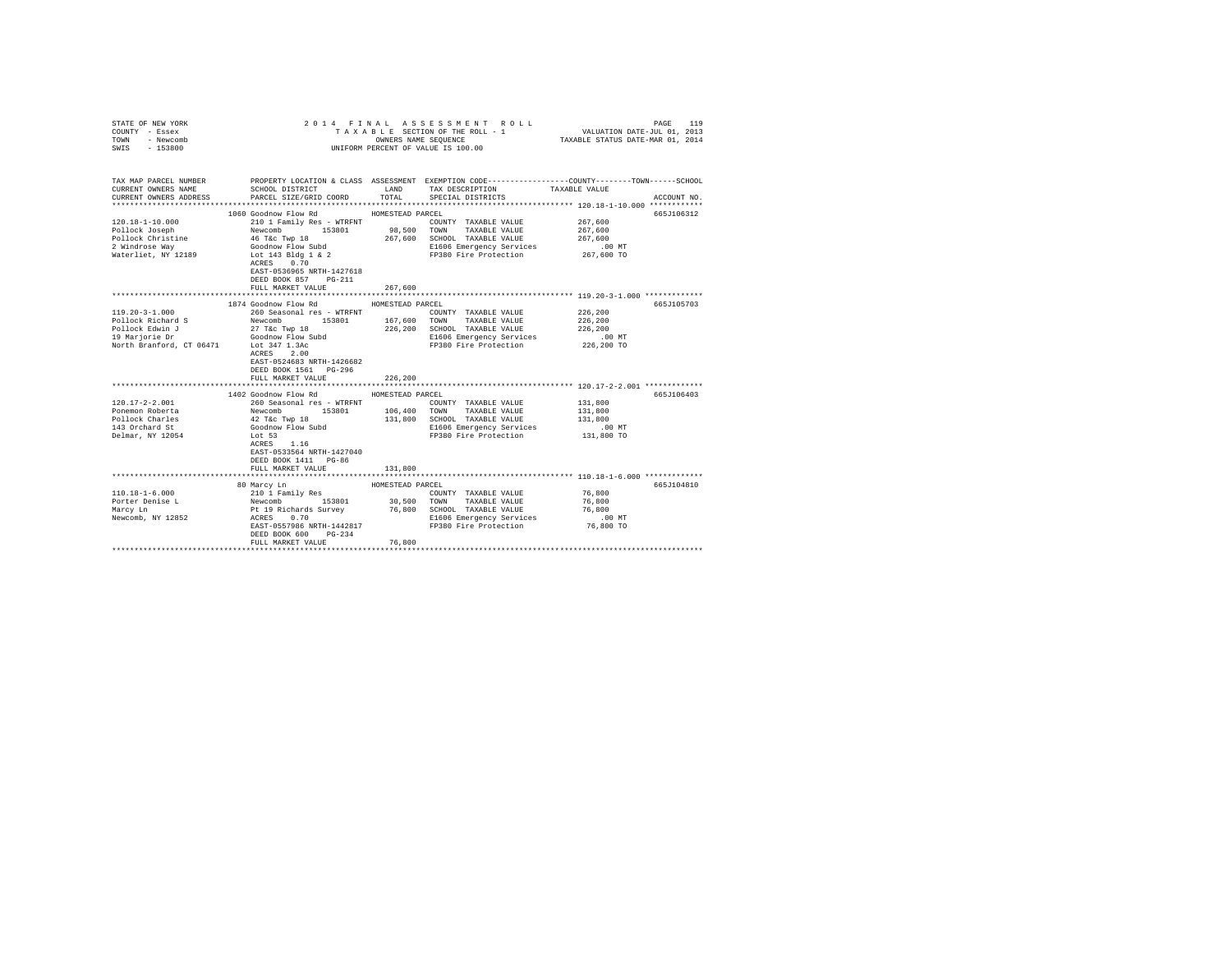| STATE OF NEW YORK<br>COUNTY - Essex          |                                                                                        |                  | 2014 FINAL ASSESSMENT ROLL<br>TAXABLE SECTION OF THE ROLL - 1 | 119<br>PAGE<br>VALUATION DATE-JUL 01, 2013<br>TAXABLE STATUS DATE-MAR 01, 2014                                   |
|----------------------------------------------|----------------------------------------------------------------------------------------|------------------|---------------------------------------------------------------|------------------------------------------------------------------------------------------------------------------|
| TOWN<br>- Newcomb                            |                                                                                        |                  | OWNERS NAME SEQUENCE                                          |                                                                                                                  |
| $-153800$<br>SWIS                            |                                                                                        |                  | UNIFORM PERCENT OF VALUE IS 100.00                            |                                                                                                                  |
|                                              |                                                                                        |                  |                                                               |                                                                                                                  |
| TAX MAP PARCEL NUMBER<br>CURRENT OWNERS NAME | SCHOOL DISTRICT TAND TAX DESCRIPTION                                                   |                  |                                                               | PROPERTY LOCATION & CLASS ASSESSMENT EXEMPTION CODE---------------COUNTY-------TOWN------SCHOOL<br>TAXABLE VALUE |
| CURRENT OWNERS ADDRESS                       | PARCEL SIZE/GRID COORD TOTAL SPECIAL DISTRICTS                                         |                  |                                                               | ACCOUNT NO.                                                                                                      |
|                                              |                                                                                        |                  |                                                               |                                                                                                                  |
|                                              | 1060 Goodnow Flow Rd                                                                   | HOMESTEAD PARCEL |                                                               | 665J106312                                                                                                       |
| 120.18-1-10.000                              | 210 1 Family Res - WTRFNT                                                              |                  | COUNTY TAXABLE VALUE                                          | 267,600                                                                                                          |
| Pollock Joseph                               | Newcomb 153801 98,500 TOWN TAXABLE VALUE<br>46 T&c Twp 18 267,600 SCHOOL TAXABLE VALUE |                  |                                                               | 267,600                                                                                                          |
| Pollock Christine                            | 46 T&C Twp 18                                                                          |                  |                                                               | 267,600                                                                                                          |
| 2 Windrose Way                               |                                                                                        |                  | E1606 Emergency Services                                      | $.00$ MT                                                                                                         |
| Waterliet, NY 12189                          | Goodnow Flow Subd<br>Lot 143 Bldg 1 & 2                                                |                  | FP380 Fire Protection 267,600 TO                              |                                                                                                                  |
|                                              | ACRES 0.70                                                                             |                  |                                                               |                                                                                                                  |
|                                              | EAST-0536965 NRTH-1427618                                                              |                  |                                                               |                                                                                                                  |
|                                              | DEED BOOK 857 PG-211<br>FULL MARKET VALUE                                              | 267,600          |                                                               |                                                                                                                  |
|                                              |                                                                                        |                  |                                                               | ***************************** 119.20-3-1.000 *************                                                       |
|                                              | 1874 Goodnow Flow Rd                                                                   | HOMESTEAD PARCEL |                                                               | 665J105703                                                                                                       |
| $119.20 - 3 - 1.000$                         | 260 Seasonal res - WTRFNT                                                              |                  | COUNTY TAXABLE VALUE                                          | 226,200                                                                                                          |
| Pollock Richard S                            | Newcomb 153801                                                                         |                  | 167.600 TOWN TAXABLE VALUE                                    | 226,200                                                                                                          |
| Pollock Edwin J                              | 27 T&c Twp 18                                                                          |                  | 226,200 SCHOOL TAXABLE VALUE                                  | 226,200                                                                                                          |
| 19 Marjorie Dr                               | Goodnow Flow Subd                                                                      |                  | E1606 Emergency Services                                      | $.00$ MT                                                                                                         |
| North Branford, CT 06471                     | Lot 347 1.3Ac                                                                          |                  | FP380 Fire Protection                                         | 226,200 TO                                                                                                       |
|                                              | ACRES 2.00                                                                             |                  |                                                               |                                                                                                                  |
|                                              | EAST-0524683 NRTH-1426682                                                              |                  |                                                               |                                                                                                                  |
|                                              | DEED BOOK 1561 PG-296                                                                  |                  |                                                               |                                                                                                                  |
|                                              | FULL MARKET VALUE                                                                      | 226,200          |                                                               |                                                                                                                  |
|                                              |                                                                                        |                  |                                                               |                                                                                                                  |
|                                              | 1402 Goodnow Flow Rd MOMESTEAD PARCEL                                                  |                  |                                                               | 665J106403                                                                                                       |
| $120.17 - 2 - 2.001$                         | 260 Seasonal res - WTRFNT                                                              |                  | COUNTY TAXABLE VALUE                                          | 131,800                                                                                                          |
| Ponemon Roberta                              | Newcomb 153801                                                                         | 106,400          | TOWN TAXABLE VALUE                                            | 131,800                                                                                                          |
| Pollock Charles                              | 42 T&c Twp 18                                                                          | 131,800          | SCHOOL TAXABLE VALUE                                          | 131,800                                                                                                          |
| 143 Orchard St<br>Delmar, NY 12054           | Goodnow Flow Subd<br>Lot 53                                                            |                  | E1606 Emergency Services<br>FP380 Fire Protection             | $.00$ MT<br>131,800 TO                                                                                           |
|                                              | ACRES 1.16                                                                             |                  |                                                               |                                                                                                                  |
|                                              | EAST-0533564 NRTH-1427040                                                              |                  |                                                               |                                                                                                                  |
|                                              | DEED BOOK 1411 PG-86                                                                   |                  |                                                               |                                                                                                                  |
|                                              | FULL MARKET VALUE                                                                      | 131,800          |                                                               |                                                                                                                  |
|                                              |                                                                                        |                  |                                                               |                                                                                                                  |
|                                              | 80 Marcy Ln                                                                            | HOMESTEAD PARCEL |                                                               | 665J104810                                                                                                       |
| $110.18 - 1 - 6.000$                         |                                                                                        |                  | COUNTY TAXABLE VALUE                                          | 76,800                                                                                                           |
| Porter Denise L                              | 210 1 Family Res<br>Newcomb 153801<br>Pt 19 Richards Survey<br>ACRES 0.70              |                  | 30,500 TOWN TAXABLE VALUE                                     | 76,800                                                                                                           |
| Marcy Ln                                     |                                                                                        |                  | 76,800 SCHOOL TAXABLE VALUE                                   | 76,800                                                                                                           |
| Newcomb, NY 12852                            |                                                                                        |                  | E1606 Emergency Services                                      | $.00$ MT                                                                                                         |
|                                              | EAST-0557986 NRTH-1442817                                                              |                  | FP380 Fire Protection                                         | 76,800 TO                                                                                                        |
|                                              | DEED BOOK 600<br>$PG-234$                                                              |                  |                                                               |                                                                                                                  |
|                                              | FULL MARKET VALUE                                                                      | 76,800           |                                                               |                                                                                                                  |
|                                              |                                                                                        |                  |                                                               |                                                                                                                  |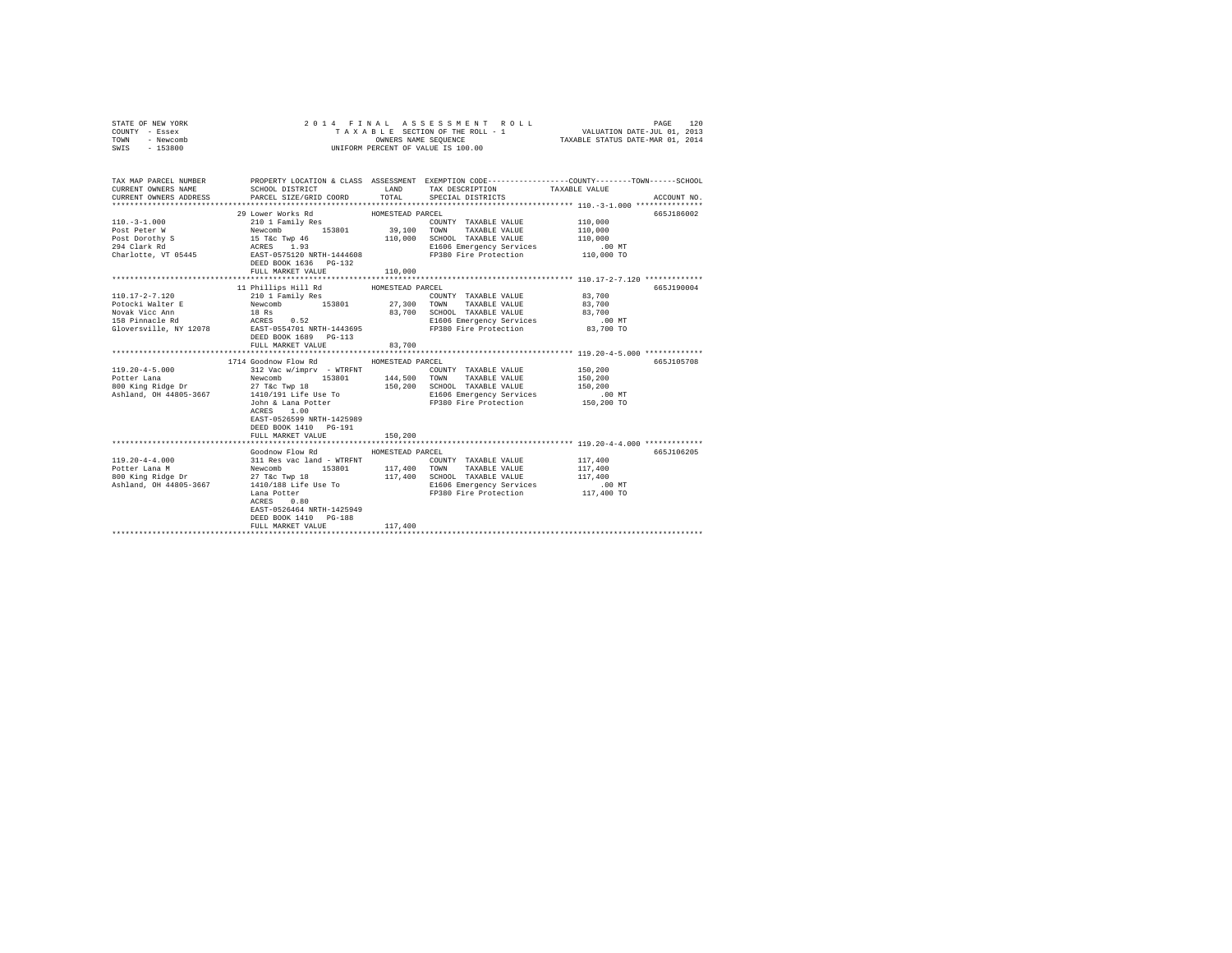|                                                                                         |                                                                                                     |                           | PAGE                                                                                                                                                                                                                                          | 120                                                                                                                                                                                                                                                                                                                                 |
|-----------------------------------------------------------------------------------------|-----------------------------------------------------------------------------------------------------|---------------------------|-----------------------------------------------------------------------------------------------------------------------------------------------------------------------------------------------------------------------------------------------|-------------------------------------------------------------------------------------------------------------------------------------------------------------------------------------------------------------------------------------------------------------------------------------------------------------------------------------|
|                                                                                         |                                                                                                     |                           | ACCOUNT NO.                                                                                                                                                                                                                                   |                                                                                                                                                                                                                                                                                                                                     |
|                                                                                         |                                                                                                     |                           | 665J186002                                                                                                                                                                                                                                    |                                                                                                                                                                                                                                                                                                                                     |
| FULL MARKET VALUE                                                                       | 83,700                                                                                              | TAXABLE VALUE             | 665J190004<br>83,700                                                                                                                                                                                                                          |                                                                                                                                                                                                                                                                                                                                     |
| ACRES 1.00<br>EAST-0526599 NRTH-1425989<br>DEED BOOK 1410 PG-191<br>FULL MARKET VALUE   | 150,200                                                                                             |                           | 665J105708<br>150,200<br>150,200<br>150,200<br>00 MT.<br>150,200 TO                                                                                                                                                                           |                                                                                                                                                                                                                                                                                                                                     |
| $ACRES$ 0.80<br>EAST-0526464 NRTH-1425949<br>DEED BOOK 1410 PG-188<br>FULL MARKET VALUE | 117,400                                                                                             |                           | 665J106205                                                                                                                                                                                                                                    |                                                                                                                                                                                                                                                                                                                                     |
|                                                                                         | 29 Lower Works Rd<br>DEED BOOK 1689 PG-113<br>1714 Goodnow Flow Rd<br>***************************** | FULL MARKET VALUE 110,000 | 2014 FINAL ASSESSMENT ROLL<br>UNIFORM PERCENT OF VALUE IS 100.00<br>HOMESTEAD PARCEL<br>11 Phillips Hill Rd MOMESTEAD PARCEL<br>210 1 Family Res COUNTY<br>Newcomb 153801 27,300 TOWN<br>HOMESTEAD PARCEL<br>Goodnow Flow Rd MOMESTEAD PARCEL | TAXABLE SECTION OF THE ROLL - 1 VALUATION DATE-JUL 01, 2013<br>OWNERS NAME SEQUENCE TAXABLE STATUS DATE-MAR 01, 2014<br>TAX MAP PARCEL NUMBER THE PROPERTY LOCATION & CLASS ASSESSMENT EXEMPTION CODE-------------COUNTY-------TOWN------SCHOOL<br>COUNTY TAXABLE VALUE 83,700<br>E1606 Emergency Services<br>FP380 Fire Protection |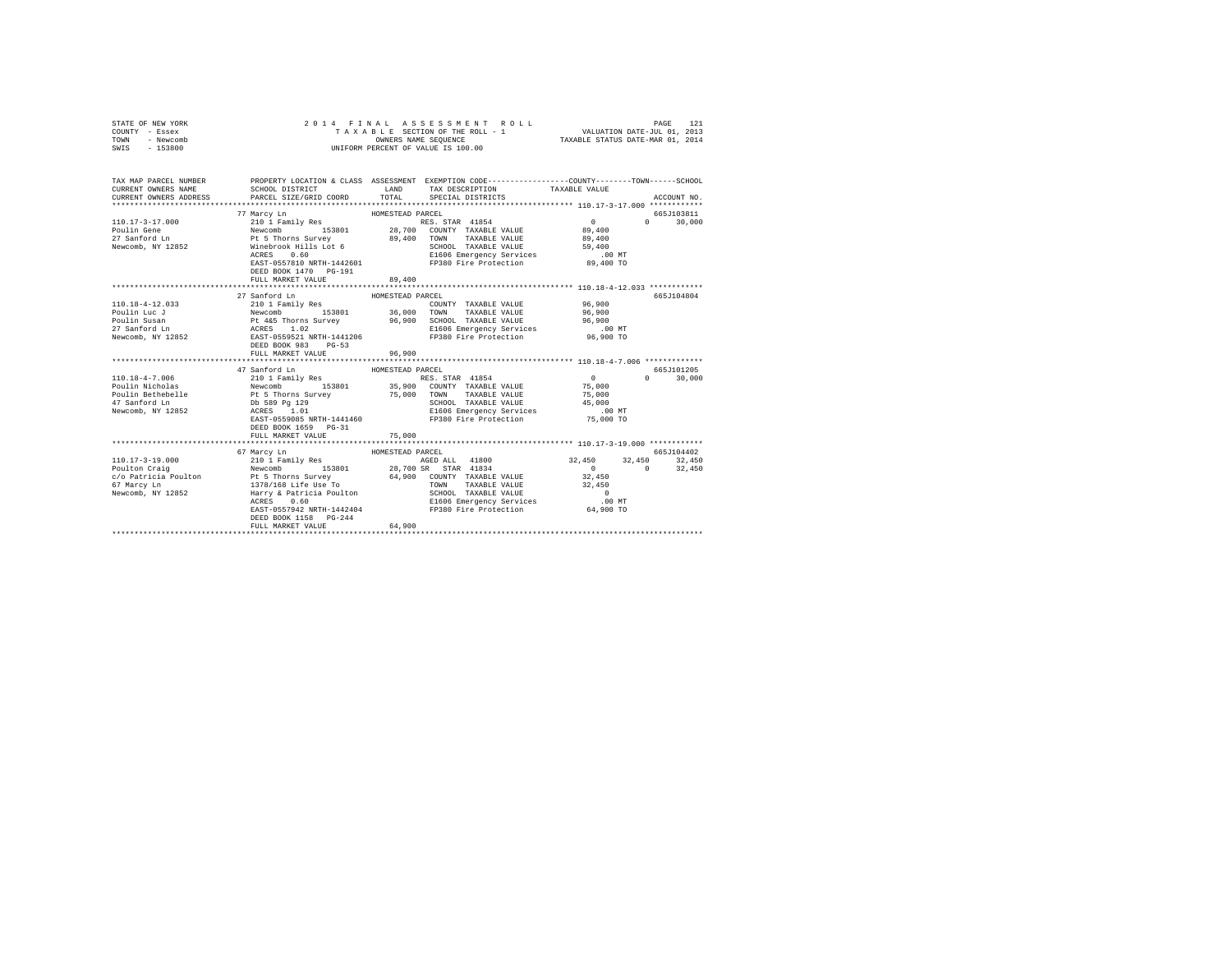| STATE OF NEW YORK<br>COUNTY - Essex<br>TOWN<br>- Newcomb<br>SWIS - 153800                                                                                              | 2014 FINAL                                                                                                                          | UNIFORM PERCENT OF VALUE IS 100.00 | ASSESSMENT ROLL                                                         |                              | PAGE        | 121         |
|------------------------------------------------------------------------------------------------------------------------------------------------------------------------|-------------------------------------------------------------------------------------------------------------------------------------|------------------------------------|-------------------------------------------------------------------------|------------------------------|-------------|-------------|
| TAX MAP PARCEL NUMBER PROPERTY LOCATION & CLASS ASSESSMENT EXEMPTION CODE---------------COUNTY-------TOWN------SCHOOL<br>CURRENT OWNERS NAME<br>CURRENT OWNERS ADDRESS | SCHOOL DISTRICT LAND<br>PARCEL SIZE/GRID COORD                                                                                      | TOTAL                              | TAX DESCRIPTION TAXABLE VALUE<br>SPECIAL DISTRICTS                      |                              |             | ACCOUNT NO. |
|                                                                                                                                                                        | 77 Marcy Ln                                                                                                                         | HOMESTEAD PARCEL                   |                                                                         |                              | 665.T103811 |             |
| 110.17-3-17.000<br>Poulin Gene<br>27 Sanford Ln                                                                                                                        | 210 1 Family Res<br>Newcomb 153801 28,700<br>Pt 5 Thorns Survey 89,400<br>Winebrook Hills Lot 6 89,400                              |                                    | RES. STAR 41854<br>28,700 COUNTY TAXABLE VALUE<br>TAXABLE VALUE<br>TOWN | $\sim$ 0<br>89,400<br>89,400 | $\Omega$    | 30,000      |
| Newcomb, NY 12852                                                                                                                                                      | ACRES 0.60<br>ACRES 0.60 EMergency Services<br>EAST-0557810 NRTH-1442601 FP380 Fire Protection                                      |                                    | SCHOOL TAXABLE VALUE                                                    | 59,400<br>$.00$ MT           |             |             |
|                                                                                                                                                                        | DEED BOOK 1470 PG-191<br>FULL MARKET VALUE                                                                                          | 89,400                             |                                                                         | 89,400 TO                    |             |             |
|                                                                                                                                                                        |                                                                                                                                     |                                    |                                                                         |                              |             |             |
|                                                                                                                                                                        | 27 Sanford Ln                                                                                                                       | HOMESTEAD PARCEL                   |                                                                         |                              |             | 665J104804  |
| 110.18-4-12.033                                                                                                                                                        | 210 1 Family Res                                                                                                                    |                                    | COUNTY TAXABLE VALUE                                                    | 96,900                       |             |             |
| Poulin Luc J                                                                                                                                                           |                                                                                                                                     |                                    | TOWN<br>TAXABLE VALUE                                                   | 96,900                       |             |             |
|                                                                                                                                                                        |                                                                                                                                     |                                    | SCHOOL TAXABLE VALUE                                                    | 96,900                       |             |             |
| Poulin Susan<br>27 Sanford Ln                                                                                                                                          |                                                                                                                                     |                                    | E1606 Emergency Services                                                | $.00$ MT                     |             |             |
| Newcomb, NY 12852                                                                                                                                                      | Newcomb 153801 36,000<br>Pt 465 Thorns Survey 96,900<br>ACRES 1.02<br>EAST-0559521 NRTH-1441206<br>DEED BOOK 983<br>$PG-53$         |                                    | FP380 Fire Protection                                                   | $96,900$ TO                  |             |             |
|                                                                                                                                                                        | FULL MARKET VALUE<br>**************************                                                                                     | 96,900<br>**************           | ********************************** 110.18-4-7.006 **************        |                              |             |             |
|                                                                                                                                                                        | 47 Sanford Ln                                                                                                                       | HOMESTEAD PARCEL                   |                                                                         |                              |             | 665.T101205 |
| $110.18 - 4 - 7.006$                                                                                                                                                   |                                                                                                                                     |                                    |                                                                         | $\sim$ 0                     | $\Omega$    | 30,000      |
| Poulin Nicholas                                                                                                                                                        | 210 1 Family Res<br>210 1 Family Res<br>Pt 5 Thorns Survey<br>Db 589 Pg 129<br>ACRES 1.01                                           |                                    | RES. STAR 41854<br>35,900 COUNTY TAXABLE VALUE                          | 75,000                       |             |             |
|                                                                                                                                                                        |                                                                                                                                     |                                    | 75,000 TOWN TAXABLE VALUE                                               | 75,000                       |             |             |
| Poulin Bethebelle<br>47 Sanford Ln                                                                                                                                     |                                                                                                                                     |                                    | SCHOOL TAXABLE VALUE                                                    | 45,000                       |             |             |
| Newcomb, NY 12852                                                                                                                                                      |                                                                                                                                     |                                    |                                                                         | $.00$ MT                     |             |             |
|                                                                                                                                                                        | ACRES 1.01 E1606 Emergency Services<br>EAST-0559085 NRTH-1441460 FP380 Fire Protection<br>DEED BOOK 1659 PG-31<br>FULL MARKET VALUE |                                    |                                                                         | 75,000 TO                    |             |             |
|                                                                                                                                                                        |                                                                                                                                     | 75,000                             |                                                                         |                              |             |             |
|                                                                                                                                                                        | 67 Marcy Ln                                                                                                                         | HOMESTEAD PARCEL                   |                                                                         |                              |             | 665J104402  |
|                                                                                                                                                                        |                                                                                                                                     |                                    |                                                                         | 32,450 32,450 32,450         |             |             |
|                                                                                                                                                                        |                                                                                                                                     |                                    |                                                                         |                              |             | 32,450      |
|                                                                                                                                                                        |                                                                                                                                     |                                    |                                                                         | 32,450                       |             |             |
|                                                                                                                                                                        |                                                                                                                                     |                                    | TAXABLE VALUE                                                           | 32,450                       |             |             |
|                                                                                                                                                                        |                                                                                                                                     |                                    |                                                                         | $\sim$ 0                     |             |             |
|                                                                                                                                                                        |                                                                                                                                     |                                    | E1606 Emergency Services                                                |                              |             |             |
|                                                                                                                                                                        | ELOUD EMELGENCY SELVICES<br>EAST-0557942 NRTH-1442404 FP380 Fire Protection<br>DEED BOOK 1158 PG-244                                |                                    |                                                                         | 00 MT.<br>64,900 TO          |             |             |
|                                                                                                                                                                        | FULL MARKET VALUE                                                                                                                   | 64,900                             |                                                                         |                              |             |             |
|                                                                                                                                                                        |                                                                                                                                     |                                    |                                                                         |                              |             |             |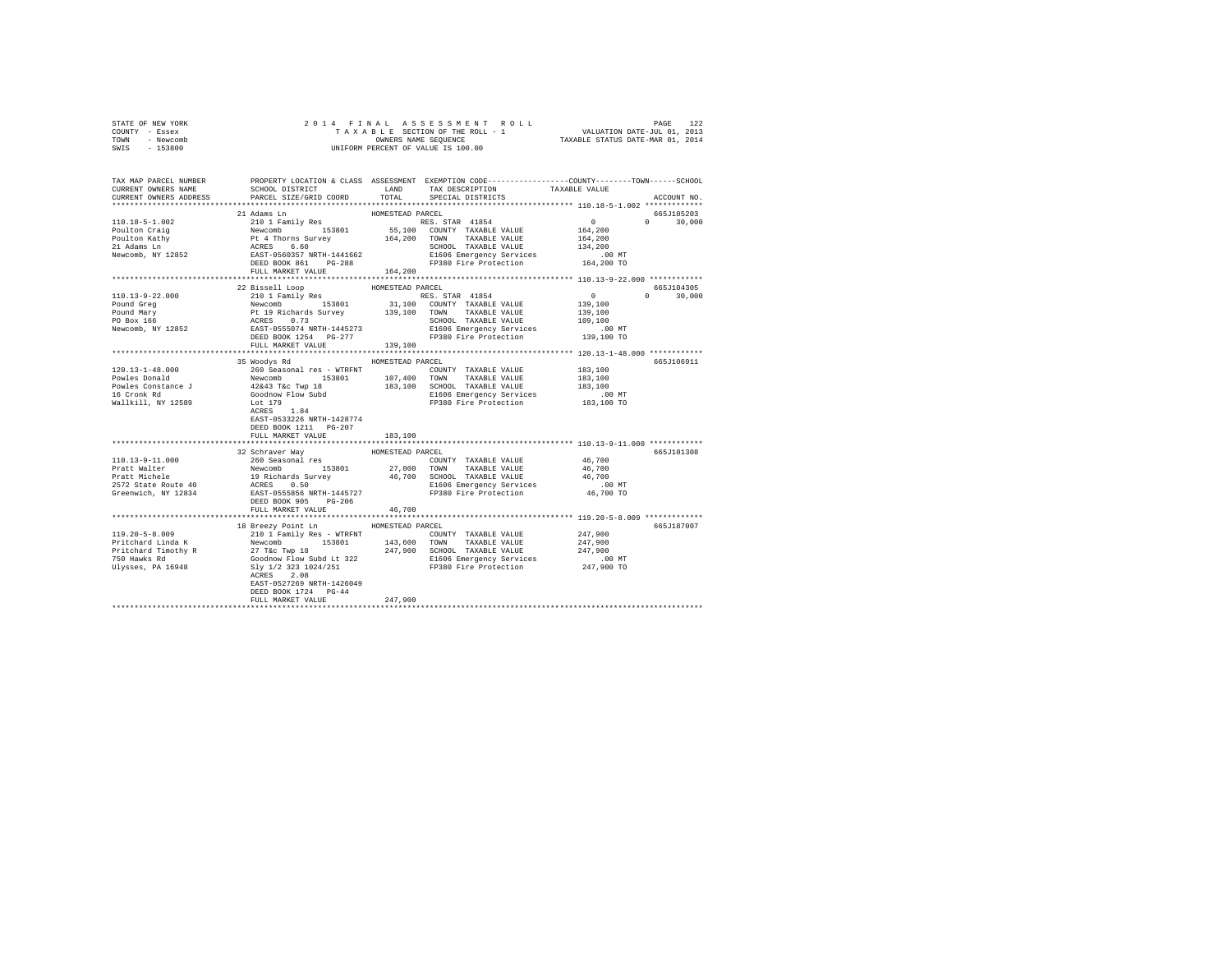| STATE OF NEW YORK<br>COUNTY - Essex |                                                                                                                                                                                                                                       |         |                                                            |                                             |               |  |
|-------------------------------------|---------------------------------------------------------------------------------------------------------------------------------------------------------------------------------------------------------------------------------------|---------|------------------------------------------------------------|---------------------------------------------|---------------|--|
| TOWN - Newcomb                      |                                                                                                                                                                                                                                       |         |                                                            |                                             |               |  |
| SWIS - 153800                       |                                                                                                                                                                                                                                       |         |                                                            |                                             |               |  |
|                                     | TAX MAP PARCEL NUMBER PROPERTY LOCATION & CLASS ASSESSMENT EXEMPTION CODE--------------COUNTY-------TOWN------SCHOOL                                                                                                                  |         |                                                            |                                             |               |  |
| CURRENT OWNERS NAME                 |                                                                                                                                                                                                                                       |         |                                                            |                                             |               |  |
| CURRENT OWNERS ADDRESS              |                                                                                                                                                                                                                                       |         |                                                            |                                             | ACCOUNT NO.   |  |
|                                     |                                                                                                                                                                                                                                       |         |                                                            |                                             |               |  |
|                                     |                                                                                                                                                                                                                                       |         |                                                            |                                             | 665J105203    |  |
|                                     |                                                                                                                                                                                                                                       |         |                                                            | $0$ 0 30,000<br>164,200 0 30,000<br>164,200 |               |  |
|                                     |                                                                                                                                                                                                                                       |         |                                                            |                                             |               |  |
|                                     |                                                                                                                                                                                                                                       |         |                                                            |                                             |               |  |
|                                     |                                                                                                                                                                                                                                       |         |                                                            |                                             |               |  |
|                                     |                                                                                                                                                                                                                                       |         |                                                            |                                             |               |  |
|                                     |                                                                                                                                                                                                                                       |         |                                                            |                                             |               |  |
|                                     |                                                                                                                                                                                                                                       |         |                                                            |                                             |               |  |
|                                     |                                                                                                                                                                                                                                       |         |                                                            |                                             |               |  |
|                                     |                                                                                                                                                                                                                                       |         |                                                            |                                             | $0 \t 30.000$ |  |
|                                     |                                                                                                                                                                                                                                       |         |                                                            |                                             |               |  |
|                                     |                                                                                                                                                                                                                                       |         |                                                            |                                             |               |  |
|                                     |                                                                                                                                                                                                                                       |         |                                                            |                                             |               |  |
|                                     |                                                                                                                                                                                                                                       |         |                                                            |                                             |               |  |
|                                     |                                                                                                                                                                                                                                       |         |                                                            |                                             |               |  |
|                                     |                                                                                                                                                                                                                                       |         |                                                            |                                             |               |  |
|                                     |                                                                                                                                                                                                                                       |         |                                                            |                                             |               |  |
|                                     | 35 Woodys Rd MOMESTEAD PARCEL                                                                                                                                                                                                         |         |                                                            |                                             | 665.T106911   |  |
|                                     |                                                                                                                                                                                                                                       |         |                                                            |                                             |               |  |
|                                     |                                                                                                                                                                                                                                       |         |                                                            |                                             |               |  |
|                                     |                                                                                                                                                                                                                                       |         |                                                            |                                             |               |  |
|                                     |                                                                                                                                                                                                                                       |         |                                                            |                                             |               |  |
|                                     | ACRES 1.84                                                                                                                                                                                                                            |         |                                                            |                                             |               |  |
|                                     | EAST-0533226 NRTH-1428774                                                                                                                                                                                                             |         |                                                            |                                             |               |  |
|                                     | DEED BOOK 1211    PG-207                                                                                                                                                                                                              |         |                                                            |                                             |               |  |
|                                     | FULL MARKET VALUE                                                                                                                                                                                                                     | 183,100 |                                                            |                                             |               |  |
|                                     |                                                                                                                                                                                                                                       |         | ****************************** 110.13-9-11.000 *********** |                                             |               |  |
|                                     |                                                                                                                                                                                                                                       |         |                                                            |                                             | 665J101308    |  |
| 110.13-9-11.000                     |                                                                                                                                                                                                                                       |         |                                                            | 46,700                                      |               |  |
|                                     |                                                                                                                                                                                                                                       |         |                                                            |                                             |               |  |
|                                     |                                                                                                                                                                                                                                       |         |                                                            |                                             |               |  |
|                                     |                                                                                                                                                                                                                                       |         |                                                            |                                             |               |  |
|                                     | Pratt Malter 1998<br>Pratt Malter 1998<br>Pratt Michards Survey 153801 27,000 TOWN TAXABLE VALUE 46,700<br>2572 State Route 40 19 Richards Survey 46,700 SCHOOL TAXABLE VALUE<br>2572 State Route 40 ACRES 0.50 19980 Pire Protection |         |                                                            |                                             |               |  |
|                                     | FULL MARKET VALUE                                                                                                                                                                                                                     | 46,700  |                                                            |                                             |               |  |
|                                     |                                                                                                                                                                                                                                       |         |                                                            |                                             |               |  |
|                                     | 18 Breezy Point Ln HOMESTEAD PARCEL                                                                                                                                                                                                   |         |                                                            |                                             | 665J187007    |  |
|                                     |                                                                                                                                                                                                                                       |         |                                                            |                                             |               |  |
|                                     |                                                                                                                                                                                                                                       |         |                                                            |                                             |               |  |
|                                     |                                                                                                                                                                                                                                       |         |                                                            |                                             |               |  |
|                                     |                                                                                                                                                                                                                                       |         |                                                            |                                             |               |  |
|                                     |                                                                                                                                                                                                                                       |         |                                                            |                                             |               |  |
|                                     |                                                                                                                                                                                                                                       |         |                                                            |                                             |               |  |
|                                     | EAST-0527269 NRTH-1426049                                                                                                                                                                                                             |         |                                                            |                                             |               |  |
|                                     | DEED BOOK 1724 PG-44                                                                                                                                                                                                                  |         |                                                            |                                             |               |  |
|                                     | FULL MARKET VALUE                                                                                                                                                                                                                     | 247,900 |                                                            |                                             |               |  |
|                                     |                                                                                                                                                                                                                                       |         |                                                            |                                             |               |  |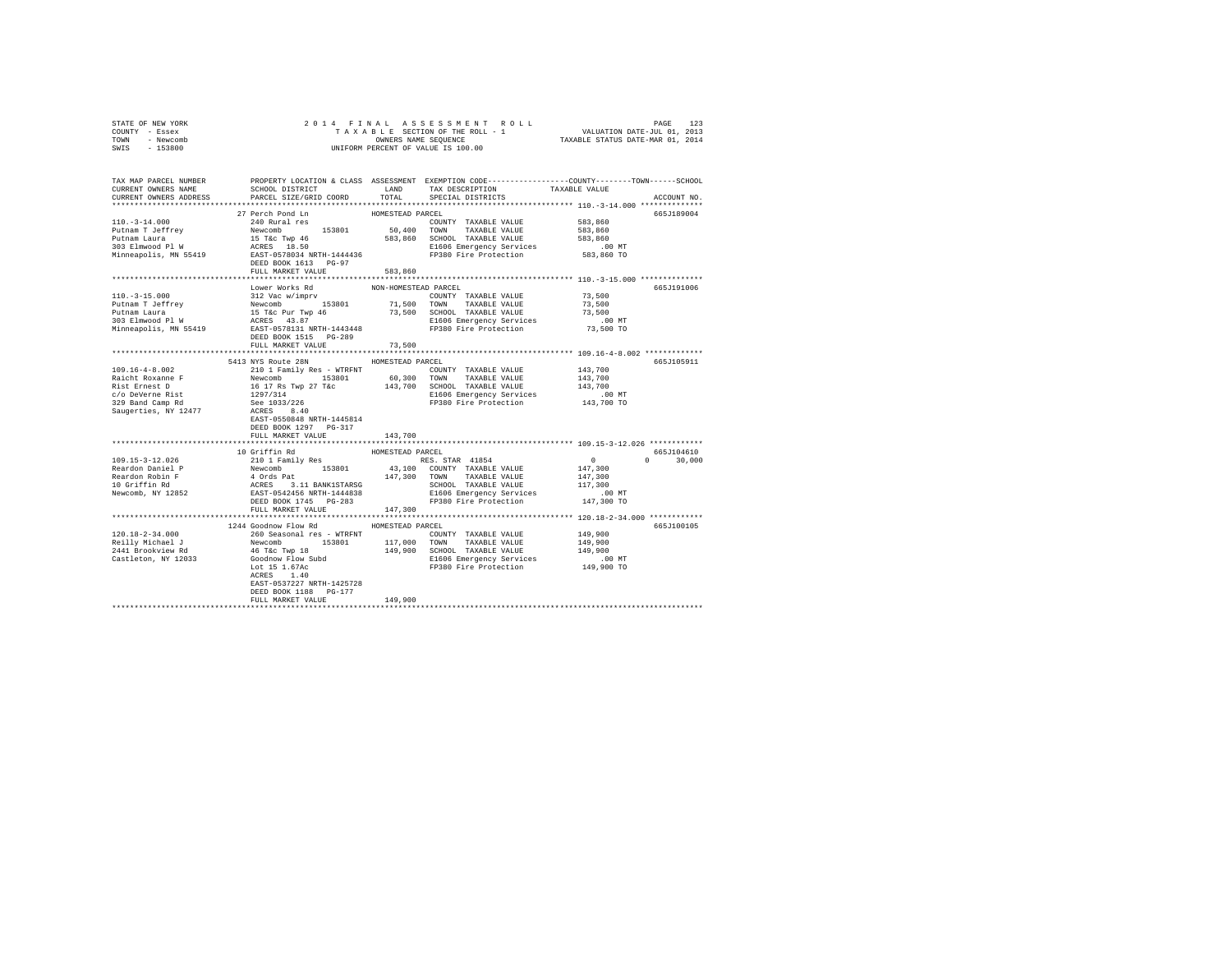| STATE OF NEW YORK                                                                                                                                                                                                                      |                                                |                      |                                                                                                                                                                                                                                        |                                             |               |
|----------------------------------------------------------------------------------------------------------------------------------------------------------------------------------------------------------------------------------------|------------------------------------------------|----------------------|----------------------------------------------------------------------------------------------------------------------------------------------------------------------------------------------------------------------------------------|---------------------------------------------|---------------|
| COUNTY - Essex                                                                                                                                                                                                                         |                                                |                      |                                                                                                                                                                                                                                        |                                             |               |
| TOWN - Newcomb                                                                                                                                                                                                                         |                                                |                      |                                                                                                                                                                                                                                        |                                             |               |
| SWIS - 153800                                                                                                                                                                                                                          |                                                |                      |                                                                                                                                                                                                                                        |                                             |               |
|                                                                                                                                                                                                                                        |                                                |                      |                                                                                                                                                                                                                                        |                                             |               |
|                                                                                                                                                                                                                                        |                                                |                      |                                                                                                                                                                                                                                        |                                             |               |
|                                                                                                                                                                                                                                        |                                                |                      |                                                                                                                                                                                                                                        |                                             |               |
|                                                                                                                                                                                                                                        |                                                |                      | SCHOOL DISTRICT $\hfill$ LAND $\hfill$ TAX DESCRIPTION $\hfill$ TAXABLE VALUE                                                                                                                                                          |                                             |               |
| CURRENT OWNERS ADDRESS                                                                                                                                                                                                                 | PARCEL SIZE/GRID COORD                         | TOTAL                | SPECIAL DISTRICTS                                                                                                                                                                                                                      |                                             | ACCOUNT NO.   |
|                                                                                                                                                                                                                                        |                                                |                      |                                                                                                                                                                                                                                        |                                             |               |
|                                                                                                                                                                                                                                        | 27 Perch Pond Ln<br>240 Rural res              | HOMESTEAD PARCEL     |                                                                                                                                                                                                                                        |                                             | 665J189004    |
| $110.-3-14.000$                                                                                                                                                                                                                        | 240 Rural res                                  |                      | COUNTY TAXABLE VALUE 583,860                                                                                                                                                                                                           |                                             |               |
|                                                                                                                                                                                                                                        |                                                |                      |                                                                                                                                                                                                                                        | 583,860                                     |               |
|                                                                                                                                                                                                                                        |                                                |                      |                                                                                                                                                                                                                                        | 583,860                                     |               |
|                                                                                                                                                                                                                                        |                                                |                      |                                                                                                                                                                                                                                        | .00 MT<br>583,860 TO                        |               |
|                                                                                                                                                                                                                                        |                                                |                      |                                                                                                                                                                                                                                        |                                             |               |
|                                                                                                                                                                                                                                        | DEED BOOK 1613 PG-97                           |                      |                                                                                                                                                                                                                                        |                                             |               |
|                                                                                                                                                                                                                                        | FULL MARKET VALUE                              | 583,860              |                                                                                                                                                                                                                                        |                                             |               |
|                                                                                                                                                                                                                                        |                                                |                      |                                                                                                                                                                                                                                        |                                             |               |
|                                                                                                                                                                                                                                        | Lower Works Rd<br>312 Vac w/imprv              | NON-HOMESTEAD PARCEL |                                                                                                                                                                                                                                        |                                             | 665J191006    |
| $110.-3-15.000$                                                                                                                                                                                                                        |                                                |                      | COUNTY TAXABLE VALUE                                                                                                                                                                                                                   | 73,500                                      |               |
|                                                                                                                                                                                                                                        |                                                |                      |                                                                                                                                                                                                                                        | 73,500                                      |               |
|                                                                                                                                                                                                                                        |                                                |                      |                                                                                                                                                                                                                                        | 73,500                                      |               |
|                                                                                                                                                                                                                                        |                                                |                      |                                                                                                                                                                                                                                        | .00MT                                       |               |
|                                                                                                                                                                                                                                        |                                                |                      |                                                                                                                                                                                                                                        | 73,500 TO                                   |               |
|                                                                                                                                                                                                                                        |                                                |                      |                                                                                                                                                                                                                                        |                                             |               |
|                                                                                                                                                                                                                                        | FULL MARKET VALUE                              | 73,500               |                                                                                                                                                                                                                                        |                                             |               |
|                                                                                                                                                                                                                                        | 5413 NYS Route 28N HOMESTEAD PARCEL            |                      |                                                                                                                                                                                                                                        |                                             | 665.T105911   |
| $109.16 - 4 - 8.002$                                                                                                                                                                                                                   |                                                |                      |                                                                                                                                                                                                                                        | 143,700                                     |               |
| National Property of the Mewcomb (2017)<br>Newcomb 153801 (60,300 TOWN TAXABLE VALUE 143,700<br>Rist Ernest D 16 17 Rs Twp 27 T4c 143,700 SCHOOL TAXABLE VALUE 143,700<br>229 Band Camp Rd 1297/314<br>239 Band Camp Rd 229734226 (201 | 210 1 Family Res - WTRFNT COUNTY TAXABLE VALUE |                      |                                                                                                                                                                                                                                        |                                             |               |
|                                                                                                                                                                                                                                        |                                                |                      |                                                                                                                                                                                                                                        |                                             |               |
|                                                                                                                                                                                                                                        |                                                |                      |                                                                                                                                                                                                                                        |                                             |               |
|                                                                                                                                                                                                                                        |                                                |                      |                                                                                                                                                                                                                                        |                                             |               |
|                                                                                                                                                                                                                                        |                                                |                      |                                                                                                                                                                                                                                        |                                             |               |
|                                                                                                                                                                                                                                        | EAST-0550848 NRTH-1445814                      |                      |                                                                                                                                                                                                                                        |                                             |               |
|                                                                                                                                                                                                                                        | DEED BOOK 1297 PG-317                          |                      |                                                                                                                                                                                                                                        |                                             |               |
|                                                                                                                                                                                                                                        | FULL MARKET VALUE                              | 143,700              |                                                                                                                                                                                                                                        |                                             |               |
|                                                                                                                                                                                                                                        |                                                |                      |                                                                                                                                                                                                                                        |                                             |               |
|                                                                                                                                                                                                                                        | 10 Griffin Rd                                  | HOMESTEAD PARCEL     |                                                                                                                                                                                                                                        |                                             | 665J104610    |
| 109.15-3-12.026                                                                                                                                                                                                                        |                                                |                      |                                                                                                                                                                                                                                        | $\begin{array}{c} 0 \\ 147,300 \end{array}$ | $0 \t 30.000$ |
|                                                                                                                                                                                                                                        |                                                |                      |                                                                                                                                                                                                                                        |                                             |               |
|                                                                                                                                                                                                                                        |                                                |                      |                                                                                                                                                                                                                                        |                                             |               |
| room<br>Reardon Daniel P<br>Reardon Robin F<br>10 Griffin Rd<br>Newcomb, NY 12852                                                                                                                                                      |                                                |                      | 10 Griffin Rd<br>2010 1 Family Res (1988) RACEL RES STAR 41854 (1998)<br>Newcomb 153801 43,100 COUNTY TAXABLE VALUE 147,300<br>4 Ords Pat 147,300 TOWN TAXABLE VALUE 147,300<br>ACERS 3.11 BANK1STARSG 147,300 TOWN TAXABLE VALUE 147, |                                             |               |
|                                                                                                                                                                                                                                        |                                                |                      |                                                                                                                                                                                                                                        |                                             |               |
|                                                                                                                                                                                                                                        |                                                |                      |                                                                                                                                                                                                                                        |                                             |               |
|                                                                                                                                                                                                                                        | FULL MARKET VALUE 147,300                      |                      |                                                                                                                                                                                                                                        |                                             |               |
|                                                                                                                                                                                                                                        |                                                |                      |                                                                                                                                                                                                                                        |                                             |               |
|                                                                                                                                                                                                                                        | 1244 Goodnow Flow Rd MOMESTEAD PARCEL          |                      |                                                                                                                                                                                                                                        |                                             | 665J100105    |
|                                                                                                                                                                                                                                        |                                                |                      |                                                                                                                                                                                                                                        |                                             |               |
|                                                                                                                                                                                                                                        |                                                |                      |                                                                                                                                                                                                                                        |                                             |               |
|                                                                                                                                                                                                                                        |                                                |                      |                                                                                                                                                                                                                                        |                                             |               |
|                                                                                                                                                                                                                                        |                                                |                      |                                                                                                                                                                                                                                        |                                             |               |
|                                                                                                                                                                                                                                        |                                                |                      |                                                                                                                                                                                                                                        |                                             |               |
|                                                                                                                                                                                                                                        | ACRES 1.40                                     |                      |                                                                                                                                                                                                                                        |                                             |               |
|                                                                                                                                                                                                                                        | EAST-0537227 NRTH-1425728                      |                      |                                                                                                                                                                                                                                        |                                             |               |
|                                                                                                                                                                                                                                        | DEED BOOK 1188 PG-177                          |                      |                                                                                                                                                                                                                                        |                                             |               |
|                                                                                                                                                                                                                                        | FULL MARKET VALUE                              | 149,900              |                                                                                                                                                                                                                                        |                                             |               |
|                                                                                                                                                                                                                                        |                                                |                      |                                                                                                                                                                                                                                        |                                             |               |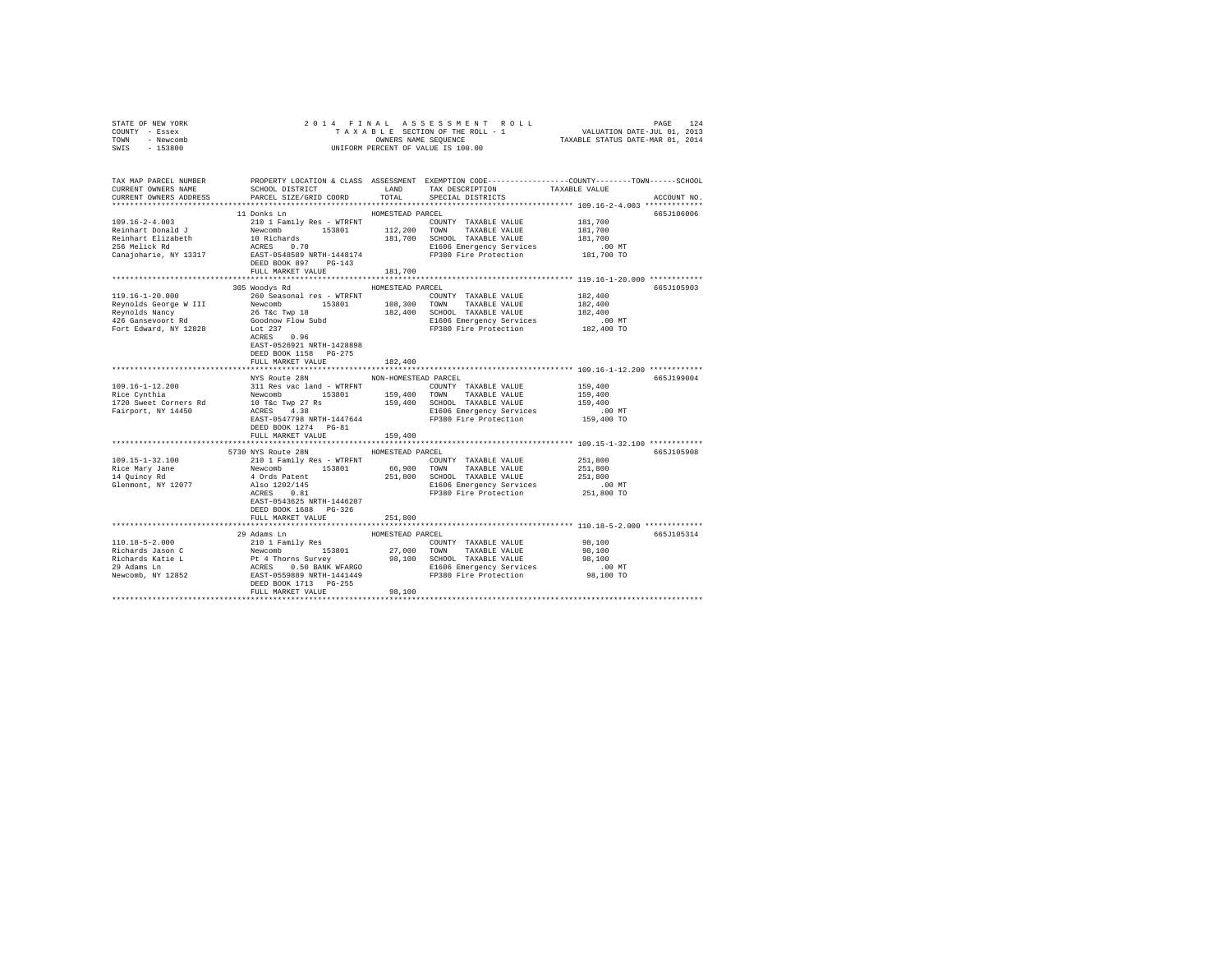| STATE OF NEW YORK<br>COUNTY - Essex                                                                                                                                                                                                                                                                                                                           | PAGE 124 RINAL ASSESSMENT ROLL<br>TAXABLE SECTION OF THE ROLL - 1 VALUATION DATE-JUL 01, 2013<br>OWNERS NAME SEQUENCE TRXABLE STATUS DATE-MAR 01, 2014<br>2014 FINAL |                  |                                                                                                                                                                                        |                     |             |
|---------------------------------------------------------------------------------------------------------------------------------------------------------------------------------------------------------------------------------------------------------------------------------------------------------------------------------------------------------------|----------------------------------------------------------------------------------------------------------------------------------------------------------------------|------------------|----------------------------------------------------------------------------------------------------------------------------------------------------------------------------------------|---------------------|-------------|
| TOWN - Newcomb                                                                                                                                                                                                                                                                                                                                                | OWNERS NAME SEQUENCE                                                                                                                                                 |                  |                                                                                                                                                                                        |                     |             |
| SWIS - 153800                                                                                                                                                                                                                                                                                                                                                 |                                                                                                                                                                      |                  | UNIFORM PERCENT OF VALUE IS 100.00                                                                                                                                                     |                     |             |
|                                                                                                                                                                                                                                                                                                                                                               |                                                                                                                                                                      |                  |                                                                                                                                                                                        |                     |             |
|                                                                                                                                                                                                                                                                                                                                                               |                                                                                                                                                                      |                  |                                                                                                                                                                                        |                     |             |
| TAX MAP PARCEL NUMBER PROPERTY LOCATION & CLASS ASSESSMENT EXEMPTION CODE----------------COUNTY-------TOWN-----SCHOOL                                                                                                                                                                                                                                         |                                                                                                                                                                      |                  |                                                                                                                                                                                        |                     |             |
| CURRENT OWNERS NAME                                                                                                                                                                                                                                                                                                                                           | SCHOOL DISTRICT LAND                                                                                                                                                 |                  | TAX DESCRIPTION                                                                                                                                                                        | TAXABLE VALUE       |             |
| CURRENT OWNERS ADDRESS                                                                                                                                                                                                                                                                                                                                        | PARCEL SIZE/GRID COORD                                                                                                                                               | TOTAL            | SPECIAL DISTRICTS                                                                                                                                                                      |                     | ACCOUNT NO. |
|                                                                                                                                                                                                                                                                                                                                                               |                                                                                                                                                                      |                  |                                                                                                                                                                                        |                     |             |
|                                                                                                                                                                                                                                                                                                                                                               | 11 Donks Ln                                                                                                                                                          | HOMESTEAD PARCEL |                                                                                                                                                                                        |                     | 665J106006  |
|                                                                                                                                                                                                                                                                                                                                                               |                                                                                                                                                                      |                  |                                                                                                                                                                                        | 181,700             |             |
|                                                                                                                                                                                                                                                                                                                                                               |                                                                                                                                                                      |                  |                                                                                                                                                                                        | 181,700             |             |
|                                                                                                                                                                                                                                                                                                                                                               |                                                                                                                                                                      |                  |                                                                                                                                                                                        | 181,700             |             |
|                                                                                                                                                                                                                                                                                                                                                               |                                                                                                                                                                      |                  | E1606 Emergency Services .00 MT<br>FP380 Fire Protection 181,700 TO                                                                                                                    |                     |             |
| Canajoharie, NY 13317                                                                                                                                                                                                                                                                                                                                         | ACRES 0.70<br>EAST-0548589 NRTH-1448174                                                                                                                              |                  |                                                                                                                                                                                        |                     |             |
|                                                                                                                                                                                                                                                                                                                                                               | DEED BOOK 897 PG-143                                                                                                                                                 |                  |                                                                                                                                                                                        |                     |             |
|                                                                                                                                                                                                                                                                                                                                                               | FULL MARKET VALUE                                                                                                                                                    | 181,700          |                                                                                                                                                                                        |                     |             |
|                                                                                                                                                                                                                                                                                                                                                               |                                                                                                                                                                      |                  |                                                                                                                                                                                        |                     |             |
|                                                                                                                                                                                                                                                                                                                                                               | 305 Woodys Rd                                                                                                                                                        | HOMESTEAD PARCEL |                                                                                                                                                                                        |                     | 665J105903  |
| 119.16-1-20.000                                                                                                                                                                                                                                                                                                                                               | 260 Seasonal res - WTRFNT                                                                                                                                            |                  | COUNTY TAXABLE VALUE                                                                                                                                                                   | 182,400             |             |
|                                                                                                                                                                                                                                                                                                                                                               |                                                                                                                                                                      |                  |                                                                                                                                                                                        | 182,400             |             |
|                                                                                                                                                                                                                                                                                                                                                               |                                                                                                                                                                      |                  |                                                                                                                                                                                        | 182,400             |             |
|                                                                                                                                                                                                                                                                                                                                                               |                                                                                                                                                                      |                  | E1606 Emergency Services                                                                                                                                                               | .00 MT              |             |
|                                                                                                                                                                                                                                                                                                                                                               |                                                                                                                                                                      |                  | FP380 Fire Protection 182,400 TO                                                                                                                                                       |                     |             |
|                                                                                                                                                                                                                                                                                                                                                               |                                                                                                                                                                      |                  |                                                                                                                                                                                        |                     |             |
|                                                                                                                                                                                                                                                                                                                                                               | EAST-0526921 NRTH-1428898                                                                                                                                            |                  |                                                                                                                                                                                        |                     |             |
|                                                                                                                                                                                                                                                                                                                                                               | DEED BOOK 1158 PG-275                                                                                                                                                |                  |                                                                                                                                                                                        |                     |             |
|                                                                                                                                                                                                                                                                                                                                                               | FULL MARKET VALUE                                                                                                                                                    | 182,400          |                                                                                                                                                                                        |                     |             |
|                                                                                                                                                                                                                                                                                                                                                               |                                                                                                                                                                      |                  |                                                                                                                                                                                        |                     |             |
|                                                                                                                                                                                                                                                                                                                                                               | NYS Route 28N NON-HOMESTEAD PARCEL                                                                                                                                   |                  |                                                                                                                                                                                        |                     | 665J199004  |
|                                                                                                                                                                                                                                                                                                                                                               |                                                                                                                                                                      |                  |                                                                                                                                                                                        | 159,400             |             |
| 109.16-1-12.200<br>Rice Cynthia                                                                                                                                                                                                                                                                                                                               |                                                                                                                                                                      |                  |                                                                                                                                                                                        | 159,400             |             |
| 1720 Sweet Corners Rd                                                                                                                                                                                                                                                                                                                                         |                                                                                                                                                                      |                  |                                                                                                                                                                                        | 159,400             |             |
| Fairport, NY 14450                                                                                                                                                                                                                                                                                                                                            |                                                                                                                                                                      |                  | 311 Res vac land - WTRFNT<br>Newcomb 153801 159,400 TOWN TAXABLE VALUE<br>10 Tec Twp 27 Rs 159,400 SCHOOL TAXABLE VALUE<br>10 Tec Twp 27 Rs 159,400 SCHOOL TAXABLE VALUE<br>ACRES 4.38 | $.00$ MT            |             |
|                                                                                                                                                                                                                                                                                                                                                               |                                                                                                                                                                      |                  | EAST-0547798 NRTH-1447644 PP380 Fire Protection 159,400 TO                                                                                                                             |                     |             |
|                                                                                                                                                                                                                                                                                                                                                               | DEED BOOK 1274 PG-81                                                                                                                                                 |                  |                                                                                                                                                                                        |                     |             |
|                                                                                                                                                                                                                                                                                                                                                               | FULL MARKET VALUE                                                                                                                                                    | 159,400          |                                                                                                                                                                                        |                     |             |
|                                                                                                                                                                                                                                                                                                                                                               |                                                                                                                                                                      |                  |                                                                                                                                                                                        |                     |             |
|                                                                                                                                                                                                                                                                                                                                                               | 5730 NYS Route 28N HOMESTEAD PARCEL                                                                                                                                  |                  |                                                                                                                                                                                        |                     | 665J105908  |
| 109.15-1-32.100                                                                                                                                                                                                                                                                                                                                               | 210 1 Family Res - WTRFNT                                                                                                                                            |                  | COUNTY TAXABLE VALUE                                                                                                                                                                   | 251,800             |             |
|                                                                                                                                                                                                                                                                                                                                                               |                                                                                                                                                                      |                  |                                                                                                                                                                                        | 251,800             |             |
| Rice Mary Jane<br>14 Quincy Rd<br>Glenmont, NY 12077                                                                                                                                                                                                                                                                                                          |                                                                                                                                                                      |                  | Newcomb<br>153801 66,900 TOWN TAXABLE VALUE<br>4 Ords Patent 251,800 SCHOOL TAXABLE VALUE<br>Also 1202/145 E1606 Emergency Services<br>ACRES 0.81 FP380 Fire Protection                | 251,800             |             |
|                                                                                                                                                                                                                                                                                                                                                               |                                                                                                                                                                      |                  |                                                                                                                                                                                        | .00MT               |             |
|                                                                                                                                                                                                                                                                                                                                                               |                                                                                                                                                                      |                  |                                                                                                                                                                                        | 251,800 TO          |             |
|                                                                                                                                                                                                                                                                                                                                                               | EAST-0543625 NRTH-1446207                                                                                                                                            |                  |                                                                                                                                                                                        |                     |             |
|                                                                                                                                                                                                                                                                                                                                                               | DEED BOOK 1688 PG-326                                                                                                                                                |                  |                                                                                                                                                                                        |                     |             |
|                                                                                                                                                                                                                                                                                                                                                               | FULL MARKET VALUE                                                                                                                                                    | 251,800          |                                                                                                                                                                                        |                     |             |
|                                                                                                                                                                                                                                                                                                                                                               |                                                                                                                                                                      |                  |                                                                                                                                                                                        |                     |             |
|                                                                                                                                                                                                                                                                                                                                                               |                                                                                                                                                                      |                  |                                                                                                                                                                                        |                     |             |
| $\begin{tabular}{l c c c c c} \multicolumn{1}{c}{\textbf{0.10.18-5-2.000}} & \multicolumn{1}{c}{\textbf{0.11.18-5-2.000}} & \multicolumn{1}{c}{\textbf{0.12.18-5-2.000}} & \multicolumn{1}{c}{\textbf{0.13.18-5-2.000}} & \multicolumn{1}{c}{\textbf{0.13.18-5-2.000}} & \multicolumn{1}{c}{\textbf{0.13.18-5-2.000}} & \multicolumn{1}{c}{\textbf{0.13.18-5$ | 29 Adams Ln                                                                                                                                                          | HOMESTEAD PARCEL |                                                                                                                                                                                        |                     | 665J105314  |
|                                                                                                                                                                                                                                                                                                                                                               |                                                                                                                                                                      |                  | COUNTY TAXABLE VALUE 98,100                                                                                                                                                            |                     |             |
|                                                                                                                                                                                                                                                                                                                                                               |                                                                                                                                                                      |                  |                                                                                                                                                                                        | 98,100              |             |
|                                                                                                                                                                                                                                                                                                                                                               |                                                                                                                                                                      |                  |                                                                                                                                                                                        | 98,100              |             |
|                                                                                                                                                                                                                                                                                                                                                               |                                                                                                                                                                      |                  |                                                                                                                                                                                        | 00 MT.<br>98,100 TO |             |
|                                                                                                                                                                                                                                                                                                                                                               |                                                                                                                                                                      |                  |                                                                                                                                                                                        |                     |             |
|                                                                                                                                                                                                                                                                                                                                                               |                                                                                                                                                                      |                  |                                                                                                                                                                                        |                     |             |
|                                                                                                                                                                                                                                                                                                                                                               | FULL MARKET VALUE                                                                                                                                                    | 98,100           |                                                                                                                                                                                        |                     |             |
|                                                                                                                                                                                                                                                                                                                                                               |                                                                                                                                                                      |                  |                                                                                                                                                                                        |                     |             |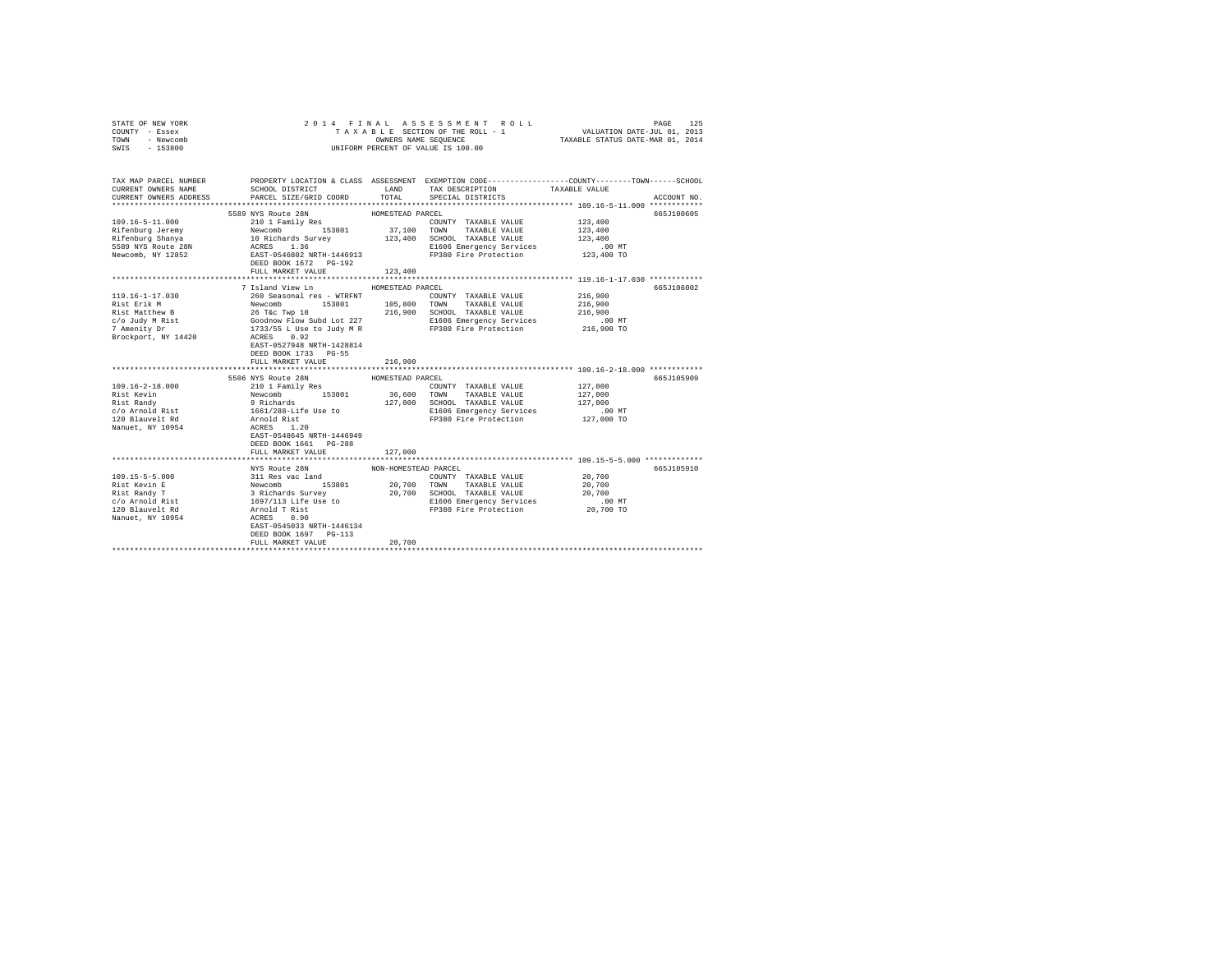| STATE OF NEW YORK<br>COUNTY - Essex<br>TOWN - Newcomb                                                                                      |                                                                                      |                      | 2014 FINAL ASSESSMENT ROLL<br>TAXABLE SECTION OF THE ROLL - 1                                                                                                                                                                            | PAGE<br>VALUATION DATE-JUL 01, 2013<br>TAXABLE STATUS DATE-MAR 01, 2014 | 125         |
|--------------------------------------------------------------------------------------------------------------------------------------------|--------------------------------------------------------------------------------------|----------------------|------------------------------------------------------------------------------------------------------------------------------------------------------------------------------------------------------------------------------------------|-------------------------------------------------------------------------|-------------|
| SWIS - 153800                                                                                                                              | OWNERS NAME SEQUENCE<br>UNIFORM PERCENT OF VALUE IS 100.00                           |                      |                                                                                                                                                                                                                                          |                                                                         |             |
|                                                                                                                                            |                                                                                      |                      |                                                                                                                                                                                                                                          |                                                                         |             |
| TAX MAP PARCEL NUMBER PROPERTY LOCATION & CLASS ASSESSMENT EXEMPTION CODE--------------COUNTY-------TOWN-----SCHOOL<br>CURRENT OWNERS NAME | SCHOOL DISTRICT TAND TAX DESCRIPTION                                                 |                      |                                                                                                                                                                                                                                          | TAXABLE VALUE                                                           |             |
| CURRENT OWNERS ADDRESS PARCEL SIZE/GRID COORD TOTAL SPECIAL DISTRICTS                                                                      |                                                                                      |                      |                                                                                                                                                                                                                                          |                                                                         | ACCOUNT NO. |
|                                                                                                                                            |                                                                                      |                      |                                                                                                                                                                                                                                          |                                                                         | 665J100605  |
|                                                                                                                                            |                                                                                      |                      | COUNTY TAXABLE VALUE                                                                                                                                                                                                                     | 123,400                                                                 |             |
|                                                                                                                                            |                                                                                      |                      |                                                                                                                                                                                                                                          | 123,400                                                                 |             |
|                                                                                                                                            |                                                                                      |                      |                                                                                                                                                                                                                                          | 123,400                                                                 |             |
|                                                                                                                                            |                                                                                      |                      | E1606 Emergency Services                                                                                                                                                                                                                 | $.00$ MT                                                                |             |
|                                                                                                                                            |                                                                                      |                      | FP380 Fire Protection 123,400 TO                                                                                                                                                                                                         |                                                                         |             |
|                                                                                                                                            | FULL MARKET VALUE                                                                    | 123,400              |                                                                                                                                                                                                                                          |                                                                         |             |
|                                                                                                                                            |                                                                                      |                      |                                                                                                                                                                                                                                          |                                                                         |             |
|                                                                                                                                            | 7 Island View Ln                                                                     | HOMESTEAD PARCEL     |                                                                                                                                                                                                                                          |                                                                         | 665J106002  |
| 119.16-1-17.030                                                                                                                            |                                                                                      |                      |                                                                                                                                                                                                                                          | 216,900                                                                 |             |
| Rist Erik M                                                                                                                                |                                                                                      |                      |                                                                                                                                                                                                                                          | 216,900                                                                 |             |
| Rist Matthew B<br>c/o Judy M Rist                                                                                                          |                                                                                      |                      |                                                                                                                                                                                                                                          | 216,900                                                                 |             |
|                                                                                                                                            |                                                                                      |                      |                                                                                                                                                                                                                                          | .00 MT                                                                  |             |
| 7 Amenity Dr                                                                                                                               |                                                                                      |                      |                                                                                                                                                                                                                                          | 216,900 TO                                                              |             |
| Brockport, NY 14420                                                                                                                        |                                                                                      |                      | MONESTEAD PARCE NOWESTEAD PARCEL NAMES AND THE NEW COUNTY TAXABLE VALUE NEW COUNTY TAXABLE VALUE NOT TAXABLE VALUE OF THE SERIES AND THE SERIES OF THE SERIES OF THE SERIES OF THE SERIES OF THE SERIES OF THE SERIES OF THE S           |                                                                         |             |
|                                                                                                                                            | EAST-0527948 NRTH-1428814                                                            |                      |                                                                                                                                                                                                                                          |                                                                         |             |
|                                                                                                                                            | DEED BOOK 1733 PG-55                                                                 |                      |                                                                                                                                                                                                                                          |                                                                         |             |
|                                                                                                                                            | FULL MARKET VALUE                                                                    | 216,900              |                                                                                                                                                                                                                                          |                                                                         |             |
|                                                                                                                                            | 5506 NYS Route 28N                                                                   |                      |                                                                                                                                                                                                                                          |                                                                         | 665J105909  |
| $109.16 - 2 - 18.000$                                                                                                                      | 210 1 Family Res                                                                     | HOMESTEAD PARCEL     | COUNTY TAXABLE VALUE                                                                                                                                                                                                                     | 127,000                                                                 |             |
| Rist Kevin                                                                                                                                 |                                                                                      |                      | 36,600 TOWN TAXABLE VALUE                                                                                                                                                                                                                | 127,000                                                                 |             |
| Rist Randy                                                                                                                                 |                                                                                      |                      | 127,000 SCHOOL TAXABLE VALUE                                                                                                                                                                                                             | 127,000                                                                 |             |
|                                                                                                                                            |                                                                                      |                      | E1606 Emergency Services                                                                                                                                                                                                                 | $.00$ MT                                                                |             |
| c/o Arnold Rist<br>120 Blauvelt Rd                                                                                                         |                                                                                      |                      | FP380 Fire Protection                                                                                                                                                                                                                    | 127,000 TO                                                              |             |
| Nanuet, NY 10954                                                                                                                           | Newcomb<br>153801<br>9 Richards<br>1661/288-Life Use to<br>Arnold Rist<br>ACRES 1.20 |                      |                                                                                                                                                                                                                                          |                                                                         |             |
|                                                                                                                                            | EAST-0548645 NRTH-1446949                                                            |                      |                                                                                                                                                                                                                                          |                                                                         |             |
|                                                                                                                                            | DEED BOOK 1661 PG-288                                                                |                      |                                                                                                                                                                                                                                          |                                                                         |             |
|                                                                                                                                            | FULL MARKET VALUE                                                                    | 127,000              |                                                                                                                                                                                                                                          |                                                                         |             |
|                                                                                                                                            |                                                                                      |                      |                                                                                                                                                                                                                                          |                                                                         |             |
|                                                                                                                                            | NYS Route 28N                                                                        | NON-HOMESTEAD PARCEL |                                                                                                                                                                                                                                          |                                                                         | 665J105910  |
| $109.15 - 5 - 5.000$                                                                                                                       |                                                                                      |                      |                                                                                                                                                                                                                                          | 20,700                                                                  |             |
| Rist Kevin E                                                                                                                               |                                                                                      |                      |                                                                                                                                                                                                                                          | 20,700                                                                  |             |
| Rist Randy T                                                                                                                               |                                                                                      |                      | NOW-HOWESTERD CONTY TAXABLE VALUE 2013<br>Newcomb 153801 20,700 TOWN TAXABLE VALUE<br>3 Richards Survey 20,700 TOWN TAXABLE VALUE<br>3 Richards Survey 20,700 SCHOOL TAXABLE VALUE<br>1697/113 Life Use to E1606 Emergency Services<br>A | 20,700                                                                  |             |
| c/o Arnold Rist                                                                                                                            |                                                                                      |                      | FP380 Fire Protection 20,700 TO                                                                                                                                                                                                          | $.00$ MT                                                                |             |
| 120 Blauvelt Rd<br>Nanuet, NY 10954                                                                                                        |                                                                                      |                      |                                                                                                                                                                                                                                          |                                                                         |             |
|                                                                                                                                            | EAST-0545033 NRTH-1446134                                                            |                      |                                                                                                                                                                                                                                          |                                                                         |             |
|                                                                                                                                            | DEED BOOK 1697 PG-113                                                                |                      |                                                                                                                                                                                                                                          |                                                                         |             |
|                                                                                                                                            | FULL MARKET VALUE                                                                    | 20,700               |                                                                                                                                                                                                                                          |                                                                         |             |
|                                                                                                                                            |                                                                                      |                      |                                                                                                                                                                                                                                          |                                                                         |             |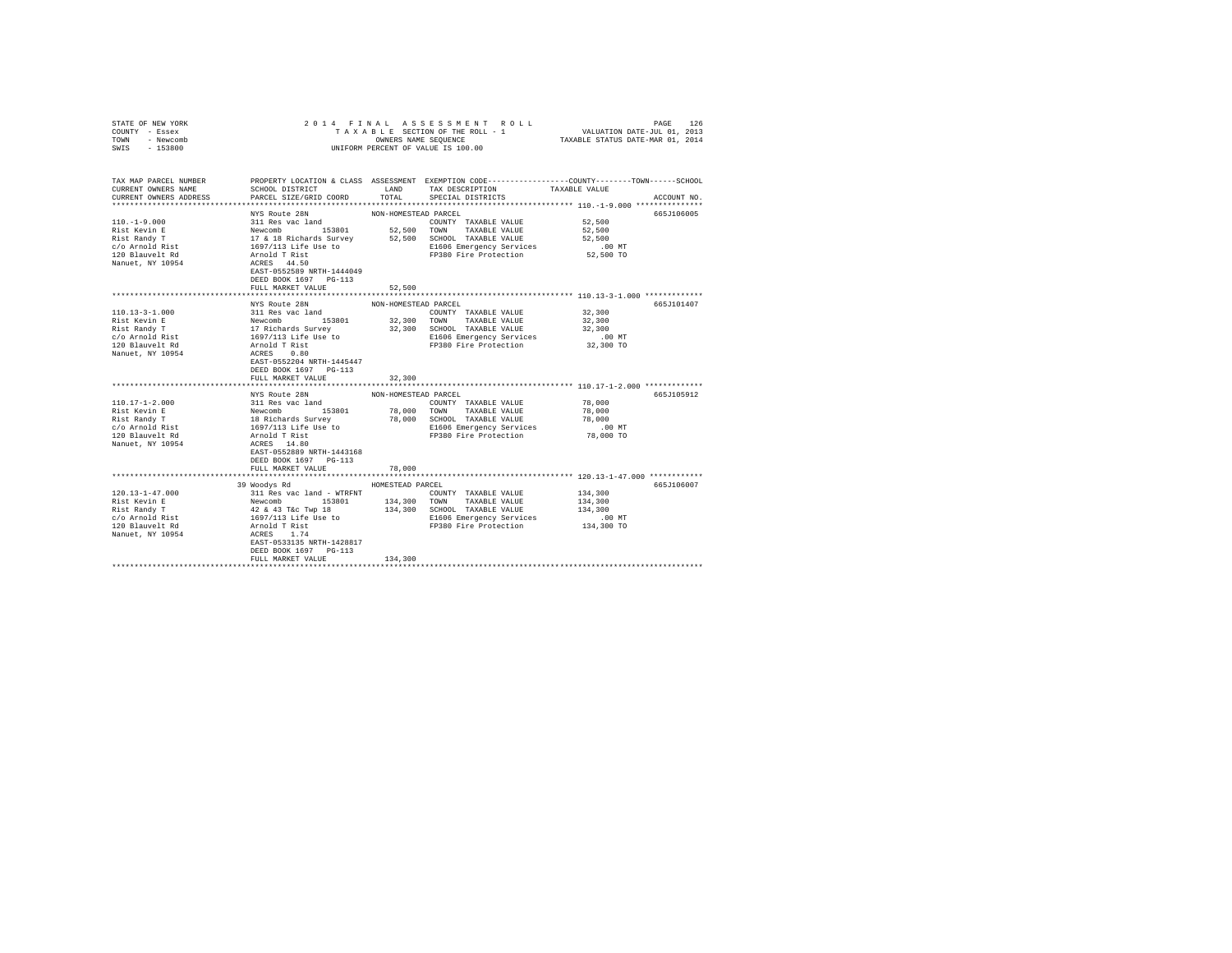| STATE OF NEW YORK<br>COUNTY - Essex<br>TOWN - Newcomb<br>SWIS - 153800 |                                                                                                                                                                                                        |                      | UNIFORM PERCENT OF VALUE IS 100.00                                         | PAGE 126 PLA A S S E S S M E N T R O L L PRO BOULD PAGE 126 PAGE 126 PAGE 126 PAGE 2011 ON 2013<br>T A X A B L E SECTION OF THE ROLL - 1 WALUATION DATE-JUL 101, 2014<br>OWNERS NAME SEQUENCE TAXABLE STATUS DATE-MAR 01, 2014 |
|------------------------------------------------------------------------|--------------------------------------------------------------------------------------------------------------------------------------------------------------------------------------------------------|----------------------|----------------------------------------------------------------------------|--------------------------------------------------------------------------------------------------------------------------------------------------------------------------------------------------------------------------------|
|                                                                        |                                                                                                                                                                                                        |                      |                                                                            |                                                                                                                                                                                                                                |
| TAX MAP PARCEL NUMBER<br>CURRENT OWNERS NAME                           | SCHOOL DISTRICT                                                                                                                                                                                        |                      | LAND TAX DESCRIPTION TAXABLE VALUE                                         | PROPERTY LOCATION & CLASS ASSESSMENT EXEMPTION CODE---------------COUNTY-------TOWN------SCHOOL                                                                                                                                |
| CURRENT OWNERS ADDRESS                                                 | PARCEL SIZE/GRID COORD                                                                                                                                                                                 |                      | TOTAL SPECIAL DISTRICTS                                                    | ACCOUNT NO.                                                                                                                                                                                                                    |
|                                                                        |                                                                                                                                                                                                        |                      |                                                                            |                                                                                                                                                                                                                                |
|                                                                        | NYS Route 28N                                                                                                                                                                                          | NON-HOMESTEAD PARCEL |                                                                            | 665J106005                                                                                                                                                                                                                     |
| $110. - 1 - 9.000$                                                     | Note the search and 153801<br>Newcomb 153801<br>17 & 18 Richards Survey<br>1697/113 Life Use to<br>Arnold T Rist<br>ACRES 44450<br>ACRES 44450<br>CRES 44450<br>CRES 44450<br>CRES 44450<br>CRES 44450 |                      | COUNTY TAXABLE VALUE                                                       | 52,500                                                                                                                                                                                                                         |
| Rist Kevin E<br>Rist Randy T                                           |                                                                                                                                                                                                        |                      | 52,500 TOWN TAXABLE VALUE                                                  | 52,500                                                                                                                                                                                                                         |
|                                                                        |                                                                                                                                                                                                        |                      | 52,500 SCHOOL TAXABLE VALUE                                                | 52,500                                                                                                                                                                                                                         |
| c/o Arnold Rist<br>120 Blauvelt Rd                                     |                                                                                                                                                                                                        |                      | E1606 Emergency Services                                                   | $.00$ MT                                                                                                                                                                                                                       |
|                                                                        |                                                                                                                                                                                                        |                      | FP380 Fire Protection 52,500 TO                                            |                                                                                                                                                                                                                                |
| Nanuet, NY 10954                                                       |                                                                                                                                                                                                        |                      |                                                                            |                                                                                                                                                                                                                                |
|                                                                        | EAST-0552589 NRTH-1444049                                                                                                                                                                              |                      |                                                                            |                                                                                                                                                                                                                                |
|                                                                        | DEED BOOK 1697 PG-113                                                                                                                                                                                  |                      |                                                                            |                                                                                                                                                                                                                                |
|                                                                        | FULL MARKET VALUE                                                                                                                                                                                      | 52,500               |                                                                            |                                                                                                                                                                                                                                |
|                                                                        | NYS Route 28N                                                                                                                                                                                          | NON-HOMESTEAD PARCEL |                                                                            | 665J101407                                                                                                                                                                                                                     |
| $110.13 - 3 - 1.000$                                                   |                                                                                                                                                                                                        |                      | COUNTY TAXABLE VALUE                                                       | 32,300                                                                                                                                                                                                                         |
| Rist Kevin E                                                           |                                                                                                                                                                                                        |                      | 32,300 TOWN TAXABLE VALUE                                                  | 32,300                                                                                                                                                                                                                         |
| Rist Randy T                                                           |                                                                                                                                                                                                        |                      | 32,300 SCHOOL TAXABLE VALUE                                                | 32,300                                                                                                                                                                                                                         |
| c/o Arnold Rist                                                        |                                                                                                                                                                                                        |                      |                                                                            | $.00$ MT                                                                                                                                                                                                                       |
| 120 Blauvelt Rd                                                        |                                                                                                                                                                                                        |                      | E1606 Emergency Services<br>FP380 Fire Protection<br>FP380 Fire Protection | 32,300 TO                                                                                                                                                                                                                      |
| Nanuet, NY 10954                                                       | Audel and<br>Newcomb<br>17 Richards Survey<br>17 Richards Survey<br>1697/113 Life Use to<br>Armold Trist<br>ACRES<br>0.80                                                                              |                      |                                                                            |                                                                                                                                                                                                                                |
|                                                                        | EAST-0552204 NRTH-1445447                                                                                                                                                                              |                      |                                                                            |                                                                                                                                                                                                                                |
|                                                                        | DEED BOOK 1697 PG-113                                                                                                                                                                                  |                      |                                                                            |                                                                                                                                                                                                                                |
|                                                                        | FULL MARKET VALUE                                                                                                                                                                                      | 32,300               |                                                                            |                                                                                                                                                                                                                                |
|                                                                        |                                                                                                                                                                                                        |                      |                                                                            |                                                                                                                                                                                                                                |
|                                                                        | NYS Route 28N                                                                                                                                                                                          | NON-HOMESTEAD PARCEL |                                                                            | 665J105912                                                                                                                                                                                                                     |
| 110.17-1-2.000                                                         |                                                                                                                                                                                                        |                      | COUNTY TAXABLE VALUE                                                       | 78,000                                                                                                                                                                                                                         |
| Rist Kevin E                                                           |                                                                                                                                                                                                        |                      | 78,000 TOWN TAXABLE VALUE                                                  | 78,000                                                                                                                                                                                                                         |
| Rist Randy T                                                           |                                                                                                                                                                                                        |                      | 78,000 SCHOOL TAXABLE VALUE                                                | 78,000                                                                                                                                                                                                                         |
| c/o Arnold Rist                                                        |                                                                                                                                                                                                        |                      | E1606 Emergency Services                                                   | $.00$ MT                                                                                                                                                                                                                       |
| 120 Blauvelt Rd                                                        |                                                                                                                                                                                                        |                      | FP380 Fire Protection                                                      | 78,000 TO                                                                                                                                                                                                                      |
| Nanuet, NY 10954                                                       | XIV wuxe such<br>311 Res vac land<br>18 Richards Survey<br>1697/113 Life Use to<br>4 Arnold T Rist<br>2008 14.80<br>2008 14.80                                                                         |                      |                                                                            |                                                                                                                                                                                                                                |
|                                                                        | EAST-0552889 NRTH-1443168                                                                                                                                                                              |                      |                                                                            |                                                                                                                                                                                                                                |
|                                                                        | DEED BOOK 1697 PG-113                                                                                                                                                                                  |                      |                                                                            |                                                                                                                                                                                                                                |
|                                                                        | FULL MARKET VALUE                                                                                                                                                                                      | 78,000               |                                                                            | **************************** 120.13-1-47.000 ************                                                                                                                                                                      |
|                                                                        | 39 Woodys Rd                                                                                                                                                                                           | HOMESTEAD PARCEL     |                                                                            | 665J106007                                                                                                                                                                                                                     |
| $120.13 - 1 - 47.000$                                                  |                                                                                                                                                                                                        |                      |                                                                            | 134,300                                                                                                                                                                                                                        |
| Rist Kevin E                                                           |                                                                                                                                                                                                        |                      |                                                                            | 134,300                                                                                                                                                                                                                        |
| Rist Randy T                                                           |                                                                                                                                                                                                        |                      | 134,300 SCHOOL TAXABLE VALUE                                               | 134,300                                                                                                                                                                                                                        |
|                                                                        |                                                                                                                                                                                                        |                      | E1606 Emergency Services                                                   | $.00$ MT                                                                                                                                                                                                                       |
| c/o Arnold Rist<br>120 Blauvelt Rd                                     |                                                                                                                                                                                                        |                      | FP380 Fire Protection                                                      | 134,300 TO                                                                                                                                                                                                                     |
| Nanuet, NY 10954                                                       |                                                                                                                                                                                                        |                      |                                                                            |                                                                                                                                                                                                                                |
|                                                                        | EAST-0533135 NRTH-1428817                                                                                                                                                                              |                      |                                                                            |                                                                                                                                                                                                                                |
|                                                                        | DEED BOOK 1697 PG-113                                                                                                                                                                                  |                      |                                                                            |                                                                                                                                                                                                                                |
|                                                                        | FULL MARKET VALUE                                                                                                                                                                                      | 134,300              |                                                                            |                                                                                                                                                                                                                                |
|                                                                        |                                                                                                                                                                                                        |                      |                                                                            |                                                                                                                                                                                                                                |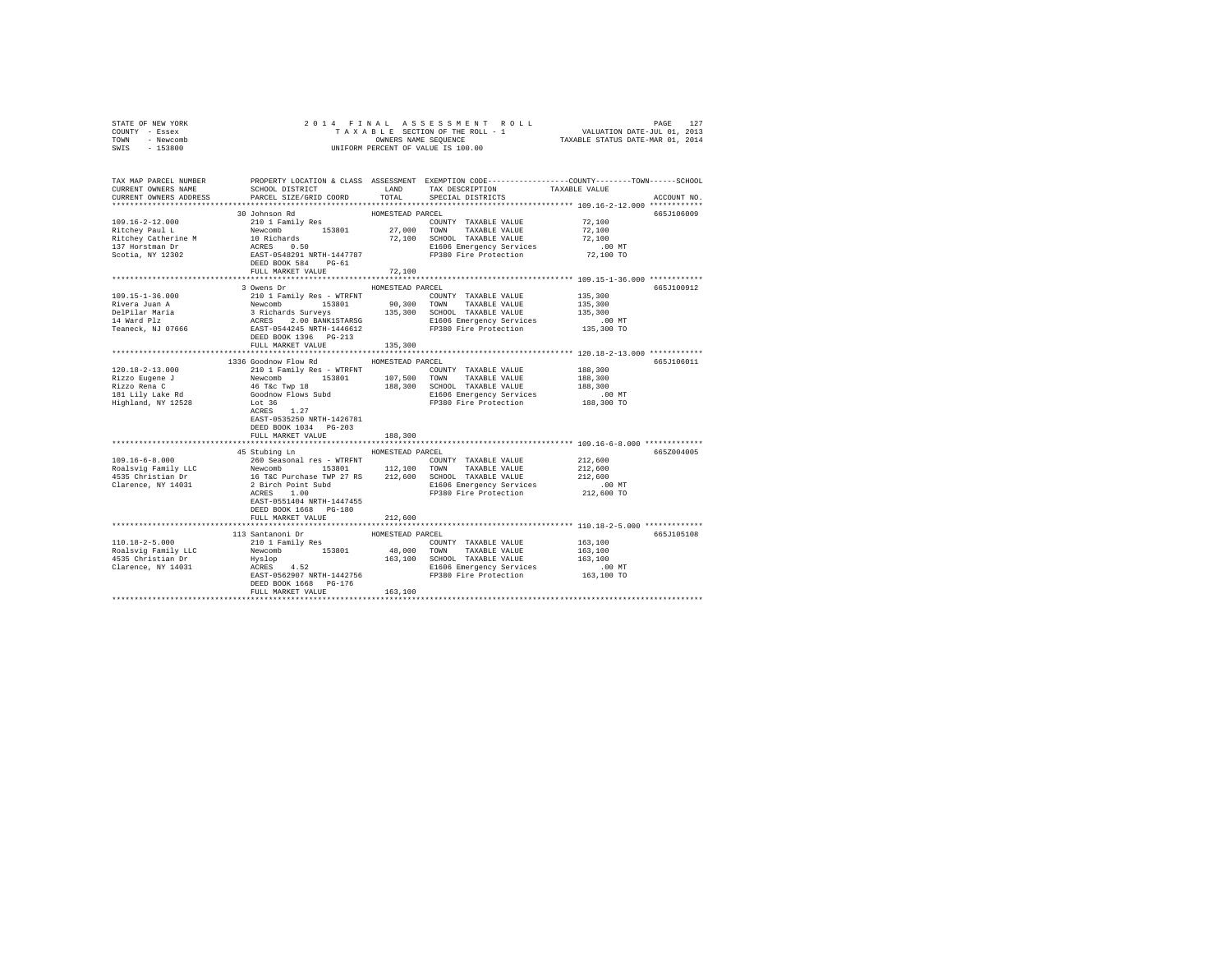| STATE OF NEW YORK                                                                                                    | PAGE 127 ROLL PAGE 127<br>TAXABLE SECTION OF THEROLL - 1 VALUATION DATE-JUL 01, 2013<br>OWNERS NAME SEQUENCE TRAXABLE STATUS DATE-MAR 01, 2014<br>2014 FINAL |                  |                                                                                                                                                                                                                                            |               |             |
|----------------------------------------------------------------------------------------------------------------------|--------------------------------------------------------------------------------------------------------------------------------------------------------------|------------------|--------------------------------------------------------------------------------------------------------------------------------------------------------------------------------------------------------------------------------------------|---------------|-------------|
| COUNTY - Essex                                                                                                       |                                                                                                                                                              |                  |                                                                                                                                                                                                                                            |               |             |
| TOWN - Newcomb                                                                                                       |                                                                                                                                                              |                  | OWNERS NAME SEQUENCE                                                                                                                                                                                                                       |               |             |
| $-153800$<br>SWIS                                                                                                    |                                                                                                                                                              |                  | UNIFORM PERCENT OF VALUE IS 100.00                                                                                                                                                                                                         |               |             |
|                                                                                                                      |                                                                                                                                                              |                  |                                                                                                                                                                                                                                            |               |             |
|                                                                                                                      |                                                                                                                                                              |                  |                                                                                                                                                                                                                                            |               |             |
| TAX MAP PARCEL NUMBER PROPERTY LOCATION & CLASS ASSESSMENT EXEMPTION CODE--------------COUNTY-------TOWN------SCHOOL |                                                                                                                                                              |                  |                                                                                                                                                                                                                                            |               |             |
| CURRENT OWNERS NAME                                                                                                  | SCHOOL DISTRICT LAND                                                                                                                                         |                  | TAX DESCRIPTION                                                                                                                                                                                                                            | TAXABLE VALUE |             |
|                                                                                                                      |                                                                                                                                                              | TOTAL            |                                                                                                                                                                                                                                            |               |             |
| CURRENT OWNERS ADDRESS                                                                                               | PARCEL SIZE/GRID COORD                                                                                                                                       |                  | SPECIAL DISTRICTS                                                                                                                                                                                                                          |               | ACCOUNT NO. |
|                                                                                                                      |                                                                                                                                                              |                  |                                                                                                                                                                                                                                            |               |             |
|                                                                                                                      | 30 Johnson Rd                                                                                                                                                | HOMESTEAD PARCEL |                                                                                                                                                                                                                                            |               | 665J106009  |
| 109.16-2-12.000                                                                                                      | 210 1 Family Res                                                                                                                                             |                  | COUNTY TAXABLE VALUE                                                                                                                                                                                                                       | 72,100        |             |
| Ritchey Paul L                                                                                                       |                                                                                                                                                              |                  |                                                                                                                                                                                                                                            | 72,100        |             |
| Ritchey Catherine M                                                                                                  |                                                                                                                                                              |                  |                                                                                                                                                                                                                                            | 72,100        |             |
| 137 Horstman Dr                                                                                                      |                                                                                                                                                              |                  | Newcomb 153801 27,000 TOWN TAXABLE VALUE 10 Richards 72,100 SCHOOL TAXABLE VALUE ACRES 0.50<br>ACRES 0.50 BI606 REST-0548291 NRTH-1447787 PI806 Emergency Services<br>E1606 Emergency Services                                             | .00 MT        |             |
| Scotia, NY 12302                                                                                                     |                                                                                                                                                              |                  | FP380 Fire Protection                                                                                                                                                                                                                      | 72,100 TO     |             |
|                                                                                                                      | DEED BOOK 584 PG-61                                                                                                                                          |                  |                                                                                                                                                                                                                                            |               |             |
|                                                                                                                      | FULL MARKET VALUE                                                                                                                                            | 72,100           |                                                                                                                                                                                                                                            |               |             |
|                                                                                                                      |                                                                                                                                                              |                  |                                                                                                                                                                                                                                            |               |             |
|                                                                                                                      | 3 Owens Dr                                                                                                                                                   | HOMESTEAD PARCEL |                                                                                                                                                                                                                                            |               | 665J100912  |
| 109.15-1-36.000                                                                                                      | 210 1 Family Res - WTRFNT                                                                                                                                    |                  | COUNTY TAXABLE VALUE                                                                                                                                                                                                                       | 135,300       |             |
| Rivera Juan A                                                                                                        |                                                                                                                                                              |                  | Newcomb 153801 90,300 TOWN TAXABLE VALUE<br>3 Richards Surveys 135,300 STOWN TAXABLE VALUE<br>3 RCRES 2.00 BANKISTARSG 135,300 SCHOOL TAXABLE VALUE<br>RCRES 2.00 BANKISTARSG 151606 Emergency Services<br>REST-05041426 RTH-14466412 FP38 | 135,300       |             |
|                                                                                                                      |                                                                                                                                                              |                  |                                                                                                                                                                                                                                            | 135,300       |             |
| DelPilar Maria<br>14 Ward Plz                                                                                        |                                                                                                                                                              |                  |                                                                                                                                                                                                                                            | .00 MT        |             |
| Teaneck, NJ 07666                                                                                                    |                                                                                                                                                              |                  |                                                                                                                                                                                                                                            | 135,300 TO    |             |
|                                                                                                                      | DEED BOOK 1396 PG-213                                                                                                                                        |                  |                                                                                                                                                                                                                                            |               |             |
|                                                                                                                      | FULL MARKET VALUE                                                                                                                                            |                  |                                                                                                                                                                                                                                            |               |             |
|                                                                                                                      |                                                                                                                                                              | 135,300          |                                                                                                                                                                                                                                            |               |             |
|                                                                                                                      |                                                                                                                                                              |                  |                                                                                                                                                                                                                                            |               |             |
|                                                                                                                      | 1336 Goodnow Flow Rd MOMESTEAD PARCEL                                                                                                                        |                  |                                                                                                                                                                                                                                            |               | 665J106011  |
| 120.18-2-13.000                                                                                                      | 210 1 Family Res - WTRFNT                                                                                                                                    |                  | COUNTY TAXABLE VALUE                                                                                                                                                                                                                       | 188,300       |             |
| Rizzo Eugene J<br>Rizzo Rena C<br>181 Lily Lake Rd                                                                   | Newcomb 153801                                                                                                                                               |                  | 107,500 TOWN TAXABLE VALUE                                                                                                                                                                                                                 | 188,300       |             |
|                                                                                                                      | 46 T&C Twp 18<br>Goodnow Flows Subd                                                                                                                          |                  | 188,300 SCHOOL TAXABLE VALUE                                                                                                                                                                                                               | 188,300       |             |
|                                                                                                                      |                                                                                                                                                              |                  | E1606 Emergency Services                                                                                                                                                                                                                   | .00 MT        |             |
| Highland, NY 12528                                                                                                   | Lot 36<br>ACRES 1.27                                                                                                                                         |                  | FP380 Fire Protection                                                                                                                                                                                                                      | 188,300 TO    |             |
|                                                                                                                      |                                                                                                                                                              |                  |                                                                                                                                                                                                                                            |               |             |
|                                                                                                                      | EAST-0535250 NRTH-1426781                                                                                                                                    |                  |                                                                                                                                                                                                                                            |               |             |
|                                                                                                                      | DEED BOOK 1034 PG-203                                                                                                                                        |                  |                                                                                                                                                                                                                                            |               |             |
|                                                                                                                      | FULL MARKET VALUE                                                                                                                                            | 188,300          |                                                                                                                                                                                                                                            |               |             |
|                                                                                                                      |                                                                                                                                                              |                  |                                                                                                                                                                                                                                            |               |             |
|                                                                                                                      | 45 Stubing Ln MOMESTEAD PARCEL                                                                                                                               |                  |                                                                                                                                                                                                                                            |               | 665Z004005  |
| $109.16 - 6 - 8.000$                                                                                                 | 260 Seasonal res - WTRFNT                                                                                                                                    |                  | COUNTY TAXABLE VALUE                                                                                                                                                                                                                       | 212,600       |             |
|                                                                                                                      | Newcomb 153801                                                                                                                                               |                  | 112,100 TOWN TAXABLE VALUE                                                                                                                                                                                                                 | 212,600       |             |
| Roalsvig Family LLC<br>4535 Christian Dr<br>Clarence, NY 14031                                                       |                                                                                                                                                              |                  |                                                                                                                                                                                                                                            | 212,600       |             |
|                                                                                                                      |                                                                                                                                                              |                  | 16 T&C Purchase TWP 27 RS 212,600 SCHOOL TAXABLE VALUE<br>2 Birch Point Subd E1606 Energency Services                                                                                                                                      | .00 MT        |             |
|                                                                                                                      | 2 Birch Point Subd<br>ACRES 1.00                                                                                                                             |                  | FP380 Fire Protection                                                                                                                                                                                                                      |               |             |
|                                                                                                                      |                                                                                                                                                              |                  |                                                                                                                                                                                                                                            | 212,600 TO    |             |
|                                                                                                                      | EAST-0551404 NRTH-1447455                                                                                                                                    |                  |                                                                                                                                                                                                                                            |               |             |
|                                                                                                                      | DEED BOOK 1668 PG-180                                                                                                                                        |                  |                                                                                                                                                                                                                                            |               |             |
|                                                                                                                      | FULL MARKET VALUE                                                                                                                                            | 212,600          |                                                                                                                                                                                                                                            |               |             |
|                                                                                                                      |                                                                                                                                                              |                  |                                                                                                                                                                                                                                            |               |             |
|                                                                                                                      | 113 Santanoni Dr                                                                                                                                             | HOMESTEAD PARCEL |                                                                                                                                                                                                                                            |               | 665J105108  |
| $110.18 - 2 - 5.000$                                                                                                 |                                                                                                                                                              |                  |                                                                                                                                                                                                                                            | 163,100       |             |
| Roalsvig Family LLC                                                                                                  |                                                                                                                                                              |                  | 210 1 Family Res<br>Newcomb 153801 48,000 TOWNY TAXABLE VALUE<br>Hyslop 153801 48,000 TOWN TAXABLE VALUE<br>ACRES 4.52 163,100 SCHOOL TAXABLE VALUE<br>ACRES 4.52 1606 Emergency Services<br>EAST-0562907 NRTH-1442756 FD380 Fire Protec   | 163,100       |             |
| 4535 Christian Dr                                                                                                    |                                                                                                                                                              |                  |                                                                                                                                                                                                                                            | 163,100       |             |
| Clarence, NY 14031                                                                                                   |                                                                                                                                                              |                  |                                                                                                                                                                                                                                            | .00 MT        |             |
|                                                                                                                      |                                                                                                                                                              |                  |                                                                                                                                                                                                                                            | 163,100 TO    |             |
|                                                                                                                      | DEED BOOK 1668 PG-176                                                                                                                                        |                  |                                                                                                                                                                                                                                            |               |             |
|                                                                                                                      | FULL MARKET VALUE                                                                                                                                            | 163,100          |                                                                                                                                                                                                                                            |               |             |
|                                                                                                                      |                                                                                                                                                              |                  |                                                                                                                                                                                                                                            |               |             |
|                                                                                                                      |                                                                                                                                                              |                  |                                                                                                                                                                                                                                            |               |             |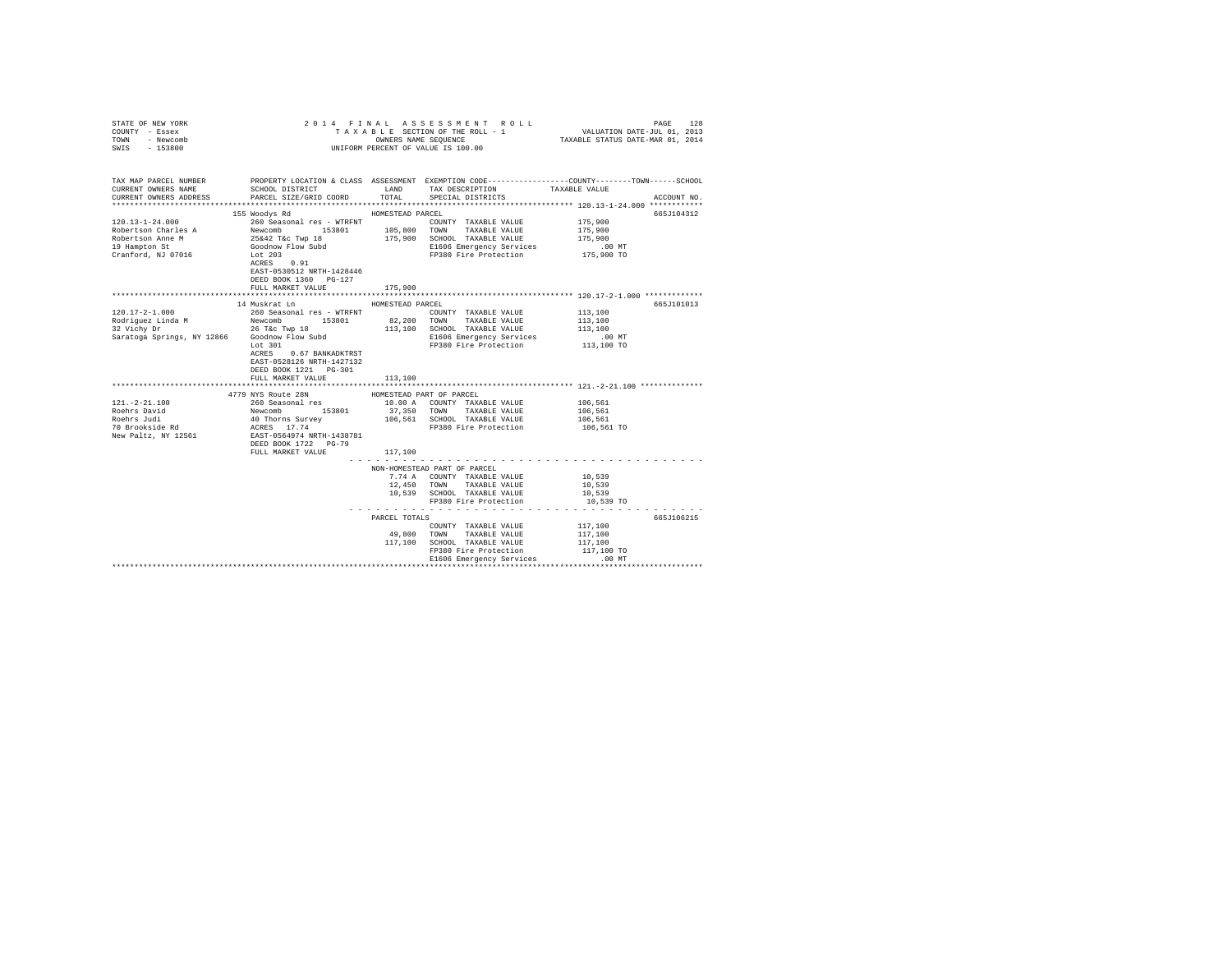| STATE OF NEW YORK<br>COUNTY - Essex<br>TOWN - Newcomb<br>SWIS - 153800                                                                                                                                                                     | UNIFORM PERCENT OF VALUE IS 100.00                                                                 |                  | 2014 FINAL ASSESSMENT ROLL                           | PAGE<br>128                                                                                                                                          |
|--------------------------------------------------------------------------------------------------------------------------------------------------------------------------------------------------------------------------------------------|----------------------------------------------------------------------------------------------------|------------------|------------------------------------------------------|------------------------------------------------------------------------------------------------------------------------------------------------------|
| CURRENT OWNERS NAME<br>CURRENT OWNERS ADDRESS                                                                                                                                                                                              | SCHOOL DISTRICT<br>PARCEL SIZE/GRID COORD                                                          | TOTAL            | LAND TAX DESCRIPTION<br>SPECIAL DISTRICTS            | TAX MAP PARCEL NUMBER PROPERTY LOCATION & CLASS ASSESSMENT EXEMPTION CODE---------------COUNTY-------TOWN-----SCHOOL<br>TAXABLE VALUE<br>ACCOUNT NO. |
|                                                                                                                                                                                                                                            |                                                                                                    |                  |                                                      |                                                                                                                                                      |
|                                                                                                                                                                                                                                            | 155 Woodys Rd                                                                                      | HOMESTEAD PARCEL |                                                      | 665J104312                                                                                                                                           |
|                                                                                                                                                                                                                                            |                                                                                                    |                  |                                                      | 175,900                                                                                                                                              |
|                                                                                                                                                                                                                                            |                                                                                                    |                  |                                                      | 175,900                                                                                                                                              |
|                                                                                                                                                                                                                                            |                                                                                                    |                  |                                                      | 175,900                                                                                                                                              |
| 19 Hampton St                                                                                                                                                                                                                              | Goodnow Flow Subd                                                                                  |                  | E1606 Emergency Services<br>FP380 Fire Protection    | $.00$ MT                                                                                                                                             |
| Cranford, NJ 07016                                                                                                                                                                                                                         | Lot 203<br>ACRES 0.91                                                                              |                  |                                                      | 175,900 TO                                                                                                                                           |
|                                                                                                                                                                                                                                            | EAST-0530512 NRTH-1428446                                                                          |                  |                                                      |                                                                                                                                                      |
|                                                                                                                                                                                                                                            | DEED BOOK 1360 PG-127                                                                              |                  |                                                      |                                                                                                                                                      |
|                                                                                                                                                                                                                                            | FULL MARKET VALUE                                                                                  | 175,900          |                                                      |                                                                                                                                                      |
|                                                                                                                                                                                                                                            |                                                                                                    |                  |                                                      |                                                                                                                                                      |
|                                                                                                                                                                                                                                            | 14 Muskrat Ln                                                                                      | HOMESTEAD PARCEL |                                                      | 665J101013                                                                                                                                           |
| $120.17 - 2 - 1.000$                                                                                                                                                                                                                       | 260 Seasonal res - WTRFNT                                                                          |                  | COUNTY TAXABLE VALUE                                 | 113,100                                                                                                                                              |
| $\begin{array}{ccccccccc} \text{Rodriguez Linda M} & \text{Newcomb} & 153801 & 82,200 & \text{TONN} & \text{TAXABLE VALUE} \\ 32 \text{ Vichy Dr} & \text{Dr} & 26 \text{ Toc Two 18} & 113,100 & \text{SCHOOL TAXABLE VALUE} \end{array}$ |                                                                                                    |                  |                                                      | 113,100                                                                                                                                              |
|                                                                                                                                                                                                                                            |                                                                                                    |                  | 113,100 SCHOOL TAXABLE VALUE                         | 113,100                                                                                                                                              |
| Saratoga Springs, NY 12866 Goodnow Flow Subd                                                                                                                                                                                               |                                                                                                    |                  | E1606 Emergency Services                             | .00 MT                                                                                                                                               |
|                                                                                                                                                                                                                                            | Lot 301                                                                                            |                  | FP380 Fire Protection                                | 113,100 TO                                                                                                                                           |
|                                                                                                                                                                                                                                            | ACRES 0.67 BANKADKTRST                                                                             |                  |                                                      |                                                                                                                                                      |
|                                                                                                                                                                                                                                            | EAST-0528126 NRTH-1427132                                                                          |                  |                                                      |                                                                                                                                                      |
|                                                                                                                                                                                                                                            | DEED BOOK 1221 PG-301<br>FULL MARKET VALUE                                                         |                  |                                                      |                                                                                                                                                      |
|                                                                                                                                                                                                                                            |                                                                                                    | 113,100          |                                                      |                                                                                                                                                      |
|                                                                                                                                                                                                                                            | 4779 NYS Route 28N                                                                                 |                  | HOMESTEAD PART OF PARCEL                             |                                                                                                                                                      |
| $121. - 2 - 21.100$                                                                                                                                                                                                                        | 260 Seasonal res<br>Newcomb 153801<br>40 Thorns Survey<br>ACRES 17.74<br>EAST-0564974 NRTH-1438781 |                  | 10.00 A COUNTY TAXABLE VALUE                         | 106,561                                                                                                                                              |
| Roehrs David                                                                                                                                                                                                                               |                                                                                                    | 37,350 TOWN      | TAXABLE VALUE                                        | 106,561                                                                                                                                              |
| Roehrs Judi                                                                                                                                                                                                                                |                                                                                                    |                  | 106,561 SCHOOL TAXABLE VALUE                         | 106,561                                                                                                                                              |
| 70 Brookside Rd                                                                                                                                                                                                                            |                                                                                                    |                  | FP380 Fire Protection                                | 106,561 TO                                                                                                                                           |
| New Paltz, NY 12561                                                                                                                                                                                                                        |                                                                                                    |                  |                                                      |                                                                                                                                                      |
|                                                                                                                                                                                                                                            | DEED BOOK 1722 PG-79                                                                               |                  |                                                      |                                                                                                                                                      |
|                                                                                                                                                                                                                                            | FULL MARKET VALUE                                                                                  | 117,100          |                                                      |                                                                                                                                                      |
|                                                                                                                                                                                                                                            |                                                                                                    |                  |                                                      |                                                                                                                                                      |
|                                                                                                                                                                                                                                            |                                                                                                    |                  | NON-HOMESTEAD PART OF PARCEL                         |                                                                                                                                                      |
|                                                                                                                                                                                                                                            |                                                                                                    |                  | 7.74 A COUNTY TAXABLE VALUE                          | 10,539                                                                                                                                               |
|                                                                                                                                                                                                                                            |                                                                                                    |                  | 12,450 TOWN TAXABLE VALUE                            | 10,539                                                                                                                                               |
|                                                                                                                                                                                                                                            |                                                                                                    |                  | 10,539 SCHOOL TAXABLE VALUE<br>FP380 Fire Protection | 10,539<br>10,539 TO                                                                                                                                  |
|                                                                                                                                                                                                                                            |                                                                                                    | .                |                                                      | .                                                                                                                                                    |
|                                                                                                                                                                                                                                            |                                                                                                    | PARCEL TOTALS    |                                                      | 665J106215                                                                                                                                           |
|                                                                                                                                                                                                                                            |                                                                                                    |                  | COUNTY TAXABLE VALUE                                 | 117,100                                                                                                                                              |
|                                                                                                                                                                                                                                            |                                                                                                    | 49,800 TOWN      | TAXABLE VALUE                                        | 117,100                                                                                                                                              |
|                                                                                                                                                                                                                                            |                                                                                                    |                  | 117,100 SCHOOL TAXABLE VALUE                         | 117,100                                                                                                                                              |
|                                                                                                                                                                                                                                            |                                                                                                    |                  | FP380 Fire Protection                                | 117,100 TO                                                                                                                                           |
|                                                                                                                                                                                                                                            |                                                                                                    |                  | E1606 Emergency Services                             | $.00$ MT                                                                                                                                             |
|                                                                                                                                                                                                                                            |                                                                                                    |                  |                                                      |                                                                                                                                                      |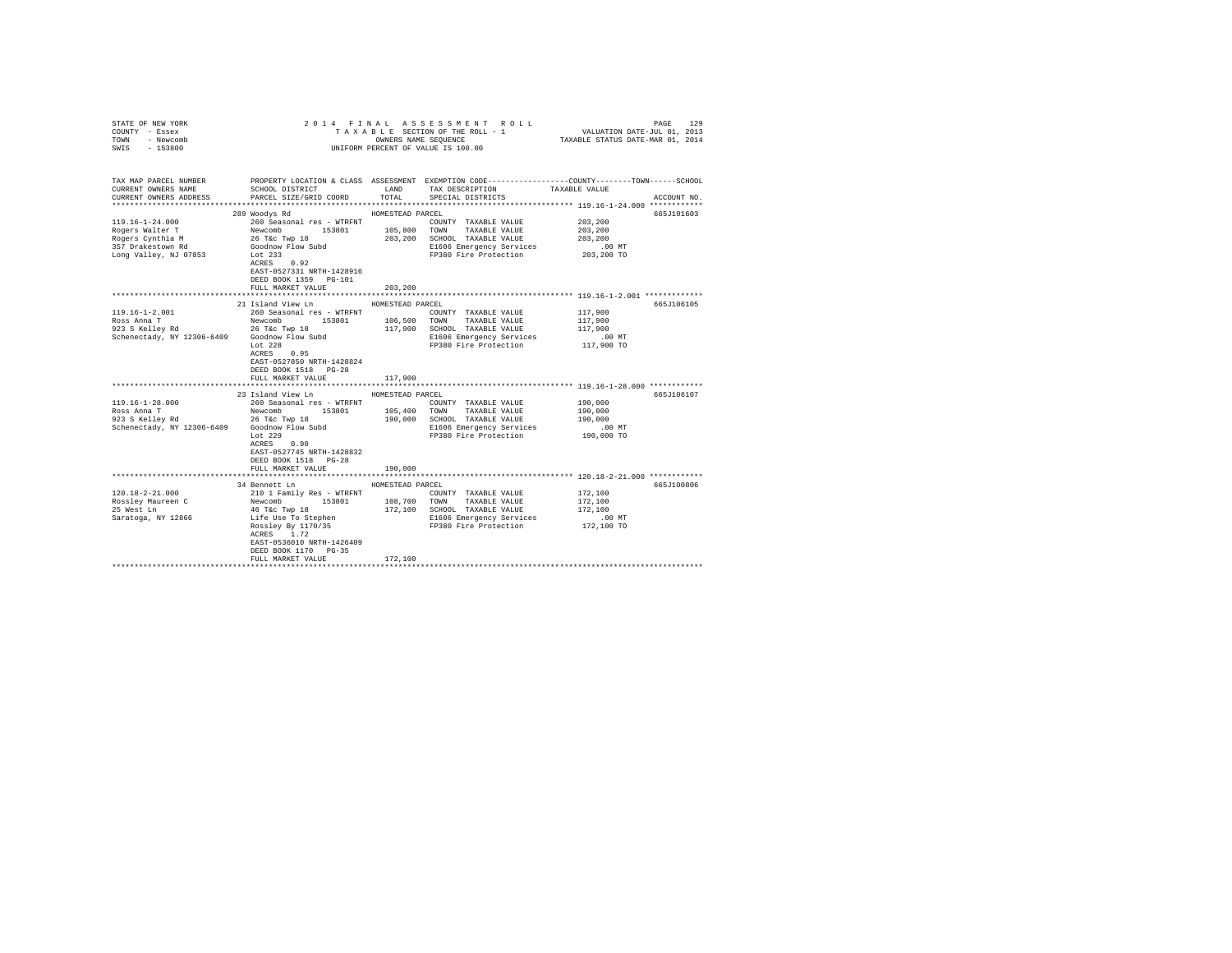| STATE OF NEW YORK<br>COUNTY - Essex<br>TOWN - Newcomb              |                                                                                         |                  | PAGE 129 PAGE 129 PAGE 129<br>TA X A B L E SECTION OF THE ROLL - 1<br>OWNERS NAME SEQUENCE TRANSLE STATUE OIL 2013               |                                                            |             |
|--------------------------------------------------------------------|-----------------------------------------------------------------------------------------|------------------|----------------------------------------------------------------------------------------------------------------------------------|------------------------------------------------------------|-------------|
| $-153800$<br>SWIS                                                  |                                                                                         |                  | UNIFORM PERCENT OF VALUE IS 100.00                                                                                               |                                                            |             |
| TAX MAP PARCEL NUMBER<br>CURRENT OWNERS NAME                       | SCHOOL DISTRICT LAND                                                                    |                  | PROPERTY LOCATION & CLASS ASSESSMENT EXEMPTION CODE---------------COUNTY-------TOWN------SCHOOL<br>TAX DESCRIPTION TAXABLE VALUE |                                                            |             |
| CURRENT OWNERS ADDRESS                                             | PARCEL SIZE/GRID COORD                                                                  | TOTAL            | SPECIAL DISTRICTS                                                                                                                |                                                            | ACCOUNT NO. |
|                                                                    |                                                                                         |                  |                                                                                                                                  |                                                            |             |
| 119.16-1-24.000                                                    | 289 Woodys Rd<br>260 Seasonal res - WTRFNT                                              | HOMESTEAD PARCEL | COUNTY TAXABLE VALUE                                                                                                             | 203,200                                                    | 665J101603  |
|                                                                    |                                                                                         |                  |                                                                                                                                  | 203,200                                                    |             |
| Rogers Walter T<br>Newcomb 15380<br>Rogers Cynthia M 26 T&c Twp 18 |                                                                                         |                  | 153801 105,800 TOWN TAXABLE VALUE<br>vp 18 203,200 SCHOOL TAXABLE VALUE                                                          | 203,200                                                    |             |
| 357 Drakestown Rd                                                  |                                                                                         |                  | E1606 Emergency Services                                                                                                         | $.00$ MT                                                   |             |
| Long Valley, NJ 07853                                              | Goodnow Flow Subd<br>Lot 233<br>ACRES 0.92                                              |                  | FP380 Fire Protection                                                                                                            | 203,200 TO                                                 |             |
|                                                                    |                                                                                         |                  |                                                                                                                                  |                                                            |             |
|                                                                    | EAST-0527331 NRTH-1428916                                                               |                  |                                                                                                                                  |                                                            |             |
|                                                                    | DEED BOOK 1359 PG-101                                                                   |                  |                                                                                                                                  |                                                            |             |
|                                                                    | FULL MARKET VALUE                                                                       | 203,200          |                                                                                                                                  |                                                            |             |
|                                                                    | 21 Island View Ln                                                                       | HOMESTEAD PARCEL |                                                                                                                                  |                                                            | 665J106105  |
| 119.16-1-2.001                                                     | 260 Seasonal res - WTRFNT                                                               |                  | COUNTY TAXABLE VALUE                                                                                                             | 117,900                                                    |             |
|                                                                    | 153801 106,500<br>Newcomb                                                               |                  | TOWN TAXABLE VALUE                                                                                                               | 117,900                                                    |             |
| Ross Anna T<br>923 S Kelley Rd<br>Seben Li                         |                                                                                         |                  | 117,900 SCHOOL TAXABLE VALUE                                                                                                     | 117,900                                                    |             |
| Schenectady, NY 12306-6409                                         | 26 T&C Twp 18<br>Goodnow Flow Subd                                                      |                  | E1606 Emergency Services                                                                                                         | $.00$ MT                                                   |             |
|                                                                    | Lot $228$                                                                               |                  | FP380 Fire Protection                                                                                                            | 117,900 TO                                                 |             |
|                                                                    | $ACRES$ 0.95                                                                            |                  |                                                                                                                                  |                                                            |             |
|                                                                    | EAST-0527850 NRTH-1428824                                                               |                  |                                                                                                                                  |                                                            |             |
|                                                                    | DEED BOOK 1518 PG-28                                                                    |                  |                                                                                                                                  |                                                            |             |
|                                                                    | FULL MARKET VALUE                                                                       | 117,900          |                                                                                                                                  |                                                            |             |
|                                                                    | 23 Island View Ln                                                                       | HOMESTEAD PARCEL |                                                                                                                                  |                                                            | 665J106107  |
| 119.16-1-28.000                                                    | 260 Seasonal res - WTRFNT                                                               |                  | COUNTY TAXABLE VALUE                                                                                                             | 190,000                                                    |             |
|                                                                    |                                                                                         |                  |                                                                                                                                  | 190,000                                                    |             |
| Ross Anna T<br>923 S Kelley Rd                                     | Newcomb 153801 105,400 TOWN TAXABLE VALUE 26 T&C Twp 18 190,000 SCHOOL TAXABLE VALUE    |                  |                                                                                                                                  | 190,000                                                    |             |
| Schenectady, NY 12306-6409 Goodnow Flow Subd Lot 229               |                                                                                         |                  | E1606 Emergency Services                                                                                                         | $.00$ MT                                                   |             |
|                                                                    |                                                                                         |                  | FP380 Fire Protection                                                                                                            | 190,000 TO                                                 |             |
|                                                                    | ACRES 0.90                                                                              |                  |                                                                                                                                  |                                                            |             |
|                                                                    | EAST-0527745 NRTH-1428832                                                               |                  |                                                                                                                                  |                                                            |             |
|                                                                    | DEED BOOK 1518 PG-28                                                                    |                  |                                                                                                                                  |                                                            |             |
|                                                                    | FULL MARKET VALUE                                                                       | 190,000          |                                                                                                                                  | ***************************** 120.18-2-21.000 ************ |             |
|                                                                    | 34 Bennett Ln                                                                           | HOMESTEAD PARCEL |                                                                                                                                  |                                                            | 665J100806  |
| 120.18-2-21.000                                                    | 210 1 Family Res - WTRFNT                                                               |                  | COUNTY TAXABLE VALUE                                                                                                             | 172,100                                                    |             |
| Rossley Maureen C                                                  |                                                                                         |                  | 108,700 TOWN TAXABLE VALUE                                                                                                       | 172,100                                                    |             |
| 25 West Ln                                                         |                                                                                         |                  | 172,100 SCHOOL TAXABLE VALUE                                                                                                     | 172,100                                                    |             |
| Saratoga, NY 12866                                                 |                                                                                         |                  | E1606 Emergency Services                                                                                                         | $.00$ MT                                                   |             |
|                                                                    | Newcomb<br>153801<br>46 T&c Twp 18<br>Life Use To Stephen<br>Rossley By 1170/35<br>---- |                  | FP380 Fire Protection                                                                                                            | 172,100 TO                                                 |             |
|                                                                    | ACRES 1.72                                                                              |                  |                                                                                                                                  |                                                            |             |
|                                                                    | EAST-0536010 NRTH-1426409                                                               |                  |                                                                                                                                  |                                                            |             |
|                                                                    | DEED BOOK 1170 PG-35                                                                    |                  |                                                                                                                                  |                                                            |             |
|                                                                    | FULL MARKET VALUE                                                                       | 172,100          |                                                                                                                                  |                                                            |             |
|                                                                    |                                                                                         |                  |                                                                                                                                  |                                                            |             |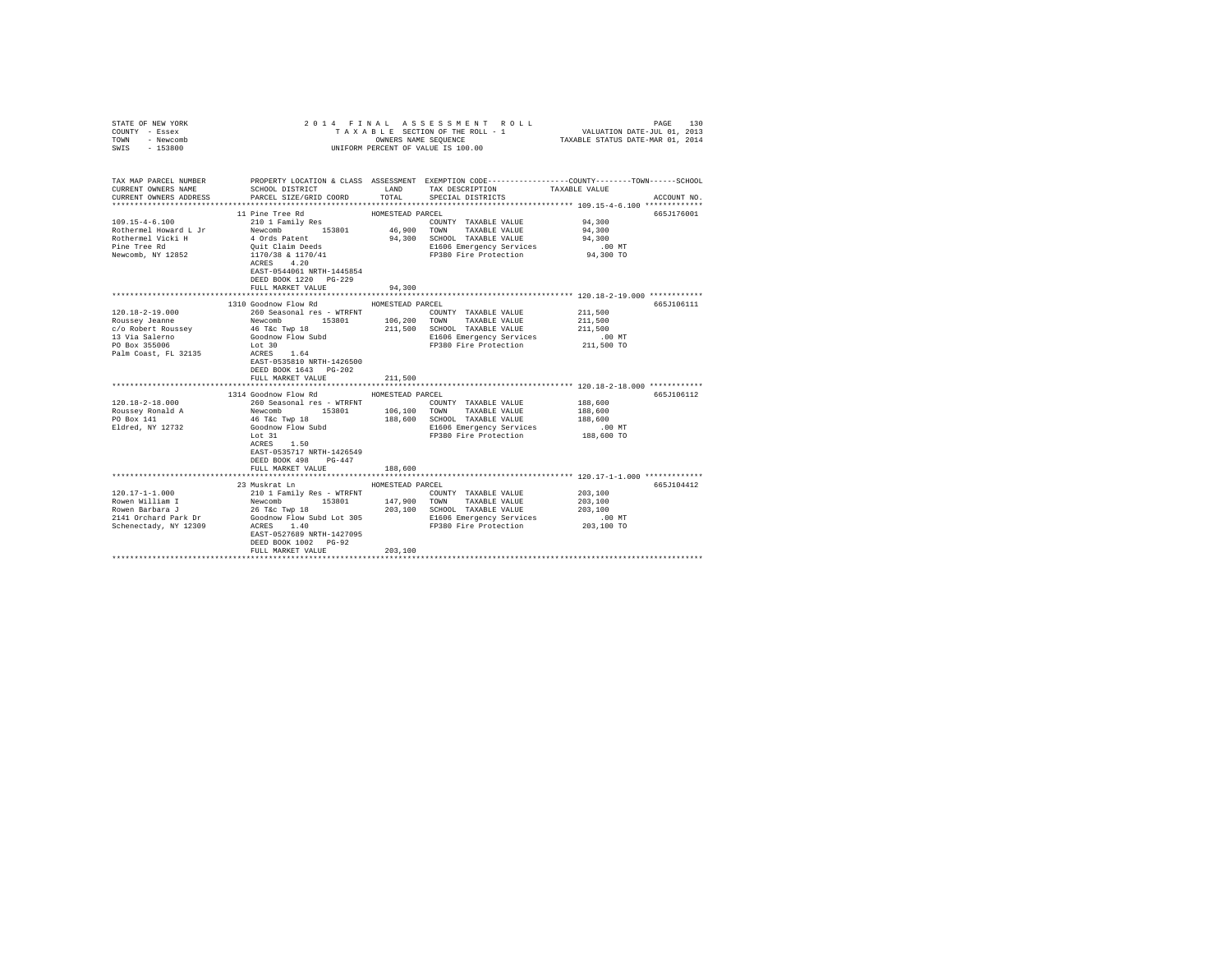| COUNTY - Essex<br>TOWN<br>- Newcomb<br>$-153800$<br>SWIS                                                                 | UNIFORM PERCENT OF VALUE IS 100.00                                                                                                                                                                                                          |                                           |                                                                                                                                            |                                                                                                                                 |
|--------------------------------------------------------------------------------------------------------------------------|---------------------------------------------------------------------------------------------------------------------------------------------------------------------------------------------------------------------------------------------|-------------------------------------------|--------------------------------------------------------------------------------------------------------------------------------------------|---------------------------------------------------------------------------------------------------------------------------------|
| TAX MAP PARCEL NUMBER<br>CURRENT OWNERS NAME<br>CURRENT OWNERS ADDRESS                                                   | SCHOOL DISTRICT<br>PARCEL SIZE/GRID COORD                                                                                                                                                                                                   |                                           | LAND TAX DESCRIPTION<br>TOTAL SPECIAL DISTRICTS                                                                                            | PROPERTY LOCATION & CLASS ASSESSMENT EXEMPTION CODE---------------COUNTY-------TOWN------SCHOOL<br>TAXABLE VALUE<br>ACCOUNT NO. |
| $109.15 - 4 - 6.100$<br>Rothermel Howard L Jr<br>Rothermel Vicki H<br>Pine Tree Rd<br>Newcomb, NY 12852                  | 11 Pine Tree Rd<br>210 1 Family Res<br>Newcomb 153801<br>4 Ords Patent<br>Quit Claim Deeds<br>1170/38 & 1170/41<br>ACRES 4 20<br>ACRES 4.20<br>EAST-0544061 NRTH-1445854<br>DEED BOOK 1220 PG-229<br>FULL MARKET VALUE                      | HOMESTEAD PARCEL<br>46,900 TOWN<br>94,300 | COUNTY TAXABLE VALUE<br>TAXABLE VALUE<br>94,300 SCHOOL TAXABLE VALUE<br>E1606 Emergency Services<br>FP380 Fire Protection                  | 665J176001<br>94,300<br>94,300<br>94,300<br>.00 MT<br>94,300 TO                                                                 |
| $120.18 - 2 - 19.000$<br>Roussey Jeanne<br>c/o Robert Roussev<br>13 Via Salerno<br>PO Box 355006<br>Palm Coast, FL 32135 | 1310 Goodnow Flow Rd<br>260 Seasonal res - WTRFNT<br>Newcomb<br>Newcomb<br>46 T&C Twp 18<br>Goodnow Flow Subd<br>Lot 30<br>ACRES 1.64<br>ACRES 1.64<br>EAST-0535810 NRTH-1426500<br>DEED BOOK 1643 PG-202<br>FULL MARKET VALUE              | HOMESTEAD PARCEL<br>106, 200<br>211,500   | COUNTY TAXABLE VALUE<br>TOWN TAXABLE VALUE<br>211,500 SCHOOL TAXABLE VALUE<br>E1606 Emergency Services<br>FP380 Fire Protection 211,500 TO | 665J106111<br>211,500<br>211,500<br>211,500<br>$.00$ MT                                                                         |
| $120.18 - 2 - 18.000$<br>Roussey Ronald A<br>PO Box 141<br>Eldred, NY 12732                                              | 1314 Goodnow Flow Rd<br>260 Seasonal res - WTRFNT<br>Newcomb 153801 106,100 TOWN TAXABLE VALUE<br>46 T&c Twp 18<br>Goodnow Flow Subd<br>Lot 31<br>ACRES 1.50<br>EAST-0535717 NRTH-1426549<br>DEED BOOK 498<br>$PG-447$<br>FULL MARKET VALUE | HOMESTEAD PARCEL<br>188,600               | COUNTY TAXABLE VALUE<br>188,600 SCHOOL TAXABLE VALUE<br>E1606 Emergency Services<br>FP380 Fire Protection                                  | 665J106112<br>188,600<br>188,600<br>188,600<br>.00MT<br>188,600 TO                                                              |
| 120.17-1-1.000<br>Rowen William I<br>Rowen Barbara J<br>2141 Orchard Park Dr<br>Schenectady, NY 12309                    | 23 Muskrat Ln<br>210 1 Family Res - WTRFNT<br>Newcomb 153801<br>26 T&c Twp 18<br>Goodnow Flow Subd Lot 305<br>ACRES 1.40<br>EAST-0527689 NRTH-1427095<br>DEED BOOK 1002 PG-92<br>FULL MARKET VALUE                                          | HOMESTEAD PARCEL<br>147,900<br>203,100    | COUNTY TAXABLE VALUE<br>TOWN TAXABLE VALUE<br>203,100 SCHOOL TAXABLE VALUE<br>E1606 Emergency Services<br>FP380 Fire Protection            | 665J104412<br>203,100<br>203,100<br>203,100<br>$.00$ MT<br>203,100 TO                                                           |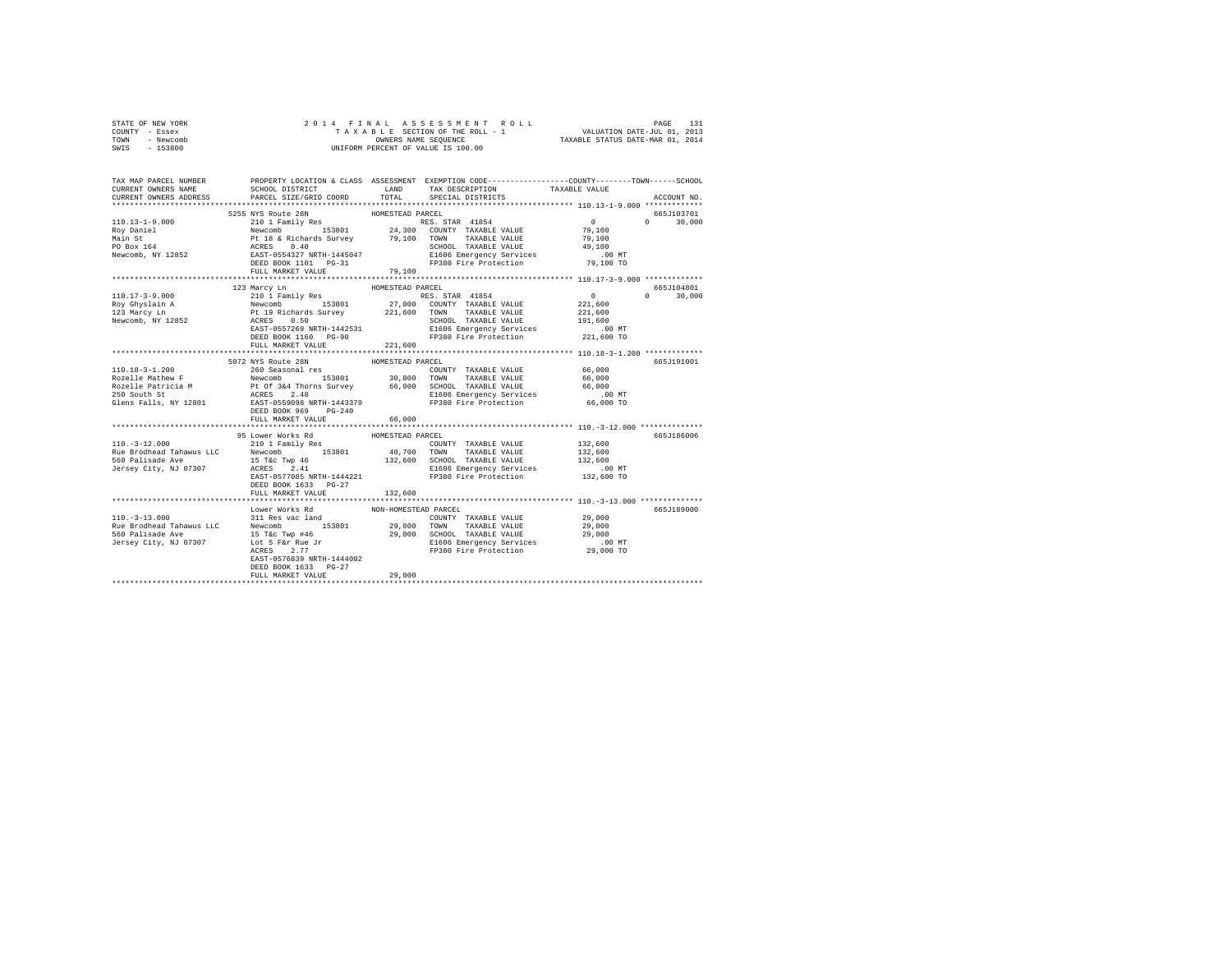| STATE OF NEW YORK                                                                                                                                                                                                                                                                                                                                                                  | 2014 FINAL ASSESSMENT ROLI<br>TAXABE SECTION OF THE ROLL - 1<br>ONNEES NAME SEQUENCE<br>UNIFORM PERCENT OF VALUE IS 100.00 |                      |                                                                                                                                                                        |                                                         |               |
|------------------------------------------------------------------------------------------------------------------------------------------------------------------------------------------------------------------------------------------------------------------------------------------------------------------------------------------------------------------------------------|----------------------------------------------------------------------------------------------------------------------------|----------------------|------------------------------------------------------------------------------------------------------------------------------------------------------------------------|---------------------------------------------------------|---------------|
| COUNTY - Essex<br>TOWN - Newcomb                                                                                                                                                                                                                                                                                                                                                   |                                                                                                                            |                      |                                                                                                                                                                        |                                                         |               |
| SWIS - 153800                                                                                                                                                                                                                                                                                                                                                                      |                                                                                                                            |                      |                                                                                                                                                                        |                                                         |               |
|                                                                                                                                                                                                                                                                                                                                                                                    |                                                                                                                            |                      |                                                                                                                                                                        |                                                         |               |
|                                                                                                                                                                                                                                                                                                                                                                                    |                                                                                                                            |                      |                                                                                                                                                                        |                                                         |               |
|                                                                                                                                                                                                                                                                                                                                                                                    |                                                                                                                            |                      |                                                                                                                                                                        |                                                         |               |
| TAX MAP PARCEL NUMBER                                                                                                                                                                                                                                                                                                                                                              |                                                                                                                            |                      | PROPERTY LOCATION & CLASS ASSESSMENT EXEMPTION CODE----------------COUNTY-------TOWN------SCHOOL                                                                       |                                                         |               |
| CURRENT OWNERS NAME                                                                                                                                                                                                                                                                                                                                                                | SCHOOL DISTRICT LAND                                                                                                       |                      | ${\small \begin{tabular}{llll} \bf{LAND} & \tt{TAX} \text{ DESCRIPTION} & \tt{TXABLE} \text{ VALUE} \\ \tt{TOTAL} & \tt{SPECIAL} \text{ DISTRIBUTTS} & \end{tabular}}$ |                                                         |               |
| CURRENT OWNERS ADDRESS                                                                                                                                                                                                                                                                                                                                                             | PARCEL SIZE/GRID COORD                                                                                                     |                      |                                                                                                                                                                        |                                                         | ACCOUNT NO.   |
|                                                                                                                                                                                                                                                                                                                                                                                    |                                                                                                                            |                      |                                                                                                                                                                        |                                                         |               |
| 5255 NYS Route 28N<br>10.13-1-9.000<br>2010 I Family Res<br>Roy Daniel Meycomb Newcomb Newcomb 153801<br>24,300 COUNTY TAXABLE VALUE<br>24,300 COUNTY TAXABLE VALUE<br>24,300 COUNTY TAXABLE VALUE<br>24,300 COUNTY TAXABLE VALUE<br>24,300 CO                                                                                                                                     |                                                                                                                            |                      |                                                                                                                                                                        |                                                         | 665J103701    |
|                                                                                                                                                                                                                                                                                                                                                                                    |                                                                                                                            |                      |                                                                                                                                                                        | $\sim$ 0                                                | $0 \t 30.000$ |
|                                                                                                                                                                                                                                                                                                                                                                                    |                                                                                                                            |                      |                                                                                                                                                                        |                                                         |               |
|                                                                                                                                                                                                                                                                                                                                                                                    |                                                                                                                            |                      |                                                                                                                                                                        |                                                         |               |
|                                                                                                                                                                                                                                                                                                                                                                                    |                                                                                                                            |                      |                                                                                                                                                                        |                                                         |               |
|                                                                                                                                                                                                                                                                                                                                                                                    |                                                                                                                            |                      |                                                                                                                                                                        | .00MT                                                   |               |
|                                                                                                                                                                                                                                                                                                                                                                                    |                                                                                                                            |                      |                                                                                                                                                                        | 79,100 TO                                               |               |
|                                                                                                                                                                                                                                                                                                                                                                                    | FULL MARKET VALUE                                                                                                          | 79,100               |                                                                                                                                                                        |                                                         |               |
|                                                                                                                                                                                                                                                                                                                                                                                    |                                                                                                                            |                      |                                                                                                                                                                        |                                                         |               |
|                                                                                                                                                                                                                                                                                                                                                                                    | 123 Marcy Ln                                                                                                               | HOMESTEAD PARCEL     |                                                                                                                                                                        |                                                         | 665J104801    |
|                                                                                                                                                                                                                                                                                                                                                                                    |                                                                                                                            |                      |                                                                                                                                                                        | $\sim$ 0                                                | $0 \t 30.000$ |
|                                                                                                                                                                                                                                                                                                                                                                                    |                                                                                                                            |                      |                                                                                                                                                                        | 221,600                                                 |               |
|                                                                                                                                                                                                                                                                                                                                                                                    |                                                                                                                            |                      |                                                                                                                                                                        | 221,600                                                 |               |
|                                                                                                                                                                                                                                                                                                                                                                                    |                                                                                                                            |                      |                                                                                                                                                                        | 191,600                                                 |               |
|                                                                                                                                                                                                                                                                                                                                                                                    |                                                                                                                            |                      |                                                                                                                                                                        | .00MT                                                   |               |
| $\begin{tabular}{l c c c c c} \hline 110.17-3-9.000 & 123\;Marcy\;Lm & H0MESJEMP KCLL} & \multicolumn{1}{c}{RSS. STAR} & 41854 \cr \hline \text{ROS} & \text{RBS. STAR} & \text{NRCOmb} & 153801 & 27,000 \cr \text{COWRYs}123\;Marcy\;Lm & \text{NRCOmb} & 153801 & 27,000 \cr \text{TOWRY} & \text{TAKALE VALUE} & \text{RCS.} & \text{CHO} & \text{COWR$                        |                                                                                                                            |                      |                                                                                                                                                                        | 221,600 TO                                              |               |
|                                                                                                                                                                                                                                                                                                                                                                                    | FULL MARKET VALUE                                                                                                          | 221,600              |                                                                                                                                                                        |                                                         |               |
|                                                                                                                                                                                                                                                                                                                                                                                    |                                                                                                                            |                      |                                                                                                                                                                        |                                                         |               |
|                                                                                                                                                                                                                                                                                                                                                                                    | 5072 NYS Route 28N                                                                                                         | HOMESTEAD PARCEL     |                                                                                                                                                                        |                                                         | 665J191001    |
| 110.18-3-1.200                                                                                                                                                                                                                                                                                                                                                                     | 260 Seasonal res                                                                                                           |                      | COUNTY TAXABLE VALUE                                                                                                                                                   | 66,000                                                  |               |
|                                                                                                                                                                                                                                                                                                                                                                                    |                                                                                                                            |                      |                                                                                                                                                                        | 66,000<br>66,000                                        |               |
|                                                                                                                                                                                                                                                                                                                                                                                    |                                                                                                                            |                      |                                                                                                                                                                        |                                                         |               |
|                                                                                                                                                                                                                                                                                                                                                                                    |                                                                                                                            |                      |                                                                                                                                                                        | $.00$ MT                                                |               |
|                                                                                                                                                                                                                                                                                                                                                                                    |                                                                                                                            |                      |                                                                                                                                                                        | 66,000 TO                                               |               |
| $\texttt{Rozell} = \texttt{Rathew} \texttt{F} \texttt{P} \texttt{Riz-1.200} \texttt{WAD} \texttt{P} \texttt{Riz-1.200} \texttt{WAD} \texttt{P} \texttt{Riz-1.200} \texttt{WAD} \texttt{P} \texttt{Riz-1.200} \texttt{WAD} \texttt{P} \texttt{Riz-1.200} \texttt{WAD} \texttt{Riz-1.200} \texttt{WAD} \texttt{Riz-1.200} \texttt{WAD} \texttt{Riz-1.200} \texttt{WAD} \texttt{Riz-$ |                                                                                                                            |                      |                                                                                                                                                                        |                                                         |               |
|                                                                                                                                                                                                                                                                                                                                                                                    | FULL MARKET VALUE                                                                                                          | 66,000               |                                                                                                                                                                        |                                                         |               |
|                                                                                                                                                                                                                                                                                                                                                                                    |                                                                                                                            |                      |                                                                                                                                                                        | ************************** 110.-3-12.000 ************** |               |
|                                                                                                                                                                                                                                                                                                                                                                                    | 95 Lower Works Rd                                                                                                          | HOMESTEAD PARCEL     |                                                                                                                                                                        |                                                         | 665J186006    |
| $110.-3-12.000$                                                                                                                                                                                                                                                                                                                                                                    | 210 1 Family Res                                                                                                           |                      | COUNTY TAXABLE VALUE                                                                                                                                                   | 132,600                                                 |               |
| Rue Brodhead Tahawus LLC                                                                                                                                                                                                                                                                                                                                                           |                                                                                                                            |                      |                                                                                                                                                                        | 132,600                                                 |               |
| 560 Palisade Ave                                                                                                                                                                                                                                                                                                                                                                   |                                                                                                                            |                      |                                                                                                                                                                        | 132,600                                                 |               |
| Jersey City, NJ 07307                                                                                                                                                                                                                                                                                                                                                              |                                                                                                                            |                      | E1606 Emergency Services .00 MT<br>FP380 Fire Protection 132,600 TO                                                                                                    |                                                         |               |
|                                                                                                                                                                                                                                                                                                                                                                                    |                                                                                                                            |                      |                                                                                                                                                                        |                                                         |               |
|                                                                                                                                                                                                                                                                                                                                                                                    | DEED BOOK 1633 PG-27                                                                                                       |                      |                                                                                                                                                                        |                                                         |               |
|                                                                                                                                                                                                                                                                                                                                                                                    | FULL MARKET VALUE                                                                                                          | 132,600              |                                                                                                                                                                        |                                                         |               |
|                                                                                                                                                                                                                                                                                                                                                                                    |                                                                                                                            |                      |                                                                                                                                                                        |                                                         |               |
|                                                                                                                                                                                                                                                                                                                                                                                    | Lower Works Rd                                                                                                             | NON-HOMESTEAD PARCEL |                                                                                                                                                                        |                                                         | 665J189000    |
| $110. - 3 - 13.000$                                                                                                                                                                                                                                                                                                                                                                | 311 Res vac land                                                                                                           |                      | COUNTY TAXABLE VALUE                                                                                                                                                   | 29,000                                                  |               |
|                                                                                                                                                                                                                                                                                                                                                                                    |                                                                                                                            |                      |                                                                                                                                                                        |                                                         |               |
|                                                                                                                                                                                                                                                                                                                                                                                    |                                                                                                                            |                      |                                                                                                                                                                        |                                                         |               |
|                                                                                                                                                                                                                                                                                                                                                                                    |                                                                                                                            |                      |                                                                                                                                                                        |                                                         |               |
|                                                                                                                                                                                                                                                                                                                                                                                    |                                                                                                                            |                      |                                                                                                                                                                        |                                                         |               |
|                                                                                                                                                                                                                                                                                                                                                                                    | EAST-0576839 NRTH-1444002                                                                                                  |                      |                                                                                                                                                                        |                                                         |               |
|                                                                                                                                                                                                                                                                                                                                                                                    | DEED BOOK 1633 PG-27                                                                                                       |                      |                                                                                                                                                                        |                                                         |               |
|                                                                                                                                                                                                                                                                                                                                                                                    | FULL MARKET VALUE                                                                                                          | 29,000               |                                                                                                                                                                        |                                                         |               |
|                                                                                                                                                                                                                                                                                                                                                                                    |                                                                                                                            |                      |                                                                                                                                                                        |                                                         |               |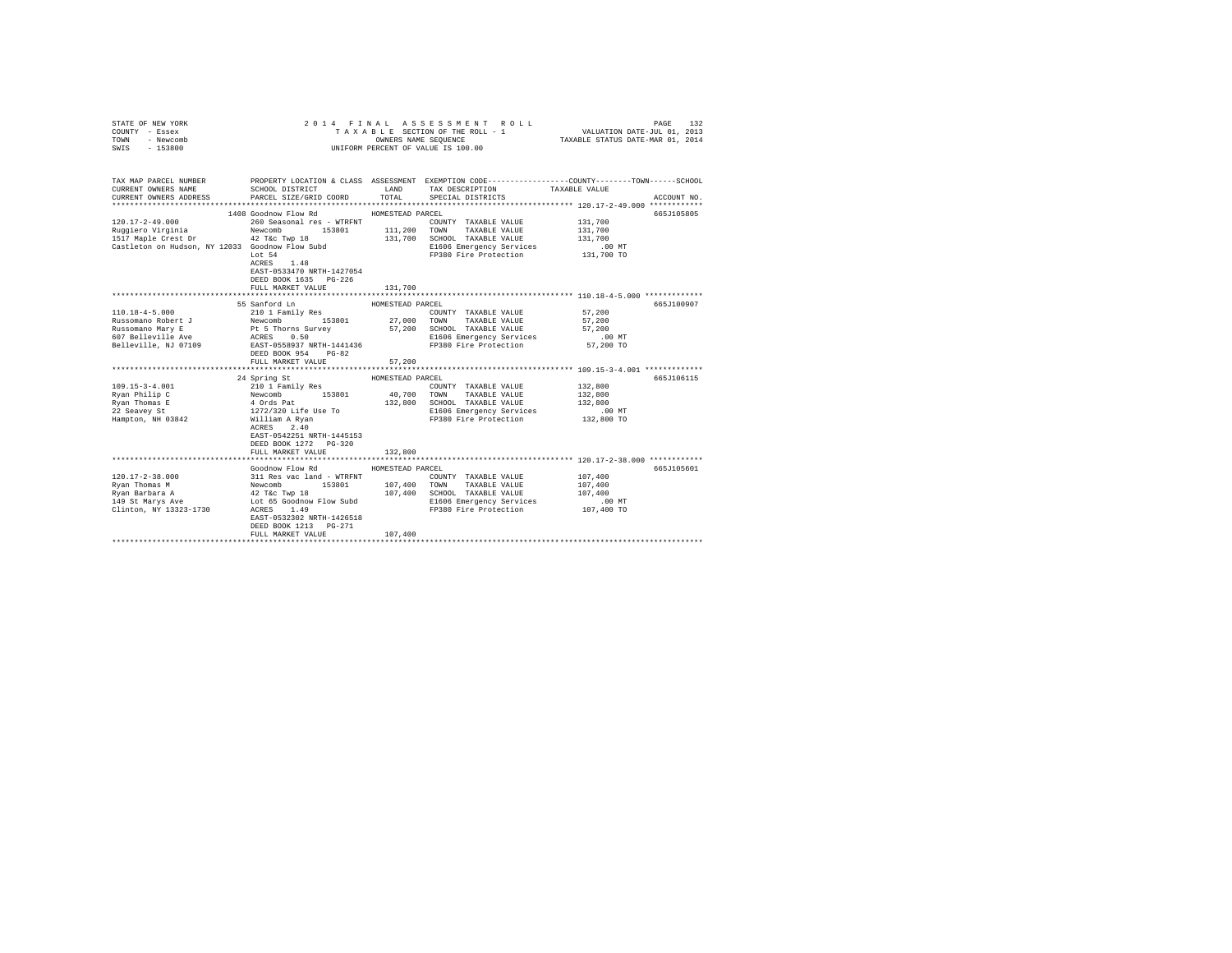| COUNTY - Essex<br>TOWN<br>- Newcomb<br>SWIS<br>$-153800$                                                                                                                                                                                                                     | UNIFORM PERCENT OF VALUE IS 100.00                                                                                                                                                                       |                  |                                                                                         |                                                                                                                                                      |
|------------------------------------------------------------------------------------------------------------------------------------------------------------------------------------------------------------------------------------------------------------------------------|----------------------------------------------------------------------------------------------------------------------------------------------------------------------------------------------------------|------------------|-----------------------------------------------------------------------------------------|------------------------------------------------------------------------------------------------------------------------------------------------------|
| CURRENT OWNERS NAME<br>CURRENT OWNERS ADDRESS                                                                                                                                                                                                                                | SCHOOL DISTRICT LAND<br>PARCEL SIZE/GRID COORD                                                                                                                                                           | TOTAL            | TAX DESCRIPTION<br>SPECIAL DISTRICTS                                                    | TAX MAP PARCEL NUMBER PROPERTY LOCATION & CLASS ASSESSMENT EXEMPTION CODE---------------COUNTY-------TOWN-----SCHOOL<br>TAXABLE VALUE<br>ACCOUNT NO. |
|                                                                                                                                                                                                                                                                              | 1408 Goodnow Flow Rd                                                                                                                                                                                     | HOMESTEAD PARCEL |                                                                                         | 665J105805                                                                                                                                           |
| 120.17-2-49.000                                                                                                                                                                                                                                                              | 260 Seasonal res - WTRFNT                                                                                                                                                                                |                  | COUNTY TAXABLE VALUE                                                                    | 131,700                                                                                                                                              |
|                                                                                                                                                                                                                                                                              |                                                                                                                                                                                                          |                  | 153801 11,200 TOWN TAXABLE VALUE<br>MP 18 131,700 SCHOOL TAXABLE VALUE<br>TAXABLE VALUE | 131,700<br>131,700                                                                                                                                   |
|                                                                                                                                                                                                                                                                              |                                                                                                                                                                                                          |                  |                                                                                         |                                                                                                                                                      |
| Castleton on Hudson, NY 12033 Goodnow Flow Subd                                                                                                                                                                                                                              |                                                                                                                                                                                                          |                  | E1606 Emergency Services .00 MT<br>FP380 Fire Protection 131,700 TO                     |                                                                                                                                                      |
|                                                                                                                                                                                                                                                                              | Lot 54<br>$ACRES$ 1.48<br>EAST-0533470 NRTH-1427054<br>DEED BOOK 1635 PG-226<br>FULL MARKET VALUE                                                                                                        | 131,700          |                                                                                         |                                                                                                                                                      |
|                                                                                                                                                                                                                                                                              |                                                                                                                                                                                                          |                  |                                                                                         |                                                                                                                                                      |
|                                                                                                                                                                                                                                                                              | 55 Sanford Ln                                                                                                                                                                                            | HOMESTEAD PARCEL |                                                                                         | 665J100907                                                                                                                                           |
| $110.18 - 4 - 5.000$                                                                                                                                                                                                                                                         | 210 1 Family Res                                                                                                                                                                                         |                  | COUNTY TAXABLE VALUE                                                                    | 57,200                                                                                                                                               |
|                                                                                                                                                                                                                                                                              |                                                                                                                                                                                                          |                  |                                                                                         |                                                                                                                                                      |
|                                                                                                                                                                                                                                                                              |                                                                                                                                                                                                          |                  |                                                                                         |                                                                                                                                                      |
|                                                                                                                                                                                                                                                                              |                                                                                                                                                                                                          |                  | E1606 Emergency Services .00 MT<br>FP380 Fire Protection  57,200 TO                     |                                                                                                                                                      |
| 110.18-4-5.000<br>Russomano Robert J<br>$\begin{tabular}{lcl} R10.18-4-5.0001& R10.011& R20.011& R3.001& R4.001& R5.001& R5.001& R6.001& R7.001& R8.001& R8.001& R8.001& R8.001& R8.001& R8.001& R8.001& R8.001& R8.001& R8.001& R8.001& R8.001& R8.001& R8.001&$            |                                                                                                                                                                                                          |                  |                                                                                         |                                                                                                                                                      |
|                                                                                                                                                                                                                                                                              | FULL MARKET VALUE                                                                                                                                                                                        | 57,200           |                                                                                         | **************************** 109.15-3-4.001 *************                                                                                            |
|                                                                                                                                                                                                                                                                              | 24 Spring St                                                                                                                                                                                             | HOMESTEAD PARCEL |                                                                                         | 665J106115                                                                                                                                           |
| $109.15 - 3 - 4.001$                                                                                                                                                                                                                                                         | 210 1 Family Res<br>Newcomb 153801 40,700 TOMNY TAXABLE VALUE<br>4 Ords Pat 153801 40,700 TOMN TAXABLE VALUE<br>4 Ords Pat 132,800 SCHOOL TAXABLE VALUE<br>1272/320 Life Use To E1606 Emergency Services |                  | COUNTY TAXABLE VALUE                                                                    | 132,800                                                                                                                                              |
| Ryan Philip C                                                                                                                                                                                                                                                                |                                                                                                                                                                                                          |                  |                                                                                         | 132,800                                                                                                                                              |
|                                                                                                                                                                                                                                                                              |                                                                                                                                                                                                          |                  |                                                                                         |                                                                                                                                                      |
| Ryan Thomas E<br>22 Seavey St                                                                                                                                                                                                                                                |                                                                                                                                                                                                          |                  | 132,800 SCHOOL TAXABLE VALUE 132,800<br>E1606 Emergency Services .00 MT                 |                                                                                                                                                      |
| Hampton, NH 03842                                                                                                                                                                                                                                                            |                                                                                                                                                                                                          |                  | FP380 Fire Protection 132,800 TO                                                        |                                                                                                                                                      |
|                                                                                                                                                                                                                                                                              | William A Ryan<br>ACRES 2.40<br>EAST-0542251 NRTH-1445153<br>DEED BOOK 1272 PG-320<br>FULL MARKET VALUE                                                                                                  | 132,800          |                                                                                         |                                                                                                                                                      |
|                                                                                                                                                                                                                                                                              |                                                                                                                                                                                                          |                  |                                                                                         |                                                                                                                                                      |
|                                                                                                                                                                                                                                                                              | Goodnow Flow Rd                                                                                                                                                                                          | HOMESTEAD PARCEL |                                                                                         | 665J105601                                                                                                                                           |
| $[120.17-2-38.000] \begin{tabular}{lcccc} 120.17-2-38.000 & 311\mbox{Res vac when} & 107.400 & 153801 & 107.400 & 153801 & 107.400 & 153801 & 107.400 & 153801 & 107.400 & 153801 & 107.400 & 153801 & 107.400 & 153801 & 107.400 & 107.400 & 107.400 & 107.400 & 107.400 &$ |                                                                                                                                                                                                          |                  |                                                                                         |                                                                                                                                                      |
|                                                                                                                                                                                                                                                                              |                                                                                                                                                                                                          |                  |                                                                                         |                                                                                                                                                      |
|                                                                                                                                                                                                                                                                              |                                                                                                                                                                                                          |                  |                                                                                         |                                                                                                                                                      |
|                                                                                                                                                                                                                                                                              |                                                                                                                                                                                                          |                  |                                                                                         |                                                                                                                                                      |
| Clinton, NY 13323-1730 ACRES 1.49                                                                                                                                                                                                                                            |                                                                                                                                                                                                          |                  |                                                                                         |                                                                                                                                                      |
|                                                                                                                                                                                                                                                                              | EAST-0532302 NRTH-1426518<br>DEED BOOK 1213 PG-271<br>FULL MARKET VALUE                                                                                                                                  | 107,400          |                                                                                         |                                                                                                                                                      |
|                                                                                                                                                                                                                                                                              |                                                                                                                                                                                                          |                  |                                                                                         |                                                                                                                                                      |

STATE OF NEW YORK 2014 FINAL ASSESSMENT ROLL PAGE 132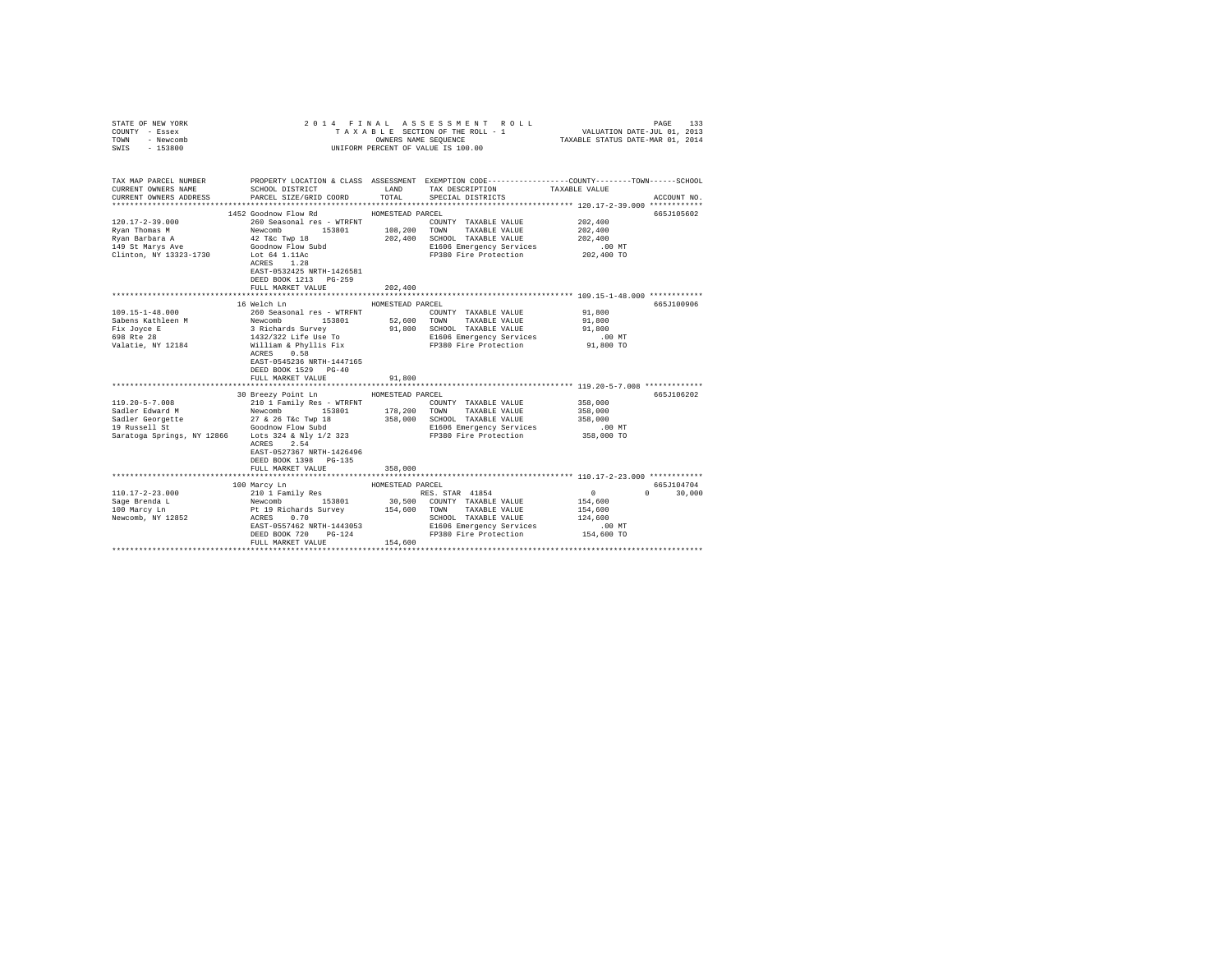| STATE OF NEW YORK<br>COUNTY - Essex<br>TOWN<br>- Newcomb<br>$-153800$<br>SWIS | 2014 FINAL ASSESSMENT ROLL<br>TAXABLE SECTION OF THE ROLL - 1<br>UNIFORM PERCENT OF VALUE IS 100.00 | PAGE<br>3 L E SECTION OF THE ROLL - 1 VALUATION DATE-JUL 01, 2013<br>OWNERS NAME SEQUENCE - 1 TAXABLE STATUS DATE-MAR 01, 2014 | 133                                                        |                                                                                                 |             |
|-------------------------------------------------------------------------------|-----------------------------------------------------------------------------------------------------|--------------------------------------------------------------------------------------------------------------------------------|------------------------------------------------------------|-------------------------------------------------------------------------------------------------|-------------|
|                                                                               |                                                                                                     |                                                                                                                                |                                                            |                                                                                                 |             |
| TAX MAP PARCEL NUMBER                                                         |                                                                                                     |                                                                                                                                |                                                            | PROPERTY LOCATION & CLASS ASSESSMENT EXEMPTION CODE---------------COUNTY-------TOWN------SCHOOL |             |
| CURRENT OWNERS NAME                                                           | SCHOOL DISTRICT TAND TAX DESCRIPTION                                                                |                                                                                                                                |                                                            | TAXABLE VALUE                                                                                   |             |
| CURRENT OWNERS ADDRESS                                                        | PARCEL SIZE/GRID COORD                                                                              | TOTAL                                                                                                                          | SPECIAL DISTRICTS                                          |                                                                                                 | ACCOUNT NO. |
|                                                                               | 1452 Goodnow Flow Rd                                                                                | HOMESTEAD PARCEL                                                                                                               |                                                            |                                                                                                 | 665J105602  |
| $120.17 - 2 - 39.000$                                                         | 260 Seasonal res - WTRFNT                                                                           |                                                                                                                                | COUNTY TAXABLE VALUE                                       | 202,400                                                                                         |             |
| Ryan Thomas M                                                                 | Newcomb 153801                                                                                      |                                                                                                                                |                                                            | 202,400                                                                                         |             |
| Ryan Barbara A                                                                |                                                                                                     |                                                                                                                                | 108,200 TOWN TAXABLE VALUE<br>202,400 SCHOOL TAXABLE VALUE | 202,400                                                                                         |             |
| 149 St Marys Ave                                                              | 42 T&C Twp 18<br>Goodnow Flow Subd                                                                  |                                                                                                                                | E1606 Emergency Services                                   | $.00$ MT                                                                                        |             |
| Clinton, NY 13323-1730 Lot 64 1.11Ac                                          |                                                                                                     |                                                                                                                                | FP380 Fire Protection 202,400 TO                           |                                                                                                 |             |
|                                                                               | ACRES 1.28                                                                                          |                                                                                                                                |                                                            |                                                                                                 |             |
|                                                                               | EAST-0532425 NRTH-1426581<br>DEED BOOK 1213 PG-259                                                  |                                                                                                                                |                                                            |                                                                                                 |             |
|                                                                               | FULL MARKET VALUE                                                                                   | 202,400                                                                                                                        |                                                            |                                                                                                 |             |
|                                                                               |                                                                                                     |                                                                                                                                |                                                            | ******************************** 109.15-1-48.000 ************                                   |             |
|                                                                               | 16 Welch Ln                                                                                         | HOMESTEAD PARCEL                                                                                                               |                                                            |                                                                                                 | 665J100906  |
| 109.15-1-48.000                                                               | 260 Seasonal res - WTRFNT                                                                           |                                                                                                                                | COUNTY TAXABLE VALUE                                       | 91,800                                                                                          |             |
| Sabens Kathleen M                                                             | Newcomb<br>153801                                                                                   |                                                                                                                                | 52,600 TOWN TAXABLE VALUE                                  | 91,800                                                                                          |             |
| Fix Joyce E<br>698 Rte 28                                                     |                                                                                                     |                                                                                                                                | 91,800 SCHOOL TAXABLE VALUE                                | 91,800                                                                                          |             |
| Valatie, NY 12184                                                             | 3 Richards Survey<br>1432/322 Life Use To<br>William & Phyllis Fix                                  |                                                                                                                                | E1606 Emergency Services<br>FP380 Fire Protection          | $.00$ MT<br>91,800 TO                                                                           |             |
|                                                                               | ACRES 0.58                                                                                          |                                                                                                                                |                                                            |                                                                                                 |             |
|                                                                               | EAST-0545236 NRTH-1447165                                                                           |                                                                                                                                |                                                            |                                                                                                 |             |
|                                                                               | DEED BOOK 1529 PG-40                                                                                |                                                                                                                                |                                                            |                                                                                                 |             |
|                                                                               | FULL MARKET VALUE                                                                                   | 91,800                                                                                                                         |                                                            |                                                                                                 |             |
|                                                                               |                                                                                                     |                                                                                                                                |                                                            |                                                                                                 |             |
|                                                                               | 30 Breezy Point Ln HOMESTEAD PARCEL                                                                 |                                                                                                                                |                                                            |                                                                                                 | 665J106202  |
| 119.20-5-7.008                                                                | 210 1 Family Res - WTRFNT                                                                           |                                                                                                                                | COUNTY TAXABLE VALUE                                       | 358,000                                                                                         |             |
|                                                                               |                                                                                                     | 358,000                                                                                                                        | 178,200 TOWN TAXABLE VALUE<br>SCHOOL TAXABLE VALUE         | 358,000<br>358,000                                                                              |             |
|                                                                               |                                                                                                     |                                                                                                                                | E1606 Emergency Services                                   | $.00$ MT                                                                                        |             |
|                                                                               | Saratoga Springs, NY 12866 Lots 324 & Nly 1/2 323                                                   |                                                                                                                                | FP380 Fire Protection                                      | 358,000 TO                                                                                      |             |
|                                                                               | ACRES 2.54                                                                                          |                                                                                                                                |                                                            |                                                                                                 |             |
|                                                                               | EAST-0527367 NRTH-1426496                                                                           |                                                                                                                                |                                                            |                                                                                                 |             |
|                                                                               | DEED BOOK 1398 PG-135                                                                               |                                                                                                                                |                                                            |                                                                                                 |             |
|                                                                               | FULL MARKET VALUE                                                                                   | 358,000                                                                                                                        |                                                            |                                                                                                 |             |
|                                                                               |                                                                                                     |                                                                                                                                |                                                            |                                                                                                 | 665J104704  |
| $110.17 - 2 - 23.000$                                                         |                                                                                                     |                                                                                                                                |                                                            | $\sim$ 0 $\sim$<br>$\Omega$                                                                     | 30,000      |
| Sage Brenda L                                                                 |                                                                                                     |                                                                                                                                |                                                            | 154,600                                                                                         |             |
| 100 Marcy Ln                                                                  |                                                                                                     |                                                                                                                                |                                                            | 154,600                                                                                         |             |
| Newcomb, NY 12852                                                             |                                                                                                     |                                                                                                                                | SCHOOL TAXABLE VALUE                                       | 124,600                                                                                         |             |
|                                                                               | EAST-0557462 NRTH-1443053                                                                           |                                                                                                                                | E1606 Emergency Services                                   | $.00$ MT                                                                                        |             |
|                                                                               | DEED BOOK 720<br>$PG-124$                                                                           |                                                                                                                                | FP380 Fire Protection                                      | 154,600 TO                                                                                      |             |
|                                                                               | FULL MARKET VALUE                                                                                   | 154,600                                                                                                                        |                                                            |                                                                                                 |             |
|                                                                               |                                                                                                     |                                                                                                                                |                                                            |                                                                                                 |             |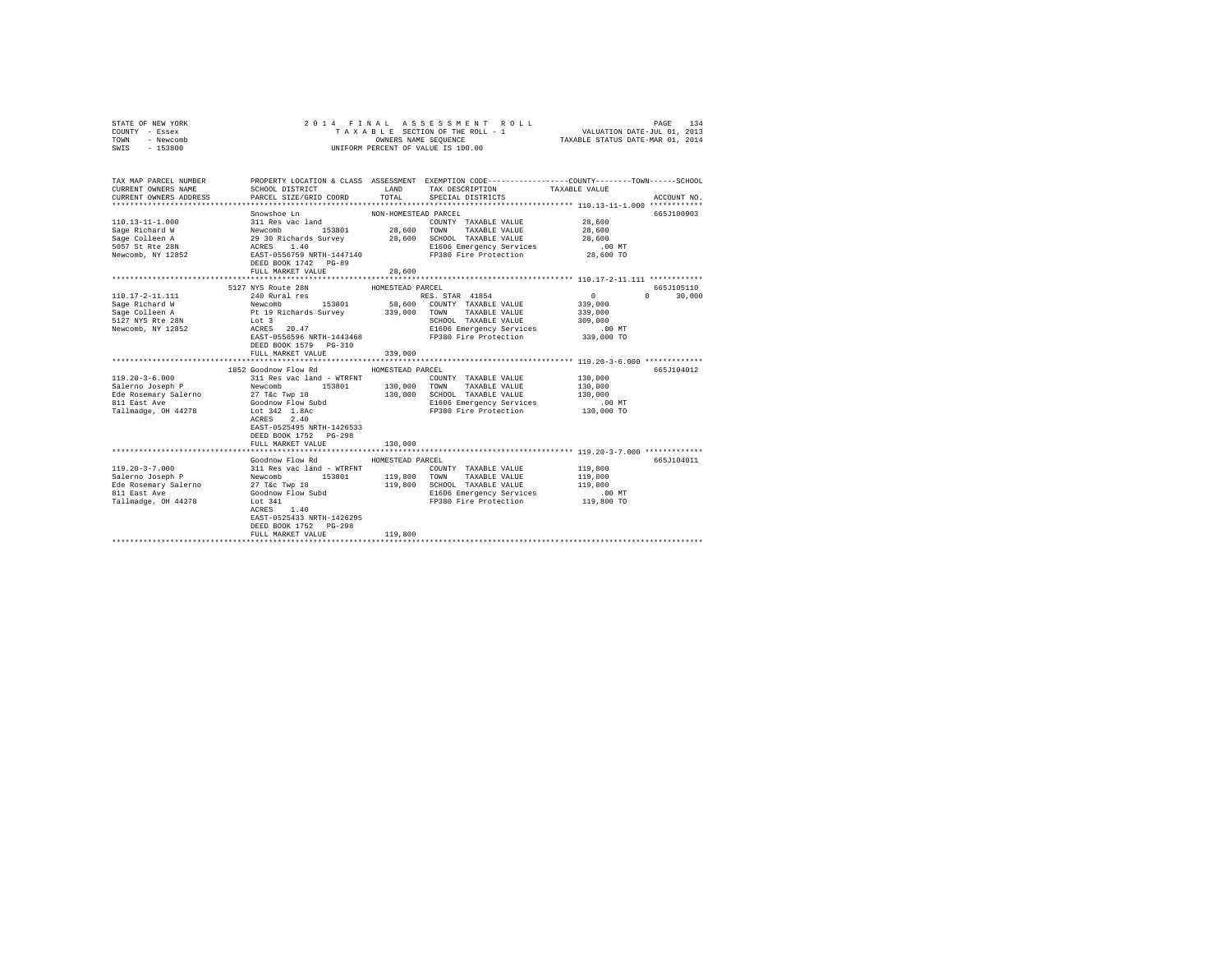| STATE OF NEW YORK<br>COUNTY - Essex<br>TOWN<br>- Newcomb<br>SWIS<br>$-153800$ | 2014 FINAL ASSESSMENT ROLL<br>UNIFORM PERCENT OF VALUE IS 100.00                           |                      |                                                   | PAGE                                                                                                             | 134           |
|-------------------------------------------------------------------------------|--------------------------------------------------------------------------------------------|----------------------|---------------------------------------------------|------------------------------------------------------------------------------------------------------------------|---------------|
|                                                                               |                                                                                            |                      |                                                   |                                                                                                                  |               |
| TAX MAP PARCEL NUMBER<br>CURRENT OWNERS NAME                                  | SCHOOL DISTRICT                                                                            | LAND                 | TAX DESCRIPTION                                   | PROPERTY LOCATION & CLASS ASSESSMENT EXEMPTION CODE---------------COUNTY-------TOWN------SCHOOL<br>TAXABLE VALUE |               |
| CURRENT OWNERS ADDRESS                                                        | PARCEL SIZE/GRID COORD                                                                     | TOTAL                | SPECIAL DISTRICTS                                 |                                                                                                                  | ACCOUNT NO.   |
|                                                                               |                                                                                            |                      |                                                   |                                                                                                                  |               |
|                                                                               | Snowshoe Ln                                                                                | NON-HOMESTEAD PARCEL |                                                   |                                                                                                                  | 665J100903    |
| $110.13 - 11 - 1.000$                                                         | 311 Res vac land                                                                           |                      | COUNTY TAXABLE VALUE                              | 28,600                                                                                                           |               |
| Sage Richard W                                                                |                                                                                            | 28,600 TOWN          | TAXABLE VALUE                                     | 28,600                                                                                                           |               |
| Sage Colleen A                                                                |                                                                                            |                      | 28,600 SCHOOL TAXABLE VALUE                       | 28,600                                                                                                           |               |
| 5057 St Rte 28N                                                               | Newcomb 153801 28,<br>29 30 Richards Survey 28,<br>ACRES 1.40<br>EAST-0556759 NRTH-1447140 |                      | E1606 Emergency Services                          | $.00$ MT                                                                                                         |               |
| Newcomb, NY 12852                                                             | DEED BOOK 1742 PG-89                                                                       |                      | FP380 Fire Protection                             | 28,600 TO                                                                                                        |               |
|                                                                               | FULL MARKET VALUE                                                                          | 28,600               |                                                   |                                                                                                                  |               |
|                                                                               |                                                                                            |                      |                                                   |                                                                                                                  |               |
|                                                                               | 5127 NYS Route 28N                                                                         | HOMESTEAD PARCEL     |                                                   |                                                                                                                  | 665J105110    |
| 110.17-2-11.111                                                               | 240 Rural res                                                                              |                      | RES. STAR 41854                                   | $\sim$ 0                                                                                                         | $0 \t 30.000$ |
| Sage Richard W                                                                |                                                                                            |                      | 58,600 COUNTY TAXABLE VALUE                       | 339,000                                                                                                          |               |
| Sage Colleen A                                                                | Newcomb 153801<br>Pt 19 Richards Survey                                                    |                      | 339,000 TOWN TAXABLE VALUE                        | 339,000                                                                                                          |               |
| 5127 NYS Rte 28N                                                              | $Lot 3$<br>ACRES 20.47                                                                     |                      | SCHOOL TAXABLE VALUE                              | 309,000                                                                                                          |               |
| Newcomb, NY 12852                                                             |                                                                                            |                      | E1606 Emergency Services                          | .00 MT                                                                                                           |               |
|                                                                               | EAST-0556596 NRTH-1443468                                                                  |                      | FP380 Fire Protection                             | 339,000 TO                                                                                                       |               |
|                                                                               | DEED BOOK 1579 PG-310                                                                      |                      |                                                   |                                                                                                                  |               |
|                                                                               | FULL MARKET VALUE                                                                          | 339,000              |                                                   |                                                                                                                  |               |
|                                                                               |                                                                                            |                      |                                                   |                                                                                                                  |               |
| $119.20 - 3 - 6.000$                                                          | 1852 Goodnow Flow Rd<br>311 Res vac land - WTRFNT                                          | HOMESTEAD PARCEL     |                                                   |                                                                                                                  | 665J104012    |
| Salerno Joseph P                                                              | Newcomb 153801                                                                             | 130,000 TOWN         | COUNTY TAXABLE VALUE                              | 130,000                                                                                                          |               |
|                                                                               |                                                                                            | 130,000              | TAXABLE VALUE<br>SCHOOL TAXABLE VALUE             | 130,000<br>130,000                                                                                               |               |
|                                                                               |                                                                                            |                      | E1606 Emergency Services                          | .00 MT                                                                                                           |               |
| Tallmadge, OH 44278                                                           | Lot 342 1.8Ac                                                                              |                      | FP380 Fire Protection                             | 130,000 TO                                                                                                       |               |
|                                                                               | ACRES 2.40                                                                                 |                      |                                                   |                                                                                                                  |               |
|                                                                               | EAST-0525495 NRTH-1426533                                                                  |                      |                                                   |                                                                                                                  |               |
|                                                                               | DEED BOOK 1752 PG-298                                                                      |                      |                                                   |                                                                                                                  |               |
|                                                                               | FULL MARKET VALUE                                                                          | 130,000              |                                                   |                                                                                                                  |               |
|                                                                               |                                                                                            |                      |                                                   | ******************************** 119.20-3-7.000 *************                                                    |               |
|                                                                               | Goodnow Flow Rd                                                                            | HOMESTEAD PARCEL     |                                                   |                                                                                                                  | 665J104011    |
| $119.20 - 3 - 7.000$                                                          | 311 Res vac land - WTRFNT                                                                  |                      | COUNTY TAXABLE VALUE                              | 119,800                                                                                                          |               |
| Salerno Joseph P                                                              | Newcomb<br>153801                                                                          | 119,800 TOWN         | TAXABLE VALUE                                     | 119,800                                                                                                          |               |
| Ede Rosemary Salerno                                                          | 27 T&c Twp 18                                                                              | 119,800              | SCHOOL TAXABLE VALUE                              | 119,800                                                                                                          |               |
| 811 East Ave                                                                  | Goodnow Flow Subd                                                                          |                      | E1606 Emergency Services<br>FP380 Fire Protection | .00 MT<br>119,800 TO                                                                                             |               |
| Tallmadge, OH 44278                                                           | Lot $341$<br>ACRES 1.40                                                                    |                      |                                                   |                                                                                                                  |               |
|                                                                               | EAST-0525433 NRTH-1426295                                                                  |                      |                                                   |                                                                                                                  |               |
|                                                                               | DEED BOOK 1752 PG-298                                                                      |                      |                                                   |                                                                                                                  |               |
|                                                                               | FULL MARKET VALUE                                                                          | 119,800              |                                                   |                                                                                                                  |               |
|                                                                               | *****************************                                                              |                      |                                                   |                                                                                                                  |               |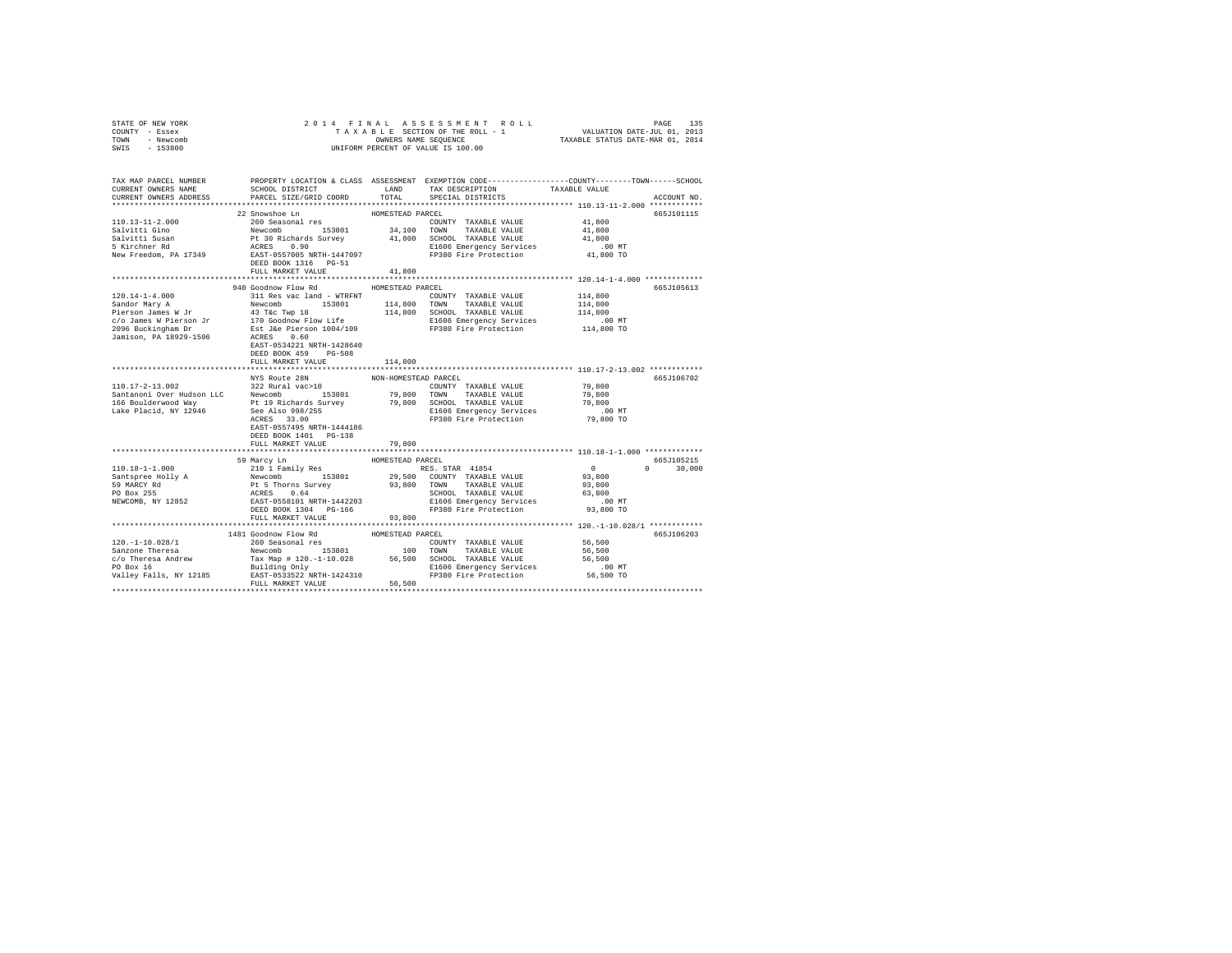| STATE OF NEW YORK | 2014 FINAL ASSESSMENT ROLL         | 135<br>PAGE                      |
|-------------------|------------------------------------|----------------------------------|
| COUNTY - Essex    | TAXABLE SECTION OF THE ROLL - 1    | VALUATION DATE-JUL 01, 2013      |
| TOWN<br>- Newcomb | OWNERS NAME SEOUENCE               | TAXABLE STATUS DATE-MAR 01, 2014 |
| $-153800$<br>SWIS | UNIFORM PERCENT OF VALUE IS 100.00 |                                  |

| TAX MAP PARCEL NUMBER<br>CURRENT OWNERS NAME<br>CURRENT OWNERS ADDRESS                                                                                                                                                                                                                                                                                               | SCHOOL DISTRICT<br>PARCEL SIZE/GRID COORD | LAND<br>TOTAL        | PROPERTY LOCATION & CLASS ASSESSMENT EXEMPTION CODE----------------COUNTY-------TOWN------SCHOOL<br>TAX DESCRIPTION<br>SPECIAL DISTRICTS | TAXABLE VALUE                          | ACCOUNT NO. |
|----------------------------------------------------------------------------------------------------------------------------------------------------------------------------------------------------------------------------------------------------------------------------------------------------------------------------------------------------------------------|-------------------------------------------|----------------------|------------------------------------------------------------------------------------------------------------------------------------------|----------------------------------------|-------------|
|                                                                                                                                                                                                                                                                                                                                                                      |                                           |                      |                                                                                                                                          |                                        |             |
|                                                                                                                                                                                                                                                                                                                                                                      | 22 Snowshoe Ln                            | HOMESTEAD PARCEL     |                                                                                                                                          |                                        | 665J101115  |
|                                                                                                                                                                                                                                                                                                                                                                      |                                           |                      |                                                                                                                                          | 41,800                                 |             |
|                                                                                                                                                                                                                                                                                                                                                                      |                                           |                      |                                                                                                                                          | 41,800                                 |             |
|                                                                                                                                                                                                                                                                                                                                                                      |                                           |                      |                                                                                                                                          | 41,800                                 |             |
|                                                                                                                                                                                                                                                                                                                                                                      |                                           |                      |                                                                                                                                          | .00 MT                                 |             |
|                                                                                                                                                                                                                                                                                                                                                                      |                                           |                      | FP380 Fire Protection 41,800 TO                                                                                                          |                                        |             |
|                                                                                                                                                                                                                                                                                                                                                                      | DEED BOOK 1316 PG-51                      |                      |                                                                                                                                          |                                        |             |
|                                                                                                                                                                                                                                                                                                                                                                      | FULL MARKET VALUE                         | 41,800               |                                                                                                                                          |                                        |             |
|                                                                                                                                                                                                                                                                                                                                                                      |                                           |                      |                                                                                                                                          |                                        |             |
|                                                                                                                                                                                                                                                                                                                                                                      | 940 Goodnow Flow Rd                       | HOMESTEAD PARCEL     |                                                                                                                                          |                                        | 665J105613  |
|                                                                                                                                                                                                                                                                                                                                                                      |                                           |                      | COUNTY TAXABLE VALUE                                                                                                                     | 114,800                                |             |
|                                                                                                                                                                                                                                                                                                                                                                      |                                           |                      | 114,800 TOWN TAXABLE VALUE<br>114,800 SCHOOL TAXABLE VALUE                                                                               | 114,800                                |             |
|                                                                                                                                                                                                                                                                                                                                                                      |                                           |                      |                                                                                                                                          | 114,800                                |             |
|                                                                                                                                                                                                                                                                                                                                                                      |                                           |                      | E1606 Emergency Services .00 MT<br>FP380 Fire Protection  114,800 TO                                                                     |                                        |             |
|                                                                                                                                                                                                                                                                                                                                                                      |                                           |                      |                                                                                                                                          |                                        |             |
|                                                                                                                                                                                                                                                                                                                                                                      | EAST-0534221 NRTH-1428640                 |                      |                                                                                                                                          |                                        |             |
|                                                                                                                                                                                                                                                                                                                                                                      | DEED BOOK 459 PG-508                      |                      |                                                                                                                                          |                                        |             |
|                                                                                                                                                                                                                                                                                                                                                                      | FULL MARKET VALUE                         | 114,800              |                                                                                                                                          |                                        |             |
|                                                                                                                                                                                                                                                                                                                                                                      |                                           |                      |                                                                                                                                          |                                        |             |
|                                                                                                                                                                                                                                                                                                                                                                      | NYS Route 28N                             | NON-HOMESTEAD PARCEL |                                                                                                                                          |                                        | 665J106702  |
|                                                                                                                                                                                                                                                                                                                                                                      |                                           |                      | COUNTY TAXABLE VALUE                                                                                                                     | 79,800                                 |             |
| $\begin{tabular}{lllllllllllll} \texttt{110.17--2--13.002} & \texttt{322 Rural vac}>10 & \texttt{32.001} & \texttt{32.01} & \texttt{32.01} & \texttt{32.01} & \texttt{32.01} & \texttt{32.02} & \texttt{32.02} & \texttt{32.03} & \texttt{32.03} & \texttt{32.03} & \texttt{32.03} & \texttt{32.03} & \texttt{32.03} & \texttt{32.03} & \texttt{32.03} & \texttt{32$ |                                           |                      |                                                                                                                                          | 79,800                                 |             |
|                                                                                                                                                                                                                                                                                                                                                                      |                                           |                      | 79,800 TOWN TAXABLE VALUE<br>79,800 SCHOOL TAXABLE VALUE                                                                                 | 79,800                                 |             |
|                                                                                                                                                                                                                                                                                                                                                                      |                                           |                      |                                                                                                                                          |                                        |             |
|                                                                                                                                                                                                                                                                                                                                                                      |                                           |                      |                                                                                                                                          |                                        |             |
|                                                                                                                                                                                                                                                                                                                                                                      | EAST-0557495 NRTH-1444186                 |                      |                                                                                                                                          |                                        |             |
|                                                                                                                                                                                                                                                                                                                                                                      | DEED BOOK 1401 PG-138                     |                      |                                                                                                                                          |                                        |             |
|                                                                                                                                                                                                                                                                                                                                                                      | FULL MARKET VALUE                         | 79,800               |                                                                                                                                          |                                        |             |
|                                                                                                                                                                                                                                                                                                                                                                      |                                           |                      |                                                                                                                                          |                                        |             |
|                                                                                                                                                                                                                                                                                                                                                                      | 59 Marcy Ln                               | HOMESTEAD PARCEL     |                                                                                                                                          |                                        | 665-105215  |
|                                                                                                                                                                                                                                                                                                                                                                      |                                           |                      |                                                                                                                                          | $\Omega$                               | 30,000      |
|                                                                                                                                                                                                                                                                                                                                                                      |                                           |                      |                                                                                                                                          | $\begin{array}{c}0\\93,800\end{array}$ |             |
|                                                                                                                                                                                                                                                                                                                                                                      |                                           |                      |                                                                                                                                          | 93,800                                 |             |
|                                                                                                                                                                                                                                                                                                                                                                      |                                           |                      |                                                                                                                                          | 63,800                                 |             |
|                                                                                                                                                                                                                                                                                                                                                                      |                                           |                      |                                                                                                                                          | MT.<br>93,800 TO                       |             |
|                                                                                                                                                                                                                                                                                                                                                                      |                                           |                      |                                                                                                                                          |                                        |             |
|                                                                                                                                                                                                                                                                                                                                                                      | FULL MARKET VALUE                         | 93,800               |                                                                                                                                          |                                        |             |
|                                                                                                                                                                                                                                                                                                                                                                      |                                           |                      |                                                                                                                                          |                                        |             |
|                                                                                                                                                                                                                                                                                                                                                                      |                                           |                      |                                                                                                                                          |                                        | 665J106203  |
|                                                                                                                                                                                                                                                                                                                                                                      |                                           |                      | COUNTY TAXABLE VALUE 56,500                                                                                                              |                                        |             |
|                                                                                                                                                                                                                                                                                                                                                                      |                                           |                      |                                                                                                                                          | 56,500                                 |             |
|                                                                                                                                                                                                                                                                                                                                                                      |                                           |                      |                                                                                                                                          | 56,500                                 |             |
|                                                                                                                                                                                                                                                                                                                                                                      |                                           |                      | E1606 Emergency Services .00 MT<br>FP380 Fire Protection 56,500 TO                                                                       |                                        |             |
|                                                                                                                                                                                                                                                                                                                                                                      |                                           |                      |                                                                                                                                          |                                        |             |
|                                                                                                                                                                                                                                                                                                                                                                      | FULL MARKET VALUE                         | 56,500               |                                                                                                                                          |                                        |             |
|                                                                                                                                                                                                                                                                                                                                                                      |                                           |                      |                                                                                                                                          |                                        |             |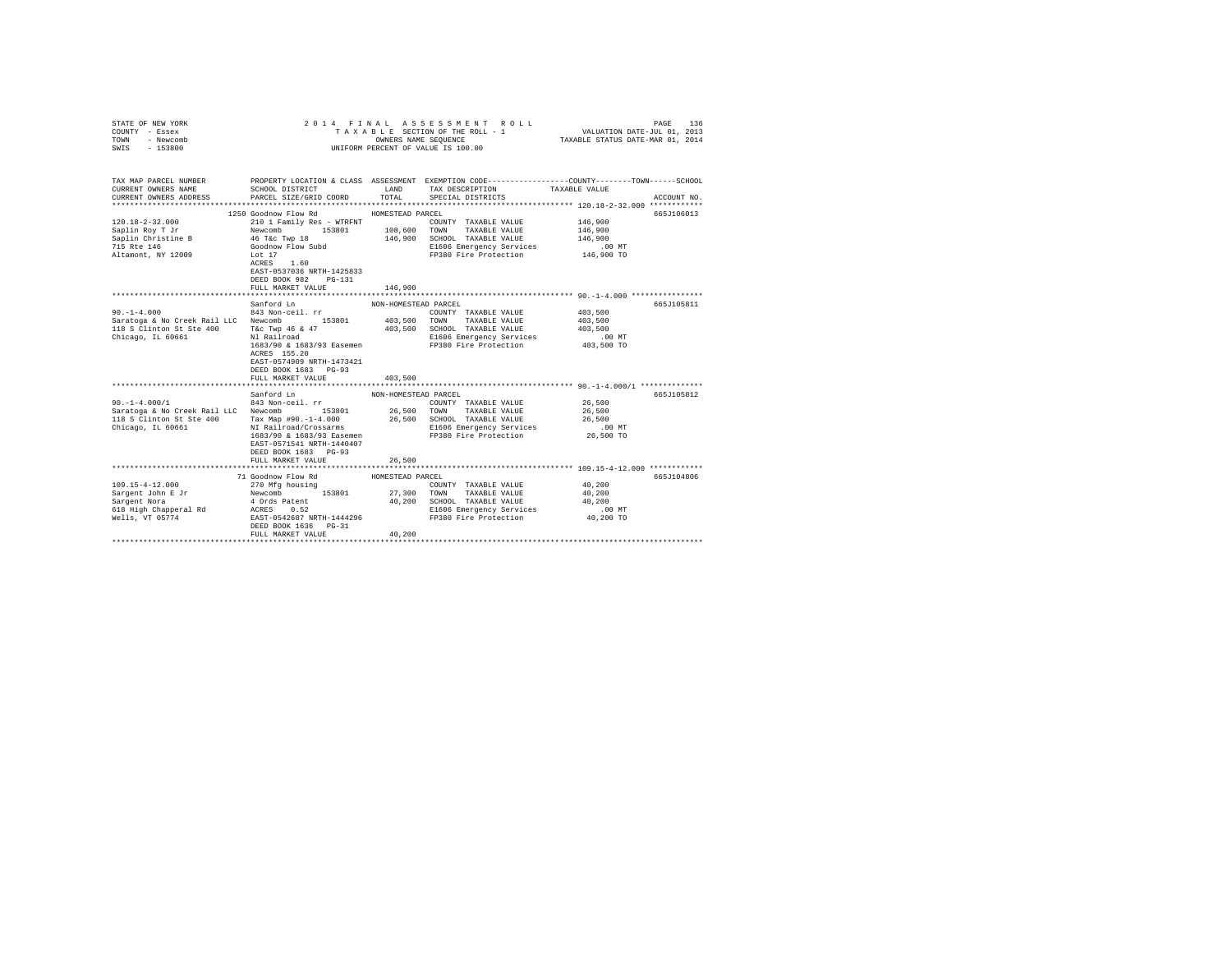| STATE OF NEW YORK<br>COUNTY - Essex<br>TOWN<br>- Newcomb<br>SWIS - 153800                                                                                              | 2014 FINAL ASSESSMENT ROLL<br>TAXABLE SECTION OF THE ROLL - 1<br>UNIFORM PERCENT OF VALUE IS 100.00                                                                                                                                                                                                                                                  | 136<br>PAGE<br>VALUATION DATE-JUL 01, 2013<br>TAXABLE STATUS DATE-MAR 01, 2014 |                                                                                                                                                                                                    |                                                                                                      |                          |
|------------------------------------------------------------------------------------------------------------------------------------------------------------------------|------------------------------------------------------------------------------------------------------------------------------------------------------------------------------------------------------------------------------------------------------------------------------------------------------------------------------------------------------|--------------------------------------------------------------------------------|----------------------------------------------------------------------------------------------------------------------------------------------------------------------------------------------------|------------------------------------------------------------------------------------------------------|--------------------------|
| TAX MAP PARCEL NUMBER PROPERTY LOCATION & CLASS ASSESSMENT EXEMPTION CODE---------------COUNTY-------TOWN------SCHOOL<br>CURRENT OWNERS NAME<br>CURRENT OWNERS ADDRESS | SCHOOL DISTRICT<br>PARCEL SIZE/GRID COORD                                                                                                                                                                                                                                                                                                            | LAND<br>TOTAL                                                                  | TAX DESCRIPTION<br>SPECIAL DISTRICTS                                                                                                                                                               | TAXABLE VALUE                                                                                        | ACCOUNT NO.              |
|                                                                                                                                                                        |                                                                                                                                                                                                                                                                                                                                                      |                                                                                |                                                                                                                                                                                                    |                                                                                                      |                          |
| $120.18 - 2 - 32.000$<br>Saplin Roy T Jr<br>Saplin Christine B<br>715 Rte 146<br>Altamont, NY 12009                                                                    | 1250 Goodnow Flow Rd<br>210 1 Family Res - WTRFNT<br>Newcomb 153801 108,600<br>46 T&C Twp 18 163801 146,900<br>Goodnow Flow Subd 146,900<br>Lot 17<br>$ACRES$ 1.60<br>EAST-0537036 NRTH-1425833                                                                                                                                                      | HOMESTEAD PARCEL                                                               | COUNTY TAXABLE VALUE<br>TOWN TAXABLE VALUE<br>146,900 SCHOOL TAXABLE VALUE<br>E1606 Emergency Services<br>FP380 Fire Protection                                                                    | 146,900<br>146,900<br>146,900<br>$.00$ MT<br>146,900 TO                                              | 665J106013               |
|                                                                                                                                                                        | DEED BOOK 982    PG-131<br>FULL MARKET VALUE                                                                                                                                                                                                                                                                                                         | 146,900                                                                        |                                                                                                                                                                                                    |                                                                                                      |                          |
| $90. -1 - 4.000$<br>Saratoga & No Creek Rail LLC Newcomb 153801<br>118 S Clinton St Ste 400<br>Chicago, IL 60661<br>$90. -1 - 4.000/1$<br>Chicago, IL 60661            | Sanford Ln<br>843 Non-ceil. rr<br>T&C Twp 46 & 47<br>Nl Railroad<br>ACRES 155.20<br>EAST-0574909 NRTH-1473421<br>DEED BOOK 1683 PG-93<br>FULL MARKET VALUE<br>Sanford Ln<br>843 Non-ceil. rr<br>Tax Map #90.-1-4.000<br>NI Railroad/Crossarms<br>1683/90 & 1683/93 Easemen<br>EAST-0571541 NRTH-1440407<br>DEED BOOK 1683 PG-93<br>FULL MARKET VALUE | NON-HOMESTEAD PARCEL<br>403,500<br>NON-HOMESTEAD PARCEL<br>26,500              | COUNTY TAXABLE VALUE<br>403,500 TOWN TAXABLE VALUE<br>403,500 SCHOOL TAXABLE VALUE<br>E1606 Emergency Services<br>COUNTY TAXABLE VALUE 26,500<br>E1606 Emergency Services<br>FP380 Fire Protection | 403,500<br>403,500<br>403,500<br>$.00$ MT<br>403,500 TO<br>26,500<br>26,500<br>$.00$ MT<br>26,500 TO | 665J105811<br>665J105812 |
|                                                                                                                                                                        | 71 Goodnow Flow Rd<br>DEED BOOK 1636 PG-31<br>FULL MARKET VALUE                                                                                                                                                                                                                                                                                      | HOMESTEAD PARCEL<br>40,200                                                     | E1606 Emergency Services                                                                                                                                                                           | 40,200<br>40,200<br>40,200<br>$.00$ MT<br>40,200 TO                                                  | 665J104806               |
|                                                                                                                                                                        |                                                                                                                                                                                                                                                                                                                                                      |                                                                                |                                                                                                                                                                                                    |                                                                                                      |                          |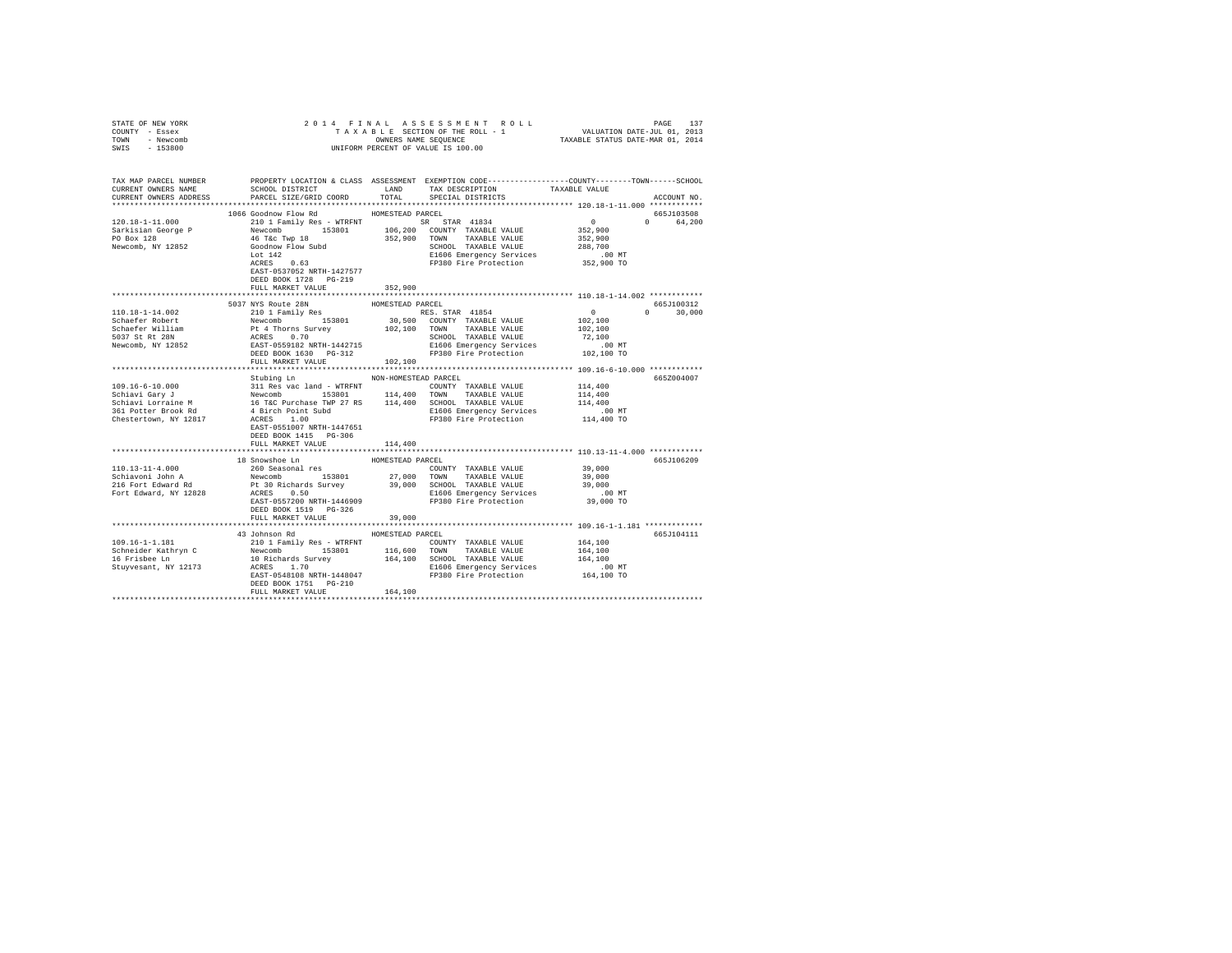| STATE OF NEW YORK<br>COUNTY - Essex<br>TOWN - Newcomb<br>SWIS - 153800 |                                                                                                                                                                                                                                                                                                                                                                                                                                              |                  | OWNERS NAME SEQUENCE<br>UNIFORM PERCENT OF VALUE IS 100.00                                                          |                      |                        |
|------------------------------------------------------------------------|----------------------------------------------------------------------------------------------------------------------------------------------------------------------------------------------------------------------------------------------------------------------------------------------------------------------------------------------------------------------------------------------------------------------------------------------|------------------|---------------------------------------------------------------------------------------------------------------------|----------------------|------------------------|
| CURRENT OWNERS ADDRESS                                                 | TAX MAP PARCEL NUMBER PROPERTY LOCATION & CLASS ASSESSMENT EXEMPTION CODE--------------COUNTY-------TOWN------SCHOOL<br>CURRENT OWNERS NAME SCHOOL DISTRICT LAND TAX DESCRIPTION TAXARLE VALUE<br>PARCEL SIZE/GRID COORD TOTAL                                                                                                                                                                                                               |                  | SCHOOL DISTRICT                      LAND        TAX DESCRIPTION                 TAXABLE VALUE<br>SPECIAL DISTRICTS |                      | ACCOUNT NO.            |
|                                                                        | 1066 Goodnow Flow Rd MOMESTEAD PARCEL<br>$[100.18-1-11.000] \begin{tabular}{lcccc} \texttt{100.18-1-11.000} & \texttt{100.0000} & \texttt{H000.000} & \texttt{H000.000} & \texttt{H000.000} & \texttt{H000.000} \\ \texttt{50.18-1} & \texttt{0.000} & \texttt{0.000} & \texttt{0.00} & \texttt{0.00} & \texttt{0.00} & \texttt{0.00} \\ \texttt{50.18-1} & \texttt{0.00} & \texttt{0$<br>EAST-0537052 NRTH-1427577<br>DEED BOOK 1728 PG-219 |                  |                                                                                                                     |                      | 665J103508<br>0 64,200 |
|                                                                        | FULL MARKET VALUE                                                                                                                                                                                                                                                                                                                                                                                                                            | 352,900          |                                                                                                                     |                      |                        |
|                                                                        | 5037 NYS Route 28N                                                                                                                                                                                                                                                                                                                                                                                                                           | HOMESTEAD PARCEL |                                                                                                                     |                      | 665J100312             |
|                                                                        |                                                                                                                                                                                                                                                                                                                                                                                                                                              |                  |                                                                                                                     |                      | $0 \t 30,000$          |
|                                                                        |                                                                                                                                                                                                                                                                                                                                                                                                                                              |                  |                                                                                                                     |                      |                        |
|                                                                        | Stubing Ln NON-HOMESTEAD PARCEL<br>EAST-0551007 NRTH-1447651<br>DEED BOOK 1415 PG-306<br>FULL MARKET VALUE                                                                                                                                                                                                                                                                                                                                   | 114,400          |                                                                                                                     |                      | 665Z004007             |
|                                                                        |                                                                                                                                                                                                                                                                                                                                                                                                                                              |                  |                                                                                                                     |                      |                        |
|                                                                        | 18 Snowshoe Ln<br>DEED BOOK 1519 PG-326                                                                                                                                                                                                                                                                                                                                                                                                      | HOMESTEAD PARCEL |                                                                                                                     |                      | 665J106209             |
|                                                                        | FULL MARKET VALUE                                                                                                                                                                                                                                                                                                                                                                                                                            | 39,000           |                                                                                                                     |                      |                        |
|                                                                        | 43 Johnson Rd MOMESTEAD PARCEL                                                                                                                                                                                                                                                                                                                                                                                                               |                  |                                                                                                                     |                      | 665J104111             |
|                                                                        | DEED BOOK 1751 PG-210<br>FULL MARKET VALUE                                                                                                                                                                                                                                                                                                                                                                                                   | 164,100          |                                                                                                                     | .00 MT<br>164,100 TO |                        |
|                                                                        |                                                                                                                                                                                                                                                                                                                                                                                                                                              |                  |                                                                                                                     |                      |                        |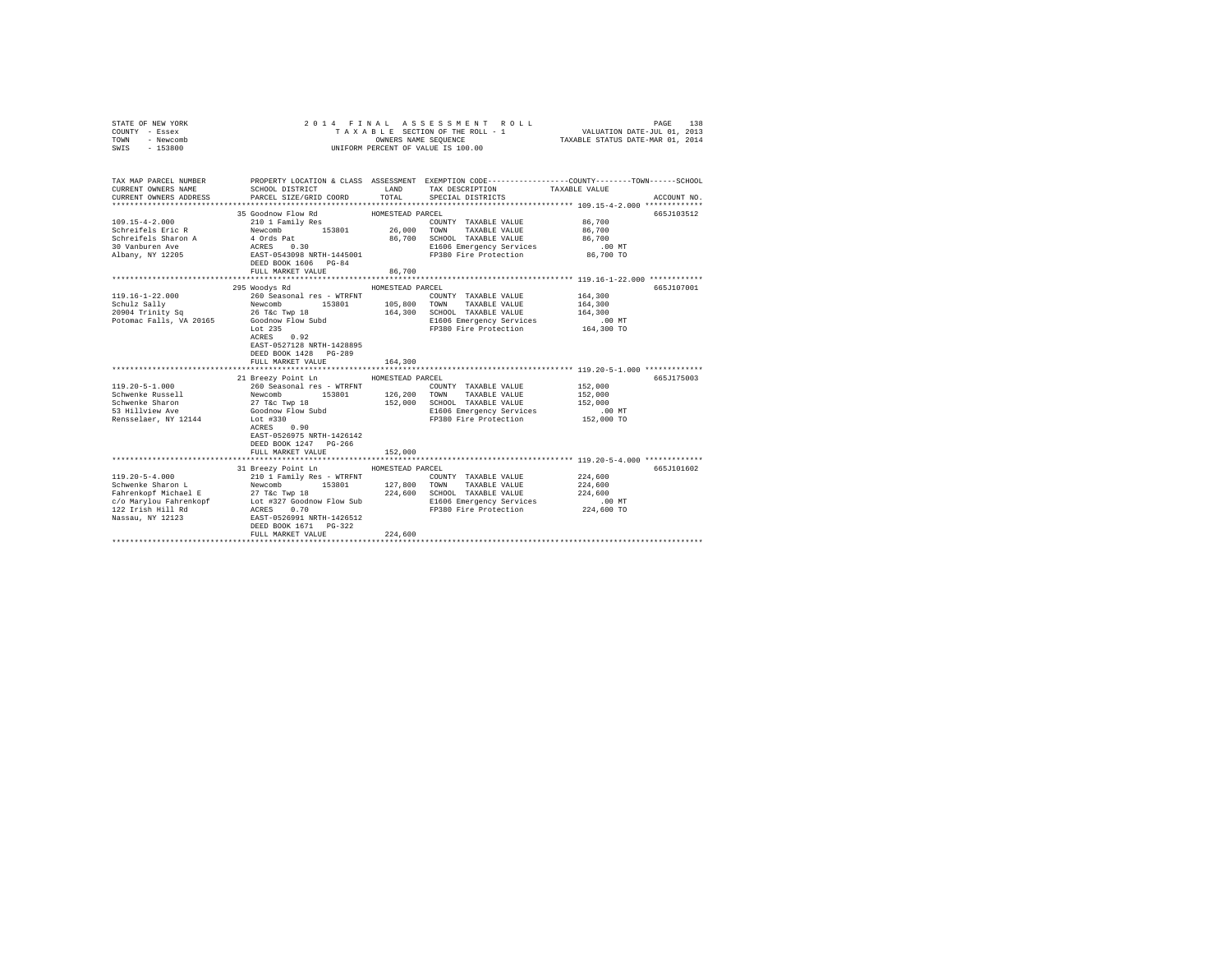| STATE OF NEW YORK<br>COUNTY - Essex<br>TOWN<br>- Newcomb<br>$-153800$<br>SWIS                                                        | 2014 FINAL<br>TAXABLE SECTION OF THE ROLL - 1<br>UNIFORM PERCENT OF VALUE IS 100.00                                                                                                                                                        | 138<br>PAGE<br>VALUATION DATE-JUL 01, 2013<br>TAXABLE STATUS DATE-MAR 01, 2014 |                                                                                                                                                    |                                                                                                                                 |  |
|--------------------------------------------------------------------------------------------------------------------------------------|--------------------------------------------------------------------------------------------------------------------------------------------------------------------------------------------------------------------------------------------|--------------------------------------------------------------------------------|----------------------------------------------------------------------------------------------------------------------------------------------------|---------------------------------------------------------------------------------------------------------------------------------|--|
| TAX MAP PARCEL NUMBER<br>CURRENT OWNERS NAME<br>CURRENT OWNERS ADDRESS                                                               | SCHOOL DISTRICT<br>PARCEL SIZE/GRID COORD                                                                                                                                                                                                  | LAND<br>TOTAL                                                                  | TAX DESCRIPTION<br>SPECIAL DISTRICTS                                                                                                               | PROPERTY LOCATION & CLASS ASSESSMENT EXEMPTION CODE---------------COUNTY-------TOWN------SCHOOL<br>TAXABLE VALUE<br>ACCOUNT NO. |  |
|                                                                                                                                      |                                                                                                                                                                                                                                            |                                                                                |                                                                                                                                                    |                                                                                                                                 |  |
| $109.15 - 4 - 2.000$<br>Schreifels Eric R<br>Schreifels Sharon A<br>30 Vanburen Ave<br>Albany, NY 12205                              | 35 Goodnow Flow Rd<br>210 1 Family Res<br>Newcomb<br>153801 26,000<br>4 Ords Pat<br>ACRES 0.30<br>EAST-0543098 NRTH-1445001<br>DEED BOOK 1606 PG-84                                                                                        | HOMESTEAD PARCEL<br>86,700                                                     | COUNTY TAXABLE VALUE<br>TOWN<br>TAXABLE VALUE<br>SCHOOL TAXABLE VALUE<br>E1606 Emergency Services<br>FP380 Fire Protection                         | 665J103512<br>86,700<br>86,700<br>86,700<br>.00 MT<br>86,700 TO                                                                 |  |
|                                                                                                                                      | FULL MARKET VALUE                                                                                                                                                                                                                          | 86,700                                                                         |                                                                                                                                                    |                                                                                                                                 |  |
|                                                                                                                                      |                                                                                                                                                                                                                                            |                                                                                |                                                                                                                                                    |                                                                                                                                 |  |
| $119.16 - 1 - 22.000$<br>Schulz Sally<br>20904 Trinity Sq<br>Potomac Falls, VA 20165 Goodnow Flow Subd<br>$119.20 - 5 - 1.000$       | 295 Woodys Rd<br>260 Seasonal res - WTRFNT<br>Newcomb<br>26 T&c Twp 18<br>153801<br>Lot 235<br>0.92<br>ACRES<br>EAST-0527128 NRTH-1428895<br>DEED BOOK 1428 PG-289<br>FULL MARKET VALUE<br>21 Breezy Point Ln<br>260 Seasonal res - WTRFNT | HOMESTEAD PARCEL<br>105,800<br>164,300<br>164,300<br>HOMESTEAD PARCEL          | COUNTY TAXABLE VALUE<br>TOWN<br>TAXABLE VALUE<br>SCHOOL TAXABLE VALUE<br>E1606 Emergency Services<br>FP380 Fire Protection<br>COUNTY TAXABLE VALUE | 665J107001<br>164,300<br>164,300<br>164,300<br>$.00$ MT<br>164,300 TO<br>665J175003<br>152,000                                  |  |
| Schwenke Russell<br>Schwenke Sharon<br>53 Hillview Ave<br>Rensselaer, NY 12144                                                       | Newcomb<br>153801<br>27 T&c Twp 18<br>Goodnow Flow Subd<br>Lot #330<br>ACRES 0.90<br>EAST-0526975 NRTH-1426142<br>DEED BOOK 1247 PG-266<br>FULL MARKET VALUE<br>**************************                                                 | 126,200<br>152,000<br>152,000<br>*************                                 | TOWN<br>TAXABLE VALUE<br>SCHOOL TAXABLE VALUE<br>E1606 Emergency Services<br>FP380 Fire Protection                                                 | 152,000<br>152,000<br>$.00$ MT<br>152,000 TO<br>*********************************** 119.20-5-4.000 *************                |  |
| $119.20 - 5 - 4.000$<br>Schwenke Sharon L<br>Fahrenkopf Michael E<br>c/o Marylou Fahrenkopf<br>122 Irish Hill Rd<br>Nassau, NY 12123 | 31 Breezy Point Ln<br>210 1 Family Res - WTRFNT<br>Newcomb<br>153801<br>27 T&c Twp 18<br>Lot #327 Goodnow Flow Sub<br>ACRES 0.70<br>EAST-0526991 NRTH-1426512<br>DEED BOOK 1671 PG-322<br>FULL MARKET VALUE                                | HOMESTEAD PARCEL<br>127,800<br>224,600<br>224,600                              | COUNTY TAXABLE VALUE<br>TOWN<br>TAXABLE VALUE<br>SCHOOL TAXABLE VALUE<br>E1606 Emergency Services<br>FP380 Fire Protection                         | 665J101602<br>224,600<br>224,600<br>224,600<br>$.00$ MT<br>224,600 TO                                                           |  |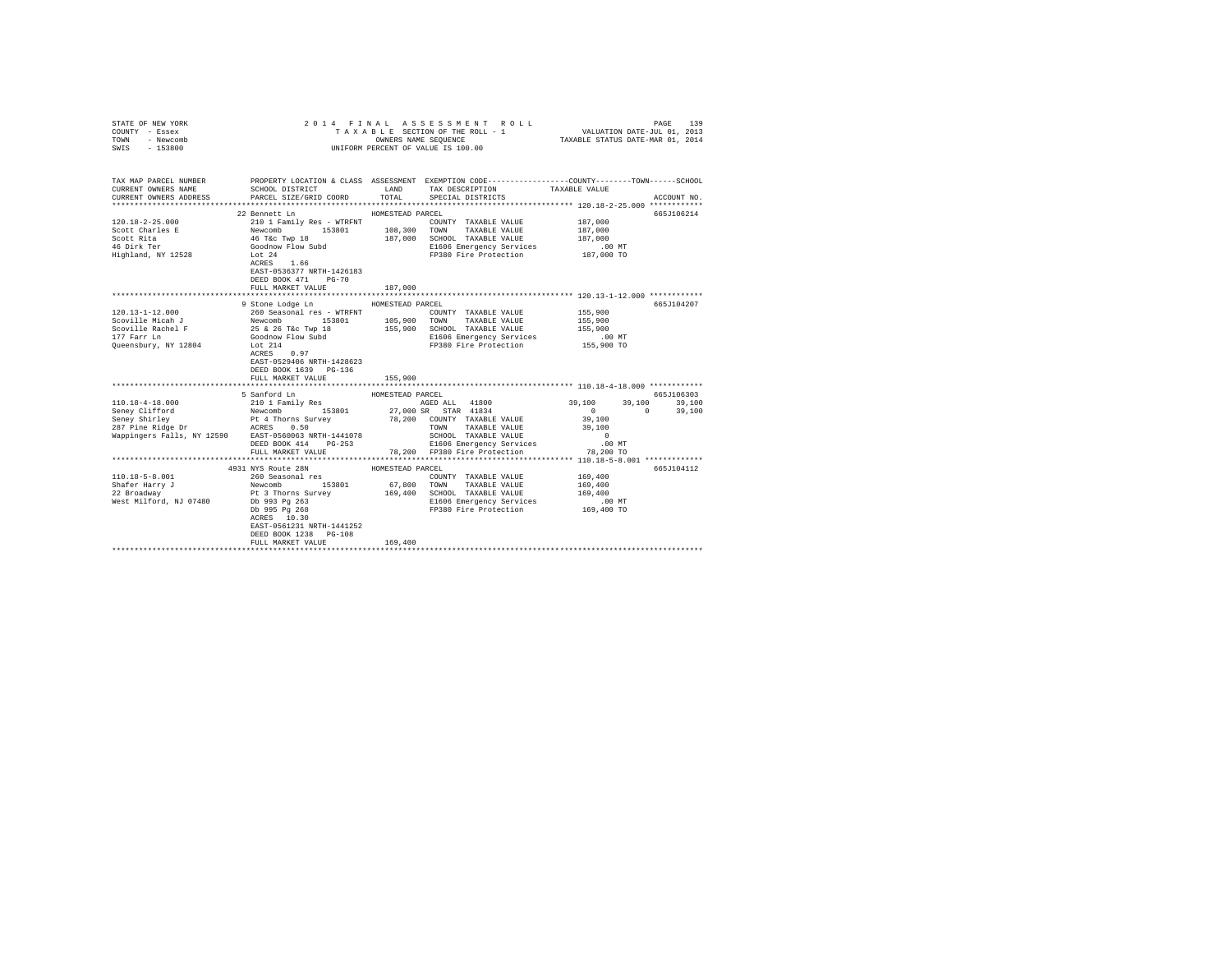| STATE OF NEW YORK<br>COUNTY - Essex<br>TOWN<br>- Newcomb |                                                                                                                                                                                                                                                                                                                                                                                                                                                                            |                  | 2014 FINAL ASSESSMENT ROLL<br>TAXABLE SECTION OF THE ROLL - 1                                   | VALUATION DATE-JUL 01, 2013<br>TAXABLE STATUS DATE-MAR 01, 2014 | 139<br>PAGE   |
|----------------------------------------------------------|----------------------------------------------------------------------------------------------------------------------------------------------------------------------------------------------------------------------------------------------------------------------------------------------------------------------------------------------------------------------------------------------------------------------------------------------------------------------------|------------------|-------------------------------------------------------------------------------------------------|-----------------------------------------------------------------|---------------|
| SWIS - 153800                                            |                                                                                                                                                                                                                                                                                                                                                                                                                                                                            |                  | OWNERS NAME SEQUENCE<br>UNIFORM PERCENT OF VALUE IS 100.00                                      |                                                                 |               |
|                                                          |                                                                                                                                                                                                                                                                                                                                                                                                                                                                            |                  |                                                                                                 |                                                                 |               |
| CURRENT OWNERS NAME                                      | TAX MAP PARCEL NUMBER PROPERTY LOCATION & CLASS ASSESSMENT EXEMPTION CODE---------------COUNTY-------TOWN------SCHOOL<br>SCHOOL DISTRICT TAND TAX DESCRIPTION                                                                                                                                                                                                                                                                                                              |                  |                                                                                                 | TAXABLE VALUE                                                   |               |
| CURRENT OWNERS ADDRESS                                   | PARCEL SIZE/GRID COORD TOTAL SPECIAL DISTRICTS                                                                                                                                                                                                                                                                                                                                                                                                                             |                  |                                                                                                 |                                                                 | ACCOUNT NO.   |
|                                                          |                                                                                                                                                                                                                                                                                                                                                                                                                                                                            |                  |                                                                                                 |                                                                 |               |
|                                                          | 22 Bennett Ln                                                                                                                                                                                                                                                                                                                                                                                                                                                              | HOMESTEAD PARCEL |                                                                                                 |                                                                 | 665J106214    |
| $120.18 - 2 - 25.000$                                    | 210 1 Family Res - WTRFNT                                                                                                                                                                                                                                                                                                                                                                                                                                                  |                  | COUNTY TAXABLE VALUE                                                                            | 187,000                                                         |               |
| Scott Charles E                                          |                                                                                                                                                                                                                                                                                                                                                                                                                                                                            |                  |                                                                                                 | 187,000                                                         |               |
| Scott Rita                                               | Newcomb<br>197,000 TOWN TAXABLE VALUE AS AND ACTRIC THAN TAXABLE VALUE<br>197,000 SCROE REFERENCE AND SCROOL TAXABLE VALUE<br>197,000 SL1606 Emergency Services                                                                                                                                                                                                                                                                                                            |                  |                                                                                                 | 187,000                                                         |               |
| 46 Dirk Ter<br>Highland, NY 12528                        | Lot 24                                                                                                                                                                                                                                                                                                                                                                                                                                                                     |                  | E1606 Emergency Services<br>FP380 Fire Protection 187,000 TO                                    | $.00$ MT                                                        |               |
|                                                          | ACRES 1.66                                                                                                                                                                                                                                                                                                                                                                                                                                                                 |                  |                                                                                                 |                                                                 |               |
|                                                          | EAST-0536377 NRTH-1426183                                                                                                                                                                                                                                                                                                                                                                                                                                                  |                  |                                                                                                 |                                                                 |               |
|                                                          | DEED BOOK 471 PG-70                                                                                                                                                                                                                                                                                                                                                                                                                                                        |                  |                                                                                                 |                                                                 |               |
|                                                          | FULL MARKET VALUE                                                                                                                                                                                                                                                                                                                                                                                                                                                          | 187,000          |                                                                                                 |                                                                 |               |
|                                                          |                                                                                                                                                                                                                                                                                                                                                                                                                                                                            |                  | ****************************** 120.13-1-12.000 ************                                     |                                                                 |               |
|                                                          | 9 Stone Lodge Ln MOMESTEAD PARCEL                                                                                                                                                                                                                                                                                                                                                                                                                                          |                  |                                                                                                 |                                                                 | 665J104207    |
| $120.13 - 1 - 12.000$                                    | 260 Seasonal res - WTRFNT                                                                                                                                                                                                                                                                                                                                                                                                                                                  |                  | COUNTY TAXABLE VALUE                                                                            | 155,900                                                         |               |
| Scoville Micah J                                         |                                                                                                                                                                                                                                                                                                                                                                                                                                                                            |                  |                                                                                                 | 155,900                                                         |               |
| Scoville Rachel F                                        |                                                                                                                                                                                                                                                                                                                                                                                                                                                                            |                  | 155,900 SCHOOL TAXABLE VALUE                                                                    | 155,900                                                         |               |
| 177 Farr Ln                                              |                                                                                                                                                                                                                                                                                                                                                                                                                                                                            |                  | E1606 Emergency Services                                                                        | 00 MT.<br>155,900 TO                                            |               |
| Queensbury, NY 12804                                     | Lot 214<br>ACRES 0.97                                                                                                                                                                                                                                                                                                                                                                                                                                                      |                  | FP380 Fire Protection                                                                           |                                                                 |               |
|                                                          | EAST-0529406 NRTH-1428623                                                                                                                                                                                                                                                                                                                                                                                                                                                  |                  |                                                                                                 |                                                                 |               |
|                                                          | DEED BOOK 1639 PG-136                                                                                                                                                                                                                                                                                                                                                                                                                                                      |                  |                                                                                                 |                                                                 |               |
|                                                          | FULL MARKET VALUE                                                                                                                                                                                                                                                                                                                                                                                                                                                          | 155,900          |                                                                                                 |                                                                 |               |
|                                                          |                                                                                                                                                                                                                                                                                                                                                                                                                                                                            |                  |                                                                                                 |                                                                 |               |
|                                                          |                                                                                                                                                                                                                                                                                                                                                                                                                                                                            | HOMESTEAD PARCEL |                                                                                                 |                                                                 | 665J106303    |
| 110.18-4-18.000                                          | 5 Sanford Ln<br>210 1 Family Res                                                                                                                                                                                                                                                                                                                                                                                                                                           |                  | AGED ALL 41800                                                                                  | 39,100                                                          | 39,100 39,100 |
|                                                          |                                                                                                                                                                                                                                                                                                                                                                                                                                                                            |                  | 27,000 SR STAR 41834<br>78,200 COUNTY TAXABLE VALUE                                             | $\sim$ 0                                                        | $0 \t 39.100$ |
|                                                          |                                                                                                                                                                                                                                                                                                                                                                                                                                                                            |                  |                                                                                                 | 39,100                                                          |               |
|                                                          |                                                                                                                                                                                                                                                                                                                                                                                                                                                                            |                  | TOWN<br>TAXABLE VALUE                                                                           | 39,100                                                          |               |
|                                                          | Wappingers Falls, NY 12590 EAST-0560063 NRTH-1441078                                                                                                                                                                                                                                                                                                                                                                                                                       |                  | SCHOOL TAXABLE VALUE                                                                            | $\sim$ 0                                                        |               |
|                                                          |                                                                                                                                                                                                                                                                                                                                                                                                                                                                            |                  | DEED BOOK 414 PG-253 E1606 Emergency Services<br>FULL MARKET VALUE 78,200 FP380 Fire Protection | $.00$ MT                                                        |               |
|                                                          |                                                                                                                                                                                                                                                                                                                                                                                                                                                                            |                  |                                                                                                 | 78,200 TO                                                       |               |
|                                                          |                                                                                                                                                                                                                                                                                                                                                                                                                                                                            |                  |                                                                                                 |                                                                 | 665J104112    |
| $110.18 - 5 - 8.001$                                     |                                                                                                                                                                                                                                                                                                                                                                                                                                                                            |                  |                                                                                                 | 169,400                                                         |               |
| Shafer Harry J                                           |                                                                                                                                                                                                                                                                                                                                                                                                                                                                            |                  |                                                                                                 | 169,400                                                         |               |
| snarer Harry J<br>22 Broadway                            | $\begin{tabular}{lcccc} \textbf{0.13}\footnotesize & 260 Second & 169\n \textbf{2.4}\footnotesize & 260 Second & 169\n \textbf{2.5}\footnotesize & 260 Second & 169\n \textbf{2.6}\footnotesize & 260 Second & 169\n \textbf{2.7}\footnotesize & 260 Second & 169\n \textbf{2.8}\footnotesize & 260 non \textbf{2.8}\footnotesize & 260\n \textbf{2.9}\footnotesize & 260\n \textbf{2.9}\footnotesize & 260\n \textbf{2.9}\footnotesize & 260\n \textbf{2.9}\footnotesize$ |                  |                                                                                                 | 169,400                                                         |               |
| West Milford, NJ 07480                                   |                                                                                                                                                                                                                                                                                                                                                                                                                                                                            |                  |                                                                                                 | .00 MT                                                          |               |
|                                                          |                                                                                                                                                                                                                                                                                                                                                                                                                                                                            |                  | FP380 Fire Protection 169,400 TO                                                                |                                                                 |               |
|                                                          |                                                                                                                                                                                                                                                                                                                                                                                                                                                                            |                  |                                                                                                 |                                                                 |               |
|                                                          | EAST-0561231 NRTH-1441252                                                                                                                                                                                                                                                                                                                                                                                                                                                  |                  |                                                                                                 |                                                                 |               |
|                                                          | DEED BOOK 1238 PG-108                                                                                                                                                                                                                                                                                                                                                                                                                                                      |                  |                                                                                                 |                                                                 |               |
|                                                          | FULL MARKET VALUE                                                                                                                                                                                                                                                                                                                                                                                                                                                          | 169,400          |                                                                                                 |                                                                 |               |
|                                                          |                                                                                                                                                                                                                                                                                                                                                                                                                                                                            |                  |                                                                                                 |                                                                 |               |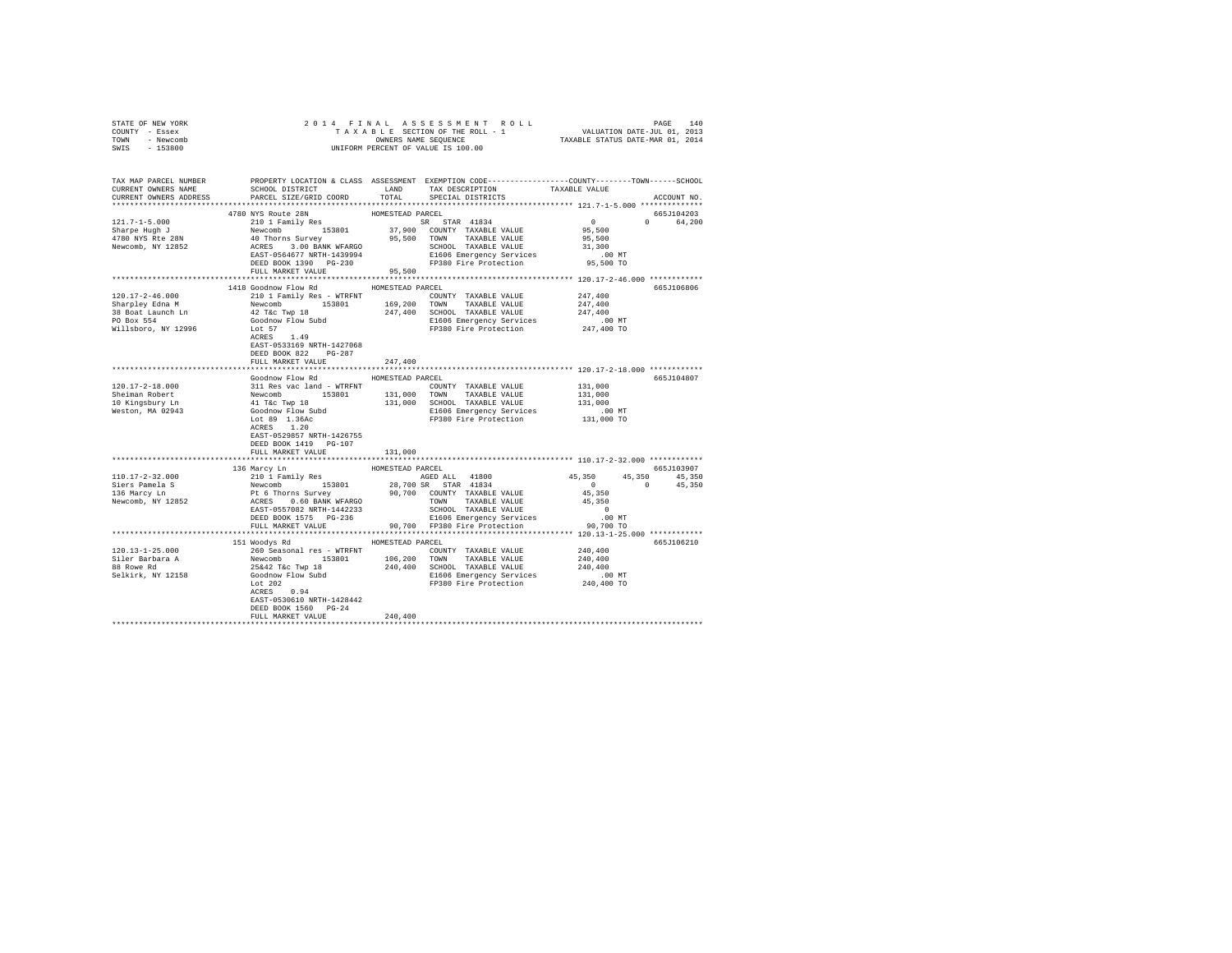| STATE OF NEW YORK<br>COUNTY - Essex<br>TOWN - Newcomb<br>SWIS - 153800                                                                                                                                                                                                                                                                                                                                                                                                           |                                                                                                                                                                                                                                                                                                                                                                                                                                                                    |                  |  |                        |
|----------------------------------------------------------------------------------------------------------------------------------------------------------------------------------------------------------------------------------------------------------------------------------------------------------------------------------------------------------------------------------------------------------------------------------------------------------------------------------|--------------------------------------------------------------------------------------------------------------------------------------------------------------------------------------------------------------------------------------------------------------------------------------------------------------------------------------------------------------------------------------------------------------------------------------------------------------------|------------------|--|------------------------|
| TAX MAP PARCEL NUMBER PROPERTY LOCATION & CLASS ASSESSMENT EXEMPTION CODE--------------COUNTY-------TOWN------SCHOOL<br>CURRENT OWNERS NAME SCHOOL DISTRICT LAND TAX DESCRIPTION TAXABLE VALUE<br>CURRENT OWNERS ADDRESS . PARCEL SIZE/GRID COORD TOTAL SPECIAL DISTRICTS                                                                                                                                                                                                        |                                                                                                                                                                                                                                                                                                                                                                                                                                                                    |                  |  | ACCOUNT NO.            |
| $121.7 - 1 - 5.000$<br>121.7-1-5.000<br>Sharpe Hugh J<br>4780 NYS Rte 28N<br>Newcomb, NY 12852                                                                                                                                                                                                                                                                                                                                                                                   | 4780 NYS Route 28N<br>$\begin{tabular}{l c c c c} \multicolumn{1}{c}{\textbf{0.1}} & \multicolumn{1}{c}{\textbf{0.1}} & \multicolumn{1}{c}{\textbf{0.1}} & \multicolumn{1}{c}{\textbf{0.1}} & \multicolumn{1}{c}{\textbf{0.1}} & \multicolumn{1}{c}{\textbf{0.1}} & \multicolumn{1}{c}{\textbf{0.1}} & \multicolumn{1}{c}{\textbf{0.1}} & \multicolumn{1}{c}{\textbf{0.1}} & \multicolumn{1}{c}{\textbf{0.1}} & \multicolumn{1}{c}{\textbf{0.1}} & \multicolumn{1$ | HOMESTEAD PARCEL |  | 665J104203<br>0 64,200 |
|                                                                                                                                                                                                                                                                                                                                                                                                                                                                                  |                                                                                                                                                                                                                                                                                                                                                                                                                                                                    |                  |  |                        |
| $120.17-2-46.000 \begin{tabular}{lcccc} 120.17-2-46.000 & 444 9& 600000W r10W K30E0E0 & 400000W \\ \end{tabular} \begin{tabular}{lcccc} 120.17-2-46.000 & 444 9& 60000W r1W & 8000W \\ \end{tabular} \begin{tabular}{lcccc} 120.17-2-46.000 & 444 9& 6000W \\ \end{tabular} \begin{tabular}{lcccc} 120.18 & 4000W r1W & 153801$                                                                                                                                                  | 1418 Goodnow Flow Rd MOMESTEAD PARCEL<br>DEED BOOK 822 PG-287                                                                                                                                                                                                                                                                                                                                                                                                      |                  |  | 665J106806             |
|                                                                                                                                                                                                                                                                                                                                                                                                                                                                                  | FULL MARKET VALUE                                                                                                                                                                                                                                                                                                                                                                                                                                                  | 247,400          |  |                        |
|                                                                                                                                                                                                                                                                                                                                                                                                                                                                                  |                                                                                                                                                                                                                                                                                                                                                                                                                                                                    | HOMESTEAD PARCEL |  | 665J104807             |
|                                                                                                                                                                                                                                                                                                                                                                                                                                                                                  | Goodnow Flow Rd<br>ACRES 1.20<br>EAST-0529857 NRTH-1426755<br>DEED BOOK 1419 PG-107                                                                                                                                                                                                                                                                                                                                                                                |                  |  |                        |
|                                                                                                                                                                                                                                                                                                                                                                                                                                                                                  | FULL MARKET VALUE                                                                                                                                                                                                                                                                                                                                                                                                                                                  | 131,000          |  |                        |
|                                                                                                                                                                                                                                                                                                                                                                                                                                                                                  |                                                                                                                                                                                                                                                                                                                                                                                                                                                                    |                  |  |                        |
| $\begin{tabular}{cccccccc} \textbf{136 } Maxcy In & \textbf{138 } Maxcy In & \textbf{138 } Maxcy In & \textbf{138 } Maxcy In & \textbf{138 } Maxcy In & \textbf{138 } Maxcy In & \textbf{138 } Maxcy In & \textbf{138 } Maxcy In & \textbf{138 } Maxcy In & \textbf{138 } Maxcy In & \textbf{138 } Maxcy In & \textbf{138 } Maxcy In & \textbf{138 } Maxcy In & \textbf{138 } Maxcy In & \textbf{138 } Maxcy In & \textbf{138 } Maxcy In & \textbf{138 } Maxcy In & \textbf{138$ |                                                                                                                                                                                                                                                                                                                                                                                                                                                                    |                  |  |                        |
|                                                                                                                                                                                                                                                                                                                                                                                                                                                                                  |                                                                                                                                                                                                                                                                                                                                                                                                                                                                    |                  |  |                        |
|                                                                                                                                                                                                                                                                                                                                                                                                                                                                                  |                                                                                                                                                                                                                                                                                                                                                                                                                                                                    |                  |  |                        |
|                                                                                                                                                                                                                                                                                                                                                                                                                                                                                  | 151 Woodys Rd MOMESTEAD PARCEL<br>EAST-0530610 NRTH-1428442<br>DEED BOOK 1560 PG-24                                                                                                                                                                                                                                                                                                                                                                                | 240,400          |  | 665J106210             |
|                                                                                                                                                                                                                                                                                                                                                                                                                                                                                  | FULL MARKET VALUE                                                                                                                                                                                                                                                                                                                                                                                                                                                  |                  |  |                        |
|                                                                                                                                                                                                                                                                                                                                                                                                                                                                                  |                                                                                                                                                                                                                                                                                                                                                                                                                                                                    |                  |  |                        |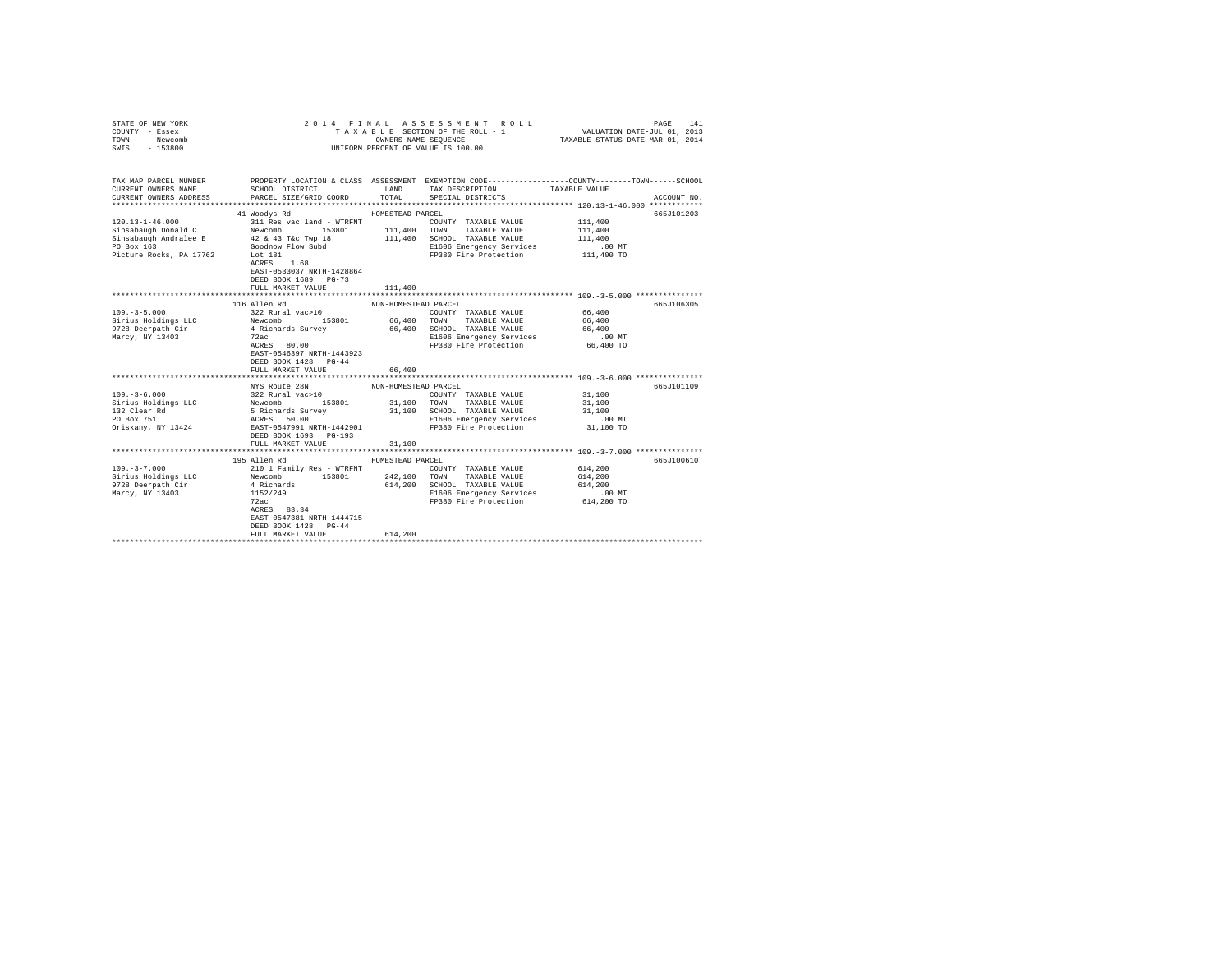| STATE OF NEW YORK<br>COUNTY - Essex<br>TOWN - Newcomb<br>SWIS - 153800 |                                                                                                                                        |                      | 2014 FINAL ASSESSMENT ROLL<br>UNIFORM PERCENT OF VALUE IS 100.00                                            | VALUATION DATE-JUL 01, 2013 | 141<br>PAGE |
|------------------------------------------------------------------------|----------------------------------------------------------------------------------------------------------------------------------------|----------------------|-------------------------------------------------------------------------------------------------------------|-----------------------------|-------------|
| CURRENT OWNERS NAME                                                    | TAX MAP PARCEL NUMBER PROPERTY LOCATION & CLASS ASSESSMENT EXEMPTION CODE--------------COUNTY-------TOWN-----SCHOOL<br>SCHOOL DISTRICT |                      | LAND TAX DESCRIPTION                                                                                        | TAXABLE VALUE               |             |
|                                                                        | CURRENT OWNERS NAME . SCHOOL DISTRICT.<br>CURRENT OWNERS ADDRESS . PARCEL SIZE/GRID COORD                                              | $_{\tt TOTAL}$       | SPECIAL DISTRICTS                                                                                           |                             | ACCOUNT NO. |
|                                                                        |                                                                                                                                        |                      |                                                                                                             |                             |             |
|                                                                        | 41 Woodys Rd                                                                                                                           | HOMESTEAD PARCEL     |                                                                                                             |                             | 665J101203  |
|                                                                        |                                                                                                                                        |                      |                                                                                                             |                             |             |
|                                                                        |                                                                                                                                        |                      |                                                                                                             |                             |             |
|                                                                        |                                                                                                                                        |                      |                                                                                                             |                             |             |
|                                                                        |                                                                                                                                        |                      |                                                                                                             |                             |             |
|                                                                        | Lot 181<br>ACRES 1.68<br>EAST-0533037 NRTH-1428864<br>DEED BOOK 1689 PG-73<br>FULL MARKET VALUE                                        | 111,400              |                                                                                                             |                             |             |
|                                                                        |                                                                                                                                        |                      |                                                                                                             |                             |             |
|                                                                        | 116 Allen Rd                                                                                                                           | NON-HOMESTEAD PARCEL |                                                                                                             |                             | 665J106305  |
|                                                                        |                                                                                                                                        |                      |                                                                                                             | 66,400                      |             |
|                                                                        |                                                                                                                                        |                      |                                                                                                             | 66,400                      |             |
|                                                                        |                                                                                                                                        |                      |                                                                                                             | 66,400                      |             |
|                                                                        |                                                                                                                                        |                      |                                                                                                             | 00 MT.<br>66,400 TO         |             |
|                                                                        | EAST-0546397 NRTH-1443923<br>DEED BOOK 1428 PG-44<br>FULL MARKET VALUE                                                                 | 66,400               |                                                                                                             |                             |             |
|                                                                        | ****************************                                                                                                           | ************         |                                                                                                             |                             |             |
|                                                                        | NYS Route 28N                                                                                                                          | NON-HOMESTEAD PARCEL |                                                                                                             |                             | 665J101109  |
|                                                                        |                                                                                                                                        |                      |                                                                                                             |                             |             |
|                                                                        |                                                                                                                                        |                      |                                                                                                             |                             |             |
|                                                                        |                                                                                                                                        |                      |                                                                                                             |                             |             |
|                                                                        |                                                                                                                                        |                      |                                                                                                             |                             |             |
|                                                                        | FULL MARKET VALUE                                                                                                                      | 31,100               |                                                                                                             |                             |             |
|                                                                        |                                                                                                                                        |                      |                                                                                                             |                             |             |
|                                                                        | 195 Allen Rd                                                                                                                           | HOMESTEAD PARCEL     |                                                                                                             |                             | 665J100610  |
|                                                                        |                                                                                                                                        |                      | COUNTY TAXABLE VALUE                                                                                        | 614,200                     |             |
|                                                                        |                                                                                                                                        |                      |                                                                                                             | 614,200                     |             |
|                                                                        |                                                                                                                                        |                      |                                                                                                             |                             |             |
|                                                                        |                                                                                                                                        |                      |                                                                                                             |                             |             |
|                                                                        |                                                                                                                                        |                      | 474,200 SCHOOL TAXABLE VALUE 614,200<br>E1606 Emergency Services .00 MT<br>FP380 Fire Protection 614,200 TO |                             |             |
|                                                                        | ACRES 83.34                                                                                                                            |                      |                                                                                                             |                             |             |
|                                                                        | EAST-0547381 NRTH-1444715                                                                                                              |                      |                                                                                                             |                             |             |
|                                                                        | DEED BOOK 1428 PG-44                                                                                                                   |                      |                                                                                                             |                             |             |
|                                                                        | FULL MARKET VALUE                                                                                                                      | 614,200              |                                                                                                             |                             |             |
|                                                                        |                                                                                                                                        |                      |                                                                                                             |                             |             |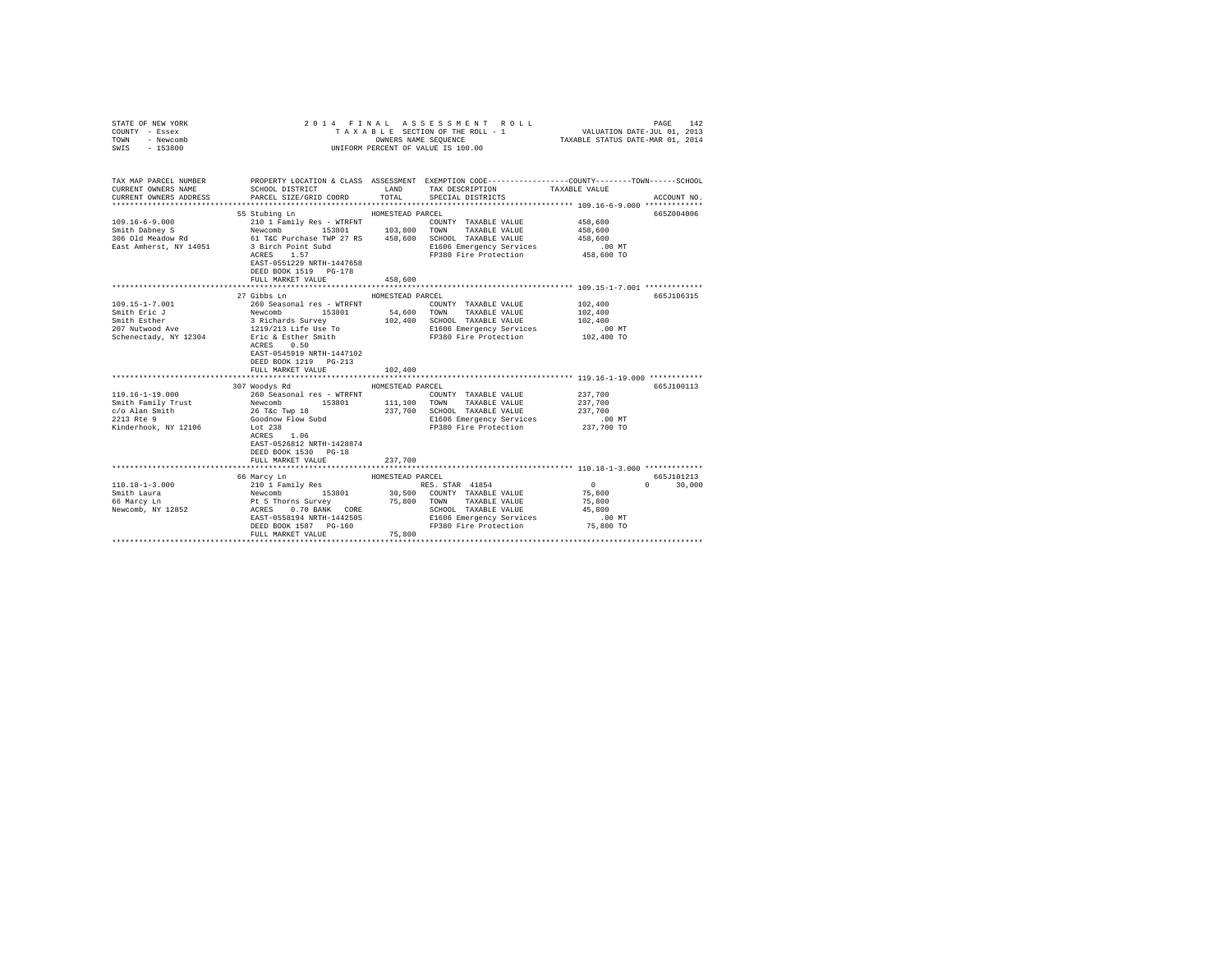| COUNTY - Essex<br>TOWN<br>- Newcomb<br>SWIS<br>$-153800$                                                                                                                                                                                             | UNIFORM PERCENT OF VALUE IS 100.00                                                                   |                                                                                                                                                                                                                                                                                                                   |                                             |
|------------------------------------------------------------------------------------------------------------------------------------------------------------------------------------------------------------------------------------------------------|------------------------------------------------------------------------------------------------------|-------------------------------------------------------------------------------------------------------------------------------------------------------------------------------------------------------------------------------------------------------------------------------------------------------------------|---------------------------------------------|
| CURRENT OWNERS NAME<br>CURRENT OWNERS ADDRESS                                                                                                                                                                                                        | SCHOOL DISTRICT LAND<br>PARCEL SIZE/GRID COORD                                                       | TAX MAP PARCEL NUMBER PROPERTY LOCATION & CLASS ASSESSMENT EXEMPTION CODE---------------COUNTY-------TOWN-----SCHOOL<br>TAX DESCRIPTION TAXABLE VALUE<br>TOTAL<br>SPECIAL DISTRICTS                                                                                                                               | ACCOUNT NO.                                 |
|                                                                                                                                                                                                                                                      | 55 Stubing Ln<br>EAST-0551229 NRTH-1447658<br>DEED BOOK 1519 PG-178<br>FULL MARKET VALUE             | HOMESTEAD PARCEL<br>$\begin{tabular}{l c c c c c c c c} \hline 109.16-6-9.000 & 210.111 & 1011 & 1013001 & 1012001 & 1013001 & 1013001 & 1013001 & 1013001 & 1013001 & 1013001 & 1013001 & 1013001 & 1013001 & 1013001 & 1013001 & 1013001 & 1013001 & 1013001 & 1013001 & 1013001 &$<br>TAXABLE VALUE<br>458,600 | 665Z004006<br>458,600<br>458,600<br>458,600 |
|                                                                                                                                                                                                                                                      | 27 Gibbs Ln<br>ACRES 0.50<br>EAST-0545919 NRTH-1447102<br>DEED BOOK 1219 PG-213<br>FULL MARKET VALUE | HOMESTEAD PARCEL<br>102,400                                                                                                                                                                                                                                                                                       | 665J106315                                  |
| 119.16-1-19.000<br>Sof Seasonal res - WTRFNT<br>Smith Family Trust<br>C/O Alan Smith 18 Newcomb 153801<br>26 Tac Twp 18<br>26 Tac Twp 18<br>26 Tac Twp 18<br>26 Tac Twp 18<br>26 Tac Twp 18<br>26 Tac Twp 18<br>26 Tac Twp 18<br>26 Tac Twp 18<br>26 | 307 Woodys Rd<br>EAST-0526812 NRTH-1428874<br>DEED BOOK 1530 PG-18<br>FULL MARKET VALUE              | HOMESTEAD PARCEL<br>COUNTY TAXABLE VALUE 237,700<br>31<br>153801 11,100 TOWN TAXABLE VALUE<br>237,700 SCHOOL TAXABLE VALUE<br>E1606 Emergency Services .00 MT<br>FP380 Fire Protection 237,700 TO<br>237,700                                                                                                      | 665J100113<br>237,700<br>237,700            |
|                                                                                                                                                                                                                                                      | 66 Marcy Ln                                                                                          | HOMESTEAD PARCEL<br>$(10.18-1-3.000$ $10.18-1-3.000$ $20.120117700$ $20.1011700$ $20.1011700$ $20.1011700$ $20.1011700$ $20.1011700$ $20.1011700$ $20.1011700$ $20.1011700$ $20.1011700$ $20.1011700$ $20.1011700$ $20.1011700$ $20.1011700$ $20.$                                                                | 665J101213<br>$0 \t 30,000$                 |

STATE OF NEW YORK 2014 FINAL ASSESSMENT ROLL PAGE 142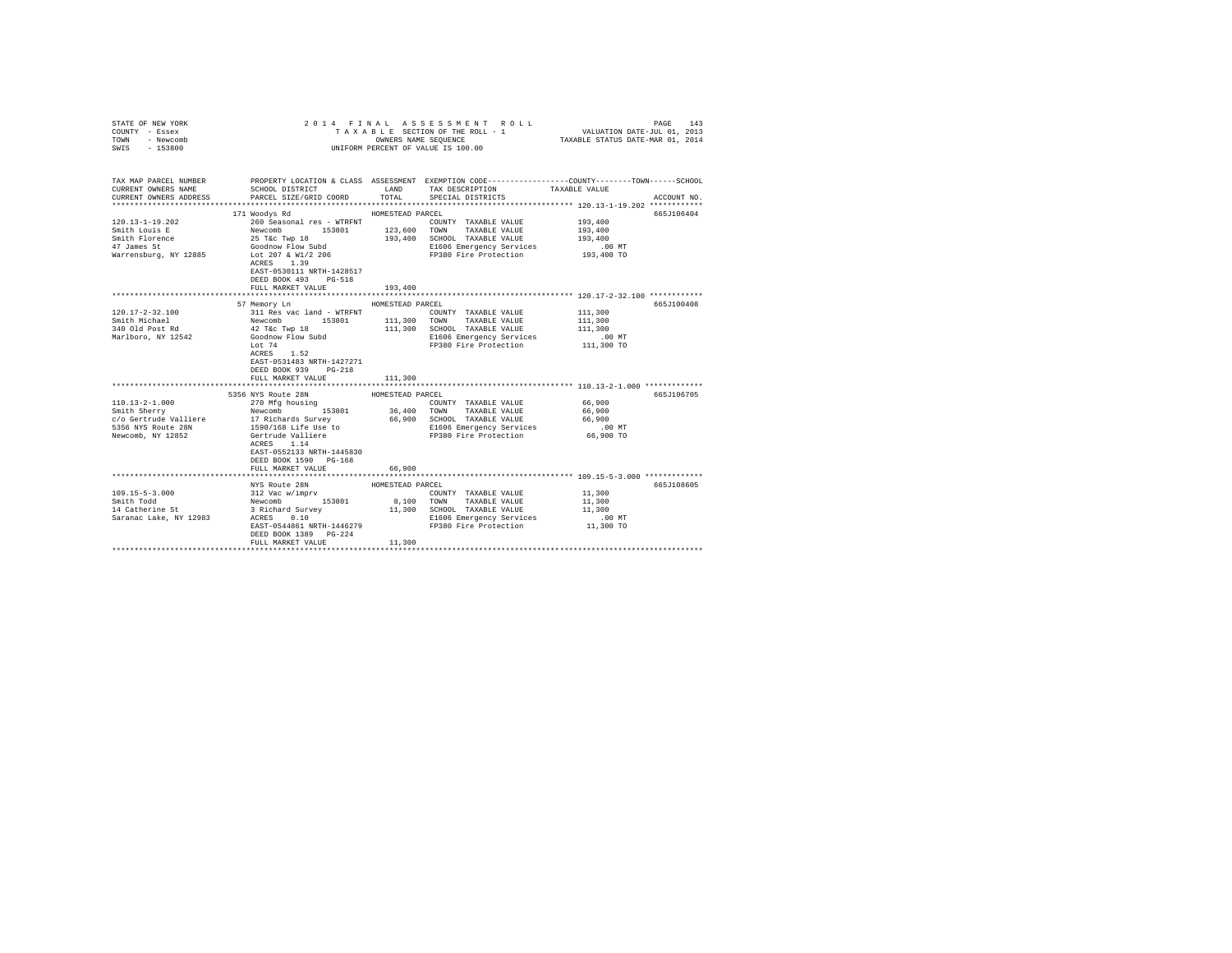| STATE OF NEW YORK<br>COUNTY - Essex<br>TOWN<br>- Newcomb                                                                                                                                                     |                                                                                                                          |                  | 2014 FINAL ASSESSMENT ROLL<br>TAXABLE SECTION OF THE ROLL - 1        | PAGE<br>143                                                                                                                           |
|--------------------------------------------------------------------------------------------------------------------------------------------------------------------------------------------------------------|--------------------------------------------------------------------------------------------------------------------------|------------------|----------------------------------------------------------------------|---------------------------------------------------------------------------------------------------------------------------------------|
| $-153800$<br>SWIS                                                                                                                                                                                            |                                                                                                                          |                  | UNIFORM PERCENT OF VALUE IS 100.00                                   |                                                                                                                                       |
|                                                                                                                                                                                                              |                                                                                                                          |                  |                                                                      |                                                                                                                                       |
| CURRENT OWNERS NAME                                                                                                                                                                                          | SCHOOL DISTRICT TAND TAX DESCRIPTION                                                                                     |                  |                                                                      | TAX MAP PARCEL NUMBER PROPERTY LOCATION & CLASS ASSESSMENT EXEMPTION CODE--------------COUNTY-------TOWN------SCHOOL<br>TAXABLE VALUE |
| CURRENT OWNERS ADDRESS                                                                                                                                                                                       | PARCEL SIZE/GRID COORD TOTAL SPECIAL DISTRICTS                                                                           |                  |                                                                      | ACCOUNT NO.                                                                                                                           |
|                                                                                                                                                                                                              | 171 Woodys Rd                                                                                                            | HOMESTEAD PARCEL |                                                                      | 665J106404                                                                                                                            |
| $120.13 - 1 - 19.202$                                                                                                                                                                                        | 260 Seasonal res - WTRFNT                                                                                                |                  | COUNTY TAXABLE VALUE                                                 | 193,400                                                                                                                               |
| Smith Louis E                                                                                                                                                                                                | Newcomb 153801<br>25 T&c Twp 18<br>Goodnow Flow Subd                                                                     |                  | 123,600 TOWN TAXABLE VALUE                                           | 193,400                                                                                                                               |
| Smith Florence                                                                                                                                                                                               |                                                                                                                          |                  | 193,400 SCHOOL TAXABLE VALUE                                         | 193,400                                                                                                                               |
| 47 James St                                                                                                                                                                                                  |                                                                                                                          |                  | E1606 Emergency Services                                             |                                                                                                                                       |
| Warrensburg, NY 12885 Lot 207 & W1/2 206                                                                                                                                                                     |                                                                                                                          |                  | E1606 Emergency Services 6.00 MT<br>FP380 Fire Protection 193,400 TO |                                                                                                                                       |
|                                                                                                                                                                                                              | ACRES 1.39                                                                                                               |                  |                                                                      |                                                                                                                                       |
|                                                                                                                                                                                                              | EAST-0530111 NRTH-1428517                                                                                                |                  |                                                                      |                                                                                                                                       |
|                                                                                                                                                                                                              | DEED BOOK 493 PG-518                                                                                                     |                  |                                                                      |                                                                                                                                       |
|                                                                                                                                                                                                              | FULL MARKET VALUE                                                                                                        | 193,400          |                                                                      |                                                                                                                                       |
|                                                                                                                                                                                                              |                                                                                                                          |                  |                                                                      | ****************************** 120.17-2-32.100 ************                                                                           |
|                                                                                                                                                                                                              | 57 Memory Ln                                                                                                             | HOMESTEAD PARCEL |                                                                      | 665J100408                                                                                                                            |
| $120.17 - 2 - 32.100$                                                                                                                                                                                        |                                                                                                                          |                  | COUNTY TAXABLE VALUE                                                 | 111,300                                                                                                                               |
| Smith Michael                                                                                                                                                                                                |                                                                                                                          |                  | 111,300 TOWN TAXABLE VALUE                                           | 111,300                                                                                                                               |
| 340 Old Post Rd                                                                                                                                                                                              | 311 Res vac land - WTRFNT Newtomb 153801 111,300<br>Awevomb 153801 111,300<br>42 T&c Twp 18 111,300<br>Goodnow Flow Subd |                  | 111,300 SCHOOL TAXABLE VALUE                                         | 111,300                                                                                                                               |
| Marlboro, NY 12542                                                                                                                                                                                           |                                                                                                                          |                  | E1606 Emergency Services                                             | .00 MT                                                                                                                                |
|                                                                                                                                                                                                              | Lot 74                                                                                                                   |                  | FP380 Fire Protection                                                | 111,300 TO                                                                                                                            |
|                                                                                                                                                                                                              | ACRES 1.52                                                                                                               |                  |                                                                      |                                                                                                                                       |
|                                                                                                                                                                                                              | EAST-0531483 NRTH-1427271                                                                                                |                  |                                                                      |                                                                                                                                       |
|                                                                                                                                                                                                              | DEED BOOK 939 PG-218                                                                                                     |                  |                                                                      |                                                                                                                                       |
|                                                                                                                                                                                                              | FULL MARKET VALUE                                                                                                        | 111,300          |                                                                      |                                                                                                                                       |
|                                                                                                                                                                                                              |                                                                                                                          |                  |                                                                      |                                                                                                                                       |
|                                                                                                                                                                                                              | 5356 NYS Route 28N                                                                                                       | HOMESTEAD PARCEL |                                                                      | 665J106705                                                                                                                            |
| $110.13 - 2 - 1.000$                                                                                                                                                                                         | 270 Mfg housing                                                                                                          |                  | COUNTY TAXABLE VALUE                                                 | 66,900                                                                                                                                |
|                                                                                                                                                                                                              |                                                                                                                          |                  | 36,400 TOWN TAXABLE VALUE                                            | 66,900                                                                                                                                |
|                                                                                                                                                                                                              |                                                                                                                          |                  | 66,900 SCHOOL TAXABLE VALUE                                          | 66,900                                                                                                                                |
|                                                                                                                                                                                                              |                                                                                                                          |                  | E1606 Emergency Services                                             | $.00$ MT                                                                                                                              |
|                                                                                                                                                                                                              |                                                                                                                          |                  | FP380 Fire Protection 66,900 TO                                      |                                                                                                                                       |
| 110.13-2-1.000<br>Smith Sherry<br>$c/o$ Gertrude Valliere<br>$c/o$ Gertrude Valliere<br>$17$ Richards Survey<br>$1590/168$ Life Use to<br>$1590/168$ Life Use to<br>$1590/168$ Life Use to<br>$114$<br>$114$ |                                                                                                                          |                  |                                                                      |                                                                                                                                       |
|                                                                                                                                                                                                              | EAST-0552133 NRTH-1445830                                                                                                |                  |                                                                      |                                                                                                                                       |
|                                                                                                                                                                                                              | DEED BOOK 1590 PG-168                                                                                                    |                  |                                                                      |                                                                                                                                       |
|                                                                                                                                                                                                              | FULL MARKET VALUE                                                                                                        | 66,900           |                                                                      |                                                                                                                                       |
|                                                                                                                                                                                                              |                                                                                                                          |                  |                                                                      |                                                                                                                                       |
|                                                                                                                                                                                                              | NYS Route 28N                                                                                                            | HOMESTEAD PARCEL |                                                                      | 665J108605                                                                                                                            |
| $109.15 - 5 - 3.000$                                                                                                                                                                                         | 12 Vac w/imprv<br>Newcomb 153801<br>3 Richard Survey<br>2 Richard Survey                                                 |                  | COUNTY TAXABLE VALUE                                                 | 11,300                                                                                                                                |
| Smith Todd                                                                                                                                                                                                   |                                                                                                                          |                  | 8,100 TOWN TAXABLE VALUE                                             | 11,300                                                                                                                                |
| 14 Catherine St                                                                                                                                                                                              |                                                                                                                          |                  | 11,300 SCHOOL TAXABLE VALUE                                          | 11,300                                                                                                                                |
| Saranac Lake, NY 12983                                                                                                                                                                                       | ACRES 0.10                                                                                                               |                  | E1606 Emergency Services                                             | $.00$ MT                                                                                                                              |
|                                                                                                                                                                                                              | EAST-0544861 NRTH-1446279                                                                                                |                  | FP380 Fire Protection                                                | 11,300 TO                                                                                                                             |
|                                                                                                                                                                                                              | DEED BOOK 1389 PG-224                                                                                                    |                  |                                                                      |                                                                                                                                       |
|                                                                                                                                                                                                              | FULL MARKET VALUE                                                                                                        | 11,300           |                                                                      |                                                                                                                                       |
|                                                                                                                                                                                                              |                                                                                                                          |                  |                                                                      |                                                                                                                                       |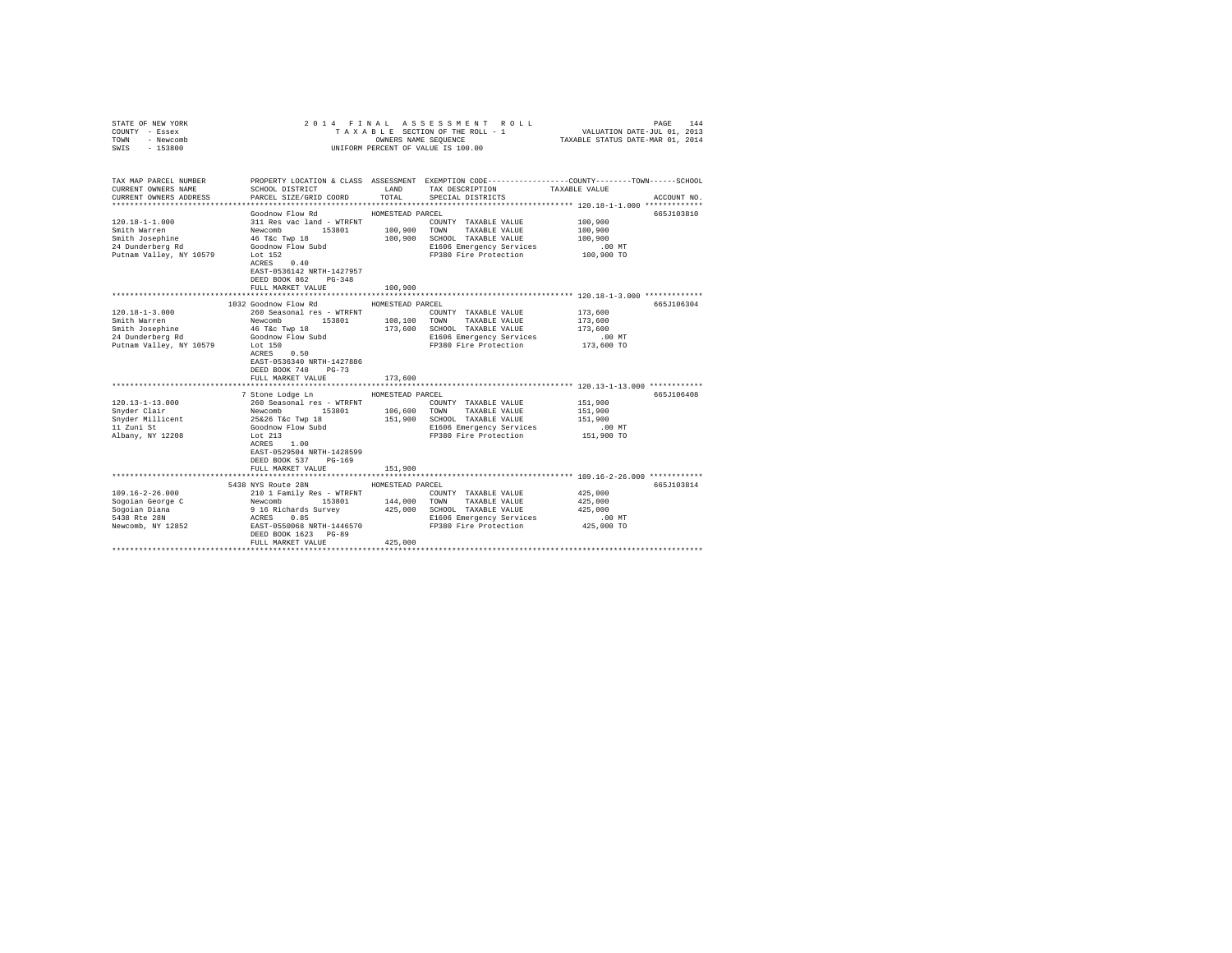| STATE OF NEW YORK<br>COUNTY - Essex<br>TOWN<br>- Newcomb<br>$-153800$<br>SWIS                                       | 2014 FINAL ASSESSMENT ROLL<br>TAXABLE SECTION OF THE ROLL - 1<br>UNIFORM PERCENT OF VALUE IS 100.00 | PAGE<br>144<br>VALUATION DATE-JUL 01, 2013<br>TAXABLE STATUS DATE-MAR 01, 2014 |                                                   |                                                                                                 |  |
|---------------------------------------------------------------------------------------------------------------------|-----------------------------------------------------------------------------------------------------|--------------------------------------------------------------------------------|---------------------------------------------------|-------------------------------------------------------------------------------------------------|--|
|                                                                                                                     |                                                                                                     |                                                                                |                                                   |                                                                                                 |  |
| TAX MAP PARCEL NUMBER                                                                                               |                                                                                                     |                                                                                |                                                   | PROPERTY LOCATION & CLASS ASSESSMENT EXEMPTION CODE---------------COUNTY-------TOWN------SCHOOL |  |
| CURRENT OWNERS NAME                                                                                                 | SCHOOL DISTRICT                                                                                     | LAND                                                                           | TAX DESCRIPTION                                   | TAXABLE VALUE                                                                                   |  |
| CURRENT OWNERS ADDRESS                                                                                              | PARCEL SIZE/GRID COORD                                                                              | TOTAL                                                                          | SPECIAL DISTRICTS                                 | ACCOUNT NO.                                                                                     |  |
|                                                                                                                     | Goodnow Flow Rd                                                                                     | HOMESTEAD PARCEL                                                               |                                                   | 665J103810                                                                                      |  |
| $120.18 - 1 - 1.000$                                                                                                | 311 Res vac land - WTRFNT                                                                           |                                                                                | COUNTY TAXABLE VALUE                              | 100,900                                                                                         |  |
| Smith Warren                                                                                                        | Newcomb 153801                                                                                      | 100,900                                                                        | TOWN<br>TAXABLE VALUE                             | 100,900                                                                                         |  |
| Smith Josephine                                                                                                     | 46 T&c Twp 18                                                                                       | 100,900                                                                        | SCHOOL TAXABLE VALUE                              | 100,900                                                                                         |  |
| 24 Dunderberg Rd                                                                                                    | Goodnow Flow Subd                                                                                   |                                                                                | E1606 Emergency Services                          | $.00$ MT                                                                                        |  |
| Putnam Valley, NY 10579                                                                                             | Lot 152                                                                                             |                                                                                | FP380 Fire Protection                             | 100,900 TO                                                                                      |  |
|                                                                                                                     | ACRES 0.40                                                                                          |                                                                                |                                                   |                                                                                                 |  |
|                                                                                                                     | EAST-0536142 NRTH-1427957                                                                           |                                                                                |                                                   |                                                                                                 |  |
|                                                                                                                     | DEED BOOK 862 PG-348                                                                                |                                                                                |                                                   |                                                                                                 |  |
|                                                                                                                     | FULL MARKET VALUE                                                                                   | 100,900                                                                        |                                                   |                                                                                                 |  |
| **************************** 120.18-1-3.000 *************<br>1032 Goodnow Flow Rd<br>HOMESTEAD PARCEL<br>665J106304 |                                                                                                     |                                                                                |                                                   |                                                                                                 |  |
| $120.18 - 1 - 3.000$                                                                                                | 260 Seasonal res - WTRFNT                                                                           |                                                                                | COUNTY TAXABLE VALUE                              | 173,600                                                                                         |  |
| Smith Warren                                                                                                        | Newcomb<br>153801                                                                                   | 108,100 TOWN                                                                   | TAXABLE VALUE                                     | 173,600                                                                                         |  |
| Smith Josephine                                                                                                     | 46 T&c Twp 18                                                                                       | 173,600                                                                        | SCHOOL TAXABLE VALUE                              | 173,600                                                                                         |  |
| 24 Dunderberg Rd                                                                                                    | Goodnow Flow Subd                                                                                   |                                                                                | E1606 Emergency Services                          | $.00$ MT                                                                                        |  |
| Putnam Valley, NY 10579                                                                                             | Lot 150                                                                                             |                                                                                | FP380 Fire Protection                             | 173,600 TO                                                                                      |  |
|                                                                                                                     | ACRES 0.50                                                                                          |                                                                                |                                                   |                                                                                                 |  |
|                                                                                                                     | EAST-0536340 NRTH-1427886                                                                           |                                                                                |                                                   |                                                                                                 |  |
|                                                                                                                     | DEED BOOK 748<br>$PG-73$                                                                            |                                                                                |                                                   |                                                                                                 |  |
|                                                                                                                     | FULL MARKET VALUE                                                                                   | 173,600                                                                        |                                                   |                                                                                                 |  |
|                                                                                                                     |                                                                                                     |                                                                                |                                                   |                                                                                                 |  |
|                                                                                                                     | 7 Stone Lodge Ln                                                                                    | HOMESTEAD PARCEL                                                               |                                                   | 665J106408                                                                                      |  |
| $120.13 - 1 - 13.000$                                                                                               | 260 Seasonal res - WTRFNT                                                                           |                                                                                | COUNTY TAXABLE VALUE                              | 151,900                                                                                         |  |
| Snyder Clair                                                                                                        | Newcomb 153801                                                                                      | 106,600                                                                        | TOWN TAXABLE VALUE                                | 151,900                                                                                         |  |
| Snyder Millicent                                                                                                    | 25&26 T&c Twp 18                                                                                    | 151,900                                                                        | SCHOOL TAXABLE VALUE                              | 151,900                                                                                         |  |
| 11 Zuni St                                                                                                          | Goodnow Flow Subd<br>Lot 213                                                                        |                                                                                | E1606 Emergency Services<br>FP380 Fire Protection | $.00$ MT<br>151,900 TO                                                                          |  |
| Albany, NY 12208                                                                                                    | ACRES 1.00                                                                                          |                                                                                |                                                   |                                                                                                 |  |
|                                                                                                                     | EAST-0529504 NRTH-1428599                                                                           |                                                                                |                                                   |                                                                                                 |  |
|                                                                                                                     | DEED BOOK 537 PG-169                                                                                |                                                                                |                                                   |                                                                                                 |  |
|                                                                                                                     | FULL MARKET VALUE                                                                                   | 151,900                                                                        |                                                   |                                                                                                 |  |
|                                                                                                                     |                                                                                                     |                                                                                |                                                   |                                                                                                 |  |
|                                                                                                                     | 5438 NYS Route 28N                                                                                  | HOMESTEAD PARCEL                                                               |                                                   | 665J103814                                                                                      |  |
| $109.16 - 2 - 26.000$                                                                                               | 210 1 Family Res - WTRFNT                                                                           |                                                                                | COUNTY TAXABLE VALUE                              | 425,000                                                                                         |  |
| Sogoian George C                                                                                                    | Newcomb 153801                                                                                      | 144,000                                                                        | TOWN<br>TAXABLE VALUE                             | 425,000                                                                                         |  |
| Sogoian Diana                                                                                                       | 9 16 Richards Survey                                                                                | 425,000                                                                        | SCHOOL TAXABLE VALUE                              | 425,000                                                                                         |  |
| 5438 Rte 28N                                                                                                        | ACRES<br>0.85                                                                                       |                                                                                | E1606 Emergency Services                          | $.00$ MT                                                                                        |  |
| Newcomb, NY 12852                                                                                                   | EAST-0550068 NRTH-1446570                                                                           |                                                                                | FP380 Fire Protection                             | 425,000 TO                                                                                      |  |
|                                                                                                                     | DEED BOOK 1623 PG-89                                                                                |                                                                                |                                                   |                                                                                                 |  |
|                                                                                                                     | FULL MARKET VALUE                                                                                   | 425,000                                                                        |                                                   |                                                                                                 |  |
|                                                                                                                     |                                                                                                     |                                                                                |                                                   |                                                                                                 |  |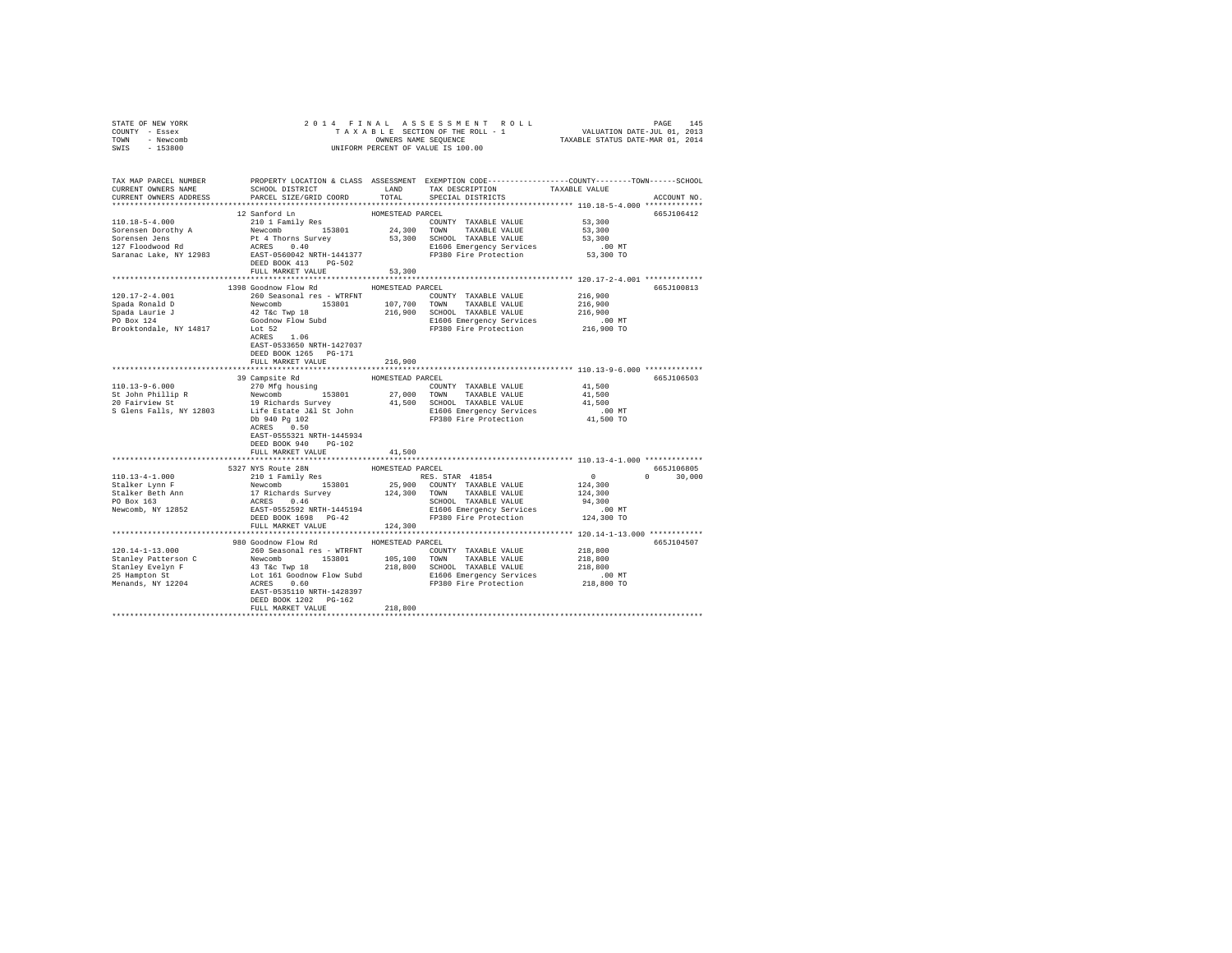| STATE OF NEW YORK | 2014 FINAL ASSESSMENT ROLL         | 145<br>PAGE                      |
|-------------------|------------------------------------|----------------------------------|
| COUNTY - Essex    | TAXABLE SECTION OF THE ROLL - 1    | VALUATION DATE-JUL 01, 2013      |
| TOWN<br>- Newcomb | OWNERS NAME SEOUENCE               | TAXABLE STATUS DATE-MAR 01, 2014 |
| $-153800$<br>SWIS | UNIFORM PERCENT OF VALUE IS 100.00 |                                  |

| TAX MAP PARCEL NUMBER<br>CURRENT OWNERS NAME | SCHOOL DISTRICT                                                                                                                                                                                                                            | LAND             | PROPERTY LOCATION & CLASS ASSESSMENT EXEMPTION CODE----------------COUNTY-------TOWN------SCHOOL<br>TAX DESCRIPTION | TAXABLE VALUE                                    |               |
|----------------------------------------------|--------------------------------------------------------------------------------------------------------------------------------------------------------------------------------------------------------------------------------------------|------------------|---------------------------------------------------------------------------------------------------------------------|--------------------------------------------------|---------------|
| CURRENT OWNERS ADDRESS                       | PARCEL SIZE/GRID COORD<br>**************************                                                                                                                                                                                       | TOTAL            | SPECIAL DISTRICTS                                                                                                   |                                                  | ACCOUNT NO.   |
|                                              | 12 Sanford Ln                                                                                                                                                                                                                              | HOMESTEAD PARCEL |                                                                                                                     |                                                  | 665J106412    |
| $110.18 - 5 - 4.000$                         |                                                                                                                                                                                                                                            |                  | COUNTY TAXABLE VALUE                                                                                                | 53,300                                           |               |
| Sorensen Dorothy A                           | 210 1 Family Res<br>Newcomb 153801                                                                                                                                                                                                         |                  | 24,300 TOWN TAXABLE VALUE                                                                                           | 53,300                                           |               |
| Sorensen Jens                                |                                                                                                                                                                                                                                            |                  | 53,300 SCHOOL TAXABLE VALUE                                                                                         | 53,300                                           |               |
| 127 Floodwood Rd                             |                                                                                                                                                                                                                                            |                  | E1606 Emergency Services                                                                                            | $.00$ MT                                         |               |
| Saranac Lake, NY 12983                       | Pt 4 Thorns Survey 53,30<br>ACRES 0.40 53,30<br>EAST-0560042 NRTH-1441377                                                                                                                                                                  |                  | FP380 Fire Protection                                                                                               | 53,300 TO                                        |               |
|                                              | DEED BOOK 413 PG-502                                                                                                                                                                                                                       |                  |                                                                                                                     |                                                  |               |
|                                              | FULL MARKET VALUE                                                                                                                                                                                                                          | 53,300           |                                                                                                                     |                                                  |               |
|                                              | ******************************                                                                                                                                                                                                             | **************   |                                                                                                                     | ******************* 120.17-2-4.001 ************* |               |
|                                              | 1398 Goodnow Flow Rd                                                                                                                                                                                                                       | HOMESTEAD PARCEL |                                                                                                                     |                                                  | 665J100813    |
| $120.17 - 2 - 4.001$                         | 260 Seasonal res - WTRFNT<br>153801                                                                                                                                                                                                        | 107,700          | COUNTY TAXABLE VALUE<br>TOWN TAXABLE VALUE                                                                          | 216,900<br>216,900                               |               |
| Spada Ronald D                               |                                                                                                                                                                                                                                            |                  | 216,900 SCHOOL TAXABLE VALUE                                                                                        | 216,900                                          |               |
| Spada Laurie J<br>PO Box 124                 | Newcomb 153801<br>42 T&c Twp 18<br>Goodnow Flow Subd                                                                                                                                                                                       |                  | E1606 Emergency Services                                                                                            | .00 MT                                           |               |
| Brooktondale, NY 14817                       | Lot 52                                                                                                                                                                                                                                     |                  | FP380 Fire Protection 216,900 TO                                                                                    |                                                  |               |
|                                              | ACRES 1.06                                                                                                                                                                                                                                 |                  |                                                                                                                     |                                                  |               |
|                                              | EAST-0533650 NRTH-1427037                                                                                                                                                                                                                  |                  |                                                                                                                     |                                                  |               |
|                                              | DEED BOOK 1265 PG-171                                                                                                                                                                                                                      |                  |                                                                                                                     |                                                  |               |
|                                              | FULL MARKET VALUE                                                                                                                                                                                                                          | 216,900          |                                                                                                                     |                                                  |               |
|                                              |                                                                                                                                                                                                                                            |                  |                                                                                                                     |                                                  |               |
|                                              | 39 Campsite Rd                                                                                                                                                                                                                             | HOMESTEAD PARCEL |                                                                                                                     |                                                  | 665J106503    |
| 110.13-9-6.000                               | 270 Mfg housing                                                                                                                                                                                                                            |                  | COUNTY TAXABLE VALUE                                                                                                | 41,500                                           |               |
| St John Phillip R<br>20 Fairview St          | Newcomb 153801                                                                                                                                                                                                                             |                  | 27,000 TOWN TAXABLE VALUE<br>41,500 SCHOOL TAXABLE VALUE                                                            | 41,500                                           |               |
|                                              |                                                                                                                                                                                                                                            |                  |                                                                                                                     | 41,500                                           |               |
| S Glens Falls, NY 12803                      |                                                                                                                                                                                                                                            |                  | E1606 Emergency Services .00 MT<br>FP380 Fire Protection 41,500 TO                                                  |                                                  |               |
|                                              | 19 Richards Survey<br>Life Estate J&l St John<br>Db 940 Pg 102<br>ACRES 0.50                                                                                                                                                               |                  |                                                                                                                     |                                                  |               |
|                                              | EAST-0555321 NRTH-1445934                                                                                                                                                                                                                  |                  |                                                                                                                     |                                                  |               |
|                                              | $PG-102$<br>DEED BOOK 940                                                                                                                                                                                                                  |                  |                                                                                                                     |                                                  |               |
|                                              | FULL MARKET VALUE                                                                                                                                                                                                                          | 41,500           |                                                                                                                     |                                                  |               |
|                                              |                                                                                                                                                                                                                                            |                  |                                                                                                                     |                                                  |               |
|                                              | 5327 NYS Route 28N                                                                                                                                                                                                                         | HOMESTEAD PARCEL |                                                                                                                     |                                                  | 665J106805    |
| $110.13 - 4 - 1.000$                         | 210 1 Family Res                                                                                                                                                                                                                           |                  | RES. STAR 41854                                                                                                     | $\sim$ 0                                         | $0 \t 30,000$ |
|                                              |                                                                                                                                                                                                                                            |                  | 25,900 COUNTY TAXABLE VALUE<br>124,300 TOWN TAXABLE VALUE                                                           | 124,300                                          |               |
|                                              |                                                                                                                                                                                                                                            |                  |                                                                                                                     | 124,300                                          |               |
|                                              | 1999 - 1999 - 1999 - 1999 - 1999 - 1999 - 1999 - 1999 - 1999 - 1999 - 1999 - 1999 - 1999 - 1999 - 1999 - 1999 - 1999 - 1999 - 1999 - 1999 - 1999 - 1999 - 1999 - 1999 - 1999 - 1999 - 1999 - 1999 - 1999 - 1999 - 1999 - 1999              |                  | SCHOOL TAXABLE VALUE                                                                                                | 94,300                                           |               |
|                                              |                                                                                                                                                                                                                                            |                  | E1606 Emergency Services                                                                                            | $.00$ MT                                         |               |
|                                              | DEED BOOK 1698 PG-42                                                                                                                                                                                                                       |                  | FP380 Fire Protection                                                                                               | 124,300 TO                                       |               |
|                                              | FULL MARKET VALUE                                                                                                                                                                                                                          | 124,300          |                                                                                                                     |                                                  |               |
|                                              | 980 Goodnow Flow Rd                                                                                                                                                                                                                        | HOMESTEAD PARCEL |                                                                                                                     |                                                  | 665J104507    |
| $120.14 - 1 - 13.000$                        | 260 Seasonal res - WTRFNT                                                                                                                                                                                                                  |                  | COUNTY TAXABLE VALUE                                                                                                | 218,800                                          |               |
|                                              |                                                                                                                                                                                                                                            |                  |                                                                                                                     | 218,800                                          |               |
| Stanley Patterson C<br>Stanley Evelyn F      | 200 Seasona<br>i $\texttt{F6} = \texttt{WIRNF}$ 105,100 NWM TAXABLE VALUE 43 TKC TWD 153801 105,100 SCHOOL TAXABLE VALUE 43 TKC TO LOC TAXABLE VALUE LOC 161 GOODL TAXABLE VALUE LOC 161 GOODL TAXABLE VALUE LOC 161 GOODL TAXABLE VALUE F |                  |                                                                                                                     | 218,800                                          |               |
| 25 Hampton St                                |                                                                                                                                                                                                                                            |                  | E1606 Emergency Services                                                                                            |                                                  |               |
| Menands, NY 12204                            |                                                                                                                                                                                                                                            |                  | FP380 Fire Protection                                                                                               | 00 MT.<br>218,800 TO                             |               |
|                                              |                                                                                                                                                                                                                                            |                  |                                                                                                                     |                                                  |               |
|                                              | DEED BOOK 1202 PG-162                                                                                                                                                                                                                      |                  |                                                                                                                     |                                                  |               |
|                                              | FULL MARKET VALUE                                                                                                                                                                                                                          | 218,800          |                                                                                                                     |                                                  |               |
|                                              |                                                                                                                                                                                                                                            |                  |                                                                                                                     |                                                  |               |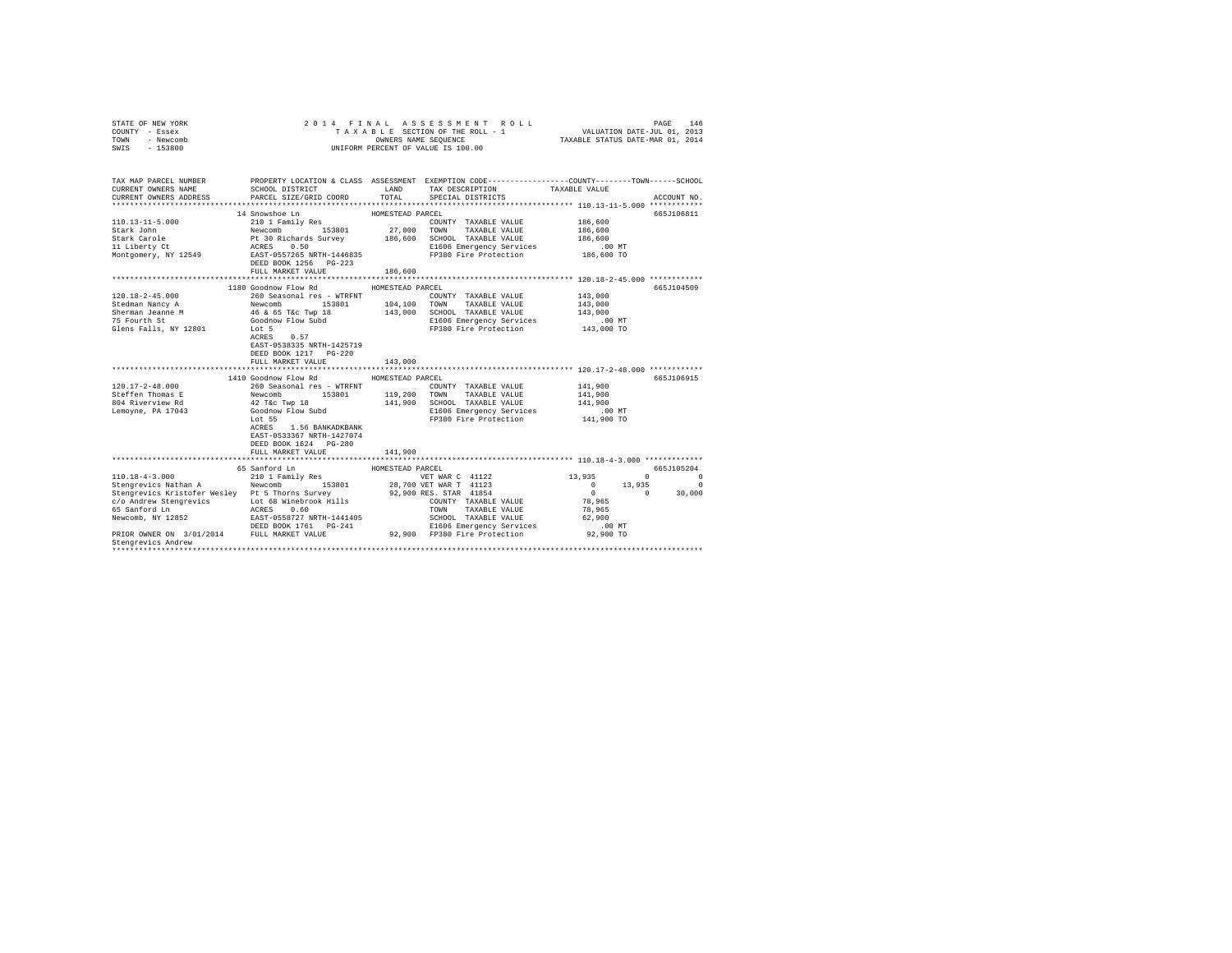| STATE OF NEW YORK<br>COUNTY - Essex<br>TOWN<br>- Newcomb<br>$-153800$<br>SWIS                                                                                                                                                                                    | 2014 FINAL                                                                                                                                                                                                                     |                                                   | ASSESSMENT ROLL<br>TAXABLE SECTION OF THE ROLL - 1<br>OWNERS NAME SEQUENCE<br>UNIFORM PERCENT OF VALUE IS 100.00                                                                           | VALUATION DATE-JUL 01, 2013<br>TAXABLE STATUS DATE-MAR 01, 2014                                                         | PAGE<br>146                                  |
|------------------------------------------------------------------------------------------------------------------------------------------------------------------------------------------------------------------------------------------------------------------|--------------------------------------------------------------------------------------------------------------------------------------------------------------------------------------------------------------------------------|---------------------------------------------------|--------------------------------------------------------------------------------------------------------------------------------------------------------------------------------------------|-------------------------------------------------------------------------------------------------------------------------|----------------------------------------------|
| TAX MAP PARCEL NUMBER<br>CURRENT OWNERS NAME<br>CURRENT OWNERS ADDRESS                                                                                                                                                                                           | SCHOOL DISTRICT<br>PARCEL SIZE/GRID COORD                                                                                                                                                                                      | LAND<br>TOTAL                                     | PROPERTY LOCATION & CLASS ASSESSMENT EXEMPTION CODE---------------COUNTY-------TOWN------SCHOOL<br>TAX DESCRIPTION<br>SPECIAL DISTRICTS                                                    | TAXABLE VALUE                                                                                                           | ACCOUNT NO.                                  |
| $110.13 - 11 - 5.000$<br>Stark John<br>Stark Carole<br>11 Liberty Ct<br>Montgomery, NY 12549                                                                                                                                                                     | 14 Snowshoe Ln<br>210 1 Family Res<br>Newcomb 153801<br>Pt 30 Richards Survey 186,600<br>ACRES 0.50<br>EAST-0557265 NRTH-1446835<br>DEED BOOK 1256 PG-223<br>FULL MARKET VALUE                                                 | HOMESTEAD PARCEL<br>27,000<br>186,600             | COUNTY TAXABLE VALUE<br>TOWN<br>TAXABLE VALUE<br>SCHOOL TAXABLE VALUE<br>E1606 Emergency Services<br>FP380 Fire Protection                                                                 | 186,600<br>186,600<br>186,600<br>$.00$ MT<br>186,600 TO                                                                 | 665J106811                                   |
| $120.18 - 2 - 45.000$<br>Stedman Nancy A<br>Sherman Jeanne M<br>75 Fourth St<br>Glens Falls, NY 12801                                                                                                                                                            | 1180 Goodnow Flow Rd<br>260 Seasonal res - WTRFNT<br>Newcomb 153801<br>46 & 65 T&c Twp 18<br>Goodnow Flow Subd<br>Lot 5<br>ACRES<br>0.57<br>EAST-0538335 NRTH-1425719<br>DEED BOOK 1217 PG-220<br>FULL MARKET VALUE            | HOMESTEAD PARCEL<br>104,100<br>143,000<br>143,000 | COUNTY TAXABLE VALUE<br>TOWN<br>TAXABLE VALUE<br>SCHOOL TAXABLE VALUE<br>E1606 Emergency Services<br>FP380 Fire Protection<br>******************************* 120.17-2-48.000 ************ | 143,000<br>143,000<br>143,000<br>$.00$ MT<br>143,000 TO                                                                 | 665J104509                                   |
| $120.17 - 2 - 48.000$<br>Steffen Thomas E<br>804 Riverview Rd<br>Lemoyne, PA 17043                                                                                                                                                                               | 1410 Goodnow Flow Rd<br>260 Seasonal res - WTRFNT<br>Newcomb<br>153801<br>42 T&c Twp 18<br>Goodnow Flow Subd<br>Lot 55<br>ACRES<br>1.56 BANKADKBANK<br>EAST-0533367 NRTH-1427074<br>DEED BOOK 1624 PG-280<br>FULL MARKET VALUE | HOMESTEAD PARCEL<br>119,200<br>141,900            | COUNTY TAXABLE VALUE<br>TOWN TAXABLE VALUE<br>141,900 SCHOOL TAXABLE VALUE<br>E1606 Emergency Services<br>FP380 Fire Protection                                                            | 141,900<br>141,900<br>141,900<br>$.00$ MT<br>141,900 TO                                                                 | 665J106915                                   |
| $110.18 - 4 - 3.000$<br>Stengrevics Nathan A<br>Stengrevics Kristofer Wesley Pt 5 Thorns Survey<br>c/o Andrew Stengrevics<br>65 Sanford Ln<br>Newcomb, NY 12852<br>PRIOR OWNER ON 3/01/2014 FULL MARKET VALUE 92,900 FP380 Fire Protection<br>Stengrevics Andrew | 65 Sanford Ln<br>210 1 Family Res<br>153801<br>Newcomb<br>Lot 68 Winebrook Hills<br>ACRES 0.60<br>EAST-0558727 NRTH-1441405                                                                                                    | HOMESTEAD PARCEL                                  | VET WAR C 41122<br>28,700 VET WAR T 41123<br>92,900 RES. STAR 41854<br>COUNTY TAXABLE VALUE<br>TOWN<br>TAXABLE VALUE<br>SCHOOL TAXABLE VALUE<br>E1606 Emergency Services                   | 13,935<br>$\Omega$<br>$\sim$ 0<br>13,935<br>$\sim$ 0<br>$\Omega$<br>78,965<br>78,965<br>62,900<br>$.00$ MT<br>92,900 TO | 665J105204<br>$\sim$ 0<br>$\Omega$<br>30,000 |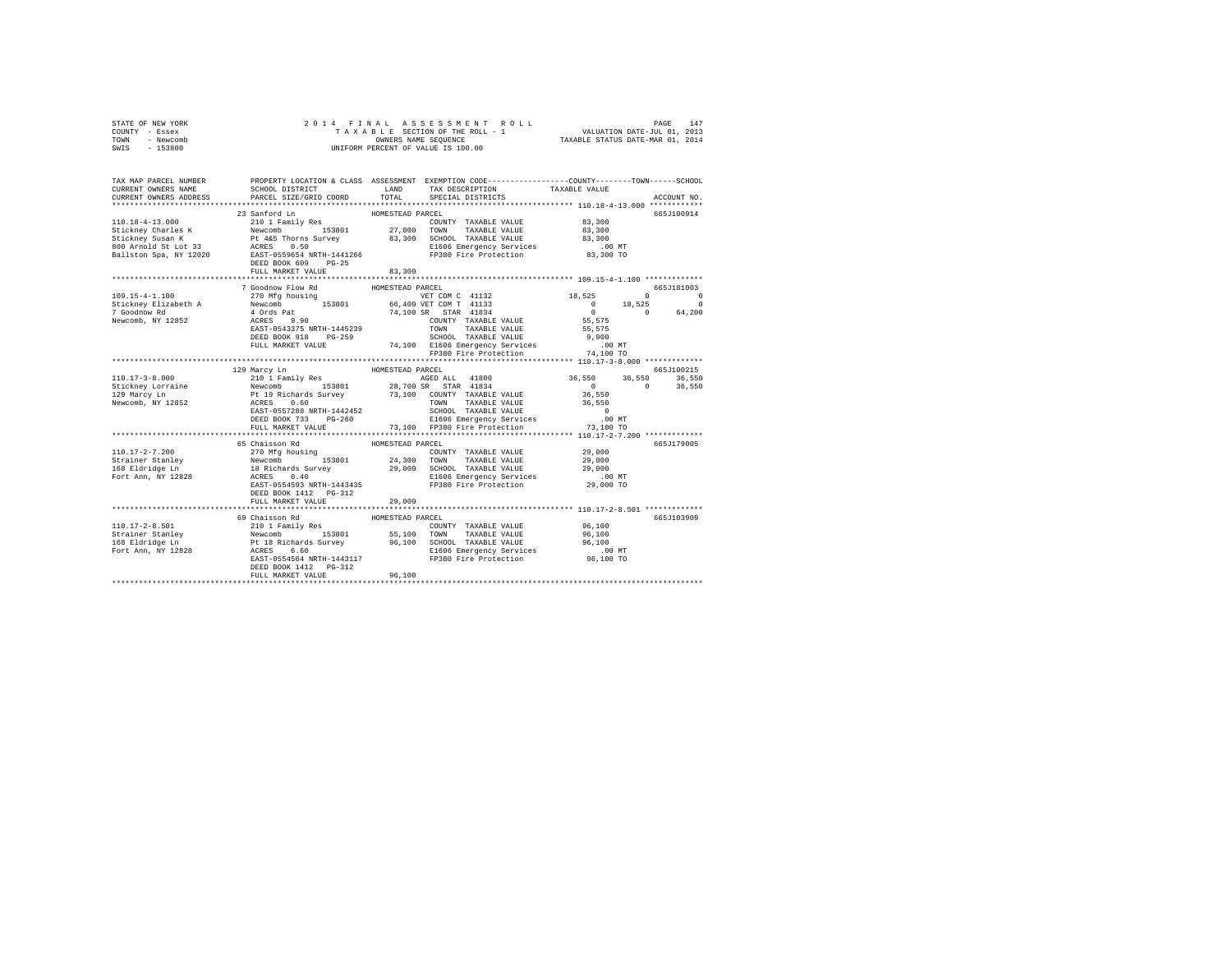| STATE OF NEW YORK | 2014 FINAL ASSESSMENT ROLL         | 147<br>PAGE                      |
|-------------------|------------------------------------|----------------------------------|
| COUNTY - Essex    | TAXABLE SECTION OF THE ROLL - 1    | VALUATION DATE-JUL 01, 2013      |
| TOWN<br>- Newcomb | OWNERS NAME SEOUENCE               | TAXABLE STATUS DATE-MAR 01, 2014 |
| - 153800<br>SWIS  | UNIFORM PERCENT OF VALUE IS 100.00 |                                  |

| TAX MAP PARCEL NUMBER<br>CURRENT OWNERS NAME<br>CURRENT OWNERS ADDRESS      | SCHOOL DISTRICT<br>LAND<br>PARCEL SIZE/GRID COORD<br>******************************                                                                                                                                                                                                       | PROPERTY LOCATION & CLASS ASSESSMENT EXEMPTION CODE----------------COUNTY-------TOWN------SCHOOL<br>TAX DESCRIPTION<br>TOTAL<br>SPECIAL DISTRICTS                                                                                                                                                                                                                                                                                      | TAXABLE VALUE<br>ACCOUNT NO.                                                                                                                                             |
|-----------------------------------------------------------------------------|-------------------------------------------------------------------------------------------------------------------------------------------------------------------------------------------------------------------------------------------------------------------------------------------|----------------------------------------------------------------------------------------------------------------------------------------------------------------------------------------------------------------------------------------------------------------------------------------------------------------------------------------------------------------------------------------------------------------------------------------|--------------------------------------------------------------------------------------------------------------------------------------------------------------------------|
|                                                                             | 23 Sanford Ln<br>110.18-4-13.000<br>Stickney Charles K 210 1 Family Res<br>Stickney Susan K Pt 445 Thorns Survey 33,300<br>83,300<br>Res 200 Res 12020<br>Rallston Spa, NY 12020<br>Rallston Spa, NY 12020<br>Res 10.596544 NRTH-1441266<br>DEED BOOK 609<br>$PG-25$<br>FULL MARKET VALUE | HOMESTEAD PARCEL<br>COUNTY TAXABLE VALUE 83,300<br>27,000<br>TOWN TAXABLE VALUE 83,300<br>83,300 SCHOOL TAXABLE VALUE<br>E1606 Emergency Services .00 MT<br>FP380 Fire Protection .03,300 TO<br>83,300                                                                                                                                                                                                                                 | 665J100914<br>83,300                                                                                                                                                     |
| 109.15-4-1.100<br>Stickney Elizabeth A<br>7 Goodnow Rd<br>Newcomb, NY 12852 | 7 Goodnow Flow Rd<br>ACRES 9.90<br>EAST-0543375 NRTH-1445239<br>DEED BOOK 918<br>FILL MARGET 10 PG-259                                                                                                                                                                                    | HOMESTEAD PARCEL<br>$\begin{tabular}{lllllllll} $\angle\,/\,0$ & $V\&$T-COM $C$ & $41132$\\ {\bf Newton} & & $153801$ & $66,400 $V\&$T COM $C$ & $41133$\\ $4$ & Ords $pat$ & $18301$ & $74,100 $S$ & $STR$ & $41834$\\ $ACERS & $9,90$ & $C0!NT$Y & $T\&$Y\&$Y\&$Y\&$X\&$X\&$X\&$X\&$Y\&$Y\&$X\&$X\&$X\&$X\&$X\&$X\&$X\&$X\&$X$<br>74,100 SR STAR 41834<br>COUNTY TAXABLE VALUE<br>TOWN       TAXABLE VALUE<br>SCHOOL   TAXABLE VALUE | 665-1181003<br>18,525<br>$\sim$ 0<br>$\circ$<br>$18,525$ 0<br>0 18,525<br>$\circ$<br>$0 \t 0 \t 64,200$<br>$\begin{array}{c} 0 \\ 55,575 \end{array}$<br>55,575<br>9,900 |
|                                                                             | FULL MARKET VALUE                                                                                                                                                                                                                                                                         | HOMESTEAD PARCEL<br>AGED ALL 41800<br>153801 28,700 SR STAR 41834<br>73,100 COUNTY TAXABLE VALUE<br>TAXABLE VALUE 36,550<br>TOWN<br>SCHOOL TAXABLE VALUE<br>E1606 Emergency Services .00 MT<br>73,100 FP380 Fire Protection .00 73,100 TO                                                                                                                                                                                              | 665J100215<br>36,550 36,550 36,550<br>0 0 36,550<br>$\sim$ 0<br>36,550                                                                                                   |
| 110.17-2-7.200<br>Strainer Stanley<br>168 Eldridge Ln<br>Fort Ann, NY 12828 | 65 Chaisson Rd<br>DEED BOOK 1412    PG-312<br>FULL MARKET VALUE                                                                                                                                                                                                                           | HOMESTEAD PARCEL<br>COUNTY TAXABLE VALUE 29,000<br>Newcomb 153801 24,300 TOWN TAXABLE VALUE 29,000<br>18 Reichards Survey 29,000 SCHOOL TAXABLE VALUE 29,000<br>18 Richards Survey 29,000 SCHOOL TAXABLE VALUE 29,000<br>ACRES 0.40 S1606 Emergency Servic<br>29,000<br>*******************                                                                                                                                            | 665J179005<br>********************************* 110.17-2-8.501 *************                                                                                             |
|                                                                             | 69 Chaisson Rd<br>DEED BOOK 1412   PG-312<br>FULL MARKET VALUE                                                                                                                                                                                                                            | HOMESTEAD PARCEL<br>110.17-2-8.501 - 110.17-2-8.501 - 110.17-2-8.501 - 2010<br>Strainer Stanley - 12010 Family Res 153801 - 55,100 TOWN TAXABLE VALUE 96,100<br>168 Eldridge Ln - Pr. 18 Richards Survey - 96,100 - 2010 - 2010<br>168 Eldridge Ln - Pr. 18<br>96,100                                                                                                                                                                  | 665J103909                                                                                                                                                               |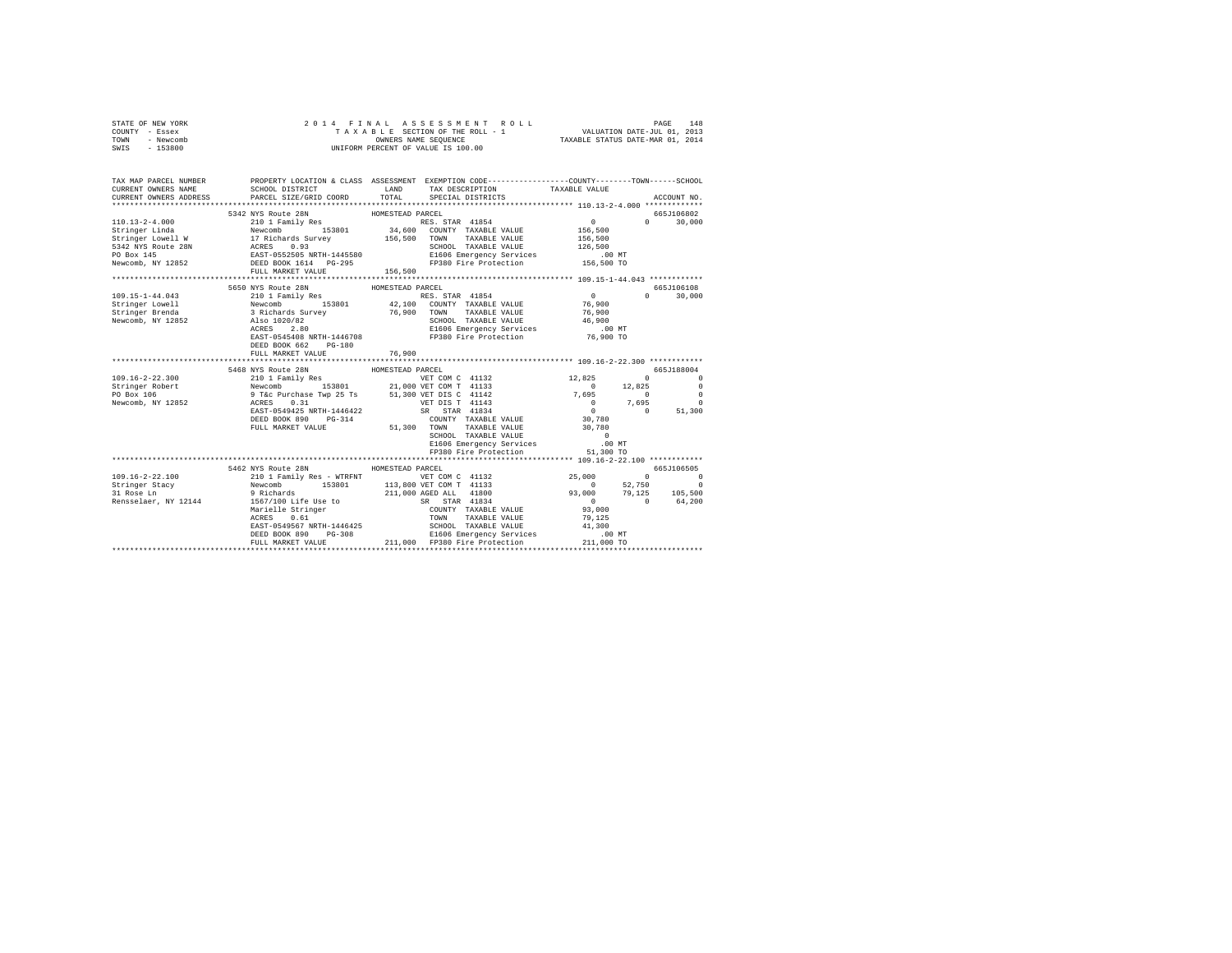| STATE OF NEW YORK<br>COUNTY - Essex<br>TOWN - Newcomb<br>SWIS - 153800 |                                                                                                                 | 4 FINAL ASSESSMENT ROLL<br>TAXABLE SECTION OF THE ROLL - 1 VALUATION DATE-JUL 01, 2013<br>"WITCONN DRIVERS NAME SEQUENCE CASSES TAXABLE STATUS DATE-MAR 01, 2014<br>2014 FINAL ASSESSMENT ROLL<br>UNIFORM PERCENT OF VALUE IS 100.00                                                                                                                                                                                          |                                                                   |
|------------------------------------------------------------------------|-----------------------------------------------------------------------------------------------------------------|-------------------------------------------------------------------------------------------------------------------------------------------------------------------------------------------------------------------------------------------------------------------------------------------------------------------------------------------------------------------------------------------------------------------------------|-------------------------------------------------------------------|
| CURRENT OWNERS NAME                                                    |                                                                                                                 | TAX MAP PARCEL NUMBER PROPERTY LOCATION & CLASS ASSESSMENT EXEMPTION CODE--------------COUNTY-------TOWN-----SCHOOL<br>SCHOOL DISTRICT TAND TAX DESCRIPTION TAXABLE VALUE                                                                                                                                                                                                                                                     |                                                                   |
| CURRENT OWNERS ADDRESS                                                 |                                                                                                                 | PARCEL SIZE/GRID COORD TOTAL SPECIAL DISTRICTS                                                                                                                                                                                                                                                                                                                                                                                | ACCOUNT NO.                                                       |
|                                                                        |                                                                                                                 | $\begin{tabular}{l c c c c c} \multicolumn{1}{c}{\textbf{5342 NYS Route 28N}} & \multicolumn{1}{c}{\textbf{5342 NYS Route 28N}} & \multicolumn{1}{c}{\textbf{5342 NYS Route 28N}} & \multicolumn{1}{c}{\textbf{5342 NIS R്RICEL}} & \multicolumn{1}{c}{\textbf{RICSL}} & \multicolumn{1}{c}{\textbf{5342 NIS R} & \multicolumn{1}{c}{\textbf{5342 NUS R} & \multicolumn{1}{c}{\textbf{5342 NUS R} & \multicolumn{1}{c}{\text$ | 665J106802                                                        |
|                                                                        |                                                                                                                 |                                                                                                                                                                                                                                                                                                                                                                                                                               | $\mathbf{0}$<br>$0 \t 30,000$                                     |
|                                                                        |                                                                                                                 |                                                                                                                                                                                                                                                                                                                                                                                                                               | 156,500                                                           |
|                                                                        |                                                                                                                 |                                                                                                                                                                                                                                                                                                                                                                                                                               | 156,500                                                           |
|                                                                        |                                                                                                                 |                                                                                                                                                                                                                                                                                                                                                                                                                               | 126,500                                                           |
|                                                                        |                                                                                                                 |                                                                                                                                                                                                                                                                                                                                                                                                                               | .00MT                                                             |
|                                                                        |                                                                                                                 |                                                                                                                                                                                                                                                                                                                                                                                                                               | 156,500 TO                                                        |
|                                                                        | FULL MARKET VALUE                                                                                               | 156,500                                                                                                                                                                                                                                                                                                                                                                                                                       |                                                                   |
|                                                                        |                                                                                                                 |                                                                                                                                                                                                                                                                                                                                                                                                                               |                                                                   |
|                                                                        | 5650 NYS Route 28N                                                                                              | HOMESTEAD PARCEL                                                                                                                                                                                                                                                                                                                                                                                                              | 665J106108                                                        |
| 109.15-1-44.043                                                        |                                                                                                                 | RES. STAR 41854<br>42,100 COUNTY TAXABLE VALUE                                                                                                                                                                                                                                                                                                                                                                                | $\sim$ 0<br>$\Omega$<br>30,000<br>76,900                          |
| Stringer Lowell                                                        |                                                                                                                 |                                                                                                                                                                                                                                                                                                                                                                                                                               |                                                                   |
| Stringer Brenda<br>Newcomb, NY 12852                                   | 210 1 Family Res<br>210 1 Family Res<br>3 Richards Survey<br>215 3 Richards Survey<br>2180 1020/82<br>2020 2021 | 76,900 TOWN TAXABLE VALUE                                                                                                                                                                                                                                                                                                                                                                                                     | 76,900                                                            |
|                                                                        |                                                                                                                 | SCHOOL TAXABLE VALUE                                                                                                                                                                                                                                                                                                                                                                                                          | 46,900                                                            |
|                                                                        |                                                                                                                 | ACRES 2.80<br>EAST-0545408 NRTH-1446708 FP380 Fire Protection                                                                                                                                                                                                                                                                                                                                                                 | $.00$ MT<br>76,900 TO                                             |
|                                                                        | DEED BOOK 662 PG-180                                                                                            |                                                                                                                                                                                                                                                                                                                                                                                                                               |                                                                   |
|                                                                        | FULL MARKET VALUE                                                                                               | 76,900                                                                                                                                                                                                                                                                                                                                                                                                                        |                                                                   |
|                                                                        |                                                                                                                 |                                                                                                                                                                                                                                                                                                                                                                                                                               |                                                                   |
|                                                                        |                                                                                                                 |                                                                                                                                                                                                                                                                                                                                                                                                                               | 665J188004                                                        |
| 109.16-2-22.300                                                        |                                                                                                                 | VET COM C 41132 12,825                                                                                                                                                                                                                                                                                                                                                                                                        | $\begin{array}{ccc}\n0 & & & 0\n\end{array}$                      |
| Stringer Robert                                                        |                                                                                                                 |                                                                                                                                                                                                                                                                                                                                                                                                                               | $\sim$ 0<br>12,825<br>$\sim$ 0                                    |
| $PO$ Box $106$                                                         |                                                                                                                 |                                                                                                                                                                                                                                                                                                                                                                                                                               | 7,695<br>$\sim$ 0<br>$\sim$ 0                                     |
| Newcomb, NY 12852                                                      |                                                                                                                 | VET DIS T 41143<br>SR STAR 41834                                                                                                                                                                                                                                                                                                                                                                                              | $\begin{array}{cccc} 0 & 7,695 & 0 \\ 0 & 0 & 51,300 \end{array}$ |
|                                                                        | EAST-0549425 NRTH-1446422                                                                                       |                                                                                                                                                                                                                                                                                                                                                                                                                               |                                                                   |
|                                                                        | DEED BOOK 890 PG-314                                                                                            | COUNTY TAXABLE VALUE                                                                                                                                                                                                                                                                                                                                                                                                          | 30,780                                                            |
|                                                                        | FULL MARKET VALUE                                                                                               | 51,300 TOWN TAXABLE VALUE                                                                                                                                                                                                                                                                                                                                                                                                     | 30,780                                                            |
|                                                                        |                                                                                                                 | SCHOOL TAXABLE VALUE                                                                                                                                                                                                                                                                                                                                                                                                          | $\overline{0}$                                                    |
|                                                                        |                                                                                                                 | E1606 Emergency Services .00 MT<br>FP380 Fire Protection 51,300 TO                                                                                                                                                                                                                                                                                                                                                            |                                                                   |
|                                                                        |                                                                                                                 |                                                                                                                                                                                                                                                                                                                                                                                                                               |                                                                   |
|                                                                        | 5462 NYS Route 28N HOMESTEAD PARCEL                                                                             |                                                                                                                                                                                                                                                                                                                                                                                                                               | 665J106505                                                        |
| $109.16 - 2 - 22.100$                                                  |                                                                                                                 |                                                                                                                                                                                                                                                                                                                                                                                                                               | $\begin{array}{ccc} & & 0 & & \hline \end{array}$<br>25,000       |
|                                                                        |                                                                                                                 | VET COM C 41132                                                                                                                                                                                                                                                                                                                                                                                                               |                                                                   |
| Stringer Stacy<br>31 Rose Ln                                           |                                                                                                                 |                                                                                                                                                                                                                                                                                                                                                                                                                               |                                                                   |
| Rensselaer, NY 12144                                                   |                                                                                                                 |                                                                                                                                                                                                                                                                                                                                                                                                                               | $93,000$<br>$93,000$<br>$79,125$<br>$0$<br>$0$<br>$64,200$        |
|                                                                        |                                                                                                                 | AND ANGLE AND THE MUSIC CONTROL TO A SUIT AND MANUSA CONTROL (210 1 Family Res – WTRFNT<br>9 Richards 153801 113,800 VET COM T 41133<br>9 Richards 153801 211,000 AGED ALL 41800<br>1567/100 Life Use to SR STRA 41834<br>Marielle Str<br>COUNTY TAXABLE VALUE                                                                                                                                                                | 93,000                                                            |
|                                                                        |                                                                                                                 |                                                                                                                                                                                                                                                                                                                                                                                                                               |                                                                   |
|                                                                        |                                                                                                                 |                                                                                                                                                                                                                                                                                                                                                                                                                               |                                                                   |
|                                                                        |                                                                                                                 |                                                                                                                                                                                                                                                                                                                                                                                                                               |                                                                   |
|                                                                        |                                                                                                                 |                                                                                                                                                                                                                                                                                                                                                                                                                               |                                                                   |
|                                                                        |                                                                                                                 |                                                                                                                                                                                                                                                                                                                                                                                                                               |                                                                   |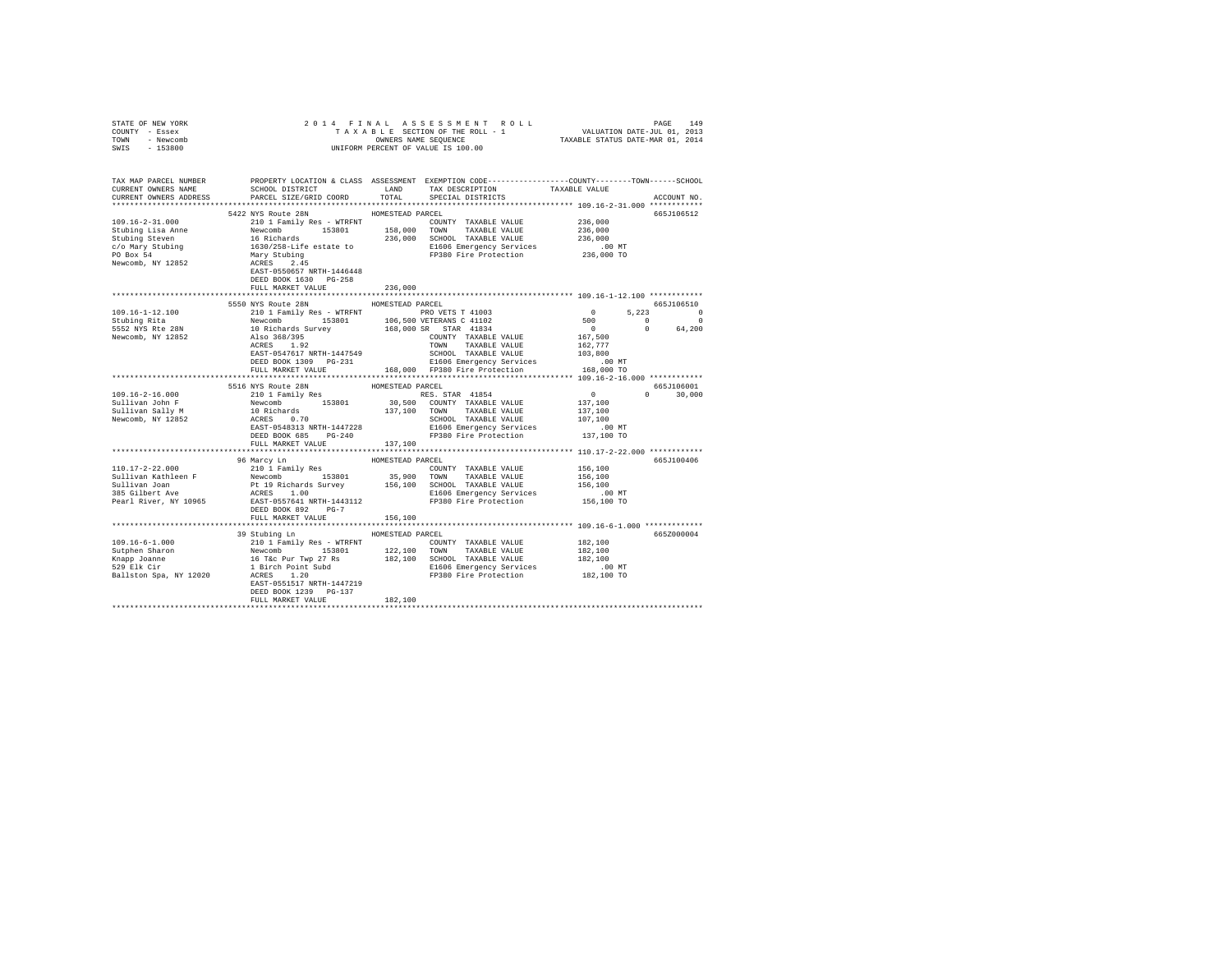| STATE OF NEW YORK                                                                                                                                                                                                                                                                                                                                                                                                                                                                         |                                     |                  |                                                                                                                                                                                                                                           |             |
|-------------------------------------------------------------------------------------------------------------------------------------------------------------------------------------------------------------------------------------------------------------------------------------------------------------------------------------------------------------------------------------------------------------------------------------------------------------------------------------------|-------------------------------------|------------------|-------------------------------------------------------------------------------------------------------------------------------------------------------------------------------------------------------------------------------------------|-------------|
| COUNTY - Essex                                                                                                                                                                                                                                                                                                                                                                                                                                                                            |                                     |                  |                                                                                                                                                                                                                                           |             |
| TOWN - Newcomb                                                                                                                                                                                                                                                                                                                                                                                                                                                                            |                                     |                  | OWNERS NAME SEQUENCE<br>UNIFORM PERCENT OF VALUE IS 100.00                                                                                                                                                                                |             |
| SWIS - 153800                                                                                                                                                                                                                                                                                                                                                                                                                                                                             |                                     |                  |                                                                                                                                                                                                                                           |             |
|                                                                                                                                                                                                                                                                                                                                                                                                                                                                                           |                                     |                  |                                                                                                                                                                                                                                           |             |
|                                                                                                                                                                                                                                                                                                                                                                                                                                                                                           |                                     |                  |                                                                                                                                                                                                                                           |             |
| TAX MAP PARCEL NUMBER PROPERTY LOCATION & CLASS ASSESSMENT EXEMPTION CODE--------------COUNTY-------TOWN-----SCHOOL                                                                                                                                                                                                                                                                                                                                                                       |                                     |                  |                                                                                                                                                                                                                                           |             |
| CURRENT OWNERS NAME                                                                                                                                                                                                                                                                                                                                                                                                                                                                       |                                     |                  |                                                                                                                                                                                                                                           |             |
| CURRENT OWNERS ADDRESS                                                                                                                                                                                                                                                                                                                                                                                                                                                                    | PARCEL SIZE/GRID COORD              |                  |                                                                                                                                                                                                                                           | ACCOUNT NO. |
|                                                                                                                                                                                                                                                                                                                                                                                                                                                                                           |                                     |                  |                                                                                                                                                                                                                                           |             |
|                                                                                                                                                                                                                                                                                                                                                                                                                                                                                           | 5422 NYS Route 28N HOMESTEAD PARCEL |                  |                                                                                                                                                                                                                                           | 665J106512  |
|                                                                                                                                                                                                                                                                                                                                                                                                                                                                                           |                                     |                  |                                                                                                                                                                                                                                           |             |
|                                                                                                                                                                                                                                                                                                                                                                                                                                                                                           |                                     |                  |                                                                                                                                                                                                                                           |             |
|                                                                                                                                                                                                                                                                                                                                                                                                                                                                                           |                                     |                  |                                                                                                                                                                                                                                           |             |
|                                                                                                                                                                                                                                                                                                                                                                                                                                                                                           |                                     |                  |                                                                                                                                                                                                                                           |             |
|                                                                                                                                                                                                                                                                                                                                                                                                                                                                                           |                                     |                  |                                                                                                                                                                                                                                           |             |
|                                                                                                                                                                                                                                                                                                                                                                                                                                                                                           |                                     |                  |                                                                                                                                                                                                                                           |             |
|                                                                                                                                                                                                                                                                                                                                                                                                                                                                                           |                                     |                  |                                                                                                                                                                                                                                           |             |
|                                                                                                                                                                                                                                                                                                                                                                                                                                                                                           |                                     |                  |                                                                                                                                                                                                                                           |             |
|                                                                                                                                                                                                                                                                                                                                                                                                                                                                                           | DEED BOOK 1630 PG-258               |                  |                                                                                                                                                                                                                                           |             |
|                                                                                                                                                                                                                                                                                                                                                                                                                                                                                           | FULL MARKET VALUE                   | 236,000          |                                                                                                                                                                                                                                           |             |
|                                                                                                                                                                                                                                                                                                                                                                                                                                                                                           |                                     |                  |                                                                                                                                                                                                                                           |             |
|                                                                                                                                                                                                                                                                                                                                                                                                                                                                                           | 5550 NYS Route 28N                  | HOMESTEAD PARCEL |                                                                                                                                                                                                                                           | 665J106510  |
|                                                                                                                                                                                                                                                                                                                                                                                                                                                                                           |                                     |                  |                                                                                                                                                                                                                                           |             |
|                                                                                                                                                                                                                                                                                                                                                                                                                                                                                           |                                     |                  |                                                                                                                                                                                                                                           |             |
|                                                                                                                                                                                                                                                                                                                                                                                                                                                                                           |                                     |                  |                                                                                                                                                                                                                                           |             |
| 109.16-1-12.100<br>Stubing Rita<br>5552 NYS Rte 28N<br>Newcomb, NY 12852                                                                                                                                                                                                                                                                                                                                                                                                                  |                                     |                  | 310 1 Family Res - WTRFNT<br>210 1 Family Res - WTRFNT<br>ROVETERAD PROVETS T 41003 0 6,223<br>Newcomb 153801 106,500 VETER 4102<br>168,000 SR STAR 41834 500 0 0 0<br>168,000 SR STAR 41834 500 0 0 0 0 0<br>168,000 SR STAR 41834 500 0 |             |
|                                                                                                                                                                                                                                                                                                                                                                                                                                                                                           |                                     |                  |                                                                                                                                                                                                                                           |             |
|                                                                                                                                                                                                                                                                                                                                                                                                                                                                                           |                                     |                  |                                                                                                                                                                                                                                           |             |
|                                                                                                                                                                                                                                                                                                                                                                                                                                                                                           |                                     |                  |                                                                                                                                                                                                                                           |             |
|                                                                                                                                                                                                                                                                                                                                                                                                                                                                                           |                                     |                  |                                                                                                                                                                                                                                           |             |
|                                                                                                                                                                                                                                                                                                                                                                                                                                                                                           |                                     |                  |                                                                                                                                                                                                                                           |             |
|                                                                                                                                                                                                                                                                                                                                                                                                                                                                                           |                                     |                  |                                                                                                                                                                                                                                           |             |
|                                                                                                                                                                                                                                                                                                                                                                                                                                                                                           | 5516 NYS Route 28N                  |                  |                                                                                                                                                                                                                                           |             |
| $109.16 - 2 - 16.000$                                                                                                                                                                                                                                                                                                                                                                                                                                                                     | 210 1 Family Res                    |                  |                                                                                                                                                                                                                                           |             |
|                                                                                                                                                                                                                                                                                                                                                                                                                                                                                           |                                     |                  |                                                                                                                                                                                                                                           |             |
| Sullivan John F<br>Sullivan Sally M<br>Newcomb, NY 12852                                                                                                                                                                                                                                                                                                                                                                                                                                  |                                     |                  |                                                                                                                                                                                                                                           |             |
|                                                                                                                                                                                                                                                                                                                                                                                                                                                                                           |                                     |                  |                                                                                                                                                                                                                                           |             |
|                                                                                                                                                                                                                                                                                                                                                                                                                                                                                           |                                     |                  |                                                                                                                                                                                                                                           |             |
|                                                                                                                                                                                                                                                                                                                                                                                                                                                                                           |                                     |                  |                                                                                                                                                                                                                                           |             |
|                                                                                                                                                                                                                                                                                                                                                                                                                                                                                           |                                     |                  |                                                                                                                                                                                                                                           |             |
|                                                                                                                                                                                                                                                                                                                                                                                                                                                                                           |                                     |                  |                                                                                                                                                                                                                                           |             |
|                                                                                                                                                                                                                                                                                                                                                                                                                                                                                           |                                     |                  |                                                                                                                                                                                                                                           | 665J100406  |
|                                                                                                                                                                                                                                                                                                                                                                                                                                                                                           |                                     |                  |                                                                                                                                                                                                                                           |             |
|                                                                                                                                                                                                                                                                                                                                                                                                                                                                                           |                                     |                  |                                                                                                                                                                                                                                           |             |
|                                                                                                                                                                                                                                                                                                                                                                                                                                                                                           |                                     |                  |                                                                                                                                                                                                                                           |             |
|                                                                                                                                                                                                                                                                                                                                                                                                                                                                                           |                                     |                  |                                                                                                                                                                                                                                           |             |
|                                                                                                                                                                                                                                                                                                                                                                                                                                                                                           |                                     |                  |                                                                                                                                                                                                                                           |             |
|                                                                                                                                                                                                                                                                                                                                                                                                                                                                                           |                                     |                  |                                                                                                                                                                                                                                           |             |
|                                                                                                                                                                                                                                                                                                                                                                                                                                                                                           |                                     |                  |                                                                                                                                                                                                                                           |             |
|                                                                                                                                                                                                                                                                                                                                                                                                                                                                                           | FULL MARKET VALUE 156,100           |                  |                                                                                                                                                                                                                                           |             |
|                                                                                                                                                                                                                                                                                                                                                                                                                                                                                           |                                     |                  |                                                                                                                                                                                                                                           |             |
|                                                                                                                                                                                                                                                                                                                                                                                                                                                                                           | 39 Stubing Ln MOMESTEAD PARCEL      |                  |                                                                                                                                                                                                                                           | 665Z000004  |
|                                                                                                                                                                                                                                                                                                                                                                                                                                                                                           |                                     |                  |                                                                                                                                                                                                                                           |             |
| $\texttt{Supp.16-6-1.000} \begin{minipage}{0.01\textwidth} \begin{minipage}{0.01\textwidth} \begin{minipage}{0.01\textwidth} \begin{minipage}{0.01\textwidth} \begin{minipage}{0.01\textwidth} \begin{minipage}{0.01\textwidth} \begin{minipage}{0.01\textwidth} \begin{minipage}{0.01\textwidth} \begin{minipage}{0.01\textwidth} \begin{minipage}{0.01\textwidth} \begin{minipage}{0.01\textwidth} \begin{minipage}{0.01\textwidth} \begin{minipage}{0.01\textwidth} \begin{minipage}{$ |                                     |                  |                                                                                                                                                                                                                                           |             |
|                                                                                                                                                                                                                                                                                                                                                                                                                                                                                           |                                     |                  |                                                                                                                                                                                                                                           |             |
|                                                                                                                                                                                                                                                                                                                                                                                                                                                                                           |                                     |                  |                                                                                                                                                                                                                                           |             |
|                                                                                                                                                                                                                                                                                                                                                                                                                                                                                           |                                     |                  |                                                                                                                                                                                                                                           |             |
|                                                                                                                                                                                                                                                                                                                                                                                                                                                                                           | EAST-0551517 NRTH-1447219           |                  |                                                                                                                                                                                                                                           |             |
|                                                                                                                                                                                                                                                                                                                                                                                                                                                                                           | DEED BOOK 1239 PG-137               |                  |                                                                                                                                                                                                                                           |             |
|                                                                                                                                                                                                                                                                                                                                                                                                                                                                                           | FULL MARKET VALUE                   | 182,100          |                                                                                                                                                                                                                                           |             |
|                                                                                                                                                                                                                                                                                                                                                                                                                                                                                           |                                     |                  |                                                                                                                                                                                                                                           |             |
|                                                                                                                                                                                                                                                                                                                                                                                                                                                                                           |                                     |                  |                                                                                                                                                                                                                                           |             |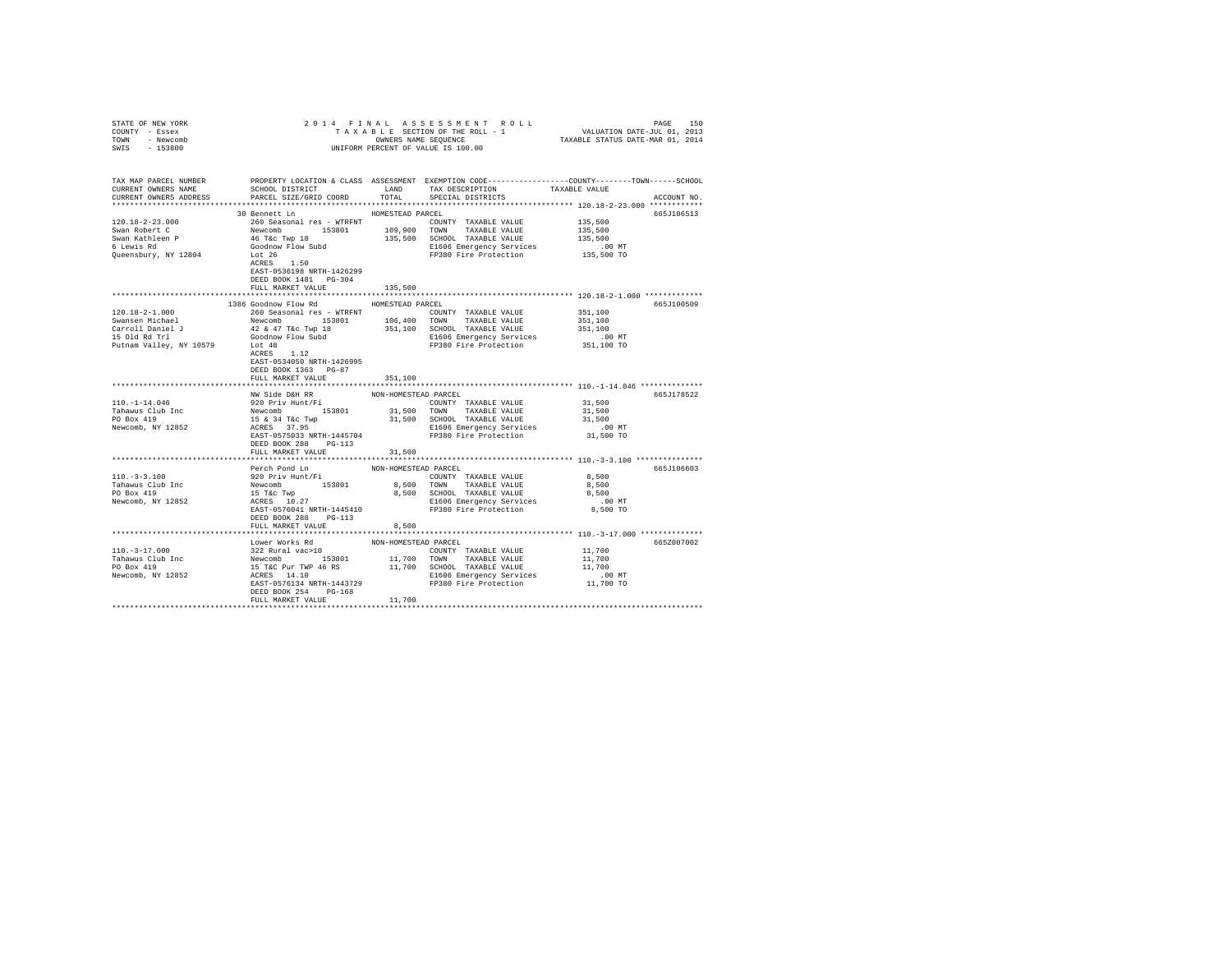| STATE OF NEW YORK                                                                                                                                   |                                                                                              |                      |                                                                                                                                                                                                                                              |                      |             |
|-----------------------------------------------------------------------------------------------------------------------------------------------------|----------------------------------------------------------------------------------------------|----------------------|----------------------------------------------------------------------------------------------------------------------------------------------------------------------------------------------------------------------------------------------|----------------------|-------------|
| COUNTY - Essex                                                                                                                                      |                                                                                              |                      |                                                                                                                                                                                                                                              |                      |             |
| TOWN - Newcomb                                                                                                                                      |                                                                                              |                      |                                                                                                                                                                                                                                              |                      |             |
| SWIS - 153800                                                                                                                                       |                                                                                              |                      |                                                                                                                                                                                                                                              |                      |             |
|                                                                                                                                                     |                                                                                              |                      |                                                                                                                                                                                                                                              |                      |             |
|                                                                                                                                                     |                                                                                              |                      |                                                                                                                                                                                                                                              |                      |             |
|                                                                                                                                                     |                                                                                              |                      |                                                                                                                                                                                                                                              |                      |             |
| TAX MAP PARCEL NUMBER PROPERTY LOCATION & CLASS ASSESSMENT EXEMPTION CODE--------------COUNTY-------TOWN------SCHOOL                                |                                                                                              |                      | TAX DESCRIPTION                                                                                                                                                                                                                              |                      |             |
| CURRENT OWNERS NAME                                                                                                                                 | SCHOOL DISTRICT                                                                              | LAND                 |                                                                                                                                                                                                                                              | TAXABLE VALUE        |             |
| CURRENT OWNERS ADDRESS                                                                                                                              | PARCEL SIZE/GRID COORD                                                                       | TOTAL                | SPECIAL DISTRICTS                                                                                                                                                                                                                            |                      | ACCOUNT NO. |
|                                                                                                                                                     |                                                                                              |                      |                                                                                                                                                                                                                                              |                      |             |
|                                                                                                                                                     | 30 Bennett Ln                                                                                | HOMESTEAD PARCEL     |                                                                                                                                                                                                                                              |                      | 665J106513  |
| $120.18 - 2 - 23.000$                                                                                                                               |                                                                                              |                      | COUNTY TAXABLE VALUE 135,500                                                                                                                                                                                                                 |                      |             |
| Swan Robert C                                                                                                                                       |                                                                                              |                      |                                                                                                                                                                                                                                              | 135,500              |             |
| Swan Kathleen P<br>6 Lewis Rd                                                                                                                       |                                                                                              |                      |                                                                                                                                                                                                                                              | 135,500              |             |
|                                                                                                                                                     |                                                                                              |                      |                                                                                                                                                                                                                                              |                      |             |
| Queensbury, NY 12804                                                                                                                                | Lot 26<br>ACRES 1.50                                                                         |                      | E1606 Emergency Services .00 MT<br>FP380 Fire Protection  135,500 TO                                                                                                                                                                         |                      |             |
|                                                                                                                                                     |                                                                                              |                      |                                                                                                                                                                                                                                              |                      |             |
|                                                                                                                                                     | EAST-0536198 NRTH-1426299                                                                    |                      |                                                                                                                                                                                                                                              |                      |             |
|                                                                                                                                                     | DEED BOOK 1481 PG-304                                                                        |                      |                                                                                                                                                                                                                                              |                      |             |
|                                                                                                                                                     | FULL MARKET VALUE                                                                            | 135,500              |                                                                                                                                                                                                                                              |                      |             |
|                                                                                                                                                     |                                                                                              |                      |                                                                                                                                                                                                                                              |                      |             |
|                                                                                                                                                     | 1386 Goodnow Flow Rd                                                                         | HOMESTEAD PARCEL     |                                                                                                                                                                                                                                              |                      | 665J100509  |
| 120.18-2-1.000                                                                                                                                      | 260 Seasonal res - WTRFNT                                                                    |                      | COUNTY TAXABLE VALUE                                                                                                                                                                                                                         | 351,100              |             |
| Swansen Michael                                                                                                                                     |                                                                                              |                      |                                                                                                                                                                                                                                              | 351,100              |             |
|                                                                                                                                                     | Newcomb 153801 106,400 TOWN TAXABLE VALUE<br>42 & 47 T&C Twp 18 351,100 SCHOOL TAXABLE VALUE |                      |                                                                                                                                                                                                                                              | 351,100              |             |
| Carroll Daniel J<br>15 Old Rd Trl (3000 MP) How Subd<br>15 Old Rd Trl (3000 MP) How Subd<br>2000 Putnam Valley, NY 10579<br>2008 MCRES<br>2008 1.12 |                                                                                              |                      |                                                                                                                                                                                                                                              |                      |             |
|                                                                                                                                                     |                                                                                              |                      | E1606 Emergency Services 6.00 MT<br>FP380 Fire Protection 351,100 TO                                                                                                                                                                         |                      |             |
|                                                                                                                                                     |                                                                                              |                      |                                                                                                                                                                                                                                              |                      |             |
|                                                                                                                                                     |                                                                                              |                      |                                                                                                                                                                                                                                              |                      |             |
|                                                                                                                                                     | EAST-0534050 NRTH-1426995                                                                    |                      |                                                                                                                                                                                                                                              |                      |             |
|                                                                                                                                                     | DEED BOOK 1363 PG-87                                                                         |                      |                                                                                                                                                                                                                                              |                      |             |
|                                                                                                                                                     | FULL MARKET VALUE                                                                            | 351,100              |                                                                                                                                                                                                                                              |                      |             |
|                                                                                                                                                     |                                                                                              |                      |                                                                                                                                                                                                                                              |                      |             |
|                                                                                                                                                     | NW Side D&H RR                                                                               | NON-HOMESTEAD PARCEL |                                                                                                                                                                                                                                              |                      | 665J178522  |
| $110. - 1 - 14.046$                                                                                                                                 | 920 Priv Hunt/Fi                                                                             |                      | COUNTY TAXABLE VALUE                                                                                                                                                                                                                         | 31,500               |             |
|                                                                                                                                                     |                                                                                              |                      |                                                                                                                                                                                                                                              | 31,500               |             |
| Tahawas Club Inc<br>Tahawas Club Inc<br>PO Box 419<br>Newcomb, NY 12852<br>RORES 37.95<br>Newcomb, NY 12852<br>ACRES 37.95                          |                                                                                              |                      | 31,500 TOWN TAXABLE VALUE<br>31,500 SCHOOL TAXABLE VALUE                                                                                                                                                                                     | 31,500               |             |
| Newcomb, NY 12852                                                                                                                                   |                                                                                              |                      | E1606 Emergency Services<br>FP380 Fire Protection                                                                                                                                                                                            | $.00$ MT             |             |
|                                                                                                                                                     | EAST-0575033 NRTH-1445704                                                                    |                      |                                                                                                                                                                                                                                              | 31,500 TO            |             |
|                                                                                                                                                     | DEED BOOK 288 PG-113                                                                         |                      |                                                                                                                                                                                                                                              |                      |             |
|                                                                                                                                                     | FULL MARKET VALUE                                                                            | 31,500               |                                                                                                                                                                                                                                              |                      |             |
|                                                                                                                                                     |                                                                                              |                      |                                                                                                                                                                                                                                              |                      |             |
|                                                                                                                                                     | Perch Pond Ln                                                                                | NON-HOMESTEAD PARCEL |                                                                                                                                                                                                                                              |                      | 665J106603  |
| 110.-3-3.100<br>Tahawus Club Inc<br>PO Box 419                                                                                                      | 920 Priv Hunt/Fi                                                                             |                      | COUNTY TAXABLE VALUE                                                                                                                                                                                                                         | 8,500                |             |
|                                                                                                                                                     |                                                                                              |                      |                                                                                                                                                                                                                                              | 8,500                |             |
|                                                                                                                                                     |                                                                                              |                      |                                                                                                                                                                                                                                              |                      |             |
| Newcomb, NY 12852                                                                                                                                   |                                                                                              |                      | 8,500 SCHOOL TAXABLE VALUE 8,500 SCHOOL TAXABLE VALUE 8,500 NT<br>E1606 Emergency Services .00 NT<br>FP380 Fire Protection 8,500 TO                                                                                                          |                      |             |
|                                                                                                                                                     |                                                                                              |                      |                                                                                                                                                                                                                                              |                      |             |
|                                                                                                                                                     | DEED BOOK 288 PG-113                                                                         |                      |                                                                                                                                                                                                                                              |                      |             |
|                                                                                                                                                     |                                                                                              |                      |                                                                                                                                                                                                                                              |                      |             |
|                                                                                                                                                     | FULL MARKET VALUE                                                                            | 8,500                |                                                                                                                                                                                                                                              |                      |             |
|                                                                                                                                                     |                                                                                              |                      |                                                                                                                                                                                                                                              |                      |             |
|                                                                                                                                                     |                                                                                              |                      | Lower Works Rd<br>322 Rural Vac>10<br>Newcomb 153801 11,700 COUNTY TAXABLE VALUE<br>15 TAC Pur TWP 46 RS<br>16 TAXABLE VALUE<br>16 RES 14.10<br>REST-0576134 NRTH-1443729 FD380 Fire Protection<br>FERE CREET CREARING THE REST-0576134 NRTH |                      | 665Z007002  |
| $110. -3 - 17.000$                                                                                                                                  |                                                                                              |                      |                                                                                                                                                                                                                                              | 11,700               |             |
| Tahawus Club Inc<br>PO Box 419                                                                                                                      |                                                                                              |                      |                                                                                                                                                                                                                                              | 11,700               |             |
|                                                                                                                                                     |                                                                                              |                      |                                                                                                                                                                                                                                              | 11,700               |             |
| Newcomb, NY 12852                                                                                                                                   |                                                                                              |                      |                                                                                                                                                                                                                                              | .00 MT.<br>11,700 TO |             |
|                                                                                                                                                     |                                                                                              |                      |                                                                                                                                                                                                                                              |                      |             |
|                                                                                                                                                     | DEED BOOK 254 PG-168                                                                         |                      |                                                                                                                                                                                                                                              |                      |             |
|                                                                                                                                                     | FULL MARKET VALUE                                                                            | 11,700               |                                                                                                                                                                                                                                              |                      |             |
|                                                                                                                                                     |                                                                                              |                      |                                                                                                                                                                                                                                              |                      |             |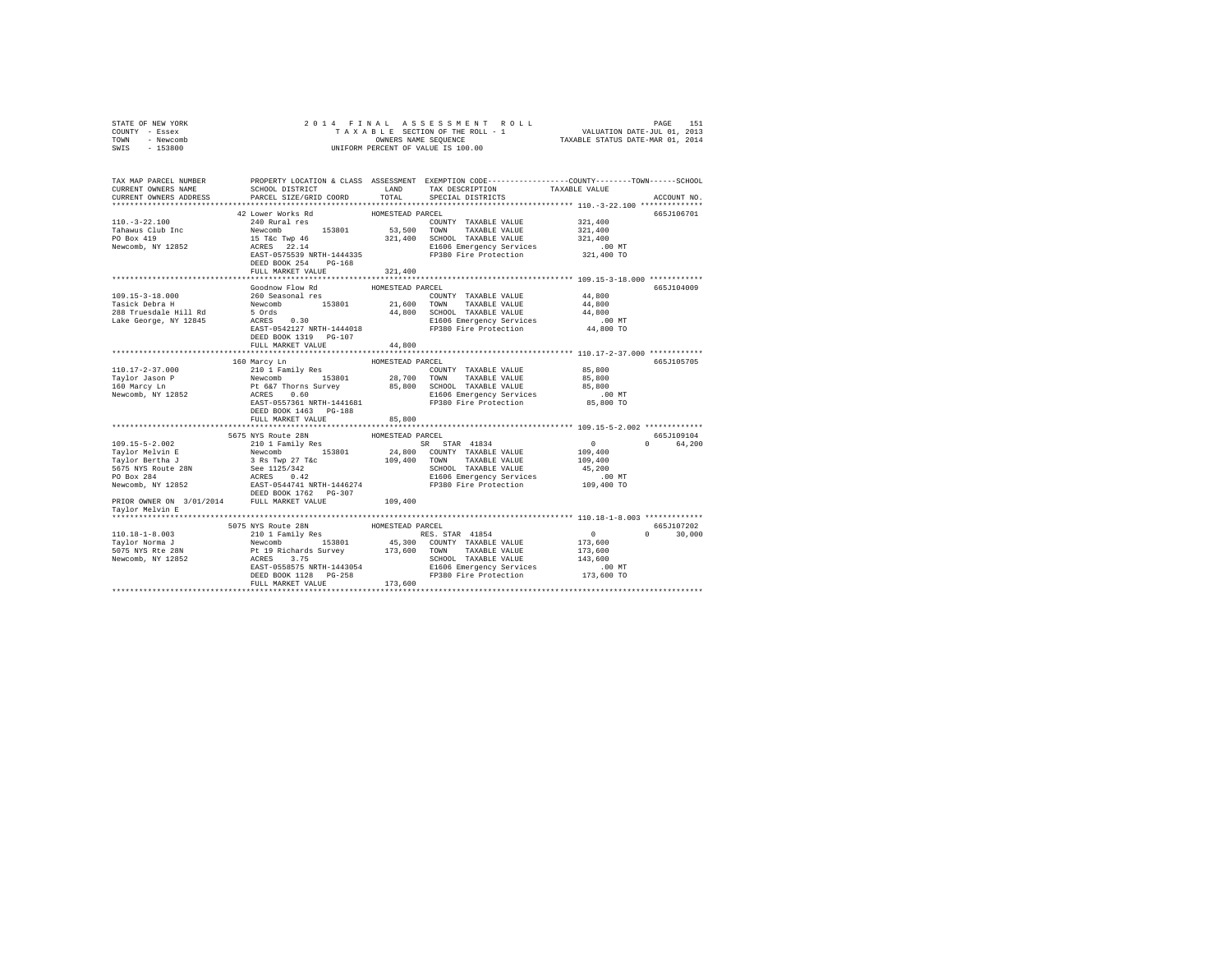| COUNTY - Essex<br>TOWN - Newcomb<br>SWIS - 153800                                                                                                                                                                                                                                                                                 | UNIFORM PERCENT OF VALUE IS 100.00                                                |                            |                                                                                                                                                                                                                                                                      |                                                                                                |                             |
|-----------------------------------------------------------------------------------------------------------------------------------------------------------------------------------------------------------------------------------------------------------------------------------------------------------------------------------|-----------------------------------------------------------------------------------|----------------------------|----------------------------------------------------------------------------------------------------------------------------------------------------------------------------------------------------------------------------------------------------------------------|------------------------------------------------------------------------------------------------|-----------------------------|
| TAX MAP PARCEL NUMBER     PROPERTY LOCATION & CLASS ASSESSMENT EXEMPTION CODE---------------COUNTY-------TOWN------SCHOOL DISTRICT     LAND   TAX DESCRIPTION     TAXABLE VALUE<br>CURRENT OWNERS ADDRESS                                                                                                                         | PARCEL SIZE/GRID COORD                                                            | TOTAL                      | SCHOOL DISTRICT TAND TAX DESCRIPTION TAXABLE VALUE<br>SPECIAL DISTRICTS                                                                                                                                                                                              |                                                                                                | ACCOUNT NO.                 |
| $110.-3-22.100$<br>Tahawus Club Inc<br>PO Box 419<br>Newcomb, NY 12852                                                                                                                                                                                                                                                            | 42 Lower Works Rd<br>240 Rural res                                                | HOMESTEAD PARCEL           | COUNTY TAXABLE VALUE<br>ATO NUCLE 153801 53,500 TOWN TAXABLE VALUE 321,400<br>15 TKC TWP 46 321,400 SCHOOL TAXABLE VALUE 321,400<br>15 TKC TWP 46 321,400 SCHOOL TAXABLE VALUE 321,400<br>1606 Emergency Services<br>121,400 MT<br>168 FP380 Fire Protection 321,400 | 321,400                                                                                        | 665J106701                  |
|                                                                                                                                                                                                                                                                                                                                   | FULL MARKET VALUE                                                                 | 321,400                    |                                                                                                                                                                                                                                                                      |                                                                                                |                             |
| 109.15-3-18.000<br>1991:00:000 208 Tuesday Newcomb 153801 21,600 TOWN TAXABLE VALUE 14,800<br>288 Truesdale Hill Rd 5 Ords 44,800 208 Tuesdale Hill Rd 5 Ords 44,800<br>288 Truesdale Hill Rd 5 Ords 208 2080 2080 2080 209<br>288 Tuesdale Hill Rd 5 2                                                                           | Goodnow Flow Rd<br>260 Seasonal res<br>DEED BOOK 1319 PG-107<br>FULL MARKET VALUE | HOMESTEAD PARCEL<br>44,800 | COUNTY TAXABLE VALUE                                                                                                                                                                                                                                                 | 44,800                                                                                         | 665J104009                  |
|                                                                                                                                                                                                                                                                                                                                   |                                                                                   |                            |                                                                                                                                                                                                                                                                      |                                                                                                |                             |
| 160 Marcy L<br>n HOMESTEAD PARCEL 10.17-2-37.000 160 Marcy Lm (10.17-2-37.000 153801 28,700 TOWN TAXABLE VALUE<br>$\begin{tabular}{lllllllllll} \texttt{HOLW3T} & \texttt{HOKESTED PARCH} & \texttt{HCKI} & \texttt{HOKSTED PARCH} & \texttt{WSE} & \texttt{BS,800} \\ \texttt{Taylor Jason P} & \texttt{Newcomb} & \texttt{1538$ | DEED BOOK 1463 PG-188                                                             |                            |                                                                                                                                                                                                                                                                      | .00MT<br>85,800 TO                                                                             | 665J105705                  |
|                                                                                                                                                                                                                                                                                                                                   | FULL MARKET VALUE                                                                 | 85,800                     |                                                                                                                                                                                                                                                                      |                                                                                                |                             |
| 109.15–5–2.002<br>109.15–5–2.002<br>109.15–5–2.002<br>109.15–5–2.002<br>109.15–5–2.002<br>109.15–5–2.002<br>109.15–5–2.002<br>109.15–5–2.002<br>109.15–5–2.002<br>109.400<br>109.400<br>109.400<br>109.400<br>109.400<br>109.400<br>109.400<br>109.400<br>109.40<br>Taylor Melvin E                                               |                                                                                   |                            |                                                                                                                                                                                                                                                                      |                                                                                                | 665J109104<br>0 64,200      |
|                                                                                                                                                                                                                                                                                                                                   |                                                                                   |                            |                                                                                                                                                                                                                                                                      |                                                                                                |                             |
|                                                                                                                                                                                                                                                                                                                                   | 5075 NYS Route 28N<br>210 1 Family Res                                            | HOMESTEAD PARCEL           |                                                                                                                                                                                                                                                                      | $\begin{smallmatrix}&&0\173,600\end{smallmatrix}$<br>173,600<br>143,600<br>.00MT<br>173,600 TO | 665J107202<br>$0 \t 30.000$ |
|                                                                                                                                                                                                                                                                                                                                   |                                                                                   |                            |                                                                                                                                                                                                                                                                      |                                                                                                |                             |

STATE OF NEW YORK 2014 FINAL ASSESSMENT ROLL PAGE 151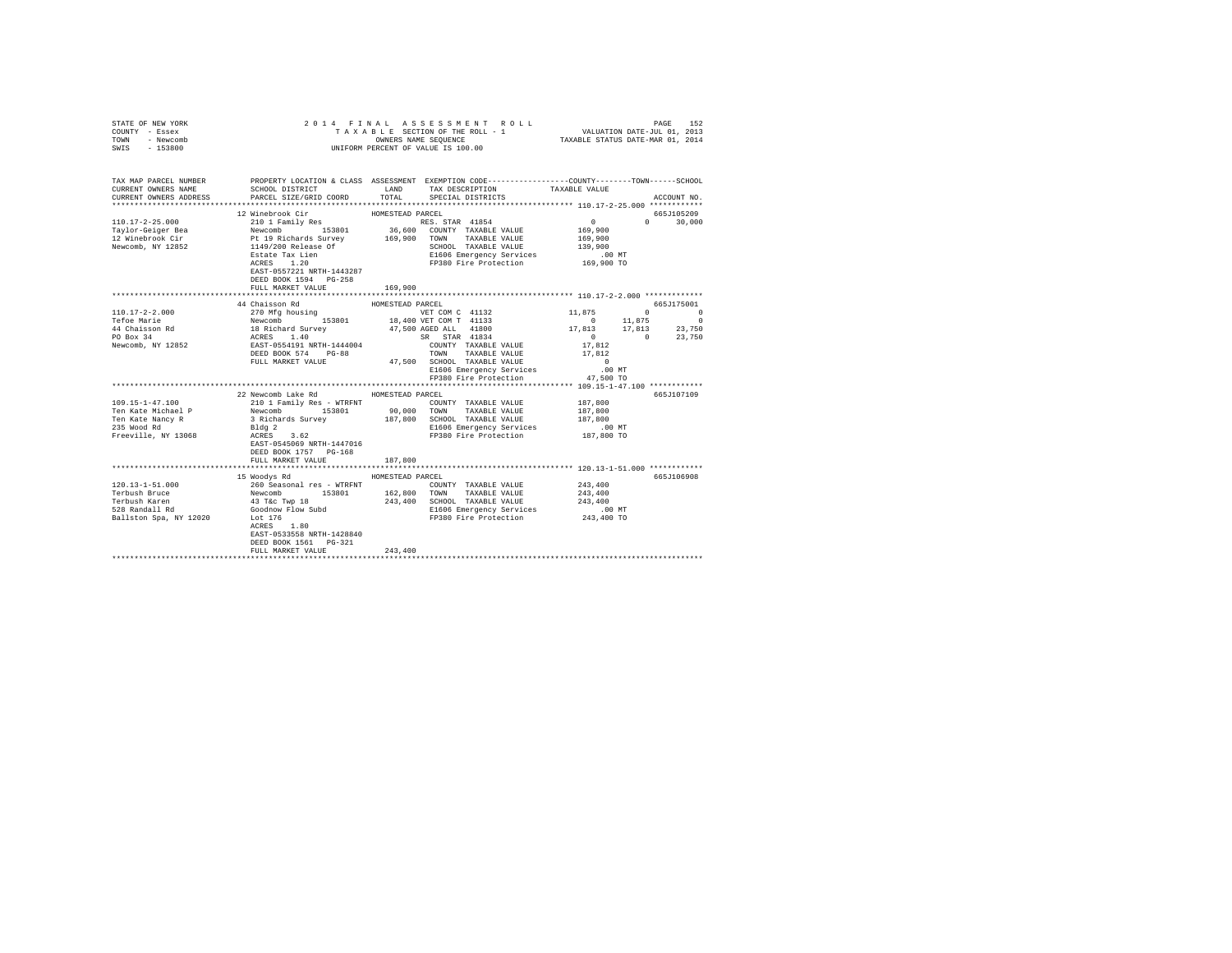| STATE OF NEW YORK<br>COUNTY - Essex<br>TOWN - Newcomb<br>SWIS - 153800                                                                                                                                                                                                                                                                                                                    |                                                                                                                                                                                                                                        |                  | UNIFORM PERCENT OF VALUE IS 100.00                                   |                                                         |                                                                                                 |
|-------------------------------------------------------------------------------------------------------------------------------------------------------------------------------------------------------------------------------------------------------------------------------------------------------------------------------------------------------------------------------------------|----------------------------------------------------------------------------------------------------------------------------------------------------------------------------------------------------------------------------------------|------------------|----------------------------------------------------------------------|---------------------------------------------------------|-------------------------------------------------------------------------------------------------|
| TAX MAP PARCEL NUMBER THE PROPERTY LOCATION & CLASS ASSESSMENT EXEMPTION CODE--------------COUNTY-------TOWN------SCHOOL<br>CURRENT OWNERS NAME<br>CURRENT OWNERS ADDRESS                                                                                                                                                                                                                 | SCHOOL DISTRICT<br>PARCEL SIZE/GRID COORD                                                                                                                                                                                              | TOTAL            | LAND TAX DESCRIPTION TAXABLE VALUE<br>SPECIAL DISTRICTS              |                                                         | ACCOUNT NO.                                                                                     |
|                                                                                                                                                                                                                                                                                                                                                                                           |                                                                                                                                                                                                                                        |                  |                                                                      |                                                         |                                                                                                 |
|                                                                                                                                                                                                                                                                                                                                                                                           |                                                                                                                                                                                                                                        | HOMESTEAD PARCEL |                                                                      |                                                         | 665J105209                                                                                      |
|                                                                                                                                                                                                                                                                                                                                                                                           |                                                                                                                                                                                                                                        |                  | amily Res RES. STAR 41854<br>153801 16,600 COUNTY TAXABLE VALUE      | $\begin{smallmatrix}&&0\\&&2\\169,900\end{smallmatrix}$ | $0 \t 30,000$                                                                                   |
|                                                                                                                                                                                                                                                                                                                                                                                           |                                                                                                                                                                                                                                        |                  |                                                                      |                                                         |                                                                                                 |
|                                                                                                                                                                                                                                                                                                                                                                                           |                                                                                                                                                                                                                                        |                  | 169,900 TOWN TAXABLE VALUE                                           | 169,900                                                 |                                                                                                 |
|                                                                                                                                                                                                                                                                                                                                                                                           |                                                                                                                                                                                                                                        |                  | SCHOOL TAXABLE VALUE 139,900                                         |                                                         |                                                                                                 |
|                                                                                                                                                                                                                                                                                                                                                                                           |                                                                                                                                                                                                                                        |                  | E1606 Emergency Services                                             | .00 MT                                                  |                                                                                                 |
|                                                                                                                                                                                                                                                                                                                                                                                           | E. 200 Acrease Of<br>Estate Tax Lien<br>ACRES 1.20<br>EART-0657000 ---<br>EAST-0557221 NRTH-1443287                                                                                                                                    |                  | FP380 Fire Protection 169,900 TO                                     |                                                         |                                                                                                 |
|                                                                                                                                                                                                                                                                                                                                                                                           | DEED BOOK 1594 PG-258                                                                                                                                                                                                                  |                  |                                                                      |                                                         |                                                                                                 |
|                                                                                                                                                                                                                                                                                                                                                                                           | FULL MARKET VALUE                                                                                                                                                                                                                      | 169,900          |                                                                      |                                                         |                                                                                                 |
|                                                                                                                                                                                                                                                                                                                                                                                           | 44 Chaisson Rd                                                                                                                                                                                                                         | HOMESTEAD PARCEL |                                                                      |                                                         | 665J175001                                                                                      |
|                                                                                                                                                                                                                                                                                                                                                                                           |                                                                                                                                                                                                                                        |                  | VET COM C 41132 11,875 0 0                                           |                                                         |                                                                                                 |
|                                                                                                                                                                                                                                                                                                                                                                                           |                                                                                                                                                                                                                                        |                  |                                                                      | $0 \t 11,875$                                           | $\sim$ 0                                                                                        |
|                                                                                                                                                                                                                                                                                                                                                                                           |                                                                                                                                                                                                                                        |                  |                                                                      |                                                         |                                                                                                 |
|                                                                                                                                                                                                                                                                                                                                                                                           |                                                                                                                                                                                                                                        |                  |                                                                      |                                                         | $\begin{matrix}&&&&&&1\\17,813&\qquad&17,813&\qquad&23,750\\0&&&&&0\\&&&&&0&23,750\end{matrix}$ |
|                                                                                                                                                                                                                                                                                                                                                                                           |                                                                                                                                                                                                                                        |                  |                                                                      | 17,812                                                  |                                                                                                 |
|                                                                                                                                                                                                                                                                                                                                                                                           |                                                                                                                                                                                                                                        |                  | TOWN TAXABLE VALUE 17,812                                            |                                                         |                                                                                                 |
| $\begin{tabular}{l c c c c c} \hline 110.17-2-2.000 & 44 \quad \text{ChMEst} & \text{HOMESTFALU} & \text{WART COM C} & 41132 \\ \hline 270 \quad \text{MeV} & 270 \quad \text{MeV} & \text{153801} & 18,400 \quad \text{VET COM C} & 41132 \\ \hline 44 \quad \text{Chieson} & \text{Newcomb} & 153801 & 47,500 \quad \text{MST COM T} & 41133 \\ \hline 44 \quad \text{Chison} & \text{$ |                                                                                                                                                                                                                                        |                  |                                                                      | $\sim$ 0                                                |                                                                                                 |
|                                                                                                                                                                                                                                                                                                                                                                                           |                                                                                                                                                                                                                                        |                  | E1606 Emergency Services 60 00 MT<br>FP380 Fire Protection 47,500 TO |                                                         |                                                                                                 |
|                                                                                                                                                                                                                                                                                                                                                                                           |                                                                                                                                                                                                                                        |                  |                                                                      |                                                         |                                                                                                 |
|                                                                                                                                                                                                                                                                                                                                                                                           |                                                                                                                                                                                                                                        |                  |                                                                      |                                                         |                                                                                                 |
| 109.15-1-47.100                                                                                                                                                                                                                                                                                                                                                                           | 22 Newcomb Lake Rd MOMESTEAD PARCEL<br>210 1 Family Res - WTRFNT COUNTY TAXABLE VALUE 187,800                                                                                                                                          |                  |                                                                      |                                                         | 665J107109                                                                                      |
|                                                                                                                                                                                                                                                                                                                                                                                           |                                                                                                                                                                                                                                        |                  |                                                                      | 187.800                                                 |                                                                                                 |
| Ten Kate Michael P<br>Ten Kate Nancy R                                                                                                                                                                                                                                                                                                                                                    |                                                                                                                                                                                                                                        |                  |                                                                      | 187,800                                                 |                                                                                                 |
| 235 Wood Rd                                                                                                                                                                                                                                                                                                                                                                               |                                                                                                                                                                                                                                        |                  |                                                                      |                                                         |                                                                                                 |
| Freeville, NY 13068                                                                                                                                                                                                                                                                                                                                                                       |                                                                                                                                                                                                                                        |                  | E1606 Emergency Services .00 MT<br>FP380 Fire Protection 187,800 TO  |                                                         |                                                                                                 |
|                                                                                                                                                                                                                                                                                                                                                                                           | Newcomb 153801 90,000 TOWN TAXABLE VALUE<br>3 Richards Survey 187,800 SCROOL TAXABLE VALUE<br>Bldg 2 3 Richards Survey 187,800 SCROOL TAXABLE VALUE<br>RCRES 3.62<br>REST-0545069 RETH-1447016 FP380 Fire Protection                   |                  |                                                                      |                                                         |                                                                                                 |
|                                                                                                                                                                                                                                                                                                                                                                                           | DEED BOOK 1757 PG-168                                                                                                                                                                                                                  |                  |                                                                      |                                                         |                                                                                                 |
|                                                                                                                                                                                                                                                                                                                                                                                           | FULL MARKET VALUE                                                                                                                                                                                                                      | 187,800          |                                                                      |                                                         |                                                                                                 |
|                                                                                                                                                                                                                                                                                                                                                                                           |                                                                                                                                                                                                                                        |                  |                                                                      |                                                         |                                                                                                 |
| $120.13 - 1 - 51.000$                                                                                                                                                                                                                                                                                                                                                                     | 15 Woodys Rd                                                                                                                                                                                                                           | HOMESTEAD PARCEL |                                                                      |                                                         | 665J106908                                                                                      |
| Terbush Bruce                                                                                                                                                                                                                                                                                                                                                                             |                                                                                                                                                                                                                                        |                  |                                                                      |                                                         |                                                                                                 |
| Terbush Bruce<br>Terbush Karen<br>528 Randall Rd                                                                                                                                                                                                                                                                                                                                          |                                                                                                                                                                                                                                        |                  |                                                                      |                                                         |                                                                                                 |
|                                                                                                                                                                                                                                                                                                                                                                                           |                                                                                                                                                                                                                                        |                  |                                                                      |                                                         |                                                                                                 |
| Ballston Spa, NY 12020 Lot 176                                                                                                                                                                                                                                                                                                                                                            |                                                                                                                                                                                                                                        |                  |                                                                      |                                                         |                                                                                                 |
|                                                                                                                                                                                                                                                                                                                                                                                           | 260 Seasonal res - WTRFNT COUNTY TAXABLE VALUE 243,400<br>Newcomb 153801 162,800 TOWN TAXABLE VALUE 243,400<br>43 Tác Twp 18 243,400 SCHOOL TAXABLE VALUE 243,400<br>43 Tác Twp 18 243,400 21606 Emergency Services 243,400<br>Lot 176 |                  |                                                                      |                                                         |                                                                                                 |
|                                                                                                                                                                                                                                                                                                                                                                                           | EAST-0533558 NRTH-1428840                                                                                                                                                                                                              |                  |                                                                      |                                                         |                                                                                                 |
|                                                                                                                                                                                                                                                                                                                                                                                           | DEED BOOK 1561    PG-321                                                                                                                                                                                                               |                  |                                                                      |                                                         |                                                                                                 |
|                                                                                                                                                                                                                                                                                                                                                                                           | FULL MARKET VALUE                                                                                                                                                                                                                      | 243,400          |                                                                      |                                                         |                                                                                                 |
|                                                                                                                                                                                                                                                                                                                                                                                           |                                                                                                                                                                                                                                        |                  |                                                                      |                                                         |                                                                                                 |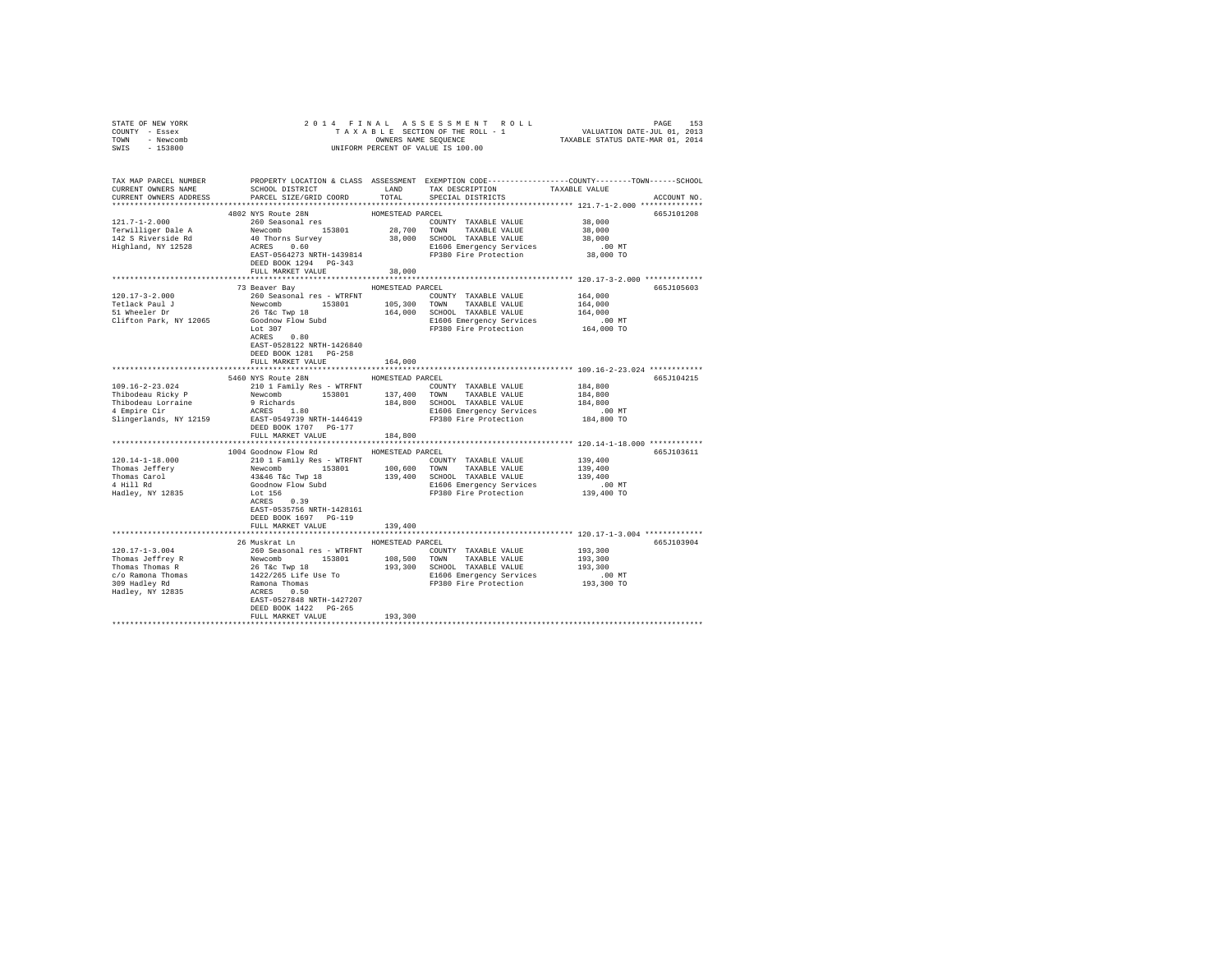| COUNTY - Essex<br>TOWN - Newcomb<br>SWIS - 153800 |                                                                                                                                                                                                                                                                          |                  | UNIFORM PERCENT OF VALUE IS 100.00 |                                                                                                 |  |
|---------------------------------------------------|--------------------------------------------------------------------------------------------------------------------------------------------------------------------------------------------------------------------------------------------------------------------------|------------------|------------------------------------|-------------------------------------------------------------------------------------------------|--|
|                                                   |                                                                                                                                                                                                                                                                          |                  |                                    |                                                                                                 |  |
| TAX MAP PARCEL NUMBER                             |                                                                                                                                                                                                                                                                          |                  |                                    | PROPERTY LOCATION & CLASS ASSESSMENT EXEMPTION CODE----------------COUNTY-------TOWN-----SCHOOL |  |
|                                                   |                                                                                                                                                                                                                                                                          |                  |                                    | ACCOUNT NO.                                                                                     |  |
|                                                   |                                                                                                                                                                                                                                                                          |                  |                                    |                                                                                                 |  |
|                                                   | 4802 NYS Route 28N                                                                                                                                                                                                                                                       | HOMESTEAD PARCEL |                                    | 665J101208                                                                                      |  |
| 121.7-1-2.000                                     | TOUZ NIJ ROULE ZON<br>260 Seasonal res                                                                                                                                                                                                                                   |                  | COUNTY TAXABLE VALUE               | 38,000                                                                                          |  |
|                                                   |                                                                                                                                                                                                                                                                          |                  |                                    |                                                                                                 |  |
|                                                   |                                                                                                                                                                                                                                                                          |                  |                                    |                                                                                                 |  |
|                                                   |                                                                                                                                                                                                                                                                          |                  |                                    |                                                                                                 |  |
|                                                   | DEED BOOK 1294 PG-343                                                                                                                                                                                                                                                    |                  |                                    |                                                                                                 |  |
|                                                   | FULL MARKET VALUE                                                                                                                                                                                                                                                        | 38,000           |                                    |                                                                                                 |  |
|                                                   |                                                                                                                                                                                                                                                                          |                  |                                    |                                                                                                 |  |
|                                                   |                                                                                                                                                                                                                                                                          |                  |                                    | 665J105603                                                                                      |  |
|                                                   |                                                                                                                                                                                                                                                                          |                  |                                    |                                                                                                 |  |
|                                                   |                                                                                                                                                                                                                                                                          |                  |                                    |                                                                                                 |  |
|                                                   |                                                                                                                                                                                                                                                                          |                  |                                    |                                                                                                 |  |
|                                                   |                                                                                                                                                                                                                                                                          |                  |                                    |                                                                                                 |  |
|                                                   |                                                                                                                                                                                                                                                                          |                  |                                    |                                                                                                 |  |
|                                                   |                                                                                                                                                                                                                                                                          |                  |                                    |                                                                                                 |  |
|                                                   | EAST-0528122 NRTH-1426840                                                                                                                                                                                                                                                |                  |                                    |                                                                                                 |  |
|                                                   | DEED BOOK 1281    PG-258                                                                                                                                                                                                                                                 |                  |                                    |                                                                                                 |  |
|                                                   | FULL MARKET VALUE                                                                                                                                                                                                                                                        | 164,000          |                                    |                                                                                                 |  |
|                                                   | 5460 NYS Route 28N HOMESTEAD PARCEL                                                                                                                                                                                                                                      |                  |                                    | 665J104215                                                                                      |  |
| 109.16-2-23.024                                   | 210 1 Family Res - WTRFNT                                                                                                                                                                                                                                                |                  | COUNTY TAXABLE VALUE               | 184,800                                                                                         |  |
|                                                   |                                                                                                                                                                                                                                                                          |                  |                                    | 184,800                                                                                         |  |
|                                                   |                                                                                                                                                                                                                                                                          |                  |                                    | 184,800                                                                                         |  |
|                                                   |                                                                                                                                                                                                                                                                          |                  |                                    | .00 MT                                                                                          |  |
|                                                   |                                                                                                                                                                                                                                                                          |                  |                                    | 184,800 TO                                                                                      |  |
|                                                   |                                                                                                                                                                                                                                                                          |                  |                                    |                                                                                                 |  |
|                                                   | FULL MARKET VALUE                                                                                                                                                                                                                                                        | 184,800          |                                    |                                                                                                 |  |
|                                                   | 1004 Goodnow Flow Rd MOMESTEAD PARCEL                                                                                                                                                                                                                                    |                  |                                    | ************************* 120.14-1-18.000 ************<br>665J103611                            |  |
|                                                   |                                                                                                                                                                                                                                                                          |                  |                                    |                                                                                                 |  |
|                                                   |                                                                                                                                                                                                                                                                          |                  |                                    |                                                                                                 |  |
|                                                   |                                                                                                                                                                                                                                                                          |                  |                                    |                                                                                                 |  |
|                                                   |                                                                                                                                                                                                                                                                          |                  |                                    |                                                                                                 |  |
|                                                   | $\begin{tabular}{l c c c c c c c} \hline 120.14-1-18.000 & -0.0001117 & -0.000117 & -0.000117 & -0.000117 & -0.000117 & -0.000117 & -0.000117 & -0.000117 & -0.000117 & -0.000117 & 0.000117 & 0.000117 & 0.000117 & 0.000117 & 0.000117 & 0.000117 & 0.000117 & 0.0001$ |                  |                                    |                                                                                                 |  |
|                                                   | ACRES 0.39                                                                                                                                                                                                                                                               |                  |                                    |                                                                                                 |  |
|                                                   | EAST-0535756 NRTH-1428161                                                                                                                                                                                                                                                |                  |                                    |                                                                                                 |  |
|                                                   | DEED BOOK 1697 PG-119                                                                                                                                                                                                                                                    |                  |                                    |                                                                                                 |  |
|                                                   | FULL MARKET VALUE                                                                                                                                                                                                                                                        | 139,400          |                                    |                                                                                                 |  |
|                                                   |                                                                                                                                                                                                                                                                          |                  |                                    |                                                                                                 |  |
|                                                   | 26 Muskrat Ln                                                                                                                                                                                                                                                            | HOMESTEAD PARCEL |                                    | 665J103904                                                                                      |  |
|                                                   |                                                                                                                                                                                                                                                                          |                  |                                    |                                                                                                 |  |
|                                                   |                                                                                                                                                                                                                                                                          |                  |                                    | 193,300<br>193,300<br>193,300                                                                   |  |
|                                                   |                                                                                                                                                                                                                                                                          |                  |                                    |                                                                                                 |  |
|                                                   |                                                                                                                                                                                                                                                                          |                  |                                    |                                                                                                 |  |
|                                                   |                                                                                                                                                                                                                                                                          |                  |                                    |                                                                                                 |  |
|                                                   |                                                                                                                                                                                                                                                                          |                  |                                    |                                                                                                 |  |
|                                                   | DEED BOOK 1422 PG-265                                                                                                                                                                                                                                                    |                  |                                    |                                                                                                 |  |
|                                                   | FULL MARKET VALUE                                                                                                                                                                                                                                                        | 193,300          |                                    |                                                                                                 |  |
|                                                   |                                                                                                                                                                                                                                                                          |                  |                                    |                                                                                                 |  |

STATE OF NEW YORK 2014 FINAL ASSESSMENT ROLL PAGE 153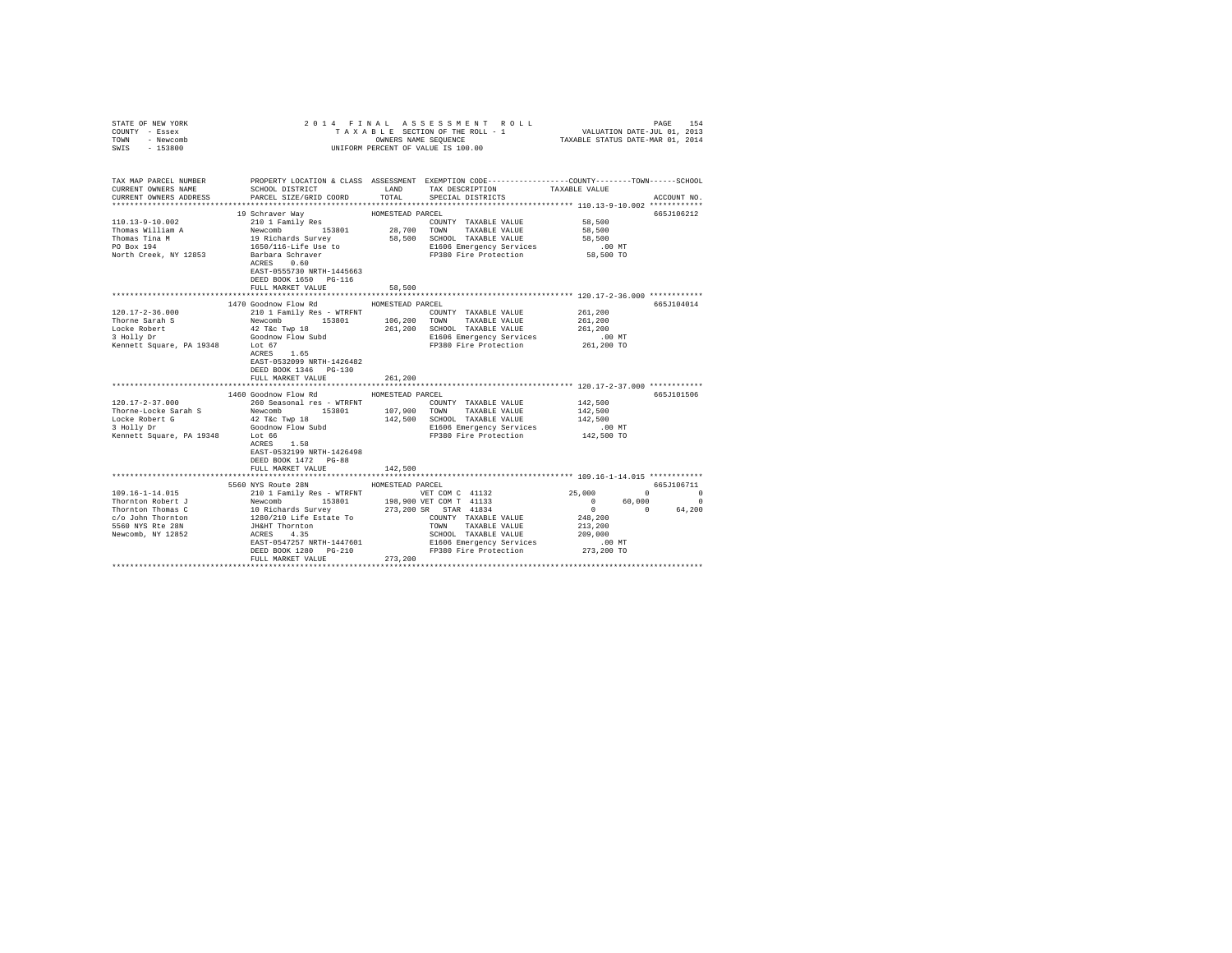| COUNTY - Essex<br>TOWN - Newcomb<br>SWIS - 153800 | UNIFORM PERCENT OF VALUE IS 100.00                                                                                  |                  |                                                                               |                                                     |                                           |
|---------------------------------------------------|---------------------------------------------------------------------------------------------------------------------|------------------|-------------------------------------------------------------------------------|-----------------------------------------------------|-------------------------------------------|
|                                                   |                                                                                                                     |                  |                                                                               |                                                     |                                           |
|                                                   | TAX MAP PARCEL NUMBER PROPERTY LOCATION & CLASS ASSESSMENT EXEMPTION CODE--------------COUNTY-------TOWN-----SCHOOL |                  |                                                                               |                                                     |                                           |
| CURRENT OWNERS NAME                               | SCHOOL DISTRICT TAND TAX DESCRIPTION                                                                                | TOTAL            |                                                                               | TAXABLE VALUE                                       |                                           |
| CURRENT OWNERS ADDRESS                            | PARCEL SIZE/GRID COORD                                                                                              |                  | SPECIAL DISTRICTS                                                             |                                                     | ACCOUNT NO.                               |
|                                                   | 19 Schraver Wav                                                                                                     | HOMESTEAD PARCEL |                                                                               |                                                     | 665J106212                                |
|                                                   |                                                                                                                     |                  |                                                                               |                                                     |                                           |
|                                                   |                                                                                                                     |                  |                                                                               |                                                     |                                           |
|                                                   |                                                                                                                     |                  |                                                                               |                                                     |                                           |
|                                                   |                                                                                                                     |                  |                                                                               |                                                     |                                           |
|                                                   |                                                                                                                     |                  |                                                                               |                                                     |                                           |
|                                                   |                                                                                                                     |                  |                                                                               |                                                     |                                           |
|                                                   | EAST-0555730 NRTH-1445663                                                                                           |                  |                                                                               |                                                     |                                           |
|                                                   | DEED BOOK 1650 PG-116                                                                                               |                  |                                                                               |                                                     |                                           |
|                                                   | FULL MARKET VALUE                                                                                                   | 58,500           |                                                                               |                                                     |                                           |
|                                                   |                                                                                                                     |                  | **************************** 120.17-2-36.000 ************                     |                                                     |                                           |
|                                                   | 1470 Goodnow Flow Rd<br>210 1 Family Res - WTRFNT                                                                   | HOMESTEAD PARCEL |                                                                               |                                                     | 665J104014                                |
| $120.17 - 2 - 36.000$<br>Thorne Sarah S           |                                                                                                                     |                  | COUNTY TAXABLE VALUE                                                          | 261,200<br>261,200                                  |                                           |
| Locke Robert                                      | Newcomb 153801 106,200 TOWN TAXABLE VALUE<br>42 T&c Twp 18 261,200 SCHOOL TAXABLE VALUE                             |                  | 261,200 SCHOOL TAXABLE VALUE                                                  | 261,200                                             |                                           |
|                                                   |                                                                                                                     |                  |                                                                               |                                                     |                                           |
|                                                   |                                                                                                                     |                  | E1606 Emergency Services<br>FP380 Fire Protection                             | 00 MT.<br>261,200 TO                                |                                           |
|                                                   | ACRES 1.65                                                                                                          |                  |                                                                               |                                                     |                                           |
|                                                   | EAST-0532099 NRTH-1426482                                                                                           |                  |                                                                               |                                                     |                                           |
|                                                   | DEED BOOK 1346 PG-130                                                                                               |                  |                                                                               |                                                     |                                           |
|                                                   | FULL MARKET VALUE                                                                                                   | 261,200          |                                                                               |                                                     |                                           |
|                                                   |                                                                                                                     |                  |                                                                               |                                                     |                                           |
|                                                   | 1460 Goodnow Flow Rd                                                                                                | HOMESTEAD PARCEL |                                                                               |                                                     | 665-1101506                               |
|                                                   |                                                                                                                     |                  | COUNTY TAXABLE VALUE                                                          | 142,500<br>142,500                                  |                                           |
|                                                   |                                                                                                                     |                  | 142,500 SCHOOL TAXABLE VALUE 142,500                                          |                                                     |                                           |
|                                                   |                                                                                                                     |                  | E1606 Emergency Services                                                      | .00 MT                                              |                                           |
|                                                   |                                                                                                                     |                  | FP380 Fire Protection                                                         | 142,500 TO                                          |                                           |
|                                                   | ACRES 1.58                                                                                                          |                  |                                                                               |                                                     |                                           |
|                                                   | EAST-0532199 NRTH-1426498                                                                                           |                  |                                                                               |                                                     |                                           |
|                                                   | DEED BOOK 1472 PG-88                                                                                                |                  |                                                                               |                                                     |                                           |
|                                                   | FULL MARKET VALUE                                                                                                   | 142,500          |                                                                               |                                                     |                                           |
|                                                   |                                                                                                                     |                  |                                                                               |                                                     |                                           |
|                                                   | 5560 NYS Route 28N                                                                                                  | HOMESTEAD PARCEL |                                                                               |                                                     | 665J106711                                |
|                                                   |                                                                                                                     |                  |                                                                               | 25,000                                              | $\overline{0}$ $\overline{0}$<br>$\Omega$ |
|                                                   |                                                                                                                     |                  |                                                                               | $\begin{matrix} 0 && 60,000 \\ 0 && 0 \end{matrix}$ | 64,200                                    |
|                                                   |                                                                                                                     |                  |                                                                               | 248,200                                             |                                           |
|                                                   |                                                                                                                     |                  |                                                                               | 213,200                                             |                                           |
|                                                   |                                                                                                                     |                  |                                                                               | 209,000                                             |                                           |
|                                                   |                                                                                                                     |                  |                                                                               | $.00$ MT                                            |                                           |
|                                                   | DEED BOOK 1280 PG-210                                                                                               |                  | E1606 Emergency Services<br>F1606 Emergency Services<br>FP380 Fire Protection | 273,200 TO                                          |                                           |
|                                                   | FULL MARKET VALUE                                                                                                   | 273,200          |                                                                               |                                                     |                                           |
|                                                   |                                                                                                                     |                  |                                                                               |                                                     |                                           |

STATE OF NEW YORK 2 0 1 4 F I N A L A S S E S S M E N T R O L L PAGE 154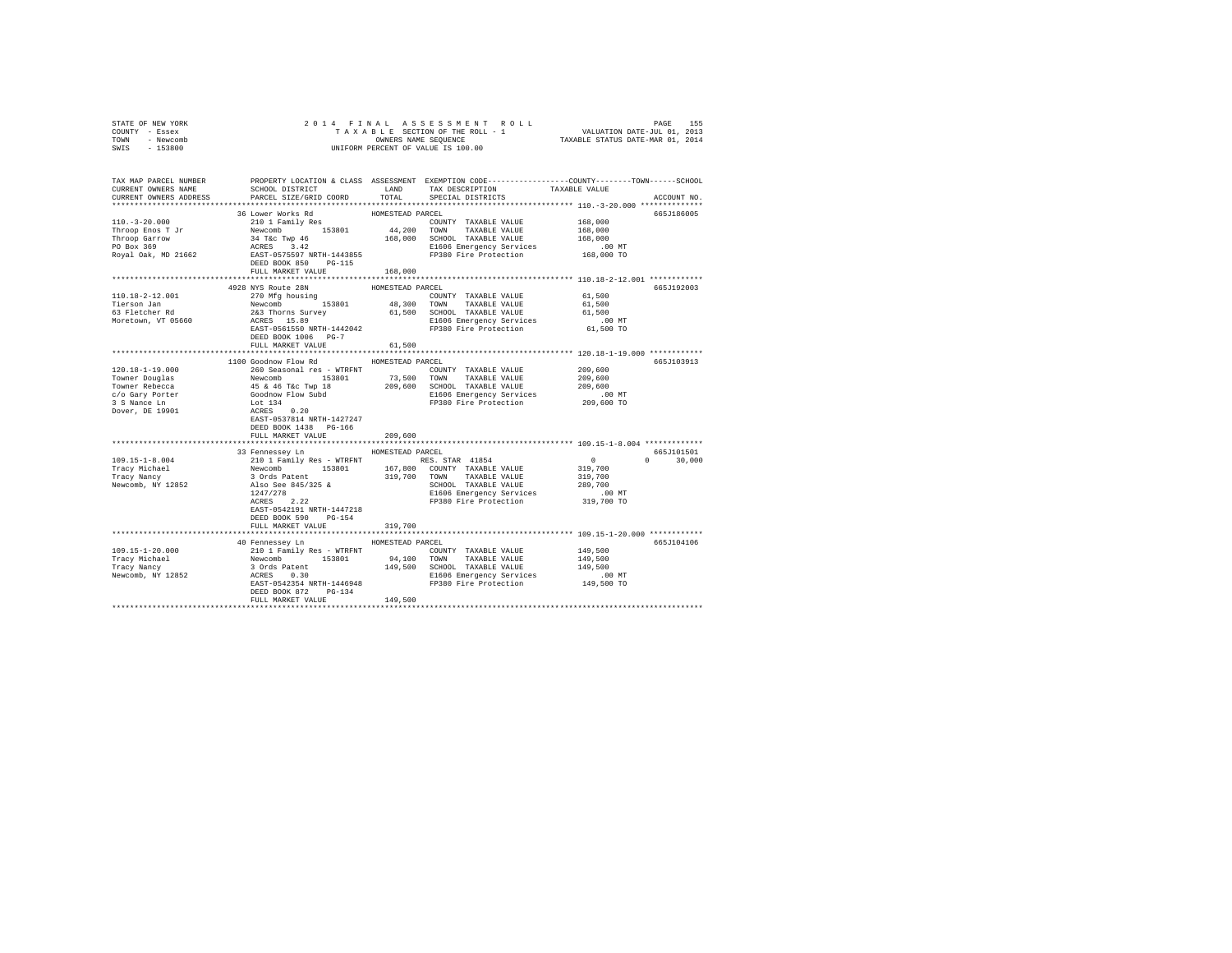| STATE OF NEW YORK<br>COUNTY - Essex                | 2014 FINAL                                                                                                                                                                                                                                  |                  | TAXALE ASSES MENT ROLL PAGE 155<br>TAXABLE SECTION OF THE ROLL - 1 VALUATION DATE-JUL 01, 2013<br>OWNERS NAME SEQUENCE  TAXABLE STATUS DATE-MAR 01, 2014 |                      |               |
|----------------------------------------------------|---------------------------------------------------------------------------------------------------------------------------------------------------------------------------------------------------------------------------------------------|------------------|----------------------------------------------------------------------------------------------------------------------------------------------------------|----------------------|---------------|
| TOWN - Newcomb                                     |                                                                                                                                                                                                                                             |                  | OWNERS NAME SEQUENCE<br>UNIFORM PERCENT OF VALUE IS 100.00                                                                                               |                      |               |
| SWIS - 153800                                      |                                                                                                                                                                                                                                             |                  |                                                                                                                                                          |                      |               |
|                                                    |                                                                                                                                                                                                                                             |                  |                                                                                                                                                          |                      |               |
|                                                    | TAX MAP PARCEL NUMBER PROPERTY LOCATION & CLASS ASSESSMENT EXEMPTION CODE---------------COUNTY-------TOWN-----SCHOOL                                                                                                                        |                  |                                                                                                                                                          |                      |               |
| CURRENT OWNERS NAME                                | SCHOOL DISTRICT                                                                                                                                                                                                                             | LAND             | TAX DESCRIPTION                                                                                                                                          | TAXABLE VALUE        |               |
| CURRENT OWNERS ADDRESS                             | PARCEL SIZE/GRID COORD                                                                                                                                                                                                                      | TOTAL            | SPECIAL DISTRICTS                                                                                                                                        |                      | ACCOUNT NO.   |
|                                                    |                                                                                                                                                                                                                                             |                  |                                                                                                                                                          |                      |               |
|                                                    | 36 Lower Works Rd                                                                                                                                                                                                                           | HOMESTEAD PARCEL |                                                                                                                                                          | 168,000              | 665J186005    |
|                                                    |                                                                                                                                                                                                                                             |                  |                                                                                                                                                          | 168,000              |               |
|                                                    |                                                                                                                                                                                                                                             |                  |                                                                                                                                                          | 168,000              |               |
|                                                    |                                                                                                                                                                                                                                             |                  | E1606 Emergency Services                                                                                                                                 |                      |               |
|                                                    |                                                                                                                                                                                                                                             |                  | FP380 Fire Protection                                                                                                                                    | 00 MT.<br>168,000 TO |               |
|                                                    | DEED BOOK 850 PG-115                                                                                                                                                                                                                        |                  |                                                                                                                                                          |                      |               |
|                                                    | FULL MARKET VALUE 168,000                                                                                                                                                                                                                   |                  |                                                                                                                                                          |                      |               |
|                                                    |                                                                                                                                                                                                                                             |                  |                                                                                                                                                          |                      |               |
|                                                    | 4928 NYS Route 28N                                                                                                                                                                                                                          | HOMESTEAD PARCEL |                                                                                                                                                          |                      | 665J192003    |
| 110.18-2-12.001                                    | 270 Mfg housing                                                                                                                                                                                                                             |                  | COUNTY TAXABLE VALUE                                                                                                                                     | 61,500               |               |
| Tierson Jan<br>63 Fletcher Rd                      |                                                                                                                                                                                                                                             |                  |                                                                                                                                                          | 61,500               |               |
| Moretown, VT 05660                                 | X/WHS 153801 48,300 TOWN TAXABLE VALUE<br>248 TOWN TAXABLE VALUE<br>26 STHOOD 153801 61,500 SCHOOL TAXABLE VALUE<br>26 SCHOOL TAXABLE VALUE<br>26 STEP-0561550 NRTH-1442042<br>27380 Fire Protection<br>27380 Fire Protection<br>27380 Fire |                  |                                                                                                                                                          | 61,500<br>$.00$ MT   |               |
|                                                    |                                                                                                                                                                                                                                             |                  |                                                                                                                                                          | 61,500 TO            |               |
|                                                    | DEED BOOK 1006 PG-7                                                                                                                                                                                                                         |                  |                                                                                                                                                          |                      |               |
|                                                    | FULL MARKET VALUE                                                                                                                                                                                                                           | 61,500           |                                                                                                                                                          |                      |               |
|                                                    |                                                                                                                                                                                                                                             |                  |                                                                                                                                                          |                      |               |
|                                                    | 1100 Goodnow Flow Rd                                                                                                                                                                                                                        | HOMESTEAD PARCEL |                                                                                                                                                          |                      | 665J103913    |
| $120.18 - 1 - 19.000$                              | 260 Seasonal res - WTRFNT                                                                                                                                                                                                                   |                  | COUNTY TAXABLE VALUE                                                                                                                                     | 209,600<br>209,600   |               |
| Towner Douglas                                     |                                                                                                                                                                                                                                             |                  |                                                                                                                                                          |                      |               |
| Towner Rebecca                                     |                                                                                                                                                                                                                                             |                  |                                                                                                                                                          | 209,600              |               |
| c/o Gary Porter<br>3 S Nance Ln<br>Dover, DE 19901 | Newcomb 153801 73,500 TOWN TAXABLE VALUE<br>Newcomb 153801 73,500 TOWN TAXABLE VALUE<br>45 & 46 T&C Twp 18 209,600 SCHOOL TAXABLE VALUE<br>Goodnow Flow Subd 1506 Emergency Services<br>Lot 134 RCRES 0.20 FP380 Fire Protection<br>FP38    |                  | Elfold Emergency Services<br>Elfold Emergency Services<br>FP380 Fire Protection 209,600 TO                                                               |                      |               |
|                                                    |                                                                                                                                                                                                                                             |                  |                                                                                                                                                          |                      |               |
|                                                    | EAST-0537814 NRTH-1427247                                                                                                                                                                                                                   |                  |                                                                                                                                                          |                      |               |
|                                                    | DEED BOOK 1438 PG-166                                                                                                                                                                                                                       |                  |                                                                                                                                                          |                      |               |
|                                                    | FULL MARKET VALUE                                                                                                                                                                                                                           | 209,600          |                                                                                                                                                          |                      |               |
|                                                    |                                                                                                                                                                                                                                             |                  |                                                                                                                                                          |                      |               |
|                                                    | 33 Fennessey Ln MOMESTEAD PARCEL                                                                                                                                                                                                            |                  |                                                                                                                                                          |                      | 665J101501    |
| $109.15 - 1 - 8.004$                               |                                                                                                                                                                                                                                             |                  |                                                                                                                                                          | $\sim$ 0 $\sim$      | $0 \t 30.000$ |
| Tracy Michael<br>Tracy Nancy                       |                                                                                                                                                                                                                                             |                  |                                                                                                                                                          | 319,700              |               |
|                                                    |                                                                                                                                                                                                                                             |                  |                                                                                                                                                          | 319,700<br>289,700   |               |
| Newcomb, NY 12852                                  |                                                                                                                                                                                                                                             |                  |                                                                                                                                                          |                      |               |
|                                                    | 2101 Tamily Res - WTRFNT<br>RES. STAR 41854<br>Newcomb 153801 167,800 COUNTY TAXABLE VALUE<br>3 Ords Patent<br>18.20 222 19.700 CONTY TAXABLE VALUE<br>2021/278<br>222 19380 Fire Protection<br>FIRES 2.22 19380 Fire Protection            |                  |                                                                                                                                                          |                      |               |
|                                                    | EAST-0542191 NRTH-1447218                                                                                                                                                                                                                   |                  |                                                                                                                                                          |                      |               |
|                                                    | DEED BOOK 590 PG-154                                                                                                                                                                                                                        |                  |                                                                                                                                                          |                      |               |
|                                                    | FULL MARKET VALUE                                                                                                                                                                                                                           | 319,700          |                                                                                                                                                          |                      |               |
|                                                    |                                                                                                                                                                                                                                             |                  |                                                                                                                                                          |                      |               |
|                                                    | 40 Fennessey Ln HOMESTEAD PARCEL                                                                                                                                                                                                            |                  |                                                                                                                                                          |                      | 665J104106    |
| 109.15-1-20.000                                    |                                                                                                                                                                                                                                             |                  |                                                                                                                                                          |                      |               |
| Tracy Michael<br>Tracy Mancy<br>Newcomb, NY 12852  | 70 10 1 Panily Res - WTRFNT (2000)<br>2010 1 Panily Res - WTRFNT (2000)<br>2010 1 Panily Res - 153801 249,500 2000 1 NXABLE VALUE 149,500<br>3 Ords Patent 149,500 20100 1 NXABLE VALUE 149,500<br>2010 2012 2010 2010 2010 2010 2010       |                  |                                                                                                                                                          |                      |               |
|                                                    |                                                                                                                                                                                                                                             |                  |                                                                                                                                                          |                      |               |
|                                                    |                                                                                                                                                                                                                                             |                  |                                                                                                                                                          |                      |               |
|                                                    |                                                                                                                                                                                                                                             |                  |                                                                                                                                                          |                      |               |
|                                                    | DEED BOOK 872 PG-134<br>FULL MARKET VALUE 149.500                                                                                                                                                                                           |                  |                                                                                                                                                          |                      |               |
|                                                    |                                                                                                                                                                                                                                             |                  |                                                                                                                                                          |                      |               |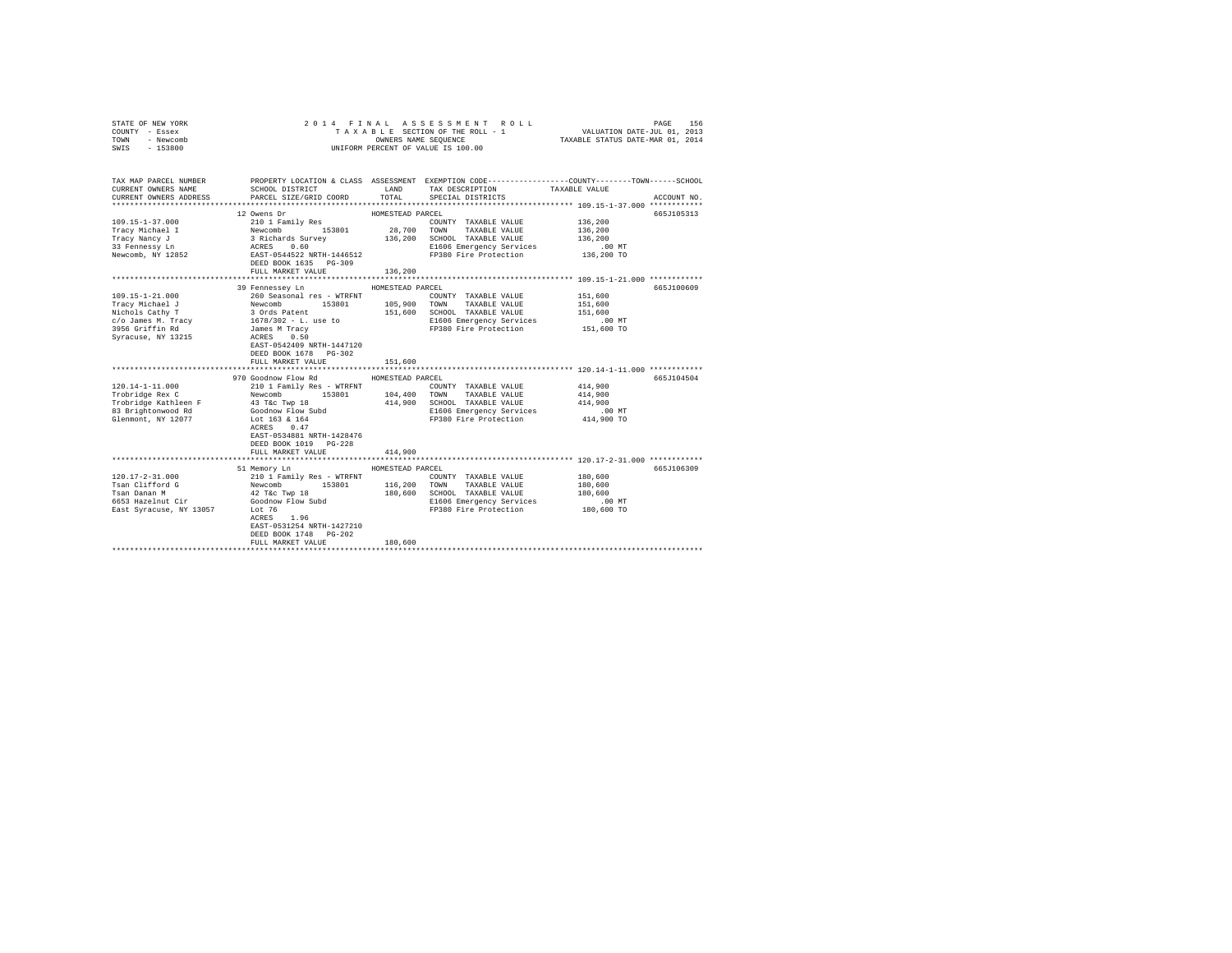| STATE OF NEW YORK<br>COUNTY - Essex<br>TOWN<br>- Newcomb<br>SWIS - 153800                                       |                                                                                                                                                                                                                                                                                   |                                        | 2014 FINAL ASSESSMENT ROLL<br>TAXABLE SECTION OF THE ROLL - 1<br>OWNERS NAME SEQUENCE<br>UNIFORM PERCENT OF VALUE IS 100.00     | 156<br>PAGE<br>VALUATION DATE-JUL 01, 2013<br>TAXABLE STATUS DATE-MAR 01, 2014                                                  |  |
|-----------------------------------------------------------------------------------------------------------------|-----------------------------------------------------------------------------------------------------------------------------------------------------------------------------------------------------------------------------------------------------------------------------------|----------------------------------------|---------------------------------------------------------------------------------------------------------------------------------|---------------------------------------------------------------------------------------------------------------------------------|--|
| TAX MAP PARCEL NUMBER<br>CURRENT OWNERS NAME<br>CURRENT OWNERS ADDRESS                                          | SCHOOL DISTRICT TAND TAX DESCRIPTION<br>PARCEL SIZE/GRID COORD TOTAL                                                                                                                                                                                                              |                                        | SPECIAL DISTRICTS                                                                                                               | PROPERTY LOCATION & CLASS ASSESSMENT EXEMPTION CODE---------------COUNTY-------TOWN------SCHOOL<br>TAXABLE VALUE<br>ACCOUNT NO. |  |
| $109.15 - 1 - 37.000$<br>Tracy Michael I<br>Tracy Nancy J<br>33 Fennessy Ln<br>Newcomb, NY 12852                | 12 Owens Dr<br>210 1 Family Res<br>Newcomb 153801 28,700 TOWN TAXABLE VALUE<br>3 Richards Survey 136,200 SCHOOL TAXABLE VALUE<br>3 Richards Survey 136,200 SCHOOL TAXABLE VALUE<br>2006 EMETAGRES 1.60<br>EAST-0544522 NRTH-1446512<br>DEED BOOK 1635 PG-309<br>FULL MARKET VALUE | HOMESTEAD PARCEL<br>136,200            | COUNTY TAXABLE VALUE<br>E1606 Emergency Services<br>FP380 Fire Protection                                                       | 665J105313<br>136,200<br>136,200<br>136,200<br>$.00$ MT<br>136,200 TO                                                           |  |
| 109.15-1-21.000<br>Tracy Michael J                                                                              | 39 Fennessev Ln<br>260 Seasonal res - WTRFNT COUNTY TAXABLE VALUE<br>Newcomb 153801 105,900 TOWN TAXABLE VALUE                                                                                                                                                                    | HOMESTEAD PARCEL                       | COUNTY TAXABLE VALUE                                                                                                            | 665J100609<br>151,600<br>151,600                                                                                                |  |
| Nichols Cathy T<br>c/o James M. Tracy<br>3956 Griffin Rd<br>Syracuse, NY 13215                                  | 3 Ords Patent<br>1678/302 - L. use to<br>James M Tracy<br>ACRES<br>0.50<br>EAST-0542409 NRTH-1447120<br>DEED BOOK 1678 PG-302<br>FULL MARKET VALUE                                                                                                                                | 151,600                                | 151,600 SCHOOL TAXABLE VALUE<br>E1606 Emergency Services<br>FP380 Fire Protection                                               | 151,600<br>.00 MT<br>151,600 TO                                                                                                 |  |
|                                                                                                                 |                                                                                                                                                                                                                                                                                   |                                        |                                                                                                                                 |                                                                                                                                 |  |
| $120.14 - 1 - 11.000$<br>Trobridge Rex C<br>Trobridge Kathleen F<br>83 Brightonwood Rd<br>Glenmont, NY 12077    | 970 Goodnow Flow Rd<br>210 1 Family Res - WTRFNT<br>Newcomb 153801 104,400<br>43 T&C Twp 18<br>Goodnow Flow Subd<br>Lot 163 & 164<br>ACRES 0.47<br>EAST-0534881 NRTH-1428476<br>DEED BOOK 1019 PG-228<br>FULL MARKET VALUE                                                        | HOMESTEAD PARCEL<br>414,900            | COUNTY TAXABLE VALUE<br>TOWN TAXABLE VALUE<br>414,900 SCHOOL TAXABLE VALUE<br>E1606 Emergency Services<br>FP380 Fire Protection | 665J104504<br>414,900<br>414,900<br>414,900<br>$.00$ MT<br>414,900 TO                                                           |  |
|                                                                                                                 |                                                                                                                                                                                                                                                                                   |                                        |                                                                                                                                 |                                                                                                                                 |  |
| $120.17 - 2 - 31.000$<br>Tsan Clifford G<br>Tsan Danan M<br>6653 Hazelnut Cir<br>East Syracuse, NY 13057 Lot 76 | 51 Memory Ln<br>210 1 Family Res - WTRFNT<br>153801<br>Newcomb<br>42 T&c Twp 18<br>Goodnow Flow Subd<br>ACRES 1.96<br>EAST-0531254 NRTH-1427210<br>DEED BOOK 1748 PG-202<br>FULL MARKET VALUE                                                                                     | HOMESTEAD PARCEL<br>116,200<br>180,600 | COUNTY TAXABLE VALUE<br>TOWN TAXABLE VALUE<br>180,600 SCHOOL TAXABLE VALUE<br>E1606 Emergency Services<br>FP380 Fire Protection | 665J106309<br>180,600<br>180,600<br>180,600<br>$.00$ MT<br>180,600 TO                                                           |  |
|                                                                                                                 |                                                                                                                                                                                                                                                                                   |                                        |                                                                                                                                 |                                                                                                                                 |  |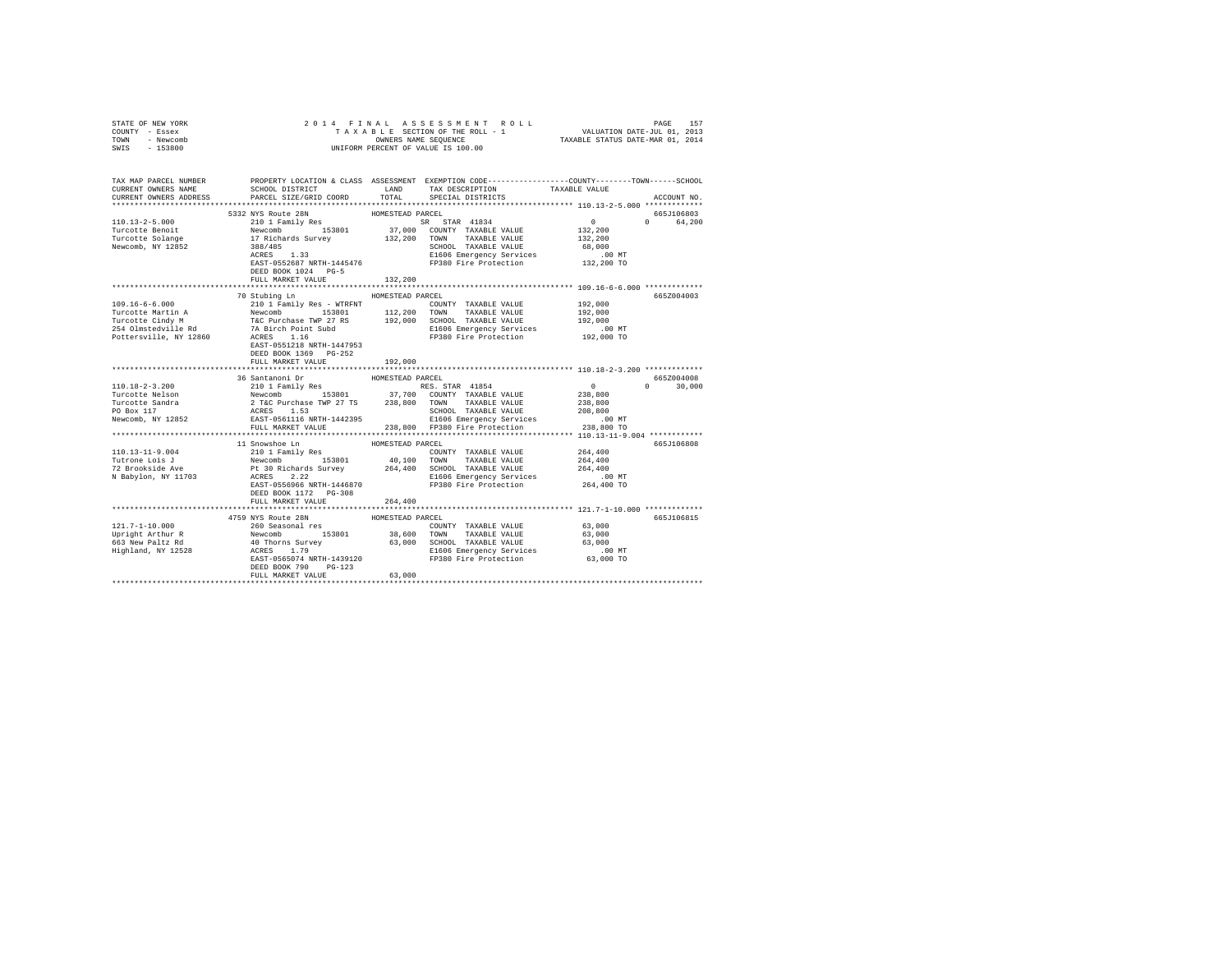| COUNTY - Essex<br>TOWN<br>- Newcomb<br>$-153800$<br>SWIS                                                                                                                                                                                                                                                                                                                                                                                                                                     |                                                                                                                                                                                                                                       |                  | UNIFORM PERCENT OF VALUE IS 100.00                                          |                    |               |
|----------------------------------------------------------------------------------------------------------------------------------------------------------------------------------------------------------------------------------------------------------------------------------------------------------------------------------------------------------------------------------------------------------------------------------------------------------------------------------------------|---------------------------------------------------------------------------------------------------------------------------------------------------------------------------------------------------------------------------------------|------------------|-----------------------------------------------------------------------------|--------------------|---------------|
| TAX MAP PARCEL NUMBER PROPERTY LOCATION & CLASS ASSESSMENT EXEMPTION CODE---------------COUNTY-------TOWN-----SCHOOL<br>CURRENT OWNERS NAME<br>CURRENT OWNERS ADDRESS PARCEL SIZE/GRID COORD TOTAL                                                                                                                                                                                                                                                                                           | SCHOOL DISTRICT TAND TAX DESCRIPTION                                                                                                                                                                                                  |                  | SPECIAL DISTRICTS                                                           | TAXABLE VALUE      | ACCOUNT NO.   |
|                                                                                                                                                                                                                                                                                                                                                                                                                                                                                              | 5332 NYS Route 28N                                                                                                                                                                                                                    | HOMESTEAD PARCEL |                                                                             |                    | 665J106803    |
| $110.13 - 2 - 5.000$                                                                                                                                                                                                                                                                                                                                                                                                                                                                         |                                                                                                                                                                                                                                       |                  |                                                                             | $0$<br>132,200     | 0 64.200      |
| 110.13-2-5.000<br>Turcotte Benoit<br>Turcotte Solange                                                                                                                                                                                                                                                                                                                                                                                                                                        |                                                                                                                                                                                                                                       |                  |                                                                             |                    |               |
| Newcomb, NY 12852                                                                                                                                                                                                                                                                                                                                                                                                                                                                            |                                                                                                                                                                                                                                       |                  |                                                                             | 132,200            |               |
|                                                                                                                                                                                                                                                                                                                                                                                                                                                                                              | 388/485<br>ACRES 1.33                                                                                                                                                                                                                 |                  | SCHOOL TAXABLE VALUE                                                        | 68,000             |               |
|                                                                                                                                                                                                                                                                                                                                                                                                                                                                                              |                                                                                                                                                                                                                                       |                  | E1606 Emergency Services<br>EAST-0552687 NRTH-1445476 FP380 Fire Protection | $.00$ MT           |               |
|                                                                                                                                                                                                                                                                                                                                                                                                                                                                                              |                                                                                                                                                                                                                                       |                  |                                                                             | 132,200 TO         |               |
|                                                                                                                                                                                                                                                                                                                                                                                                                                                                                              | DEED BOOK 1024 PG-5                                                                                                                                                                                                                   | 132,200          |                                                                             |                    |               |
|                                                                                                                                                                                                                                                                                                                                                                                                                                                                                              | FULL MARKET VALUE                                                                                                                                                                                                                     |                  |                                                                             |                    |               |
|                                                                                                                                                                                                                                                                                                                                                                                                                                                                                              | 70 Stubing Ln                                                                                                                                                                                                                         |                  |                                                                             |                    |               |
| $109.16 - 6 - 6.000$                                                                                                                                                                                                                                                                                                                                                                                                                                                                         |                                                                                                                                                                                                                                       | HOMESTEAD PARCEL |                                                                             |                    | 665Z004003    |
|                                                                                                                                                                                                                                                                                                                                                                                                                                                                                              | 210 1 Family Res - WTRFNT                                                                                                                                                                                                             |                  | COUNTY TAXABLE VALUE                                                        | 192,000            |               |
|                                                                                                                                                                                                                                                                                                                                                                                                                                                                                              |                                                                                                                                                                                                                                       |                  |                                                                             | 192,000<br>192,000 |               |
|                                                                                                                                                                                                                                                                                                                                                                                                                                                                                              |                                                                                                                                                                                                                                       |                  |                                                                             |                    |               |
| $\begin{tabular}{lcccc} \texttt{Trucotte Martin A} & \texttt{Newton} & 153801 & 112,200 & \texttt{TORM} & \texttt{TATABLE VALUE} \\ \texttt{Trucotte Cindy M} & \texttt{Tac Purchase TWP 27 RS} & 192,000 & \texttt{SCHODL TAXABLE VALUE} \\ 254\t01m4\text{red} & 7A\text{ Birch Point Subd} & 192,000 & \texttt{SEHO5 Emerency} \\ \texttt{Pottersville, NY 12860} & \texttt{ACRES} & 1.16 & \texttt{F9380 Fire Projection} \\ \end{tabular}$                                              |                                                                                                                                                                                                                                       |                  | FP380 Fire Protection 192,000 TO                                            | .00 MT             |               |
|                                                                                                                                                                                                                                                                                                                                                                                                                                                                                              | EAST-0551218 NRTH-1447953                                                                                                                                                                                                             |                  |                                                                             |                    |               |
|                                                                                                                                                                                                                                                                                                                                                                                                                                                                                              | DEED BOOK 1369 PG-252                                                                                                                                                                                                                 |                  |                                                                             |                    |               |
|                                                                                                                                                                                                                                                                                                                                                                                                                                                                                              | FULL MARKET VALUE                                                                                                                                                                                                                     | 192,000          |                                                                             |                    |               |
|                                                                                                                                                                                                                                                                                                                                                                                                                                                                                              |                                                                                                                                                                                                                                       |                  |                                                                             |                    |               |
|                                                                                                                                                                                                                                                                                                                                                                                                                                                                                              |                                                                                                                                                                                                                                       |                  |                                                                             |                    | 665Z004008    |
|                                                                                                                                                                                                                                                                                                                                                                                                                                                                                              |                                                                                                                                                                                                                                       |                  |                                                                             |                    | $0 \t 30,000$ |
|                                                                                                                                                                                                                                                                                                                                                                                                                                                                                              |                                                                                                                                                                                                                                       |                  |                                                                             |                    |               |
|                                                                                                                                                                                                                                                                                                                                                                                                                                                                                              |                                                                                                                                                                                                                                       |                  |                                                                             |                    |               |
|                                                                                                                                                                                                                                                                                                                                                                                                                                                                                              |                                                                                                                                                                                                                                       |                  |                                                                             |                    |               |
|                                                                                                                                                                                                                                                                                                                                                                                                                                                                                              |                                                                                                                                                                                                                                       |                  |                                                                             |                    |               |
| $\begin{tabular}{c c c c} \multicolumn{2}{c}{\textbf{\texttt{3}}\xspace}} & \multicolumn{2}{c}{\textbf{\texttt{3}}\xspace}} & \multicolumn{2}{c}{\textbf{\texttt{3}}\xspace}} & \multicolumn{2}{c}{\textbf{\texttt{3}}\xspace}} & \multicolumn{2}{c}{\textbf{\texttt{3}}\xspace}} & \multicolumn{2}{c}{\textbf{\texttt{3}}\xspace}} & \multicolumn{2}{c}{\textbf{\texttt{3}}\xspace}} & \multicolumn{2}{c}{\textbf{\texttt{3}}\xspace}} & \multicolumn{2}{c}{\textbf{\texttt{3}}\xspace}} &$ |                                                                                                                                                                                                                                       |                  |                                                                             |                    |               |
|                                                                                                                                                                                                                                                                                                                                                                                                                                                                                              |                                                                                                                                                                                                                                       |                  |                                                                             |                    |               |
|                                                                                                                                                                                                                                                                                                                                                                                                                                                                                              | ${\small 11\;\; Suppose\;\; In} \qquad \qquad {\small HOMESTEAD\;\; PARCEL}$                                                                                                                                                          |                  |                                                                             |                    | 665J106808    |
| 110.13-11-9.004                                                                                                                                                                                                                                                                                                                                                                                                                                                                              | 210 1 Family Res                                                                                                                                                                                                                      |                  | COUNTY TAXABLE VALUE                                                        | 264,400            |               |
|                                                                                                                                                                                                                                                                                                                                                                                                                                                                                              |                                                                                                                                                                                                                                       |                  |                                                                             |                    |               |
| Tutrone Lois J<br>72 Brookside Ave                                                                                                                                                                                                                                                                                                                                                                                                                                                           | Newcomb 153801 40,100 TOWN TAXABLE VALUE 264,400<br>Pt 30 Richards Survey 264,400 SCHOOL TAXABLE VALUE 264,400<br>RCERS 2.22 E1606 Emergency Services<br>RCERS 2.22 E1606 Emergency Services<br>PERT-0559666 RETRI-1446870 FP380 Fire |                  |                                                                             |                    |               |
| N Babylon, NY 11703                                                                                                                                                                                                                                                                                                                                                                                                                                                                          |                                                                                                                                                                                                                                       |                  |                                                                             |                    |               |
|                                                                                                                                                                                                                                                                                                                                                                                                                                                                                              |                                                                                                                                                                                                                                       |                  |                                                                             |                    |               |
|                                                                                                                                                                                                                                                                                                                                                                                                                                                                                              |                                                                                                                                                                                                                                       |                  |                                                                             |                    |               |
|                                                                                                                                                                                                                                                                                                                                                                                                                                                                                              | FULL MARKET VALUE                                                                                                                                                                                                                     | 264,400          |                                                                             |                    |               |
|                                                                                                                                                                                                                                                                                                                                                                                                                                                                                              |                                                                                                                                                                                                                                       |                  |                                                                             |                    |               |
|                                                                                                                                                                                                                                                                                                                                                                                                                                                                                              | 4759 NYS Route 28N                                                                                                                                                                                                                    | HOMESTEAD PARCEL |                                                                             |                    | 665J106815    |
| $121.7 - 1 - 10.000$                                                                                                                                                                                                                                                                                                                                                                                                                                                                         | 260 Seasonal res                                                                                                                                                                                                                      |                  | COUNTY TAXABLE VALUE                                                        | 63,000             |               |
|                                                                                                                                                                                                                                                                                                                                                                                                                                                                                              |                                                                                                                                                                                                                                       |                  |                                                                             |                    |               |
|                                                                                                                                                                                                                                                                                                                                                                                                                                                                                              |                                                                                                                                                                                                                                       |                  |                                                                             |                    |               |
|                                                                                                                                                                                                                                                                                                                                                                                                                                                                                              |                                                                                                                                                                                                                                       |                  |                                                                             |                    |               |
|                                                                                                                                                                                                                                                                                                                                                                                                                                                                                              |                                                                                                                                                                                                                                       |                  |                                                                             |                    |               |
|                                                                                                                                                                                                                                                                                                                                                                                                                                                                                              | DEED BOOK 790 PG-123                                                                                                                                                                                                                  |                  |                                                                             |                    |               |
|                                                                                                                                                                                                                                                                                                                                                                                                                                                                                              | FIILL MARKET VALUE                                                                                                                                                                                                                    | 63,000           |                                                                             |                    |               |
|                                                                                                                                                                                                                                                                                                                                                                                                                                                                                              |                                                                                                                                                                                                                                       |                  |                                                                             |                    |               |

STATE OF NEW YORK 2014 FINAL ASSESSMENT ROLL PAGE 157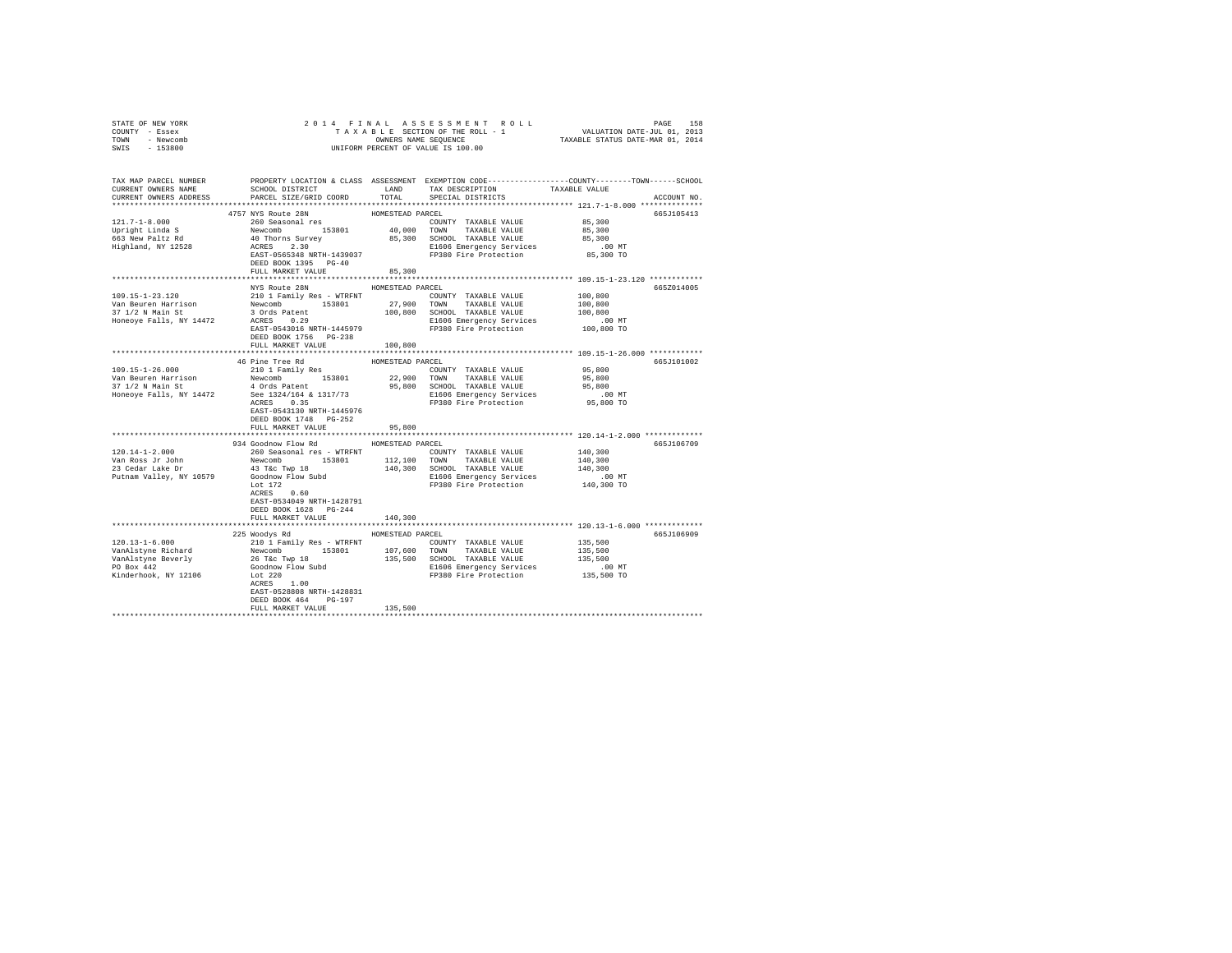| COUNTY - Essex<br>TOWN - Newcomb<br>SWIS - 153800 | T A X A B L E SECTION OF THE ROLL -<br>ONNERE NAMERS NAME SEQUENCE<br>UNIFORM PERCENT OF VALUE IS 100.00                                                                                                                                                                                                                                                                                                                                                                                                                                                                           |                            |                                                            |                                                                                                                                    |
|---------------------------------------------------|------------------------------------------------------------------------------------------------------------------------------------------------------------------------------------------------------------------------------------------------------------------------------------------------------------------------------------------------------------------------------------------------------------------------------------------------------------------------------------------------------------------------------------------------------------------------------------|----------------------------|------------------------------------------------------------|------------------------------------------------------------------------------------------------------------------------------------|
|                                                   |                                                                                                                                                                                                                                                                                                                                                                                                                                                                                                                                                                                    |                            |                                                            | TAX MAP PARCEL NUMBER PROPERTY LOCATION & CLASS ASSESSMENT EXEMPTION CODE--------------COUNTY-------TOWN-----SCHOOL<br>ACCOUNT NO. |
|                                                   | 4757 NYS Route 28N<br>DEED BOOK 1395 PG-40<br>FULL MARKET VALUE                                                                                                                                                                                                                                                                                                                                                                                                                                                                                                                    | HOMESTEAD PARCEL<br>85,300 |                                                            | 665J105413                                                                                                                         |
|                                                   | NYS Route 28N<br>DEED BOOK 1756 PG-238<br>FULL MARKET VALUE 100,800                                                                                                                                                                                                                                                                                                                                                                                                                                                                                                                | HOMESTEAD PARCEL           | COUNTY TAXABLE VALUE 100,800<br>TOWN TAXABLE VALUE 100,800 | 665Z014005                                                                                                                         |
|                                                   |                                                                                                                                                                                                                                                                                                                                                                                                                                                                                                                                                                                    |                            |                                                            |                                                                                                                                    |
|                                                   | 46 Pine Tree Rd MOMESTEAD PARCEL<br>$\begin{tabular}{cccccccc} $109.15-1-26.000$ & $210$1 Fami1y Reg & $3901$ & $200$ & $101$ & $101$ & $101$ & $101$ & $101$ & $101$ & $101$ & $101$ & $101$ & $101$ & $101$ & $101$ & $101$ & $101$ & $101$ & $101$ & $101$ & $101$ & $101$ & $101$ & $101$ & $101$ & $101$ & $101$ & $101$ & $101$ & $101$ & $101$ &$<br>EAST-0543130 NRTH-1445976<br>DEED BOOK 1748 PG-252                                                                                                                                                                     |                            |                                                            | 665J101002                                                                                                                         |
|                                                   | FULL MARKET VALUE                                                                                                                                                                                                                                                                                                                                                                                                                                                                                                                                                                  | 95,800                     |                                                            |                                                                                                                                    |
|                                                   | 934 Goodnow Flow Rd<br>$[120.14-1-2.000] \begin{minipage}{0.9\textwidth} \begin{minipage}{0.9\textwidth} \begin{minipage}{0.9\textwidth} \begin{minipage}{0.9\textwidth} \begin{minipage}{0.9\textwidth} \begin{minipage}{0.9\textwidth} \begin{minipage}{0.9\textwidth} \begin{minipage}{0.9\textwidth} \begin{minipage}{0.9\textwidth} \begin{minipage}{0.9\textwidth} \begin{minipage}{0.9\textwidth} \begin{minipage}{0.9\textwidth} \begin{minipage}{0.9\textwidth} \begin{minipage}{0.9\textwidth} \begin{minipage}{0$<br>EAST-0534049 NRTH-1428791<br>DEED BOOK 1628 PG-244 | HOMESTEAD PARCEL           |                                                            | 665J106709                                                                                                                         |
|                                                   | FULL MARKET VALUE                                                                                                                                                                                                                                                                                                                                                                                                                                                                                                                                                                  | 140,300                    |                                                            |                                                                                                                                    |
|                                                   | 225 Woodys Rd MOMESTEAD PARCEL<br>EAST-0528808 NRTH-1428831<br>DEED BOOK 464 PG-197<br>FULL MARKET VALUE                                                                                                                                                                                                                                                                                                                                                                                                                                                                           | 135,500                    |                                                            | 665J106909                                                                                                                         |
|                                                   |                                                                                                                                                                                                                                                                                                                                                                                                                                                                                                                                                                                    |                            |                                                            |                                                                                                                                    |

STATE OF NEW YORK 2 0 1 4 F I N A L A S S E S S M E N T R O L L PAGE 158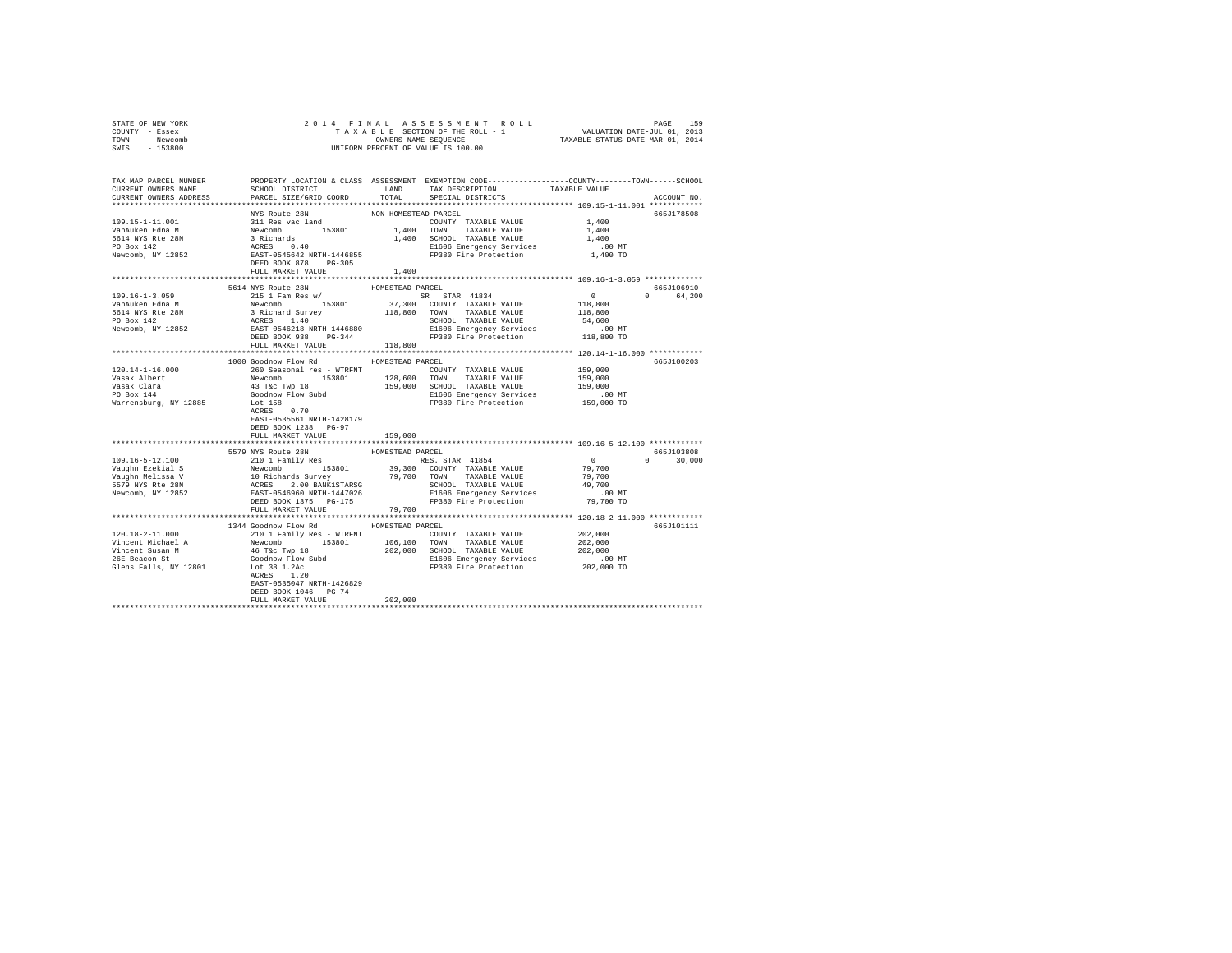| STATE OF NEW YORK<br>COUNTY - Essex<br>- Newcomb<br>TOWN<br>SWIS - 153800                                                                                                                                                                                                                                                                                                                                        | T A X A B L E SECTION OF THE ROLL - 1<br>OWNERS NAME SPONERS NAME SEQUENCE<br>UNIFORM PERCENT OF VALUE IS 100.00 | 2014 FINAL ASSESSMENT ROLL<br>TAXABLE SECTION OF THE ROLL - 1 VALUATION DATE-JUL 01, 2013<br>OWNERS NAME SEQUENCE TAXABLE STATUS DATE-MAR 01, 2014 | 159<br>PAGE |
|------------------------------------------------------------------------------------------------------------------------------------------------------------------------------------------------------------------------------------------------------------------------------------------------------------------------------------------------------------------------------------------------------------------|------------------------------------------------------------------------------------------------------------------|----------------------------------------------------------------------------------------------------------------------------------------------------|-------------|
|                                                                                                                                                                                                                                                                                                                                                                                                                  |                                                                                                                  |                                                                                                                                                    |             |
| TAX MAP PARCEL NUMBER PROPERTY LOCATION & CLASS ASSESSMENT EXEMPTION CODE--------------COUNTY-------TOWN------SCHOOL                                                                                                                                                                                                                                                                                             |                                                                                                                  |                                                                                                                                                    |             |
| CURRENT OWNERS NAME                SCHOOL DISTRICT                   LAND       TAX DESCRIPTION                TAXABLE VALUE                                                                                                                                                                                                                                                                                     |                                                                                                                  |                                                                                                                                                    |             |
| $\texttt{CURERINT}\hspace{0.05in}\texttt{OWERS}\hspace{0.05in} \texttt{PARGEL}\hspace{0.05in} \texttt{SIZE/GRID}\hspace{0.05in} \texttt{COORD}\hspace{1.5in} \texttt{TOTAL}\hspace{0.05in} \texttt{SPECTAL}\hspace{0.05in} \texttt{DISTRICTS}\hspace{1.5in} \texttt{WATE}\hspace{0.05in} \texttt{NCTA}\hspace{0.05in} \texttt{ACCOUNT}\hspace{0.05in} \texttt{NO}\hspace{0.05in} \texttt{NOTA}\hspace{0.05in} \$ |                                                                                                                  |                                                                                                                                                    |             |
|                                                                                                                                                                                                                                                                                                                                                                                                                  |                                                                                                                  |                                                                                                                                                    |             |
|                                                                                                                                                                                                                                                                                                                                                                                                                  | NYS Route 28N MON-HOMESTEAD PARCEL                                                                               |                                                                                                                                                    | 665J178508  |
| 109.15-1-11.001                                                                                                                                                                                                                                                                                                                                                                                                  | 311 Res vac land                                                                                                 | COUNTY TAXABLE VALUE 1,400                                                                                                                         |             |
| $\verb VanAuken Edna M  \qquad \qquad \verb Newcomb  \qquad \qquad 153801 \qquad \qquad 1,400 \qquad \text{TOWN} \qquad \text{TXABLE VALUE} \qquad \qquad 1,400$                                                                                                                                                                                                                                                 |                                                                                                                  |                                                                                                                                                    |             |
| 5614 NYS Rte 28N 3 Richards 3 (1,400 SCHOOL TAXABLE VALUE 1,400                                                                                                                                                                                                                                                                                                                                                  |                                                                                                                  |                                                                                                                                                    |             |
|                                                                                                                                                                                                                                                                                                                                                                                                                  |                                                                                                                  | E1606 Emergency Services .00 MT                                                                                                                    |             |
| Newcomb, NY 12852 EAST-0545642 NRTH-1446855 FP380 Fire Protection 1,400 TO                                                                                                                                                                                                                                                                                                                                       |                                                                                                                  |                                                                                                                                                    |             |
|                                                                                                                                                                                                                                                                                                                                                                                                                  | DEED BOOK 878 PG-305                                                                                             |                                                                                                                                                    |             |
|                                                                                                                                                                                                                                                                                                                                                                                                                  | FULL MARKET VALUE 1,400                                                                                          |                                                                                                                                                    |             |
|                                                                                                                                                                                                                                                                                                                                                                                                                  |                                                                                                                  |                                                                                                                                                    |             |
|                                                                                                                                                                                                                                                                                                                                                                                                                  | 5614 NYS Route 28N HOMESTEAD PARCEL                                                                              |                                                                                                                                                    |             |
| $109.16 - 1 - 3.059$                                                                                                                                                                                                                                                                                                                                                                                             |                                                                                                                  |                                                                                                                                                    |             |
| VanAuken Edna M                     Newcomb         153801          37,300 COUNTY TAXABLE VALUE              118,800                                                                                                                                                                                                                                                                                             |                                                                                                                  |                                                                                                                                                    |             |
| 5614 NYS Rte 28N 3 Richard Survey 118,800 TOWN                                                                                                                                                                                                                                                                                                                                                                   |                                                                                                                  | TAXABLE VALUE 118,800                                                                                                                              |             |
| PO Box 142                                                                                                                                                                                                                                                                                                                                                                                                       | ACRES 1.40                                                                                                       | SCHOOL TAXABLE VALUE 54,600                                                                                                                        |             |
| Newcomb, NY 12852 CAST-0546218 NRTH-1446880 E1606 Emergency Services .00 MT                                                                                                                                                                                                                                                                                                                                      |                                                                                                                  |                                                                                                                                                    |             |
|                                                                                                                                                                                                                                                                                                                                                                                                                  | DEED BOOK 938 PG-344                                                                                             | FP380 Fire Protection 118,800 TO                                                                                                                   |             |
|                                                                                                                                                                                                                                                                                                                                                                                                                  |                                                                                                                  |                                                                                                                                                    |             |

|                                                                                             | FULL MARKET VALUE                                                                                                                                                                                     | 118,800                                                                                                                                                                                                                                                                         |                                                          |
|---------------------------------------------------------------------------------------------|-------------------------------------------------------------------------------------------------------------------------------------------------------------------------------------------------------|---------------------------------------------------------------------------------------------------------------------------------------------------------------------------------------------------------------------------------------------------------------------------------|----------------------------------------------------------|
|                                                                                             |                                                                                                                                                                                                       |                                                                                                                                                                                                                                                                                 |                                                          |
| $120.14 - 1 - 16.000$<br>Vasak Albert<br>Vasak Clara<br>PO Box 144<br>Warrensburg, NY 12885 | 1000 Goodnow Flow Rd MOMESTEAD PARCEL<br>260 Seasonal res - WTRFNT<br>Goodnow Flow Subd<br>Lot 158                                                                                                    | COUNTY TAXABLE VALUE<br>Newcomb 153801 128,600 TOWN TAXABLE VALUE<br>43 T&C Twp 18 			 159,000 		 SCHOOL TAXABLE VALUE<br>E1606 Emergency Services .00 MT<br>FP380 Fire Protection 159,000 TO                                                                                   | 665.T100203<br>159,000<br>159,000<br>159,000             |
|                                                                                             | ACRES 0.70<br>EAST-0535561 NRTH-1428179<br>DEED BOOK 1238 PG-97<br>FULL MARKET VALUE 159,000                                                                                                          |                                                                                                                                                                                                                                                                                 |                                                          |
|                                                                                             | 5579 NYS Route 28N HOMESTEAD PARCEL                                                                                                                                                                   |                                                                                                                                                                                                                                                                                 | 665J103808                                               |
|                                                                                             | 109.16-5-12.100 210 1 Family Res<br>FULL MARKET VALUE 79,700                                                                                                                                          | RES. STAR 41854<br>Vaughn Ezekial S               Newcomb         153801         39,300   COUNTY TAXABLE VALUE             79,700<br>Newcomb, NY 12852 696960 NRTH-1447026 E1606 Emergency Services 60 MT<br>DEED BOOK 1375 PG-175 FP380 Fire Protection 79,700 TO              | $\mathbf{0}$<br>30,000<br>$\Omega$<br>79,700<br>49,700   |
| 26E Beacon St<br>Glens Falls, NY 12801                                                      | 1344 Goodnow Flow Rd MOMESTEAD PARCEL<br>Vincent Susan M $46$ T&c Twp 18<br>Goodnow Flow Subd<br>Lot 38 1.2Ac<br>ACRES 1.20<br>EAST-0535047 NRTH-1426829<br>DEED BOOK 1046 PG-74<br>FULL MARKET VALUE | 120.18-2-11.000  210 1 Family Res - WTRFNT  COUNTY TAXABLE VALUE<br>Vincent Michael A                  Newcomb         153801        106,100   TOWN    TAXABLE VALUE<br>202,000 SCHOOL TAXABLE VALUE<br>E1606 Emergency Services<br>FP380 Fire Protection 202,000 TO<br>202,000 | 665.T101111<br>202,000<br>202,000<br>202,000<br>$.00$ MT |
|                                                                                             |                                                                                                                                                                                                       |                                                                                                                                                                                                                                                                                 |                                                          |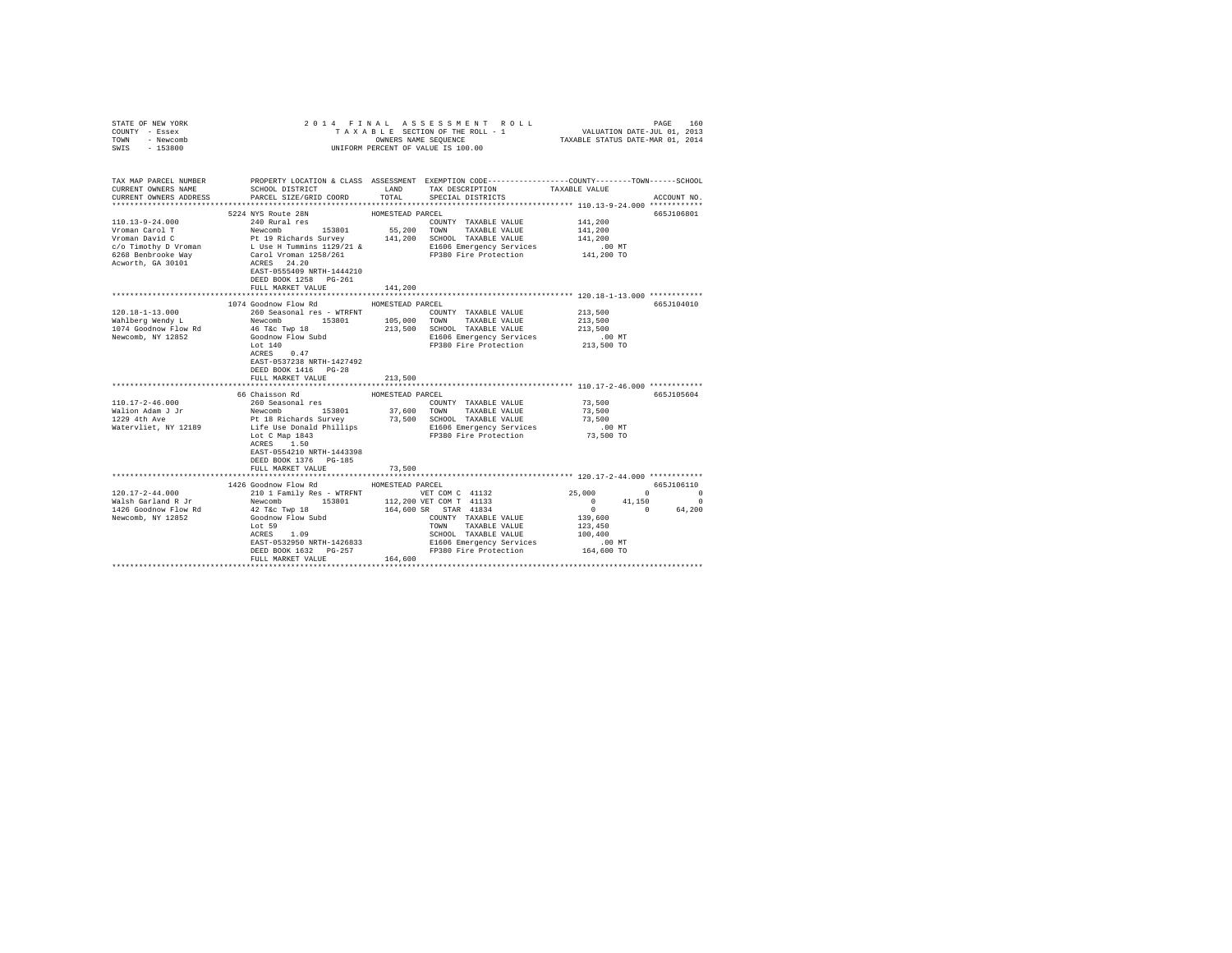| STATE OF NEW YORK<br>COUNTY - Essex<br>TOWN - Newcomb<br>SWIS - 153800                                                                                                      |                                                                                                                                                                                                                                                                                                                                                                                                                           |                                                 | 2014 FINAL ASSESSMENT ROLL PRESSURE TRAXABLE STATISHTS TO TAXABLE STATISHTS ON THE SECTION ONE TRAXABLE STATISHTS AND TRAXABLE STATISHTS AND DATE-TUL 01, 2013                                                      |                                                                                                                |                                                          |
|-----------------------------------------------------------------------------------------------------------------------------------------------------------------------------|---------------------------------------------------------------------------------------------------------------------------------------------------------------------------------------------------------------------------------------------------------------------------------------------------------------------------------------------------------------------------------------------------------------------------|-------------------------------------------------|---------------------------------------------------------------------------------------------------------------------------------------------------------------------------------------------------------------------|----------------------------------------------------------------------------------------------------------------|----------------------------------------------------------|
| TAX MAP PARCEL NUMBER PROPERTY LOCATION & CLASS ASSESSMENT EXEMPTION CODE---------------COUNTY-------TOWN------SCHOOL<br>CURRENT OWNERS NAME<br>CURRENT OWNERS ADDRESS      | SCHOOL DISTRICT<br>PARCEL SIZE/GRID COORD                                                                                                                                                                                                                                                                                                                                                                                 | TOTAL                                           | LAND TAX DESCRIPTION<br>SPECIAL DISTRICTS                                                                                                                                                                           | TAXABLE VALUE                                                                                                  | ACCOUNT NO.                                              |
|                                                                                                                                                                             |                                                                                                                                                                                                                                                                                                                                                                                                                           |                                                 |                                                                                                                                                                                                                     |                                                                                                                |                                                          |
| 110.13-9-24.000<br>Vroman Carol T<br>Vroman Carol I<br>Vroman David C<br>c/o Timothy D Vroman<br>6268 Benbrooke Way<br>Acworth, GA 30101                                    | 5224 NYS Route 28N<br>240 Rural res<br>Newcomb 153801 55,200 TOWN TAXABLE VALUE<br>Pt 19 Richards Survey 141,200 SCHOOL TAXABLE VALUE<br>Newcomb 153801<br>L Use H Tummins 1129/21 &<br>Carol Vroman 1258/261<br>ACRES 24.20                                                                                                                                                                                              | HOMESTEAD PARCEL                                | COUNTY TAXABLE VALUE<br>E1606 Emergency Services<br>FP380 Fire Protection                                                                                                                                           | 141,200<br>141,200<br>141,200<br>$.00$ MT<br>141,200 TO                                                        | 665J106801                                               |
|                                                                                                                                                                             | EAST-0555409 NRTH-1444210<br>DEED BOOK 1258 PG-261<br>FULL MARKET VALUE                                                                                                                                                                                                                                                                                                                                                   | 141,200                                         |                                                                                                                                                                                                                     |                                                                                                                |                                                          |
|                                                                                                                                                                             |                                                                                                                                                                                                                                                                                                                                                                                                                           |                                                 |                                                                                                                                                                                                                     | *********************** 120.18-1-13.000 ************                                                           |                                                          |
| $120.18 - 1 - 13.000$<br>Wahlberg Wendy L<br>1074 Goodnow Flow Rd<br>Newcomb, NY 12852<br>$110.17 - 2 - 46.000$<br>Walion Adam J Jr<br>1229 4th Ave<br>Watervliet, NY 12189 | 1074 Goodnow Flow Rd<br>46 T&c Twp 18<br>Goodnow Flow Subd<br>Lot $140$<br>ACRES 0.47<br>EAST-0537238 NRTH-1427492<br>DEED BOOK 1416 PG-28<br>FULL MARKET VALUE<br>66 Chaisson Rd<br>260 Seasonal res<br>Newcomb 153801<br>Pt 18 Richards Survey 73,500 SCHOOL TAXABLE VALUE<br>Life Use Donald Phillips 81606 Emergency Services<br>Lot C Map $1843$<br>ACRES 1.50<br>EAST-0554210 NRTH-1443398<br>DEED BOOK 1376 PG-185 | HOMESTEAD PARCEL<br>213,500<br>HOMESTEAD PARCEL | COUNTY TAXABLE VALUE<br>213,500 SCHOOL TAXABLE VALUE<br>E1606 Emergency Services<br>FP380 Fire Protection<br>COUNTY TAXABLE VALUE<br>37,600 TOWN TAXABLE VALUE<br>E1606 Emergency Services<br>FP380 Fire Protection | 213,500<br>213,500<br>213,500<br>.00 MT<br>213,500 TO<br>73,500<br>73,500<br>73,500<br>$.00$ MT<br>$73,500$ TO | 665J104010<br>665J105604                                 |
|                                                                                                                                                                             | FULL MARKET VALUE                                                                                                                                                                                                                                                                                                                                                                                                         | 73,500                                          |                                                                                                                                                                                                                     |                                                                                                                |                                                          |
|                                                                                                                                                                             |                                                                                                                                                                                                                                                                                                                                                                                                                           |                                                 |                                                                                                                                                                                                                     |                                                                                                                |                                                          |
| $120.17 - 2 - 44.000$<br>Walsh Garland R Jr<br>1426 Goodnow Flow Rd<br>Newcomb, NY 12852                                                                                    | 1426 Goodnow Flow Rd<br>210 1 Family Res - WTRFNT<br>Newcomb 153801<br>42 T&c Twp 18<br>Goodnow Flow Subd<br>Lot 59<br>ACRES 1.09<br>EAST-0532950 NRTH-1426833<br>DEED BOOK 1632    PG-257<br>FULL MARKET VALUE                                                                                                                                                                                                           | HOMESTEAD PARCEL<br>164,600                     | VET COM C 41132<br>112,200 VET COM T 41133<br>164,600 SR STAR 41834<br>COUNTY TAXABLE VALUE<br>TOWN TAXABLE VALUE<br>SCHOOL TAXABLE VALUE<br>E1606 Emergency Services<br>Phase History Services                     | 25,000<br>$\mathbf{0}$<br>$0 \t 0 \t 64,200$<br>139,600<br>123,450<br>100,400<br>$.00$ MT<br>164,600 TO        | 665J106110<br>$\sim$ 0<br>$\sim$ 0<br>41,150<br>$\Omega$ |
|                                                                                                                                                                             |                                                                                                                                                                                                                                                                                                                                                                                                                           |                                                 |                                                                                                                                                                                                                     |                                                                                                                |                                                          |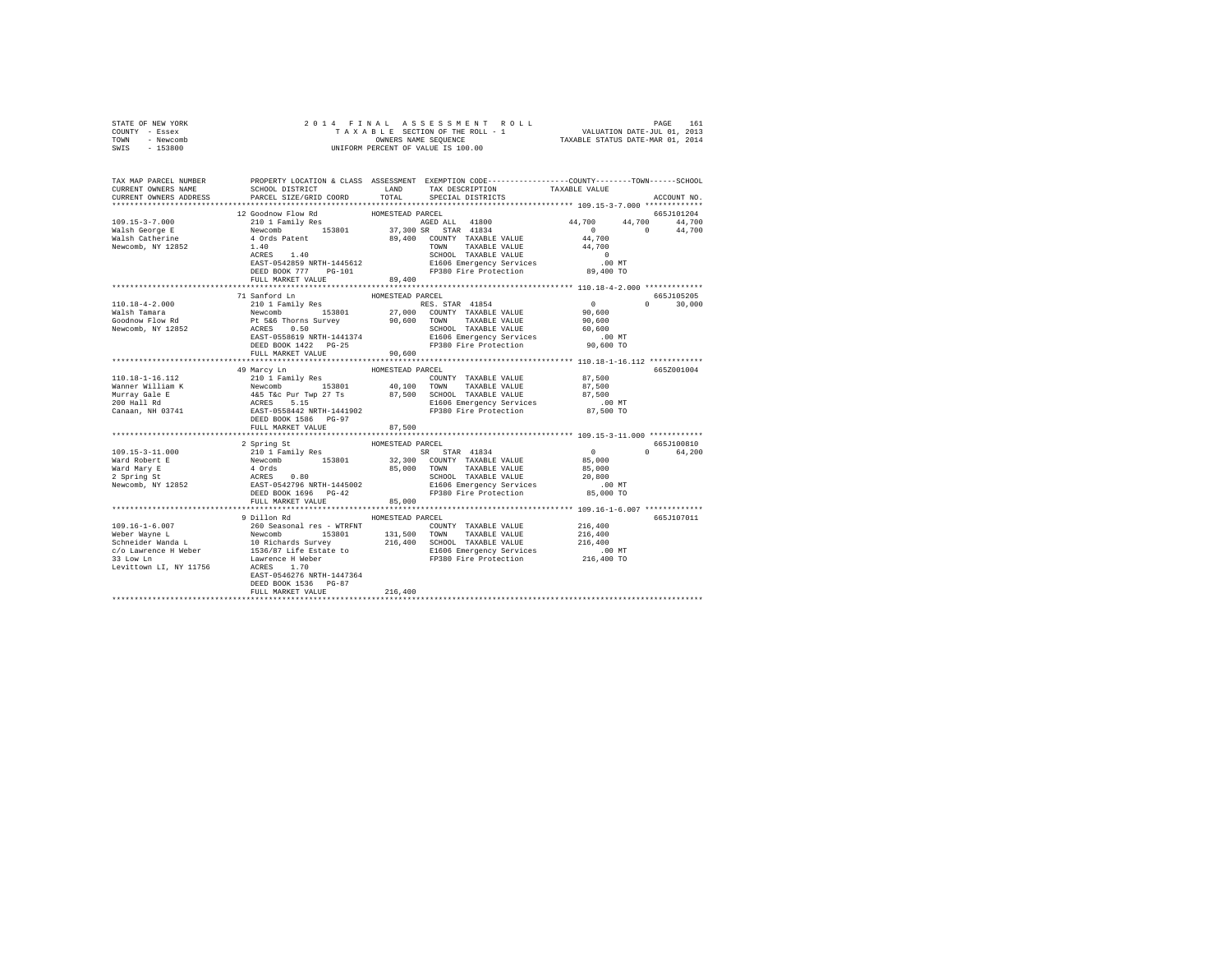| STATE OF NEW YORK<br>COUNTY - Essex<br>TOWN - Newcomb |                                                                                                                                                                                                                                                                                                               |                  |                   |             |
|-------------------------------------------------------|---------------------------------------------------------------------------------------------------------------------------------------------------------------------------------------------------------------------------------------------------------------------------------------------------------------|------------------|-------------------|-------------|
| SWIS - 153800                                         |                                                                                                                                                                                                                                                                                                               |                  |                   |             |
|                                                       | TAX MAP PARCEL NUMBER     PROPERTY LOCATION & CLASS ASSESSMENT EXEMPTION CODE---------------COUNTY-------TOWN------SCHOOL<br>CURRENT OWNERS NAME     SCHOOL DISTRICT     LAND   TAX DESCRIPTION     TAXABLE VALUE                                                                                             |                  |                   |             |
| CURRENT OWNERS ADDRESS                                | PARCEL SIZE/GRID COORD                                                                                                                                                                                                                                                                                        | TOTAL            | SPECIAL DISTRICTS | ACCOUNT NO. |
|                                                       |                                                                                                                                                                                                                                                                                                               |                  |                   |             |
|                                                       | 12 Goodnow Flow Rd<br>$\begin{tabular}{cccccccc} $109.15-3-7.000$ & $14.0000$ & $14.0000$ & $14.0000$ & $14.0000$ & $14.0000$ & $14.0000$ & $14.0000$ & $14.0000$ & $14.0000$ & $14.0000$ & $14.0000$ & $14.0000$ & $14.0000$ & $14.0000$ & $14.0000$ & $14.0000$ & $14.0000$ & $14.0000$ & $14.0000$ & $14.$ | HOMESTEAD PARCEL |                   | 665J101204  |
|                                                       |                                                                                                                                                                                                                                                                                                               |                  |                   |             |
|                                                       |                                                                                                                                                                                                                                                                                                               |                  |                   |             |
|                                                       |                                                                                                                                                                                                                                                                                                               |                  |                   |             |
|                                                       |                                                                                                                                                                                                                                                                                                               |                  |                   |             |
|                                                       |                                                                                                                                                                                                                                                                                                               |                  |                   |             |
|                                                       |                                                                                                                                                                                                                                                                                                               |                  |                   |             |
|                                                       |                                                                                                                                                                                                                                                                                                               |                  |                   |             |
|                                                       | 13 Sanford In HOMESTEAD PARCEL 100 COUNTY TAXABLE VALUE 100 0001<br>14 Sanford In HOMESTEAD PARCEL 100 COUNTY TAXABLE VALUE 90,600 0<br>Walsh Tamara Revoomb 153801 27,000 COUNTY TAXABLE VALUE 90,600 0<br>Sociolow Flow Rd Pt 5&6                                                                           |                  |                   |             |
|                                                       |                                                                                                                                                                                                                                                                                                               |                  |                   |             |
|                                                       |                                                                                                                                                                                                                                                                                                               |                  |                   |             |
|                                                       |                                                                                                                                                                                                                                                                                                               |                  |                   |             |
|                                                       |                                                                                                                                                                                                                                                                                                               |                  |                   |             |
|                                                       |                                                                                                                                                                                                                                                                                                               |                  |                   |             |
|                                                       |                                                                                                                                                                                                                                                                                                               |                  |                   |             |
|                                                       |                                                                                                                                                                                                                                                                                                               |                  |                   |             |
|                                                       |                                                                                                                                                                                                                                                                                                               |                  |                   |             |
|                                                       |                                                                                                                                                                                                                                                                                                               |                  |                   | 665Z001004  |
|                                                       |                                                                                                                                                                                                                                                                                                               |                  |                   |             |
|                                                       |                                                                                                                                                                                                                                                                                                               |                  |                   |             |
|                                                       |                                                                                                                                                                                                                                                                                                               |                  |                   |             |
|                                                       |                                                                                                                                                                                                                                                                                                               |                  |                   |             |
|                                                       |                                                                                                                                                                                                                                                                                                               |                  |                   |             |
|                                                       |                                                                                                                                                                                                                                                                                                               |                  |                   |             |
|                                                       |                                                                                                                                                                                                                                                                                                               | HOMESTEAD PARCEL |                   | 665J100810  |
|                                                       | 2 Spring St                                                                                                                                                                                                                                                                                                   |                  |                   | 0 64,200    |
|                                                       |                                                                                                                                                                                                                                                                                                               |                  |                   |             |
|                                                       |                                                                                                                                                                                                                                                                                                               |                  |                   |             |
|                                                       |                                                                                                                                                                                                                                                                                                               |                  |                   |             |
|                                                       |                                                                                                                                                                                                                                                                                                               |                  |                   |             |
|                                                       |                                                                                                                                                                                                                                                                                                               |                  |                   |             |
|                                                       | FULL MARKET VALUE                                                                                                                                                                                                                                                                                             | 85,000           |                   |             |
|                                                       | 9 Dillon Rd                                                                                                                                                                                                                                                                                                   | HOMESTEAD PARCEL |                   | 665J107011  |
|                                                       |                                                                                                                                                                                                                                                                                                               |                  |                   |             |
|                                                       |                                                                                                                                                                                                                                                                                                               |                  |                   |             |
|                                                       |                                                                                                                                                                                                                                                                                                               |                  |                   |             |
|                                                       |                                                                                                                                                                                                                                                                                                               |                  |                   |             |
|                                                       |                                                                                                                                                                                                                                                                                                               |                  |                   |             |
|                                                       |                                                                                                                                                                                                                                                                                                               |                  |                   |             |
|                                                       | DEED BOOK 1536 PG-87                                                                                                                                                                                                                                                                                          |                  |                   |             |
|                                                       | FULL MARKET VALUE                                                                                                                                                                                                                                                                                             | 216,400          |                   |             |
|                                                       |                                                                                                                                                                                                                                                                                                               |                  |                   |             |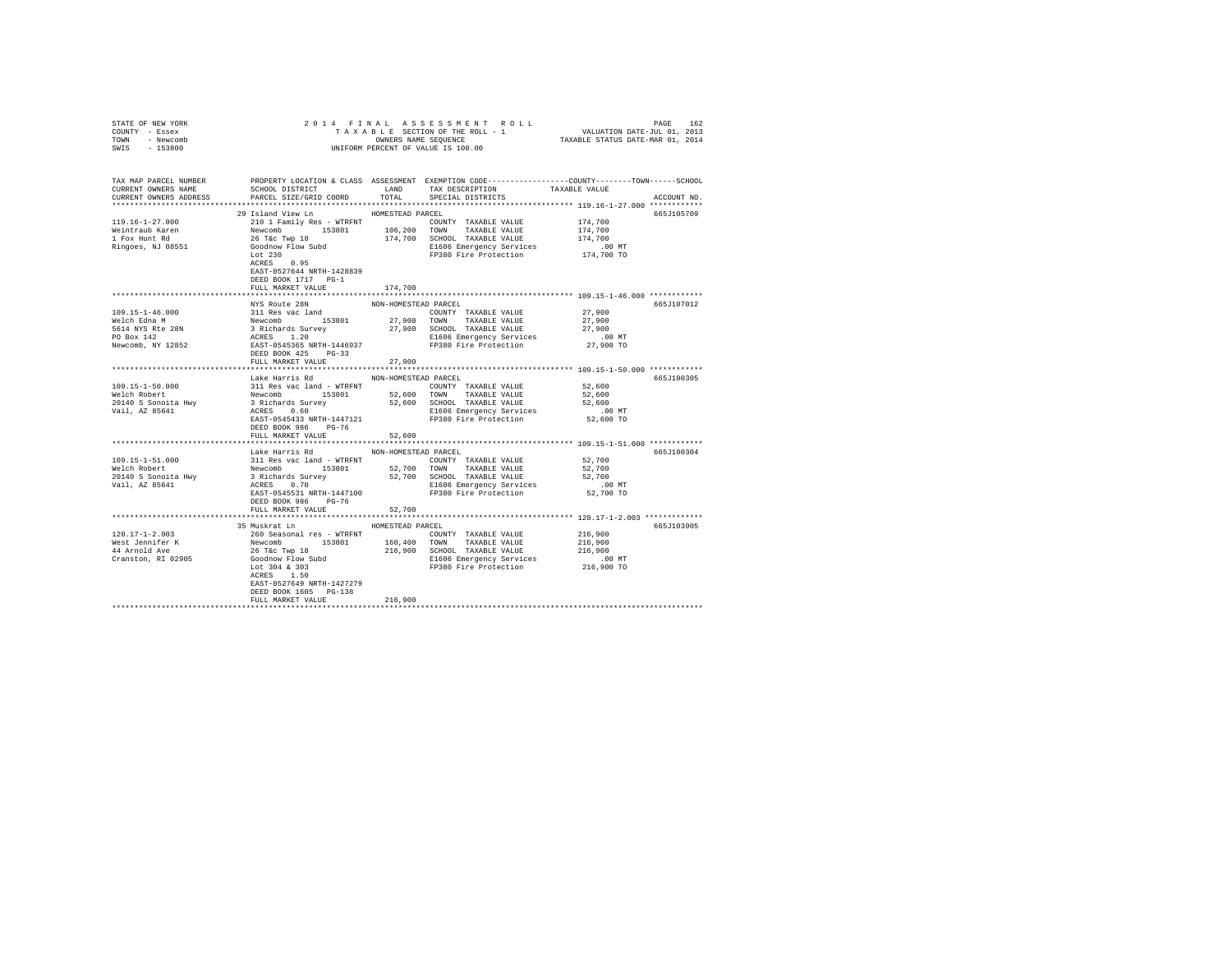| STATE OF NEW YORK                                                                                                    |                                     |                      |                                                                                                                                                             |           |             |
|----------------------------------------------------------------------------------------------------------------------|-------------------------------------|----------------------|-------------------------------------------------------------------------------------------------------------------------------------------------------------|-----------|-------------|
| COUNTY - Essex                                                                                                       |                                     |                      | 2014 FINAL ASSESSMENT ROLL PAGE 162<br>TAXABLE SECTION OF THE ROLL - 1 VALUATION DATE-JUL 01, 2013<br>OWNERS NAME SEQUENCE TAXABLE STATUS DATE-MAR 01, 2014 |           |             |
| TOWN - Newcomb                                                                                                       |                                     |                      |                                                                                                                                                             |           |             |
| SWIS - 153800                                                                                                        |                                     |                      |                                                                                                                                                             |           |             |
|                                                                                                                      |                                     |                      |                                                                                                                                                             |           |             |
|                                                                                                                      |                                     |                      |                                                                                                                                                             |           |             |
| TAX MAP PARCEL NUMBER PROPERTY LOCATION & CLASS ASSESSMENT EXEMPTION CODE--------------COUNTY-------TOWN------SCHOOL |                                     |                      |                                                                                                                                                             |           |             |
| CURRENT OWNERS NAME                                                                                                  |                                     |                      | SCHOOL DISTRICT                         LAND        TAX DESCRIPTION                   TAXABLE VALUE                                                         |           |             |
| CURRENT OWNERS ADDRESS                                                                                               | PARCEL SIZE/GRID COORD              | TOTAL                | SPECIAL DISTRICTS                                                                                                                                           |           | ACCOUNT NO. |
|                                                                                                                      |                                     |                      |                                                                                                                                                             |           |             |
|                                                                                                                      | 29 Island View Ln                   | HOMESTEAD PARCEL     |                                                                                                                                                             |           | 665J105709  |
| 119.16-1-27.000                                                                                                      | 210 1 Family Res - WTRFNT           |                      | COUNTY TAXABLE VALUE 174,700                                                                                                                                |           |             |
|                                                                                                                      |                                     |                      |                                                                                                                                                             | 174,700   |             |
| Weintraub Karen<br>1 Fox Hunt Rd                                                                                     |                                     |                      |                                                                                                                                                             | 174,700   |             |
| Ringoes, NJ 08551                                                                                                    |                                     |                      |                                                                                                                                                             |           |             |
|                                                                                                                      |                                     |                      | E1606 Emergency Services 6.00 MT<br>FP380 Fire Protection 174,700 TO                                                                                        |           |             |
|                                                                                                                      |                                     |                      |                                                                                                                                                             |           |             |
|                                                                                                                      | EAST-0527644 NRTH-1428839           |                      |                                                                                                                                                             |           |             |
|                                                                                                                      | DEED BOOK 1717 PG-1                 |                      |                                                                                                                                                             |           |             |
|                                                                                                                      | FULL MARKET VALUE                   | 174,700              |                                                                                                                                                             |           |             |
|                                                                                                                      |                                     |                      |                                                                                                                                                             |           |             |
|                                                                                                                      | NYS Route 28N                       | NON-HOMESTEAD PARCEL |                                                                                                                                                             |           | 665J107012  |
|                                                                                                                      |                                     |                      |                                                                                                                                                             |           |             |
|                                                                                                                      |                                     |                      |                                                                                                                                                             |           |             |
|                                                                                                                      |                                     |                      |                                                                                                                                                             |           |             |
|                                                                                                                      |                                     |                      |                                                                                                                                                             |           |             |
|                                                                                                                      |                                     |                      |                                                                                                                                                             |           |             |
|                                                                                                                      |                                     |                      |                                                                                                                                                             |           |             |
|                                                                                                                      |                                     |                      |                                                                                                                                                             |           |             |
|                                                                                                                      | FULL MARKET VALUE                   | 27,900               |                                                                                                                                                             |           |             |
|                                                                                                                      |                                     |                      |                                                                                                                                                             |           |             |
|                                                                                                                      | Lake Harris Rd MON-HOMESTEAD PARCEL |                      |                                                                                                                                                             |           | 665J100305  |
|                                                                                                                      |                                     |                      |                                                                                                                                                             |           |             |
|                                                                                                                      |                                     |                      |                                                                                                                                                             |           |             |
|                                                                                                                      |                                     |                      |                                                                                                                                                             |           |             |
|                                                                                                                      |                                     |                      |                                                                                                                                                             | $.00$ MT  |             |
|                                                                                                                      |                                     |                      |                                                                                                                                                             | 52,600 TO |             |
|                                                                                                                      | DEED BOOK 986 PG-76                 |                      |                                                                                                                                                             |           |             |
|                                                                                                                      | FULL MARKET VALUE 52,600            |                      |                                                                                                                                                             |           |             |
|                                                                                                                      |                                     |                      |                                                                                                                                                             |           |             |
|                                                                                                                      | Lake Harris Rd NON-HOMESTEAD PARCEL |                      |                                                                                                                                                             |           | 665J100304  |
|                                                                                                                      |                                     |                      |                                                                                                                                                             | 52,700    |             |
|                                                                                                                      |                                     |                      |                                                                                                                                                             |           |             |
|                                                                                                                      |                                     |                      |                                                                                                                                                             |           |             |
|                                                                                                                      |                                     |                      |                                                                                                                                                             |           |             |
|                                                                                                                      |                                     |                      |                                                                                                                                                             |           |             |
|                                                                                                                      | DEED BOOK 986 PG-76                 |                      |                                                                                                                                                             |           |             |
|                                                                                                                      | FULL MARKET VALUE                   | 52,700               |                                                                                                                                                             |           |             |
|                                                                                                                      |                                     |                      |                                                                                                                                                             |           |             |
|                                                                                                                      | 35 Muskrat Ln                       | HOMESTEAD PARCEL     |                                                                                                                                                             |           | 665J103905  |
|                                                                                                                      |                                     |                      |                                                                                                                                                             |           |             |
|                                                                                                                      |                                     |                      |                                                                                                                                                             |           |             |
|                                                                                                                      |                                     |                      |                                                                                                                                                             |           |             |
|                                                                                                                      |                                     |                      |                                                                                                                                                             |           |             |
|                                                                                                                      |                                     |                      |                                                                                                                                                             |           |             |
|                                                                                                                      | ACRES 1.50                          |                      |                                                                                                                                                             |           |             |
|                                                                                                                      | EAST-0527649 NRTH-1427279           |                      |                                                                                                                                                             |           |             |
|                                                                                                                      | DEED BOOK 1605 PG-138               |                      |                                                                                                                                                             |           |             |
|                                                                                                                      | FULL MARKET VALUE                   | 216,900              |                                                                                                                                                             |           |             |
|                                                                                                                      |                                     |                      |                                                                                                                                                             |           |             |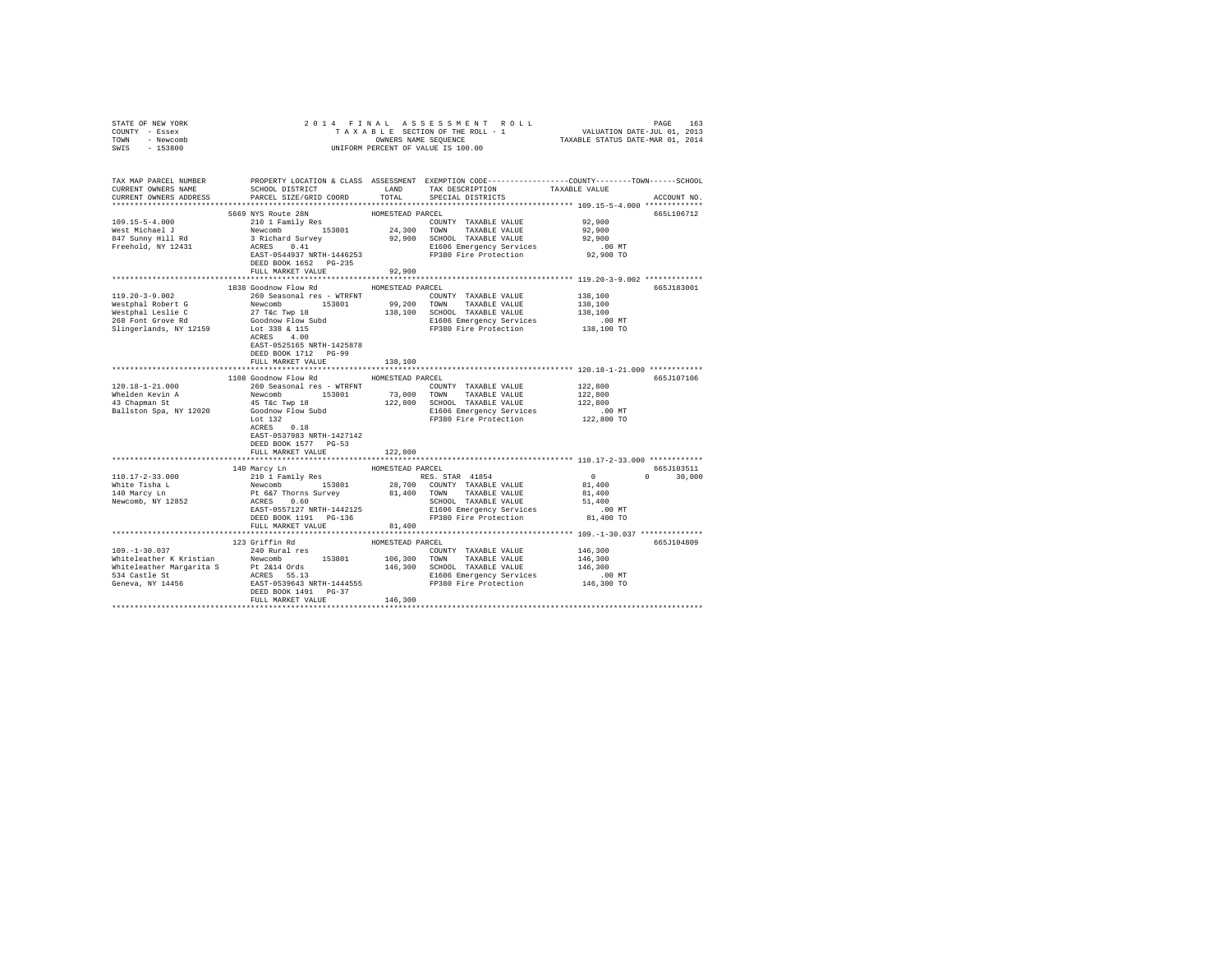| STATE OF NEW YORK                                  |                                                                                                                                                                                                                                                                                                                                                                                                                               |                  |                             |                       |                    |
|----------------------------------------------------|-------------------------------------------------------------------------------------------------------------------------------------------------------------------------------------------------------------------------------------------------------------------------------------------------------------------------------------------------------------------------------------------------------------------------------|------------------|-----------------------------|-----------------------|--------------------|
| COUNTY - Essex                                     |                                                                                                                                                                                                                                                                                                                                                                                                                               |                  |                             |                       |                    |
| TOWN - Newcomb                                     |                                                                                                                                                                                                                                                                                                                                                                                                                               |                  |                             |                       |                    |
| SWIS - 153800                                      |                                                                                                                                                                                                                                                                                                                                                                                                                               |                  |                             |                       |                    |
|                                                    |                                                                                                                                                                                                                                                                                                                                                                                                                               |                  |                             |                       |                    |
|                                                    |                                                                                                                                                                                                                                                                                                                                                                                                                               |                  |                             |                       |                    |
|                                                    | TAX MAP PARCEL NUMBER THE PROPERTY LOCATION & CLASS ASSESSMENT EXEMPTION CODE--------------COUNTY-------TOWN------SCHOOL                                                                                                                                                                                                                                                                                                      |                  |                             |                       |                    |
| CURRENT OWNERS NAME                                | SCHOOL DISTRICT                                                                                                                                                                                                                                                                                                                                                                                                               | LAND             | TAX DESCRIPTION             | TAXABLE VALUE         |                    |
| CURRENT OWNERS ADDRESS                             | PARCEL SIZE/GRID COORD                                                                                                                                                                                                                                                                                                                                                                                                        | TOTAL            | SPECIAL DISTRICTS           |                       | ACCOUNT NO.        |
|                                                    |                                                                                                                                                                                                                                                                                                                                                                                                                               |                  |                             |                       |                    |
|                                                    |                                                                                                                                                                                                                                                                                                                                                                                                                               | HOMESTEAD PARCEL |                             |                       | 665L106712         |
| 109.15-5-4.000                                     | 5669 NYS Route 28N<br>210 1 Family Res                                                                                                                                                                                                                                                                                                                                                                                        |                  | COUNTY TAXABLE VALUE 92,900 |                       |                    |
| West Michael J                                     |                                                                                                                                                                                                                                                                                                                                                                                                                               |                  |                             | 92,900                |                    |
|                                                    |                                                                                                                                                                                                                                                                                                                                                                                                                               |                  |                             | 92,900                |                    |
| 847 Sunny Hill Rd<br>Freehold, NY 12431            |                                                                                                                                                                                                                                                                                                                                                                                                                               |                  |                             |                       |                    |
|                                                    | ACRES 0.41 E1606 Emergency Services<br>EAST-0544937 NRTH-1446253 FP380 Fire Protection                                                                                                                                                                                                                                                                                                                                        |                  |                             | 00 MT.<br>92,900 TO   |                    |
|                                                    |                                                                                                                                                                                                                                                                                                                                                                                                                               |                  |                             |                       |                    |
|                                                    | DEED BOOK 1652 PG-235                                                                                                                                                                                                                                                                                                                                                                                                         |                  |                             |                       |                    |
|                                                    | FULL MARKET VALUE                                                                                                                                                                                                                                                                                                                                                                                                             | 92,900           |                             |                       |                    |
|                                                    | 1838 Goodnow Flow Rd MOMESTEAD PARCEL                                                                                                                                                                                                                                                                                                                                                                                         |                  |                             |                       | 665J183001         |
| $119.20 - 3 - 9.002$                               | 260 Seasonal res - WTRFNT                                                                                                                                                                                                                                                                                                                                                                                                     |                  | COUNTY TAXABLE VALUE        | 138,100               |                    |
|                                                    |                                                                                                                                                                                                                                                                                                                                                                                                                               |                  |                             | 138,100               |                    |
|                                                    |                                                                                                                                                                                                                                                                                                                                                                                                                               |                  |                             |                       |                    |
|                                                    |                                                                                                                                                                                                                                                                                                                                                                                                                               |                  |                             | 138,100               |                    |
|                                                    |                                                                                                                                                                                                                                                                                                                                                                                                                               |                  |                             | .00 MT                |                    |
|                                                    | $\begin{tabular}{l c c c c c c c c} \hline \multicolumn{3}{c}{\textbf{4.00cm}} & \multicolumn{3}{c}{\textbf{4.00cm}} & \multicolumn{3}{c}{\textbf{4.00cm}} & \multicolumn{3}{c}{\textbf{4.00cm}} & \multicolumn{3}{c}{\textbf{5.00cm}} & \multicolumn{3}{c}{\textbf{6.00cm}} & \multicolumn{3}{c}{\textbf{7.00cm}} & \multicolumn{3}{c}{\textbf{7.00cm}} & \multicolumn{3}{c}{\textbf{7.00cm}} & \multicolumn{3}{c}{\textbf{$ |                  |                             | 138,100 TO            |                    |
|                                                    |                                                                                                                                                                                                                                                                                                                                                                                                                               |                  |                             |                       |                    |
|                                                    | EAST-0525165 NRTH-1425878                                                                                                                                                                                                                                                                                                                                                                                                     |                  |                             |                       |                    |
|                                                    | DEED BOOK 1712 PG-99                                                                                                                                                                                                                                                                                                                                                                                                          |                  |                             |                       |                    |
|                                                    | FULL MARKET VALUE                                                                                                                                                                                                                                                                                                                                                                                                             | 138,100          |                             |                       |                    |
|                                                    |                                                                                                                                                                                                                                                                                                                                                                                                                               |                  |                             |                       |                    |
|                                                    | 1108 Goodnow Flow Rd MOMESTEAD PARCEL                                                                                                                                                                                                                                                                                                                                                                                         |                  |                             |                       | 665J107106         |
| $120.18 - 1 - 21.000$                              | 260 Seasonal res - WTRFNT                                                                                                                                                                                                                                                                                                                                                                                                     |                  | COUNTY TAXABLE VALUE        | 122,800               |                    |
|                                                    |                                                                                                                                                                                                                                                                                                                                                                                                                               |                  |                             | 122,800               |                    |
|                                                    |                                                                                                                                                                                                                                                                                                                                                                                                                               |                  |                             | 122,800               |                    |
|                                                    |                                                                                                                                                                                                                                                                                                                                                                                                                               |                  | E1606 Emergency Services    | .00 MT                |                    |
|                                                    |                                                                                                                                                                                                                                                                                                                                                                                                                               |                  | FP380 Fire Protection       | 122,800 TO            |                    |
|                                                    | Lot $132$<br>ACRES 0.18                                                                                                                                                                                                                                                                                                                                                                                                       |                  |                             |                       |                    |
|                                                    | EAST-0537983 NRTH-1427142                                                                                                                                                                                                                                                                                                                                                                                                     |                  |                             |                       |                    |
|                                                    | DEED BOOK 1577 PG-53                                                                                                                                                                                                                                                                                                                                                                                                          |                  |                             |                       |                    |
|                                                    | FULL MARKET VALUE                                                                                                                                                                                                                                                                                                                                                                                                             | 122,800          |                             |                       |                    |
|                                                    |                                                                                                                                                                                                                                                                                                                                                                                                                               |                  |                             |                       |                    |
|                                                    | 140 Marcy Ln                                                                                                                                                                                                                                                                                                                                                                                                                  |                  |                             |                       | 665J103511         |
|                                                    |                                                                                                                                                                                                                                                                                                                                                                                                                               | HOMESTEAD PARCEL |                             |                       |                    |
| 110.17-2-33.000                                    |                                                                                                                                                                                                                                                                                                                                                                                                                               |                  |                             |                       | $0 \t 0 \t 30,000$ |
| White Tisha L<br>140 Marcy Ln<br>Newcomb, NY 12852 |                                                                                                                                                                                                                                                                                                                                                                                                                               |                  |                             | $81\,,\,400$          |                    |
|                                                    |                                                                                                                                                                                                                                                                                                                                                                                                                               |                  |                             | 81,400                |                    |
|                                                    |                                                                                                                                                                                                                                                                                                                                                                                                                               |                  |                             | 51,400                |                    |
|                                                    |                                                                                                                                                                                                                                                                                                                                                                                                                               |                  |                             | $.00$ MT              |                    |
|                                                    |                                                                                                                                                                                                                                                                                                                                                                                                                               |                  |                             | 81,400 TO             |                    |
|                                                    | FULL MARKET VALUE                                                                                                                                                                                                                                                                                                                                                                                                             | 81,400           |                             |                       |                    |
|                                                    |                                                                                                                                                                                                                                                                                                                                                                                                                               |                  |                             |                       |                    |
|                                                    |                                                                                                                                                                                                                                                                                                                                                                                                                               | HOMESTEAD PARCEL |                             |                       | 665J104809         |
|                                                    | 123 Griffin Rd<br>240 Rural res                                                                                                                                                                                                                                                                                                                                                                                               |                  |                             | 146,300               |                    |
|                                                    |                                                                                                                                                                                                                                                                                                                                                                                                                               |                  |                             | 146,300               |                    |
|                                                    |                                                                                                                                                                                                                                                                                                                                                                                                                               |                  |                             | 146,300               |                    |
|                                                    |                                                                                                                                                                                                                                                                                                                                                                                                                               |                  |                             |                       |                    |
|                                                    |                                                                                                                                                                                                                                                                                                                                                                                                                               |                  |                             | .00 MT.<br>146,300 TO |                    |
|                                                    | DEED BOOK 1491 PG-37                                                                                                                                                                                                                                                                                                                                                                                                          |                  |                             |                       |                    |
|                                                    | FULL MARKET VALUE                                                                                                                                                                                                                                                                                                                                                                                                             | 146,300          |                             |                       |                    |
|                                                    |                                                                                                                                                                                                                                                                                                                                                                                                                               |                  |                             |                       |                    |
|                                                    |                                                                                                                                                                                                                                                                                                                                                                                                                               |                  |                             |                       |                    |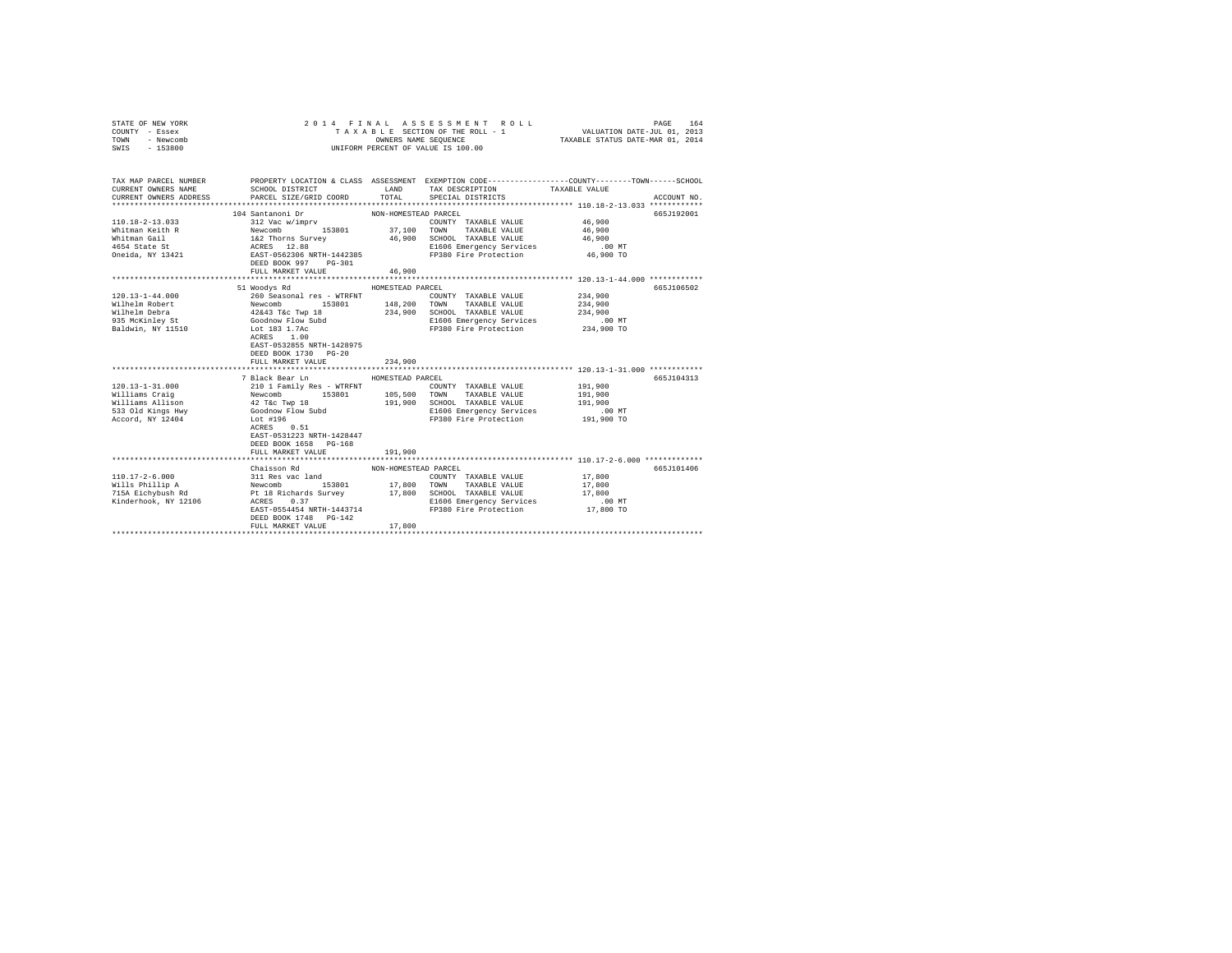| STATE OF NEW YORK<br>COUNTY - Essex<br>TOWN - Newcomb<br>SWIS - 153800                                                                                                                                                                                                                                                                  |                                                                                                                                                                                                                                                |                      | 2014 FINAL ASSESSMENT ROLL<br>UNIFORM PERCENT OF VALUE IS 100.00                                                         | PAGE 164 PINAL ASSESSMENT ROLL<br>TAXABLE SECTION OF THE ROLL - 1 VALUATION DATE-JUL 01, 2013<br>OWNERS NAME SEQUENCE TAXABLE STATUS DATE-MAR 01, 2014 |
|-----------------------------------------------------------------------------------------------------------------------------------------------------------------------------------------------------------------------------------------------------------------------------------------------------------------------------------------|------------------------------------------------------------------------------------------------------------------------------------------------------------------------------------------------------------------------------------------------|----------------------|--------------------------------------------------------------------------------------------------------------------------|--------------------------------------------------------------------------------------------------------------------------------------------------------|
| CURRENT OWNERS NAME<br>CURRENT OWNERS ADDRESS                                                                                                                                                                                                                                                                                           | PARCEL SIZE/GRID COORD                                                                                                                                                                                                                         |                      | SCHOOL DISTRICT                     LAND        TAX DESCRIPTION                 TAXABLE VALUE<br>TOTAL SPECIAL DISTRICTS | TAX MAP PARCEL NUMBER PROPERTY LOCATION & CLASS ASSESSMENT EXEMPTION CODE--------------COUNTY-------TOWN------SCHOOL<br>ACCOUNT NO.                    |
|                                                                                                                                                                                                                                                                                                                                         |                                                                                                                                                                                                                                                |                      |                                                                                                                          |                                                                                                                                                        |
|                                                                                                                                                                                                                                                                                                                                         | 104 Santanoni Dr                                                                                                                                                                                                                               | NON-HOMESTEAD PARCEL |                                                                                                                          | 665J192001                                                                                                                                             |
| 110.18-2-13.033                                                                                                                                                                                                                                                                                                                         |                                                                                                                                                                                                                                                |                      |                                                                                                                          |                                                                                                                                                        |
| Whitman Keith R                                                                                                                                                                                                                                                                                                                         |                                                                                                                                                                                                                                                |                      |                                                                                                                          |                                                                                                                                                        |
| Whitman Gail<br>4654 State St                                                                                                                                                                                                                                                                                                           |                                                                                                                                                                                                                                                |                      |                                                                                                                          |                                                                                                                                                        |
|                                                                                                                                                                                                                                                                                                                                         |                                                                                                                                                                                                                                                |                      |                                                                                                                          |                                                                                                                                                        |
| Oneida, NY 13421                                                                                                                                                                                                                                                                                                                        | 312 Vac Wimpry<br>312 Vac Wimpry<br>Newtomb 153801 37,100 TOWNT TAXABLE VALUE 46,900<br>Newtomb 153801 37,100 TOWNT TAXABLE VALUE 46,900<br>162 Thorns Survey 46,900 SCHOOL TAXABLE VALUE<br>ACRES 12.88 E1606 Emergency Services 46,900       |                      |                                                                                                                          |                                                                                                                                                        |
|                                                                                                                                                                                                                                                                                                                                         | FULL MARKET VALUE 46,900                                                                                                                                                                                                                       |                      |                                                                                                                          |                                                                                                                                                        |
|                                                                                                                                                                                                                                                                                                                                         |                                                                                                                                                                                                                                                |                      |                                                                                                                          |                                                                                                                                                        |
|                                                                                                                                                                                                                                                                                                                                         | 51 Woodys Rd                                                                                                                                                                                                                                   | HOMESTEAD PARCEL     |                                                                                                                          | 665J106502                                                                                                                                             |
|                                                                                                                                                                                                                                                                                                                                         |                                                                                                                                                                                                                                                |                      | COUNTY TAXABLE VALUE 234,900                                                                                             |                                                                                                                                                        |
|                                                                                                                                                                                                                                                                                                                                         |                                                                                                                                                                                                                                                |                      |                                                                                                                          | 234,900                                                                                                                                                |
|                                                                                                                                                                                                                                                                                                                                         |                                                                                                                                                                                                                                                |                      | 234,900 SCHOOL TAXABLE VALUE                                                                                             | 234,900                                                                                                                                                |
|                                                                                                                                                                                                                                                                                                                                         |                                                                                                                                                                                                                                                |                      | E1606 Emergency Services 6 00 MT<br>FP380 Fire Protection 234,900 TO                                                     |                                                                                                                                                        |
| $\begin{tabular}{l c c c c c c c c} \multicolumn{1}{c}{120.13-1-44.000} & \multicolumn{1}{c}{120.13-1-44.000} & \multicolumn{1}{c}{120.13-1-44.000} & \multicolumn{1}{c}{120.13-1-44.000} & \multicolumn{1}{c}{120.13-1-44.000} & \multicolumn{1}{c}{120.13-1-44.000} & \multicolumn{1}{c}{120.13-1-44.000} & \multicolumn{1}{c}{120.1$ |                                                                                                                                                                                                                                                |                      |                                                                                                                          |                                                                                                                                                        |
|                                                                                                                                                                                                                                                                                                                                         |                                                                                                                                                                                                                                                |                      |                                                                                                                          |                                                                                                                                                        |
|                                                                                                                                                                                                                                                                                                                                         | EAST-0532855 NRTH-1428975                                                                                                                                                                                                                      |                      |                                                                                                                          |                                                                                                                                                        |
|                                                                                                                                                                                                                                                                                                                                         | DEED BOOK 1730 PG-20                                                                                                                                                                                                                           |                      |                                                                                                                          |                                                                                                                                                        |
|                                                                                                                                                                                                                                                                                                                                         | FULL MARKET VALUE                                                                                                                                                                                                                              | 234,900              |                                                                                                                          |                                                                                                                                                        |
|                                                                                                                                                                                                                                                                                                                                         | 7 Black Bear Ln                                                                                                                                                                                                                                | HOMESTEAD PARCEL     |                                                                                                                          | 665J104313                                                                                                                                             |
| $120.13 - 1 - 31.000$                                                                                                                                                                                                                                                                                                                   |                                                                                                                                                                                                                                                |                      | COUNTY TAXABLE VALUE 191.900                                                                                             |                                                                                                                                                        |
|                                                                                                                                                                                                                                                                                                                                         |                                                                                                                                                                                                                                                |                      |                                                                                                                          | 191,900                                                                                                                                                |
| Williams Craig<br>Williams Allison                                                                                                                                                                                                                                                                                                      |                                                                                                                                                                                                                                                |                      |                                                                                                                          | 191,900                                                                                                                                                |
| 533 Old Kings Hwy                                                                                                                                                                                                                                                                                                                       |                                                                                                                                                                                                                                                |                      |                                                                                                                          | $.00$ MT                                                                                                                                               |
| Accord, NY 12404                                                                                                                                                                                                                                                                                                                        |                                                                                                                                                                                                                                                |                      |                                                                                                                          | 191,900 TO                                                                                                                                             |
|                                                                                                                                                                                                                                                                                                                                         | 210.1 Family Res - WTRFNT<br>210.1 Family Res - WTRFNT<br>Newcomb 153801 105,500 TOWN TAXABLE VALUE<br>42 T&C Twp 18<br>42 T&C Twp 18<br>191,900 SCHOOL TAXABLE VALUE<br>400000 Flow Subd<br>191,900 SCHOOL TAXABLE VALUE<br>E1960 Fire Protec |                      |                                                                                                                          |                                                                                                                                                        |
|                                                                                                                                                                                                                                                                                                                                         | EAST-0531223 NRTH-1428447                                                                                                                                                                                                                      |                      |                                                                                                                          |                                                                                                                                                        |
|                                                                                                                                                                                                                                                                                                                                         | DEED BOOK 1658 PG-168                                                                                                                                                                                                                          |                      |                                                                                                                          |                                                                                                                                                        |
|                                                                                                                                                                                                                                                                                                                                         | FULL MARKET VALUE                                                                                                                                                                                                                              | 191,900              |                                                                                                                          |                                                                                                                                                        |
|                                                                                                                                                                                                                                                                                                                                         |                                                                                                                                                                                                                                                |                      |                                                                                                                          |                                                                                                                                                        |
|                                                                                                                                                                                                                                                                                                                                         | Chaisson Rd                                                                                                                                                                                                                                    | NON-HOMESTEAD PARCEL |                                                                                                                          | 665J101406                                                                                                                                             |
|                                                                                                                                                                                                                                                                                                                                         |                                                                                                                                                                                                                                                |                      |                                                                                                                          | 17,800                                                                                                                                                 |
|                                                                                                                                                                                                                                                                                                                                         |                                                                                                                                                                                                                                                |                      |                                                                                                                          | 17,800                                                                                                                                                 |
|                                                                                                                                                                                                                                                                                                                                         |                                                                                                                                                                                                                                                |                      |                                                                                                                          | 17,800                                                                                                                                                 |
|                                                                                                                                                                                                                                                                                                                                         |                                                                                                                                                                                                                                                |                      | SCROOF TAARDEL TERMINE TO BUILD 100 MT<br>E1606 Emergency Services 17,800 TD<br>17,800 TO                                |                                                                                                                                                        |
|                                                                                                                                                                                                                                                                                                                                         |                                                                                                                                                                                                                                                |                      |                                                                                                                          |                                                                                                                                                        |
|                                                                                                                                                                                                                                                                                                                                         | DEED BOOK 1748 PG-142                                                                                                                                                                                                                          |                      |                                                                                                                          |                                                                                                                                                        |
|                                                                                                                                                                                                                                                                                                                                         | FULL MARKET VALUE                                                                                                                                                                                                                              | 17,800               |                                                                                                                          |                                                                                                                                                        |
|                                                                                                                                                                                                                                                                                                                                         |                                                                                                                                                                                                                                                |                      |                                                                                                                          |                                                                                                                                                        |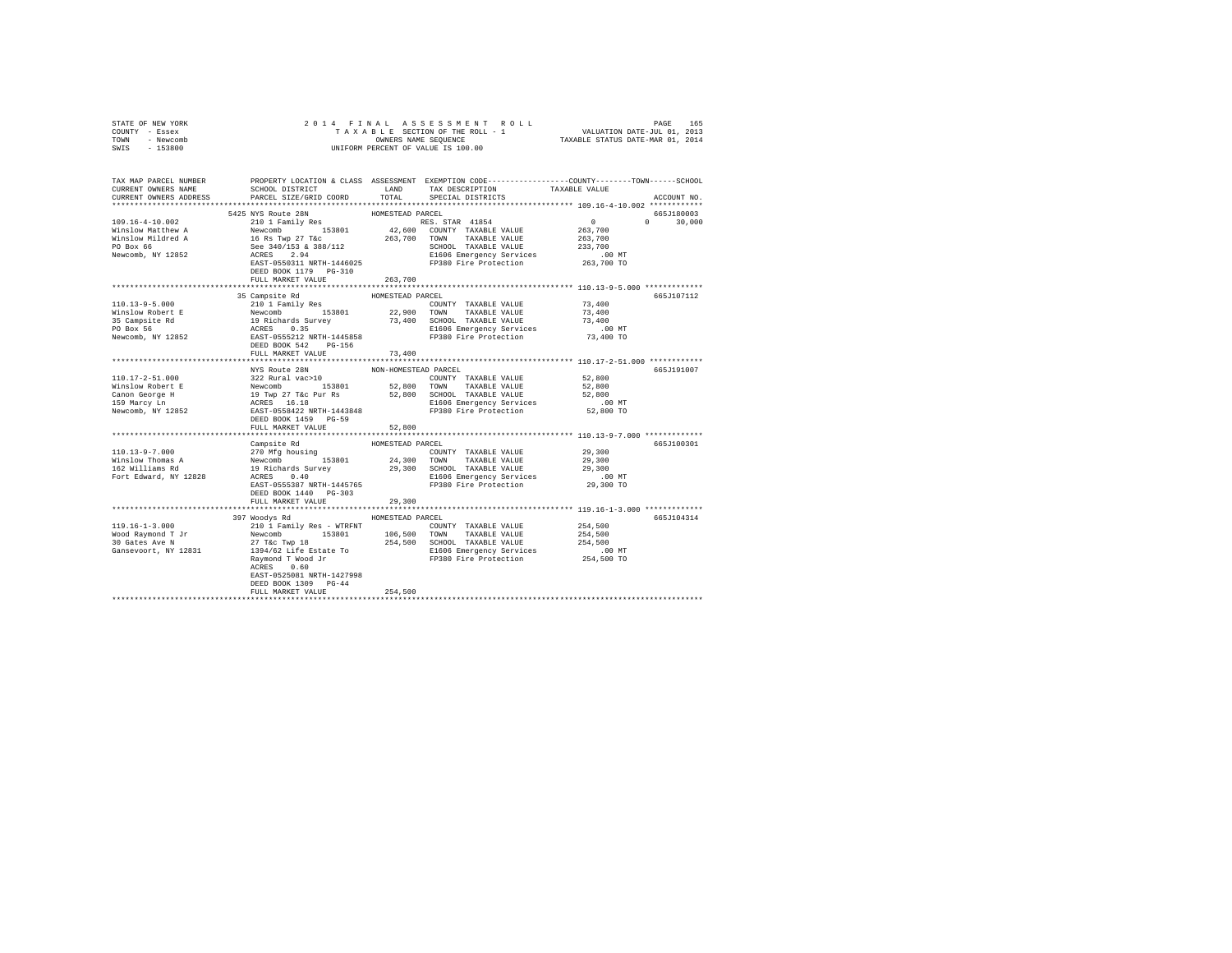| STATE OF NEW YORK                                                                                                                                                                                                                                                                                                                                                                                                                              |                           |                      |                                                                                                                                                                                                                                                                                                                                                                                                                                                                           |           |               |
|------------------------------------------------------------------------------------------------------------------------------------------------------------------------------------------------------------------------------------------------------------------------------------------------------------------------------------------------------------------------------------------------------------------------------------------------|---------------------------|----------------------|---------------------------------------------------------------------------------------------------------------------------------------------------------------------------------------------------------------------------------------------------------------------------------------------------------------------------------------------------------------------------------------------------------------------------------------------------------------------------|-----------|---------------|
| COUNTY - Essex                                                                                                                                                                                                                                                                                                                                                                                                                                 |                           |                      |                                                                                                                                                                                                                                                                                                                                                                                                                                                                           |           |               |
| TOWN - Newcomb                                                                                                                                                                                                                                                                                                                                                                                                                                 |                           |                      |                                                                                                                                                                                                                                                                                                                                                                                                                                                                           |           |               |
| SWIS - 153800                                                                                                                                                                                                                                                                                                                                                                                                                                  |                           |                      |                                                                                                                                                                                                                                                                                                                                                                                                                                                                           |           |               |
|                                                                                                                                                                                                                                                                                                                                                                                                                                                |                           |                      |                                                                                                                                                                                                                                                                                                                                                                                                                                                                           |           |               |
|                                                                                                                                                                                                                                                                                                                                                                                                                                                |                           |                      |                                                                                                                                                                                                                                                                                                                                                                                                                                                                           |           |               |
|                                                                                                                                                                                                                                                                                                                                                                                                                                                |                           |                      |                                                                                                                                                                                                                                                                                                                                                                                                                                                                           |           |               |
| TAX MAP PARCEL NUMBER PROPERTY LOCATION & CLASS ASSESSMENT EXEMPTION CODE----------------COUNTY-------TOWN-----SCHOOL<br>CURRENT OWNERS NAME                                                                                                                                                                                                                                                                                                   |                           |                      | SCHOOL DISTRICT                         LAND         TAX DESCRIPTION                  TAXABLE VALUE                                                                                                                                                                                                                                                                                                                                                                       |           |               |
| CURRENT OWNERS ADDRESS                                                                                                                                                                                                                                                                                                                                                                                                                         |                           | TOTAL                | SPECIAL DISTRICTS                                                                                                                                                                                                                                                                                                                                                                                                                                                         |           | ACCOUNT NO.   |
|                                                                                                                                                                                                                                                                                                                                                                                                                                                | PARCEL SIZE/GRID COORD    |                      |                                                                                                                                                                                                                                                                                                                                                                                                                                                                           |           |               |
|                                                                                                                                                                                                                                                                                                                                                                                                                                                |                           |                      |                                                                                                                                                                                                                                                                                                                                                                                                                                                                           |           |               |
|                                                                                                                                                                                                                                                                                                                                                                                                                                                |                           |                      |                                                                                                                                                                                                                                                                                                                                                                                                                                                                           |           | 665J180003    |
|                                                                                                                                                                                                                                                                                                                                                                                                                                                |                           |                      |                                                                                                                                                                                                                                                                                                                                                                                                                                                                           |           | $0 \t 30,000$ |
|                                                                                                                                                                                                                                                                                                                                                                                                                                                |                           |                      |                                                                                                                                                                                                                                                                                                                                                                                                                                                                           |           |               |
|                                                                                                                                                                                                                                                                                                                                                                                                                                                |                           |                      |                                                                                                                                                                                                                                                                                                                                                                                                                                                                           |           |               |
|                                                                                                                                                                                                                                                                                                                                                                                                                                                |                           |                      |                                                                                                                                                                                                                                                                                                                                                                                                                                                                           |           |               |
|                                                                                                                                                                                                                                                                                                                                                                                                                                                |                           |                      |                                                                                                                                                                                                                                                                                                                                                                                                                                                                           |           |               |
|                                                                                                                                                                                                                                                                                                                                                                                                                                                |                           |                      |                                                                                                                                                                                                                                                                                                                                                                                                                                                                           |           |               |
|                                                                                                                                                                                                                                                                                                                                                                                                                                                |                           |                      |                                                                                                                                                                                                                                                                                                                                                                                                                                                                           |           |               |
|                                                                                                                                                                                                                                                                                                                                                                                                                                                | FULL MARKET VALUE         | 263,700              |                                                                                                                                                                                                                                                                                                                                                                                                                                                                           |           |               |
|                                                                                                                                                                                                                                                                                                                                                                                                                                                |                           |                      |                                                                                                                                                                                                                                                                                                                                                                                                                                                                           |           |               |
| 110.13-9-5.000<br>MISS Campsite Rd<br>Minisour Parks (110.17 and 12.2,900 TOWN TAXABLE VALUE<br>210.1 Factback and 153801<br>22,900 TOWN TAXABLE VALUE<br>23,400 SCMES (19 Richards Survey 13,400 SCMES DESS)<br>22,900 TOWN TAXABLE VALUE                                                                                                                                                                                                     |                           |                      |                                                                                                                                                                                                                                                                                                                                                                                                                                                                           |           | 665J107112    |
|                                                                                                                                                                                                                                                                                                                                                                                                                                                |                           |                      | $\begin{tabular}{lllllll} \multicolumn{2}{l}{{\text{COUNTY}}} & \multicolumn{2}{l}{\text{TAXABLE VALUE}} & \multicolumn{2}{l}{\text{YALUE}} & \multicolumn{2}{l}{\text{Y3, 400}}\\ \multicolumn{2}{l}{\text{COUNTY}} & \multicolumn{2}{l}{\text{TAXABLE VALUE}} & \multicolumn{2}{l}{\text{Y3, 400}}\\ \multicolumn{2}{l}{\text{VALUE}} & \multicolumn{2}{l}{\text{Y3, 400}} & \multicolumn{2}{l}{\text{VALUE}} & \multicolumn{2}{l}{\text{VALUE}} & \multicolumn{2}{l}{$ |           |               |
|                                                                                                                                                                                                                                                                                                                                                                                                                                                |                           |                      |                                                                                                                                                                                                                                                                                                                                                                                                                                                                           | 73,400    |               |
|                                                                                                                                                                                                                                                                                                                                                                                                                                                |                           |                      |                                                                                                                                                                                                                                                                                                                                                                                                                                                                           | 73,400    |               |
|                                                                                                                                                                                                                                                                                                                                                                                                                                                |                           |                      |                                                                                                                                                                                                                                                                                                                                                                                                                                                                           | $.00$ MT  |               |
|                                                                                                                                                                                                                                                                                                                                                                                                                                                |                           |                      |                                                                                                                                                                                                                                                                                                                                                                                                                                                                           | 73,400 TO |               |
|                                                                                                                                                                                                                                                                                                                                                                                                                                                |                           |                      |                                                                                                                                                                                                                                                                                                                                                                                                                                                                           |           |               |
|                                                                                                                                                                                                                                                                                                                                                                                                                                                | FULL MARKET VALUE         | 73,400               |                                                                                                                                                                                                                                                                                                                                                                                                                                                                           |           |               |
|                                                                                                                                                                                                                                                                                                                                                                                                                                                |                           |                      |                                                                                                                                                                                                                                                                                                                                                                                                                                                                           |           |               |
|                                                                                                                                                                                                                                                                                                                                                                                                                                                | NYS Route 28N             | NON-HOMESTEAD PARCEL |                                                                                                                                                                                                                                                                                                                                                                                                                                                                           |           | 665J191007    |
| $\begin{tabular}{l c c c c c} \hline 110.17-2-51.000 & $322$ Rural vac-20W & $1001$-HOMESTER DARCHS & \noindent & 52,800$ \hline Wilson Roder & 153801 & 153801 & $52,800$ \hline Nonor 100088-TEAD & 153801 & $52,800$ \hline Nonor 10008-TEAD & 153801 & $52,800$ \hline \end{tabular} \begin{tabular}{l c c c c} \hline X10.17-2-51.000 & $322$                                                                                             |                           |                      |                                                                                                                                                                                                                                                                                                                                                                                                                                                                           |           |               |
|                                                                                                                                                                                                                                                                                                                                                                                                                                                |                           |                      |                                                                                                                                                                                                                                                                                                                                                                                                                                                                           |           |               |
|                                                                                                                                                                                                                                                                                                                                                                                                                                                |                           |                      |                                                                                                                                                                                                                                                                                                                                                                                                                                                                           |           |               |
|                                                                                                                                                                                                                                                                                                                                                                                                                                                |                           |                      |                                                                                                                                                                                                                                                                                                                                                                                                                                                                           |           |               |
|                                                                                                                                                                                                                                                                                                                                                                                                                                                |                           |                      |                                                                                                                                                                                                                                                                                                                                                                                                                                                                           |           |               |
|                                                                                                                                                                                                                                                                                                                                                                                                                                                |                           |                      |                                                                                                                                                                                                                                                                                                                                                                                                                                                                           |           |               |
|                                                                                                                                                                                                                                                                                                                                                                                                                                                |                           |                      |                                                                                                                                                                                                                                                                                                                                                                                                                                                                           |           |               |
|                                                                                                                                                                                                                                                                                                                                                                                                                                                | FULL MARKET VALUE         | 52,800               |                                                                                                                                                                                                                                                                                                                                                                                                                                                                           |           |               |
|                                                                                                                                                                                                                                                                                                                                                                                                                                                |                           |                      |                                                                                                                                                                                                                                                                                                                                                                                                                                                                           |           |               |
|                                                                                                                                                                                                                                                                                                                                                                                                                                                |                           |                      |                                                                                                                                                                                                                                                                                                                                                                                                                                                                           |           | 665J100301    |
|                                                                                                                                                                                                                                                                                                                                                                                                                                                |                           |                      |                                                                                                                                                                                                                                                                                                                                                                                                                                                                           |           |               |
|                                                                                                                                                                                                                                                                                                                                                                                                                                                |                           |                      |                                                                                                                                                                                                                                                                                                                                                                                                                                                                           |           |               |
| $\begin{tabular}{l c c c c c} \multicolumn{3}{c}{110.13-9-7.000} & \multicolumn{3}{c}{\texttt{Campute Rd}} & \multicolumn{3}{c}{\texttt{HOMESTKAD} \texttt{PACKSL}} & \multicolumn{3}{c}{\texttt{HOMESTKAD} \texttt{PACKSL}} & \multicolumn{3}{c}{\texttt{YALUE}} & \multicolumn{3}{c}{\texttt{29.300}} \\ \multicolumn{3}{c}{\texttt{Winslow Thomas A}} & \multicolumn{3}{c}{\texttt{NWMSTKAD}} & \multicolumn{3}{c}{\texttt{24.300} \texttt$ |                           |                      |                                                                                                                                                                                                                                                                                                                                                                                                                                                                           |           |               |
|                                                                                                                                                                                                                                                                                                                                                                                                                                                |                           |                      |                                                                                                                                                                                                                                                                                                                                                                                                                                                                           |           |               |
|                                                                                                                                                                                                                                                                                                                                                                                                                                                |                           |                      |                                                                                                                                                                                                                                                                                                                                                                                                                                                                           |           |               |
|                                                                                                                                                                                                                                                                                                                                                                                                                                                | DEED BOOK 1440 PG-303     |                      |                                                                                                                                                                                                                                                                                                                                                                                                                                                                           |           |               |
|                                                                                                                                                                                                                                                                                                                                                                                                                                                | FULL MARKET VALUE         | 29,300               |                                                                                                                                                                                                                                                                                                                                                                                                                                                                           |           |               |
|                                                                                                                                                                                                                                                                                                                                                                                                                                                |                           | ******************   | *********************************** 119.16-1-3.000 *************                                                                                                                                                                                                                                                                                                                                                                                                          |           |               |
|                                                                                                                                                                                                                                                                                                                                                                                                                                                | 397 Woodys Rd             | HOMESTEAD PARCEL     |                                                                                                                                                                                                                                                                                                                                                                                                                                                                           |           | 665J104314    |
|                                                                                                                                                                                                                                                                                                                                                                                                                                                |                           |                      |                                                                                                                                                                                                                                                                                                                                                                                                                                                                           |           |               |
|                                                                                                                                                                                                                                                                                                                                                                                                                                                |                           |                      |                                                                                                                                                                                                                                                                                                                                                                                                                                                                           |           |               |
|                                                                                                                                                                                                                                                                                                                                                                                                                                                |                           |                      |                                                                                                                                                                                                                                                                                                                                                                                                                                                                           |           |               |
|                                                                                                                                                                                                                                                                                                                                                                                                                                                |                           |                      |                                                                                                                                                                                                                                                                                                                                                                                                                                                                           |           |               |
|                                                                                                                                                                                                                                                                                                                                                                                                                                                |                           |                      |                                                                                                                                                                                                                                                                                                                                                                                                                                                                           |           |               |
|                                                                                                                                                                                                                                                                                                                                                                                                                                                |                           |                      |                                                                                                                                                                                                                                                                                                                                                                                                                                                                           |           |               |
|                                                                                                                                                                                                                                                                                                                                                                                                                                                | EAST-0525081 NRTH-1427998 |                      |                                                                                                                                                                                                                                                                                                                                                                                                                                                                           |           |               |
|                                                                                                                                                                                                                                                                                                                                                                                                                                                |                           |                      |                                                                                                                                                                                                                                                                                                                                                                                                                                                                           |           |               |
|                                                                                                                                                                                                                                                                                                                                                                                                                                                | DEED BOOK 1309 PG-44      |                      |                                                                                                                                                                                                                                                                                                                                                                                                                                                                           |           |               |
|                                                                                                                                                                                                                                                                                                                                                                                                                                                | FULL MARKET VALUE         | 254,500              |                                                                                                                                                                                                                                                                                                                                                                                                                                                                           |           |               |
|                                                                                                                                                                                                                                                                                                                                                                                                                                                |                           |                      |                                                                                                                                                                                                                                                                                                                                                                                                                                                                           |           |               |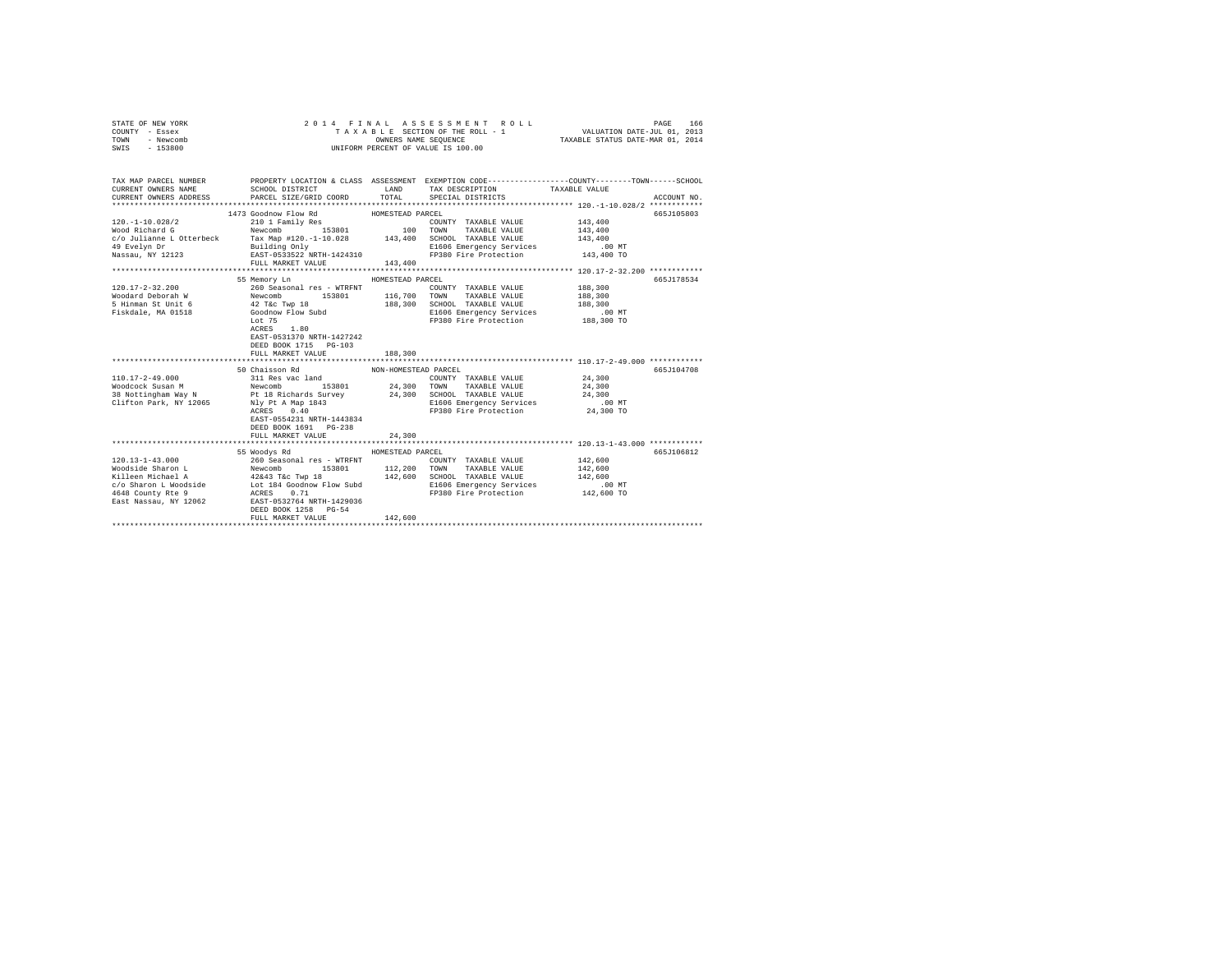| STATE OF NEW YORK<br>COUNTY - Essex<br>TOWN<br>- Newcomb<br>$-153800$<br>SWIS                                                                                                                                      | 2014 FINAL                                                                                                                                                                                                                                                                                                                                                                            | OWNERS NAME SEQUENCE | ASSESSMENT ROLL<br>TAXABLE SECTION OF THE ROLL - 1<br>UNIFORM PERCENT OF VALUE IS 100.00 | VALUATION DATE-JUL 01, 2013<br>TAXABLE STATUS DATE-MAR 01, 2014 | PAGE<br>166 |
|--------------------------------------------------------------------------------------------------------------------------------------------------------------------------------------------------------------------|---------------------------------------------------------------------------------------------------------------------------------------------------------------------------------------------------------------------------------------------------------------------------------------------------------------------------------------------------------------------------------------|----------------------|------------------------------------------------------------------------------------------|-----------------------------------------------------------------|-------------|
|                                                                                                                                                                                                                    |                                                                                                                                                                                                                                                                                                                                                                                       |                      |                                                                                          |                                                                 |             |
| TAX MAP PARCEL NUMBER                                                                                                                                                                                              | PROPERTY LOCATION & CLASS ASSESSMENT EXEMPTION CODE---------------COUNTY-------TOWN-----SCHOOL                                                                                                                                                                                                                                                                                        |                      |                                                                                          |                                                                 |             |
| CURRENT OWNERS NAME                                                                                                                                                                                                | SCHOOL DISTRICT                                                                                                                                                                                                                                                                                                                                                                       | TOTAL                | LAND TAX DESCRIPTION<br>SPECIAL DISTRICTS                                                | TAXABLE VALUE                                                   | ACCOUNT NO. |
| CURRENT OWNERS ADDRESS                                                                                                                                                                                             | PARCEL SIZE/GRID COORD                                                                                                                                                                                                                                                                                                                                                                |                      |                                                                                          |                                                                 |             |
|                                                                                                                                                                                                                    |                                                                                                                                                                                                                                                                                                                                                                                       | HOMESTEAD PARCEL     |                                                                                          |                                                                 | 665J105803  |
| 120. -1-10.028/2                                                                                                                                                                                                   | 1473 Goodnow Flow Rd<br>210 1 Family Res                                                                                                                                                                                                                                                                                                                                              |                      | COUNTY TAXABLE VALUE                                                                     | 143,400                                                         |             |
| Nood Richard G<br>$r > 0$ Julianne L Otterbeck<br>$r > 0$ Julianne L Otterbeck<br>$r > 0$ $r > 1$<br>$r > 1$<br>$r > 1$<br>$r > 1$<br>$r > 1$<br>$r > 1$<br>$r > 1$<br>$r > 1$<br>$r > 1$<br>$r > 0.28$<br>143,400 |                                                                                                                                                                                                                                                                                                                                                                                       | 100                  | TOWN<br>TAXABLE VALUE                                                                    | 143,400                                                         |             |
|                                                                                                                                                                                                                    |                                                                                                                                                                                                                                                                                                                                                                                       |                      | SCHOOL TAXABLE VALUE                                                                     | 143,400                                                         |             |
|                                                                                                                                                                                                                    | Building Only                                                                                                                                                                                                                                                                                                                                                                         |                      | E1606 Emergency Services                                                                 | $.00$ MT                                                        |             |
| 49 Evelyn Dr<br>Nassau, NY 12123                                                                                                                                                                                   | EAST-0533522 NRTH-1424310                                                                                                                                                                                                                                                                                                                                                             |                      | FP380 Fire Protection                                                                    | 143,400 TO                                                      |             |
|                                                                                                                                                                                                                    | FULL MARKET VALUE                                                                                                                                                                                                                                                                                                                                                                     | 143,400              |                                                                                          |                                                                 |             |
|                                                                                                                                                                                                                    |                                                                                                                                                                                                                                                                                                                                                                                       |                      |                                                                                          |                                                                 |             |
|                                                                                                                                                                                                                    | 55 Memory Ln                                                                                                                                                                                                                                                                                                                                                                          | HOMESTEAD PARCEL     |                                                                                          |                                                                 | 665J178534  |
| $120.17 - 2 - 32.200$                                                                                                                                                                                              | 260 Seasonal res - WTRFNT                                                                                                                                                                                                                                                                                                                                                             |                      | COUNTY TAXABLE VALUE                                                                     | 188,300                                                         |             |
|                                                                                                                                                                                                                    | 153801                                                                                                                                                                                                                                                                                                                                                                                | 188,300              | 116,700 TOWN TAXABLE VALUE<br>SCHOOL TAXABLE VALUE                                       | 188,300<br>188,300                                              |             |
| Fiskdale, MA 01518                                                                                                                                                                                                 | Goodnow Flow Subd                                                                                                                                                                                                                                                                                                                                                                     |                      | E1606 Emergency Services                                                                 | $.00$ MT                                                        |             |
|                                                                                                                                                                                                                    | Lot 75                                                                                                                                                                                                                                                                                                                                                                                |                      | FP380 Fire Protection                                                                    | 188,300 TO                                                      |             |
|                                                                                                                                                                                                                    | 1.80<br>ACRES                                                                                                                                                                                                                                                                                                                                                                         |                      |                                                                                          |                                                                 |             |
|                                                                                                                                                                                                                    | EAST-0531370 NRTH-1427242                                                                                                                                                                                                                                                                                                                                                             |                      |                                                                                          |                                                                 |             |
|                                                                                                                                                                                                                    | DEED BOOK 1715 PG-103                                                                                                                                                                                                                                                                                                                                                                 |                      |                                                                                          |                                                                 |             |
|                                                                                                                                                                                                                    | FULL MARKET VALUE                                                                                                                                                                                                                                                                                                                                                                     | 188,300              |                                                                                          |                                                                 |             |
|                                                                                                                                                                                                                    |                                                                                                                                                                                                                                                                                                                                                                                       |                      |                                                                                          |                                                                 |             |
|                                                                                                                                                                                                                    | 50 Chaisson Rd                                                                                                                                                                                                                                                                                                                                                                        | NON-HOMESTEAD PARCEL |                                                                                          |                                                                 | 665J104708  |
| $110.17 - 2 - 49.000$                                                                                                                                                                                              | 311 Res vac land                                                                                                                                                                                                                                                                                                                                                                      |                      | COUNTY TAXABLE VALUE                                                                     | 24,300                                                          |             |
| Woodcock Susan M                                                                                                                                                                                                   | Newcomb<br>153801 24,300                                                                                                                                                                                                                                                                                                                                                              |                      | TOWN<br>TAXABLE VALUE                                                                    | 24,300                                                          |             |
| 38 Nottingham Way N                                                                                                                                                                                                |                                                                                                                                                                                                                                                                                                                                                                                       | 24,300               | SCHOOL TAXABLE VALUE                                                                     | 24,300                                                          |             |
| Clifton Park, NY 12065                                                                                                                                                                                             | Pt 18 Richards Survey<br>Nly Pt A Map 1843<br>ACRES - 0 40                                                                                                                                                                                                                                                                                                                            |                      | E1606 Emergency Services                                                                 | $.00$ MT                                                        |             |
|                                                                                                                                                                                                                    | ACRES 0.40                                                                                                                                                                                                                                                                                                                                                                            |                      | FP380 Fire Protection                                                                    | 24,300 TO                                                       |             |
|                                                                                                                                                                                                                    | EAST-0554231 NRTH-1443834                                                                                                                                                                                                                                                                                                                                                             |                      |                                                                                          |                                                                 |             |
|                                                                                                                                                                                                                    | DEED BOOK 1691 PG-238                                                                                                                                                                                                                                                                                                                                                                 |                      |                                                                                          |                                                                 |             |
|                                                                                                                                                                                                                    | FULL MARKET VALUE                                                                                                                                                                                                                                                                                                                                                                     | 24,300               |                                                                                          |                                                                 |             |
|                                                                                                                                                                                                                    | 55 Woodys Rd                                                                                                                                                                                                                                                                                                                                                                          | HOMESTEAD PARCEL     |                                                                                          |                                                                 | 665.T106812 |
| $120.13 - 1 - 43.000$                                                                                                                                                                                              |                                                                                                                                                                                                                                                                                                                                                                                       |                      | COUNTY TAXABLE VALUE                                                                     | 142,600                                                         |             |
| Woodside Sharon L                                                                                                                                                                                                  | 153801 112,200 TOWN                                                                                                                                                                                                                                                                                                                                                                   |                      | TAXABLE VALUE                                                                            | 142,600                                                         |             |
| Killeen Michael A                                                                                                                                                                                                  |                                                                                                                                                                                                                                                                                                                                                                                       | 142,600              | SCHOOL TAXABLE VALUE                                                                     | 142,600                                                         |             |
| c/o Sharon L Woodside                                                                                                                                                                                              |                                                                                                                                                                                                                                                                                                                                                                                       |                      | E1606 Emergency Services                                                                 | .00 MT                                                          |             |
| 4648 County Rte 9                                                                                                                                                                                                  | $\begin{tabular}{lllllllllll} \multicolumn{4}{c}{\textbf{260 Second} res & \textbf{WTRFT} & \textbf{non-1} & \textbf{0.000} & \textbf{0.000} & \textbf{0.000} & \textbf{0.000} & \textbf{0.000} & \textbf{0.000} & \textbf{0.000} & \textbf{0.000} & \textbf{0.000} & \textbf{0.000} & \textbf{0.000} & \textbf{0.000} & \textbf{0.000} & \textbf{0.000} & \textbf{0.000} & \textbf{$ |                      | FP380 Fire Protection 142,600 TO                                                         |                                                                 |             |
| East Nassau, NY 12062                                                                                                                                                                                              | EAST-0532764 NRTH-1429036                                                                                                                                                                                                                                                                                                                                                             |                      |                                                                                          |                                                                 |             |
|                                                                                                                                                                                                                    | DEED BOOK 1258 PG-54                                                                                                                                                                                                                                                                                                                                                                  |                      |                                                                                          |                                                                 |             |
|                                                                                                                                                                                                                    | FULL MARKET VALUE                                                                                                                                                                                                                                                                                                                                                                     | 142,600              |                                                                                          |                                                                 |             |
|                                                                                                                                                                                                                    |                                                                                                                                                                                                                                                                                                                                                                                       |                      |                                                                                          |                                                                 |             |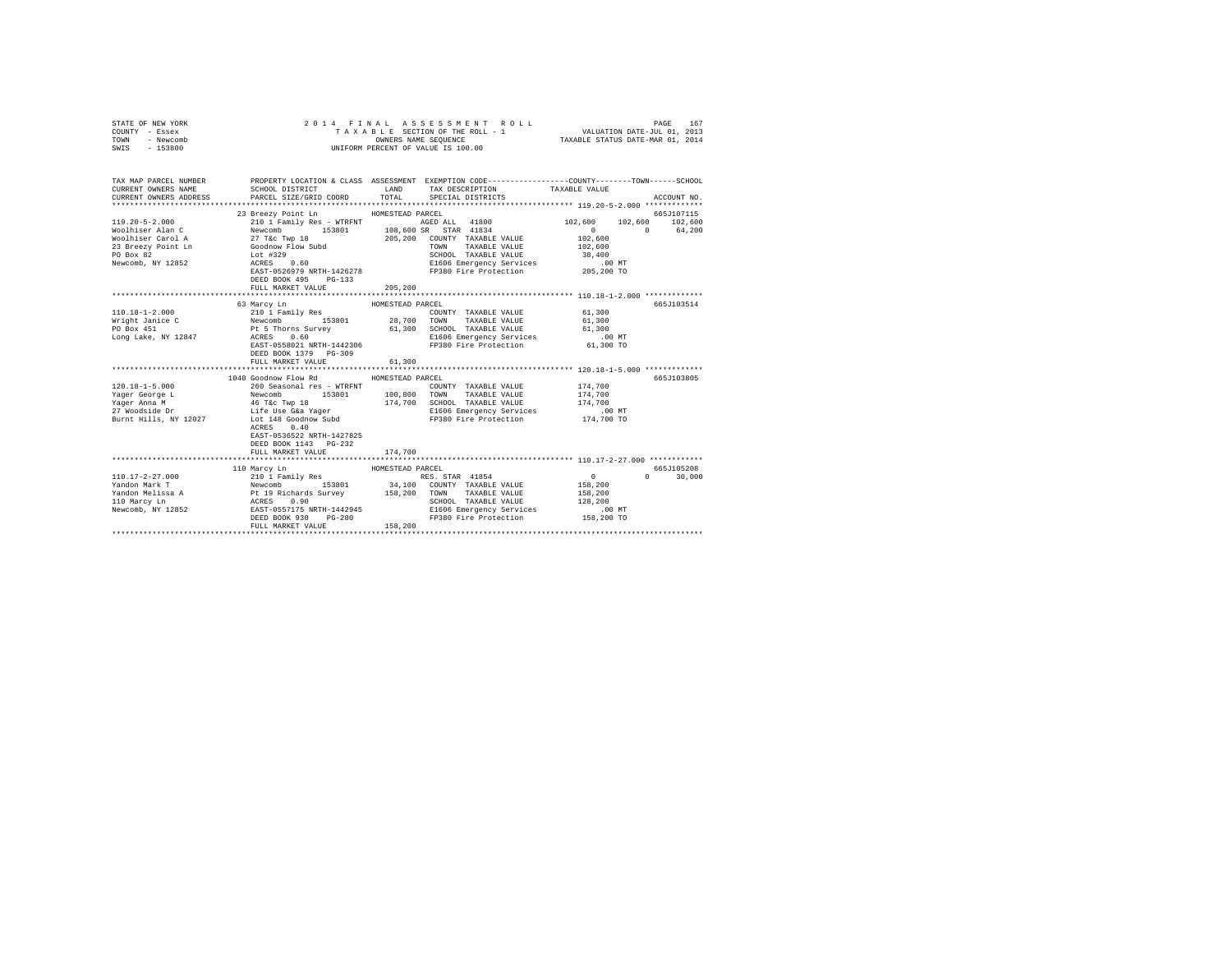| STATE OF NEW YORK<br>COUNTY - Essex<br>TOWN<br>- Newcomb<br>SWIS - 153800                                                                                             | 2014 FINAL                                                                                                                                                                                                                                                                                                                 | TAXABLE SECTION OF THE ROLL - 1 VALUATION DATE-JUL 01, 2013<br>OWNERS NAME SEQUENCE TAXABLE STATUS DATE-MAR 01, 2014<br>UNIFORM PERCENT OF VALUE IS 100.00 | ASSESSMENT ROLL                                              |                                                                                         | PAGE<br>167                 |
|-----------------------------------------------------------------------------------------------------------------------------------------------------------------------|----------------------------------------------------------------------------------------------------------------------------------------------------------------------------------------------------------------------------------------------------------------------------------------------------------------------------|------------------------------------------------------------------------------------------------------------------------------------------------------------|--------------------------------------------------------------|-----------------------------------------------------------------------------------------|-----------------------------|
| TAX MAP PARCEL NUMBER PROPERTY LOCATION & CLASS ASSESSMENT EXEMPTION CODE--------------COUNTY-------TOWN------SCHOOL<br>CURRENT OWNERS NAME<br>CURRENT OWNERS ADDRESS | SCHOOL DISTRICT LAND<br>PARCEL SIZE/GRID COORD                                                                                                                                                                                                                                                                             | TOTAL                                                                                                                                                      | TAX DESCRIPTION TAXABLE VALUE<br>SPECIAL DISTRICTS           |                                                                                         | ACCOUNT NO.                 |
|                                                                                                                                                                       | 23 Breezy Point Ln HOMESTEAD PARCEL                                                                                                                                                                                                                                                                                        |                                                                                                                                                            |                                                              |                                                                                         | 665J107115                  |
|                                                                                                                                                                       |                                                                                                                                                                                                                                                                                                                            |                                                                                                                                                            |                                                              | $\begin{array}{cccc} 102,600 & & 102,600 & & 102,600 \\ 0 & & 0 & & 64,200 \end{array}$ |                             |
|                                                                                                                                                                       |                                                                                                                                                                                                                                                                                                                            |                                                                                                                                                            | SCHOOL TAXABLE VALUE                                         | 102,600<br>102,600                                                                      |                             |
|                                                                                                                                                                       | DEED BOOK 495 PG-133<br>FULL MARKET VALUE                                                                                                                                                                                                                                                                                  | 205,200                                                                                                                                                    | E1606 Emergency Services<br>FP380 Fire Protection 205,200 TO | 38,400<br>.00 MT                                                                        |                             |
|                                                                                                                                                                       |                                                                                                                                                                                                                                                                                                                            |                                                                                                                                                            |                                                              |                                                                                         |                             |
|                                                                                                                                                                       | 63 Marcy Ln                                                                                                                                                                                                                                                                                                                | HOMESTEAD PARCEL                                                                                                                                           |                                                              |                                                                                         | 665J103514                  |
| $110.18 - 1 - 2.000$<br>Wright Janice C<br>PO Box 451<br>Long Lake, NY 12847                                                                                          | ---, ---<br>210 1 Family Res (COUNTY TAXABLE VALUE Newcomb 153801 28,700 TOWN TAXABLE VALUE<br>Pt 5 Thorns Survey 61,300 SCHOOL TAXABLE VALUE<br>ACRES 0.60 60 E1606 Emergency Services<br>ACRES 0.60<br>E1606Emergency Services .00 MT<br>EAST-0558021NRTH-1442306 FP380Fire Protection 61,300TO<br>DEED BOOK 1379 PG-309 |                                                                                                                                                            | COUNTY TAXABLE VALUE 61,300                                  | 61,300<br>61,300                                                                        |                             |
|                                                                                                                                                                       | FULL MARKET VALUE                                                                                                                                                                                                                                                                                                          | 61,300                                                                                                                                                     |                                                              |                                                                                         |                             |
|                                                                                                                                                                       | 1040 Goodnow Flow Rd<br>ACRES 0.40<br>EAST-0536522 NRTH-1427825<br>DEED BOOK 1143 PG-232                                                                                                                                                                                                                                   | HOMESTEAD PARCEL                                                                                                                                           | COUNTY TAXABLE VALUE 174,700                                 | 174,700<br>174,700<br>$.00$ MT<br>174,700 TO                                            | 665J103805                  |
|                                                                                                                                                                       | FULL MARKET VALUE                                                                                                                                                                                                                                                                                                          | 174,700                                                                                                                                                    |                                                              |                                                                                         |                             |
| 110.17-2-27.000<br>Yandon Mark T<br>Yandon Melissa A<br>110 Marcy Ln                                                                                                  | 110 Marcy Ln<br>0 210 1 Family Res 19801 2001 Family Res 1887 2018<br>Newcomb 1 153801 34,100 CONNTY TAXABLE VALUE<br>NEW ACRES 0.90 2008 158,200 TOWN TAXABLE VALUE<br>A ACRES 0.90 158,200 TOWN ATABLE VALUE<br>RES 652 EAST-0557175 NRTH-1442945 SI                                                                     | HOMESTEAD PARCEL                                                                                                                                           |                                                              | $\sim$ 0<br>158,200<br>158,200                                                          | 665J105208<br>$0 \t 30,000$ |
| Newcomb, NY 12852                                                                                                                                                     | DEED BOOK 930 PG-280<br>FULL MARKET VALUE                                                                                                                                                                                                                                                                                  | 158,200                                                                                                                                                    | SCHOOL TAXABLE VALUE<br>FP380 Fire Protection 158,200 TO     | 128,200<br>$.00$ MT                                                                     |                             |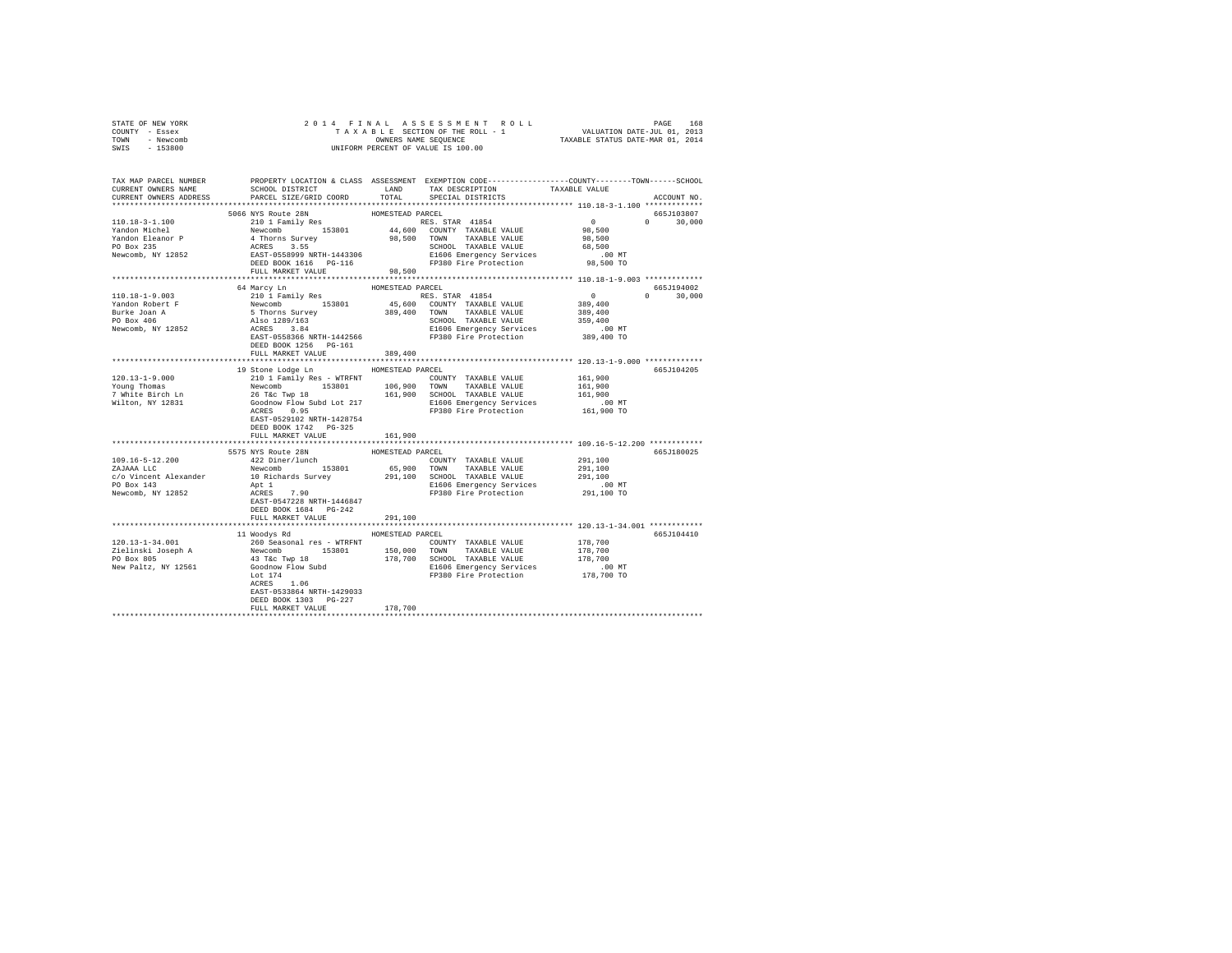| STATE OF NEW YORK                                                                                                                                                                                                                                |                                    |                     |                         |             |        |       |     |        |        |        |        |     |     |     |     |     |     |     |     |     |     |  |  |  |  |  |
|--------------------------------------------------------------------------------------------------------------------------------------------------------------------------------------------------------------------------------------------------|------------------------------------|---------------------|-------------------------|-------------|--------|-------|-----|--------|--------|--------|--------|-----|-----|-----|-----|-----|-----|-----|-----|-----|-----|--|--|--|--|--|
| COUNTY - Essex                                                                                                                                                                                                                                   |                                    |                     |                         |             |        |       |     |        |        |        |        |     |     |     |     |     |     |     |     |     |     |  |  |  |  |  |
| TOWN - Newcomb                                                                                                                                                                                                                                   |                                    |                     |                         |             |        |       |     |        |        |        |        |     |     |     |     |     |     |     |     |     |     |  |  |  |  |  |
| SWIS - 153800                                                                                                                                                                                                                                    |                                    |                     |                         |             |        |       |     |        |        |        |        |     |     |     |     |     |     |     |     |     |     |  |  |  |  |  |
|                                                                                                                                                                                                                                                  |                                    |                     |                         |             |        |       |     |        |        |        |        |     |     |     |     |     |     |     |     |     |     |  |  |  |  |  |
|                                                                                                                                                                                                                                                  |                                    |                     |                         |             |        |       |     |        |        |        |        |     |     |     |     |     |     |     |     |     |     |  |  |  |  |  |
|                                                                                                                                                                                                                                                  |                                    |                     |                         |             |        |       |     |        |        |        |        |     |     |     |     |     |     |     |     |     |     |  |  |  |  |  |
|                                                                                                                                                                                                                                                  |                                    |                     |                         |             |        |       |     |        |        |        |        |     |     |     |     |     |     |     |     |     |     |  |  |  |  |  |
| TAX MAP PARCEL NUMBER     PROPERTY LOCATION & CLASS ASSESSMENT EXEMPTION CODE---------------COUNTY-------TOWN------SCHOOL DISTRICT     LAND   TAX DESCRIPTION     TAXABLE VALUE                                                                  |                                    |                     |                         |             |        |       |     |        |        |        |        |     |     |     |     |     |     |     |     |     |     |  |  |  |  |  |
| CURRENT OWNERS ADDRESS PARCEL SIZE/GRID COORD                                                                                                                                                                                                    |                                    |                     | TOTAL SPECIAL DISTRICTS | ACCOUNT NO. |        |       |     |        |        |        |        |     |     |     |     |     |     |     |     |     |     |  |  |  |  |  |
|                                                                                                                                                                                                                                                  |                                    |                     |                         |             |        |       |     |        |        |        |        |     |     |     |     |     |     |     |     |     |     |  |  |  |  |  |
|                                                                                                                                                                                                                                                  | 5066 NYS Route 28N                 | HOMESTEAD PARCEL    |                         | 665J103807  |        |       |     |        |        |        |        |     |     |     |     |     |     |     |     |     |     |  |  |  |  |  |
| $\n\n\n110.18-3-1.100\n200\n210\n120\n14,600\nROBSE\n210\n120\n14,600\n210\n14,600\n210\n210\n210\n210\n210\n210\n210\n210\n210\n210\n$                                                                                                          | 110.18-3-1.100                     | 200                 | 210                     | 120         | 14,600 | ROBSE | 210 | 120    | 14,600 | 210    | 14,600 | 210 | 210 | 210 | 210 | 210 | 210 | 210 | 210 | 210 | 210 |  |  |  |  |  |
| 110.18-3-1.100                                                                                                                                                                                                                                   | 200                                | 210                 | 120                     | 14,600      | ROBSE  | 210   | 120 | 14,600 | 210    | 14,600 | 210    | 210 | 210 | 210 | 210 | 210 | 210 | 210 | 210 | 210 |     |  |  |  |  |  |
|                                                                                                                                                                                                                                                  |                                    |                     |                         |             |        |       |     |        |        |        |        |     |     |     |     |     |     |     |     |     |     |  |  |  |  |  |
|                                                                                                                                                                                                                                                  |                                    |                     |                         |             |        |       |     |        |        |        |        |     |     |     |     |     |     |     |     |     |     |  |  |  |  |  |
|                                                                                                                                                                                                                                                  |                                    |                     |                         |             |        |       |     |        |        |        |        |     |     |     |     |     |     |     |     |     |     |  |  |  |  |  |
|                                                                                                                                                                                                                                                  |                                    |                     |                         |             |        |       |     |        |        |        |        |     |     |     |     |     |     |     |     |     |     |  |  |  |  |  |
|                                                                                                                                                                                                                                                  |                                    |                     |                         |             |        |       |     |        |        |        |        |     |     |     |     |     |     |     |     |     |     |  |  |  |  |  |
|                                                                                                                                                                                                                                                  |                                    |                     |                         |             |        |       |     |        |        |        |        |     |     |     |     |     |     |     |     |     |     |  |  |  |  |  |
|                                                                                                                                                                                                                                                  |                                    |                     |                         |             |        |       |     |        |        |        |        |     |     |     |     |     |     |     |     |     |     |  |  |  |  |  |
|                                                                                                                                                                                                                                                  |                                    |                     |                         |             |        |       |     |        |        |        |        |     |     |     |     |     |     |     |     |     |     |  |  |  |  |  |
| 110.18-1-9.003<br>16 Marcy In HOMESTEAD PARCEL<br>101.08-1-9.003<br>16 Marcy In HOMESTEAD PARCEL<br>16 Marcy In 153801<br>16 Marcy In 169-1-142566<br>16 Marcy In 153801<br>16 Marcy In 153801<br>16 March 16 March 142566<br>1600 COUNTY TAXABL |                                    |                     |                         |             |        |       |     |        |        |        |        |     |     |     |     |     |     |     |     |     |     |  |  |  |  |  |
|                                                                                                                                                                                                                                                  |                                    |                     |                         |             |        |       |     |        |        |        |        |     |     |     |     |     |     |     |     |     |     |  |  |  |  |  |
|                                                                                                                                                                                                                                                  |                                    |                     |                         |             |        |       |     |        |        |        |        |     |     |     |     |     |     |     |     |     |     |  |  |  |  |  |
|                                                                                                                                                                                                                                                  |                                    |                     |                         |             |        |       |     |        |        |        |        |     |     |     |     |     |     |     |     |     |     |  |  |  |  |  |
|                                                                                                                                                                                                                                                  |                                    |                     |                         |             |        |       |     |        |        |        |        |     |     |     |     |     |     |     |     |     |     |  |  |  |  |  |
|                                                                                                                                                                                                                                                  |                                    |                     |                         |             |        |       |     |        |        |        |        |     |     |     |     |     |     |     |     |     |     |  |  |  |  |  |
|                                                                                                                                                                                                                                                  |                                    |                     |                         |             |        |       |     |        |        |        |        |     |     |     |     |     |     |     |     |     |     |  |  |  |  |  |
|                                                                                                                                                                                                                                                  |                                    |                     |                         |             |        |       |     |        |        |        |        |     |     |     |     |     |     |     |     |     |     |  |  |  |  |  |
|                                                                                                                                                                                                                                                  |                                    |                     |                         |             |        |       |     |        |        |        |        |     |     |     |     |     |     |     |     |     |     |  |  |  |  |  |
|                                                                                                                                                                                                                                                  |                                    |                     |                         |             |        |       |     |        |        |        |        |     |     |     |     |     |     |     |     |     |     |  |  |  |  |  |
|                                                                                                                                                                                                                                                  |                                    |                     |                         |             |        |       |     |        |        |        |        |     |     |     |     |     |     |     |     |     |     |  |  |  |  |  |
|                                                                                                                                                                                                                                                  | 19 Stone Lodge Ln MOMESTEAD PARCEL |                     |                         | 665J104205  |        |       |     |        |        |        |        |     |     |     |     |     |     |     |     |     |     |  |  |  |  |  |
|                                                                                                                                                                                                                                                  |                                    |                     |                         |             |        |       |     |        |        |        |        |     |     |     |     |     |     |     |     |     |     |  |  |  |  |  |
|                                                                                                                                                                                                                                                  |                                    |                     |                         |             |        |       |     |        |        |        |        |     |     |     |     |     |     |     |     |     |     |  |  |  |  |  |
|                                                                                                                                                                                                                                                  |                                    |                     |                         |             |        |       |     |        |        |        |        |     |     |     |     |     |     |     |     |     |     |  |  |  |  |  |
|                                                                                                                                                                                                                                                  |                                    |                     |                         |             |        |       |     |        |        |        |        |     |     |     |     |     |     |     |     |     |     |  |  |  |  |  |
|                                                                                                                                                                                                                                                  |                                    |                     |                         |             |        |       |     |        |        |        |        |     |     |     |     |     |     |     |     |     |     |  |  |  |  |  |
|                                                                                                                                                                                                                                                  | EAST-0529102 NRTH-1428754          |                     |                         |             |        |       |     |        |        |        |        |     |     |     |     |     |     |     |     |     |     |  |  |  |  |  |
|                                                                                                                                                                                                                                                  | DEED BOOK 1742    PG-325           |                     |                         |             |        |       |     |        |        |        |        |     |     |     |     |     |     |     |     |     |     |  |  |  |  |  |
|                                                                                                                                                                                                                                                  | FULL MARKET VALUE 161,900          |                     |                         |             |        |       |     |        |        |        |        |     |     |     |     |     |     |     |     |     |     |  |  |  |  |  |
|                                                                                                                                                                                                                                                  |                                    |                     |                         |             |        |       |     |        |        |        |        |     |     |     |     |     |     |     |     |     |     |  |  |  |  |  |
|                                                                                                                                                                                                                                                  |                                    |                     |                         | 665J180025  |        |       |     |        |        |        |        |     |     |     |     |     |     |     |     |     |     |  |  |  |  |  |
|                                                                                                                                                                                                                                                  |                                    |                     |                         |             |        |       |     |        |        |        |        |     |     |     |     |     |     |     |     |     |     |  |  |  |  |  |
|                                                                                                                                                                                                                                                  |                                    |                     |                         |             |        |       |     |        |        |        |        |     |     |     |     |     |     |     |     |     |     |  |  |  |  |  |
|                                                                                                                                                                                                                                                  |                                    |                     |                         |             |        |       |     |        |        |        |        |     |     |     |     |     |     |     |     |     |     |  |  |  |  |  |
|                                                                                                                                                                                                                                                  |                                    |                     |                         |             |        |       |     |        |        |        |        |     |     |     |     |     |     |     |     |     |     |  |  |  |  |  |
|                                                                                                                                                                                                                                                  |                                    |                     |                         |             |        |       |     |        |        |        |        |     |     |     |     |     |     |     |     |     |     |  |  |  |  |  |
|                                                                                                                                                                                                                                                  |                                    |                     |                         |             |        |       |     |        |        |        |        |     |     |     |     |     |     |     |     |     |     |  |  |  |  |  |
|                                                                                                                                                                                                                                                  |                                    |                     |                         |             |        |       |     |        |        |        |        |     |     |     |     |     |     |     |     |     |     |  |  |  |  |  |
|                                                                                                                                                                                                                                                  | DEED BOOK 1684 PG-242              |                     |                         |             |        |       |     |        |        |        |        |     |     |     |     |     |     |     |     |     |     |  |  |  |  |  |
|                                                                                                                                                                                                                                                  | FULL MARKET VALUE                  | 291,100             |                         |             |        |       |     |        |        |        |        |     |     |     |     |     |     |     |     |     |     |  |  |  |  |  |
|                                                                                                                                                                                                                                                  |                                    |                     |                         |             |        |       |     |        |        |        |        |     |     |     |     |     |     |     |     |     |     |  |  |  |  |  |
|                                                                                                                                                                                                                                                  | 11 Woodys Rd MOMESTEAD PARCEL      |                     |                         | 665J104410  |        |       |     |        |        |        |        |     |     |     |     |     |     |     |     |     |     |  |  |  |  |  |
|                                                                                                                                                                                                                                                  |                                    |                     |                         |             |        |       |     |        |        |        |        |     |     |     |     |     |     |     |     |     |     |  |  |  |  |  |
| 120.13-1-34.001<br>120.13-1-34.001<br>260 Seasonal res – WTRFNT<br>260 Seasonal res – WTRFNT<br>260 Seasonal res – WTRFNT<br>260 Seasonal res – WTRFNT<br>260 Seasonal res – WTRFNT<br>260 Society 178,700<br>2600 SCHOOL TAXABLE VALUE<br>260   |                                    |                     |                         |             |        |       |     |        |        |        |        |     |     |     |     |     |     |     |     |     |     |  |  |  |  |  |
|                                                                                                                                                                                                                                                  |                                    |                     |                         |             |        |       |     |        |        |        |        |     |     |     |     |     |     |     |     |     |     |  |  |  |  |  |
|                                                                                                                                                                                                                                                  |                                    |                     |                         |             |        |       |     |        |        |        |        |     |     |     |     |     |     |     |     |     |     |  |  |  |  |  |
|                                                                                                                                                                                                                                                  |                                    |                     |                         |             |        |       |     |        |        |        |        |     |     |     |     |     |     |     |     |     |     |  |  |  |  |  |
|                                                                                                                                                                                                                                                  |                                    |                     |                         |             |        |       |     |        |        |        |        |     |     |     |     |     |     |     |     |     |     |  |  |  |  |  |
|                                                                                                                                                                                                                                                  |                                    |                     |                         |             |        |       |     |        |        |        |        |     |     |     |     |     |     |     |     |     |     |  |  |  |  |  |
|                                                                                                                                                                                                                                                  | EAST-0533864 NRTH-1429033          |                     |                         |             |        |       |     |        |        |        |        |     |     |     |     |     |     |     |     |     |     |  |  |  |  |  |
|                                                                                                                                                                                                                                                  | DEED BOOK 1303 PG-227              |                     |                         |             |        |       |     |        |        |        |        |     |     |     |     |     |     |     |     |     |     |  |  |  |  |  |
|                                                                                                                                                                                                                                                  | FULL MARKET VALUE                  | 178,700             |                         |             |        |       |     |        |        |        |        |     |     |     |     |     |     |     |     |     |     |  |  |  |  |  |
|                                                                                                                                                                                                                                                  |                                    | ******************* |                         |             |        |       |     |        |        |        |        |     |     |     |     |     |     |     |     |     |     |  |  |  |  |  |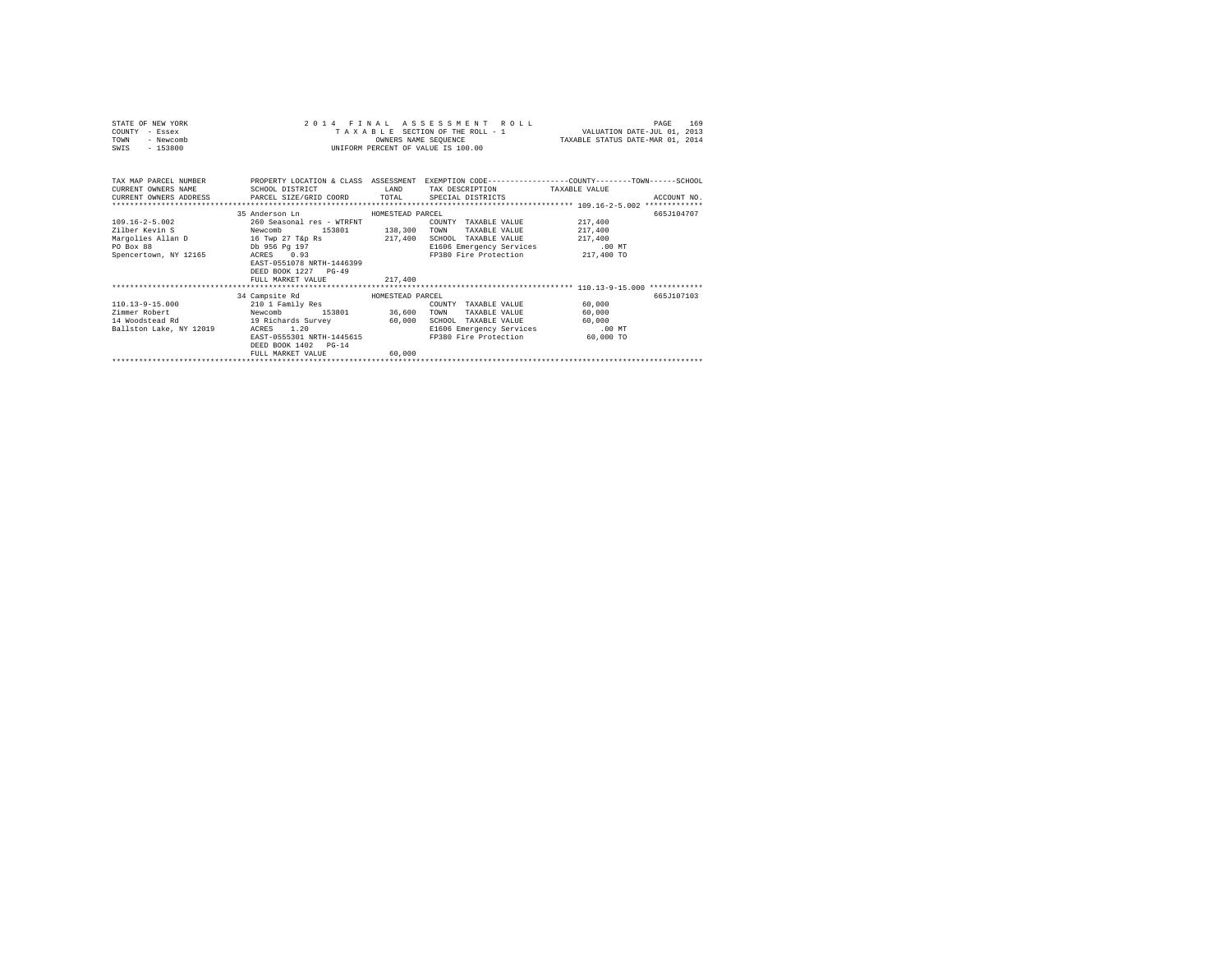| STATE OF NEW YORK<br>COUNTY - Essex<br>TOWN<br>- Newcomb<br>$-153800$<br>SWIS        |                                                                                                                                                                                                                                | OWNERS NAME SEOUENCE | 2014 FINAL ASSESSMENT ROLL<br>TAXABLE SECTION OF THE ROLL - 1 VALUATION DATE-JUL 01, 2013<br>INIFORM PERCENT OF VALUE IS 100.00        | TAXABLE STATUS DATE-MAR 01, 2014                      | 169<br>PAGE |
|--------------------------------------------------------------------------------------|--------------------------------------------------------------------------------------------------------------------------------------------------------------------------------------------------------------------------------|----------------------|----------------------------------------------------------------------------------------------------------------------------------------|-------------------------------------------------------|-------------|
| TAX MAP PARCEL NUMBER<br>CURRENT OWNERS NAME SCHOOL DISTRICT                         | CURRENT OWNERS ADDRESS PARCEL SIZE/GRID COORD TOTAL SPECIAL DISTRICTS                                                                                                                                                          |                      | PROPERTY LOCATION & CLASS ASSESSMENT EXEMPTION CODE----------------COUNTY-------TOWN------SCHOOL<br>LAND TAX DESCRIPTION TAXABLE VALUE |                                                       | ACCOUNT NO. |
| $109.16 - 2 - 5.002$<br>Zilber Kevin S Newcomb<br>PO Box 88<br>Spencertown, NY 12165 | 35 Anderson Ln<br>HOMESTEAD PARCEL<br>260 Seasonal res - WTRENT<br>Margolies Allan D 16 Twp 27 T&p Rs 217,400 SCHOOL TAXABLE VALUE<br>Db 956 Pg 197<br>ACRES 0.93<br>EAST-0551078 NRTH-1446399<br>DEED BOOK 1227 PG-49         |                      | COUNTY TAXABLE VALUE<br>153801 138,300 TOWN TAXABLE VALUE<br>E1606 Emergency Services<br>FP380 Fire Protection                         | 217,400<br>217,400<br>217,400<br>.00 MT<br>217,400 TO | 665.7104707 |
|                                                                                      | FULL MARKET VALUE                                                                                                                                                                                                              | 217,400              |                                                                                                                                        |                                                       |             |
| $110.13 - 9 - 15.000$<br>Zimmer Robert<br>14 Woodstead Rd<br>Ballston Lake, NY 12019 | 34 Campsite Rd MOMESTEAD PARCEL<br>210 1 Family Res<br>Newcomb<br>153801 36,600 TOWN<br>19 Richards Survey 60,000 SCHOOL TAXABLE VALUE<br>ACRES 1.20<br>EAST-0555301 NRTH-1445615<br>DEED BOOK 1402 PG-14<br>FULL MARKET VALUE | 60,000               | COUNTY TAXABLE VALUE<br>TAXABLE VALUE 60,000<br>E1606 Emergency Services<br>FP380 Fire Protection 60,000 TO                            | 60,000<br>60.000<br>.00 MT                            | 665.7107103 |
|                                                                                      |                                                                                                                                                                                                                                |                      |                                                                                                                                        |                                                       |             |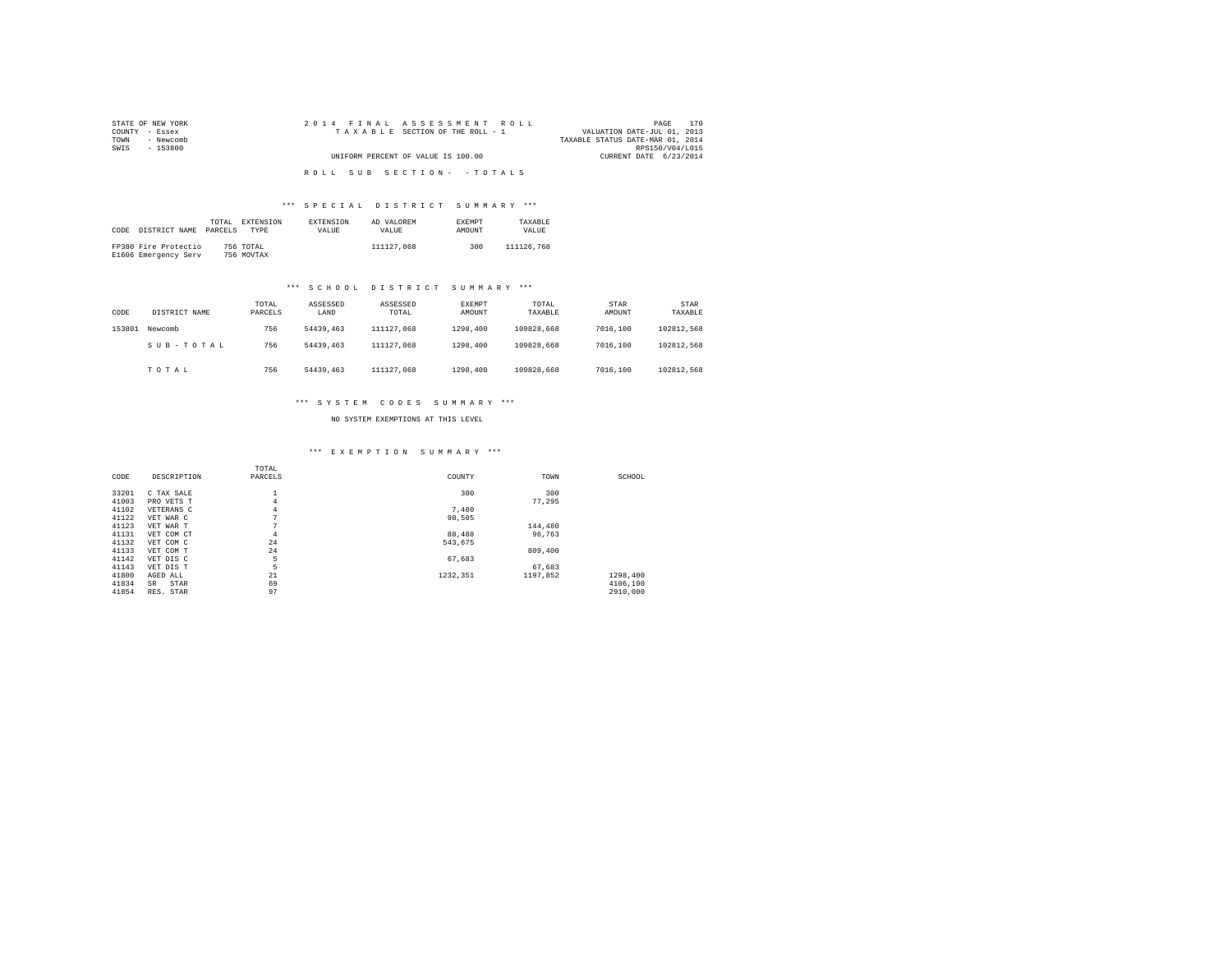| STATE OF NEW YORK | 2014 FINAL ASSESSMENT ROLL         | 170<br>PAGE                      |
|-------------------|------------------------------------|----------------------------------|
| COUNTY - Essex    | TAXABLE SECTION OF THE ROLL - 1    | VALUATION DATE-JUL 01, 2013      |
| - Newcomb<br>TOWN |                                    | TAXABLE STATUS DATE-MAR 01, 2014 |
| SWIS<br>- 153800  |                                    | RPS150/V04/L015                  |
|                   | UNIFORM PERCENT OF VALUE IS 100.00 | CURRENT DATE 6/23/2014           |
|                   |                                    |                                  |
|                   | ROLL SUB SECTION- - TOTALS         |                                  |

# \*\*\* S P E C I A L D I S T R I C T S U M M A R Y \*\*\*

| CODE | DISTRICT NAME PARCELS                        | TOTAL | EXTENSION<br>TYPE       | <b>EXTENSION</b><br>VALUE. | AD VALOREM<br>VALUE. | <b>EXEMPT</b><br><b>AMOUNT</b> | TAXARLE<br>VALUE. |
|------|----------------------------------------------|-------|-------------------------|----------------------------|----------------------|--------------------------------|-------------------|
|      | FP380 Fire Protectio<br>E1606 Emergency Serv |       | 756 TOTAL<br>756 MOVTAX |                            | 111127.068           | 300                            | 111126.768        |

# \*\*\* S C H O O L D I S T R I C T S U M M A R Y \*\*\*

| CODE   | DISTRICT NAME | TOTAL<br>PARCELS | ASSESSED<br>LAND | ASSESSED<br>TOTAL | <b>EXEMPT</b><br>AMOUNT | TOTAL<br>TAXABLE | STAR<br>AMOUNT | <b>STAR</b><br>TAXABLE |
|--------|---------------|------------------|------------------|-------------------|-------------------------|------------------|----------------|------------------------|
| 153801 | Newcomb       | 756              | 54439,463        | 111127.068        | 1298,400                | 109828.668       | 7016,100       | 102812.568             |
|        | SUB-TOTAL     | 756              | 54439,463        | 111127.068        | 1298,400                | 109828.668       | 7016,100       | 102812.568             |
|        | TOTAL         | 756              | 54439,463        | 111127.068        | 1298,400                | 109828.668       | 7016,100       | 102812.568             |

# \*\*\* S Y S T E M C O D E S S U M M A R Y \*\*\*

NO SYSTEM EXEMPTIONS AT THIS LEVEL

# \*\*\* E X E M P T I O N S U M M A R Y \*\*\*

|       |             | TOTAL   |          |          |          |  |
|-------|-------------|---------|----------|----------|----------|--|
| CODE  | DESCRIPTION | PARCELS | COUNTY   | TOWN     | SCHOOL   |  |
|       |             |         |          |          |          |  |
| 33201 | C TAX SALE  |         | 300      | 300      |          |  |
| 41003 | PRO VETS T  | 4       |          | 77.295   |          |  |
| 41102 | VETERANS C  | 4       | 7,400    |          |          |  |
| 41122 | VET WAR C   | n       | 98.505   |          |          |  |
| 41123 | VET WAR T   | n       |          | 144,480  |          |  |
| 41131 | VET COM CT  | 4       | 88,488   | 96.763   |          |  |
| 41132 | VET COM C   | 24      | 543.675  |          |          |  |
| 41133 | VET COM T   | 24      |          | 809,400  |          |  |
| 41142 | VET DIS C   | 5       | 67,683   |          |          |  |
| 41143 | VET DIS T   | 5       |          | 67,683   |          |  |
| 41800 | AGED ALL    | 21      | 1232.351 | 1197.852 | 1298.400 |  |
| 41834 | STAR<br>SR  | 69      |          |          | 4106,100 |  |
| 41854 | RES. STAR   | 97      |          |          | 2910,000 |  |
|       |             |         |          |          |          |  |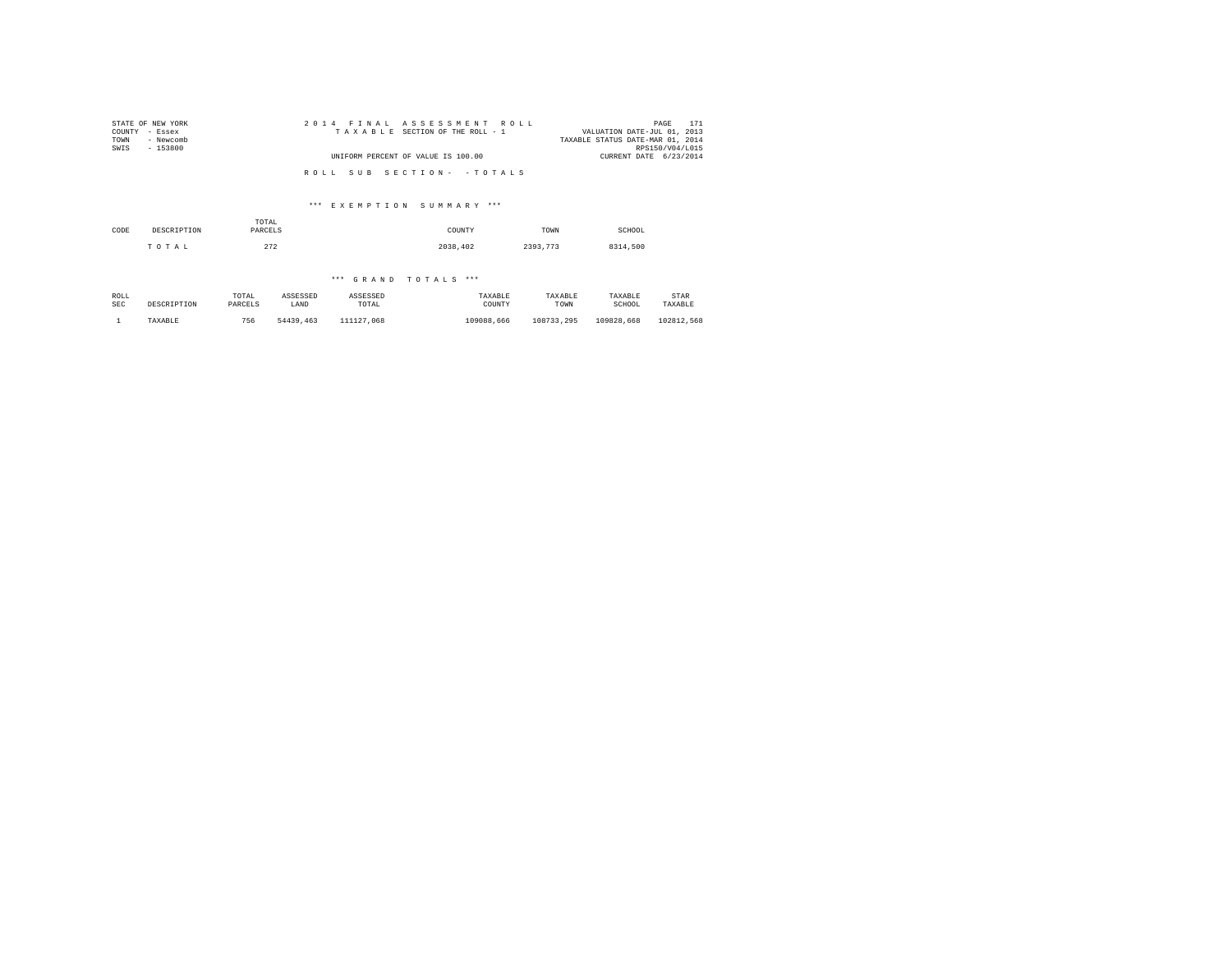| STATE OF NEW YORK | 2014 FINAL ASSESSMENT ROLL         | 171<br>PAGE                      |
|-------------------|------------------------------------|----------------------------------|
| COUNTY - Essex    | TAXABLE SECTION OF THE ROLL - 1    | VALUATION DATE-JUL 01, 2013      |
| TOWN<br>- Newcomb |                                    | TAXABLE STATUS DATE-MAR 01, 2014 |
| SWIS<br>- 153800  |                                    | RPS150/V04/L015                  |
|                   | UNIFORM PERCENT OF VALUE IS 100.00 | CURRENT DATE 6/23/2014           |
|                   |                                    |                                  |
|                   | ROLL SUB SECTION- - TOTALS         |                                  |

# \*\*\* E X E M P T I O N S U M M A R Y \*\*\*

| CODE | DESCRIPTION | TOTAL<br>PARCELS | COUNTY   | TOWN     | SCHOOL   |
|------|-------------|------------------|----------|----------|----------|
|      | TOTAL       | 272              | 2038,402 | 2393.773 | 8314,500 |

# \*\*\* G R A N D T O T A L S \*\*\*

| ROLL       | DESCRIPTION | TOTAL   | ASSESSED  | ASSESSED   | TAXABLE    | TAXABLE    | TAXABLE    | STAR       |
|------------|-------------|---------|-----------|------------|------------|------------|------------|------------|
| <b>SEC</b> |             | PARCELS | LAND      | TOTAL      | COUNTY     | TOWN       | SCHOOL     | TAXABLE    |
|            | TAXABLE     | 756     | 54439,463 | 111127.068 | 109088.666 | 108733.295 | 109828.668 | 102812.568 |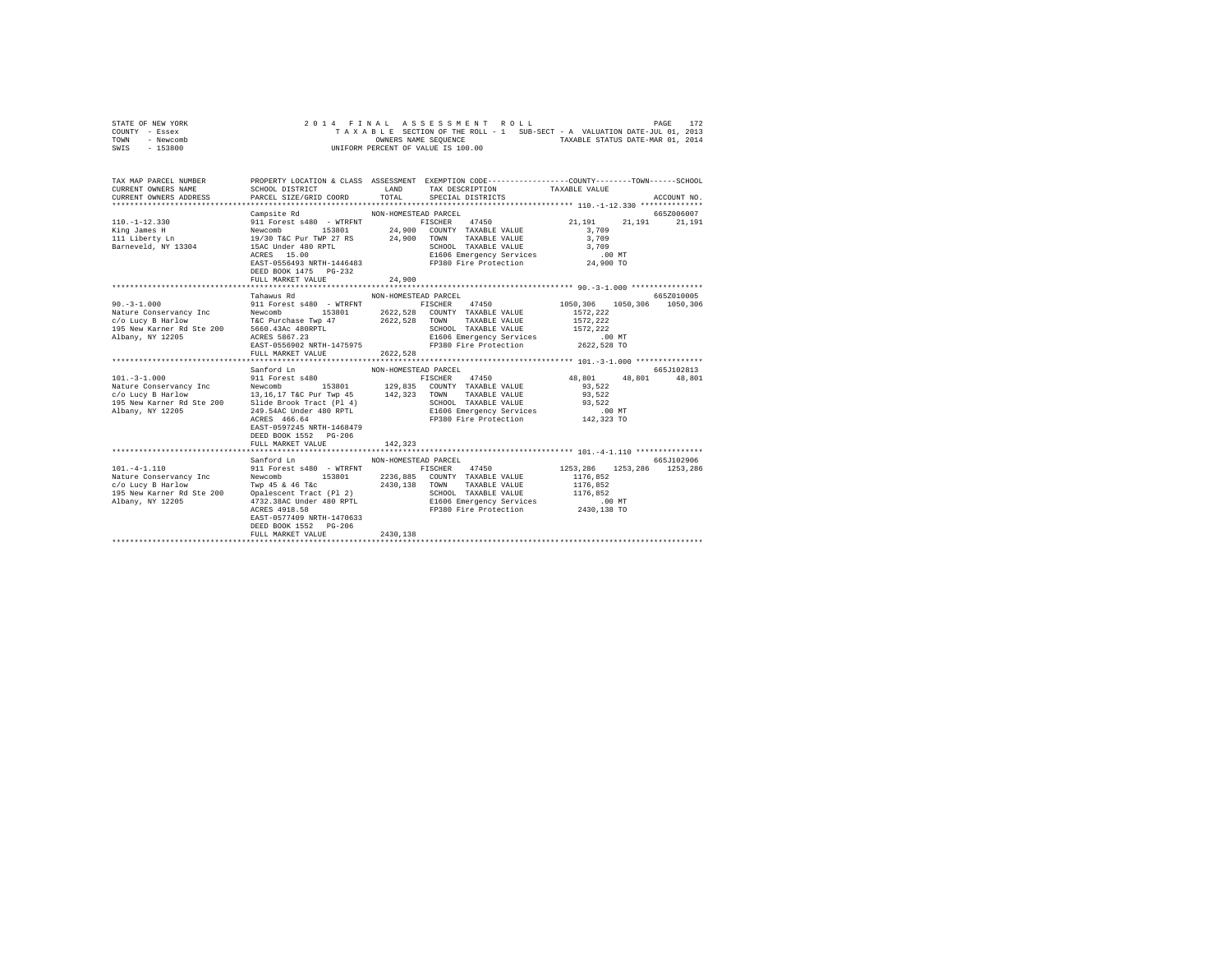| STATE OF NEW YORK | 2014 FINAL ASSESSMENT ROLL                                               | 172<br>PAGE                      |
|-------------------|--------------------------------------------------------------------------|----------------------------------|
| COUNTY - Essex    | TAXABLE SECTION OF THE ROLL - 1 SUB-SECT - A VALUATION DATE-JUL 01, 2013 |                                  |
| TOWN<br>- Newcomb | OWNERS NAME SEOUENCE                                                     | TAXABLE STATUS DATE-MAR 01, 2014 |
| - 153800<br>SWIS  | UNIFORM PERCENT OF VALUE IS 100.00                                       |                                  |

| TAX MAP PARCEL NUMBER | PROPERTY LOCATION & CLASS ASSESSMENT EXEMPTION CODE----------------COUNTY-------TOWN------SCHOOL |                                  |                            |            |
|-----------------------|--------------------------------------------------------------------------------------------------|----------------------------------|----------------------------|------------|
|                       | Campsite Rd<br>DEED BOOK 1475 PG-232<br>FULL MARKET VALUE 24,900                                 | NON-HOMESTEAD PARCEL             |                            | 665Z006007 |
|                       | Tahawus Rd<br>FULL MARKET VALUE                                                                  | NON-HOMESTEAD PARCEL<br>2622,528 |                            | 665Z010005 |
|                       | DEED BOOK 1552 PG-206<br>FULL MARKET VALUE                                                       | 142,323                          |                            | 665J102813 |
|                       | Sanford Ln<br>EAST-0577409 NRTH-1470633<br>DEED BOOK 1552 PG-206<br>FULL MARKET VALUE            | NON-HOMESTEAD PARCEL<br>2430.138 | 1253.286 1253.286 1253.286 | 665J102906 |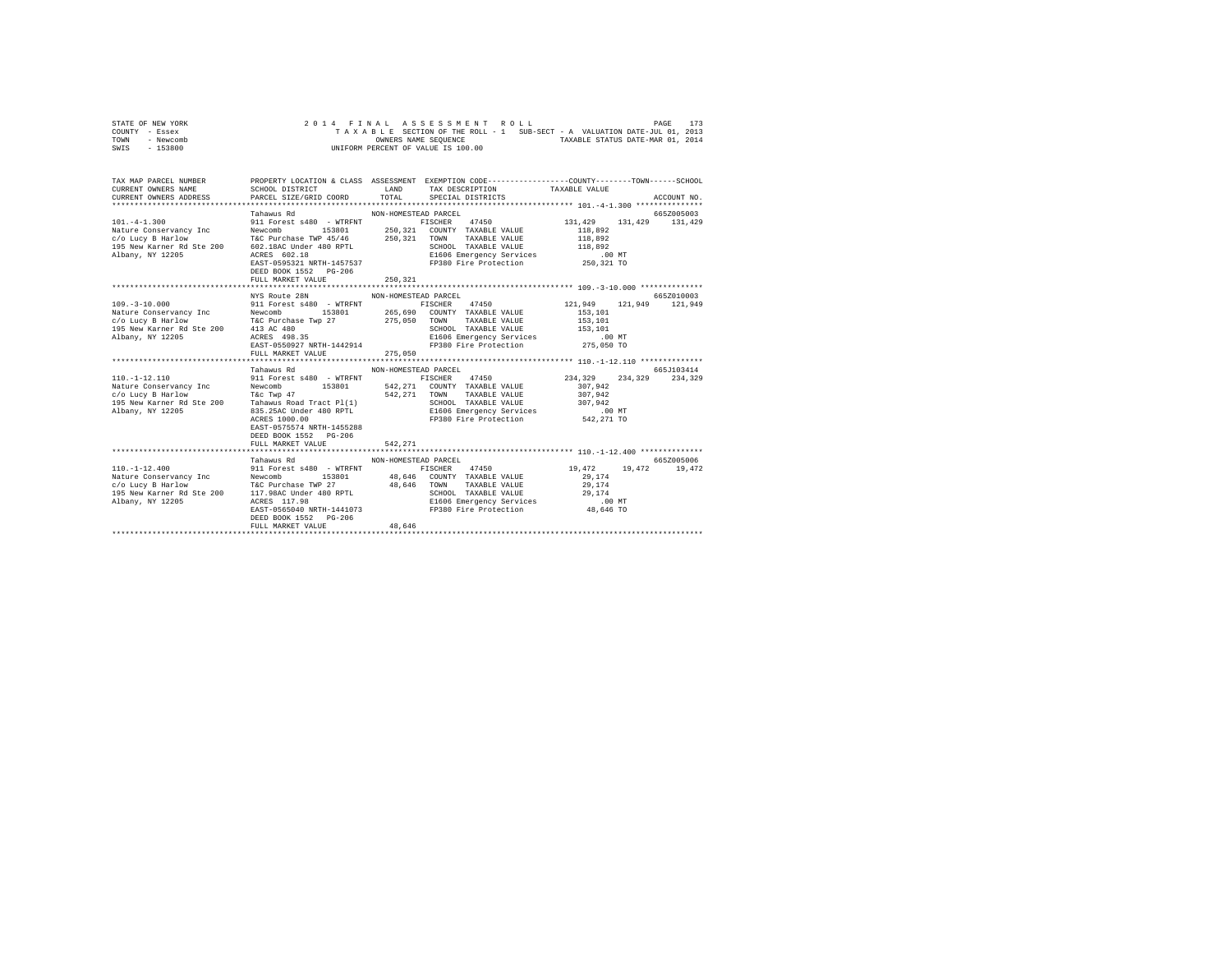| STATE OF NEW YORK |  |  |  | 2014 FINAL ASSESSMENT ROLL         |  |  |                                                                          |                                  | PAGE | 173 |
|-------------------|--|--|--|------------------------------------|--|--|--------------------------------------------------------------------------|----------------------------------|------|-----|
| COUNTY - Essex    |  |  |  |                                    |  |  | TAXABLE SECTION OF THE ROLL - 1 SUB-SECT - A VALUATION DATE-JUL 01, 2013 |                                  |      |     |
| TOWN<br>- Newcomb |  |  |  | OWNERS NAME SEOUENCE               |  |  |                                                                          | TAXABLE STATUS DATE-MAR 01, 2014 |      |     |
| $-153800$<br>SWIS |  |  |  | UNIFORM PERCENT OF VALUE IS 100.00 |  |  |                                                                          |                                  |      |     |

| TAX MAP PARCEL NUMBER<br>$\begin{array}{lllll} \texttt{CURERENT} & \texttt{OMNE} & \texttt{SAHD} & \texttt{TAX} & \texttt{DESCRIPTION} & \texttt{TAX ABLEY TUS} & \texttt{TAX ABLEY RULUE} & \texttt{ACCOURT NO} & \texttt{ACCOURT NO} \\ \texttt{CURERENT} & \texttt{OMNE} & \texttt{PACE} & \texttt{PACE} & \texttt{TPCTAL} & \texttt{SPECHIPTON} & \texttt{NOLU MID} & \texttt{ACCOURT NO} \\ & \texttt{MHEH} & \texttt{MHEH} & \texttt{MHEH} & \texttt{MHEH} & \texttt{M$ | PROPERTY LOCATION & CLASS ASSESSMENT EXEMPTION CODE---------------COUNTY-------TOWN------SCHOOL |                                 |  |            |
|-------------------------------------------------------------------------------------------------------------------------------------------------------------------------------------------------------------------------------------------------------------------------------------------------------------------------------------------------------------------------------------------------------------------------------------------------------------------------------|-------------------------------------------------------------------------------------------------|---------------------------------|--|------------|
|                                                                                                                                                                                                                                                                                                                                                                                                                                                                               | Tahawus Rd<br>DEED BOOK 1552 PG-206<br>FULL MARKET VALUE                                        | NON-HOMESTEAD PARCEL<br>250.321 |  | 665Z005003 |
|                                                                                                                                                                                                                                                                                                                                                                                                                                                                               |                                                                                                 |                                 |  |            |
|                                                                                                                                                                                                                                                                                                                                                                                                                                                                               | NYS Route 28N                                                                                   | NON-HOMESTEAD PARCEL            |  | 665Z010003 |
| $109. -3 - 10.000$<br>1931 - 1941 - 1942 - 1942 - 1942 - 1943 - 1944 - 1942 - 1944 - 1942 - 1942 - 1942 - 1942 - 1942 - 1942 - 1942 - 1942 - 1942 - 1942 - 1942 - 1942 - 1942 - 1942 - 1942 - 1942 - 1942 - 1942 - 1942 - 1942 - 1942 - 1942 - 1942                                                                                                                                                                                                                           | 911 Forest s480 - WTRFNT FISCHER 47450 121,949 121,949 121,949<br>Tahawus Rd                    | NON-HOMESTEAD PARCEL            |  | 665J103414 |
|                                                                                                                                                                                                                                                                                                                                                                                                                                                                               | EAST-0575574 NRTH-1455288<br>DEED BOOK 1552 PG-206                                              |                                 |  |            |
|                                                                                                                                                                                                                                                                                                                                                                                                                                                                               | Tahawus Rd                                                                                      | NON-HOMESTEAD PARCEL            |  | 6657005006 |
| $110. - 1 - 12.400$                                                                                                                                                                                                                                                                                                                                                                                                                                                           | 911 Forest s480 - WTRFNT FISCHER 47450 19,472 19,472 19,472<br>DEED BOOK 1552 PG-206            |                                 |  |            |
|                                                                                                                                                                                                                                                                                                                                                                                                                                                                               | FULL MARKET VALUE                                                                               | 48,646                          |  |            |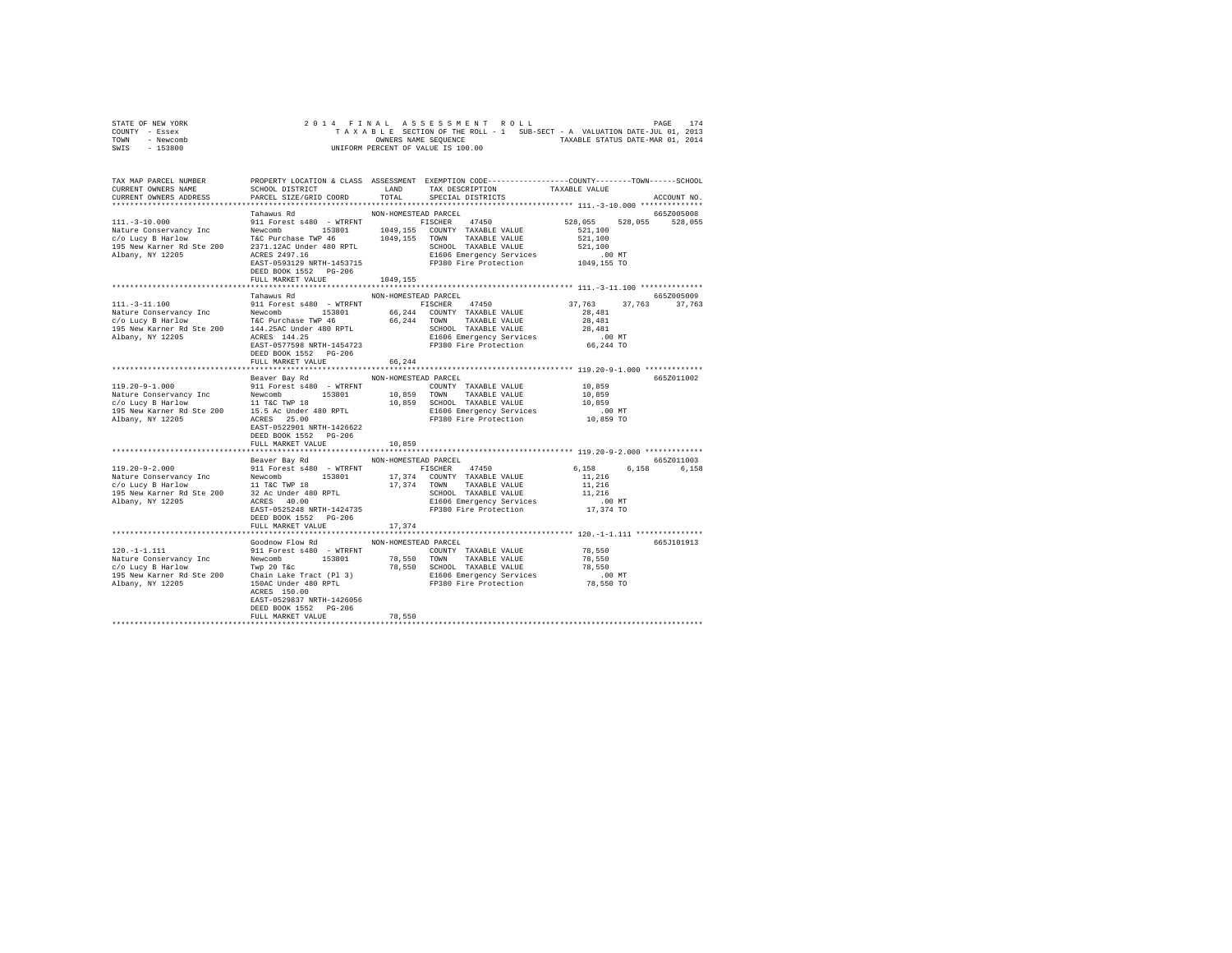|                | STATE OF NEW YORK |  |  |  | 2014 FINAL ASSESSMENT ROLL         |  |  |  |                                                                          | PAGE | 174 |
|----------------|-------------------|--|--|--|------------------------------------|--|--|--|--------------------------------------------------------------------------|------|-----|
| COUNTY - Essex |                   |  |  |  |                                    |  |  |  | TAXABLE SECTION OF THE ROLL - 1 SUB-SECT - A VALUATION DATE-JUL 01, 2013 |      |     |
| TOWN           | - Newcomb         |  |  |  | OWNERS NAME SEOUENCE               |  |  |  | TAXABLE STATUS DATE-MAR 01, 2014                                         |      |     |
| SWIS           | - 153800          |  |  |  | UNIFORM PERCENT OF VALUE IS 100.00 |  |  |  |                                                                          |      |     |

| TAX MAP PARCEL NUMBER<br>CURRENT OWNERS NAME                                                                                                                                                                                                                                                                                                                                                            | PROPERTY LOCATION & CLASS ASSESSMENT EXEMPTION CODE---------------COUNTY-------TOWN------SCHOOL<br>SCHOOL DISTRICT |                      | LAND TAX DESCRIPTION                                                                                                                 | TAXABLE VALUE              |               |
|---------------------------------------------------------------------------------------------------------------------------------------------------------------------------------------------------------------------------------------------------------------------------------------------------------------------------------------------------------------------------------------------------------|--------------------------------------------------------------------------------------------------------------------|----------------------|--------------------------------------------------------------------------------------------------------------------------------------|----------------------------|---------------|
| CURRENT OWNERS ADDRESS                                                                                                                                                                                                                                                                                                                                                                                  | PARCEL SIZE/GRID COORD                                                                                             |                      | TOTAL SPECIAL DISTRICTS                                                                                                              |                            | ACCOUNT NO.   |
|                                                                                                                                                                                                                                                                                                                                                                                                         | Tahawus Rd                                                                                                         | NON-HOMESTEAD PARCEL |                                                                                                                                      |                            | 665Z005008    |
|                                                                                                                                                                                                                                                                                                                                                                                                         |                                                                                                                    |                      |                                                                                                                                      | 528.055 528.055 528.055    |               |
|                                                                                                                                                                                                                                                                                                                                                                                                         |                                                                                                                    |                      |                                                                                                                                      | 521,100                    |               |
|                                                                                                                                                                                                                                                                                                                                                                                                         |                                                                                                                    |                      |                                                                                                                                      | 521,100                    |               |
|                                                                                                                                                                                                                                                                                                                                                                                                         |                                                                                                                    |                      |                                                                                                                                      |                            |               |
|                                                                                                                                                                                                                                                                                                                                                                                                         |                                                                                                                    |                      |                                                                                                                                      |                            |               |
|                                                                                                                                                                                                                                                                                                                                                                                                         |                                                                                                                    |                      | CHOOL TAXABLE VALUE 521,100<br>E1606 Emergency Services .00 MT<br>FP380 Fire Protection .00 MT<br>FP380 Fire Protection .0149,155 TO |                            |               |
|                                                                                                                                                                                                                                                                                                                                                                                                         | DEED BOOK 1552    PG-206                                                                                           |                      |                                                                                                                                      |                            |               |
|                                                                                                                                                                                                                                                                                                                                                                                                         | FULL MARKET VALUE                                                                                                  | 1049,155             |                                                                                                                                      |                            |               |
|                                                                                                                                                                                                                                                                                                                                                                                                         |                                                                                                                    |                      |                                                                                                                                      |                            |               |
|                                                                                                                                                                                                                                                                                                                                                                                                         | Tahawus Rd                                                                                                         | NON-HOMESTEAD PARCEL |                                                                                                                                      |                            | 665Z005009    |
| 111. - 3 - 11.100                                                                                                                                                                                                                                                                                                                                                                                       | 911 Forest s480 - WTRFNT FISCHER 47450 37,763                                                                      |                      |                                                                                                                                      |                            | 37,763 37,763 |
|                                                                                                                                                                                                                                                                                                                                                                                                         |                                                                                                                    |                      |                                                                                                                                      |                            |               |
|                                                                                                                                                                                                                                                                                                                                                                                                         |                                                                                                                    |                      |                                                                                                                                      |                            |               |
|                                                                                                                                                                                                                                                                                                                                                                                                         |                                                                                                                    |                      |                                                                                                                                      |                            |               |
|                                                                                                                                                                                                                                                                                                                                                                                                         |                                                                                                                    |                      |                                                                                                                                      |                            |               |
|                                                                                                                                                                                                                                                                                                                                                                                                         |                                                                                                                    |                      |                                                                                                                                      |                            |               |
|                                                                                                                                                                                                                                                                                                                                                                                                         | DEED BOOK 1552 PG-206                                                                                              |                      |                                                                                                                                      |                            |               |
|                                                                                                                                                                                                                                                                                                                                                                                                         | FULL MARKET VALUE                                                                                                  | 66.244               |                                                                                                                                      |                            |               |
|                                                                                                                                                                                                                                                                                                                                                                                                         |                                                                                                                    |                      |                                                                                                                                      |                            |               |
|                                                                                                                                                                                                                                                                                                                                                                                                         | Beaver Bay Rd NON-HOMESTEAD PARCEL                                                                                 |                      |                                                                                                                                      |                            | 665Z011002    |
|                                                                                                                                                                                                                                                                                                                                                                                                         |                                                                                                                    |                      |                                                                                                                                      |                            |               |
| $[19.20-9-1.000] \begin{tabular}{lcccc} 119.20-9-1.000 & 911 Forest and 980 - WTRFNT & 1008 - MODMUTY TAXABLE VALUE \\ \hline Nature Conescyancy Inc & 153801 & 10,859 TOMW TAXABLE VALUE \\ \hline K/c0 LUCy B Hardlow & 11 TGC TWP 18 & 10,859 SCHODL TAXABLE VALUE \\ 195 New Kamer Rd Ste 200 & 15.5 Ac Under 480 RPTL & 10,859 SCHODL TAXABLE VALUE \\ 195 New Kamer Rd Ste 200 & 15.5 Ac Under 4$ |                                                                                                                    |                      |                                                                                                                                      | 10,859<br>10,859<br>10,859 |               |
|                                                                                                                                                                                                                                                                                                                                                                                                         |                                                                                                                    |                      | 10,859 SCHOOL TAXABLE VALUE 10,859 10,859<br>E1606 Emergency Services 10,00 MT<br>FP380 Fire Protection 10,859 TO                    |                            |               |
|                                                                                                                                                                                                                                                                                                                                                                                                         |                                                                                                                    |                      |                                                                                                                                      |                            |               |
|                                                                                                                                                                                                                                                                                                                                                                                                         |                                                                                                                    |                      |                                                                                                                                      |                            |               |
|                                                                                                                                                                                                                                                                                                                                                                                                         |                                                                                                                    |                      |                                                                                                                                      |                            |               |
|                                                                                                                                                                                                                                                                                                                                                                                                         | DEED BOOK 1552 PG-206                                                                                              |                      |                                                                                                                                      |                            |               |
|                                                                                                                                                                                                                                                                                                                                                                                                         | FULL MARKET VALUE                                                                                                  | 10,859               |                                                                                                                                      |                            |               |
|                                                                                                                                                                                                                                                                                                                                                                                                         |                                                                                                                    |                      |                                                                                                                                      |                            |               |
|                                                                                                                                                                                                                                                                                                                                                                                                         | Beaver Bay Rd MON-HOMESTEAD PARCEL                                                                                 |                      |                                                                                                                                      |                            | 665Z011003    |
|                                                                                                                                                                                                                                                                                                                                                                                                         |                                                                                                                    |                      |                                                                                                                                      | 6,158 6,158 6,158          |               |
|                                                                                                                                                                                                                                                                                                                                                                                                         |                                                                                                                    |                      |                                                                                                                                      | 11,216                     |               |
|                                                                                                                                                                                                                                                                                                                                                                                                         |                                                                                                                    |                      | 17,374 TOWN TAXABLE VALUE<br>SCHOOL TAXABLE VALUE                                                                                    | 11,216<br>11,216           |               |
|                                                                                                                                                                                                                                                                                                                                                                                                         |                                                                                                                    |                      |                                                                                                                                      |                            |               |
|                                                                                                                                                                                                                                                                                                                                                                                                         |                                                                                                                    |                      | E1606 Emergency Services .00 MT<br>FP380 Fire Protection 17,374 TO                                                                   |                            |               |
|                                                                                                                                                                                                                                                                                                                                                                                                         | EAST-0525248 NRTH-1424735                                                                                          |                      |                                                                                                                                      |                            |               |
|                                                                                                                                                                                                                                                                                                                                                                                                         | DEED BOOK 1552 PG-206                                                                                              |                      |                                                                                                                                      |                            |               |
|                                                                                                                                                                                                                                                                                                                                                                                                         | FULL MARKET VALUE                                                                                                  | 17.374               |                                                                                                                                      |                            |               |
|                                                                                                                                                                                                                                                                                                                                                                                                         | Goodnow Flow Rd                                                                                                    | NON-HOMESTEAD PARCEL |                                                                                                                                      |                            | 665J101913    |
|                                                                                                                                                                                                                                                                                                                                                                                                         |                                                                                                                    |                      |                                                                                                                                      |                            |               |
|                                                                                                                                                                                                                                                                                                                                                                                                         |                                                                                                                    |                      |                                                                                                                                      |                            |               |
|                                                                                                                                                                                                                                                                                                                                                                                                         |                                                                                                                    |                      |                                                                                                                                      |                            |               |
|                                                                                                                                                                                                                                                                                                                                                                                                         |                                                                                                                    |                      |                                                                                                                                      |                            |               |
|                                                                                                                                                                                                                                                                                                                                                                                                         |                                                                                                                    |                      |                                                                                                                                      |                            |               |
|                                                                                                                                                                                                                                                                                                                                                                                                         |                                                                                                                    |                      |                                                                                                                                      |                            |               |
|                                                                                                                                                                                                                                                                                                                                                                                                         | EAST-0529837 NRTH-1426056                                                                                          |                      |                                                                                                                                      |                            |               |
|                                                                                                                                                                                                                                                                                                                                                                                                         | DEED BOOK 1552 PG-206                                                                                              |                      |                                                                                                                                      |                            |               |
|                                                                                                                                                                                                                                                                                                                                                                                                         | FULL MARKET VALUE                                                                                                  | 78,550               |                                                                                                                                      |                            |               |
|                                                                                                                                                                                                                                                                                                                                                                                                         |                                                                                                                    |                      |                                                                                                                                      |                            |               |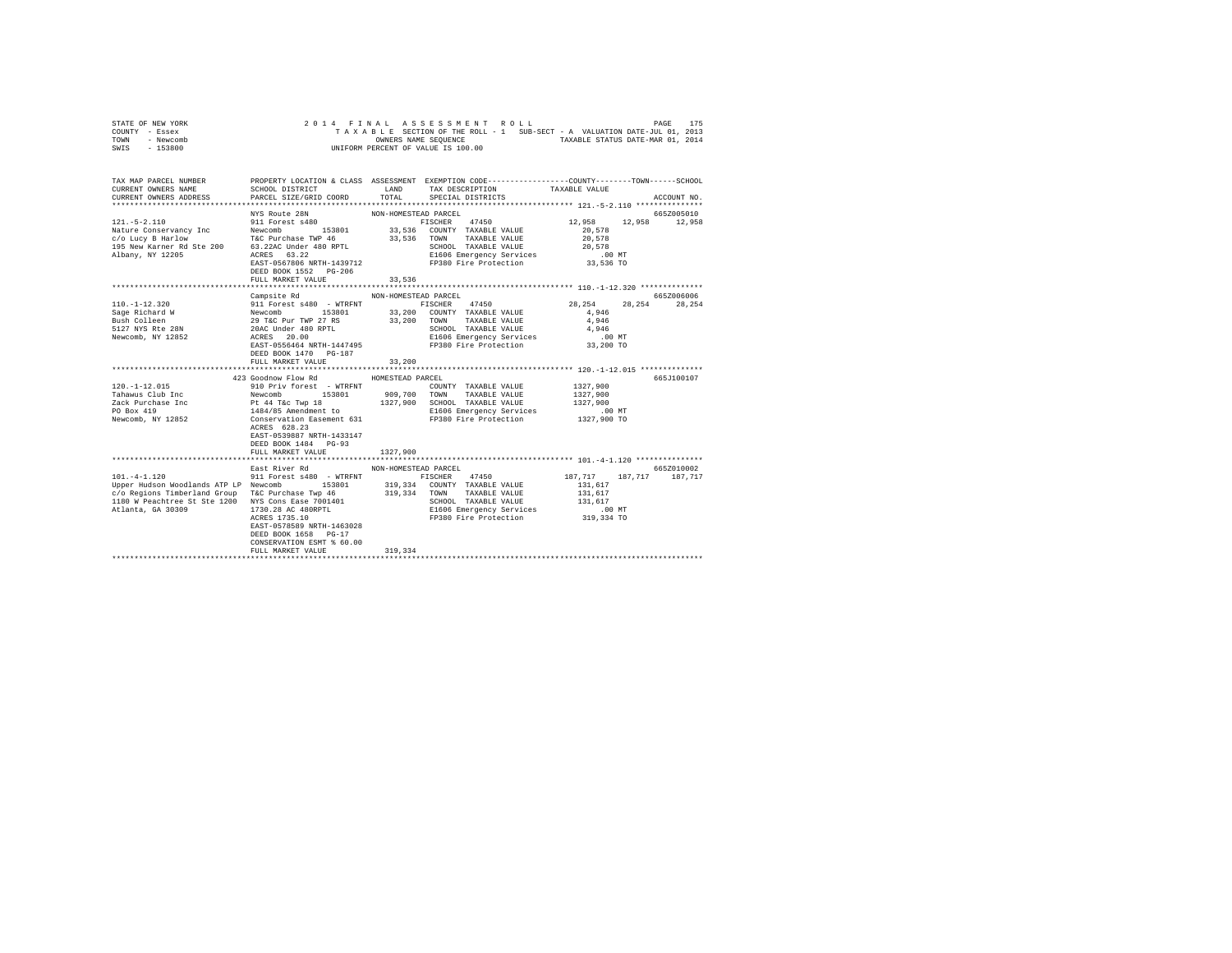|                | STATE OF NEW YORK |  |  |  | 2014 FINAL ASSESSMENT ROLL         |  |  |  |                                                                          | PAGE | 175 |
|----------------|-------------------|--|--|--|------------------------------------|--|--|--|--------------------------------------------------------------------------|------|-----|
| COUNTY - Essex |                   |  |  |  |                                    |  |  |  | TAXABLE SECTION OF THE ROLL - 1 SUB-SECT - A VALUATION DATE-JUL 01, 2013 |      |     |
| TOWN           | - Newcomb         |  |  |  | OWNERS NAME SEOUENCE               |  |  |  | TAXABLE STATUS DATE-MAR 01, 2014                                         |      |     |
| SWIS           | $-153800$         |  |  |  | UNIFORM PERCENT OF VALUE IS 100.00 |  |  |  |                                                                          |      |     |

| TAX MAP PARCEL NUMBER<br>CURRENT OWNERS NAME<br>CURRENT OWNERS ADDRESS                                                                                                                                                    | PROPERTY LOCATION & CLASS ASSESSMENT EXEMPTION CODE---------------COUNTY-------TOWN------SCHOOL<br>SCHOOL DISTRICT<br>PARCEL SIZE/GRID COORD                                                                                                                                                                                                                          | LAND<br>TOTAL                  | TAX DESCRIPTION<br>SPECIAL DISTRICTS                                                                                                                    | TAXABLE VALUE                                                       | ACCOUNT NO.           |
|---------------------------------------------------------------------------------------------------------------------------------------------------------------------------------------------------------------------------|-----------------------------------------------------------------------------------------------------------------------------------------------------------------------------------------------------------------------------------------------------------------------------------------------------------------------------------------------------------------------|--------------------------------|---------------------------------------------------------------------------------------------------------------------------------------------------------|---------------------------------------------------------------------|-----------------------|
| $121. - 5 - 2.110$<br>Nature Conservancy Inc<br>Nature Conservancy Inc (1999)<br>195 New Karlow B Hard Tac Purchase TWP 46 33,<br>195 New Karner Rd Ste 200 63.22AC Under 480 RPTL                                        | NYS Route 28N<br>911 Forest s480<br>Newcomb<br>153801<br>T&C Purchase TWP 46 33,536 TOWN<br>EAST-0567806 NRTH-1439712<br>DEED BOOK 1552 PG-206<br>FULL MARKET VALUE                                                                                                                                                                                                   | NON-HOMESTEAD PARCEL<br>33,536 | 47450<br>FISCHER<br>33,536 COUNTY TAXABLE VALUE<br>TAXABLE VALUE<br>SCHOOL TAXABLE VALUE<br>E1606 Emergency Services<br>FP380 Fire Protection 33,536 TO | 12,958 12,958 12,958<br>20,578<br>20,578<br>20,578<br>$.00$ MT      | 665Z005010            |
|                                                                                                                                                                                                                           |                                                                                                                                                                                                                                                                                                                                                                       |                                |                                                                                                                                                         |                                                                     |                       |
| $110. - 1 - 12.320$<br>Sage Richard W<br>Bush Colleen<br>5127 NYS Rte 28N<br>Newcomb, NY 12852                                                                                                                            | Campsite Rd<br>911 Forest s480 - WTRFNT FISCHER 47450<br>Newcomb 153801 33,200 COUNTY TAXABLE VALUE<br>29 T&C Pur TWP 27 RS 33,200 TOWN TAXABLE VALUE<br>20AC Under 480 RPTL 33,200 TOWN TAXABLE VALUE<br>20AC Under 480 RPTL 55 35,200 ECHOOL TAXABLE VALUE<br>ACRES 20.00<br>ACRES 20.00<br>EAST-0556464 NRTH-1447495<br>DEED BOOK 1470 PG-187<br>FULL MARKET VALUE | NON-HOMESTEAD PARCEL<br>33,200 | E1606 Emergency Services<br>FP380 Fire Protection                                                                                                       | 28, 254 28, 254<br>4,946<br>4,946<br>4,946<br>$.00$ MT<br>33,200 TO | 665Z006006<br>28,254  |
|                                                                                                                                                                                                                           | 423 Goodnow Flow Rd                                                                                                                                                                                                                                                                                                                                                   | HOMESTEAD PARCEL               |                                                                                                                                                         |                                                                     | 665J100107            |
| $120. - 1 - 12.015$<br>Tahawus Club Inc Newcomb<br>Zack Purchase Inc<br>PO Box 419<br>Newcomb, NY 12852                                                                                                                   | 910 Priv forest - WTRFNT<br>153801<br>Pt 44 T&c Twp 18 1327,900 SCHOOL TAXABLE VALUE<br>1484/85 Amendment to B1606 Emergency Services<br>Conservation Easement 631 FP380 Fire Protection 1327,900 TO<br>ACRES 628.23<br>EAST-0539887 NRTH-1433147<br>DEED BOOK 1484 PG-93<br>FULL MARKET VALUE                                                                        | 909,700 TOWN<br>1327,900       | COUNTY TAXABLE VALUE<br>TAXABLE VALUE<br>E1606 Emergency Services                                                                                       | 1327,900<br>1327,900<br>1327,900<br>.00 MT                          |                       |
|                                                                                                                                                                                                                           |                                                                                                                                                                                                                                                                                                                                                                       |                                |                                                                                                                                                         |                                                                     |                       |
| $\texttt{101.-4-1.120} \texttt{107,717} \texttt{187,717} \texttt{187,717}$<br>c/o Regions Timberland Group<br>1180 W Peachtree St Ste 1200 NYS Cons Ease 7001401<br>Atlanta, GA 30309 1730.28 AC 480RPTL<br>ACRES 1735.10 | T&C Purchase Twp 46 319,334 TOWN TAXABLE VALUE<br>EAST-0578589 NRTH-1463028<br>DEED BOOK 1658 PG-17<br>CONSERVATION ESMT % 60.00<br>FULL MARKET VALUE                                                                                                                                                                                                                 | 319,334                        | SCHOOL TAXABLE VALUE<br>E1606 Emergency Services<br>FP380 Fire Protection 319,334 TO                                                                    | 131,617<br>131,617<br>$.00$ MT                                      | 665Z010002<br>187.717 |
|                                                                                                                                                                                                                           | East River Rd                                                                                                                                                                                                                                                                                                                                                         | NON-HOMESTEAD PARCEL           |                                                                                                                                                         |                                                                     |                       |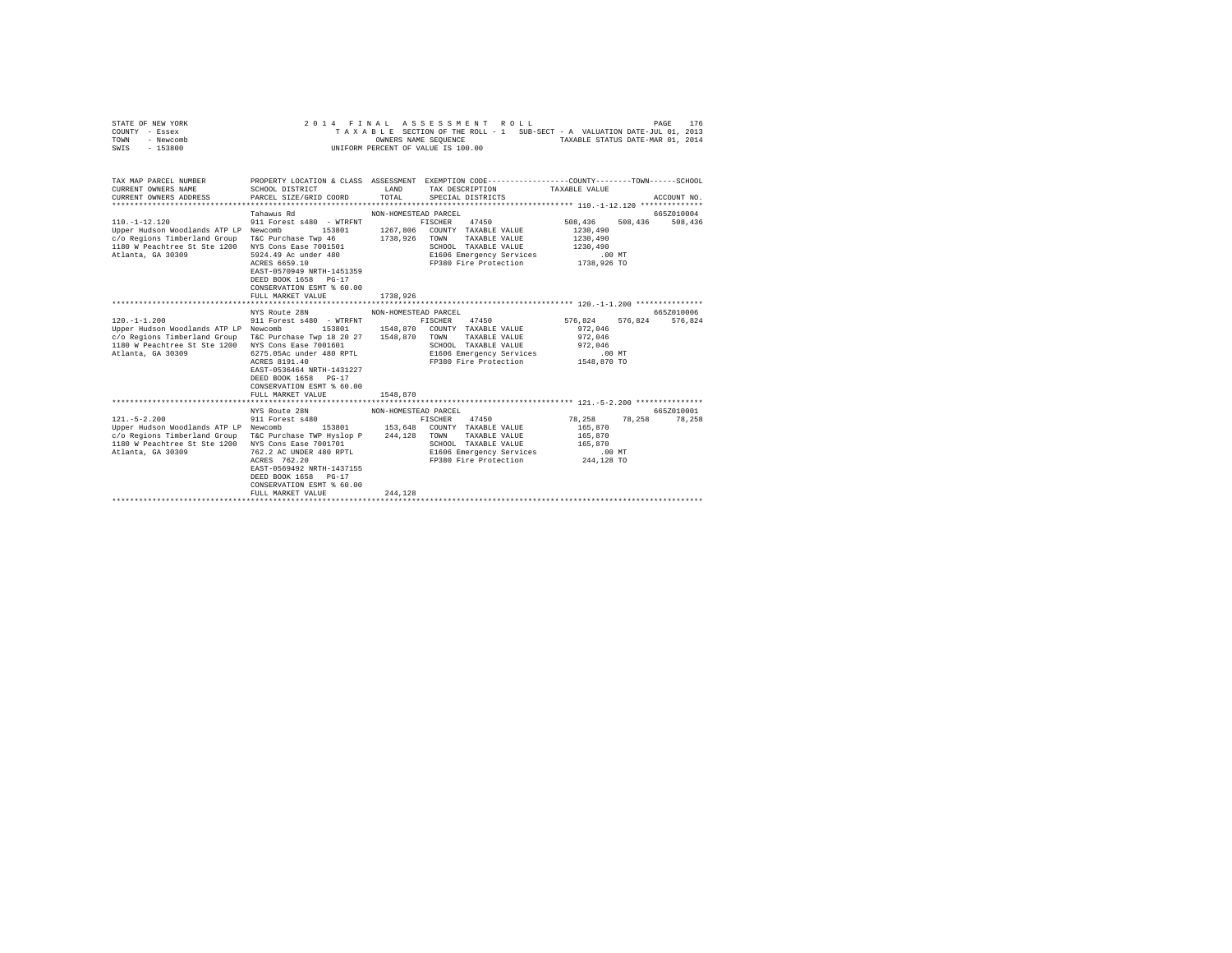|                | STATE OF NEW YORK |  |  |  | 2014 FINAL ASSESSMENT ROLL         |  |  |  |                                                                          | PAGE | 176 |
|----------------|-------------------|--|--|--|------------------------------------|--|--|--|--------------------------------------------------------------------------|------|-----|
| COUNTY - Essex |                   |  |  |  |                                    |  |  |  | TAXABLE SECTION OF THE ROLL - 1 SUB-SECT - A VALUATION DATE-JUL 01, 2013 |      |     |
| TOWN           | - Newcomb         |  |  |  | OWNERS NAME SEOUENCE               |  |  |  | TAXABLE STATUS DATE-MAR 01, 2014                                         |      |     |
| SWIS           | - 153800          |  |  |  | UNIFORM PERCENT OF VALUE IS 100.00 |  |  |  |                                                                          |      |     |

| TAX MAP PARCEL NUMBER<br>CURRENT OWNERS NAME<br>CURRENT OWNERS ADDRESS FARCEL SIZE/GRID COORD TOTAL SPECIAL DISTRICTS                                                                                                                                                | PROPERTY LOCATION & CLASS ASSESSMENT EXEMPTION CODE---------------COUNTY-------TOWN------SCHOOL<br>SCHOOL DISTRICT                                                                     | LAND                             | TAX DESCRIPTION TAXABLE VALUE                                                                      |                         | ACCOUNT NO. |
|----------------------------------------------------------------------------------------------------------------------------------------------------------------------------------------------------------------------------------------------------------------------|----------------------------------------------------------------------------------------------------------------------------------------------------------------------------------------|----------------------------------|----------------------------------------------------------------------------------------------------|-------------------------|-------------|
| $110. -1 - 12.120$<br>Upper Hudson Woodlands ATP LP Newcomb 153801 1267.806 COUNTY TAXABLE VALUE<br>c/o Regions Timberland Group T&C Purchase Twp 46 1738,926 TOWN TAXABLE VALUE 1230,490<br>1180 W Peachtree St Ste 1200 NYS Cons Ease 7001501<br>Atlanta, GA 30309 | Tahawus Rd<br>911 Forest s480 - WTRFNT<br>5924.49 Ac under 480<br>ACRES 6659.10<br>EAST-0570949 NRTH-1451359<br>DEED BOOK 1658 PG-17<br>CONSERVATION ESMT % 60.00<br>FULL MARKET VALUE | NON-HOMESTEAD PARCEL<br>1738,926 | FISCHER 47450 508.436 508.436 508.436<br>SCHOOL TAXABLE VALUE 1230, 490                            | 1230,490                | 665Z010004  |
|                                                                                                                                                                                                                                                                      |                                                                                                                                                                                        |                                  |                                                                                                    |                         |             |
|                                                                                                                                                                                                                                                                      | NYS Route 28N                                                                                                                                                                          | NON-HOMESTEAD PARCEL             |                                                                                                    |                         | 665Z010006  |
| $120. - 1 - 1.200$                                                                                                                                                                                                                                                   | 911 Forest s480 - WTRFNT                                                                                                                                                               |                                  | FISCHER 47450                                                                                      | 576,824 576,824 576,824 |             |
| Upper Hudson Woodlands ATP LP Newcomb 153801 1548,870 COUNTY TAXABLE VALUE<br>c/o Regions Timberland Group T&C Purchase Twp 18 20 27 1548,870 TOWN TAXABLE VALUE                                                                                                     |                                                                                                                                                                                        |                                  |                                                                                                    | 972,046<br>972,046      |             |
|                                                                                                                                                                                                                                                                      |                                                                                                                                                                                        |                                  |                                                                                                    |                         |             |
| 1180 W Peachtree St Ste 1200 NYS Cons Ease 7001601                                                                                                                                                                                                                   |                                                                                                                                                                                        |                                  | SCHOOL TAXABLE VALUE                                                                               | 972,046                 |             |
| Atlanta, GA 30309                                                                                                                                                                                                                                                    | 6275.05Ac under 480 RPTL E1606 Emergency Services .00 MT                                                                                                                               |                                  |                                                                                                    |                         |             |
|                                                                                                                                                                                                                                                                      | ACRES 8191.40<br>EAST-0536464 NRTH-1431227<br>DEED BOOK 1658 PG-17<br>CONSERVATION ESMT % 60.00<br>FULL MARKET VALUE                                                                   | 1548,870                         | FP380 Fire Protection 1548,870 TO                                                                  |                         |             |
|                                                                                                                                                                                                                                                                      |                                                                                                                                                                                        |                                  |                                                                                                    |                         |             |
|                                                                                                                                                                                                                                                                      | NYS Route 28N MON-HOMESTEAD PARCEL                                                                                                                                                     |                                  |                                                                                                    |                         | 6652010001  |
|                                                                                                                                                                                                                                                                      |                                                                                                                                                                                        |                                  |                                                                                                    |                         |             |
| $121. - 5 - 2.200$                                                                                                                                                                                                                                                   | 911 Forest s480                                                                                                                                                                        |                                  | FISCHER 47450 78,258 78,258 78,258                                                                 |                         |             |
| Upper Hudson Woodlands ATP LP Newcomb                                                                                                                                                                                                                                |                                                                                                                                                                                        |                                  | 153801 153,648 COUNTY TAXABLE VALUE 165,870                                                        |                         |             |
| c/o Regions Timberland Group                                                                                                                                                                                                                                         | T&C Purchase TWP Hyslop P 244,128 TOWN                                                                                                                                                 |                                  | TAXABLE VALUE 165,870                                                                              |                         |             |
| 1180 W Peachtree St Ste 1200 NYS Cons Ease 7001701                                                                                                                                                                                                                   |                                                                                                                                                                                        |                                  | SCHOOL TAXABLE VALUE                                                                               | 165,870<br>.00 MT       |             |
| Atlanta, GA 30309                                                                                                                                                                                                                                                    | 762.2 AC UNDER 480 RPTL<br>ACRES 762.20                                                                                                                                                |                                  |                                                                                                    |                         |             |
|                                                                                                                                                                                                                                                                      | ACRES 762.20                                                                                                                                                                           |                                  | SCHOOL TAAADDE WALL-<br>E1606 Emergency Services<br>FB280 Fire Protection<br>FP380 Fire Protection | 244,128 TO              |             |
|                                                                                                                                                                                                                                                                      | EAST-0569492 NRTH-1437155                                                                                                                                                              |                                  |                                                                                                    |                         |             |
|                                                                                                                                                                                                                                                                      | DEED BOOK 1658 PG-17                                                                                                                                                                   |                                  |                                                                                                    |                         |             |
|                                                                                                                                                                                                                                                                      | CONSERVATION ESMT % 60.00                                                                                                                                                              |                                  |                                                                                                    |                         |             |
|                                                                                                                                                                                                                                                                      | FULL MARKET VALUE                                                                                                                                                                      | 244.128                          |                                                                                                    |                         |             |
|                                                                                                                                                                                                                                                                      |                                                                                                                                                                                        |                                  |                                                                                                    |                         |             |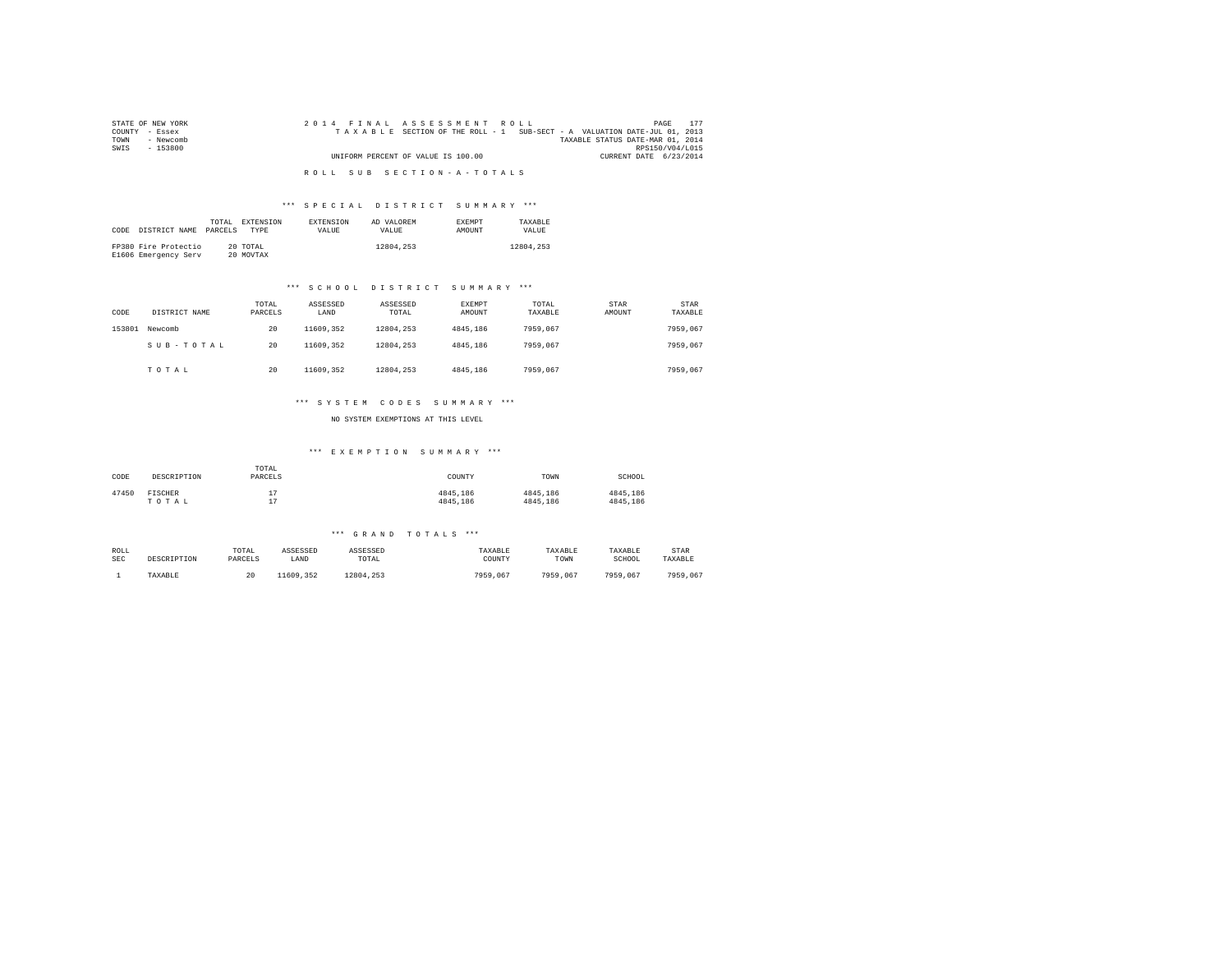| STATE OF NEW YORK | 2014 FINAL ASSESSMENT ROLL                                               | PAGE                             |
|-------------------|--------------------------------------------------------------------------|----------------------------------|
| COUNTY - Essex    | TAXABLE SECTION OF THE ROLL - 1 SUB-SECT - A VALUATION DATE-JUL 01, 2013 |                                  |
| TOWN<br>- Newcomb |                                                                          | TAXABLE STATUS DATE-MAR 01, 2014 |
| SWIS<br>- 153800  |                                                                          | RPS150/V04/L015                  |
|                   | UNIFORM PERCENT OF VALUE IS 100.00                                       | CURRENT DATE 6/23/2014           |
|                   |                                                                          |                                  |
|                   | ROLL SUB SECTION-A-TOTALS                                                |                                  |

# \*\*\* S P E C I A L D I S T R I C T S U M M A R Y \*\*\*

| CODE | DISTRICT NAME                                | TOTAL.<br>PARCELS | EXTENSION<br><b>TYPE</b> | <b>EXTENSION</b><br>VALUE. | AD VALOREM<br>VALUE. | <b>EXEMPT</b><br><b>AMOUNT</b> | TAXARLE<br>VALUE |
|------|----------------------------------------------|-------------------|--------------------------|----------------------------|----------------------|--------------------------------|------------------|
|      | FP380 Fire Protectio<br>E1606 Emergency Serv |                   | 20 TOTAL<br>20 MOVTAX    |                            | 12804.253            |                                | 12804.253        |

# \*\*\* S C H O O L D I S T R I C T S U M M A R Y \*\*\*

| CODE   | DISTRICT NAME | TOTAL<br>PARCELS | ASSESSED<br>LAND | ASSESSED<br>TOTAL | <b>EXEMPT</b><br>AMOUNT | TOTAL<br>TAXABLE | STAR<br>AMOUNT | <b>STAR</b><br>TAXABLE |
|--------|---------------|------------------|------------------|-------------------|-------------------------|------------------|----------------|------------------------|
| 153801 | Newcomb       | 20               | 11609.352        | 12804.253         | 4845.186                | 7959.067         |                | 7959.067               |
|        | SUB-TOTAL     | 20               | 11609.352        | 12804.253         | 4845.186                | 7959.067         |                | 7959.067               |
|        | TOTAL         | 20               | 11609.352        | 12804.253         | 4845.186                | 7959.067         |                | 7959.067               |

# \*\*\* S Y S T E M C O D E S S U M M A R Y \*\*\*

NO SYSTEM EXEMPTIONS AT THIS LEVEL

# \*\*\* E X E M P T I O N S U M M A R Y \*\*\*

| CODE  | DESCRIPTION      | TOTAL<br>PARCELS            | COUNTY               | TOWN                 | SCHOOL               |
|-------|------------------|-----------------------------|----------------------|----------------------|----------------------|
| 47450 | FISCHER<br>TOTAL | 17<br><b>.</b><br>17<br>. . | 4845.186<br>4845.186 | 4845.186<br>4845.186 | 4845.186<br>4845,186 |

#### \*\*\* G R A N D T O T A L S \*\*\*

| ROLL       | DESCRIPTION | TOTAL   | ASSESSED  | ASSESSED  | TAXABLE  | TAXABLE  | TAXABLE  | STAR     |
|------------|-------------|---------|-----------|-----------|----------|----------|----------|----------|
| <b>SEC</b> |             | PARCELS | LAND      | TOTAL     | COUNTY   | TOWN     | SCHOOL   | TAXABLE  |
|            | TAXABLE     | 20      | 11609.352 | 12804.253 | 7959,067 | 7959.067 | 7959.067 | 7959.067 |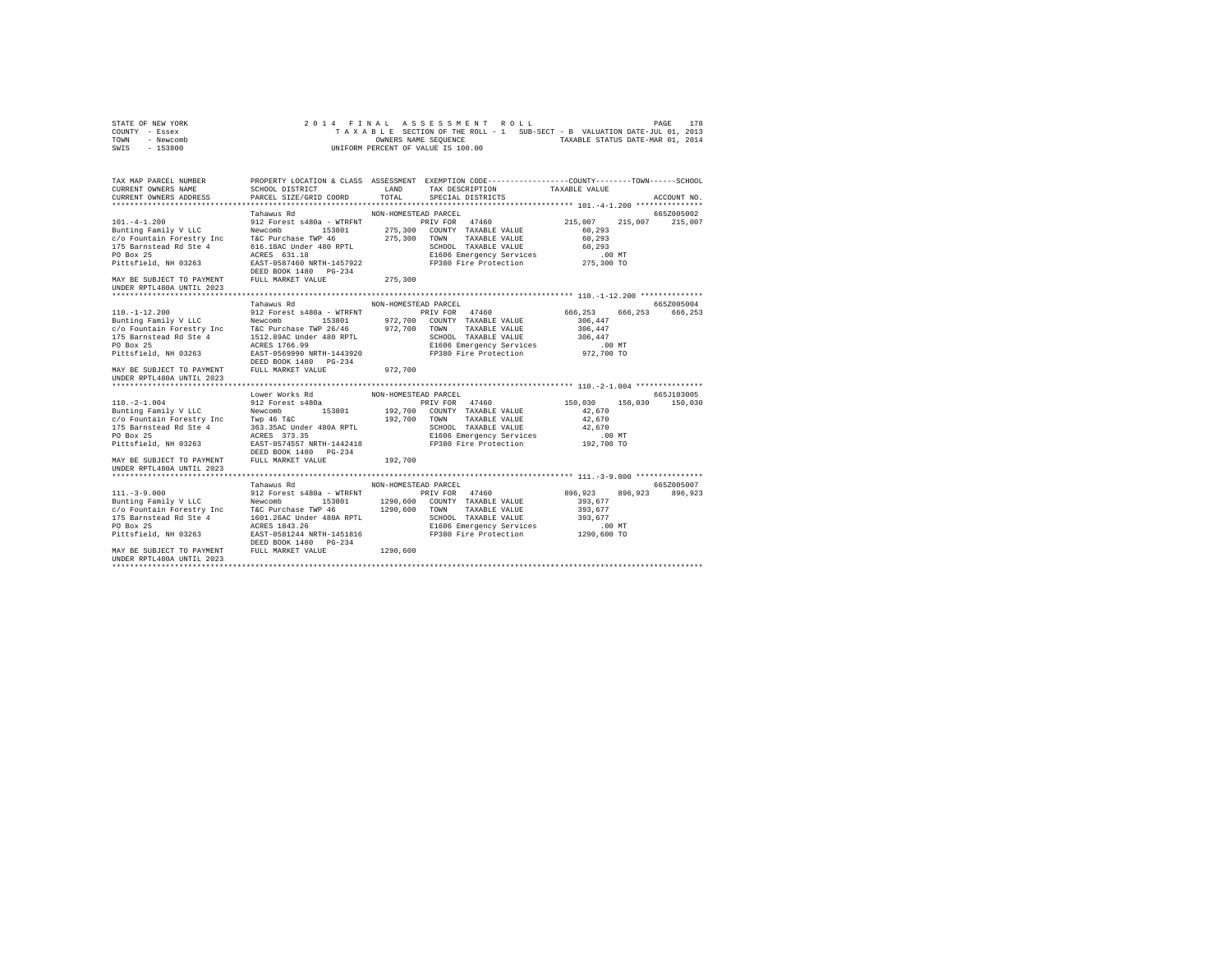|                | STATE OF NEW YORK |                      |  |  |  |  |  |  |  | 2014 FINAL ASSESSMENT ROLL         |  |  |                                                                          |  | PAGE | 178 |
|----------------|-------------------|----------------------|--|--|--|--|--|--|--|------------------------------------|--|--|--------------------------------------------------------------------------|--|------|-----|
| COUNTY - Essex |                   |                      |  |  |  |  |  |  |  |                                    |  |  | TAXABLE SECTION OF THE ROLL - 1 SUB-SECT - B VALUATION DATE-JUL 01, 2013 |  |      |     |
| TOWN           | - Newcomb         | OWNERS NAME SEOUENCE |  |  |  |  |  |  |  | TAXABLE STATUS DATE-MAR 01, 2014   |  |  |                                                                          |  |      |     |
| SWIS           | - 153800          |                      |  |  |  |  |  |  |  | UNIFORM PERCENT OF VALUE IS 100.00 |  |  |                                                                          |  |      |     |

| TAX MAP PARCEL NUMBER<br>CURRENT OWNERS NAME<br>CURRENT OWNERS ADDRESS                                                                                             | SCHOOL DISTRICT LAND<br>PARCEL SIZE/GRID COORD                                         | PROPERTY LOCATION & CLASS ASSESSMENT EXEMPTION CODE----------------COUNTY-------TOWN------SCHOOL<br>TAX DESCRIPTION<br>TOTAL<br>SPECIAL DISTRICTS                                                                                                                                                                                                                                                                                                                                                      | TAXABLE VALUE<br>ACCOUNT NO.                                                            |
|--------------------------------------------------------------------------------------------------------------------------------------------------------------------|----------------------------------------------------------------------------------------|--------------------------------------------------------------------------------------------------------------------------------------------------------------------------------------------------------------------------------------------------------------------------------------------------------------------------------------------------------------------------------------------------------------------------------------------------------------------------------------------------------|-----------------------------------------------------------------------------------------|
|                                                                                                                                                                    |                                                                                        |                                                                                                                                                                                                                                                                                                                                                                                                                                                                                                        |                                                                                         |
| $101. -4 - 1.200$<br>PO Box 25<br>Pittsfield, NH 03263<br>MAY BE SUBJECT TO PAYMENT FULL MARKET VALUE<br>UNDER RPTL480A UNTIL 2023                                 | Tahawus Rd<br>ACRES 631.18<br>EAST-0587460 NRTH-1457922<br>DEED BOOK 1480 PG-234       | NON-HOMESTEAD PARCEL<br>912 Forest s480a - WTRFNT PRIV FOR 47460 215,007 215,007 215,007<br>PULITE TRINUM DE SURFACE SERVICE SURFACE DE PRIVIDUAL SURFACE DE PRIVIDUAL SURFACE DE PRIVIDUAL SURFACE DE PRI<br>2010 FORMER DISPUTE TRINUM DE PRIVIDUAL DE SURFACE DE PRIVIDUALE VALUE<br>175 Barnstead Rd Ste 4 616.18AC Under 4<br>275,300 TOWN TAXABLE VALUE<br>SCHOOL TAXABLE VALUE<br>SCHOOL TAXABLE VALUE 60.293<br>E1606 Emergency Services .00 MT<br>FP380 Fire Protection 275,300 TO<br>275,300 | 665Z005002<br>60,293<br>60,293                                                          |
|                                                                                                                                                                    |                                                                                        |                                                                                                                                                                                                                                                                                                                                                                                                                                                                                                        |                                                                                         |
| MAY BE SUBJECT TO PAYMENT                                                                                                                                          | Tahawus Rd<br>DEED BOOK 1480    PG-234<br>FULL MARKET VALUE                            | NON-HOMESTEAD PARCEL<br>110.-1-12.200<br>Bunting Family V LLC Northern 1000 153801 972,700 TONNY TAXABLE VALUE<br>Bunting Family V LLC Northern TAXABLE TREP 26/46 972,700 TONNY TAXABLE VALUE<br>175 Barnstead Rd Ste 4 1512.89AC Under 480 RPTL<br>175 Barns<br>E1606 Emergency Services .00 MT<br>FP380 Fire Protection  972,700 TO<br>972,700                                                                                                                                                      | 665Z005004<br>666, 253 666, 253 666, 253<br>306,447<br>306,447<br>306,447               |
| UNDER RPTL480A UNTIL 2023                                                                                                                                          |                                                                                        |                                                                                                                                                                                                                                                                                                                                                                                                                                                                                                        |                                                                                         |
|                                                                                                                                                                    | Lower Works Rd MON-HOMESTEAD PARCEL                                                    |                                                                                                                                                                                                                                                                                                                                                                                                                                                                                                        | 665J103005                                                                              |
| $110. -2 - 1.004$<br>Bunting Family V LLC Newcomb<br>PO Box 25<br>Pittsfield, NH 03263<br>MAY BE SUBJECT TO PAYMENT FULL MARKET VALUE<br>UNDER RPTL480A UNTIL 2023 | 912 Forest s480a<br>ACRES 373.35<br>EAST-0574557 NRTH-1442418<br>DEED BOOK 1480 PG-234 | PRIV FOR 47460<br>153801 192,700 COUNTY TAXABLE VALUE<br>E1606 Emergency Services<br>FP380 Fire Protection<br>192,700                                                                                                                                                                                                                                                                                                                                                                                  | 150.030 150.030 150.030<br>42,670<br>42,670<br>42.670<br>.00 MT<br>00 MT.<br>192,700 TO |
|                                                                                                                                                                    |                                                                                        |                                                                                                                                                                                                                                                                                                                                                                                                                                                                                                        |                                                                                         |
| PO Box 25<br>Pittsfield, NH 03263<br>MAY BE SUBJECT TO PAYMENT FULL MARKET VALUE 1290,600                                                                          | Tahawus Rd<br>ACRES 1843.26<br>EAST-0581244 NRTH-1451816<br>DEED BOOK 1480 PG-234      | NON-HOMESTEAD PARCEL<br>$111.-3-9.000$ $111.3-9.000$ $111.3-9.000$ $111.3-9.000$ $111.3-9.000$ $111.3-9.000$ $111.3-9.000$ $111.3-9.000$ $111.3-9.000$ $111.3-9.000$ $111.3-9.000$ $111.3-9.000$ $111.3-9.000$ $111.3-9.000$ $111.3-9.000$ $111.3-9.00$<br>TOWN 18001011 EXAMPLE VALUE<br>SCHOOL TAXABLE VALUE 393,677<br>E1606 Emergency Services .00 MT<br>Distriction 1290,600 TO<br>FP380 Fire Protection                                                                                          | 665Z005007<br>896.923 896.923 896.923<br>393,677<br>393,677                             |
| UNDER RPTL480A UNTIL 2023                                                                                                                                          |                                                                                        |                                                                                                                                                                                                                                                                                                                                                                                                                                                                                                        |                                                                                         |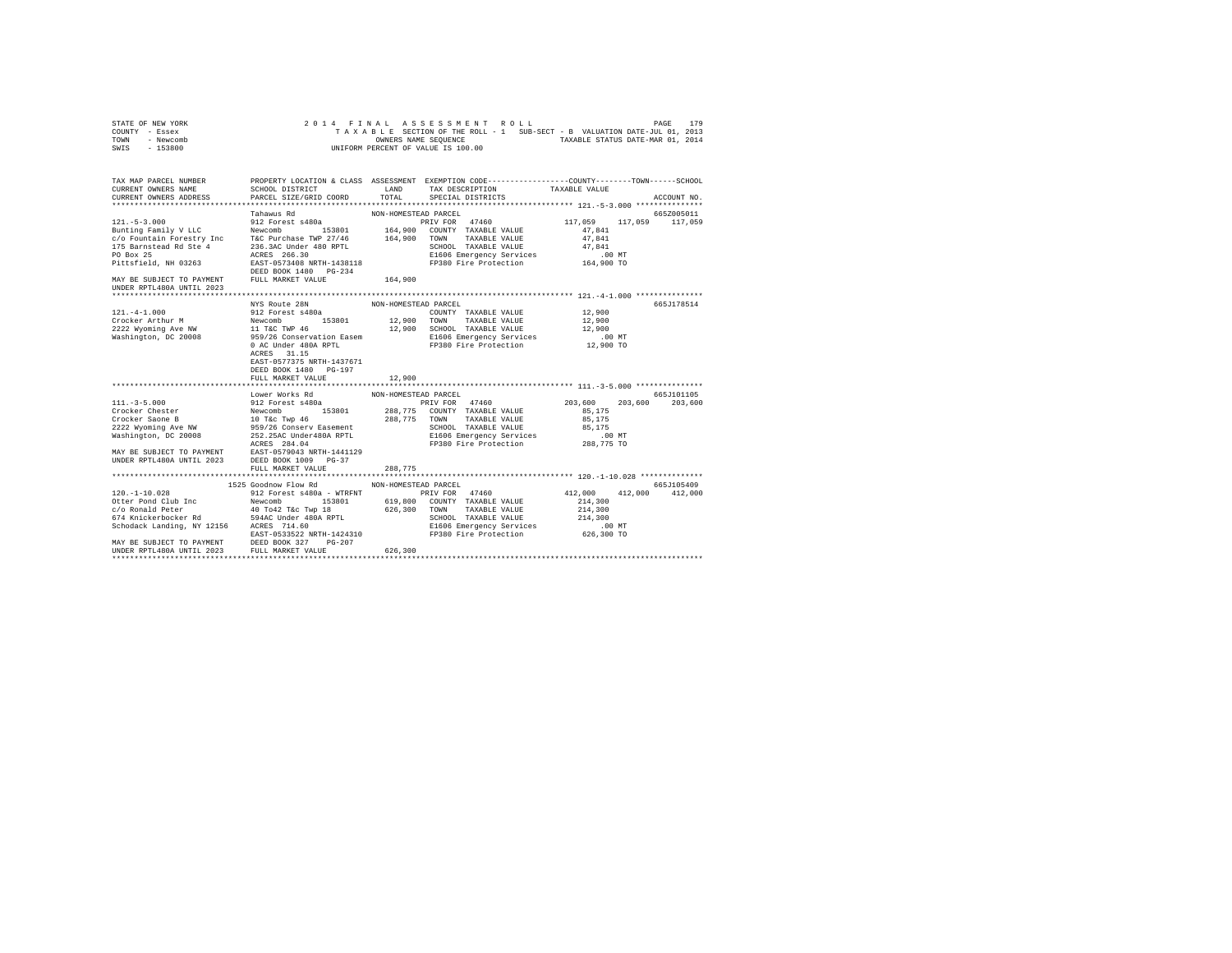| STATE OF NEW YORK |           |  |  |  | 2014 FINAL ASSESSMENT ROLL         |  |  |  |                                                                          | PAGE | 179 |
|-------------------|-----------|--|--|--|------------------------------------|--|--|--|--------------------------------------------------------------------------|------|-----|
| COUNTY - Essex    |           |  |  |  |                                    |  |  |  | TAXABLE SECTION OF THE ROLL - 1 SUB-SECT - B VALUATION DATE-JUL 01, 2013 |      |     |
| TOWN              | - Newcomb |  |  |  | OWNERS NAME SEOUENCE               |  |  |  | TAXABLE STATUS DATE-MAR 01, 2014                                         |      |     |
| SWIS              | - 153800  |  |  |  | UNIFORM PERCENT OF VALUE IS 100.00 |  |  |  |                                                                          |      |     |

|                                                                                                         |                                                                                                                                                                                                                                                                                                  |                                                     |                                                                                                         | ACCOUNT NO.                                                                                                                                                                                                                                                                                                                                                                                                                                                                                                                                                                                                                                                                                                                                                     |
|---------------------------------------------------------------------------------------------------------|--------------------------------------------------------------------------------------------------------------------------------------------------------------------------------------------------------------------------------------------------------------------------------------------------|-----------------------------------------------------|---------------------------------------------------------------------------------------------------------|-----------------------------------------------------------------------------------------------------------------------------------------------------------------------------------------------------------------------------------------------------------------------------------------------------------------------------------------------------------------------------------------------------------------------------------------------------------------------------------------------------------------------------------------------------------------------------------------------------------------------------------------------------------------------------------------------------------------------------------------------------------------|
|                                                                                                         |                                                                                                                                                                                                                                                                                                  |                                                     |                                                                                                         | 665Z005011                                                                                                                                                                                                                                                                                                                                                                                                                                                                                                                                                                                                                                                                                                                                                      |
|                                                                                                         |                                                                                                                                                                                                                                                                                                  |                                                     |                                                                                                         |                                                                                                                                                                                                                                                                                                                                                                                                                                                                                                                                                                                                                                                                                                                                                                 |
| NYS Route 28N<br>ACRES 31.15<br>EAST-0577375 NRTH-1437671<br>DEED BOOK 1480 PG-197<br>FULL MARKET VALUE | 12,900                                                                                                                                                                                                                                                                                           |                                                     |                                                                                                         | 665J178514                                                                                                                                                                                                                                                                                                                                                                                                                                                                                                                                                                                                                                                                                                                                                      |
|                                                                                                         |                                                                                                                                                                                                                                                                                                  |                                                     |                                                                                                         |                                                                                                                                                                                                                                                                                                                                                                                                                                                                                                                                                                                                                                                                                                                                                                 |
|                                                                                                         | 288,775                                                                                                                                                                                                                                                                                          |                                                     |                                                                                                         | 665J101105<br>203,600 203,600                                                                                                                                                                                                                                                                                                                                                                                                                                                                                                                                                                                                                                                                                                                                   |
|                                                                                                         |                                                                                                                                                                                                                                                                                                  |                                                     |                                                                                                         |                                                                                                                                                                                                                                                                                                                                                                                                                                                                                                                                                                                                                                                                                                                                                                 |
|                                                                                                         | 626,300                                                                                                                                                                                                                                                                                          |                                                     |                                                                                                         | 665J105409                                                                                                                                                                                                                                                                                                                                                                                                                                                                                                                                                                                                                                                                                                                                                      |
|                                                                                                         | SCHOOL DISTRICT<br>CURRENT OWNERS ADDRESS PARCEL SIZE/GRID COORD<br>Tahawus Rd<br>Lower Works Rd<br>UNDER RPTL480A UNTIL 2023 DEED BOOK 1009 PG-37<br>FULL MARKET VALUE<br>1525 Goodnow Flow Rd<br>MAY BE SUBJECT TO PAYMENT DEED BOOK 327 PG-207<br>UNDER RPTL480A UNTIL 2023 FULL MARKET VALUE | MAY BE SUBJECT TO PAYMENT FULL MARKET VALUE 464,900 | LAND<br>TOTAL SPECIAL DISTRICTS<br>NON-HOMESTEAD PARCEL<br>NON-HOMESTEAD PARCEL<br>NON-HOMESTEAD PARCEL | PROPERTY LOCATION & CLASS ASSESSMENT EXEMPTION CODE----------------COUNTY-------TOWN------SCHOOL<br>TAX DESCRIPTION TAXABLE VALUE<br>SPECIAL DISTRICTS<br>PRIV FOR 47460 117,059 117,059 117,059<br>$\begin{tabular}{l cccc} 121.-4-1.000 & NYS\hspace{0.05cm} NUS\hspace{0.05cm} KOLte\hspace{0.05cm} {\it 288} & 121.7\hspace{0.05cm} {\it 298} & 12.900 & 12.900 & 12.900 & 12.900 & 12.900 & 12.900 & 12.900 & 12.900 & 12.900 & 12.900 & 12.900 & 12.900 & 12.900 & 12.900 & 12.900 & 12.900 &$<br>203,600<br>85,175<br>111.-3-5.000<br>111.-3-5.000<br>Crocker Chester PRIV FOR 203,600<br>Crocker Chester PRIV FOR 203,000<br>Crocker Saone B Newcomb 153801 288,775 COUNTY TAXABLE VALUE 85,175<br>Crocker Saone B 10 Tác Twp 46 288,775 COUNTY TAXABLE |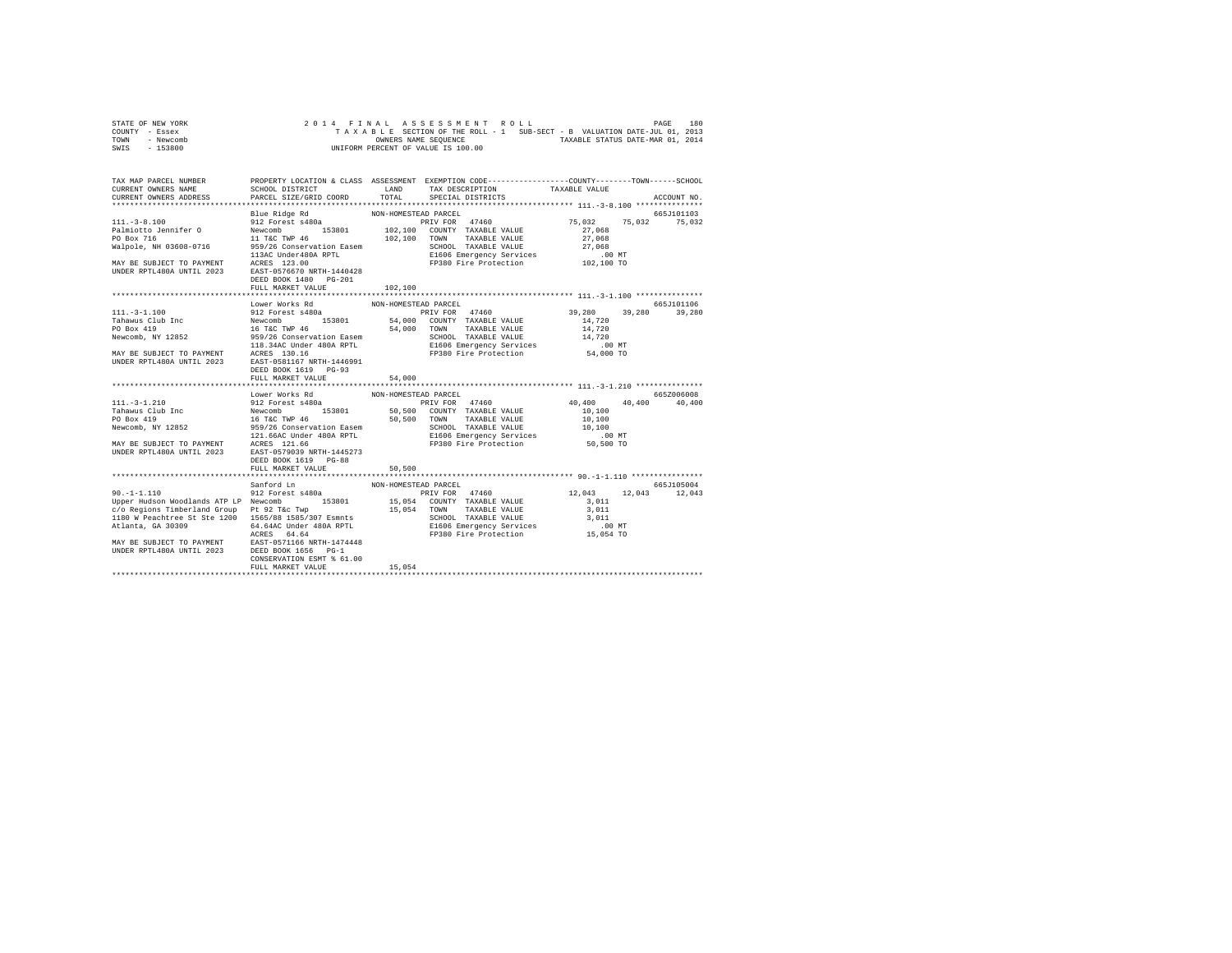|                | STATE OF NEW YORK |  |  |  | 2014 FINAL ASSESSMENT ROLL         |  |  |                                                                          |                                  | PAGE | 180 |
|----------------|-------------------|--|--|--|------------------------------------|--|--|--------------------------------------------------------------------------|----------------------------------|------|-----|
| COUNTY - Essex |                   |  |  |  |                                    |  |  | TAXABLE SECTION OF THE ROLL - 1 SUB-SECT - B VALUATION DATE-JUL 01, 2013 |                                  |      |     |
| TOWN           | - Newcomb         |  |  |  | OWNERS NAME SEOUENCE               |  |  |                                                                          | TAXABLE STATUS DATE-MAR 01, 2014 |      |     |
| SWIS           | $-153800$         |  |  |  | UNIFORM PERCENT OF VALUE IS 100.00 |  |  |                                                                          |                                  |      |     |

| TAX MAP PARCEL NUMBER<br>CURRENT OWNERS NAME<br>CURRENT OWNERS ADDRESS                                                                                                                                                                                                                                                                                                                                                                                       | SCHOOL DISTRICT<br>PARCEL SIZE/GRID COORD                                     | LAND<br>TOTAL                                          | PROPERTY LOCATION & CLASS ASSESSMENT EXEMPTION CODE----------------COUNTY-------TOWN-----SCHOOL<br>TAX DESCRIPTION<br>SPECIAL DISTRICTS | TAXABLE VALUE        | ACCOUNT NO.                                         |
|--------------------------------------------------------------------------------------------------------------------------------------------------------------------------------------------------------------------------------------------------------------------------------------------------------------------------------------------------------------------------------------------------------------------------------------------------------------|-------------------------------------------------------------------------------|--------------------------------------------------------|-----------------------------------------------------------------------------------------------------------------------------------------|----------------------|-----------------------------------------------------|
|                                                                                                                                                                                                                                                                                                                                                                                                                                                              |                                                                               |                                                        |                                                                                                                                         |                      |                                                     |
| MAY BE SUBJECT TO PAYMENT<br>MORER RPTL480A UNTIL 2023<br>DEED BOOK 1480 PG-201                                                                                                                                                                                                                                                                                                                                                                              | FULL MARKET VALUE                                                             | 102,100                                                |                                                                                                                                         |                      |                                                     |
|                                                                                                                                                                                                                                                                                                                                                                                                                                                              |                                                                               |                                                        |                                                                                                                                         |                      |                                                     |
|                                                                                                                                                                                                                                                                                                                                                                                                                                                              | Lower Works Rd<br>DEED BOOK 1619 PG-93<br>FULL MARKET VALUE<br>Lower Works Rd | NON-HOMESTEAD PARCEL<br>54,000<br>NON-HOMESTEAD PARCEL | PRIV FOR 47460                                                                                                                          | 40,400 40,400        | 665J101106<br>39,280 39,280<br>665Z006008<br>40,400 |
|                                                                                                                                                                                                                                                                                                                                                                                                                                                              | DEED BOOK 1619 PG-88<br>FULL MARKET VALUE                                     | 50,500                                                 |                                                                                                                                         |                      |                                                     |
|                                                                                                                                                                                                                                                                                                                                                                                                                                                              |                                                                               |                                                        |                                                                                                                                         |                      |                                                     |
| $90. - 1 - 1.110$<br>90.-1-1.110<br>Upper Hudson Woodlands ATP LP Newcomb 153801 15,054 COUNTY TAXABLE VALUE 3,011<br>c/o Regions Timberland Group Pt 92 T&c Twp 15,054 TOWN TAXABLE VALUE 3,011<br>1180 W Peachtree St Ste 1200 1565/88 1585/307 Esmnts<br>4.64AC Under 480A RPTL<br>MAY BE SUBJECT TO PAYMENT<br>MAY BE SUBJECT TO PAYMENT<br>ERST-0571166 NRTH-1474448<br>UNDER RPTL480A UNTIL 2023<br>DEED BOOK 1655 PDC-1400<br>$\frac{15,054}{15,054}$ | Sanford Ln<br>912 Forest s480a<br>CONSERVATION ESMT % 61.00                   | NON-HOMESTEAD PARCEL                                   | PRIV FOR 47460<br>E1606 Emergency Services 6.00 MT<br>FP380 Fire Protection 15,054 TO                                                   | 12,043 12,043 12,043 | 665J105004                                          |
|                                                                                                                                                                                                                                                                                                                                                                                                                                                              |                                                                               |                                                        |                                                                                                                                         |                      |                                                     |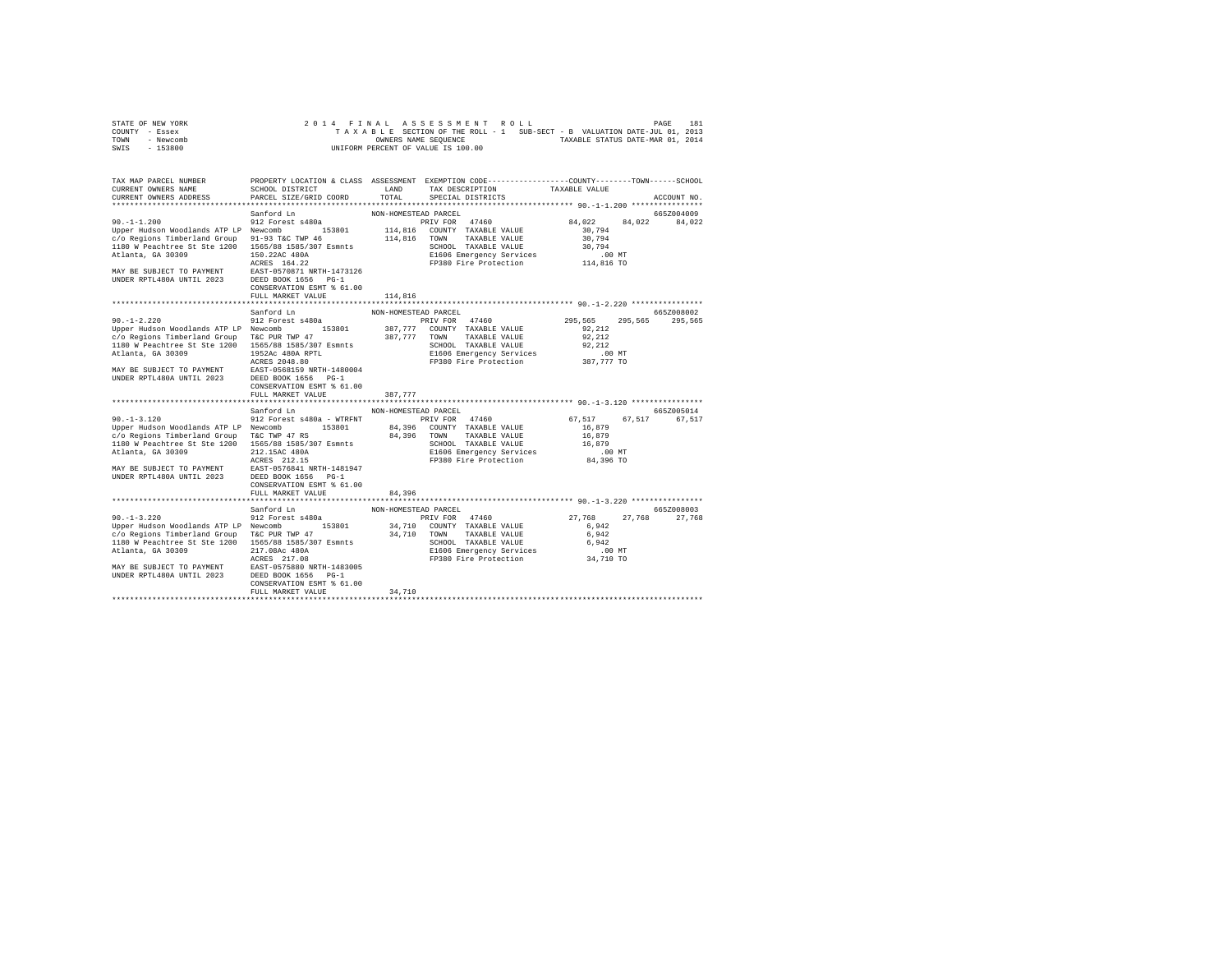| STATE OF NEW YORK | 2014 FINAL ASSESSMENT ROLL                                               | 181<br>PAGE                      |
|-------------------|--------------------------------------------------------------------------|----------------------------------|
| COUNTY - Essex    | TAXABLE SECTION OF THE ROLL - 1 SUB-SECT - B VALUATION DATE-JUL 01, 2013 |                                  |
| TOWN<br>- Newcomb | OWNERS NAME SEOUENCE                                                     | TAXABLE STATUS DATE-MAR 01, 2014 |
| $-153800$<br>SWIS | UNIFORM PERCENT OF VALUE IS 100.00                                       |                                  |

| TAX MAP PARCEL NUMBER<br>CURRENT OWNERS NAME<br>CURRENT OWNERS ADDRESS                                                                                                                                                                                                             | SCHOOL DISTRICT<br>PARCEL SIZE/GRID COORD                                                                                                                                                                 | PROPERTY LOCATION & CLASS ASSESSMENT EXEMPTION CODE----------------COUNTY-------TOWN------SCHOOL<br>LAND<br>TAX DESCRIPTION<br>TOTAL.<br>SPECIAL DISTRICTS                                         | TAXABLE VALUE<br>ACCOUNT NO.                                                                        |
|------------------------------------------------------------------------------------------------------------------------------------------------------------------------------------------------------------------------------------------------------------------------------------|-----------------------------------------------------------------------------------------------------------------------------------------------------------------------------------------------------------|----------------------------------------------------------------------------------------------------------------------------------------------------------------------------------------------------|-----------------------------------------------------------------------------------------------------|
| $90. -1 - 1.200$<br>Upper Hudson Woodlands ATP LP Newcomb<br>c/o Regions Timberland Group<br>1180 W Peachtree St Ste 1200 1565/88 1585/307 Esmnts<br>Atlanta, GA 30309<br>MAY BE SUBJECT TO PAYMENT<br>UNDER RPTL480A UNTIL 2023                                                   | Sanford Ln<br>912 Forest s480a<br>153801<br>91-93 T&C TWP 46<br>150.22AC 480A<br>ACRES 164.22<br>EAST-0570871 NRTH-1473126<br>DEED BOOK 1656 PG-1<br>CONSERVATION ESMT % 61.00<br>FULL MARKET VALUE       | NON-HOMESTEAD PARCEL<br>PRIV FOR 47460<br>114,816 COUNTY TAXABLE VALUE<br>114,816<br>TAXABLE VALUE<br>TOWN<br>SCHOOL TAXABLE VALUE<br>E1606 Emergency Services<br>FP380 Fire Protection<br>114,816 | 665Z004009<br>84,022<br>84,022<br>84,022<br>30.794<br>30.794<br>30.794<br>$.00$ MT<br>114,816 TO    |
| $90. -1 - 2.220$<br>Upper Hudson Woodlands ATP LP Newcomb 153801<br>c/o Regions Timberland Group<br>1180 W Peachtree St Ste 1200 1565/88 1585/307 Esmnts<br>Atlanta, GA 30309<br>MAY BE SUBJECT TO PAYMENT EAST-0568159 NRTH-1480<br>UNDER RPTL480A UNTIL 2023 DEED BOOK 1656 PG-1 | Sanford Ln<br>912 Forest s480a<br>T&C PUR TWP 47<br>1952Ac 480A RPTL<br>ACRES 2048.80<br>EAST-0568159 NRTH-1480004<br>CONSERVATION ESMT % 61.00<br>FULL MARKET VALUE                                      | NON-HOMESTEAD PARCEL<br>PRIV FOR 47460<br>387,777 COUNTY TAXABLE VALUE<br>387.777 TOWN<br>TAXABLE VALUE<br>SCHOOL TAXABLE VALUE<br>E1606 Emergency Services<br>FP380 Fire Protection<br>387.777    | 665Z008002<br>295,565<br>295,565<br>295,565<br>92.212<br>92.212<br>92.212<br>$.00$ MT<br>387,777 TO |
| $90. -1 - 3.120$<br>Upper Hudson Woodlands ATP LP Newcomb<br>c/o Regions Timberland Group<br>1180 W Peachtree St Ste 1200 1565/88 1585/307 Esmnts<br>Atlanta, GA 30309<br>MAY BE SUBJECT TO PAYMENT<br>- 1000 UNITI 2023                                                           | Sanford Ln<br>912 Forest s480a - WTRFNT<br>153801<br>T&C TWP 47 RS<br>212.15AC 480A<br>ACRES 212.15<br>EAST-0576841 NRTH-1481947<br>DEED BOOK 1656 PG-1<br>CONSERVATION ESMT % 61.00<br>FULL MARKET VALUE | NON-HOMESTEAD PARCEL<br>PRIV FOR 47460<br>84,396 COUNTY TAXABLE VALUE<br>84,396 TOWN<br>TAXABLE VALUE<br>SCHOOL TAXABLE VALUE<br>E1606 Emergency Services<br>FP380 Fire Protection<br>84,396       | 665Z005014<br>67,517<br>67.517<br>67,517<br>16,879<br>16,879<br>16,879<br>$.00$ MT<br>84,396 TO     |
| $90. -1 - 3.220$<br>Upper Hudson Woodlands ATP LP Newcomb<br>c/o Regions Timberland Group T&C PUR TWP 47<br>1180 W Peachtree St Ste 1200 1565/88 1585/307 Esmnts<br>Atlanta, GA 30309<br>MAY BE SUBJECT TO PAYMENT EAST-0575880 NRTH-1483005<br>UNDER RPTL480A UNTIL 2023          | Sanford Ln<br>912 Forest s480a<br>153801<br>217.08Ac 480A<br>ACRES 217.08<br>DEED BOOK 1656 PG-1<br>CONSERVATION ESMT % 61.00<br>FULL MARKET VALUE                                                        | NON-HOMESTEAD PARCEL<br>PRIV FOR 47460<br>34,710 COUNTY TAXABLE VALUE<br>34.710 TOWN<br>TAXABLE VALUE<br>SCHOOL TAXABLE VALUE<br>E1606 Emergency Services<br>FP380 Fire Protection<br>34,710       | 665Z008003<br>27,768<br>27,768<br>27.768<br>6.942<br>6.942<br>6.942<br>.00MT<br>34,710 TO           |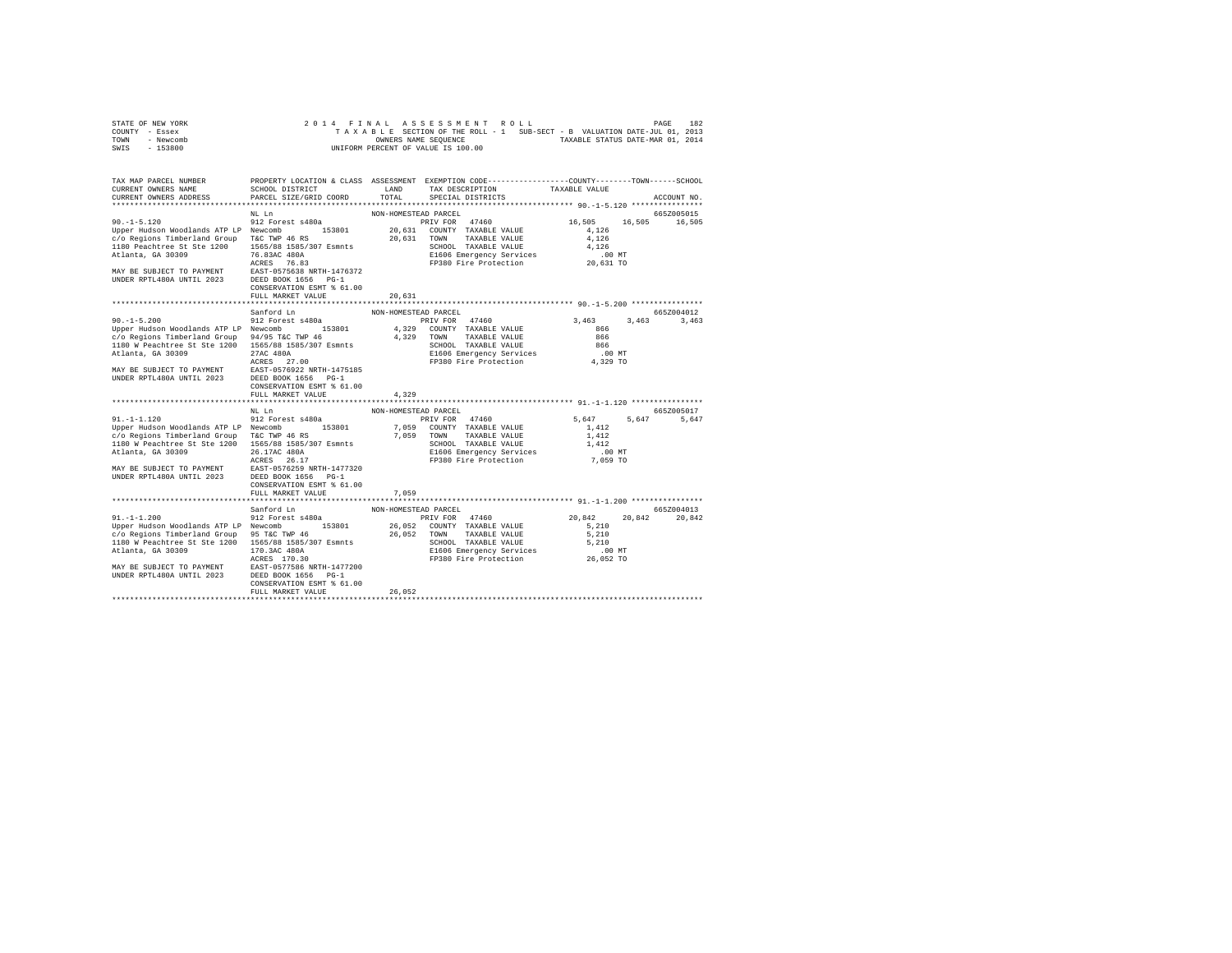| STATE OF NEW YORK | 2014 FINAL ASSESSMENT ROLL                                               | 182<br>PAGE                      |
|-------------------|--------------------------------------------------------------------------|----------------------------------|
| COUNTY - Essex    | TAXABLE SECTION OF THE ROLL - 1 SUB-SECT - B VALUATION DATE-JUL 01, 2013 |                                  |
| TOWN<br>- Newcomb | OWNERS NAME SEOUENCE                                                     | TAXABLE STATUS DATE-MAR 01, 2014 |
| $-153800$<br>SWIS | UNIFORM PERCENT OF VALUE IS 100.00                                       |                                  |

| TAX MAP PARCEL NUMBER<br>CURRENT OWNERS NAME<br>CURRENT OWNERS ADDRESS                                                                                                                                                                          | SCHOOL DISTRICT<br>PARCEL SIZE/GRID COORD                                                                                                                                                                            | LAND<br>TOTAL                               | PROPERTY LOCATION & CLASS ASSESSMENT EXEMPTION CODE----------------COUNTY-------TOWN------SCHOOL<br>TAX DESCRIPTION<br>SPECIAL DISTRICTS            | TAXABLE VALUE                                                      | ACCOUNT NO.                  |
|-------------------------------------------------------------------------------------------------------------------------------------------------------------------------------------------------------------------------------------------------|----------------------------------------------------------------------------------------------------------------------------------------------------------------------------------------------------------------------|---------------------------------------------|-----------------------------------------------------------------------------------------------------------------------------------------------------|--------------------------------------------------------------------|------------------------------|
|                                                                                                                                                                                                                                                 |                                                                                                                                                                                                                      |                                             |                                                                                                                                                     |                                                                    |                              |
| $90. -1 - 5.120$<br>Upper Hudson Woodlands ATP LP Newcomb<br>c/o Regions Timberland Group<br>1180 Peachtree St Ste 1200<br>Atlanta, GA 30309<br>MAY BE SUBJECT TO PAYMENT<br>UNDER RPTL480A UNTIL 2023                                          | NL Ln<br>912 Forest s480a<br>153801<br>T&C TWP 46 RS<br>1565/88 1585/307 Esmnts<br>76.83AC 480A<br>ACRES 76.83<br>EAST-0575638 NRTH-1476372<br>DEED BOOK 1656 PG-1<br>CONSERVATION ESMT % 61.00<br>FULL MARKET VALUE | NON-HOMESTEAD PARCEL<br>20,631<br>20,631    | PRIV FOR 47460<br>20,631 COUNTY TAXABLE VALUE<br>TOWN<br>TAXABLE VALUE<br>SCHOOL TAXABLE VALUE<br>E1606 Emergency Services<br>FP380 Fire Protection | 16,505<br>16,505<br>4.126<br>4,126<br>4.126<br>.00 MT<br>20,631 TO | 665Z005015<br>16,505         |
|                                                                                                                                                                                                                                                 | Sanford Ln                                                                                                                                                                                                           | NON-HOMESTEAD PARCEL                        |                                                                                                                                                     |                                                                    | 6657004012                   |
| $90. -1 - 5.200$<br>Upper Hudson Woodlands ATP LP Newcomb<br>c/o Regions Timberland Group<br>1180 W Peachtree St Ste 1200 1565/88 1585/307 Esmnts<br>Atlanta, GA 30309<br>MAY BE SUBJECT TO PAYMENT<br>- ---- 4008 UNTIL 2023                   | 912 Forest s480a<br>153801<br>94/95 T&C TWP 46<br>27AC 480A<br>ACRES 27.00<br>EAST-0576922 NRTH-1475185<br>DEED BOOK 1656 PG-1<br>CONSERVATION ESMT % 61.00<br>FULL MARKET VALUE                                     | 4.329 TOWN<br>4.329                         | PRIV FOR 47460<br>4.329 COUNTY TAXABLE VALUE<br>TAXABLE VALUE<br>SCHOOL TAXABLE VALUE<br>E1606 Emergency Services<br>FP380 Fire Protection          | 3,463<br>866<br>866<br>866<br>$.00$ MT<br>4,329 TO                 | 3.463<br>3,463               |
|                                                                                                                                                                                                                                                 |                                                                                                                                                                                                                      |                                             |                                                                                                                                                     |                                                                    |                              |
| $91. - 1 - 1.120$<br>Upper Hudson Woodlands ATP LP Newcomb<br>c/o Regions Timberland Group T&C TWP 46 RS<br>1180 W Peachtree St Ste 1200 1565/88 1585/307 Esmnts<br>Atlanta, GA 30309<br>MAY BE SUBJECT TO PAYMENT<br>UNDER RPTL480A UNTIL 2023 | NL Ln<br>912 Forest s480a<br>153801<br>26.17AC 480A<br>ACRES 26.17<br>EAST-0576259 NRTH-1477320<br>DEED BOOK 1656 PG-1<br>CONSERVATION ESMT % 61.00                                                                  | NON-HOMESTEAD PARCEL<br>7.059<br>7.059 TOWN | PRIV FOR 47460<br>COUNTY TAXABLE VALUE<br>TAXABLE VALUE<br>SCHOOL TAXABLE VALUE<br>E1606 Emergency Services<br>FP380 Fire Protection                | 5,647<br>1,412<br>1,412<br>1,412<br>$.00$ MT<br>7,059 TO           | 665Z005017<br>5,647<br>5,647 |
|                                                                                                                                                                                                                                                 | FULL MARKET VALUE                                                                                                                                                                                                    | 7,059                                       |                                                                                                                                                     |                                                                    |                              |
| $91. - 1 - 1.200$<br>Upper Hudson Woodlands ATP LP Newcomb                                                                                                                                                                                      | Sanford Ln<br>912 Forest s480a<br>153801                                                                                                                                                                             | NON-HOMESTEAD PARCEL                        | PRIV FOR 47460<br>26,052 COUNTY TAXABLE VALUE                                                                                                       | 20,842<br>20,842<br>5,210                                          | 665Z004013<br>20,842         |
| c/o Regions Timberland Group 95 T&C TWP 46<br>1180 W Peachtree St Ste 1200 1565/88 1585/307 Esmnts<br>Atlanta, GA 30309<br>MAY BE SUBJECT TO PAYMENT<br>UNDER RPTL480A UNTIL 2023                                                               | 170.3AC 480A<br>ACRES 170.30<br>EAST-0577586 NRTH-1477200<br>DEED BOOK 1656 PG-1<br>CONSERVATION ESMT % 61.00<br>FULL MARKET VALUE                                                                                   | 26,052                                      | 26.052 TOWN<br>TAXABLE VALUE<br>SCHOOL TAXABLE VALUE<br>E1606 Emergency Services<br>FP380 Fire Protection                                           | 5,210<br>5,210<br>.00 MT<br>26,052 TO                              |                              |
|                                                                                                                                                                                                                                                 |                                                                                                                                                                                                                      |                                             |                                                                                                                                                     |                                                                    |                              |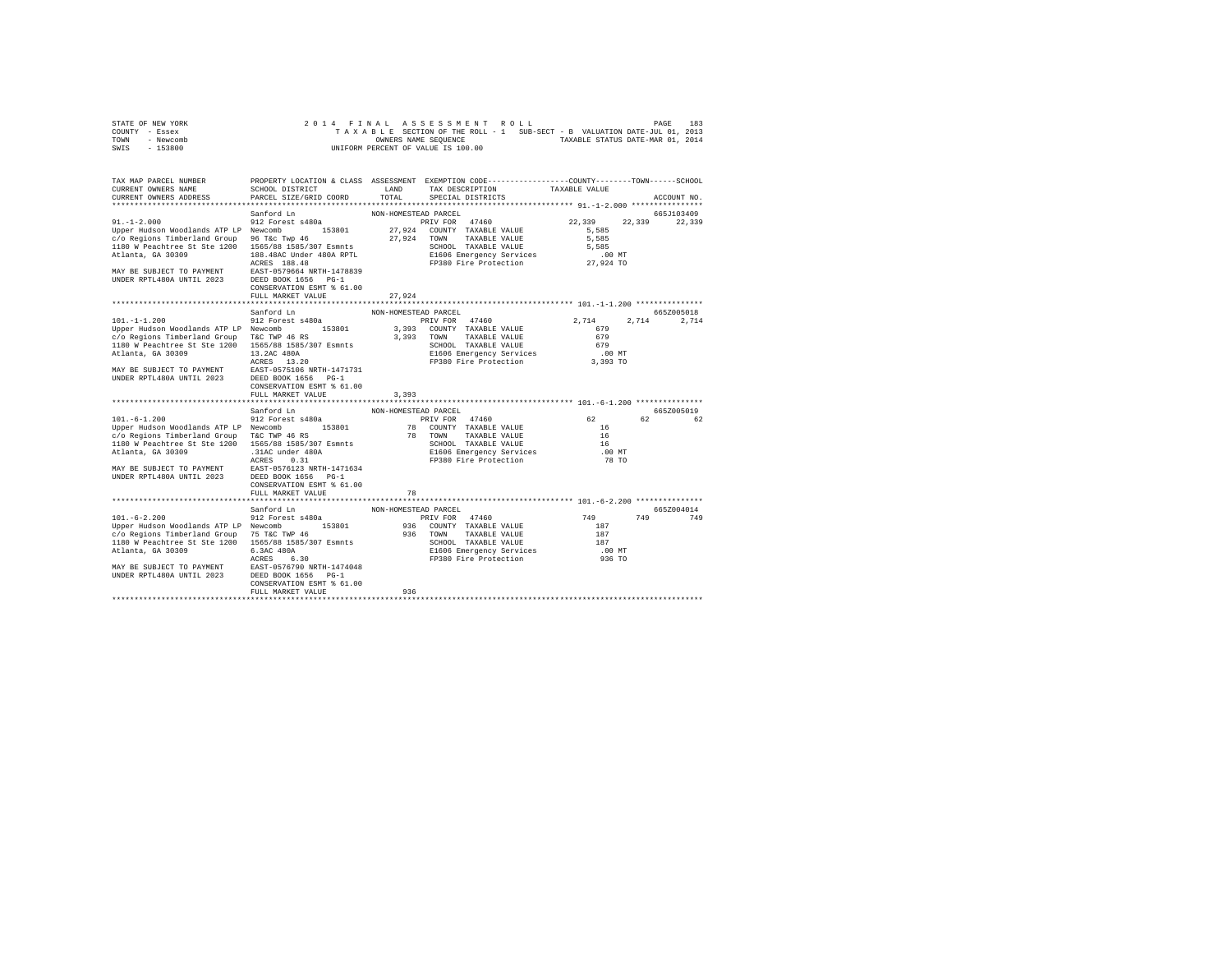| STATE OF NEW YORK | 2014 FINAL ASSESSMENT ROLL                                               | 183<br>PAGE                      |
|-------------------|--------------------------------------------------------------------------|----------------------------------|
| COUNTY - Essex    | TAXABLE SECTION OF THE ROLL - 1 SUB-SECT - B VALUATION DATE-JUL 01, 2013 |                                  |
| TOWN<br>- Newcomb | OWNERS NAME SEOUENCE                                                     | TAXABLE STATUS DATE-MAR 01, 2014 |
| $-153800$<br>SWIS | UNIFORM PERCENT OF VALUE IS 100.00                                       |                                  |

| TAX MAP PARCEL NUMBER<br>CURRENT OWNERS NAME<br>CURRENT OWNERS ADDRESS                                                                                                                                                                           | SCHOOL DISTRICT<br>PARCEL SIZE/GRID COORD                                                                                                                                                                   | LAND<br>TOTAL                                      | PROPERTY LOCATION & CLASS ASSESSMENT EXEMPTION CODE----------------COUNTY-------TOWN------SCHOOL<br>TAX DESCRIPTION<br>SPECIAL DISTRICTS             | TAXABLE VALUE                                                      | ACCOUNT NO.            |
|--------------------------------------------------------------------------------------------------------------------------------------------------------------------------------------------------------------------------------------------------|-------------------------------------------------------------------------------------------------------------------------------------------------------------------------------------------------------------|----------------------------------------------------|------------------------------------------------------------------------------------------------------------------------------------------------------|--------------------------------------------------------------------|------------------------|
|                                                                                                                                                                                                                                                  |                                                                                                                                                                                                             |                                                    |                                                                                                                                                      |                                                                    |                        |
| $91. - 1 - 2.000$<br>Upper Hudson Woodlands ATP LP Newcomb<br>c/o Regions Timberland Group<br>1180 W Peachtree St Ste 1200 1565/88 1585/307 Esmnts<br>Atlanta, GA 30309<br>MAY BE SUBJECT TO PAYMENT<br>UNDER RPTL480A UNTIL 2023                | Sanford Ln<br>912 Forest s480a<br>153801<br>96 T&c Twp 46<br>188.48AC Under 480A RPTL<br>ACRES 188.48<br>EAST-0579664 NRTH-1478839<br>DEED BOOK 1656 PG-1<br>CONSERVATION ESMT % 61.00<br>FULL MARKET VALUE | NON-HOMESTEAD PARCEL<br>27.924<br>27,924<br>27.924 | PRIV FOR 47460<br>COUNTY TAXABLE VALUE<br>TOWN<br>TAXABLE VALUE<br>SCHOOL TAXABLE VALUE<br>E1606 Emergency Services<br>FP380 Fire Protection         | 22,339<br>22,339<br>5.585<br>5,585<br>5,585<br>.00 MT<br>27.924 TO | 665J103409<br>22,339   |
|                                                                                                                                                                                                                                                  | Sanford Ln                                                                                                                                                                                                  | NON-HOMESTEAD PARCEL                               |                                                                                                                                                      |                                                                    | 6657005018             |
| $101. - 1 - 1.200$<br>Upper Hudson Woodlands ATP LP Newcomb<br>c/o Regions Timberland Group<br>1180 W Peachtree St Ste 1200 1565/88 1585/307 Esmnts<br>Atlanta, GA 30309<br>MAY BE SUBJECT TO PAYMENT<br>UNDER RPTL480A UNTIL 2023               | 912 Forest s480a<br>153801<br>T&C TWP 46 RS<br>13.2AC 480A<br>ACRES 13.20<br>EAST-0575106 NRTH-1471731<br>DEED BOOK 1656 PG-1<br>CONSERVATION ESMT % 61.00<br>FULL MARKET VALUE                             | 3,393<br>3,393                                     | PRIV FOR 47460<br>3,393 COUNTY TAXABLE VALUE<br>TOWN<br>TAXABLE VALUE<br>SCHOOL TAXABLE VALUE<br>E1606 Emergency Services<br>FP380 Fire Protection   | 2.714<br>679<br>679<br>679<br>$.00$ MT<br>3,393 TO                 | 2.714<br>2.714         |
|                                                                                                                                                                                                                                                  |                                                                                                                                                                                                             |                                                    |                                                                                                                                                      |                                                                    |                        |
| $101. - 6 - 1.200$<br>Upper Hudson Woodlands ATP LP Newcomb<br>c/o Regions Timberland Group T&C TWP 46 RS<br>1180 W Peachtree St Ste 1200 1565/88 1585/307 Esmnts<br>Atlanta, GA 30309<br>MAY BE SUBJECT TO PAYMENT<br>UNDER RPTL480A UNTIL 2023 | Sanford Ln<br>912 Forest s480a<br>153801<br>.31AC under 480A<br>ACRES<br>0.31<br>EAST-0576123 NRTH-1471634<br>DEED BOOK 1656 PG-1<br>CONSERVATION ESMT % 61.00<br>FULL MARKET VALUE                         | NON-HOMESTEAD PARCEL<br>78                         | PRIV FOR 47460<br>78 COUNTY TAXABLE VALUE<br>78 TOWN<br>TAXABLE VALUE<br>SCHOOL TAXABLE VALUE<br>E1606 Emergency Services<br>FP380 Fire Protection   | 62<br>16<br>16<br>16<br>$.00$ MT<br>78 TO                          | 665Z005019<br>62<br>62 |
|                                                                                                                                                                                                                                                  | Sanford Ln                                                                                                                                                                                                  | NON-HOMESTEAD PARCEL                               |                                                                                                                                                      |                                                                    | 665Z004014             |
| $101. - 6 - 2.200$<br>Upper Hudson Woodlands ATP LP Newcomb<br>c/o Regions Timberland Group 75 T&C TWP 46<br>1180 W Peachtree St Ste 1200 1565/88 1585/307 Esmnts<br>Atlanta, GA 30309<br>MAY BE SUBJECT TO PAYMENT<br>UNDER RPTL480A UNTIL 2023 | 912 Forest s480a<br>153801<br>6.3AC 480A<br>ACRES<br>6.30<br>EAST-0576790 NRTH-1474048<br>DEED BOOK 1656 PG-1<br>CONSERVATION ESMT % 61.00<br>FULL MARKET VALUE                                             | 936                                                | PRIV FOR 47460<br>936 COUNTY TAXABLE VALUE<br>936 TOWN<br>TAXABLE VALUE<br>SCHOOL TAXABLE VALUE<br>E1606 Emergency Services<br>FP380 Fire Protection | 749<br>749<br>187<br>187<br>187<br>.00 MT<br>936 TO                | 749                    |
|                                                                                                                                                                                                                                                  |                                                                                                                                                                                                             |                                                    |                                                                                                                                                      |                                                                    |                        |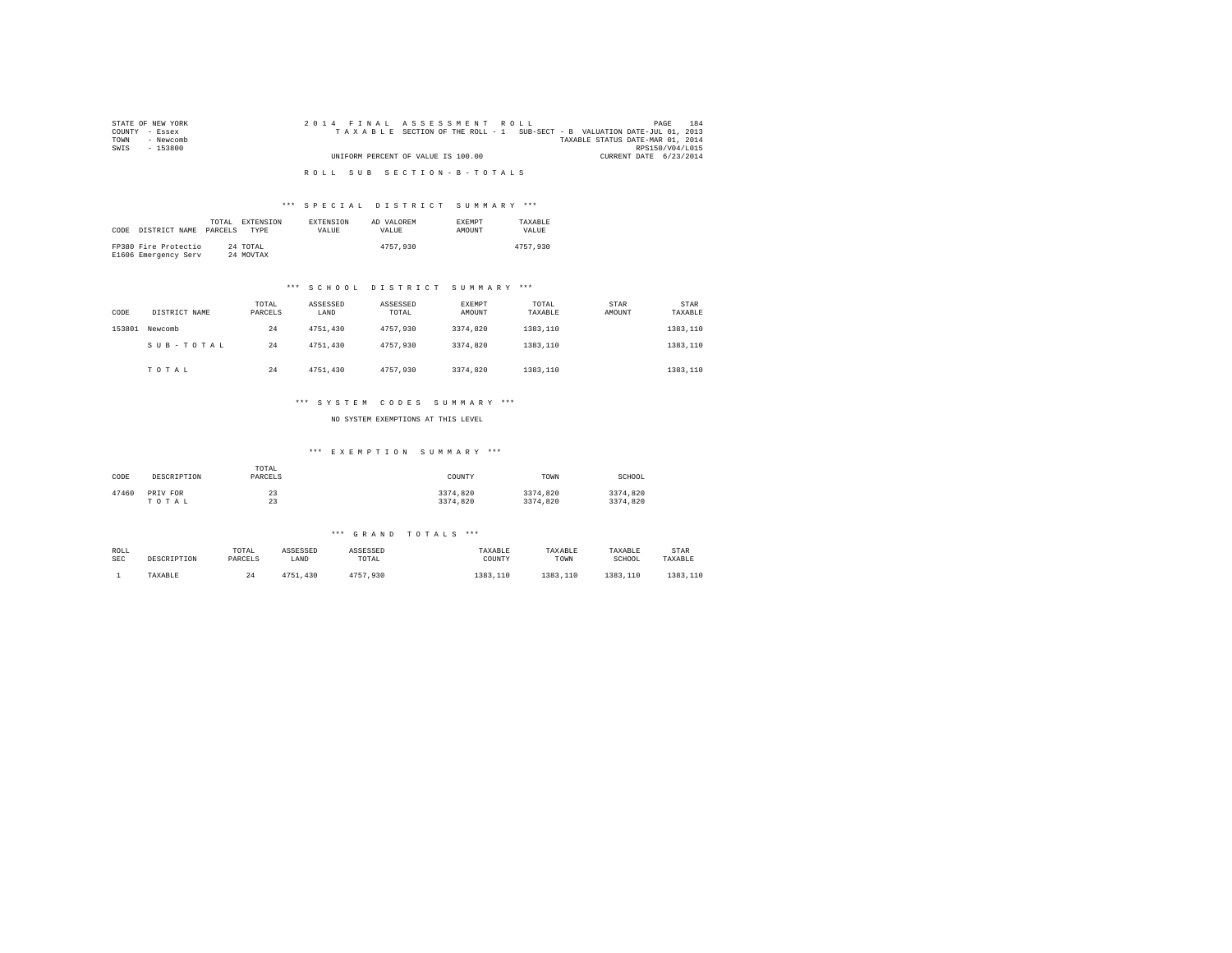| STATE OF NEW YORK | 2014 FINAL ASSESSMENT ROLL                                               | 184<br>PAGE                      |
|-------------------|--------------------------------------------------------------------------|----------------------------------|
| COUNTY - Essex    | TAXABLE SECTION OF THE ROLL - 1 SUB-SECT - B VALUATION DATE-JUL 01, 2013 |                                  |
| TOWN<br>- Newcomb |                                                                          | TAXABLE STATUS DATE-MAR 01, 2014 |
| SWIS<br>$-153800$ |                                                                          | RPS150/V04/L015                  |
|                   | UNIFORM PERCENT OF VALUE IS 100.00                                       | CURRENT DATE 6/23/2014           |
|                   |                                                                          |                                  |
|                   | ROLL SUB SECTION-B-TOTALS                                                |                                  |

# \*\*\* S P E C I A L D I S T R I C T S U M M A R Y \*\*\*

| CODE | DISTRICT NAME                                | TOTAL.<br>PARCELS | EXTENSION<br><b>TYPE</b> | <b>EXTENSION</b><br>VALUE | AD VALOREM<br>VALUE | <b>EXEMPT</b><br>AMOUNT | TAXARLE<br>VALUE |
|------|----------------------------------------------|-------------------|--------------------------|---------------------------|---------------------|-------------------------|------------------|
|      | FP380 Fire Protectio<br>E1606 Emergency Serv |                   | 24 TOTAL<br>24 MOVTAX    |                           | 4757.930            |                         | 4757.930         |

# \*\*\* S C H O O L D I S T R I C T S U M M A R Y \*\*\*

| CODE   | DISTRICT NAME | TOTAL<br>PARCELS | ASSESSED<br>LAND | ASSESSED<br>TOTAL | EXEMPT<br>AMOUNT | TOTAL<br>TAXABLE | STAR<br>AMOUNT | STAR<br>TAXABLE |
|--------|---------------|------------------|------------------|-------------------|------------------|------------------|----------------|-----------------|
| 153801 | Newcomb       | 24               | 4751,430         | 4757.930          | 3374.820         | 1383,110         |                | 1383,110        |
|        | SUB-TOTAL     | 24               | 4751,430         | 4757.930          | 3374.820         | 1383,110         |                | 1383,110        |
|        | TOTAL         | 24               | 4751,430         | 4757.930          | 3374.820         | 1383,110         |                | 1383,110        |

# \*\*\* S Y S T E M C O D E S S U M M A R Y \*\*\*

NO SYSTEM EXEMPTIONS AT THIS LEVEL

# \*\*\* E X E M P T I O N S U M M A R Y \*\*\*

| CODE  | DESCRIPTION | TOTAL<br>PARCELS | COUNTY   | TOWN     | SCHOOL   |
|-------|-------------|------------------|----------|----------|----------|
| 47460 | PRIV FOR    | 23               | 3374.820 | 3374.820 | 3374.820 |
|       | TOTAL       | 23               | 3374.820 | 3374.820 | 3374.820 |

### \*\*\* G R A N D T O T A L S \*\*\*

| ROLL       | DESCRIPTION | TOTAL   | ASSESSED | ASSESSED | TAXABLE  | TAXABLE  | TAXABLE  | STAR     |
|------------|-------------|---------|----------|----------|----------|----------|----------|----------|
| <b>SEC</b> |             | PARCELS | LAND     | TOTAL    | COUNTY   | TOWN     | SCHOOL   | TAXABLE  |
|            | TAXABLE     | 24      | 4751.430 | 4757.930 | 1383,110 | 1383.110 | 1383,110 | 1383,110 |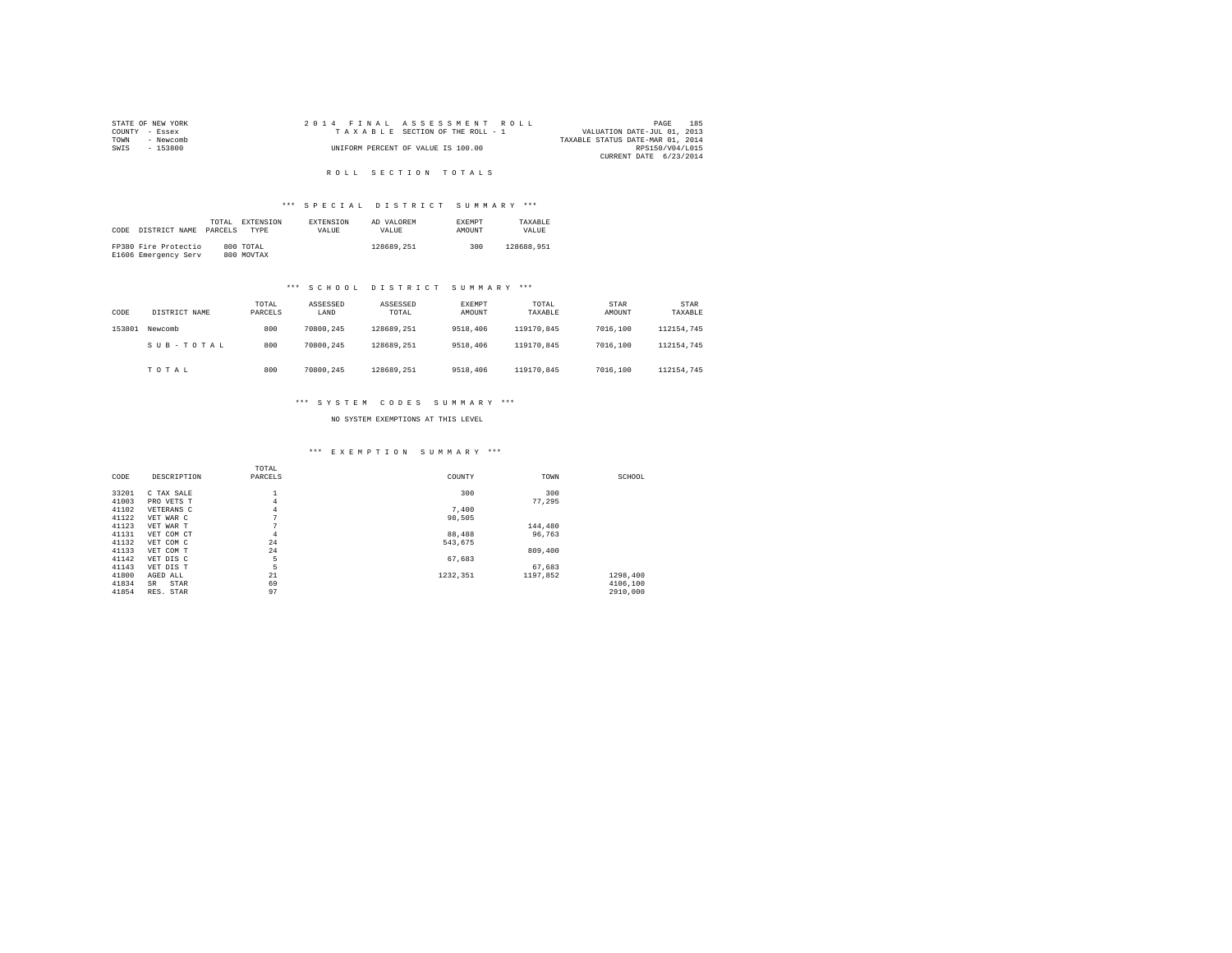|                | STATE OF NEW YORK |  |  | 2014 FINAL ASSESSMENT ROLL         |  |                                  | PAGE            | 185 |
|----------------|-------------------|--|--|------------------------------------|--|----------------------------------|-----------------|-----|
| COUNTY - Essex |                   |  |  | TAXABLE SECTION OF THE ROLL - 1    |  | VALUATION DATE-JUL 01, 2013      |                 |     |
| TOWN           | - Newcomb         |  |  |                                    |  | TAXABLE STATUS DATE-MAR 01, 2014 |                 |     |
| SWIS           | - 153800          |  |  | UNIFORM PERCENT OF VALUE IS 100.00 |  |                                  | RPS150/V04/L015 |     |
|                |                   |  |  |                                    |  | CURRENT DATE 6/23/2014           |                 |     |

# R O L L S E C T I O N T O T A L S

# \*\*\* S P E C I A L D I S T R I C T S U M M A R Y \*\*\*

|      |                      | TOTAL   | EXTENSION  | <b>EXTENSION</b> | AD VALOREM | <b>EXEMPT</b> | TAXARLE    |
|------|----------------------|---------|------------|------------------|------------|---------------|------------|
| CODE | DISTRICT NAME        | PARCELS | TYPE       | <b>VALUE</b>     | VALUE.     | <b>AMOUNT</b> | VALUE      |
|      |                      |         |            |                  |            |               |            |
|      | FP380 Fire Protectio |         | 800 TOTAL  |                  | 128689.251 | 300           | 128688.951 |
|      | E1606 Emergency Serv |         | 800 MOVTAX |                  |            |               |            |

# \*\*\* S C H O O L D I S T R I C T S U M M A R Y \*\*\*

| CODE   | DISTRICT NAME | TOTAL<br>PARCELS | ASSESSED<br>LAND | ASSESSED<br>TOTAL | EXEMPT<br>AMOUNT | TOTAL<br>TAXABLE | <b>STAR</b><br>AMOUNT | STAR<br>TAXABLE |
|--------|---------------|------------------|------------------|-------------------|------------------|------------------|-----------------------|-----------------|
| 153801 | Newcomb       | 800              | 70800.245        | 128689.251        | 9518,406         | 119170.845       | 7016,100              | 112154.745      |
|        | SUB-TOTAL     | 800              | 70800.245        | 128689.251        | 9518,406         | 119170.845       | 7016,100              | 112154.745      |
|        | TOTAL         | 800              | 70800.245        | 128689.251        | 9518,406         | 119170.845       | 7016,100              | 112154.745      |

# \*\*\* S Y S T E M C O D E S S U M M A R Y \*\*\*

NO SYSTEM EXEMPTIONS AT THIS LEVEL

### \*\*\* E X E M P T I O N S U M M A R Y \*\*\*

|       |             | TOTAL          |          |          |          |  |
|-------|-------------|----------------|----------|----------|----------|--|
| CODE  | DESCRIPTION | PARCELS        | COUNTY   | TOWN     | SCHOOL   |  |
|       |             |                |          |          |          |  |
| 33201 | C TAX SALE  |                | 300      | 300      |          |  |
| 41003 | PRO VETS T  | 4              |          | 77,295   |          |  |
| 41102 | VETERANS C  | 4              | 7,400    |          |          |  |
| 41122 | VET WAR C   | $\overline{ }$ | 98.505   |          |          |  |
| 41123 | VET WAR T   |                |          | 144,480  |          |  |
| 41131 | VET COM CT  | 4              | 88,488   | 96.763   |          |  |
| 41132 | VET COM C   | 24             | 543.675  |          |          |  |
| 41133 | VET COM T   | 24             |          | 809,400  |          |  |
| 41142 | VET DIS C   | 5              | 67,683   |          |          |  |
| 41143 | VET DIS T   | 5              |          | 67.683   |          |  |
| 41800 | AGED ALL    | 21             | 1232.351 | 1197.852 | 1298,400 |  |
| 41834 | STAR<br>SR  | 69             |          |          | 4106,100 |  |
| 41854 | RES. STAR   | 97             |          |          | 2910,000 |  |
|       |             |                |          |          |          |  |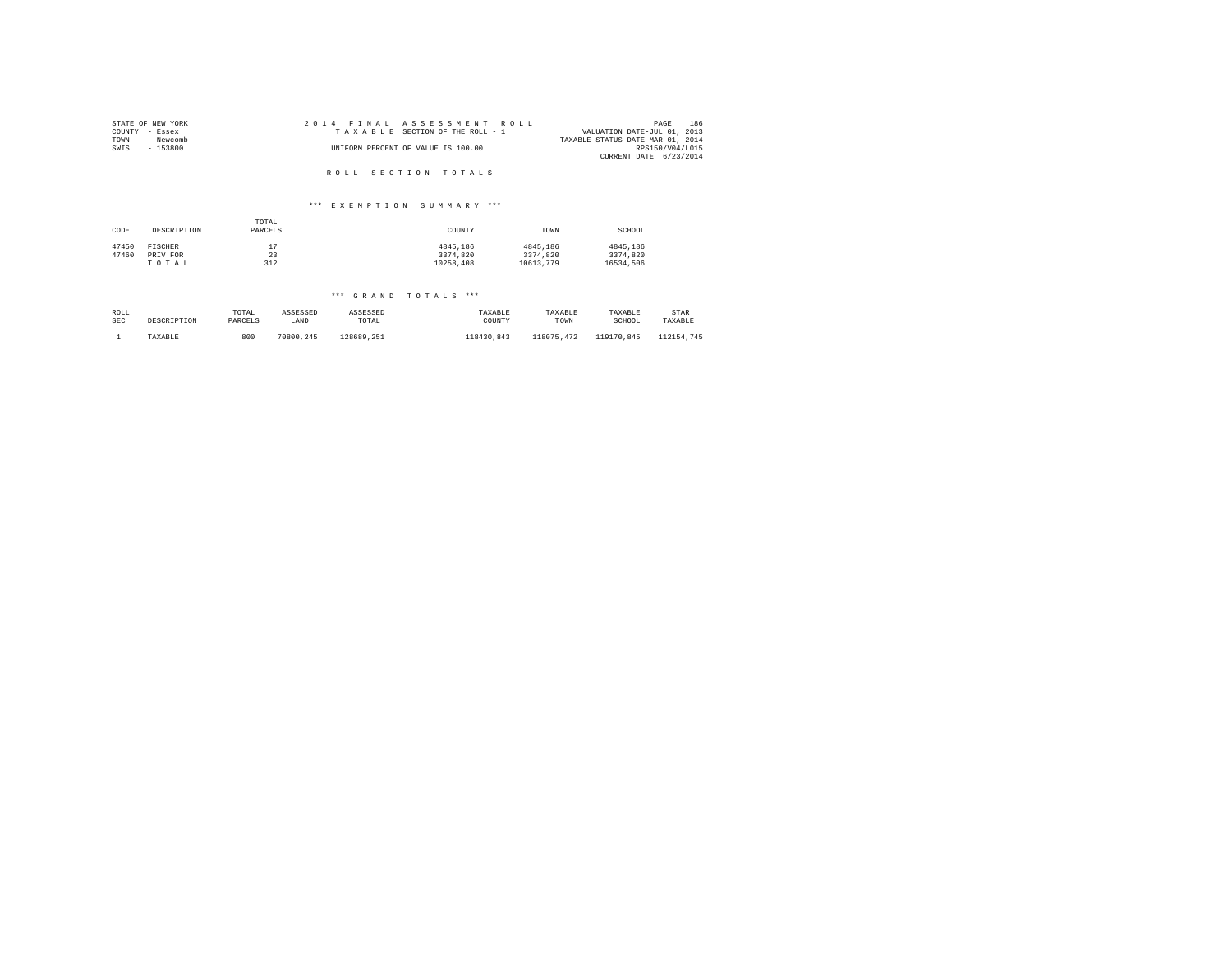| STATE OF NEW YORK | 2014 FINAL ASSESSMENT ROLL         | 186<br>PAGE                      |
|-------------------|------------------------------------|----------------------------------|
| COUNTY - Essex    | TAXABLE SECTION OF THE ROLL - 1    | VALUATION DATE-JUL 01, 2013      |
| TOWN<br>- Newcomb |                                    | TAXABLE STATUS DATE-MAR 01, 2014 |
| SWIS<br>$-153800$ | UNIFORM PERCENT OF VALUE IS 100.00 | RPS150/V04/L015                  |
|                   |                                    | CURRENT DATE 6/23/2014           |
|                   |                                    |                                  |
|                   | ROLL SECTION TOTALS                |                                  |

### \*\*\* E X E M P T I O N S U M M A R Y \*\*\*

| CODE  | DESCRIPTION | TOTAL<br>PARCELS | COUNTY    | TOWN      | SCHOOL    |
|-------|-------------|------------------|-----------|-----------|-----------|
| 47450 | FISCHER     | ר י              | 4845.186  | 4845,186  | 4845.186  |
| 47460 | PRIV FOR    | 23               | 3374,820  | 3374.820  | 3374.820  |
|       | TOTAL       | 312              | 10258.408 | 10613.779 | 16534.506 |

### \*\*\* G R A N D T O T A L S \*\*\*

| ROLL | DESCRIPTION | TOTAL   | ASSESSED  | ASSESSED   | TAXABLE    | TAXABLE    | TAXABLE    | STAR       |
|------|-------------|---------|-----------|------------|------------|------------|------------|------------|
| SEC  |             | PARCELS | LAND      | TOTAL      | COUNTY     | TOWN       | SCHOOL     | TAXABLE    |
|      | TAXABLE     | 800     | 70800.245 | 128689.251 | 118430.843 | 118075.472 | 119170.845 | 112154.745 |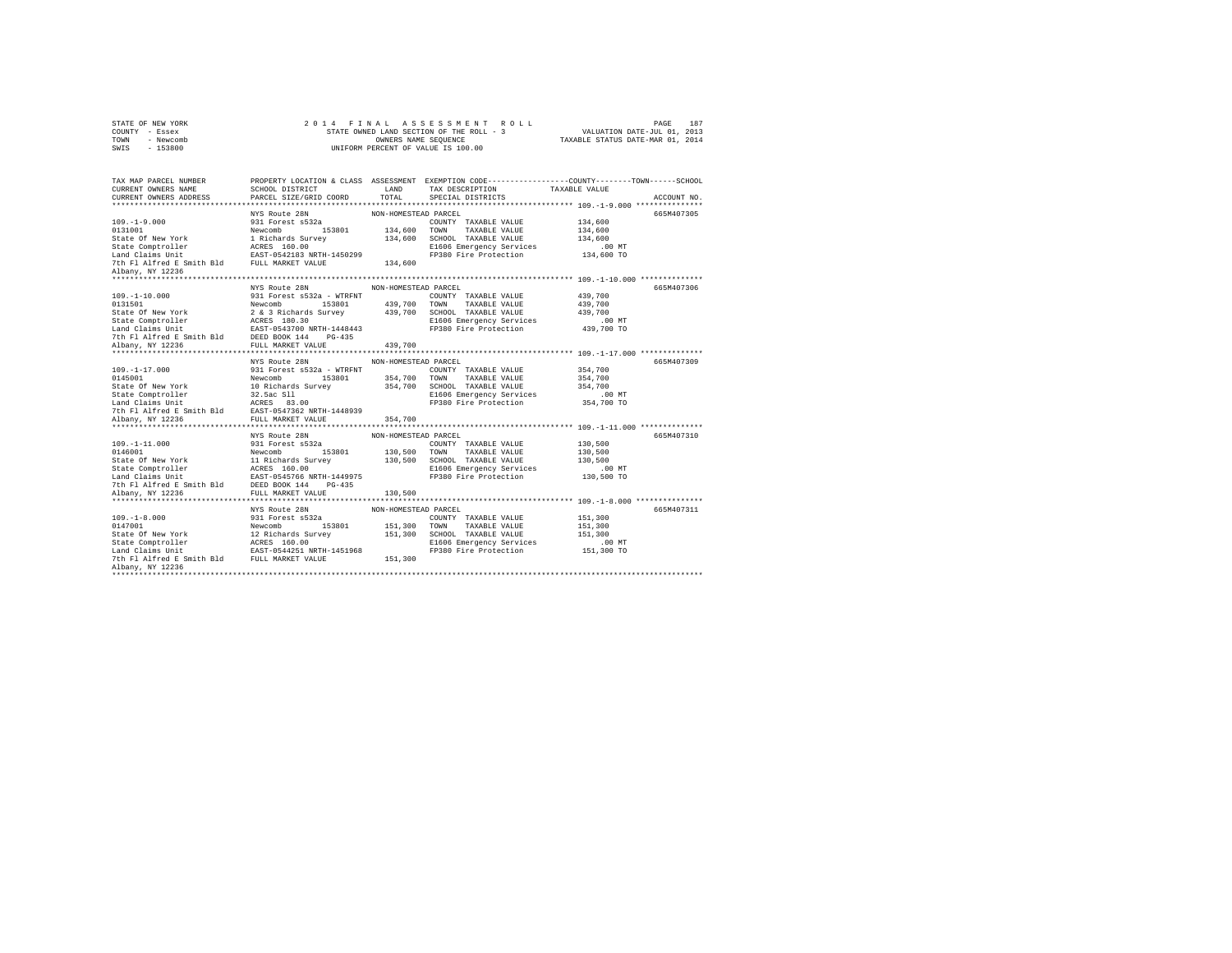|      | STATE OF NEW YORK |  | 2014 FINAL ASSESSMENT ROLL               |                                  | PAGE                        | 187 |
|------|-------------------|--|------------------------------------------|----------------------------------|-----------------------------|-----|
|      | COUNTY - Essex    |  | STATE OWNED LAND SECTION OF THE ROLL - 3 |                                  | VALUATION DATE-JUL 01, 2013 |     |
| TOWN | - Newcomb         |  | OWNERS NAME SEOUENCE                     | TAXABLE STATUS DATE-MAR 01, 2014 |                             |     |
| SWTS | $-153800$         |  | UNIFORM PERCENT OF VALUE IS 100.00       |                                  |                             |     |

| TAX MAP PARCEL NUMBER                                                                                                                                                                                                                    |               |                      | PROPERTY LOCATION & CLASS ASSESSMENT EXEMPTION CODE----------------COUNTY-------TOWN------SCHOOL                                                                                                                                                     |                    |             |
|------------------------------------------------------------------------------------------------------------------------------------------------------------------------------------------------------------------------------------------|---------------|----------------------|------------------------------------------------------------------------------------------------------------------------------------------------------------------------------------------------------------------------------------------------------|--------------------|-------------|
| CURRENT OWNERS NAME<br>CURRENT OWNERS ADDRESS PARCEL SIZE/GRID COORD                                                                                                                                                                     |               |                      |                                                                                                                                                                                                                                                      |                    |             |
|                                                                                                                                                                                                                                          |               |                      |                                                                                                                                                                                                                                                      |                    | ACCOUNT NO. |
|                                                                                                                                                                                                                                          |               |                      | 109.-1-9.000<br>109.-1-9.000 MYS Route 28N<br>131801 MON-HOMESTEAD PARCEL<br>134,600 TOWN TAXABLE VALUE 134,600<br>State Of New York 1 Richards Survey<br>25301 134,600 TOWN TAXABLE VALUE 134,600<br>254,600 State Comptroller AGES 160.0           |                    | 665M407305  |
|                                                                                                                                                                                                                                          |               |                      |                                                                                                                                                                                                                                                      |                    |             |
|                                                                                                                                                                                                                                          |               |                      |                                                                                                                                                                                                                                                      |                    |             |
|                                                                                                                                                                                                                                          |               |                      |                                                                                                                                                                                                                                                      |                    |             |
|                                                                                                                                                                                                                                          |               |                      | CHOOL TAXABLE VALUE<br>E1606 Emergency Services 134,600<br>FP380 Fire Protection 134,600 TO                                                                                                                                                          |                    |             |
|                                                                                                                                                                                                                                          |               |                      |                                                                                                                                                                                                                                                      |                    |             |
|                                                                                                                                                                                                                                          |               |                      |                                                                                                                                                                                                                                                      |                    |             |
| Albany, NY 12236                                                                                                                                                                                                                         |               |                      |                                                                                                                                                                                                                                                      |                    |             |
|                                                                                                                                                                                                                                          |               |                      |                                                                                                                                                                                                                                                      |                    |             |
|                                                                                                                                                                                                                                          | NYS Route 28N | NON-HOMESTEAD PARCEL |                                                                                                                                                                                                                                                      |                    | 665M407306  |
|                                                                                                                                                                                                                                          |               |                      | COUNTY TAXABLE VALUE 439,700                                                                                                                                                                                                                         |                    |             |
|                                                                                                                                                                                                                                          |               |                      |                                                                                                                                                                                                                                                      |                    |             |
|                                                                                                                                                                                                                                          |               |                      |                                                                                                                                                                                                                                                      | 439,700<br>439,700 |             |
|                                                                                                                                                                                                                                          |               |                      |                                                                                                                                                                                                                                                      |                    |             |
|                                                                                                                                                                                                                                          |               |                      | E1606 Emergency Services .00 MT<br>FP380 Fire Protection 439,700 TO                                                                                                                                                                                  |                    |             |
|                                                                                                                                                                                                                                          |               |                      |                                                                                                                                                                                                                                                      |                    |             |
|                                                                                                                                                                                                                                          |               |                      |                                                                                                                                                                                                                                                      |                    |             |
|                                                                                                                                                                                                                                          |               |                      |                                                                                                                                                                                                                                                      |                    |             |
|                                                                                                                                                                                                                                          | NYS Route 28N | NON-HOMESTEAD PARCEL |                                                                                                                                                                                                                                                      |                    | 665M407309  |
|                                                                                                                                                                                                                                          |               |                      |                                                                                                                                                                                                                                                      |                    |             |
|                                                                                                                                                                                                                                          |               |                      |                                                                                                                                                                                                                                                      |                    |             |
|                                                                                                                                                                                                                                          |               |                      |                                                                                                                                                                                                                                                      |                    |             |
|                                                                                                                                                                                                                                          |               |                      |                                                                                                                                                                                                                                                      |                    |             |
|                                                                                                                                                                                                                                          |               |                      |                                                                                                                                                                                                                                                      |                    |             |
|                                                                                                                                                                                                                                          |               |                      |                                                                                                                                                                                                                                                      |                    |             |
|                                                                                                                                                                                                                                          |               |                      | 109.-1-17.000<br>2018-01-17.000 20131 Forest as 32a - WTRFNT<br>2018-01-17.000 2018TV TAXABLE VALUE 354,700<br>2018-01 2018-01 2018-01 354,700 2008TY TAXABLE VALUE 354,700<br>2018-01 2018-01 2018-01 354,700 2018-01 2018-01 2018-01               |                    |             |
|                                                                                                                                                                                                                                          |               |                      |                                                                                                                                                                                                                                                      |                    |             |
|                                                                                                                                                                                                                                          | NYS Route 28N | NON-HOMESTEAD PARCEL |                                                                                                                                                                                                                                                      |                    | 665M407310  |
|                                                                                                                                                                                                                                          |               |                      |                                                                                                                                                                                                                                                      |                    |             |
|                                                                                                                                                                                                                                          |               |                      |                                                                                                                                                                                                                                                      |                    |             |
|                                                                                                                                                                                                                                          |               |                      |                                                                                                                                                                                                                                                      |                    |             |
|                                                                                                                                                                                                                                          |               |                      |                                                                                                                                                                                                                                                      |                    |             |
|                                                                                                                                                                                                                                          |               |                      |                                                                                                                                                                                                                                                      |                    |             |
|                                                                                                                                                                                                                                          |               |                      |                                                                                                                                                                                                                                                      |                    |             |
|                                                                                                                                                                                                                                          |               |                      |                                                                                                                                                                                                                                                      |                    |             |
|                                                                                                                                                                                                                                          |               |                      | 109.-1-11.000<br>109.-1-11.000 MYS KOME 281<br>2018/001 MARLE VALUE 130,500<br>2018/001 130,500<br>2018<br>2018 COUNTY TAXABLE VALUE 130,500<br>2018<br>2018 COUNTY TAXABLE VALUE 130,500<br>2018<br>2018 COUNTY TAXABLE VALUE 130,500<br>2018<br>20 |                    |             |
|                                                                                                                                                                                                                                          |               |                      |                                                                                                                                                                                                                                                      |                    | 665M407311  |
|                                                                                                                                                                                                                                          |               |                      | COUNTY TAXABLE VALUE 151,300                                                                                                                                                                                                                         |                    |             |
| NYS ROULE 28N NON-HOMESTEAD PARCEL<br>109.-1-8.000 931 Forest 5532a<br>1047001 931 Forest 5532a<br>1617001 Newcomb 153801 151,300 TOWN TAXABLE VALUE<br>State Of New York 12 Richards Survey 151,300 SCHOOL TAXABLE VALUE<br>State Compt |               |                      |                                                                                                                                                                                                                                                      | 151,300            |             |
|                                                                                                                                                                                                                                          |               |                      |                                                                                                                                                                                                                                                      | 151,300<br>151,300 |             |
|                                                                                                                                                                                                                                          |               |                      |                                                                                                                                                                                                                                                      |                    |             |
|                                                                                                                                                                                                                                          |               |                      | E1606 Emergency Services<br>F1606 Emergency Services<br>F2380 Fire Protection 151,300 TO                                                                                                                                                             |                    |             |
|                                                                                                                                                                                                                                          |               |                      |                                                                                                                                                                                                                                                      |                    |             |
| Albany, NY 12236                                                                                                                                                                                                                         |               |                      |                                                                                                                                                                                                                                                      |                    |             |
|                                                                                                                                                                                                                                          |               |                      |                                                                                                                                                                                                                                                      |                    |             |
|                                                                                                                                                                                                                                          |               |                      |                                                                                                                                                                                                                                                      |                    |             |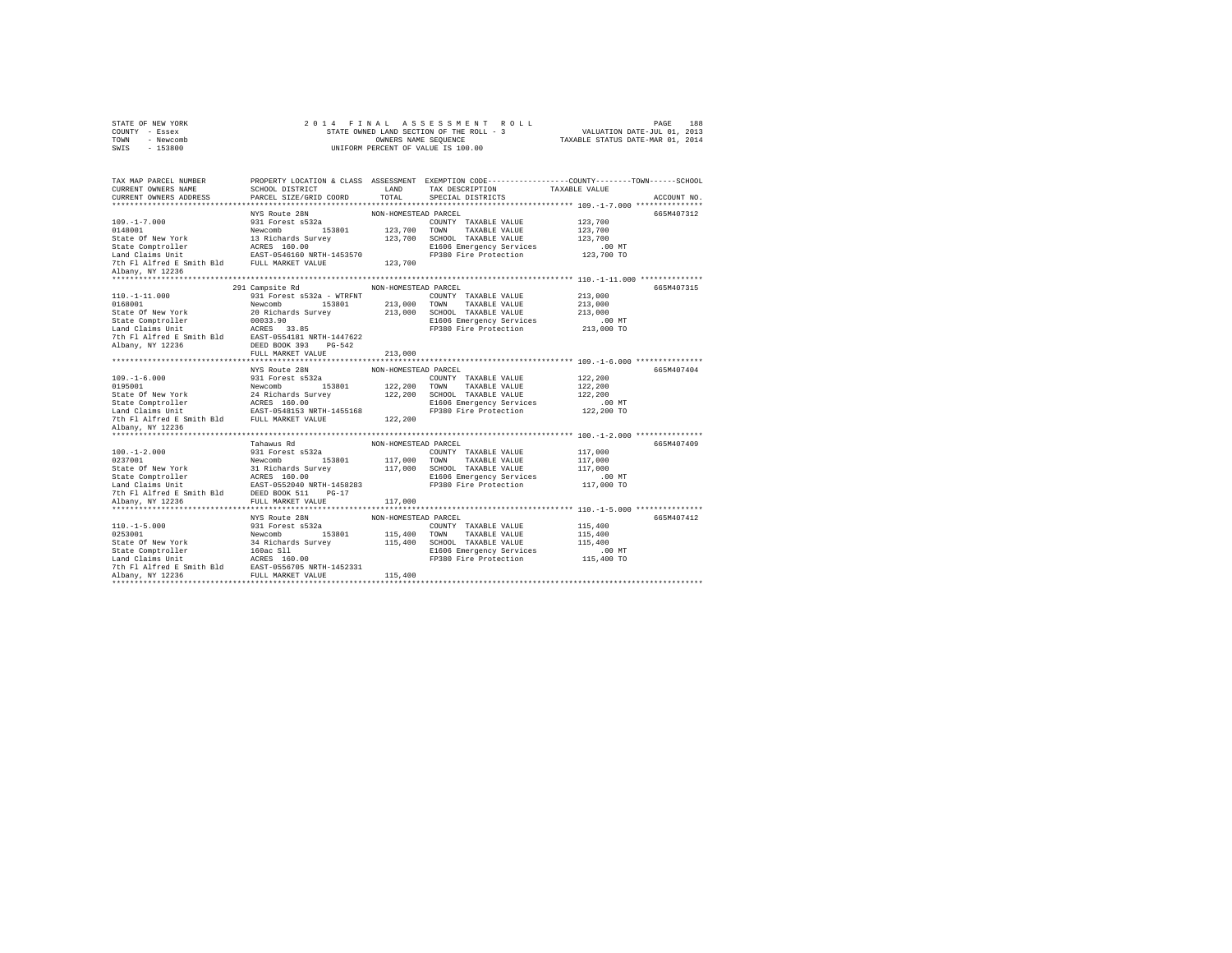|      | STATE OF NEW YORK |  |  | 2014 FINAL ASSESSMENT ROLL               |                                  | PAGE                        | 188 |
|------|-------------------|--|--|------------------------------------------|----------------------------------|-----------------------------|-----|
|      | COUNTY - Essex    |  |  | STATE OWNED LAND SECTION OF THE ROLL - 3 |                                  | VALUATION DATE-JUL 01, 2013 |     |
| TOWN | - Newcomb         |  |  | OWNERS NAME SEOUENCE                     | TAXABLE STATUS DATE-MAR 01, 2014 |                             |     |
| SWIS | $-153800$         |  |  | UNIFORM PERCENT OF VALUE IS 100.00       |                                  |                             |     |

|                  | TAX MAP PARCEL NUMBER PROPERTY LOCATION & CLASS ASSESSMENT EXEMPTION CODE--------------COUNTY-------TOWN------SCHOOL                                                                                                                         |                      |  |             |
|------------------|----------------------------------------------------------------------------------------------------------------------------------------------------------------------------------------------------------------------------------------------|----------------------|--|-------------|
|                  |                                                                                                                                                                                                                                              |                      |  | ACCOUNT NO. |
|                  |                                                                                                                                                                                                                                              |                      |  |             |
|                  |                                                                                                                                                                                                                                              |                      |  | 665M407312  |
|                  |                                                                                                                                                                                                                                              |                      |  |             |
|                  |                                                                                                                                                                                                                                              |                      |  |             |
|                  |                                                                                                                                                                                                                                              |                      |  |             |
|                  |                                                                                                                                                                                                                                              |                      |  |             |
|                  |                                                                                                                                                                                                                                              |                      |  |             |
|                  |                                                                                                                                                                                                                                              |                      |  |             |
| Albany, NY 12236 |                                                                                                                                                                                                                                              |                      |  |             |
|                  |                                                                                                                                                                                                                                              |                      |  |             |
|                  | 291 Campsite Rd                                                                                                                                                                                                                              | NON-HOMESTEAD PARCEL |  | 665M407315  |
|                  |                                                                                                                                                                                                                                              |                      |  |             |
|                  |                                                                                                                                                                                                                                              |                      |  |             |
|                  |                                                                                                                                                                                                                                              |                      |  |             |
|                  |                                                                                                                                                                                                                                              |                      |  |             |
|                  |                                                                                                                                                                                                                                              |                      |  |             |
|                  |                                                                                                                                                                                                                                              |                      |  |             |
|                  |                                                                                                                                                                                                                                              |                      |  |             |
|                  | 110.-1-11.000<br>110.-1-11.000<br>0186001 931 Forest 6532a - WTRFFNT<br>213,000 UDNTY TAXABLE VALUE 213,000<br>21606 Emergency Servolt 20033.900<br>213,000 SCHOOL TAXABLE VALUE 213,000<br>21606 Emergency Servolta 2013,000<br>21606 Emerg |                      |  |             |
|                  |                                                                                                                                                                                                                                              |                      |  |             |
|                  |                                                                                                                                                                                                                                              |                      |  | 665M407404  |
|                  |                                                                                                                                                                                                                                              |                      |  |             |
|                  |                                                                                                                                                                                                                                              |                      |  |             |
|                  |                                                                                                                                                                                                                                              |                      |  |             |
|                  |                                                                                                                                                                                                                                              |                      |  |             |
|                  |                                                                                                                                                                                                                                              |                      |  |             |
|                  | MYS ROULE 2R NON-HOMESTEAD PARCEL<br>199.-1-6.000<br>199.100 931 Forest S52a COUNTY TAXABLE VALUE<br>199.001 931 Forest S52a COUNTY TAXABLE VALUE<br>199.001 931 Forest S52a<br>200 7000 122,200 TONITY TAXABLE VALUE<br>26 1000 122,200 T   |                      |  |             |
| Albany, NY 12236 |                                                                                                                                                                                                                                              |                      |  |             |
|                  |                                                                                                                                                                                                                                              |                      |  |             |
|                  |                                                                                                                                                                                                                                              |                      |  |             |
|                  |                                                                                                                                                                                                                                              |                      |  |             |
|                  |                                                                                                                                                                                                                                              |                      |  |             |
|                  |                                                                                                                                                                                                                                              |                      |  |             |
|                  |                                                                                                                                                                                                                                              |                      |  |             |
|                  |                                                                                                                                                                                                                                              |                      |  |             |
|                  |                                                                                                                                                                                                                                              |                      |  |             |
|                  |                                                                                                                                                                                                                                              |                      |  |             |
|                  | 117,000<br>12200 131 Forest 5532<br>1020 -1-2.000 100 -1-2.000 1000 -1-2.000 1000 -1-2.000 1000 -1-2.000 1000 -1-2.000 1<br>232001 117,000 TONN TAXABLE VALUE<br>State Of New York and Chains United Survey 117,000 SCHOOL TAXABLE VAL       |                      |  |             |
|                  | NYS Route 28N MON-HOMESTEAD PARCEL                                                                                                                                                                                                           |                      |  | 665M407412  |
|                  |                                                                                                                                                                                                                                              |                      |  |             |
|                  |                                                                                                                                                                                                                                              |                      |  |             |
|                  |                                                                                                                                                                                                                                              |                      |  |             |
|                  |                                                                                                                                                                                                                                              |                      |  |             |
|                  |                                                                                                                                                                                                                                              |                      |  |             |
|                  |                                                                                                                                                                                                                                              |                      |  |             |
|                  |                                                                                                                                                                                                                                              |                      |  |             |
|                  |                                                                                                                                                                                                                                              |                      |  |             |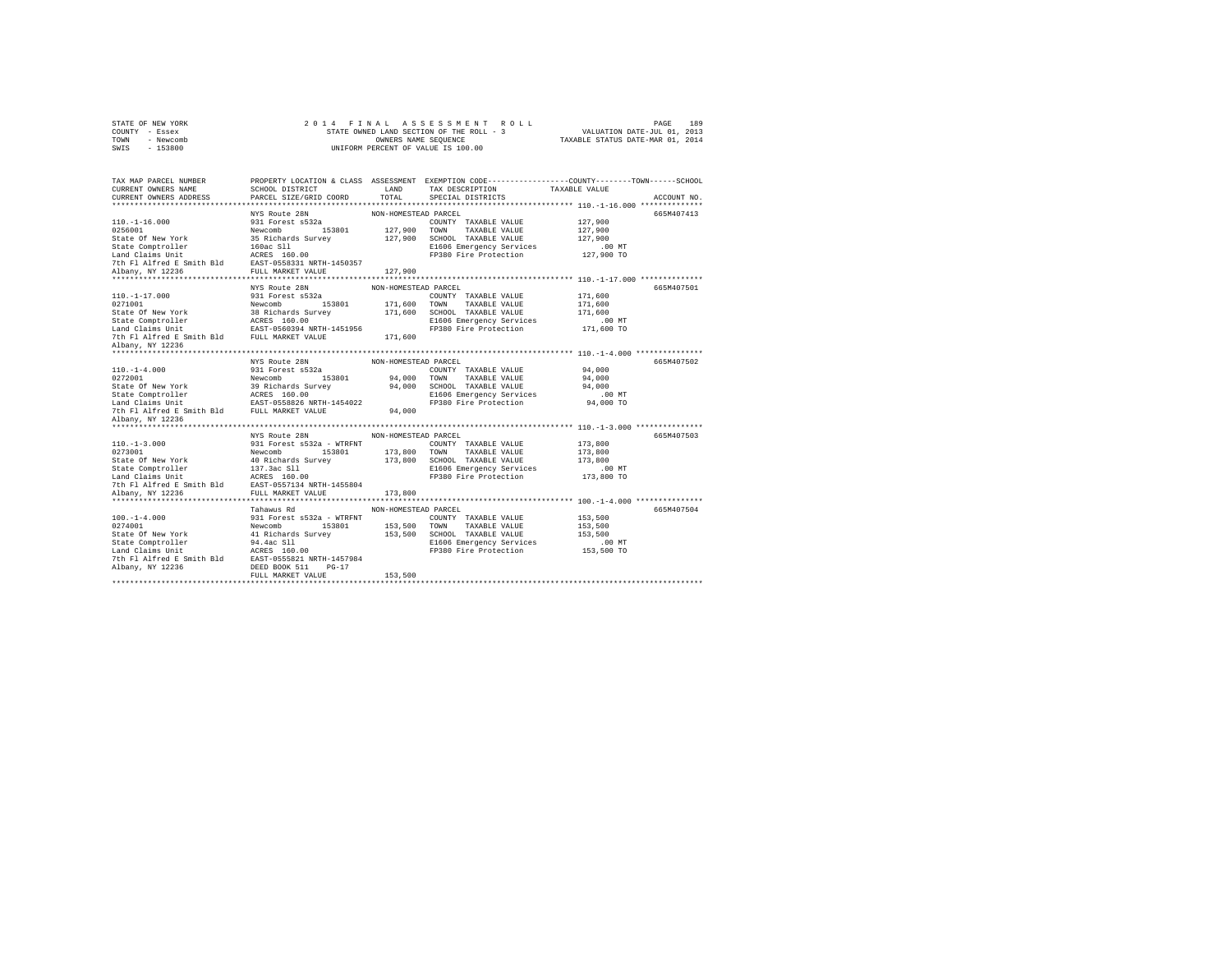|      | STATE OF NEW YORK | 2014 FINAL ASSESSMENT ROLL               | 189<br>PAGE                      |
|------|-------------------|------------------------------------------|----------------------------------|
|      | COUNTY - Essex    | STATE OWNED LAND SECTION OF THE ROLL - 3 | VALUATION DATE-JUL 01, 2013      |
| TOWN | - Newcomb         | OWNERS NAME SEOUENCE                     | TAXABLE STATUS DATE-MAR 01, 2014 |
| SWIS | $-153800$         | UNIFORM PERCENT OF VALUE IS 100.00       |                                  |

| TAX MAP PARCEL NUMBER                                                                                                                                                                                                                                                  | PROPERTY LOCATION & CLASS ASSESSMENT EXEMPTION CODE-----------------COUNTY-------TOWN-----SCHOOL                                                                                                                            |                      |                                                                 |             |
|------------------------------------------------------------------------------------------------------------------------------------------------------------------------------------------------------------------------------------------------------------------------|-----------------------------------------------------------------------------------------------------------------------------------------------------------------------------------------------------------------------------|----------------------|-----------------------------------------------------------------|-------------|
| CURRENT OWNERS NAME                                                                                                                                                                                                                                                    | ${\tt SCHOOL\ DISTRICT}\qquad\qquad {\tt LAND}\qquad\qquad {\tt TAX\ DESTRITION}\qquad\qquad {\tt TAXABLE\ VALUE}\qquad\qquad {\tt PARCEL\ SIZE/GRID\ COORD}\qquad\qquad {\tt TOTAL}\qquad\qquad {\tt SPECTAL\ DISTRICTS}}$ |                      |                                                                 |             |
| CURRENT OWNERS ADDRESS PARCEL SIZE/GRID COORD                                                                                                                                                                                                                          |                                                                                                                                                                                                                             |                      |                                                                 | ACCOUNT NO. |
|                                                                                                                                                                                                                                                                        |                                                                                                                                                                                                                             |                      |                                                                 |             |
|                                                                                                                                                                                                                                                                        |                                                                                                                                                                                                                             |                      |                                                                 | 665M407413  |
|                                                                                                                                                                                                                                                                        |                                                                                                                                                                                                                             |                      |                                                                 |             |
|                                                                                                                                                                                                                                                                        |                                                                                                                                                                                                                             |                      |                                                                 |             |
|                                                                                                                                                                                                                                                                        |                                                                                                                                                                                                                             |                      |                                                                 |             |
|                                                                                                                                                                                                                                                                        |                                                                                                                                                                                                                             |                      |                                                                 |             |
|                                                                                                                                                                                                                                                                        |                                                                                                                                                                                                                             |                      |                                                                 |             |
|                                                                                                                                                                                                                                                                        |                                                                                                                                                                                                                             |                      |                                                                 |             |
| *************************                                                                                                                                                                                                                                              | ****************************                                                                                                                                                                                                |                      |                                                                 |             |
|                                                                                                                                                                                                                                                                        |                                                                                                                                                                                                                             |                      |                                                                 | 665M407501  |
|                                                                                                                                                                                                                                                                        | NYS Route 28N                                                                                                                                                                                                               | NON-HOMESTEAD PARCEL |                                                                 |             |
|                                                                                                                                                                                                                                                                        |                                                                                                                                                                                                                             |                      | -<br>COUNTY TAXABLE VALUE 171,600<br>TOWN TAXABLE VALUE 171,600 |             |
|                                                                                                                                                                                                                                                                        |                                                                                                                                                                                                                             |                      |                                                                 |             |
|                                                                                                                                                                                                                                                                        |                                                                                                                                                                                                                             |                      |                                                                 |             |
| 110.-1-17.000<br>2011000 931 Forest s332<br>2011001 171,600<br>201717 TAXABLE VALUE 171,600<br>201717 TAXABLE VALUE 171,600<br>201812 171,600<br>201812 171,600<br>201812 171,600<br>201812 171,600<br>201812 171,600<br>201812 171,600<br>201812 17                   |                                                                                                                                                                                                                             |                      |                                                                 |             |
|                                                                                                                                                                                                                                                                        |                                                                                                                                                                                                                             |                      |                                                                 |             |
|                                                                                                                                                                                                                                                                        |                                                                                                                                                                                                                             |                      |                                                                 |             |
| Albany, NY 12236                                                                                                                                                                                                                                                       |                                                                                                                                                                                                                             |                      |                                                                 |             |
| 110.-1-4.000<br>2017 --1.000 MYS Route 28N<br>20272001 931 Forest S532a<br>20272001 94,000 TOWNY TAXABLE VALUE 94,000<br>State Of New York Newcombe<br>37 Richards Survey 94,000 TOWN TAXABLE VALUE 94,000<br>State Comptroller ACRES 160.                             |                                                                                                                                                                                                                             |                      |                                                                 | 665M407502  |
|                                                                                                                                                                                                                                                                        |                                                                                                                                                                                                                             |                      |                                                                 |             |
|                                                                                                                                                                                                                                                                        |                                                                                                                                                                                                                             |                      |                                                                 |             |
|                                                                                                                                                                                                                                                                        |                                                                                                                                                                                                                             |                      |                                                                 |             |
|                                                                                                                                                                                                                                                                        |                                                                                                                                                                                                                             |                      |                                                                 |             |
|                                                                                                                                                                                                                                                                        |                                                                                                                                                                                                                             |                      |                                                                 |             |
|                                                                                                                                                                                                                                                                        |                                                                                                                                                                                                                             |                      |                                                                 |             |
| Albany, NY 12236                                                                                                                                                                                                                                                       |                                                                                                                                                                                                                             |                      |                                                                 |             |
|                                                                                                                                                                                                                                                                        |                                                                                                                                                                                                                             |                      |                                                                 |             |
|                                                                                                                                                                                                                                                                        | NYS Route 28N NON-HOMESTEAD PARCEL                                                                                                                                                                                          |                      |                                                                 | 665M407503  |
|                                                                                                                                                                                                                                                                        |                                                                                                                                                                                                                             |                      |                                                                 |             |
|                                                                                                                                                                                                                                                                        |                                                                                                                                                                                                                             |                      |                                                                 |             |
|                                                                                                                                                                                                                                                                        |                                                                                                                                                                                                                             |                      |                                                                 |             |
|                                                                                                                                                                                                                                                                        |                                                                                                                                                                                                                             |                      |                                                                 |             |
|                                                                                                                                                                                                                                                                        |                                                                                                                                                                                                                             |                      |                                                                 |             |
|                                                                                                                                                                                                                                                                        |                                                                                                                                                                                                                             |                      |                                                                 |             |
|                                                                                                                                                                                                                                                                        |                                                                                                                                                                                                                             |                      |                                                                 |             |
| 110.-1-3.000 MYS Route 28N<br>110.-1-3.000 MYS Route 2812a - WTREW PARCEL COUNTY TAXABLE VALUE<br>210.-1.3.000 MYS Rew York Newtombor<br>2511 Forest 9532a - WTREWT COUNTY TAXABLE VALUE<br>25160 GENETOIRE 173,800<br>25160 MINUTES 173                               |                                                                                                                                                                                                                             |                      |                                                                 |             |
|                                                                                                                                                                                                                                                                        |                                                                                                                                                                                                                             |                      |                                                                 | 665M407504  |
|                                                                                                                                                                                                                                                                        |                                                                                                                                                                                                                             |                      |                                                                 |             |
|                                                                                                                                                                                                                                                                        |                                                                                                                                                                                                                             |                      |                                                                 |             |
|                                                                                                                                                                                                                                                                        |                                                                                                                                                                                                                             |                      |                                                                 |             |
| 100.-1-4.000<br>100.-1-4.000<br>100.-1-4.000<br>1000.-1-4.000<br>20274001<br>20274001<br>20274001<br>20274001<br>20274001<br>20274001<br>20274001<br>20274001<br>20274001<br>20274001<br>20274001<br>20274001<br>20274001<br>20274001<br>20274001<br>20274001<br>20274 |                                                                                                                                                                                                                             |                      |                                                                 |             |
|                                                                                                                                                                                                                                                                        |                                                                                                                                                                                                                             |                      |                                                                 |             |
|                                                                                                                                                                                                                                                                        |                                                                                                                                                                                                                             |                      |                                                                 |             |
|                                                                                                                                                                                                                                                                        |                                                                                                                                                                                                                             |                      |                                                                 |             |
|                                                                                                                                                                                                                                                                        | FULL MARKET VALUE                                                                                                                                                                                                           | 153,500              |                                                                 |             |
|                                                                                                                                                                                                                                                                        |                                                                                                                                                                                                                             |                      |                                                                 |             |
|                                                                                                                                                                                                                                                                        |                                                                                                                                                                                                                             |                      |                                                                 |             |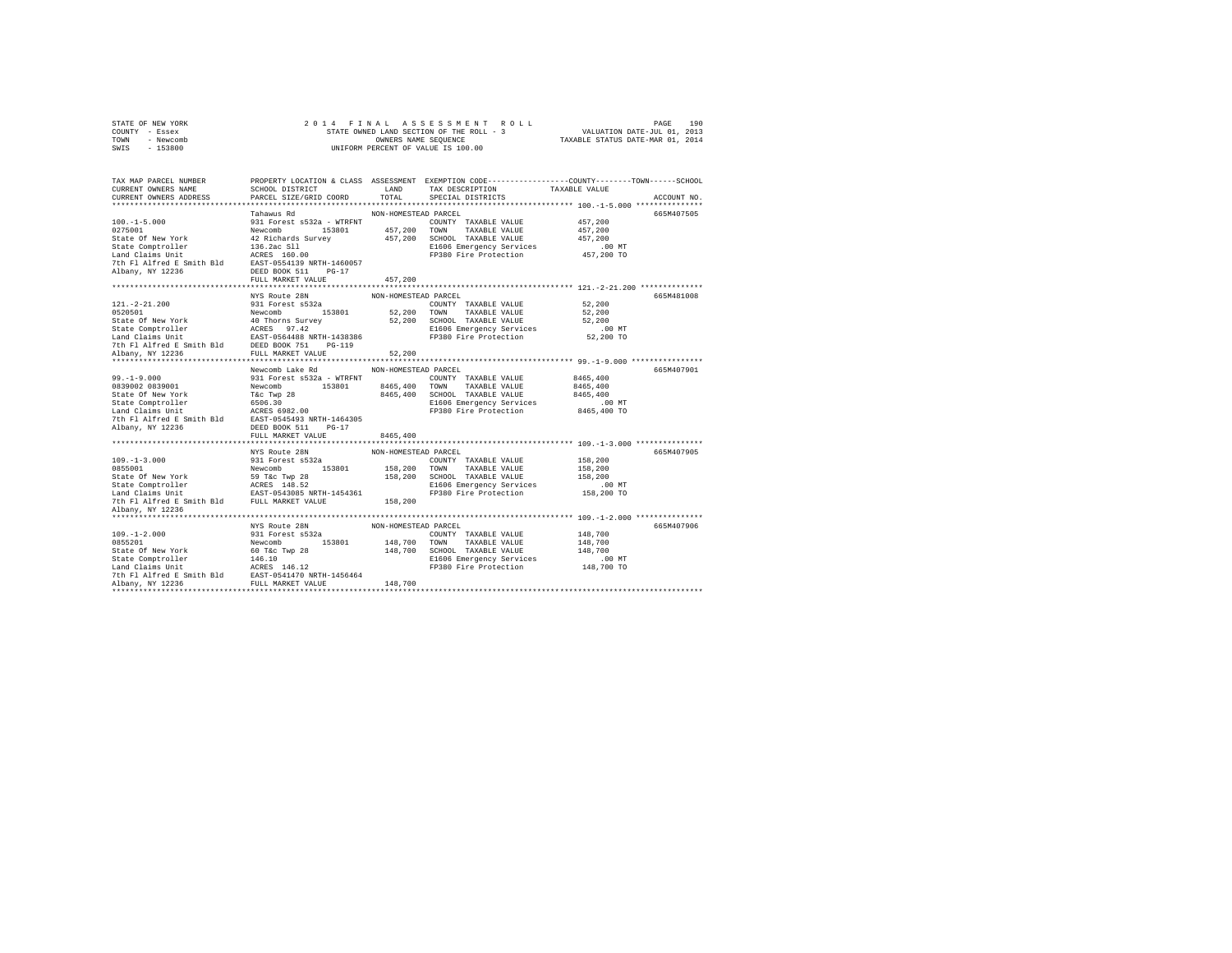|                | STATE OF NEW YORK |  | 2014 FINAL ASSESSMENT ROLL               |                                  | PAGE                        | 190 |
|----------------|-------------------|--|------------------------------------------|----------------------------------|-----------------------------|-----|
| COUNTY - Essex |                   |  | STATE OWNED LAND SECTION OF THE ROLL - 3 |                                  | VALUATION DATE-JUL 01, 2013 |     |
| TOWN           | - Newcomb         |  | OWNERS NAME SEOUENCE                     | TAXABLE STATUS DATE-MAR 01, 2014 |                             |     |
| SWTS           | - 153800          |  | UNIFORM PERCENT OF VALUE IS 100.00       |                                  |                             |     |
|                |                   |  |                                          |                                  |                             |     |

| TAX MAP PARCEL NUMBER<br>CURRENT OWNERS NAME                                                                                                                                                                                                                             |                                    |                      |                                                                                     | PROPERTY LOCATION & CLASS ASSESSMENT EXEMPTION CODE----------------COUNTY-------TOWN-----SCHOOL |             |
|--------------------------------------------------------------------------------------------------------------------------------------------------------------------------------------------------------------------------------------------------------------------------|------------------------------------|----------------------|-------------------------------------------------------------------------------------|-------------------------------------------------------------------------------------------------|-------------|
| CURRENT OWNERS ADDRESS PARCEL SIZE/GRID COORD                                                                                                                                                                                                                            |                                    |                      |                                                                                     |                                                                                                 | ACCOUNT NO. |
| 100.-1-5.000<br>100.-1-5.000<br>100.-1-5.000<br>1000-1-5.000<br>1000-1-5.000<br>20275001<br>20275001<br>20275001<br>20276001<br>2027601<br>2027601<br>2027601<br>2027601<br>2027601<br>2027601<br>2027601<br>20276001<br>20276001<br>20276001<br>20276001<br>202860<br>2 |                                    |                      |                                                                                     |                                                                                                 | 665M407505  |
|                                                                                                                                                                                                                                                                          |                                    |                      |                                                                                     |                                                                                                 |             |
|                                                                                                                                                                                                                                                                          |                                    |                      |                                                                                     |                                                                                                 |             |
|                                                                                                                                                                                                                                                                          |                                    |                      |                                                                                     |                                                                                                 |             |
|                                                                                                                                                                                                                                                                          |                                    |                      |                                                                                     |                                                                                                 |             |
|                                                                                                                                                                                                                                                                          |                                    |                      |                                                                                     |                                                                                                 |             |
|                                                                                                                                                                                                                                                                          |                                    |                      |                                                                                     |                                                                                                 |             |
|                                                                                                                                                                                                                                                                          |                                    |                      |                                                                                     |                                                                                                 |             |
|                                                                                                                                                                                                                                                                          |                                    |                      |                                                                                     |                                                                                                 |             |
|                                                                                                                                                                                                                                                                          |                                    |                      |                                                                                     |                                                                                                 |             |
|                                                                                                                                                                                                                                                                          |                                    |                      |                                                                                     |                                                                                                 |             |
|                                                                                                                                                                                                                                                                          | NYS Route 28N NON-HOMESTEAD PARCEL |                      |                                                                                     |                                                                                                 | 665M481008  |
|                                                                                                                                                                                                                                                                          |                                    |                      |                                                                                     |                                                                                                 |             |
|                                                                                                                                                                                                                                                                          |                                    |                      |                                                                                     |                                                                                                 |             |
|                                                                                                                                                                                                                                                                          |                                    |                      |                                                                                     |                                                                                                 |             |
|                                                                                                                                                                                                                                                                          |                                    |                      |                                                                                     |                                                                                                 |             |
|                                                                                                                                                                                                                                                                          |                                    |                      |                                                                                     |                                                                                                 |             |
|                                                                                                                                                                                                                                                                          |                                    |                      |                                                                                     |                                                                                                 |             |
| 121.-2-21.200<br>231 Forest s532a Newtomb 153801 2000NTY TAXABLE VALUE 52,200<br>231 Forest s532a COUNTY TAXABLE VALUE 52,200<br>State of New York 40 Thorns Survey 52,200 TOWN TAXABLE VALUE 52,200<br>State Comptroller ACRES 97.42                                    |                                    |                      |                                                                                     |                                                                                                 |             |
|                                                                                                                                                                                                                                                                          |                                    |                      |                                                                                     |                                                                                                 |             |
|                                                                                                                                                                                                                                                                          |                                    |                      |                                                                                     |                                                                                                 | 665M407901  |
|                                                                                                                                                                                                                                                                          |                                    |                      |                                                                                     |                                                                                                 |             |
|                                                                                                                                                                                                                                                                          |                                    |                      |                                                                                     |                                                                                                 |             |
|                                                                                                                                                                                                                                                                          |                                    |                      |                                                                                     |                                                                                                 |             |
|                                                                                                                                                                                                                                                                          |                                    |                      |                                                                                     |                                                                                                 |             |
|                                                                                                                                                                                                                                                                          |                                    |                      |                                                                                     |                                                                                                 |             |
|                                                                                                                                                                                                                                                                          |                                    |                      |                                                                                     |                                                                                                 |             |
|                                                                                                                                                                                                                                                                          |                                    |                      |                                                                                     |                                                                                                 |             |
|                                                                                                                                                                                                                                                                          |                                    |                      |                                                                                     |                                                                                                 |             |
|                                                                                                                                                                                                                                                                          |                                    |                      |                                                                                     |                                                                                                 |             |
| 1999-1-3.000 MYS Route 2RM NON-HOMESTEAD PARCEL<br>1999-1-3.000 MYS Route 2RM NON-HOMESTEAD PARCEL<br>STAGE COUNTY TAXABLE VALUE 158,200<br>2806 COUNTY TAXABLE VALUE 158,200<br>2806 SCHOOL TAXABLE VALUE 158,200<br>2806 SCHOOL TAXABL                                 |                                    |                      |                                                                                     |                                                                                                 | 665M407905  |
|                                                                                                                                                                                                                                                                          |                                    |                      |                                                                                     |                                                                                                 |             |
|                                                                                                                                                                                                                                                                          |                                    |                      |                                                                                     |                                                                                                 |             |
|                                                                                                                                                                                                                                                                          |                                    |                      |                                                                                     |                                                                                                 |             |
|                                                                                                                                                                                                                                                                          |                                    |                      |                                                                                     | .00 MT<br>158,200 TO                                                                            |             |
|                                                                                                                                                                                                                                                                          |                                    |                      |                                                                                     |                                                                                                 |             |
|                                                                                                                                                                                                                                                                          |                                    |                      |                                                                                     |                                                                                                 |             |
| Albany, NY 12236                                                                                                                                                                                                                                                         |                                    |                      |                                                                                     |                                                                                                 |             |
|                                                                                                                                                                                                                                                                          |                                    |                      |                                                                                     |                                                                                                 |             |
|                                                                                                                                                                                                                                                                          | NYS Route 28N                      | NON-HOMESTEAD PARCEL |                                                                                     |                                                                                                 | 665M407906  |
|                                                                                                                                                                                                                                                                          |                                    |                      |                                                                                     |                                                                                                 |             |
|                                                                                                                                                                                                                                                                          |                                    |                      | NUN-RUNESIERD FRINGED TRIABLE VALUE 148,700<br>148 700 COUNTY TAXABLE VALUE 148,700 |                                                                                                 |             |
|                                                                                                                                                                                                                                                                          |                                    |                      |                                                                                     |                                                                                                 |             |
|                                                                                                                                                                                                                                                                          |                                    |                      |                                                                                     |                                                                                                 |             |
|                                                                                                                                                                                                                                                                          |                                    |                      |                                                                                     |                                                                                                 |             |
|                                                                                                                                                                                                                                                                          |                                    |                      |                                                                                     |                                                                                                 |             |
|                                                                                                                                                                                                                                                                          |                                    |                      |                                                                                     |                                                                                                 |             |
|                                                                                                                                                                                                                                                                          |                                    |                      |                                                                                     |                                                                                                 |             |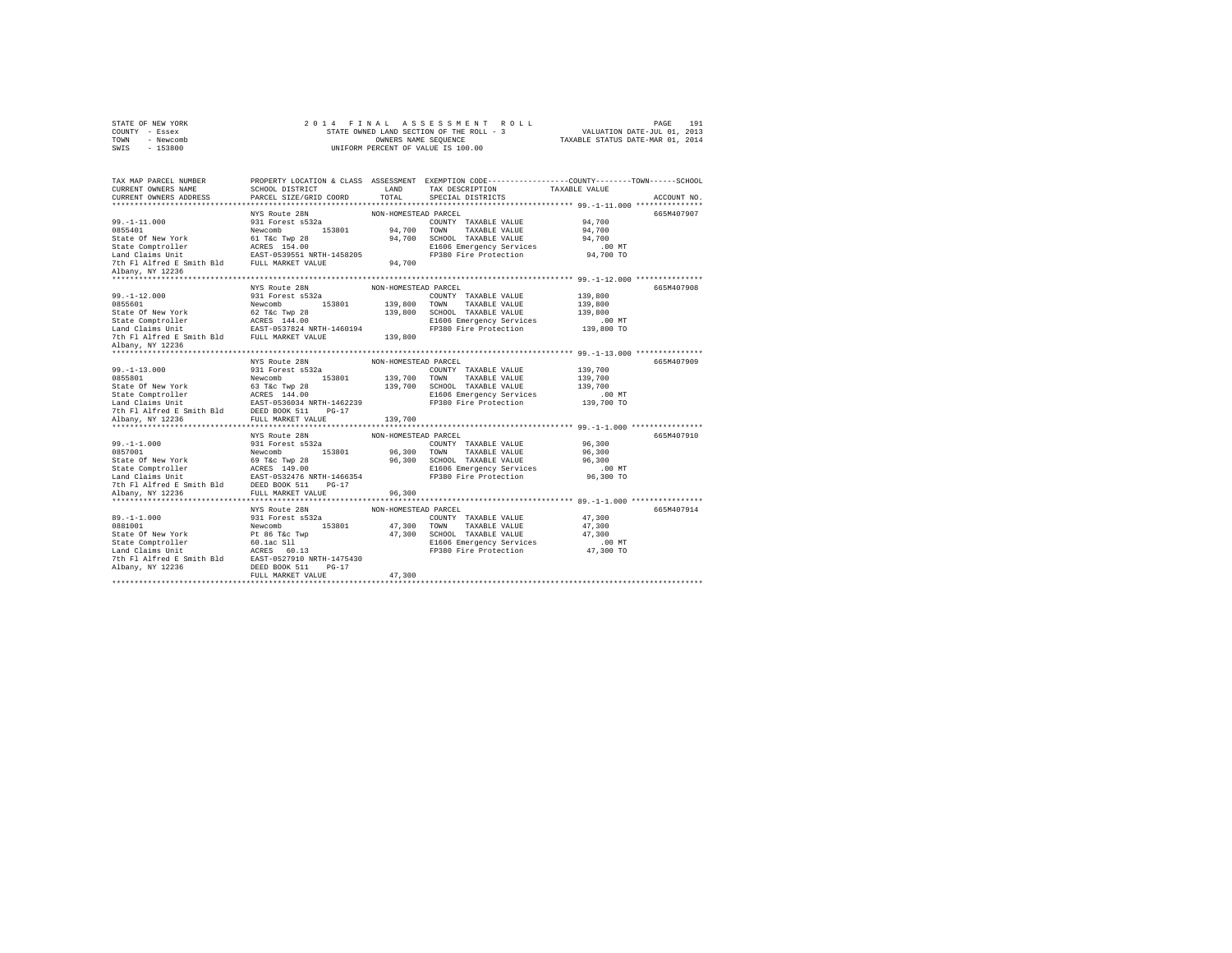| COUNTY - Essex                                                                                                                                                                                                                                  |                                    |                      |                                                                                                                                                                                                                                                                                                                                                                                                                                                                                         |                      |             |
|-------------------------------------------------------------------------------------------------------------------------------------------------------------------------------------------------------------------------------------------------|------------------------------------|----------------------|-----------------------------------------------------------------------------------------------------------------------------------------------------------------------------------------------------------------------------------------------------------------------------------------------------------------------------------------------------------------------------------------------------------------------------------------------------------------------------------------|----------------------|-------------|
| TOWN - Newcomb<br>SWIS - 153800                                                                                                                                                                                                                 |                                    |                      | UNIFORM PERCENT OF VALUE IS 100.00                                                                                                                                                                                                                                                                                                                                                                                                                                                      |                      |             |
|                                                                                                                                                                                                                                                 |                                    |                      |                                                                                                                                                                                                                                                                                                                                                                                                                                                                                         |                      |             |
|                                                                                                                                                                                                                                                 |                                    |                      |                                                                                                                                                                                                                                                                                                                                                                                                                                                                                         |                      |             |
| TAX MAP PARCEL NUMBER     PROPERTY LOCATION & CLASS ASSESSMENT EXEMPTION CODE---------------COUNTY-------TOWN------SCHOOL DISTRICT     LAND   TAX DESCRIPTION     TAXABLE VALUE                                                                 |                                    |                      |                                                                                                                                                                                                                                                                                                                                                                                                                                                                                         |                      |             |
|                                                                                                                                                                                                                                                 |                                    |                      |                                                                                                                                                                                                                                                                                                                                                                                                                                                                                         |                      |             |
| CURRENT OWNERS ADDRESS PARCEL SIZE/GRID COORD                                                                                                                                                                                                   |                                    |                      | TOTAL SPECIAL DISTRICTS                                                                                                                                                                                                                                                                                                                                                                                                                                                                 |                      | ACCOUNT NO. |
|                                                                                                                                                                                                                                                 |                                    |                      |                                                                                                                                                                                                                                                                                                                                                                                                                                                                                         |                      |             |
|                                                                                                                                                                                                                                                 | NYS Route 28N                      | NON-HOMESTEAD PARCEL |                                                                                                                                                                                                                                                                                                                                                                                                                                                                                         |                      | 665M407907  |
| $99. - 1 - 11.000$<br>99.-1-11.000<br>0855401                                                                                                                                                                                                   | 931 Forest s532a                   |                      | COUNTY TAXABLE VALUE 94,700                                                                                                                                                                                                                                                                                                                                                                                                                                                             |                      |             |
|                                                                                                                                                                                                                                                 |                                    |                      |                                                                                                                                                                                                                                                                                                                                                                                                                                                                                         | 94,700               |             |
| 931 - 11.000<br>931 Forest s532a<br>94,700 TOWN TAXABLE VALUE<br>State Of New York<br>81 Tac Twp 28<br>84,700 SCHOOL TAXABLE VALUE<br>State Comptroller<br>28 154,700 SCHOOL TAXABLE VALUE<br>294,700 SCHOOL TAXABLE VALUE<br>294,700 SCHOOL TA |                                    |                      |                                                                                                                                                                                                                                                                                                                                                                                                                                                                                         | 94,700               |             |
|                                                                                                                                                                                                                                                 |                                    |                      |                                                                                                                                                                                                                                                                                                                                                                                                                                                                                         | 00 MT.<br>94,700 TO  |             |
|                                                                                                                                                                                                                                                 |                                    |                      |                                                                                                                                                                                                                                                                                                                                                                                                                                                                                         |                      |             |
|                                                                                                                                                                                                                                                 |                                    |                      |                                                                                                                                                                                                                                                                                                                                                                                                                                                                                         |                      |             |
| Albany, NY 12236                                                                                                                                                                                                                                |                                    |                      |                                                                                                                                                                                                                                                                                                                                                                                                                                                                                         |                      |             |
|                                                                                                                                                                                                                                                 |                                    |                      |                                                                                                                                                                                                                                                                                                                                                                                                                                                                                         |                      |             |
|                                                                                                                                                                                                                                                 | NYS Route 28N NON-HOMESTEAD PARCEL |                      |                                                                                                                                                                                                                                                                                                                                                                                                                                                                                         |                      | 665M407908  |
|                                                                                                                                                                                                                                                 |                                    |                      | COUNTY TAXABLE VALUE 139,800                                                                                                                                                                                                                                                                                                                                                                                                                                                            |                      |             |
|                                                                                                                                                                                                                                                 |                                    |                      |                                                                                                                                                                                                                                                                                                                                                                                                                                                                                         | 139,800              |             |
|                                                                                                                                                                                                                                                 |                                    |                      |                                                                                                                                                                                                                                                                                                                                                                                                                                                                                         | 139,800              |             |
|                                                                                                                                                                                                                                                 |                                    |                      |                                                                                                                                                                                                                                                                                                                                                                                                                                                                                         | 00 MT.<br>139,800 TO |             |
|                                                                                                                                                                                                                                                 |                                    |                      |                                                                                                                                                                                                                                                                                                                                                                                                                                                                                         |                      |             |
|                                                                                                                                                                                                                                                 |                                    |                      |                                                                                                                                                                                                                                                                                                                                                                                                                                                                                         |                      |             |
| Albany, NY 12236                                                                                                                                                                                                                                |                                    |                      |                                                                                                                                                                                                                                                                                                                                                                                                                                                                                         |                      |             |
|                                                                                                                                                                                                                                                 | NYS Route 28N                      | NON-HOMESTEAD PARCEL |                                                                                                                                                                                                                                                                                                                                                                                                                                                                                         |                      | 665M407909  |
|                                                                                                                                                                                                                                                 |                                    |                      | $\begin{tabular}{lllllll} \multicolumn{2}{c}{\textbf{COUNTY}} & \textbf{TAXABLE VALUE} & & & & 139 \, , \textbf{700} \\ \multicolumn{2}{c}{\textbf{\textit{C} }} & & \multicolumn{2}{c}{\textbf{\textit{C} }} & & \multicolumn{2}{c}{\textbf{\textit{C} }} \\ \multicolumn{2}{c}{\textbf{\textit{C} }} & & \multicolumn{2}{c}{\textbf{\textit{C} }} & & \multicolumn{2}{c}{\textbf{\textit{C} }} \\ \multicolumn{2}{c}{\textbf{\textit{C} }} & & \multicolumn{2}{c}{\textbf{\textit{C}$ |                      |             |
|                                                                                                                                                                                                                                                 |                                    |                      |                                                                                                                                                                                                                                                                                                                                                                                                                                                                                         | 139,700              |             |
|                                                                                                                                                                                                                                                 |                                    |                      |                                                                                                                                                                                                                                                                                                                                                                                                                                                                                         | 139,700              |             |
|                                                                                                                                                                                                                                                 |                                    |                      |                                                                                                                                                                                                                                                                                                                                                                                                                                                                                         |                      |             |
|                                                                                                                                                                                                                                                 |                                    |                      |                                                                                                                                                                                                                                                                                                                                                                                                                                                                                         | .00 MT<br>139,700 TO |             |
|                                                                                                                                                                                                                                                 |                                    |                      |                                                                                                                                                                                                                                                                                                                                                                                                                                                                                         |                      |             |
|                                                                                                                                                                                                                                                 |                                    |                      |                                                                                                                                                                                                                                                                                                                                                                                                                                                                                         |                      |             |
|                                                                                                                                                                                                                                                 |                                    |                      |                                                                                                                                                                                                                                                                                                                                                                                                                                                                                         |                      |             |
|                                                                                                                                                                                                                                                 | NYS Route 28N                      | NON-HOMESTEAD PARCEL |                                                                                                                                                                                                                                                                                                                                                                                                                                                                                         |                      | 665M407910  |
|                                                                                                                                                                                                                                                 |                                    |                      | $\begin{tabular}{lllllll} \multicolumn{2}{l}{{\text{COUNTY}}} & \multicolumn{2}{l}{\text{TAXABLE VALUE}} & \multicolumn{2}{l}{\text{VALUE}} & \multicolumn{2}{l}{\text{96,300}} \end{tabular}$                                                                                                                                                                                                                                                                                          |                      |             |
|                                                                                                                                                                                                                                                 |                                    |                      |                                                                                                                                                                                                                                                                                                                                                                                                                                                                                         | 96,300               |             |
|                                                                                                                                                                                                                                                 |                                    |                      |                                                                                                                                                                                                                                                                                                                                                                                                                                                                                         | 96,300               |             |
|                                                                                                                                                                                                                                                 |                                    |                      |                                                                                                                                                                                                                                                                                                                                                                                                                                                                                         |                      |             |
|                                                                                                                                                                                                                                                 |                                    |                      |                                                                                                                                                                                                                                                                                                                                                                                                                                                                                         | 00 MT.<br>96,300 TO  |             |
|                                                                                                                                                                                                                                                 |                                    |                      |                                                                                                                                                                                                                                                                                                                                                                                                                                                                                         |                      |             |
|                                                                                                                                                                                                                                                 |                                    |                      |                                                                                                                                                                                                                                                                                                                                                                                                                                                                                         |                      |             |
|                                                                                                                                                                                                                                                 |                                    |                      |                                                                                                                                                                                                                                                                                                                                                                                                                                                                                         |                      |             |
|                                                                                                                                                                                                                                                 | NYS Route 28N                      | NON-HOMESTEAD PARCEL |                                                                                                                                                                                                                                                                                                                                                                                                                                                                                         |                      | 665M407914  |
|                                                                                                                                                                                                                                                 |                                    |                      | COUNTY TAXABLE VALUE 47,300                                                                                                                                                                                                                                                                                                                                                                                                                                                             |                      |             |
|                                                                                                                                                                                                                                                 |                                    |                      |                                                                                                                                                                                                                                                                                                                                                                                                                                                                                         | 47,300               |             |
|                                                                                                                                                                                                                                                 |                                    |                      |                                                                                                                                                                                                                                                                                                                                                                                                                                                                                         | 47,300               |             |
|                                                                                                                                                                                                                                                 |                                    |                      |                                                                                                                                                                                                                                                                                                                                                                                                                                                                                         | .00MT                |             |
|                                                                                                                                                                                                                                                 |                                    |                      |                                                                                                                                                                                                                                                                                                                                                                                                                                                                                         | 47,300 TO            |             |
|                                                                                                                                                                                                                                                 |                                    |                      |                                                                                                                                                                                                                                                                                                                                                                                                                                                                                         |                      |             |
|                                                                                                                                                                                                                                                 |                                    |                      |                                                                                                                                                                                                                                                                                                                                                                                                                                                                                         |                      |             |
|                                                                                                                                                                                                                                                 | FULL MARKET VALUE                  | 47,300               |                                                                                                                                                                                                                                                                                                                                                                                                                                                                                         |                      |             |
|                                                                                                                                                                                                                                                 |                                    |                      |                                                                                                                                                                                                                                                                                                                                                                                                                                                                                         |                      |             |

STATE OF NEW YORK 2 0 1 4 F I N A L A S S E S S M E N T R O L L PAGE 191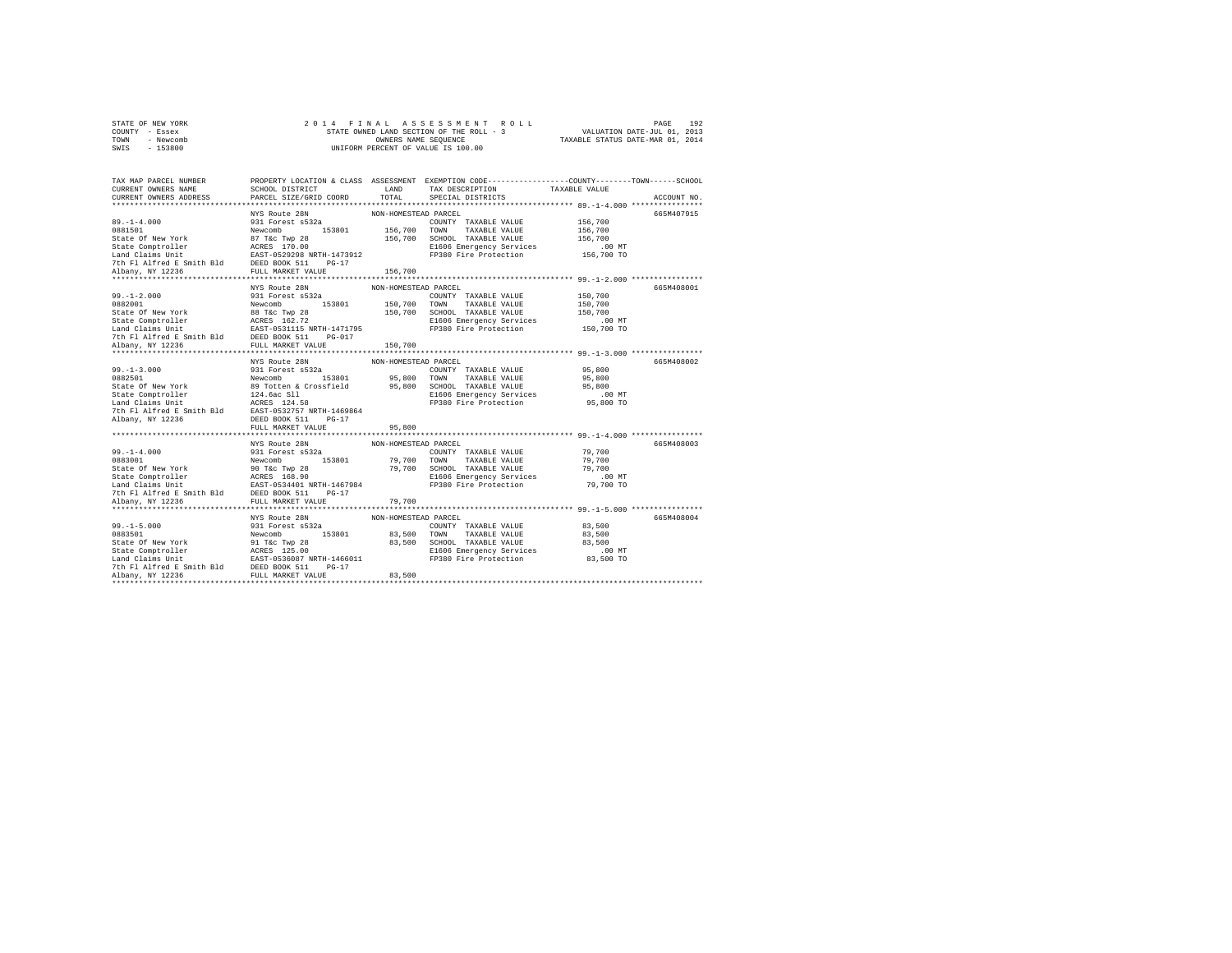| STATE OF NEW YORK |           |  |  | 2014 FINAL ASSESSMENT ROLL               |                                  | PAGE | 192 |
|-------------------|-----------|--|--|------------------------------------------|----------------------------------|------|-----|
| COUNTY - Essex    |           |  |  | STATE OWNED LAND SECTION OF THE ROLL - 3 | VALUATION DATE-JUL 01, 2013      |      |     |
| TOWN              | - Newcomb |  |  | OWNERS NAME SEOUENCE                     | TAXABLE STATUS DATE-MAR 01, 2014 |      |     |
| SWIS              | $-153800$ |  |  | UNIFORM PERCENT OF VALUE IS 100.00       |                                  |      |     |

| TAX MAP PARCEL NUMBER<br>CURRENT OWNERS NAME<br>CURRENT OWNERS ADDRESS                                                                                                                                                                                                 | PROPERTY LOCATION & CLASS ASSESSMENT EXEMPTION CODE----------------COUNTY-------TOWN-----SCHOOL<br>SCHOOL DISTRICT<br>PARCEL SIZE/GRID COORD | <b>T.AND</b><br>TOTAL           | TAX DESCRIPTION TAXABLE VALUE<br>SERCIAL DISTRICTS<br>SPECIAL DISTRICTS                            |                      | ACCOUNT NO. |
|------------------------------------------------------------------------------------------------------------------------------------------------------------------------------------------------------------------------------------------------------------------------|----------------------------------------------------------------------------------------------------------------------------------------------|---------------------------------|----------------------------------------------------------------------------------------------------|----------------------|-------------|
| 99.-1-4.000<br>99.1-4.000 PM PROCESS 2018<br>931 Forest 8322<br>931 Forest 8322<br>931 Forest 8322<br>931 Forest 8322<br>931 Forest 8322<br>931 Forest 8322<br>931 Forest 8322<br>936 110.00 PM PRODUIT AXBLE VALUE<br>936 PEP 100 CCUDIT AXBLE VA<br>Albany, NY 12236 | NYS Route 28N<br>FULL MARKET VALUE                                                                                                           | NON-HOMESTEAD PARCEL<br>156,700 |                                                                                                    | 00 MT.<br>156,700 TO | 665M407915  |
| ******************<br>99.-1-2.000<br>291 Forest s532a<br>2000<br>291 Forest s532a<br>2000<br>291 Forest s532a<br>2000 153,700 TOWN TAXABLE VALUE 150,700<br>2000 150,700 1000 12000 12000 12000 12000<br>2000 12000 12000 12000 12000 12000 12000 12000<br>2000 200    | **************************<br>NYS Route 28N                                                                                                  | NON-HOMESTEAD PARCEL            |                                                                                                    |                      | 665M408001  |
| 99.-1-3.000<br>29.1-3.000<br>29.1-3.000<br>200NFT TAXABLE VALUE<br>214.4 CONTT TAXABLE VALUE<br>214.4 CONTT TAXABLE VALUE<br>214.5 214.5 214.5 214.5 214.5 214.5 214.5 214.5 214.5 214.5 214.5 214.7 214.7 214.7 214.7 214.7 214.7 214.7 2                             | NYS Route 28N<br>FULL MARKET VALUE                                                                                                           | NON-HOMESTEAD PARCEL<br>95,800  | COUNTY TAXABLE VALUE 95,800<br>E1606 Emergency Services .00 MT<br>FP380 Fire Protection  95,800 TO | 95,800<br>95,800     | 665M408002  |
| 99.-1-4.000 MW-HOMESTER VALUE 2011 NON-HOMESTER PARCEL 2011<br>99.1-4.000 931 Forest s532a COUNTY TAXABLE VALUE 79,700<br>9883001 Newcomb 153801 79,700 TOWN TAXABLE VALUE 79,700<br>State Comptroller 2017 NETH-1467984 E1606 Emerg                                   | ***************************<br>NYS Route 28N                                                                                                 | NON-HOMESTEAD PARCEL            |                                                                                                    |                      | 665M408003  |
|                                                                                                                                                                                                                                                                        | NYS Route 28N                                                                                                                                | NON-HOMESTEAD PARCEL            |                                                                                                    |                      | 665M408004  |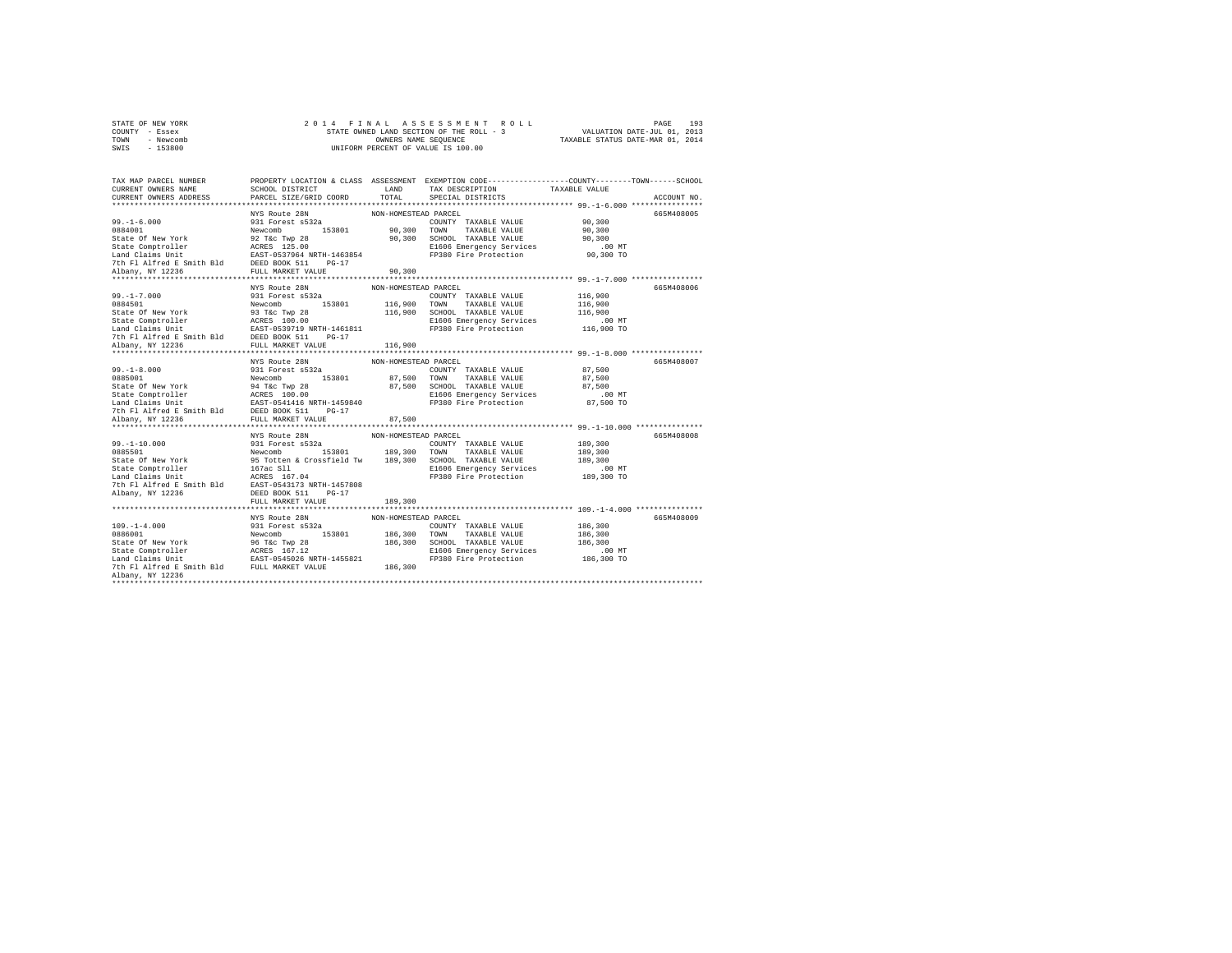|                | STATE OF NEW YORK |  |  | 2014 FINAL ASSESSMENT ROLL               |                                  | PAGE                        | 193 |
|----------------|-------------------|--|--|------------------------------------------|----------------------------------|-----------------------------|-----|
| COUNTY - Essex |                   |  |  | STATE OWNED LAND SECTION OF THE ROLL - 3 |                                  | VALUATION DATE-JUL 01, 2013 |     |
| TOWN           | - Newcomb         |  |  | OWNERS NAME SEOUENCE                     | TAXABLE STATUS DATE-MAR 01, 2014 |                             |     |
| SWIS           | $-153800$         |  |  | UNIFORM PERCENT OF VALUE IS 100.00       |                                  |                             |     |

| TAX MAP PARCEL NUMBER PROPERTY LOCATION & CLASS ASSESSMENT EXEMPTION CODE---------------COUNTY-------TOWN------SCHOOL                                                                                                                          |                                    |                      |  |             |
|------------------------------------------------------------------------------------------------------------------------------------------------------------------------------------------------------------------------------------------------|------------------------------------|----------------------|--|-------------|
| CURRENT OWNERS NAME                                                                                                                                                                                                                            |                                    |                      |  |             |
| CURRENT OWNERS ADDRESS PARCEL SIZE/GRID COORD                                                                                                                                                                                                  |                                    |                      |  | ACCOUNT NO. |
|                                                                                                                                                                                                                                                |                                    |                      |  |             |
| 99.-1-6.000<br>29.1-6.000 NYS Route 28N<br>29.1-6.000 NYS Route 28N<br>29.100 NYS Route 28N<br>29.100 TWYN TAXABLE VALUE 90,300<br>20.300 TWN TAXABLE VALUE 90,300<br>20.300 TWN TAXABLE VALUE 90,300<br>20.300 TWN TAXABLE VALUE 90,300<br>20 |                                    |                      |  | 665M408005  |
|                                                                                                                                                                                                                                                |                                    |                      |  |             |
|                                                                                                                                                                                                                                                |                                    |                      |  |             |
|                                                                                                                                                                                                                                                |                                    |                      |  |             |
|                                                                                                                                                                                                                                                |                                    |                      |  |             |
|                                                                                                                                                                                                                                                |                                    |                      |  |             |
|                                                                                                                                                                                                                                                |                                    |                      |  |             |
|                                                                                                                                                                                                                                                |                                    |                      |  |             |
| **************************                                                                                                                                                                                                                     |                                    |                      |  |             |
|                                                                                                                                                                                                                                                | NYS Route 28N                      | NON-HOMESTEAD PARCEL |  | 665M408006  |
|                                                                                                                                                                                                                                                |                                    |                      |  |             |
|                                                                                                                                                                                                                                                |                                    |                      |  |             |
|                                                                                                                                                                                                                                                |                                    |                      |  |             |
|                                                                                                                                                                                                                                                |                                    |                      |  |             |
|                                                                                                                                                                                                                                                |                                    |                      |  |             |
| 99.-1-7.000 931 Forest 4532a<br>MARE VALUE 2000 20084501 116,900<br>State Of New York 931 Forest 4532a<br>State Comptroller 8.632a<br>State Comptroller 8.637a<br>State Comptroller 8.637a<br>State Comptroller 8.637a<br>State Comptroller    |                                    |                      |  |             |
|                                                                                                                                                                                                                                                |                                    |                      |  |             |
|                                                                                                                                                                                                                                                |                                    |                      |  |             |
|                                                                                                                                                                                                                                                |                                    |                      |  | 665M408007  |
|                                                                                                                                                                                                                                                |                                    |                      |  |             |
|                                                                                                                                                                                                                                                |                                    |                      |  |             |
|                                                                                                                                                                                                                                                |                                    |                      |  |             |
|                                                                                                                                                                                                                                                |                                    |                      |  |             |
|                                                                                                                                                                                                                                                |                                    |                      |  |             |
|                                                                                                                                                                                                                                                |                                    |                      |  |             |
| 99.-1-8.000 MYS Route 28N NON-HOMESTEAD PARCEL<br>0885001 08715 Forest 8532a NON-HOMESTEAD PARCEL<br>281 FOREST AVENUE 87,500<br>State Of New York Revcomb 87,500 TOWN TAXABLE VALUE 87,500<br>State Comptroller AGRS 100.00 87,500 CH         |                                    |                      |  |             |
|                                                                                                                                                                                                                                                |                                    |                      |  |             |
|                                                                                                                                                                                                                                                | NYS Route 28N NON-HOMESTEAD PARCEL |                      |  | 665M408008  |
|                                                                                                                                                                                                                                                |                                    |                      |  |             |
|                                                                                                                                                                                                                                                |                                    |                      |  |             |
|                                                                                                                                                                                                                                                |                                    |                      |  |             |
|                                                                                                                                                                                                                                                |                                    |                      |  |             |
|                                                                                                                                                                                                                                                |                                    |                      |  |             |
|                                                                                                                                                                                                                                                |                                    |                      |  |             |
|                                                                                                                                                                                                                                                |                                    |                      |  |             |
| 99.-1-10.000<br>NON-HOMESTER COUNTY TAXABLE VALUE 2NN ASSSOCIAL COUNTY TAXABLE VALUE 189,300<br>0885501<br>State Of New York State (Street a Crossfield Tw 189,300 TOWN TAXABLE VALUE 189,300<br>State Competent 167 -01 189,300 SCH           |                                    |                      |  |             |
|                                                                                                                                                                                                                                                |                                    |                      |  |             |
|                                                                                                                                                                                                                                                | NYS Route 28N                      | NON-HOMESTEAD PARCEL |  | 665M408009  |
|                                                                                                                                                                                                                                                |                                    |                      |  |             |
|                                                                                                                                                                                                                                                |                                    |                      |  |             |
|                                                                                                                                                                                                                                                |                                    |                      |  |             |
|                                                                                                                                                                                                                                                |                                    |                      |  |             |
|                                                                                                                                                                                                                                                |                                    |                      |  |             |
|                                                                                                                                                                                                                                                |                                    |                      |  |             |
| Albany, NY 12236                                                                                                                                                                                                                               |                                    |                      |  |             |
|                                                                                                                                                                                                                                                |                                    |                      |  |             |
|                                                                                                                                                                                                                                                |                                    |                      |  |             |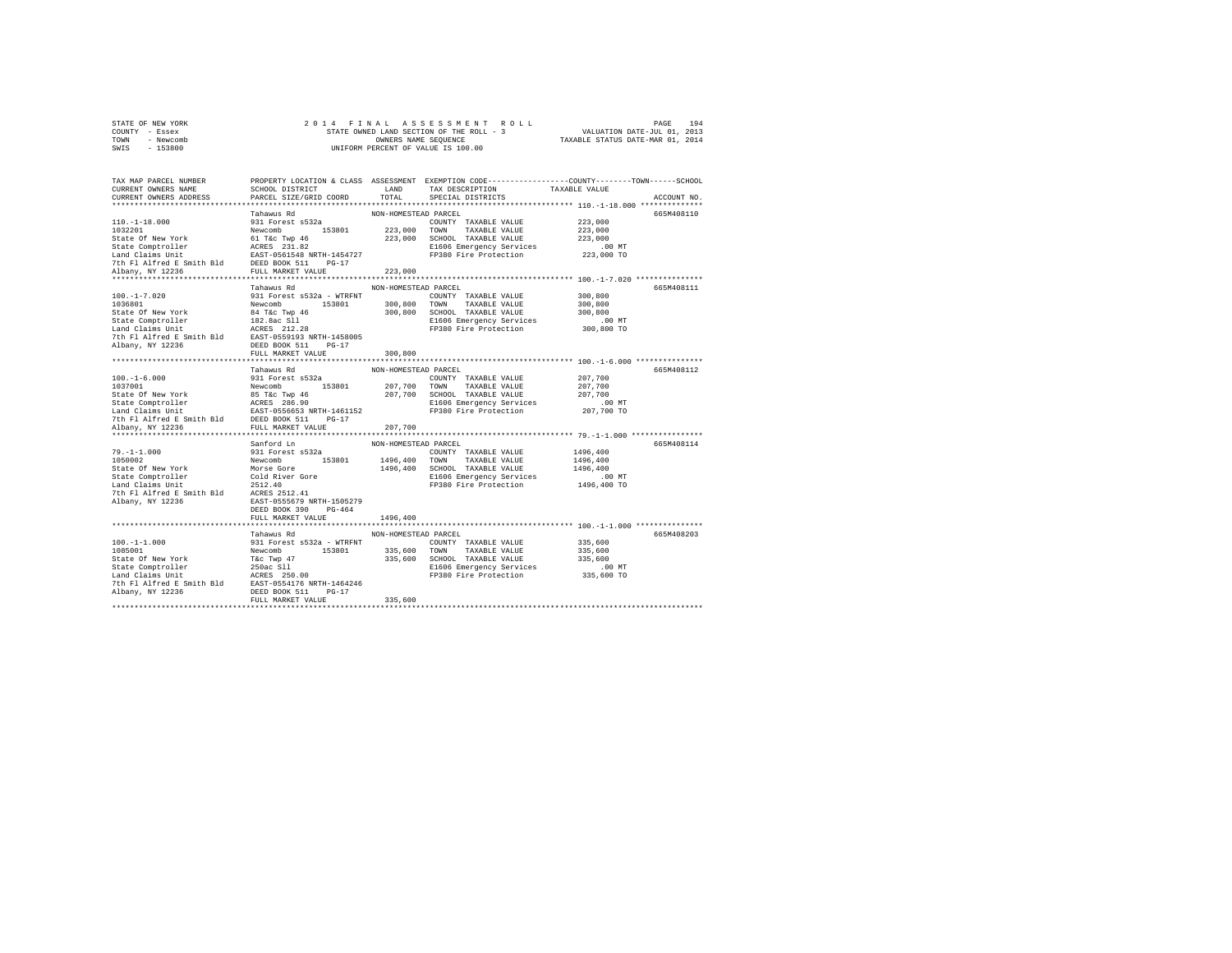| STATE OF NEW YORK |           |  |  | 2014 FINAL ASSESSMENT ROLL               |                                  | PAGE                        | 194 |
|-------------------|-----------|--|--|------------------------------------------|----------------------------------|-----------------------------|-----|
| COUNTY - Essex    |           |  |  | STATE OWNED LAND SECTION OF THE ROLL - 3 |                                  | VALUATION DATE-JUL 01, 2013 |     |
| TOWN              | - Newcomb |  |  | OWNERS NAME SEOUENCE                     | TAXABLE STATUS DATE-MAR 01, 2014 |                             |     |
| SWIS              | $-153800$ |  |  | UNIFORM PERCENT OF VALUE IS 100.00       |                                  |                             |     |

| TAX MAP PARCEL NUMBER<br>CURRENT OWNERS NAME<br>CURRENT OWNERS ADDRESS 6 PARCEL SIZE/GRID COORD 6 TOTAL 6PECIAL DISTRICTS                                                                                                                      | PROPERTY LOCATION & CLASS ASSESSMENT EXEMPTION CODE----------------COUNTY-------TOWN-----SCHOOL<br>SCHOOL DISTRICT                       LAND        TAX DESCRIPTION                  TAXABLE VALUE |         |  | ACCOUNT NO. |
|------------------------------------------------------------------------------------------------------------------------------------------------------------------------------------------------------------------------------------------------|-----------------------------------------------------------------------------------------------------------------------------------------------------------------------------------------------------|---------|--|-------------|
|                                                                                                                                                                                                                                                |                                                                                                                                                                                                     | 223,000 |  | 665M408110  |
| 11 17.020 12.020 12.03 12.03 12.03 12.03 12.04 12.04 12.04 12.04 12.04 12.04 12.04 12.04 12.04 12.04 12.04 12.04 12.04 12.04 12.04 12.04 12.04 12.04 12.04 12.04 12.04 12.04 12.04 12.04 12.04 12.04 12.04 12.04 12.04 12.04 1                 |                                                                                                                                                                                                     |         |  |             |
| 1991 - 16.000<br>1991 - Tahawus Rd<br>1991 - Tahawus Rd<br>1991 - 16.000 - 16.000<br>- 16.000 - 16.000 - 16.000<br>1997001 - 16.000 - 16.000<br>207,700 - 17980 - 17980 - 207,700<br>State Comptroller - RGRS 26.90<br>State Comptroller - RGR |                                                                                                                                                                                                     |         |  | 665M408112  |
| 31 1978 (1.1.000 Starford Line MAN-HOMESTEAD PARCEL<br>1970-1-1.000 931 Forest 6532a<br>1981 Forest 6532a<br>2019 Mewcomb 153801 1496,400 TOWN TAXABLE VALUE 1496,400<br>25tate Of New York Morse Gore 1496,400 SCHOOL TAXABLE VALUE 1         |                                                                                                                                                                                                     |         |  | 665M408114  |
|                                                                                                                                                                                                                                                | Tahawus Rd<br>NON-HOMESTEAD PARCEL                                                                                                                                                                  |         |  | 665M408203  |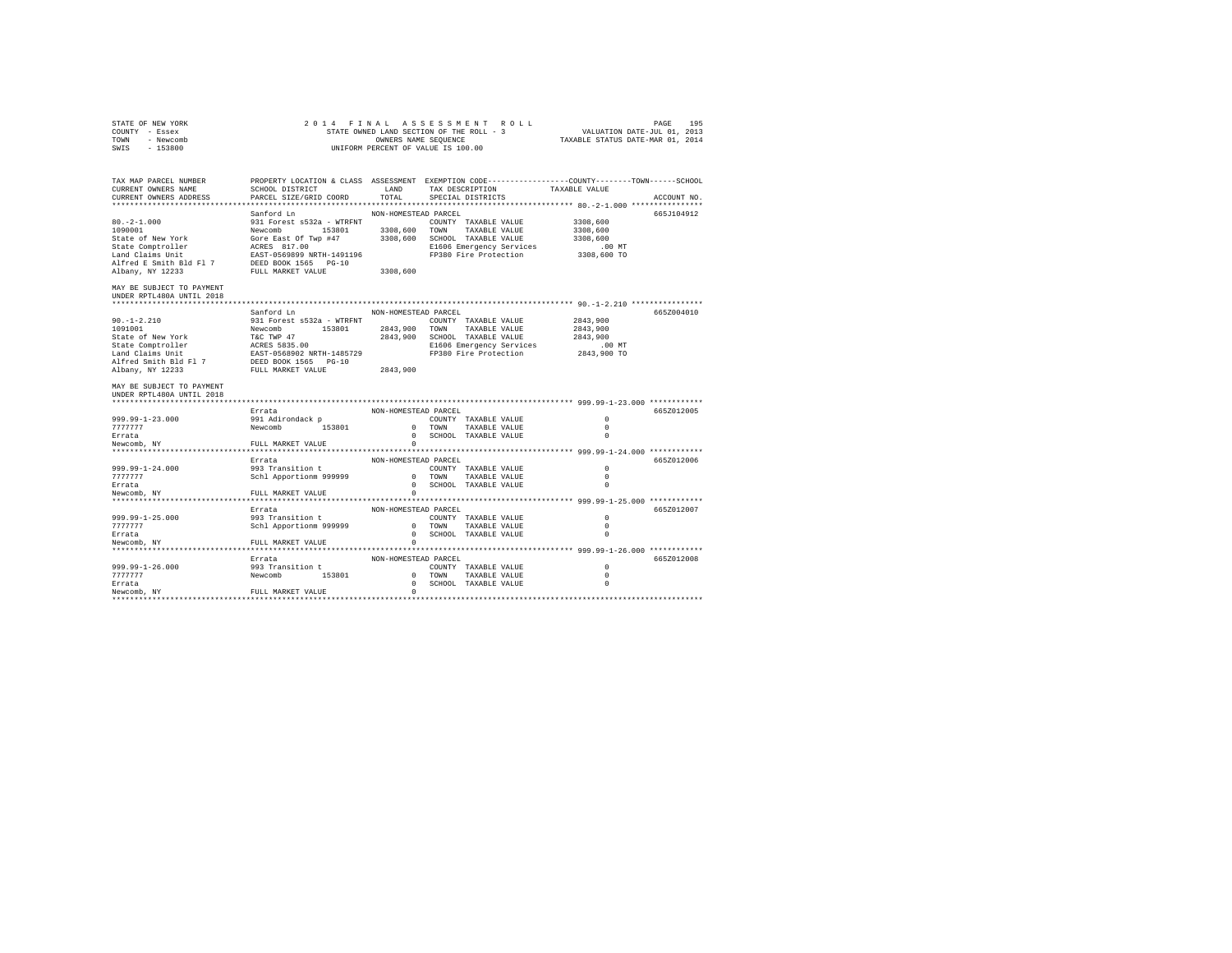| STATE OF NEW YORK         | 2 0 1 4<br>FINAL                                                                                |                                    |        | ASSESSMENT ROLL          |  |                                  | PAGE        | 195 |
|---------------------------|-------------------------------------------------------------------------------------------------|------------------------------------|--------|--------------------------|--|----------------------------------|-------------|-----|
| COUNTY - Essex            | STATE OWNED LAND SECTION OF THE ROLL - 3<br>VALUATION DATE-JUL 01, 2013                         |                                    |        |                          |  |                                  |             |     |
| TOWN<br>- Newcomb         |                                                                                                 | OWNERS NAME SEQUENCE               |        |                          |  | TAXABLE STATUS DATE-MAR 01, 2014 |             |     |
| $-153800$<br>SWIS         |                                                                                                 | UNIFORM PERCENT OF VALUE IS 100.00 |        |                          |  |                                  |             |     |
|                           |                                                                                                 |                                    |        |                          |  |                                  |             |     |
|                           |                                                                                                 |                                    |        |                          |  |                                  |             |     |
|                           |                                                                                                 |                                    |        |                          |  |                                  |             |     |
| TAX MAP PARCEL NUMBER     | PROPERTY LOCATION & CLASS ASSESSMENT EXEMPTION CODE----------------COUNTY-------TOWN-----SCHOOL |                                    |        |                          |  |                                  |             |     |
| CURRENT OWNERS NAME       | SCHOOL DISTRICT                                                                                 | LAND                               |        | TAX DESCRIPTION          |  | TAXABLE VALUE                    |             |     |
| CURRENT OWNERS ADDRESS    | PARCEL SIZE/GRID COORD                                                                          | TOTAL                              |        | SPECIAL DISTRICTS        |  |                                  | ACCOUNT NO. |     |
|                           |                                                                                                 |                                    |        |                          |  |                                  |             |     |
|                           | Sanford Ln                                                                                      | NON-HOMESTEAD PARCEL               |        |                          |  |                                  | 665J104912  |     |
| $80. -2 - 1.000$          | 931 Forest s532a - WTRFNT                                                                       |                                    |        | COUNTY TAXABLE VALUE     |  | 3308,600                         |             |     |
| 1090001                   | Newcomb 153801                                                                                  | 3308,600                           | TOWN   | TAXABLE VALUE            |  | 3308,600                         |             |     |
| State of New York         | Gore East Of Twp #47                                                                            | 3308,600                           |        | SCHOOL TAXABLE VALUE     |  | 3308,600                         |             |     |
| State Comptroller         | ACRES 817.00                                                                                    |                                    |        | E1606 Emergency Services |  | $.00$ MT                         |             |     |
| Land Claims Unit          | EAST-0569899 NRTH-1491196                                                                       |                                    |        | FP380 Fire Protection    |  | 3308,600 TO                      |             |     |
| Alfred E Smith Bld Fl 7   | DEED BOOK 1565 PG-10                                                                            |                                    |        |                          |  |                                  |             |     |
| Albany, NY 12233          | FULL MARKET VALUE                                                                               | 3308,600                           |        |                          |  |                                  |             |     |
|                           |                                                                                                 |                                    |        |                          |  |                                  |             |     |
| MAY BE SUBJECT TO PAYMENT |                                                                                                 |                                    |        |                          |  |                                  |             |     |
|                           |                                                                                                 |                                    |        |                          |  |                                  |             |     |
| UNDER RPTL480A UNTIL 2018 |                                                                                                 |                                    |        |                          |  |                                  |             |     |
|                           |                                                                                                 |                                    |        |                          |  |                                  |             |     |
|                           | Sanford Ln                                                                                      | NON-HOMESTEAD PARCEL               |        |                          |  |                                  | 665Z004010  |     |
| $90. -1 - 2.210$          | 931 Forest s532a - WTRFNT                                                                       |                                    |        | COUNTY TAXABLE VALUE     |  | 2843,900                         |             |     |
| 1091001                   | Newcomb 153801                                                                                  | 2843,900                           | TOWN   | TAXABLE VALUE            |  | 2843,900                         |             |     |
| State of New York         | T&C TWP 47<br>T&C TWP 47<br>ACRES 5835.00                                                       | 2843,900                           |        | SCHOOL TAXABLE VALUE     |  | 2843,900                         |             |     |
| State Comptroller         |                                                                                                 |                                    |        | E1606 Emergency Services |  | $.00$ MT                         |             |     |
| Land Claims Unit          | EAST-0568902 NRTH-1485729                                                                       |                                    |        | FP380 Fire Protection    |  | 2843,900 TO                      |             |     |
| Alfred Smith Bld Fl 7     | DEED BOOK 1565 PG-10                                                                            |                                    |        |                          |  |                                  |             |     |
| Albany, NY 12233          | FULL MARKET VALUE                                                                               | 2843,900                           |        |                          |  |                                  |             |     |
|                           |                                                                                                 |                                    |        |                          |  |                                  |             |     |
| MAY BE SUBJECT TO PAYMENT |                                                                                                 |                                    |        |                          |  |                                  |             |     |
| UNDER RPTL480A UNTIL 2018 |                                                                                                 |                                    |        |                          |  |                                  |             |     |
|                           |                                                                                                 |                                    |        |                          |  |                                  |             |     |
|                           | Errata                                                                                          | NON-HOMESTEAD PARCEL               |        |                          |  |                                  | 665Z012005  |     |
|                           |                                                                                                 |                                    |        | COUNTY TAXABLE VALUE     |  | $\Omega$                         |             |     |
| 999.99-1-23.000           | 991 Adirondack p                                                                                |                                    |        |                          |  | $\Omega$                         |             |     |
| 7777777                   | Newcomb 153801                                                                                  |                                    | 0 TOWN | TAXABLE VALUE            |  |                                  |             |     |
| Errata                    |                                                                                                 | $^{\circ}$                         |        | SCHOOL TAXABLE VALUE     |  | $\Omega$                         |             |     |
| Newcomb, NY               | FULL MARKET VALUE                                                                               | $\Omega$                           |        |                          |  |                                  |             |     |
|                           |                                                                                                 |                                    |        |                          |  |                                  |             |     |
|                           | Errata                                                                                          | NON-HOMESTEAD PARCEL               |        |                          |  |                                  | 665Z012006  |     |
| 999.99-1-24.000           | 993 Transition t                                                                                |                                    |        | COUNTY TAXABLE VALUE     |  | $\circ$                          |             |     |
| 777777                    | Schl Apportionm 999999                                                                          |                                    | 0 TOWN | TAXABLE VALUE            |  | $\Omega$                         |             |     |
| Errata                    |                                                                                                 | $\Omega$                           |        | SCHOOL TAXABLE VALUE     |  | $\Omega$                         |             |     |
| Newcomb, NY               | FULL MARKET VALUE                                                                               | $^{\circ}$                         |        |                          |  |                                  |             |     |
|                           |                                                                                                 |                                    |        |                          |  |                                  |             |     |
|                           | Errata                                                                                          | NON-HOMESTEAD PARCEL               |        |                          |  |                                  | 665Z012007  |     |
| 999.99-1-25.000           | 993 Transition t                                                                                |                                    |        | COUNTY TAXABLE VALUE     |  | $\Omega$                         |             |     |
| 7777777                   | Schl Apportionm 999999                                                                          | $\Omega$                           | TOWN   | TAXABLE VALUE            |  | $\Omega$                         |             |     |
| Errata                    |                                                                                                 | $\mathbf{r}$                       |        | SCHOOL TAXABLE VALUE     |  | $\Omega$                         |             |     |
|                           |                                                                                                 | $\circ$                            |        |                          |  |                                  |             |     |
| Newcomb, NY               | FULL MARKET VALUE                                                                               |                                    |        |                          |  |                                  |             |     |
|                           |                                                                                                 |                                    |        |                          |  |                                  |             |     |
|                           | Errata                                                                                          | NON-HOMESTEAD PARCEL               |        |                          |  |                                  | 665Z012008  |     |
| 999.99-1-26.000           | 993 Transition t                                                                                |                                    |        | COUNTY TAXABLE VALUE     |  | $\Omega$                         |             |     |
| 7777777                   | Newcomb<br>153801                                                                               |                                    | 0 TOWN | TAXABLE VALUE            |  | $\Omega$                         |             |     |
| Errata                    |                                                                                                 |                                    |        | 0 SCHOOL TAXABLE VALUE   |  | $\Omega$                         |             |     |
| Newcomb, NY               | FULL MARKET VALUE                                                                               | $\Omega$                           |        |                          |  |                                  |             |     |
|                           |                                                                                                 |                                    |        |                          |  |                                  |             |     |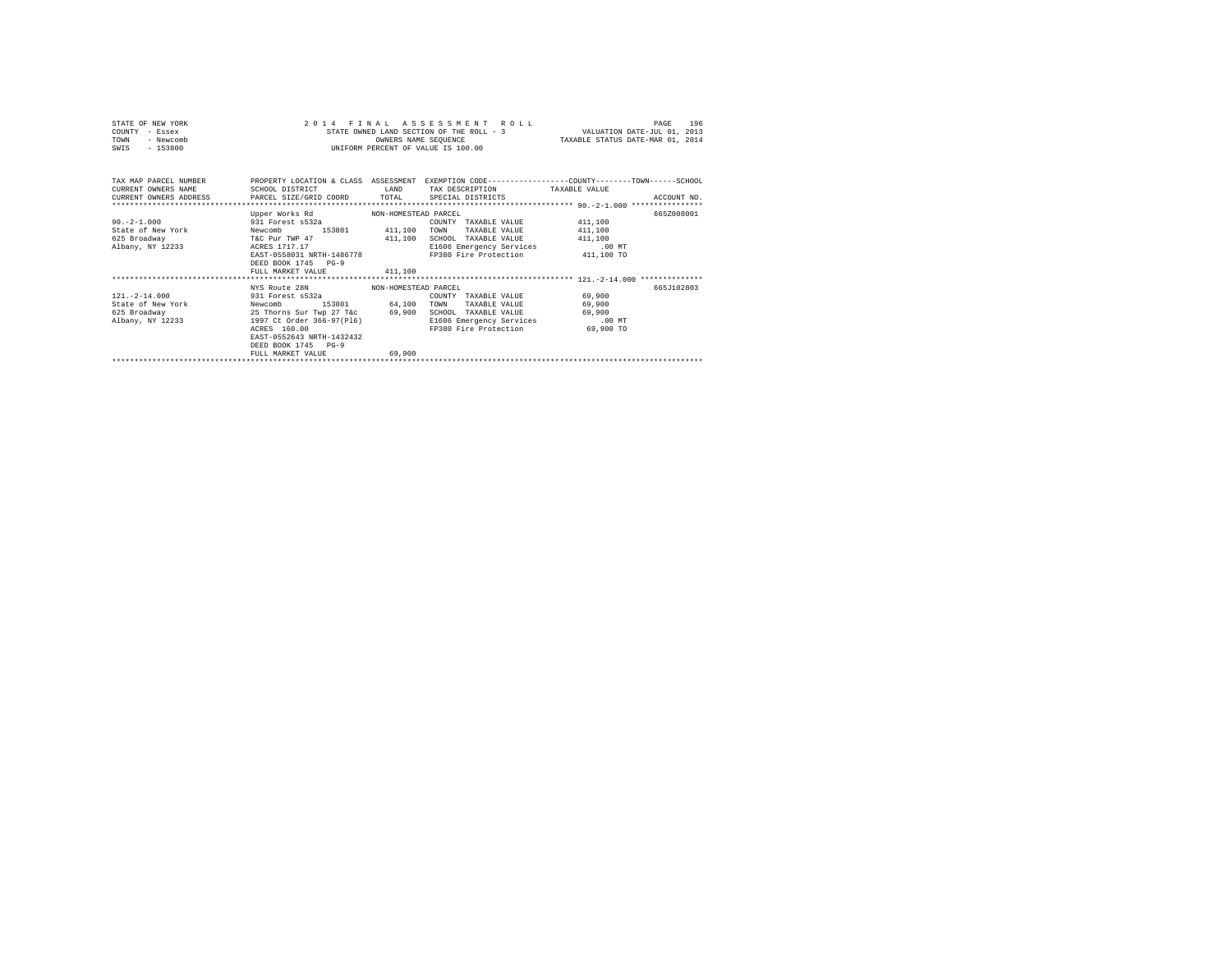| STATE OF NEW YORK<br>COUNTY - Essex<br>- Newcomb<br>TOWN<br>$-153800$<br>SWIS                                                                                                                                                |                                                                                                                                                                                                              | OWNERS NAME SEOUENCE | 2014 FINAL ASSESSMENT ROLL<br>STATE OWNED LAND SECTION OF THE ROLL - 3 WALUATION DATE-JUL 01, 2013<br>UNIFORM PERCENT OF VALUE IS 100.00 | TAXABLE STATUS DATE-MAR 01, 2014        | 196<br>PAGE |
|------------------------------------------------------------------------------------------------------------------------------------------------------------------------------------------------------------------------------|--------------------------------------------------------------------------------------------------------------------------------------------------------------------------------------------------------------|----------------------|------------------------------------------------------------------------------------------------------------------------------------------|-----------------------------------------|-------------|
| TAX MAP PARCEL NUMBER THE PROPERTY LOCATION & CLASS ASSESSMENT EXEMPTION CODE--------------COUNTY-------TOWN------SCHOOL<br>CURRENT OWNERS NAME<br>CURRENT OWNERS ADDRESS PARCEL SIZE/GRID COORD TOTAL SPECIAL DISTRICTS<br> | SCHOOL DISTRICT                                                                                                                                                                                              |                      | LAND TAX DESCRIPTION TAXABLE VALUE                                                                                                       |                                         | ACCOUNT NO. |
| 90.-2-1.000 931 Forest s532a<br>State of New York Mewcomb 153801 411,100 TOWN<br>625 Broadway<br>Albany, NY 12233 ACRES 1717.17                                                                                              | Upper Works Rd MON-HOMESTEAD PARCEL<br>T&C Pur TWP 47 411,100 SCHOOL TAXABLE VALUE 411,100<br>EAST-0558031 NRTH-1486778 FP380 Fire Protection 411,100 TO<br>DEED BOOK 1745 PG-9<br>FULL MARKET VALUE 411,100 |                      | COUNTY TAXABLE VALUE 411,100<br>TAXABLE VALUE<br>E1606 Emergency Services .00 MT                                                         | 411,100                                 | 665Z008001  |
| $121. -2 - 14.000$<br>State of New York Mewcomb 153801 64,100 TOWN<br>625 Broadway<br>albany, NY 12233<br>Albany, NY 12233<br>ACRES 160.00                                                                                   | NYS Route 28N NON-HOMESTEAD PARCEL<br>931 Forest s532a<br>25 Thorns Sur Twp 27 T&c 69,900<br>EAST-0552643 NRTH-1432432<br>DEED BOOK 1745 PG-9<br>FULL MARKET VALUE                                           | 69,900               | COUNTY TAXABLE VALUE<br>TAXABLE VALUE<br>SCHOOL TAXABLE VALUE<br>E1606 Emergency Services .00 MT<br>FP380 Fire Protection                | 69,900<br>69,900<br>69,900<br>69,900 TO | 6657102803  |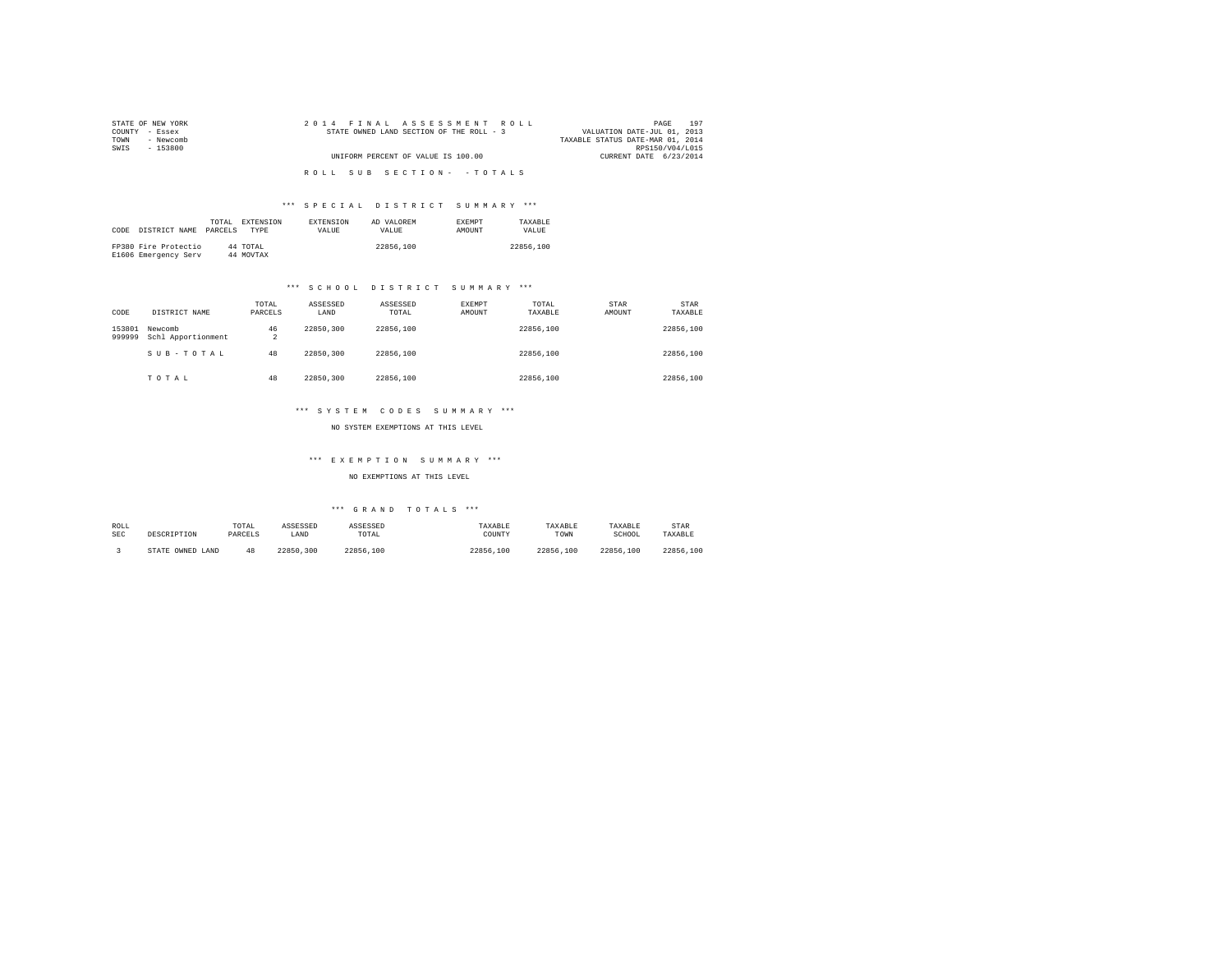| STATE OF NEW YORK | 2014 FINAL ASSESSMENT ROLL               | 197<br>PAGE                      |
|-------------------|------------------------------------------|----------------------------------|
| COUNTY - Essex    | STATE OWNED LAND SECTION OF THE ROLL - 3 | VALUATION DATE-JUL 01, 2013      |
| - Newcomb<br>TOWN |                                          | TAXABLE STATUS DATE-MAR 01, 2014 |
| SWIS<br>- 153800  |                                          | RPS150/V04/L015                  |
|                   | UNIFORM PERCENT OF VALUE IS 100.00       | CURRENT DATE 6/23/2014           |
|                   |                                          |                                  |
|                   | ROLL SUB SECTION- - TOTALS               |                                  |

# \*\*\* S P E C I A L D I S T R I C T S U M M A R Y \*\*\*

|      |                      | TOTAL   | EXTENSION | <b>EXTENSION</b> | AD VALOREM   | <b>EXEMPT</b> | TAXARLE   |
|------|----------------------|---------|-----------|------------------|--------------|---------------|-----------|
| CODE | DISTRICT NAME        | PARCELS | TYPE      | <b>VALUE</b>     | <b>VALUE</b> | <b>AMOUNT</b> | VALUE.    |
|      |                      |         |           |                  |              |               |           |
|      | FP380 Fire Protectio |         | 44 TOTAL  |                  | 22856,100    |               | 22856,100 |
|      | E1606 Emergency Serv |         | 44 MOVTAX |                  |              |               |           |

# \*\*\* S C H O O L D I S T R I C T S U M M A R Y \*\*\*

| CODE             | DISTRICT NAME                 | TOTAL<br>PARCELS     | ASSESSED<br>LAND | ASSESSED<br>TOTAL | EXEMPT<br>AMOUNT | TOTAL<br>TAXABLE | <b>STAR</b><br>AMOUNT | STAR<br>TAXABLE |
|------------------|-------------------------------|----------------------|------------------|-------------------|------------------|------------------|-----------------------|-----------------|
| 153801<br>999999 | Newcomb<br>Schl Apportionment | 46<br>$\overline{a}$ | 22850.300        | 22856,100         |                  | 22856,100        |                       | 22856,100       |
|                  | SUB-TOTAL                     | 48                   | 22850.300        | 22856,100         |                  | 22856,100        |                       | 22856,100       |
|                  | TOTAL                         | 48                   | 22850.300        | 22856,100         |                  | 22856,100        |                       | 22856,100       |

### \*\*\* S Y S T E M C O D E S S U M M A R Y \*\*\*

NO SYSTEM EXEMPTIONS AT THIS LEVEL

# \*\*\* E X E M P T I O N S U M M A R Y \*\*\*

## NO EXEMPTIONS AT THIS LEVEL

# \*\*\* G R A N D T O T A L S \*\*\*

| ROLL | DESCRIPTION      | TOTAL   | ASSESSED  | ASSESSED  | TAXABLE   | TAXABLE       | TAXABLE   | STAR      |
|------|------------------|---------|-----------|-----------|-----------|---------------|-----------|-----------|
| SEC  |                  | PARCELS | LAND      | TOTAL     | COUNTY    | TOWN          | SCHOOL    | TAXABLE   |
|      | STATE OWNED LAND | 48      | 22850.300 | 22856.100 | 22856,100 | 22856<br>.100 | 22856.100 | 22856.100 |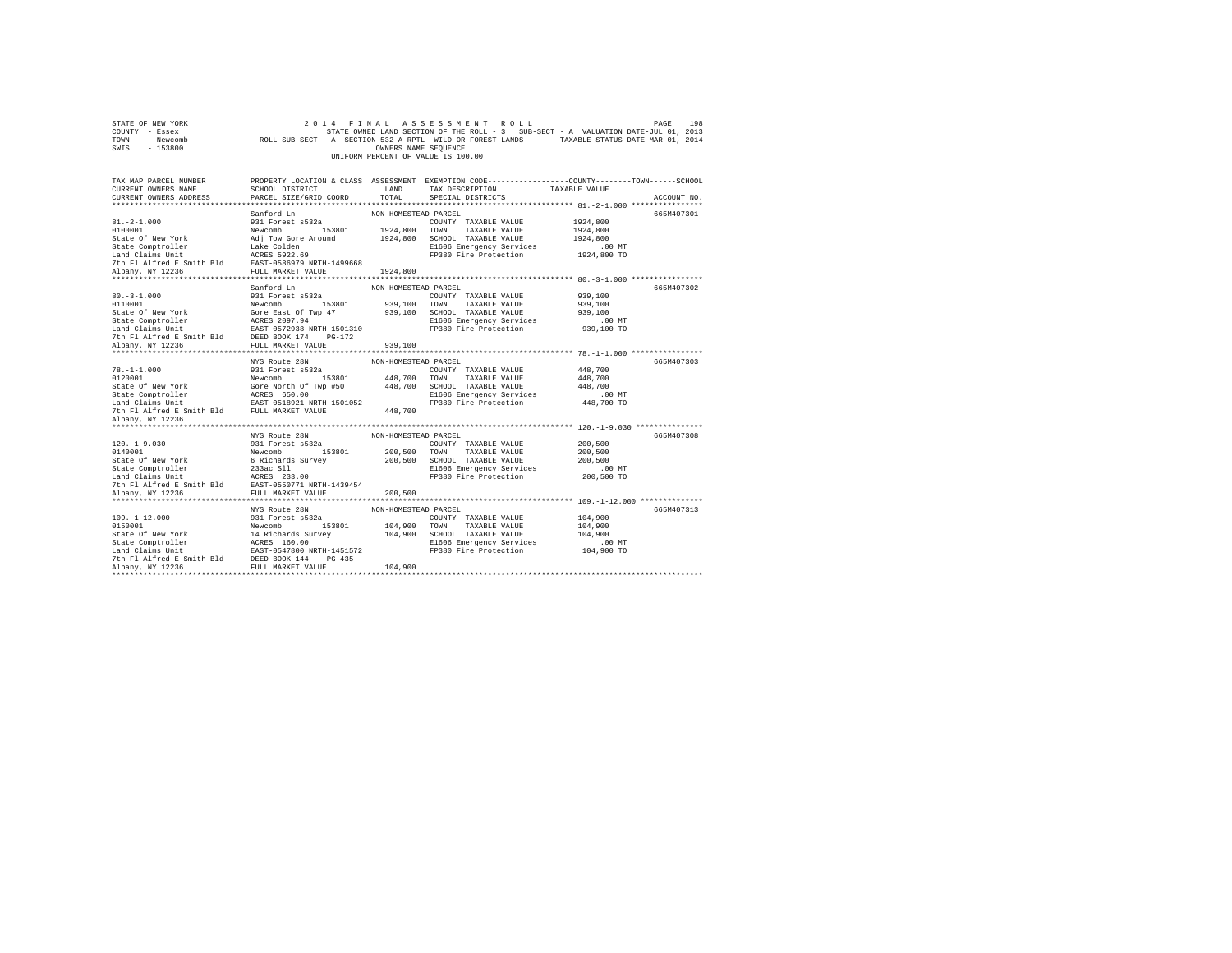| STATE OF NEW YORK<br>COUNTY - Essex<br>TOWN - Newcomb<br>SWIS - 153800                                                                                                                                      |                                    | OWNERS NAME SEQUENCE | 2014 FINAL ASSESSMENT ROLL<br>UNIFORM PERCENT OF VALUE IS 100.00 | PAGE<br>198<br>STATE OWNED LAND SECTION OF THE ROLL - 3 SUB-SECT - A VALUATION DATE-JUL 01, 2013<br>ROLL SUB-SECT - A- SECTION 532-A RPTL WILD OR FOREST LANDS TAXABLE STATUS DATE-MAR 01, 2014 |
|-------------------------------------------------------------------------------------------------------------------------------------------------------------------------------------------------------------|------------------------------------|----------------------|------------------------------------------------------------------|-------------------------------------------------------------------------------------------------------------------------------------------------------------------------------------------------|
| TAX MAP PARCEL NUMBER<br>CURRENT OWNERS NAME                                                                                                                                                                | SCHOOL DISTRICT                    | LAND                 | TAX DESCRIPTION                                                  | PROPERTY LOCATION & CLASS ASSESSMENT EXEMPTION CODE---------------COUNTY-------TOWN-----SCHOOL<br>TAXABLE VALUE                                                                                 |
| CURRENT OWNERS ADDRESS                                                                                                                                                                                      | PARCEL SIZE/GRID COORD             | TOTAL                | SPECIAL DISTRICTS                                                | ACCOUNT NO.                                                                                                                                                                                     |
|                                                                                                                                                                                                             | Sanford Ln                         | NON-HOMESTEAD PARCEL |                                                                  | 665M407301                                                                                                                                                                                      |
| $81. -2 - 1.000$                                                                                                                                                                                            | 931 Forest s532a                   |                      | COUNTY TAXABLE VALUE                                             | 1924,800                                                                                                                                                                                        |
| 0100001                                                                                                                                                                                                     | Newcomb 153801                     |                      | 1924,800 TOWN TAXABLE VALUE                                      | 1924,800                                                                                                                                                                                        |
| State Of New York                                                                                                                                                                                           | Adj Tow Gore Around                |                      | 1924,800 SCHOOL TAXABLE VALUE                                    | 1924,800                                                                                                                                                                                        |
| State Comptroller                                                                                                                                                                                           |                                    |                      | E1606 Emergency Services                                         | $.00$ MT                                                                                                                                                                                        |
| Land Claims Unit                                                                                                                                                                                            | Lake Colden<br>ACRES 5922.69       |                      | FP380 Fire Protection                                            | 1924,800 TO                                                                                                                                                                                     |
| 7th Fl Alfred E Smith Bld EAST-0586979 NRTH-1499668                                                                                                                                                         |                                    |                      |                                                                  |                                                                                                                                                                                                 |
| Albany, NY 12236                                                                                                                                                                                            | FULL MARKET VALUE 1924,800         |                      |                                                                  |                                                                                                                                                                                                 |
|                                                                                                                                                                                                             |                                    |                      |                                                                  |                                                                                                                                                                                                 |
|                                                                                                                                                                                                             | Sanford Ln                         | NON-HOMESTEAD PARCEL |                                                                  | 665M407302                                                                                                                                                                                      |
| $80. -3 - 1.000$                                                                                                                                                                                            | 931 Forest s532a                   |                      | COUNTY TAXABLE VALUE                                             | 939,100                                                                                                                                                                                         |
| 0110001                                                                                                                                                                                                     | Newcomb 153801                     |                      | 939,100 TOWN TAXABLE VALUE                                       | 939,100                                                                                                                                                                                         |
| State Of New York                                                                                                                                                                                           | Gore East Of Twp 47                |                      | 939,100 SCHOOL TAXABLE VALUE                                     | 939,100                                                                                                                                                                                         |
|                                                                                                                                                                                                             |                                    |                      | E1606 Emergency Services<br>FP380 Fire Protection                | $.00$ MT<br>939,100 TO                                                                                                                                                                          |
| 7th Fl Alfred E Smith Bld DEED BOOK 174 PG-172                                                                                                                                                              |                                    |                      |                                                                  |                                                                                                                                                                                                 |
| Albany, NY 12236                                                                                                                                                                                            | FULL MARKET VALUE                  | 939,100              |                                                                  |                                                                                                                                                                                                 |
|                                                                                                                                                                                                             |                                    |                      |                                                                  |                                                                                                                                                                                                 |
|                                                                                                                                                                                                             | NYS Route 28N                      | NON-HOMESTEAD PARCEL |                                                                  | 665M407303                                                                                                                                                                                      |
| $78. - 1 - 1.000$                                                                                                                                                                                           | 931 Forest s532a                   |                      | COUNTY TAXABLE VALUE                                             | 448,700                                                                                                                                                                                         |
| 0120001                                                                                                                                                                                                     | Newcomb 153801                     |                      | 448,700 TOWN TAXABLE VALUE                                       | 448,700                                                                                                                                                                                         |
| State Of New York                                                                                                                                                                                           | Gore North Of Twp #50              |                      | 448.700 SCHOOL TAXABLE VALUE                                     | 448,700                                                                                                                                                                                         |
| $\begin{tabular}{lcccc} State Computer & & \tt ACRES & 650.00 & \tt ``--\\ Land Claims Unit & & \tt BAST-051892 & \tt MRTH-1501052 \\ 7th Fl AIfred E Smith B1d & & \tt FULI MARKET VALUE \\ \end{tabular}$ |                                    |                      | E1606 Emergency Services                                         | $.00$ MT                                                                                                                                                                                        |
|                                                                                                                                                                                                             |                                    |                      | FP380 Fire Protection                                            | 448,700 TO                                                                                                                                                                                      |
|                                                                                                                                                                                                             |                                    | 448,700              |                                                                  |                                                                                                                                                                                                 |
| Albany, NY 12236                                                                                                                                                                                            |                                    |                      |                                                                  |                                                                                                                                                                                                 |
|                                                                                                                                                                                                             |                                    |                      |                                                                  |                                                                                                                                                                                                 |
|                                                                                                                                                                                                             | NYS Route 28N                      | NON-HOMESTEAD PARCEL |                                                                  | 665M407308                                                                                                                                                                                      |
| $120. -1 - 9.030$<br>0140001                                                                                                                                                                                | 931 Forest s532a<br>Newcomb 153801 |                      | COUNTY TAXABLE VALUE                                             | 200,500                                                                                                                                                                                         |
| State Of New York                                                                                                                                                                                           | 6 Richards Survey                  |                      | 200,500 TOWN TAXABLE VALUE<br>200,500 SCHOOL TAXABLE VALUE       | 200,500<br>200,500                                                                                                                                                                              |
|                                                                                                                                                                                                             |                                    |                      | E1606 Emergency Services                                         | $.00$ MT                                                                                                                                                                                        |
| State Comptroller 233ac S11<br>Land Claims Unit 12 ARRS 233.00<br>7th Fl Alfred E Smith Bld 2AST-0550771 NRTH-1439454                                                                                       |                                    |                      | FP380 Fire Protection                                            | 200,500 TO                                                                                                                                                                                      |
|                                                                                                                                                                                                             |                                    |                      |                                                                  |                                                                                                                                                                                                 |
| Albany, NY 12236                                                                                                                                                                                            | FULL MARKET VALUE                  | 200,500              |                                                                  |                                                                                                                                                                                                 |
|                                                                                                                                                                                                             |                                    |                      |                                                                  |                                                                                                                                                                                                 |
|                                                                                                                                                                                                             | NYS Route 28N                      | NON-HOMESTEAD PARCEL |                                                                  | 665M407313                                                                                                                                                                                      |
| $109. - 1 - 12.000$                                                                                                                                                                                         | 931 Forest s532a                   |                      | COUNTY TAXABLE VALUE                                             | 104,900                                                                                                                                                                                         |
| 0150001                                                                                                                                                                                                     | Newcomb 153801                     |                      | 104,900 TOWN TAXABLE VALUE                                       | 104,900                                                                                                                                                                                         |
|                                                                                                                                                                                                             |                                    |                      | 104,900 SCHOOL TAXABLE VALUE                                     | 104,900                                                                                                                                                                                         |
|                                                                                                                                                                                                             |                                    |                      | E1606 Emergency Services                                         | $.00$ MT                                                                                                                                                                                        |
|                                                                                                                                                                                                             |                                    |                      | FP380 Fire Protection                                            | 104,900 TO                                                                                                                                                                                      |
|                                                                                                                                                                                                             |                                    |                      |                                                                  |                                                                                                                                                                                                 |
|                                                                                                                                                                                                             |                                    | 104,900              |                                                                  |                                                                                                                                                                                                 |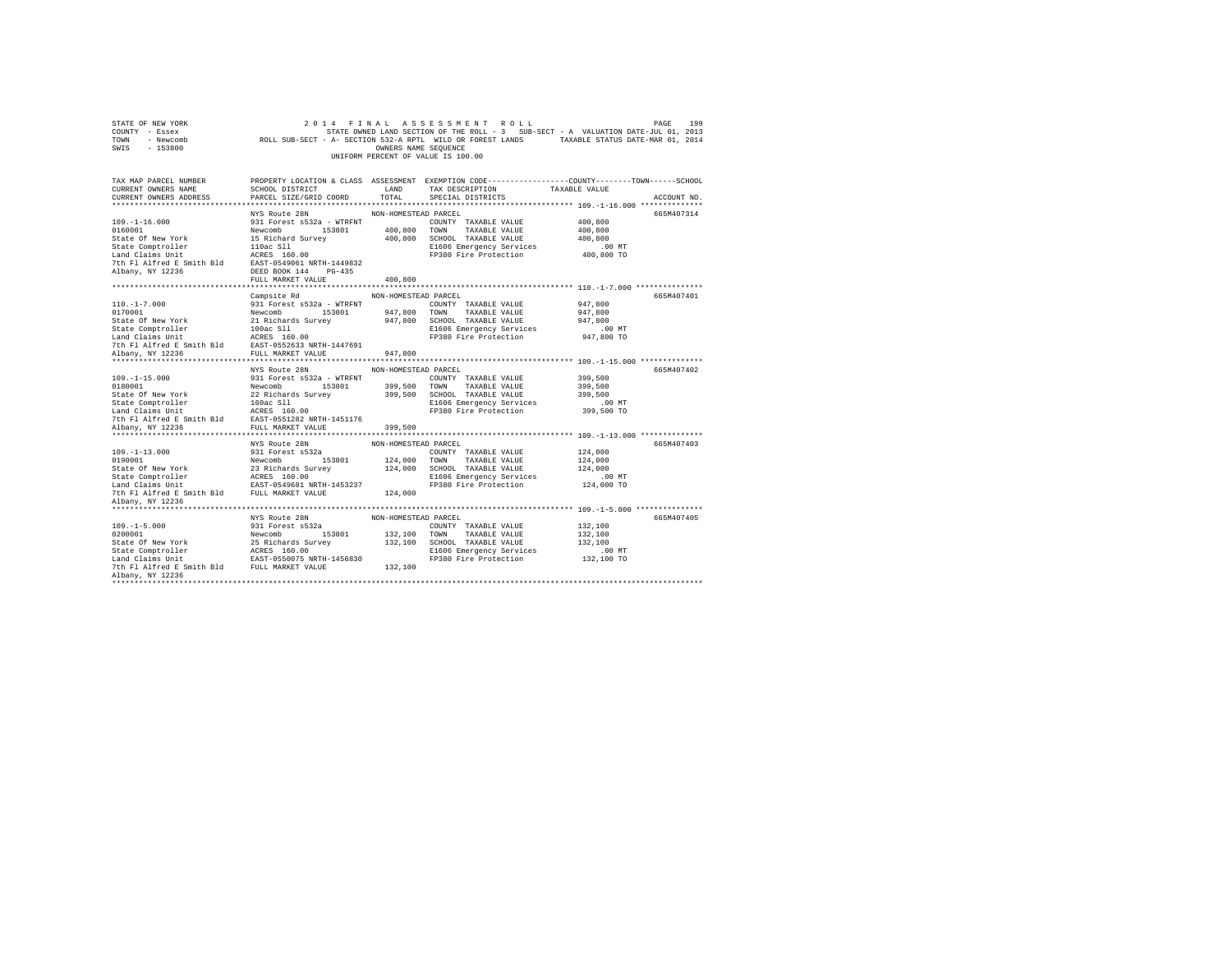| COUNTY - Essex<br>TOWN<br>- Newcomb<br>SWIS<br>$-153800$                                                                                                                                                                                                                                                                                                                                                                                                             |                                    | OWNERS NAME SEOUENCE |                                    | STATE OWNED LAND SECTION OF THE ROLL - 3 SUB-SECT - A VALUATION DATE-JUL 01, 2013<br>ROLL SUB-SECT - A- SECTION 532-A RPTL WILD OR FOREST LANDS TAXABLE STATUS DATE-MAR 01, 2014 |  |
|----------------------------------------------------------------------------------------------------------------------------------------------------------------------------------------------------------------------------------------------------------------------------------------------------------------------------------------------------------------------------------------------------------------------------------------------------------------------|------------------------------------|----------------------|------------------------------------|----------------------------------------------------------------------------------------------------------------------------------------------------------------------------------|--|
|                                                                                                                                                                                                                                                                                                                                                                                                                                                                      |                                    |                      | UNIFORM PERCENT OF VALUE IS 100.00 |                                                                                                                                                                                  |  |
| CURRENT OWNERS NAME                                                                                                                                                                                                                                                                                                                                                                                                                                                  | SCHOOL DISTRICT LAND               |                      | TAX DESCRIPTION                    | TAX MAP PARCEL NUMBER PROPERTY LOCATION & CLASS ASSESSMENT EXEMPTION CODE---------------COUNTY-------TOWN------SCHOOL<br>TAXABLE VALUE                                           |  |
| CURRENT OWNERS ADDRESS PARCEL SIZE/GRID COORD TOTAL                                                                                                                                                                                                                                                                                                                                                                                                                  |                                    |                      | SPECIAL DISTRICTS                  | ACCOUNT NO.                                                                                                                                                                      |  |
|                                                                                                                                                                                                                                                                                                                                                                                                                                                                      |                                    |                      |                                    |                                                                                                                                                                                  |  |
|                                                                                                                                                                                                                                                                                                                                                                                                                                                                      | NYS Route 28N                      | NON-HOMESTEAD PARCEL |                                    | 665M407314                                                                                                                                                                       |  |
| $109. - 1 - 16.000$                                                                                                                                                                                                                                                                                                                                                                                                                                                  | 931 Forest s532a - WTRFNT          |                      | COUNTY TAXABLE VALUE               | 400,800                                                                                                                                                                          |  |
|                                                                                                                                                                                                                                                                                                                                                                                                                                                                      |                                    |                      |                                    | 400,800                                                                                                                                                                          |  |
|                                                                                                                                                                                                                                                                                                                                                                                                                                                                      |                                    |                      | 400,800 SCHOOL TAXABLE VALUE       | 400,800                                                                                                                                                                          |  |
|                                                                                                                                                                                                                                                                                                                                                                                                                                                                      |                                    |                      | E1606 Emergency Services           | 00 MT.<br>400,800 TO                                                                                                                                                             |  |
|                                                                                                                                                                                                                                                                                                                                                                                                                                                                      |                                    |                      | FP380 Fire Protection              |                                                                                                                                                                                  |  |
|                                                                                                                                                                                                                                                                                                                                                                                                                                                                      |                                    |                      |                                    |                                                                                                                                                                                  |  |
|                                                                                                                                                                                                                                                                                                                                                                                                                                                                      |                                    |                      |                                    |                                                                                                                                                                                  |  |
|                                                                                                                                                                                                                                                                                                                                                                                                                                                                      | FULL MARKET VALUE                  | 400,800              |                                    |                                                                                                                                                                                  |  |
|                                                                                                                                                                                                                                                                                                                                                                                                                                                                      | Campsite Rd NON-HOMESTEAD PARCEL   |                      |                                    | 665M407401                                                                                                                                                                       |  |
|                                                                                                                                                                                                                                                                                                                                                                                                                                                                      |                                    |                      |                                    | 947,800                                                                                                                                                                          |  |
|                                                                                                                                                                                                                                                                                                                                                                                                                                                                      |                                    |                      |                                    | 947,800                                                                                                                                                                          |  |
|                                                                                                                                                                                                                                                                                                                                                                                                                                                                      |                                    |                      |                                    | 947,800                                                                                                                                                                          |  |
|                                                                                                                                                                                                                                                                                                                                                                                                                                                                      |                                    |                      |                                    | .00 MT                                                                                                                                                                           |  |
|                                                                                                                                                                                                                                                                                                                                                                                                                                                                      |                                    |                      |                                    | 947,800 TO                                                                                                                                                                       |  |
| $\begin{tabular}{l c c c} \hline 110.-1-7.000 & \hline \multicolumn{3}{c}{-311 Vorest~Si2a - WTRENT} & \multicolumn{3}{c}{\multicolumn{3}{c}{\hline \multicolumn{3}{c}{\hline \multicolumn{3}{c}{\hline \multicolumn{3}{c}{\hline \multicolumn{3}{c}{\hline \multicolumn{3}{c}{\hline \multicolumn{3}{c}{\hline \multicolumn{3}{c}{\hline \multicolumn{3}{c}{\hline \multicolumn{3}{c}{\hline \multicolumn{3}{c}{\hline \multicolumn{3}{c}{\hline \multicolumn{3}{c$ |                                    |                      |                                    |                                                                                                                                                                                  |  |
|                                                                                                                                                                                                                                                                                                                                                                                                                                                                      |                                    |                      |                                    |                                                                                                                                                                                  |  |
|                                                                                                                                                                                                                                                                                                                                                                                                                                                                      |                                    |                      |                                    |                                                                                                                                                                                  |  |
|                                                                                                                                                                                                                                                                                                                                                                                                                                                                      | NYS Route 28N NON-HOMESTEAD PARCEL |                      |                                    | 665M407402                                                                                                                                                                       |  |
|                                                                                                                                                                                                                                                                                                                                                                                                                                                                      |                                    |                      |                                    | 399,500                                                                                                                                                                          |  |
|                                                                                                                                                                                                                                                                                                                                                                                                                                                                      |                                    |                      |                                    | 399,500                                                                                                                                                                          |  |
|                                                                                                                                                                                                                                                                                                                                                                                                                                                                      |                                    |                      |                                    | 399,500                                                                                                                                                                          |  |
|                                                                                                                                                                                                                                                                                                                                                                                                                                                                      |                                    |                      |                                    |                                                                                                                                                                                  |  |
|                                                                                                                                                                                                                                                                                                                                                                                                                                                                      |                                    |                      |                                    | .00 MT                                                                                                                                                                           |  |
|                                                                                                                                                                                                                                                                                                                                                                                                                                                                      |                                    |                      |                                    | 399,500 TO                                                                                                                                                                       |  |
|                                                                                                                                                                                                                                                                                                                                                                                                                                                                      |                                    |                      |                                    |                                                                                                                                                                                  |  |
|                                                                                                                                                                                                                                                                                                                                                                                                                                                                      |                                    |                      |                                    |                                                                                                                                                                                  |  |
|                                                                                                                                                                                                                                                                                                                                                                                                                                                                      |                                    |                      |                                    |                                                                                                                                                                                  |  |
|                                                                                                                                                                                                                                                                                                                                                                                                                                                                      | NYS Route 28N                      | NON-HOMESTEAD PARCEL |                                    | 665M407403                                                                                                                                                                       |  |
|                                                                                                                                                                                                                                                                                                                                                                                                                                                                      |                                    |                      |                                    |                                                                                                                                                                                  |  |
|                                                                                                                                                                                                                                                                                                                                                                                                                                                                      |                                    |                      |                                    |                                                                                                                                                                                  |  |
|                                                                                                                                                                                                                                                                                                                                                                                                                                                                      |                                    |                      |                                    |                                                                                                                                                                                  |  |
|                                                                                                                                                                                                                                                                                                                                                                                                                                                                      |                                    |                      |                                    |                                                                                                                                                                                  |  |
|                                                                                                                                                                                                                                                                                                                                                                                                                                                                      |                                    |                      |                                    |                                                                                                                                                                                  |  |
| Albany, NY 12236                                                                                                                                                                                                                                                                                                                                                                                                                                                     |                                    |                      |                                    |                                                                                                                                                                                  |  |
|                                                                                                                                                                                                                                                                                                                                                                                                                                                                      |                                    |                      |                                    |                                                                                                                                                                                  |  |
|                                                                                                                                                                                                                                                                                                                                                                                                                                                                      | NYS Route 28N                      | NON-HOMESTEAD PARCEL |                                    | 665M407405                                                                                                                                                                       |  |
|                                                                                                                                                                                                                                                                                                                                                                                                                                                                      |                                    |                      |                                    |                                                                                                                                                                                  |  |
|                                                                                                                                                                                                                                                                                                                                                                                                                                                                      |                                    |                      |                                    |                                                                                                                                                                                  |  |
|                                                                                                                                                                                                                                                                                                                                                                                                                                                                      |                                    |                      |                                    |                                                                                                                                                                                  |  |
|                                                                                                                                                                                                                                                                                                                                                                                                                                                                      |                                    |                      |                                    |                                                                                                                                                                                  |  |
|                                                                                                                                                                                                                                                                                                                                                                                                                                                                      |                                    |                      |                                    |                                                                                                                                                                                  |  |
| Albany, NY 12236                                                                                                                                                                                                                                                                                                                                                                                                                                                     |                                    |                      |                                    |                                                                                                                                                                                  |  |

STATE OF NEW YORK 2 0 1 4 F I N A L A S S E S S M E N T R O L L PAGE 199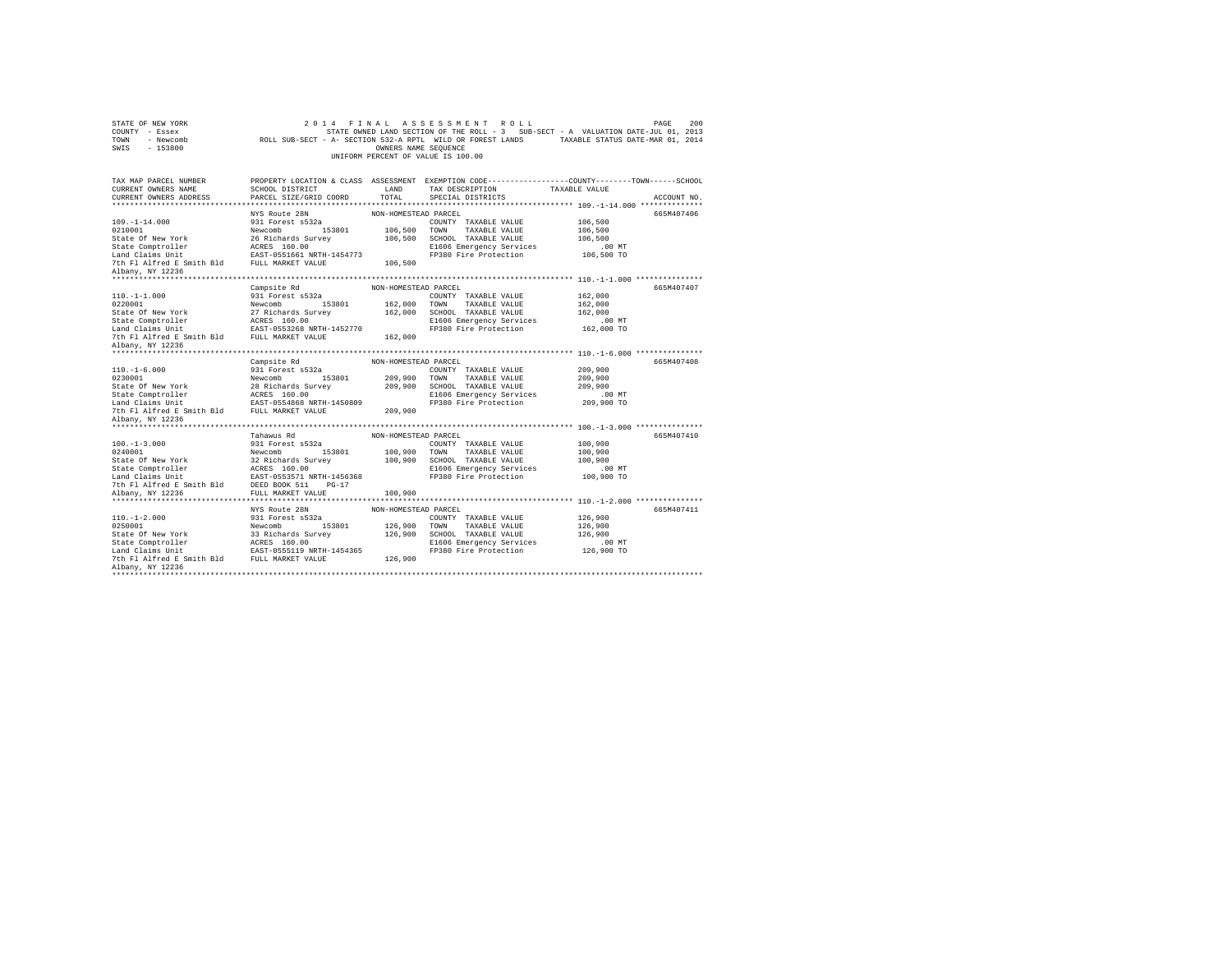| STATE OF NEW YORK<br>COUNTY - Essex<br>TOWN - Newcomb<br>SWIS - 153800                                                                                               |                                                        | OWNERS NAME SEQUENCE | 2014 FINAL ASSESSMENT ROLL<br>STATE OWNED LAND SECTION OF THE ROLL - 3 SUB-SECT - A VALUATION DATE-JUL 01, 2013<br>ROLL SUB-SECT - A- SECTION 532-A RPTL WILD OR FOREST LANDS TAXABLE STATUS DATE-MAR 01, 2014<br>UNIFORM PERCENT OF VALUE IS 100.00 |               | 200<br>PAGE |
|----------------------------------------------------------------------------------------------------------------------------------------------------------------------|--------------------------------------------------------|----------------------|------------------------------------------------------------------------------------------------------------------------------------------------------------------------------------------------------------------------------------------------------|---------------|-------------|
| TAX MAP PARCEL NUMBER                                                                                                                                                |                                                        |                      | PROPERTY LOCATION & CLASS ASSESSMENT EXEMPTION CODE---------------COUNTY-------TOWN-----SCHOOL                                                                                                                                                       |               |             |
| CURRENT OWNERS NAME<br>CURRENT OWNERS ADDRESS                                                                                                                        | SCHOOL DISTRICT<br>PARCEL SIZE/GRID COORD              | LAND<br>TOTAL.       | TAX DESCRIPTION<br>SPECIAL DISTRICTS                                                                                                                                                                                                                 | TAXABLE VALUE | ACCOUNT NO. |
|                                                                                                                                                                      |                                                        |                      |                                                                                                                                                                                                                                                      |               |             |
|                                                                                                                                                                      | NYS Route 28N                                          | NON-HOMESTEAD PARCEL |                                                                                                                                                                                                                                                      |               | 665M407406  |
| $109. - 1 - 14.000$                                                                                                                                                  | 931 Forest s532a                                       |                      | COUNTY TAXABLE VALUE                                                                                                                                                                                                                                 | 106,500       |             |
| 0210001                                                                                                                                                              | Newcomb 153801                                         | 106,500              | TOWN TAXABLE VALUE                                                                                                                                                                                                                                   | 106,500       |             |
|                                                                                                                                                                      |                                                        | 106,500              | SCHOOL TAXABLE VALUE                                                                                                                                                                                                                                 | 106,500       |             |
|                                                                                                                                                                      |                                                        |                      | E1606 Emergency Services                                                                                                                                                                                                                             | .00 MT        |             |
|                                                                                                                                                                      |                                                        |                      | FP380 Fire Protection                                                                                                                                                                                                                                | 106,500 TO    |             |
| 7th Fl Alfred E Smith Bld FULL MARKET VALUE<br>Albany, NY 12236                                                                                                      |                                                        | 106,500              |                                                                                                                                                                                                                                                      |               |             |
|                                                                                                                                                                      |                                                        |                      |                                                                                                                                                                                                                                                      |               |             |
|                                                                                                                                                                      | Campsite Rd                                            | NON-HOMESTEAD PARCEL |                                                                                                                                                                                                                                                      |               | 665M407407  |
| $110. -1 - 1.000$                                                                                                                                                    | 931 Forest s532a                                       |                      | COUNTY TAXABLE VALUE                                                                                                                                                                                                                                 | 162,000       |             |
| 0220001                                                                                                                                                              | Newcomb 153801                                         | 162,000              | TOWN TAXABLE VALUE                                                                                                                                                                                                                                   | 162,000       |             |
|                                                                                                                                                                      |                                                        | 162,000              | SCHOOL TAXABLE VALUE                                                                                                                                                                                                                                 | 162,000       |             |
|                                                                                                                                                                      |                                                        |                      | E1606 Emergency Services                                                                                                                                                                                                                             | .00 MT        |             |
|                                                                                                                                                                      |                                                        | 162,000              | FP380 Fire Protection                                                                                                                                                                                                                                | 162,000 TO    |             |
| Albany, NY 12236                                                                                                                                                     |                                                        |                      |                                                                                                                                                                                                                                                      |               |             |
|                                                                                                                                                                      |                                                        |                      |                                                                                                                                                                                                                                                      |               |             |
|                                                                                                                                                                      | Campsite Rd                                            | NON-HOMESTEAD PARCEL |                                                                                                                                                                                                                                                      |               | 665M407408  |
| $110. - 1 - 6.000$                                                                                                                                                   | 931 Forest s532a                                       |                      | COUNTY TAXABLE VALUE                                                                                                                                                                                                                                 | 209,900       |             |
| 0230001                                                                                                                                                              | Newcomb 153801<br>Newcomb 153801<br>28 Richards Survey |                      | 209,900 TOWN TAXABLE VALUE                                                                                                                                                                                                                           | 209,900       |             |
| State Of New York                                                                                                                                                    |                                                        | 209,900              | SCHOOL TAXABLE VALUE                                                                                                                                                                                                                                 | 209,900       |             |
|                                                                                                                                                                      |                                                        |                      | E1606 Emergency Services                                                                                                                                                                                                                             | $.00$ MT      |             |
| 7th Fl Alfred E Smith Bld FULL MARKET VALUE                                                                                                                          |                                                        | 209,900              | FP380 Fire Protection                                                                                                                                                                                                                                | 209,900 TO    |             |
| Albany, NY 12236                                                                                                                                                     |                                                        |                      |                                                                                                                                                                                                                                                      |               |             |
|                                                                                                                                                                      |                                                        |                      |                                                                                                                                                                                                                                                      |               |             |
|                                                                                                                                                                      | Tahawus Rd                                             | NON-HOMESTEAD PARCEL |                                                                                                                                                                                                                                                      |               | 665M407410  |
| $100. -1 - 3.000$                                                                                                                                                    | 931 Forest s532a                                       |                      | COUNTY TAXABLE VALUE                                                                                                                                                                                                                                 | 100,900       |             |
| 0240001                                                                                                                                                              | Newcomb 153801                                         |                      | 100,900 TOWN TAXABLE VALUE                                                                                                                                                                                                                           | 100,900       |             |
| State Of New York                                                                                                                                                    | Newcomb 153801<br>32 Richards Survey                   |                      | 100.900 SCHOOL TAXABLE VALUE                                                                                                                                                                                                                         | 100,900       |             |
|                                                                                                                                                                      |                                                        |                      | E1606 Emergency Services                                                                                                                                                                                                                             | $.00$ MT      |             |
| State Comptroller acRES 160.00<br>Land Claims Unit 1456368<br>7th Fl Alfred E Smith Bld 15857-0553571 NRTH-1456368<br>7th Fl Alfred E Smith Bld 158ED BOOK 511 PG-17 |                                                        |                      | FP380 Fire Protection                                                                                                                                                                                                                                | 100,900 TO    |             |
| Albany, NY 12236                                                                                                                                                     | FULL MARKET VALUE                                      | 100,900              |                                                                                                                                                                                                                                                      |               |             |
|                                                                                                                                                                      |                                                        |                      |                                                                                                                                                                                                                                                      |               |             |
|                                                                                                                                                                      | NYS Route 28N                                          | NON-HOMESTEAD PARCEL |                                                                                                                                                                                                                                                      |               | 665M407411  |
| $110. - 1 - 2.000$                                                                                                                                                   | 931 Forest s532a                                       |                      | COUNTY TAXABLE VALUE                                                                                                                                                                                                                                 | 126,900       |             |
| 0250001                                                                                                                                                              | 153801<br>Newcomb                                      | 126,900              | TOWN<br>TAXABLE VALUE                                                                                                                                                                                                                                | 126,900       |             |
| State Of New York                                                                                                                                                    | 33 Richards Survey                                     | 126,900              | SCHOOL TAXABLE VALUE                                                                                                                                                                                                                                 | 126,900       |             |
|                                                                                                                                                                      |                                                        |                      | E1606 Emergency Services                                                                                                                                                                                                                             | $.00$ MT      |             |
|                                                                                                                                                                      |                                                        |                      | FP380 Fire Protection                                                                                                                                                                                                                                | 126,900 TO    |             |
|                                                                                                                                                                      |                                                        | 126,900              |                                                                                                                                                                                                                                                      |               |             |
| Albany, NY 12236<br>*********************                                                                                                                            |                                                        |                      |                                                                                                                                                                                                                                                      |               |             |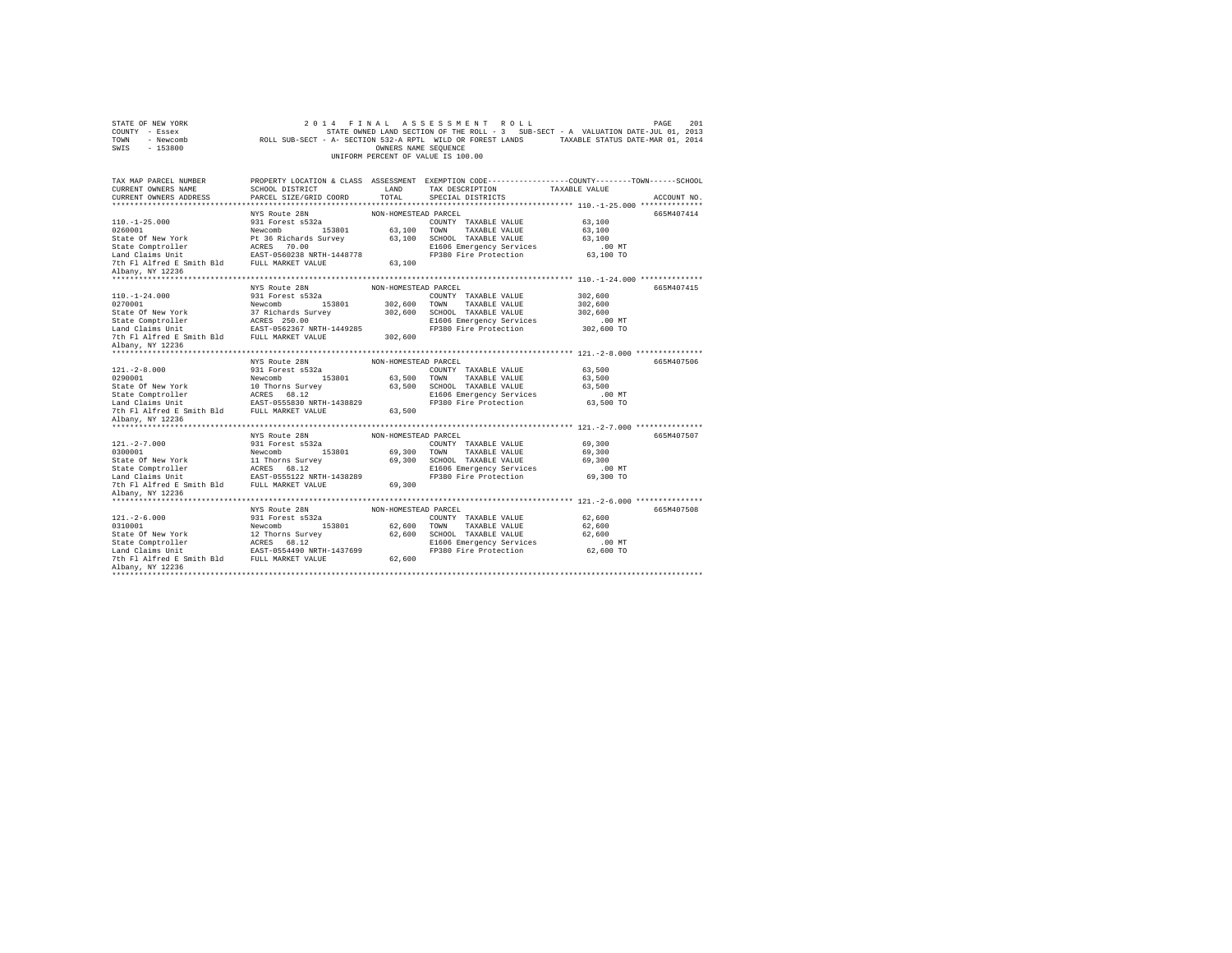| STATE OF NEW YORK<br>COUNTY - Essex<br>TOWN<br>- Newcomb<br>SWIS - 153800                                                                                                                                                                                 |                                           | OWNERS NAME SEQUENCE | 2014 FINAL ASSESSMENT ROLL<br>STATE OWNED LAND SECTION OF THE ROLL - 3 SUB-SECT - A VALUATION DATE-JUL 01, 2013<br>ROLL SUB-SECT - A- SECTION 532-A RPTL WILD OR FOREST LANDS TAXABLE STATUS DATE-MAR 01, 2014<br>UNIFORM PERCENT OF VALUE IS 100.00 |                  | 201<br>PAGE |
|-----------------------------------------------------------------------------------------------------------------------------------------------------------------------------------------------------------------------------------------------------------|-------------------------------------------|----------------------|------------------------------------------------------------------------------------------------------------------------------------------------------------------------------------------------------------------------------------------------------|------------------|-------------|
| TAX MAP PARCEL NUMBER                                                                                                                                                                                                                                     |                                           |                      | PROPERTY LOCATION & CLASS ASSESSMENT EXEMPTION CODE---------------COUNTY-------TOWN------SCHOOL                                                                                                                                                      |                  |             |
| CURRENT OWNERS NAME<br>CURRENT OWNERS ADDRESS                                                                                                                                                                                                             | SCHOOL DISTRICT<br>PARCEL SIZE/GRID COORD | LAND<br>TOTAL        | TAX DESCRIPTION<br>SPECIAL DISTRICTS                                                                                                                                                                                                                 | TAXABLE VALUE    | ACCOUNT NO. |
|                                                                                                                                                                                                                                                           |                                           |                      |                                                                                                                                                                                                                                                      |                  |             |
|                                                                                                                                                                                                                                                           | NYS Route 28N                             | NON-HOMESTEAD PARCEL |                                                                                                                                                                                                                                                      |                  | 665M407414  |
| $110. -1 - 25.000$                                                                                                                                                                                                                                        | 931 Forest s532a                          |                      | COUNTY TAXABLE VALUE                                                                                                                                                                                                                                 | 63,100           |             |
| 0260001                                                                                                                                                                                                                                                   | Newcomb 153801                            |                      | 63,100 TOWN TAXABLE VALUE                                                                                                                                                                                                                            | 63,100           |             |
| State Of New York                                                                                                                                                                                                                                         | Pt 36 Richards Survey                     |                      | 63,100 SCHOOL TAXABLE VALUE                                                                                                                                                                                                                          | 63,100           |             |
| State Comptroller<br>Land Claims Unit                                                                                                                                                                                                                     | ACRES 70.00<br>EAST-0560238 NRTH-1448778  |                      | E1606 Emergency Services                                                                                                                                                                                                                             | $.00$ MT         |             |
|                                                                                                                                                                                                                                                           |                                           |                      | FP380 Fire Protection                                                                                                                                                                                                                                | 63,100 TO        |             |
| 7th Fl Alfred E Smith Bld FULL MARKET VALUE                                                                                                                                                                                                               |                                           | 63,100               |                                                                                                                                                                                                                                                      |                  |             |
| Albany, NY 12236                                                                                                                                                                                                                                          |                                           |                      |                                                                                                                                                                                                                                                      |                  |             |
|                                                                                                                                                                                                                                                           | NYS Route 28N                             | NON-HOMESTEAD PARCEL |                                                                                                                                                                                                                                                      |                  | 665M407415  |
| $110. - 1 - 24.000$                                                                                                                                                                                                                                       | 931 Forest s532a                          |                      | COUNTY TAXABLE VALUE                                                                                                                                                                                                                                 | 302,600          |             |
| 0270001                                                                                                                                                                                                                                                   | Newcomb 153801                            |                      | 302,600 TOWN TAXABLE VALUE                                                                                                                                                                                                                           | 302,600          |             |
| State Of New York                                                                                                                                                                                                                                         | 37 Richards Survey                        |                      | 302,600 SCHOOL TAXABLE VALUE                                                                                                                                                                                                                         | 302,600          |             |
|                                                                                                                                                                                                                                                           |                                           |                      | E1606 Emergency Services                                                                                                                                                                                                                             | $.00$ MT         |             |
|                                                                                                                                                                                                                                                           |                                           |                      | FP380 Fire Protection                                                                                                                                                                                                                                | 302,600 TO       |             |
| 7th Fl Alfred E Smith Bld FULL MARKET VALUE                                                                                                                                                                                                               |                                           | 302,600              |                                                                                                                                                                                                                                                      |                  |             |
| Albany, NY 12236                                                                                                                                                                                                                                          |                                           |                      |                                                                                                                                                                                                                                                      |                  |             |
|                                                                                                                                                                                                                                                           |                                           |                      |                                                                                                                                                                                                                                                      |                  |             |
|                                                                                                                                                                                                                                                           | NYS Route 28N                             | NON-HOMESTEAD PARCEL |                                                                                                                                                                                                                                                      |                  | 665M407506  |
| $121. -2 - 8.000$                                                                                                                                                                                                                                         | 931 Forest s532a                          |                      | COUNTY TAXABLE VALUE                                                                                                                                                                                                                                 | 63,500           |             |
| 0290001<br>State Of New York                                                                                                                                                                                                                              | Newcomb 153801<br>10 Thorns Survey        |                      | 63,500 TOWN TAXABLE VALUE<br>63,500 SCHOOL TAXABLE VALUE                                                                                                                                                                                             | 63,500<br>63,500 |             |
|                                                                                                                                                                                                                                                           |                                           |                      | E1606 Emergency Services                                                                                                                                                                                                                             | $.00$ MT         |             |
|                                                                                                                                                                                                                                                           |                                           |                      | FP380 Fire Protection                                                                                                                                                                                                                                | 63,500 TO        |             |
| $\begin{tabular}{lllllllllllll} \texttt{State Comptroller} & \texttt{ACRES} & 68.12 \\ \texttt{Land Calams Unit} & \texttt{BASE30 MRTH-1438829} \\ \texttt{Total TUL MARKET VALUB} & \texttt{SminH} & \texttt{FUL} & \texttt{MARKET VALUB} \end{tabular}$ |                                           | 63,500               |                                                                                                                                                                                                                                                      |                  |             |
| Albany, NY 12236                                                                                                                                                                                                                                          |                                           |                      |                                                                                                                                                                                                                                                      |                  |             |
|                                                                                                                                                                                                                                                           |                                           |                      |                                                                                                                                                                                                                                                      |                  |             |
|                                                                                                                                                                                                                                                           | NYS Route 28N                             | NON-HOMESTEAD PARCEL |                                                                                                                                                                                                                                                      |                  | 665M407507  |
| $121. -2 - 7.000$                                                                                                                                                                                                                                         | 931 Forest s532a                          |                      | COUNTY TAXABLE VALUE                                                                                                                                                                                                                                 | 69,300           |             |
| 0300001                                                                                                                                                                                                                                                   | Newcomb 153801                            |                      | 69,300 TOWN TAXABLE VALUE                                                                                                                                                                                                                            | 69,300           |             |
| State Of New York                                                                                                                                                                                                                                         | 11 Thorns Survey                          |                      | 69,300 SCHOOL TAXABLE VALUE                                                                                                                                                                                                                          | 69,300           |             |
|                                                                                                                                                                                                                                                           |                                           |                      | E1606 Emergency Services                                                                                                                                                                                                                             | $.00$ MT         |             |
|                                                                                                                                                                                                                                                           |                                           |                      | FP380 Fire Protection                                                                                                                                                                                                                                | 69,300 TO        |             |
| Albany, NY 12236                                                                                                                                                                                                                                          |                                           | 69,300               |                                                                                                                                                                                                                                                      |                  |             |
|                                                                                                                                                                                                                                                           |                                           |                      |                                                                                                                                                                                                                                                      |                  |             |
|                                                                                                                                                                                                                                                           | NYS Route 28N                             | NON-HOMESTEAD PARCEL |                                                                                                                                                                                                                                                      |                  | 665M407508  |
| $121. - 2 - 6.000$                                                                                                                                                                                                                                        | 931 Forest s532a                          |                      | COUNTY TAXABLE VALUE                                                                                                                                                                                                                                 | 62,600           |             |
| 0310001                                                                                                                                                                                                                                                   | Newcomb<br>153801                         | 62,600 TOWN          | TAXABLE VALUE                                                                                                                                                                                                                                        | 62,600           |             |
| State Of New York                                                                                                                                                                                                                                         | 12 Thorns Survey                          |                      | 62,600 SCHOOL TAXABLE VALUE                                                                                                                                                                                                                          | 62,600           |             |
|                                                                                                                                                                                                                                                           |                                           |                      | E1606 Emergency Services                                                                                                                                                                                                                             | $.00$ MT         |             |
|                                                                                                                                                                                                                                                           |                                           |                      | FP380 Fire Protection                                                                                                                                                                                                                                | 62,600 TO        |             |
|                                                                                                                                                                                                                                                           |                                           | 62,600               |                                                                                                                                                                                                                                                      |                  |             |
| Albany, NY 12236                                                                                                                                                                                                                                          |                                           |                      |                                                                                                                                                                                                                                                      |                  |             |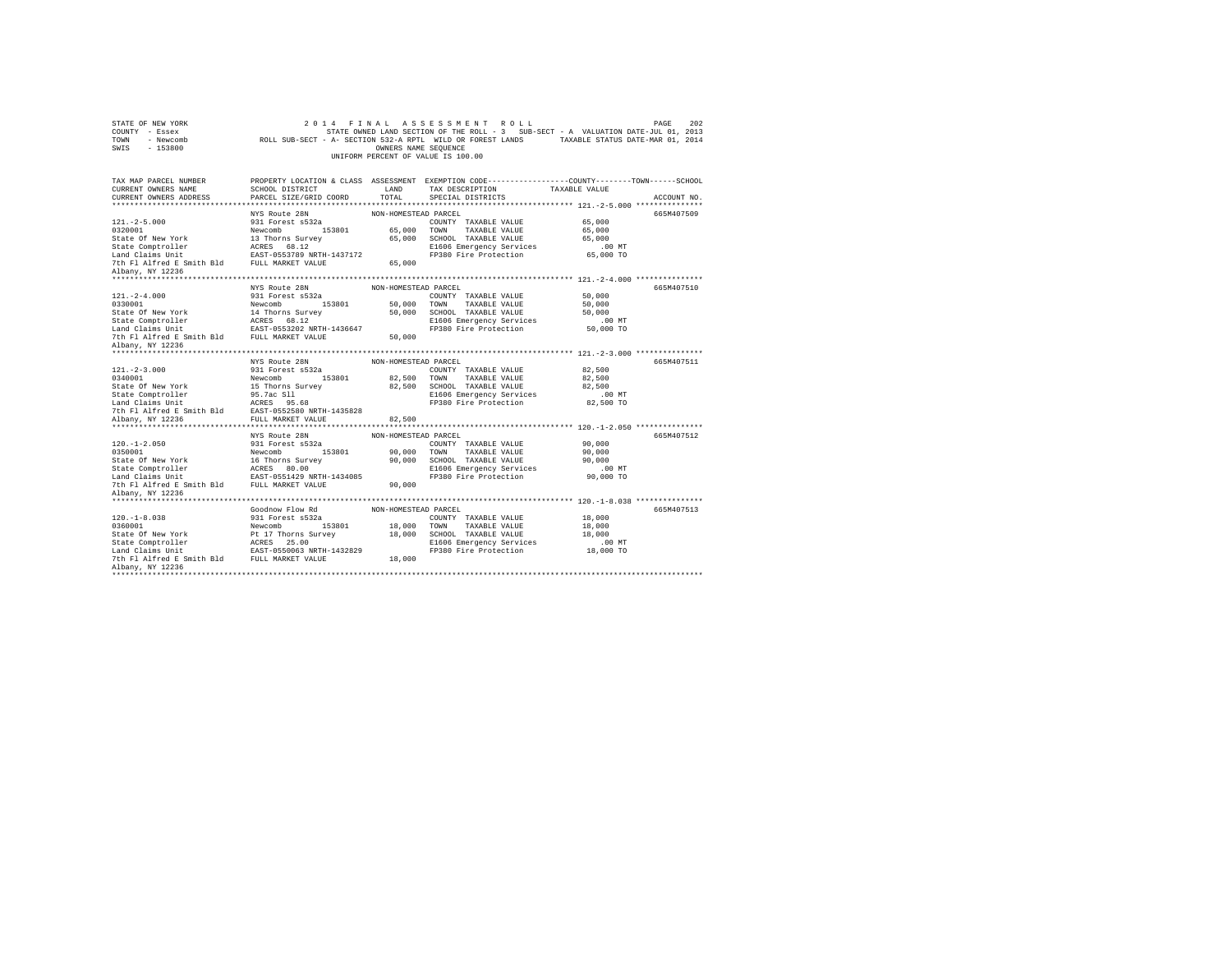| STATE OF NEW YORK<br>COUNTY - Essex<br>TOWN - Newcomb<br>SWIS - 153800 |                                          | OWNERS NAME SEQUENCE | 2014 FINAL ASSESSMENT ROLL<br>STATE OWNED LAND SECTION OF THE ROLL - 3 SUB-SECT - A VALUATION DATE-JUL 01, 2013<br>ROLL SUB-SECT - A- SECTION 532-A RPTL WILD OR FOREST LANDS TAXABLE STATUS DATE-MAR 01, 2014<br>UNIFORM PERCENT OF VALUE IS 100.00 |                       | 202<br>PAGE |
|------------------------------------------------------------------------|------------------------------------------|----------------------|------------------------------------------------------------------------------------------------------------------------------------------------------------------------------------------------------------------------------------------------------|-----------------------|-------------|
| TAX MAP PARCEL NUMBER                                                  |                                          |                      | PROPERTY LOCATION & CLASS ASSESSMENT EXEMPTION CODE---------------COUNTY-------TOWN------SCHOOL                                                                                                                                                      |                       |             |
| CURRENT OWNERS NAME                                                    | SCHOOL DISTRICT                          | LAND                 | TAX DESCRIPTION                                                                                                                                                                                                                                      | TAXABLE VALUE         |             |
| CURRENT OWNERS ADDRESS                                                 | PARCEL SIZE/GRID COORD                   | TOTAL.               | SPECIAL DISTRICTS                                                                                                                                                                                                                                    |                       | ACCOUNT NO. |
|                                                                        |                                          |                      |                                                                                                                                                                                                                                                      |                       |             |
| $121. -2 - 5.000$                                                      | NYS Route 28N<br>931 Forest s532a        | NON-HOMESTEAD PARCEL | COUNTY TAXABLE VALUE                                                                                                                                                                                                                                 | 65,000                | 665M407509  |
| 0320001                                                                | Newcomb 153801                           |                      | 65,000 TOWN TAXABLE VALUE                                                                                                                                                                                                                            | 65,000                |             |
| State Of New York                                                      | 13 Thorns Survey                         |                      | 65,000 SCHOOL TAXABLE VALUE                                                                                                                                                                                                                          | 65,000                |             |
|                                                                        | ACRES 68.12                              |                      | E1606 Emergency Services                                                                                                                                                                                                                             | $.00$ MT              |             |
| State Comptroller<br>Land Claims Unit                                  | EAST-0553789 NRTH-1437172                |                      | FP380 Fire Protection                                                                                                                                                                                                                                | 65,000 TO             |             |
| 7th Fl Alfred E Smith Bld FULL MARKET VALUE                            |                                          | 65,000               |                                                                                                                                                                                                                                                      |                       |             |
| Albany, NY 12236                                                       |                                          |                      |                                                                                                                                                                                                                                                      |                       |             |
|                                                                        |                                          |                      |                                                                                                                                                                                                                                                      |                       |             |
|                                                                        | NYS Route 28N                            | NON-HOMESTEAD PARCEL |                                                                                                                                                                                                                                                      |                       | 665M407510  |
| $121. - 2 - 4.000$                                                     | 931 Forest s532a                         |                      | COUNTY TAXABLE VALUE                                                                                                                                                                                                                                 | 50,000                |             |
| 0330001                                                                | Newcomb 153801                           | 50,000 TOWN          | TAXABLE VALUE                                                                                                                                                                                                                                        | 50,000                |             |
| State Of New York                                                      | 14 Thorns Survey                         |                      | 50,000 SCHOOL TAXABLE VALUE                                                                                                                                                                                                                          | 50,000                |             |
| State Comptroller<br>Land Claims Unit                                  | ACRES 68.12<br>EAST-0553202 NRTH-1436647 |                      | E1606 Emergency Services<br>FP380 Fire Protection                                                                                                                                                                                                    | $.00$ MT<br>50,000 TO |             |
| 7th Fl Alfred E Smith Bld FULL MARKET VALUE                            |                                          | 50,000               |                                                                                                                                                                                                                                                      |                       |             |
| Albany, NY 12236                                                       |                                          |                      |                                                                                                                                                                                                                                                      |                       |             |
|                                                                        |                                          |                      |                                                                                                                                                                                                                                                      |                       |             |
|                                                                        | NYS Route 28N                            | NON-HOMESTEAD PARCEL |                                                                                                                                                                                                                                                      |                       | 665M407511  |
| $121. -2 - 3.000$                                                      | 931 Forest s532a                         |                      | COUNTY TAXABLE VALUE                                                                                                                                                                                                                                 | 82,500                |             |
| 0340001                                                                | Newcomb 153801                           | 82,500 TOWN          | TAXABLE VALUE                                                                                                                                                                                                                                        | 82,500                |             |
| State Of New York                                                      | 15 Thorns Survey                         |                      | 82.500 SCHOOL TAXABLE VALUE                                                                                                                                                                                                                          | 82,500                |             |
|                                                                        |                                          |                      | E1606 Emergency Services                                                                                                                                                                                                                             | $.00$ MT              |             |
|                                                                        |                                          |                      | FP380 Fire Protection                                                                                                                                                                                                                                | 82,500 TO             |             |
| 7th Fl Alfred E Smith Bld EAST-0552580 NRTH-1435828                    |                                          |                      |                                                                                                                                                                                                                                                      |                       |             |
| Albany, NY 12236                                                       | FULL MARKET VALUE                        | 82,500               |                                                                                                                                                                                                                                                      |                       |             |
|                                                                        | NYS Route 28N                            | NON-HOMESTEAD PARCEL |                                                                                                                                                                                                                                                      |                       | 665M407512  |
| $120. - 1 - 2.050$                                                     | 931 Forest s532a                         |                      | COUNTY TAXABLE VALUE                                                                                                                                                                                                                                 | 90,000                |             |
| 0350001                                                                | Newcomb 153801                           |                      | 90,000 TOWN TAXABLE VALUE                                                                                                                                                                                                                            | 90,000                |             |
| State Of New York                                                      | 16 Thorns Survey                         |                      | 90,000 SCHOOL TAXABLE VALUE                                                                                                                                                                                                                          | 90,000                |             |
|                                                                        |                                          |                      | E1606 Emergency Services                                                                                                                                                                                                                             | $.00$ MT              |             |
|                                                                        |                                          |                      | FP380 Fire Protection                                                                                                                                                                                                                                | 90,000 TO             |             |
| 7th Fl Alfred E Smith Bld FULL MARKET VALUE                            |                                          | 90,000               |                                                                                                                                                                                                                                                      |                       |             |
| Albany, NY 12236                                                       |                                          |                      |                                                                                                                                                                                                                                                      |                       |             |
|                                                                        |                                          |                      |                                                                                                                                                                                                                                                      |                       |             |
| $120. -1 - 8.038$                                                      | Goodnow Flow Rd<br>931 Forest s532a      | NON-HOMESTEAD PARCEL | COUNTY TAXABLE VALUE                                                                                                                                                                                                                                 | 18,000                | 665M407513  |
| 0360001                                                                | Newcomb 153801                           | 18,000 TOWN          | TAXABLE VALUE                                                                                                                                                                                                                                        | 18,000                |             |
| State Of New York                                                      | Pt 17 Thorns Survey                      |                      | 18,000 SCHOOL TAXABLE VALUE                                                                                                                                                                                                                          | 18,000                |             |
|                                                                        |                                          |                      | E1606 Emergency Services                                                                                                                                                                                                                             | $.00$ MT              |             |
|                                                                        |                                          |                      | FP380 Fire Protection                                                                                                                                                                                                                                | 18,000 TO             |             |
| 7th Fl Alfred E Smith Bld FULL MARKET VALUE                            |                                          | 18,000               |                                                                                                                                                                                                                                                      |                       |             |
| Albany, NY 12236                                                       |                                          |                      |                                                                                                                                                                                                                                                      |                       |             |
| ***********************                                                |                                          |                      |                                                                                                                                                                                                                                                      |                       |             |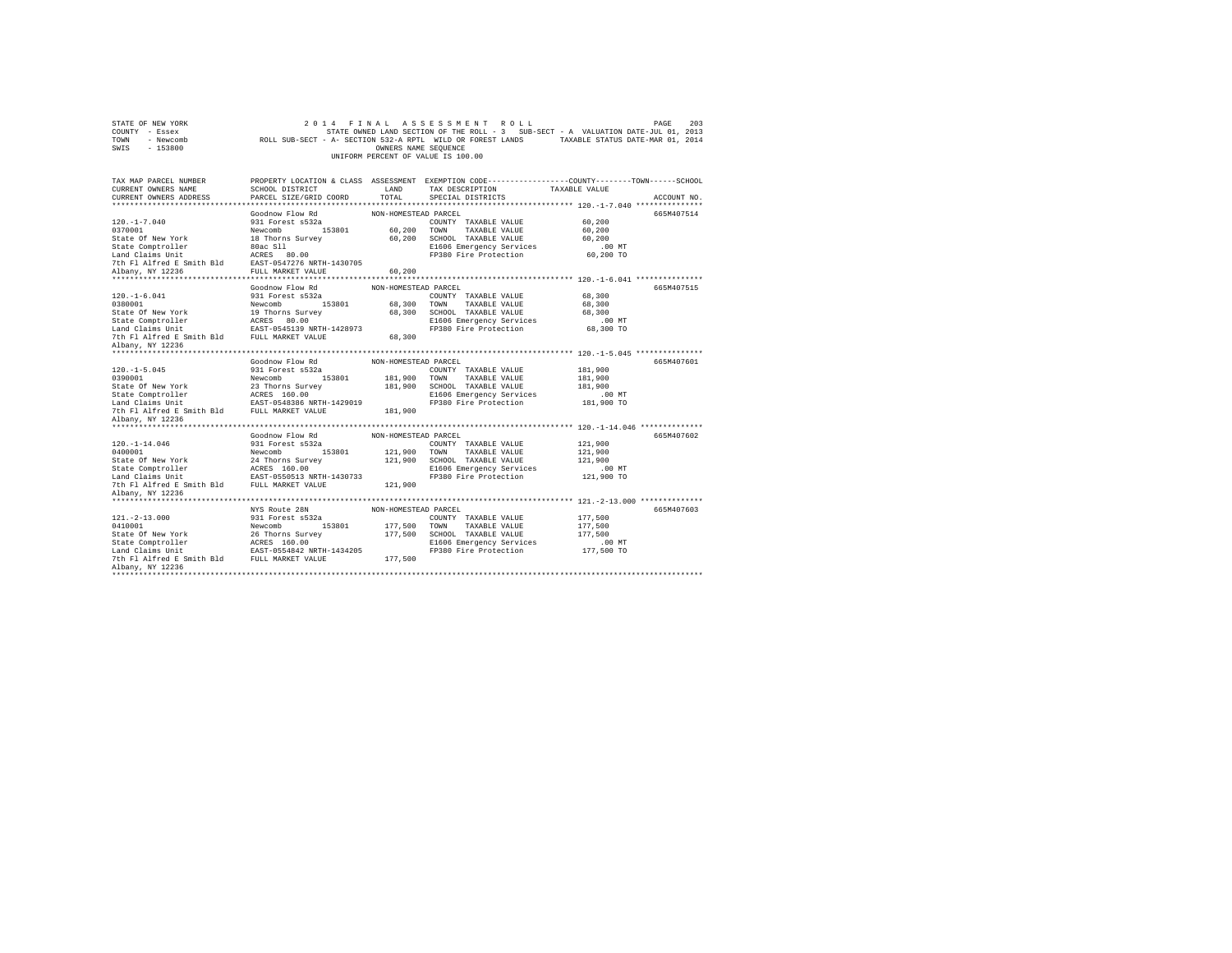| STATE OF NEW YORK<br>COUNTY - Essex<br>TOWN<br>- Newcomb<br>SWIS - 153800 |                                           | OWNERS NAME SEQUENCE | 2014 FINAL ASSESSMENT ROLL<br>STATE OWNED LAND SECTION OF THE ROLL - 3 SUB-SECT - A VALUATION DATE-JUL 01, 2013<br>ROLL SUB-SECT - A- SECTION 532-A RPTL WILD OR FOREST LANDS TAXABLE STATUS DATE-MAR 01, 2014<br>UNIFORM PERCENT OF VALUE IS 100.00 |                        | 203<br>PAGE |
|---------------------------------------------------------------------------|-------------------------------------------|----------------------|------------------------------------------------------------------------------------------------------------------------------------------------------------------------------------------------------------------------------------------------------|------------------------|-------------|
| TAX MAP PARCEL NUMBER                                                     |                                           |                      | PROPERTY LOCATION & CLASS ASSESSMENT EXEMPTION CODE---------------COUNTY-------TOWN------SCHOOL                                                                                                                                                      |                        |             |
| CURRENT OWNERS NAME                                                       | SCHOOL DISTRICT                           | LAND                 | TAX DESCRIPTION                                                                                                                                                                                                                                      | TAXABLE VALUE          |             |
| CURRENT OWNERS ADDRESS                                                    | PARCEL SIZE/GRID COORD                    | TOTAL.               | SPECIAL DISTRICTS                                                                                                                                                                                                                                    |                        | ACCOUNT NO. |
|                                                                           | Goodnow Flow Rd                           | NON-HOMESTEAD PARCEL |                                                                                                                                                                                                                                                      |                        | 665M407514  |
| $120. -1 - 7.040$                                                         | 931 Forest s532a                          |                      | COUNTY TAXABLE VALUE                                                                                                                                                                                                                                 | 60,200                 |             |
| 0370001                                                                   | Newcomb 153801                            |                      | 60,200 TOWN TAXABLE VALUE                                                                                                                                                                                                                            | 60,200                 |             |
| State Of New York                                                         | 18 Thorns Survey                          |                      | 60.200 SCHOOL TAXABLE VALUE                                                                                                                                                                                                                          | 60.200                 |             |
| State Comptroller                                                         |                                           |                      | E1606 Emergency Services                                                                                                                                                                                                                             | $.00$ MT               |             |
| Land Claims Unit                                                          | 80ac Sll<br>ACRES 80.00                   |                      | FP380 Fire Protection                                                                                                                                                                                                                                | 60,200 TO              |             |
| 7th Fl Alfred E Smith Bld                                                 | EAST-0547276 NRTH-1430705                 |                      |                                                                                                                                                                                                                                                      |                        |             |
| Albany, NY 12236                                                          | FULL MARKET VALUE                         | 60,200               |                                                                                                                                                                                                                                                      |                        |             |
|                                                                           |                                           |                      |                                                                                                                                                                                                                                                      |                        |             |
|                                                                           | Goodnow Flow Rd                           | NON-HOMESTEAD PARCEL |                                                                                                                                                                                                                                                      |                        | 665M407515  |
| $120. -1 - 6.041$<br>0380001                                              | 931 Forest s532a<br>Newcomb 153801        |                      | COUNTY TAXABLE VALUE                                                                                                                                                                                                                                 | 68,300                 |             |
| State Of New York                                                         | 19 Thorns Survey                          |                      | 68,300 TOWN TAXABLE VALUE<br>68,300 SCHOOL TAXABLE VALUE                                                                                                                                                                                             | 68,300<br>68,300       |             |
|                                                                           | ACRES 80.00                               |                      | E1606 Emergency Services                                                                                                                                                                                                                             | $.00$ MT               |             |
| State Comptroller<br>Land Claims Unit                                     | EAST-0545139 NRTH-1428973                 |                      | FP380 Fire Protection                                                                                                                                                                                                                                | 68,300 TO              |             |
| 7th Fl Alfred E Smith Bld FULL MARKET VALUE                               |                                           | 68,300               |                                                                                                                                                                                                                                                      |                        |             |
| Albany, NY 12236                                                          |                                           |                      |                                                                                                                                                                                                                                                      |                        |             |
|                                                                           |                                           |                      |                                                                                                                                                                                                                                                      |                        |             |
|                                                                           | Goodnow Flow Rd                           | NON-HOMESTEAD PARCEL |                                                                                                                                                                                                                                                      |                        | 665M407601  |
| $120. -1 - 5.045$                                                         | 931 Forest s532a                          |                      | COUNTY TAXABLE VALUE                                                                                                                                                                                                                                 | 181,900                |             |
| 0390001                                                                   | Newcomb 153801                            |                      | 181,900 TOWN TAXABLE VALUE                                                                                                                                                                                                                           | 181,900                |             |
| State Of New York                                                         | 23 Thorns Survey                          |                      | 181,900 SCHOOL TAXABLE VALUE                                                                                                                                                                                                                         | 181,900                |             |
| State Comptroller<br>Land Claims Unit                                     | ACRES 160.00<br>EAST-0548386 NRTH-1429019 |                      | E1606 Emergency Services<br>FP380 Fire Protection                                                                                                                                                                                                    | $.00$ MT<br>181,900 TO |             |
| 7th Fl Alfred E Smith Bld FULL MARKET VALUE                               |                                           | 181,900              |                                                                                                                                                                                                                                                      |                        |             |
| Albany, NY 12236                                                          |                                           |                      |                                                                                                                                                                                                                                                      |                        |             |
| *************************                                                 |                                           |                      |                                                                                                                                                                                                                                                      |                        |             |
|                                                                           | Goodnow Flow Rd                           | NON-HOMESTEAD PARCEL |                                                                                                                                                                                                                                                      |                        | 665M407602  |
| $120. - 1 - 14.046$                                                       | 931 Forest s532a                          |                      | COUNTY TAXABLE VALUE                                                                                                                                                                                                                                 | 121,900                |             |
| 0400001                                                                   | Newcomb 153801                            |                      | 121,900 TOWN TAXABLE VALUE                                                                                                                                                                                                                           | 121,900                |             |
| State Of New York                                                         | 24 Thorns Survey                          |                      | 121,900 SCHOOL TAXABLE VALUE                                                                                                                                                                                                                         | 121,900                |             |
| State Comptroller                                                         | ACRES 160.00                              |                      | E1606 Emergency Services                                                                                                                                                                                                                             | $.00$ MT               |             |
| Land Claims Unit EAST-0550513 NRTH-1430733                                |                                           |                      | FP380 Fire Protection                                                                                                                                                                                                                                | 121,900 TO             |             |
| 7th Fl Alfred E Smith Bld FULL MARKET VALUE                               |                                           | 121,900              |                                                                                                                                                                                                                                                      |                        |             |
| Albany, NY 12236                                                          |                                           |                      |                                                                                                                                                                                                                                                      |                        |             |
|                                                                           | NYS Route 28N                             | NON-HOMESTEAD PARCEL |                                                                                                                                                                                                                                                      |                        | 665M407603  |
| $121. - 2 - 13.000$                                                       | 931 Forest s532a                          |                      | COUNTY TAXABLE VALUE                                                                                                                                                                                                                                 | 177,500                |             |
| 0410001                                                                   | Newcomb<br>153801                         | 177,500 TOWN         | TAXABLE VALUE                                                                                                                                                                                                                                        | 177,500                |             |
| State Of New York                                                         | 26 Thorns Survey                          |                      | 177,500 SCHOOL TAXABLE VALUE                                                                                                                                                                                                                         | 177.500                |             |
| State Comptroller                                                         | ACRES 160.00                              |                      | E1606 Emergency Services                                                                                                                                                                                                                             | $.00$ MT               |             |
| Land Claims Unit                                                          | EAST-0554842 NRTH-1434205                 |                      | FP380 Fire Protection                                                                                                                                                                                                                                | 177,500 TO             |             |
| 7th Fl Alfred E Smith Bld FULL MARKET VALUE                               |                                           | 177,500              |                                                                                                                                                                                                                                                      |                        |             |
| Albany, NY 12236                                                          |                                           |                      |                                                                                                                                                                                                                                                      |                        |             |
|                                                                           |                                           |                      |                                                                                                                                                                                                                                                      |                        |             |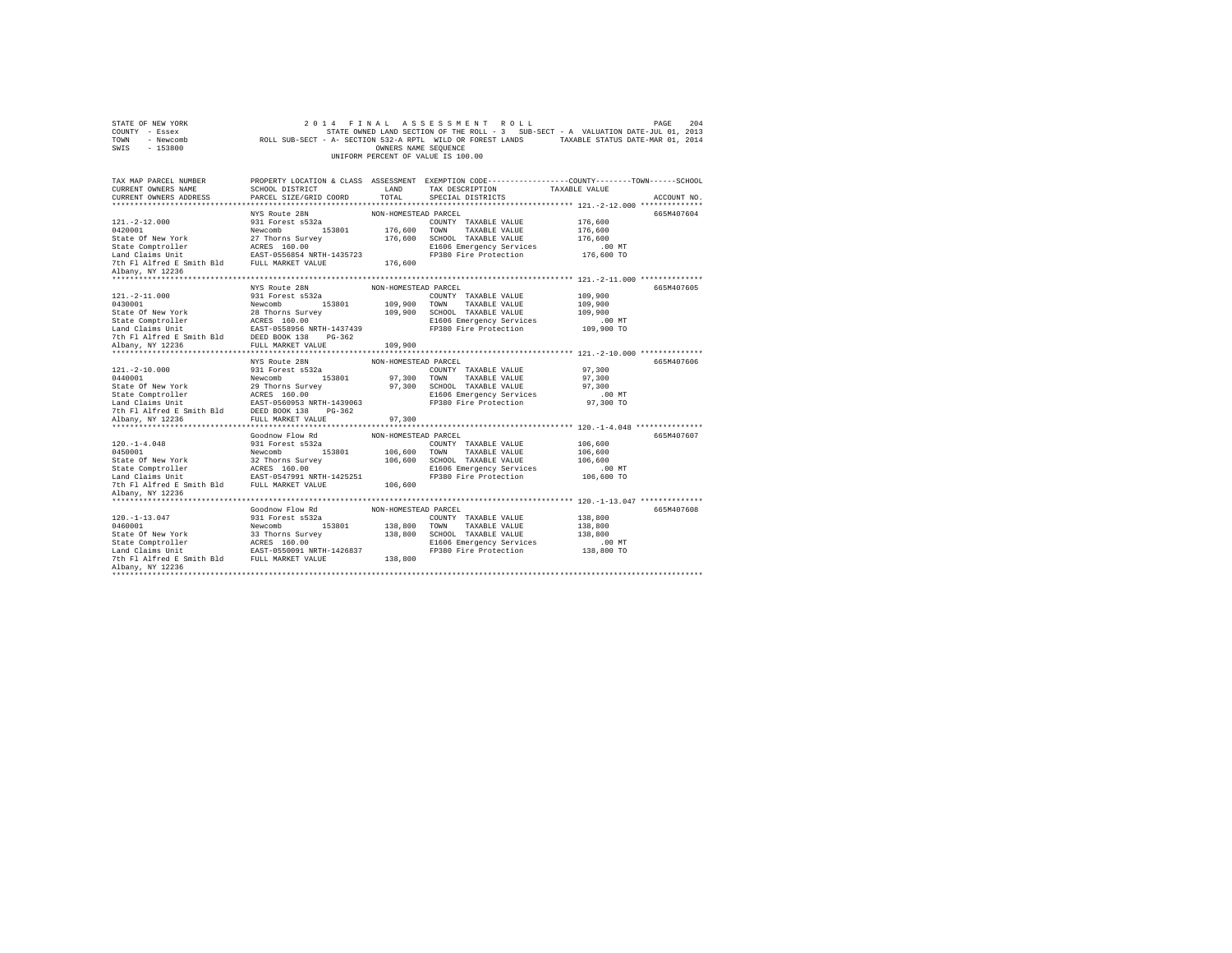| STATE OF NEW YORK<br>COUNTY - Essex<br>TOWN - Newcomb<br>SWIS - 153800                                                                                                                                                                                       |                                           | OWNERS NAME SEOUENCE | 2014 FINAL ASSESSMENT ROLL<br>STATE OWNED LAND SECTION OF THE ROLL - 3 SUB-SECT - A VALUATION DATE-JUL 01, 2013<br>ROLL SUB-SECT - A- SECTION 532-A RPTL WILD OR FOREST LANDS TAXABLE STATUS DATE-MAR 01, 2014<br>UNIFORM PERCENT OF VALUE IS 100.00 |                      | 204<br>PAGE |
|--------------------------------------------------------------------------------------------------------------------------------------------------------------------------------------------------------------------------------------------------------------|-------------------------------------------|----------------------|------------------------------------------------------------------------------------------------------------------------------------------------------------------------------------------------------------------------------------------------------|----------------------|-------------|
| TAX MAP PARCEL NUMBER                                                                                                                                                                                                                                        |                                           |                      | PROPERTY LOCATION & CLASS ASSESSMENT EXEMPTION CODE---------------COUNTY-------TOWN-----SCHOOL                                                                                                                                                       |                      |             |
| CURRENT OWNERS NAME<br>CURRENT OWNERS ADDRESS                                                                                                                                                                                                                | SCHOOL DISTRICT<br>PARCEL SIZE/GRID COORD | LAND<br>TOTAL        | TAX DESCRIPTION<br>SPECIAL DISTRICTS                                                                                                                                                                                                                 | TAXABLE VALUE        | ACCOUNT NO. |
|                                                                                                                                                                                                                                                              |                                           |                      |                                                                                                                                                                                                                                                      |                      |             |
|                                                                                                                                                                                                                                                              | NYS Route 28N                             | NON-HOMESTEAD PARCEL |                                                                                                                                                                                                                                                      |                      | 665M407604  |
| $121. -2 - 12.000$                                                                                                                                                                                                                                           | 931 Forest s532a                          |                      | COUNTY TAXABLE VALUE                                                                                                                                                                                                                                 | 176,600              |             |
|                                                                                                                                                                                                                                                              |                                           |                      | 176,600 TOWN TAXABLE VALUE                                                                                                                                                                                                                           | 176,600              |             |
|                                                                                                                                                                                                                                                              |                                           | 176,600              | SCHOOL TAXABLE VALUE                                                                                                                                                                                                                                 | 176,600              |             |
|                                                                                                                                                                                                                                                              |                                           |                      | E1606 Emergency Services                                                                                                                                                                                                                             | 00 MT.<br>176,600 TO |             |
|                                                                                                                                                                                                                                                              |                                           |                      | FP380 Fire Protection                                                                                                                                                                                                                                |                      |             |
| 0420001<br>State Of New York<br>27 Thorns Survey<br>State Comptroller<br>Land Claims Unit<br>27 Thorns Survey<br>27 Thorns Survey<br>27 Thorns 1357425<br>28 The Fl Alfred E Smith Bld<br>2010 FULL MARKET VALUE<br>21 Name W 1?236                          |                                           | 176,600              |                                                                                                                                                                                                                                                      |                      |             |
| Albany, NY 12236                                                                                                                                                                                                                                             |                                           |                      |                                                                                                                                                                                                                                                      |                      |             |
|                                                                                                                                                                                                                                                              | NYS Route 28N                             | NON-HOMESTEAD PARCEL |                                                                                                                                                                                                                                                      |                      | 665M407605  |
| $121. - 2 - 11.000$                                                                                                                                                                                                                                          | 931 Forest s532a                          |                      | COUNTY TAXABLE VALUE                                                                                                                                                                                                                                 | 109,900              |             |
|                                                                                                                                                                                                                                                              |                                           |                      | 109,900 TOWN TAXABLE VALUE                                                                                                                                                                                                                           | 109,900              |             |
|                                                                                                                                                                                                                                                              |                                           |                      | 109,900 SCHOOL TAXABLE VALUE                                                                                                                                                                                                                         | 109,900              |             |
|                                                                                                                                                                                                                                                              |                                           |                      | E1606 Emergency Services                                                                                                                                                                                                                             | $.00$ MT             |             |
|                                                                                                                                                                                                                                                              |                                           |                      | FP380 Fire Protection                                                                                                                                                                                                                                | 109,900 TO           |             |
| 0430001<br>State Of New York<br>28 Thorns Survey<br>State Comptroller<br>Land Claims Unit<br>28 Thorns Survey<br>17 Alfred E Smith Bld<br>200001 138<br>20001 138<br>20001 138<br>20001 138<br>20001 138<br>20001 138<br>20001 138<br>20001 149<br>20001 149 |                                           |                      |                                                                                                                                                                                                                                                      |                      |             |
| Albany, NY 12236                                                                                                                                                                                                                                             | FULL MARKET VALUE 109,900                 |                      |                                                                                                                                                                                                                                                      |                      |             |
|                                                                                                                                                                                                                                                              | NYS Route 28N                             | NON-HOMESTEAD PARCEL |                                                                                                                                                                                                                                                      |                      | 665M407606  |
| $121. - 2 - 10.000$                                                                                                                                                                                                                                          | 931 Forest s532a                          |                      | COUNTY TAXABLE VALUE                                                                                                                                                                                                                                 | 97,300               |             |
|                                                                                                                                                                                                                                                              |                                           |                      | 97,300 TOWN TAXABLE VALUE                                                                                                                                                                                                                            | 97,300               |             |
|                                                                                                                                                                                                                                                              |                                           |                      | 97,300 SCHOOL TAXABLE VALUE                                                                                                                                                                                                                          | 97,300               |             |
|                                                                                                                                                                                                                                                              |                                           |                      | E1606 Emergency Services                                                                                                                                                                                                                             | $.00$ MT             |             |
|                                                                                                                                                                                                                                                              |                                           |                      | FP380 Fire Protection                                                                                                                                                                                                                                | 97,300 TO            |             |
| 0440001 Newcomb<br>State Of New York<br>State Comptroller<br>29 Thorns State Comptroller<br>Land Claims Unit<br>2008 The Plate State Comptrates 160.00<br>2009 The Plate State Point Plate 200953 NRTH-1439063<br>2019 The Plate State Plate                 |                                           |                      |                                                                                                                                                                                                                                                      |                      |             |
| Albany, NY 12236                                                                                                                                                                                                                                             | FULL MARKET VALUE                         | 97,300               |                                                                                                                                                                                                                                                      |                      |             |
|                                                                                                                                                                                                                                                              |                                           |                      |                                                                                                                                                                                                                                                      |                      |             |
|                                                                                                                                                                                                                                                              | Goodnow Flow Rd                           | NON-HOMESTEAD PARCEL |                                                                                                                                                                                                                                                      |                      | 665M407607  |
| $120. -1 - 4.048$                                                                                                                                                                                                                                            | 931 Forest s532a                          |                      | COUNTY TAXABLE VALUE                                                                                                                                                                                                                                 | 106,600<br>106,600   |             |
|                                                                                                                                                                                                                                                              |                                           |                      | 106,600 SCHOOL TAXABLE VALUE                                                                                                                                                                                                                         | 106,600              |             |
|                                                                                                                                                                                                                                                              |                                           |                      | E1606 Emergency Services                                                                                                                                                                                                                             | .00 MT               |             |
|                                                                                                                                                                                                                                                              |                                           |                      | FP380 Fire Protection                                                                                                                                                                                                                                | 106,600 TO           |             |
|                                                                                                                                                                                                                                                              |                                           |                      |                                                                                                                                                                                                                                                      |                      |             |
| Albany, NY 12236                                                                                                                                                                                                                                             |                                           |                      |                                                                                                                                                                                                                                                      |                      |             |
|                                                                                                                                                                                                                                                              |                                           |                      |                                                                                                                                                                                                                                                      |                      |             |
|                                                                                                                                                                                                                                                              | Goodnow Flow Rd                           | NON-HOMESTEAD PARCEL |                                                                                                                                                                                                                                                      |                      | 665M407608  |
| $120. - 1 - 13.047$                                                                                                                                                                                                                                          | 931 Forest s532a                          |                      | COUNTY TAXABLE VALUE                                                                                                                                                                                                                                 | 138,800              |             |
|                                                                                                                                                                                                                                                              |                                           |                      | 153801 138,800 TOWN TAXABLE VALUE                                                                                                                                                                                                                    | 138,800              |             |
|                                                                                                                                                                                                                                                              |                                           | 138,800              | SCHOOL TAXABLE VALUE                                                                                                                                                                                                                                 | 138,800              |             |
|                                                                                                                                                                                                                                                              |                                           |                      | E1606 Emergency Services<br>FP380 Fire Protection                                                                                                                                                                                                    | $.00$ MT             |             |
|                                                                                                                                                                                                                                                              |                                           | 138,800              |                                                                                                                                                                                                                                                      | 138,800 TO           |             |
| Albany, NY 12236                                                                                                                                                                                                                                             |                                           |                      |                                                                                                                                                                                                                                                      |                      |             |
| ***************************                                                                                                                                                                                                                                  |                                           |                      |                                                                                                                                                                                                                                                      |                      |             |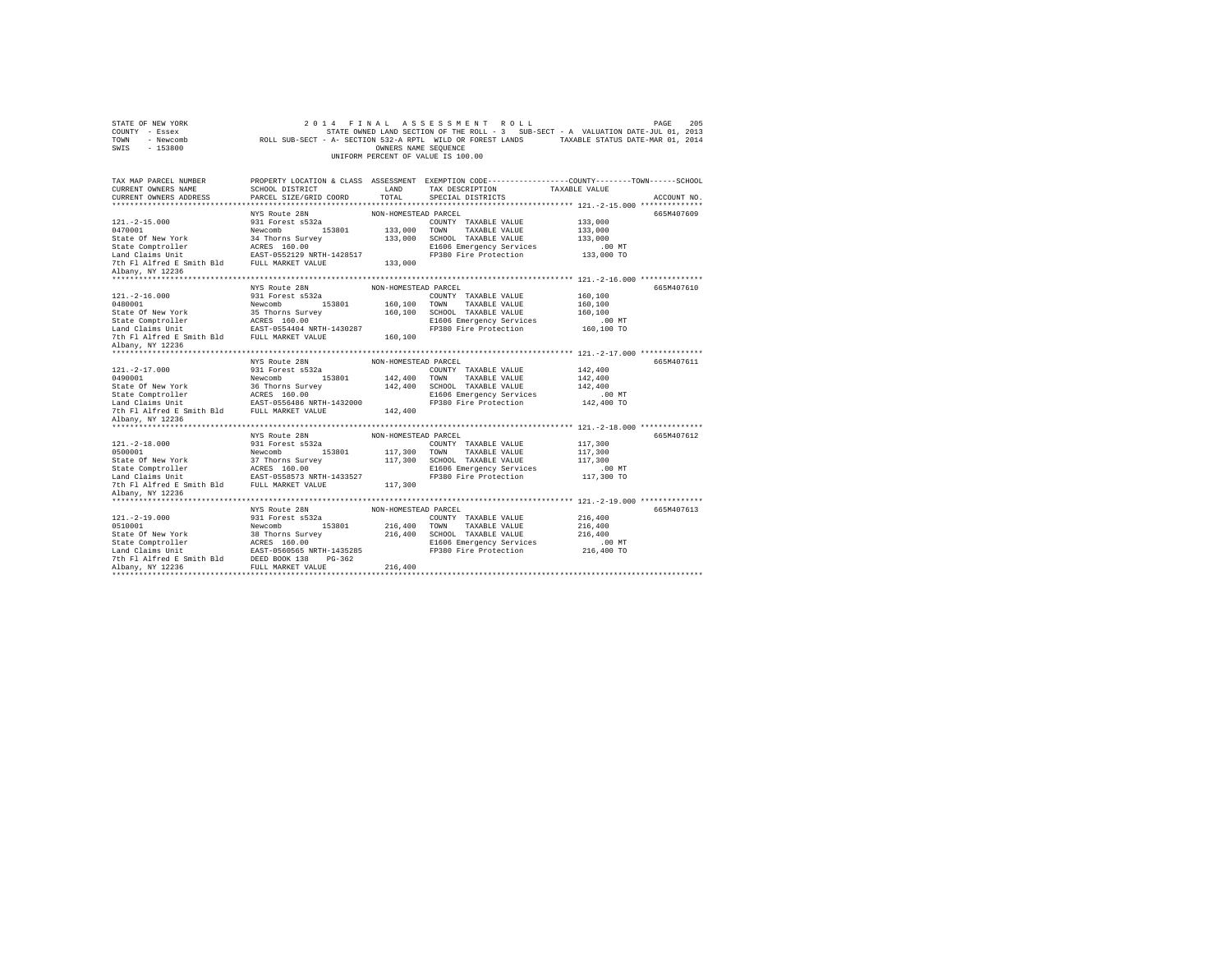| STATE OF NEW YORK<br>COUNTY - Essex<br>TOWN<br>- Newcomb<br>$-153800$<br>SWIS |                                                   | OWNERS NAME SEQUENCE | 2014 FINAL ASSESSMENT ROLL<br>STATE OWNED LAND SECTION OF THE ROLL - 3 SUB-SECT - A VALUATION DATE-JUL 01, 2013<br>ROLL SUB-SECT - A- SECTION 532-A RPTL WILD OR FOREST LANDS TAXABLE STATUS DATE-MAR 01, 2014<br>UNIFORM PERCENT OF VALUE IS 100.00 |                     | 205<br>PAGE |
|-------------------------------------------------------------------------------|---------------------------------------------------|----------------------|------------------------------------------------------------------------------------------------------------------------------------------------------------------------------------------------------------------------------------------------------|---------------------|-------------|
| TAX MAP PARCEL NUMBER                                                         |                                                   |                      | PROPERTY LOCATION & CLASS ASSESSMENT EXEMPTION CODE---------------COUNTY-------TOWN------SCHOOL                                                                                                                                                      |                     |             |
| CURRENT OWNERS NAME                                                           | SCHOOL DISTRICT                                   | LAND                 | TAX DESCRIPTION                                                                                                                                                                                                                                      | TAXABLE VALUE       |             |
| CURRENT OWNERS ADDRESS                                                        | PARCEL SIZE/GRID COORD                            | TOTAL.               | SPECIAL DISTRICTS                                                                                                                                                                                                                                    |                     | ACCOUNT NO. |
|                                                                               |                                                   |                      |                                                                                                                                                                                                                                                      |                     |             |
|                                                                               | NYS Route 28N                                     | NON-HOMESTEAD PARCEL |                                                                                                                                                                                                                                                      |                     | 665M407609  |
| $121. - 2 - 15.000$                                                           | 931 Forest s532a                                  |                      | COUNTY TAXABLE VALUE                                                                                                                                                                                                                                 | 133,000             |             |
| 0470001                                                                       | Newcomb 153801                                    |                      | 133,000 TOWN TAXABLE VALUE                                                                                                                                                                                                                           | 133,000             |             |
| State Of New York<br>State Comptroller                                        | 34 Thorns Survey                                  |                      | 133,000 SCHOOL TAXABLE VALUE                                                                                                                                                                                                                         | 133,000<br>$.00$ MT |             |
| Land Claims Unit                                                              | ACRES 160.00<br>EAST-0552129 NRTH-1428517         |                      | E1606 Emergency Services<br>FP380 Fire Protection                                                                                                                                                                                                    | 133,000 TO          |             |
| 7th Fl Alfred E Smith Bld FULL MARKET VALUE                                   |                                                   | 133,000              |                                                                                                                                                                                                                                                      |                     |             |
| Albany, NY 12236                                                              |                                                   |                      |                                                                                                                                                                                                                                                      |                     |             |
|                                                                               |                                                   |                      |                                                                                                                                                                                                                                                      |                     |             |
|                                                                               | NYS Route 28N                                     | NON-HOMESTEAD PARCEL |                                                                                                                                                                                                                                                      |                     | 665M407610  |
| $121. -2 - 16.000$                                                            | 931 Forest s532a                                  |                      | COUNTY TAXABLE VALUE                                                                                                                                                                                                                                 | 160,100             |             |
| 0480001                                                                       | Newcomb 153801                                    | 160,100 TOWN         | TAXABLE VALUE                                                                                                                                                                                                                                        | 160,100             |             |
| State Of New York                                                             | 35 Thorns Survey                                  |                      | 160,100 SCHOOL TAXABLE VALUE                                                                                                                                                                                                                         | 160,100             |             |
| State Comptroller<br>Land Claims Unit                                         | ACRES 160.00                                      |                      | E1606 Emergency Services                                                                                                                                                                                                                             | $.00$ MT            |             |
|                                                                               | EAST-0554404 NRTH-1430287                         |                      | FP380 Fire Protection                                                                                                                                                                                                                                | 160,100 TO          |             |
| 7th Fl Alfred E Smith Bld FULL MARKET VALUE                                   |                                                   | 160,100              |                                                                                                                                                                                                                                                      |                     |             |
| Albany, NY 12236                                                              |                                                   |                      |                                                                                                                                                                                                                                                      |                     |             |
|                                                                               | NYS Route 28N                                     | NON-HOMESTEAD PARCEL |                                                                                                                                                                                                                                                      |                     | 665M407611  |
| $121. -2 - 17.000$                                                            | 931 Forest s532a                                  |                      | COUNTY TAXABLE VALUE                                                                                                                                                                                                                                 | 142,400             |             |
| 0490001                                                                       | 153801<br>Newcomb                                 |                      | 142,400 TOWN TAXABLE VALUE                                                                                                                                                                                                                           | 142,400             |             |
| State Of New York                                                             | 36 Thorns Survey                                  |                      | 142,400 SCHOOL TAXABLE VALUE                                                                                                                                                                                                                         | 142,400             |             |
| State Comptroller                                                             | ACRES 160.00                                      |                      | E1606 Emergency Services                                                                                                                                                                                                                             | $.00$ MT            |             |
| Land Claims Unit FAST-0556486 NRTH-1432000                                    |                                                   |                      | FP380 Fire Protection                                                                                                                                                                                                                                | 142,400 TO          |             |
| 7th Fl Alfred E Smith Bld FULL MARKET VALUE                                   |                                                   | 142,400              |                                                                                                                                                                                                                                                      |                     |             |
| Albany, NY 12236                                                              |                                                   |                      |                                                                                                                                                                                                                                                      |                     |             |
| *********************                                                         |                                                   |                      |                                                                                                                                                                                                                                                      |                     |             |
|                                                                               | NYS Route 28N                                     | NON-HOMESTEAD PARCEL |                                                                                                                                                                                                                                                      |                     | 665M407612  |
| $121. - 2 - 18.000$                                                           | 931 Forest s532a                                  |                      | COUNTY TAXABLE VALUE                                                                                                                                                                                                                                 | 117,300             |             |
| 0500001                                                                       | 153801<br>Newcomb                                 |                      | 117,300 TOWN TAXABLE VALUE                                                                                                                                                                                                                           | 117,300             |             |
| State Of New York                                                             | 37 Thorns Survey                                  |                      | 117,300 SCHOOL TAXABLE VALUE                                                                                                                                                                                                                         | 117,300             |             |
|                                                                               |                                                   |                      | E1606 Emergency Services                                                                                                                                                                                                                             | $.00$ MT            |             |
|                                                                               |                                                   |                      | FP380 Fire Protection                                                                                                                                                                                                                                | 117,300 TO          |             |
| 7th F1 Alfred E Smith Bld FULL MARKET VALUE<br>Albany, NY 12236               |                                                   | 117,300              |                                                                                                                                                                                                                                                      |                     |             |
|                                                                               |                                                   |                      |                                                                                                                                                                                                                                                      |                     |             |
|                                                                               | NYS Route 28N                                     | NON-HOMESTEAD PARCEL |                                                                                                                                                                                                                                                      |                     | 665M407613  |
| $121. -2 - 19.000$                                                            | 931 Forest s532a                                  |                      | COUNTY TAXABLE VALUE                                                                                                                                                                                                                                 | 216,400             |             |
| 0510001                                                                       | Newcomb<br>153801                                 | 216,400 TOWN         | TAXABLE VALUE                                                                                                                                                                                                                                        | 216,400             |             |
| State Of New York                                                             | 38 Thorns Survey                                  |                      | 216,400 SCHOOL TAXABLE VALUE                                                                                                                                                                                                                         | 216,400             |             |
| State Comptroller                                                             | ACRES 160.00                                      |                      | E1606 Emergency Services                                                                                                                                                                                                                             | $.00$ MT            |             |
| Land Claims Unit                                                              |                                                   |                      |                                                                                                                                                                                                                                                      |                     |             |
|                                                                               |                                                   |                      | FP380 Fire Protection                                                                                                                                                                                                                                | 216,400 TO          |             |
| 7th Fl Alfred E Smith Bld                                                     | EAST-0560565 NRTH-1435285<br>DEED BOOK 138 PG-362 |                      |                                                                                                                                                                                                                                                      |                     |             |
| Albany, NY 12236                                                              | FULL MARKET VALUE                                 | 216,400              |                                                                                                                                                                                                                                                      |                     |             |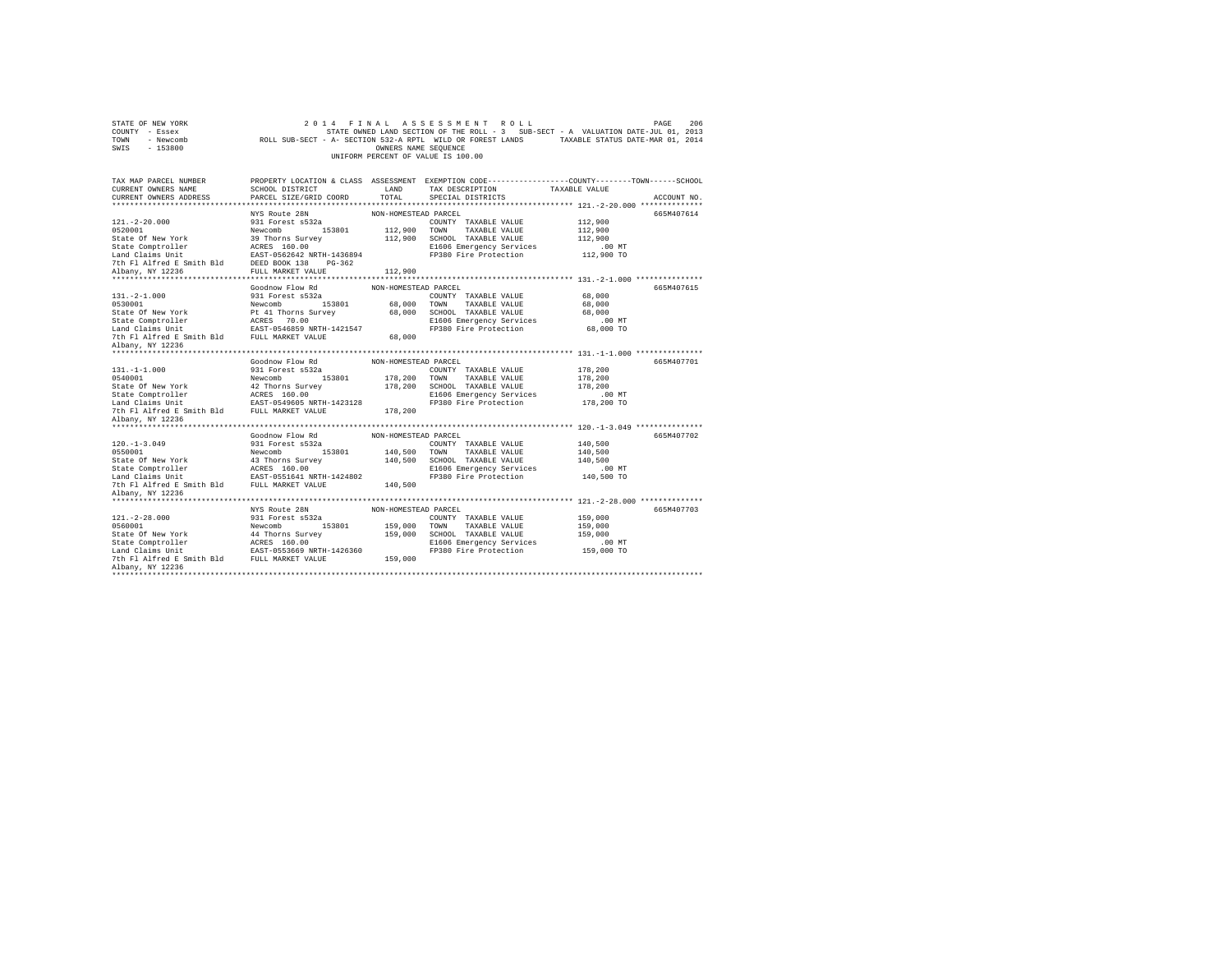| STATE OF NEW YORK<br>COUNTY - Essex<br>TOWN<br>- Newcomb<br>SWIS - 153800 |                                                   | OWNERS NAME SEQUENCE | 2014 FINAL ASSESSMENT ROLL<br>STATE OWNED LAND SECTION OF THE ROLL - 3 SUB-SECT - A VALUATION DATE-JUL 01, 2013<br>ROLL SUB-SECT - A- SECTION 532-A RPTL WILD OR FOREST LANDS TAXABLE STATUS DATE-MAR 01, 2014<br>UNIFORM PERCENT OF VALUE IS 100.00 |                     | 206<br>PAGE |
|---------------------------------------------------------------------------|---------------------------------------------------|----------------------|------------------------------------------------------------------------------------------------------------------------------------------------------------------------------------------------------------------------------------------------------|---------------------|-------------|
| TAX MAP PARCEL NUMBER                                                     |                                                   |                      | PROPERTY LOCATION & CLASS ASSESSMENT EXEMPTION CODE---------------COUNTY-------TOWN------SCHOOL                                                                                                                                                      |                     |             |
| CURRENT OWNERS NAME                                                       | SCHOOL DISTRICT                                   | LAND                 | TAX DESCRIPTION                                                                                                                                                                                                                                      | TAXABLE VALUE       |             |
| CURRENT OWNERS ADDRESS                                                    | PARCEL SIZE/GRID COORD                            | TOTAL.               | SPECIAL DISTRICTS                                                                                                                                                                                                                                    |                     | ACCOUNT NO. |
|                                                                           |                                                   |                      |                                                                                                                                                                                                                                                      |                     |             |
|                                                                           | NYS Route 28N                                     | NON-HOMESTEAD PARCEL |                                                                                                                                                                                                                                                      |                     | 665M407614  |
| $121. - 2 - 20.000$                                                       | 931 Forest s532a                                  |                      | COUNTY TAXABLE VALUE                                                                                                                                                                                                                                 | 112,900             |             |
| 0520001                                                                   | Newcomb 153801                                    |                      | 112,900 TOWN TAXABLE VALUE                                                                                                                                                                                                                           | 112,900             |             |
| State Of New York                                                         | 39 Thorns Survey                                  |                      | 112,900 SCHOOL TAXABLE VALUE                                                                                                                                                                                                                         | 112,900             |             |
| State Comptroller                                                         | ACRES 160.00                                      |                      | E1606 Emergency Services<br>FP380 Fire Protection                                                                                                                                                                                                    | .00MT<br>112,900 TO |             |
| Land Claims Unit<br>7th Fl Alfred E Smith Bld                             | EAST-0562642 NRTH-1436894<br>DEED BOOK 138 PG-362 |                      |                                                                                                                                                                                                                                                      |                     |             |
| Albany, NY 12236                                                          | FULL MARKET VALUE                                 | 112,900              |                                                                                                                                                                                                                                                      |                     |             |
|                                                                           |                                                   |                      |                                                                                                                                                                                                                                                      |                     |             |
|                                                                           | Goodnow Flow Rd                                   | NON-HOMESTEAD PARCEL |                                                                                                                                                                                                                                                      |                     | 665M407615  |
| $131. -2 - 1.000$                                                         | 931 Forest s532a                                  |                      | COUNTY TAXABLE VALUE                                                                                                                                                                                                                                 | 68,000              |             |
| 0530001                                                                   | Newcomb 153801                                    | 68,000 TOWN          | TAXABLE VALUE                                                                                                                                                                                                                                        | 68,000              |             |
| State Of New York                                                         | Pt 41 Thorns Survey                               |                      | 68,000 SCHOOL TAXABLE VALUE                                                                                                                                                                                                                          | 68,000              |             |
| State Comptroller<br>Land Claims Unit                                     | ACRES 70.00                                       |                      | E1606 Emergency Services                                                                                                                                                                                                                             | $.00$ MT            |             |
|                                                                           | EAST-0546859 NRTH-1421547                         |                      | FP380 Fire Protection                                                                                                                                                                                                                                | 68,000 TO           |             |
| 7th F1 Alfred E Smith Bld FULL MARKET VALUE                               |                                                   | 68,000               |                                                                                                                                                                                                                                                      |                     |             |
| Albany, NY 12236                                                          |                                                   |                      |                                                                                                                                                                                                                                                      |                     |             |
|                                                                           |                                                   |                      |                                                                                                                                                                                                                                                      |                     |             |
|                                                                           | Goodnow Flow Rd                                   | NON-HOMESTEAD PARCEL |                                                                                                                                                                                                                                                      |                     | 665M407701  |
| $131. -1 -1.000$<br>0540001                                               | 931 Forest s532a<br>Newcomb 153801                |                      | COUNTY TAXABLE VALUE                                                                                                                                                                                                                                 | 178,200             |             |
| State Of New York                                                         | 42 Thorns Survey                                  |                      | 178,200 TOWN TAXABLE VALUE<br>178,200 SCHOOL TAXABLE VALUE                                                                                                                                                                                           | 178,200<br>178,200  |             |
| State Comptroller                                                         |                                                   |                      | E1606 Emergency Services                                                                                                                                                                                                                             | $.00$ MT            |             |
| Land Claims Unit                                                          | ACRES 160.00<br>EAST-0549605 NRTH-1423128         |                      | FP380 Fire Protection                                                                                                                                                                                                                                | 178,200 TO          |             |
| 7th Fl Alfred E Smith Bld FULL MARKET VALUE                               |                                                   | 178,200              |                                                                                                                                                                                                                                                      |                     |             |
| Albany, NY 12236                                                          |                                                   |                      |                                                                                                                                                                                                                                                      |                     |             |
| *********************                                                     |                                                   |                      |                                                                                                                                                                                                                                                      |                     |             |
|                                                                           | Goodnow Flow Rd                                   | NON-HOMESTEAD PARCEL |                                                                                                                                                                                                                                                      |                     | 665M407702  |
| $120. -1 - 3.049$                                                         | 931 Forest s532a                                  |                      | COUNTY TAXABLE VALUE                                                                                                                                                                                                                                 | 140,500             |             |
| 0550001                                                                   | Newcomb 153801                                    |                      | 140,500 TOWN TAXABLE VALUE                                                                                                                                                                                                                           | 140,500             |             |
| State Of New York                                                         | 43 Thorns Survey                                  |                      | 140,500 SCHOOL TAXABLE VALUE                                                                                                                                                                                                                         | 140,500             |             |
| State Comptroller                                                         | ACRES 160.00                                      |                      | E1606 Emergency Services                                                                                                                                                                                                                             | $.00$ MT            |             |
| Land Claims Unit EAST-0551641 NRTH-1424802                                |                                                   |                      | FP380 Fire Protection                                                                                                                                                                                                                                | 140,500 TO          |             |
| 7th Fl Alfred E Smith Bld FULL MARKET VALUE                               |                                                   | 140,500              |                                                                                                                                                                                                                                                      |                     |             |
| Albany, NY 12236                                                          |                                                   |                      |                                                                                                                                                                                                                                                      |                     |             |
|                                                                           | NYS Route 28N                                     | NON-HOMESTEAD PARCEL |                                                                                                                                                                                                                                                      |                     | 665M407703  |
| $121. - 2 - 28.000$                                                       | 931 Forest s532a                                  |                      | COUNTY TAXABLE VALUE                                                                                                                                                                                                                                 | 159,000             |             |
| 0560001                                                                   | Newcomb<br>153801                                 | 159,000 TOWN         | TAXABLE VALUE                                                                                                                                                                                                                                        | 159,000             |             |
| State Of New York                                                         | 44 Thorns Survey                                  |                      | 159,000 SCHOOL TAXABLE VALUE                                                                                                                                                                                                                         | 159,000             |             |
| State Comptroller                                                         | ACRES 160.00                                      |                      | E1606 Emergency Services                                                                                                                                                                                                                             | $.00$ MT            |             |
| Land Claims Unit EAST-0553669 NRTH-1426360                                |                                                   |                      | FP380 Fire Protection                                                                                                                                                                                                                                | 159,000 TO          |             |
| 7th F1 Alfred E Smith Bld FULL MARKET VALUE                               |                                                   | 159,000              |                                                                                                                                                                                                                                                      |                     |             |
| Albany, NY 12236                                                          |                                                   |                      |                                                                                                                                                                                                                                                      |                     |             |
| *********************                                                     |                                                   |                      |                                                                                                                                                                                                                                                      |                     |             |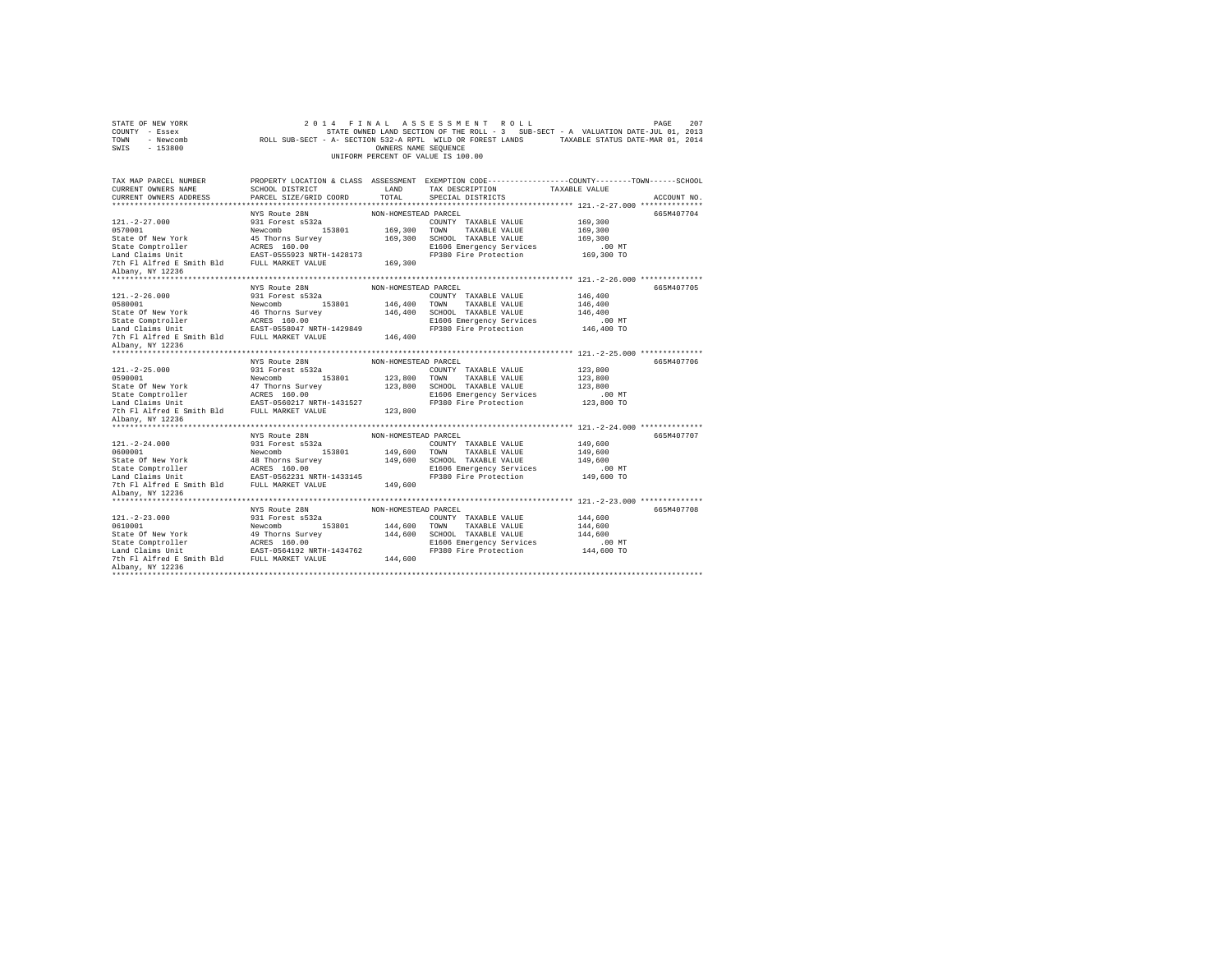| STATE OF NEW YORK<br>COUNTY - Essex<br>TOWN - Newcomb<br>SWIS - 153800                                                                                                                                                                                                                                                    |                                           | OWNERS NAME SEQUENCE | 2014 FINAL ASSESSMENT ROLL<br>STATE OWNED LAND SECTION OF THE ROLL - 3 SUB-SECT - A VALUATION DATE-JUL 01, 2013<br>ROLL SUB-SECT - A- SECTION 532-A RPTL WILD OR FOREST LANDS TAXABLE STATUS DATE-MAR 01, 2014<br>UNIFORM PERCENT OF VALUE IS 100.00 |                      | 207<br>PAGE |
|---------------------------------------------------------------------------------------------------------------------------------------------------------------------------------------------------------------------------------------------------------------------------------------------------------------------------|-------------------------------------------|----------------------|------------------------------------------------------------------------------------------------------------------------------------------------------------------------------------------------------------------------------------------------------|----------------------|-------------|
| TAX MAP PARCEL NUMBER                                                                                                                                                                                                                                                                                                     |                                           |                      | PROPERTY LOCATION & CLASS ASSESSMENT EXEMPTION CODE---------------COUNTY-------TOWN-----SCHOOL                                                                                                                                                       |                      |             |
| CURRENT OWNERS NAME                                                                                                                                                                                                                                                                                                       | SCHOOL DISTRICT<br>PARCEL SIZE/GRID COORD | LAND<br>TOTAL.       | TAX DESCRIPTION                                                                                                                                                                                                                                      | TAXABLE VALUE        |             |
| CURRENT OWNERS ADDRESS<br>**************************                                                                                                                                                                                                                                                                      |                                           |                      | SPECIAL DISTRICTS                                                                                                                                                                                                                                    |                      | ACCOUNT NO. |
|                                                                                                                                                                                                                                                                                                                           | NYS Route 28N                             | NON-HOMESTEAD PARCEL |                                                                                                                                                                                                                                                      |                      | 665M407704  |
| $121. - 2 - 27.000$                                                                                                                                                                                                                                                                                                       | 931 Forest s532a                          |                      | COUNTY TAXABLE VALUE                                                                                                                                                                                                                                 | 169,300              |             |
|                                                                                                                                                                                                                                                                                                                           |                                           |                      | 169,300 TOWN TAXABLE VALUE                                                                                                                                                                                                                           | 169,300              |             |
|                                                                                                                                                                                                                                                                                                                           |                                           | 169,300              | SCHOOL TAXABLE VALUE                                                                                                                                                                                                                                 | 169,300              |             |
| $\begin{tabular}{lllllllllllll} \texttt{0570001} & & & & & \texttt{Newcomb} & & \texttt{153801} \\ \texttt{State Comptroller} & & & & \texttt{45 Thorns Survey} \\ \texttt{State Computer} & & & & \texttt{ACRES} & \texttt{160.00} \\ \texttt{Land Claus Unit} & & & & \texttt{EAST-0555923 NRTH-1428173} \end{tabular}$ |                                           |                      | E1606 Emergency Services                                                                                                                                                                                                                             |                      |             |
|                                                                                                                                                                                                                                                                                                                           |                                           |                      | FP380 Fire Protection                                                                                                                                                                                                                                | 00 MT.<br>169,300 TO |             |
| 7th Fl Alfred E Smith Bld FULL MARKET VALUE                                                                                                                                                                                                                                                                               |                                           | 169,300              |                                                                                                                                                                                                                                                      |                      |             |
| Albany, NY 12236                                                                                                                                                                                                                                                                                                          |                                           |                      |                                                                                                                                                                                                                                                      |                      |             |
|                                                                                                                                                                                                                                                                                                                           |                                           |                      |                                                                                                                                                                                                                                                      |                      | 665M407705  |
| $121. - 2 - 26.000$                                                                                                                                                                                                                                                                                                       | NYS Route 28N<br>931 Forest s532a         | NON-HOMESTEAD PARCEL | COUNTY TAXABLE VALUE                                                                                                                                                                                                                                 | 146,400              |             |
| 0580001                                                                                                                                                                                                                                                                                                                   | Newcomb 153801                            | 146,400              | TOWN<br>TAXABLE VALUE                                                                                                                                                                                                                                | 146,400              |             |
|                                                                                                                                                                                                                                                                                                                           |                                           | 146,400              | SCHOOL TAXABLE VALUE                                                                                                                                                                                                                                 | 146,400              |             |
|                                                                                                                                                                                                                                                                                                                           |                                           |                      | E1606 Emergency Services                                                                                                                                                                                                                             | $.00$ MT             |             |
|                                                                                                                                                                                                                                                                                                                           |                                           |                      | FP380 Fire Protection                                                                                                                                                                                                                                | 146,400 TO           |             |
|                                                                                                                                                                                                                                                                                                                           |                                           | 146,400              |                                                                                                                                                                                                                                                      |                      |             |
| Albany, NY 12236                                                                                                                                                                                                                                                                                                          |                                           |                      |                                                                                                                                                                                                                                                      |                      |             |
|                                                                                                                                                                                                                                                                                                                           |                                           |                      |                                                                                                                                                                                                                                                      |                      |             |
|                                                                                                                                                                                                                                                                                                                           | NYS Route 28N                             | NON-HOMESTEAD PARCEL |                                                                                                                                                                                                                                                      |                      | 665M407706  |
| $121. -2 - 25.000$                                                                                                                                                                                                                                                                                                        | 931 Forest s532a                          |                      | COUNTY TAXABLE VALUE                                                                                                                                                                                                                                 | 123,800              |             |
| 0590001                                                                                                                                                                                                                                                                                                                   | Newcomb 153801<br>47 Thorns Survey        | 123,800 TOWN         | TAXABLE VALUE                                                                                                                                                                                                                                        | 123,800              |             |
| State Of New York                                                                                                                                                                                                                                                                                                         |                                           | 123,800              | SCHOOL TAXABLE VALUE<br>E1606 Emergency Services                                                                                                                                                                                                     | 123,800<br>$.00$ MT  |             |
| State Comptroller<br>Land Claims Unit<br>EAST-0560217 NRTH-1431527                                                                                                                                                                                                                                                        |                                           |                      | FP380 Fire Protection                                                                                                                                                                                                                                | 123,800 TO           |             |
| 7th Fl Alfred E Smith Bld FULL MARKET VALUE                                                                                                                                                                                                                                                                               |                                           | 123,800              |                                                                                                                                                                                                                                                      |                      |             |
| Albany, NY 12236                                                                                                                                                                                                                                                                                                          |                                           |                      |                                                                                                                                                                                                                                                      |                      |             |
|                                                                                                                                                                                                                                                                                                                           |                                           |                      |                                                                                                                                                                                                                                                      |                      |             |
|                                                                                                                                                                                                                                                                                                                           | NYS Route 28N                             | NON-HOMESTEAD PARCEL |                                                                                                                                                                                                                                                      |                      | 665M407707  |
| $121. - 2 - 24.000$                                                                                                                                                                                                                                                                                                       | 931 Forest s532a                          |                      | COUNTY TAXABLE VALUE                                                                                                                                                                                                                                 | 149,600              |             |
| 0600001                                                                                                                                                                                                                                                                                                                   | Newcomb 153801<br>48 Thorns Survey        | 149,600 TOWN         | TAXABLE VALUE                                                                                                                                                                                                                                        | 149,600              |             |
| State Of New York                                                                                                                                                                                                                                                                                                         |                                           | 149,600              | SCHOOL TAXABLE VALUE                                                                                                                                                                                                                                 | 149,600              |             |
|                                                                                                                                                                                                                                                                                                                           |                                           |                      | E1606 Emergency Services                                                                                                                                                                                                                             | $.00$ MT             |             |
| State Comptroller accuse to the state of the state of the state of the state of the 7 of the ST-000 of the Taller of the ST-000 of the ST-000 of the ST-000 of the ST-000 of the ST-000 of the ST-000 of the ST-000 of the ST-                                                                                            |                                           | 149,600              | FP380 Fire Protection                                                                                                                                                                                                                                | 149,600 TO           |             |
| Albany, NY 12236                                                                                                                                                                                                                                                                                                          |                                           |                      |                                                                                                                                                                                                                                                      |                      |             |
|                                                                                                                                                                                                                                                                                                                           |                                           |                      |                                                                                                                                                                                                                                                      |                      |             |
|                                                                                                                                                                                                                                                                                                                           | NYS Route 28N                             | NON-HOMESTEAD PARCEL |                                                                                                                                                                                                                                                      |                      | 665M407708  |
| $121. - 2 - 23.000$                                                                                                                                                                                                                                                                                                       | 931 Forest s532a                          |                      | COUNTY TAXABLE VALUE                                                                                                                                                                                                                                 | 144,600              |             |
|                                                                                                                                                                                                                                                                                                                           |                                           | 144,600 TOWN         | TAXABLE VALUE                                                                                                                                                                                                                                        | 144,600              |             |
|                                                                                                                                                                                                                                                                                                                           |                                           | 144,600              | SCHOOL TAXABLE VALUE                                                                                                                                                                                                                                 | 144,600              |             |
|                                                                                                                                                                                                                                                                                                                           |                                           |                      | E1606 Emergency Services                                                                                                                                                                                                                             | $.00$ MT             |             |
|                                                                                                                                                                                                                                                                                                                           |                                           |                      | FP380 Fire Protection                                                                                                                                                                                                                                | 144,600 TO           |             |
|                                                                                                                                                                                                                                                                                                                           |                                           | 144,600              |                                                                                                                                                                                                                                                      |                      |             |
| Albany, NY 12236<br>***********************                                                                                                                                                                                                                                                                               |                                           |                      |                                                                                                                                                                                                                                                      |                      |             |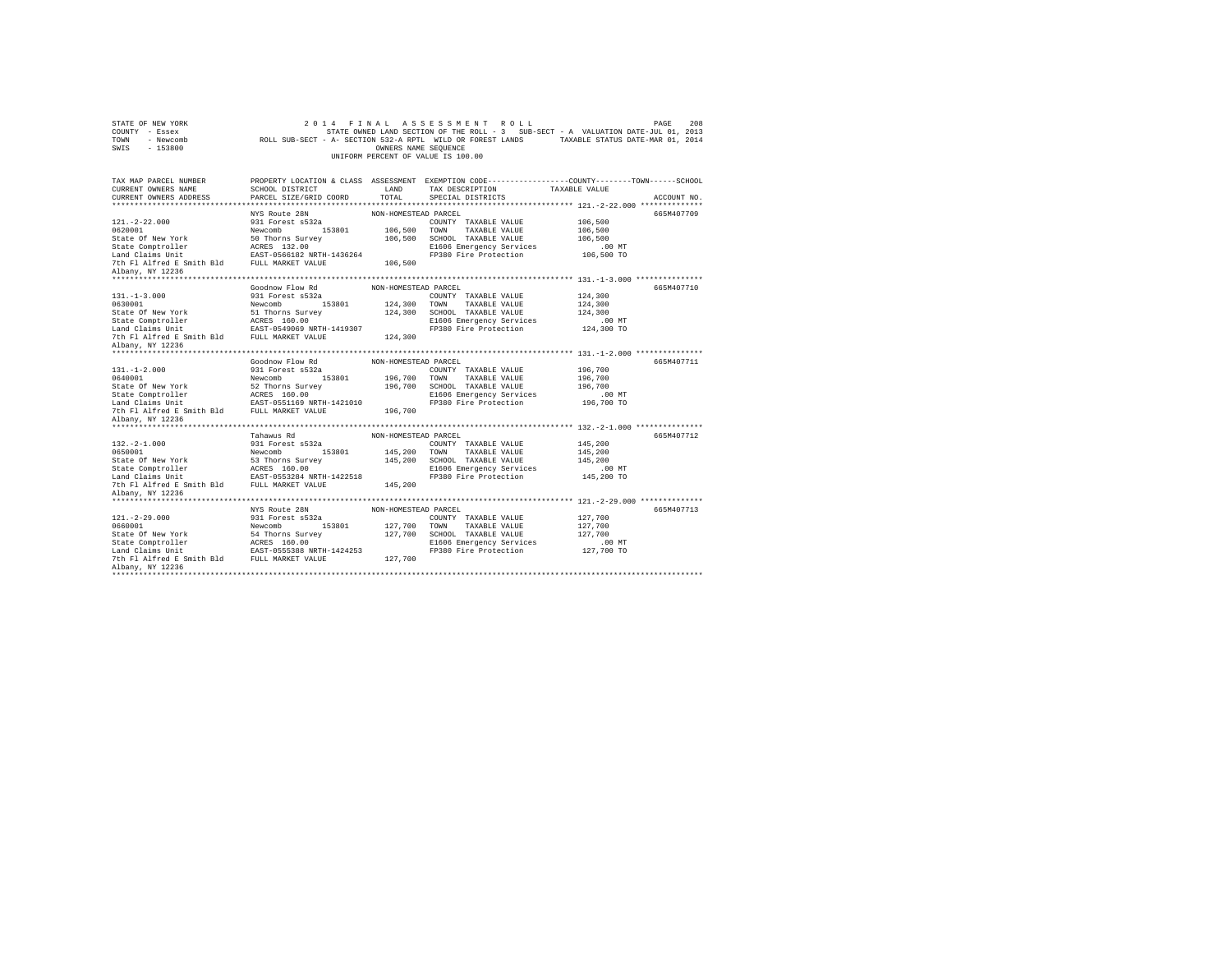| STATE OF NEW YORK<br>COUNTY - Essex<br>TOWN<br>- Newcomb<br>$-153800$<br>SWIS |                                  | OWNERS NAME SEQUENCE | 2014 FINAL ASSESSMENT ROLL<br>STATE OWNED LAND SECTION OF THE ROLL - 3 SUB-SECT - A VALUATION DATE-JUL 01, 2013<br>ROLL SUB-SECT - A- SECTION 532-A RPTL WILD OR FOREST LANDS TAXABLE STATUS DATE-MAR 01, 2014<br>UNIFORM PERCENT OF VALUE IS 100.00 |                     | 208<br>PAGE |
|-------------------------------------------------------------------------------|----------------------------------|----------------------|------------------------------------------------------------------------------------------------------------------------------------------------------------------------------------------------------------------------------------------------------|---------------------|-------------|
| TAX MAP PARCEL NUMBER                                                         |                                  |                      | PROPERTY LOCATION & CLASS ASSESSMENT EXEMPTION CODE----------------COUNTY-------TOWN-----SCHOOL                                                                                                                                                      |                     |             |
| CURRENT OWNERS NAME                                                           | SCHOOL DISTRICT                  | LAND                 | TAX DESCRIPTION                                                                                                                                                                                                                                      | TAXABLE VALUE       |             |
| CURRENT OWNERS ADDRESS                                                        | PARCEL SIZE/GRID COORD           | TOTAL.               | SPECIAL DISTRICTS                                                                                                                                                                                                                                    |                     | ACCOUNT NO. |
|                                                                               | ****************************     |                      |                                                                                                                                                                                                                                                      |                     |             |
|                                                                               | NYS Route 28N                    | NON-HOMESTEAD PARCEL |                                                                                                                                                                                                                                                      |                     | 665M407709  |
| $121. -2 - 22.000$                                                            | 931 Forest s532a                 |                      | COUNTY TAXABLE VALUE                                                                                                                                                                                                                                 | 106,500             |             |
| 0620001                                                                       | Newcomb 153801                   |                      | 106,500 TOWN TAXABLE VALUE                                                                                                                                                                                                                           | 106,500             |             |
| State Of New York<br>State Comptroller                                        | 50 Thorns Survey<br>ACRES 132.00 |                      | 106,500 SCHOOL TAXABLE VALUE<br>E1606 Emergency Services                                                                                                                                                                                             | 106,500<br>$.00$ MT |             |
| Land Claims Unit                                                              | EAST-0566182 NRTH-1436264        |                      | FP380 Fire Protection                                                                                                                                                                                                                                | 106,500 TO          |             |
| 7th Fl Alfred E Smith Bld FULL MARKET VALUE                                   |                                  | 106,500              |                                                                                                                                                                                                                                                      |                     |             |
| Albany, NY 12236                                                              |                                  |                      |                                                                                                                                                                                                                                                      |                     |             |
|                                                                               |                                  |                      |                                                                                                                                                                                                                                                      |                     |             |
|                                                                               | Goodnow Flow Rd                  | NON-HOMESTEAD PARCEL |                                                                                                                                                                                                                                                      |                     | 665M407710  |
| $131. -1 - 3.000$                                                             | 931 Forest s532a                 |                      | COUNTY TAXABLE VALUE                                                                                                                                                                                                                                 | 124,300             |             |
| 0630001                                                                       | 153801<br>Newcomb                | 124,300 TOWN         | TAXABLE VALUE                                                                                                                                                                                                                                        | 124,300             |             |
| State Of New York                                                             | 51 Thorns Survey                 |                      | 124,300 SCHOOL TAXABLE VALUE                                                                                                                                                                                                                         | 124,300             |             |
| State Comptroller<br>Land Claims Unit                                         | ACRES 160.00                     |                      | E1606 Emergency Services                                                                                                                                                                                                                             | $.00$ MT            |             |
|                                                                               | EAST-0549069 NRTH-1419307        |                      | FP380 Fire Protection                                                                                                                                                                                                                                | 124,300 TO          |             |
| 7th Fl Alfred E Smith Bld FULL MARKET VALUE                                   |                                  | 124,300              |                                                                                                                                                                                                                                                      |                     |             |
| Albany, NY 12236                                                              |                                  |                      |                                                                                                                                                                                                                                                      |                     |             |
|                                                                               | Goodnow Flow Rd                  | NON-HOMESTEAD PARCEL |                                                                                                                                                                                                                                                      |                     | 665M407711  |
| $131. - 1 - 2.000$                                                            | 931 Forest s532a                 |                      | COUNTY TAXABLE VALUE                                                                                                                                                                                                                                 | 196,700             |             |
| 0640001                                                                       | 153801<br>Newcomb                | 196,700 TOWN         | TAXABLE VALUE                                                                                                                                                                                                                                        | 196,700             |             |
| State Of New York                                                             | 52 Thorns Survey                 |                      | 196,700 SCHOOL TAXABLE VALUE                                                                                                                                                                                                                         | 196,700             |             |
| State Comptroller                                                             | ACRES 160.00                     |                      | E1606 Emergency Services                                                                                                                                                                                                                             | $.00$ MT            |             |
| Land Claims Unit                                                              | EAST-0551169 NRTH-1421010        |                      | FP380 Fire Protection                                                                                                                                                                                                                                | 196,700 TO          |             |
| 7th Fl Alfred E Smith Bld                                                     | FULL MARKET VALUE                | 196,700              |                                                                                                                                                                                                                                                      |                     |             |
| Albany, NY 12236                                                              |                                  |                      |                                                                                                                                                                                                                                                      |                     |             |
| *******************                                                           |                                  |                      |                                                                                                                                                                                                                                                      |                     |             |
|                                                                               | Tahawus Rd                       | NON-HOMESTEAD PARCEL |                                                                                                                                                                                                                                                      |                     | 665M407712  |
| $132. -2 - 1.000$                                                             | 931 Forest s532a                 |                      | COUNTY TAXABLE VALUE                                                                                                                                                                                                                                 | 145,200             |             |
| 0650001                                                                       | Newcomb 153801                   |                      | 145,200 TOWN TAXABLE VALUE                                                                                                                                                                                                                           | 145,200             |             |
| State Of New York<br>State Comptroller                                        | 53 Thorns Survey<br>ACRES 160.00 |                      | 145,200 SCHOOL TAXABLE VALUE<br>E1606 Emergency Services                                                                                                                                                                                             | 145,200<br>$.00$ MT |             |
| Land Claims Unit EAST-0553284 NRTH-1422518                                    |                                  |                      | FP380 Fire Protection                                                                                                                                                                                                                                | 145,200 TO          |             |
| 7th Fl Alfred E Smith Bld                                                     | FULL MARKET VALUE                | 145,200              |                                                                                                                                                                                                                                                      |                     |             |
| Albany, NY 12236                                                              |                                  |                      |                                                                                                                                                                                                                                                      |                     |             |
|                                                                               |                                  |                      |                                                                                                                                                                                                                                                      |                     |             |
|                                                                               | NYS Route 28N                    | NON-HOMESTEAD PARCEL |                                                                                                                                                                                                                                                      |                     | 665M407713  |
| $121. -2 - 29.000$                                                            | 931 Forest s532a                 |                      | COUNTY TAXABLE VALUE                                                                                                                                                                                                                                 | 127,700             |             |
| 0660001                                                                       | 153801<br>Newcomb                | 127,700 TOWN         | TAXABLE VALUE                                                                                                                                                                                                                                        | 127,700             |             |
| State Of New York                                                             | 54 Thorns Survey                 |                      | 127,700 SCHOOL TAXABLE VALUE                                                                                                                                                                                                                         | 127,700             |             |
| State Comptroller                                                             | ACRES 160.00                     |                      | E1606 Emergency Services                                                                                                                                                                                                                             | $.00$ MT            |             |
| Land Claims Unit                                                              | EAST-0555388 NRTH-1424253        |                      | FP380 Fire Protection                                                                                                                                                                                                                                | 127,700 TO          |             |
| 7th Fl Alfred E Smith Bld                                                     | FULL MARKET VALUE                | 127,700              |                                                                                                                                                                                                                                                      |                     |             |
| Albany, NY 12236<br>*************                                             |                                  |                      |                                                                                                                                                                                                                                                      |                     |             |
|                                                                               |                                  |                      |                                                                                                                                                                                                                                                      |                     |             |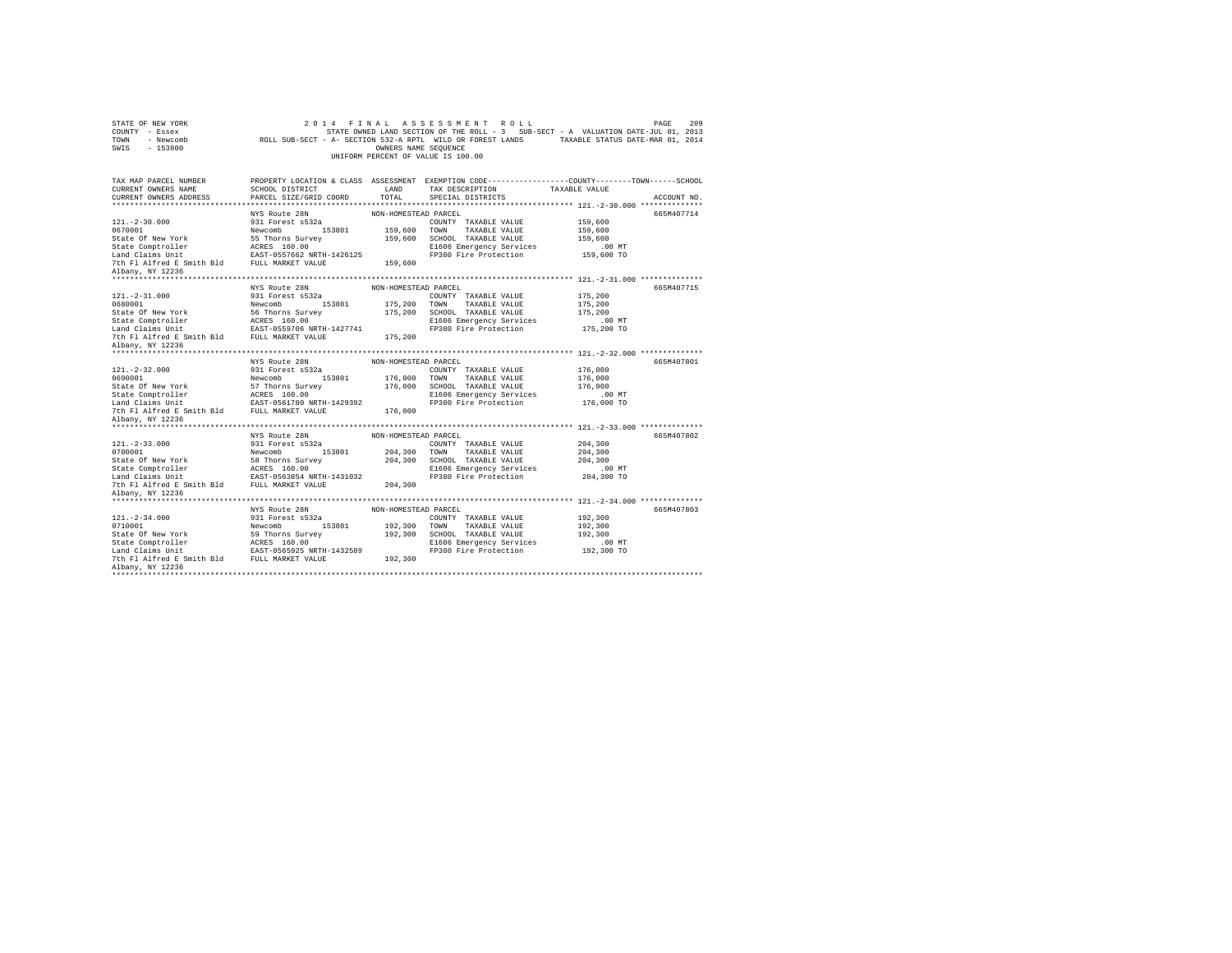| STATE OF NEW YORK<br>COUNTY - Essex<br>TOWN<br>- Newcomb<br>SWIS<br>$-153800$ |                                           | OWNERS NAME SEQUENCE | 2014 FINAL ASSESSMENT ROLL<br>STATE OWNED LAND SECTION OF THE ROLL - 3 SUB-SECT - A VALUATION DATE-JUL 01, 2013<br>ROLL SUB-SECT - A- SECTION 532-A RPTL WILD OR FOREST LANDS TAXABLE STATUS DATE-MAR 01, 2014<br>UNIFORM PERCENT OF VALUE IS 100.00 | PAGE                         | 209 |
|-------------------------------------------------------------------------------|-------------------------------------------|----------------------|------------------------------------------------------------------------------------------------------------------------------------------------------------------------------------------------------------------------------------------------------|------------------------------|-----|
| TAX MAP PARCEL NUMBER                                                         |                                           |                      | PROPERTY LOCATION & CLASS ASSESSMENT EXEMPTION CODE---------------COUNTY-------TOWN------SCHOOL                                                                                                                                                      |                              |     |
| CURRENT OWNERS NAME<br>CURRENT OWNERS ADDRESS                                 | SCHOOL DISTRICT<br>PARCEL SIZE/GRID COORD | LAND<br>TOTAL        | TAX DESCRIPTION<br>SPECIAL DISTRICTS                                                                                                                                                                                                                 | TAXABLE VALUE<br>ACCOUNT NO. |     |
|                                                                               |                                           |                      |                                                                                                                                                                                                                                                      |                              |     |
|                                                                               | NYS Route 28N                             | NON-HOMESTEAD PARCEL |                                                                                                                                                                                                                                                      | 665M407714                   |     |
| $121. - 2 - 30.000$                                                           | 931 Forest s532a                          |                      | COUNTY TAXABLE VALUE                                                                                                                                                                                                                                 | 159,600                      |     |
| 0670001                                                                       | Newcomb 153801                            |                      | 159,600 TOWN TAXABLE VALUE                                                                                                                                                                                                                           | 159,600                      |     |
| State Of New York                                                             | 55 Thorns Survey                          |                      | 159,600 SCHOOL TAXABLE VALUE                                                                                                                                                                                                                         | 159,600                      |     |
| State Comptroller<br>Land Claims Unit                                         | ACRES 160.00<br>EAST-0557662 NRTH-1426125 |                      | E1606 Emergency Services                                                                                                                                                                                                                             | $.00$ MT                     |     |
|                                                                               |                                           |                      | FP380 Fire Protection                                                                                                                                                                                                                                | 159,600 TO                   |     |
| 7th Fl Alfred E Smith Bld FULL MARKET VALUE                                   |                                           | 159,600              |                                                                                                                                                                                                                                                      |                              |     |
| Albany, NY 12236                                                              |                                           |                      |                                                                                                                                                                                                                                                      |                              |     |
|                                                                               | NYS Route 28N                             | NON-HOMESTEAD PARCEL |                                                                                                                                                                                                                                                      | 665M407715                   |     |
| $121. - 2 - 31.000$                                                           | 931 Forest s532a                          |                      | COUNTY TAXABLE VALUE                                                                                                                                                                                                                                 | 175,200                      |     |
| 0680001                                                                       | Newcomb 153801                            |                      | 175,200 TOWN TAXABLE VALUE                                                                                                                                                                                                                           | 175,200                      |     |
| State Of New York                                                             | 56 Thorns Survey                          | 175,200              | SCHOOL TAXABLE VALUE                                                                                                                                                                                                                                 | 175,200                      |     |
| State Comptroller<br>Land Claims Unit                                         | ACRES 160.00<br>EAST-0559706 NRTH-1427741 |                      | E1606 Emergency Services                                                                                                                                                                                                                             | $.00$ MT                     |     |
|                                                                               |                                           |                      | FP380 Fire Protection                                                                                                                                                                                                                                | 175,200 TO                   |     |
| 7th Fl Alfred E Smith Bld FULL MARKET VALUE                                   |                                           | 175,200              |                                                                                                                                                                                                                                                      |                              |     |
| Albany, NY 12236                                                              |                                           |                      |                                                                                                                                                                                                                                                      |                              |     |
|                                                                               | NYS Route 28N                             | NON-HOMESTEAD PARCEL |                                                                                                                                                                                                                                                      | 665M407801                   |     |
| $121. -2 - 32.000$                                                            | 931 Forest s532a                          |                      | COUNTY TAXABLE VALUE                                                                                                                                                                                                                                 | 176,000                      |     |
| 0690001                                                                       | Newcomb 153801                            |                      | 176,000 TOWN TAXABLE VALUE                                                                                                                                                                                                                           | 176,000                      |     |
| State Of New York                                                             | 57 Thorns Survey                          |                      | 176,000 SCHOOL TAXABLE VALUE                                                                                                                                                                                                                         | 176,000                      |     |
|                                                                               |                                           |                      | E1606 Emergency Services                                                                                                                                                                                                                             | $.00$ MT                     |     |
|                                                                               |                                           |                      | FP380 Fire Protection                                                                                                                                                                                                                                | 176,000 TO                   |     |
|                                                                               |                                           | 176,000              |                                                                                                                                                                                                                                                      |                              |     |
| Albany, NY 12236                                                              |                                           |                      |                                                                                                                                                                                                                                                      |                              |     |
|                                                                               | NYS Route 28N                             | NON-HOMESTEAD PARCEL |                                                                                                                                                                                                                                                      | 665M407802                   |     |
| $121. - 2 - 33.000$                                                           | 931 Forest s532a                          |                      | COUNTY TAXABLE VALUE                                                                                                                                                                                                                                 | 204,300                      |     |
| 0700001                                                                       | Newcomb 153801                            |                      | 204,300 TOWN TAXABLE VALUE                                                                                                                                                                                                                           | 204,300                      |     |
| State Of New York                                                             | 58 Thorns Survey                          |                      | 204,300 SCHOOL TAXABLE VALUE                                                                                                                                                                                                                         | 204,300                      |     |
|                                                                               |                                           |                      | E1606 Emergency Services                                                                                                                                                                                                                             | $.00$ MT                     |     |
|                                                                               |                                           |                      | FP380 Fire Protection                                                                                                                                                                                                                                | 204,300 TO                   |     |
|                                                                               |                                           | 204,300              |                                                                                                                                                                                                                                                      |                              |     |
| Albany, NY 12236                                                              |                                           |                      |                                                                                                                                                                                                                                                      |                              |     |
|                                                                               |                                           |                      |                                                                                                                                                                                                                                                      |                              |     |
| $121. - 2 - 34.000$                                                           | NYS Route 28N                             | NON-HOMESTEAD PARCEL |                                                                                                                                                                                                                                                      | 665M407803<br>192,300        |     |
| 0710001                                                                       | 931 Forest s532a<br>Newcomb<br>153801     | 192,300              | COUNTY TAXABLE VALUE<br>TOWN<br>TAXABLE VALUE                                                                                                                                                                                                        | 192,300                      |     |
| State Of New York                                                             | 59 Thorns Survey                          |                      | 192,300 SCHOOL TAXABLE VALUE                                                                                                                                                                                                                         | 192,300                      |     |
|                                                                               |                                           |                      | E1606 Emergency Services                                                                                                                                                                                                                             | $.00$ MT                     |     |
|                                                                               |                                           |                      | FP380 Fire Protection                                                                                                                                                                                                                                | 192,300 TO                   |     |
|                                                                               |                                           | 192,300              |                                                                                                                                                                                                                                                      |                              |     |
| Albany, NY 12236                                                              |                                           |                      |                                                                                                                                                                                                                                                      |                              |     |
| *************************************                                         |                                           |                      |                                                                                                                                                                                                                                                      |                              |     |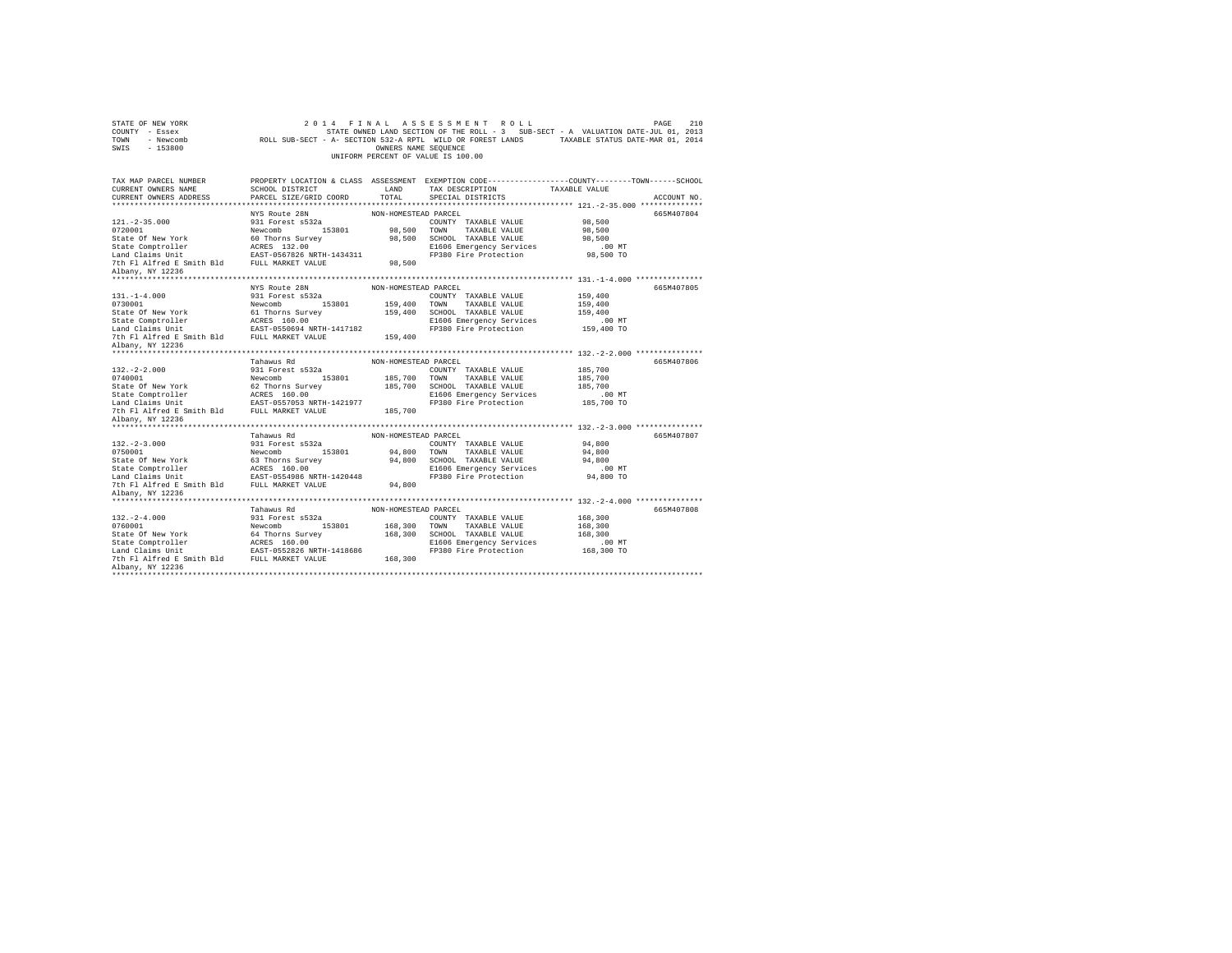| STATE OF NEW YORK<br>COUNTY - Essex<br>TOWN - Newcomb<br>$-153800$<br>SWIS |                                                | OWNERS NAME SEQUENCE | 2014 FINAL ASSESSMENT ROLL<br>STATE OWNED LAND SECTION OF THE ROLL - 3 SUB-SECT - A VALUATION DATE-JUL 01, 2013<br>ROLL SUB-SECT - A- SECTION 532-A RPTL WILD OR FOREST LANDS TAXABLE STATUS DATE-MAR 01, 2014<br>UNIFORM PERCENT OF VALUE IS 100.00 |                    | 210<br>PAGE |
|----------------------------------------------------------------------------|------------------------------------------------|----------------------|------------------------------------------------------------------------------------------------------------------------------------------------------------------------------------------------------------------------------------------------------|--------------------|-------------|
| TAX MAP PARCEL NUMBER                                                      |                                                |                      | PROPERTY LOCATION & CLASS ASSESSMENT EXEMPTION CODE----------------COUNTY-------TOWN-----SCHOOL                                                                                                                                                      |                    |             |
| CURRENT OWNERS NAME                                                        | SCHOOL DISTRICT                                | LAND                 | TAX DESCRIPTION                                                                                                                                                                                                                                      | TAXABLE VALUE      |             |
| CURRENT OWNERS ADDRESS                                                     | PARCEL SIZE/GRID COORD                         | TOTAL.               | SPECIAL DISTRICTS                                                                                                                                                                                                                                    |                    | ACCOUNT NO. |
|                                                                            | ****************************                   |                      |                                                                                                                                                                                                                                                      |                    |             |
|                                                                            | NYS Route 28N                                  | NON-HOMESTEAD PARCEL |                                                                                                                                                                                                                                                      |                    | 665M407804  |
| $121. -2 - 35.000$                                                         | 931 Forest s532a                               |                      | COUNTY TAXABLE VALUE                                                                                                                                                                                                                                 | 98,500             |             |
| 0720001<br>State Of New York                                               | Newcomb 153801<br>60 Thorns Survey             |                      | 98,500 TOWN TAXABLE VALUE<br>98.500 SCHOOL TAXABLE VALUE                                                                                                                                                                                             | 98,500<br>98,500   |             |
| State Comptroller                                                          | ACRES 132.00                                   |                      | E1606 Emergency Services                                                                                                                                                                                                                             | $.00$ MT           |             |
| Land Claims Unit                                                           | EAST-0567826 NRTH-1434311                      |                      | FP380 Fire Protection                                                                                                                                                                                                                                | 98,500 TO          |             |
| 7th Fl Alfred E Smith Bld FULL MARKET VALUE                                |                                                | 98,500               |                                                                                                                                                                                                                                                      |                    |             |
| Albany, NY 12236                                                           |                                                |                      |                                                                                                                                                                                                                                                      |                    |             |
|                                                                            |                                                |                      |                                                                                                                                                                                                                                                      |                    |             |
|                                                                            | NYS Route 28N                                  | NON-HOMESTEAD PARCEL |                                                                                                                                                                                                                                                      |                    | 665M407805  |
| $131. - 1 - 4.000$                                                         | 931 Forest s532a                               |                      | COUNTY TAXABLE VALUE                                                                                                                                                                                                                                 | 159,400            |             |
| 0730001                                                                    | Newcomb 153801                                 | 159,400 TOWN         | TAXABLE VALUE                                                                                                                                                                                                                                        | 159,400            |             |
| State Of New York                                                          | 61 Thorns Survey                               |                      | 159,400 SCHOOL TAXABLE VALUE                                                                                                                                                                                                                         | 159,400            |             |
| State Comptroller<br>Land Claims Unit                                      | ACRES 160.00                                   |                      | E1606 Emergency Services                                                                                                                                                                                                                             | $.00$ MT           |             |
|                                                                            | EAST-0550694 NRTH-1417182                      | 159,400              | FP380 Fire Protection                                                                                                                                                                                                                                | 159,400 TO         |             |
| 7th F1 Alfred E Smith Bld FULL MARKET VALUE<br>Albany, NY 12236            |                                                |                      |                                                                                                                                                                                                                                                      |                    |             |
|                                                                            |                                                |                      |                                                                                                                                                                                                                                                      |                    |             |
|                                                                            | Tahawus Rd                                     | NON-HOMESTEAD PARCEL |                                                                                                                                                                                                                                                      |                    | 665M407806  |
|                                                                            |                                                |                      |                                                                                                                                                                                                                                                      |                    |             |
| $132. -2 - 2.000$                                                          |                                                |                      | COUNTY TAXABLE VALUE                                                                                                                                                                                                                                 | 185,700            |             |
| 0740001                                                                    | 931 Forest s532a<br>Newcomb 153801             | 185,700 TOWN         | TAXABLE VALUE                                                                                                                                                                                                                                        | 185,700            |             |
| State Of New York                                                          | 62 Thorns Survey                               |                      | 185,700 SCHOOL TAXABLE VALUE                                                                                                                                                                                                                         | 185,700            |             |
| State Comptroller                                                          | ACRES 160.00                                   |                      | E1606 Emergency Services                                                                                                                                                                                                                             | $.00$ MT           |             |
| Land Claims Unit                                                           | EAST-0557053 NRTH-1421977                      |                      | FP380 Fire Protection                                                                                                                                                                                                                                | 185,700 TO         |             |
| 7th Fl Alfred E Smith Bld                                                  | FULL MARKET VALUE                              | 185,700              |                                                                                                                                                                                                                                                      |                    |             |
| Albany, NY 12236                                                           |                                                |                      |                                                                                                                                                                                                                                                      |                    |             |
| *******************                                                        |                                                |                      |                                                                                                                                                                                                                                                      |                    |             |
|                                                                            | Tahawus Rd                                     | NON-HOMESTEAD PARCEL |                                                                                                                                                                                                                                                      |                    | 665M407807  |
| $132. -2 - 3.000$                                                          | 931 Forest s532a                               |                      | COUNTY TAXABLE VALUE                                                                                                                                                                                                                                 | 94,800             |             |
| 0750001                                                                    | Newcomb 153801                                 |                      | 94.800 TOWN TAXABLE VALUE                                                                                                                                                                                                                            | 94,800             |             |
| State Of New York                                                          | 63 Thorns Survey                               |                      | 94,800 SCHOOL TAXABLE VALUE<br>E1606 Emergency Services                                                                                                                                                                                              | 94,800<br>$.00$ MT |             |
|                                                                            |                                                |                      |                                                                                                                                                                                                                                                      | 94,800 TO          |             |
| 7th Fl Alfred E Smith Bld FULL MARKET VALUE                                |                                                | 94,800               | FP380 Fire Protection                                                                                                                                                                                                                                |                    |             |
| Albany, NY 12236                                                           |                                                |                      |                                                                                                                                                                                                                                                      |                    |             |
|                                                                            |                                                |                      |                                                                                                                                                                                                                                                      |                    |             |
|                                                                            | Tahawus Rd                                     | NON-HOMESTEAD PARCEL |                                                                                                                                                                                                                                                      |                    | 665M407808  |
| $132. -2 - 4.000$                                                          | 931 Forest s532a                               |                      | COUNTY TAXABLE VALUE                                                                                                                                                                                                                                 | 168,300            |             |
| 0760001                                                                    | 153801<br>Newcomb                              | 168,300 TOWN         | TAXABLE VALUE                                                                                                                                                                                                                                        | 168,300            |             |
| State Of New York                                                          | 64 Thorns Survey                               |                      | 168,300 SCHOOL TAXABLE VALUE                                                                                                                                                                                                                         | 168,300            |             |
| State Comptroller                                                          | ACRES 160.00                                   |                      | E1606 Emergency Services                                                                                                                                                                                                                             | $.00$ MT           |             |
| Land Claims Unit<br>7th Fl Alfred E Smith Bld                              | EAST-0552826 NRTH-1418686<br>FULL MARKET VALUE |                      | FP380 Fire Protection                                                                                                                                                                                                                                | 168,300 TO         |             |
| Albany, NY 12236                                                           |                                                | 168,300              |                                                                                                                                                                                                                                                      |                    |             |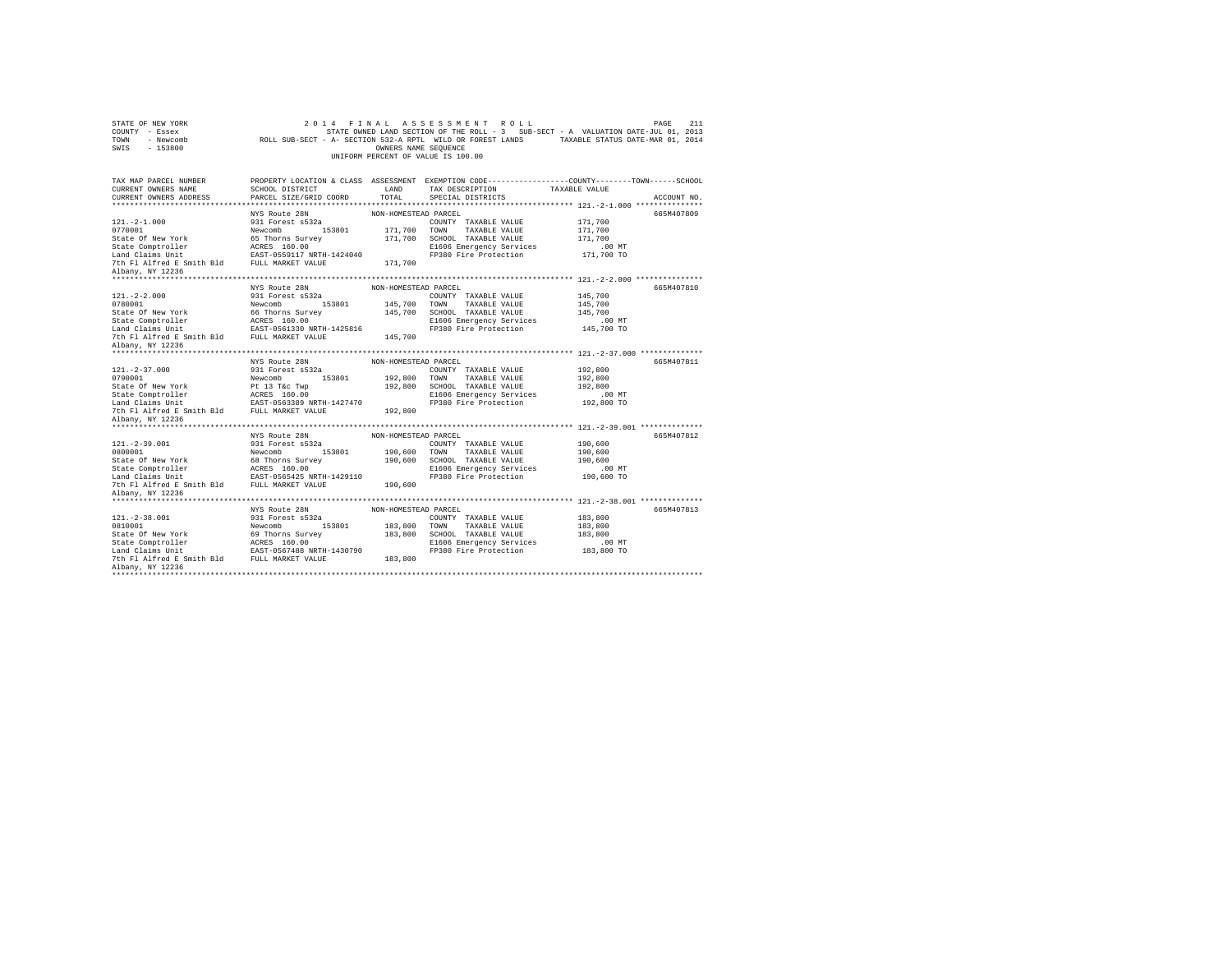| STATE OF NEW YORK<br>COUNTY - Essex<br>TOWN<br>- Newcomb<br>$-153800$<br>SWIS |                                    | OWNERS NAME SEQUENCE | 2014 FINAL ASSESSMENT ROLL<br>STATE OWNED LAND SECTION OF THE ROLL - 3 SUB-SECT - A VALUATION DATE-JUL 01, 2013<br>ROLL SUB-SECT - A- SECTION 532-A RPTL WILD OR FOREST LANDS TAXABLE STATUS DATE-MAR 01, 2014<br>UNIFORM PERCENT OF VALUE IS 100.00 |                     | 211<br>PAGE |
|-------------------------------------------------------------------------------|------------------------------------|----------------------|------------------------------------------------------------------------------------------------------------------------------------------------------------------------------------------------------------------------------------------------------|---------------------|-------------|
| TAX MAP PARCEL NUMBER                                                         |                                    |                      | PROPERTY LOCATION & CLASS ASSESSMENT EXEMPTION CODE---------------COUNTY-------TOWN------SCHOOL                                                                                                                                                      |                     |             |
| CURRENT OWNERS NAME                                                           | SCHOOL DISTRICT                    | LAND                 | TAX DESCRIPTION                                                                                                                                                                                                                                      | TAXABLE VALUE       |             |
| CURRENT OWNERS ADDRESS                                                        | PARCEL SIZE/GRID COORD             | TOTAL.               | SPECIAL DISTRICTS                                                                                                                                                                                                                                    |                     | ACCOUNT NO. |
| **********************                                                        |                                    |                      |                                                                                                                                                                                                                                                      |                     |             |
| $121. -2 - 1.000$                                                             | NYS Route 28N                      | NON-HOMESTEAD PARCEL |                                                                                                                                                                                                                                                      |                     | 665M407809  |
| 0770001                                                                       | 931 Forest s532a<br>Newcomb 153801 |                      | COUNTY TAXABLE VALUE<br>171,700 TOWN TAXABLE VALUE                                                                                                                                                                                                   | 171,700<br>171,700  |             |
| State Of New York                                                             | 65 Thorns Survey                   |                      | 171,700 SCHOOL TAXABLE VALUE                                                                                                                                                                                                                         | 171,700             |             |
| State Comptroller                                                             | ACRES 160.00                       |                      | E1606 Emergency Services                                                                                                                                                                                                                             | .00 MT              |             |
| Land Claims Unit                                                              | EAST-0559117 NRTH-1424040          |                      | FP380 Fire Protection                                                                                                                                                                                                                                | 171,700 TO          |             |
| 7th Fl Alfred E Smith Bld FULL MARKET VALUE                                   |                                    | 171,700              |                                                                                                                                                                                                                                                      |                     |             |
| Albany, NY 12236                                                              |                                    |                      |                                                                                                                                                                                                                                                      |                     |             |
|                                                                               |                                    |                      |                                                                                                                                                                                                                                                      |                     |             |
|                                                                               | NYS Route 28N                      | NON-HOMESTEAD PARCEL |                                                                                                                                                                                                                                                      |                     | 665M407810  |
| $121. -2 - 2.000$                                                             | 931 Forest s532a                   |                      | COUNTY TAXABLE VALUE                                                                                                                                                                                                                                 | 145,700             |             |
| 0780001                                                                       | Newcomb 153801                     | 145,700 TOWN         | TAXABLE VALUE                                                                                                                                                                                                                                        | 145,700             |             |
| State Of New York                                                             | 66 Thorns Survey                   |                      | 145,700 SCHOOL TAXABLE VALUE                                                                                                                                                                                                                         | 145,700             |             |
| state Comptroller<br>Land Claims Unit                                         | ACRES 160.00                       |                      | E1606 Emergency Services                                                                                                                                                                                                                             | $.00$ MT            |             |
|                                                                               | EAST-0561330 NRTH-1425816          | 145,700              | FP380 Fire Protection                                                                                                                                                                                                                                | 145,700 TO          |             |
| 7th Fl Alfred E Smith Bld FULL MARKET VALUE<br>Albany, NY 12236               |                                    |                      |                                                                                                                                                                                                                                                      |                     |             |
|                                                                               |                                    |                      |                                                                                                                                                                                                                                                      |                     |             |
|                                                                               | NYS Route 28N                      | NON-HOMESTEAD PARCEL |                                                                                                                                                                                                                                                      |                     | 665M407811  |
| $121. -2 - 37.000$                                                            | 931 Forest s532a                   |                      | COUNTY TAXABLE VALUE                                                                                                                                                                                                                                 | 192,800             |             |
| 0790001                                                                       | 153801<br>Newcomb                  | 192,800 TOWN         | TAXABLE VALUE                                                                                                                                                                                                                                        | 192,800             |             |
| State Of New York                                                             | Pt 13 T&c Twp                      |                      | 192,800 SCHOOL TAXABLE VALUE                                                                                                                                                                                                                         | 192,800             |             |
| State Comptroller                                                             | ACRES 160.00                       |                      |                                                                                                                                                                                                                                                      |                     |             |
|                                                                               |                                    |                      | E1606 Emergency Services                                                                                                                                                                                                                             | .00 MT              |             |
| Land Claims Unit                                                              | EAST-0563389 NRTH-1427470          |                      | FP380 Fire Protection                                                                                                                                                                                                                                | 192,800 TO          |             |
| 7th Fl Alfred E Smith Bld FULL MARKET VALUE                                   |                                    | 192,800              |                                                                                                                                                                                                                                                      |                     |             |
| Albany, NY 12236                                                              |                                    |                      |                                                                                                                                                                                                                                                      |                     |             |
| *******************                                                           |                                    |                      |                                                                                                                                                                                                                                                      |                     |             |
|                                                                               | NYS Route 28N                      | NON-HOMESTEAD PARCEL |                                                                                                                                                                                                                                                      |                     | 665M407812  |
| $121. -2 - 39.001$                                                            | 931 Forest s532a                   |                      | COUNTY TAXABLE VALUE                                                                                                                                                                                                                                 | 190,600             |             |
| 0800001                                                                       | Newcomb<br>153801                  | 190,600 TOWN         | TAXABLE VALUE                                                                                                                                                                                                                                        | 190,600             |             |
| State Of New York<br>State Comptroller                                        | 68 Thorns Survey<br>ACRES 160.00   |                      | 190,600 SCHOOL TAXABLE VALUE<br>E1606 Emergency Services                                                                                                                                                                                             | 190,600<br>$.00$ MT |             |
| Land Claims Unit                                                              | EAST-0565425 NRTH-1429110          |                      | FP380 Fire Protection                                                                                                                                                                                                                                | 190,600 TO          |             |
| 7th Fl Alfred E Smith Bld FULL MARKET VALUE                                   |                                    | 190,600              |                                                                                                                                                                                                                                                      |                     |             |
| Albany, NY 12236                                                              |                                    |                      |                                                                                                                                                                                                                                                      |                     |             |
|                                                                               |                                    |                      |                                                                                                                                                                                                                                                      |                     |             |
|                                                                               | NYS Route 28N                      | NON-HOMESTEAD PARCEL |                                                                                                                                                                                                                                                      |                     | 665M407813  |
| $121. -2 - 38.001$                                                            | 931 Forest s532a                   |                      | COUNTY TAXABLE VALUE                                                                                                                                                                                                                                 | 183,800             |             |
| 0810001                                                                       | 153801<br>Newcomb                  | 183,800 TOWN         | TAXABLE VALUE                                                                                                                                                                                                                                        | 183,800             |             |
| State Of New York                                                             | 69 Thorns Survey                   |                      | 183,800 SCHOOL TAXABLE VALUE                                                                                                                                                                                                                         | 183,800             |             |
| State Comptroller                                                             | ACRES 160.00                       |                      | E1606 Emergency Services                                                                                                                                                                                                                             | .00MT               |             |
| Land Claims Unit                                                              | EAST-0567488 NRTH-1430790          |                      | FP380 Fire Protection                                                                                                                                                                                                                                | 183,800 TO          |             |
| 7th Fl Alfred E Smith Bld FULL MARKET VALUE<br>Albany, NY 12236               |                                    | 183,800              |                                                                                                                                                                                                                                                      |                     |             |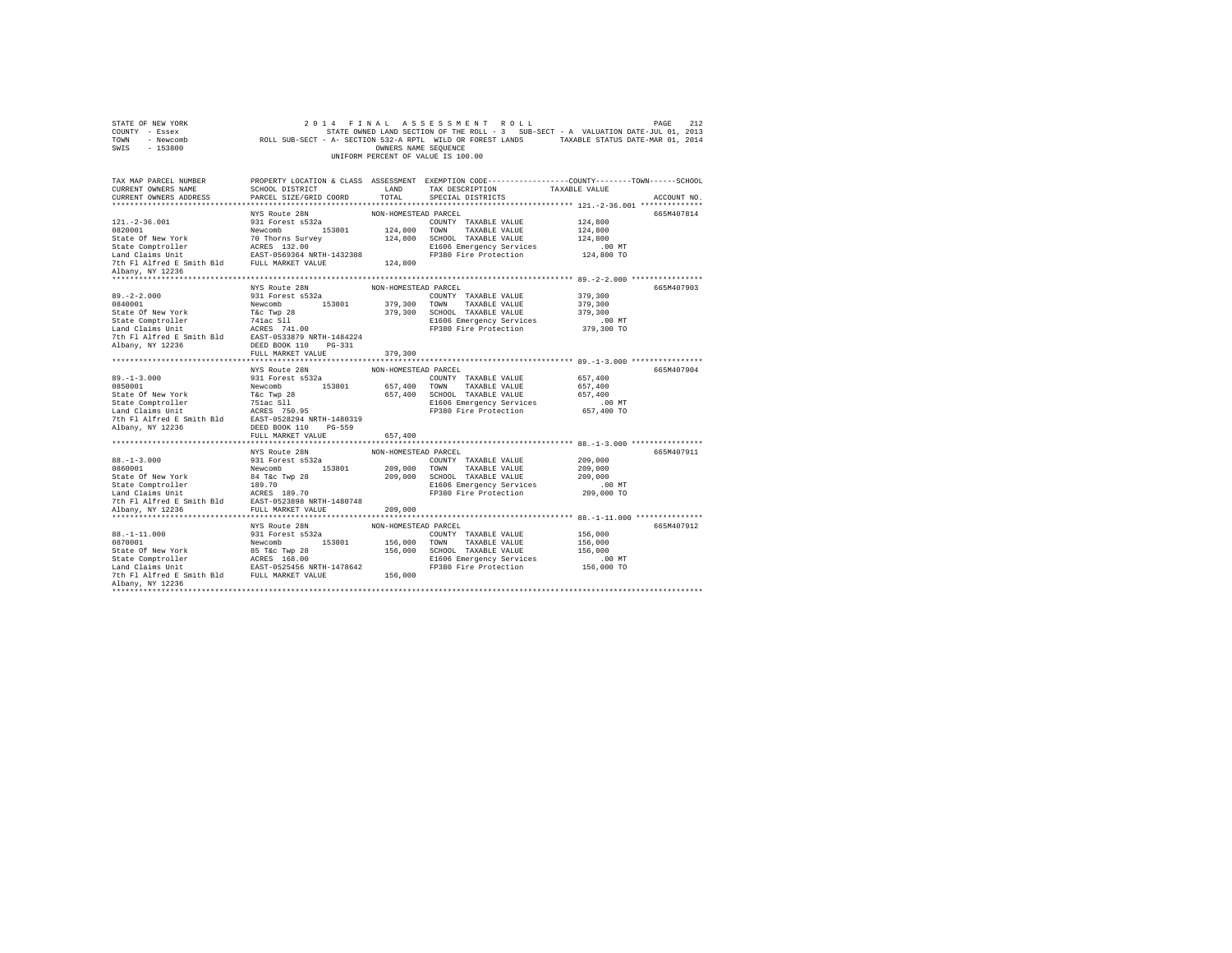| STATE OF NEW YORK<br>COUNTY - Essex<br>TOWN - Newcomb<br>SWIS - 153800                                                                                                                                                    |                           |                      | 2014 FINAL ASSESSMENT ROLL<br>2014 FINAL ASSESSMENT ROLL<br>STATE OWNED LAND SECTION OF THE ROLL - 3 SUB-SECT - A VALUATION DATE-JUL 01, 2013<br>ROLL SUB-SECT - A- SECTION 532-A RPTL WILD OR FOREST LANDS TRAKABLE STATUS DATE-MAR 01, 2014<br>OWNERS NAME SEQUENCE<br>UNIFORM PERCENT OF VALUE IS 100.00 |                                                              | PAGE<br>212 |
|---------------------------------------------------------------------------------------------------------------------------------------------------------------------------------------------------------------------------|---------------------------|----------------------|-------------------------------------------------------------------------------------------------------------------------------------------------------------------------------------------------------------------------------------------------------------------------------------------------------------|--------------------------------------------------------------|-------------|
| TAX MAP PARCEL NUMBER PROPERTY LOCATION & CLASS ASSESSMENT EXEMPTION CODE---------------COUNTY-------TOWN------SCHOOL<br>CURRENT OWNERS NAME SCHOOL DISTRICT LAND TAX DESCRIPTION TAXABLE VALUE<br>CURRENT OWNERS ADDRESS | PARCEL SIZE/GRID COORD    | TOTAL                | SCHOOL DISTRICT LAND TAX DESCRIPTION TAXABLE VALUE<br>SPECIAL DISTRICTS                                                                                                                                                                                                                                     |                                                              | ACCOUNT NO. |
|                                                                                                                                                                                                                           |                           |                      |                                                                                                                                                                                                                                                                                                             |                                                              | 665M407814  |
|                                                                                                                                                                                                                           |                           |                      |                                                                                                                                                                                                                                                                                                             |                                                              |             |
|                                                                                                                                                                                                                           |                           |                      |                                                                                                                                                                                                                                                                                                             |                                                              |             |
|                                                                                                                                                                                                                           |                           |                      |                                                                                                                                                                                                                                                                                                             |                                                              |             |
|                                                                                                                                                                                                                           |                           |                      |                                                                                                                                                                                                                                                                                                             | .00MT<br>124,800 TO                                          |             |
|                                                                                                                                                                                                                           |                           |                      |                                                                                                                                                                                                                                                                                                             |                                                              |             |
| Albany, NY 12236                                                                                                                                                                                                          |                           |                      |                                                                                                                                                                                                                                                                                                             |                                                              |             |
|                                                                                                                                                                                                                           |                           |                      |                                                                                                                                                                                                                                                                                                             |                                                              |             |
|                                                                                                                                                                                                                           |                           |                      |                                                                                                                                                                                                                                                                                                             |                                                              | 665M407903  |
|                                                                                                                                                                                                                           |                           |                      |                                                                                                                                                                                                                                                                                                             |                                                              |             |
|                                                                                                                                                                                                                           |                           |                      |                                                                                                                                                                                                                                                                                                             |                                                              |             |
|                                                                                                                                                                                                                           |                           |                      |                                                                                                                                                                                                                                                                                                             |                                                              |             |
|                                                                                                                                                                                                                           |                           |                      |                                                                                                                                                                                                                                                                                                             |                                                              |             |
|                                                                                                                                                                                                                           |                           |                      |                                                                                                                                                                                                                                                                                                             |                                                              |             |
|                                                                                                                                                                                                                           |                           |                      |                                                                                                                                                                                                                                                                                                             |                                                              |             |
|                                                                                                                                                                                                                           | FULL MARKET VALUE 379,300 |                      |                                                                                                                                                                                                                                                                                                             |                                                              |             |
|                                                                                                                                                                                                                           |                           |                      |                                                                                                                                                                                                                                                                                                             |                                                              |             |
|                                                                                                                                                                                                                           |                           |                      |                                                                                                                                                                                                                                                                                                             |                                                              |             |
|                                                                                                                                                                                                                           | NYS Route 28N             | NON-HOMESTEAD PARCEL |                                                                                                                                                                                                                                                                                                             |                                                              | 665M407904  |
|                                                                                                                                                                                                                           |                           |                      |                                                                                                                                                                                                                                                                                                             |                                                              |             |
|                                                                                                                                                                                                                           |                           |                      |                                                                                                                                                                                                                                                                                                             |                                                              |             |
|                                                                                                                                                                                                                           |                           |                      |                                                                                                                                                                                                                                                                                                             |                                                              |             |
|                                                                                                                                                                                                                           |                           |                      |                                                                                                                                                                                                                                                                                                             |                                                              |             |
|                                                                                                                                                                                                                           |                           |                      |                                                                                                                                                                                                                                                                                                             |                                                              |             |
|                                                                                                                                                                                                                           |                           |                      |                                                                                                                                                                                                                                                                                                             |                                                              |             |
|                                                                                                                                                                                                                           | FULL MARKET VALUE         | 657,400              |                                                                                                                                                                                                                                                                                                             |                                                              |             |
|                                                                                                                                                                                                                           |                           |                      |                                                                                                                                                                                                                                                                                                             | ******************************* 88.-1-3.000 **************** |             |
|                                                                                                                                                                                                                           |                           |                      |                                                                                                                                                                                                                                                                                                             |                                                              | 665M407911  |
|                                                                                                                                                                                                                           |                           |                      |                                                                                                                                                                                                                                                                                                             |                                                              |             |
|                                                                                                                                                                                                                           |                           |                      |                                                                                                                                                                                                                                                                                                             |                                                              |             |
|                                                                                                                                                                                                                           |                           |                      |                                                                                                                                                                                                                                                                                                             |                                                              |             |
|                                                                                                                                                                                                                           |                           |                      |                                                                                                                                                                                                                                                                                                             |                                                              |             |
|                                                                                                                                                                                                                           |                           |                      |                                                                                                                                                                                                                                                                                                             |                                                              |             |
|                                                                                                                                                                                                                           |                           |                      |                                                                                                                                                                                                                                                                                                             |                                                              |             |
|                                                                                                                                                                                                                           | NYS Route 28N             | NON-HOMESTEAD PARCEL |                                                                                                                                                                                                                                                                                                             |                                                              | 665M407912  |
|                                                                                                                                                                                                                           |                           |                      | COUNTY TAXABLE VALUE 156,000                                                                                                                                                                                                                                                                                |                                                              |             |
|                                                                                                                                                                                                                           |                           |                      |                                                                                                                                                                                                                                                                                                             | 156,000                                                      |             |
|                                                                                                                                                                                                                           |                           |                      |                                                                                                                                                                                                                                                                                                             | 156,000                                                      |             |
|                                                                                                                                                                                                                           |                           |                      |                                                                                                                                                                                                                                                                                                             |                                                              |             |
|                                                                                                                                                                                                                           |                           |                      |                                                                                                                                                                                                                                                                                                             | 00 MT.<br>156,000 TO                                         |             |
| Albany, NY 12236                                                                                                                                                                                                          |                           |                      |                                                                                                                                                                                                                                                                                                             |                                                              |             |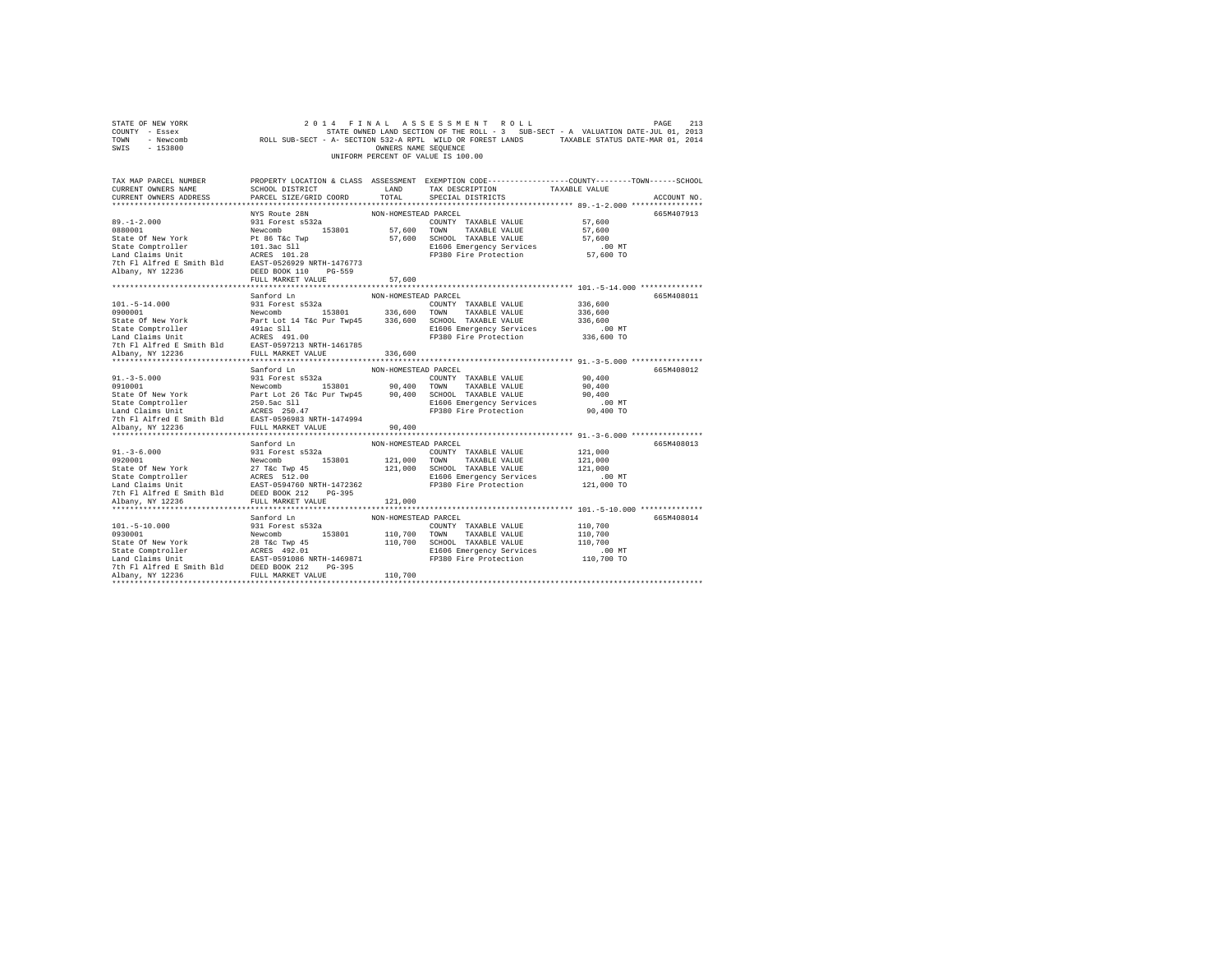| STATE OF NEW YORK<br>COUNTY - Essex<br>TOWN - Newcomb<br>SWIS - 153800                                                                                                                                                                                                                             |                                                           |                      | 2014 FINAL ASSESSMENT ROLL<br>UNIFORM PERCENT OF VALUE IS 100.00                    | PAGE<br>STATE OWNED LAND SECTION OF THE ROLL - 3 SUB-SECT - A VARIALM MULL ON STATE OWNED LAND SECTION OF THE ROLL - 3 SUB-SECT - A VARIABLE STATUS DATE-MAR 01, 2014 | 213         |
|----------------------------------------------------------------------------------------------------------------------------------------------------------------------------------------------------------------------------------------------------------------------------------------------------|-----------------------------------------------------------|----------------------|-------------------------------------------------------------------------------------|-----------------------------------------------------------------------------------------------------------------------------------------------------------------------|-------------|
| TAX MAP PARCEL NUMBER PROPERTY LOCATION & CLASS ASSESSMENT EXEMPTION CODE---------------COUNTY-------TOWN------SCHOOL<br>CURRENT OWNERS NAME<br>CURRENT OWNERS ADDRESS                                                                                                                             | SCHOOL DISTRICT LAND<br>PARCEL SIZE/GRID COORD            | TOTAL                | TAX DESCRIPTION<br>SPECIAL DISTRICTS                                                | TAXABLE VALUE                                                                                                                                                         | ACCOUNT NO. |
| $89. -1 - 2.000$<br>Albany, NY 12236                                                                                                                                                                                                                                                               | NYS Route 28N<br>931 Forest s532a<br>DEED BOOK 110 PG-559 | NON-HOMESTEAD PARCEL | COUNTY TAXABLE VALUE<br>E1606 Emergency Services<br>FP380 Fire Protection 57,600 TO | 57,600<br>57,600<br>57,600<br>$.00$ MT                                                                                                                                | 665M407913  |
|                                                                                                                                                                                                                                                                                                    | FULL MARKET VALUE                                         | 57,600               |                                                                                     |                                                                                                                                                                       |             |
| $101.-5-14.000$<br>0900001                                                                                                                                                                                                                                                                         | Sanford Ln<br>931 Forest s532a                            | NON-HOMESTEAD PARCEL | COUNTY TAXABLE VALUE                                                                | 336,600<br>336,600                                                                                                                                                    | 665M408011  |
| $\begin{tabular}{l c c c c c} \hline 1011. -5-14.000 & 941 & 976 & 1000001 & 984 & 1000001 & 74XABLE VALUE \\ 9300001 & 9300001 & 936,600 & 700NN & TAXABLE VALUE \\ 834 & 9400001 & 847 & 1021 & 447 & 1021 & 336,600 & 800000 & 74XABLE VALUE \\ 834 & 94000 & 9400000 & 74XABLE VALUE \\ 834 &$ |                                                           |                      | E1606 Emergency Services 330,600<br>FP380 Fire Protection 336,600 TO                | 336,600                                                                                                                                                               |             |
|                                                                                                                                                                                                                                                                                                    |                                                           |                      |                                                                                     |                                                                                                                                                                       |             |
|                                                                                                                                                                                                                                                                                                    |                                                           |                      |                                                                                     |                                                                                                                                                                       |             |
|                                                                                                                                                                                                                                                                                                    | Sanford Ln                                                | NON-HOMESTEAD PARCEL |                                                                                     |                                                                                                                                                                       | 665M408012  |
| $91. - 3 - 5.000$<br>91.-3-5.000<br>931 Forest s53201 90,400 TOWN TAXABLE VALUE (1910)<br>90,400 TOWN TAXABLE VALUE State Of New York Part Lot 26 Tác Pur Twp45 90,400 SCHOOL TAXABLE VALUE State Comptroller<br>250.5ac Comptete 250.5ac S11<br>250.5ac C                                         | 931 Forest s532a                                          |                      | COUNTY TAXABLE VALUE<br>FP380 Fire Protection                                       | 90,400<br>90,400<br>90,400<br>00 MT.<br>90,400 TO                                                                                                                     |             |
| Albany, NY 12236                                                                                                                                                                                                                                                                                   | FULL MARKET VALUE                                         | 90,400               |                                                                                     |                                                                                                                                                                       |             |
|                                                                                                                                                                                                                                                                                                    | Sanford Ln                                                | NON-HOMESTEAD PARCEL |                                                                                     |                                                                                                                                                                       | 665M408013  |
| $91. - 3 - 6.000$<br>91.-3-0.001<br>9320001<br>121,000 TOWN TAXABLE VALUE<br>State Of New York<br>27 TAC TWO 153801<br>27 TAXBLE VALUE STATE<br>27 TAC 121,000 SOMY TAXABLE VALUE<br>54 SEAT-0594760 NRTH-147236<br>28 SEARCHE<br>28 SEARCHE STATE RADIS POS                                       | 931 Forest s532a                                          |                      | COUNTY TAXABLE VALUE<br>E1606 Emergency Services<br>FP380 Fire Protection           | 121,000<br>121,000<br>121,000<br>00 MT.<br>121,000 TO                                                                                                                 |             |
|                                                                                                                                                                                                                                                                                                    |                                                           |                      |                                                                                     |                                                                                                                                                                       |             |
|                                                                                                                                                                                                                                                                                                    | Sanford Ln                                                | NON-HOMESTEAD PARCEL |                                                                                     |                                                                                                                                                                       | 665M408014  |
| $101. - 5 - 10.000$<br>.000                                                                                                                                                                                                                                                                        | 931 Forest s532a                                          |                      | COUNTY TAXABLE VALUE                                                                | 110,700<br>110,700<br>110,700<br>.00 MT<br>110,700 TO                                                                                                                 |             |
|                                                                                                                                                                                                                                                                                                    |                                                           |                      |                                                                                     |                                                                                                                                                                       |             |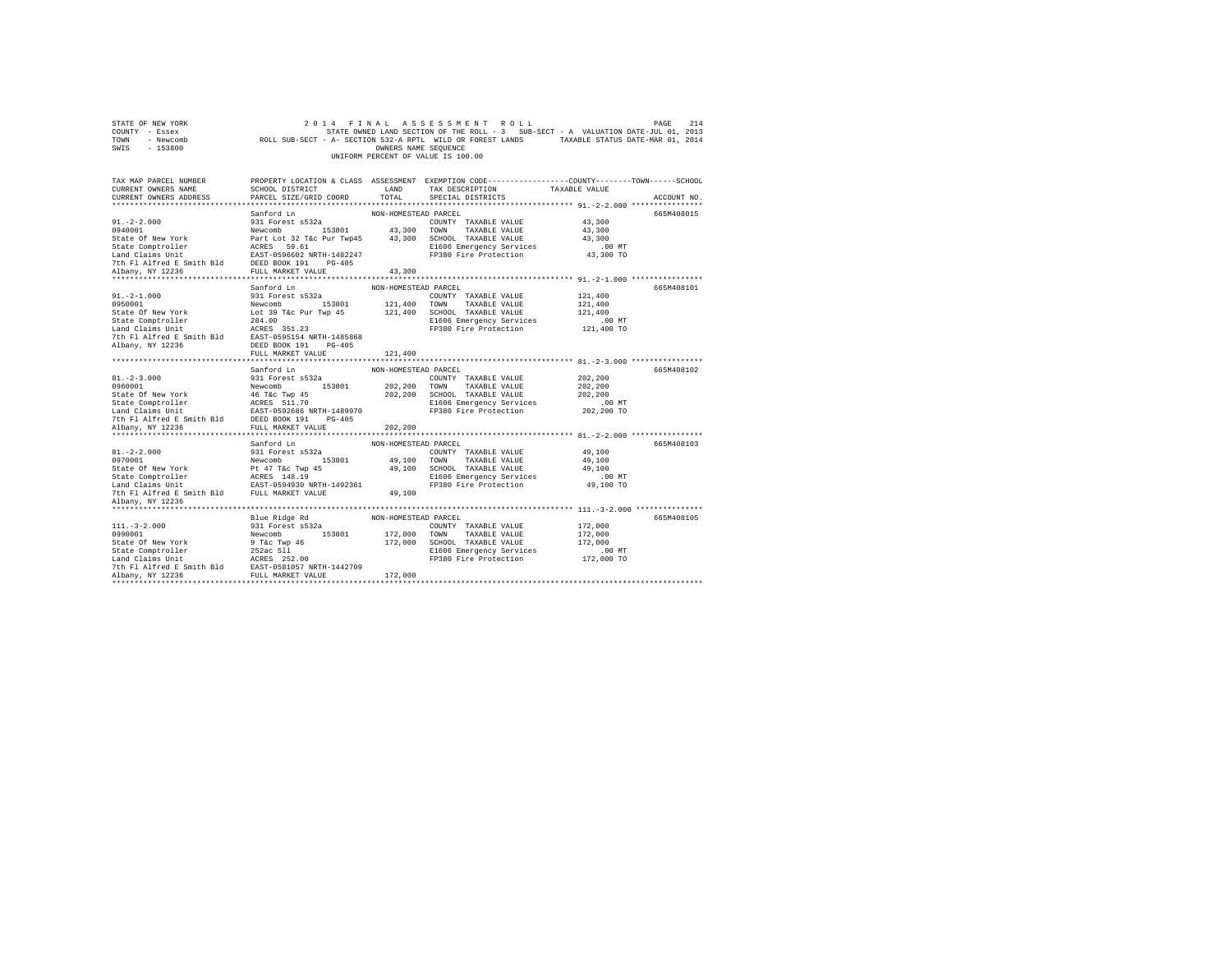| STATE OF NEW YORK<br>COUNTY - Essex<br>TOWN - Newcomb<br>SWIS - 153800                                                                                                                                                                                                                                                                                                                 |                                                                   |                                | 2014 FINAL ASSESSMENT ROLL<br>ENTE ON THE ROLL - 3 SUB-SECT - A VADUALION DUE - 2 SUB-SECT - A VADUALION DUE - 2014<br>ROLL SUB-SECT - A- SECTION 532-A RPTL WILD OR FOREST LANDS<br>ONNERS NAME SEQUENCE<br>UNIFORM PERCENT OF VALUE IS 100.00 |                                                       | PAGE<br>214 |
|----------------------------------------------------------------------------------------------------------------------------------------------------------------------------------------------------------------------------------------------------------------------------------------------------------------------------------------------------------------------------------------|-------------------------------------------------------------------|--------------------------------|-------------------------------------------------------------------------------------------------------------------------------------------------------------------------------------------------------------------------------------------------|-------------------------------------------------------|-------------|
| TAX MAP PARCEL NUMBER PROPERTY LOCATION & CLASS ASSESSMENT EXEMPTION CODE---------------COUNTY-------TOWN------SCHOOL<br>CURRENT OWNERS NAME<br>CURRENT OWNERS ADDRESS                                                                                                                                                                                                                 | SCHOOL DISTRICT<br>LAND TAX DESCRIPTION<br>PARCEL SIZE/GRID COORD | TOTAL                          | SPECIAL DISTRICTS                                                                                                                                                                                                                               | TAXABLE VALUE                                         | ACCOUNT NO. |
| $91. -2 - 2.000$                                                                                                                                                                                                                                                                                                                                                                       | Sanford Ln<br>931 Forest s532a                                    | NON-HOMESTEAD PARCEL           | COUNTY TAXABLE VALUE<br>E1606 Emergency Services<br>FP380 Fire Protection                                                                                                                                                                       | 43,300<br>43,300<br>43,300<br>$.00$ MT<br>43,300 TO   | 665M408015  |
|                                                                                                                                                                                                                                                                                                                                                                                        |                                                                   |                                |                                                                                                                                                                                                                                                 | 121,400<br>121,400<br>121,400<br>.00 MT<br>121,400 TO | 665M408101  |
|                                                                                                                                                                                                                                                                                                                                                                                        |                                                                   |                                |                                                                                                                                                                                                                                                 |                                                       |             |
| $81. - 2 - 3.000$<br>0960001<br>State of New York<br>State Comptroller<br>State Compton and California and California<br>Land Claims Unit<br>The Filal Example 20081 1914<br>The Paline Book of the Smith Bld<br>DEED BOOK 191<br>PO-405<br>Nheav W 1226<br>State Port Market Br                                                                                                       | Sanford Ln<br>931 Forest s532a<br>Newcomb 153801                  | NON-HOMESTEAD PARCEL           | COUNTY TAXABLE VALUE<br>202,200 TOWN TAXABLE VALUE<br>202,200 SCHOOL TAXABLE VALUE<br>E1606 Emergency Services<br>FP380 Fire Protection                                                                                                         | 202,200<br>202,200<br>202.200<br>.00 MT<br>202,200 TO | 665M408102  |
| Albany, NY 12236                                                                                                                                                                                                                                                                                                                                                                       | FULL MARKET VALUE                                                 | 202,200                        |                                                                                                                                                                                                                                                 |                                                       |             |
| $81. - 2 - 2.000$<br>917-24.000<br>197001 Mewcomb Newcomb P176c Wey 153801<br>State Of New York P176c Wey 153801<br>1981 State Comptroller<br>1981 Martin Bass 146.19<br>1981 Martin Bass 148.19<br>1981 The P11 Martin P176c P176c P176c P176c P176c P176c P17                                                                                                                        | Sanford Ln<br>931 Forest s532a                                    | NON-HOMESTEAD PARCEL<br>49,100 | COUNTY TAXABLE VALUE<br>49,100 TOWN TAXABLE VALUE<br>49,100 SCHOOL TAXABLE VALUE<br>E1606 Emergency Services<br>FP380 Fire Protection                                                                                                           | 49,100<br>49,100<br>49,100<br>00 MT.<br>49,100 TO     | 665M408103  |
| Albany, NY 12236                                                                                                                                                                                                                                                                                                                                                                       |                                                                   |                                |                                                                                                                                                                                                                                                 |                                                       |             |
| $\begin{tabular}{c c c} $\texttt{a}$. & \texttt{2-1}$. & \texttt{2-2} \texttt{0}0001$ & \texttt{331 Forest B} & \texttt{133801} & \texttt{172,000 T} & \texttt{5318012} & \texttt{5318013} \\ \texttt{0990001} & \texttt{New York} & \texttt{1980013} & \texttt{172,000 T} & \texttt{17300 T} & \texttt{1730018} & \texttt{1730018} \\ \texttt{State Computer & 252ac S11} & \texttt{$ |                                                                   |                                | E1606 Emergency Services<br>FP380 Fire Protection                                                                                                                                                                                               | 172,000<br>172,000<br>172,000<br>.00 MT<br>172,000 TO | 665M408105  |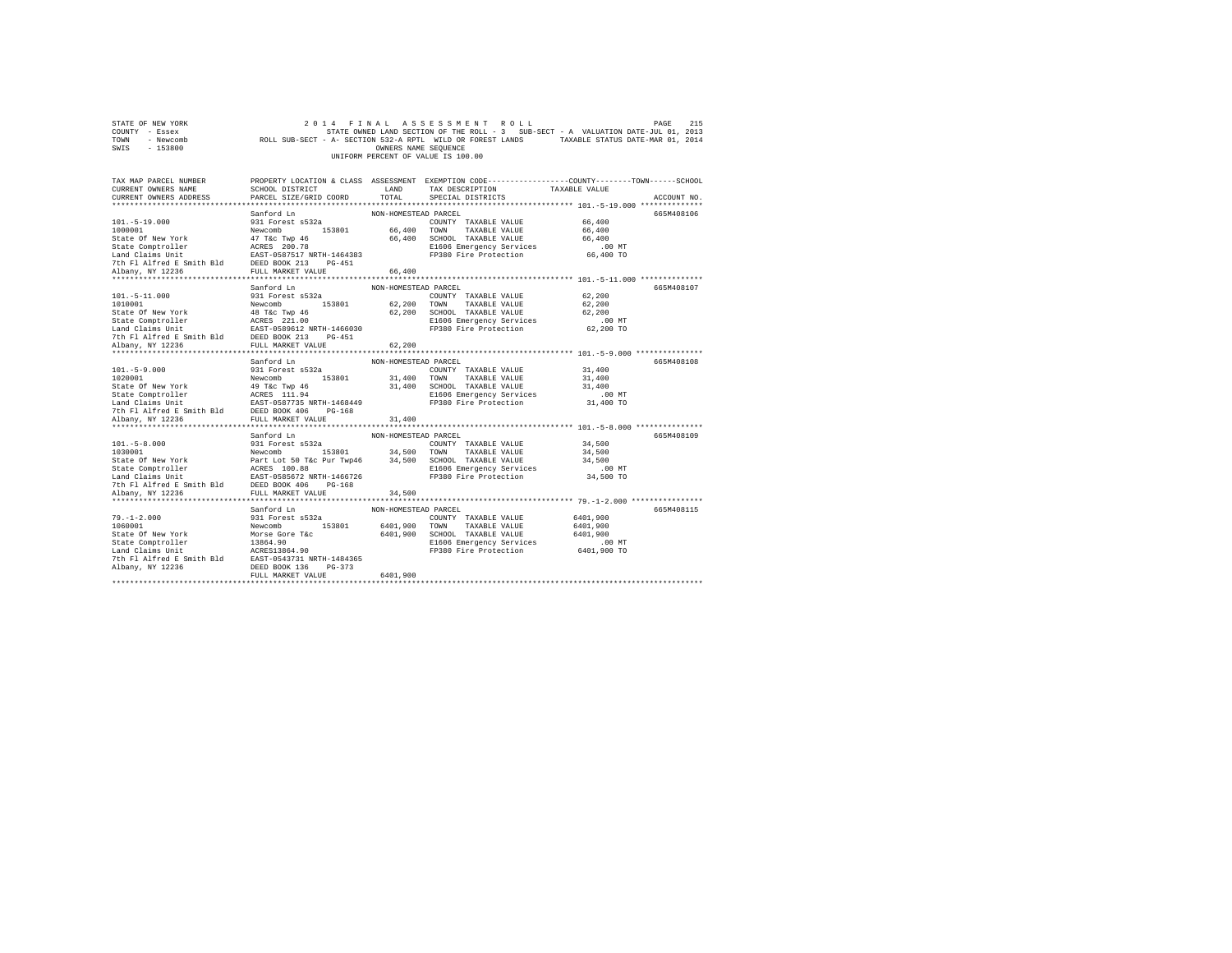| STATE OF NEW YORK<br>COUNTY - Essex<br>TOWN - Newcomb<br>SWIS - 153800                                                                                                                                                                                                                                                                 |                                                                                                                                                                                                                                                                             |                                              | 2014 FINAL ASSESSMENT ROLL<br>STATE OWNED LAND SECTION OF THE ROLL - $\beta$ sub-section of the section of the SUB-SECT - A-SECTION SUB-SECT - A-SECTION MARKED STATES TAXABLE STATUS DATE-MAR 01, 2014<br>UNIFORM PERCENT OF VALUE IS 100.00 |                                                           | PAGE<br>215 |
|----------------------------------------------------------------------------------------------------------------------------------------------------------------------------------------------------------------------------------------------------------------------------------------------------------------------------------------|-----------------------------------------------------------------------------------------------------------------------------------------------------------------------------------------------------------------------------------------------------------------------------|----------------------------------------------|-----------------------------------------------------------------------------------------------------------------------------------------------------------------------------------------------------------------------------------------------|-----------------------------------------------------------|-------------|
| TAX MAP PARCEL NUMBER<br>CURRENT OWNERS NAME<br>CURRENT OWNERS ADDRESS                                                                                                                                                                                                                                                                 | SCHOOL DISTRICT<br>PARCEL SIZE/GRID COORD                                                                                                                                                                                                                                   | LAND<br>TOTAL                                | PROPERTY LOCATION & CLASS ASSESSMENT EXEMPTION CODE---------------COUNTY-------TOWN------SCHOOL<br>TAX DESCRIPTION<br>SPECIAL DISTRICTS                                                                                                       | TAXABLE VALUE                                             | ACCOUNT NO. |
| $101. - 5 - 19.000$<br>1000001<br>1000001<br>State Of New York<br>State Comptroller<br>153801<br>State Comptroller<br>1620017 REC 200.78<br>17 Alfred B Smith Bld<br>2007 213 PT Alfred B Smith Bld<br>213 PTUL MARKET VALUE<br>214 Alfred B Smith Bld<br>213 PTUL MARKET V                                                            | Sanford Ln<br>931 Forest s532a                                                                                                                                                                                                                                              | NON-HOMESTEAD PARCEL<br>66,400               | COUNTY TAXABLE VALUE<br>66,400 TOWN TAXABLE VALUE<br>66,400 SCHOOL TAXABLE VALUE<br>E1606 Emergency Services<br>FP380 Fire Protection                                                                                                         | 66,400<br>66,400<br>66,400<br>.00 MT<br>66,400 TO         | 665M408106  |
| $101. - 5 - 11.000$<br>1010001<br>State Of New York<br>State Comptroller<br>State Compton and Caline State Comptom<br>Land Claims Unit<br>Land Claims Unit<br>The F1 Aifred E Smith B1d<br>The F1 Aifred E Smith B1d<br>DEED BOOK 213<br>PULL MARKET VALUE<br>NDany, NY 12236<br>PUL                                                   | Sanford Ln<br>931 Forest s532a<br>Newcomb 153801                                                                                                                                                                                                                            | NON-HOMESTEAD PARCEL<br>62,200               | COUNTY TAXABLE VALUE<br>62,200 TOWN TAXABLE VALUE<br>62,200 SCHOOL TAXABLE VALUE<br>E1606 Emergency words.<br>FP380 Fire Protection                                                                                                           | 62,200<br>62,200<br>62,200<br>$.00$ MT<br>62,200 TO       | 665M408107  |
| $101.-5-9.000$<br>$1020001$                                                                                                                                                                                                                                                                                                            | Sanford Ln<br>931 Forest s532a                                                                                                                                                                                                                                              | NON-HOMESTEAD PARCEL                         | COUNTY TAXABLE VALUE<br>E1606 Emergency Services                                                                                                                                                                                              | 31,400<br>31,400<br>31,400<br>$.00$ MT<br>31,400 TO       | 665M408108  |
| Albany, NY 12236                                                                                                                                                                                                                                                                                                                       | FULL MARKET VALUE                                                                                                                                                                                                                                                           | 31,400                                       |                                                                                                                                                                                                                                               |                                                           |             |
| $101.-5-8.000$<br>1030001<br>State Of New York<br>State Comptroller<br>Land Claims Unit                                                                                                                                                                                                                                                | Sanford Ln<br>931 Forest s532a<br>931 Forest s532a<br>Newcomb 153801 34,500 TOWN TAXABLE VALUE<br>Part Lot 50 Toe Pur Twp46 34,500 SCHOOL TAXABLE VALUE<br>ACRES 100.88 EL606 Emergency Services<br>REST-0585672 NRTH-1466726 FP380 Fire Protection<br>TAXABLE VALUE<br>RES | NON-HOMESTEAD PARCEL                         | COUNTY TAXABLE VALUE<br>E1606 Emergency Services<br>FP380 Fire Protection                                                                                                                                                                     | 34,500<br>34,500<br>34,500<br>$.00$ MT<br>34,500 TO       | 665M408109  |
| 7th F1 Alfred E Smith Bld BEED BOOK 406 PG-168<br>Albany. NY 12236 FULL MARKET VALUE<br>**********************                                                                                                                                                                                                                         | ****************************                                                                                                                                                                                                                                                | 34,500<br>*****************                  |                                                                                                                                                                                                                                               | ******************** 79. -1-2.000 *****************       |             |
| $79. - 1 - 2.000$<br>1060001<br>$\begin{tabular}{lllllllllll} \texttt{State of New York} & \texttt{Morse Gore T\&C} & 6401,9 \\ \texttt{State Computer} & 13864,90 \\ \texttt{Land Claims Unit} & \texttt{ACRES13864.90} \\ \texttt{7th Fl Alfred E Smith Eld} & \texttt{ESST-0543731 NRTH-1484365} \end{tabular}$<br>Albany, NY 12236 | Sanford Ln<br>931 Forest s532a<br>Newcomb 153801<br>DEED BOOK 136 PG-373<br>FULL MARKET VALUE                                                                                                                                                                               | NON-HOMESTEAD PARCEL<br>6401,900<br>6401,900 | COUNTY TAXABLE VALUE<br>TOWN TAXABLE VALUE<br>6401,900 SCHOOL TAXABLE VALUE<br>E1606 Emergency Services<br>FP380 Fire Protection                                                                                                              | 6401,900<br>6401,900<br>6401,900<br>.00 MT<br>6401,900 TO | 665M408115  |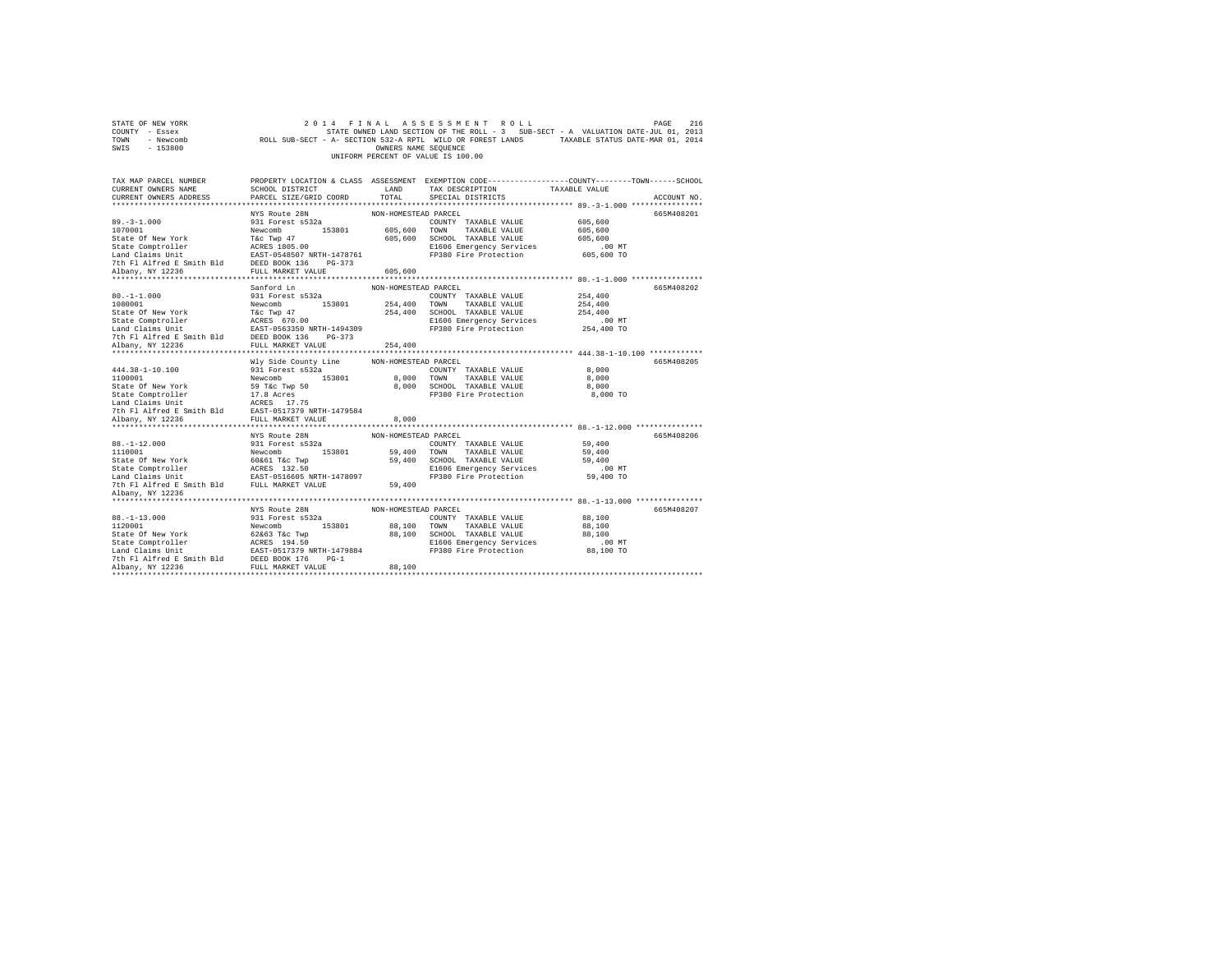| STATE OF NEW YORK<br>COUNTY - Essex<br>TOWN - Newcomb<br>SWIS - 153800                                         |                                                                   | OWNERS NAME SEQUENCE | 2014 FINAL ASSESSMENT ROLL<br>STATE OWNED LAND SECTION OF THE ROLL - 3 SUB-SECT - A VALUATION DATE-JUL 01, 2013<br>ROLL SUB-SECT - A- SECTION 532-A RPTL WILD OR FOREST LANDS TAXABLE STATUS DATE-MAR 01, 2014<br>UNIFORM PERCENT OF VALUE IS 100.00 |                                   | PAGE<br>216 |
|----------------------------------------------------------------------------------------------------------------|-------------------------------------------------------------------|----------------------|------------------------------------------------------------------------------------------------------------------------------------------------------------------------------------------------------------------------------------------------------|-----------------------------------|-------------|
| TAX MAP PARCEL NUMBER<br>CURRENT OWNERS NAME<br>CURRENT OWNERS ADDRESS                                         | SCHOOL DISTRICT<br>PARCEL SIZE/GRID COORD                         | LAND<br>TOTAL.       | PROPERTY LOCATION & CLASS ASSESSMENT EXEMPTION CODE---------------COUNTY-------TOWN------SCHOOL<br>TAX DESCRIPTION<br>SPECIAL DISTRICTS                                                                                                              | TAXABLE VALUE                     | ACCOUNT NO. |
|                                                                                                                |                                                                   |                      |                                                                                                                                                                                                                                                      |                                   |             |
| $89. -3 - 1.000$<br>1070001<br>State Of New York                                                               | NYS Route 28N<br>931 Forest s532a<br>Newcomb 153801<br>T&C Twp 47 | NON-HOMESTEAD PARCEL | COUNTY TAXABLE VALUE<br>605,600 TOWN TAXABLE VALUE<br>605,600 SCHOOL TAXABLE VALUE                                                                                                                                                                   | 605,600<br>605,600<br>605,600     | 665M408201  |
| State Comptroller<br>Land Claims Unit<br>7th Fl Alfred E Smith Bld DEED BOOK 136 PG-373<br>Albany, NY 12236    | ACRES 1805.00<br>EAST-0548507 NRTH-1478761<br>FULL MARKET VALUE   | 605,600              | E1606 Emergency Services<br>FP380 Fire Protection                                                                                                                                                                                                    | $.00$ MT<br>605,600 TO            |             |
|                                                                                                                |                                                                   |                      |                                                                                                                                                                                                                                                      |                                   |             |
|                                                                                                                | Sanford Ln                                                        | NON-HOMESTEAD PARCEL |                                                                                                                                                                                                                                                      |                                   | 665M408202  |
| $80. -1 - 1.000$<br>1080001                                                                                    | 931 Forest s532a<br>Newcomb 153801                                |                      | COUNTY TAXABLE VALUE<br>254,400 TOWN TAXABLE VALUE                                                                                                                                                                                                   | 254,400<br>254,400                |             |
| State Of New York<br>State Comptroller<br>Land Claims Unit                                                     | T&C Twp 47<br>ACRES 670.00<br>EAST-0563350 NRTH-1494309           |                      | 254,400 SCHOOL TAXABLE VALUE<br>E1606 Emergency Services<br>FP380 Fire Protection                                                                                                                                                                    | 254,400<br>$.00$ MT<br>254,400 TO |             |
| 7th Fl Alfred E Smith Bld DEED BOOK 136 PG-373<br>Albany, NY 12236                                             | FULL MARKET VALUE                                                 | 254,400              |                                                                                                                                                                                                                                                      |                                   |             |
|                                                                                                                |                                                                   |                      |                                                                                                                                                                                                                                                      |                                   |             |
|                                                                                                                | Wly Side County Line                                              | NON-HOMESTEAD PARCEL |                                                                                                                                                                                                                                                      |                                   | 665M408205  |
| 444.38-1-10.100                                                                                                | 931 Forest s532a                                                  |                      | COUNTY TAXABLE VALUE                                                                                                                                                                                                                                 | 8,000                             |             |
| 1100001                                                                                                        |                                                                   |                      |                                                                                                                                                                                                                                                      |                                   |             |
|                                                                                                                | Newcomb 153801                                                    |                      | 8,000 TOWN TAXABLE VALUE                                                                                                                                                                                                                             | 8,000                             |             |
| State Of New York                                                                                              | 59 T&c Twp 50                                                     |                      | 8,000 SCHOOL TAXABLE VALUE                                                                                                                                                                                                                           | 8,000                             |             |
| State Comptroller                                                                                              | 17.8 Acres                                                        |                      | FP380 Fire Protection                                                                                                                                                                                                                                | 8,000 TO                          |             |
| Land Claims Unit                                                                                               | ACRES 17.75                                                       |                      |                                                                                                                                                                                                                                                      |                                   |             |
| 7th Fl Alfred E Smith Bld EAST-0517379 NRTH-1479584                                                            |                                                                   |                      |                                                                                                                                                                                                                                                      |                                   |             |
| Albany, NY 12236                                                                                               | FULL MARKET VALUE                                                 | 8,000                |                                                                                                                                                                                                                                                      |                                   |             |
|                                                                                                                |                                                                   |                      |                                                                                                                                                                                                                                                      |                                   |             |
| $88. - 1 - 12.000$<br>1110001                                                                                  | NYS Route 28N<br>931 Forest s532a<br>Newcomb 153801               | NON-HOMESTEAD PARCEL | COUNTY TAXABLE VALUE<br>59,400 TOWN TAXABLE VALUE                                                                                                                                                                                                    | 59,400<br>59,400                  | 665M408206  |
| State Of New York                                                                                              | 60&61 T&c Twp                                                     |                      | 59,400 SCHOOL TAXABLE VALUE                                                                                                                                                                                                                          | 59,400                            |             |
| State Comptroller<br>Land Claims Unit EAST-0516605 NRTH-1478097<br>7th Fl Alfred E Smith Bld FULL MARKET VALUE | ACRES 132.50                                                      | 59,400               | E1606 Emergency Services<br>FP380 Fire Protection                                                                                                                                                                                                    | $.00$ MT<br>59,400 TO             |             |
| Albany, NY 12236                                                                                               |                                                                   |                      |                                                                                                                                                                                                                                                      |                                   |             |
|                                                                                                                | NYS Route 28N                                                     | NON-HOMESTEAD PARCEL |                                                                                                                                                                                                                                                      |                                   | 665M408207  |
| $88. - 1 - 13.000$                                                                                             | 931 Forest s532a                                                  |                      | COUNTY TAXABLE VALUE                                                                                                                                                                                                                                 | 88,100                            |             |
| 1120001                                                                                                        | Newcomb 153801                                                    |                      | 88,100 TOWN TAXABLE VALUE                                                                                                                                                                                                                            | 88,100                            |             |
| State Of New York                                                                                              | 62&63 T&c Twp                                                     |                      | 88,100 SCHOOL TAXABLE VALUE                                                                                                                                                                                                                          | 88,100                            |             |
| State Comptroller                                                                                              | ACRES 194.50                                                      |                      | E1606 Emergency Services                                                                                                                                                                                                                             | $.00$ MT                          |             |
| Land Claims Unit EAST-0517379 NRTH-1479884                                                                     |                                                                   |                      | FP380 Fire Protection                                                                                                                                                                                                                                | 88,100 TO                         |             |
| 7th Fl Alfred E Smith Bld DEED BOOK 176 PG-1<br>Albany, NY 12236                                               | FULL MARKET VALUE                                                 | 88,100               |                                                                                                                                                                                                                                                      |                                   |             |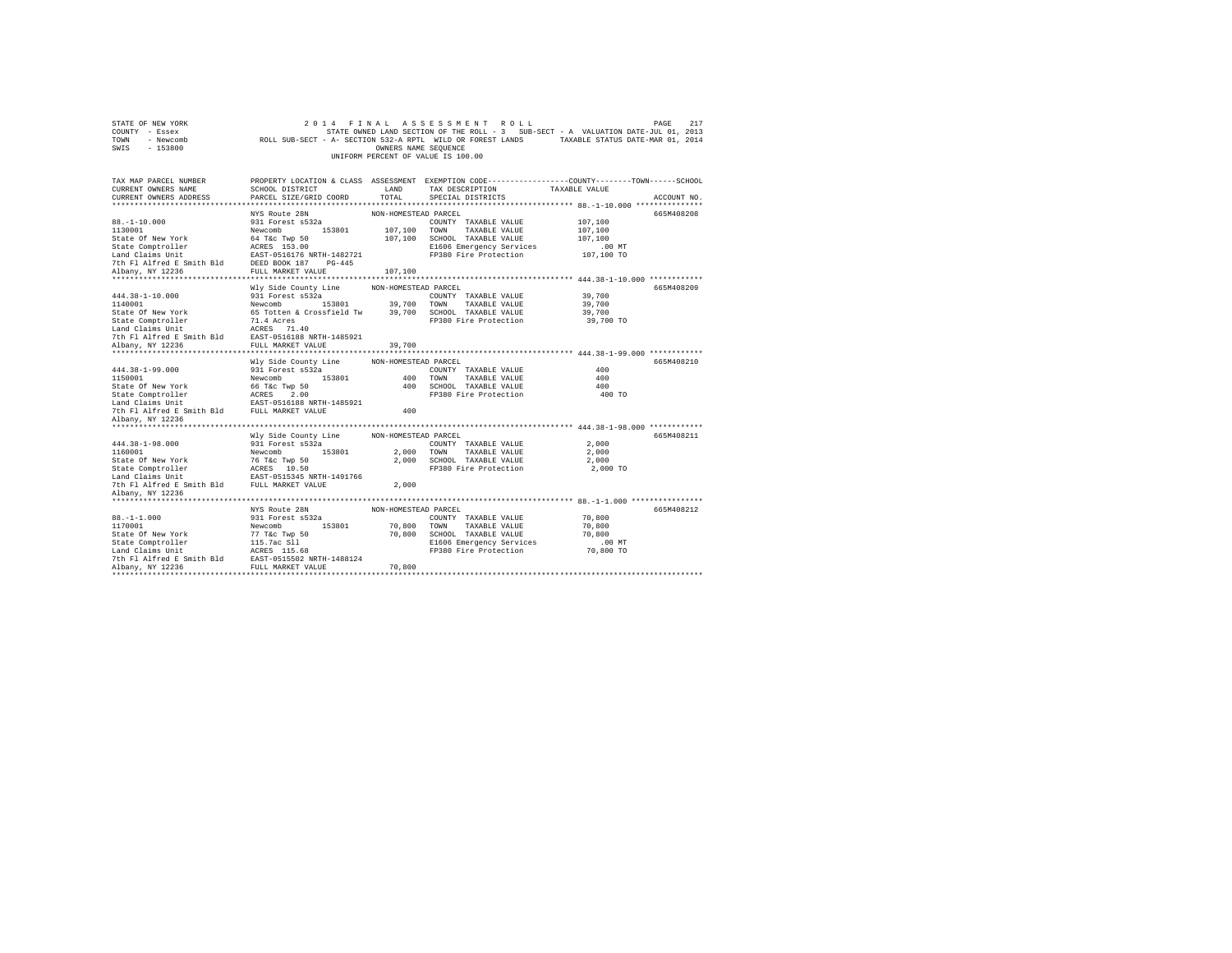| STATE OF NEW YORK<br>COUNTY - Essex<br>TOWN - Newcomb<br>SWIS - 153800                                                                                                                       |                                                       | OWNERS NAME SEQUENCE | 2014 FINAL ASSESSMENT ROLL<br>STATE OWNED LAND SECTION OF THE ROLL - 3 SUB-SECT - A VALUATION DATE-JUL 01, 2013<br>ROLL SUB-SECT - A- SECTION 532-A RPTL WILD OR FOREST LANDS TAXABLE STATUS DATE-MAR 01, 2014<br>UNIFORM PERCENT OF VALUE IS 100.00 |               | 217<br>PAGE |
|----------------------------------------------------------------------------------------------------------------------------------------------------------------------------------------------|-------------------------------------------------------|----------------------|------------------------------------------------------------------------------------------------------------------------------------------------------------------------------------------------------------------------------------------------------|---------------|-------------|
| TAX MAP PARCEL NUMBER<br>CURRENT OWNERS NAME                                                                                                                                                 | SCHOOL DISTRICT                                       | LAND                 | PROPERTY LOCATION & CLASS ASSESSMENT EXEMPTION CODE---------------COUNTY-------TOWN-----SCHOOL<br>TAX DESCRIPTION                                                                                                                                    | TAXABLE VALUE |             |
| CURRENT OWNERS ADDRESS                                                                                                                                                                       | PARCEL SIZE/GRID COORD                                | TOTAL                | SPECIAL DISTRICTS                                                                                                                                                                                                                                    |               | ACCOUNT NO. |
|                                                                                                                                                                                              |                                                       |                      |                                                                                                                                                                                                                                                      |               |             |
| $88. - 1 - 10.000$                                                                                                                                                                           | NYS Route 28N<br>931 Forest s532a                     | NON-HOMESTEAD PARCEL | COUNTY TAXABLE VALUE                                                                                                                                                                                                                                 | 107,100       | 665M408208  |
| 1130001                                                                                                                                                                                      | Newcomb 153801                                        |                      | 107,100 TOWN TAXABLE VALUE                                                                                                                                                                                                                           | 107,100       |             |
| State Of New York                                                                                                                                                                            | 64 T&c Twp 50                                         |                      | 107,100 SCHOOL TAXABLE VALUE                                                                                                                                                                                                                         | 107,100       |             |
| State Comptroller                                                                                                                                                                            |                                                       |                      | E1606 Emergency Services                                                                                                                                                                                                                             | .00 MT        |             |
| Land Claims Unit                                                                                                                                                                             | ACRES 153.00<br>EAST-0516176 NRTH-1482721             |                      | FP380 Fire Protection                                                                                                                                                                                                                                | 107,100 TO    |             |
| 7th F1 Alfred E Smith Bld BEED BOOK 187 PG-445<br>Albany, NY 12236 FILL MARKET VALUE                                                                                                         |                                                       |                      |                                                                                                                                                                                                                                                      |               |             |
| Albany, NY 12236                                                                                                                                                                             | FULL MARKET VALUE                                     | 107,100              |                                                                                                                                                                                                                                                      |               |             |
|                                                                                                                                                                                              |                                                       |                      |                                                                                                                                                                                                                                                      |               |             |
|                                                                                                                                                                                              | Wly Side County Line                                  | NON-HOMESTEAD PARCEL |                                                                                                                                                                                                                                                      |               | 665M408209  |
| $444.38 - 1 - 10.000$                                                                                                                                                                        | 931 Forest s532a                                      |                      | COUNTY TAXABLE VALUE                                                                                                                                                                                                                                 | 39,700        |             |
| 1140001                                                                                                                                                                                      | Newcomb 153801 39,700 TOWN                            |                      | TAXABLE VALUE                                                                                                                                                                                                                                        | 39,700        |             |
| State Of New York                                                                                                                                                                            | 65 Totten & Crossfield Tw 39,700 SCHOOL TAXABLE VALUE |                      |                                                                                                                                                                                                                                                      | 39,700        |             |
| State Comptroller                                                                                                                                                                            | 71.4 Acres<br>ACRES 71.40                             |                      | FP380 Fire Protection                                                                                                                                                                                                                                | 39,700 TO     |             |
| Land Claims Unit                                                                                                                                                                             |                                                       |                      |                                                                                                                                                                                                                                                      |               |             |
| 7th Fl Alfred E Smith Bld                                                                                                                                                                    | EAST-0516188 NRTH-1485921                             |                      |                                                                                                                                                                                                                                                      |               |             |
| Albany, NY 12236                                                                                                                                                                             | FULL MARKET VALUE                                     | 39,700               |                                                                                                                                                                                                                                                      |               |             |
|                                                                                                                                                                                              |                                                       |                      |                                                                                                                                                                                                                                                      |               |             |
|                                                                                                                                                                                              | Wly Side County Line                                  | NON-HOMESTEAD PARCEL |                                                                                                                                                                                                                                                      |               | 665M408210  |
| 444.38-1-99.000<br>1150001                                                                                                                                                                   | 931 Forest s532a<br>Newcomb 153801                    |                      | COUNTY TAXABLE VALUE<br>400 TOWN TAXABLE VALUE                                                                                                                                                                                                       | 400<br>400    |             |
| State Of New York                                                                                                                                                                            | 66 T&c Twp 50                                         |                      | 400 SCHOOL TAXABLE VALUE                                                                                                                                                                                                                             | 400           |             |
|                                                                                                                                                                                              |                                                       |                      | FP380 Fire Protection                                                                                                                                                                                                                                | 400 TO        |             |
|                                                                                                                                                                                              |                                                       |                      |                                                                                                                                                                                                                                                      |               |             |
| 7th Fl Alfred E Smith Bld FULL MARKET VALUE                                                                                                                                                  |                                                       | 400                  |                                                                                                                                                                                                                                                      |               |             |
| Albany, NY 12236                                                                                                                                                                             |                                                       |                      |                                                                                                                                                                                                                                                      |               |             |
| **************************                                                                                                                                                                   |                                                       |                      |                                                                                                                                                                                                                                                      |               |             |
|                                                                                                                                                                                              | Wly Side County Line                                  | NON-HOMESTEAD PARCEL |                                                                                                                                                                                                                                                      |               | 665M408211  |
| 444.38-1-98.000                                                                                                                                                                              | 931 Forest s532a                                      |                      | COUNTY TAXABLE VALUE                                                                                                                                                                                                                                 | 2,000         |             |
| 1160001                                                                                                                                                                                      | Newcomb 153801                                        |                      | 2,000 TOWN TAXABLE VALUE                                                                                                                                                                                                                             | 2,000         |             |
| State Of New York                                                                                                                                                                            | 76 T&C Twp 50                                         |                      | 2,000 SCHOOL TAXABLE VALUE                                                                                                                                                                                                                           | 2,000         |             |
| $\begin{tabular}{llll} \texttt{State Computer} & \texttt{ACRES} & \texttt{10.50} \\ \texttt{Land Claus Unit} & \texttt{EAST-0515345 NRTH-1491766} \end{tabular}$                             |                                                       |                      | FP380 Fire Protection                                                                                                                                                                                                                                | 2,000 TO      |             |
|                                                                                                                                                                                              |                                                       |                      |                                                                                                                                                                                                                                                      |               |             |
| 7th Fl Alfred E Smith Bld FULL MARKET VALUE                                                                                                                                                  |                                                       | 2,000                |                                                                                                                                                                                                                                                      |               |             |
| Albany, NY 12236                                                                                                                                                                             |                                                       |                      |                                                                                                                                                                                                                                                      |               |             |
|                                                                                                                                                                                              |                                                       |                      |                                                                                                                                                                                                                                                      |               |             |
|                                                                                                                                                                                              | NYS Route 28N                                         | NON-HOMESTEAD PARCEL |                                                                                                                                                                                                                                                      |               | 665M408212  |
| $88. - 1 - 1.000$                                                                                                                                                                            | 931 Forest s532a                                      |                      | COUNTY TAXABLE VALUE                                                                                                                                                                                                                                 | 70,800        |             |
| 1170001                                                                                                                                                                                      | 153801<br>Newcomb                                     |                      | 70,800 TOWN TAXABLE VALUE                                                                                                                                                                                                                            | 70,800        |             |
| State Of New York                                                                                                                                                                            | 77 T&c Twp 50                                         |                      | 70,800 SCHOOL TAXABLE VALUE                                                                                                                                                                                                                          | 70,800        |             |
|                                                                                                                                                                                              |                                                       |                      | E1606 Emergency Services                                                                                                                                                                                                                             | $.00$ MT      |             |
|                                                                                                                                                                                              |                                                       |                      | FP380 Fire Protection                                                                                                                                                                                                                                | 70,800 TO     |             |
|                                                                                                                                                                                              |                                                       | 70,800               |                                                                                                                                                                                                                                                      |               |             |
| State Comptroller<br>Land Claims Unit<br>Land Claims Unit and Claims (1986)<br>The F1 Alifed E Smith B1d<br>TULL MARKET VALUE<br>TULL MARKET VALUE<br>TULL MARKET VALUE<br>TULL MARKET VALUE |                                                       |                      |                                                                                                                                                                                                                                                      |               |             |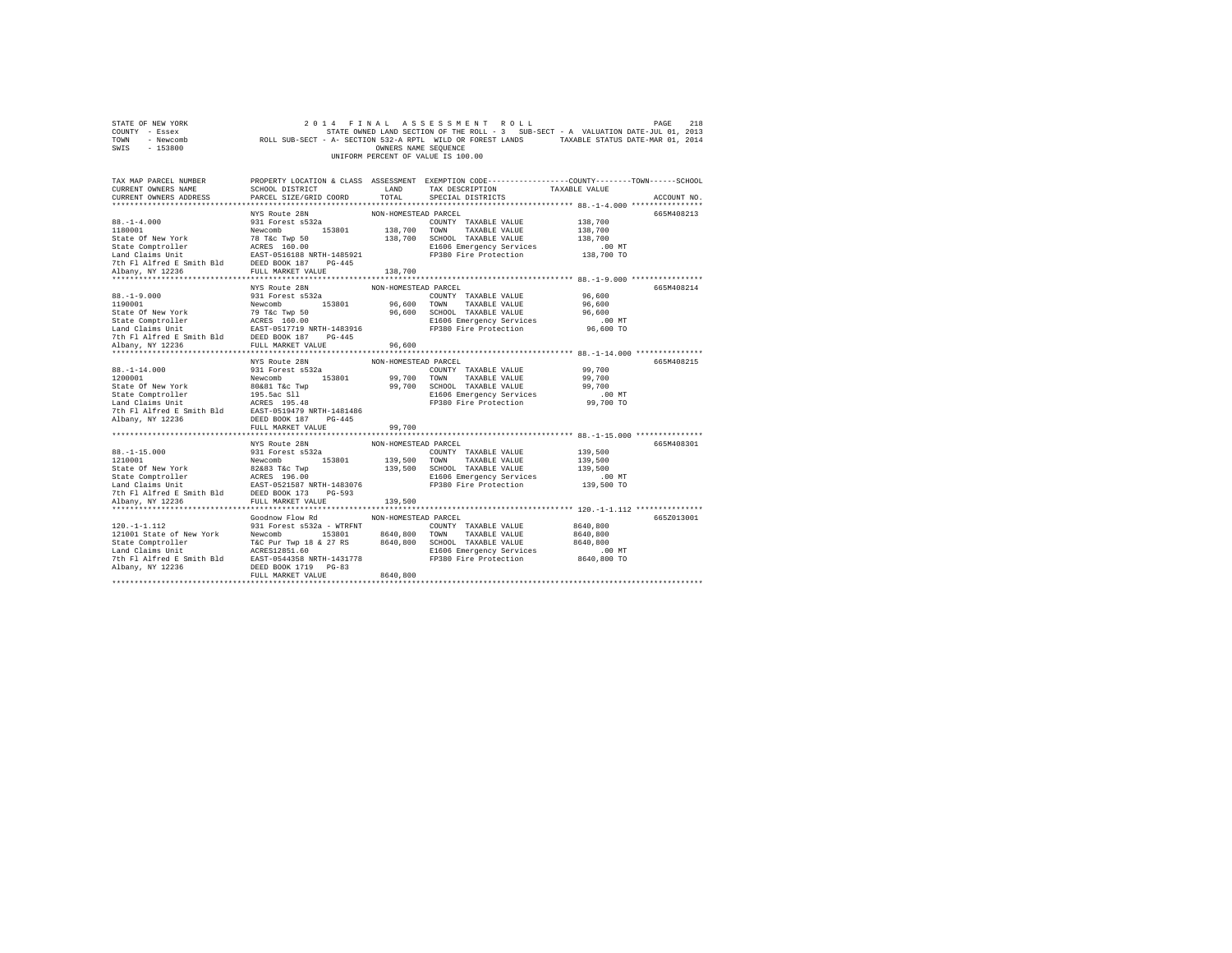| STATE OF NEW YORK<br>COUNTY - Essex<br>TOWN - Newcomb<br>SWIS - 153800                                                                                                                                                                                                                                                                                                                                                                |                                                                                                                                                                                                                                                 | OWNERS NAME SEQUENCE             | 2014 FINAL ASSESSMENT ROLL<br>218 PINAL ASSESSMENT ROLL<br>PAGE 218 STRIE ONNED LAND SECTION OF THE ROLL - 3 SUB-SECT - A VALUATION DATE-JUL 01, 2013<br>ROLL SUB-SECT - A- SECTION 532-A RPTL WILD OR FOREST LANDS TAXABLE STATUS DATE-MAR 01, 2014<br>UNIFORM PERCENT OF VALUE IS 100.00 |                                                           | PAGE<br>218 |
|---------------------------------------------------------------------------------------------------------------------------------------------------------------------------------------------------------------------------------------------------------------------------------------------------------------------------------------------------------------------------------------------------------------------------------------|-------------------------------------------------------------------------------------------------------------------------------------------------------------------------------------------------------------------------------------------------|----------------------------------|--------------------------------------------------------------------------------------------------------------------------------------------------------------------------------------------------------------------------------------------------------------------------------------------|-----------------------------------------------------------|-------------|
| TAX MAP PARCEL NUMBER PROPERTY LOCATION & CLASS ASSESSMENT EXEMPTION CODE--------------COUNTY-------TOWN-----SCHOOL<br>CURRENT OWNERS NAME<br>CURRENT OWNERS ADDRESS                                                                                                                                                                                                                                                                  | SCHOOL DISTRICT<br>LAND TAX DESCRIPTION<br>PARCEL SIZE/GRID COORD                                                                                                                                                                               | TOTAL                            | SPECIAL DISTRICTS                                                                                                                                                                                                                                                                          | TAXABLE VALUE                                             | ACCOUNT NO. |
| $88. - 1 - 4.000$<br>88.-1-4.000<br>1180001<br>$\begin{tabular}{l c c c c c} \hline 1180001 & $10001$ & $10001$ & $10001$ & $10001$ & $10001$ & $138,700$ & $138,700$ & $138,700$ & $138,700$ & $138,700$ & $138,700$ & $138,700$ & $138,700$ & $138,700$ & $138,700$ & $138,700$ & $138,700$ & $138,700$ & $138,700$ & $138,700$ &$                                                                                                  | NYS Route 28N<br>931 Forest s532a                                                                                                                                                                                                               | NON-HOMESTEAD PARCEL             | COUNTY TAXABLE VALUE                                                                                                                                                                                                                                                                       | 138,700                                                   | 665M408213  |
|                                                                                                                                                                                                                                                                                                                                                                                                                                       |                                                                                                                                                                                                                                                 |                                  |                                                                                                                                                                                                                                                                                            |                                                           |             |
| $88. -1 - 9.000$<br>1190001                                                                                                                                                                                                                                                                                                                                                                                                           | NYS Route 28N<br>931 Forest s532a<br>Newcomb 153801 96,600 TOWN TAXABLE VALUE                                                                                                                                                                   | NON-HOMESTEAD PARCEL             | COUNTY TAXABLE VALUE                                                                                                                                                                                                                                                                       | 96,600<br>96,600<br>96,600<br>$.00$ MT<br>96,600 TO       | 665M408214  |
|                                                                                                                                                                                                                                                                                                                                                                                                                                       |                                                                                                                                                                                                                                                 |                                  |                                                                                                                                                                                                                                                                                            |                                                           |             |
|                                                                                                                                                                                                                                                                                                                                                                                                                                       |                                                                                                                                                                                                                                                 |                                  |                                                                                                                                                                                                                                                                                            |                                                           |             |
| $88. -1 - 14.000$<br>1200001<br>Albany, NY 12236                                                                                                                                                                                                                                                                                                                                                                                      | NYS Route 28N<br>931 Forest s532a<br>DEED BOOK 187 PG-445                                                                                                                                                                                       | NON-HOMESTEAD PARCEL             | COUNTY TAXABLE VALUE 99,700                                                                                                                                                                                                                                                                |                                                           | 665M408215  |
|                                                                                                                                                                                                                                                                                                                                                                                                                                       | FULL MARKET VALUE                                                                                                                                                                                                                               | 99,700                           |                                                                                                                                                                                                                                                                                            |                                                           |             |
| $[110001] \begin{tabular}{lcccc} \multicolumn{1}{c}{\textbf{23.1}} & \multicolumn{1}{c}{\textbf{33.2}} & \multicolumn{1}{c}{\textbf{33.2}} & \multicolumn{1}{c}{\textbf{33.3}} & \multicolumn{1}{c}{\textbf{33.4}} & \multicolumn{1}{c}{\textbf{33.4}} & \multicolumn{1}{c}{\textbf{33.4}} & \multicolumn{1}{c}{\textbf{33.4}} & \multicolumn{1}{c}{\textbf{33.4}} & \multicolumn{1}{c}{\textbf{33.4}} & \multicolumn{1}{c}{\textbf{$ |                                                                                                                                                                                                                                                 |                                  |                                                                                                                                                                                                                                                                                            | 139,500<br>139,500<br>139,500<br>00 MT.<br>139,500 TO     | 665M408301  |
|                                                                                                                                                                                                                                                                                                                                                                                                                                       |                                                                                                                                                                                                                                                 |                                  |                                                                                                                                                                                                                                                                                            |                                                           |             |
| $120. -1 - 1.112$<br>121001 State of New York<br>Albany, NY 12236                                                                                                                                                                                                                                                                                                                                                                     | Goodnow Flow Rd<br>931 Forest s532a - WTRFNT<br>Newcomb 153801 8640,800 TOWN TAXABLE VALUE<br>T&C Pur Twp 18 & 27 RS 8640,800 SCHOOL TAXABLE VALUE<br>ACRES12851.60 R1606 E1606 Engroeper Services<br>DEED BOOK 1719 PG-83<br>FULL MARKET VALUE | NON-HOMESTEAD PARCEL<br>8640,800 | COUNTY TAXABLE VALUE<br>E1606 Emergency Services<br>FP380 Fire Protection                                                                                                                                                                                                                  | 8640,800<br>8640,800<br>8640,800<br>.00 MT<br>8640,800 TO | 665Z013001  |
|                                                                                                                                                                                                                                                                                                                                                                                                                                       |                                                                                                                                                                                                                                                 |                                  |                                                                                                                                                                                                                                                                                            |                                                           |             |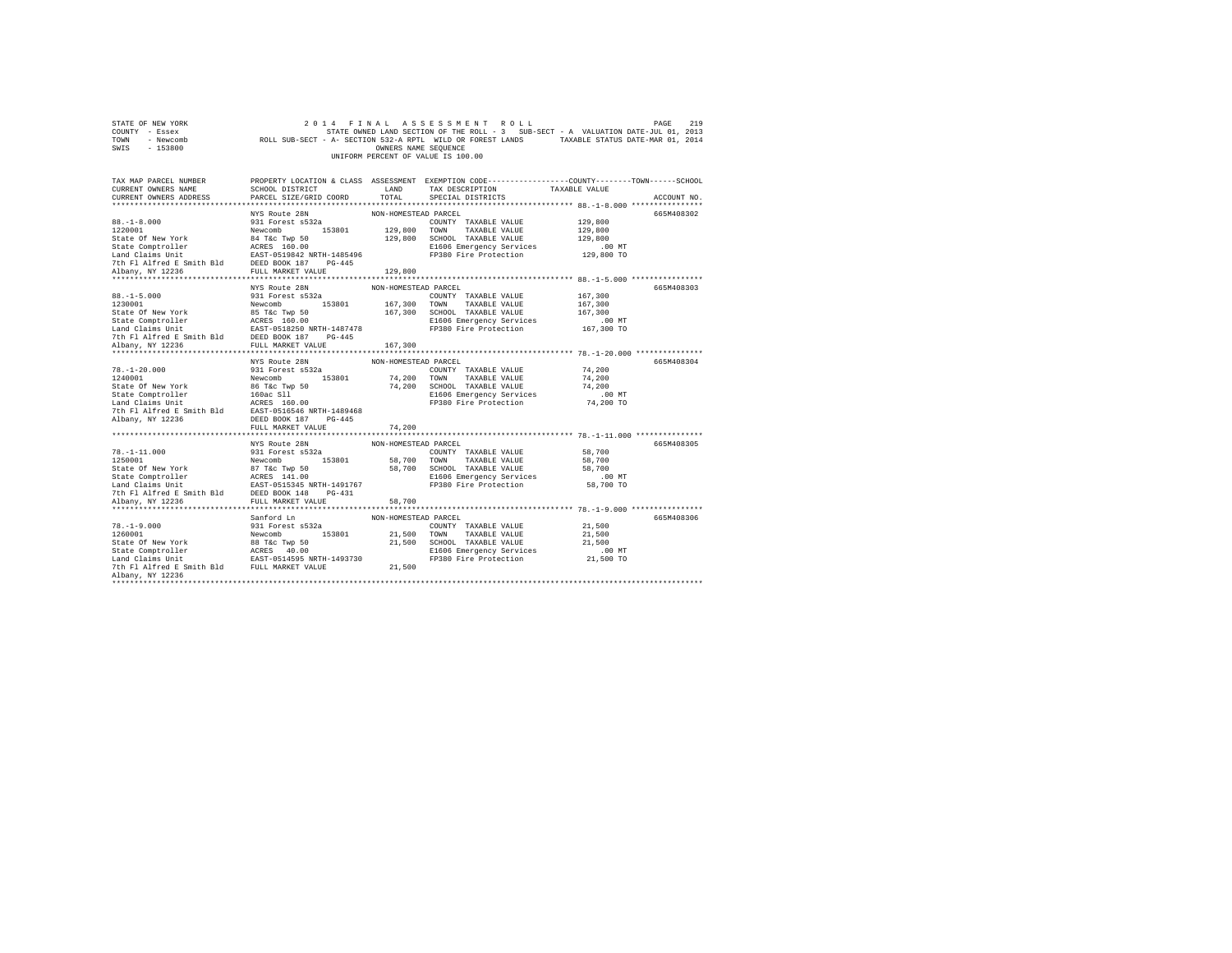| COUNTY - Essex<br>TOWN<br>- Newcomb<br>SWIS - 153800                                                                                                                                                                                                                                                                                                                                                                      | STATE OWNED LAND SECTION OF THE ROLL - 3 SUB-SECT - A VALUATION DATE-JUL 01, 2013<br>ROLL SUB-SECT - A- SECTION 532-A RPTL WILD OR FOREST LANDS TAXABLE STATUS DATE-MAR 01, 2014 | OWNERS NAME SEQUENCE |                                                                                      |                      |             |
|---------------------------------------------------------------------------------------------------------------------------------------------------------------------------------------------------------------------------------------------------------------------------------------------------------------------------------------------------------------------------------------------------------------------------|----------------------------------------------------------------------------------------------------------------------------------------------------------------------------------|----------------------|--------------------------------------------------------------------------------------|----------------------|-------------|
|                                                                                                                                                                                                                                                                                                                                                                                                                           |                                                                                                                                                                                  |                      | UNIFORM PERCENT OF VALUE IS 100.00                                                   |                      |             |
| TAX MAP PARCEL NUMBER PROPERTY LOCATION & CLASS ASSESSMENT EXEMPTION CODE---------------COUNTY-------TOWN------SCHOOL                                                                                                                                                                                                                                                                                                     |                                                                                                                                                                                  |                      |                                                                                      |                      |             |
| CURRENT OWNERS NAME<br>CURRENT OWNERS ADDRESS PARCEL SIZE/GRID COORD TOTAL                                                                                                                                                                                                                                                                                                                                                | SCHOOL DISTRICT LAND                                                                                                                                                             |                      | TAX DESCRIPTION                                                                      | TAXABLE VALUE        |             |
|                                                                                                                                                                                                                                                                                                                                                                                                                           |                                                                                                                                                                                  |                      | SPECIAL DISTRICTS                                                                    |                      | ACCOUNT NO. |
|                                                                                                                                                                                                                                                                                                                                                                                                                           | NYS Route 28N                                                                                                                                                                    | NON-HOMESTEAD PARCEL |                                                                                      |                      | 665M408302  |
|                                                                                                                                                                                                                                                                                                                                                                                                                           | 931 Forest s532a                                                                                                                                                                 |                      | COUNTY TAXABLE VALUE                                                                 | 129,800              |             |
| $88. -1 - 8.000$<br>1220001                                                                                                                                                                                                                                                                                                                                                                                               |                                                                                                                                                                                  |                      |                                                                                      | 129,800              |             |
|                                                                                                                                                                                                                                                                                                                                                                                                                           |                                                                                                                                                                                  |                      | 129,800 SCHOOL TAXABLE VALUE                                                         | 129,800              |             |
|                                                                                                                                                                                                                                                                                                                                                                                                                           |                                                                                                                                                                                  |                      |                                                                                      |                      |             |
|                                                                                                                                                                                                                                                                                                                                                                                                                           |                                                                                                                                                                                  |                      | E1606 Emergency Services<br>FP380 Fire Protection                                    | 00 MT.<br>129,800 TO |             |
|                                                                                                                                                                                                                                                                                                                                                                                                                           |                                                                                                                                                                                  |                      |                                                                                      |                      |             |
| $[129, 800] \begin{tabular}{lcccc} \texttt{931-01-00} & \texttt{931-48} & \texttt{931-48} \\ \texttt{1220001} & \texttt{931-48} & \texttt{1290} & \texttt{129, 800} & \texttt{TORM} & \texttt{TAXABLE} & \texttt{VALUE} \\ \texttt{State of New York} & \texttt{84} & \texttt{TE-Type 50} & \texttt{129, 800} & \texttt{TCWN} & \texttt{TAXABLE} & \texttt{VALUE} \\ \texttt{State of New York} & \texttt{84} & \texttt{$ |                                                                                                                                                                                  |                      |                                                                                      |                      |             |
|                                                                                                                                                                                                                                                                                                                                                                                                                           |                                                                                                                                                                                  |                      |                                                                                      |                      |             |
|                                                                                                                                                                                                                                                                                                                                                                                                                           | NYS Route 28N                                                                                                                                                                    | NON-HOMESTEAD PARCEL |                                                                                      |                      | 665M408303  |
| $88. - 1 - 5.000$<br>88.-1-5.000<br>1230001                                                                                                                                                                                                                                                                                                                                                                               | 931 Forest s532a                                                                                                                                                                 |                      | COUNTY TAXABLE VALUE                                                                 | 167.300              |             |
|                                                                                                                                                                                                                                                                                                                                                                                                                           |                                                                                                                                                                                  |                      |                                                                                      | 167,300              |             |
|                                                                                                                                                                                                                                                                                                                                                                                                                           |                                                                                                                                                                                  |                      | 167,300 SCHOOL TAXABLE VALUE                                                         | 167,300              |             |
|                                                                                                                                                                                                                                                                                                                                                                                                                           |                                                                                                                                                                                  |                      | E1606 Emergency Services .00 MT<br>FP380 Fire Protection 167,300 TO                  |                      |             |
|                                                                                                                                                                                                                                                                                                                                                                                                                           |                                                                                                                                                                                  |                      |                                                                                      |                      |             |
|                                                                                                                                                                                                                                                                                                                                                                                                                           |                                                                                                                                                                                  |                      |                                                                                      |                      |             |
|                                                                                                                                                                                                                                                                                                                                                                                                                           |                                                                                                                                                                                  |                      |                                                                                      |                      |             |
|                                                                                                                                                                                                                                                                                                                                                                                                                           | NYS Route 28N                                                                                                                                                                    | NON-HOMESTEAD PARCEL |                                                                                      |                      | 665M408304  |
|                                                                                                                                                                                                                                                                                                                                                                                                                           |                                                                                                                                                                                  |                      | COUNTY TAXABLE VALUE 74,200                                                          |                      |             |
|                                                                                                                                                                                                                                                                                                                                                                                                                           |                                                                                                                                                                                  |                      |                                                                                      | 74,200               |             |
|                                                                                                                                                                                                                                                                                                                                                                                                                           |                                                                                                                                                                                  |                      |                                                                                      | 74,200               |             |
|                                                                                                                                                                                                                                                                                                                                                                                                                           |                                                                                                                                                                                  |                      | 74,200 TOWN TAXABLE VALUE<br>74,200 SCHOOL TAXABLE VALUE<br>E1606 Emergency Services | 00 MT.<br>74,200 TO  |             |
|                                                                                                                                                                                                                                                                                                                                                                                                                           |                                                                                                                                                                                  |                      | FP380 Fire Protection                                                                |                      |             |
|                                                                                                                                                                                                                                                                                                                                                                                                                           |                                                                                                                                                                                  |                      |                                                                                      |                      |             |
|                                                                                                                                                                                                                                                                                                                                                                                                                           |                                                                                                                                                                                  |                      |                                                                                      |                      |             |
|                                                                                                                                                                                                                                                                                                                                                                                                                           | FULL MARKET VALUE                                                                                                                                                                | 74,200               |                                                                                      |                      |             |
|                                                                                                                                                                                                                                                                                                                                                                                                                           |                                                                                                                                                                                  |                      |                                                                                      |                      |             |
|                                                                                                                                                                                                                                                                                                                                                                                                                           | NYS Route 28N                                                                                                                                                                    | NON-HOMESTEAD PARCEL |                                                                                      |                      | 665M408305  |
|                                                                                                                                                                                                                                                                                                                                                                                                                           |                                                                                                                                                                                  |                      |                                                                                      |                      |             |
|                                                                                                                                                                                                                                                                                                                                                                                                                           |                                                                                                                                                                                  |                      |                                                                                      |                      |             |
|                                                                                                                                                                                                                                                                                                                                                                                                                           |                                                                                                                                                                                  |                      |                                                                                      |                      |             |
|                                                                                                                                                                                                                                                                                                                                                                                                                           |                                                                                                                                                                                  |                      |                                                                                      |                      |             |
|                                                                                                                                                                                                                                                                                                                                                                                                                           |                                                                                                                                                                                  |                      |                                                                                      |                      |             |
|                                                                                                                                                                                                                                                                                                                                                                                                                           |                                                                                                                                                                                  |                      |                                                                                      |                      |             |
|                                                                                                                                                                                                                                                                                                                                                                                                                           |                                                                                                                                                                                  |                      |                                                                                      |                      |             |
|                                                                                                                                                                                                                                                                                                                                                                                                                           | Sanford Ln                                                                                                                                                                       | NON-HOMESTEAD PARCEL |                                                                                      |                      | 665M408306  |
|                                                                                                                                                                                                                                                                                                                                                                                                                           |                                                                                                                                                                                  |                      |                                                                                      |                      |             |
|                                                                                                                                                                                                                                                                                                                                                                                                                           |                                                                                                                                                                                  |                      |                                                                                      |                      |             |
|                                                                                                                                                                                                                                                                                                                                                                                                                           |                                                                                                                                                                                  |                      |                                                                                      |                      |             |
|                                                                                                                                                                                                                                                                                                                                                                                                                           |                                                                                                                                                                                  |                      |                                                                                      |                      |             |
|                                                                                                                                                                                                                                                                                                                                                                                                                           |                                                                                                                                                                                  |                      |                                                                                      |                      |             |
|                                                                                                                                                                                                                                                                                                                                                                                                                           |                                                                                                                                                                                  |                      |                                                                                      |                      |             |
| Albany, NY 12236<br>**************************                                                                                                                                                                                                                                                                                                                                                                            |                                                                                                                                                                                  |                      |                                                                                      |                      |             |
|                                                                                                                                                                                                                                                                                                                                                                                                                           |                                                                                                                                                                                  |                      |                                                                                      |                      |             |

STATE OF NEW YORK 2014 FINAL ASSESSMENT ROLL PAGE 219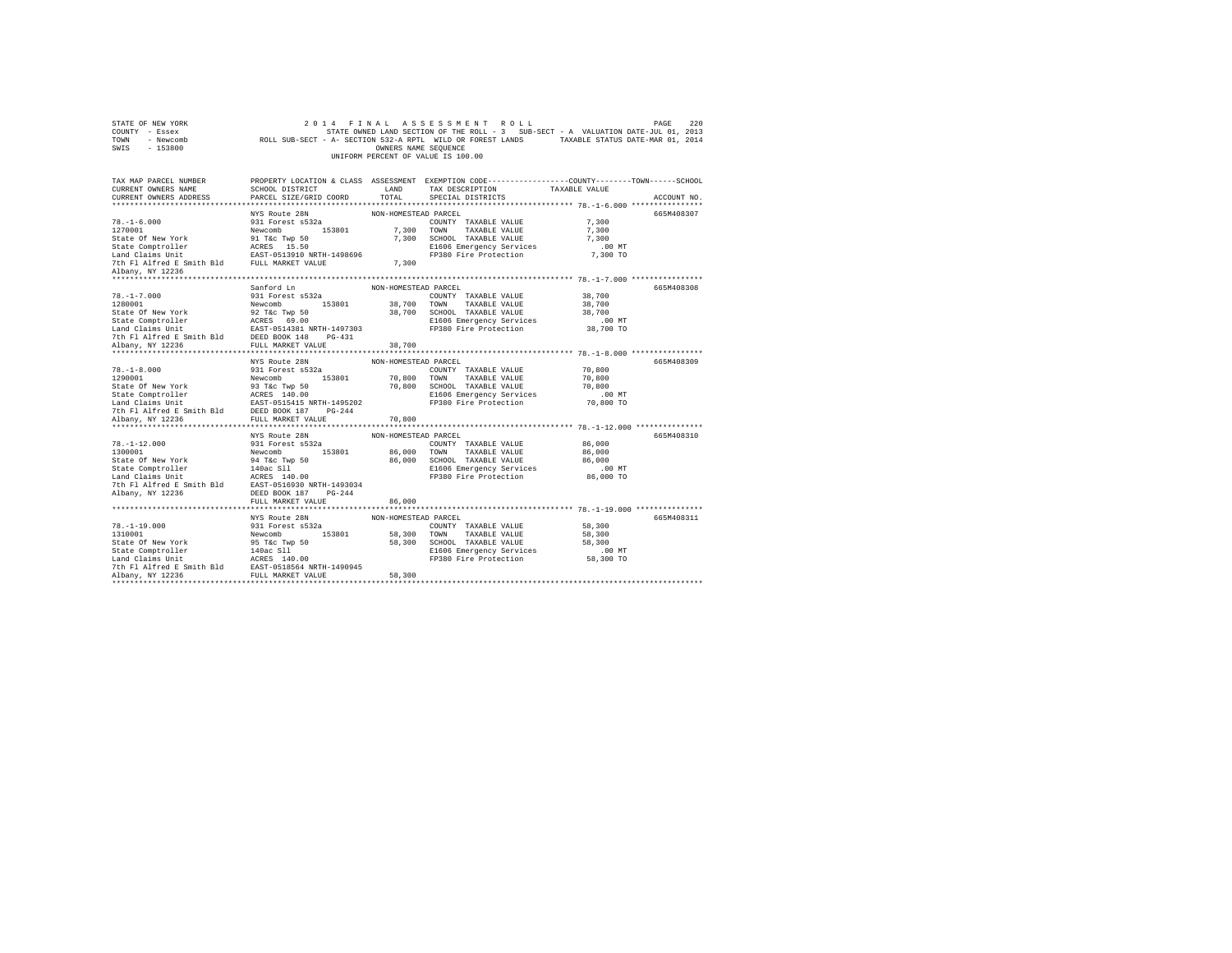| STATE OF NEW YORK<br>COUNTY - Essex<br>TOWN - Newcomb<br>SWIS - 153800                                                                 |                                    | OWNERS NAME SEQUENCE | 2014 FINAL ASSESSMENT ROLL<br>STATE OWNED LAND SECTION OF THE ROLL - 3 SUB-SECT - A VALUATION DATE-JUL 01, 2013<br>ROLL SUB-SECT - A- SECTION 532-A RPTL WILD OR FOREST LANDS TAXABLE STATUS DATE-MAR 01, 2014<br>UNIFORM PERCENT OF VALUE IS 100.00 |                    | PAGE<br>220 |
|----------------------------------------------------------------------------------------------------------------------------------------|------------------------------------|----------------------|------------------------------------------------------------------------------------------------------------------------------------------------------------------------------------------------------------------------------------------------------|--------------------|-------------|
| TAX MAP PARCEL NUMBER THE PROPERTY LOCATION & CLASS ASSESSMENT EXEMPTION CODE-------------COUNTY-------TOWN-----SCHOOL                 |                                    |                      |                                                                                                                                                                                                                                                      |                    |             |
| CURRENT OWNERS NAME                                                                                                                    |                                    |                      | TAX DESCRIPTION                                                                                                                                                                                                                                      | TAXABLE VALUE      |             |
| CURRENT OWNERS ADDRESS                                                                                                                 |                                    |                      | SPECIAL DISTRICTS                                                                                                                                                                                                                                    |                    | ACCOUNT NO. |
|                                                                                                                                        |                                    |                      |                                                                                                                                                                                                                                                      |                    |             |
|                                                                                                                                        | NYS Route 28N                      | NON-HOMESTEAD PARCEL |                                                                                                                                                                                                                                                      |                    | 665M408307  |
| $78. - 1 - 6.000$                                                                                                                      | 931 Forest s532a                   |                      | COUNTY TAXABLE VALUE                                                                                                                                                                                                                                 | 7,300              |             |
| 78.1-1-0.000<br>1270001 Mewcomb Newcomb 153801<br>State Of New York 91 Tac Twp 50<br>State Comptroller ACRES 15.50<br>Land Claims Unit |                                    |                      | 7,300 TOWN TAXABLE VALUE<br>7,300 SCHOOL TAXABLE VALUE                                                                                                                                                                                               | 7,300              |             |
|                                                                                                                                        |                                    |                      |                                                                                                                                                                                                                                                      | 7.300              |             |
|                                                                                                                                        |                                    |                      | E1606 Emergency Services                                                                                                                                                                                                                             | 00 MT.<br>7,300 TO |             |
|                                                                                                                                        |                                    |                      | E1606 Emergency Services<br>FP380 Fire Protection                                                                                                                                                                                                    |                    |             |
| 7th Fl Alfred E Smith Bld FULL MARKET VALUE                                                                                            |                                    | 7.300                |                                                                                                                                                                                                                                                      |                    |             |
| Albany, NY 12236                                                                                                                       |                                    |                      |                                                                                                                                                                                                                                                      |                    |             |
|                                                                                                                                        | Sanford Ln                         | NON-HOMESTEAD PARCEL |                                                                                                                                                                                                                                                      |                    | 665M408308  |
|                                                                                                                                        |                                    |                      |                                                                                                                                                                                                                                                      |                    |             |
|                                                                                                                                        |                                    |                      |                                                                                                                                                                                                                                                      |                    |             |
|                                                                                                                                        |                                    |                      |                                                                                                                                                                                                                                                      |                    |             |
|                                                                                                                                        |                                    |                      |                                                                                                                                                                                                                                                      |                    |             |
|                                                                                                                                        |                                    |                      |                                                                                                                                                                                                                                                      |                    |             |
|                                                                                                                                        |                                    |                      |                                                                                                                                                                                                                                                      |                    |             |
|                                                                                                                                        |                                    |                      |                                                                                                                                                                                                                                                      |                    |             |
|                                                                                                                                        |                                    |                      |                                                                                                                                                                                                                                                      |                    |             |
|                                                                                                                                        | NYS Route 28N NON-HOMESTEAD PARCEL |                      |                                                                                                                                                                                                                                                      |                    | 665M408309  |
|                                                                                                                                        |                                    |                      |                                                                                                                                                                                                                                                      | 70,800             |             |
|                                                                                                                                        |                                    |                      |                                                                                                                                                                                                                                                      | 70,800             |             |
|                                                                                                                                        |                                    |                      |                                                                                                                                                                                                                                                      | 70,800             |             |
|                                                                                                                                        |                                    |                      |                                                                                                                                                                                                                                                      | $.00$ MT           |             |
|                                                                                                                                        |                                    |                      |                                                                                                                                                                                                                                                      | 70,800 TO          |             |
|                                                                                                                                        |                                    |                      |                                                                                                                                                                                                                                                      |                    |             |
|                                                                                                                                        |                                    | 70,800               |                                                                                                                                                                                                                                                      |                    |             |
|                                                                                                                                        |                                    |                      |                                                                                                                                                                                                                                                      |                    |             |
|                                                                                                                                        | NYS Route 28N                      | NON-HOMESTEAD PARCEL |                                                                                                                                                                                                                                                      |                    | 665M408310  |
|                                                                                                                                        |                                    |                      | COUNTY TAXABLE VALUE                                                                                                                                                                                                                                 | 86,000             |             |
|                                                                                                                                        |                                    |                      | TAXABLE VALUE                                                                                                                                                                                                                                        | 86,000             |             |
|                                                                                                                                        |                                    |                      | 86,000 SCHOOL TAXABLE VALUE<br>E1606 Emergency Services                                                                                                                                                                                              | 86,000             |             |
|                                                                                                                                        |                                    |                      |                                                                                                                                                                                                                                                      | $.00$ MT           |             |
|                                                                                                                                        |                                    |                      | El606 Emergency Services<br>El606 Emergency Services<br>FP380 Fire Protection                                                                                                                                                                        | 86,000 TO          |             |
| 7th Fl Alfred E Smith Bld EAST-0516930 NRTH-1493034                                                                                    |                                    |                      |                                                                                                                                                                                                                                                      |                    |             |
| Albany, NY 12236                                                                                                                       | DEED BOOK 187 PG-244               |                      |                                                                                                                                                                                                                                                      |                    |             |
|                                                                                                                                        | FULL MARKET VALUE                  | 86,000               |                                                                                                                                                                                                                                                      |                    |             |
|                                                                                                                                        |                                    |                      |                                                                                                                                                                                                                                                      |                    |             |
|                                                                                                                                        | NYS Route 28N                      | NON-HOMESTEAD PARCEL |                                                                                                                                                                                                                                                      |                    | 665M408311  |
|                                                                                                                                        |                                    |                      |                                                                                                                                                                                                                                                      | 58,300             |             |
|                                                                                                                                        |                                    |                      |                                                                                                                                                                                                                                                      | 58,300             |             |
|                                                                                                                                        |                                    |                      | 58,300 SCHOOL TAXABLE VALUE                                                                                                                                                                                                                          | 58,300             |             |
|                                                                                                                                        |                                    |                      | E1606 Emergency Services                                                                                                                                                                                                                             | $.00$ MT           |             |
|                                                                                                                                        |                                    |                      | E1606 Emergency Services  00 MT<br>FP380 Fire Protection  58,300 TO                                                                                                                                                                                  |                    |             |
|                                                                                                                                        |                                    |                      |                                                                                                                                                                                                                                                      |                    |             |
|                                                                                                                                        |                                    |                      |                                                                                                                                                                                                                                                      |                    |             |
|                                                                                                                                        |                                    |                      |                                                                                                                                                                                                                                                      |                    |             |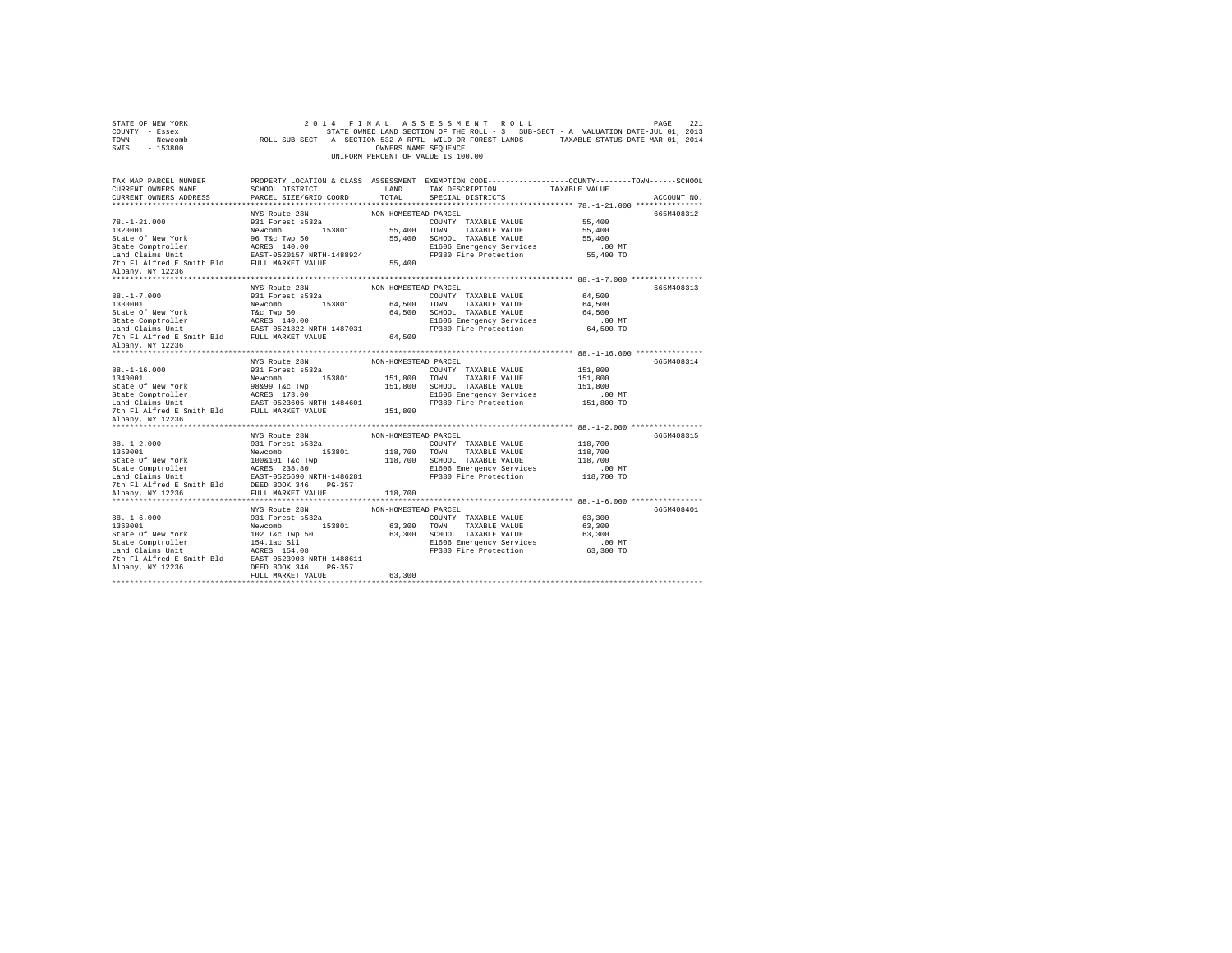| STATE OF NEW YORK<br>COUNTY - Essex<br>TOWN - Newcomb<br>SWIS - 153800                                                                                                                                                                                                                                                                                                                                                                  |                      | OWNERS NAME SEQUENCE | 2014 FINAL ASSESSMENT ROLL<br>UNIFORM PERCENT OF VALUE IS 100.00 | PAGE<br>2.21<br>STATE OWNED LAND SECTION OF THE ROLL - 3 SUB-SECT - A VALUATION DATE-JUL 01, 2013<br>ROLL SUB-SECT - A- SECTION 532-A RPTL WILD OR FOREST LANDS TAXABLE STATUS DATE-MAR 01, 2014 |  |
|-----------------------------------------------------------------------------------------------------------------------------------------------------------------------------------------------------------------------------------------------------------------------------------------------------------------------------------------------------------------------------------------------------------------------------------------|----------------------|----------------------|------------------------------------------------------------------|--------------------------------------------------------------------------------------------------------------------------------------------------------------------------------------------------|--|
| TAX MAP PARCEL NUMBER                                                                                                                                                                                                                                                                                                                                                                                                                   |                      |                      |                                                                  | PROPERTY LOCATION & CLASS ASSESSMENT EXEMPTION CODE---------------COUNTY-------TOWN------SCHOOL                                                                                                  |  |
| CURRENT OWNERS NAME                                                                                                                                                                                                                                                                                                                                                                                                                     |                      |                      |                                                                  |                                                                                                                                                                                                  |  |
| CURRENT OWNERS ADDRESS                                                                                                                                                                                                                                                                                                                                                                                                                  |                      |                      |                                                                  | ACCOUNT NO.                                                                                                                                                                                      |  |
|                                                                                                                                                                                                                                                                                                                                                                                                                                         |                      |                      |                                                                  |                                                                                                                                                                                                  |  |
|                                                                                                                                                                                                                                                                                                                                                                                                                                         | NYS Route 28N        | NON-HOMESTEAD PARCEL |                                                                  | 665M408312                                                                                                                                                                                       |  |
|                                                                                                                                                                                                                                                                                                                                                                                                                                         |                      |                      |                                                                  |                                                                                                                                                                                                  |  |
|                                                                                                                                                                                                                                                                                                                                                                                                                                         |                      |                      |                                                                  |                                                                                                                                                                                                  |  |
|                                                                                                                                                                                                                                                                                                                                                                                                                                         |                      |                      |                                                                  |                                                                                                                                                                                                  |  |
|                                                                                                                                                                                                                                                                                                                                                                                                                                         |                      |                      |                                                                  |                                                                                                                                                                                                  |  |
|                                                                                                                                                                                                                                                                                                                                                                                                                                         |                      |                      |                                                                  |                                                                                                                                                                                                  |  |
| Albany, NY 12236                                                                                                                                                                                                                                                                                                                                                                                                                        |                      |                      |                                                                  |                                                                                                                                                                                                  |  |
|                                                                                                                                                                                                                                                                                                                                                                                                                                         |                      |                      |                                                                  |                                                                                                                                                                                                  |  |
| MISS ROBER 28N NON-HOMESTEAD PARCEL<br>88.-1-7.000<br>1931 Forest s532a COUNTY TAXABLE VALUE 64,500<br>1931 Forest S532a COUNTY TAXABLE VALUE 64,500<br>1930 Town TAXABLE VALUE 64,500<br>201 Forest S4.500<br>201 Forest S4.500<br>201 Fore                                                                                                                                                                                            |                      |                      |                                                                  | 665M408313                                                                                                                                                                                       |  |
|                                                                                                                                                                                                                                                                                                                                                                                                                                         |                      |                      |                                                                  |                                                                                                                                                                                                  |  |
|                                                                                                                                                                                                                                                                                                                                                                                                                                         |                      |                      |                                                                  |                                                                                                                                                                                                  |  |
|                                                                                                                                                                                                                                                                                                                                                                                                                                         |                      |                      |                                                                  |                                                                                                                                                                                                  |  |
|                                                                                                                                                                                                                                                                                                                                                                                                                                         |                      |                      |                                                                  |                                                                                                                                                                                                  |  |
|                                                                                                                                                                                                                                                                                                                                                                                                                                         |                      |                      |                                                                  |                                                                                                                                                                                                  |  |
|                                                                                                                                                                                                                                                                                                                                                                                                                                         |                      |                      |                                                                  |                                                                                                                                                                                                  |  |
| Albany, NY 12236                                                                                                                                                                                                                                                                                                                                                                                                                        |                      |                      |                                                                  |                                                                                                                                                                                                  |  |
|                                                                                                                                                                                                                                                                                                                                                                                                                                         |                      |                      |                                                                  |                                                                                                                                                                                                  |  |
| MYS ROULE 2RM NON-HOMESTEAD PARCEL<br>19.1-16.000<br>19.1 Forest s532a<br>19.000 931 Forest s532a<br>19.000 931 Forest S532a<br>19.000 1931 Forest S532a<br>19.000 17NXABLE VALUE<br>State Of New York<br>19.000 151,800 SCROOL TAXABLE VALUE<br>                                                                                                                                                                                       |                      |                      |                                                                  | 665M408314                                                                                                                                                                                       |  |
|                                                                                                                                                                                                                                                                                                                                                                                                                                         |                      |                      |                                                                  |                                                                                                                                                                                                  |  |
|                                                                                                                                                                                                                                                                                                                                                                                                                                         |                      |                      |                                                                  |                                                                                                                                                                                                  |  |
|                                                                                                                                                                                                                                                                                                                                                                                                                                         |                      |                      |                                                                  |                                                                                                                                                                                                  |  |
|                                                                                                                                                                                                                                                                                                                                                                                                                                         |                      |                      |                                                                  |                                                                                                                                                                                                  |  |
|                                                                                                                                                                                                                                                                                                                                                                                                                                         |                      |                      |                                                                  |                                                                                                                                                                                                  |  |
| Albany, NY 12236                                                                                                                                                                                                                                                                                                                                                                                                                        |                      |                      |                                                                  |                                                                                                                                                                                                  |  |
|                                                                                                                                                                                                                                                                                                                                                                                                                                         |                      |                      |                                                                  |                                                                                                                                                                                                  |  |
|                                                                                                                                                                                                                                                                                                                                                                                                                                         |                      |                      |                                                                  |                                                                                                                                                                                                  |  |
|                                                                                                                                                                                                                                                                                                                                                                                                                                         |                      |                      |                                                                  |                                                                                                                                                                                                  |  |
|                                                                                                                                                                                                                                                                                                                                                                                                                                         |                      |                      |                                                                  | 665M408315                                                                                                                                                                                       |  |
|                                                                                                                                                                                                                                                                                                                                                                                                                                         |                      |                      |                                                                  |                                                                                                                                                                                                  |  |
|                                                                                                                                                                                                                                                                                                                                                                                                                                         |                      |                      |                                                                  |                                                                                                                                                                                                  |  |
|                                                                                                                                                                                                                                                                                                                                                                                                                                         |                      |                      |                                                                  |                                                                                                                                                                                                  |  |
|                                                                                                                                                                                                                                                                                                                                                                                                                                         |                      |                      |                                                                  |                                                                                                                                                                                                  |  |
|                                                                                                                                                                                                                                                                                                                                                                                                                                         |                      |                      |                                                                  |                                                                                                                                                                                                  |  |
| 7th F1 A1fred E Smith B1d<br>BEED BOOK 346 PG-357<br>Albany, NY 12236 FULL MARKET VALUE                                                                                                                                                                                                                                                                                                                                                 |                      | 118,700              |                                                                  |                                                                                                                                                                                                  |  |
|                                                                                                                                                                                                                                                                                                                                                                                                                                         |                      |                      |                                                                  |                                                                                                                                                                                                  |  |
|                                                                                                                                                                                                                                                                                                                                                                                                                                         | NYS Route 28N        | NON-HOMESTEAD PARCEL |                                                                  | 665M408401                                                                                                                                                                                       |  |
|                                                                                                                                                                                                                                                                                                                                                                                                                                         |                      |                      |                                                                  |                                                                                                                                                                                                  |  |
|                                                                                                                                                                                                                                                                                                                                                                                                                                         |                      |                      |                                                                  |                                                                                                                                                                                                  |  |
| $\begin{tabular}{l c c c c c} \hline & \multicolumn{3}{c}{MNS} \text{ RULE 28N} & \multicolumn{3}{c}{NNH-NMESTRAD PARCH} & \multicolumn{3}{c}{PALC1} & \multicolumn{3}{c}{ONH} & \multicolumn{3}{c}{ONH} & \multicolumn{3}{c}{NOM-HOMESTRAD PARCH} & \multicolumn{3}{c}{NOM} & \multicolumn{3}{c}{NOM} & \multicolumn{3}{c}{NAM-HOMESTRAD PARCH} & \multicolumn{3}{c}{118,700} & \multicolumn{3}{c}{118,700} & \multicolumn{3}{c}{118,$ |                      |                      |                                                                  |                                                                                                                                                                                                  |  |
|                                                                                                                                                                                                                                                                                                                                                                                                                                         |                      |                      |                                                                  |                                                                                                                                                                                                  |  |
|                                                                                                                                                                                                                                                                                                                                                                                                                                         |                      |                      |                                                                  |                                                                                                                                                                                                  |  |
|                                                                                                                                                                                                                                                                                                                                                                                                                                         |                      |                      |                                                                  |                                                                                                                                                                                                  |  |
| Albany, NY 12236                                                                                                                                                                                                                                                                                                                                                                                                                        | DEED BOOK 346 PG-357 |                      |                                                                  |                                                                                                                                                                                                  |  |
|                                                                                                                                                                                                                                                                                                                                                                                                                                         | FULL MARKET VALUE    | 63,300               |                                                                  |                                                                                                                                                                                                  |  |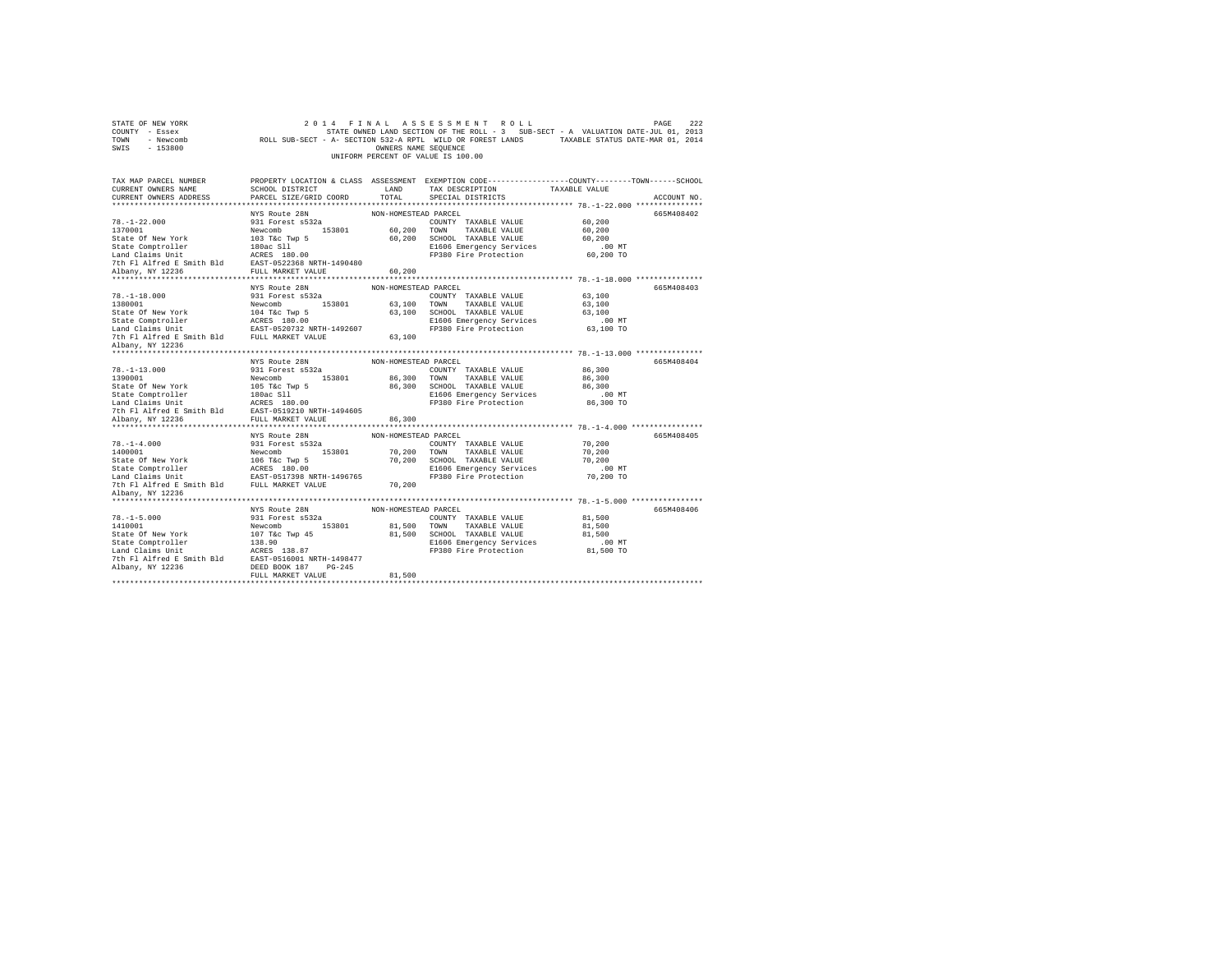| STATE OF NEW YORK<br>COUNTY - Essex<br>TOWN - Newcomb<br>SWIS - 153800                                                                         |                                                                                                                                                                                                 | OWNERS NAME SEQUENCE | 2014 FINAL ASSESSMENT ROLL<br>STATE OWNED LAND SECTION OF THE ROLL - 3 SUB-SECT - A VALUATION DATE-JUL 01, 2013<br>ROLL SUB-SECT - A- SECTION 532-A RPTL WILD OR FOREST LANDS TAXABLE STATUS DATE-MAR 01, 2014<br>UNIFORM PERCENT OF VALUE IS 100.00 |                     | PAGE<br>222 |
|------------------------------------------------------------------------------------------------------------------------------------------------|-------------------------------------------------------------------------------------------------------------------------------------------------------------------------------------------------|----------------------|------------------------------------------------------------------------------------------------------------------------------------------------------------------------------------------------------------------------------------------------------|---------------------|-------------|
| TAX MAP PARCEL NUMBER                                                                                                                          |                                                                                                                                                                                                 |                      | PROPERTY LOCATION & CLASS ASSESSMENT EXEMPTION CODE----------------COUNTY-------TOWN-----SCHOOL                                                                                                                                                      |                     |             |
| CURRENT OWNERS NAME                                                                                                                            |                                                                                                                                                                                                 |                      | SCHOOL DISTRICT $\hfill\textsc{LAND}$ TAX DESCRIPTION TAXABLE VALUE                                                                                                                                                                                  |                     |             |
| CURRENT OWNERS ADDRESS                                                                                                                         | PARCEL SIZE/GRID COORD                                                                                                                                                                          | TOTAL                | SPECIAL DISTRICTS                                                                                                                                                                                                                                    |                     | ACCOUNT NO. |
|                                                                                                                                                |                                                                                                                                                                                                 |                      |                                                                                                                                                                                                                                                      |                     |             |
|                                                                                                                                                | NYS Route 28N                                                                                                                                                                                   | NON-HOMESTEAD PARCEL |                                                                                                                                                                                                                                                      |                     | 665M408402  |
|                                                                                                                                                |                                                                                                                                                                                                 |                      | COUNTY TAXABLE VALUE 60,200                                                                                                                                                                                                                          |                     |             |
|                                                                                                                                                |                                                                                                                                                                                                 |                      |                                                                                                                                                                                                                                                      | 60,200              |             |
|                                                                                                                                                |                                                                                                                                                                                                 |                      | 60,200 SCHOOL TAXABLE VALUE<br>E1606 Emergency Services                                                                                                                                                                                              | 60,200              |             |
|                                                                                                                                                |                                                                                                                                                                                                 |                      | FP380 Fire Protection                                                                                                                                                                                                                                | 00 MT.<br>60,200 TO |             |
| 7th Fl Alfred E Smith Bld EAST-0522368 NRTH-1490480                                                                                            |                                                                                                                                                                                                 |                      |                                                                                                                                                                                                                                                      |                     |             |
| Albany, NY 12236                                                                                                                               | FULL MARKET VALUE 60,200                                                                                                                                                                        |                      |                                                                                                                                                                                                                                                      |                     |             |
|                                                                                                                                                |                                                                                                                                                                                                 |                      |                                                                                                                                                                                                                                                      |                     |             |
|                                                                                                                                                | NYS Route 28N NON-HOMESTEAD PARCEL                                                                                                                                                              |                      |                                                                                                                                                                                                                                                      |                     | 665M408403  |
|                                                                                                                                                |                                                                                                                                                                                                 |                      |                                                                                                                                                                                                                                                      | 63,100              |             |
| 78.-1-18.000<br>1380001<br>State Of New York                                                                                                   | 931 Forest 8532a<br>Newcomb 153801 63,100 TOWN TAXABLE VALUE<br>104 Tác Twp 5 63,100 SCHOOL TAXABLE VALUE<br>104 Tác Twp 5 63,100 SCHOOL TAXABLE VALUE<br>ACRES 180.00 81606 Emergency Services |                      |                                                                                                                                                                                                                                                      | 63,100              |             |
|                                                                                                                                                |                                                                                                                                                                                                 |                      |                                                                                                                                                                                                                                                      | 63,100              |             |
|                                                                                                                                                |                                                                                                                                                                                                 |                      |                                                                                                                                                                                                                                                      |                     |             |
|                                                                                                                                                |                                                                                                                                                                                                 |                      |                                                                                                                                                                                                                                                      |                     |             |
|                                                                                                                                                |                                                                                                                                                                                                 |                      |                                                                                                                                                                                                                                                      |                     |             |
| Albany, NY 12236                                                                                                                               |                                                                                                                                                                                                 |                      |                                                                                                                                                                                                                                                      |                     |             |
|                                                                                                                                                |                                                                                                                                                                                                 |                      |                                                                                                                                                                                                                                                      |                     |             |
|                                                                                                                                                |                                                                                                                                                                                                 |                      |                                                                                                                                                                                                                                                      |                     | 665M408404  |
|                                                                                                                                                |                                                                                                                                                                                                 |                      |                                                                                                                                                                                                                                                      | 86,300              |             |
|                                                                                                                                                |                                                                                                                                                                                                 |                      |                                                                                                                                                                                                                                                      | 86,300              |             |
|                                                                                                                                                |                                                                                                                                                                                                 |                      |                                                                                                                                                                                                                                                      | 86,300              |             |
|                                                                                                                                                |                                                                                                                                                                                                 |                      |                                                                                                                                                                                                                                                      | .00 MT              |             |
|                                                                                                                                                |                                                                                                                                                                                                 |                      |                                                                                                                                                                                                                                                      | 86,300 TO           |             |
| 7th Fl Alfred E Smith Bld EAST-0519210 NRTH-1494605                                                                                            |                                                                                                                                                                                                 |                      |                                                                                                                                                                                                                                                      |                     |             |
| Albany, NY 12236                                                                                                                               | FULL MARKET VALUE                                                                                                                                                                               | 86,300               |                                                                                                                                                                                                                                                      |                     |             |
|                                                                                                                                                |                                                                                                                                                                                                 |                      |                                                                                                                                                                                                                                                      |                     |             |
|                                                                                                                                                |                                                                                                                                                                                                 | NON-HOMESTEAD PARCEL |                                                                                                                                                                                                                                                      |                     | 665M408405  |
| $78. - 1 - 4.000$                                                                                                                              | NYS Route 28N<br>931 Forest s532a                                                                                                                                                               |                      | COUNTY TAXABLE VALUE                                                                                                                                                                                                                                 | 70,200              |             |
| 1400001                                                                                                                                        | Newcomb 153801                                                                                                                                                                                  |                      | 70,200 TOWN TAXABLE VALUE                                                                                                                                                                                                                            | 70,200              |             |
| State of New York 106 Tac Twp 5<br>State Comptroller and ACRES 180.00<br>Land Claims Unit EAST-0517398 NRTH-1496765                            |                                                                                                                                                                                                 |                      | 70,200 SCHOOL TAXABLE VALUE                                                                                                                                                                                                                          | 70,200              |             |
|                                                                                                                                                |                                                                                                                                                                                                 |                      | E1606 Emergency Services<br>FP380 Fire Protection                                                                                                                                                                                                    | .00 MT              |             |
|                                                                                                                                                |                                                                                                                                                                                                 |                      |                                                                                                                                                                                                                                                      | 70,200 TO           |             |
| 7th Fl Alfred E Smith Bld FULL MARKET VALUE                                                                                                    |                                                                                                                                                                                                 | 70,200               |                                                                                                                                                                                                                                                      |                     |             |
| Albany, NY 12236                                                                                                                               |                                                                                                                                                                                                 |                      |                                                                                                                                                                                                                                                      |                     |             |
|                                                                                                                                                |                                                                                                                                                                                                 |                      |                                                                                                                                                                                                                                                      |                     |             |
|                                                                                                                                                | NYS Route 28N                                                                                                                                                                                   | NON-HOMESTEAD PARCEL |                                                                                                                                                                                                                                                      |                     | 665M408406  |
|                                                                                                                                                | 931 Forest s532a                                                                                                                                                                                |                      | COUNTY TAXABLE VALUE                                                                                                                                                                                                                                 | 81,500              |             |
|                                                                                                                                                |                                                                                                                                                                                                 |                      |                                                                                                                                                                                                                                                      | 81,500              |             |
|                                                                                                                                                | Newcomb 153801 81,500 TOWN TAXABLE VALUE                                                                                                                                                        |                      |                                                                                                                                                                                                                                                      |                     |             |
|                                                                                                                                                |                                                                                                                                                                                                 |                      | 81,500 SCHOOL TAXABLE VALUE                                                                                                                                                                                                                          | 81,500              |             |
| $78. - 1 - 5.000$<br>1410001                                                                                                                   |                                                                                                                                                                                                 |                      |                                                                                                                                                                                                                                                      |                     |             |
|                                                                                                                                                |                                                                                                                                                                                                 |                      | E1606 Emergency Services .00 MT<br>FP380 Fire Protection  81,500 TO                                                                                                                                                                                  |                     |             |
| State Of New York 107 T&C Twp 45<br>State Comptroller 138.90<br>Land Claims Unit 138.90<br>The FI Alfred E Smith Bld EAST-0516001 NRTH-1498477 |                                                                                                                                                                                                 |                      |                                                                                                                                                                                                                                                      |                     |             |
| Albany, NY 12236                                                                                                                               | DEED BOOK 187 PG-245<br>FULL MARKET VALUE                                                                                                                                                       | 81,500               |                                                                                                                                                                                                                                                      |                     |             |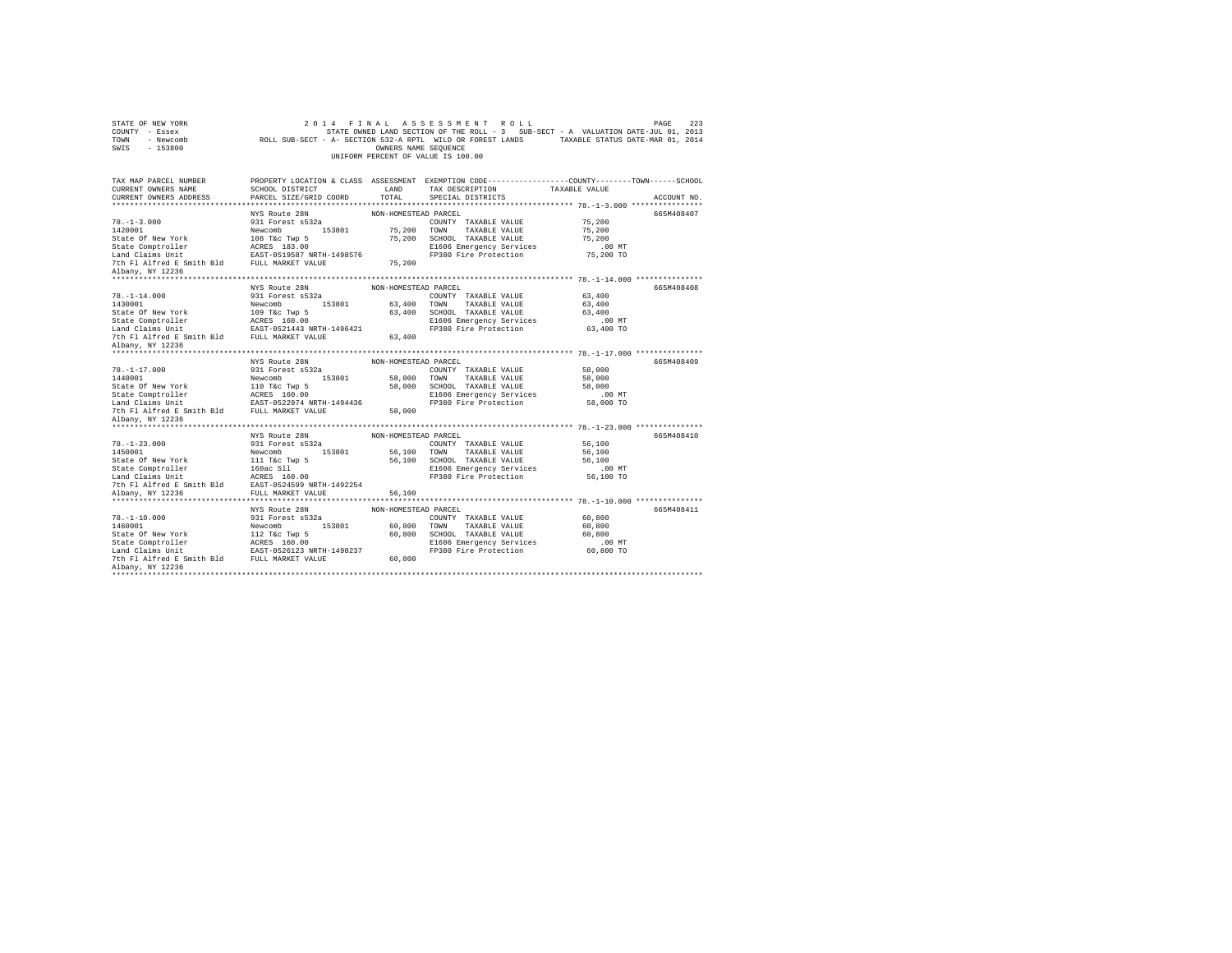| STATE OF NEW YORK<br>COUNTY - Essex<br>TOWN - Newcomb<br>SWIS - 153800                                                                                                                                                                                        |                                   | OWNERS NAME SEQUENCE | 2014 FINAL ASSESSMENT ROLL<br>STATE OWNED LAND SECTION OF THE ROLL - 3 SUB-SECT - A VALUATION DATE-JUL 01, 2013<br>ROLL SUB-SECT - A- SECTION 532-A RPTL WILD OR FOREST LANDS TAXABLE STATUS DATE-MAR 01, 2014<br>UNIFORM PERCENT OF VALUE IS 100.00 |                       | 223<br>PAGE |
|---------------------------------------------------------------------------------------------------------------------------------------------------------------------------------------------------------------------------------------------------------------|-----------------------------------|----------------------|------------------------------------------------------------------------------------------------------------------------------------------------------------------------------------------------------------------------------------------------------|-----------------------|-------------|
| TAX MAP PARCEL NUMBER<br>CURRENT OWNERS NAME                                                                                                                                                                                                                  | SCHOOL DISTRICT                   | LAND                 | PROPERTY LOCATION & CLASS ASSESSMENT EXEMPTION CODE---------------COUNTY-------TOWN-----SCHOOL<br>TAX DESCRIPTION                                                                                                                                    | TAXABLE VALUE         |             |
| CURRENT OWNERS ADDRESS                                                                                                                                                                                                                                        | PARCEL SIZE/GRID COORD            | TOTAL                | SPECIAL DISTRICTS                                                                                                                                                                                                                                    |                       | ACCOUNT NO. |
|                                                                                                                                                                                                                                                               |                                   |                      |                                                                                                                                                                                                                                                      |                       |             |
|                                                                                                                                                                                                                                                               | NYS Route 28N                     | NON-HOMESTEAD PARCEL |                                                                                                                                                                                                                                                      |                       | 665M408407  |
| $78. - 1 - 3.000$                                                                                                                                                                                                                                             | 931 Forest s532a                  |                      | COUNTY TAXABLE VALUE                                                                                                                                                                                                                                 | 75,200                |             |
| 1420001                                                                                                                                                                                                                                                       | Newcomb 153801                    | 75,200               | TOWN TAXABLE VALUE                                                                                                                                                                                                                                   | 75,200                |             |
|                                                                                                                                                                                                                                                               |                                   | 75,200               | SCHOOL TAXABLE VALUE                                                                                                                                                                                                                                 | 75,200                |             |
|                                                                                                                                                                                                                                                               |                                   |                      | E1606 Emergency Services                                                                                                                                                                                                                             | 00 MT.<br>75,200 TO   |             |
|                                                                                                                                                                                                                                                               |                                   |                      | FP380 Fire Protection                                                                                                                                                                                                                                |                       |             |
| Albany, NY 12236                                                                                                                                                                                                                                              |                                   | 75,200               |                                                                                                                                                                                                                                                      |                       |             |
|                                                                                                                                                                                                                                                               |                                   |                      |                                                                                                                                                                                                                                                      |                       |             |
| $78. - 1 - 14.000$                                                                                                                                                                                                                                            | NYS Route 28N<br>931 Forest s532a | NON-HOMESTEAD PARCEL |                                                                                                                                                                                                                                                      | 63,400                | 665M408408  |
| 1430001                                                                                                                                                                                                                                                       | Newcomb 153801                    |                      | COUNTY TAXABLE VALUE<br>63,400 TOWN TAXABLE VALUE                                                                                                                                                                                                    | 63,400                |             |
|                                                                                                                                                                                                                                                               |                                   |                      | 63,400 SCHOOL TAXABLE VALUE                                                                                                                                                                                                                          | 63,400                |             |
|                                                                                                                                                                                                                                                               |                                   |                      | E1606 Emergency Services                                                                                                                                                                                                                             | $.00$ MT              |             |
|                                                                                                                                                                                                                                                               |                                   |                      | FP380 Fire Protection                                                                                                                                                                                                                                | 63,400 TO             |             |
|                                                                                                                                                                                                                                                               |                                   | 63,400               |                                                                                                                                                                                                                                                      |                       |             |
| Albany, NY 12236                                                                                                                                                                                                                                              |                                   |                      |                                                                                                                                                                                                                                                      |                       |             |
|                                                                                                                                                                                                                                                               |                                   |                      |                                                                                                                                                                                                                                                      |                       |             |
|                                                                                                                                                                                                                                                               | NYS Route 28N                     | NON-HOMESTEAD PARCEL |                                                                                                                                                                                                                                                      |                       | 665M408409  |
| $78. - 1 - 17.000$                                                                                                                                                                                                                                            | 931 Forest s532a                  |                      | COUNTY TAXABLE VALUE                                                                                                                                                                                                                                 | 58,000                |             |
|                                                                                                                                                                                                                                                               |                                   |                      | 58,000 TOWN TAXABLE VALUE                                                                                                                                                                                                                            | 58,000                |             |
|                                                                                                                                                                                                                                                               |                                   |                      | 58,000 SCHOOL TAXABLE VALUE                                                                                                                                                                                                                          | 58,000<br>$.00$ MT    |             |
|                                                                                                                                                                                                                                                               |                                   |                      | E1606 Emergency Services<br>FP380 Fire Protection                                                                                                                                                                                                    | 58,000 TO             |             |
| 1440001<br>State Of New York<br>State Comptroller<br>153801<br>State Comptroller<br>16202374 NEW 2000<br>16202374 NEW 2000<br>2001<br>2010 PLI MARKET VALUE<br>2010 PLI MARKET VALUE                                                                          |                                   | 58,000               |                                                                                                                                                                                                                                                      |                       |             |
| Albany, NY 12236                                                                                                                                                                                                                                              |                                   |                      |                                                                                                                                                                                                                                                      |                       |             |
|                                                                                                                                                                                                                                                               |                                   |                      |                                                                                                                                                                                                                                                      |                       |             |
|                                                                                                                                                                                                                                                               | NYS Route 28N                     | NON-HOMESTEAD PARCEL |                                                                                                                                                                                                                                                      |                       | 665M408410  |
| $78. - 1 - 23.000$                                                                                                                                                                                                                                            | 931 Forest s532a                  |                      | COUNTY TAXABLE VALUE                                                                                                                                                                                                                                 | 56,100                |             |
| 1450001<br>1450001 Mewcomb<br>153801 Hart Mewcomb<br>53801 Hart Mewcomb<br>53801 Hart Mewcomb<br>5461 Hart Mac SI1<br>160ac SI1<br>160ac SI1<br>160ac SI1<br>160ac SI1<br>160ac SI1<br>160ac SI1<br>160ac SI1<br>160ac SI1<br>160ac SI1<br>160ac SI1<br>160ac |                                   |                      | 56,100 TOWN TAXABLE VALUE                                                                                                                                                                                                                            | 56,100                |             |
|                                                                                                                                                                                                                                                               |                                   |                      | 56.100 SCHOOL TAXABLE VALUE                                                                                                                                                                                                                          | 56,100                |             |
|                                                                                                                                                                                                                                                               |                                   |                      | E1606 Emergency Services<br>FP380 Fire Protection                                                                                                                                                                                                    | $.00$ MT<br>56,100 TO |             |
|                                                                                                                                                                                                                                                               |                                   |                      |                                                                                                                                                                                                                                                      |                       |             |
|                                                                                                                                                                                                                                                               |                                   | 56,100               |                                                                                                                                                                                                                                                      |                       |             |
|                                                                                                                                                                                                                                                               |                                   |                      |                                                                                                                                                                                                                                                      |                       |             |
|                                                                                                                                                                                                                                                               | NYS Route 28N                     | NON-HOMESTEAD PARCEL |                                                                                                                                                                                                                                                      |                       | 665M408411  |
| $78. - 1 - 10.000$                                                                                                                                                                                                                                            | 931 Forest s532a                  |                      | COUNTY TAXABLE VALUE                                                                                                                                                                                                                                 | 60,800                |             |
|                                                                                                                                                                                                                                                               | Newcomb 153801                    |                      | 60,800 TOWN TAXABLE VALUE                                                                                                                                                                                                                            | 60,800                |             |
|                                                                                                                                                                                                                                                               |                                   |                      | 60,800 SCHOOL TAXABLE VALUE                                                                                                                                                                                                                          | 60,800                |             |
|                                                                                                                                                                                                                                                               |                                   |                      | E1606 Emergency Services<br>FP380 Fire Protection                                                                                                                                                                                                    | $.00$ MT              |             |
|                                                                                                                                                                                                                                                               |                                   |                      |                                                                                                                                                                                                                                                      | 60,800 TO             |             |
| Albany, NY 12236                                                                                                                                                                                                                                              |                                   | 60,800               |                                                                                                                                                                                                                                                      |                       |             |
|                                                                                                                                                                                                                                                               |                                   |                      |                                                                                                                                                                                                                                                      |                       |             |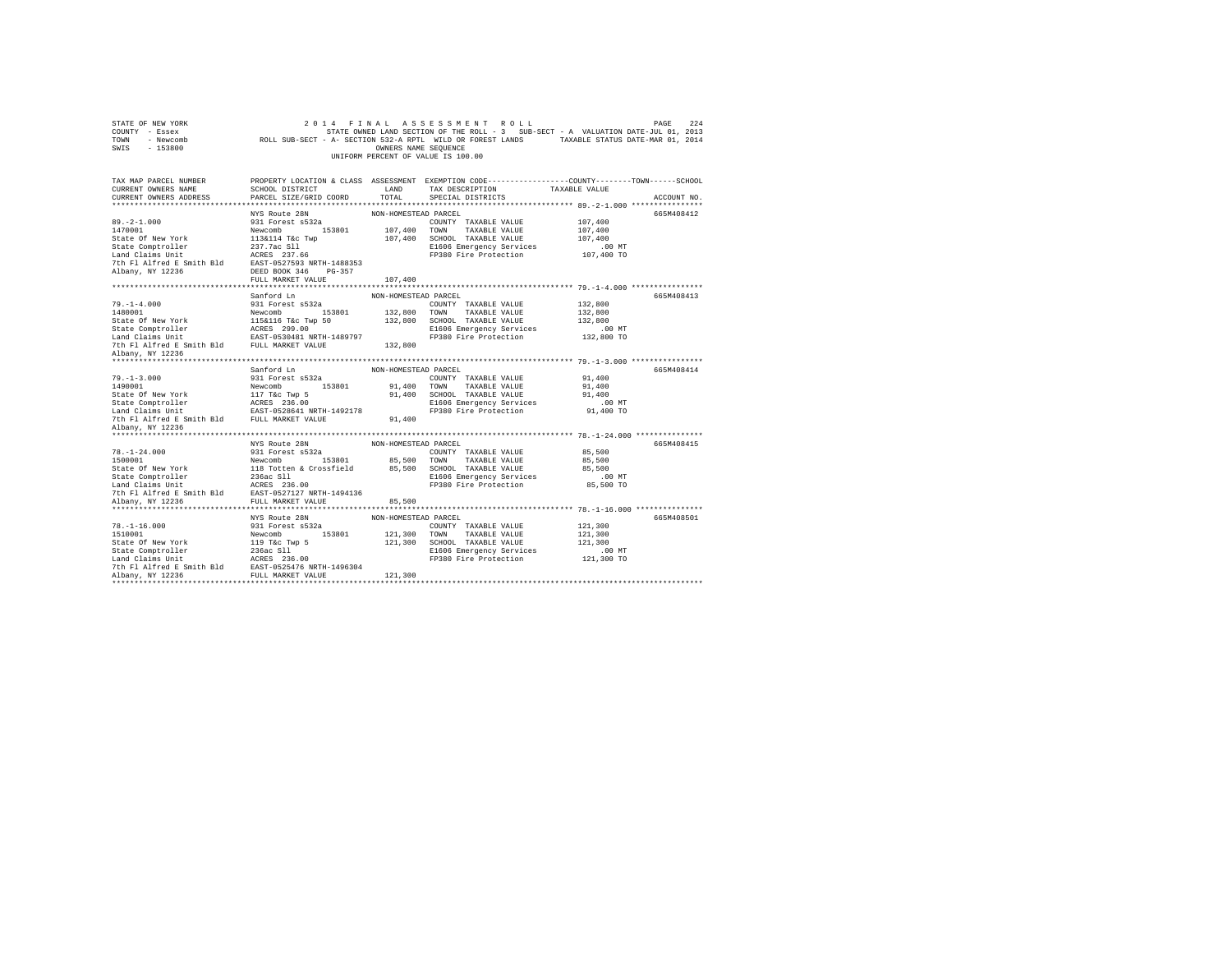| STATE OF NEW YORK<br>COUNTY - Essex<br>TOWN - Newcomb<br>SWIS - 153800 |                                    | OWNERS NAME SEQUENCE | 2014 FINAL ASSESSMENT ROLL<br>STATE OWNED LAND SECTION OF THE ROLL - 3 SUB-SECT - A VALUATION DATE-JUL 01, 2013<br>STATE OWNED LAND SECTION OF THE ROLL - 3 SUB-SECT - A VALUATION DATE-JUL 01, 2013<br>ROLL SUB-SECT - A- SECTION 532-A RPTL WILD OR FOREST LANDS TAXABLE STATUS DATE-MAR 01, 2014<br>UNIFORM PERCENT OF VALUE IS 100.00 |                        | 224<br>PAGE |
|------------------------------------------------------------------------|------------------------------------|----------------------|-------------------------------------------------------------------------------------------------------------------------------------------------------------------------------------------------------------------------------------------------------------------------------------------------------------------------------------------|------------------------|-------------|
| TAX MAP PARCEL NUMBER                                                  |                                    |                      | PROPERTY LOCATION & CLASS ASSESSMENT EXEMPTION CODE---------------COUNTY-------TOWN------SCHOOL                                                                                                                                                                                                                                           |                        |             |
| CURRENT OWNERS NAME                                                    | SCHOOL DISTRICT                    | LAND                 | TAX DESCRIPTION                                                                                                                                                                                                                                                                                                                           | TAXABLE VALUE          |             |
| CURRENT OWNERS ADDRESS                                                 | PARCEL SIZE/GRID COORD             | TOTAL                | SPECIAL DISTRICTS                                                                                                                                                                                                                                                                                                                         |                        | ACCOUNT NO. |
|                                                                        |                                    |                      |                                                                                                                                                                                                                                                                                                                                           |                        |             |
|                                                                        | NYS Route 28N                      | NON-HOMESTEAD PARCEL |                                                                                                                                                                                                                                                                                                                                           |                        | 665M408412  |
| $89. -2 - 1.000$                                                       | 931 Forest s532a                   |                      | COUNTY TAXABLE VALUE                                                                                                                                                                                                                                                                                                                      | 107,400                |             |
| 1470001                                                                | Newcomb 153801                     |                      | 107,400 TOWN TAXABLE VALUE                                                                                                                                                                                                                                                                                                                | 107,400                |             |
| State Of New York                                                      | 113&114 T&c Twp                    |                      | 107,400 SCHOOL TAXABLE VALUE                                                                                                                                                                                                                                                                                                              | 107,400                |             |
| State Comptroller<br>Land Claims Unit                                  | 237.7ac Sll<br>ACRES 237.66        |                      | E1606 Emergency Services<br>FP380 Fire Protection                                                                                                                                                                                                                                                                                         | $.00$ MT<br>107,400 TO |             |
| 7th Fl Alfred E Smith Bld EAST-0527593 NRTH-1488353                    |                                    |                      |                                                                                                                                                                                                                                                                                                                                           |                        |             |
| Albany, NY 12236                                                       | DEED BOOK 346 PG-357               |                      |                                                                                                                                                                                                                                                                                                                                           |                        |             |
|                                                                        | FULL MARKET VALUE                  | 107,400              |                                                                                                                                                                                                                                                                                                                                           |                        |             |
|                                                                        |                                    |                      |                                                                                                                                                                                                                                                                                                                                           |                        |             |
|                                                                        | Sanford Ln                         | NON-HOMESTEAD PARCEL |                                                                                                                                                                                                                                                                                                                                           |                        | 665M408413  |
| $79. - 1 - 4.000$                                                      | 931 Forest s532a                   |                      | COUNTY TAXABLE VALUE                                                                                                                                                                                                                                                                                                                      | 132,800                |             |
| 1480001                                                                | Newcomb 153801                     |                      | 132,800 TOWN TAXABLE VALUE                                                                                                                                                                                                                                                                                                                | 132,800                |             |
| State Of New York                                                      |                                    |                      | 132,800 SCHOOL TAXABLE VALUE                                                                                                                                                                                                                                                                                                              | 132,800                |             |
| State Comptroller                                                      | 115&116 T&c Twp 50<br>ACRES 299.00 |                      | E1606 Emergency Services                                                                                                                                                                                                                                                                                                                  | $.00$ MT               |             |
| Land Claims Unit                                                       | EAST-0530481 NRTH-1489797          |                      | FP380 Fire Protection                                                                                                                                                                                                                                                                                                                     | 132,800 TO             |             |
| 7th Fl Alfred E Smith Bld FULL MARKET VALUE                            |                                    | 132,800              |                                                                                                                                                                                                                                                                                                                                           |                        |             |
| Albany, NY 12236                                                       |                                    |                      |                                                                                                                                                                                                                                                                                                                                           |                        |             |
|                                                                        |                                    |                      |                                                                                                                                                                                                                                                                                                                                           |                        |             |
|                                                                        | Sanford Ln                         | NON-HOMESTEAD PARCEL |                                                                                                                                                                                                                                                                                                                                           |                        | 665M408414  |
| $79. - 1 - 3.000$                                                      | 931 Forest s532a                   |                      | COUNTY TAXABLE VALUE                                                                                                                                                                                                                                                                                                                      | 91,400                 |             |
| 1490001                                                                | Newcomb 153801                     |                      | 91,400 TOWN TAXABLE VALUE                                                                                                                                                                                                                                                                                                                 | 91,400                 |             |
| State Of New York                                                      | 117 T&c Twp 5<br>ACRES 236.00      |                      | 91,400 SCHOOL TAXABLE VALUE                                                                                                                                                                                                                                                                                                               | 91,400                 |             |
| State Comptroller                                                      |                                    |                      | E1606 Emergency Services                                                                                                                                                                                                                                                                                                                  | $.00$ MT               |             |
| Land Claims Unit                                                       | EAST-0528641 NRTH-1492178          |                      | FP380 Fire Protection                                                                                                                                                                                                                                                                                                                     | 91,400 TO              |             |
| 7th Fl Alfred E Smith Bld FULL MARKET VALUE                            |                                    | 91,400               |                                                                                                                                                                                                                                                                                                                                           |                        |             |
| Albany, NY 12236                                                       |                                    |                      |                                                                                                                                                                                                                                                                                                                                           |                        |             |
|                                                                        | NYS Route 28N                      | NON-HOMESTEAD PARCEL |                                                                                                                                                                                                                                                                                                                                           |                        | 665M408415  |
| $78. - 1 - 24.000$                                                     | 931 Forest s532a                   |                      | COUNTY TAXABLE VALUE                                                                                                                                                                                                                                                                                                                      | 85,500                 |             |
| 1500001                                                                | Newcomb 153801                     |                      | 85,500 TOWN TAXABLE VALUE                                                                                                                                                                                                                                                                                                                 | 85,500                 |             |
| State Of New York                                                      | 118 Totten & Crossfield            |                      | 85,500 SCHOOL TAXABLE VALUE                                                                                                                                                                                                                                                                                                               | 85,500                 |             |
|                                                                        |                                    |                      | E1606 Emergency Services                                                                                                                                                                                                                                                                                                                  | $.00$ MT               |             |
| State Comptroller<br>Land Claims Unit                                  | 236ac S11<br>ACRES 236.00          |                      | FP380 Fire Protection                                                                                                                                                                                                                                                                                                                     | 85,500 TO              |             |
| 7th Fl Alfred E Smith Bld EAST-0527127 NRTH-1494136                    |                                    |                      |                                                                                                                                                                                                                                                                                                                                           |                        |             |
| Albany, NY 12236                                                       | FULL MARKET VALUE                  | 85,500               |                                                                                                                                                                                                                                                                                                                                           |                        |             |
|                                                                        |                                    |                      |                                                                                                                                                                                                                                                                                                                                           |                        |             |
|                                                                        | NYS Route 28N                      | NON-HOMESTEAD PARCEL |                                                                                                                                                                                                                                                                                                                                           |                        | 665M408501  |
| $78. - 1 - 16.000$                                                     | 931 Forest s532a                   |                      | COUNTY TAXABLE VALUE                                                                                                                                                                                                                                                                                                                      | 121,300                |             |
| 1510001                                                                | Newcomb 153801                     |                      | 121,300 TOWN TAXABLE VALUE                                                                                                                                                                                                                                                                                                                | 121,300                |             |
| State Of New York                                                      | 119 T&c Twp 5                      |                      | 121,300 SCHOOL TAXABLE VALUE                                                                                                                                                                                                                                                                                                              | 121,300                |             |
|                                                                        |                                    |                      | E1606 Emergency Services                                                                                                                                                                                                                                                                                                                  | $.00$ MT               |             |
|                                                                        |                                    |                      | FP380 Fire Protection                                                                                                                                                                                                                                                                                                                     | 121,300 TO             |             |
| 7th Fl Alfred E Smith Bld EAST-0525476 NRTH-1496304                    |                                    |                      |                                                                                                                                                                                                                                                                                                                                           |                        |             |
| Albany, NY 12236                                                       | FULL MARKET VALUE                  | 121,300              |                                                                                                                                                                                                                                                                                                                                           |                        |             |
|                                                                        |                                    |                      |                                                                                                                                                                                                                                                                                                                                           |                        |             |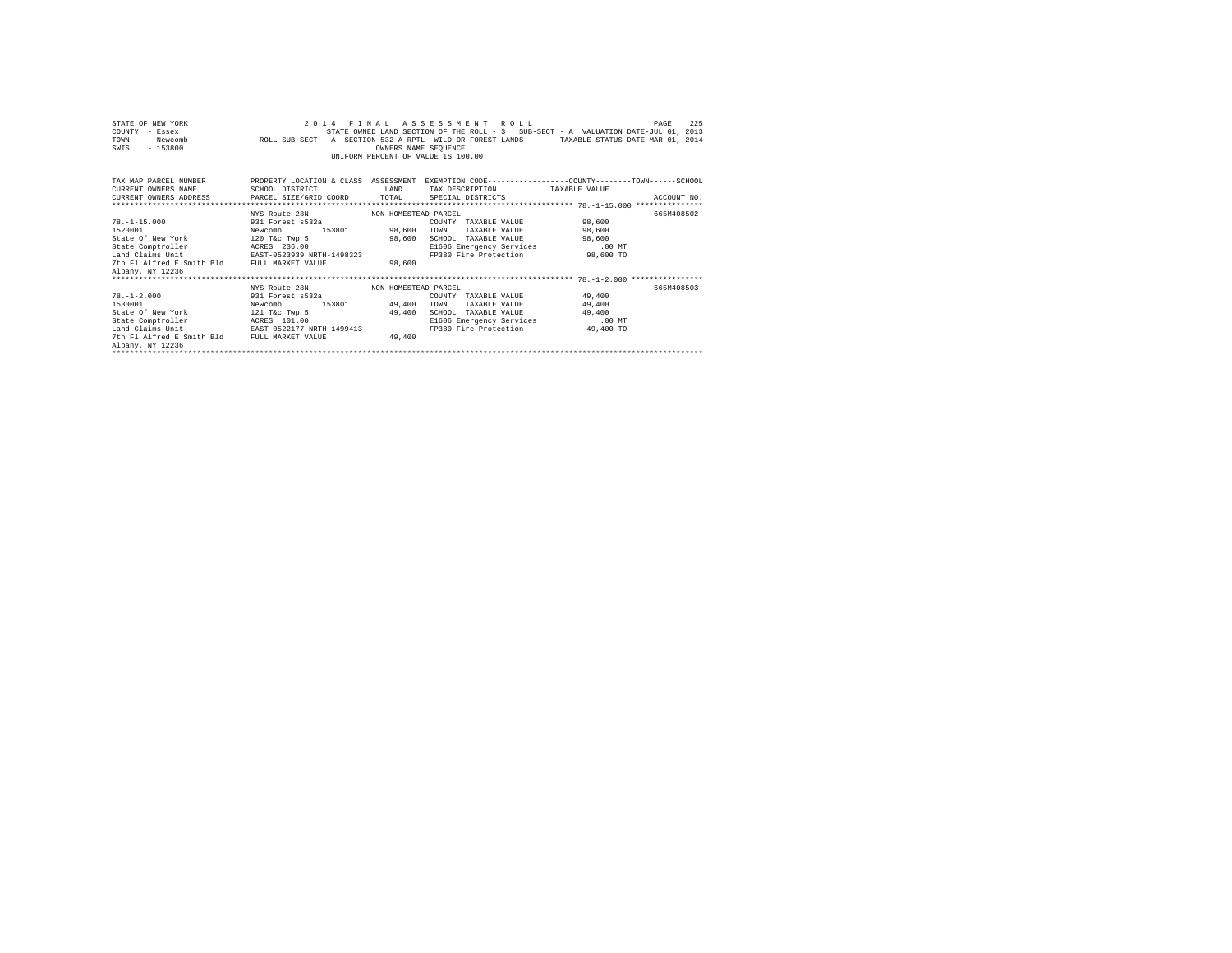| STATE OF NEW YORK                                                                                                        |                                                                                             |                                    | 2014 FINAL ASSESSMENT ROLL    |                                                                                   | 225<br>PAGE |  |  |  |  |
|--------------------------------------------------------------------------------------------------------------------------|---------------------------------------------------------------------------------------------|------------------------------------|-------------------------------|-----------------------------------------------------------------------------------|-------------|--|--|--|--|
| COUNTY - Essex                                                                                                           |                                                                                             |                                    |                               | STATE OWNED LAND SECTION OF THE ROLL - 3 SUB-SECT - A VALUATION DATE-JUL 01, 2013 |             |  |  |  |  |
| TOWN<br>- Newcomb                                                                                                        | ROLL SUB-SECT - A- SECTION 532-A RPTL WILD OR FOREST LANDS TAXABLE STATUS DATE-MAR 01, 2014 |                                    |                               |                                                                                   |             |  |  |  |  |
| $-153800$<br>SWIS                                                                                                        |                                                                                             | OWNERS NAME SEOUENCE               |                               |                                                                                   |             |  |  |  |  |
|                                                                                                                          |                                                                                             | UNIFORM PERCENT OF VALUE IS 100.00 |                               |                                                                                   |             |  |  |  |  |
|                                                                                                                          |                                                                                             |                                    |                               |                                                                                   |             |  |  |  |  |
|                                                                                                                          |                                                                                             |                                    |                               |                                                                                   |             |  |  |  |  |
| TAX MAP PARCEL NUMBER THE PROPERTY LOCATION & CLASS ASSESSMENT EXEMPTION CODE--------------COUNTY-------TOWN------SCHOOL |                                                                                             |                                    |                               |                                                                                   |             |  |  |  |  |
| CURRENT OWNERS NAME                                                                                                      | SCHOOL DISTRICT                                                                             | LAND                               | TAX DESCRIPTION TAXABLE VALUE |                                                                                   |             |  |  |  |  |
| CURRENT OWNERS ADDRESS PARCEL SIZE/GRID COORD TOTAL                                                                      |                                                                                             |                                    | SPECIAL DISTRICTS             |                                                                                   | ACCOUNT NO. |  |  |  |  |
|                                                                                                                          |                                                                                             |                                    |                               |                                                                                   |             |  |  |  |  |
|                                                                                                                          | NYS Route 28N MON-HOMESTEAD PARCEL                                                          |                                    |                               |                                                                                   | 665M408502  |  |  |  |  |
| $78. -1 - 15.000$                                                                                                        | 931 Forest s532a                                                                            |                                    | COUNTY TAXABLE VALUE 98,600   |                                                                                   |             |  |  |  |  |
| 1520001                                                                                                                  | Newcomb                                                                                     | 153801 98,600                      | TOWN                          | TAXABLE VALUE 98,600                                                              |             |  |  |  |  |
| State Of New York 120 T&c Twp 5                                                                                          |                                                                                             | 98,600                             | SCHOOL TAXABLE VALUE 98,600   |                                                                                   |             |  |  |  |  |
| State Comptroller ACRES 236.00                                                                                           | ACRES 236.00<br>EAST-0523939 NRTH-1498323                                                   |                                    | E1606 Emergency Services      | $.00$ MT                                                                          |             |  |  |  |  |
| Land Claims Unit                                                                                                         |                                                                                             |                                    |                               | FP380 Fire Protection 98,600 TO                                                   |             |  |  |  |  |
| 7th Fl Alfred E Smith Bld FULL MARKET VALUE                                                                              |                                                                                             | 98,600                             |                               |                                                                                   |             |  |  |  |  |
| Albany, NY 12236                                                                                                         |                                                                                             |                                    |                               |                                                                                   |             |  |  |  |  |
|                                                                                                                          |                                                                                             |                                    |                               |                                                                                   |             |  |  |  |  |
|                                                                                                                          | NYS Route 28N MON-HOMESTEAD PARCEL                                                          |                                    |                               |                                                                                   | 665M408503  |  |  |  |  |
| $78. -1 - 2.000$                                                                                                         | 931 Forest s532a                                                                            |                                    | COUNTY TAXABLE VALUE 49,400   |                                                                                   |             |  |  |  |  |
| 1530001                                                                                                                  | 153801 49,400<br>Newcomb                                                                    |                                    | TOWN                          | TAXABLE VALUE 49,400                                                              |             |  |  |  |  |
| State Of New York                                                                                                        | 121 T&C Twp 5                                                                               | 49.400                             | SCHOOL TAXABLE VALUE          | 49,400                                                                            |             |  |  |  |  |
| State Comptroller                                                                                                        | ACRES 101.00                                                                                |                                    | E1606 Emergency Services      | .00MT                                                                             |             |  |  |  |  |
| Land Claims Unit                                                                                                         | EAST-0522177 NRTH-1499413                                                                   |                                    |                               | FP380 Fire Protection 49,400 TO                                                   |             |  |  |  |  |
| 7th Fl Alfred E Smith Bld FULL MARKET VALUE                                                                              |                                                                                             | 49,400                             |                               |                                                                                   |             |  |  |  |  |
| Albany, NY 12236                                                                                                         |                                                                                             |                                    |                               |                                                                                   |             |  |  |  |  |
|                                                                                                                          |                                                                                             |                                    |                               |                                                                                   |             |  |  |  |  |
|                                                                                                                          |                                                                                             |                                    |                               |                                                                                   |             |  |  |  |  |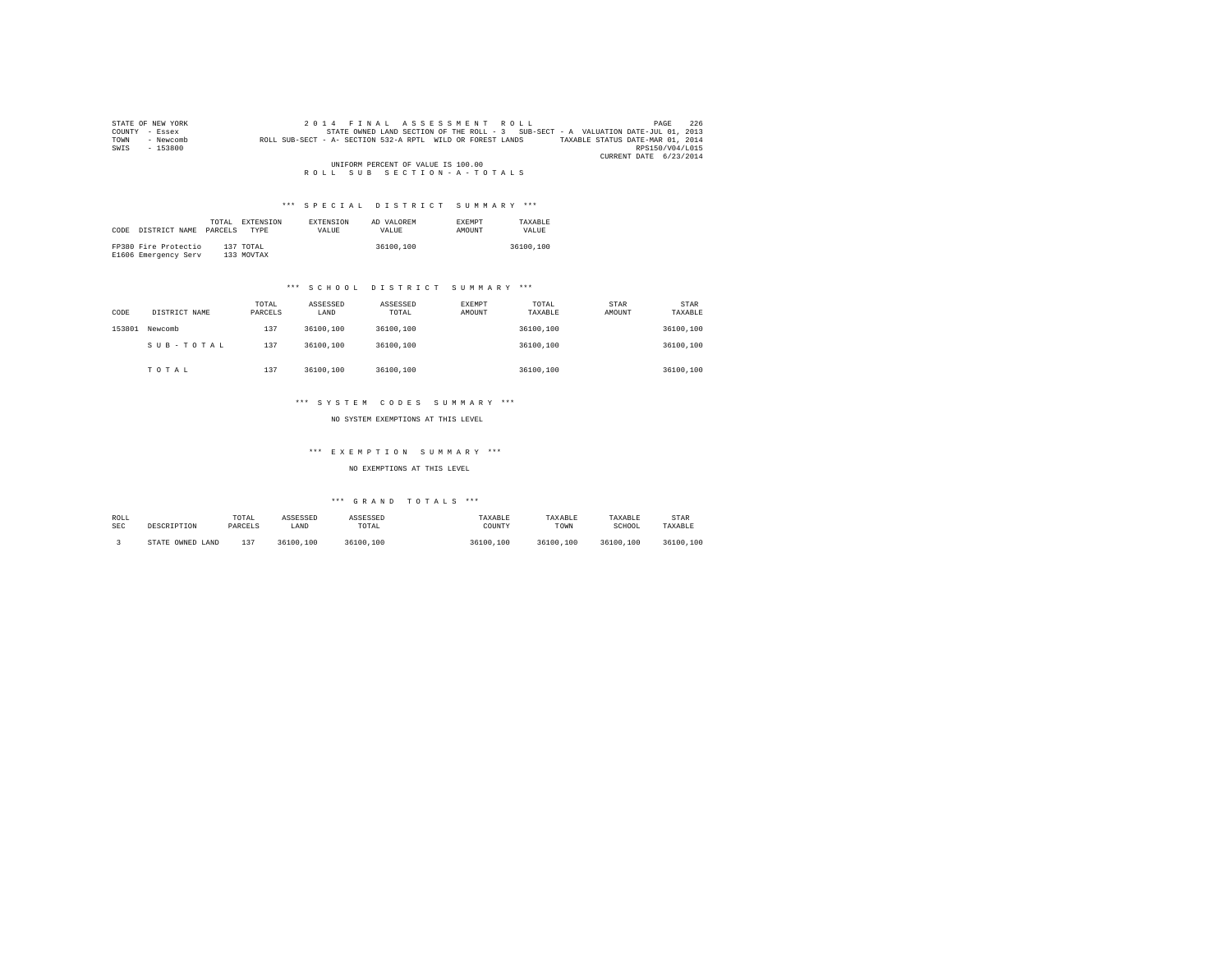|      | STATE OF NEW YORK | 2014 FINAL ASSESSMENT ROLL                                                                     | 226<br>PAGE            |
|------|-------------------|------------------------------------------------------------------------------------------------|------------------------|
|      | COUNTY - Essex    | STATE OWNED LAND SECTION OF THE ROLL - 3 SUB-SECT - A VALUATION DATE-JUL 01, 2013              |                        |
| TOWN | - Newcomb         | ROLL SUB-SECT - A- SECTION 532-A RPTL WILD OR FOREST LANDS<br>TAXABLE STATUS DATE-MAR 01, 2014 |                        |
| SWIS | - 153800          |                                                                                                | RPS150/V04/L015        |
|      |                   |                                                                                                | CURRENT DATE 6/23/2014 |
|      |                   | UNIFORM PERCENT OF VALUE IS 100.00                                                             |                        |
|      |                   | ROLL SUB SECTION-A-TOTALS                                                                      |                        |

| CODE | DISTRICT NAME                                | TOTAL.<br>PARCELS | EXTENSION<br><b>TYPE</b> | <b>EXTENSION</b><br>VALUE | AD VALOREM<br>VALUE | <b>EXEMPT</b><br><b>AMOUNT</b> | TAXARLE<br>VALUE |
|------|----------------------------------------------|-------------------|--------------------------|---------------------------|---------------------|--------------------------------|------------------|
|      | FP380 Fire Protectio<br>E1606 Emergency Serv |                   | 137 TOTAL<br>133 MOVTAX  |                           | 36100,100           |                                | 36100,100        |

# \*\*\* S C H O O L D I S T R I C T S U M M A R Y \*\*\*

| CODE   | DISTRICT NAME | TOTAL<br>PARCELS | ASSESSED<br>LAND | ASSESSED<br>TOTAL | EXEMPT<br>AMOUNT | TOTAL<br>TAXABLE | STAR<br>AMOUNT | <b>STAR</b><br>TAXABLE |
|--------|---------------|------------------|------------------|-------------------|------------------|------------------|----------------|------------------------|
| 153801 | Newcomb       | 137              | 36100,100        | 36100,100         |                  | 36100.100        |                | 36100,100              |
|        | SUB-TOTAL     | 137              | 36100,100        | 36100,100         |                  | 36100.100        |                | 36100,100              |
|        | TOTAL         | 137              | 36100,100        | 36100,100         |                  | 36100.100        |                | 36100,100              |

# \*\*\* S Y S T E M C O D E S S U M M A R Y \*\*\*

NO SYSTEM EXEMPTIONS AT THIS LEVEL

# \*\*\* E X E M P T I O N S U M M A R Y \*\*\*

NO EXEMPTIONS AT THIS LEVEL

| ROLL<br><b>SEC</b> | DESCRIPTION         | TOTAL<br>PARCELS | ASSESSED<br>LAND | ASSESSED<br>TOTAL | TAXABLE<br>COUNTY | TAXABLE<br>TOWN | TAXABLE<br>SCHOOL | STAR<br>TAXABLE |
|--------------------|---------------------|------------------|------------------|-------------------|-------------------|-----------------|-------------------|-----------------|
|                    | OWNED LAND<br>STATE | 27               | 36100.100        | 36100.100         | 36100,100         | 36100.100       | 36100.100         | 36100.100       |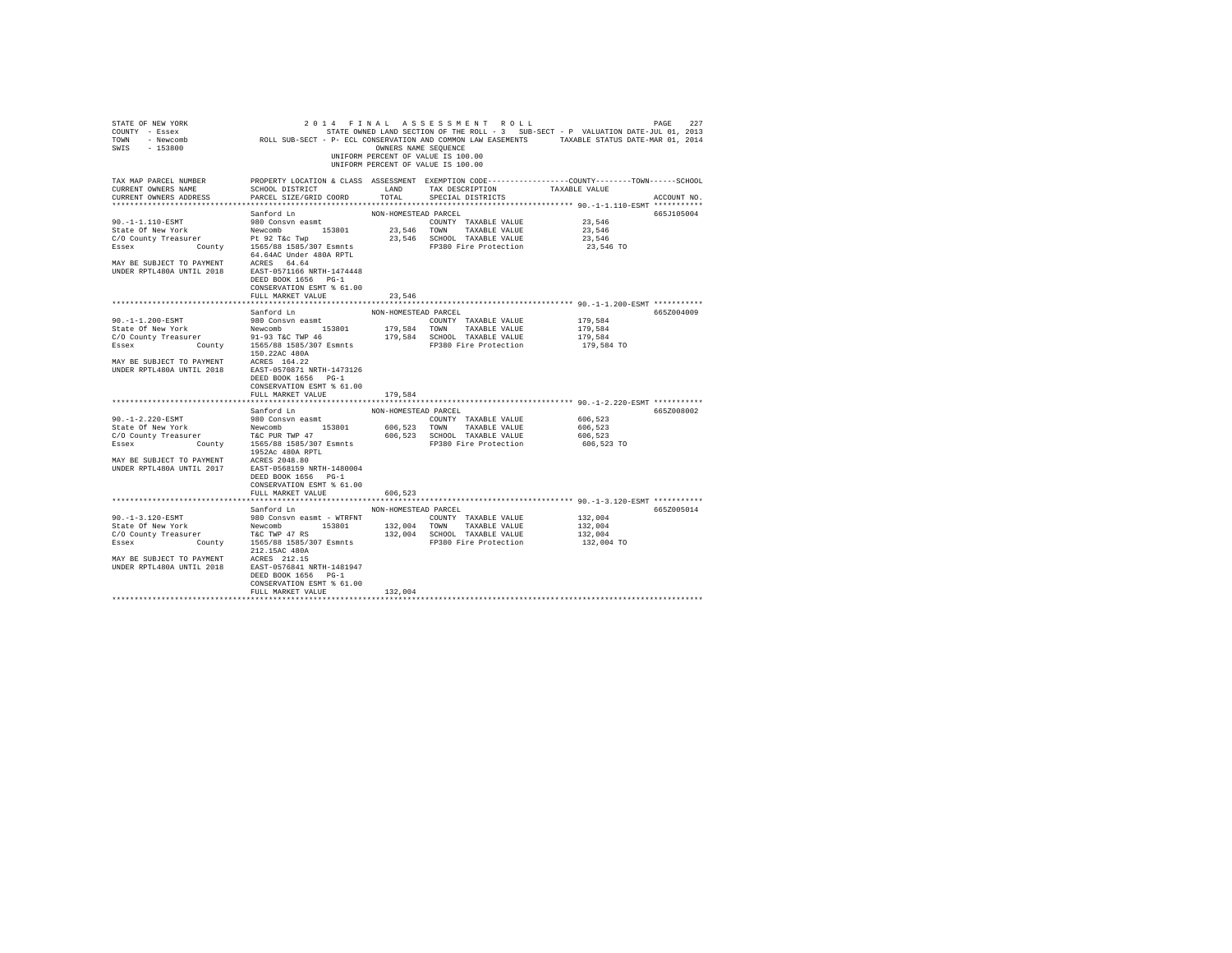| STATE OF NEW YORK<br>COUNTY - Essex<br>SWIS - 153800                                                                                       |                                                                                                                                               | OWNERS NAME SEQUENCE | 2014 FINAL ASSESSMENT ROLL<br>UNIFORM PERCENT OF VALUE IS 100.00<br>UNIFORM PERCENT OF VALUE IS 100.00 | STATE OWNED LAND SECTION OF THE ROLL - 3 SUB-SECT - P VALUATION DATE-JUL 01, 2013 | 227<br>PAGE |
|--------------------------------------------------------------------------------------------------------------------------------------------|-----------------------------------------------------------------------------------------------------------------------------------------------|----------------------|--------------------------------------------------------------------------------------------------------|-----------------------------------------------------------------------------------|-------------|
| TAX MAP PARCEL NUMBER<br>CURRENT OWNERS NAME<br>CURRENT OWNERS ADDRESS                                                                     | PROPERTY LOCATION & CLASS ASSESSMENT EXEMPTION CODE----------------COUNTY-------TOWN------SCHOOL<br>SCHOOL DISTRICT<br>PARCEL SIZE/GRID COORD | LAND<br>TOTAL        | TAX DESCRIPTION<br>SPECIAL DISTRICTS                                                                   | TAXABLE VALUE                                                                     | ACCOUNT NO. |
|                                                                                                                                            |                                                                                                                                               |                      |                                                                                                        |                                                                                   |             |
|                                                                                                                                            | Sanford Ln                                                                                                                                    | NON-HOMESTEAD PARCEL |                                                                                                        |                                                                                   | 665J105004  |
| 90. -1-1.110-ESMT                                                                                                                          | 980 Consvn easmt                                                                                                                              |                      | COUNTY TAXABLE VALUE                                                                                   | 23,546                                                                            |             |
| State Of New York                                                                                                                          | 153801<br>Newcomb<br>Pt 92 T&c Twp                                                                                                            | 23.546 TOWN          | TAXABLE VALUE<br>23,546 SCHOOL TAXABLE VALUE                                                           | 23,546<br>23,546                                                                  |             |
| C/O County Treasurer<br>Essex                                                                                                              | County 1565/88 1585/307 Esmnts                                                                                                                |                      | FP380 Fire Protection                                                                                  | 23,546 TO                                                                         |             |
|                                                                                                                                            | 64.64AC Under 480A RPTL                                                                                                                       |                      |                                                                                                        |                                                                                   |             |
| MAY BE SUBJECT TO PAYMENT ACRES 64.64<br>UNDER RPTL480A UNTIL 2018                                                                         | EAST-0571166 NRTH-1474448<br>DEED BOOK 1656 PG-1<br>CONSERVATION ESMT % 61.00                                                                 |                      |                                                                                                        |                                                                                   |             |
|                                                                                                                                            | FULL MARKET VALUE                                                                                                                             | 23,546               |                                                                                                        |                                                                                   |             |
|                                                                                                                                            | Sanford Ln                                                                                                                                    | NON-HOMESTEAD PARCEL |                                                                                                        |                                                                                   | 665Z004009  |
| 90.-1-1.200-ESMT                                                                                                                           | 980 Consvn easmt                                                                                                                              |                      | COUNTY TAXABLE VALUE                                                                                   | 179,584                                                                           |             |
| State Of New York                                                                                                                          | Newcomb 153801                                                                                                                                | 179,584 TOWN         | TAXABLE VALUE                                                                                          | 179,584                                                                           |             |
| C/O County Treasurer                                                                                                                       | 91-93 T&C TWP 46                                                                                                                              |                      | 179,584 SCHOOL TAXABLE VALUE                                                                           | 179,584                                                                           |             |
| Essex County 1565/88 1585/307 Esmnts                                                                                                       |                                                                                                                                               |                      | FP380 Fire Protection                                                                                  | 179,584 TO                                                                        |             |
|                                                                                                                                            | 150.22AC 480A                                                                                                                                 |                      |                                                                                                        |                                                                                   |             |
| MAY BE SUBJECT TO PAYMENT<br>UNDER RPTL480A UNTIL 2018                                                                                     | ACRES 164.22<br>EAST-0570871 NRTH-1473126<br>DEED BOOK 1656 PG-1<br>CONSERVATION ESMT % 61.00<br>FULL MARKET VALUE                            | 179,584              |                                                                                                        |                                                                                   |             |
|                                                                                                                                            |                                                                                                                                               |                      |                                                                                                        |                                                                                   |             |
|                                                                                                                                            | Sanford Ln                                                                                                                                    | NON-HOMESTEAD PARCEL |                                                                                                        |                                                                                   | 665Z008002  |
| 90.-1-2.220-ESMT                                                                                                                           | 980 Consvn easmt                                                                                                                              |                      | COUNTY TAXABLE VALUE                                                                                   | 606,523                                                                           |             |
|                                                                                                                                            |                                                                                                                                               |                      | 606,523 TOWN TAXABLE VALUE                                                                             | 606,523                                                                           |             |
|                                                                                                                                            |                                                                                                                                               |                      | 606,523 SCHOOL TAXABLE VALUE                                                                           | 606,523                                                                           |             |
| State of New York<br>State of New York<br>C/O County Treasurer<br>T&C PUR TWP 47<br>State of New York<br>County<br>1565/88 1585/307 Esmnts | 1952Ac 480A RPTL                                                                                                                              |                      | FP380 Fire Protection                                                                                  | 606,523 TO                                                                        |             |
| MAY BE SUBJECT TO PAYMENT<br>UNDER RPTL480A UNTIL 2017                                                                                     | ACRES 2048.80<br>EAST-0568159 NRTH-1480004<br>DEED BOOK 1656 PG-1<br>CONSERVATION ESMT % 61.00<br>FULL MARKET VALUE                           | 606,523              |                                                                                                        |                                                                                   |             |
|                                                                                                                                            |                                                                                                                                               |                      |                                                                                                        |                                                                                   |             |
|                                                                                                                                            | Sanford Ln                                                                                                                                    | NON-HOMESTEAD PARCEL |                                                                                                        |                                                                                   | 665Z005014  |
| 90. -1-3.120-ESMT                                                                                                                          | 980 Consyn easmt - WTRFNT                                                                                                                     |                      | COUNTY TAXABLE VALUE                                                                                   | 132,004                                                                           |             |
| State Of New York                                                                                                                          | Newcomb 153801                                                                                                                                | 132,004 TOWN         | TAXABLE VALUE                                                                                          | 132,004                                                                           |             |
| C/O County Treasurer T&C TWP 47 RS                                                                                                         |                                                                                                                                               |                      | 132,004 SCHOOL TAXABLE VALUE                                                                           | 132,004                                                                           |             |
| Essex<br>County                                                                                                                            | 1565/88 1585/307 Esmnts<br>212.15AC 480A                                                                                                      |                      | FP380 Fire Protection                                                                                  | 132,004 TO                                                                        |             |
| MAY BE SUBJECT TO PAYMENT<br>UNDER RPTL480A UNTIL 2018                                                                                     | ACRES 212.15<br>EAST-0576841 NRTH-1481947<br>DEED BOOK 1656 PG-1<br>CONSERVATION ESMT % 61.00<br>FULL MARKET VALUE                            | 132,004              |                                                                                                        |                                                                                   |             |
|                                                                                                                                            |                                                                                                                                               |                      |                                                                                                        |                                                                                   |             |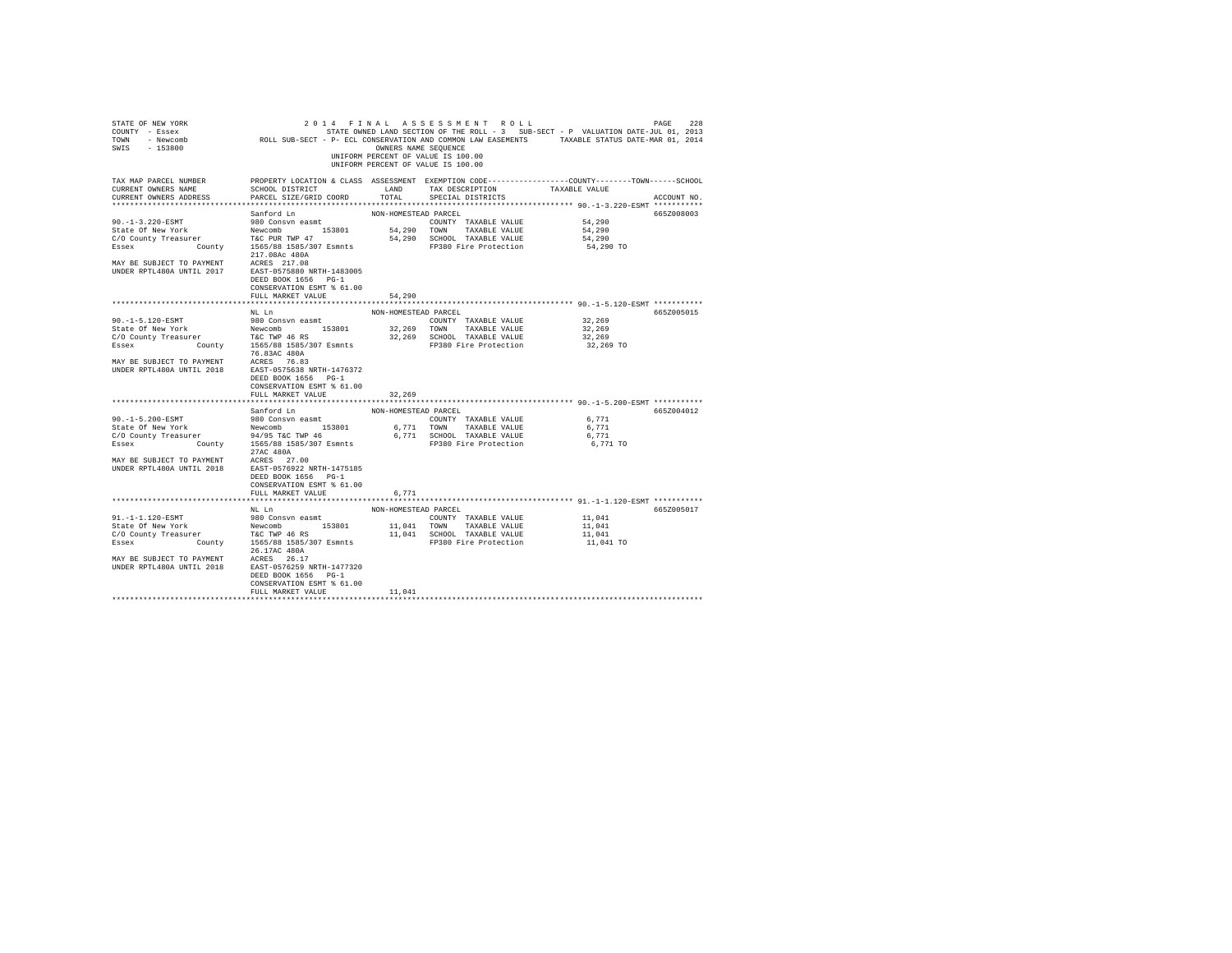| STATE OF NEW YORK<br>COUNTY - Essex<br>TOWN<br>- Newcomb<br>$-153800$<br>SWIS                                                                                                                                            | ROLL SUB-SECT - P- ECL CONSERVATION AND COMMON LAW EASEMENTS TAXABLE STATUS DATE-MAR 01, 2014                                                 | OWNERS NAME SEOUENCE | 2014 FINAL ASSESSMENT ROLL<br>STATE OWNED LAND SECTION OF THE ROLL - 3 SUB-SECT - P VALUATION DATE-JUL 01, 2013<br>UNIFORM PERCENT OF VALUE IS 100.00<br>UNIFORM PERCENT OF VALUE IS 100.00 |                  | 228<br>PAGE |
|--------------------------------------------------------------------------------------------------------------------------------------------------------------------------------------------------------------------------|-----------------------------------------------------------------------------------------------------------------------------------------------|----------------------|---------------------------------------------------------------------------------------------------------------------------------------------------------------------------------------------|------------------|-------------|
| TAX MAP PARCEL NUMBER<br>CURRENT OWNERS NAME<br>CURRENT OWNERS ADDRESS                                                                                                                                                   | PROPERTY LOCATION & CLASS ASSESSMENT EXEMPTION CODE----------------COUNTY-------TOWN------SCHOOL<br>SCHOOL DISTRICT<br>PARCEL SIZE/GRID COORD | LAND<br>TOTAL        | TAX DESCRIPTION<br>SPECIAL DISTRICTS                                                                                                                                                        | TAXABLE VALUE    | ACCOUNT NO. |
|                                                                                                                                                                                                                          |                                                                                                                                               |                      |                                                                                                                                                                                             |                  |             |
|                                                                                                                                                                                                                          | Sanford Ln                                                                                                                                    | NON-HOMESTEAD PARCEL |                                                                                                                                                                                             |                  | 665Z008003  |
| $90. -1 - 3.220 - ESMT$                                                                                                                                                                                                  | 980 Consvn easmt                                                                                                                              |                      | COUNTY TAXABLE VALUE                                                                                                                                                                        | 54,290           |             |
| State Of New York                                                                                                                                                                                                        | Newcomb 153801<br>T&C PUR TWP 47                                                                                                              | 54,290 TOWN          | TAXABLE VALUE                                                                                                                                                                               | 54,290<br>54,290 |             |
| C/O County Treasurer<br>County<br>Essex                                                                                                                                                                                  | 1565/88 1585/307 Esmnts                                                                                                                       |                      | 54,290 SCHOOL TAXABLE VALUE<br>FP380 Fire Protection                                                                                                                                        | 54,290 TO        |             |
|                                                                                                                                                                                                                          | 217.08Ac 480A                                                                                                                                 |                      |                                                                                                                                                                                             |                  |             |
| MAY BE SUBJECT TO PAYMENT ACRES 217.08<br>UNDER RPTL480A UNTIL 2017                                                                                                                                                      | EAST-0575880 NRTH-1483005<br>DEED BOOK 1656 PG-1<br>CONSERVATION ESMT % 61.00                                                                 |                      |                                                                                                                                                                                             |                  |             |
|                                                                                                                                                                                                                          | FULL MARKET VALUE                                                                                                                             | 54,290               |                                                                                                                                                                                             |                  |             |
|                                                                                                                                                                                                                          |                                                                                                                                               |                      |                                                                                                                                                                                             |                  |             |
|                                                                                                                                                                                                                          | NL Ln                                                                                                                                         | NON-HOMESTEAD PARCEL |                                                                                                                                                                                             |                  | 665Z005015  |
| 90. -1-5.120-ESMT                                                                                                                                                                                                        | 980 Consvn easmt                                                                                                                              |                      | COUNTY TAXABLE VALUE                                                                                                                                                                        | 32,269           |             |
| State Of New York                                                                                                                                                                                                        | Newcomb 153801                                                                                                                                |                      | 32,269 TOWN TAXABLE VALUE<br>32,269 SCHOOL TAXABLE VALUE                                                                                                                                    | 32,269<br>32,269 |             |
| $\begin{tabular}{lllllllll} C/O & County & Treasury & & \texttt{Teasure} & & \texttt{TAC} & \texttt{WP} & 46 & \texttt{RS} \\ \texttt{Essex} & & \texttt{County} & & 1565/88 & 1585/307 & \texttt{Esmnts} \end{tabular}$ |                                                                                                                                               |                      | FP380 Fire Protection                                                                                                                                                                       | 32,269 TO        |             |
|                                                                                                                                                                                                                          | 76.83AC 480A                                                                                                                                  |                      |                                                                                                                                                                                             |                  |             |
| MAY BE SUBJECT TO PAYMENT ACRES 76.83<br>UNDER RPTL480A UNTIL 2018                                                                                                                                                       | EAST-0575638 NRTH-1476372<br>DEED BOOK 1656 PG-1<br>CONSERVATION ESMT % 61.00<br>FULL MARKET VALUE                                            | 32,269               |                                                                                                                                                                                             |                  |             |
|                                                                                                                                                                                                                          |                                                                                                                                               |                      |                                                                                                                                                                                             |                  |             |
|                                                                                                                                                                                                                          | Sanford Ln                                                                                                                                    | NON-HOMESTEAD PARCEL |                                                                                                                                                                                             |                  | 665Z004012  |
| 90. -1-5.200-ESMT                                                                                                                                                                                                        | 980 Consvn easmt                                                                                                                              |                      | COUNTY TAXABLE VALUE                                                                                                                                                                        | 6,771            |             |
|                                                                                                                                                                                                                          |                                                                                                                                               |                      | 6,771 TOWN TAXABLE VALUE                                                                                                                                                                    | 6.771            |             |
| State Of New York Mewcomb 153801<br>C/O County Treasurer 94/95 T&C TWP 46                                                                                                                                                |                                                                                                                                               |                      | 6,771 SCHOOL TAXABLE VALUE                                                                                                                                                                  | 6,771            |             |
| Essex                                                                                                                                                                                                                    | County 1565/88 1585/307 Esmnts<br>27AC 480A                                                                                                   |                      | FP380 Fire Protection                                                                                                                                                                       | 6,771 TO         |             |
| MAY BE SUBJECT TO PAYMENT<br>UNDER RPTL480A UNTIL 2018                                                                                                                                                                   | ACRES 27.00<br>EAST-0576922 NRTH-1475185<br>DEED BOOK 1656 PG-1<br>CONSERVATION ESMT % 61.00<br>FULL MARKET VALUE                             | 6,771                |                                                                                                                                                                                             |                  |             |
|                                                                                                                                                                                                                          |                                                                                                                                               |                      |                                                                                                                                                                                             |                  |             |
|                                                                                                                                                                                                                          | NL Ln                                                                                                                                         | NON-HOMESTEAD PARCEL |                                                                                                                                                                                             |                  | 665Z005017  |
| $91. -1 - 1.120 - ESMT$                                                                                                                                                                                                  | 980 Consvn easmt                                                                                                                              |                      | COUNTY TAXABLE VALUE                                                                                                                                                                        | 11,041           |             |
| State Of New York                                                                                                                                                                                                        | Newcomb 153801                                                                                                                                | 11,041 TOWN          | TAXABLE VALUE                                                                                                                                                                               | 11,041           |             |
| $\begin{tabular}{lllllllll} C/O & County & Treasury & & \texttt{Teasure} & & \texttt{TAC} & \texttt{TWP} & 46 & \texttt{RS} \\ \texttt{Essex} & & County & 1565/88 & 1585/307 & \texttt{Esmnts} \end{tabular}$           |                                                                                                                                               |                      | 11,041 SCHOOL TAXABLE VALUE                                                                                                                                                                 | 11,041           |             |
|                                                                                                                                                                                                                          |                                                                                                                                               |                      | FP380 Fire Protection                                                                                                                                                                       | 11,041 TO        |             |
| MAY BE SUBJECT TO PAYMENT<br>UNDER RPTL480A UNTIL 2018                                                                                                                                                                   | 26.17AC 480A<br>ACRES 26.17<br>EAST-0576259 NRTH-1477320<br>DEED BOOK 1656 PG-1<br>CONSERVATION ESMT % 61.00                                  |                      |                                                                                                                                                                                             |                  |             |
|                                                                                                                                                                                                                          | FULL MARKET VALUE                                                                                                                             | 11,041               |                                                                                                                                                                                             |                  |             |
|                                                                                                                                                                                                                          |                                                                                                                                               |                      |                                                                                                                                                                                             |                  |             |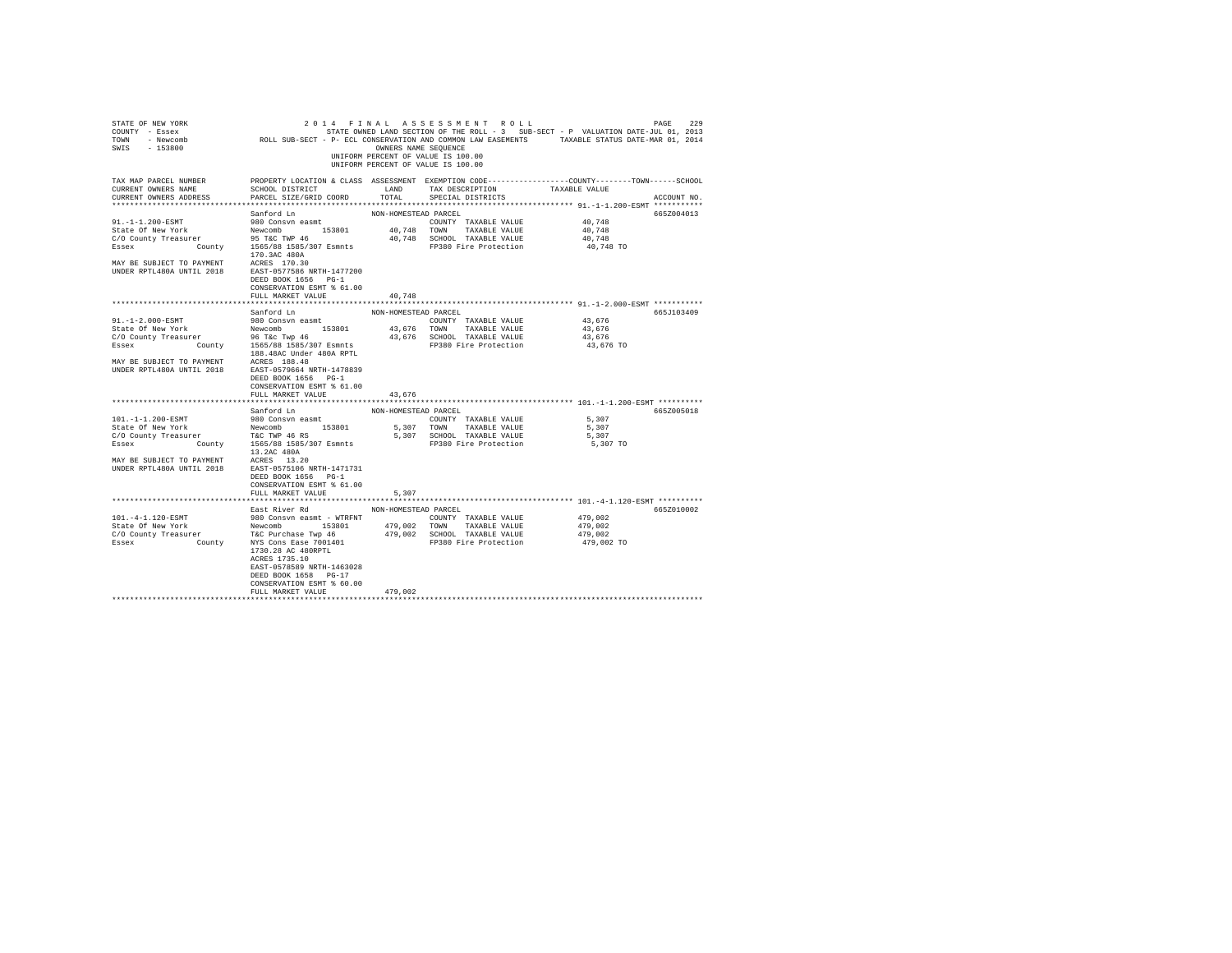| STATE OF NEW YORK<br>COUNTY - Essex<br>TOWN<br>- Newcomb<br>$-153800$<br>SWIS                           | ROLL SUB-SECT - P- ECL CONSERVATION AND COMMON LAW EASEMENTS TAXABLE STATUS DATE-MAR 01, 2014                                                                                                 | OWNERS NAME SEOUENCE                | 2014 FINAL ASSESSMENT ROLL<br>UNIFORM PERCENT OF VALUE IS 100.00<br>UNIFORM PERCENT OF VALUE IS 100.00 | STATE OWNED LAND SECTION OF THE ROLL - 3 SUB-SECT - P VALUATION DATE-JUL 01, 2013 | 229<br>PAGE |
|---------------------------------------------------------------------------------------------------------|-----------------------------------------------------------------------------------------------------------------------------------------------------------------------------------------------|-------------------------------------|--------------------------------------------------------------------------------------------------------|-----------------------------------------------------------------------------------|-------------|
| TAX MAP PARCEL NUMBER<br>CURRENT OWNERS NAME<br>CURRENT OWNERS ADDRESS                                  | PROPERTY LOCATION & CLASS ASSESSMENT EXEMPTION CODE----------------COUNTY-------TOWN------SCHOOL<br>SCHOOL DISTRICT<br>PARCEL SIZE/GRID COORD                                                 | LAND<br>TOTAL                       | TAX DESCRIPTION<br>SPECIAL DISTRICTS                                                                   | TAXABLE VALUE                                                                     | ACCOUNT NO. |
|                                                                                                         |                                                                                                                                                                                               |                                     |                                                                                                        |                                                                                   |             |
| $91. -1 - 1.200 - ESMT$<br>State Of New York<br>C/O County Treasurer<br>Essex<br>County                 | Sanford Ln<br>980 Consvn easmt<br>153801<br>Newcomb<br>95 T&C TWP 46<br>1565/88 1585/307 Esmnts<br>170.3AC 480A                                                                               | NON-HOMESTEAD PARCEL<br>40,748 TOWN | COUNTY TAXABLE VALUE<br>TAXABLE VALUE<br>40,748 SCHOOL TAXABLE VALUE<br>FP380 Fire Protection          | 40.748<br>40.748<br>40.748<br>40,748 TO                                           | 665Z004013  |
| MAY BE SUBJECT TO PAYMENT<br>UNDER RPTL480A UNTIL 2018                                                  | ACRES 170.30<br>EAST-0577586 NRTH-1477200<br>DEED BOOK 1656 PG-1<br>CONSERVATION ESMT % 61.00<br>FULL MARKET VALUE                                                                            | 40.748                              |                                                                                                        |                                                                                   |             |
|                                                                                                         |                                                                                                                                                                                               |                                     |                                                                                                        |                                                                                   |             |
|                                                                                                         | Sanford Ln                                                                                                                                                                                    | NON-HOMESTEAD PARCEL                |                                                                                                        |                                                                                   | 665J103409  |
| 91.-1-2.000-ESMT<br>State Of New York<br>C/O County Treasurer<br>Essex County 1565/88 1585/307 Esmnts   | 980 Consvn easmt<br>Newcomb 153801<br>96 T&c Twp 46                                                                                                                                           | 43,676 TOWN                         | COUNTY TAXABLE VALUE<br>TAXABLE VALUE<br>43,676 SCHOOL TAXABLE VALUE<br>FP380 Fire Protection          | 43,676<br>43,676<br>43,676<br>43,676 TO                                           |             |
| MAY BE SUBJECT TO PAYMENT<br>UNDER RPTL480A UNTIL 2018                                                  | 188.48AC Under 480A RPTL<br>ACRES 188.48<br>EAST-0579664 NRTH-1478839<br>DEED BOOK 1656 PG-1<br>CONSERVATION ESMT % 61.00<br>FULL MARKET VALUE                                                | 43.676                              |                                                                                                        |                                                                                   |             |
|                                                                                                         |                                                                                                                                                                                               |                                     |                                                                                                        |                                                                                   |             |
|                                                                                                         | Sanford Ln                                                                                                                                                                                    | NON-HOMESTEAD PARCEL                |                                                                                                        |                                                                                   | 665Z005018  |
| 101.-1-1.200-ESMT                                                                                       | 980 Consyn easmt                                                                                                                                                                              |                                     | COUNTY TAXABLE VALUE                                                                                   | 5,307                                                                             |             |
| State Of New York                                                                                       | Newcomb 153801                                                                                                                                                                                | 5,307 TOWN                          | TAXABLE VALUE                                                                                          | 5.307                                                                             |             |
| C/O County Treasurer<br>Essex                                                                           | T&C TWP 46 RS<br>County 1565/88 1585/307 Esmnts<br>13.2AC 480A<br>ACRES 13.20                                                                                                                 |                                     | 5,307 SCHOOL TAXABLE VALUE<br>FP380 Fire Protection                                                    | 5,307<br>5,307 TO                                                                 |             |
| MAY BE SUBJECT TO PAYMENT<br>UNDER RPTL480A UNTIL 2018                                                  | EAST-0575106 NRTH-1471731<br>DEED BOOK 1656 PG-1<br>CONSERVATION ESMT % 61.00<br>FULL MARKET VALUE                                                                                            | 5.307                               |                                                                                                        |                                                                                   |             |
|                                                                                                         |                                                                                                                                                                                               |                                     |                                                                                                        |                                                                                   |             |
|                                                                                                         | East River Rd                                                                                                                                                                                 | NON-HOMESTEAD PARCEL                |                                                                                                        |                                                                                   | 665Z010002  |
| 101. - 4-1.120-ESMT<br>State Of New York<br>C/O County Treasurer T&C Purchase Twp 46<br>Essex<br>County | 980 Consyn easmt - WTRFNT<br>Newcomb 153801<br>NYS Cons Ease 7001401<br>1730.28 AC 480RPTL<br>ACRES 1735.10<br>EAST-0578589 NRTH-1463028<br>DEED BOOK 1658 PG-17<br>CONSERVATION ESMT % 60.00 | 479,002 TOWN                        | COUNTY TAXABLE VALUE<br>TAXABLE VALUE<br>479,002 SCHOOL TAXABLE VALUE<br>FP380 Fire Protection         | 479,002<br>479,002<br>479,002<br>479,002 TO                                       |             |
|                                                                                                         | FULL MARKET VALUE                                                                                                                                                                             | 479,002                             |                                                                                                        |                                                                                   |             |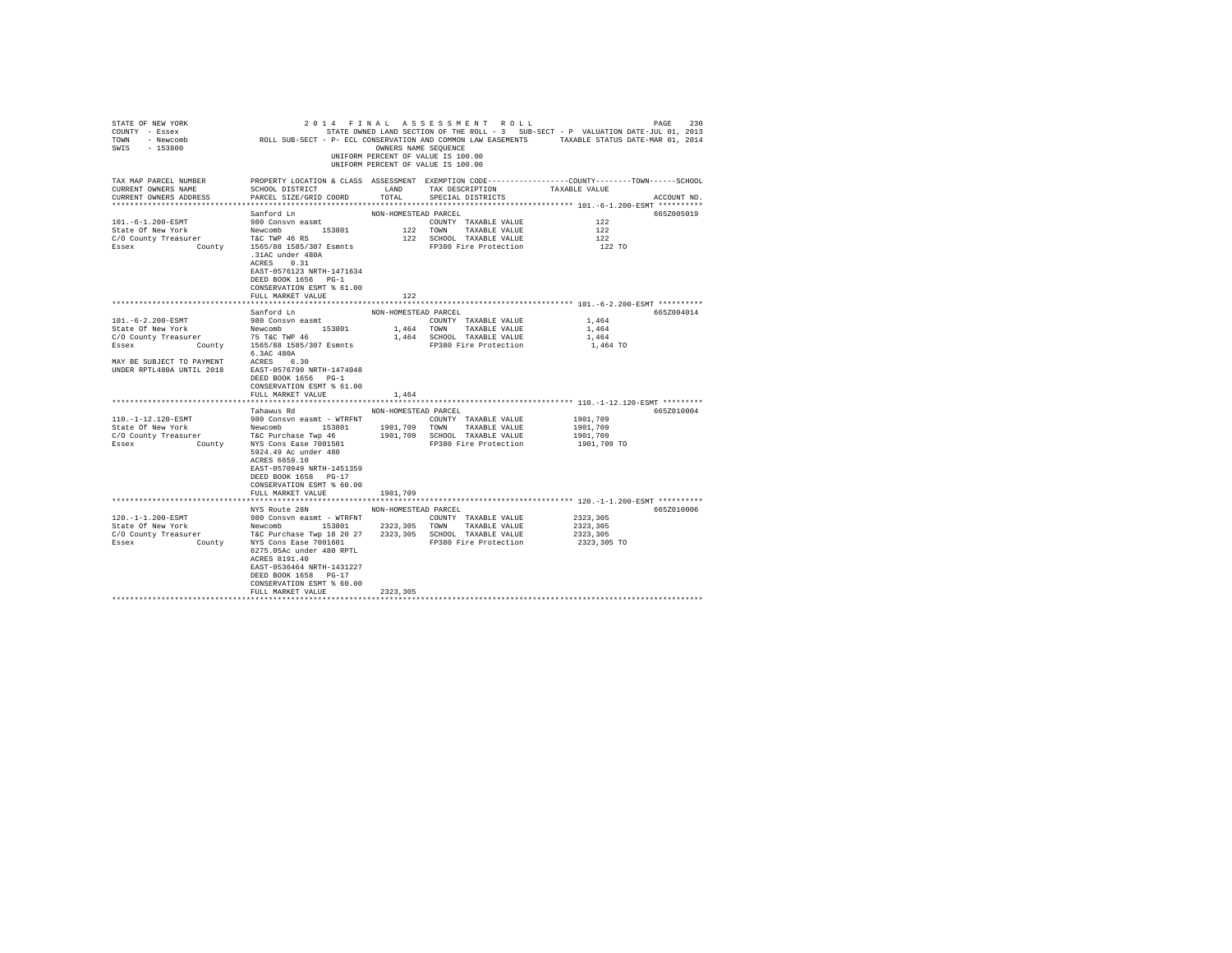| STATE OF NEW YORK<br>COUNTY - Essex<br>TOWN<br>- Newcomb<br>$-153800$<br>SWIS | ROLL SUB-SECT - P- ECL CONSERVATION AND COMMON LAW EASEMENTS                                                                                                              | OWNERS NAME SEQUENCE | 2014 FINAL ASSESSMENT ROLL<br>STATE OWNED LAND SECTION OF THE ROLL - 3 SUB-SECT - P VALUATION DATE-JUL 01, 2013<br>UNIFORM PERCENT OF VALUE IS 100.00<br>UNIFORM PERCENT OF VALUE IS 100.00 | TAXABLE STATUS DATE-MAR 01, 2014 | 230<br>PAGE |
|-------------------------------------------------------------------------------|---------------------------------------------------------------------------------------------------------------------------------------------------------------------------|----------------------|---------------------------------------------------------------------------------------------------------------------------------------------------------------------------------------------|----------------------------------|-------------|
| TAX MAP PARCEL NUMBER<br>CURRENT OWNERS NAME<br>CURRENT OWNERS ADDRESS        | PROPERTY LOCATION & CLASS ASSESSMENT EXEMPTION CODE----------------COUNTY-------TOWN-----SCHOOL<br>SCHOOL DISTRICT<br>PARCEL SIZE/GRID COORD                              | LAND<br>TOTAL        | TAX DESCRIPTION<br>SPECIAL DISTRICTS                                                                                                                                                        | TAXABLE VALUE                    | ACCOUNT NO. |
| ***********************                                                       |                                                                                                                                                                           |                      |                                                                                                                                                                                             |                                  |             |
|                                                                               | Sanford Ln                                                                                                                                                                | NON-HOMESTEAD PARCEL |                                                                                                                                                                                             |                                  | 6652005019  |
| 101.-6-1.200-ESMT                                                             | 980 Consvn easmt                                                                                                                                                          |                      | COUNTY TAXABLE VALUE                                                                                                                                                                        | 122                              |             |
| State Of New York                                                             | 153801<br>Newcomb                                                                                                                                                         | 122 TOWN             | TAXABLE VALUE                                                                                                                                                                               | 122                              |             |
| C/O County Treasurer                                                          | T&C TWP 46 RS                                                                                                                                                             |                      | 122 SCHOOL TAXABLE VALUE                                                                                                                                                                    | 122                              |             |
| County<br>Essex                                                               | 1565/88 1585/307 Esmnts<br>.31AC under 480A<br>ACRES 0.31<br>EAST-0576123 NRTH-1471634<br>DEED BOOK 1656 PG-1<br>CONSERVATION ESMT % 61.00                                |                      | FP380 Fire Protection                                                                                                                                                                       | 122 TO                           |             |
|                                                                               | FULL MARKET VALUE                                                                                                                                                         | 122                  |                                                                                                                                                                                             |                                  |             |
|                                                                               |                                                                                                                                                                           |                      |                                                                                                                                                                                             |                                  |             |
|                                                                               | Sanford Ln                                                                                                                                                                | NON-HOMESTEAD PARCEL |                                                                                                                                                                                             |                                  | 6652004014  |
| $101. - 6 - 2.200 - ESMT$                                                     | 980 Consyn easmt                                                                                                                                                          |                      | COUNTY TAXABLE VALUE                                                                                                                                                                        | 1,464                            |             |
| State Of New York                                                             | Newcomb<br>153801                                                                                                                                                         | 1,464 TOWN           | TAXABLE VALUE                                                                                                                                                                               | 1,464                            |             |
| C/O County Treasurer                                                          | 75 T&C TWP 46<br>1565/88 1585/307 Esmnts                                                                                                                                  |                      | 1,464 SCHOOL TAXABLE VALUE<br>FP380 Fire Protection                                                                                                                                         | 1,464<br>1,464 TO                |             |
| Essex<br>County                                                               | 6.3AC 480A                                                                                                                                                                |                      |                                                                                                                                                                                             |                                  |             |
| MAY BE SUBJECT TO PAYMENT<br>UNDER RPTL480A UNTIL 2018                        | ACRES 6.30<br>EAST-0576790 NRTH-1474048<br>DEED BOOK 1656 PG-1<br>CONSERVATION ESMT % 61.00<br>FULL MARKET VALUE                                                          | 1,464                |                                                                                                                                                                                             |                                  |             |
|                                                                               |                                                                                                                                                                           |                      |                                                                                                                                                                                             |                                  |             |
|                                                                               | Tahawus Rd                                                                                                                                                                | NON-HOMESTEAD PARCEL |                                                                                                                                                                                             |                                  | 665Z010004  |
| 110. -1-12.120-ESMT                                                           | 980 Consyn easmt - WTRFNT                                                                                                                                                 |                      | COUNTY TAXABLE VALUE                                                                                                                                                                        | 1901,709                         |             |
| State Of New York                                                             | 153801<br>Newcomb                                                                                                                                                         | 1901,709             | TOWN<br>TAXABLE VALUE                                                                                                                                                                       | 1901,709                         |             |
| C/O County Treasurer                                                          | T&C Purchase Twp 46                                                                                                                                                       |                      | 1901,709 SCHOOL TAXABLE VALUE                                                                                                                                                               | 1901,709                         |             |
| Essex<br>County                                                               | NYS Cons Ease 7001501<br>5924.49 Ac under 480<br>ACRES 6659.10<br>EAST-0570949 NRTH-1451359<br>DEED BOOK 1658 PG-17<br>CONSERVATION ESMT % 60.00<br>FULL MARKET VALUE     | 1901,709             | FP380 Fire Protection                                                                                                                                                                       | 1901,709 TO                      |             |
|                                                                               |                                                                                                                                                                           |                      |                                                                                                                                                                                             |                                  |             |
|                                                                               | NYS Route 28N                                                                                                                                                             | NON-HOMESTEAD PARCEL |                                                                                                                                                                                             |                                  | 665Z010006  |
| 120. -1-1.200-ESMT                                                            | 980 Consyn easmt - WTRFNT                                                                                                                                                 |                      | COUNTY TAXABLE VALUE                                                                                                                                                                        | 2323,305                         |             |
| State Of New York                                                             | Newcomb<br>153801                                                                                                                                                         | 2323,305             | TOWN<br>TAXABLE VALUE                                                                                                                                                                       | 2323.305                         |             |
| C/O County Treasurer                                                          | T&C Purchase Twp 18 20 27                                                                                                                                                 | 2323,305             | SCHOOL TAXABLE VALUE                                                                                                                                                                        | 2323,305                         |             |
| Essex<br>County                                                               | NYS Cons Ease 7001601<br>6275.05Ac under 480 RPTL<br>ACRES 8191.40<br>EAST-0536464 NRTH-1431227<br>DEED BOOK 1658 PG-17<br>CONSERVATION ESMT % 60.00<br>FULL MARKET VALUE | 2323,305             | FP380 Fire Protection                                                                                                                                                                       | 2323,305 TO                      |             |
|                                                                               |                                                                                                                                                                           |                      |                                                                                                                                                                                             |                                  |             |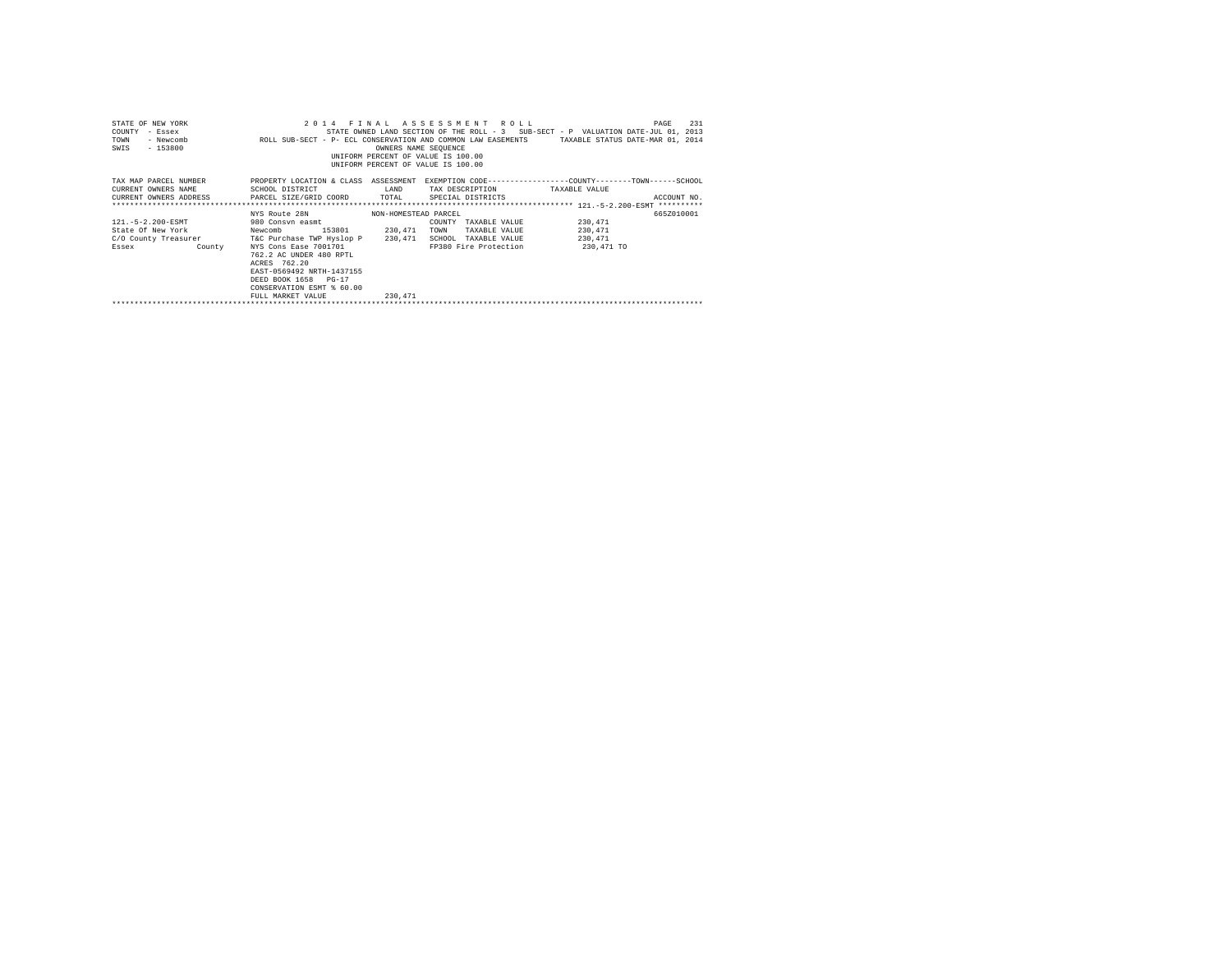| STATE OF NEW YORK<br>COUNTY<br>TOWN<br>$-153800$<br>SWIS                                                                  |                                                                                                                                                                                                                                        | OWNERS NAME SEQUENCE            | 2014 FINAL ASSESSMENT ROLL<br>UNIFORM PERCENT OF VALUE IS 100.00<br>UNIFORM PERCENT OF VALUE IS 100.00    | 231<br>PAGE<br>Exate owned LAND SECTION OF THE ROLL - 3 SUB-SECT - P VALUATION DATE-JUL 01, 2013 - Newcomb<br>NotL SUB-SECT - P- ECL CONSERVATION AND COMMON LAW EASEMENTS - TAXABLE STATUS DATE-MAR 01, 2014 |
|---------------------------------------------------------------------------------------------------------------------------|----------------------------------------------------------------------------------------------------------------------------------------------------------------------------------------------------------------------------------------|---------------------------------|-----------------------------------------------------------------------------------------------------------|---------------------------------------------------------------------------------------------------------------------------------------------------------------------------------------------------------------|
| TAX MAP PARCEL NUMBER<br>CURRENT OWNERS NAME<br>CURRENT OWNERS ADDRESS 6 PARCEL SIZE/GRID COORD 6 TOTAL 5PECIAL DISTRICTS | SCHOOL DISTRICT                                                                                                                                                                                                                        | LAND                            | TAX DESCRIPTION TAXABLE VALUE                                                                             | PROPERTY LOCATION & CLASS ASSESSMENT EXEMPTION CODE----------------COUNTY-------TOWN------SCHOOL<br>ACCOUNT NO.                                                                                               |
| $121. - 5 - 2.200 - ESMT$<br>State Of New York<br>C/O County Treasurer T&C Purchase TWP Hyslop P 230,471<br>Essex County  | NYS Route 28N<br>980 Consvn easmt<br>Newcomb 153801 230,471<br>NYS Cons Ease 7001701<br>762.2 AC UNDER 480 RPTL<br>ACRES 762.20<br>EAST-0569492 NRTH-1437155<br>DEED BOOK 1658 PG-17<br>CONSERVATION ESMT % 60.00<br>FULL MARKET VALUE | NON-HOMESTEAD PARCEL<br>230,471 | COUNTY TAXABLE VALUE<br>TAXABLE VALUE<br>TOWN<br>SCHOOL TAXABLE VALUE<br>FP380 Fire Protection 230,471 TO | 665Z010001<br>230,471<br>230,471<br>230,471                                                                                                                                                                   |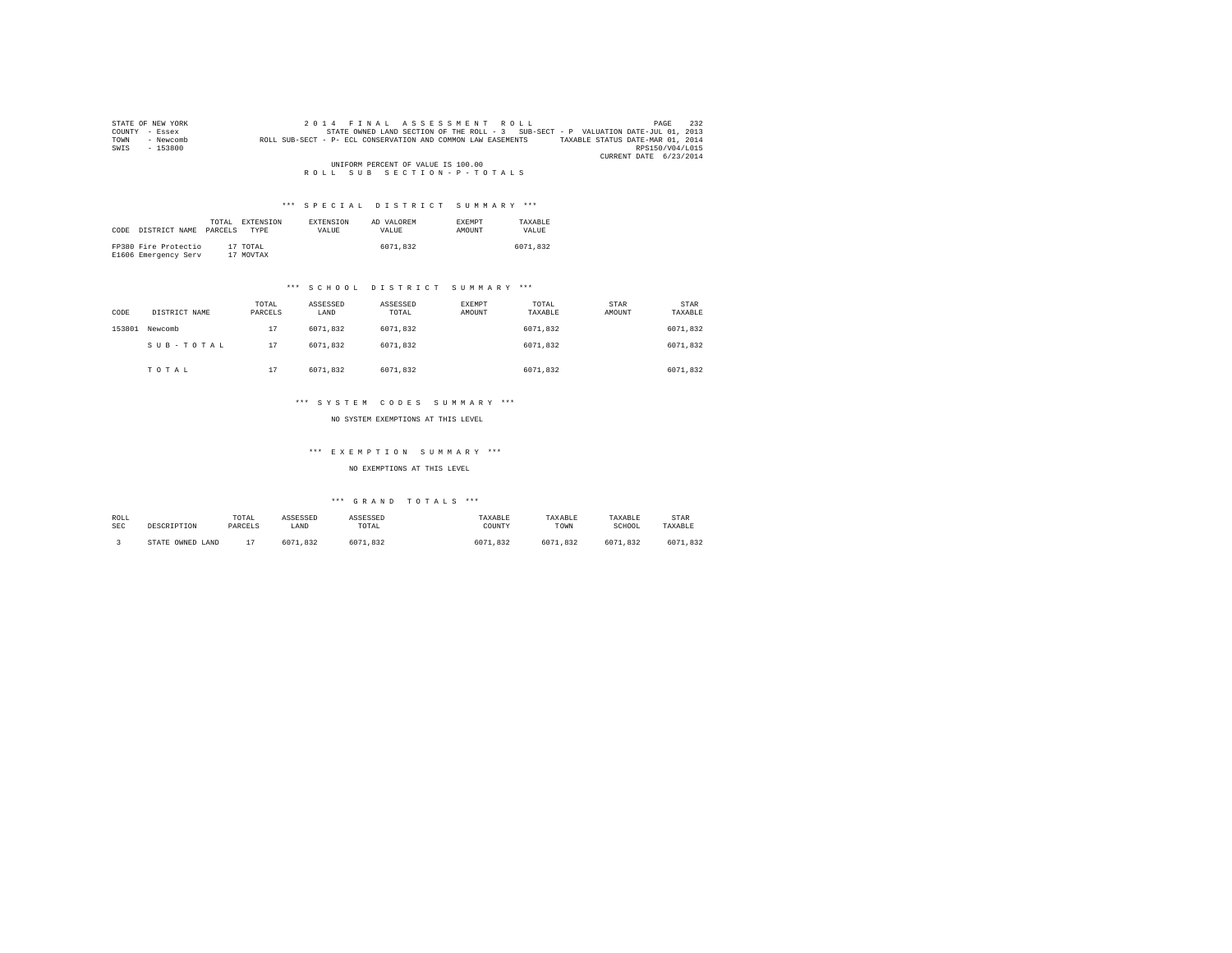| STATE OF NEW YORK |           | 2014 FINAL ASSESSMENT ROLL                                                        | 232<br>PAGE                      |
|-------------------|-----------|-----------------------------------------------------------------------------------|----------------------------------|
| COUNTY - Essex    |           | STATE OWNED LAND SECTION OF THE ROLL - 3 SUB-SECT - P VALUATION DATE-JUL 01, 2013 |                                  |
| TOWN              | - Newcomb | ROLL SUB-SECT - P- ECL CONSERVATION AND COMMON LAW EASEMENTS                      | TAXABLE STATUS DATE-MAR 01, 2014 |
| SWIS              | $-153800$ |                                                                                   | RPS150/V04/L015                  |
|                   |           |                                                                                   | CURRENT DATE 6/23/2014           |
|                   |           | UNIFORM PERCENT OF VALUE IS 100.00                                                |                                  |
|                   |           | ROLL SUB SECTION-P-TOTALS                                                         |                                  |

| CODE | DISTRICT NAME                                | TOTAL.<br>PARCELS | EXTENSION<br><b>TYPE</b> | <b>EXTENSION</b><br>VALUE | AD VALOREM<br>VALUE | <b>EXEMPT</b><br><b>AMOUNT</b> | TAXARLE<br>VALUE |
|------|----------------------------------------------|-------------------|--------------------------|---------------------------|---------------------|--------------------------------|------------------|
|      | FP380 Fire Protectio<br>E1606 Emergency Serv |                   | 17 TOTAL<br>17 MOVTAX    |                           | 6071.832            |                                | 6071.832         |

# \*\*\* S C H O O L D I S T R I C T S U M M A R Y \*\*\*

| CODE   | DISTRICT NAME | TOTAL<br>PARCELS | ASSESSED<br>LAND | ASSESSED<br>TOTAL | EXEMPT<br>AMOUNT | TOTAL<br>TAXABLE | STAR<br>AMOUNT | <b>STAR</b><br>TAXABLE |
|--------|---------------|------------------|------------------|-------------------|------------------|------------------|----------------|------------------------|
| 153801 | Newcomb       | 17               | 6071.832         | 6071.832          |                  | 6071.832         |                | 6071.832               |
|        | SUB-TOTAL     | 17               | 6071.832         | 6071.832          |                  | 6071.832         |                | 6071.832               |
|        | TOTAL         | 17               | 6071.832         | 6071.832          |                  | 6071.832         |                | 6071.832               |

# \*\*\* S Y S T E M C O D E S S U M M A R Y \*\*\*

NO SYSTEM EXEMPTIONS AT THIS LEVEL

# \*\*\* E X E M P T I O N S U M M A R Y \*\*\*

NO EXEMPTIONS AT THIS LEVEL

| ROLL       | DESCRIPTION      | TOTAL   | ASSESSED | ASSESSED       | TAXABLE  | TAXABLE  | TAXABLE  | STAR     |
|------------|------------------|---------|----------|----------------|----------|----------|----------|----------|
| <b>SEC</b> |                  | PARCELS | LAND     | TOTAL          | COUNTY   | TOWN     | SCHOOL   | TAXABLE  |
|            | STATE OWNED LAND |         | 6071.832 | 71.832<br>6071 | 6071.832 | 6071.832 | 6071.832 | 6071.832 |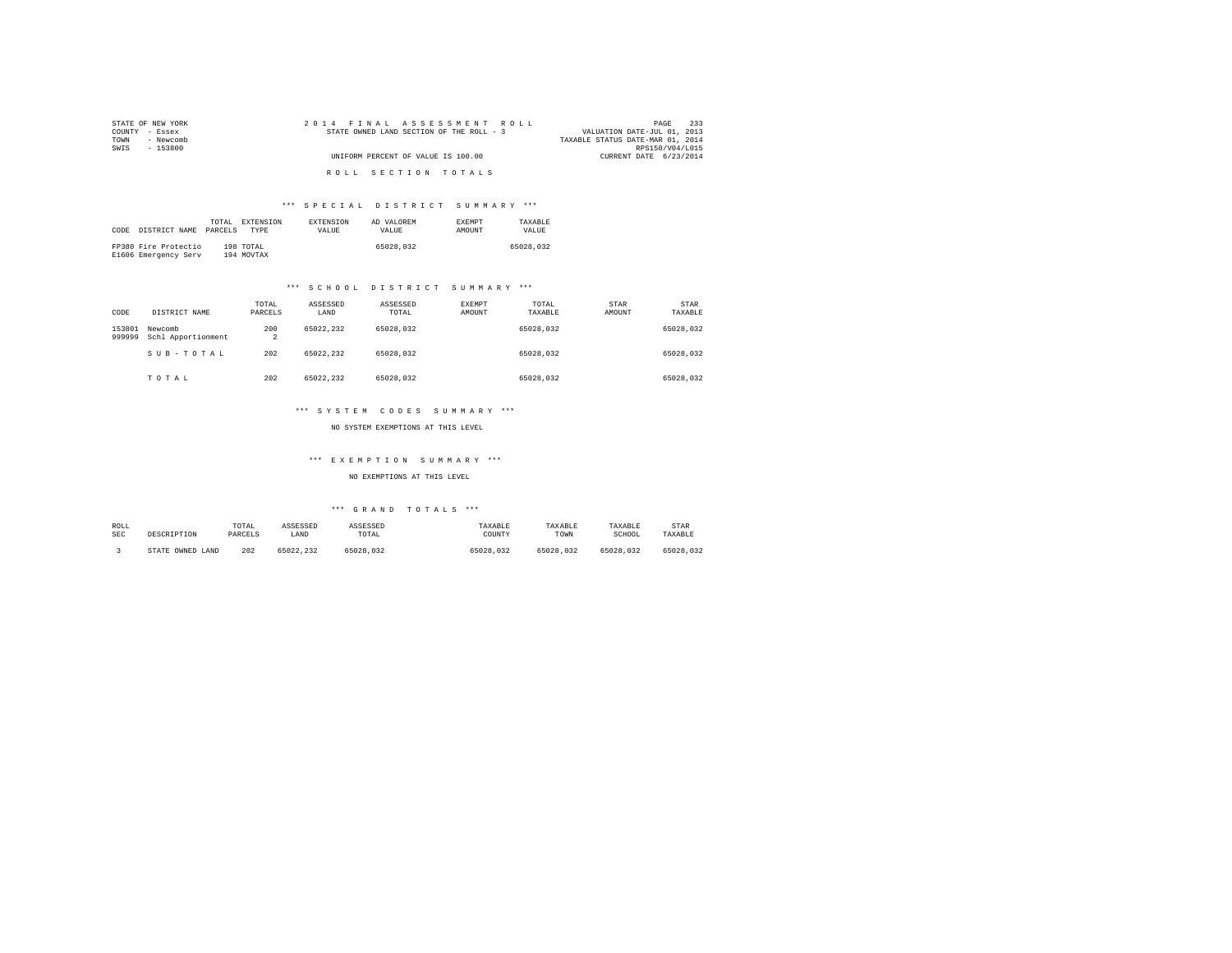| STATE OF NEW YORK | 2014 FINAL ASSESSMENT ROLL               | 233<br>PAGE                      |
|-------------------|------------------------------------------|----------------------------------|
| COUNTY - Essex    | STATE OWNED LAND SECTION OF THE ROLL - 3 | VALUATION DATE-JUL 01, 2013      |
| TOWN<br>- Newcomb |                                          | TAXABLE STATUS DATE-MAR 01, 2014 |
| SWIS<br>- 153800  |                                          | RPS150/V04/L015                  |
|                   | UNIFORM PERCENT OF VALUE IS 100.00       | CURRENT DATE 6/23/2014           |
|                   | ROLL SECTION TOTALS                      |                                  |

| CODE | DISTRICT NAME                                | TOTAL.<br>PARCELS | <b>EXTENSION</b><br><b>TYPE</b> | <b>EXTENSION</b><br>VALUE | AD VALOREM<br>VALUE | <b>EXEMPT</b><br>AMOUNT | TAXARLE<br>VALUE |
|------|----------------------------------------------|-------------------|---------------------------------|---------------------------|---------------------|-------------------------|------------------|
|      | FP380 Fire Protectio<br>E1606 Emergency Serv |                   | 198 TOTAL<br>194 MOVTAX         |                           | 65028,032           |                         | 65028.032        |

# \*\*\* S C H O O L D I S T R I C T S U M M A R Y \*\*\*

| CODE             | DISTRICT NAME                 | TOTAL<br>PARCELS      | ASSESSED<br>LAND | ASSESSED<br>TOTAL | EXEMPT<br>AMOUNT | TOTAL<br>TAXABLE | <b>STAR</b><br>AMOUNT | STAR<br>TAXABLE |
|------------------|-------------------------------|-----------------------|------------------|-------------------|------------------|------------------|-----------------------|-----------------|
| 153801<br>999999 | Newcomb<br>Schl Apportionment | 200<br>$\overline{2}$ | 65022.232        | 65028.032         |                  | 65028.032        |                       | 65028.032       |
|                  | SUB-TOTAL                     | 202                   | 65022.232        | 65028.032         |                  | 65028.032        |                       | 65028.032       |
|                  | TOTAL                         | 202                   | 65022.232        | 65028.032         |                  | 65028.032        |                       | 65028.032       |

### \*\*\* S Y S T E M C O D E S S U M M A R Y \*\*\*

NO SYSTEM EXEMPTIONS AT THIS LEVEL

# \*\*\* E X E M P T I O N S U M M A R Y \*\*\*

NO EXEMPTIONS AT THIS LEVEL

| ROLL<br><b>SEC</b> | DESCRIPTION            | TOTAL<br>PARCELS | ASSESSED<br>LAND | ASSESSED<br>TOTAL | TAXABLE<br>COUNTY | TAXABLE<br>TOWN | TAXABLE<br>SCHOOL | STAR<br>TAXABLE |
|--------------------|------------------------|------------------|------------------|-------------------|-------------------|-----------------|-------------------|-----------------|
|                    | OWNED<br>LAND<br>STATE | 202              | 65022.232        | 55028.032         | 65028.032         | 65028.032       | 65028.032         | 65028.032       |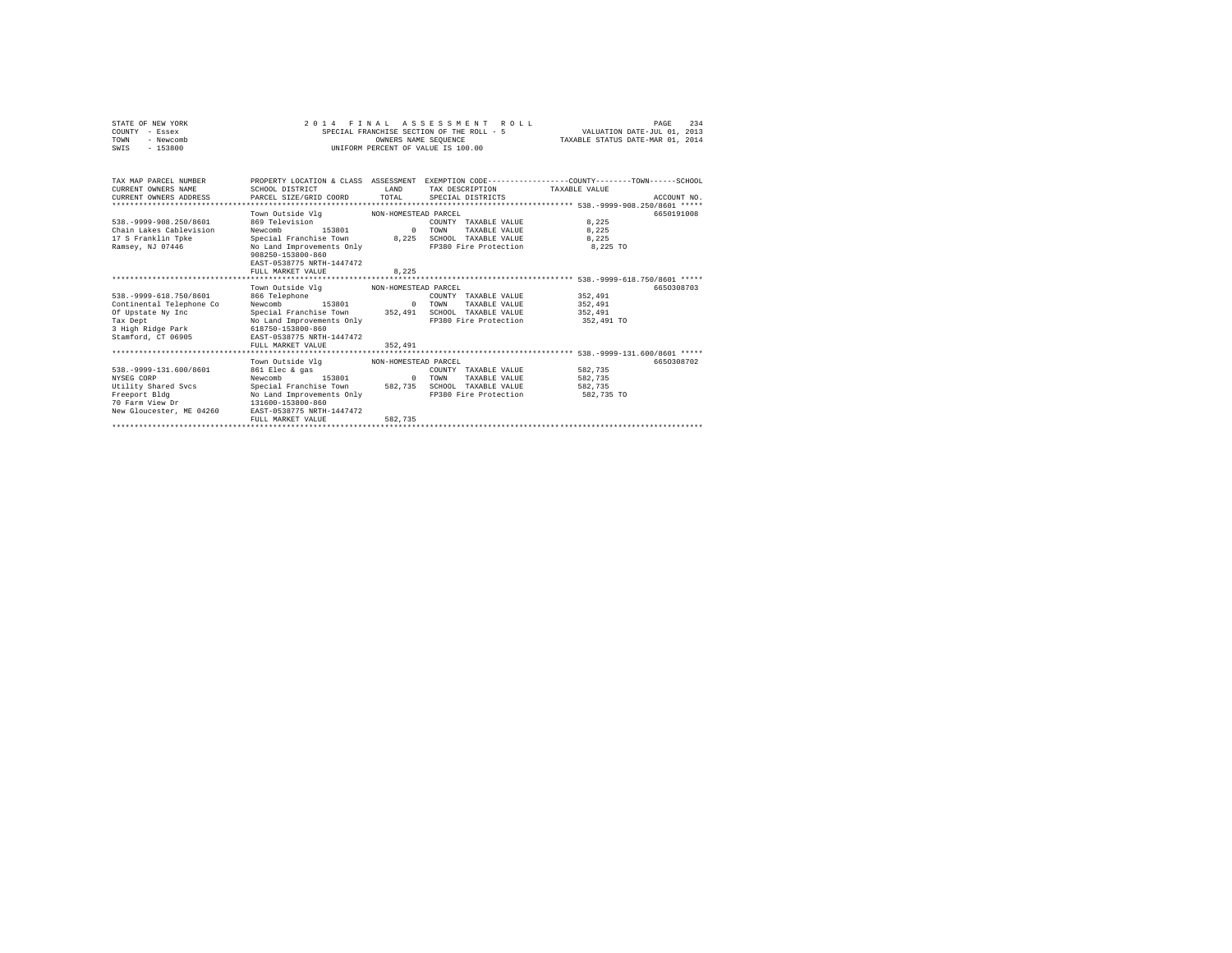| STATE OF NEW YORK<br>COUNTY - Essex<br>- Newcomb<br>TOWN<br>$-153800$<br>SWIS                                                     |                                                                                                                                                                                                                                                                                 | OWNERS NAME SEOUENCE | 2014 FINAL ASSESSMENT ROLL<br>SPECIAL FRANCHISE SECTION OF THE ROLL - 5<br>UNIFORM PERCENT OF VALUE IS 100.00                           | VALUATION DATE-JUL 01, 2013<br>TAXABLE STATUS DATE-MAR 01, 2014 | 234<br>PAGE              |
|-----------------------------------------------------------------------------------------------------------------------------------|---------------------------------------------------------------------------------------------------------------------------------------------------------------------------------------------------------------------------------------------------------------------------------|----------------------|-----------------------------------------------------------------------------------------------------------------------------------------|-----------------------------------------------------------------|--------------------------|
| TAX MAP PARCEL NUMBER<br>CURRENT OWNERS NAME<br>CURRENT OWNERS ADDRESS<br>**************************                              | SCHOOL DISTRICT<br>PARCEL SIZE/GRID COORD                                                                                                                                                                                                                                       | T.AND<br>TOTAL       | PROPERTY LOCATION & CLASS ASSESSMENT EXEMPTION CODE---------------COUNTY-------TOWN------SCHOOL<br>TAX DESCRIPTION<br>SPECIAL DISTRICTS | TAXARLE VALUE                                                   | ACCOUNT NO.              |
| 538. - 9999 - 908. 250/8601<br>Chain Lakes Cablevision<br>17 S Franklin Toke<br>Ramsey, NJ 07446                                  | Town Outside Vlg MON-HOMESTEAD PARCEL<br>869 Television<br>153801 0<br>Newcomb<br>Special Franchise Town 8,225<br>No Land Improvements Only<br>908250-153800-860<br>EAST-0538775 NRTH-1447472                                                                                   |                      | COUNTY TAXABLE VALUE<br>TOWN<br>TAXABLE VALUE 8,225<br>SCHOOL TAXABLE VALUE 8.225<br>FP380 Fire Protection 8.225 TO                     | 8.225                                                           | 6650191008               |
|                                                                                                                                   | FULL MARKET VALUE                                                                                                                                                                                                                                                               | 8.225                |                                                                                                                                         |                                                                 |                          |
| 538. - 9999-618. 750/8601<br>Continental Telephone Co<br>Of Upstate Ny Inc<br>Tax Dept<br>3 High Ridge Park<br>Stamford, CT 06905 | Town Outside Vlg MON-HOMESTEAD PARCEL<br>866 Telephone<br>153801<br>Newcomb<br>Special Franchise Town 352.491 SCHOOL TAXABLE VALUE<br>No Land Improvements Only<br>618750-153800-860<br>EAST-0538775 NRTH-1447472<br>FULL MARKET VALUE<br>Town Outside Vlg MON-HOMESTEAD PARCEL | $\sim$ 0<br>352,491  | COUNTY TAXABLE VALUE<br>TOWN<br>TAXABLE VALUE<br>FP380 Fire Protection                                                                  | 352,491<br>352,491<br>352,491<br>352,491 TO                     | 6650308703<br>6650308702 |
| 538. - 9999-131.600/8601<br>NYSEG CORP<br>Utility Shared Svcs<br>Freeport Bldg<br>70 Farm View Dr<br>New Gloucester, ME 04260     | 861 Elec & gas<br>Newcomb<br>153801<br>Special Franchise Town 582,735<br>No Land Improvements Only<br>131600-153800-860<br>EAST-0538775 NRTH-1447472<br>FULL MARKET VALUE                                                                                                       | $\sim$ 0<br>582.735  | COUNTY TAXABLE VALUE<br>TOWN<br>TAXABLE VALUE<br>SCHOOL TAXABLE VALUE<br>FP380 Fire Protection                                          | 582.735<br>582,735<br>582.735<br>582,735 TO                     |                          |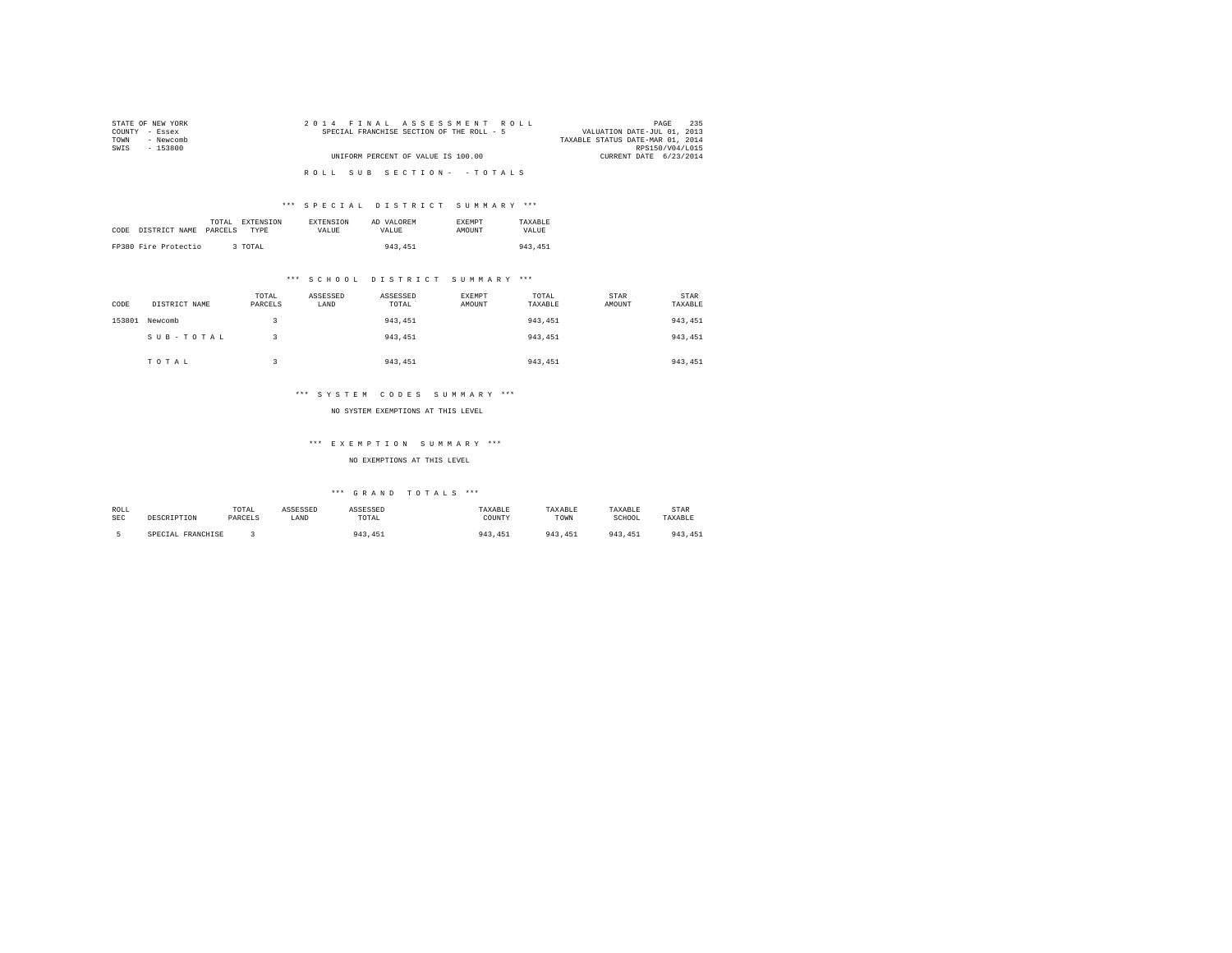| STATE OF NEW YORK | 2014 FINAL ASSESSMENT ROLL                | 235<br>PAGE                      |
|-------------------|-------------------------------------------|----------------------------------|
| COUNTY - Essex    | SPECIAL FRANCHISE SECTION OF THE ROLL - 5 | VALUATION DATE-JUL 01, 2013      |
| - Newcomb<br>TOWN |                                           | TAXABLE STATUS DATE-MAR 01, 2014 |
| SWTS<br>- 153800  |                                           | RPS150/V04/L015                  |
|                   | UNIFORM PERCENT OF VALUE IS 100.00        | CURRENT DATE 6/23/2014           |
|                   |                                           |                                  |
|                   | ROLL SUB SECTION- - TOTALS                |                                  |

| CODE | DISTRICT NAME        | TOTAL<br>PARCELS | <b>EXTENSION</b><br>TYPE | <b>EXTENSION</b><br>VALUE | AD VALOREM<br>VALUE | <b>EXEMPT</b><br>AMOUNT | TAXARLE<br>VALUE |
|------|----------------------|------------------|--------------------------|---------------------------|---------------------|-------------------------|------------------|
|      | FP380 Fire Protectio |                  | 3 TOTAL                  |                           | 943, 451            |                         | 943.451          |

# \*\*\* S C H O O L D I S T R I C T S U M M A R Y \*\*\*

| CODE   | DISTRICT NAME | TOTAL<br>PARCELS | ASSESSED<br>LAND | ASSESSED<br>TOTAL | EXEMPT<br>AMOUNT | TOTAL<br>TAXABLE | STAR<br>AMOUNT | <b>STAR</b><br>TAXABLE |
|--------|---------------|------------------|------------------|-------------------|------------------|------------------|----------------|------------------------|
| 153801 | Newcomb       |                  |                  | 943, 451          |                  | 943.451          |                | 943,451                |
|        | SUB-TOTAL     |                  |                  | 943, 451          |                  | 943,451          |                | 943,451                |
|        | TOTAL         |                  |                  | 943, 451          |                  | 943,451          |                | 943, 451               |

# \*\*\* S Y S T E M C O D E S S U M M A R Y \*\*\*

### NO SYSTEM EXEMPTIONS AT THIS LEVEL

# \*\*\* E X E M P T I O N S U M M A R Y \*\*\*

# NO EXEMPTIONS AT THIS LEVEL

| ROLL       |                   | TOTAL   | ASSESSED | ASSESSED    | TAXABLE | <b><i>TAXABLE</i></b> | TAXABLE | <b>STAR</b> |
|------------|-------------------|---------|----------|-------------|---------|-----------------------|---------|-------------|
| <b>SEC</b> | DESCRIPTION       | PARCELS | LAND     | TOTAL       | COUNTY  | TOWN                  | SCHOOL  | TAXABLE     |
|            | SPECIAL FRANCHISE |         |          | 943<br>.451 | 943,451 | 943<br>451            | 943.451 | 943, 451    |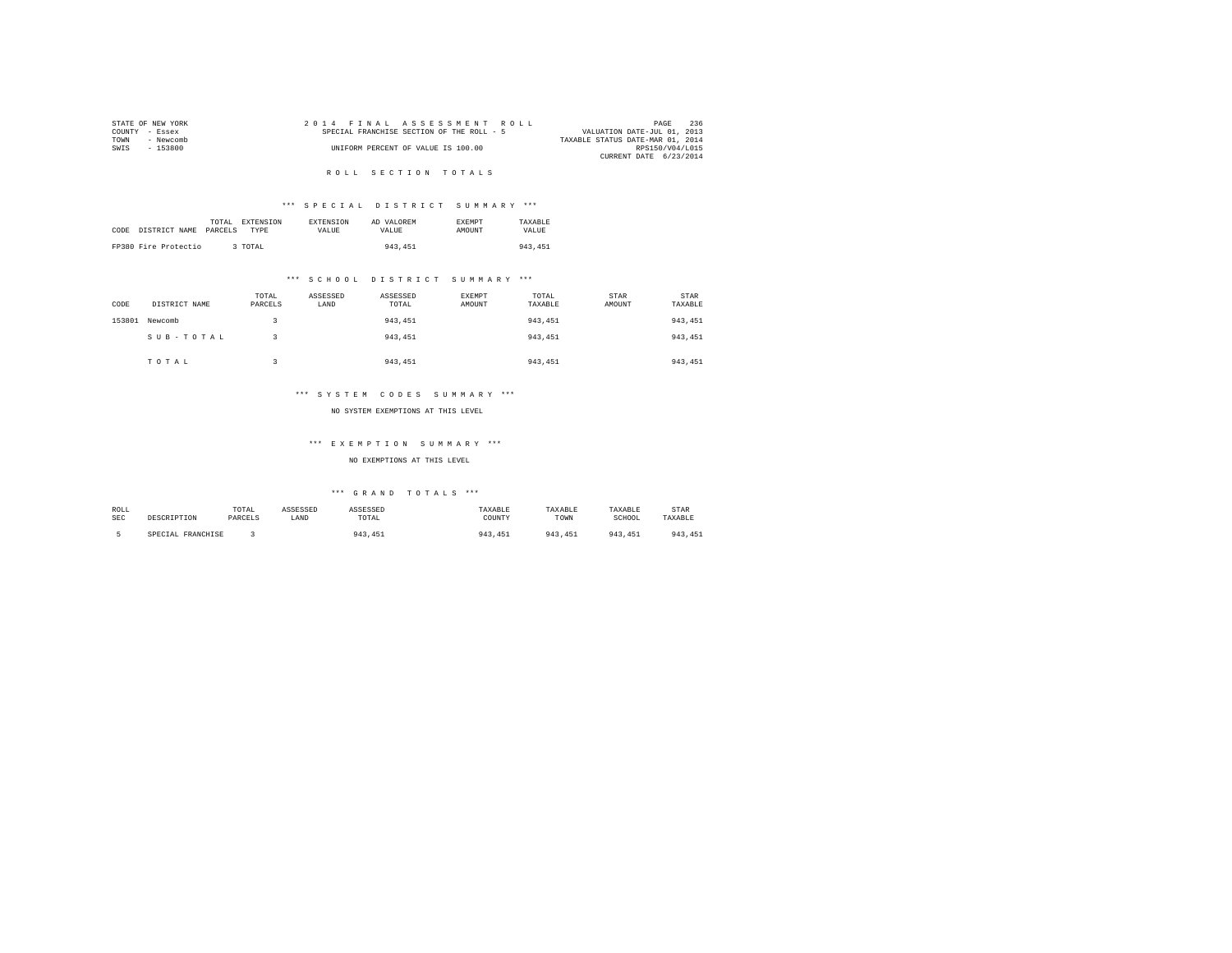|                | STATE OF NEW YORK |  | 2014 FINAL ASSESSMENT ROLL                |  |  |                                  | PAGE            | 236 |
|----------------|-------------------|--|-------------------------------------------|--|--|----------------------------------|-----------------|-----|
| COUNTY - Essex |                   |  | SPECIAL FRANCHISE SECTION OF THE ROLL - 5 |  |  | VALUATION DATE-JUL 01, 2013      |                 |     |
| TOWN           | - Newcomb         |  |                                           |  |  | TAXABLE STATUS DATE-MAR 01, 2014 |                 |     |
| SWTS           | - 153800          |  | UNIFORM PERCENT OF VALUE IS 100.00        |  |  |                                  | RPS150/V04/L015 |     |
|                |                   |  |                                           |  |  | CURRENT DATE 6/23/2014           |                 |     |

# R O L L S E C T I O N T O T A L S

# \*\*\* S P E C I A L D I S T R I C T S U M M A R Y \*\*\*

|      |                      | TOTAL EXTENSION        | <b>EXTENSION</b> | AD VALOREM | <b>EXEMPT</b> | TAXARLE |
|------|----------------------|------------------------|------------------|------------|---------------|---------|
| CODE | DISTRICT NAME        | PARCELS<br><b>TYPE</b> | <b>VALUE</b>     | VALUE.     | <b>AMOUNT</b> | VALUE   |
|      |                      |                        |                  |            |               |         |
|      | FP380 Fire Protectio | 3 TOTAL                |                  | 943, 451   |               | 943,451 |

# \*\*\* S C H O O L D I S T R I C T S U M M A R Y \*\*\*

| CODE   | DISTRICT NAME | TOTAL<br>PARCELS | ASSESSED<br>LAND | ASSESSED<br>TOTAL | <b>EXEMPT</b><br>AMOUNT | TOTAL<br>TAXABLE | STAR<br>AMOUNT | STAR<br>TAXABLE |
|--------|---------------|------------------|------------------|-------------------|-------------------------|------------------|----------------|-----------------|
| 153801 | Newcomb       |                  |                  | 943, 451          |                         | 943,451          |                | 943,451         |
|        | SUB-TOTAL     |                  |                  | 943.451           |                         | 943.451          |                | 943,451         |
|        | TOTAL         |                  |                  | 943.451           |                         | 943.451          |                | 943,451         |

# \*\*\* S Y S T E M C O D E S S U M M A R Y \*\*\*

### NO SYSTEM EXEMPTIONS AT THIS LEVEL

# \*\*\* E X E M P T I O N S U M M A R Y \*\*\*

# NO EXEMPTIONS AT THIS LEVEL

| ROLL       |                   | TOTAL   | ASSESSED | ASSESSED    | TAXABLE | <b><i>TAXABLE</i></b> | TAXABLE | <b>STAR</b> |
|------------|-------------------|---------|----------|-------------|---------|-----------------------|---------|-------------|
| <b>SEC</b> | DESCRIPTION       | PARCELS | LAND     | TOTAL       | COUNTY  | TOWN                  | SCHOOL  | TAXABLE     |
|            | SPECIAL FRANCHISE |         |          | 943<br>.451 | 943,451 | 943<br>451            | 943.451 | 943, 451    |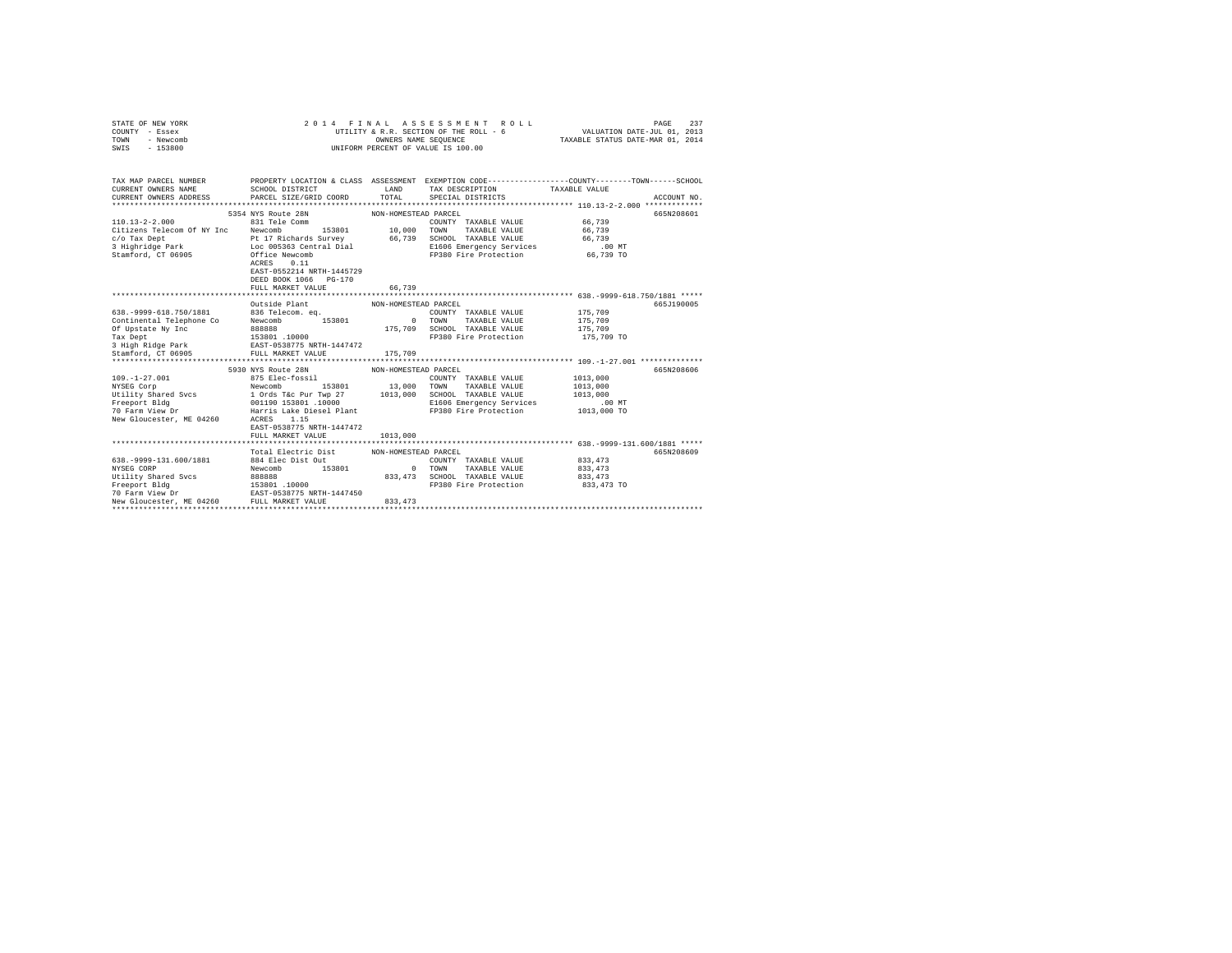| STATE OF NEW YORK                                                                                                                                                                                                                   | 2014 FINAL                          |                      |                                                                                                                                                |            |             |
|-------------------------------------------------------------------------------------------------------------------------------------------------------------------------------------------------------------------------------------|-------------------------------------|----------------------|------------------------------------------------------------------------------------------------------------------------------------------------|------------|-------------|
| COUNTY - Essex                                                                                                                                                                                                                      |                                     |                      |                                                                                                                                                |            |             |
| TOWN<br>- Newcomb                                                                                                                                                                                                                   |                                     |                      | FINAL ASSESSMENT ROLL (PAGE 237<br>UTILITY & R.R. SECTION OF THE ROLL – 6<br>OTILITY OWNERS NAME SEQUENCE – 6 TAXABLE STATUS DATE–MAR 01, 2014 |            |             |
| SWIS<br>$-153800$                                                                                                                                                                                                                   |                                     |                      | UNIFORM PERCENT OF VALUE IS 100.00                                                                                                             |            |             |
|                                                                                                                                                                                                                                     |                                     |                      |                                                                                                                                                |            |             |
|                                                                                                                                                                                                                                     |                                     |                      |                                                                                                                                                |            |             |
| TAX MAP PARCEL NUMBER PROPERTY LOCATION & CLASS ASSESSMENT EXEMPTION CODE---------------COUNTY-------TOWN------SCHOOL                                                                                                               |                                     |                      |                                                                                                                                                |            |             |
| CURRENT OWNERS NAME                                                                                                                                                                                                                 | SCHOOL DISTRICT                     | LAND                 | TAX DESCRIPTION TAXABLE VALUE                                                                                                                  |            |             |
| CURRENT OWNERS ADDRESS                                                                                                                                                                                                              | PARCEL SIZE/GRID COORD              |                      | TOTAL SPECIAL DISTRICTS                                                                                                                        |            | ACCOUNT NO. |
|                                                                                                                                                                                                                                     |                                     |                      |                                                                                                                                                |            |             |
|                                                                                                                                                                                                                                     | 5354 NYS Route 28N                  | NON-HOMESTEAD PARCEL |                                                                                                                                                |            | 665N208601  |
| $110.13 - 2 - 2.000$                                                                                                                                                                                                                |                                     |                      |                                                                                                                                                |            |             |
|                                                                                                                                                                                                                                     | 831 Tele Comm<br>153801 10,000 TOWN |                      | COUNTY TAXABLE VALUE 66,739                                                                                                                    |            |             |
| Citizens Telecom Of NY Inc Newcomb                                                                                                                                                                                                  |                                     |                      | TAXABLE VALUE                                                                                                                                  | 66,739     |             |
|                                                                                                                                                                                                                                     |                                     |                      |                                                                                                                                                |            |             |
| Crizems relations of the Rewolution of the PLU of the PLU of the PLU of the PLU of the PLU of the PLU of the P<br>3 Hightnidge Park – Diece O05363 Central Dial – (2001) PLU of the PLU of the PLU of the PLU of the PLU of the<br> |                                     |                      |                                                                                                                                                |            |             |
|                                                                                                                                                                                                                                     |                                     |                      |                                                                                                                                                |            |             |
|                                                                                                                                                                                                                                     | 0.11<br>ACRES                       |                      |                                                                                                                                                |            |             |
|                                                                                                                                                                                                                                     | EAST-0552214 NRTH-1445729           |                      |                                                                                                                                                |            |             |
|                                                                                                                                                                                                                                     | DEED BOOK 1066 PG-170               |                      |                                                                                                                                                |            |             |
|                                                                                                                                                                                                                                     | FULL MARKET VALUE                   | 66,739               |                                                                                                                                                |            |             |
|                                                                                                                                                                                                                                     |                                     |                      |                                                                                                                                                |            |             |
|                                                                                                                                                                                                                                     | Outside Plant                       | NON-HOMESTEAD PARCEL |                                                                                                                                                |            | 665J190005  |
| 638. - 9999-618. 750/1881                                                                                                                                                                                                           | 836 Telecom. eq.                    |                      | COUNTY TAXABLE VALUE                                                                                                                           | 175,709    |             |
|                                                                                                                                                                                                                                     |                                     | $\sim$ 0             | TOWN<br>TAXABLE VALUE                                                                                                                          | 175,709    |             |
|                                                                                                                                                                                                                                     |                                     |                      | 175,709 SCHOOL TAXABLE VALUE                                                                                                                   | 175,709    |             |
|                                                                                                                                                                                                                                     |                                     |                      | FP380 Fire Protection                                                                                                                          | 175,709 TO |             |
|                                                                                                                                                                                                                                     |                                     |                      |                                                                                                                                                |            |             |
| Continental Telephone Companion (Severonia)<br>Tax Deptate By Inc. (Severonia)<br>23801 (10000 Tax Deptate By Inc. 153801 (10000 Tax Deptate By Inc. 153801 (10000 Tax Deptate By Inc. 153801 (10000 Tax Deptate State State State  |                                     | 175,709              |                                                                                                                                                |            |             |
|                                                                                                                                                                                                                                     |                                     |                      |                                                                                                                                                |            |             |
|                                                                                                                                                                                                                                     | 5930 NYS Route 28N                  | NON-HOMESTEAD PARCEL |                                                                                                                                                |            | 665N208606  |
| $109. - 1 - 27.001$                                                                                                                                                                                                                 | 875 Elec-fossil                     |                      | COUNTY TAXABLE VALUE                                                                                                                           | 1013,000   |             |
| NYSEG Corp                                                                                                                                                                                                                          | Newcomb<br>153801 13,000 TOWN       |                      | TAXABLE VALUE                                                                                                                                  | 1013,000   |             |
|                                                                                                                                                                                                                                     |                                     |                      |                                                                                                                                                | 1013,000   |             |
|                                                                                                                                                                                                                                     |                                     |                      |                                                                                                                                                |            |             |
| ALASO COLOR TRANSPORT AND A SURVEY AND TRANSPORT BIG TO A TANDE THE SURVEY OF THE SURVEY OF THE SURVEY OF THE SURVEY OF THE SURVEY OF THE SURVEY OF THE SURVEY OF THE SURVEY OF THE SURVEY OF THE SURVEY OF THE SURVEY OF THE       |                                     |                      | E1606 Emergency Services .00 MT<br>FP380 Fire Protection .0013,000 TO                                                                          |            |             |
| New Gloucester, ME 04260                                                                                                                                                                                                            | ACRES 1.15                          |                      |                                                                                                                                                |            |             |
|                                                                                                                                                                                                                                     |                                     |                      |                                                                                                                                                |            |             |
|                                                                                                                                                                                                                                     | EAST-0538775 NRTH-1447472           |                      |                                                                                                                                                |            |             |
|                                                                                                                                                                                                                                     | FULL MARKET VALUE                   | 1013,000             |                                                                                                                                                |            |             |
|                                                                                                                                                                                                                                     |                                     |                      |                                                                                                                                                |            |             |
|                                                                                                                                                                                                                                     | Total Electric Dist                 | NON-HOMESTEAD PARCEL |                                                                                                                                                |            | 665N208609  |
| 638. - 9999-131. 600/1881                                                                                                                                                                                                           | 884 Elec Dist Out                   |                      | COUNTY TAXABLE VALUE                                                                                                                           | 833,473    |             |
| NYSEG CORP                                                                                                                                                                                                                          | Newcomb 153801                      |                      | 0 TOWN TAXABLE VALUE<br>833,473 SCHOOL TAXABLE VALUE<br>TAXABLE VALUE                                                                          | 833,473    |             |
|                                                                                                                                                                                                                                     |                                     |                      |                                                                                                                                                | 833,473    |             |
|                                                                                                                                                                                                                                     |                                     |                      | FP380 Fire Protection                                                                                                                          | 833,473 TO |             |
|                                                                                                                                                                                                                                     |                                     |                      |                                                                                                                                                |            |             |
|                                                                                                                                                                                                                                     |                                     | 833, 473             |                                                                                                                                                |            |             |
|                                                                                                                                                                                                                                     |                                     |                      |                                                                                                                                                |            |             |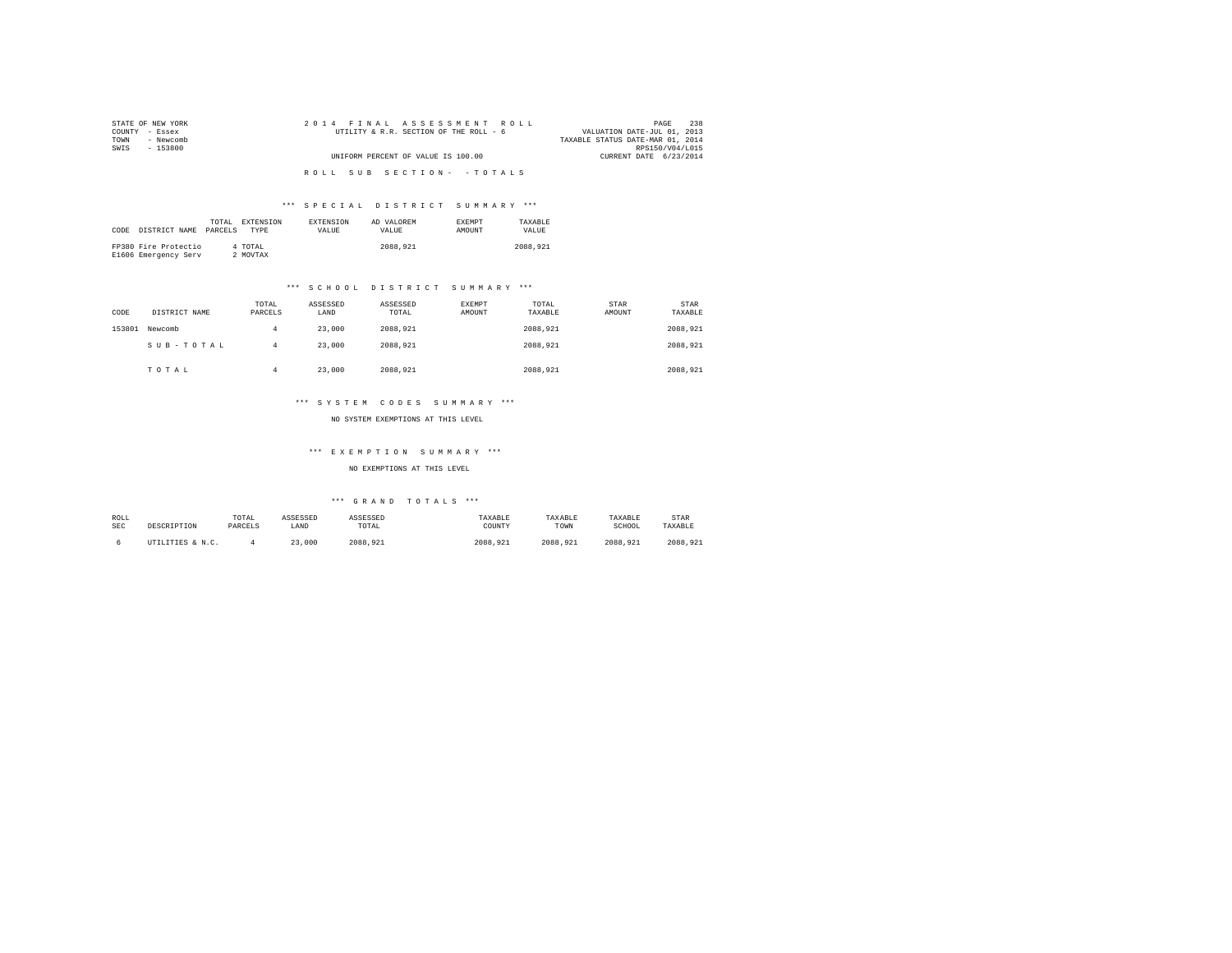| STATE OF NEW YORK | 2014 FINAL ASSESSMENT ROLL             | 238<br>PAGE                      |
|-------------------|----------------------------------------|----------------------------------|
| COUNTY - Essex    | UTILITY & R.R. SECTION OF THE ROLL - 6 | VALUATION DATE-JUL 01, 2013      |
| - Newcomb<br>TOWN |                                        | TAXABLE STATUS DATE-MAR 01, 2014 |
| SWIS<br>- 153800  |                                        | RPS150/V04/L015                  |
|                   | UNIFORM PERCENT OF VALUE IS 100.00     | CURRENT DATE 6/23/2014           |
|                   |                                        |                                  |
|                   | ROLL SUB SECTION- - TOTALS             |                                  |

|      |                      | TOTAL   | EXTENSION   | <b>EXTENSION</b> | AD VALOREM | <b>EXEMPT</b> | TAXARLE  |
|------|----------------------|---------|-------------|------------------|------------|---------------|----------|
| CODE | DISTRICT NAME        | PARCELS | <b>TYPE</b> | VALUE.           | VALUE.     | <b>AMOUNT</b> | VALUE    |
|      |                      |         |             |                  |            |               |          |
|      | FP380 Fire Protectio |         | 4 TOTAL     |                  | 2088,921   |               | 2088.921 |
|      | E1606 Emergency Serv |         | 2 MOVTAX    |                  |            |               |          |

# \*\*\* S C H O O L D I S T R I C T S U M M A R Y \*\*\*

| CODE   | DISTRICT NAME | TOTAL<br>PARCELS | ASSESSED<br>LAND | ASSESSED<br>TOTAL | EXEMPT<br>AMOUNT | TOTAL<br>TAXABLE | STAR<br>AMOUNT | STAR<br>TAXABLE |
|--------|---------------|------------------|------------------|-------------------|------------------|------------------|----------------|-----------------|
| 153801 | Newcomb       | 4                | 23,000           | 2088.921          |                  | 2088.921         |                | 2088.921        |
|        | SUB-TOTAL     | 4                | 23,000           | 2088.921          |                  | 2088.921         |                | 2088.921        |
|        | TOTAL         | 4                | 23,000           | 2088.921          |                  | 2088.921         |                | 2088.921        |

# \*\*\* S Y S T E M C O D E S S U M M A R Y \*\*\*

NO SYSTEM EXEMPTIONS AT THIS LEVEL

# \*\*\* E X E M P T I O N S U M M A R Y \*\*\*

NO EXEMPTIONS AT THIS LEVEL

| ROLL | DESCRIPTION      | TOTAL   | ASSESSED | ASSESSED | TAXABLE  | TAXABLE  | TAXABLE  | <b>STAR</b> |
|------|------------------|---------|----------|----------|----------|----------|----------|-------------|
| SEC  |                  | PARCELS | LAND     | TOTAL    | COUNTY   | TOWN     | SCHOOL   | TAXABLE     |
|      | UTILITIES & N.C. |         | 23,000   | 2088.921 | 2088.921 | 2088.921 | 2088.921 | 2088.921    |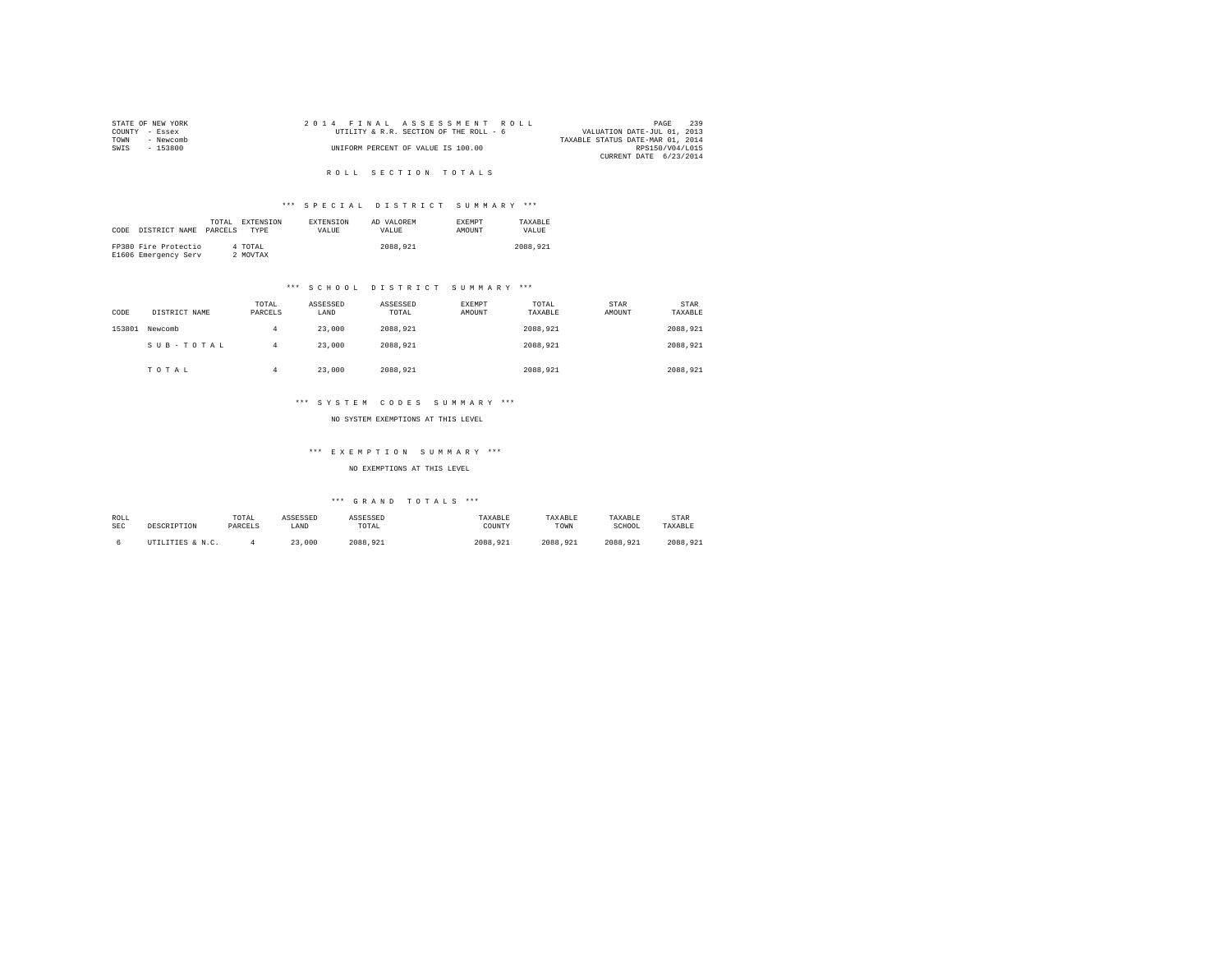|                | STATE OF NEW YORK |  |  |  | 2014 FINAL ASSESSMENT ROLL             |  |  |  |                                  |                 | PAGE | 239 |
|----------------|-------------------|--|--|--|----------------------------------------|--|--|--|----------------------------------|-----------------|------|-----|
| COUNTY - Essex |                   |  |  |  | UTILITY & R.R. SECTION OF THE ROLL - 6 |  |  |  | VALUATION DATE-JUL 01, 2013      |                 |      |     |
| TOWN           | - Newcomb         |  |  |  |                                        |  |  |  | TAXABLE STATUS DATE-MAR 01, 2014 |                 |      |     |
| SWTS           | $-153800$         |  |  |  | UNIFORM PERCENT OF VALUE IS 100.00     |  |  |  |                                  | RPS150/V04/L015 |      |     |
|                |                   |  |  |  |                                        |  |  |  | CURRENT DATE 6/23/2014           |                 |      |     |

# R O L L S E C T I O N T O T A L S

# \*\*\* S P E C I A L D I S T R I C T S U M M A R Y \*\*\*

|      |                      | TOTAL   | EXTENSION | <b>EXTENSION</b> | AD VALOREM | <b>EXEMPT</b> | TAXARLE  |
|------|----------------------|---------|-----------|------------------|------------|---------------|----------|
| CODE | DISTRICT NAME        | PARCELS | TYPE      | <b>VALUE</b>     | VALUE.     | <b>AMOUNT</b> | VALUE.   |
|      |                      |         |           |                  |            |               |          |
|      | FP380 Fire Protectio |         | 4 TOTAL   |                  | 2088,921   |               | 2088.921 |
|      | E1606 Emergency Serv |         | 2 MOVTAX  |                  |            |               |          |

# \*\*\* S C H O O L D I S T R I C T S U M M A R Y \*\*\*

| CODE   | DISTRICT NAME | TOTAL<br>PARCELS | ASSESSED<br>LAND | ASSESSED<br>TOTAL | <b>EXEMPT</b><br>AMOUNT | TOTAL<br>TAXABLE | STAR<br>AMOUNT | STAR<br>TAXABLE |
|--------|---------------|------------------|------------------|-------------------|-------------------------|------------------|----------------|-----------------|
| 153801 | Newcomb       | 4                | 23,000           | 2088.921          |                         | 2088.921         |                | 2088.921        |
|        | SUB-TOTAL     | 4                | 23,000           | 2088.921          |                         | 2088.921         |                | 2088.921        |
|        | TOTAL         | 4                | 23,000           | 2088.921          |                         | 2088.921         |                | 2088.921        |

# \*\*\* S Y S T E M C O D E S S U M M A R Y \*\*\*

NO SYSTEM EXEMPTIONS AT THIS LEVEL

# \*\*\* E X E M P T I O N S U M M A R Y \*\*\*

NO EXEMPTIONS AT THIS LEVEL

| ROLL | DESCRIPTION      | TOTAL   | ASSESSED | ASSESSED | TAXABLE  | TAXABLE  | TAXABLE  | <b>STAR</b> |
|------|------------------|---------|----------|----------|----------|----------|----------|-------------|
| SEC  |                  | PARCELS | LAND     | TOTAL    | COUNTY   | TOWN     | SCHOOL   | TAXABLE     |
|      | UTILITIES & N.C. |         | 23,000   | 2088.921 | 2088.921 | 2088.921 | 2088.921 | 2088.921    |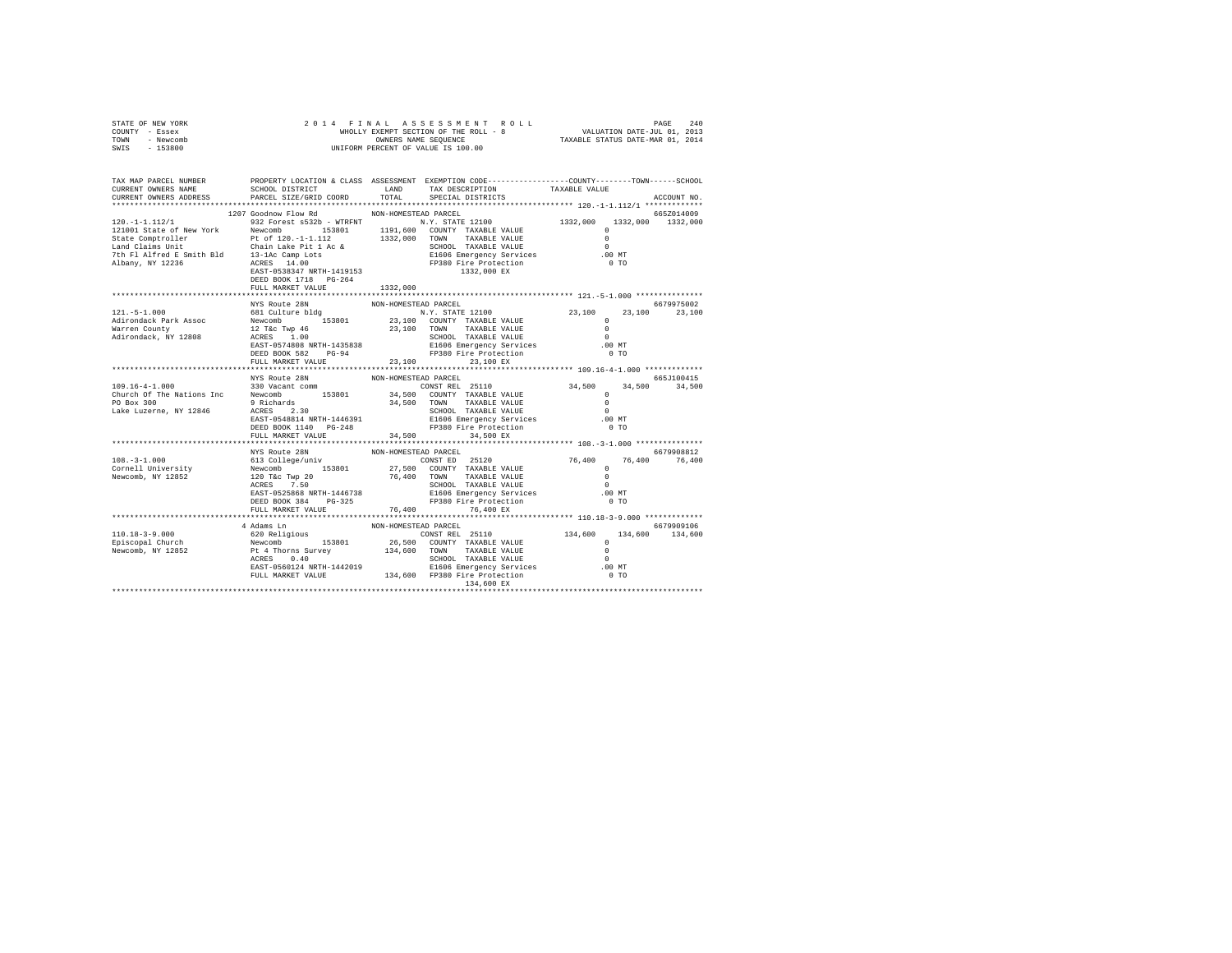| STATE OF NEW YORK<br>COUNTY - Essex<br>TOWN - Newcomb<br>SWIS - 153800                                                                       |                                                         |                      |                      |  |               |
|----------------------------------------------------------------------------------------------------------------------------------------------|---------------------------------------------------------|----------------------|----------------------|--|---------------|
| TAX MAP PARCEL NUMBER PROPERTY LOCATION & CLASS ASSESSMENT EXEMPTION CODE---------------COUNTY-------TOWN------SCHOOL<br>CURRENT OWNERS NAME | SCHOOL DISTRICT LAND LAND TAX DESCRIPTION TAXABLE VALUE |                      |                      |  |               |
| CURRENT OWNERS ADDRESS                                                                                                                       | PARCEL SIZE/GRID COORD TOTAL                            |                      | SPECIAL DISTRICTS    |  | ACCOUNT NO.   |
|                                                                                                                                              | 1207 Goodnow Flow Rd MON-HOMESTEAD PARCEL               |                      |                      |  | 665Z014009    |
|                                                                                                                                              |                                                         |                      |                      |  |               |
|                                                                                                                                              |                                                         |                      |                      |  |               |
|                                                                                                                                              |                                                         |                      |                      |  |               |
|                                                                                                                                              |                                                         |                      |                      |  |               |
|                                                                                                                                              |                                                         |                      |                      |  |               |
|                                                                                                                                              |                                                         |                      |                      |  |               |
|                                                                                                                                              |                                                         |                      |                      |  |               |
|                                                                                                                                              |                                                         |                      |                      |  |               |
|                                                                                                                                              |                                                         |                      |                      |  |               |
|                                                                                                                                              |                                                         |                      |                      |  |               |
|                                                                                                                                              |                                                         |                      |                      |  |               |
|                                                                                                                                              |                                                         |                      |                      |  |               |
|                                                                                                                                              |                                                         |                      |                      |  |               |
|                                                                                                                                              |                                                         |                      |                      |  |               |
|                                                                                                                                              |                                                         |                      |                      |  |               |
|                                                                                                                                              |                                                         |                      |                      |  |               |
|                                                                                                                                              |                                                         |                      |                      |  |               |
|                                                                                                                                              | NYS Route 28N                                           | NON-HOMESTEAD PARCEL |                      |  | 665J100415    |
|                                                                                                                                              |                                                         |                      |                      |  |               |
|                                                                                                                                              |                                                         |                      |                      |  |               |
|                                                                                                                                              |                                                         |                      |                      |  |               |
|                                                                                                                                              |                                                         |                      |                      |  |               |
|                                                                                                                                              |                                                         |                      |                      |  |               |
|                                                                                                                                              |                                                         |                      |                      |  |               |
|                                                                                                                                              |                                                         |                      |                      |  |               |
|                                                                                                                                              | NYS Route 28N                                           | NON-HOMESTEAD PARCEL |                      |  | 6679908812    |
|                                                                                                                                              |                                                         |                      |                      |  | 76,400 76,400 |
|                                                                                                                                              |                                                         |                      |                      |  |               |
|                                                                                                                                              |                                                         |                      |                      |  |               |
|                                                                                                                                              |                                                         |                      |                      |  |               |
|                                                                                                                                              |                                                         |                      |                      |  |               |
|                                                                                                                                              |                                                         |                      |                      |  |               |
|                                                                                                                                              |                                                         |                      |                      |  |               |
|                                                                                                                                              |                                                         |                      | NON-HOMESTEAD PARCEL |  |               |
|                                                                                                                                              | 4 Adams Ln                                              |                      |                      |  | 6679909106    |
|                                                                                                                                              |                                                         |                      |                      |  |               |
|                                                                                                                                              |                                                         |                      |                      |  |               |
|                                                                                                                                              |                                                         |                      |                      |  |               |
|                                                                                                                                              |                                                         |                      |                      |  |               |
|                                                                                                                                              |                                                         |                      |                      |  |               |
|                                                                                                                                              |                                                         |                      |                      |  |               |
|                                                                                                                                              |                                                         |                      |                      |  |               |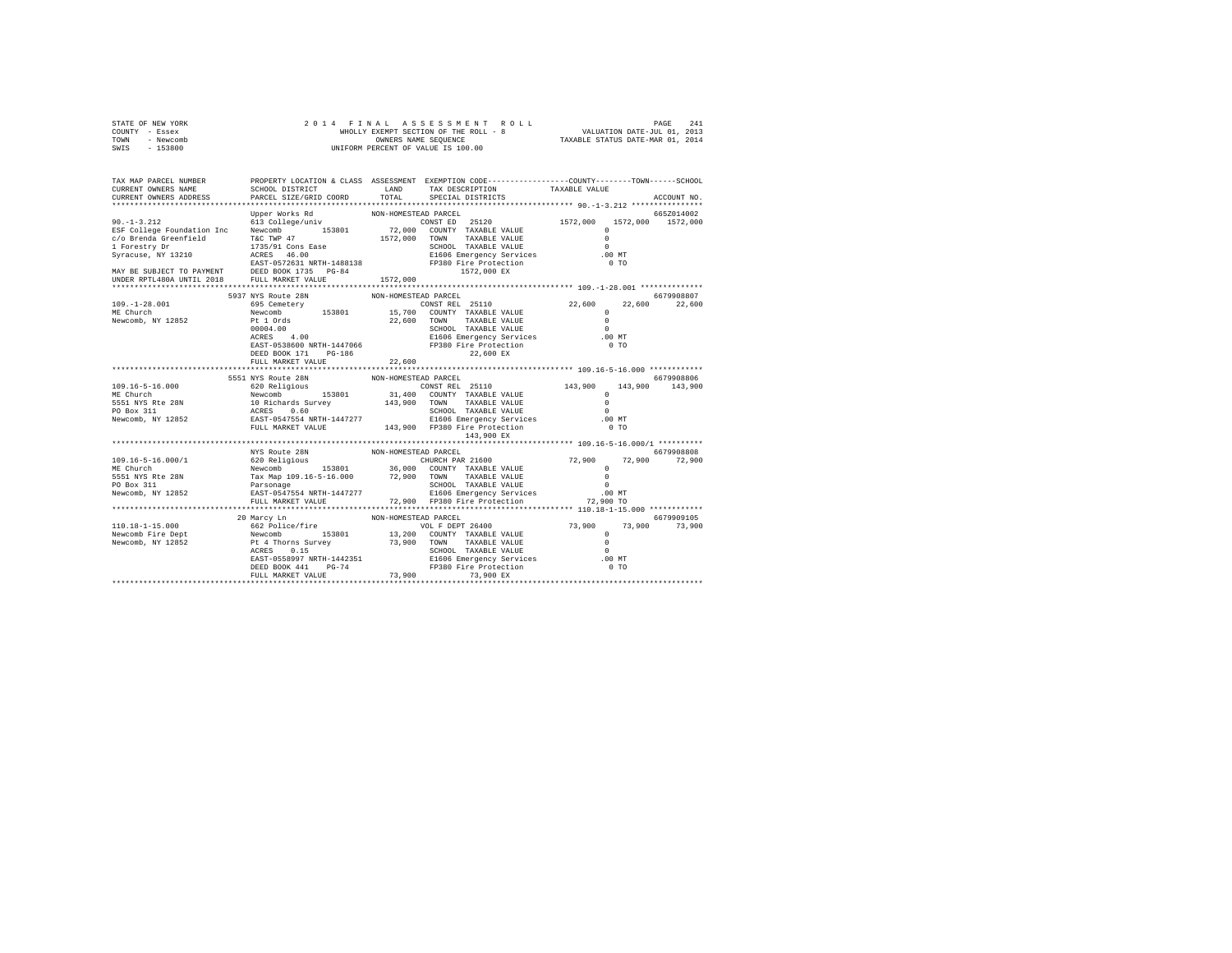| STATE OF NEW YORK |           |  | 2014 FINAL ASSESSMENT ROLL            |                                  | PAGE                        | 241 |
|-------------------|-----------|--|---------------------------------------|----------------------------------|-----------------------------|-----|
| COUNTY - Essex    |           |  | WHOLLY EXEMPT SECTION OF THE ROLL - 8 |                                  | VALUATION DATE-JUL 01, 2013 |     |
| TOWN              | - Newcomb |  | OWNERS NAME SEOUENCE                  | TAXABLE STATUS DATE-MAR 01, 2014 |                             |     |
| $-153800$<br>SWIS |           |  | UNIFORM PERCENT OF VALUE IS 100.00    |                                  |                             |     |

| TAX MAP PARCEL NUMBER<br>CURRENT OWNERS NAME                                                                            | SCHOOL DISTRICT                                                                                                                                   | LAND                 | PROPERTY LOCATION & CLASS ASSESSMENT EXEMPTION CODE---------------COUNTY-------TOWN-----SCHOOL<br>TAX DESCRIPTION                                                                 | TAXABLE VALUE                                                    |                                 |
|-------------------------------------------------------------------------------------------------------------------------|---------------------------------------------------------------------------------------------------------------------------------------------------|----------------------|-----------------------------------------------------------------------------------------------------------------------------------------------------------------------------------|------------------------------------------------------------------|---------------------------------|
| CURRENT OWNERS ADDRESS                                                                                                  | PARCEL SIZE/GRID COORD                                                                                                                            | TOTAL                | SPECIAL DISTRICTS                                                                                                                                                                 |                                                                  | ACCOUNT NO.                     |
| $90. -1 - 3.212$                                                                                                        | Upper Works Rd                                                                                                                                    | NON-HOMESTEAD PARCEL | CONST ED 25120 1572.000                                                                                                                                                           |                                                                  | 665Z014002<br>1572,000 1572,000 |
| ESF College Foundation Inc<br>c/o Brenda Greenfield<br>1 Forestry Dr<br>Syracuse, NY 13210                              | 613 College/univ<br>153801<br>Newcomb<br>T&C TWP 47<br>1735/91 Cons Ease<br>ACRES 46.00<br>EAST-0572631 NRTH-1488138 FP380 Fire Protection        | 1572,000             | 72,000 COUNTY TAXABLE VALUE<br>TOWN<br>TAXABLE VALUE<br>SCHOOL TAXABLE VALUE<br>E1606 Emergency Services .00 MT                                                                   | $\mathbf{r}$<br>$\Omega$<br>$\Omega$<br>$0$ TO                   |                                 |
|                                                                                                                         |                                                                                                                                                   | 1572,000             | 1572,000 EX                                                                                                                                                                       |                                                                  |                                 |
|                                                                                                                         | 5937 NYS Route 28N                                                                                                                                | NON-HOMESTEAD PARCEL |                                                                                                                                                                                   |                                                                  | 6679908807                      |
| $109. - 1 - 28.001$<br>ME Church<br>Newcomb, NY 12852                                                                   | 695 Cemetery<br>00004.00                                                                                                                          | 22,600               | CONST REL 25110<br>SCHOOL TAXABLE VALUE                                                                                                                                           | 22,600<br>$\circ$<br>$\Omega$<br>$\Omega$                        | 22,600<br>22,600                |
|                                                                                                                         | 4.00<br>ACRES<br>ACRES 4.00<br>EAST-0538600 NRTH-1447066<br>PG-186<br>DEED BOOK 171<br>FULL MARKET VALUE                                          | 22,600               | E1606 Emergency Services .00 MT<br>FP380 Fire Protection<br>22,600 EX                                                                                                             | 0 <sub>T</sub>                                                   |                                 |
|                                                                                                                         |                                                                                                                                                   |                      |                                                                                                                                                                                   |                                                                  |                                 |
|                                                                                                                         | 5551 NYS Route 28N                                                                                                                                | NON-HOMESTEAD PARCEL |                                                                                                                                                                                   |                                                                  | 6679908806                      |
|                                                                                                                         |                                                                                                                                                   |                      | CONST REL 25110 143,900                                                                                                                                                           | 143,900<br>$\Omega$                                              | 143,900                         |
|                                                                                                                         |                                                                                                                                                   |                      | 31,400 COUNTY TAXABLE VALUE<br>TAXABLE VALUE<br>TOWN                                                                                                                              | $\Omega$                                                         |                                 |
|                                                                                                                         |                                                                                                                                                   |                      | SCHOOL TAXABLE VALUE                                                                                                                                                              | $\Omega$                                                         |                                 |
|                                                                                                                         |                                                                                                                                                   |                      | E1606 Emergency Services                                                                                                                                                          | .00MT                                                            |                                 |
| Newcomb, NY 12852 EAST-0547554 NRTH-1447277 E1606 Emergency Services<br>FULL MARKET VALUE 143,900 FP380 Fire Protection |                                                                                                                                                   |                      | 143,900 EX                                                                                                                                                                        | 0 <sub>T</sub>                                                   |                                 |
|                                                                                                                         |                                                                                                                                                   |                      |                                                                                                                                                                                   |                                                                  |                                 |
|                                                                                                                         | NYS Route 28N                                                                                                                                     | NON-HOMESTEAD PARCEL |                                                                                                                                                                                   |                                                                  | 6679908808                      |
| $109.16 - 5 - 16.000 / 1$<br>ME Church<br>5551 NYS Rte 28N<br>PO Box 311                                                | 620 Religious<br>Newcomb 153801 36,000<br>Tax Map 109.16-5-16.000 72,900<br>Parsonage RAST-64 NRTH-1447277<br>CAST-0547554 NRTH-1447277<br>22,900 | 72.900 TOWN          | CHURCH PAR 21600<br>153801 36,000 COUNTY TAXABLE VALUE<br>TAXABLE VALUE<br>SCHOOL TAXABLE VALUE                                                                                   | 72,900<br>72,900<br>$\Omega$<br>$\Omega$<br>$\Omega$             | 72,900                          |
| Newcomb, NY 12852                                                                                                       |                                                                                                                                                   |                      | בשנים - ב-11<br>E1606 Emergency Services - 100 MT<br>ב-12,900 TO - 72,900 TO                                                                                                      |                                                                  |                                 |
|                                                                                                                         | FULL MARKET VALUE                                                                                                                                 |                      | 72,900 FP380 Fire Protection                                                                                                                                                      |                                                                  |                                 |
|                                                                                                                         | 20 Marcy Ln                                                                                                                                       | NON-HOMESTEAD PARCEL |                                                                                                                                                                                   |                                                                  | 6679909105                      |
|                                                                                                                         |                                                                                                                                                   | 73,900 TOWN          | VOL F DEPT 26400<br>13,200 COUNTY TAXABLE VALUE<br>TAXABLE VALUE<br>ACRES 0.15<br>EAST-0558997 NRTH-1442351 SI606 Emergency Services<br>DEED BOOK 441 PG-74 F1930 Fire Protection | 73,900<br>73,900<br>$^{\circ}$<br>$\Omega$<br>$\Omega$<br>.00 MT | 73,900                          |
|                                                                                                                         | FULL MARKET VALUE                                                                                                                                 |                      | FP380 Fire Protection<br>73,900 73,900 EX                                                                                                                                         | 0 <sub>T</sub>                                                   |                                 |
|                                                                                                                         |                                                                                                                                                   |                      |                                                                                                                                                                                   |                                                                  |                                 |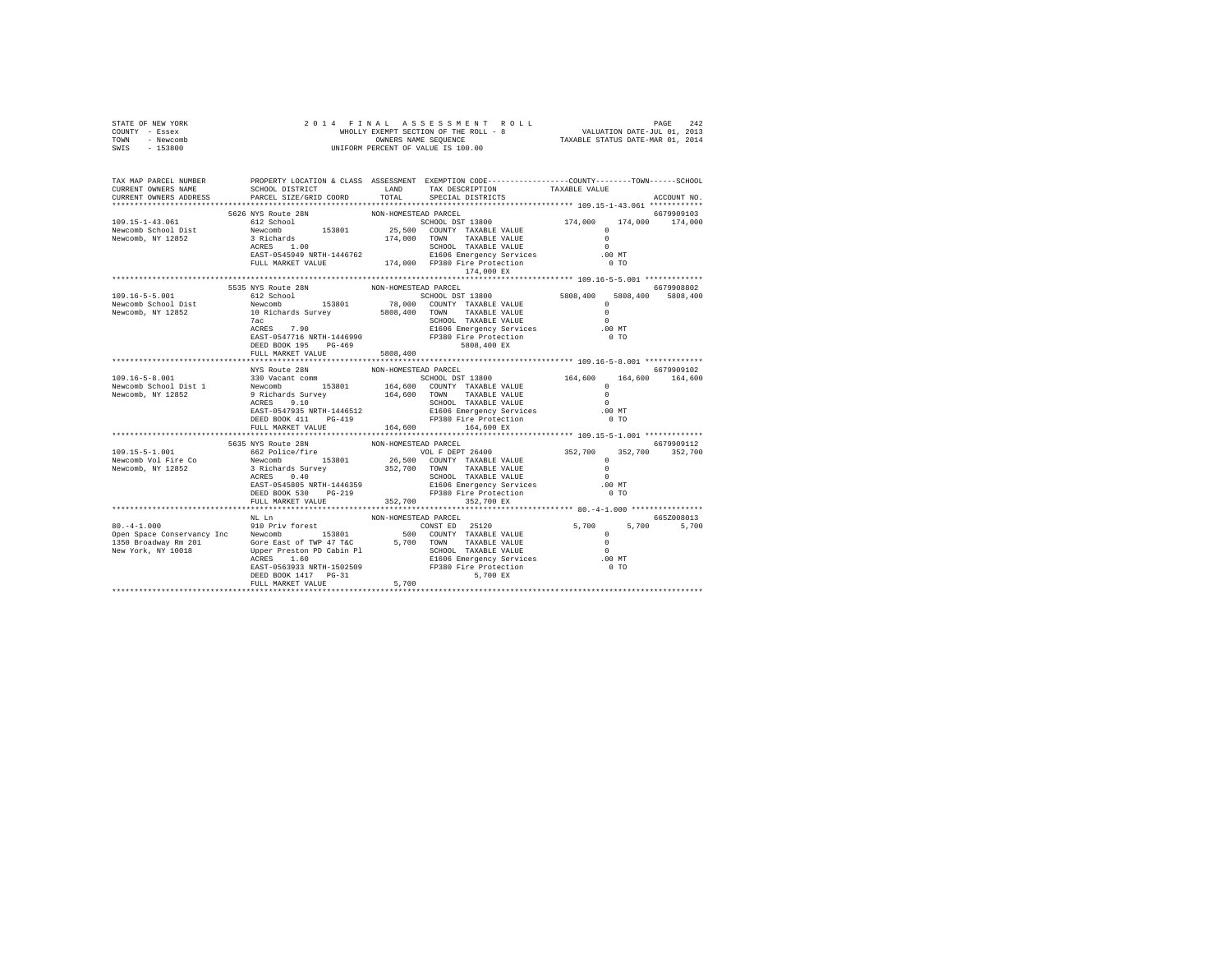| STATE OF NEW YORK<br>COUNTY - Essex<br>TOWN - Newcomb<br>$-153800$<br>SWIS                                           | 2014 FINAL                            |                      |                                                                                                                                                                                                                                                                                                                                                                                                                                |                                                  |                      |  |  |
|----------------------------------------------------------------------------------------------------------------------|---------------------------------------|----------------------|--------------------------------------------------------------------------------------------------------------------------------------------------------------------------------------------------------------------------------------------------------------------------------------------------------------------------------------------------------------------------------------------------------------------------------|--------------------------------------------------|----------------------|--|--|
| TAX MAP PARCEL NUMBER PROPERTY LOCATION & CLASS ASSESSMENT EXEMPTION CODE---------------COUNTY-------TOWN-----SCHOOL |                                       |                      |                                                                                                                                                                                                                                                                                                                                                                                                                                |                                                  |                      |  |  |
| CURRENT OWNERS NAME                                                                                                  | SCHOOL DISTRICT LAND                  |                      | TAX DESCRIPTION                                                                                                                                                                                                                                                                                                                                                                                                                | TAXABLE VALUE                                    |                      |  |  |
| CURRENT OWNERS ADDRESS                                                                                               | PARCEL SIZE/GRID COORD                | TOTAL                | SPECIAL DISTRICTS                                                                                                                                                                                                                                                                                                                                                                                                              |                                                  | ACCOUNT NO.          |  |  |
|                                                                                                                      | 5626 NYS Route 28N                    | NON-HOMESTEAD PARCEL |                                                                                                                                                                                                                                                                                                                                                                                                                                |                                                  | 6679909103           |  |  |
| 109.15-1-43.061                                                                                                      | 612 School                            |                      | SCHOOL DST 13800 174,000 174,000 174,000                                                                                                                                                                                                                                                                                                                                                                                       |                                                  |                      |  |  |
| Newcomb School Dist                                                                                                  |                                       |                      |                                                                                                                                                                                                                                                                                                                                                                                                                                | $\Omega$                                         |                      |  |  |
| Newcomb, NY 12852                                                                                                    |                                       |                      |                                                                                                                                                                                                                                                                                                                                                                                                                                | $\sim$ 0                                         |                      |  |  |
|                                                                                                                      |                                       |                      |                                                                                                                                                                                                                                                                                                                                                                                                                                | $\sim$                                           |                      |  |  |
|                                                                                                                      |                                       |                      |                                                                                                                                                                                                                                                                                                                                                                                                                                | .00MT                                            |                      |  |  |
|                                                                                                                      |                                       |                      | ACRESING 100 SCHOOL TAXABLE VALUE<br>EAST-05459499 NRTH-1446762 11606 Emergency Services<br>FULL MARKET VALUE 174,000 FF380 Flre Protection<br>174,000 EX                                                                                                                                                                                                                                                                      | $0$ TO                                           |                      |  |  |
|                                                                                                                      | 5535 NYS Route 28N                    | NON-HOMESTEAD PARCEL |                                                                                                                                                                                                                                                                                                                                                                                                                                |                                                  | 6679908802           |  |  |
| 109.16-5-5.001                                                                                                       | 612 School                            |                      | $\begin{tabular}{c c c c c} \hline $\text{612} $\text{ School}$ & $\text{no} & $\text{no} & $\text{no} & $\text{SCHOLO} $\text{DT}$ & $13800$ \\ \hline \text{Necomb} & $\text{153801}$ & $153801$ & $7000$ & $\text{CCHOLO} $\text{ST}$ & $13800$ \\ \hline \text{Newcomb} & $\text{153801}$ & $5000$ & $\text{COWITY} & $\text{TAXABLE VALUE} \\ \hline \text{10 Richard} & $\text{SUYey} & $\text{5004,400} & $\text{TOWI}$ | 5808, 400                                        | 5808,400<br>5808,400 |  |  |
| Newcomb School Dist                                                                                                  |                                       |                      |                                                                                                                                                                                                                                                                                                                                                                                                                                | $\Omega$                                         |                      |  |  |
| Newcomb, NY 12852                                                                                                    |                                       |                      |                                                                                                                                                                                                                                                                                                                                                                                                                                | $\sim$                                           |                      |  |  |
|                                                                                                                      | 7ac                                   |                      |                                                                                                                                                                                                                                                                                                                                                                                                                                | $\sim$                                           |                      |  |  |
|                                                                                                                      |                                       |                      |                                                                                                                                                                                                                                                                                                                                                                                                                                | $.00$ MT                                         |                      |  |  |
|                                                                                                                      |                                       |                      |                                                                                                                                                                                                                                                                                                                                                                                                                                | $0$ TO                                           |                      |  |  |
|                                                                                                                      | FULL MARKET VALUE                     | 5808,400             |                                                                                                                                                                                                                                                                                                                                                                                                                                |                                                  |                      |  |  |
|                                                                                                                      |                                       |                      |                                                                                                                                                                                                                                                                                                                                                                                                                                |                                                  |                      |  |  |
|                                                                                                                      |                                       |                      |                                                                                                                                                                                                                                                                                                                                                                                                                                |                                                  | 6679909102           |  |  |
|                                                                                                                      |                                       |                      |                                                                                                                                                                                                                                                                                                                                                                                                                                |                                                  |                      |  |  |
|                                                                                                                      |                                       |                      |                                                                                                                                                                                                                                                                                                                                                                                                                                |                                                  |                      |  |  |
|                                                                                                                      |                                       |                      |                                                                                                                                                                                                                                                                                                                                                                                                                                |                                                  |                      |  |  |
|                                                                                                                      |                                       |                      |                                                                                                                                                                                                                                                                                                                                                                                                                                | .00 MT                                           |                      |  |  |
|                                                                                                                      |                                       |                      |                                                                                                                                                                                                                                                                                                                                                                                                                                | 0.70                                             |                      |  |  |
|                                                                                                                      |                                       |                      |                                                                                                                                                                                                                                                                                                                                                                                                                                |                                                  |                      |  |  |
|                                                                                                                      | 5635 NYS Route 28N                    | NON-HOMESTEAD PARCEL |                                                                                                                                                                                                                                                                                                                                                                                                                                |                                                  | 6679909112           |  |  |
| $109.15 - 5 - 1.001$                                                                                                 | 3033 NiS Route 20N<br>662 Police/fire |                      |                                                                                                                                                                                                                                                                                                                                                                                                                                |                                                  | 352,700 352,700      |  |  |
|                                                                                                                      |                                       |                      | VOL F DEPT 26400<br>26,500 COUNTY TAXABLE VALUE                                                                                                                                                                                                                                                                                                                                                                                |                                                  |                      |  |  |
| Newcomb Vol Fire Co<br>Newcomb, NY 12852                                                                             |                                       |                      |                                                                                                                                                                                                                                                                                                                                                                                                                                | $\begin{array}{c} 352,700 \\ 0 \\ 0 \end{array}$ |                      |  |  |
|                                                                                                                      |                                       |                      |                                                                                                                                                                                                                                                                                                                                                                                                                                |                                                  |                      |  |  |
|                                                                                                                      |                                       |                      |                                                                                                                                                                                                                                                                                                                                                                                                                                |                                                  |                      |  |  |
|                                                                                                                      | FULL MARKET VALUE                     |                      | 352,700 352,700 EX                                                                                                                                                                                                                                                                                                                                                                                                             |                                                  |                      |  |  |
|                                                                                                                      | **************************            |                      |                                                                                                                                                                                                                                                                                                                                                                                                                                |                                                  |                      |  |  |
|                                                                                                                      | $\hbox{NL}$ .<br>Ln $\hbox{L}$        | NON-HOMESTEAD PARCEL |                                                                                                                                                                                                                                                                                                                                                                                                                                |                                                  | 6657008013           |  |  |
| $80. -4 - 1.000$                                                                                                     | 910 Priv forest                       |                      | CONST ED 25120                                                                                                                                                                                                                                                                                                                                                                                                                 | 5,700                                            | 5,700 5,700          |  |  |
|                                                                                                                      |                                       |                      |                                                                                                                                                                                                                                                                                                                                                                                                                                |                                                  |                      |  |  |
|                                                                                                                      |                                       |                      |                                                                                                                                                                                                                                                                                                                                                                                                                                |                                                  |                      |  |  |
|                                                                                                                      |                                       |                      |                                                                                                                                                                                                                                                                                                                                                                                                                                |                                                  |                      |  |  |
|                                                                                                                      |                                       |                      |                                                                                                                                                                                                                                                                                                                                                                                                                                |                                                  |                      |  |  |
|                                                                                                                      |                                       |                      |                                                                                                                                                                                                                                                                                                                                                                                                                                |                                                  |                      |  |  |
|                                                                                                                      | FULL MARKET VALUE                     | 5,700                |                                                                                                                                                                                                                                                                                                                                                                                                                                |                                                  |                      |  |  |
|                                                                                                                      |                                       |                      |                                                                                                                                                                                                                                                                                                                                                                                                                                |                                                  |                      |  |  |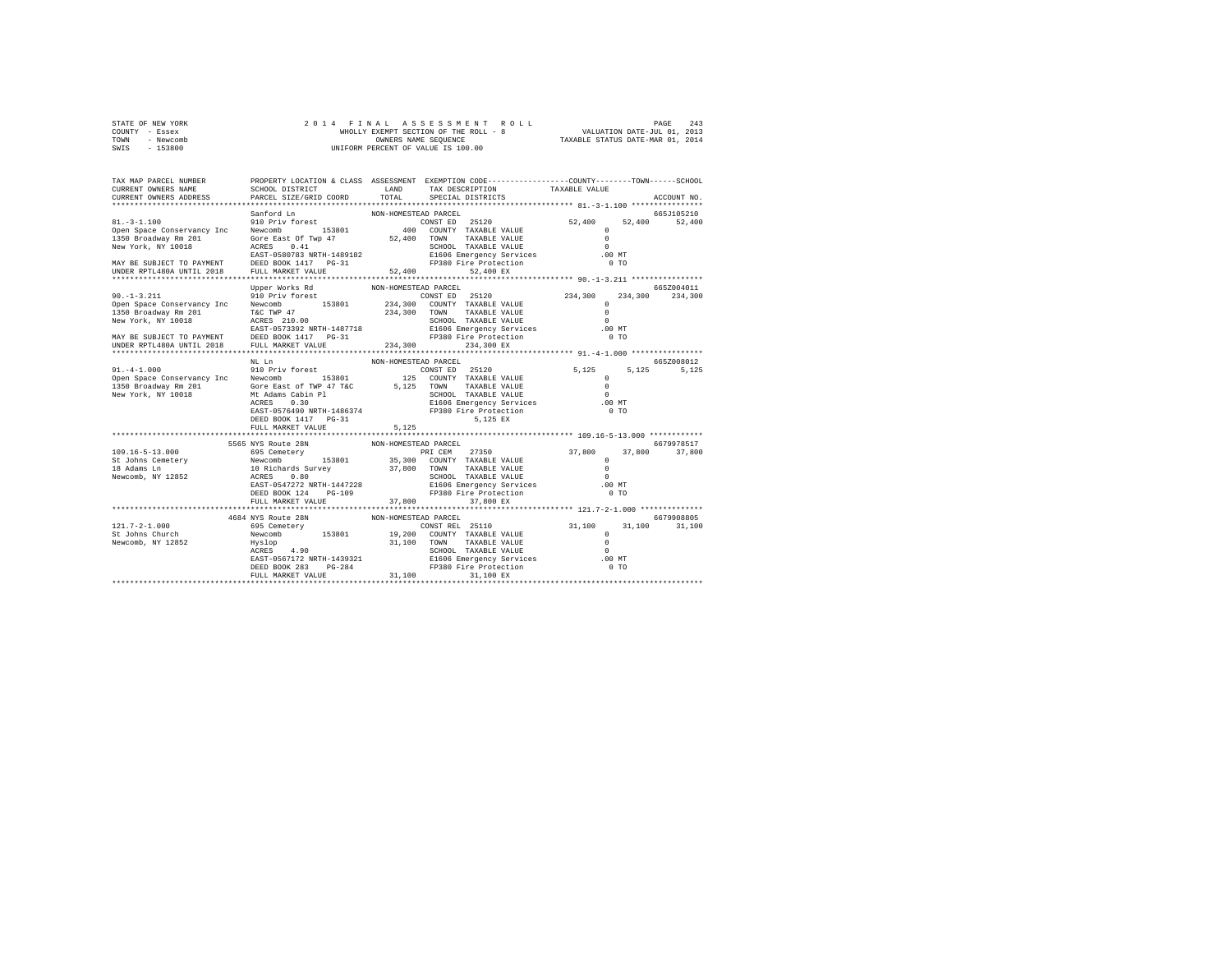| STATE OF NEW YORK | 2014 FINAL ASSESSMENT ROLL            | 243<br>PAGE                      |
|-------------------|---------------------------------------|----------------------------------|
| COUNTY - Essex    | WHOLLY EXEMPT SECTION OF THE ROLL - 8 | VALUATION DATE-JUL 01, 2013      |
| TOWN<br>- Newcomb | OWNERS NAME SEOUENCE                  | TAXABLE STATUS DATE-MAR 01, 2014 |
| - 153800<br>SWIS  | UNIFORM PERCENT OF VALUE IS 100.00    |                                  |

| TAX MAP PARCEL NUMBER<br>CURRENT OWNERS NAME                                                                                                                                                                                                                                                                                                                                                                                               |                                    |                      | PROPERTY LOCATION & CLASS ASSESSMENT EXEMPTION CODE----------------COUNTY-------TOWN-----SCHOOL<br>SCHOOL DISTRICT                     LAND        TAX DESCRIPTION                  TAXABLE VALUE |             |
|--------------------------------------------------------------------------------------------------------------------------------------------------------------------------------------------------------------------------------------------------------------------------------------------------------------------------------------------------------------------------------------------------------------------------------------------|------------------------------------|----------------------|---------------------------------------------------------------------------------------------------------------------------------------------------------------------------------------------------|-------------|
| CURRENT OWNERS ADDRESS                                                                                                                                                                                                                                                                                                                                                                                                                     | PARCEL SIZE/GRID COORD             |                      | TOTAL SPECIAL DISTRICTS                                                                                                                                                                           | ACCOUNT NO. |
|                                                                                                                                                                                                                                                                                                                                                                                                                                            |                                    |                      |                                                                                                                                                                                                   |             |
|                                                                                                                                                                                                                                                                                                                                                                                                                                            |                                    |                      |                                                                                                                                                                                                   |             |
|                                                                                                                                                                                                                                                                                                                                                                                                                                            |                                    |                      |                                                                                                                                                                                                   |             |
|                                                                                                                                                                                                                                                                                                                                                                                                                                            |                                    |                      |                                                                                                                                                                                                   |             |
|                                                                                                                                                                                                                                                                                                                                                                                                                                            |                                    |                      |                                                                                                                                                                                                   |             |
|                                                                                                                                                                                                                                                                                                                                                                                                                                            |                                    |                      |                                                                                                                                                                                                   |             |
|                                                                                                                                                                                                                                                                                                                                                                                                                                            |                                    |                      |                                                                                                                                                                                                   |             |
|                                                                                                                                                                                                                                                                                                                                                                                                                                            |                                    |                      |                                                                                                                                                                                                   |             |
|                                                                                                                                                                                                                                                                                                                                                                                                                                            |                                    |                      |                                                                                                                                                                                                   |             |
|                                                                                                                                                                                                                                                                                                                                                                                                                                            | Upper Works Rd                     | NON-HOMESTEAD PARCEL |                                                                                                                                                                                                   | 665Z004011  |
| $\begin{tabular}{lllllllllllll} \multicolumn{3}{l}{} & 90.1-3.211 & 90 per Work-5 RAC & 100N-HOMESTED PARCETED PARCETED PARCETED P25120 & 234,300 & 234,300 & 234,300 & 234,300 & 234,300 & 234,300 & 234,300 & 234,300 & 234,300 & 234,300 & 234,300 & 234,300 & 234,300 & 234,300 & 234,300 & 234,300 & $                                                                                                                                |                                    |                      |                                                                                                                                                                                                   |             |
|                                                                                                                                                                                                                                                                                                                                                                                                                                            |                                    |                      |                                                                                                                                                                                                   |             |
|                                                                                                                                                                                                                                                                                                                                                                                                                                            |                                    |                      |                                                                                                                                                                                                   |             |
|                                                                                                                                                                                                                                                                                                                                                                                                                                            |                                    |                      |                                                                                                                                                                                                   |             |
|                                                                                                                                                                                                                                                                                                                                                                                                                                            |                                    |                      |                                                                                                                                                                                                   |             |
|                                                                                                                                                                                                                                                                                                                                                                                                                                            |                                    |                      |                                                                                                                                                                                                   |             |
|                                                                                                                                                                                                                                                                                                                                                                                                                                            |                                    |                      |                                                                                                                                                                                                   |             |
|                                                                                                                                                                                                                                                                                                                                                                                                                                            | NL Ln                              | NON-HOMESTEAD PARCEL |                                                                                                                                                                                                   | 665Z008012  |
|                                                                                                                                                                                                                                                                                                                                                                                                                                            |                                    |                      |                                                                                                                                                                                                   | 5,125 5,125 |
|                                                                                                                                                                                                                                                                                                                                                                                                                                            |                                    |                      |                                                                                                                                                                                                   |             |
|                                                                                                                                                                                                                                                                                                                                                                                                                                            |                                    |                      |                                                                                                                                                                                                   |             |
|                                                                                                                                                                                                                                                                                                                                                                                                                                            |                                    |                      |                                                                                                                                                                                                   |             |
|                                                                                                                                                                                                                                                                                                                                                                                                                                            |                                    |                      |                                                                                                                                                                                                   |             |
|                                                                                                                                                                                                                                                                                                                                                                                                                                            |                                    |                      |                                                                                                                                                                                                   |             |
|                                                                                                                                                                                                                                                                                                                                                                                                                                            | DEED BOOK 1417 PG-31               |                      | 5,125 EX                                                                                                                                                                                          |             |
|                                                                                                                                                                                                                                                                                                                                                                                                                                            | FULL MARKET VALUE                  | 5.125                |                                                                                                                                                                                                   |             |
|                                                                                                                                                                                                                                                                                                                                                                                                                                            |                                    |                      |                                                                                                                                                                                                   |             |
|                                                                                                                                                                                                                                                                                                                                                                                                                                            | 5565 NYS Route 28N                 | NON-HOMESTEAD PARCEL |                                                                                                                                                                                                   | 6679978517  |
|                                                                                                                                                                                                                                                                                                                                                                                                                                            |                                    |                      |                                                                                                                                                                                                   |             |
|                                                                                                                                                                                                                                                                                                                                                                                                                                            |                                    |                      |                                                                                                                                                                                                   |             |
|                                                                                                                                                                                                                                                                                                                                                                                                                                            |                                    |                      |                                                                                                                                                                                                   |             |
|                                                                                                                                                                                                                                                                                                                                                                                                                                            |                                    |                      |                                                                                                                                                                                                   |             |
|                                                                                                                                                                                                                                                                                                                                                                                                                                            |                                    |                      |                                                                                                                                                                                                   |             |
|                                                                                                                                                                                                                                                                                                                                                                                                                                            | FULL MARKET VALUE 37,800 37,800 EX |                      |                                                                                                                                                                                                   |             |
|                                                                                                                                                                                                                                                                                                                                                                                                                                            |                                    |                      |                                                                                                                                                                                                   |             |
|                                                                                                                                                                                                                                                                                                                                                                                                                                            | 4684 NYS Route 28N                 | NON-HOMESTEAD PARCEL |                                                                                                                                                                                                   | 6679908805  |
|                                                                                                                                                                                                                                                                                                                                                                                                                                            |                                    |                      |                                                                                                                                                                                                   |             |
|                                                                                                                                                                                                                                                                                                                                                                                                                                            |                                    |                      |                                                                                                                                                                                                   |             |
|                                                                                                                                                                                                                                                                                                                                                                                                                                            |                                    |                      |                                                                                                                                                                                                   |             |
|                                                                                                                                                                                                                                                                                                                                                                                                                                            |                                    |                      |                                                                                                                                                                                                   |             |
|                                                                                                                                                                                                                                                                                                                                                                                                                                            |                                    |                      |                                                                                                                                                                                                   |             |
|                                                                                                                                                                                                                                                                                                                                                                                                                                            |                                    |                      |                                                                                                                                                                                                   |             |
| $\begin{tabular}{ccccc} 121.7-2-1.000 & 4954 \, \mathrm{Y} \, \mathrm{X} \, \mathrm{N} \, \mathrm{N} \, \mathrm{N} \, \mathrm{N} \, \mathrm{N} \, \mathrm{N} \, \mathrm{N} \, \mathrm{N} \, \mathrm{N} \, \mathrm{N} \, \mathrm{N} \, \mathrm{N} \, \mathrm{N} \, \mathrm{N} \, \mathrm{N} \, \mathrm{N} \, \mathrm{N} \, \mathrm{N} \, \mathrm{N} \, \mathrm{N} \, \mathrm{N} \, \mathrm{N} \, \mathrm{N} \, \mathrm{N} \, \mathrm{N} \,$ |                                    |                      |                                                                                                                                                                                                   |             |
|                                                                                                                                                                                                                                                                                                                                                                                                                                            |                                    |                      |                                                                                                                                                                                                   |             |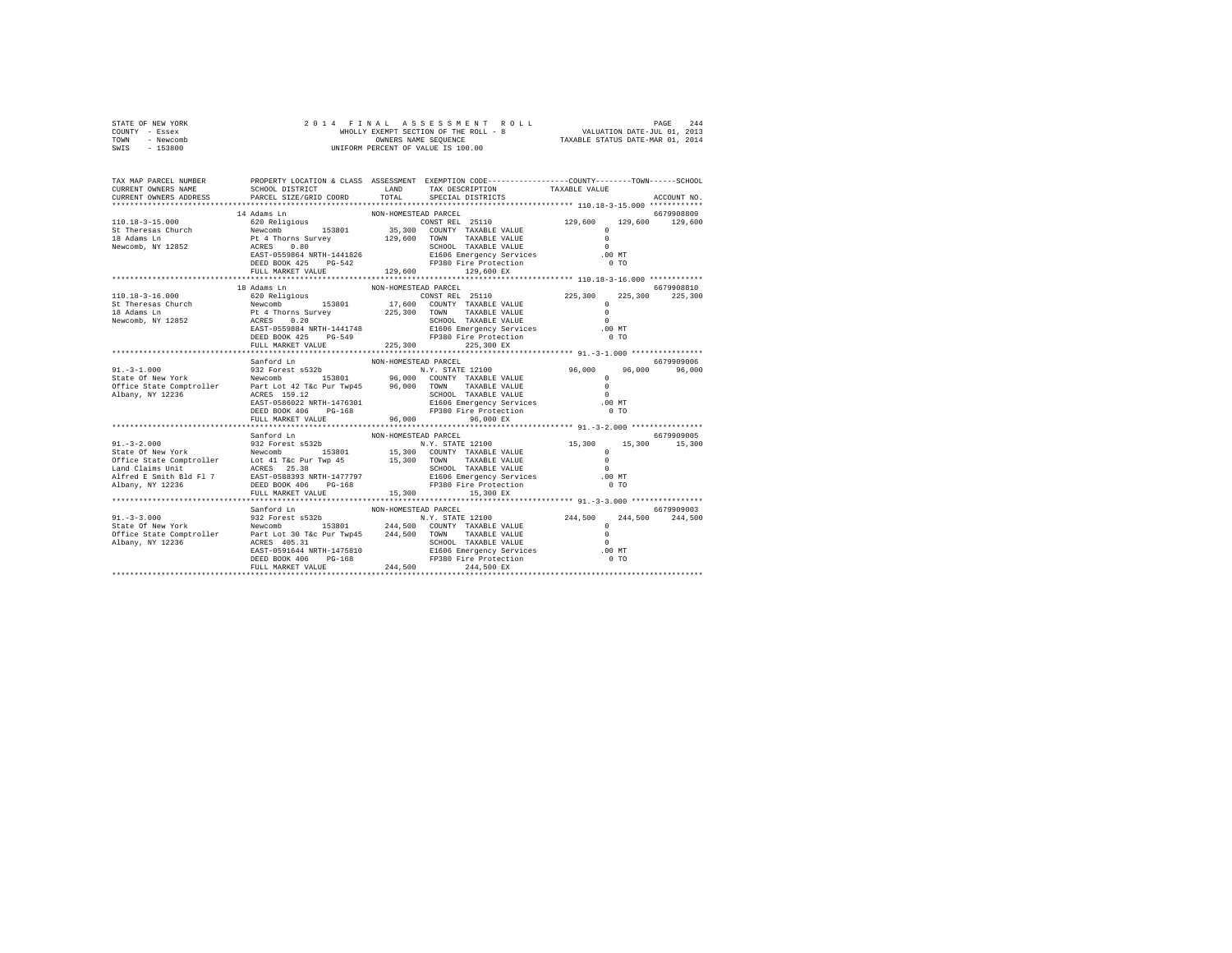|                | STATE OF NEW YORK |  |  |  | 2014 FINAL ASSESSMENT ROLL                               | PAGE                        | 244 |
|----------------|-------------------|--|--|--|----------------------------------------------------------|-----------------------------|-----|
| COUNTY - Essex |                   |  |  |  | WHOLLY EXEMPT SECTION OF THE ROLL - 8                    | VALUATION DATE-JUL 01, 2013 |     |
| TOWN           | - Newcomb         |  |  |  | TAXABLE STATUS DATE-MAR 01, 2014<br>OWNERS NAME SEOUENCE |                             |     |
| SWIS           | - 153800          |  |  |  | UNIFORM PERCENT OF VALUE IS 100.00                       |                             |     |

| TAX MAP PARCEL NUMBER<br>CURRENT OWNERS NAME<br>CURRENT OWNERS ADDRESS | PARCEL SIZE/GRID COORD                                   | PROPERTY LOCATION & CLASS ASSESSMENT EXEMPTION CODE----------------COUNTY-------TOWN------SCHOOL                                                                                                                                                                                                                                                                                                                                                            | ACCOUNT NO.                   |
|------------------------------------------------------------------------|----------------------------------------------------------|-------------------------------------------------------------------------------------------------------------------------------------------------------------------------------------------------------------------------------------------------------------------------------------------------------------------------------------------------------------------------------------------------------------------------------------------------------------|-------------------------------|
|                                                                        |                                                          |                                                                                                                                                                                                                                                                                                                                                                                                                                                             |                               |
|                                                                        | 18 Adams Ln<br>DEED BOOK 425 PG-549<br>FULL MARKET VALUE | NON-HOMESTEAD PARCEL<br>EP380 Fire Protection<br>225,300 225.300 225.300 225                                                                                                                                                                                                                                                                                                                                                                                | 6679908810<br>0 <sub>T</sub>  |
|                                                                        | Sanford Ln                                               | NON-HOMESTEAD PARCEL                                                                                                                                                                                                                                                                                                                                                                                                                                        | 6679909006                    |
|                                                                        | DEED BOOK 406 PG-168                                     | 91. -3-1.000<br>State of New York N.Y. STATE 12100 96,000 96,000 96,000 96,000 96,000 96,000 96,000 96,000 96,000 96,000 96,000<br>State State Comptroller Part Lot 42 T&c Pur Twp45 96,000 TOWN TAXABLE VALUE 0<br>ALDANY, NY 1223<br>0 5CHOOL TAXABLE VALUE (1991) 9CHOOL TAXABLE VALUE (1992) 1994) 9CHOOL TAXABLE VALUE<br>EAST-0586022 NRTH-1476301 (1992) 21606 Emergency Services (1998) 100 MT<br>DEED BOOK 406 PG-168 (1998) PP380 Fire Protection |                               |
|                                                                        | FULL MARKET VALUE 96,000                                 | 96,000 EX                                                                                                                                                                                                                                                                                                                                                                                                                                                   |                               |
|                                                                        | Sanford Ln                                               | NON-HOMESTEAD PARCEL<br>$\begin{tabular}{l c c c c c} \hline 911.-3-2.000 & 844444544 & 8679909005 & 8008--HOMESTRB 12100 & 15,300 & 15,300 & 15,300 & 15,300 \\ \hline \hline \end{tabular} \begin{tabular}{l c c c c} \hline 8679909005 & 8679909005 & 8679909005 & 8679909005 & 8679909005 \\ \hline \end{tabular} \begin{tabular}{l c c c$                                                                                                              | 6679909005                    |
|                                                                        |                                                          |                                                                                                                                                                                                                                                                                                                                                                                                                                                             |                               |
|                                                                        | Sanford Ln                                               | NON-HOMESTEAD PARCEL<br>$\begin{tabular}{lcccc} 91.-3-3.000 & 91.01 & 8008-H000537EAD & 1010 & 1010 & 1010 & 1010 & 1010 & 1010 & 1010 & 1010 & 1010 & 1010 & 1010 & 1010 & 1010 & 1010 & 1010 & 1010 & 1010 & 1010 & 1010 & 1010 & 1010 & 1010 & 1010 & 1010 & 1010 & 1010 & 1010 & 1010 & 1010 & 1$                                                                                                                                                       | 6679909003<br>244,500 244,500 |
|                                                                        |                                                          |                                                                                                                                                                                                                                                                                                                                                                                                                                                             |                               |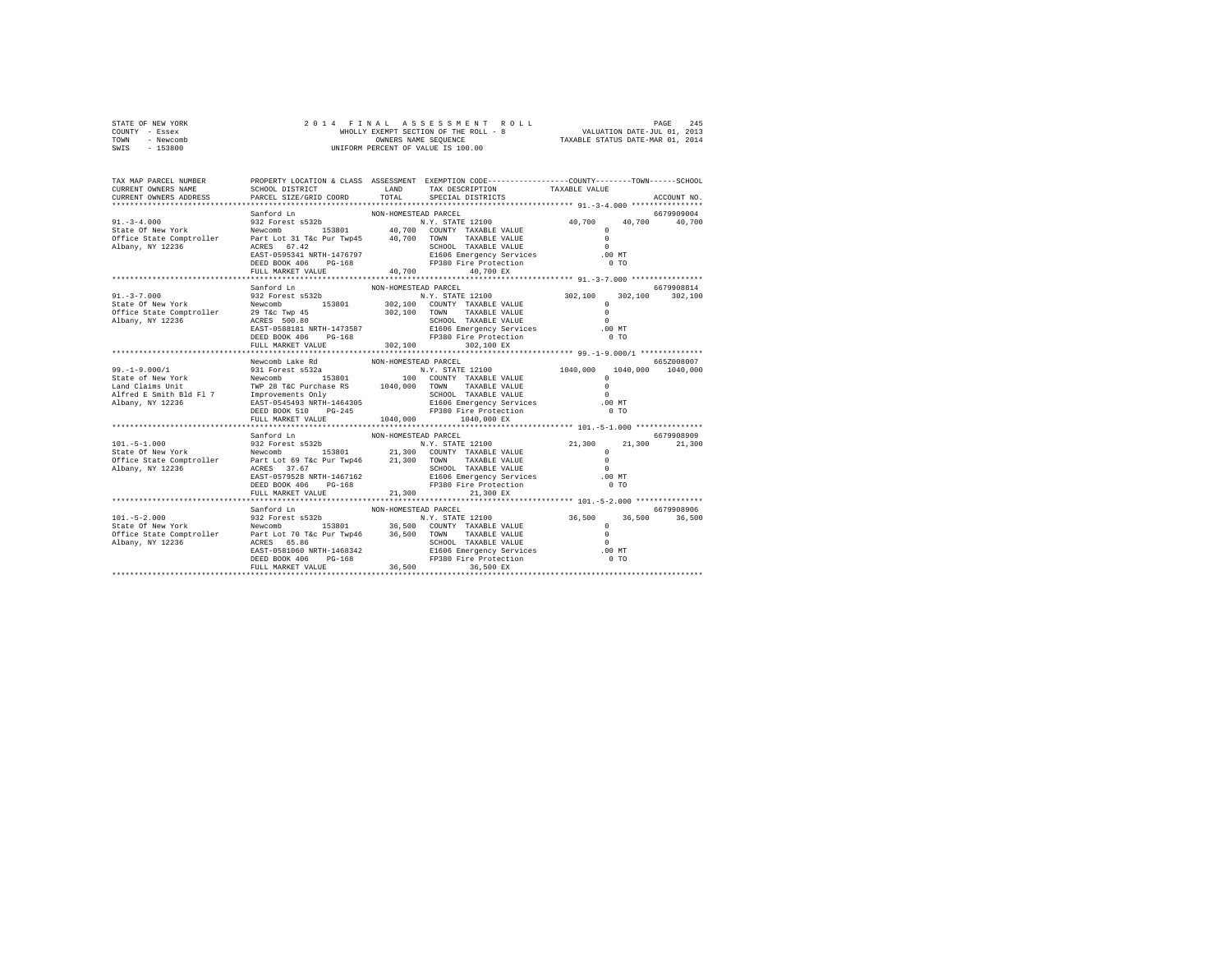| STATE OF NEW YORK | 2014 FINAL ASSESSMENT ROLL            | 245<br>PAGE                      |
|-------------------|---------------------------------------|----------------------------------|
| COUNTY - Essex    | WHOLLY EXEMPT SECTION OF THE ROLL - 8 | VALUATION DATE-JUL 01, 2013      |
| TOWN<br>- Newcomb | OWNERS NAME SEOUENCE                  | TAXABLE STATUS DATE-MAR 01, 2014 |
| - 153800<br>SWIS  | UNIFORM PERCENT OF VALUE IS 100.00    |                                  |

| TAX MAP PARCEL NUMBER<br>CURRENT OWNERS NAME<br>CURRENT OWNERS ADDRESS                                                                                                                                                                                                                                                                                                                                                                       | PARCEL SIZE/GRID COORD TOTAL SPECIAL DISTRICTS |                      | PROPERTY LOCATION & CLASS ASSESSMENT EXEMPTION CODE----------------COUNTY-------TOWN------SCHOOL | ACCOUNT NO. |
|----------------------------------------------------------------------------------------------------------------------------------------------------------------------------------------------------------------------------------------------------------------------------------------------------------------------------------------------------------------------------------------------------------------------------------------------|------------------------------------------------|----------------------|--------------------------------------------------------------------------------------------------|-------------|
| $\begin{tabular}{l c c c c c} \multicolumn{4}{c c c c} \multicolumn{4}{c c c} \multicolumn{4}{c c c} \multicolumn{4}{c c c} \multicolumn{4}{c c c} \multicolumn{4}{c c c} \multicolumn{4}{c c c} \multicolumn{4}{c c c} \multicolumn{4}{c c c} \multicolumn{4}{c c c} \multicolumn{4}{c c c} \multicolumn{4}{c c c} \multicolumn{4}{c c c} \multicolumn{4}{c c c} \multicolumn{4}{c c c} \multicolumn{$                                      | FULL MARKET VALUE 40,700                       |                      | 40.700 EX                                                                                        |             |
| $\begin{tabular}{l c c c c c} \multicolumn{4}{c}{\textbf{S11}} & \multicolumn{4}{c}{\textbf{S12}} & \multicolumn{4}{c}{\textbf{S12}} & \multicolumn{4}{c}{\textbf{S12}} & \multicolumn{4}{c}{\textbf{S12}} & \multicolumn{4}{c}{\textbf{S12}} & \multicolumn{4}{c}{\textbf{S12}} & \multicolumn{4}{c}{\textbf{S12}} & \multicolumn{4}{c}{\textbf{S12}} & \multicolumn{4}{c}{\textbf{S12}} & \multicolumn{4}{c}{\textbf{S12}} & \multicolumn$ |                                                |                      |                                                                                                  |             |
|                                                                                                                                                                                                                                                                                                                                                                                                                                              | Newcomb Lake Rd<br>FULL MARKET VALUE 1040,000  | NON-HOMESTEAD PARCEL | 1040,000 EX                                                                                      | 665Z008007  |
|                                                                                                                                                                                                                                                                                                                                                                                                                                              | Sanford Ln                                     | NON-HOMESTEAD PARCEL |                                                                                                  | 6679908909  |
|                                                                                                                                                                                                                                                                                                                                                                                                                                              | Sanford Ln                                     | NON-HOMESTEAD PARCEL |                                                                                                  | 6679908906  |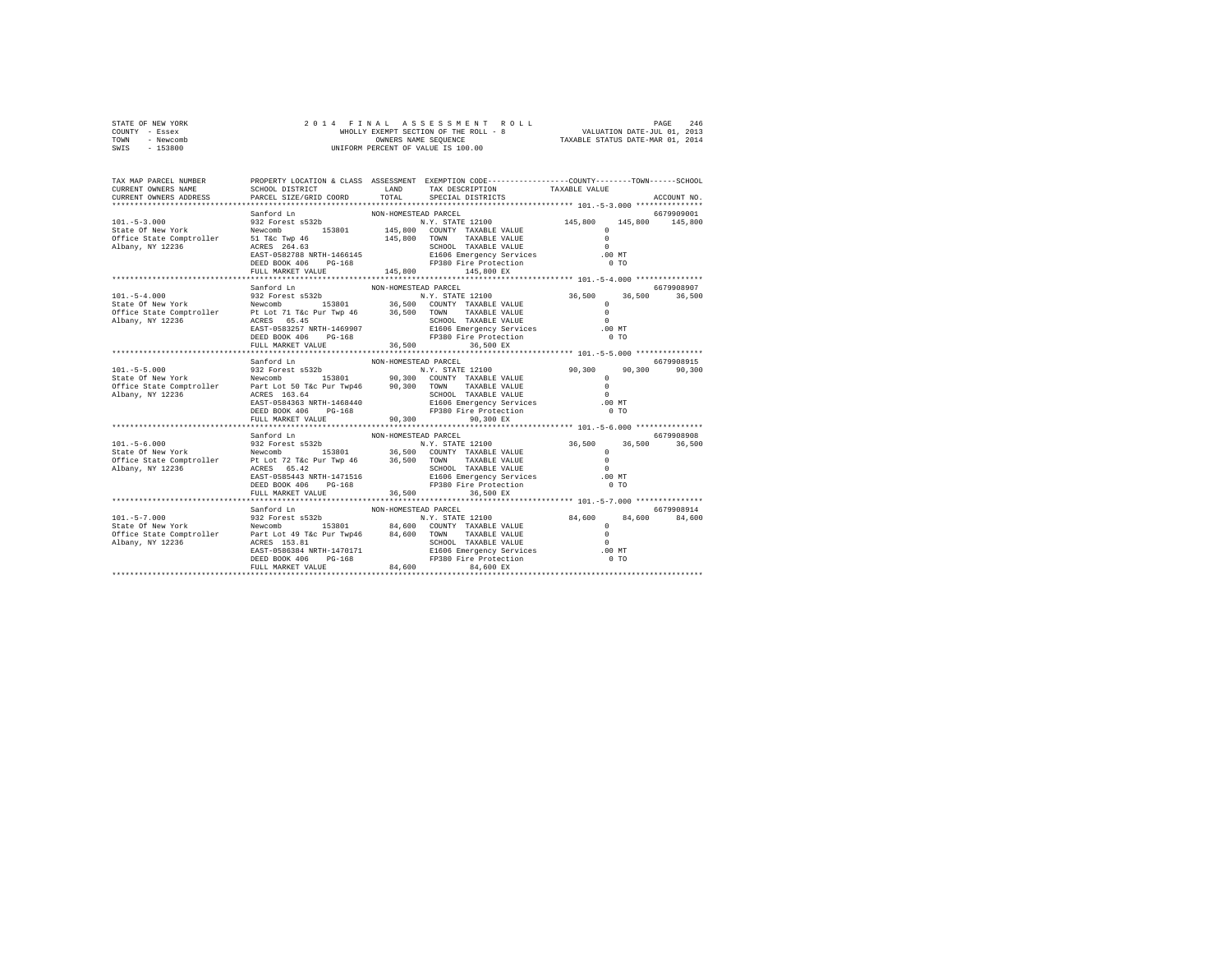| STATE OF NEW YORK | 2014 FINAL ASSESSMENT ROLL            | 246<br>PAGE                      |
|-------------------|---------------------------------------|----------------------------------|
| COUNTY - Essex    | WHOLLY EXEMPT SECTION OF THE ROLL - 8 | VALUATION DATE-JUL 01, 2013      |
| TOWN<br>- Newcomb | OWNERS NAME SEOUENCE                  | TAXABLE STATUS DATE-MAR 01, 2014 |
| - 153800<br>SWIS  | UNIFORM PERCENT OF VALUE IS 100.00    |                                  |

| TAX MAP PARCEL NUMBER<br>CURRENT OWNERS NAME<br>CURRENT OWNERS ADDRESS                                                                                                                                                                                                                                                                                                                                                           | PARCEL SIZE/GRID COORD                                  |                                | PROPERTY LOCATION & CLASS ASSESSMENT EXEMPTION CODE---------------COUNTY-------TOWN-----SCHOOL<br>SCHOOL DISTRICT                      LAND        TAX DESCRIPTION                 TAXABLE VALUE<br>TOTAL SPECIAL DISTRICTS |                | ACCOUNT NO. |
|----------------------------------------------------------------------------------------------------------------------------------------------------------------------------------------------------------------------------------------------------------------------------------------------------------------------------------------------------------------------------------------------------------------------------------|---------------------------------------------------------|--------------------------------|-----------------------------------------------------------------------------------------------------------------------------------------------------------------------------------------------------------------------------|----------------|-------------|
| $\begin{tabular}{l c c c c c} \multicolumn{3}{c}{\textbf{Sanford Ln}} & \multicolumn{3}{c}{\textbf{NON-HOMESTED PARCEL}} & \multicolumn{3}{c}{\textbf{NOM-HOMESTED PARCEL}} & \multicolumn{3}{c}{\textbf{145,800}} & \multicolumn{3}{c}{\textbf{145,800}} & \multicolumn{3}{c}{\textbf{145,800}} & \multicolumn{3}{c}{\textbf{145,800}} & \multicolumn{3}{c}{\textbf{145,800}} & \multicolumn{3}{c}{\textbf{145,800}} & \multic$ |                                                         |                                |                                                                                                                                                                                                                             |                |             |
|                                                                                                                                                                                                                                                                                                                                                                                                                                  | Sanford Ln<br>DEED BOOK 406 PG-168<br>FULL MARKET VALUE | NON-HOMESTEAD PARCEL<br>36,500 | FP380 Fire Protection<br>36,500 EX                                                                                                                                                                                          | 0 <sub>T</sub> | 6679908907  |
|                                                                                                                                                                                                                                                                                                                                                                                                                                  | Sanford Ln<br>DEED BOOK 406 PG-168                      | NON-HOMESTEAD PARCEL           | 0 5CHOOL TAXABLE VALUE (1997)<br>EAST-0584363 NRTH-1468440 21606 Emergency Services (1998)<br>DEED BOOK 406 PG-168 (1998) PD380 Fire Protection (1998) 0 TO<br>FP380 Fire Protection                                        | 0 <sub>T</sub> | 6679908915  |
|                                                                                                                                                                                                                                                                                                                                                                                                                                  | FULL MARKET VALUE 90,300                                |                                | 90.300 EX                                                                                                                                                                                                                   |                |             |
|                                                                                                                                                                                                                                                                                                                                                                                                                                  | Sanford Ln<br>FULL MARKET VALUE $36,500$ 36,500 EX      | NON-HOMESTEAD PARCEL           |                                                                                                                                                                                                                             |                | 6679908908  |
|                                                                                                                                                                                                                                                                                                                                                                                                                                  | Sanford Ln                                              | NON-HOMESTEAD PARCEL           |                                                                                                                                                                                                                             |                | 6679908914  |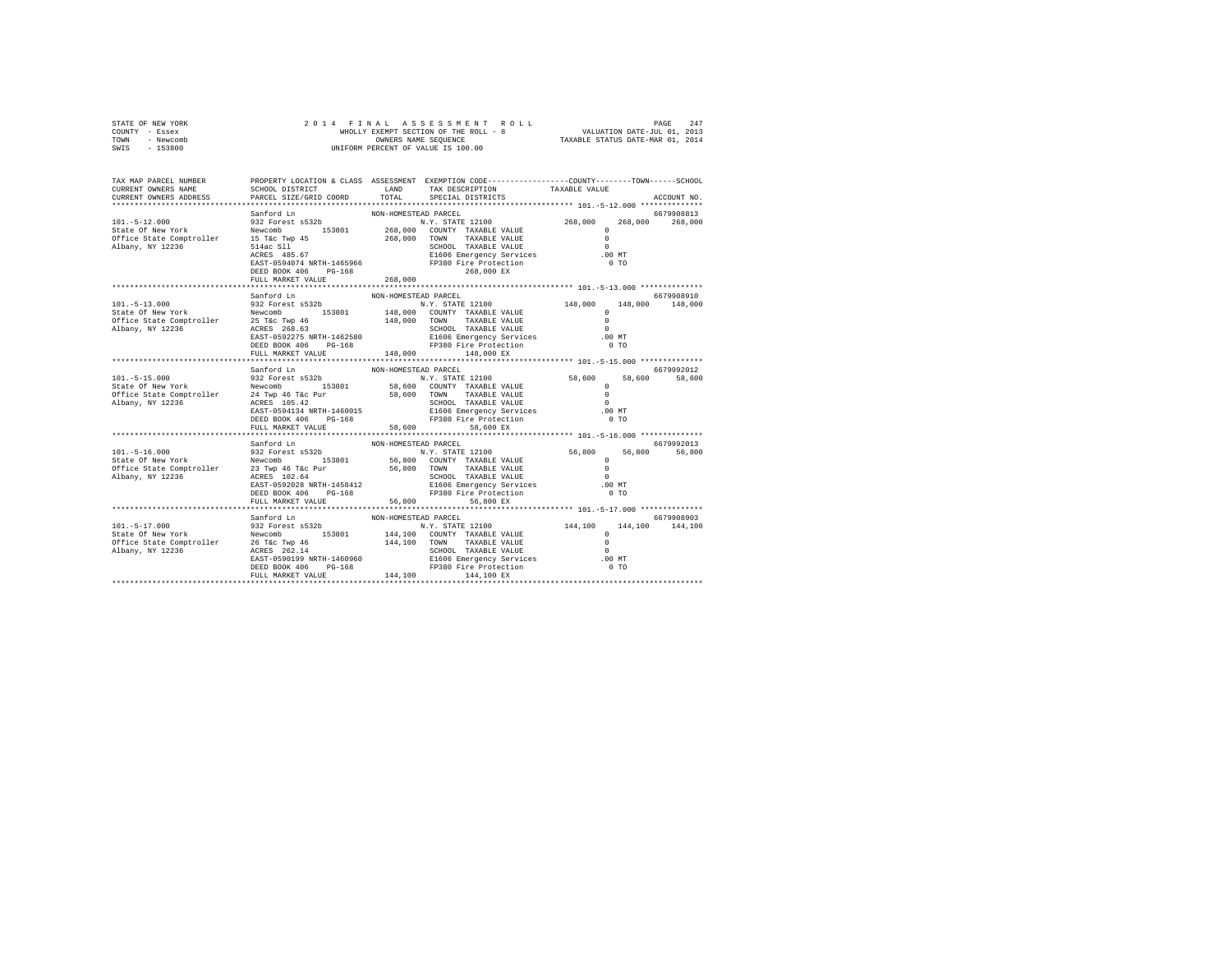|      | STATE OF NEW YORK | 2014 FINAL ASSESSMENT ROLL            | PAGE                             | 247 |
|------|-------------------|---------------------------------------|----------------------------------|-----|
|      | COUNTY - Essex    | WHOLLY EXEMPT SECTION OF THE ROLL - 8 | VALUATION DATE-JUL 01, 2013      |     |
| TOWN | - Newcomb         | OWNERS NAME SEOUENCE                  | TAXABLE STATUS DATE-MAR 01, 2014 |     |
| SWIS | $-153800$         | UNIFORM PERCENT OF VALUE IS 100.00    |                                  |     |

| TAX MAP PARCEL NUMBER<br>CURRENT OWNERS NAME<br>CURRENT OWNERS ADDRESS                                                                                                                                                                                                                                                                                                                                                         | SCHOOL DISTRICT LAND<br>PARCEL SIZE/GRID COORD | TOTAL                | PROPERTY LOCATION & CLASS ASSESSMENT EXEMPTION CODE----------------COUNTY-------TOWN------SCHOOL<br>TAX DESCRIPTION TAXABLE VALUE<br>SPECIAL DISTRICTS |                                            | ACCOUNT NO.                   |
|--------------------------------------------------------------------------------------------------------------------------------------------------------------------------------------------------------------------------------------------------------------------------------------------------------------------------------------------------------------------------------------------------------------------------------|------------------------------------------------|----------------------|--------------------------------------------------------------------------------------------------------------------------------------------------------|--------------------------------------------|-------------------------------|
|                                                                                                                                                                                                                                                                                                                                                                                                                                |                                                |                      |                                                                                                                                                        |                                            |                               |
|                                                                                                                                                                                                                                                                                                                                                                                                                                |                                                |                      |                                                                                                                                                        |                                            |                               |
|                                                                                                                                                                                                                                                                                                                                                                                                                                |                                                |                      |                                                                                                                                                        |                                            |                               |
|                                                                                                                                                                                                                                                                                                                                                                                                                                | Sanford Ln                                     | NON-HOMESTEAD PARCEL |                                                                                                                                                        |                                            | 6679908910<br>148,000 148,000 |
|                                                                                                                                                                                                                                                                                                                                                                                                                                |                                                |                      |                                                                                                                                                        |                                            |                               |
| $\begin{tabular}{l c c c c c} \multicolumn{3}{c}{\textbf{321}}\begin{tabular}{l c c c} \multicolumn{3}{c}{\textbf{332}}\begin{tabular}{l c c c} \multicolumn{3}{c}{\textbf{332}}\begin{tabular}{l c c c} \multicolumn{3}{c}{\textbf{332}}\begin{tabular}{l c c} \multicolumn{3}{c}{\textbf{332}}\begin{tabular}{l c} \multicolumn{3}{c}{\textbf{332}}\begin{tabular}{l c} \multicolumn{3}{c}{\textbf{332}}\begin{tabular}{l c$ | FULL MARKET VALUE                              | 58,600               | DEED BOOK 406 PG-168 FP380 Fire Protection<br>58,600 EX                                                                                                | 58,600 58,600 58,600<br>$.00$ MT<br>$0$ TO | 6679992012                    |
|                                                                                                                                                                                                                                                                                                                                                                                                                                |                                                |                      |                                                                                                                                                        |                                            |                               |
|                                                                                                                                                                                                                                                                                                                                                                                                                                | Sanford Ln                                     | NON-HOMESTEAD PARCEL |                                                                                                                                                        |                                            | 6679992013<br>56,800          |
|                                                                                                                                                                                                                                                                                                                                                                                                                                |                                                |                      |                                                                                                                                                        |                                            |                               |
|                                                                                                                                                                                                                                                                                                                                                                                                                                | Sanford Ln                                     | NON-HOMESTEAD PARCEL |                                                                                                                                                        |                                            | 6679908903                    |
|                                                                                                                                                                                                                                                                                                                                                                                                                                |                                                |                      |                                                                                                                                                        |                                            |                               |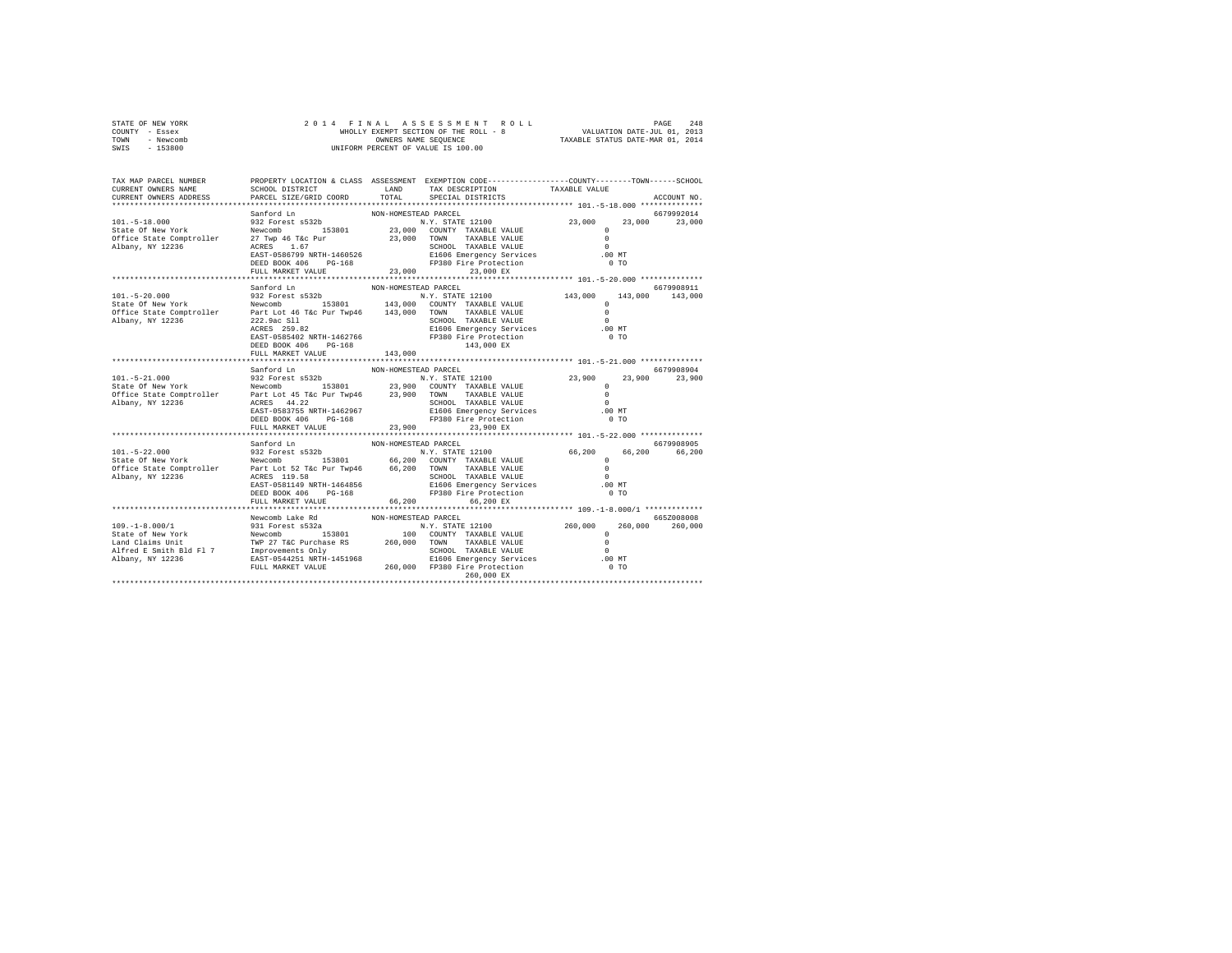| STATE OF NEW YORK | 2014 FINAL ASSESSMENT ROLL            | 248<br>PAGE                      |
|-------------------|---------------------------------------|----------------------------------|
| COUNTY - Essex    | WHOLLY EXEMPT SECTION OF THE ROLL - 8 | VALUATION DATE-JUL 01, 2013      |
| TOWN<br>- Newcomb | OWNERS NAME SEOUENCE                  | TAXABLE STATUS DATE-MAR 01, 2014 |
| - 153800<br>SWIS  | UNIFORM PERCENT OF VALUE IS 100.00    |                                  |

| TAX MAP PARCEL NUMBER<br>CURRENT OWNERS NAME                                                                                                                                                                                                               | SCHOOL DISTRICT<br>PARCEL SIZE/GRID COORD                                                                              | LAND<br>TOTAL                   | PROPERTY LOCATION & CLASS ASSESSMENT EXEMPTION CODE---------------COUNTY-------TOWN-----SCHOOL<br>TAX DESCRIPTION                                  | TAXABLE VALUE                                              |                               |
|------------------------------------------------------------------------------------------------------------------------------------------------------------------------------------------------------------------------------------------------------------|------------------------------------------------------------------------------------------------------------------------|---------------------------------|----------------------------------------------------------------------------------------------------------------------------------------------------|------------------------------------------------------------|-------------------------------|
| CURRENT OWNERS ADDRESS                                                                                                                                                                                                                                     |                                                                                                                        |                                 | SPECIAL DISTRICTS                                                                                                                                  |                                                            | ACCOUNT NO.                   |
|                                                                                                                                                                                                                                                            | Sanford Ln                                                                                                             | NON-HOMESTEAD PARCEL            |                                                                                                                                                    |                                                            | 6679992014                    |
| $101. - 5 - 18.000$<br>State Of New York<br>State Of New York<br>Office State Comptroller<br>27 Twp 46 T&c Pur<br>Albany, NY 12236                                                                                                                         | santord Ln<br>932 Forest s532b<br>ACRES 1.67<br>EAST-0586799 NRTH-1460526<br>DEED BOOK 406 PG-168<br>FULL MARKET VALUE |                                 | SCHOOL TAXABLE VALUE<br>E1606 Emergency Services .00 MT<br>FP380 Fire Protection<br>23,000<br>23,000 EX                                            | $0$ TO                                                     |                               |
|                                                                                                                                                                                                                                                            |                                                                                                                        |                                 |                                                                                                                                                    |                                                            |                               |
| $101. - 5 - 20.000$<br>N.Y. STATE 12100<br>State Of New York Mewcomb New 153801 143,000 COUNTY TAXABLE VALUE<br>Office State Comptroller Part Lot 46 T&c Pur Twp46 143,000 TOWN TAXABLE VALUE<br>Albany, NY 12236 222.9ac S11 SCHOOL TAXABLE VALUE         | Sanford Ln<br>932 Forest s532b<br>222.9ac S11<br>ACRES 259.82<br>DEED BOOK 406 PG-168<br>FULL MARKET VALUE             | NON-HOMESTEAD PARCEL<br>143,000 | N.Y. STATE 12100 143,000 143,000 143,000<br>ACRES 259.82 E1606 Emergency Services<br>EAST-0585402 NRTH-1462766 FP380 Fire Protection<br>143,000 EX | $\Omega$<br>$\overline{0}$<br>$\Omega$<br>.00 MT<br>$0$ TO | 6679908911                    |
|                                                                                                                                                                                                                                                            |                                                                                                                        |                                 |                                                                                                                                                    |                                                            |                               |
| $101. - 5 - 21.000$<br>UUI-J-24.1000<br>State of New York Mewcomb 153801 23,900 COUNTY TAXABLE VALUE OF New York Newcomb 153801 23,900 COUNTY TAXABLE VALUE 0<br>Office State Comptroller Part Lot 45 T&C Pur Twp46 23,900 TOWN TAXABLE VALUE 0<br>Albany, | Sanford Ln<br>932 Forest s532b<br>DEED BOOK 406 PG-168<br>FULL MARKET VALUE                                            | NON-HOMESTEAD PARCEL<br>23,900  | N.Y. STATE 12100<br>FP380 Fire Protection<br>23,900 EX                                                                                             | 23,900 23,900 23,900<br>$.00$ MT<br>$0$ TO                 | 6679908904                    |
|                                                                                                                                                                                                                                                            | Sanford Ln                                                                                                             | NON-HOMESTEAD PARCEL            |                                                                                                                                                    |                                                            | 6679908905                    |
| 101.-5-22.000 932 Forest \$532b<br>State Of New York Newcomb 153801 66,200 CONTY TAXABLE VALUE 66,200 66,200<br>State Comptroller Part Lot 52 Tac Pur Twp46 66,200 CONTY TAXABLE VALUE 0<br>Part Lot 52 Tac Pur Twp46 66,200 CONTY TA                      | DEED BOOK 406 PG-168<br>FULL MARKET VALUE 66,200                                                                       |                                 | FP380 Fire Protection<br>66,200 EX                                                                                                                 | $.00$ MT<br>0 <sub>T</sub>                                 | 66,200                        |
|                                                                                                                                                                                                                                                            |                                                                                                                        |                                 |                                                                                                                                                    |                                                            |                               |
|                                                                                                                                                                                                                                                            | Newcomb Lake Rd                                                                                                        | NON-HOMESTEAD PARCEL            |                                                                                                                                                    | .00MT<br>$0$ TO                                            | 665Z008008<br>260,000 260,000 |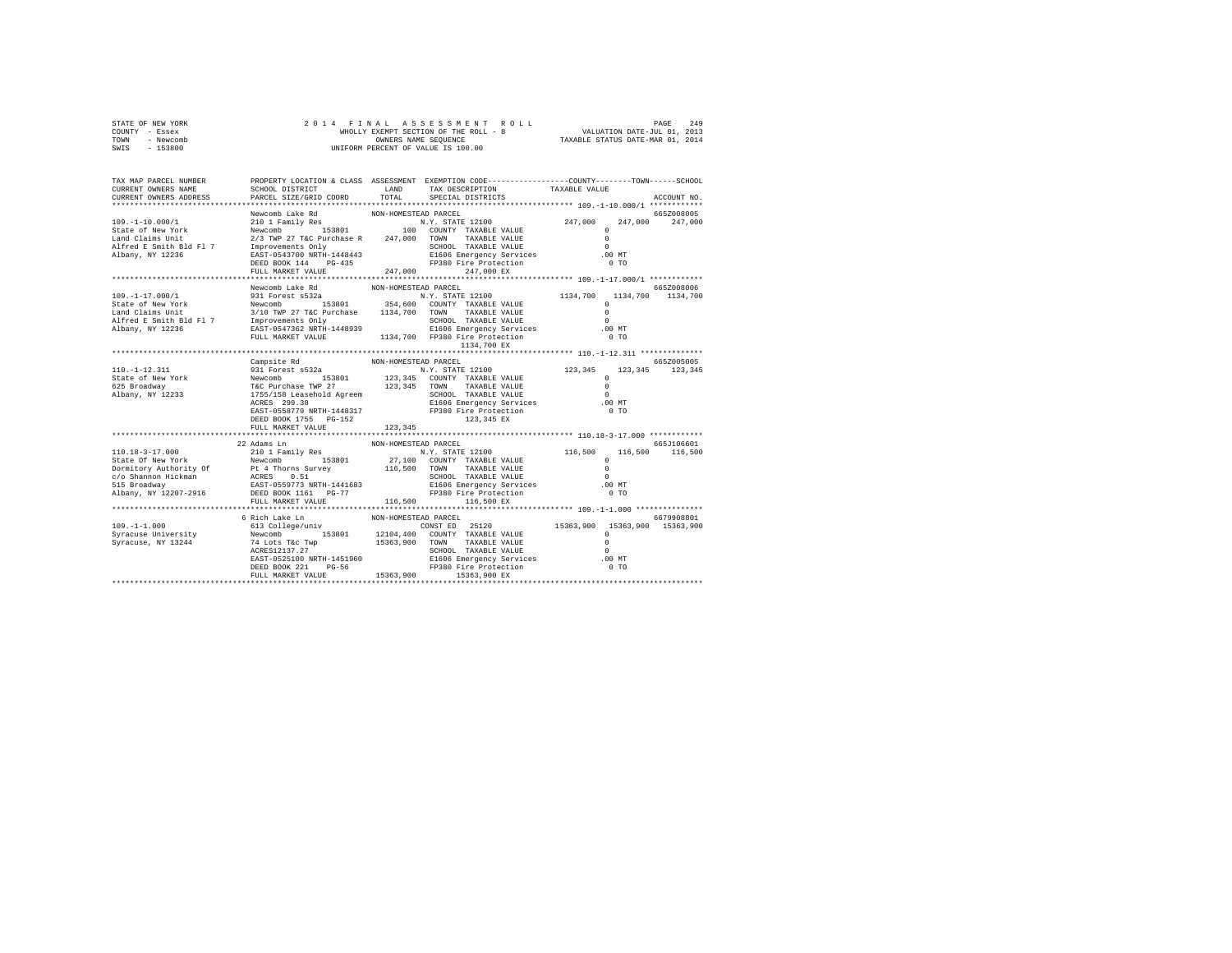| STATE OF NEW YORK<br>COUNTY - Essex<br>TOWN - Newcomb                                                                                                                                                                                                                                                                                                                                                                                                                                                  | 2014 FINAL                                     |                      |                                                                                                 |  |  |                 |
|--------------------------------------------------------------------------------------------------------------------------------------------------------------------------------------------------------------------------------------------------------------------------------------------------------------------------------------------------------------------------------------------------------------------------------------------------------------------------------------------------------|------------------------------------------------|----------------------|-------------------------------------------------------------------------------------------------|--|--|-----------------|
| SWIS<br>$-153800$                                                                                                                                                                                                                                                                                                                                                                                                                                                                                      |                                                |                      |                                                                                                 |  |  |                 |
| TAX MAP PARCEL NUMBER<br>CURRENT OWNERS NAME<br>CURRENT OWNERS ADDRESS                                                                                                                                                                                                                                                                                                                                                                                                                                 | PARCEL SIZE/GRID COORD TOTAL SPECIAL DISTRICTS |                      | PROPERTY LOCATION & CLASS ASSESSMENT EXEMPTION CODE----------------COUNTY-------TOWN-----SCHOOL |  |  | ACCOUNT NO.     |
|                                                                                                                                                                                                                                                                                                                                                                                                                                                                                                        |                                                |                      |                                                                                                 |  |  |                 |
| $\begin{tabular}{l c c c c c} \multicolumn{2}{c}{\textbf{Newcomb Lake Rd}} & \multicolumn{2}{c}{\textbf{Newcomb Lake Rd}} & \multicolumn{2}{c}{\textbf{Newcomb Lake Rd}} & \multicolumn{2}{c}{\textbf{Newcomb Lake N}} & \multicolumn{2}{c}{\textbf{Newcomb Lake N}} & \multicolumn{2}{c}{\textbf{Newcomb} & \textbf{16.82.5} \\ \multicolumn{2}{c}{\textbf{State of New York}} & \multicolumn{2}{c}{\textbf{Newcomb} & \textbf{153801}} & \multicolumn{2}{c}{\textbf{100} & \textbf{COMNT} & \textbf$ |                                                |                      |                                                                                                 |  |  | 665Z008005      |
|                                                                                                                                                                                                                                                                                                                                                                                                                                                                                                        |                                                |                      |                                                                                                 |  |  | 247,000 247,000 |
|                                                                                                                                                                                                                                                                                                                                                                                                                                                                                                        |                                                |                      |                                                                                                 |  |  |                 |
|                                                                                                                                                                                                                                                                                                                                                                                                                                                                                                        |                                                |                      |                                                                                                 |  |  |                 |
|                                                                                                                                                                                                                                                                                                                                                                                                                                                                                                        |                                                |                      |                                                                                                 |  |  |                 |
|                                                                                                                                                                                                                                                                                                                                                                                                                                                                                                        |                                                |                      |                                                                                                 |  |  |                 |
|                                                                                                                                                                                                                                                                                                                                                                                                                                                                                                        |                                                |                      |                                                                                                 |  |  |                 |
|                                                                                                                                                                                                                                                                                                                                                                                                                                                                                                        |                                                |                      |                                                                                                 |  |  |                 |
|                                                                                                                                                                                                                                                                                                                                                                                                                                                                                                        |                                                |                      |                                                                                                 |  |  |                 |
|                                                                                                                                                                                                                                                                                                                                                                                                                                                                                                        |                                                |                      |                                                                                                 |  |  |                 |
|                                                                                                                                                                                                                                                                                                                                                                                                                                                                                                        |                                                |                      |                                                                                                 |  |  |                 |
|                                                                                                                                                                                                                                                                                                                                                                                                                                                                                                        |                                                |                      |                                                                                                 |  |  |                 |
|                                                                                                                                                                                                                                                                                                                                                                                                                                                                                                        |                                                |                      |                                                                                                 |  |  |                 |
|                                                                                                                                                                                                                                                                                                                                                                                                                                                                                                        |                                                |                      |                                                                                                 |  |  |                 |
|                                                                                                                                                                                                                                                                                                                                                                                                                                                                                                        |                                                |                      |                                                                                                 |  |  |                 |
|                                                                                                                                                                                                                                                                                                                                                                                                                                                                                                        |                                                |                      |                                                                                                 |  |  |                 |
|                                                                                                                                                                                                                                                                                                                                                                                                                                                                                                        | Campsite Rd                                    | NON-HOMESTEAD PARCEL |                                                                                                 |  |  | 6657005005      |
|                                                                                                                                                                                                                                                                                                                                                                                                                                                                                                        |                                                |                      |                                                                                                 |  |  |                 |
|                                                                                                                                                                                                                                                                                                                                                                                                                                                                                                        |                                                |                      |                                                                                                 |  |  |                 |
|                                                                                                                                                                                                                                                                                                                                                                                                                                                                                                        |                                                |                      |                                                                                                 |  |  |                 |
|                                                                                                                                                                                                                                                                                                                                                                                                                                                                                                        |                                                |                      |                                                                                                 |  |  |                 |
|                                                                                                                                                                                                                                                                                                                                                                                                                                                                                                        |                                                |                      |                                                                                                 |  |  |                 |
|                                                                                                                                                                                                                                                                                                                                                                                                                                                                                                        |                                                |                      |                                                                                                 |  |  |                 |
|                                                                                                                                                                                                                                                                                                                                                                                                                                                                                                        | DEED BOOK 1755 PG-152                          |                      |                                                                                                 |  |  |                 |
|                                                                                                                                                                                                                                                                                                                                                                                                                                                                                                        | FULL MARKET VALUE 123.345                      |                      |                                                                                                 |  |  |                 |
|                                                                                                                                                                                                                                                                                                                                                                                                                                                                                                        |                                                |                      |                                                                                                 |  |  |                 |
|                                                                                                                                                                                                                                                                                                                                                                                                                                                                                                        | 22 Adams Ln                                    | NON-HOMESTEAD PARCEL |                                                                                                 |  |  | 665J106601      |
|                                                                                                                                                                                                                                                                                                                                                                                                                                                                                                        |                                                |                      |                                                                                                 |  |  |                 |
|                                                                                                                                                                                                                                                                                                                                                                                                                                                                                                        |                                                |                      |                                                                                                 |  |  |                 |
|                                                                                                                                                                                                                                                                                                                                                                                                                                                                                                        |                                                |                      |                                                                                                 |  |  |                 |
|                                                                                                                                                                                                                                                                                                                                                                                                                                                                                                        |                                                |                      |                                                                                                 |  |  |                 |
|                                                                                                                                                                                                                                                                                                                                                                                                                                                                                                        |                                                |                      |                                                                                                 |  |  |                 |
|                                                                                                                                                                                                                                                                                                                                                                                                                                                                                                        | FULL MARKET VALUE 116,500 116,500 EX           |                      |                                                                                                 |  |  |                 |
|                                                                                                                                                                                                                                                                                                                                                                                                                                                                                                        |                                                |                      |                                                                                                 |  |  |                 |
|                                                                                                                                                                                                                                                                                                                                                                                                                                                                                                        |                                                |                      |                                                                                                 |  |  |                 |
|                                                                                                                                                                                                                                                                                                                                                                                                                                                                                                        |                                                |                      |                                                                                                 |  |  |                 |
|                                                                                                                                                                                                                                                                                                                                                                                                                                                                                                        |                                                |                      |                                                                                                 |  |  |                 |
|                                                                                                                                                                                                                                                                                                                                                                                                                                                                                                        |                                                |                      |                                                                                                 |  |  |                 |
|                                                                                                                                                                                                                                                                                                                                                                                                                                                                                                        |                                                |                      |                                                                                                 |  |  |                 |
|                                                                                                                                                                                                                                                                                                                                                                                                                                                                                                        |                                                |                      |                                                                                                 |  |  |                 |
| $[199, -11, 000] \label{eq:20} \begin{tabular}{lllllllllll} \multicolumn{2}{c}{\textbf{6.679908801}} & \multicolumn{2}{c}{\textbf{6.679908801}} & \multicolumn{2}{c}{\textbf{6.679908801}} & \multicolumn{2}{c}{\textbf{6.679908801}} & \multicolumn{2}{c}{\textbf{6.679908801}} & \multicolumn{2}{c}{\textbf{6.679908801}} & \multicolumn{2}{c}{\textbf{6.679908801}} & \multic$                                                                                                                      |                                                |                      |                                                                                                 |  |  |                 |
|                                                                                                                                                                                                                                                                                                                                                                                                                                                                                                        |                                                |                      | *********************************                                                               |  |  |                 |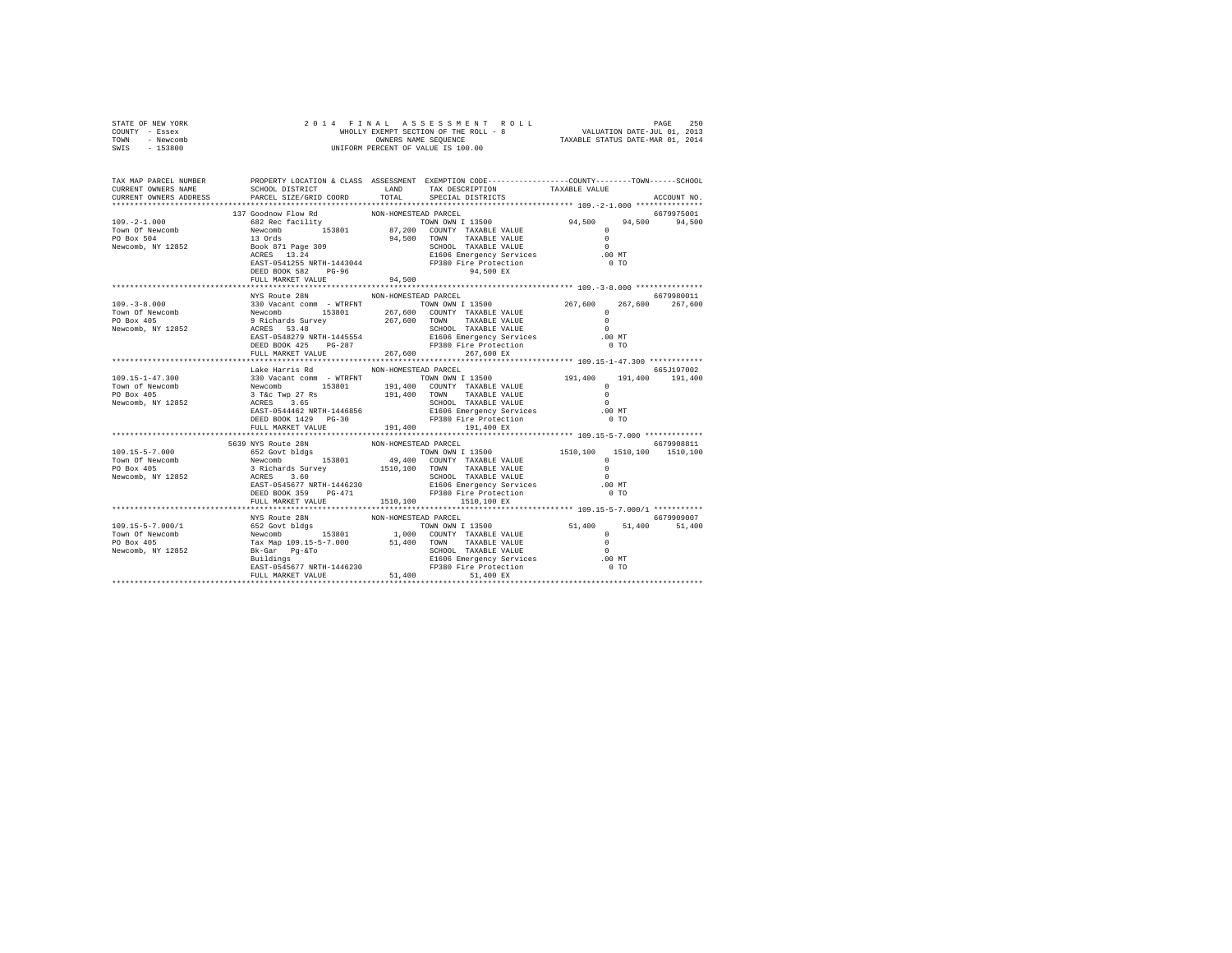| STATE OF NEW YORK<br>COUNTY - Essex<br>TOWN - Newcomb<br>SWIS - 153800                                                                                                                                                                                                                                                                                                                                                              |                                                                                                                          |                      |                 |  |                |  |                 |
|-------------------------------------------------------------------------------------------------------------------------------------------------------------------------------------------------------------------------------------------------------------------------------------------------------------------------------------------------------------------------------------------------------------------------------------|--------------------------------------------------------------------------------------------------------------------------|----------------------|-----------------|--|----------------|--|-----------------|
| TAX MAP PARCEL NUMBER<br>CURRENT OWNERS NAME<br>CURRENT OWNERS ADDRESS PARCEL SIZE/GRID COORD TOTAL SPECIAL DISTRICTS                                                                                                                                                                                                                                                                                                               | PROPERTY LOCATION & CLASS ASSESSMENT EXEMPTION CODE----------------COUNTY-------TOWN------SCHOOL<br>SCHOOL DISTRICT LAND |                      | TAX DESCRIPTION |  | TAXABLE VALUE  |  | ACCOUNT NO.     |
|                                                                                                                                                                                                                                                                                                                                                                                                                                     |                                                                                                                          |                      |                 |  |                |  |                 |
|                                                                                                                                                                                                                                                                                                                                                                                                                                     |                                                                                                                          |                      |                 |  |                |  |                 |
|                                                                                                                                                                                                                                                                                                                                                                                                                                     |                                                                                                                          |                      |                 |  |                |  |                 |
|                                                                                                                                                                                                                                                                                                                                                                                                                                     |                                                                                                                          |                      |                 |  |                |  |                 |
|                                                                                                                                                                                                                                                                                                                                                                                                                                     |                                                                                                                          |                      |                 |  |                |  |                 |
|                                                                                                                                                                                                                                                                                                                                                                                                                                     |                                                                                                                          |                      |                 |  |                |  |                 |
|                                                                                                                                                                                                                                                                                                                                                                                                                                     |                                                                                                                          |                      |                 |  |                |  |                 |
|                                                                                                                                                                                                                                                                                                                                                                                                                                     | FULL MARKET VALUE 94,500                                                                                                 |                      |                 |  |                |  |                 |
|                                                                                                                                                                                                                                                                                                                                                                                                                                     |                                                                                                                          |                      |                 |  |                |  |                 |
|                                                                                                                                                                                                                                                                                                                                                                                                                                     | NYS Route 28N                                                                                                            | NON-HOMESTEAD PARCEL |                 |  |                |  | 6679980011      |
| $\begin{tabular}{lllllllllllll} \textbf{109. -3-8.000} & \textbf{330 Vacant com} & \textbf{5300 Vacant com} & \textbf{5300 Vacant com} & \textbf{5300 Vacant com} & \textbf{5300 Vacant com} & \textbf{5300 Vacant com} & \textbf{5300 Vacant com} & \textbf{5300 Vacant com} & \textbf{5300 Vacant com} & \textbf{5300 Vacant com} & \textbf{5300 Vacant com} & \textbf{5300 Vacant com} & \textbf{5300 Vacant com} & \textbf{530$ |                                                                                                                          |                      |                 |  |                |  | 267,600 267,600 |
|                                                                                                                                                                                                                                                                                                                                                                                                                                     |                                                                                                                          |                      |                 |  |                |  |                 |
|                                                                                                                                                                                                                                                                                                                                                                                                                                     |                                                                                                                          |                      |                 |  |                |  |                 |
|                                                                                                                                                                                                                                                                                                                                                                                                                                     |                                                                                                                          |                      |                 |  | .00 MT         |  |                 |
|                                                                                                                                                                                                                                                                                                                                                                                                                                     |                                                                                                                          |                      |                 |  | 0 <sub>T</sub> |  |                 |
|                                                                                                                                                                                                                                                                                                                                                                                                                                     | FULL MARKET VALUE 267,600 267,600 EX                                                                                     |                      |                 |  |                |  |                 |
|                                                                                                                                                                                                                                                                                                                                                                                                                                     |                                                                                                                          |                      |                 |  |                |  |                 |
|                                                                                                                                                                                                                                                                                                                                                                                                                                     | Lake Harris Rd                                                                                                           | NON-HOMESTEAD PARCEL |                 |  |                |  | 665J197002      |
|                                                                                                                                                                                                                                                                                                                                                                                                                                     |                                                                                                                          |                      |                 |  |                |  | 191,400 191,400 |
|                                                                                                                                                                                                                                                                                                                                                                                                                                     |                                                                                                                          |                      |                 |  |                |  |                 |
|                                                                                                                                                                                                                                                                                                                                                                                                                                     |                                                                                                                          |                      |                 |  |                |  |                 |
|                                                                                                                                                                                                                                                                                                                                                                                                                                     |                                                                                                                          |                      |                 |  |                |  |                 |
|                                                                                                                                                                                                                                                                                                                                                                                                                                     |                                                                                                                          |                      |                 |  | .00MT          |  |                 |
|                                                                                                                                                                                                                                                                                                                                                                                                                                     | FULL MARKET VALUE 191,400 191,400 EX                                                                                     |                      |                 |  | $0$ TO         |  |                 |
|                                                                                                                                                                                                                                                                                                                                                                                                                                     |                                                                                                                          |                      |                 |  |                |  |                 |
|                                                                                                                                                                                                                                                                                                                                                                                                                                     | 5639 NYS Route 28N                                                                                                       | NON-HOMESTEAD PARCEL |                 |  |                |  | 6679908811      |
|                                                                                                                                                                                                                                                                                                                                                                                                                                     |                                                                                                                          |                      |                 |  |                |  |                 |
|                                                                                                                                                                                                                                                                                                                                                                                                                                     |                                                                                                                          |                      |                 |  |                |  |                 |
|                                                                                                                                                                                                                                                                                                                                                                                                                                     |                                                                                                                          |                      |                 |  |                |  |                 |
|                                                                                                                                                                                                                                                                                                                                                                                                                                     |                                                                                                                          |                      |                 |  |                |  |                 |
|                                                                                                                                                                                                                                                                                                                                                                                                                                     |                                                                                                                          |                      |                 |  |                |  |                 |
|                                                                                                                                                                                                                                                                                                                                                                                                                                     |                                                                                                                          |                      |                 |  |                |  |                 |
|                                                                                                                                                                                                                                                                                                                                                                                                                                     | FULL MARKET VALUE $1510,100$ $1510,100$ EX                                                                               |                      |                 |  |                |  |                 |
|                                                                                                                                                                                                                                                                                                                                                                                                                                     |                                                                                                                          |                      |                 |  |                |  |                 |
|                                                                                                                                                                                                                                                                                                                                                                                                                                     |                                                                                                                          |                      |                 |  |                |  |                 |
|                                                                                                                                                                                                                                                                                                                                                                                                                                     |                                                                                                                          |                      |                 |  |                |  |                 |
|                                                                                                                                                                                                                                                                                                                                                                                                                                     |                                                                                                                          |                      |                 |  |                |  |                 |
|                                                                                                                                                                                                                                                                                                                                                                                                                                     |                                                                                                                          |                      |                 |  |                |  |                 |
|                                                                                                                                                                                                                                                                                                                                                                                                                                     |                                                                                                                          |                      |                 |  |                |  |                 |
|                                                                                                                                                                                                                                                                                                                                                                                                                                     |                                                                                                                          |                      |                 |  |                |  |                 |
|                                                                                                                                                                                                                                                                                                                                                                                                                                     |                                                                                                                          |                      |                 |  |                |  |                 |
|                                                                                                                                                                                                                                                                                                                                                                                                                                     |                                                                                                                          |                      |                 |  |                |  |                 |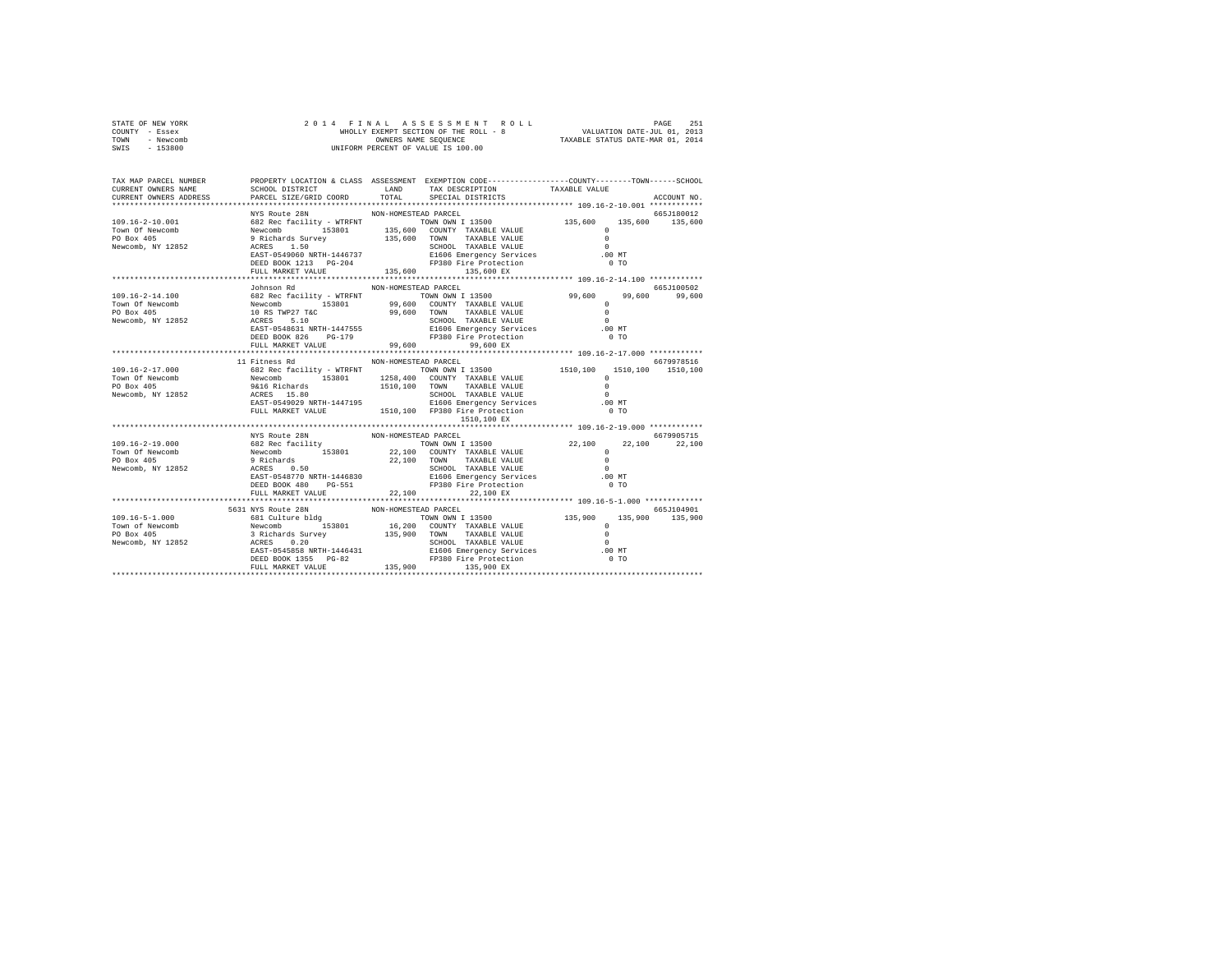|                | STATE OF NEW YORK |  | 2014 FINAL ASSESSMENT ROLL            |                                  | PAGE                        | 251 |
|----------------|-------------------|--|---------------------------------------|----------------------------------|-----------------------------|-----|
| COUNTY - Essex |                   |  | WHOLLY EXEMPT SECTION OF THE ROLL - 8 |                                  | VALUATION DATE-JUL 01, 2013 |     |
| TOWN           | - Newcomb         |  | OWNERS NAME SEOUENCE                  | TAXABLE STATUS DATE-MAR 01, 2014 |                             |     |
| SWTS           | $-153800$         |  | UNIFORM PERCENT OF VALUE IS 100.00    |                                  |                             |     |

| TAX MAP PARCEL NUMBER<br>CURRENT OWNERS NAME | SCHOOL DISTRICT TAND TAX DESCRIPTION |                      | PROPERTY LOCATION & CLASS ASSESSMENT EXEMPTION CODE---------------COUNTY-------TOWN-----SCHOOL | TAXABLE VALUE |             |
|----------------------------------------------|--------------------------------------|----------------------|------------------------------------------------------------------------------------------------|---------------|-------------|
| CURRENT OWNERS ADDRESS                       | PARCEL SIZE/GRID COORD TOTAL         |                      | SPECIAL DISTRICTS                                                                              |               | ACCOUNT NO. |
|                                              | NYS Route 28N                        | NON-HOMESTEAD PARCEL |                                                                                                |               | 665J180012  |
|                                              |                                      |                      |                                                                                                |               |             |
|                                              |                                      |                      |                                                                                                |               |             |
|                                              |                                      |                      |                                                                                                |               |             |
|                                              |                                      |                      |                                                                                                |               |             |
|                                              |                                      |                      |                                                                                                |               |             |
|                                              |                                      |                      | DEED BOOK 1213 PG-204<br>FULL MARKET VALUE 135,600 PP380 Pire Procection<br>135,600 EX         | $0$ TO        |             |
|                                              |                                      |                      |                                                                                                |               |             |
|                                              | Johnson Rd                           | NON-HOMESTEAD PARCEL |                                                                                                |               | 665J100502  |
|                                              |                                      |                      |                                                                                                |               | 99,600      |
|                                              |                                      |                      |                                                                                                |               |             |
|                                              |                                      |                      |                                                                                                |               |             |
|                                              |                                      |                      |                                                                                                |               |             |
|                                              |                                      |                      |                                                                                                |               |             |
|                                              |                                      |                      | DEED BOOK 826 PG-179 PP380 Fire Protection<br>FULL MARKET VALUE 99,600 99,600 EX               | $0$ TO        |             |
|                                              |                                      |                      |                                                                                                |               |             |
|                                              |                                      |                      |                                                                                                |               |             |
|                                              | 11 Fitness Rd                        | NON-HOMESTEAD PARCEL |                                                                                                |               | 6679978516  |
|                                              |                                      |                      |                                                                                                |               |             |
|                                              |                                      |                      |                                                                                                |               |             |
|                                              |                                      |                      |                                                                                                |               |             |
|                                              |                                      |                      |                                                                                                |               |             |
|                                              |                                      |                      |                                                                                                |               |             |
|                                              |                                      |                      | 1510,100 EX                                                                                    |               |             |
|                                              |                                      |                      | ************************************** 109.16-2-19.000 ************                            |               |             |
|                                              | NYS Route 28N                        | NON-HOMESTEAD PARCEL |                                                                                                |               | 6679905715  |
|                                              |                                      |                      |                                                                                                |               |             |
|                                              |                                      |                      |                                                                                                |               |             |
|                                              |                                      |                      |                                                                                                |               |             |
|                                              |                                      |                      |                                                                                                |               |             |
|                                              |                                      |                      |                                                                                                |               |             |
|                                              |                                      |                      |                                                                                                |               |             |
|                                              |                                      |                      |                                                                                                |               |             |
|                                              | 5631 NYS Route 28N                   | NON-HOMESTEAD PARCEL |                                                                                                |               | 665J104901  |
|                                              |                                      |                      |                                                                                                |               |             |
|                                              |                                      |                      |                                                                                                |               |             |
|                                              |                                      |                      |                                                                                                |               |             |
|                                              |                                      |                      |                                                                                                |               |             |
|                                              |                                      |                      |                                                                                                |               |             |
|                                              |                                      |                      |                                                                                                |               |             |
|                                              |                                      |                      |                                                                                                |               |             |
|                                              |                                      |                      |                                                                                                |               |             |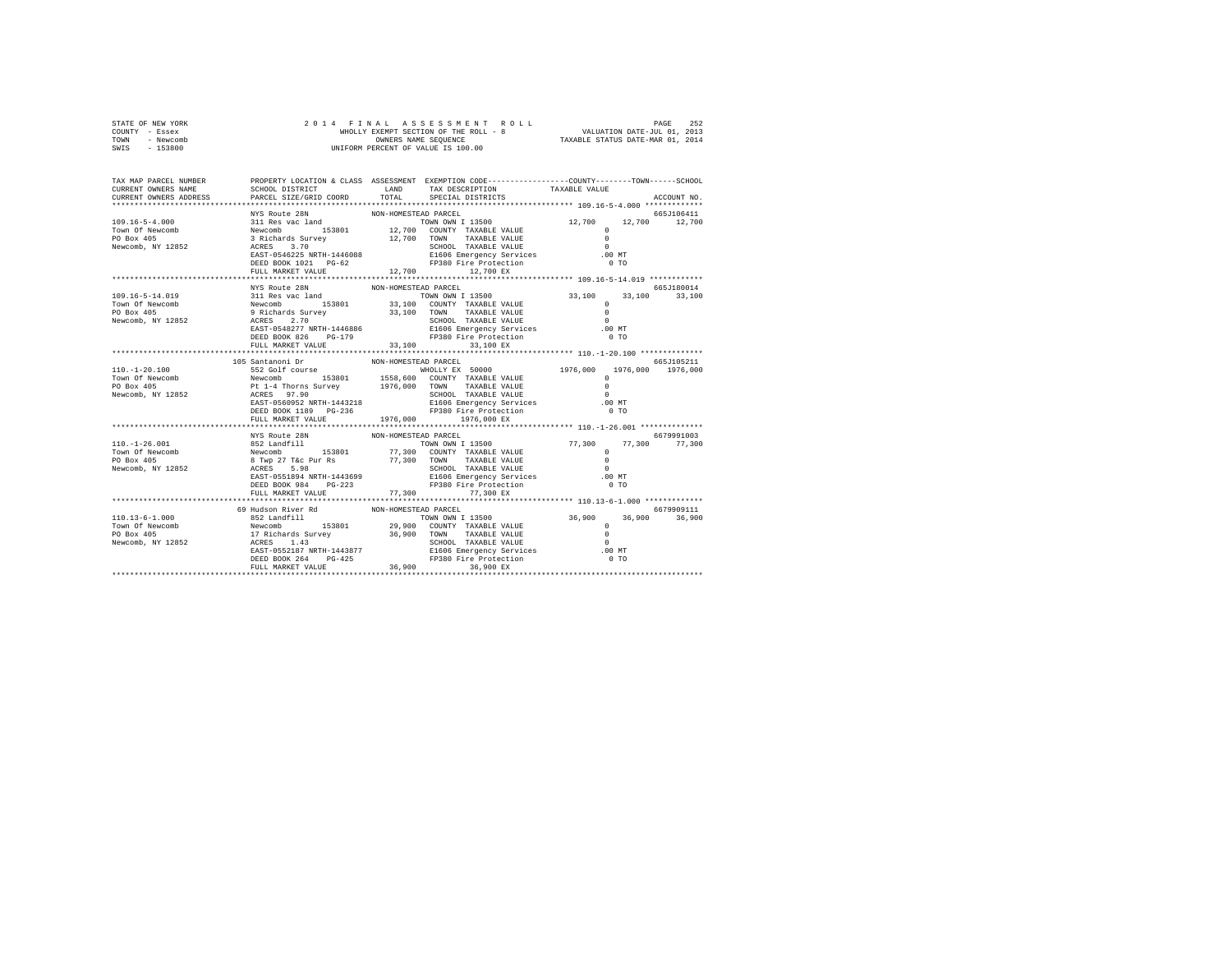| STATE OF NEW YORK | 2014 FINAL ASSESSMENT ROLL            | 252<br>PAGE                      |
|-------------------|---------------------------------------|----------------------------------|
| COUNTY - Essex    | WHOLLY EXEMPT SECTION OF THE ROLL - 8 | VALUATION DATE-JUL 01, 2013      |
| TOWN<br>- Newcomb | OWNERS NAME SEOUENCE                  | TAXABLE STATUS DATE-MAR 01, 2014 |
| - 153800<br>SWIS  | UNIFORM PERCENT OF VALUE IS 100.00    |                                  |

| TAX MAP PARCEL NUMBER<br>CURRENT OWNERS NAME                                                                                                                                                                                                               | SCHOOL DISTRICT                               |                         | PROPERTY LOCATION & CLASS ASSESSMENT EXEMPTION CODE----------------COUNTY-------TOWN-----SCHOOL<br>LAND TAX DESCRIPTION                                                      | TAXABLE VALUE                                           |             |
|------------------------------------------------------------------------------------------------------------------------------------------------------------------------------------------------------------------------------------------------------------|-----------------------------------------------|-------------------------|------------------------------------------------------------------------------------------------------------------------------------------------------------------------------|---------------------------------------------------------|-------------|
| CURRENT OWNERS ADDRESS                                                                                                                                                                                                                                     | PARCEL SIZE/GRID COORD                        | TOTAL                   | SPECIAL DISTRICTS                                                                                                                                                            |                                                         | ACCOUNT NO. |
|                                                                                                                                                                                                                                                            | NYS Route 28N                                 | NON-HOMESTEAD PARCEL    |                                                                                                                                                                              |                                                         | 665J106411  |
|                                                                                                                                                                                                                                                            |                                               |                         |                                                                                                                                                                              |                                                         |             |
|                                                                                                                                                                                                                                                            |                                               |                         |                                                                                                                                                                              |                                                         |             |
|                                                                                                                                                                                                                                                            |                                               |                         |                                                                                                                                                                              |                                                         |             |
|                                                                                                                                                                                                                                                            |                                               |                         |                                                                                                                                                                              |                                                         |             |
|                                                                                                                                                                                                                                                            |                                               |                         |                                                                                                                                                                              |                                                         |             |
|                                                                                                                                                                                                                                                            | DEED BOOK 1021 PG-62                          |                         | FP380 Fire Protection                                                                                                                                                        | $0$ TO                                                  |             |
|                                                                                                                                                                                                                                                            | FULL MARKET VALUE<br>************************ | 12,700<br>************* | 12,700 EX                                                                                                                                                                    | ************************** 109.16-5-14.019 ************ |             |
|                                                                                                                                                                                                                                                            | NYS Route 28N                                 | NON-HOMESTEAD PARCEL    |                                                                                                                                                                              |                                                         | 665J180014  |
|                                                                                                                                                                                                                                                            |                                               |                         |                                                                                                                                                                              |                                                         |             |
|                                                                                                                                                                                                                                                            |                                               |                         |                                                                                                                                                                              |                                                         |             |
|                                                                                                                                                                                                                                                            |                                               |                         |                                                                                                                                                                              |                                                         |             |
|                                                                                                                                                                                                                                                            |                                               |                         |                                                                                                                                                                              |                                                         |             |
|                                                                                                                                                                                                                                                            |                                               |                         | SCHOOL TAXABLE VALUE<br>E1606 Emergency Services [100 MT]<br>0 TO                                                                                                            |                                                         |             |
|                                                                                                                                                                                                                                                            | DEED BOOK 826 PG-179                          |                         | FP380 Fire Protection                                                                                                                                                        | 0 <sub>T</sub>                                          |             |
|                                                                                                                                                                                                                                                            | FULL MARKET VALUE 33,100                      |                         | 33,100 EX                                                                                                                                                                    |                                                         |             |
|                                                                                                                                                                                                                                                            |                                               |                         |                                                                                                                                                                              |                                                         |             |
|                                                                                                                                                                                                                                                            | 105 Santanoni Dr                              | NON-HOMESTEAD PARCEL    |                                                                                                                                                                              |                                                         | 665J105211  |
|                                                                                                                                                                                                                                                            |                                               |                         |                                                                                                                                                                              |                                                         |             |
|                                                                                                                                                                                                                                                            |                                               |                         |                                                                                                                                                                              |                                                         |             |
| 10.1-20.100<br>Town Of Newcomb 552 Golf course<br>Town Of Newcomb 198801<br>PO Box 405<br>PO Box 405<br>PO Box 405<br>PO Box 405<br>PO Box 405<br>Rewcomb, NY 12852<br>REXT-0560952<br>REXT-0560952<br>REXT-0560952<br>REXT-0560952<br>REXT-0560952<br>REX |                                               |                         | NON-HOMESTEAD PARCEL<br>NEIO COUNTY TAXABLE VALUE 1976,000 1976,000 1976,000<br>1558,600 COUNTY TAXABLE VALUE 1976,000 1976,000 1976,000<br>1976,000 TOWN TAXABLE VALUE 1980 | $\sim$                                                  |             |
|                                                                                                                                                                                                                                                            |                                               |                         |                                                                                                                                                                              | $.00$ MT                                                |             |
|                                                                                                                                                                                                                                                            |                                               |                         |                                                                                                                                                                              | $0$ TO                                                  |             |
|                                                                                                                                                                                                                                                            | FULL MARKET VALUE 1976,000 1976,000 EX        |                         |                                                                                                                                                                              |                                                         |             |
|                                                                                                                                                                                                                                                            |                                               |                         |                                                                                                                                                                              |                                                         |             |
|                                                                                                                                                                                                                                                            | NYS Route 28N                                 | NON-HOMESTEAD PARCEL    |                                                                                                                                                                              |                                                         | 6679991003  |
|                                                                                                                                                                                                                                                            |                                               |                         |                                                                                                                                                                              | 77,300 77,300 77,300                                    |             |
|                                                                                                                                                                                                                                                            |                                               |                         |                                                                                                                                                                              | $\circ$                                                 |             |
|                                                                                                                                                                                                                                                            |                                               |                         |                                                                                                                                                                              | $\sim$ 0                                                |             |
|                                                                                                                                                                                                                                                            |                                               |                         |                                                                                                                                                                              | $\sim$<br>.00MT                                         |             |
| 110.-1-26.001<br>TOWN OWN 113500<br>TOWN OWN 113500<br>TOWN OWN 113500<br>PO Box 405<br>PO Box 405<br>Newcomb, NY 12852<br>Rewcomb, NY 12852<br>Rewcomb, NY 12852<br>REED BOX 984<br>DEED BOX 984<br>PO-223<br>PO 2000 TOWN TAXABLE VALUE<br>REED BOX 9    |                                               |                         |                                                                                                                                                                              | 0 <sub>T</sub>                                          |             |
|                                                                                                                                                                                                                                                            | FULL MARKET VALUE                             |                         | 77,300 77,300 EX                                                                                                                                                             |                                                         |             |
|                                                                                                                                                                                                                                                            |                                               |                         |                                                                                                                                                                              |                                                         |             |
|                                                                                                                                                                                                                                                            |                                               |                         |                                                                                                                                                                              |                                                         | 6679909111  |
|                                                                                                                                                                                                                                                            |                                               |                         |                                                                                                                                                                              |                                                         |             |
|                                                                                                                                                                                                                                                            |                                               |                         |                                                                                                                                                                              |                                                         |             |
|                                                                                                                                                                                                                                                            |                                               |                         |                                                                                                                                                                              |                                                         |             |
|                                                                                                                                                                                                                                                            |                                               |                         |                                                                                                                                                                              |                                                         |             |
|                                                                                                                                                                                                                                                            |                                               |                         |                                                                                                                                                                              |                                                         |             |
|                                                                                                                                                                                                                                                            |                                               |                         |                                                                                                                                                                              |                                                         |             |
|                                                                                                                                                                                                                                                            |                                               |                         |                                                                                                                                                                              |                                                         |             |
|                                                                                                                                                                                                                                                            |                                               |                         |                                                                                                                                                                              |                                                         |             |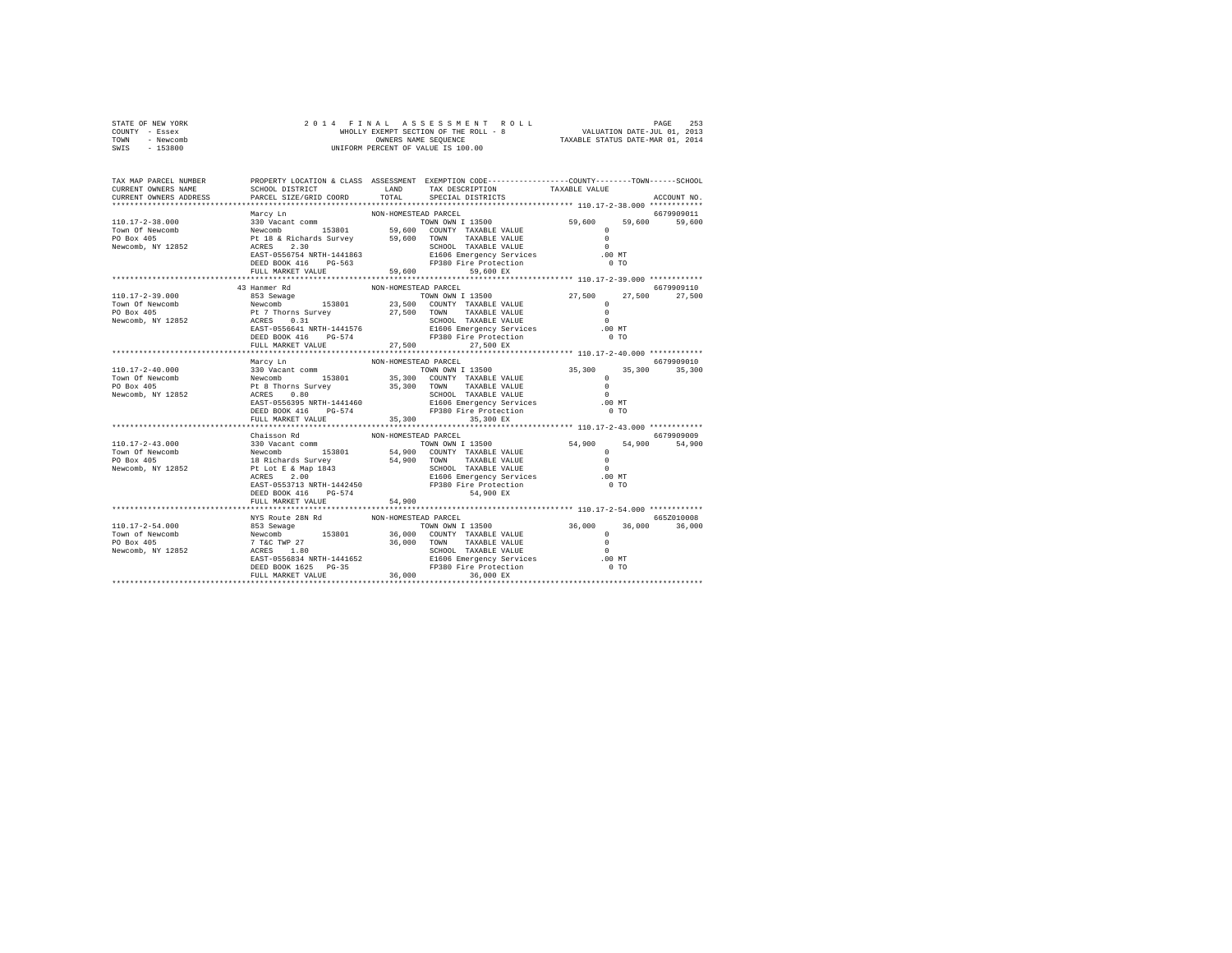| STATE OF NEW YORK | 2014 FINAL ASSESSMENT ROLL            | 253<br>PAGE                      |
|-------------------|---------------------------------------|----------------------------------|
| COUNTY - Essex    | WHOLLY EXEMPT SECTION OF THE ROLL - 8 | VALUATION DATE-JUL 01, 2013      |
| TOWN<br>- Newcomb | OWNERS NAME SEOUENCE                  | TAXABLE STATUS DATE-MAR 01, 2014 |
| - 153800<br>SWIS  | UNIFORM PERCENT OF VALUE IS 100.00    |                                  |

| TAX MAP PARCEL NUMBER<br>CURRENT OWNERS NAME<br>CURRENT OWNERS ADDRESS                                                                                                                                                                                           | SCHOOL DISTRICT TAND TAX DESCRIPTION<br>PARCEL SIZE/GRID COORD | TOTAL                         | PROPERTY LOCATION & CLASS ASSESSMENT EXEMPTION CODE---------------COUNTY-------TOWN-----SCHOOL<br>SPECIAL DISTRICTS | TAXABLE VALUE  | ACCOUNT NO.   |
|------------------------------------------------------------------------------------------------------------------------------------------------------------------------------------------------------------------------------------------------------------------|----------------------------------------------------------------|-------------------------------|---------------------------------------------------------------------------------------------------------------------|----------------|---------------|
|                                                                                                                                                                                                                                                                  |                                                                |                               |                                                                                                                     |                |               |
|                                                                                                                                                                                                                                                                  |                                                                |                               |                                                                                                                     |                |               |
|                                                                                                                                                                                                                                                                  |                                                                |                               |                                                                                                                     |                |               |
|                                                                                                                                                                                                                                                                  |                                                                |                               |                                                                                                                     |                |               |
|                                                                                                                                                                                                                                                                  |                                                                |                               |                                                                                                                     |                |               |
|                                                                                                                                                                                                                                                                  |                                                                |                               |                                                                                                                     |                |               |
|                                                                                                                                                                                                                                                                  |                                                                |                               |                                                                                                                     |                |               |
|                                                                                                                                                                                                                                                                  | FULL MARKET VALUE                                              | 59,600                        | 59,600 EX                                                                                                           |                |               |
|                                                                                                                                                                                                                                                                  |                                                                |                               |                                                                                                                     |                |               |
|                                                                                                                                                                                                                                                                  | 43 Hanmer Rd                                                   | NON-HOMESTEAD PARCEL          |                                                                                                                     |                | 6679909110    |
|                                                                                                                                                                                                                                                                  |                                                                |                               |                                                                                                                     |                | 27,500        |
|                                                                                                                                                                                                                                                                  |                                                                |                               |                                                                                                                     |                |               |
|                                                                                                                                                                                                                                                                  |                                                                |                               |                                                                                                                     |                |               |
|                                                                                                                                                                                                                                                                  |                                                                |                               |                                                                                                                     |                |               |
|                                                                                                                                                                                                                                                                  |                                                                |                               |                                                                                                                     |                |               |
|                                                                                                                                                                                                                                                                  |                                                                |                               |                                                                                                                     |                |               |
|                                                                                                                                                                                                                                                                  | FULL MARKET VALUE 27,500                                       |                               | 27,500 EX                                                                                                           |                |               |
|                                                                                                                                                                                                                                                                  |                                                                |                               |                                                                                                                     |                |               |
|                                                                                                                                                                                                                                                                  | Marcy Ln                                                       | NON-HOMESTEAD PARCEL          |                                                                                                                     |                | 6679909010    |
|                                                                                                                                                                                                                                                                  |                                                                |                               |                                                                                                                     |                | 35,300 35,300 |
|                                                                                                                                                                                                                                                                  |                                                                |                               |                                                                                                                     |                |               |
|                                                                                                                                                                                                                                                                  |                                                                |                               |                                                                                                                     |                |               |
|                                                                                                                                                                                                                                                                  |                                                                |                               |                                                                                                                     |                |               |
|                                                                                                                                                                                                                                                                  | DEED BOOK 416 PG-574                                           |                               | FP380 Fire Protection                                                                                               | 0 <sub>T</sub> |               |
|                                                                                                                                                                                                                                                                  | FULL MARKET VALUE                                              | 35,300                        | 35,300 EX                                                                                                           |                |               |
|                                                                                                                                                                                                                                                                  | **************************************                         |                               |                                                                                                                     |                |               |
|                                                                                                                                                                                                                                                                  | Chaisson Rd                                                    |                               |                                                                                                                     |                | 6679909009    |
|                                                                                                                                                                                                                                                                  |                                                                |                               |                                                                                                                     |                |               |
|                                                                                                                                                                                                                                                                  |                                                                |                               |                                                                                                                     |                |               |
|                                                                                                                                                                                                                                                                  |                                                                |                               |                                                                                                                     |                |               |
|                                                                                                                                                                                                                                                                  |                                                                |                               |                                                                                                                     |                |               |
|                                                                                                                                                                                                                                                                  |                                                                |                               | E1606 Emergency Services                                                                                            |                |               |
|                                                                                                                                                                                                                                                                  |                                                                |                               | EAST-0553713 NRTH-1442450 FP380 Fire Protection                                                                     | 0 <sub>T</sub> |               |
|                                                                                                                                                                                                                                                                  | DEED BOOK 416 PG-574                                           |                               | 54,900 EX                                                                                                           |                |               |
|                                                                                                                                                                                                                                                                  | FULL MARKET VALUE                                              | 54,900<br>******************* | *************************** 110.17-2-54.000 ************                                                            |                |               |
|                                                                                                                                                                                                                                                                  |                                                                |                               |                                                                                                                     |                |               |
|                                                                                                                                                                                                                                                                  | NYS Route 28N Rd                                               | NON-HOMESTEAD PARCEL          |                                                                                                                     |                | 665Z010008    |
|                                                                                                                                                                                                                                                                  |                                                                |                               |                                                                                                                     |                |               |
|                                                                                                                                                                                                                                                                  |                                                                |                               |                                                                                                                     |                |               |
|                                                                                                                                                                                                                                                                  |                                                                |                               |                                                                                                                     |                |               |
|                                                                                                                                                                                                                                                                  |                                                                |                               |                                                                                                                     |                |               |
|                                                                                                                                                                                                                                                                  |                                                                |                               |                                                                                                                     |                |               |
| $\begin{tabular}{cccccc} 110.17-2-54.000 & 853.8ewage & 8652010008 & 6652010008 & 8652010008 & 8652010008 & 8652010008 & 8652010008 & 8652010008 & 8652010008 & 8652010008 & 8652010008 & 8652010008 & 8652010008 & 8652010008 & 8652010008 & 8652010008 & 8652$ |                                                                |                               |                                                                                                                     |                |               |
|                                                                                                                                                                                                                                                                  |                                                                |                               |                                                                                                                     |                |               |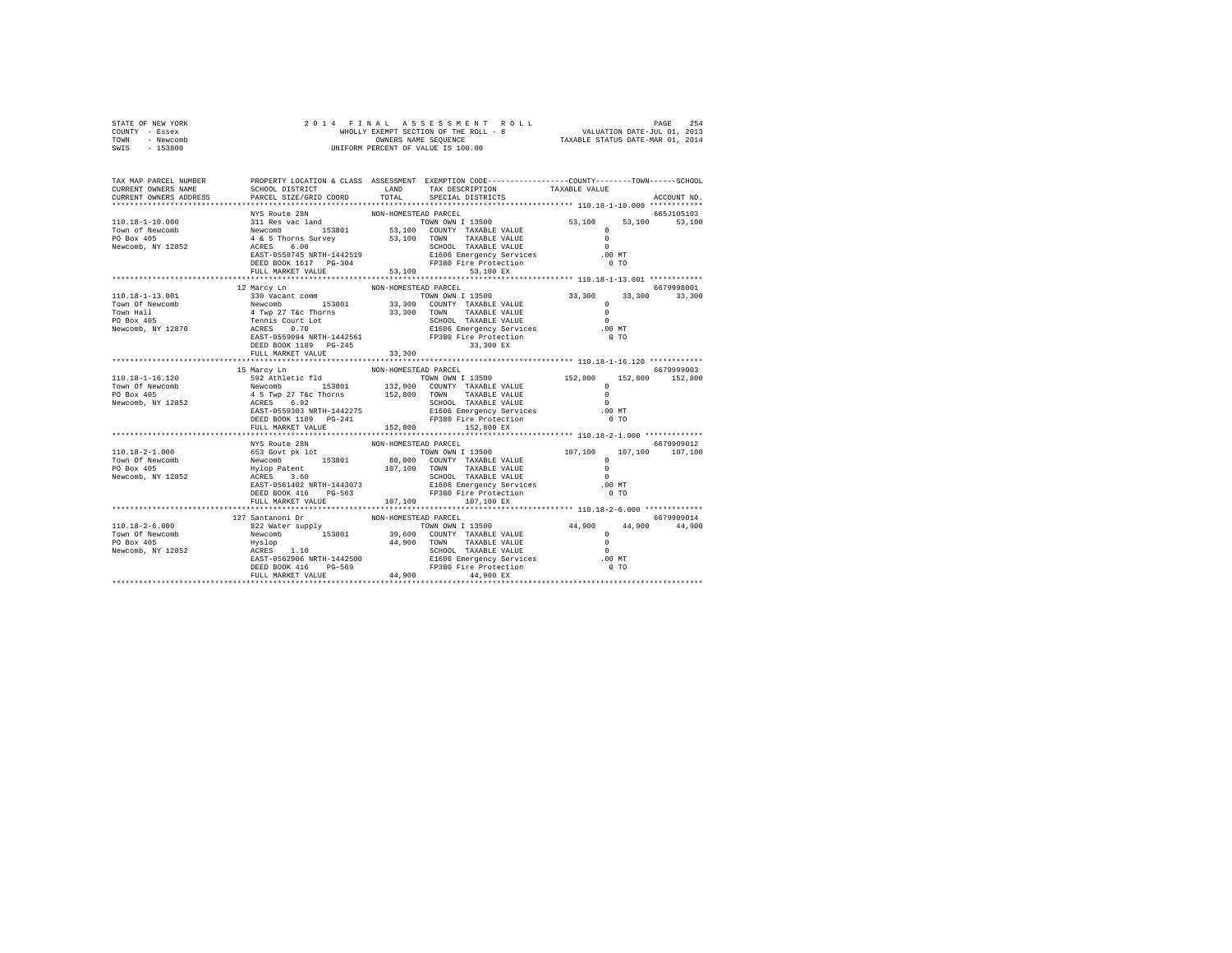| STATE OF NEW YORK | 2014 FINAL ASSESSMENT ROLL            | 254<br>PAGE                      |
|-------------------|---------------------------------------|----------------------------------|
| COUNTY - Essex    | WHOLLY EXEMPT SECTION OF THE ROLL - 8 | VALUATION DATE-JUL 01, 2013      |
| TOWN<br>- Newcomb | OWNERS NAME SEOUENCE                  | TAXABLE STATUS DATE-MAR 01, 2014 |
| SWTS<br>- 153800  | UNIFORM PERCENT OF VALUE IS 100.00    |                                  |
|                   |                                       |                                  |

| TAX MAP PARCEL NUMBER                                                                                                                                                                                                                                                                                                                                               | PROPERTY LOCATION & CLASS ASSESSMENT EXEMPTION CODE---------------COUNTY-------TOWN------SCHOOL |                      |                                                         |                |               |
|---------------------------------------------------------------------------------------------------------------------------------------------------------------------------------------------------------------------------------------------------------------------------------------------------------------------------------------------------------------------|-------------------------------------------------------------------------------------------------|----------------------|---------------------------------------------------------|----------------|---------------|
| CURRENT OWNERS NAME                                                                                                                                                                                                                                                                                                                                                 | SCHOOL DISTRICT                                                                                 | LAND                 | TAX DESCRIPTION                                         | TAXABLE VALUE  |               |
| CURRENT OWNERS ADDRESS PARCEL SIZE/GRID COORD TOTAL                                                                                                                                                                                                                                                                                                                 |                                                                                                 |                      | SPECIAL DISTRICTS                                       |                | ACCOUNT NO.   |
|                                                                                                                                                                                                                                                                                                                                                                     |                                                                                                 |                      |                                                         |                |               |
|                                                                                                                                                                                                                                                                                                                                                                     | NYS Route 28N                                                                                   | NON-HOMESTEAD PARCEL |                                                         |                | 665J105103    |
|                                                                                                                                                                                                                                                                                                                                                                     |                                                                                                 |                      |                                                         | 53,100         | 53,100        |
|                                                                                                                                                                                                                                                                                                                                                                     |                                                                                                 |                      |                                                         |                |               |
|                                                                                                                                                                                                                                                                                                                                                                     |                                                                                                 |                      |                                                         |                |               |
|                                                                                                                                                                                                                                                                                                                                                                     |                                                                                                 |                      |                                                         |                |               |
|                                                                                                                                                                                                                                                                                                                                                                     |                                                                                                 |                      |                                                         | $.00$ MT       |               |
|                                                                                                                                                                                                                                                                                                                                                                     |                                                                                                 |                      |                                                         | 0 <sub>T</sub> |               |
|                                                                                                                                                                                                                                                                                                                                                                     | FULL MARKET VALUE                                                                               |                      | 53,100 53,100 EX                                        |                |               |
|                                                                                                                                                                                                                                                                                                                                                                     |                                                                                                 |                      |                                                         |                |               |
|                                                                                                                                                                                                                                                                                                                                                                     | 12 Marcy Ln                                                                                     | NON-HOMESTEAD PARCEL |                                                         |                | 6679998001    |
|                                                                                                                                                                                                                                                                                                                                                                     |                                                                                                 |                      |                                                         |                | 33,300 33,300 |
|                                                                                                                                                                                                                                                                                                                                                                     |                                                                                                 |                      |                                                         |                |               |
|                                                                                                                                                                                                                                                                                                                                                                     |                                                                                                 |                      |                                                         |                |               |
|                                                                                                                                                                                                                                                                                                                                                                     |                                                                                                 |                      |                                                         |                |               |
|                                                                                                                                                                                                                                                                                                                                                                     |                                                                                                 |                      |                                                         |                |               |
|                                                                                                                                                                                                                                                                                                                                                                     |                                                                                                 |                      |                                                         |                |               |
|                                                                                                                                                                                                                                                                                                                                                                     |                                                                                                 |                      |                                                         |                |               |
|                                                                                                                                                                                                                                                                                                                                                                     | FULL MARKET VALUE                                                                               | 33,300               |                                                         |                |               |
|                                                                                                                                                                                                                                                                                                                                                                     |                                                                                                 |                      |                                                         |                |               |
|                                                                                                                                                                                                                                                                                                                                                                     | 15 Marcy Ln                                                                                     | NON-HOMESTEAD PARCEL |                                                         |                | 6679999003    |
|                                                                                                                                                                                                                                                                                                                                                                     |                                                                                                 |                      | TOWN OWN I 13500 152,800 152,800 152,800                |                |               |
|                                                                                                                                                                                                                                                                                                                                                                     |                                                                                                 |                      |                                                         |                |               |
|                                                                                                                                                                                                                                                                                                                                                                     |                                                                                                 |                      |                                                         |                |               |
|                                                                                                                                                                                                                                                                                                                                                                     |                                                                                                 |                      |                                                         |                |               |
|                                                                                                                                                                                                                                                                                                                                                                     |                                                                                                 |                      | SCHOOL TAXABLE VALUE<br>E1606 Emergency Services (00 MT |                |               |
|                                                                                                                                                                                                                                                                                                                                                                     | DEED BOOK 1189 PG-241                                                                           |                      | FP380 Fire Protection                                   | 0 <sub>T</sub> |               |
|                                                                                                                                                                                                                                                                                                                                                                     | FULL MARKET VALUE                                                                               |                      | 152,800 152,800 EX                                      |                |               |
|                                                                                                                                                                                                                                                                                                                                                                     |                                                                                                 |                      |                                                         |                |               |
|                                                                                                                                                                                                                                                                                                                                                                     | NYS Route 28N                                                                                   | NON-HOMESTEAD PARCEL |                                                         |                | 6679909012    |
|                                                                                                                                                                                                                                                                                                                                                                     |                                                                                                 |                      |                                                         |                |               |
|                                                                                                                                                                                                                                                                                                                                                                     |                                                                                                 |                      |                                                         |                |               |
|                                                                                                                                                                                                                                                                                                                                                                     |                                                                                                 |                      |                                                         |                |               |
|                                                                                                                                                                                                                                                                                                                                                                     |                                                                                                 |                      |                                                         | $\Omega$       |               |
| 110.18-2-1.000<br>FOWN ON NEW COMMON 113500<br>TOWN ON THE VALUE VALUE<br>TOWN ON THATABLE VALUE<br>PO Box 405<br>Newcomb, NY 12852<br>Reset (1990)<br>Method Mexical Martin-1443073<br>ELG06 Emergency Services<br>ERED BOOK 416<br>DEED BOOK 416                                                                                                                  |                                                                                                 |                      |                                                         | $.00$ MT       |               |
|                                                                                                                                                                                                                                                                                                                                                                     |                                                                                                 |                      |                                                         | 0 <sub>T</sub> |               |
|                                                                                                                                                                                                                                                                                                                                                                     | FULL MARKET VALUE $107,100$ 107,100 EX                                                          |                      |                                                         |                |               |
|                                                                                                                                                                                                                                                                                                                                                                     |                                                                                                 |                      |                                                         |                |               |
|                                                                                                                                                                                                                                                                                                                                                                     | 127 Santanoni Dr                                                                                | NON-HOMESTEAD PARCEL |                                                         |                | 6679909014    |
|                                                                                                                                                                                                                                                                                                                                                                     |                                                                                                 |                      |                                                         |                |               |
|                                                                                                                                                                                                                                                                                                                                                                     |                                                                                                 |                      |                                                         |                |               |
|                                                                                                                                                                                                                                                                                                                                                                     |                                                                                                 |                      |                                                         |                |               |
|                                                                                                                                                                                                                                                                                                                                                                     |                                                                                                 |                      |                                                         |                |               |
|                                                                                                                                                                                                                                                                                                                                                                     |                                                                                                 |                      |                                                         |                |               |
|                                                                                                                                                                                                                                                                                                                                                                     |                                                                                                 |                      |                                                         |                |               |
|                                                                                                                                                                                                                                                                                                                                                                     |                                                                                                 |                      |                                                         |                |               |
| $\begin{tabular}{cccccccc} 110.18-2-6.000 & 44.900 & 44.900 & 44.900 & 6679909014 \\ & 822 \text{ Water supply} & 135801 & 39,600 & \text{COMNT 13500} & 44.900 & 44.900 & 44.900 \\ & 822 \text{ Water supply} & 153801 & 39,600 & \text{COMNT Y TAXABLE VALUE} & 0 \\ \text{PO Box 405 & 820 \text{ Wekocomb} & 153801 & 39,600 & \text{COMNT Y TXABLE VALUE} & $ |                                                                                                 |                      |                                                         |                |               |
|                                                                                                                                                                                                                                                                                                                                                                     |                                                                                                 |                      |                                                         |                |               |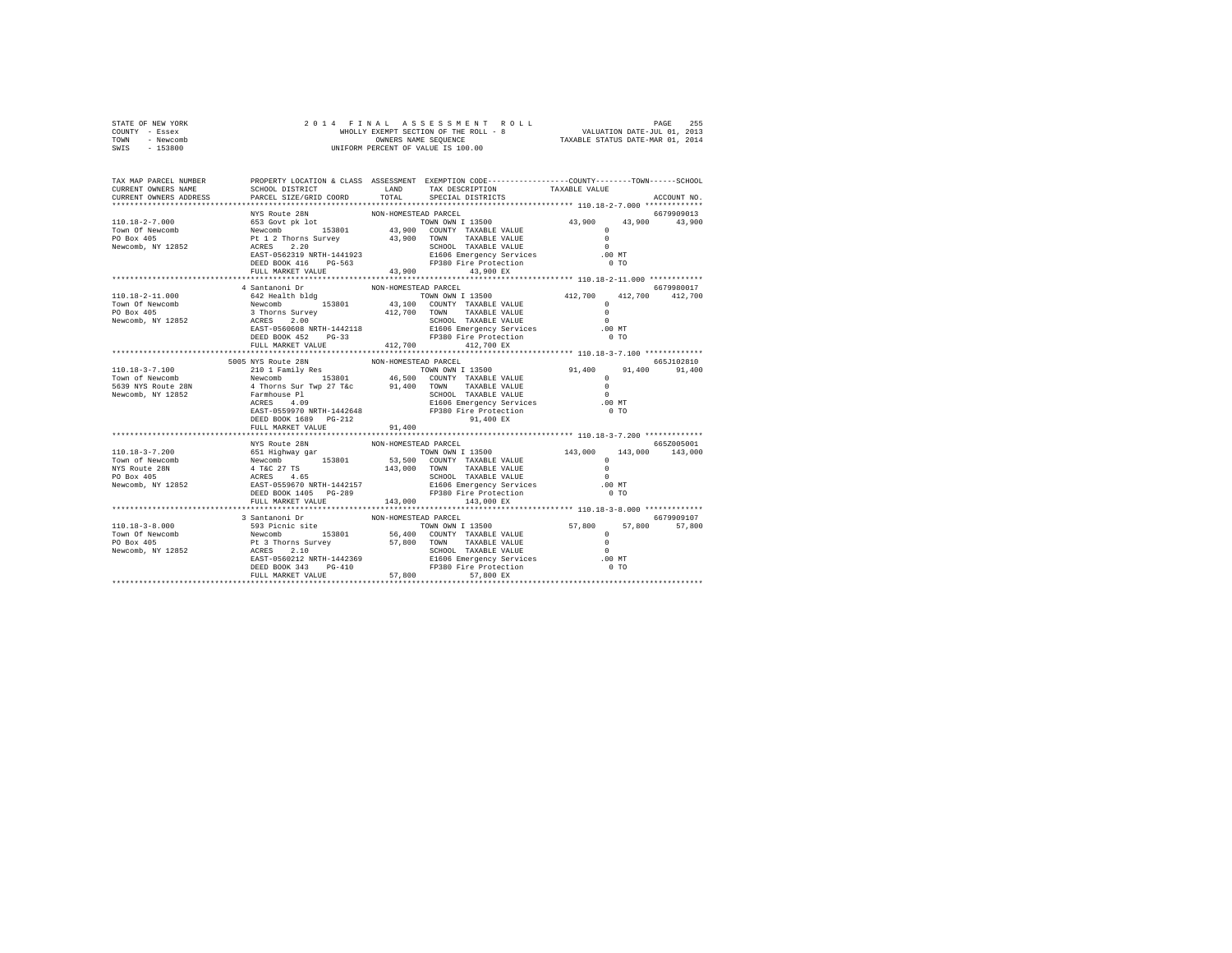| STATE OF NEW YORK     | 2 0 1 4 F I N<br>WHOLLY E<br>UNIFORM PE       |                                                                                                                                                                                                                                    |                         |  |
|-----------------------|-----------------------------------------------|------------------------------------------------------------------------------------------------------------------------------------------------------------------------------------------------------------------------------------|-------------------------|--|
| COUNTY - Essex        |                                               |                                                                                                                                                                                                                                    |                         |  |
| TOWN - Newcomb        |                                               |                                                                                                                                                                                                                                    |                         |  |
| SWIS - 153800         |                                               |                                                                                                                                                                                                                                    |                         |  |
|                       |                                               |                                                                                                                                                                                                                                    |                         |  |
| TAX MAP PARCEL NUMBER |                                               | PROPERTY LOCATION & CLASS ASSESSMENT EXEMPTION CODE---------------COUNTY-------TOWN-----SCHOOL                                                                                                                                     |                         |  |
| CURRENT OWNERS NAME   |                                               | SCHOOL DISTRICT TAND TAX DESCRIPTION                                                                                                                                                                                               | TAXABLE VALUE           |  |
|                       | CURRENT OWNERS ADDRESS PARCEL SIZE/GRID COORD | TOTAL SPECIAL DISTRICTS                                                                                                                                                                                                            | ACCOUNT NO.             |  |
|                       |                                               |                                                                                                                                                                                                                                    |                         |  |
|                       | NYS Route 28N                                 | NON-HOMESTEAD PARCEL                                                                                                                                                                                                               | 6679909013              |  |
|                       |                                               |                                                                                                                                                                                                                                    |                         |  |
|                       |                                               |                                                                                                                                                                                                                                    |                         |  |
|                       |                                               |                                                                                                                                                                                                                                    |                         |  |
|                       |                                               |                                                                                                                                                                                                                                    |                         |  |
|                       |                                               |                                                                                                                                                                                                                                    |                         |  |
|                       |                                               |                                                                                                                                                                                                                                    |                         |  |
|                       | FULL MARKET VALUE                             | 43,900 43,900 EX                                                                                                                                                                                                                   |                         |  |
|                       | 4 Santanoni Dr                                | NON-HOMESTEAD PARCEL                                                                                                                                                                                                               | 6679980017              |  |
| 110.18-2-11.000       |                                               |                                                                                                                                                                                                                                    | 412,700 412,700 412,700 |  |
| Town Of Newcomb       |                                               | A SALE TRANSPORT ON THE TRANSPORT ON THE SALE REALLY SERVICE TO TRANSPORT TRANSPORT TRANSPORT TRANSPORT TRANSPORT TRANSPORT TRANSPORT TRANSPORT TRANSPORT TRANSPORT TRANSPORT TRANSPORT TRANSPORT TRANSPORT TRANSPORT TRANSPOR     | $^{\circ}$              |  |
| PO Box 405            |                                               |                                                                                                                                                                                                                                    |                         |  |
| Newcomb, NY 12852     |                                               | 3 Thorns Survey 412,700 TOWN TAXABLE VALUE 10<br>ACRES 2.00 SCHOOL TAXABLE VALUE 10<br>EAST-0560608 NRTH-1442118 E1606 Emergency Services 00 MT<br>DEED BOOK 452 PG-33 FP380 Fire Protection 0 TO                                  |                         |  |
|                       |                                               |                                                                                                                                                                                                                                    |                         |  |
|                       |                                               |                                                                                                                                                                                                                                    |                         |  |
|                       | FULL MARKET VALUE                             | 412,700 412,700 EX                                                                                                                                                                                                                 |                         |  |
|                       |                                               |                                                                                                                                                                                                                                    |                         |  |
|                       | 5005 NYS Route 28N                            | NON-HOMESTEAD PARCEL                                                                                                                                                                                                               | 665.T102810             |  |
| 110.18-3-7.100        |                                               | 210 1 Family Res<br>Newcomb 1990 153801 15000 11000 11000 11000 11000 11000 11000 11000 11000 11000 11000 11000 11000 1100 12000 1<br>4 Thorns Sur Twp 27 T&C 46,500 10000 10000 12000 12000 12000 12000 12000 12000 12000 12000 1 | 91,400 91,400 91,400    |  |
| Town of Newcomb       |                                               |                                                                                                                                                                                                                                    |                         |  |
| 5639 NYS Route 28N    |                                               |                                                                                                                                                                                                                                    |                         |  |
| Newcomb, NY 12852     |                                               | Farmhouse P1<br>ACRES 4.09<br>EAGRES 4.09<br>EAGRES 559970 NRTH-1442648<br>EAST-0559970 NRTH-1442648<br>FP380 Fire Protection<br>PEED BOOK 1689 PG-212<br>PP380 Fire Protection<br>PEED BOOK 1689 PG-212                           | $\sim$ 0                |  |
|                       |                                               |                                                                                                                                                                                                                                    | .00 MT                  |  |
|                       |                                               |                                                                                                                                                                                                                                    | 0.70                    |  |
|                       |                                               |                                                                                                                                                                                                                                    |                         |  |
|                       | FULL MARKET VALUE 91,400                      |                                                                                                                                                                                                                                    |                         |  |
|                       |                                               |                                                                                                                                                                                                                                    |                         |  |
|                       | NYS Route 28N                                 | NON-HOMESTEAD PARCEL                                                                                                                                                                                                               | 665Z005001              |  |
|                       |                                               |                                                                                                                                                                                                                                    |                         |  |
|                       |                                               |                                                                                                                                                                                                                                    |                         |  |
|                       |                                               |                                                                                                                                                                                                                                    |                         |  |
|                       |                                               |                                                                                                                                                                                                                                    |                         |  |
|                       |                                               |                                                                                                                                                                                                                                    |                         |  |
|                       |                                               |                                                                                                                                                                                                                                    |                         |  |
|                       | FULL MARKET VALUE                             | 143,000 143,000 EX                                                                                                                                                                                                                 |                         |  |
|                       |                                               |                                                                                                                                                                                                                                    |                         |  |
|                       | 3 Santanoni Dr<br>593 Picnic site             | NON-HOMESTEAD PARCEL                                                                                                                                                                                                               | 6679909107              |  |
|                       |                                               |                                                                                                                                                                                                                                    |                         |  |
|                       |                                               |                                                                                                                                                                                                                                    |                         |  |
|                       |                                               |                                                                                                                                                                                                                                    |                         |  |
|                       |                                               |                                                                                                                                                                                                                                    |                         |  |
|                       |                                               |                                                                                                                                                                                                                                    |                         |  |
|                       |                                               |                                                                                                                                                                                                                                    |                         |  |
|                       | FULL MARKET VALUE 57,800                      | 57,800 EX                                                                                                                                                                                                                          |                         |  |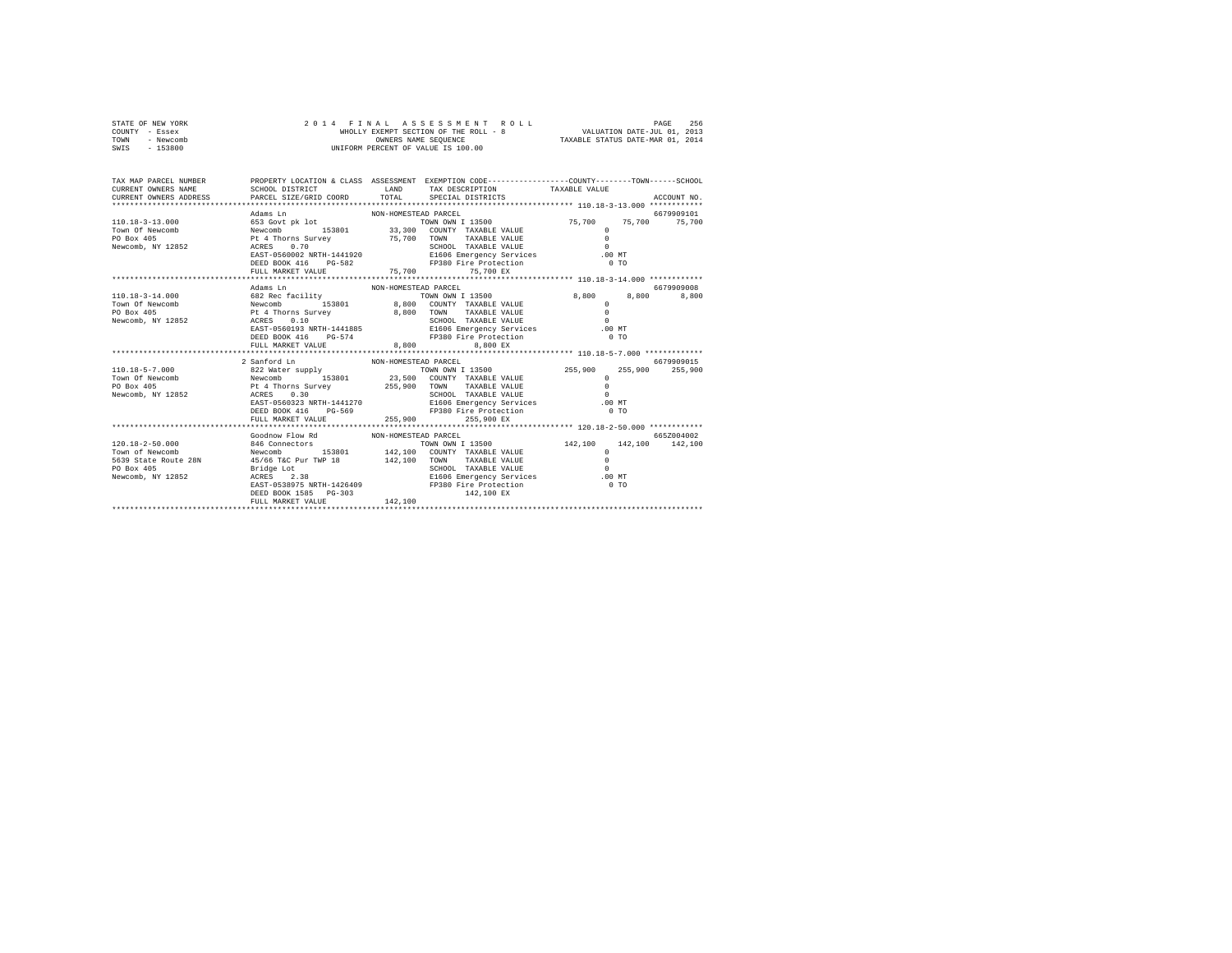| STATE OF NEW YORK | 2014 FINAL ASSESSMENT ROLL            | 256<br>PAGE                      |
|-------------------|---------------------------------------|----------------------------------|
| COUNTY - Essex    | WHOLLY EXEMPT SECTION OF THE ROLL - 8 | VALUATION DATE-JUL 01, 2013      |
| TOWN<br>- Newcomb | OWNERS NAME SEOUENCE                  | TAXABLE STATUS DATE-MAR 01, 2014 |
| - 153800<br>SWIS  | UNIFORM PERCENT OF VALUE IS 100.00    |                                  |

| TAX MAP PARCEL NUMBER<br>CURRENT OWNERS NAME                                                                                                                                                                                                                                                                                                                                                                                                                    | PROPERTY LOCATION & CLASS ASSESSMENT EXEMPTION CODE----------------COUNTY-------TOWN------SCHOOL<br>SCHOOL DISTRICT             LAND     TAX DESCRIPTION           TAXABLE VALUE                                                                                                         |                      |                                                                                 |                                              |            |
|-----------------------------------------------------------------------------------------------------------------------------------------------------------------------------------------------------------------------------------------------------------------------------------------------------------------------------------------------------------------------------------------------------------------------------------------------------------------|------------------------------------------------------------------------------------------------------------------------------------------------------------------------------------------------------------------------------------------------------------------------------------------|----------------------|---------------------------------------------------------------------------------|----------------------------------------------|------------|
|                                                                                                                                                                                                                                                                                                                                                                                                                                                                 | $\begin{array}{cccccccc} \texttt{ACRES} & 0.70 & 0 & 0.70 & 0.70 & 0.70 & 0.70 & 0.70 & 0.70 & 0.70 & 0.70 & 0.70 & 0.70 & 0.70 & 0.70 & 0.70 & 0.70 & 0.70 & 0.70 & 0.70 & 0.70 & 0.70 & 0.70 & 0.70 & 0.70 & 0.70 & 0.70 & 0.70 & 0.70 & 0.70 & 0.70 & 0.70 & 0.70 & 0.70 & 0.70 & 0.$ |                      |                                                                                 |                                              |            |
|                                                                                                                                                                                                                                                                                                                                                                                                                                                                 |                                                                                                                                                                                                                                                                                          |                      |                                                                                 |                                              |            |
|                                                                                                                                                                                                                                                                                                                                                                                                                                                                 | Adams Ln                                                                                                                                                                                                                                                                                 | NON-HOMESTEAD PARCEL |                                                                                 |                                              | 6679909008 |
|                                                                                                                                                                                                                                                                                                                                                                                                                                                                 | DEED BOOK 416 PG-574<br>FULL MARKET VALUE                                                                                                                                                                                                                                                |                      | TOWN OWN I 13500 8,800 8,800<br>FP380 Fire Protection 0 TO<br>8,800<br>8,800 EX |                                              | 8,800      |
|                                                                                                                                                                                                                                                                                                                                                                                                                                                                 |                                                                                                                                                                                                                                                                                          |                      |                                                                                 |                                              |            |
|                                                                                                                                                                                                                                                                                                                                                                                                                                                                 | 2 Sanford Ln<br>EAST-0560323 NRTH-1441270 E1606 Emergency Services .00 MT<br>DEED BOOK 416 PG-569 PP380 Fire Protection                                                                                                                                                                  | NON-HOMESTEAD PARCEL | TOWN OWN I 13500 255,900 255,900 255,900                                        | $^{\circ}$<br>$\Omega$<br>$\Omega$<br>$0$ TO | 6679909015 |
|                                                                                                                                                                                                                                                                                                                                                                                                                                                                 |                                                                                                                                                                                                                                                                                          |                      |                                                                                 |                                              |            |
| $\begin{tabular}{lcccc} $\texttt{r} & $\texttt{r} & $\texttt{r} & $\texttt{r} & $\texttt{r} & $\texttt{r} & $\texttt{r} & $\texttt{r} & $\texttt{r} & $\texttt{r} & $\texttt{r} & $\texttt{r} & $\texttt{r} & $\texttt{r} & $\texttt{r} & $\texttt{r} & $\texttt{r} & $\texttt{r} & $\texttt{r} & $\texttt{r} & $\texttt{r} & $\texttt{r} & $\texttt{r} & $\texttt{r} & $\texttt{r} & $\texttt{r} & $\texttt{r} & $\texttt{r} & $\texttt{r} & $\texttt{r} & $\$ | Goodnow Flow Rd MON-HOMESTEAD PARCEL<br>DEED BOOK 1585 PG-303<br>FULL MARKET VALUE                                                                                                                                                                                                       | 142,100              |                                                                                 |                                              | 665Z004002 |
|                                                                                                                                                                                                                                                                                                                                                                                                                                                                 |                                                                                                                                                                                                                                                                                          |                      |                                                                                 |                                              |            |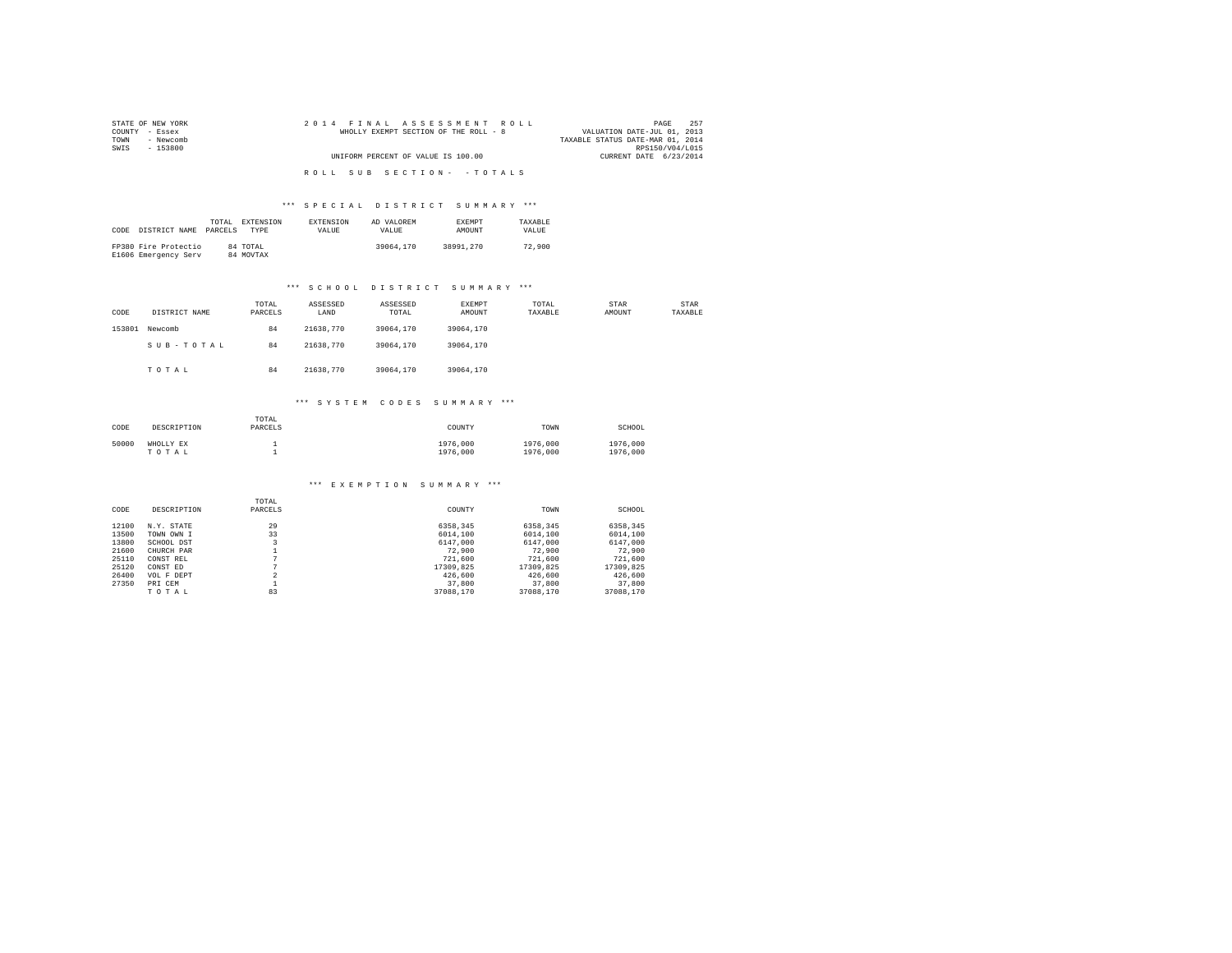| STATE OF NEW YORK | 2014 FINAL ASSESSMENT ROLL            | 257<br>PAGE                      |
|-------------------|---------------------------------------|----------------------------------|
| COUNTY - Essex    | WHOLLY EXEMPT SECTION OF THE ROLL - 8 | VALUATION DATE-JUL 01, 2013      |
| - Newcomb<br>TOWN |                                       | TAXABLE STATUS DATE-MAR 01, 2014 |
| SWIS<br>- 153800  |                                       | RPS150/V04/L015                  |
|                   | UNIFORM PERCENT OF VALUE IS 100.00    | CURRENT DATE 6/23/2014           |
|                   |                                       |                                  |
|                   | ROLL SUB SECTION- - TOTALS            |                                  |

|      |                      | TOTAL   | EXTENSION   | <b>EXTENSION</b> | AD VALOREM | <b>EXEMPT</b> | TAXARLE |
|------|----------------------|---------|-------------|------------------|------------|---------------|---------|
| CODE | DISTRICT NAME        | PARCELS | <b>TYPE</b> | <b>VALUE</b>     | VALUE.     | AMOUNT        | VALUE.  |
|      |                      |         |             |                  |            |               |         |
|      | FP380 Fire Protectio |         | 84 TOTAL    |                  | 39064,170  | 38991.270     | 72,900  |
|      | E1606 Emergency Serv |         | 84 MOVTAX   |                  |            |               |         |

#### \*\*\* S C H O O L D I S T R I C T S U M M A R Y \*\*\*

| CODE   | DISTRICT NAME | TOTAL<br>PARCELS | ASSESSED<br>LAND | ASSESSED<br>TOTAL | EXEMPT<br>AMOUNT | TOTAL<br>TAXABLE | STAR<br>AMOUNT | STAR<br>TAXABLE |
|--------|---------------|------------------|------------------|-------------------|------------------|------------------|----------------|-----------------|
| 153801 | Newcomb       | 84               | 21638,770        | 39064.170         | 39064.170        |                  |                |                 |
|        | SUB-TOTAL     | 84               | 21638,770        | 39064.170         | 39064.170        |                  |                |                 |
|        | TOTAL         | 84               | 21638,770        | 39064.170         | 39064.170        |                  |                |                 |

#### \*\*\* S Y S T E M C O D E S S U M M A R Y \*\*\*

| CODE  | DESCRIPTION        | TOTAL<br>PARCELS | COUNTY               | TOWN                 | SCHOOL               |
|-------|--------------------|------------------|----------------------|----------------------|----------------------|
| 50000 | WHOLLY EX<br>TOTAL |                  | 1976,000<br>1976,000 | 1976,000<br>1976,000 | 1976,000<br>1976,000 |

#### \*\*\* E X E M P T I O N S U M M A R Y \*\*\*

|       |             | TOTAL   |           |           |           |
|-------|-------------|---------|-----------|-----------|-----------|
| CODE  | DESCRIPTION | PARCELS | COUNTY    | TOWN      | SCHOOL    |
| 12100 | N.Y. STATE  | 29      | 6358.345  | 6358.345  | 6358.345  |
| 13500 | TOWN OWN I  | 33      | 6014,100  | 6014,100  | 6014,100  |
| 13800 | SCHOOL DST  |         | 6147,000  | 6147,000  | 6147.000  |
| 21600 | CHURCH PAR  |         | 72,900    | 72,900    | 72,900    |
| 25110 | CONST REL   | n       | 721,600   | 721,600   | 721,600   |
| 25120 | CONST ED    | n       | 17309.825 | 17309.825 | 17309.825 |
| 26400 | VOL F DEPT  | $\sim$  | 426,600   | 426,600   | 426,600   |
| 27350 | PRI CEM     |         | 37,800    | 37,800    | 37,800    |
|       | TOTAL       | 83      | 37088.170 | 37088,170 | 37088.170 |
|       |             |         |           |           |           |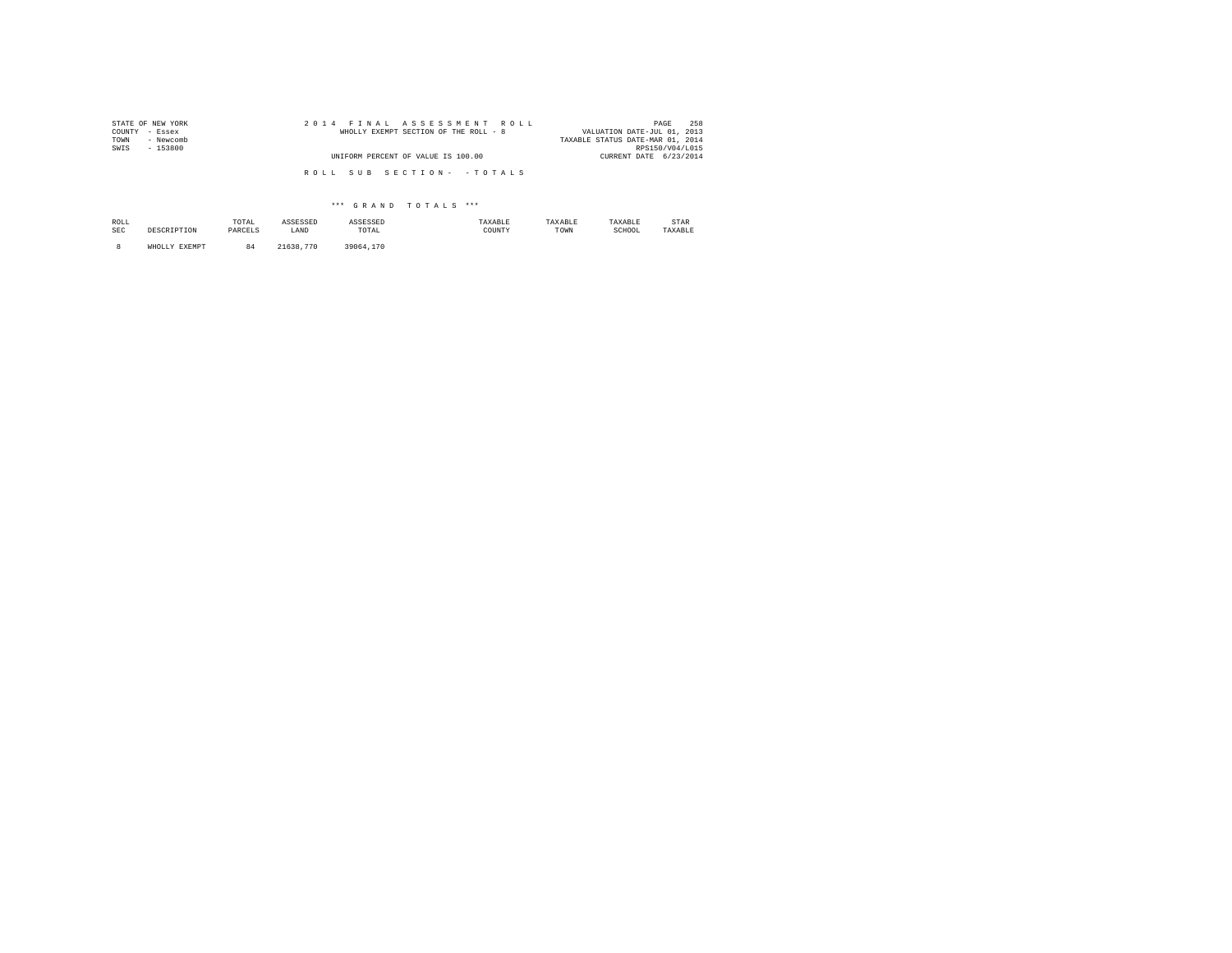| STATE OF NEW YORK | 2014 FINAL ASSESSMENT ROLL            | 258<br>PAGE                      |
|-------------------|---------------------------------------|----------------------------------|
| COUNTY - Essex    | WHOLLY EXEMPT SECTION OF THE ROLL - 8 | VALUATION DATE-JUL 01, 2013      |
| - Newcomb<br>TOWN |                                       | TAXABLE STATUS DATE-MAR 01, 2014 |
| SWIS<br>- 153800  |                                       | RPS150/V04/L015                  |
|                   | UNIFORM PERCENT OF VALUE IS 100.00    | CURRENT DATE 6/23/2014           |
|                   |                                       |                                  |
|                   | ROLL SUB SECTION- - TOTALS            |                                  |
|                   |                                       |                                  |

| ROLL<br>SEC | DRCCR TRETOM            | TOTAL<br>PARCELS | ASSESSED<br>LAND | ASSESSED<br>TOTAL<br>the contract of the contract of the | TAXABLE<br>COUNTY | TAXABLE<br>TOWN | TAXABLE<br>SCHOOL | STAR<br>TAXABLE |
|-------------|-------------------------|------------------|------------------|----------------------------------------------------------|-------------------|-----------------|-------------------|-----------------|
|             | <b>EXEMPT</b><br>WHOLLY | 84               | .770<br>21638.   | 39064.170                                                |                   |                 |                   |                 |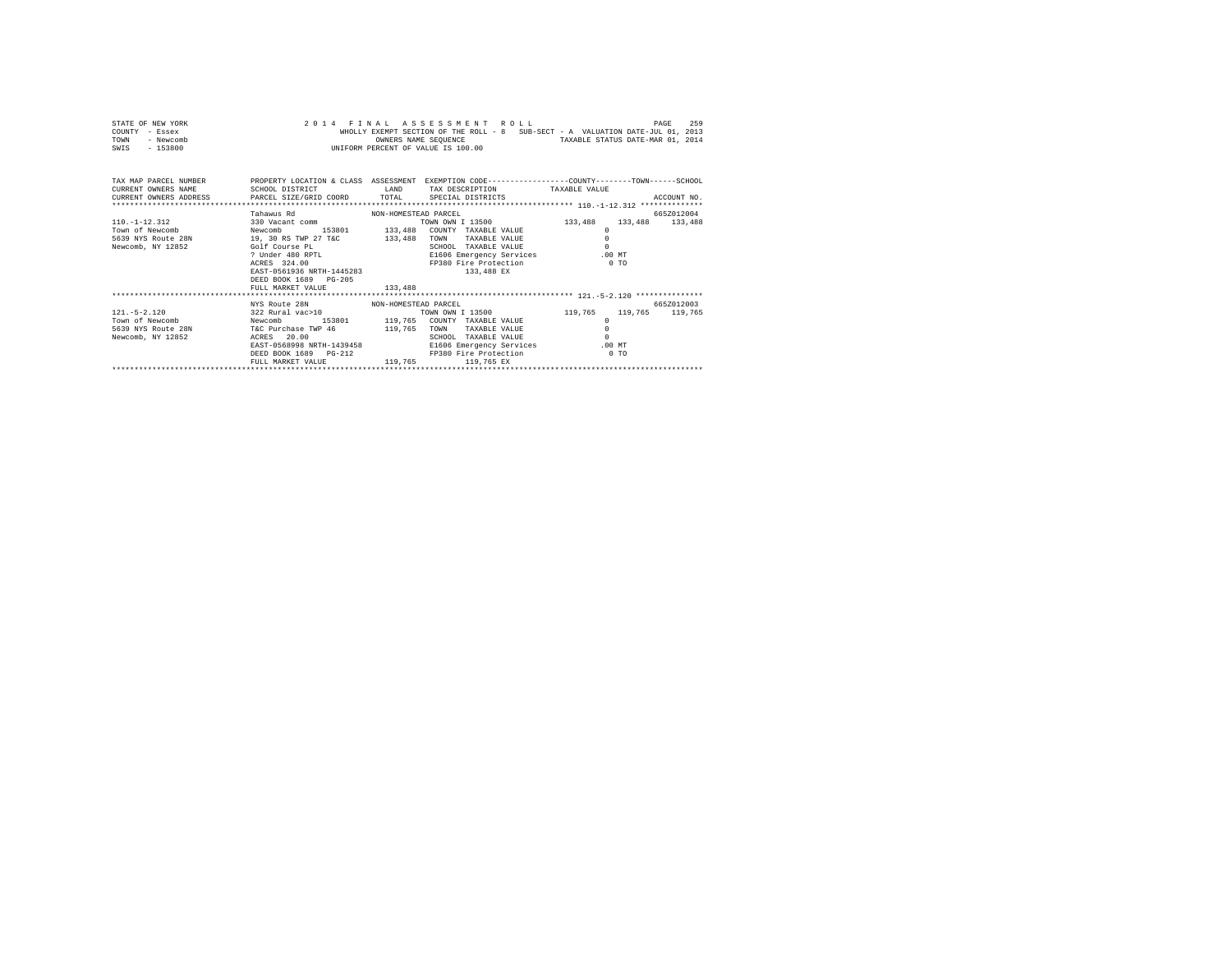| STATE OF NEW YORK |  |  | 2014 FINAL ASSESSMENT ROLL         |  |  |                                                                                |                                  | PAGE | 259 |
|-------------------|--|--|------------------------------------|--|--|--------------------------------------------------------------------------------|----------------------------------|------|-----|
| COUNTY - Essex    |  |  |                                    |  |  | WHOLLY EXEMPT SECTION OF THE ROLL - 8 SUB-SECT - A VALUATION DATE-JUL 01, 2013 |                                  |      |     |
| TOWN<br>- Newcomb |  |  | OWNERS NAME SEOUENCE               |  |  |                                                                                | TAXABLE STATUS DATE-MAR 01, 2014 |      |     |
| $-153800$<br>SWIS |  |  | UNIFORM PERCENT OF VALUE IS 100.00 |  |  |                                                                                |                                  |      |     |

| TAX MAP PARCEL NUMBER<br>CURRENT OWNERS NAME<br>CURRENT OWNERS ADDRESS PARCEL SIZE/GRID COORD TOTAL | SCHOOL DISTRICT<br><b>EAND</b>                                                                                                                                                                                                                       |                    | PROPERTY LOCATION & CLASS ASSESSMENT EXEMPTION CODE----------------COUNTY-------TOWN------SCHOOL<br>TAX DESCRIPTION TAXABLE VALUE<br>SPECIAL DISTRICTS          |                                                                                   | ACCOUNT NO.                   |
|-----------------------------------------------------------------------------------------------------|------------------------------------------------------------------------------------------------------------------------------------------------------------------------------------------------------------------------------------------------------|--------------------|-----------------------------------------------------------------------------------------------------------------------------------------------------------------|-----------------------------------------------------------------------------------|-------------------------------|
| $110. -1 - 12.312$<br>Town of Newcomb<br>5639 NYS Route 28N<br>Newcomb, NY 12852                    | Tahawus Rd<br>NON-HOMESTEAD PARCEL<br>330 Vacant comm<br>Newcomb 153801 133,488<br>19, 30 RS TWP 27 T&C<br>Golf Course PL<br>? Under 480 RPTL<br>ACRES 324.00<br>EAST-0561936 NRTH-1445283<br>DEED BOOK 1689 PG-205<br>FULL MARKET VALUE             | 133,488<br>133,488 | TOWN OWN I 13500<br>COUNTY TAXABLE VALUE<br>TAXABLE VALUE<br>TOWN<br>SCHOOL<br>TAXABLE VALUE<br>E1606 Emergency Services<br>FP380 Fire Protection<br>133,488 EX | 133,488<br>$\Omega$<br>$\circ$<br>$\Omega$<br>$.00$ MT<br>$0$ TO                  | 665Z012004<br>133,488 133,488 |
|                                                                                                     |                                                                                                                                                                                                                                                      |                    |                                                                                                                                                                 |                                                                                   |                               |
| $121. - 5 - 2.120$<br>Town of Newcomb<br>5639 NYS Route 28N<br>Newcomb, NY 12852                    | NYS Route 28N<br>NON-HOMESTEAD PARCEL<br>$322$ Rural vac $>10$<br>Newcomb 153801 119,765 COUNTY TAXABLE VALUE<br>T&C Purchase TWP 46<br>ACRES 20.00<br>EAST-0568998 NRTH-1439458<br>DEED BOOK 1689    PG-212<br>FULL MARKET VALUE 119,765 119,765 EX | 119,765            | TOWN OWN I 13500<br>TAXABLE VALUE<br>TOWN<br>SCHOOL<br>TAXABLE VALUE<br>E1606 Emergency Services<br>FP380 Fire Protection                                       | 119, 765 119, 765 119, 765<br>$\Omega$<br>$\Omega$<br>$\Omega$<br>.00MT<br>$0$ TO | 665Z012003                    |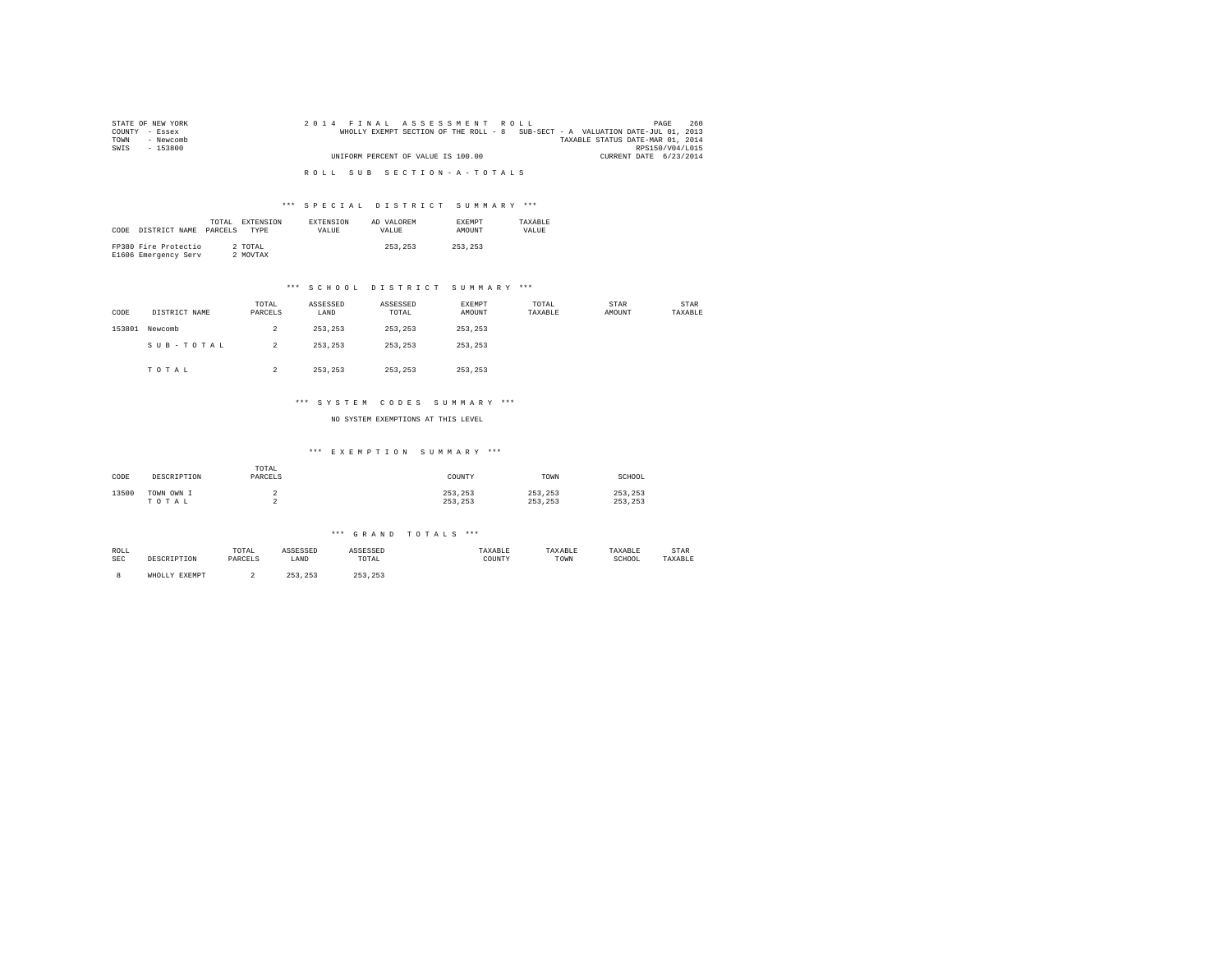| STATE OF NEW YORK |  |  | 2014 FINAL ASSESSMENT ROLL         |  |  |  |  |  |                                                                                |                        | PAGE            | 260 |  |
|-------------------|--|--|------------------------------------|--|--|--|--|--|--------------------------------------------------------------------------------|------------------------|-----------------|-----|--|
| COUNTY - Essex    |  |  |                                    |  |  |  |  |  | WHOLLY EXEMPT SECTION OF THE ROLL - 8 SUB-SECT - A VALUATION DATE-JUL 01, 2013 |                        |                 |     |  |
| TOWN<br>- Newcomb |  |  |                                    |  |  |  |  |  | TAXABLE STATUS DATE-MAR 01, 2014                                               |                        |                 |     |  |
| SWIS<br>- 153800  |  |  |                                    |  |  |  |  |  |                                                                                |                        | RPS150/V04/L015 |     |  |
|                   |  |  | UNIFORM PERCENT OF VALUE IS 100.00 |  |  |  |  |  |                                                                                | CURRENT DATE 6/23/2014 |                 |     |  |
|                   |  |  |                                    |  |  |  |  |  |                                                                                |                        |                 |     |  |
|                   |  |  | ROLL SUB SECTION-A-TOTALS          |  |  |  |  |  |                                                                                |                        |                 |     |  |

| CODE | DISTRICT NAME PARCELS                        | TOTAL | EXTENSION<br><b>TYPE</b> | <b>EXTENSION</b><br>VALUE | AD VALOREM<br>VALUE | <b>EXEMPT</b><br><b>AMOUNT</b> | TAXARLE<br>VALUE |
|------|----------------------------------------------|-------|--------------------------|---------------------------|---------------------|--------------------------------|------------------|
|      | FP380 Fire Protectio<br>E1606 Emergency Serv |       | 2 TOTAL<br>2 MOVTAX      |                           | 253, 253            | 253.253                        |                  |

#### \*\*\* S C H O O L D I S T R I C T S U M M A R Y \*\*\*

| CODE   | DISTRICT NAME | TOTAL<br>PARCELS | ASSESSED<br>LAND | ASSESSED<br>TOTAL | EXEMPT<br>AMOUNT | TOTAL<br>TAXABLE | STAR<br>AMOUNT | STAR<br>TAXABLE |
|--------|---------------|------------------|------------------|-------------------|------------------|------------------|----------------|-----------------|
| 153801 | Newcomb       | 2                | 253.253          | 253.253           | 253.253          |                  |                |                 |
|        | SUB-TOTAL     | $\overline{2}$   | 253.253          | 253.253           | 253.253          |                  |                |                 |
|        | TOTAL         | 2                | 253.253          | 253.253           | 253,253          |                  |                |                 |

#### \*\*\* S Y S T E M C O D E S S U M M A R Y \*\*\*

NO SYSTEM EXEMPTIONS AT THIS LEVEL

#### \*\*\* E X E M P T I O N S U M M A R Y \*\*\*

| CODE  | DESCRIPTION         | TOTAL<br>PARCELS | COUNTY             | TOWN               | SCHOOL             |
|-------|---------------------|------------------|--------------------|--------------------|--------------------|
| 13500 | TOWN OWN I<br>TOTAL |                  | 253.253<br>253.253 | 253.253<br>253.253 | 253.253<br>253.253 |

#### \*\*\* G R A N D T O T A L S \*\*\*

| ROLL       |      | 'O'I'AL<br>the contract of the contract of the contract of | .    | .                                                        |             |      |                   | STAR         |
|------------|------|------------------------------------------------------------|------|----------------------------------------------------------|-------------|------|-------------------|--------------|
| <b>SEC</b> | ⊥⊥∪⊥ | DARCEL                                                     | LAND | TOTAL<br>the contract of the contract of the contract of | COUNTY<br>. | TOWN | $1 - 111111$<br>. | <b>XARLF</b> |

8 WHOLLY EXEMPT 2 253,253 253,253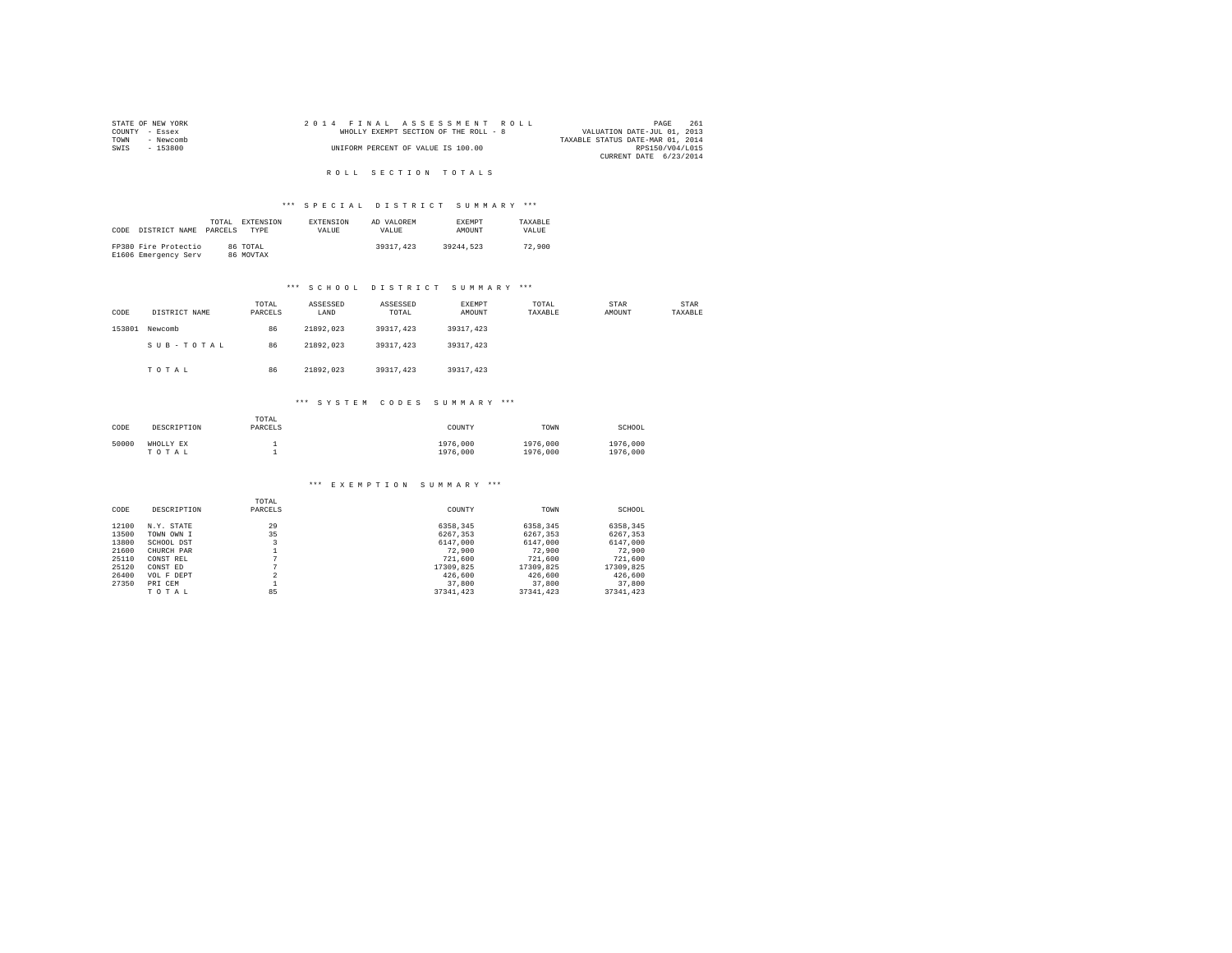|                | STATE OF NEW YORK |  |  |  | 2014 FINAL ASSESSMENT ROLL            |  |  |  |                                  | PAGE            | 261 |
|----------------|-------------------|--|--|--|---------------------------------------|--|--|--|----------------------------------|-----------------|-----|
| COUNTY - Essex |                   |  |  |  | WHOLLY EXEMPT SECTION OF THE ROLL - 8 |  |  |  | VALUATION DATE-JUL 01, 2013      |                 |     |
| TOWN           | - Newcomb         |  |  |  |                                       |  |  |  | TAXABLE STATUS DATE-MAR 01, 2014 |                 |     |
| SWTS           | - 153800          |  |  |  | UNIFORM PERCENT OF VALUE IS 100.00    |  |  |  |                                  | RPS150/V04/L015 |     |
|                |                   |  |  |  |                                       |  |  |  | CURRENT DATE 6/23/2014           |                 |     |

#### R O L L S E C T I O N T O T A L S

#### \*\*\* S P E C I A L D I S T R I C T S U M M A R Y \*\*\*

|      |                      | TOTAL   | EXTENSION   | <b>EXTENSION</b> | AD VALOREM | <b>EXEMPT</b> | TAXARLE |
|------|----------------------|---------|-------------|------------------|------------|---------------|---------|
| CODE | DISTRICT NAME        | PARCELS | <b>TYPE</b> | VALUE.           | VALUE.     | <b>AMOUNT</b> | VALUE   |
|      |                      |         |             |                  |            |               |         |
|      | FP380 Fire Protectio |         | 86 TOTAL    |                  | 39317,423  | 39244.523     | 72,900  |
|      | E1606 Emergency Serv |         | 86 MOVTAX   |                  |            |               |         |

#### \*\*\* S C H O O L D I S T R I C T S U M M A R Y \*\*\*

| CODE   | DISTRICT NAME | TOTAL<br>PARCELS | ASSESSED<br>LAND | ASSESSED<br>TOTAL | EXEMPT<br>AMOUNT | TOTAL<br>TAXABLE | <b>STAR</b><br>AMOUNT | STAR<br>TAXABLE |
|--------|---------------|------------------|------------------|-------------------|------------------|------------------|-----------------------|-----------------|
| 153801 | Newcomb       | 86               | 21892.023        | 39317.423         | 39317.423        |                  |                       |                 |
|        | SUB-TOTAL     | 86               | 21892.023        | 39317.423         | 39317.423        |                  |                       |                 |
|        | TOTAL         | 86               | 21892.023        | 39317.423         | 39317.423        |                  |                       |                 |

#### \*\*\* S Y S T E M C O D E S S U M M A R Y \*\*\*

| CODE  | DESCRIPTION        | TOTAL<br>PARCELS | COUNTY               | TOWN                 | SCHOOL               |
|-------|--------------------|------------------|----------------------|----------------------|----------------------|
| 50000 | WHOLLY EX<br>TOTAL |                  | 1976,000<br>1976,000 | 1976,000<br>1976,000 | 1976,000<br>1976,000 |

# \*\*\* E X E M P T I O N S U M M A R Y \*\*\*

| CODE  | DESCRIPTION | TOTAL<br>PARCELS | COUNTY    | TOWN      | SCHOOL    |
|-------|-------------|------------------|-----------|-----------|-----------|
| 12100 | N.Y. STATE  | 29               | 6358.345  | 6358.345  | 6358.345  |
| 13500 | TOWN OWN I  | 35               | 6267.353  | 6267.353  | 6267.353  |
| 13800 | SCHOOL DST  |                  | 6147,000  | 6147.000  | 6147,000  |
| 21600 | CHURCH PAR  |                  | 72,900    | 72,900    | 72,900    |
| 25110 | CONST REL   | $\sim$           | 721,600   | 721,600   | 721,600   |
| 25120 | CONST ED    | n                | 17309.825 | 17309.825 | 17309.825 |
| 26400 | VOL F DEPT  | $\overline{a}$   | 426,600   | 426,600   | 426,600   |
| 27350 | PRI CEM     |                  | 37,800    | 37,800    | 37,800    |
|       | TOTAL       | 85               | 37341.423 | 37341.423 | 37341,423 |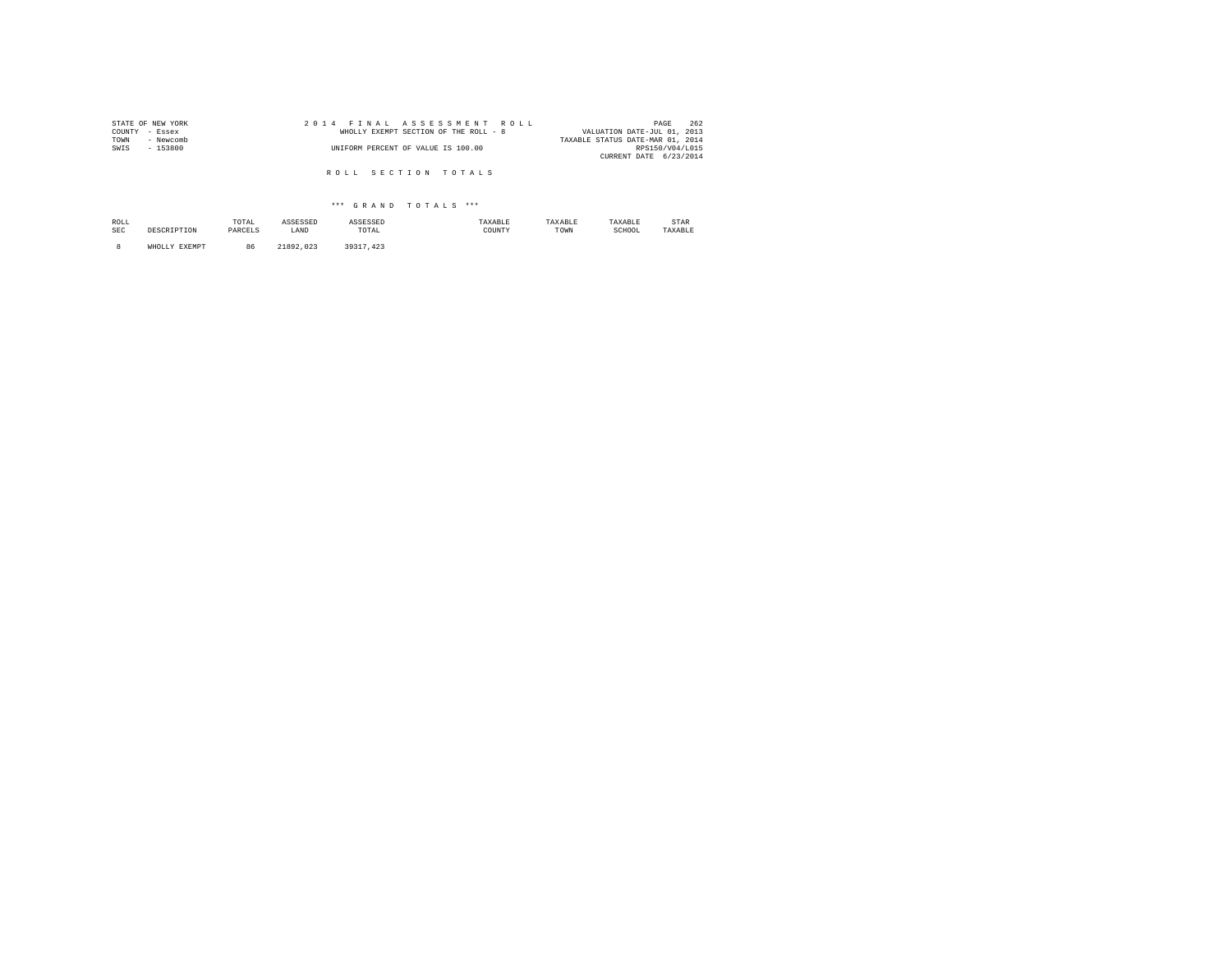| STATE OF NEW YORK | 2014 FINAL ASSESSMENT ROLL            | 262<br>PAGE                      |
|-------------------|---------------------------------------|----------------------------------|
| COUNTY - Essex    | WHOLLY EXEMPT SECTION OF THE ROLL - 8 | VALUATION DATE-JUL 01, 2013      |
| TOWN<br>- Newcomb |                                       | TAXABLE STATUS DATE-MAR 01, 2014 |
| SWIS<br>$-153800$ | UNIFORM PERCENT OF VALUE IS 100.00    | RPS150/V04/L015                  |
|                   |                                       | CURRENT DATE 6/23/2014           |
|                   |                                       |                                  |
|                   | ROLL SECTION TOTALS                   |                                  |

| ROLL<br><b>SEC</b> | SCRIPTION                   | TOTAL<br>the contract of the contract of the<br>PARCELS | ASSESSED<br>LAND | SSESSED<br>TOTAL<br>the contract of the contract of the contract of | TAXABLE<br>COUNTY | TAXABLE<br>TOWN | TAXABLE<br>SCHOOL | STAR<br>TAXABLE |
|--------------------|-----------------------------|---------------------------------------------------------|------------------|---------------------------------------------------------------------|-------------------|-----------------|-------------------|-----------------|
|                    | <b>DVPMDT</b><br>WHOLL<br>. | 86                                                      | 21992<br>023     | 39311<br>.423                                                       |                   |                 |                   |                 |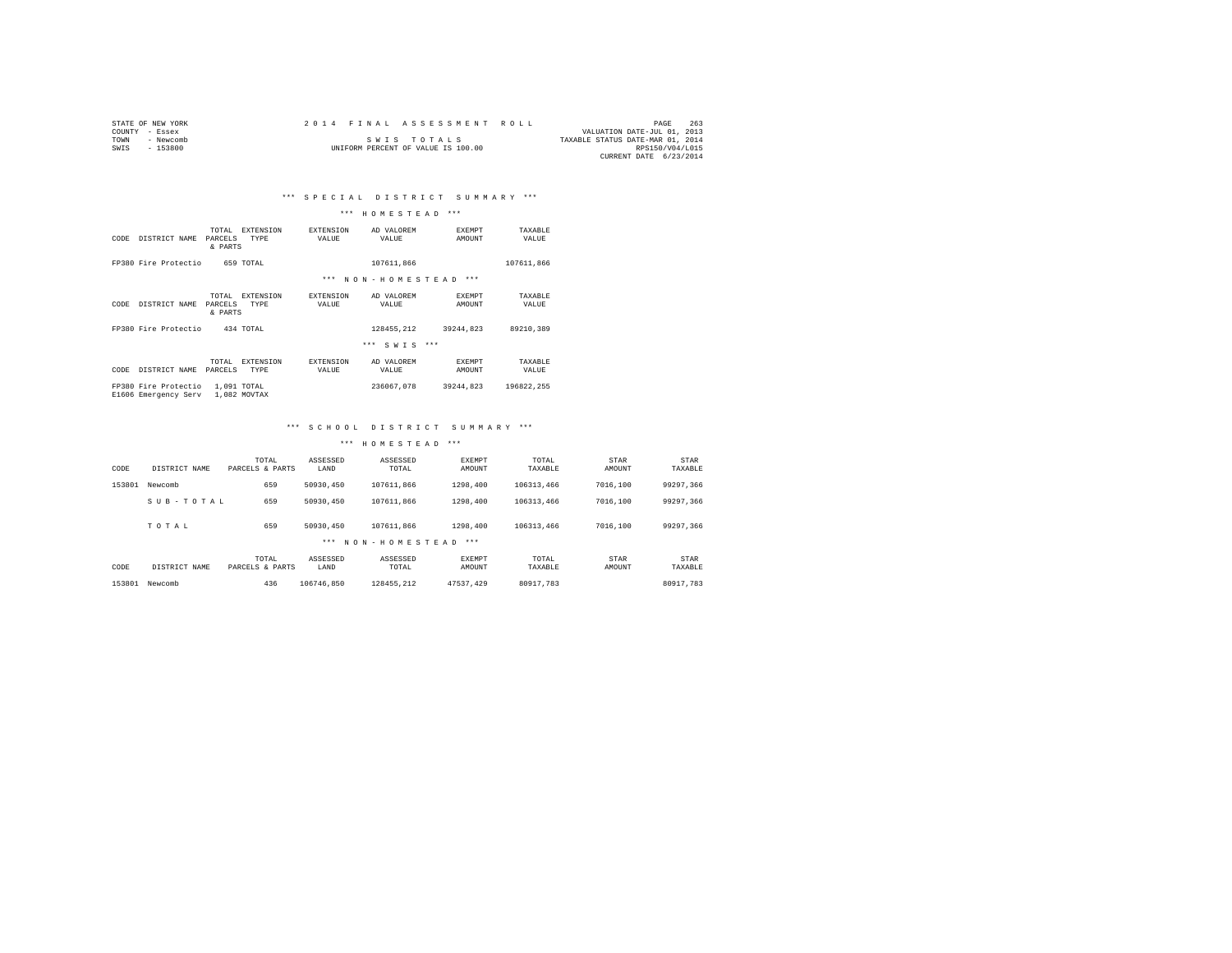|                | STATE OF NEW YORK |  |  |  |  |                                    |  |  | 2014 FINAL ASSESSMENT ROLL |                                  | PAGE                   | 263 |
|----------------|-------------------|--|--|--|--|------------------------------------|--|--|----------------------------|----------------------------------|------------------------|-----|
| COUNTY - Essex |                   |  |  |  |  |                                    |  |  |                            | VALUATION DATE-JUL 01, 2013      |                        |     |
| TOWN           | - Newcomb         |  |  |  |  | SWIS TOTALS                        |  |  |                            | TAXABLE STATUS DATE-MAR 01, 2014 |                        |     |
| SWTS           | - 153800          |  |  |  |  | UNIFORM PERCENT OF VALUE IS 100.00 |  |  |                            |                                  | RPS150/V04/L015        |     |
|                |                   |  |  |  |  |                                    |  |  |                            |                                  | CURRENT DATE 6/23/2014 |     |

#### \*\*\* H O M E S T E A D \*\*\*

| CODE | DISTRICT NAME                                | TOTAL<br>PARCELS<br>& PARTS | <b>EXTENSION</b><br>TYPE | <b>EXTENSION</b><br>VALUE | AD VALOREM<br>VALUE    | <b>EXEMPT</b><br>AMOUNT | TAXABLE<br>VALUE |
|------|----------------------------------------------|-----------------------------|--------------------------|---------------------------|------------------------|-------------------------|------------------|
|      | FP380 Fire Protectio                         |                             | 659 TOTAL                |                           | 107611.866             |                         | 107611.866       |
|      |                                              |                             |                          | $***$                     | NON-HOMESTEAD          | $***$                   |                  |
| CODE | DISTRICT NAME                                | TOTAL<br>PARCELS<br>& PARTS | <b>EXTENSION</b><br>TYPE | <b>EXTENSION</b><br>VALUE | AD VALOREM<br>VALUE    | <b>EXEMPT</b><br>AMOUNT | TAXARLE<br>VALUE |
|      | FP380 Fire Protectio                         |                             | 434 TOTAL                |                           | 128455.212             | 39244.823               | 89210.389        |
|      |                                              |                             |                          |                           | $***$<br>$S W T S$ *** |                         |                  |
| CODE | DISTRICT NAME                                | TOTAL<br>PARCELS            | <b>EXTENSION</b><br>TYPE | <b>EXTENSION</b><br>VALUE | AD VALOREM<br>VALUE    | <b>EXEMPT</b><br>AMOUNT | TAXABLE<br>VALUE |
|      | FP380 Fire Protectio<br>E1606 Emergency Serv | 1,091 TOTAL                 | 1,082 MOVTAX             |                           | 236067.078             | 39244.823               | 196822.255       |

#### \*\*\* S C H O O L D I S T R I C T S U M M A R Y \*\*\*

| CODE   | DISTRICT NAME | TOTAL<br>PARCELS & PARTS | ASSESSED<br>LAND | ASSESSED<br>TOTAL | <b>EXEMPT</b><br>AMOUNT | TOTAL<br>TAXABLE | STAR<br>AMOUNT | STAR<br>TAXABLE |
|--------|---------------|--------------------------|------------------|-------------------|-------------------------|------------------|----------------|-----------------|
| 153801 | Newcomb       | 659                      | 50930.450        | 107611,866        | 1298,400                | 106313.466       | 7016,100       | 99297.366       |
|        | SUB-TOTAL     | 659                      | 50930,450        | 107611,866        | 1298,400                | 106313.466       | 7016,100       | 99297.366       |
|        | TOTAL         | 659                      | 50930.450        | 107611.866        | 1298,400                | 106313.466       | 7016,100       | 99297.366       |
|        |               |                          |                  | *** NON-HOMESTEAD | ***                     |                  |                |                 |
| CODE   | DISTRICT NAME | TOTAL<br>PARCELS & PARTS | ASSESSED<br>LAND | ASSESSED<br>TOTAL | <b>EXEMPT</b><br>AMOUNT | TOTAL<br>TAXABLE | STAR<br>AMOUNT | STAR<br>TAXABLE |
| 153801 | Newcomb       | 436                      | 106746.850       | 128455.212        | 47537.429               | 80917.783        |                | 80917.783       |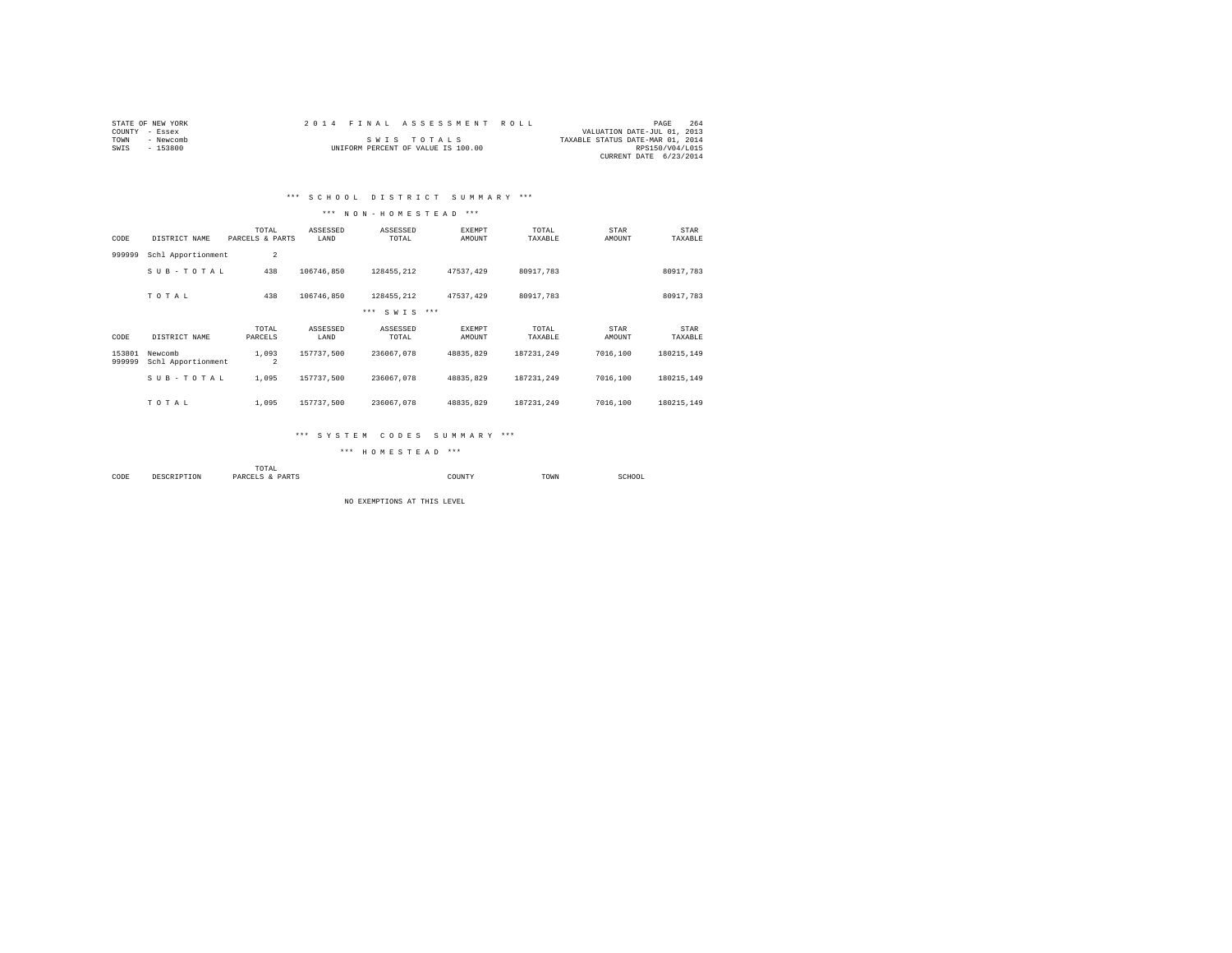|                | STATE OF NEW YORK | 2014 FINAL ASSESSMENT ROLL         |                                  | PAGE            | 264 |
|----------------|-------------------|------------------------------------|----------------------------------|-----------------|-----|
| COUNTY - Essex |                   |                                    | VALUATION DATE-JUL 01, 2013      |                 |     |
| TOWN           | - Newcomb         | SWIS TOTALS                        | TAXABLE STATUS DATE-MAR 01, 2014 |                 |     |
| SWIS           | $-153800$         | UNIFORM PERCENT OF VALUE IS 100.00 |                                  | RPS150/V04/L015 |     |
|                |                   |                                    | CURRENT DATE 6/23/2014           |                 |     |

## \*\*\* S C H O O L D I S T R I C T S U M M A R Y \*\*\*

#### \*\*\* N O N - H O M E S T E A D \*\*\*

| CODE             | DISTRICT NAME                 | TOTAL<br>PARCELS & PARTS | ASSESSED<br>LAND | ASSESSED<br>TOTAL | <b>EXEMPT</b><br>AMOUNT | TOTAL<br>TAXABLE | STAR<br>AMOUNT | STAR<br>TAXABLE |
|------------------|-------------------------------|--------------------------|------------------|-------------------|-------------------------|------------------|----------------|-----------------|
| 999999           | Schl Apportionment            | $\overline{a}$           |                  |                   |                         |                  |                |                 |
|                  | SUB-TOTAL                     | 438                      | 106746.850       | 128455.212        | 47537.429               | 80917.783        |                | 80917.783       |
|                  | TOTAL                         | 438                      | 106746.850       | 128455.212        | 47537.429               | 80917.783        |                | 80917.783       |
|                  |                               |                          |                  | $***$<br>SWTS *** |                         |                  |                |                 |
| CODE             | DISTRICT NAME                 | TOTAL<br>PARCELS         | ASSESSED<br>LAND | ASSESSED<br>TOTAL | EXEMPT<br>AMOUNT        | TOTAL<br>TAXABLE | STAR<br>AMOUNT | STAR<br>TAXABLE |
| 153801<br>999999 | Newcomb<br>Schl Apportionment | 1,093<br>$\overline{a}$  | 157737.500       | 236067.078        | 48835.829               | 187231.249       | 7016,100       | 180215.149      |
|                  | SUB-TOTAL                     | 1,095                    | 157737.500       | 236067.078        | 48835.829               | 187231.249       | 7016,100       | 180215.149      |
|                  | TOTAL                         | 1,095                    | 157737.500       | 236067.078        | 48835.829               | 187231.249       | 7016,100       | 180215.149      |

#### \*\*\* S Y S T E M C O D E S S U M M A R Y \*\*\*

\*\*\* H O M E S T E A D \*\*\*

|           |             | TOTAL<br>the contract of the contract of the contract of |             |      |             |
|-----------|-------------|----------------------------------------------------------|-------------|------|-------------|
| CODE<br>. | DESCRIPTION | PARCELS<br>PARTS<br>$\mathbf{r}$                         | COUNTY<br>. | TOWN | SCHOOL<br>. |

NO EXEMPTIONS AT THIS LEVEL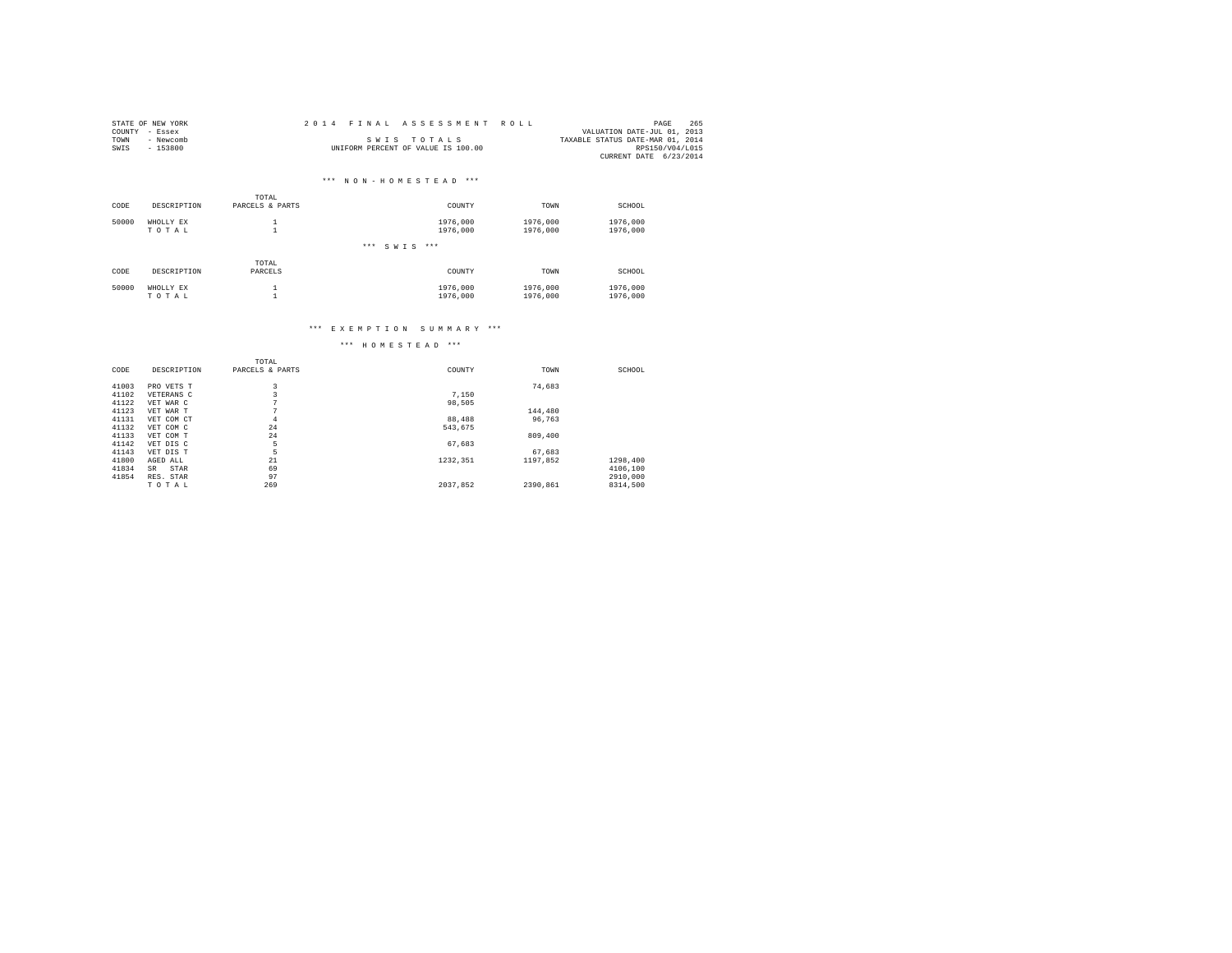|      | STATE OF NEW YORK | 2014 FINAL ASSESSMENT ROLL         | 265<br>PAGE                      |
|------|-------------------|------------------------------------|----------------------------------|
|      | COUNTY - Essex    |                                    | VALUATION DATE-JUL 01, 2013      |
| TOWN | - Newcomb         | SWIS TOTALS                        | TAXABLE STATUS DATE-MAR 01, 2014 |
| SWIS | $-153800$         | UNIFORM PERCENT OF VALUE IS 100.00 | RPS150/V04/L015                  |
|      |                   |                                    | CURRENT DATE 6/23/2014           |

## \*\*\* N O N - H O M E S T E A D \*\*\*

|       |             | TOTAL           |                      |          |          |
|-------|-------------|-----------------|----------------------|----------|----------|
| CODE  | DESCRIPTION | PARCELS & PARTS | COUNTY               | TOWN     | SCHOOL   |
| 50000 | WHOLLY EX   |                 | 1976,000             | 1976,000 | 1976,000 |
|       | TOTAL       |                 | 1976,000             | 1976,000 | 1976,000 |
|       |             |                 | ***<br>$***$<br>SWIS |          |          |
|       |             | TOTAL           |                      |          |          |
| CODE  | DESCRIPTION | PARCELS         | COUNTY               | TOWN     | SCHOOL   |
| 50000 | WHOLLY EX   |                 | 1976,000             | 1976,000 | 1976,000 |
|       | TOTAL       |                 | 1976,000             | 1976,000 | 1976,000 |

#### \*\*\* E X E M P T I O N S U M M A R Y \*\*\*

|       |             | TOTAL           |          |          |          |
|-------|-------------|-----------------|----------|----------|----------|
| CODE  | DESCRIPTION | PARCELS & PARTS | COUNTY   | TOWN     | SCHOOL   |
| 41003 | PRO VETS T  | 3               |          | 74.683   |          |
| 41102 | VETERANS C  | 3               | 7,150    |          |          |
| 41122 | VET WAR C   | $\sim$          | 98.505   |          |          |
| 41123 | VET WAR T   | $\sim$          |          | 144,480  |          |
| 41131 | VET COM CT  | $\overline{4}$  | 88,488   | 96.763   |          |
| 41132 | VET COM C   | 24              | 543.675  |          |          |
| 41133 | VET COM T   | 24              |          | 809,400  |          |
| 41142 | VET DIS C   | 5               | 67.683   |          |          |
| 41143 | VET DIS T   | 5               |          | 67.683   |          |
| 41800 | AGED ALL    | 21              | 1232.351 | 1197.852 | 1298,400 |
| 41834 | STAR<br>SR. | 69              |          |          | 4106,100 |
| 41854 | RES. STAR   | 97              |          |          | 2910,000 |
|       | TOTAL       | 269             | 2037.852 | 2390.861 | 8314,500 |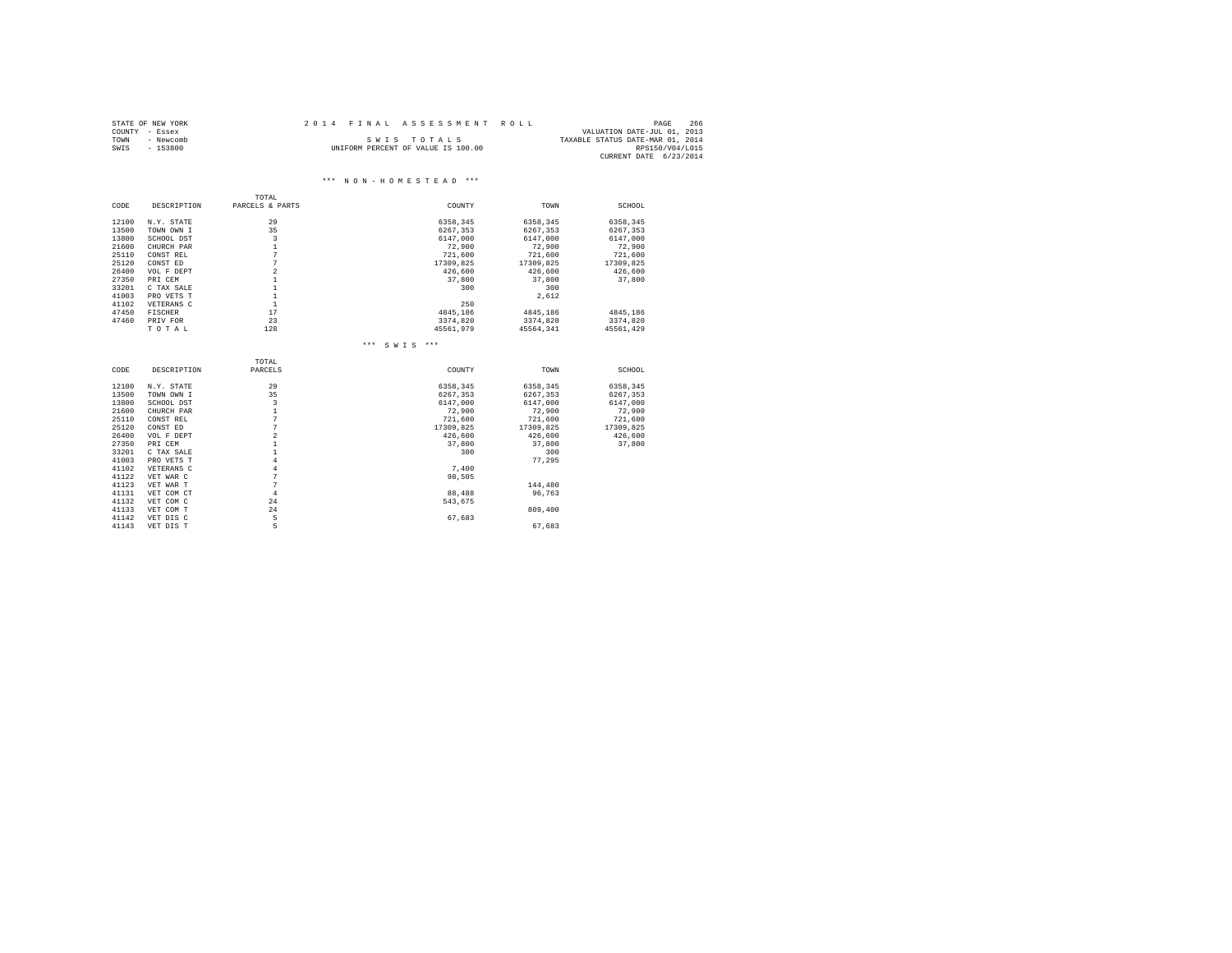|      | STATE OF NEW YORK | 2014 FINAL ASSESSMENT ROLL         |                                  | PAGE            | 266 |
|------|-------------------|------------------------------------|----------------------------------|-----------------|-----|
|      | COUNTY - Essex    |                                    | VALUATION DATE-JUL 01, 2013      |                 |     |
| TOWN | - Newcomb         | SWIS TOTALS                        | TAXABLE STATUS DATE-MAR 01, 2014 |                 |     |
| SWIS | - 153800          | UNIFORM PERCENT OF VALUE IS 100.00 |                                  | RPS150/V04/L015 |     |
|      |                   |                                    | CURRENT DATE 6/23/2014           |                 |     |

 $\hspace{0.1cm}***\hspace{0.1cm}$  N O N - H O M E S T E A D  $\hspace{0.1cm}***\hspace{0.1cm}$ 

#### TOTAL<br>CODE DESCRIPTION PARCELS & P. PARCELS & PARTS  $\hfill$  COUNTY  $\hfill$  TOWN SCHOOL 12100 N.Y. STATE 29 6358,345 6358,345 6358,345 13500 TOWN OWN I 35 6267,353 6267,353 6267,353 13800 SCHOOL DST 3 6147,000 6147,000 6147,000 21600 CHURCH PAR 1 72,900 72,900 72,900 25110 CONST REL 7 721,600 721,600 721,600 25120 CONST ED 7 17309,825 17309,825 17309,825 26400 VOL F DEPT 2 426,600 426,600 426,600 27350 PRI CEM 1 37,800 37,800 37,800 33201 C TAX SALE 1 300 300 41003 PRO VETS T 1 2,612 41102 VETERANS C 1 250 47450 FISCHER 17 4845,186 4845,186 4845,186 47460 PRIV FOR 23 3374,820 3374,820 3374,820 T O T A L 128 45561,979 45564,341 45561,429 \*\*\* S W I S \*\*\* TOTAL<br>CODE DESCRIPTION PARCELS CODE DESCRIPTION PARCELS COUNTY TOWN SCHOOL 12100 N.Y. STATE 29 6358,345 6358,345 6358,345 13500 TOWN OWN I 35 6267,353 6267,353 6267,353 13800 SCHOOL DST 3 6147,000 6147,000 6147,000 21600 CHURCH PAR 1 72,900 72,900 72,900 25110 CONST REL 7 721,600 721,600 721,600 كل المساحدة المساحدة المساحدة المساحدة المساحدة المساحدة المساحدة المساحدة المساحدة المساحدة المساحدة المساحدة<br>25120 CONST ED 71309,825 17309,825 17309,825 17309,825 17309,825 17309,825 17309,825 17309,825 17309,825 17309 26400 VOL F DEPT 2 426,600 426,600 426,600 27350 PRI CEM 1 37,800 37,800 37,800 33201 C TAX SALE 1 300 300 41003 PRO VETS T 4 77,295 41102 VETERANS C 4 7,400 41122 VET WAR C 7 98,505 41123 VET WAR T 7 144,480 41131 VET COM CT 4 88,488 96,763 41132 VET COM C 24 543,675<br>41133 VET COM C 24 543,675<br>41142 VET DIS C 5 5 67,683<br>41142 VET DIS T 5 41133 VET COM T 24 809,400 41142 VET DIS C 5 67,683  $41143$  VET DIS T  $5$  5 67,683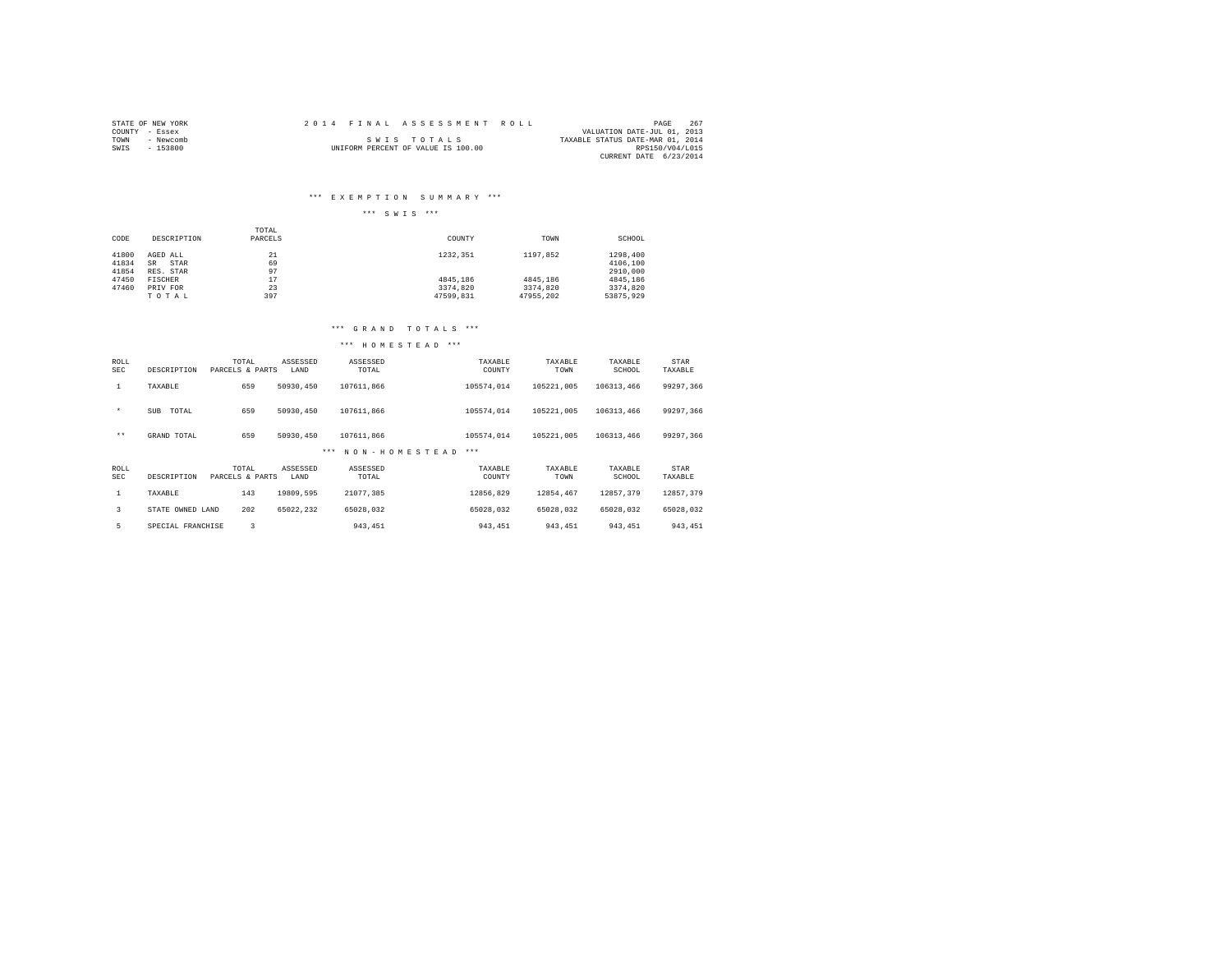| STATE OF NEW YORK | 2014 FINAL ASSESSMENT ROLL         | 267<br>PAGE                      |  |
|-------------------|------------------------------------|----------------------------------|--|
| COUNTY - Essex    |                                    | VALUATION DATE-JUL 01, 2013      |  |
| - Newcomb<br>TOWN | SWIS TOTALS                        | TAXABLE STATUS DATE-MAR 01, 2014 |  |
| SWIS<br>$-153800$ | UNIFORM PERCENT OF VALUE IS 100.00 | RPS150/V04/L015                  |  |
|                   |                                    | CURRENT DATE 6/23/2014           |  |

#### \*\*\* E X E M P T I O N S U M M A R Y \*\*\*

## \*\*\* S W I S \*\*\*

|       |                   | TOTAL   |           |           |           |
|-------|-------------------|---------|-----------|-----------|-----------|
| CODE  | DESCRIPTION       | PARCELS | COUNTY    | TOWN      | SCHOOL    |
|       |                   |         |           |           |           |
| 41800 | AGED ALL          | 21      | 1232.351  | 1197.852  | 1298,400  |
| 41834 | STAR<br><b>SR</b> | 69      |           |           | 4106,100  |
| 41854 | RES. STAR         | 97      |           |           | 2910,000  |
| 47450 | FISCHER           | 17      | 4845.186  | 4845,186  | 4845.186  |
| 47460 | PRIV FOR          | 23      | 3374.820  | 3374.820  | 3374.820  |
|       | TOTAL             | 397     | 47599.831 | 47955.202 | 53875.929 |

#### \*\*\* G R A N D T O T A L S \*\*\*

| ROLL<br><b>SEC</b> | DESCRIPTION         | TOTAL<br>PARCELS & PARTS | ASSESSED<br>LAND | ASSESSED<br>TOTAL        | TAXABLE<br>COUNTY | TAXABLE<br>TOWN | TAXABLE<br>SCHOOL | STAR<br>TAXABLE |
|--------------------|---------------------|--------------------------|------------------|--------------------------|-------------------|-----------------|-------------------|-----------------|
| 1                  | TAXABLE             | 659                      | 50930,450        | 107611.866               | 105574.014        | 105221.005      | 106313,466        | 99297.366       |
| $\star$            | TOTAL<br><b>SUB</b> | 659                      | 50930,450        | 107611.866               | 105574.014        | 105221.005      | 106313,466        | 99297,366       |
| $***$              | GRAND TOTAL         | 659                      | 50930,450        | 107611.866               | 105574.014        | 105221.005      | 106313,466        | 99297.366       |
|                    |                     |                          |                  | NON-HOMESTEAD<br>$* * *$ | $***$             |                 |                   |                 |
| ROLL<br><b>SEC</b> | DESCRIPTION         | TOTAL<br>PARCELS & PARTS | ASSESSED<br>LAND | ASSESSED<br>TOTAL        | TAXABLE<br>COUNTY | TAXABLE<br>TOWN | TAXABLE<br>SCHOOL | STAR<br>TAXABLE |
| $\mathbf{1}$       | TAXABLE             | 143                      | 19809.595        | 21077.385                | 12856.829         | 12854.467       | 12857.379         | 12857.379       |
| 3                  | STATE OWNED LAND    | 202                      | 65022.232        | 65028.032                | 65028.032         | 65028.032       | 65028.032         | 65028.032       |
| 5                  |                     |                          |                  |                          |                   |                 |                   |                 |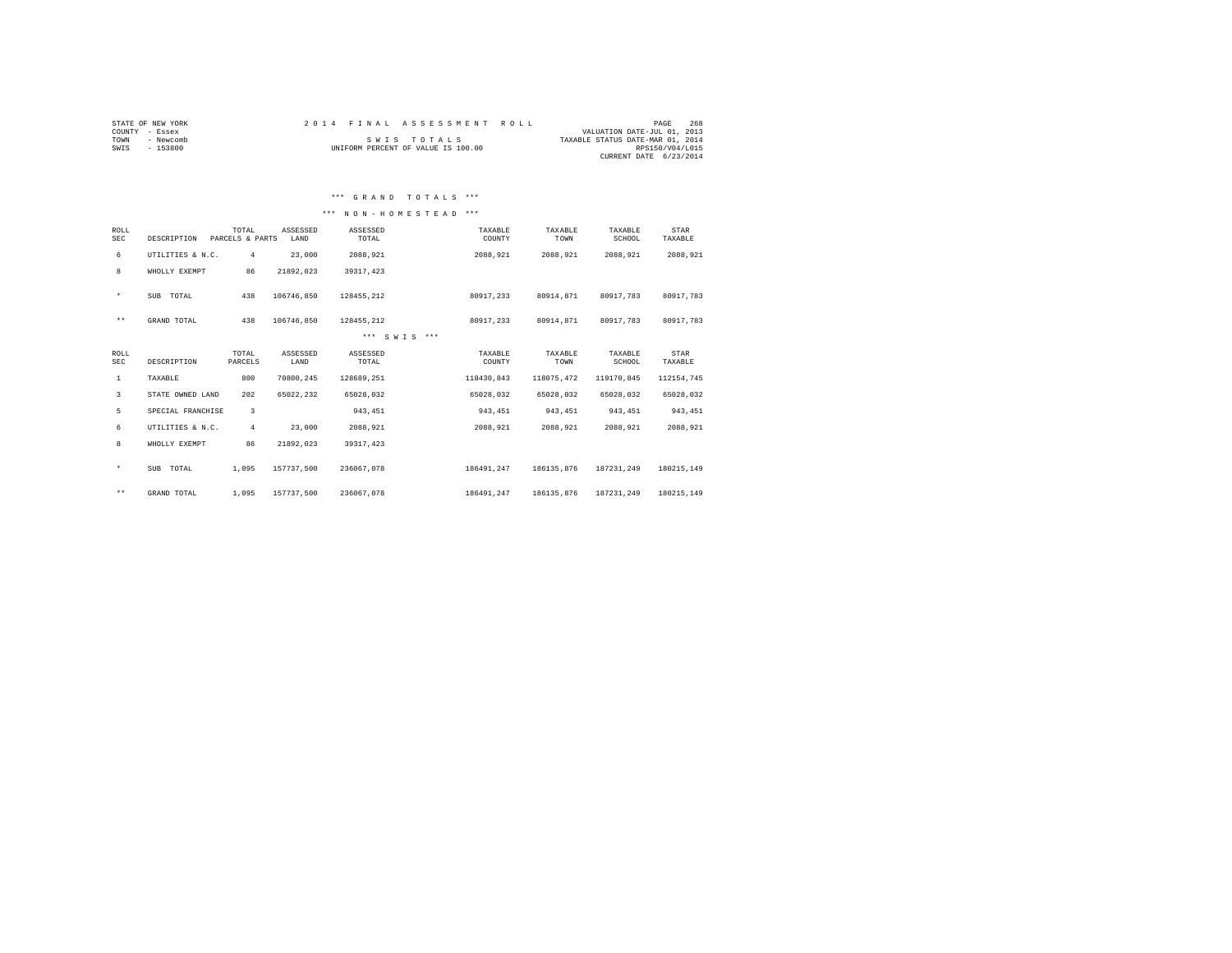| STATE OF NEW YORK | 2014 FINAL ASSESSMENT ROLL         | 268<br>PAGE                      |
|-------------------|------------------------------------|----------------------------------|
| COUNTY - Essex    |                                    | VALUATION DATE-JUL 01, 2013      |
| - Newcomb<br>TOWN | SWIS TOTALS                        | TAXABLE STATUS DATE-MAR 01, 2014 |
| $-153800$<br>SWIS | UNIFORM PERCENT OF VALUE IS 100.00 | RPS150/V04/L015                  |
|                   |                                    | CURRENT DATE 6/23/2014           |

## \*\*\* N O N - H O M E S T E A D \*\*\*

| ROLL<br><b>SEC</b> | DESCRIPTION       | TOTAL<br>PARCELS & PARTS | ASSESSED<br>LAND | ASSESSED<br>TOTAL | TAXABLE<br>COUNTY | TAXABLE<br>TOWN | TAXABLE<br>SCHOOL | STAR<br>TAXABLE |
|--------------------|-------------------|--------------------------|------------------|-------------------|-------------------|-----------------|-------------------|-----------------|
| 6                  | UTILITIES & N.C.  | $\overline{4}$           | 23,000           | 2088.921          | 2088,921          | 2088.921        | 2088.921          | 2088,921        |
| 8                  | WHOLLY EXEMPT     | 86                       | 21892.023        | 39317, 423        |                   |                 |                   |                 |
| $\star$            | SUB TOTAL         | 438                      | 106746.850       | 128455.212        | 80917.233         | 80914.871       | 80917.783         | 80917.783       |
| $\star\star$       | GRAND TOTAL       | 438                      | 106746.850       | 128455.212        | 80917.233         | 80914.871       | 80917.783         | 80917.783       |
|                    |                   |                          |                  | *** SWTS ***      |                   |                 |                   |                 |
| ROLL<br><b>SEC</b> | DESCRIPTION       | TOTAL<br>PARCELS         | ASSESSED<br>LAND | ASSESSED<br>TOTAL | TAXABLE<br>COUNTY | TAXABLE<br>TOWN | TAXABLE<br>SCHOOL | STAR<br>TAXABLE |
| $\mathbf{1}$       | TAXABLE           | 800                      | 70800.245        | 128689.251        | 118430,843        | 118075.472      | 119170.845        | 112154,745      |
| 3                  | STATE OWNED LAND  | 202                      | 65022.232        | 65028.032         | 65028.032         | 65028.032       | 65028.032         | 65028.032       |
| 5                  | SPECIAL FRANCHISE | $\overline{3}$           |                  | 943.451           | 943,451           | 943.451         | 943,451           | 943,451         |
| 6                  | UTILITIES & N.C.  | $\overline{4}$           | 23,000           | 2088.921          | 2088.921          | 2088.921        | 2088.921          | 2088.921        |
| 8                  | WHOLLY EXEMPT     | 86                       | 21892.023        | 39317, 423        |                   |                 |                   |                 |
| $\star$            | SUB TOTAL         | 1,095                    | 157737.500       | 236067.078        | 186491.247        | 186135.876      | 187231.249        | 180215.149      |
| $\star\star$       | GRAND TOTAL       | 1,095                    | 157737.500       | 236067.078        | 186491.247        | 186135.876      | 187231.249        | 180215.149      |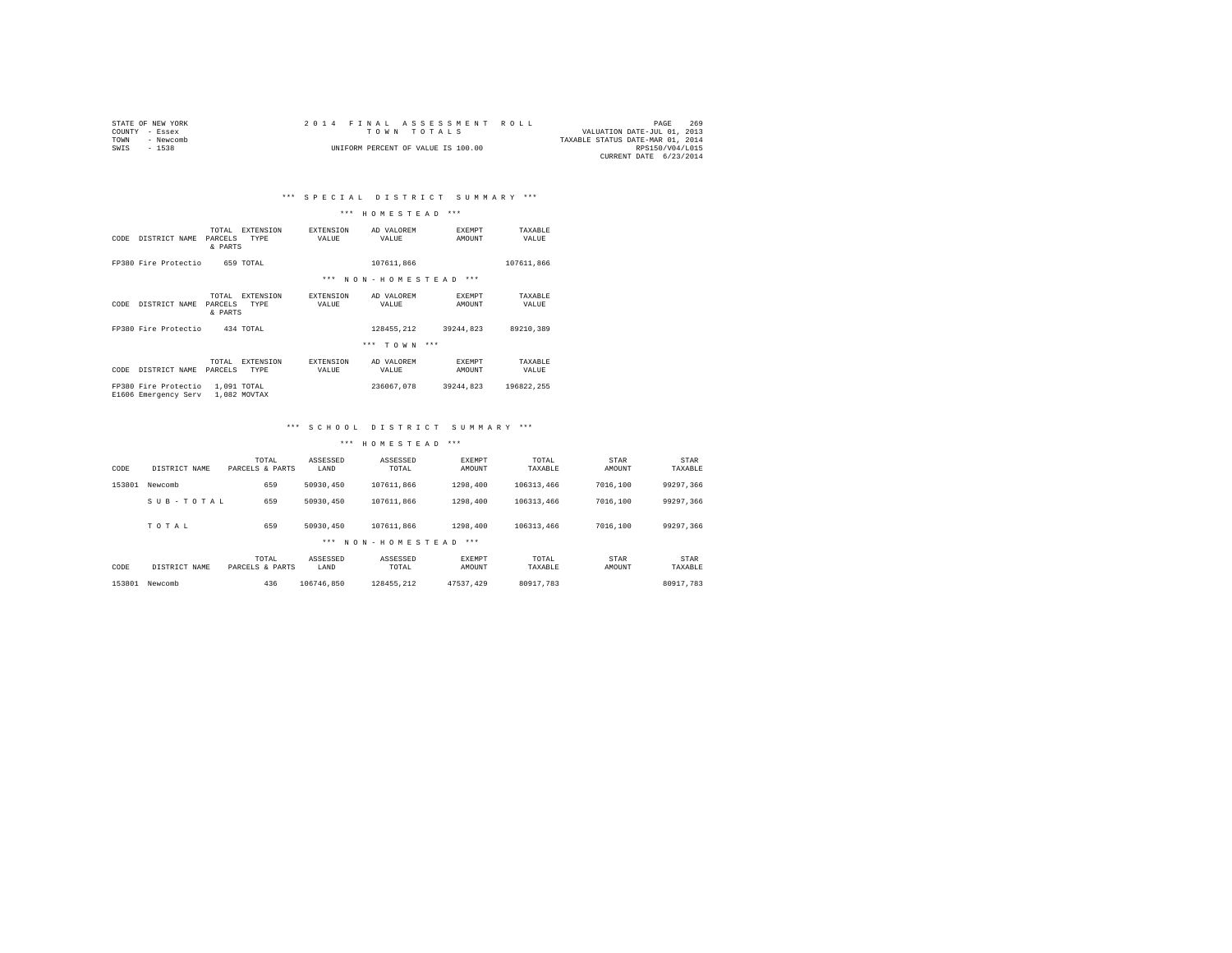|                | STATE OF NEW YORK |  |  |                                    |  |  | 2014 FINAL ASSESSMENT ROLL |                                  | PAGE            | 269 |
|----------------|-------------------|--|--|------------------------------------|--|--|----------------------------|----------------------------------|-----------------|-----|
| COUNTY - Essex |                   |  |  | TOWN TOTALS                        |  |  |                            | VALUATION DATE-JUL 01, 2013      |                 |     |
| TOWN           | - Newcomb         |  |  |                                    |  |  |                            | TAXABLE STATUS DATE-MAR 01, 2014 |                 |     |
| SWIS           | $-1538$           |  |  | UNIFORM PERCENT OF VALUE IS 100.00 |  |  |                            |                                  | RPS150/V04/L015 |     |
|                |                   |  |  |                                    |  |  |                            | CURRENT DATE 6/23/2014           |                 |     |

#### \*\*\* H O M E S T E A D \*\*\*

| CODE | DISTRICT NAME                                | TOTAL<br>PARCELS<br>& PARTS | <b>EXTENSION</b><br>TYPE | <b>EXTENSION</b><br>VALUE | AD VALOREM<br>VALUE | <b>EXEMPT</b><br>AMOUNT | TAXABLE<br>VALUE |
|------|----------------------------------------------|-----------------------------|--------------------------|---------------------------|---------------------|-------------------------|------------------|
|      | FP380 Fire Protectio                         |                             | 659 TOTAL                |                           | 107611.866          |                         | 107611.866       |
|      |                                              |                             |                          | $***$                     | NON-HOMESTEAD       | $***$                   |                  |
| CODE | DISTRICT NAME                                | TOTAL<br>PARCELS<br>& PARTS | <b>EXTENSION</b><br>TYPE | <b>EXTENSION</b><br>VALUE | AD VALOREM<br>VALUE | <b>EXEMPT</b><br>AMOUNT | TAXARLE<br>VALUE |
|      | FP380 Fire Protectio                         |                             | 434 TOTAL                |                           | 128455.212          | 39244.823               | 89210.389        |
|      |                                              |                             |                          |                           | $***$<br>TOWN ***   |                         |                  |
| CODE | DISTRICT NAME                                | TOTAL<br>PARCELS            | <b>EXTENSION</b><br>TYPE | <b>EXTENSION</b><br>VALUE | AD VALOREM<br>VALUE | <b>EXEMPT</b><br>AMOUNT | TAXABLE<br>VALUE |
|      | FP380 Fire Protectio<br>E1606 Emergency Serv | 1,091 TOTAL                 | 1,082 MOVTAX             |                           | 236067.078          | 39244.823               | 196822.255       |

#### \*\*\* S C H O O L D I S T R I C T S U M M A R Y \*\*\*

| CODE   | DISTRICT NAME | TOTAL<br>PARCELS & PARTS | ASSESSED<br>LAND | ASSESSED<br>TOTAL | <b>EXEMPT</b><br>AMOUNT | TOTAL<br>TAXABLE | STAR<br>AMOUNT | <b>STAR</b><br>TAXABLE |
|--------|---------------|--------------------------|------------------|-------------------|-------------------------|------------------|----------------|------------------------|
| 153801 | Newcomb       | 659                      | 50930,450        | 107611,866        | 1298,400                | 106313.466       | 7016,100       | 99297.366              |
|        | SUB-TOTAL     | 659                      | 50930.450        | 107611,866        | 1298,400                | 106313.466       | 7016,100       | 99297.366              |
|        | TOTAL         | 659                      | 50930.450        | 107611,866        | 1298,400                | 106313.466       | 7016,100       | 99297.366              |
|        |               |                          | ***              | NON-HOMESTEAD     | $* * *$                 |                  |                |                        |
| CODE   | DISTRICT NAME | TOTAL<br>PARCELS & PARTS | ASSESSED<br>LAND | ASSESSED<br>TOTAL | <b>EXEMPT</b><br>AMOUNT | TOTAL<br>TAXABLE | STAR<br>AMOUNT | <b>STAR</b><br>TAXABLE |
| 153801 | Newcomb       | 436                      | 106746.850       | 128455.212        | 47537.429               | 80917.783        |                | 80917.783              |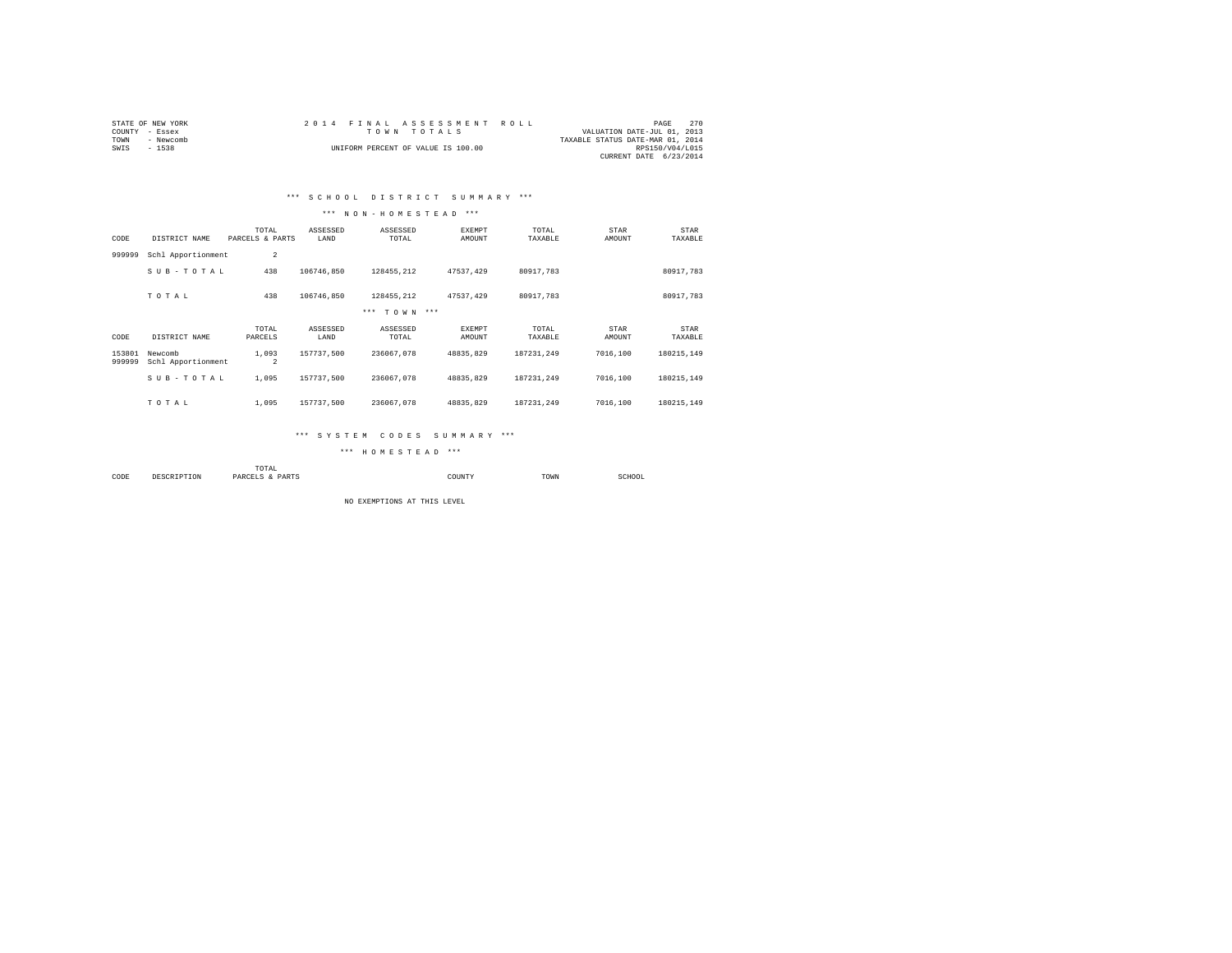| STATE OF NEW YORK |           |  | 2014 FINAL ASSESSMENT ROLL         |  |                                  | PAGE                   | 270 |
|-------------------|-----------|--|------------------------------------|--|----------------------------------|------------------------|-----|
| COUNTY - Essex    |           |  | TOWN TOTALS                        |  | VALUATION DATE-JUL 01, 2013      |                        |     |
| TOWN              | - Newcomb |  |                                    |  | TAXABLE STATUS DATE-MAR 01, 2014 |                        |     |
| SWIS              | $-1538$   |  | UNIFORM PERCENT OF VALUE IS 100.00 |  |                                  | RPS150/V04/L015        |     |
|                   |           |  |                                    |  |                                  | CURRENT DATE 6/23/2014 |     |

## \*\*\* S C H O O L D I S T R I C T S U M M A R Y \*\*\*

#### \*\*\* N O N - H O M E S T E A D \*\*\*

| CODE             | DISTRICT NAME                 | TOTAL<br>PARCELS & PARTS | ASSESSED<br>LAND | ASSESSED<br>TOTAL | EXEMPT<br>AMOUNT | TOTAL<br>TAXABLE | STAR<br>AMOUNT | STAR<br>TAXABLE |
|------------------|-------------------------------|--------------------------|------------------|-------------------|------------------|------------------|----------------|-----------------|
| 999999           | Schl Apportionment            | $\overline{2}$           |                  |                   |                  |                  |                |                 |
|                  | SUB-TOTAL                     | 438                      | 106746.850       | 128455.212        | 47537.429        | 80917.783        |                | 80917.783       |
|                  | TOTAL                         | 438                      | 106746.850       | 128455.212        | 47537.429        | 80917.783        |                | 80917.783       |
|                  |                               |                          |                  | *** TOWN ***      |                  |                  |                |                 |
| CODE             | DISTRICT NAME                 | TOTAL<br>PARCELS         | ASSESSED<br>LAND | ASSESSED<br>TOTAL | EXEMPT<br>AMOUNT | TOTAL<br>TAXABLE | STAR<br>AMOUNT | STAR<br>TAXABLE |
| 153801<br>999999 | Newcomb<br>Schl Apportionment | 1,093<br>$\overline{a}$  | 157737.500       | 236067.078        | 48835.829        | 187231.249       | 7016,100       | 180215.149      |
|                  | SUB-TOTAL                     | 1,095                    | 157737.500       | 236067.078        | 48835.829        | 187231.249       | 7016,100       | 180215.149      |
|                  | TOTAL                         | 1,095                    | 157737.500       | 236067.078        | 48835.829        | 187231.249       | 7016,100       | 180215.149      |

#### \*\*\* S Y S T E M C O D E S S U M M A R Y \*\*\*

\*\*\* H O M E S T E A D \*\*\*

|      |             | momar<br>LUIAL<br>the contract of the contract of the contract of |             |      |             |
|------|-------------|-------------------------------------------------------------------|-------------|------|-------------|
| CODE | DESCRIPTION | PARTS<br>PARCELS<br>                                              | COUNTY<br>. | TOWN | SCHOOL<br>. |

NO EXEMPTIONS AT THIS LEVEL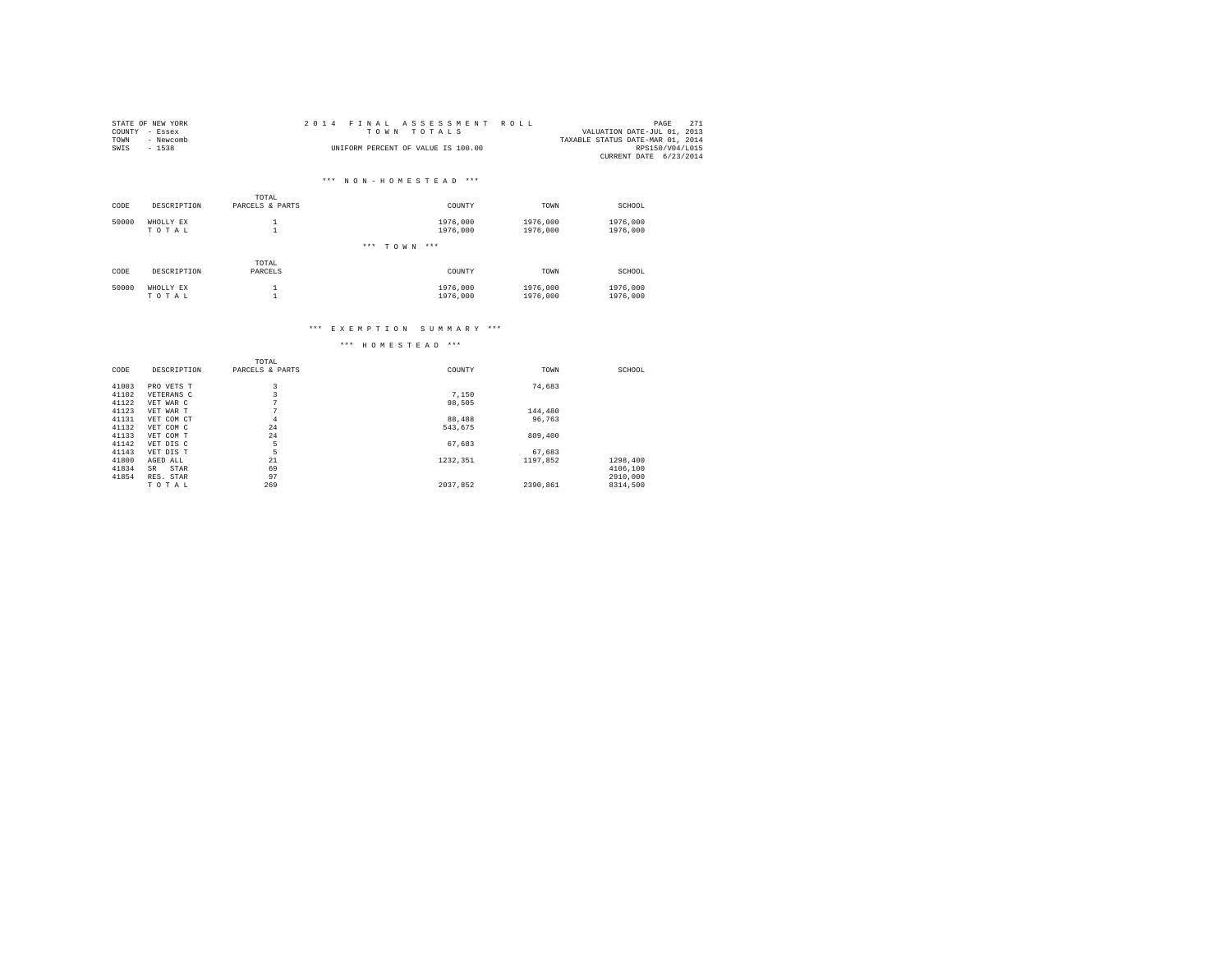|      | STATE OF NEW YORK | 2014 FINAL ASSESSMENT ROLL         | PAGE                        | 271 |
|------|-------------------|------------------------------------|-----------------------------|-----|
|      | COUNTY - Essex    | TOWN TOTALS                        | VALUATION DATE-JUL 01, 2013 |     |
| TOWN | - Newcomb         | TAXABLE STATUS DATE-MAR 01, 2014   |                             |     |
| SWIS | $-1538$           | UNIFORM PERCENT OF VALUE IS 100.00 | RPS150/V04/L015             |     |
|      |                   |                                    | CURRENT DATE 6/23/2014      |     |

# \*\*\* N O N - H O M E S T E A D \*\*\*

|       |             | TOTAL           |                 |          |          |
|-------|-------------|-----------------|-----------------|----------|----------|
| CODE  | DESCRIPTION | PARCELS & PARTS | COUNTY          | TOWN     | SCHOOL   |
| 50000 | WHOLLY EX   |                 | 1976,000        | 1976,000 | 1976,000 |
|       | TOTAL       | $\overline{a}$  | 1976,000        | 1976,000 | 1976,000 |
|       |             |                 | *** TOWN<br>*** |          |          |
|       |             | TOTAL           |                 |          |          |
| CODE  | DESCRIPTION | PARCELS         | COUNTY          | TOWN     | SCHOOL   |
| 50000 | WHOLLY EX   |                 | 1976,000        | 1976,000 | 1976,000 |
|       | TOTAL       | ٠               | 1976,000        | 1976,000 | 1976,000 |

#### \*\*\* E X E M P T I O N S U M M A R Y \*\*\*

|       |             | TOTAL           |          |          |          |
|-------|-------------|-----------------|----------|----------|----------|
| CODE  | DESCRIPTION | PARCELS & PARTS | COUNTY   | TOWN     | SCHOOL   |
| 41003 | PRO VETS T  | 3               |          | 74.683   |          |
| 41102 | VETERANS C  | 3               | 7.150    |          |          |
| 41122 | VET WAR C   | $\sim$          | 98.505   |          |          |
| 41123 | VET WAR T   | $\sim$          |          | 144,480  |          |
| 41131 | VET COM CT  | $\overline{4}$  | 88,488   | 96.763   |          |
| 41132 | VET COM C   | 24              | 543.675  |          |          |
| 41133 | VET COM T   | 24              |          | 809,400  |          |
| 41142 | VET DIS C   | 5               | 67,683   |          |          |
| 41143 | VET DIS T   | 5               |          | 67.683   |          |
| 41800 | AGED ALL    | 21              | 1232.351 | 1197.852 | 1298,400 |
| 41834 | STAR<br>SR  | 69              |          |          | 4106,100 |
| 41854 | RES. STAR   | 97              |          |          | 2910,000 |
|       | TOTAL       | 269             | 2037,852 | 2390.861 | 8314,500 |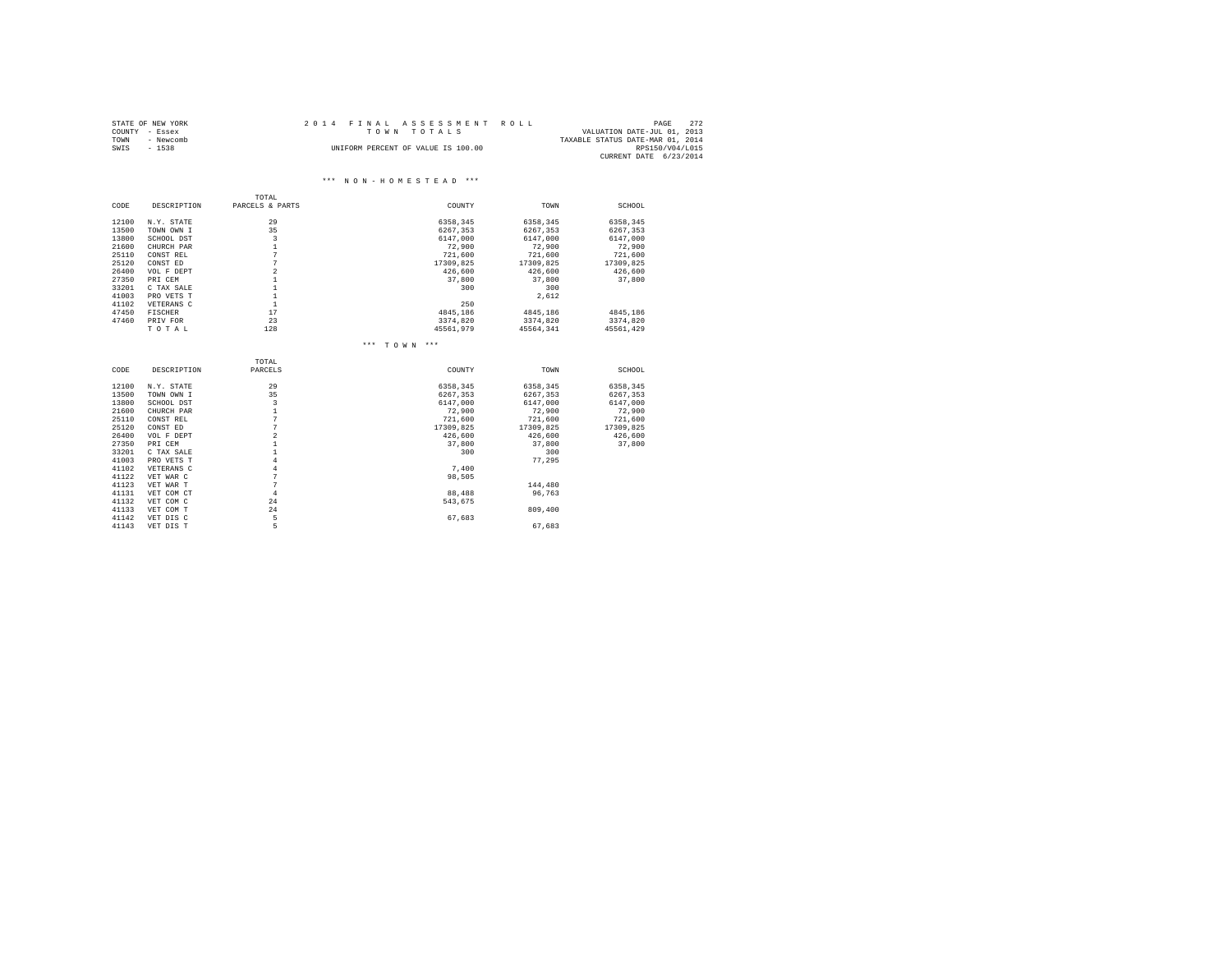|      | STATE OF NEW YORK | 2014 FINAL ASSESSMENT ROLL                 | PAGE                   | 272 |
|------|-------------------|--------------------------------------------|------------------------|-----|
|      | COUNTY - Essex    | VALUATION DATE-JUL 01, 2013<br>TOWN TOTALS |                        |     |
| TOWN | - Newcomb         | TAXABLE STATUS DATE-MAR 01, 2014           |                        |     |
| SWIS | $-1538$           | UNIFORM PERCENT OF VALUE IS 100.00         | RPS150/V04/L015        |     |
|      |                   |                                            | CURRENT DATE 6/23/2014 |     |

#### \*\*\* N O N - H O M E S T E A D \*\*\*

|       |                | TOTAL           |              |           |           |
|-------|----------------|-----------------|--------------|-----------|-----------|
| CODE  | DESCRIPTION    | PARCELS & PARTS | COUNTY       | TOWN      | SCHOOL    |
| 12100 | N.Y. STATE     | 29              | 6358.345     | 6358.345  | 6358,345  |
| 13500 | TOWN OWN I     | 35              | 6267.353     | 6267.353  | 6267.353  |
| 13800 | SCHOOL DST     | 3               | 6147.000     | 6147,000  | 6147,000  |
| 21600 | CHURCH PAR     | $\mathbf{1}$    | 72,900       | 72,900    | 72,900    |
| 25110 | CONST REL      | 7               | 721,600      | 721,600   | 721,600   |
| 25120 | CONST ED       | $\overline{7}$  | 17309,825    | 17309,825 | 17309,825 |
| 26400 | VOL F DEPT     | $\overline{a}$  | 426,600      | 426,600   | 426,600   |
| 27350 | PRI CEM        | $\mathbf{1}$    | 37,800       | 37,800    | 37,800    |
| 33201 | C TAX SALE     | $\mathbf{1}$    | 300          | 300       |           |
| 41003 | PRO VETS T     | $\mathbf{1}$    |              | 2.612     |           |
| 41102 | VETERANS C     | $\mathbf{1}$    | 250          |           |           |
| 47450 | <b>FISCHER</b> | 17              | 4845.186     | 4845,186  | 4845,186  |
| 47460 | PRIV FOR       | 23              | 3374,820     | 3374,820  | 3374,820  |
|       | TOTAL          | 128             | 45561,979    | 45564.341 | 45561,429 |
|       |                |                 | *** TOWN *** |           |           |
|       |                | TOTAL           |              |           |           |
| CODE  | DESCRIPTION    | PARCELS         | COUNTY       | TOWN      | SCHOOL    |
| 12100 | N.Y. STATE     | 29              | 6358,345     | 6358,345  | 6358,345  |
| 13500 | TOWN OWN I     | 35              | 6267.353     | 6267,353  | 6267,353  |
| 13800 | SCHOOL DST     | 3               | 6147,000     | 6147,000  | 6147,000  |
| 21600 | CHURCH PAR     | $\mathbf{1}$    | 72,900       | 72,900    | 72,900    |
| 25110 | CONST REL      | $\overline{7}$  | 721,600      | 721,600   | 721,600   |
| 25120 | CONST ED       | 7               | 17309.825    | 17309.825 | 17309.825 |
| 26400 | VOL F DEPT     | $\overline{a}$  | 426,600      | 426,600   | 426,600   |
| 27350 | PRI CEM        | $\mathbf{1}$    | 37,800       | 37,800    | 37,800    |
| 33201 | C TAX SALE     | $\mathbf{1}$    | 300          | 300       |           |
| 41003 | PRO VETS T     | $\overline{4}$  |              | 77.295    |           |
| 41102 | VETERANS C     | $\overline{4}$  | 7.400        |           |           |
| 41122 | VET WAR C      | 7               | 98,505       |           |           |
| 41123 | VET WAR T      | 7               |              | 144,480   |           |
| 41131 | VET COM CT     | $\overline{4}$  | 88,488       | 96.763    |           |
| 41132 | VET COM C      | 2.4             | 543.675      |           |           |
| 41133 | VET COM T      | 24              |              | 809,400   |           |
| 41142 | VET DIS C      | 5               | 67.683       |           |           |
| 41143 | VET DIS T      | 5               |              | 67,683    |           |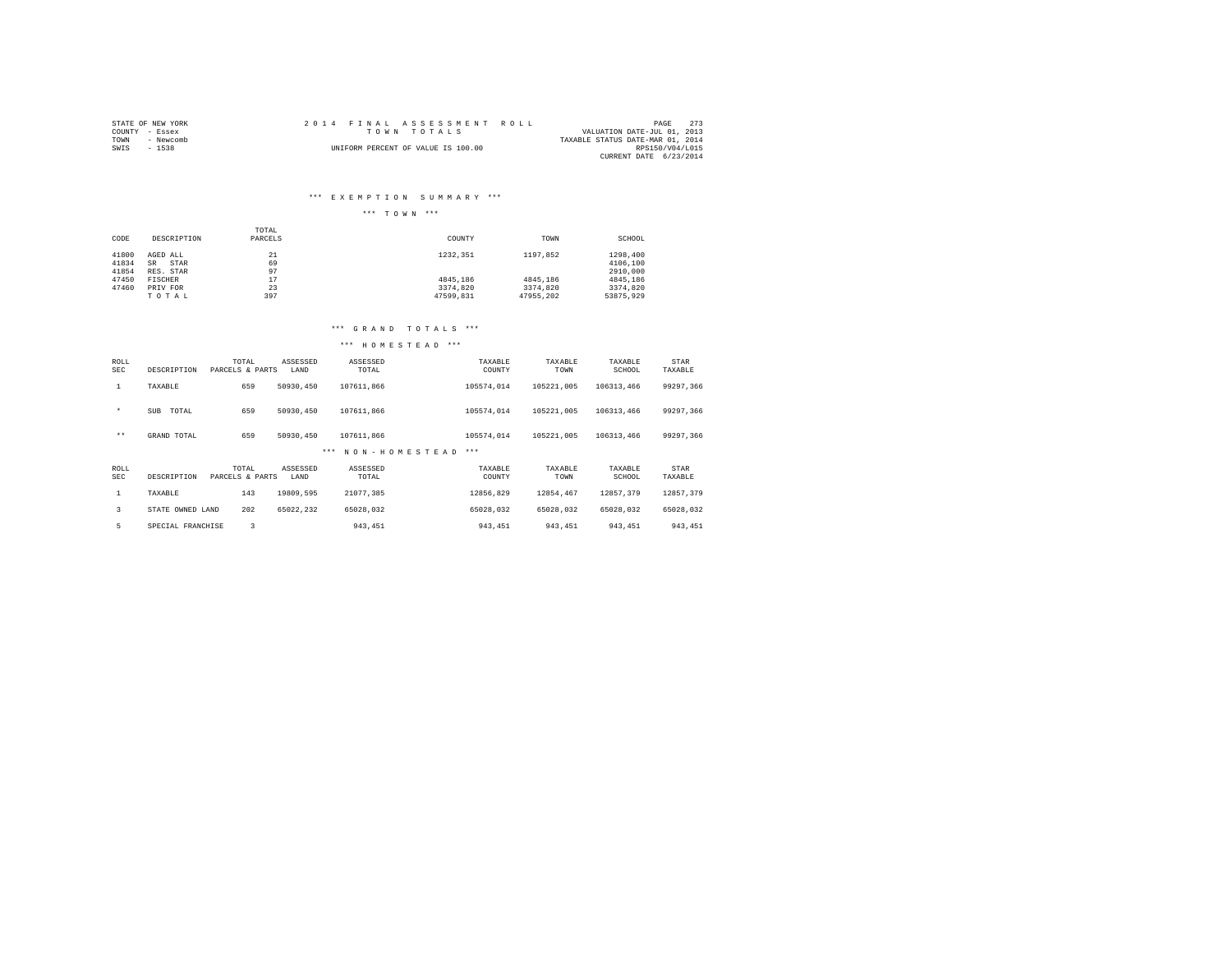| STATE OF NEW YORK | 2014 FINAL ASSESSMENT ROLL         | 2.73<br>PAGE                     |
|-------------------|------------------------------------|----------------------------------|
| COUNTY - Essex    | TOWN TOTALS                        | VALUATION DATE-JUL 01, 2013      |
| TOWN<br>- Newcomb |                                    | TAXABLE STATUS DATE-MAR 01, 2014 |
| SWIS<br>$-1538$   | UNIFORM PERCENT OF VALUE IS 100.00 | RPS150/V04/L015                  |
|                   |                                    | CURRENT DATE 6/23/2014           |

#### \*\*\* E X E M P T I O N S U M M A R Y \*\*\*

## \*\*\* T O W N \*\*\*

|       |                   | TOTAL   |           |           |           |
|-------|-------------------|---------|-----------|-----------|-----------|
| CODE  | DESCRIPTION       | PARCELS | COUNTY    | TOWN      | SCHOOL    |
|       |                   |         |           |           |           |
| 41800 | AGED ALL          | 21      | 1232.351  | 1197.852  | 1298,400  |
| 41834 | STAR<br><b>SR</b> | 69      |           |           | 4106,100  |
| 41854 | RES. STAR         | 97      |           |           | 2910,000  |
| 47450 | FISCHER           | 17      | 4845.186  | 4845,186  | 4845.186  |
| 47460 | PRIV FOR          | 23      | 3374.820  | 3374.820  | 3374.820  |
|       | TOTAL             | 397     | 47599.831 | 47955.202 | 53875.929 |

#### \*\*\* G R A N D T O T A L S \*\*\*

| ROLL<br><b>SEC</b> | DESCRIPTION         | TOTAL<br>PARCELS & PARTS | ASSESSED<br>LAND | ASSESSED<br>TOTAL        | TAXABLE<br>COUNTY | TAXABLE<br>TOWN | TAXABLE<br>SCHOOL | STAR<br>TAXABLE |
|--------------------|---------------------|--------------------------|------------------|--------------------------|-------------------|-----------------|-------------------|-----------------|
| $\mathbf{1}$       | TAXABLE             | 659                      | 50930,450        | 107611.866               | 105574.014        | 105221.005      | 106313,466        | 99297.366       |
| $\star$            | <b>SUB</b><br>TOTAL | 659                      | 50930,450        | 107611.866               | 105574.014        | 105221.005      | 106313,466        | 99297.366       |
| $***$              | GRAND TOTAL         | 659                      | 50930,450        | 107611.866               | 105574.014        | 105221.005      | 106313,466        | 99297.366       |
|                    |                     |                          |                  | NON-HOMESTEAD<br>$* * *$ | $***$             |                 |                   |                 |
| ROLL<br><b>SEC</b> | DESCRIPTION         | TOTAL<br>PARCELS & PARTS | ASSESSED<br>LAND | ASSESSED<br>TOTAL        | TAXABLE<br>COUNTY | TAXABLE<br>TOWN | TAXABLE<br>SCHOOL | STAR<br>TAXABLE |
| 1                  | TAXABLE             | 143                      | 19809.595        | 21077,385                | 12856.829         | 12854.467       | 12857.379         | 12857.379       |
| 3                  | STATE OWNED LAND    | 202                      | 65022.232        | 65028.032                | 65028.032         | 65028.032       | 65028.032         | 65028.032       |
| 5                  | SPECIAL FRANCHISE   | 3                        |                  | 943, 451                 | 943, 451          | 943.451         | 943.451           | 943, 451        |